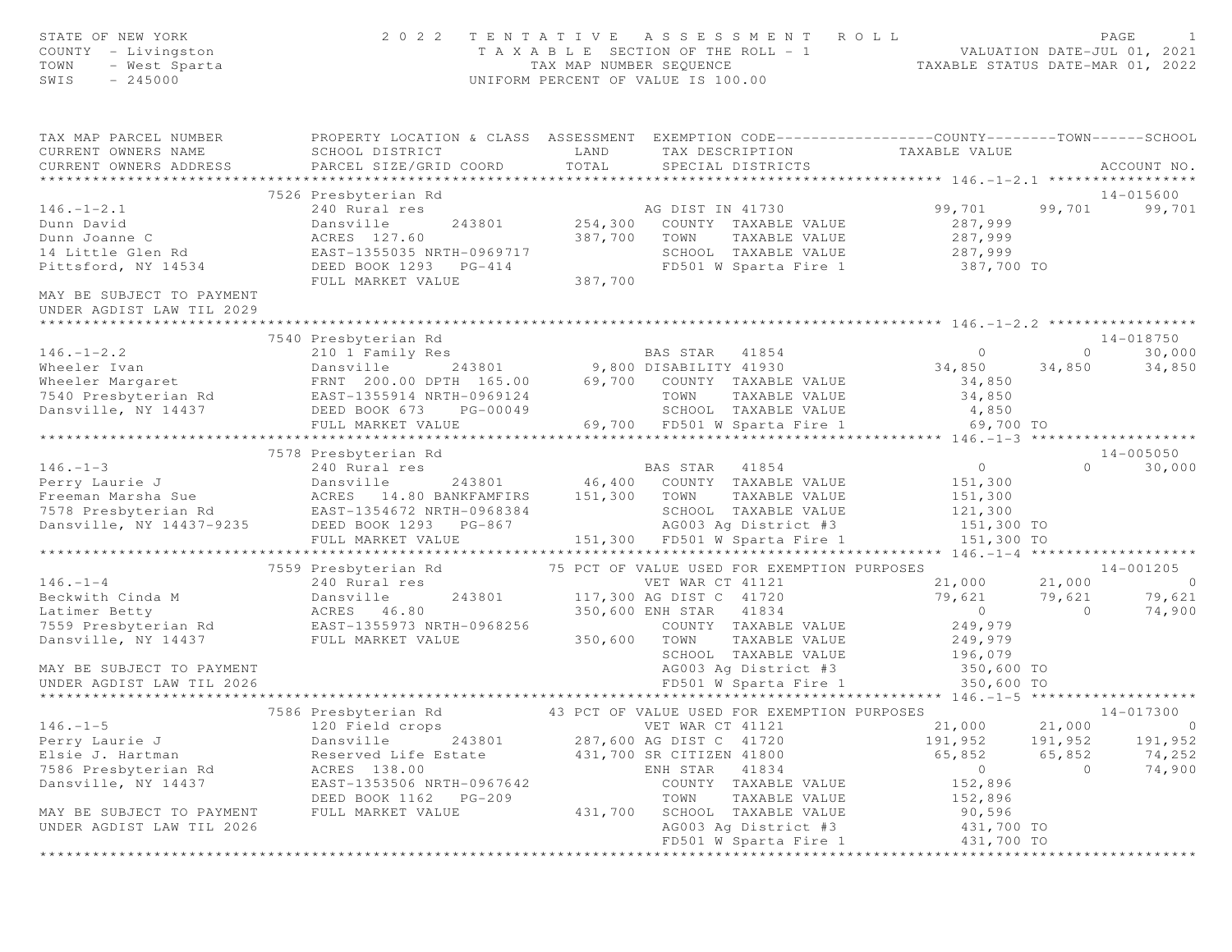| STATE OF NEW YORK<br>COUNTY - Livingston<br>TOWN<br>- West Sparta<br>$-245000$<br>SWIS                | 2 0 2 2                                                                                                                                       | TAX MAP NUMBER SEQUENCE   | TENTATIVE ASSESSMENT<br>T A X A B L E SECTION OF THE ROLL - 1<br>UNIFORM PERCENT OF VALUE IS 100.00                           | ROLL<br>VALUATION DAIR-UUL VI, L.<br>TAXABLE STATUS DATE-MAR 01, 2022 |                   | PAGE<br>1                |
|-------------------------------------------------------------------------------------------------------|-----------------------------------------------------------------------------------------------------------------------------------------------|---------------------------|-------------------------------------------------------------------------------------------------------------------------------|-----------------------------------------------------------------------|-------------------|--------------------------|
| TAX MAP PARCEL NUMBER<br>CURRENT OWNERS NAME<br>CURRENT OWNERS ADDRESS<br>* * * * * * * * * * * * * * | PROPERTY LOCATION & CLASS ASSESSMENT EXEMPTION CODE----------------COUNTY-------TOWN------SCHOOL<br>SCHOOL DISTRICT<br>PARCEL SIZE/GRID COORD | LAND<br>TOTAL             | TAX DESCRIPTION TAXABLE VALUE<br>SPECIAL DISTRICTS                                                                            | ***************** 146.-1-2.1 ***********                              |                   | ACCOUNT NO.              |
|                                                                                                       | 7526 Presbyterian Rd                                                                                                                          |                           |                                                                                                                               |                                                                       |                   | $14 - 015600$            |
| $146. - 1 - 2.1$<br>Dunn David<br>Dunn Joanne C<br>14 Little Glen Rd<br>Pittsford, NY 14534           | 240 Rural res<br>Dansville<br>ACRES 127.60<br>EAST-1355035 NRTH-0969717<br>DEED BOOK 1293 PG-414                                              | 243801 254,300<br>387,700 | AG DIST IN 41730<br>COUNTY TAXABLE VALUE<br>TOWN<br>TAXABLE VALUE<br>SCHOOL TAXABLE VALUE<br>FD501 W Sparta Fire 1 387,700 TO | 99,701<br>287,999<br>287,999<br>287,999                               | 99,701            | 99,701                   |
| MAY BE SUBJECT TO PAYMENT<br>UNDER AGDIST LAW TIL 2029                                                | FULL MARKET VALUE                                                                                                                             | 387,700                   |                                                                                                                               |                                                                       |                   |                          |
|                                                                                                       | 7540 Presbyterian Rd                                                                                                                          |                           |                                                                                                                               |                                                                       |                   | 14-018750                |
| $146. - 1 - 2.2$                                                                                      | 210 1 Family Res                                                                                                                              |                           |                                                                                                                               | $\circ$                                                               |                   | 30,000<br>$\overline{0}$ |
| Wheeler Ivan                                                                                          | Dansville                                                                                                                                     |                           | s<br>243801 9,800 DISABILITY 41930                                                                                            | 34,850                                                                | 34,850            | 34,850                   |
| Wheeler Margaret                                                                                      | FRNT 200.00 DPTH 165.00 69,700 COUNTY TAXABLE VALUE                                                                                           |                           |                                                                                                                               | 34,850                                                                |                   |                          |
| 7540 Presbyterian Rd                                                                                  | EAST-1355914 NRTH-0969124                                                                                                                     |                           | TOWN<br>TAXABLE VALUE                                                                                                         | 34,850                                                                |                   |                          |
| Dansville, NY 14437                                                                                   | DEED BOOK 673 PG-00049                                                                                                                        |                           | SCHOOL TAXABLE VALUE                                                                                                          | 4,850                                                                 |                   |                          |
|                                                                                                       | FULL MARKET VALUE                                                                                                                             |                           | 69,700 FD501 W Sparta Fire 1                                                                                                  | 69,700 TO<br>************** 146.-1-3 ********************             |                   |                          |
|                                                                                                       | 7578 Presbyterian Rd                                                                                                                          |                           |                                                                                                                               |                                                                       |                   | $14 - 005050$            |
| $146. - 1 - 3$                                                                                        | 240 Rural res                                                                                                                                 |                           | BAS STAR 41854                                                                                                                | $\overline{0}$                                                        |                   | $\Omega$<br>30,000       |
| Perry Laurie J                                                                                        | Dansville<br>243801                                                                                                                           |                           | 46,400 COUNTY TAXABLE VALUE                                                                                                   | 151,300                                                               |                   |                          |
| Freeman Marsha Sue                                                                                    | ACRES 14.80 BANKFAMFIRS                                                                                                                       | 151,300 TOWN              | TAXABLE VALUE                                                                                                                 | 151,300                                                               |                   |                          |
|                                                                                                       | 7578 Presbyterian Rd<br>Dansville, NY 14437-9235 DEED BOOK 1293 PG-867                                                                        |                           | SCHOOL TAXABLE VALUE                                                                                                          | 121,300                                                               |                   |                          |
|                                                                                                       |                                                                                                                                               |                           | AG003 Ag District #3<br>151,300 FD501 W Sparta Fire 1                                                                         | 151,300 TO                                                            |                   |                          |
|                                                                                                       | FULL MARKET VALUE<br>**************************                                                                                               |                           | ************************************                                                                                          | 151,300 TO<br>******** 146. -1-4 ********************                 |                   |                          |
|                                                                                                       | 7559 Presbyterian Rd                                                                                                                          |                           | 75 PCT OF VALUE USED FOR EXEMPTION PURPOSES                                                                                   |                                                                       |                   | 14-001205                |
| $146. - 1 - 4$                                                                                        | 240 Rural res                                                                                                                                 |                           | VET WAR CT 41121                                                                                                              | 21,000                                                                | 21,000            | $\overline{0}$           |
|                                                                                                       |                                                                                                                                               |                           | 243801 117,300 AG DIST C 41720                                                                                                | 79,621                                                                | 79,621            | 79,621                   |
|                                                                                                       |                                                                                                                                               |                           | 350,600 ENH STAR 41834                                                                                                        | $\overline{0}$                                                        | $\overline{0}$    | 74,900                   |
| Dansville, NY 14437                                                                                   |                                                                                                                                               | 350,600                   | COUNTY TAXABLE VALUE<br>TOWN                                                                                                  | 249,979                                                               |                   |                          |
|                                                                                                       | FULL MARKET VALUE                                                                                                                             |                           | TAXABLE VALUE<br>SCHOOL TAXABLE VALUE                                                                                         | 249,979<br>196,079                                                    |                   |                          |
| MAY BE SUBJECT TO PAYMENT                                                                             |                                                                                                                                               |                           | AG003 Ag District #3                                                                                                          | 350,600 TO                                                            |                   |                          |
| UNDER AGDIST LAW TIL 2026                                                                             |                                                                                                                                               |                           | FD501 W Sparta Fire 1                                                                                                         | 350,600 TO                                                            |                   |                          |
|                                                                                                       |                                                                                                                                               |                           |                                                                                                                               | ******** 146. -1-5 **************                                     |                   |                          |
|                                                                                                       | 7586 Presbyterian Rd 643 PCT OF VALUE USED FOR EXEMPTION PURPOSES                                                                             |                           |                                                                                                                               |                                                                       |                   | 14-017300                |
| $146. - 1 - 5$                                                                                        | 120 Field crops                                                                                                                               |                           | VET WAR CT 41121                                                                                                              | 21,000                                                                | 21,000            | $\overline{0}$           |
| Perry Laurie J<br>Elsie J. Hartman                                                                    | Dansville<br>243801                                                                                                                           |                           | 287,600 AG DIST C 41720                                                                                                       | 191,952<br>65,852                                                     | 191,952<br>65,852 | 191,952<br>74,252        |
| 7586 Presbyterian Rd                                                                                  | Reserved Life Estate<br>ACRES 138.00                                                                                                          |                           | 431,700 SR CITIZEN 41800<br>41834<br>ENH STAR                                                                                 | $\circ$                                                               | $\circ$           | 74,900                   |
| Dansville, NY 14437                                                                                   | EAST-1353506 NRTH-0967642                                                                                                                     |                           | COUNTY TAXABLE VALUE                                                                                                          | 152,896                                                               |                   |                          |
|                                                                                                       | DEED BOOK 1162<br>$PG-209$                                                                                                                    |                           | TOWN<br>TAXABLE VALUE                                                                                                         | 152,896                                                               |                   |                          |
| MAY BE SUBJECT TO PAYMENT                                                                             | FULL MARKET VALUE                                                                                                                             | 431,700                   | SCHOOL TAXABLE VALUE                                                                                                          | 90,596                                                                |                   |                          |
| UNDER AGDIST LAW TIL 2026                                                                             |                                                                                                                                               |                           | AG003 Ag District #3                                                                                                          | 431,700 TO                                                            |                   |                          |
|                                                                                                       |                                                                                                                                               |                           | FD501 W Sparta Fire 1                                                                                                         | 431,700 TO                                                            |                   |                          |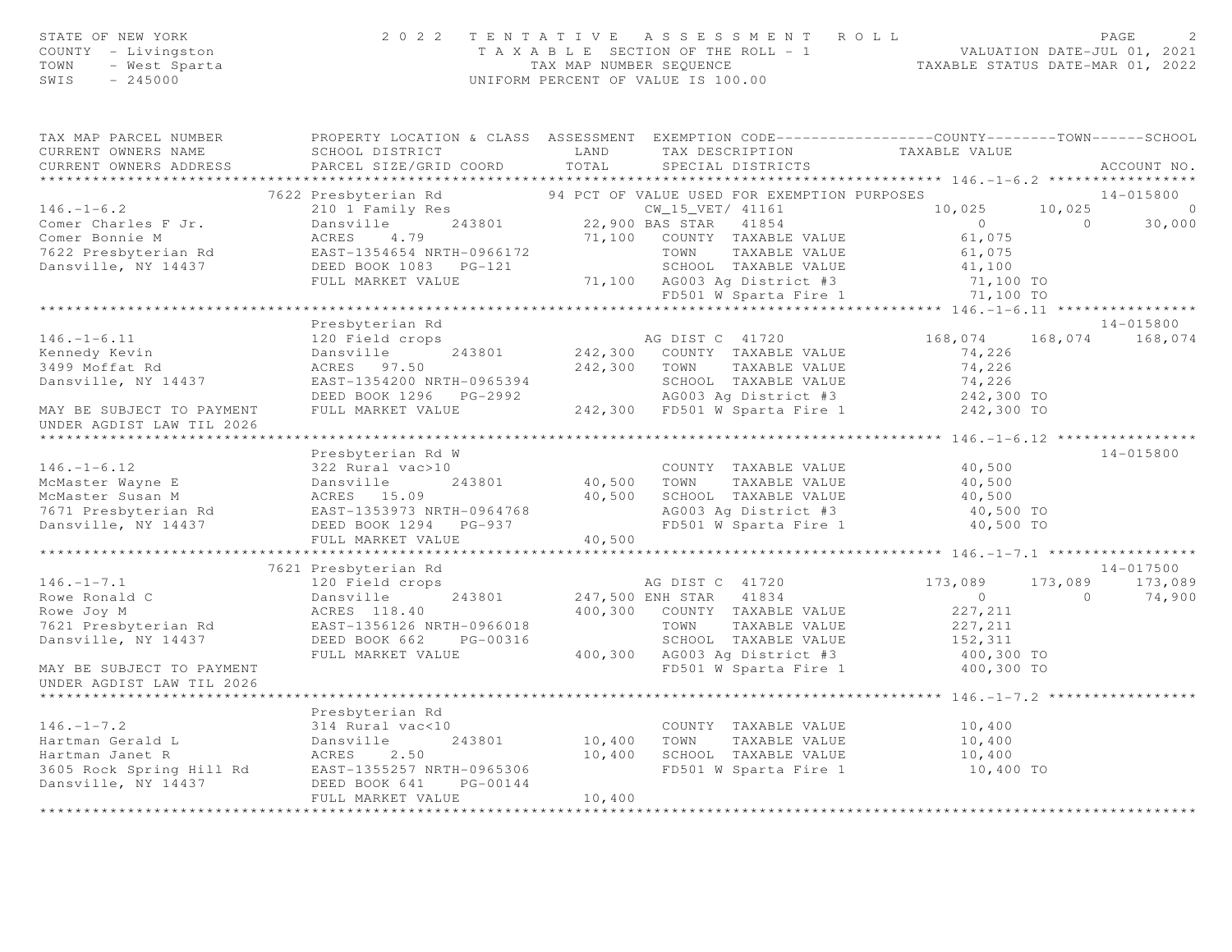| STATE OF NEW YORK<br>COUNTY - Livingston<br>TOWN - West Sparta                                                                                                                                                                                         | 2022 TENTATIVE ASSESSMENT ROLL                                                                                                                                        | UNIFORM PERCENT OF VALUE IS 100.00 |                 |                                                   | TAXABLE SECTION OF THE ROLL - 1<br>TAXABLE SECTION OF THE ROLL - 1<br>TAXABLE STATUS DATE-MAR 01, 2022 | PAGE            |
|--------------------------------------------------------------------------------------------------------------------------------------------------------------------------------------------------------------------------------------------------------|-----------------------------------------------------------------------------------------------------------------------------------------------------------------------|------------------------------------|-----------------|---------------------------------------------------|--------------------------------------------------------------------------------------------------------|-----------------|
| TAX MAP PARCEL NUMBER FROPERTY LOCATION & CLASS ASSESSMENT EXEMPTION CODE---------------COUNTY-------TOWN------SCHOOL<br>CURRENT OWNERS NAME                                                                                                           |                                                                                                                                                                       |                                    |                 |                                                   |                                                                                                        |                 |
| CURRENT OWNERS ADDRESS                                                                                                                                                                                                                                 | SCHOOL DISTRICT                           LAND         TAX DESCRIPTION                   TAXABLE VALUE PARCEL SIZE/GRID COORD          TOTAL        SPECIAL DISTRICTS |                                    |                 |                                                   |                                                                                                        | ACCOUNT NO.     |
|                                                                                                                                                                                                                                                        |                                                                                                                                                                       |                                    |                 |                                                   |                                                                                                        |                 |
| 7622 Presbyterian Rd<br>210 1 Family Res<br>243801 22,900 BAS STAR 41854 1075<br>Comer Bonnie M ACRES 4.79 22,900 BAS STAR 41854 61,075<br>7622 Presbyterian Rd<br>26.2 Presbyterian Rd<br>26.2 Presbyterian Rd<br>26.2 Presbyterian Rd<br>26.         | 7622 Presbyterian Rd <sup>94</sup> PCT OF VALUE USED FOR EXEMPTION PURPOSES                                                                                           |                                    |                 |                                                   |                                                                                                        | 14-015800       |
|                                                                                                                                                                                                                                                        |                                                                                                                                                                       |                                    |                 |                                                   | $10,025$ $10,025$ 0                                                                                    |                 |
|                                                                                                                                                                                                                                                        |                                                                                                                                                                       |                                    |                 |                                                   | $0$ 0 30,000<br>61,075 0 30,000                                                                        |                 |
|                                                                                                                                                                                                                                                        |                                                                                                                                                                       |                                    |                 |                                                   |                                                                                                        |                 |
|                                                                                                                                                                                                                                                        |                                                                                                                                                                       |                                    |                 |                                                   |                                                                                                        |                 |
|                                                                                                                                                                                                                                                        |                                                                                                                                                                       |                                    |                 |                                                   |                                                                                                        |                 |
|                                                                                                                                                                                                                                                        |                                                                                                                                                                       |                                    |                 |                                                   |                                                                                                        |                 |
|                                                                                                                                                                                                                                                        |                                                                                                                                                                       |                                    |                 |                                                   |                                                                                                        |                 |
|                                                                                                                                                                                                                                                        | Presbyterian Rd                                                                                                                                                       |                                    |                 |                                                   |                                                                                                        | 14-015800       |
| $146. - 1 - 6.11$                                                                                                                                                                                                                                      | 120 Field crops                                                                                                                                                       |                                    |                 | AG DIST C 41720                                   | 168,074                                                                                                | 168,074 168,074 |
|                                                                                                                                                                                                                                                        | 120 rienu crops<br>Dansville 22 243801 242,300 COUNTY TAXABLE VALUE                                                                                                   |                                    |                 |                                                   | 74,226                                                                                                 |                 |
| Kennedy Kevin<br>3499 Moffat Rd                                                                                                                                                                                                                        |                                                                                                                                                                       |                                    |                 |                                                   | 74,226                                                                                                 |                 |
| Dansville, NY 14437                                                                                                                                                                                                                                    |                                                                                                                                                                       |                                    |                 |                                                   | 74,226                                                                                                 |                 |
|                                                                                                                                                                                                                                                        |                                                                                                                                                                       |                                    |                 |                                                   | 242,300 TO<br>242,300 TO                                                                               |                 |
| MAY BE SUBJECT TO PAYMENT<br>UNDER AGDIST LAW TIL 2026                                                                                                                                                                                                 | ACRES 97.50<br>EAST-1354200 NRTH-0965394<br>DEED BOOK 1296 PG-2992<br>FULL MARKET VALUE<br>PULL MARKET VALUE<br>242,300 FD501 W Sparta Fire 1                         |                                    |                 |                                                   |                                                                                                        |                 |
| ******************************                                                                                                                                                                                                                         |                                                                                                                                                                       |                                    |                 |                                                   |                                                                                                        |                 |
|                                                                                                                                                                                                                                                        | Presbyterian Rd W                                                                                                                                                     |                                    |                 |                                                   |                                                                                                        | 14-015800       |
|                                                                                                                                                                                                                                                        |                                                                                                                                                                       |                                    |                 | COUNTY TAXABLE VALUE<br>40,500 TOWN TAXABLE VALUE | 40,500                                                                                                 |                 |
|                                                                                                                                                                                                                                                        |                                                                                                                                                                       |                                    |                 |                                                   | 40,500                                                                                                 |                 |
|                                                                                                                                                                                                                                                        |                                                                                                                                                                       |                                    |                 | 40,500 SCHOOL TAXABLE VALUE                       | 40,500                                                                                                 |                 |
| 146.-1-6.12<br>McMaster Wayne E<br>McMaster Susan M<br>7671 Presbyterian Rd<br>86.09<br>7671 Presbyterian Rd<br>86.15.09<br>7671 Presbyterian Rd<br>86.15.09<br>86.09<br>86.15.09<br>86.15.09<br>86.15.09<br>86.15.09<br>86.15.09<br>86.1294<br>86-937 |                                                                                                                                                                       |                                    |                 |                                                   | AG003 Ag District #3<br>AG003 Ag District #3 40,500 TO<br>FD501 W Sparta Fire 1 40,500 TO              |                 |
|                                                                                                                                                                                                                                                        | FULL MARKET VALUE                                                                                                                                                     | 40,500                             |                 |                                                   |                                                                                                        |                 |
|                                                                                                                                                                                                                                                        |                                                                                                                                                                       |                                    |                 |                                                   |                                                                                                        |                 |
|                                                                                                                                                                                                                                                        | 7621 Presbyterian Rd                                                                                                                                                  |                                    |                 |                                                   |                                                                                                        | 14-017500       |
| $146. -1 - 7.1$                                                                                                                                                                                                                                        | 120 Field crops                                                                                                                                                       |                                    | AG DIST C 41720 |                                                   | 173,089                                                                                                | 173,089 173,089 |
| Rowe Ronald C                                                                                                                                                                                                                                          |                                                                                                                                                                       |                                    |                 | 243801 247,500 ENH STAR 41834                     |                                                                                                        | 74,900          |
| Rowe Joy M                                                                                                                                                                                                                                             | Dansville 243801<br>ACRES 118.40                                                                                                                                      |                                    |                 | 400,300 COUNTY TAXABLE VALUE                      | $\begin{array}{c} 0 \\ 227,211 \end{array}$ 0                                                          |                 |
| 7621 Presbyterian Rd                                                                                                                                                                                                                                   | EAST-1356126 NRTH-0966018<br>DEED BOOK 662 PG-00316                                                                                                                   |                                    |                 | TOWN TAXABLE VALUE                                | 227,211                                                                                                |                 |
| Dansville, NY 14437                                                                                                                                                                                                                                    |                                                                                                                                                                       |                                    |                 | SCHOOL TAXABLE VALUE                              | 152, 311                                                                                               |                 |
|                                                                                                                                                                                                                                                        | FULL MARKET VALUE                                                                                                                                                     |                                    |                 |                                                   | 400,300 AG003 Ag District #3 400,300 TO<br>FD501 W Sparta Fire 1 400,300 TO                            |                 |
| MAY BE SUBJECT TO PAYMENT                                                                                                                                                                                                                              |                                                                                                                                                                       |                                    |                 |                                                   |                                                                                                        |                 |
| UNDER AGDIST LAW TIL 2026                                                                                                                                                                                                                              |                                                                                                                                                                       |                                    |                 |                                                   |                                                                                                        |                 |
| ****************************                                                                                                                                                                                                                           |                                                                                                                                                                       |                                    |                 |                                                   |                                                                                                        |                 |
| $146. - 1 - 7.2$                                                                                                                                                                                                                                       | Presbyterian Rd                                                                                                                                                       |                                    |                 |                                                   |                                                                                                        |                 |
|                                                                                                                                                                                                                                                        | 314 Rural vac<10                                                                                                                                                      |                                    |                 | COUNTY TAXABLE VALUE<br>10,400 TOWN TAXABLE VALUE | 10,400<br>10,400                                                                                       |                 |
|                                                                                                                                                                                                                                                        |                                                                                                                                                                       |                                    |                 | 10,400 SCHOOL TAXABLE VALUE                       | 10,400                                                                                                 |                 |
|                                                                                                                                                                                                                                                        |                                                                                                                                                                       |                                    |                 | FD501 W Sparta Fire 1                             | 10,400 TO                                                                                              |                 |
| 146.-1-7.2<br>Hartman Gerald L<br>Hartman Janet R<br>3605 Rock Spring Hill Rd<br>Dansville 243801<br>243801<br>243801<br>243805 Rock Spring Hill Rd<br>2655257 NRTH-0965306<br>Dansville, NY 14437<br>DEED BOOK 641<br>PG-00144<br>Dansville, NY 14437 |                                                                                                                                                                       |                                    |                 |                                                   |                                                                                                        |                 |
|                                                                                                                                                                                                                                                        | FULL MARKET VALUE                                                                                                                                                     | 10,400                             |                 |                                                   |                                                                                                        |                 |
|                                                                                                                                                                                                                                                        |                                                                                                                                                                       |                                    |                 |                                                   |                                                                                                        |                 |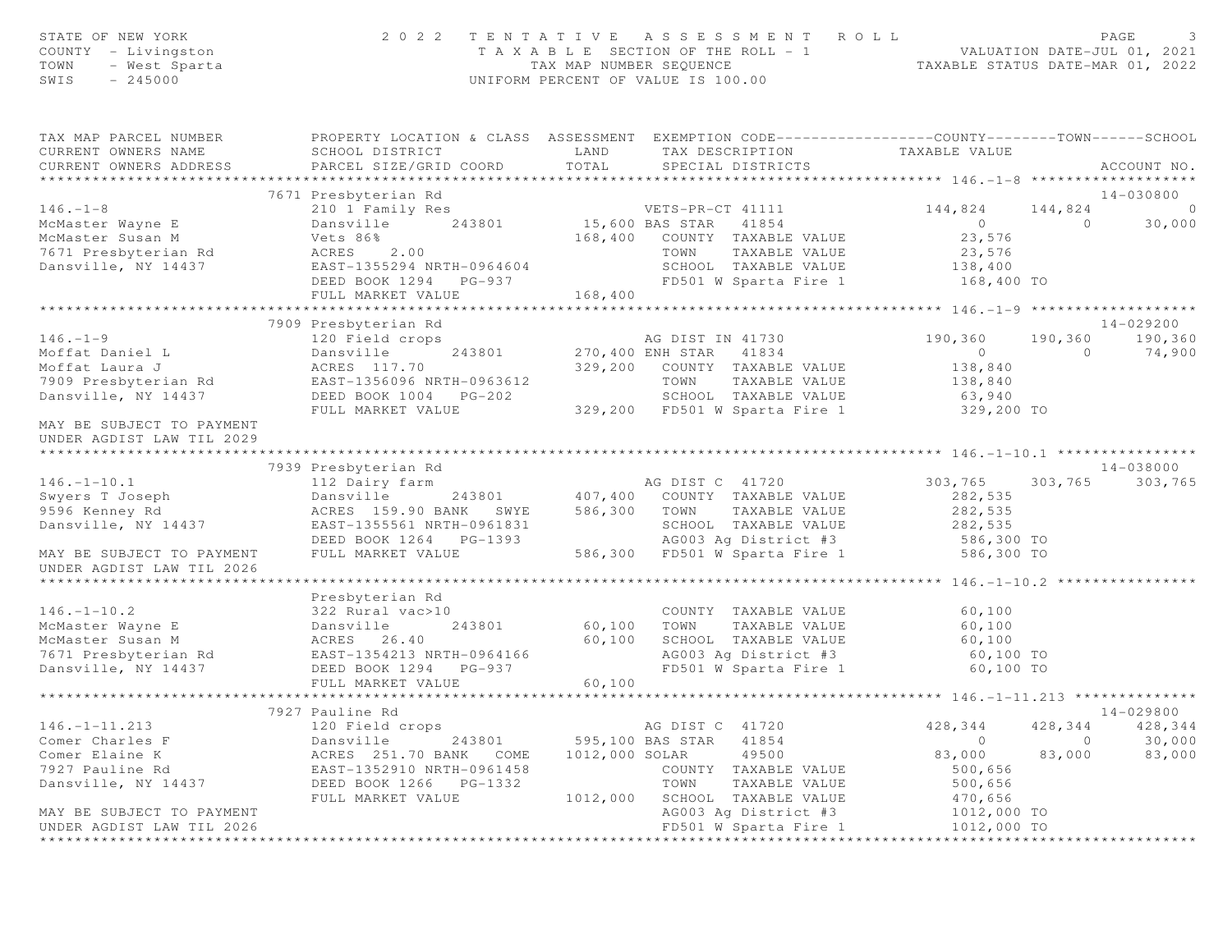| STATE OF NEW YORK<br>COUNTY - Livingston<br>- West Sparta<br>TOWN<br>$-245000$<br>SWIS | 2 0 2 2                                                                                          | TAX MAP NUMBER SEQUENCE | TENTATIVE ASSESSMENT ROLL<br>T A X A B L E SECTION OF THE ROLL - 1<br>UNIFORM PERCENT OF VALUE IS 100.00 | valuation DATE-JUL 01, 2021 VALUATION DATE-MAR 01, 2022          |                | PAGE                         |
|----------------------------------------------------------------------------------------|--------------------------------------------------------------------------------------------------|-------------------------|----------------------------------------------------------------------------------------------------------|------------------------------------------------------------------|----------------|------------------------------|
| TAX MAP PARCEL NUMBER                                                                  | PROPERTY LOCATION & CLASS ASSESSMENT EXEMPTION CODE----------------COUNTY-------TOWN------SCHOOL |                         |                                                                                                          |                                                                  |                |                              |
| CURRENT OWNERS NAME<br>CURRENT OWNERS ADDRESS                                          | SCHOOL DISTRICT<br>PARCEL SIZE/GRID COORD                                                        | <b>LAND</b><br>TOTAL    | TAX DESCRIPTION<br>SPECIAL DISTRICTS                                                                     | TAXABLE VALUE                                                    |                | ACCOUNT NO.                  |
|                                                                                        |                                                                                                  |                         |                                                                                                          |                                                                  |                |                              |
|                                                                                        | 7671 Presbyterian Rd                                                                             |                         |                                                                                                          |                                                                  |                | $14 - 030800$                |
| $146. - 1 - 8$                                                                         | 210 1 Family Res                                                                                 |                         | VETS-PR-CT 41111                                                                                         | 144,824 144,824                                                  |                | $\overline{0}$               |
| McMaster Wayne E                                                                       | Dansville 243801 15,600 BAS STAR 41854                                                           |                         |                                                                                                          | $\overline{0}$                                                   | $\overline{0}$ | 30,000                       |
| McMaster Susan M                                                                       | Vets 86%                                                                                         |                         | 168,400 COUNTY TAXABLE VALUE                                                                             | 23,576                                                           |                |                              |
| 7671 Presbyterian Rd                                                                   | ACRES 2.00                                                                                       |                         | TOWN<br>TAXABLE VALUE                                                                                    | 23,576                                                           |                |                              |
| Dansville, NY 14437                                                                    | EAST-1355294 NRTH-0964604                                                                        |                         |                                                                                                          | SCHOOL TAXABLE VALUE 138,400<br>FD501 W Sparta Fire 1 168,400 TO |                |                              |
|                                                                                        | DEED BOOK 1294 PG-937                                                                            |                         |                                                                                                          |                                                                  |                |                              |
|                                                                                        | FULL MARKET VALUE                                                                                | 168,400                 |                                                                                                          |                                                                  |                |                              |
|                                                                                        |                                                                                                  |                         |                                                                                                          |                                                                  |                |                              |
| $146. - 1 - 9$                                                                         | 7909 Presbyterian Rd                                                                             |                         |                                                                                                          |                                                                  |                | 14-029200<br>190,360 190,360 |
| Moffat Daniel L                                                                        | 120 Field crops                                                                                  |                         | AG DIST IN 41730<br>243801 270,400 ENH STAR 41834                                                        | 190,360<br>$\overline{0}$                                        | $\overline{0}$ | 74,900                       |
| Moffat Laura J                                                                         |                                                                                                  |                         | 329,200 COUNTY TAXABLE VALUE                                                                             | 138,840                                                          |                |                              |
| 7909 Presbyterian Rd EAST-1356096 NRTH-0963612                                         |                                                                                                  |                         | TOWN<br>TAXABLE VALUE                                                                                    | 138,840                                                          |                |                              |
| Dansville, NY 14437                                                                    |                                                                                                  |                         | SCHOOL TAXABLE VALUE                                                                                     | 63,940                                                           |                |                              |
|                                                                                        | FULL MARKET VALUE                                                                                |                         | 329,200 FD501 W Sparta Fire 1                                                                            | 329,200 TO                                                       |                |                              |
| MAY BE SUBJECT TO PAYMENT<br>UNDER AGDIST LAW TIL 2029                                 |                                                                                                  |                         |                                                                                                          |                                                                  |                |                              |
|                                                                                        | 7939 Presbyterian Rd                                                                             |                         |                                                                                                          |                                                                  |                | 14-038000                    |
| $146. - 1 - 10.1$                                                                      |                                                                                                  |                         | AG DIST C 41720                                                                                          | 303,765                                                          |                | 303,765 303,765              |
| Swyers T Joseph                                                                        | 112 Dairy farm<br>Dansville                                                                      |                         | 243801 407,400 COUNTY TAXABLE VALUE                                                                      | 282,535                                                          |                |                              |
| 9596 Kenney Rd                                                                         | ACRES 159.90 BANK SWYE                                                                           | 586,300                 | TOWN TAXABLE VALUE                                                                                       | 282,535                                                          |                |                              |
| Dansville, NY 14437                                                                    | EAST-1355561 NRTH-0961831                                                                        |                         | SCHOOL TAXABLE VALUE                                                                                     | 282,535                                                          |                |                              |
|                                                                                        | DEED BOOK 1264 PG-1393                                                                           |                         | AG003 Ag District #3                                                                                     | 586,300 TO                                                       |                |                              |
| MAY BE SUBJECT TO PAYMENT<br>UNDER AGDIST LAW TIL 2026                                 | FULL MARKET VALUE                                                                                |                         | 586,300 FD501 W Sparta Fire 1                                                                            | 586,300 TO                                                       |                |                              |
|                                                                                        |                                                                                                  |                         |                                                                                                          |                                                                  |                |                              |
|                                                                                        | Presbyterian Rd                                                                                  |                         |                                                                                                          |                                                                  |                |                              |
| $146. - 1 - 10.2$                                                                      | 322 Rural vac>10                                                                                 |                         | COUNTY TAXABLE VALUE                                                                                     | 60,100                                                           |                |                              |
| McMaster Wayne E                                                                       | Dansville<br>243801                                                                              | 60,100                  | TAXABLE VALUE<br>TOWN                                                                                    | 60,100                                                           |                |                              |
| McMaster Susan M<br>7671 Presbyterian Rd                                               | ACRES 26.40<br>EAST-1354213 NRTH-0964166                                                         | 60,100                  | SCHOOL TAXABLE VALUE<br>AG003 Ag District #3                                                             | 60,100<br>60,100 TO                                              |                |                              |
| Dansville, NY 14437                                                                    | DEED BOOK 1294 PG-937                                                                            |                         |                                                                                                          | FD501 W Sparta Fire 1 60,100 TO                                  |                |                              |
|                                                                                        | FULL MARKET VALUE                                                                                | 60,100                  |                                                                                                          |                                                                  |                |                              |
|                                                                                        |                                                                                                  |                         |                                                                                                          |                                                                  |                |                              |
|                                                                                        | 7927 Pauline Rd                                                                                  |                         |                                                                                                          |                                                                  |                | 14-029800                    |
| $146. - 1 - 11.213$                                                                    | 120 Field crops                                                                                  |                         | AG DIST C<br>41720                                                                                       | 428,344                                                          | 428,344        | 428,344                      |
| Comer Charles F                                                                        | Dansville<br>243801                                                                              |                         | 595,100 BAS STAR<br>41854                                                                                | $\circ$                                                          | 0              | 30,000                       |
| Comer Elaine K                                                                         | ACRES 251.70 BANK COME                                                                           | 1012,000 SOLAR          | 49500                                                                                                    | 83,000                                                           | 83,000         | 83,000                       |
| 7927 Pauline Rd                                                                        | EAST-1352910 NRTH-0961458                                                                        |                         | COUNTY TAXABLE VALUE                                                                                     | 500,656                                                          |                |                              |
| Dansville, NY 14437                                                                    | DEED BOOK 1266<br>$PG-1332$                                                                      |                         | TOWN<br>TAXABLE VALUE                                                                                    | 500,656                                                          |                |                              |
|                                                                                        | FULL MARKET VALUE                                                                                | 1012,000                | SCHOOL TAXABLE VALUE                                                                                     | 470,656                                                          |                |                              |
| MAY BE SUBJECT TO PAYMENT                                                              |                                                                                                  |                         | AG003 Ag District #3                                                                                     | 1012,000 TO                                                      |                |                              |
| UNDER AGDIST LAW TIL 2026                                                              |                                                                                                  |                         | FD501 W Sparta Fire 1                                                                                    | 1012,000 TO                                                      |                |                              |
|                                                                                        |                                                                                                  |                         |                                                                                                          |                                                                  |                |                              |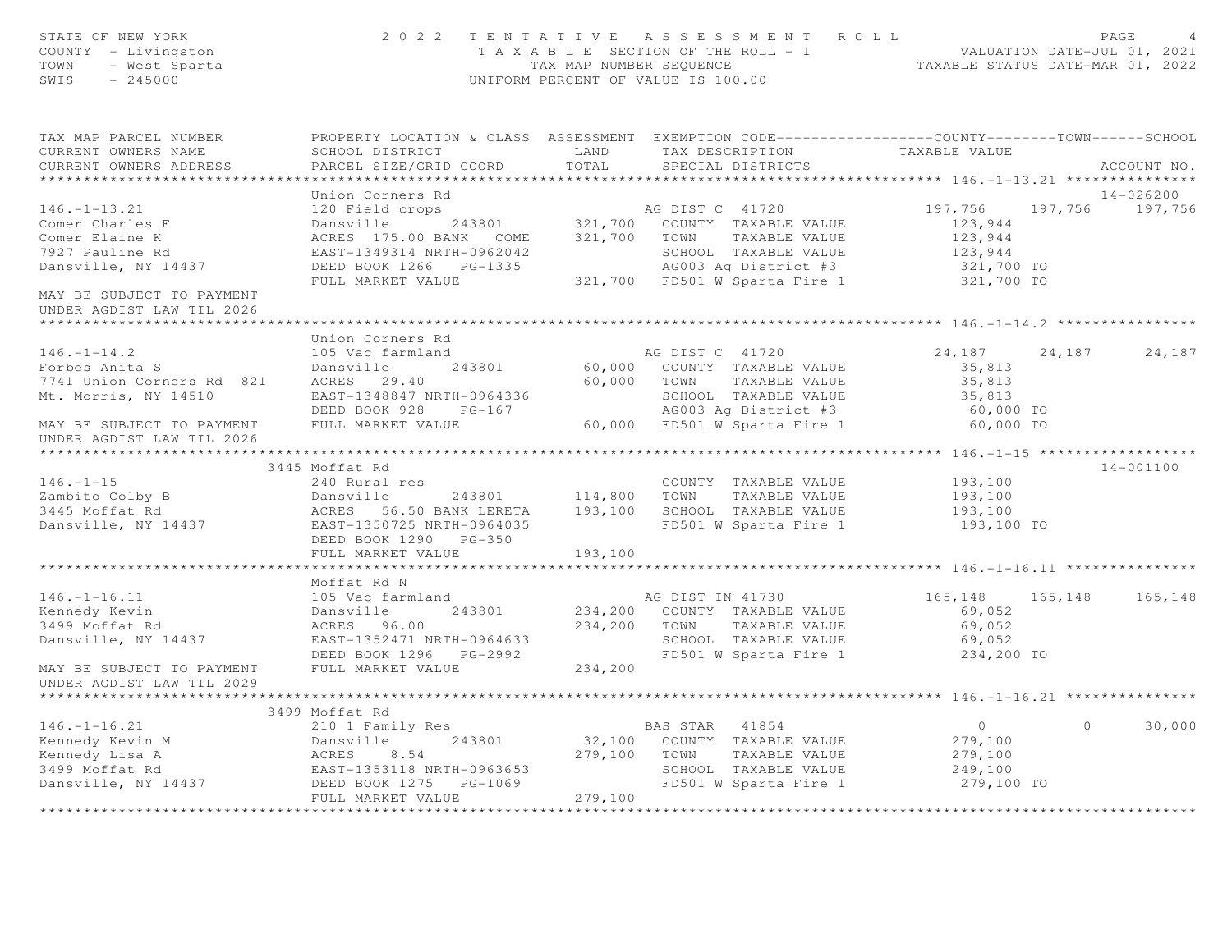| STATE OF NEW YORK<br>COUNTY - Livingston<br>OF NEW YORA<br>: - Livingston<br>- West Sparta<br>- 15000<br>TOWN<br>SWIS |                                                                                                                                                                         |                             | 2022 TENTATIVE ASSESSMENT ROLL<br>T A X A B L E SECTION OF THE ROLL - 1 VALUATION DATE-JUL 01, 2021<br>TAX MAP NUMBER SEQUENCE TAXABLE STATUS DATE-MAR 01, 2022<br>UNIFORM PERCENT OF VALUE IS 100.00 |                                                 |          | PAGE<br>$\overline{4}$       |
|-----------------------------------------------------------------------------------------------------------------------|-------------------------------------------------------------------------------------------------------------------------------------------------------------------------|-----------------------------|-------------------------------------------------------------------------------------------------------------------------------------------------------------------------------------------------------|-------------------------------------------------|----------|------------------------------|
| TAX MAP PARCEL NUMBER<br>CURRENT OWNERS NAME<br>CURRENT OWNERS ADDRESS                                                | PROPERTY LOCATION & CLASS ASSESSMENT EXEMPTION CODE-----------------COUNTY--------TOWN------SCHOOL<br>SCHOOL DISTRICT<br>PARCEL SIZE/GRID COORD                         | LAND<br>TOTAL               | TAX DESCRIPTION<br>SPECIAL DISTRICTS                                                                                                                                                                  | TAXABLE VALUE                                   |          | ACCOUNT NO.                  |
|                                                                                                                       |                                                                                                                                                                         |                             |                                                                                                                                                                                                       |                                                 |          |                              |
| $146. - 1 - 13.21$<br>Comer Charles F<br>Comer Elaine K<br>7927 Pauline Rd                                            | Union Corners Rd<br>120 Field crops<br>Dansville 243801 321,700 COUNTY TAXABLE VALUE<br>ACRES 175.00 BANK COME 321,700 TOWN TAXABLE VALUE<br>EAST-1349314 NRTH-0962042  |                             | AG DIST C 41720<br>SCHOOL TAXABLE VALUE                                                                                                                                                               | 197,756<br>123,944<br>123,944<br>123,944        |          | 14-026200<br>197,756 197,756 |
| Dansville, NY 14437<br>MAY BE SUBJECT TO PAYMENT                                                                      | DEED BOOK 1266    PG-1335<br>FULL MARKET VALUE                                                                                                                          |                             | AG003 Ag District #3<br>321,700 FD501 W Sparta Fire 1                                                                                                                                                 | 321,700 TO<br>321,700 TO                        |          |                              |
| UNDER AGDIST LAW TIL 2026                                                                                             |                                                                                                                                                                         |                             |                                                                                                                                                                                                       |                                                 |          |                              |
|                                                                                                                       | Union Corners Rd                                                                                                                                                        |                             |                                                                                                                                                                                                       |                                                 |          |                              |
| $146. - 1 - 14.2$<br>riv. 1 17.4<br>Forbes Anita S<br>7741 Union Corners Rd 821<br>Mt. Morris, NY 14510               | 105 Vac farmland<br>Dansville 243801<br>ACRES 29.40<br>EAST-1348847 NRTH-0964336                                                                                        |                             | AG DIST C 41720<br>60,000 COUNTY TAXABLE VALUE<br>60,000 TOWN TAXABLE VALUE                                                                                                                           | 24,187 24,187<br>35,813<br>35,813<br>35,813     |          | 24,187                       |
| MAY BE SUBJECT TO PAYMENT<br>UNDER AGDIST LAW TIL 2026                                                                | DEED BOOK 928 PG-167<br>FULL MARKET VALUE                                                                                                                               |                             | SCHOOL IAAADDE VALUUL<br>AGOO3 Ag District #3<br>60,000 FD501 W Sparta Fire 1                                                                                                                         | 60,000 TO<br>60,000 TO                          |          |                              |
|                                                                                                                       |                                                                                                                                                                         |                             |                                                                                                                                                                                                       |                                                 |          |                              |
|                                                                                                                       | 3445 Moffat Rd                                                                                                                                                          |                             |                                                                                                                                                                                                       |                                                 |          | 14-001100                    |
| $146. - 1 - 15$<br>Zambito Colby B<br>3445 Moffat Rd<br>Dansville, NY 14437                                           | 240 Rural res<br>Dansville<br>243801<br>ACRES 56.50 BANK LERETA 193,100 SCHOOL TAXABLE VALUE<br>EAST-1350725 NRTH-0964035<br>DEED BOOK 1290 PG-350<br>FULL MARKET VALUE | 114,800 TOWN<br>193,100     | COUNTY TAXABLE VALUE<br>TAXABLE VALUE<br>FD501 W Sparta Fire 1                                                                                                                                        | 193,100<br>193,100<br>193,100<br>193,100 TO     |          |                              |
|                                                                                                                       |                                                                                                                                                                         |                             |                                                                                                                                                                                                       |                                                 |          |                              |
| $146. - 1 - 16.11$<br>Kennedy Kevin                                                                                   | Moffat Rd N<br>105 Vac farmland<br>Dansville 243801                                                                                                                     |                             | AG DIST IN 41730<br>234,200 COUNTY TAXABLE VALUE                                                                                                                                                      | 165, 148 165, 148<br>69,052                     |          | 165,148                      |
| 3499 Moffat Rd<br>Dansville, NY 14437<br>MAY BE SUBJECT TO PAYMENT                                                    | ACRES 96.00<br>EAST-1352471 NRTH-0964633<br>FULL MARKET VALUE                                                                                                           | 234,200                     | 234,200 TOWN TAXABLE VALUE<br>SCHOOL TAXABLE VALUE<br>FD501 W Sparta Fire 1                                                                                                                           | 69,052<br>69,052<br>234,200 TO                  |          |                              |
| UNDER AGDIST LAW TIL 2029                                                                                             |                                                                                                                                                                         |                             |                                                                                                                                                                                                       |                                                 |          |                              |
|                                                                                                                       | 3499 Moffat Rd                                                                                                                                                          |                             |                                                                                                                                                                                                       |                                                 |          |                              |
| $146. - 1 - 16.21$<br>Kennedy Kevin M<br>Kennedy Lisa A<br>3499 Moffat Rd                                             | 210 1 Family Res<br>Dansville<br>243801<br>ACRES<br>8.54<br>EAST-1353118 NRTH-0963653                                                                                   |                             | BAS STAR 41854<br>32,100 COUNTY TAXABLE VALUE<br>279,100 TOWN<br>TAXABLE VALUE<br>SCHOOL TAXABLE VALUE                                                                                                | $\overline{0}$<br>279,100<br>279,100<br>249,100 | $\Omega$ | 30,000                       |
| Dansville, NY 14437                                                                                                   | DEED BOOK 1275    PG-1069<br>FULL MARKET VALUE<br>***********************                                                                                               | 279,100<br>**************** | FD501 W Sparta Fire 1                                                                                                                                                                                 | 279,100 TO                                      |          |                              |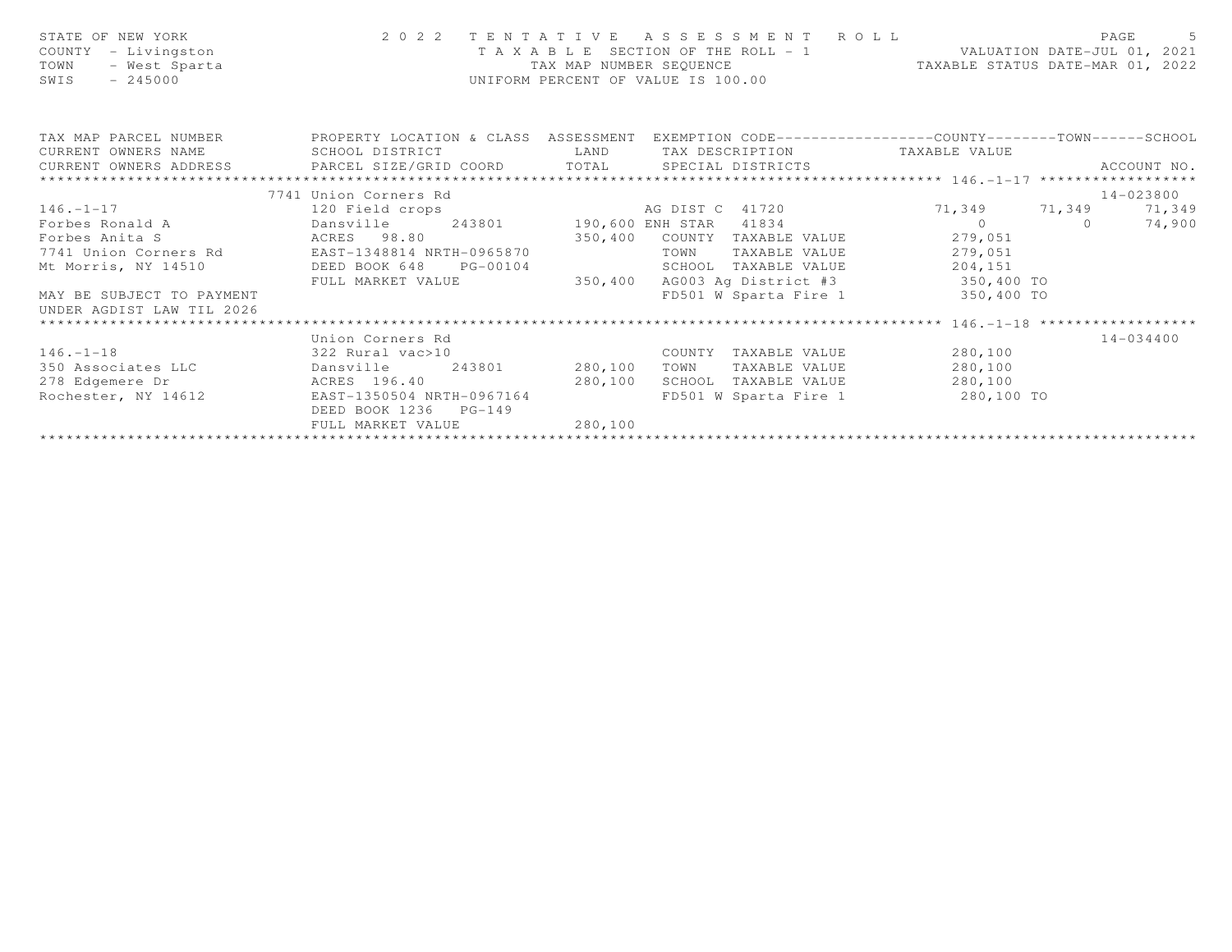| STATE OF NEW YORK<br>COUNTY - Livingston<br>- West Sparta<br>TOWN<br>$-245000$<br>SWIS                                     |                                                    | TAX MAP NUMBER SEQUENCE | UNIFORM PERCENT OF VALUE IS 100.00 | 2022 TENTATIVE ASSESSMENT ROLL<br>T A X A B L E SECTION OF THE ROLL - 1 VALUATION DATE-JUL 01, 2021<br>TAXABLE STATUS DATE-MAR 01, 2022 | PAGE        | $5^{\circ}$ |
|----------------------------------------------------------------------------------------------------------------------------|----------------------------------------------------|-------------------------|------------------------------------|-----------------------------------------------------------------------------------------------------------------------------------------|-------------|-------------|
| TAX MAP PARCEL NUMBER THE PROPERTY LOCATION & CLASS ASSESSMENT EXEMPTION CODE---------------COUNTY--------TOWN------SCHOOL |                                                    |                         |                                    |                                                                                                                                         |             |             |
| CURRENT OWNERS NAME                                                                                                        | SCHOOL DISTRICT                                    |                         |                                    | LAND TAX DESCRIPTION TAXABLE VALUE                                                                                                      |             |             |
| CURRENT OWNERS ADDRESS     PARCEL SIZE/GRID COORD     TOTAL   SPECIAL DISTRICTS                                            |                                                    |                         |                                    |                                                                                                                                         | ACCOUNT NO. |             |
|                                                                                                                            | 7741 Union Corners Rd                              |                         |                                    |                                                                                                                                         | 14-023800   |             |
|                                                                                                                            |                                                    |                         |                                    |                                                                                                                                         | 71,349      |             |
|                                                                                                                            |                                                    |                         |                                    |                                                                                                                                         | 74,900      |             |
| Forbes Anita S                      ACRES    98.80                        350,400   COUNTY TAXABLE VALUE                   |                                                    |                         |                                    | 279,051                                                                                                                                 |             |             |
| 7741 Union Corners Rd             EAST-1348814 NRTH-0965870                                                                |                                                    |                         | TOWN                               | TAXABLE VALUE 279,051                                                                                                                   |             |             |
| Mt Morris, NY 14510                                                                                                        | DEED BOOK 648 PG-00104                             |                         |                                    | SCHOOL TAXABLE VALUE 204,151                                                                                                            |             |             |
|                                                                                                                            | FULL MARKET VALUE                                  | 350, 400                |                                    | AG003 Aq District #3 350,400 TO                                                                                                         |             |             |
| MAY BE SUBJECT TO PAYMENT<br>UNDER AGDIST LAW TIL 2026                                                                     |                                                    |                         |                                    | FD501 W Sparta Fire 1 350,400 TO                                                                                                        |             |             |
| *************************                                                                                                  |                                                    |                         |                                    |                                                                                                                                         |             |             |
|                                                                                                                            | Union Corners Rd                                   |                         |                                    |                                                                                                                                         | 14-034400   |             |
| $146. -1 - 18$ 322 Rural vac > 10                                                                                          |                                                    |                         |                                    | COUNTY TAXABLE VALUE 6 280,100                                                                                                          |             |             |
| 350 Associates LLC bansville 243801 280,100                                                                                |                                                    |                         |                                    | TOWN TAXABLE VALUE 280,100                                                                                                              |             |             |
| 278 Edgemere Dr                                                                                                            | ACRES 196.40 280,100                               |                         |                                    | SCHOOL TAXABLE VALUE 280,100                                                                                                            |             |             |
| Rochester, NY 14612                                                                                                        | EAST-1350504 NRTH-0967164<br>DEED BOOK 1236 PG-149 |                         |                                    | FD501 W Sparta Fire 1 280,100 TO                                                                                                        |             |             |
|                                                                                                                            | FULL MARKET VALUE                                  | 280,100                 |                                    |                                                                                                                                         |             |             |
|                                                                                                                            |                                                    |                         |                                    |                                                                                                                                         |             |             |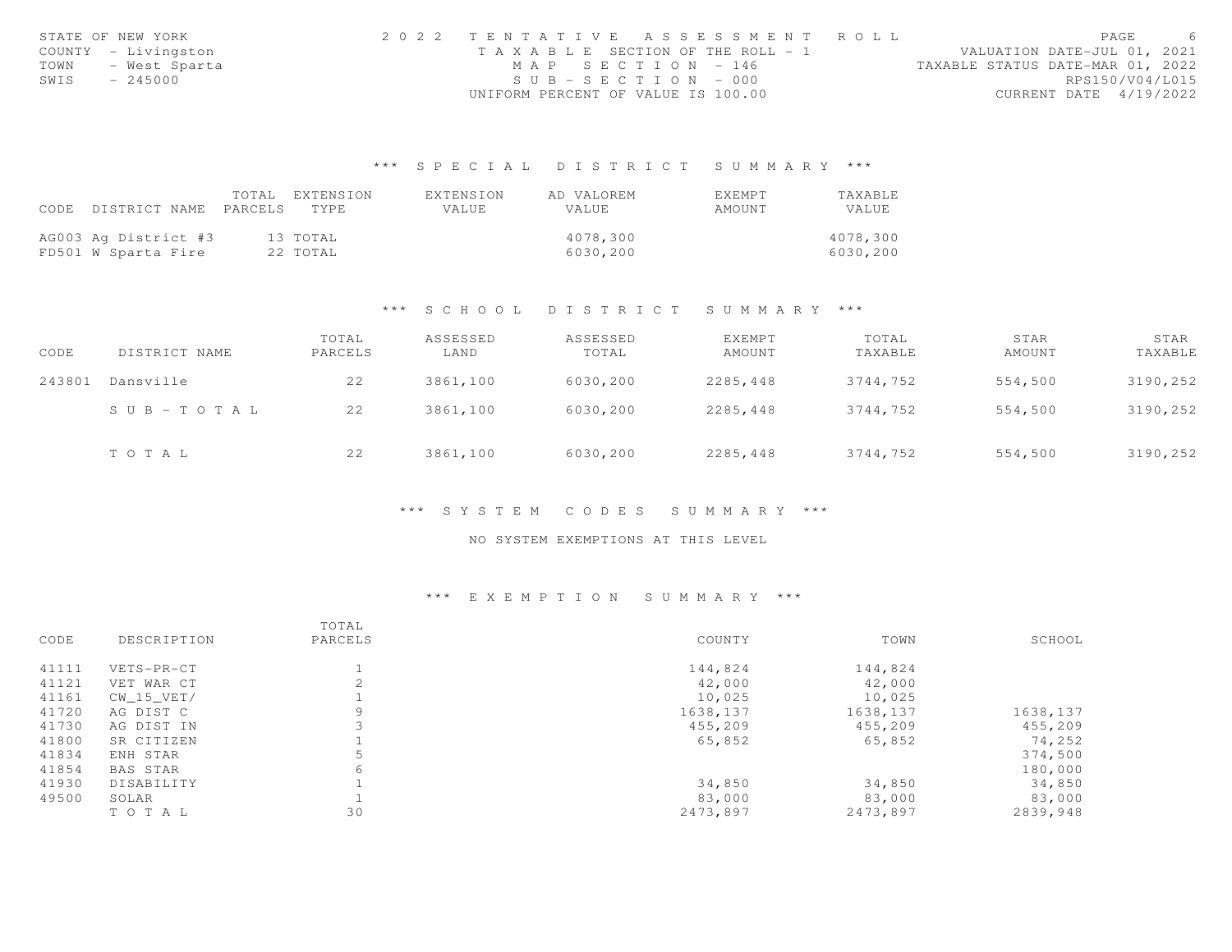|      | STATE OF NEW YORK   | 2022 TENTATIVE ASSESSMENT ROLL        | PAGE                             |  |
|------|---------------------|---------------------------------------|----------------------------------|--|
|      | COUNTY - Livingston | T A X A B L E SECTION OF THE ROLL - 1 | VALUATION DATE-JUL 01, 2021      |  |
| TOWN | - West Sparta       | MAP SECTION - 146                     | TAXABLE STATUS DATE-MAR 01, 2022 |  |
| SWIS | - 245000            | $SUB - SECTION - 000$                 | RPS150/V04/L015                  |  |
|      |                     | UNIFORM PERCENT OF VALUE IS 100.00    | CURRENT DATE 4/19/2022           |  |

|                                 | TOTAL EXTENSION | EXTENSION | AD VALOREM | <b>FXFMPT</b> | <b>TAXABLE</b> |
|---------------------------------|-----------------|-----------|------------|---------------|----------------|
| CODE DISTRICT NAME PARCELS TYPE |                 | VALUE     | VALUE      | AMOUNT        | VALUE          |
|                                 |                 |           |            |               |                |
| AG003 Ag District #3            | 13 ТОТАЬ        |           | 4078,300   |               | 4078,300       |
| FD501 W Sparta Fire             | 22 TOTAL        |           | 6030,200   |               | 6030,200       |

#### \*\*\* S C H O O L D I S T R I C T S U M M A R Y \*\*\*

| CODE   | DISTRICT NAME         | TOTAL<br>PARCELS | ASSESSED<br>LAND | ASSESSED<br>TOTAL | EXEMPT<br>AMOUNT | TOTAL<br>TAXABLE | STAR<br>AMOUNT | STAR<br>TAXABLE |
|--------|-----------------------|------------------|------------------|-------------------|------------------|------------------|----------------|-----------------|
| 243801 | Dansville             | 22               | 3861,100         | 6030,200          | 2285,448         | 3744,752         | 554,500        | 3190,252        |
|        | $S \cup B - TO T A L$ | 22               | 3861,100         | 6030,200          | 2285,448         | 3744,752         | 554,500        | 3190,252        |
|        | TOTAL                 | 22               | 3861,100         | 6030,200          | 2285,448         | 3744,752         | 554,500        | 3190,252        |

#### \*\*\* S Y S T E M C O D E S S U M M A R Y \*\*\*

### NO SYSTEM EXEMPTIONS AT THIS LEVEL

|       |                 | TOTAL   |          |          |          |
|-------|-----------------|---------|----------|----------|----------|
| CODE  | DESCRIPTION     | PARCELS | COUNTY   | TOWN     | SCHOOL   |
| 41111 | VETS-PR-CT      |         | 144,824  | 144,824  |          |
| 41121 | VET WAR CT      |         | 42,000   | 42,000   |          |
| 41161 | CW 15 VET/      |         | 10,025   | 10,025   |          |
| 41720 | AG DIST C       | 9       | 1638,137 | 1638,137 | 1638,137 |
| 41730 | AG DIST IN      |         | 455,209  | 455,209  | 455,209  |
| 41800 | SR CITIZEN      |         | 65,852   | 65,852   | 74,252   |
| 41834 | ENH STAR        | 5       |          |          | 374,500  |
| 41854 | <b>BAS STAR</b> | 6       |          |          | 180,000  |
| 41930 | DISABILITY      |         | 34,850   | 34,850   | 34,850   |
| 49500 | SOLAR           |         | 83,000   | 83,000   | 83,000   |
|       | TOTAL           | 30      | 2473,897 | 2473,897 | 2839,948 |
|       |                 |         |          |          |          |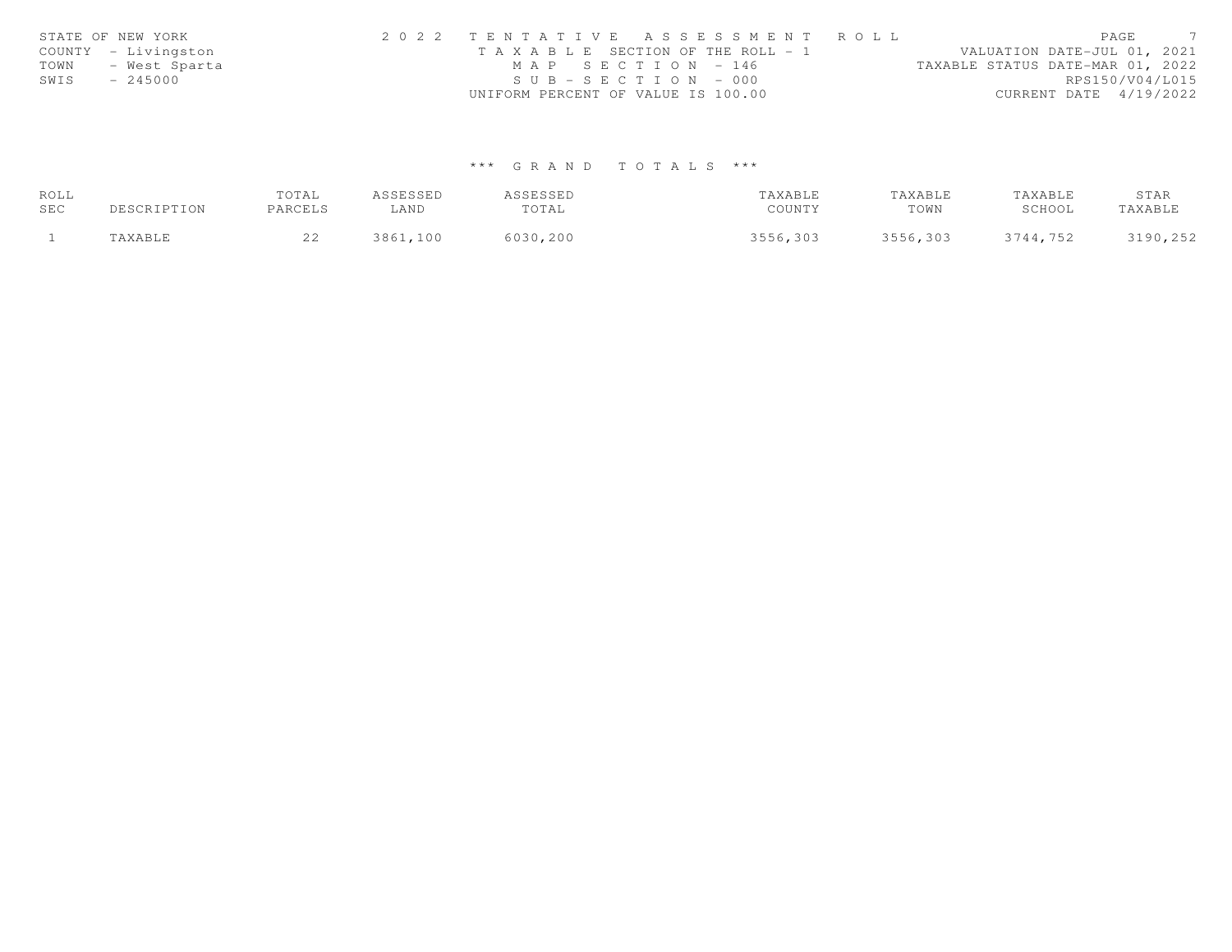|      | STATE OF NEW YORK   | 2022 TENTATIVE ASSESSMENT ROLL        | PAGE                             |
|------|---------------------|---------------------------------------|----------------------------------|
|      | COUNTY - Livingston | T A X A B L E SECTION OF THE ROLL - 1 | VALUATION DATE-JUL 01, 2021      |
| TOWN | - West Sparta       | MAP SECTION - 146                     | TAXABLE STATUS DATE-MAR 01, 2022 |
| SWIS | $-245000$           | $SUB - SECTION - 000$                 | RPS150/V04/L015                  |
|      |                     | UNIFORM PERCENT OF VALUE IS 100.00    | CURRENT DATE 4/19/2022           |

| ROLL |             | TOTAL   | ASSESSED | ASSESSED | TAXABLE  | TAXABLE  | TAXABLE  | STAR     |
|------|-------------|---------|----------|----------|----------|----------|----------|----------|
| SEC  | DESCRIPTION | PARCELS | ∟AND     | TOTAL    | COUNTY   | TOWN     | SCHOOL   | TAXABLE  |
|      | TAXABLE     |         | 3861,100 | 6030,200 | 3556,303 | 3556,303 | 3744,752 | 3190,252 |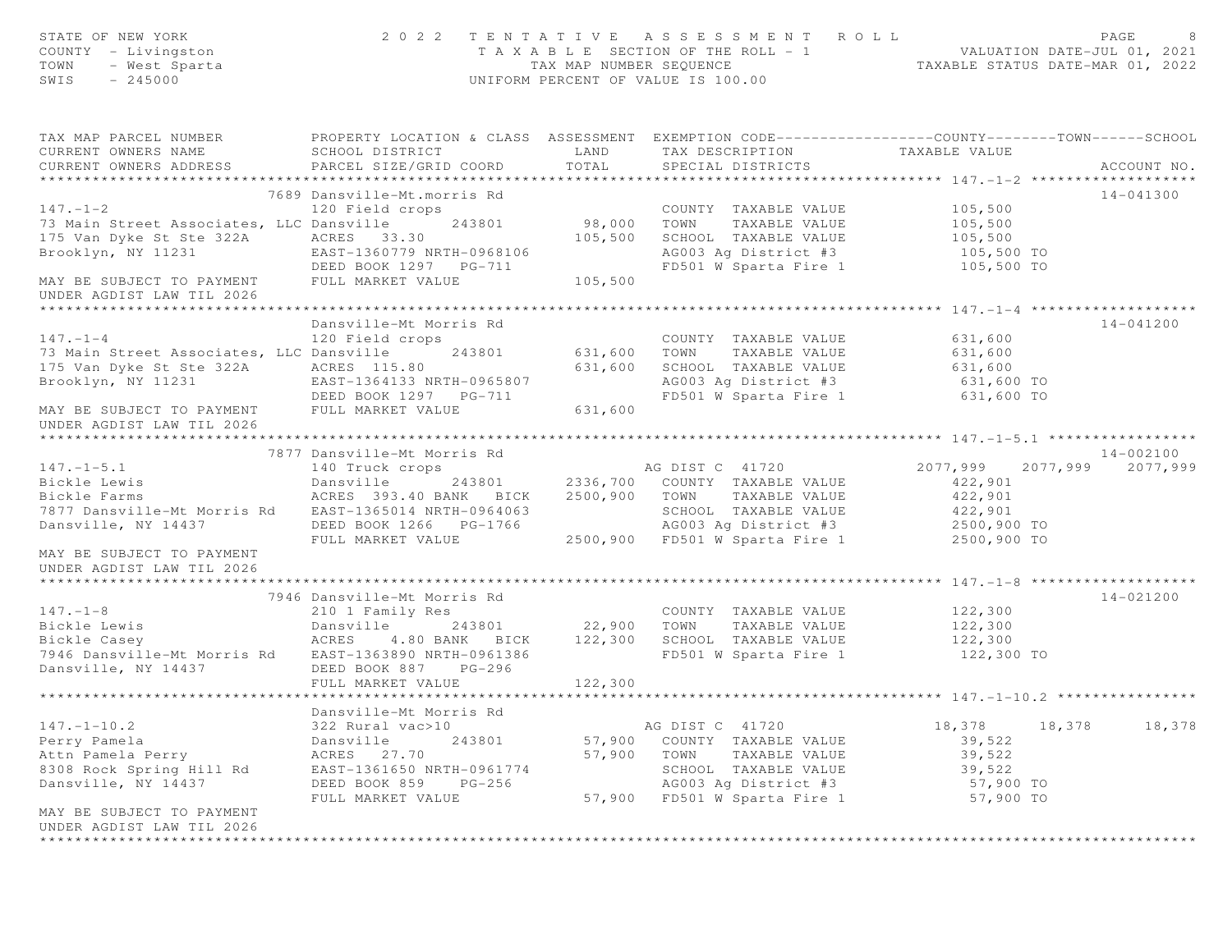| STATE OF NEW YORK<br>COUNTY - Livingston<br>- West Sparta<br>TOWN<br>$-245000$<br>SWIS                                                          |                                                |         | 2022 TENTATIVE ASSESSMENT ROLL<br>T A X A B L E SECTION OF THE ROLL - 1 VALUATION DATE-JUL 01, 2021<br>TAX MAP NUMBER SEQUENCE TAXABLE STATUS DATE-MAR 01, 2022<br>UNIFORM PERCENT OF VALUE IS 100.00 |                     | PAGE<br>8         |
|-------------------------------------------------------------------------------------------------------------------------------------------------|------------------------------------------------|---------|-------------------------------------------------------------------------------------------------------------------------------------------------------------------------------------------------------|---------------------|-------------------|
| TAX MAP PARCEL NUMBER THE PROPERTY LOCATION & CLASS ASSESSMENT EXEMPTION CODE--------------COUNTY-------TOWN------SCHOOL<br>CURRENT OWNERS NAME | SCHOOL DISTRICT                                | LAND    | TAX DESCRIPTION                                                                                                                                                                                       | TAXABLE VALUE       |                   |
| CURRENT OWNERS ADDRESS                                                                                                                          | PARCEL SIZE/GRID COORD                         | TOTAL   | SPECIAL DISTRICTS                                                                                                                                                                                     |                     | ACCOUNT NO.       |
|                                                                                                                                                 |                                                |         |                                                                                                                                                                                                       |                     |                   |
| $147. - 1 - 2$                                                                                                                                  | 7689 Dansville-Mt.morris Rd<br>120 Field crops |         | COUNTY TAXABLE VALUE                                                                                                                                                                                  | 105,500             | 14-041300         |
| 73 Main Street Associates, LLC Dansville                                                                                                        | 243801                                         | 98,000  | TAXABLE VALUE<br>TOWN                                                                                                                                                                                 | 105,500             |                   |
| 175 Van Dyke St Ste 322A<br>Brooklyn. NY 11231                                                                                                  | ACRES 33.30                                    | 105,500 |                                                                                                                                                                                                       |                     |                   |
| Brooklyn, NY 11231                                                                                                                              | EAST-1360779 NRTH-0968106                      |         | SCHOOL TAXABLE VALUE 105,500<br>AG003 Ag District #3 105,500 TO                                                                                                                                       |                     |                   |
|                                                                                                                                                 | DEED BOOK 1297 PG-711                          |         | FD501 W Sparta Fire 1 105,500 TO                                                                                                                                                                      |                     |                   |
| MAY BE SUBJECT TO PAYMENT<br>UNDER AGDIST LAW TIL 2026                                                                                          | FULL MARKET VALUE                              | 105,500 |                                                                                                                                                                                                       |                     |                   |
|                                                                                                                                                 |                                                |         |                                                                                                                                                                                                       |                     |                   |
|                                                                                                                                                 | Dansville-Mt Morris Rd                         |         |                                                                                                                                                                                                       |                     | 14-041200         |
| $147. - 1 - 4$<br>73 Main Street Associates, LLC Dansville                                                                                      | 120 Field crops<br>243801 631,600              |         | COUNTY TAXABLE VALUE<br>TOWN<br>TAXABLE VALUE                                                                                                                                                         | 631,600<br>631,600  |                   |
|                                                                                                                                                 |                                                | 631,600 | SCHOOL TAXABLE VALUE                                                                                                                                                                                  | 631,600             |                   |
| 175 Van Dyke St Ste 322A ACRES 115.80<br>Brooklyn, NY 11231                 EAST-1364133 N                                                      | EAST-1364133 NRTH-0965807                      |         | AG003 Ag District #3 631,600 TO                                                                                                                                                                       |                     |                   |
|                                                                                                                                                 | DEED BOOK 1297 PG-711                          |         | FD501 W Sparta Fire 1                                                                                                                                                                                 | 631,600 TO          |                   |
| MAY BE SUBJECT TO PAYMENT FULL MARKET VALUE 631,600<br>UNDER AGDIST LAW TIL 2026                                                                |                                                |         |                                                                                                                                                                                                       |                     |                   |
|                                                                                                                                                 |                                                |         |                                                                                                                                                                                                       |                     |                   |
|                                                                                                                                                 | 7877 Dansville-Mt Morris Rd                    |         |                                                                                                                                                                                                       |                     | 14-002100         |
| $147. - 1 - 5.1$                                                                                                                                | 140 Truck crops                                |         | AG DIST C 41720                                                                                                                                                                                       | 2077,999            | 2077,999 2077,999 |
| Bickle Lewis                                                                                                                                    | Dansville<br>243801                            |         | 2336,700 COUNTY TAXABLE VALUE                                                                                                                                                                         | 422,901             |                   |
| Bickle Farms<br>7877 Dansville-Mt Morris Rd EAST-1365014 NRTH-0964063                                                                           | ACRES 393.40 BANK BICK                         |         | 2500,900 TOWN TAXABLE VALUE<br>SCHOOL TAXABLE VALUE                                                                                                                                                   | 422,901<br>422,901  |                   |
| Dansville, NY 14437                                                                                                                             | DEED BOOK 1266    PG-1766                      |         |                                                                                                                                                                                                       |                     |                   |
|                                                                                                                                                 | FULL MARKET VALUE                              |         | AG003 Ag District #3 2500,900 TO<br>2500,900 FD501 W Sparta Fire 1 2500,900 TO                                                                                                                        |                     |                   |
| MAY BE SUBJECT TO PAYMENT                                                                                                                       |                                                |         |                                                                                                                                                                                                       |                     |                   |
| UNDER AGDIST LAW TIL 2026                                                                                                                       |                                                |         |                                                                                                                                                                                                       |                     |                   |
|                                                                                                                                                 |                                                |         |                                                                                                                                                                                                       |                     |                   |
|                                                                                                                                                 | 7946 Dansville-Mt Morris Rd                    |         |                                                                                                                                                                                                       |                     | 14-021200         |
|                                                                                                                                                 |                                                |         | COUNTY TAXABLE VALUE<br>243801 22,900 TOWN TAXABLE VALUE                                                                                                                                              | 122,300<br>122,300  |                   |
|                                                                                                                                                 |                                                |         | SCHOOL TAXABLE VALUE 122,300                                                                                                                                                                          |                     |                   |
|                                                                                                                                                 |                                                |         | FD501 W Sparta Fire 1                                                                                                                                                                                 | 122,300 TO          |                   |
| Dansville, NY 14437                                                                                                                             | DEED BOOK 887 PG-296                           |         |                                                                                                                                                                                                       |                     |                   |
|                                                                                                                                                 | FULL MARKET VALUE                              | 122,300 |                                                                                                                                                                                                       |                     |                   |
|                                                                                                                                                 |                                                |         |                                                                                                                                                                                                       |                     |                   |
|                                                                                                                                                 | Dansville-Mt Morris Rd                         |         |                                                                                                                                                                                                       |                     |                   |
| $147. - 1 - 10.2$                                                                                                                               | 322 Rural vac>10                               |         | AG DIST C 41720                                                                                                                                                                                       | 18,378<br>18,378    | 18,378            |
| Perry Pamela                                                                                                                                    | Dansville<br>243801                            | 57,900  | COUNTY TAXABLE VALUE                                                                                                                                                                                  | 39,522              |                   |
| Attn Pamela Perry                                                                                                                               | 27.70<br>ACRES                                 | 57,900  | TOWN<br>TAXABLE VALUE                                                                                                                                                                                 | 39,522              |                   |
| 8308 Rock Spring Hill Rd                                                                                                                        | EAST-1361650 NRTH-0961774<br>PG-256            |         | SCHOOL TAXABLE VALUE<br>AG003 Ag District #3                                                                                                                                                          | 39,522<br>57,900 TO |                   |
| Dansville, NY 14437                                                                                                                             | DEED BOOK 859<br>FULL MARKET VALUE             | 57,900  | FD501 W Sparta Fire 1                                                                                                                                                                                 | 57,900 TO           |                   |
| MAY BE SUBJECT TO PAYMENT<br>UNDER AGDIST LAW TIL 2026                                                                                          |                                                |         |                                                                                                                                                                                                       |                     |                   |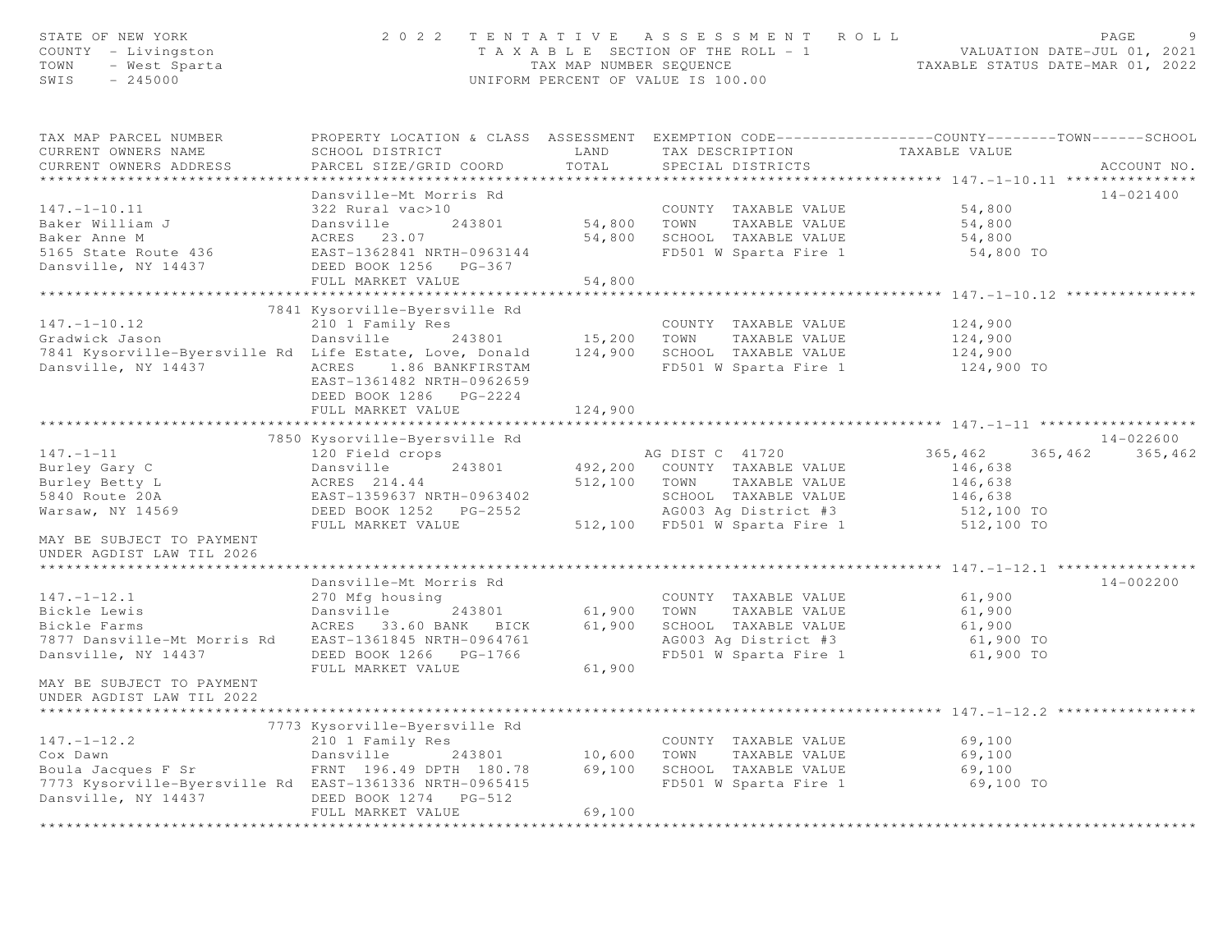| STATE OF NEW YORK<br>COUNTY - Livingston<br>- West Sparta<br>- 245000<br>TOWN<br>SWIS | 2022 TENTATIVE ASSESSMENT ROLL<br>UNIFORM PERCENT OF VALUE IS 100.00                                                                         | PAGE<br>T A X A B L E SECTION OF THE ROLL - 1 VALUATION DATE-JUL 01, 2021<br>TAX MAP NUMBER SEQUENCE TAXABLE STATUS DATE-MAR 01, 2022 |                                                   |                 |             |
|---------------------------------------------------------------------------------------|----------------------------------------------------------------------------------------------------------------------------------------------|---------------------------------------------------------------------------------------------------------------------------------------|---------------------------------------------------|-----------------|-------------|
| TAX MAP PARCEL NUMBER<br>CURRENT OWNERS NAME<br>CURRENT OWNERS ADDRESS                | PROPERTY LOCATION & CLASS ASSESSMENT EXEMPTION CODE----------------COUNTY-------TOWN-----SCHOOL<br>SCHOOL DISTRICT<br>PARCEL SIZE/GRID COORD | TOTAL                                                                                                                                 | LAND TAX DESCRIPTION<br>SPECIAL DISTRICTS         | TAXABLE VALUE   | ACCOUNT NO. |
|                                                                                       |                                                                                                                                              |                                                                                                                                       |                                                   |                 |             |
|                                                                                       | Dansville-Mt Morris Rd                                                                                                                       |                                                                                                                                       |                                                   |                 | 14-021400   |
| $147. - 1 - 10.11$                                                                    | 322 Rural vac>10                                                                                                                             |                                                                                                                                       | COUNTY TAXABLE VALUE                              | 54,800          |             |
| Baker William J                                                                       | Dansville<br>243801                                                                                                                          |                                                                                                                                       | 54,800 TOWN TAXABLE VALUE                         | 54,800          |             |
| Baker Anne M                                                                          | ACRES 23.07                                                                                                                                  |                                                                                                                                       | 54,800 SCHOOL TAXABLE VALUE                       | 54,800          |             |
|                                                                                       |                                                                                                                                              |                                                                                                                                       | FD501 W Sparta Fire 1                             | 54,800 TO       |             |
| Dansville, NY 14437                                                                   | DEED BOOK 1256 PG-367                                                                                                                        |                                                                                                                                       |                                                   |                 |             |
|                                                                                       | FULL MARKET VALUE                                                                                                                            | 54,800                                                                                                                                |                                                   |                 |             |
|                                                                                       |                                                                                                                                              |                                                                                                                                       |                                                   |                 |             |
|                                                                                       | 7841 Kysorville-Byersville Rd                                                                                                                |                                                                                                                                       |                                                   |                 |             |
| $147. - 1 - 10.12$                                                                    | 210 1 Family Res                                                                                                                             |                                                                                                                                       | COUNTY TAXABLE VALUE<br>15,200 TOWN TAXABLE VALUE | 124,900         |             |
| Gradwick Jason                                                                        | Dansville 243801                                                                                                                             |                                                                                                                                       |                                                   | 124,900         |             |
| 7841 Kysorville-Byersville Rd Life Estate, Love, Donald 124,900 SCHOOL TAXABLE VALUE  |                                                                                                                                              |                                                                                                                                       |                                                   | 124,900         |             |
| Dansville, NY 14437                                                                   | ACRES 1.86 BANKFIRSTAM<br>EAST-1361482 NRTH-0962659<br>DEED BOOK 1286    PG-2224                                                             |                                                                                                                                       | FD501 W Sparta Fire 1                             | 124,900 TO      |             |
|                                                                                       | FULL MARKET VALUE                                                                                                                            | 124,900                                                                                                                               |                                                   |                 |             |
|                                                                                       |                                                                                                                                              |                                                                                                                                       |                                                   |                 |             |
|                                                                                       | 7850 Kysorville-Byersville Rd                                                                                                                |                                                                                                                                       |                                                   |                 | 14-022600   |
| $147. - 1 - 11$                                                                       | 120 Field crops                                                                                                                              |                                                                                                                                       | AG DIST C 41720                                   | 365,462 365,462 | 365,462     |
| Burley Gary C                                                                         | Dansville<br>243801                                                                                                                          |                                                                                                                                       | 492,200 COUNTY TAXABLE VALUE                      | 146,638         |             |
|                                                                                       | ACRES 214.44                                                                                                                                 |                                                                                                                                       | 512,100 TOWN TAXABLE VALUE                        | 146,638         |             |
| Burley Betty L<br>5840 Route 20A<br>Warsaw, NY 14569                                  | EAST-1359637 NRTH-0963402<br>---- --- --- 1252 PG-2552                                                                                       |                                                                                                                                       | SCHOOL TAXABLE VALUE                              | 146,638         |             |
|                                                                                       | DEED BOOK 1252 PG-2552                                                                                                                       |                                                                                                                                       | AG003 Ag District #3                              | 512,100 TO      |             |
| MAY BE SUBJECT TO PAYMENT<br>UNDER AGDIST LAW TIL 2026                                | FULL MARKET VALUE                                                                                                                            |                                                                                                                                       | 512,100 FD501 W Sparta Fire 1                     | 512,100 TO      |             |
|                                                                                       | Dansville-Mt Morris Rd                                                                                                                       |                                                                                                                                       |                                                   |                 | 14-002200   |
| $147. - 1 - 12.1$                                                                     | 270 Mfg housing                                                                                                                              |                                                                                                                                       | COUNTY TAXABLE VALUE                              | 61,900          |             |
| Bickle Lewis                                                                          | Dansville 243801                                                                                                                             |                                                                                                                                       | 61,900 TOWN TAXABLE VALUE                         | 61,900          |             |
| Bickle Farms                                                                          | ACRES 33.60 BANK BICK                                                                                                                        |                                                                                                                                       | 61,900 SCHOOL TAXABLE VALUE                       | 61,900          |             |
| 7877 Dansville-Mt Morris Rd                                                           | EAST-1361845 NRTH-0964761                                                                                                                    |                                                                                                                                       | AG003 Ag District #3                              | 61,900 TO       |             |
| Dansville, NY 14437                                                                   | DEED BOOK 1266 PG-1766                                                                                                                       |                                                                                                                                       | FD501 W Sparta Fire 1                             | 61,900 TO       |             |
|                                                                                       | FULL MARKET VALUE                                                                                                                            | 61,900                                                                                                                                |                                                   |                 |             |
| MAY BE SUBJECT TO PAYMENT<br>UNDER AGDIST LAW TIL 2022<br>*********************       |                                                                                                                                              |                                                                                                                                       |                                                   |                 |             |
|                                                                                       |                                                                                                                                              |                                                                                                                                       |                                                   |                 |             |
|                                                                                       | 7773 Kysorville-Byersville Rd                                                                                                                |                                                                                                                                       |                                                   |                 |             |
| $147. - 1 - 12.2$<br>Cox Dawn                                                         | 210 1 Family Res                                                                                                                             |                                                                                                                                       | COUNTY TAXABLE VALUE                              | 69,100          |             |
| Boula Jacques F Sr                                                                    | Dansville 243801 10,600 TOWN TAXABLE VALUE<br>FRNT 196.49 DPTH 180.78 69,100 SCHOOL TAXABLE VALUE                                            |                                                                                                                                       |                                                   | 69,100          |             |
|                                                                                       | FRNT 196.49 DPTH 180.78                                                                                                                      |                                                                                                                                       |                                                   | 69,100          |             |
| 7773 Kysorville-Byersville Rd EAST-1361336 NRTH-0965415<br>Dansville, NY 14437        | DEED BOOK 1274 PG-512<br>FULL MARKET VALUE                                                                                                   | 69,100                                                                                                                                | FD501 W Sparta Fire 1                             | 69,100 TO       |             |
|                                                                                       |                                                                                                                                              | <b>+++++++++++++++++</b>                                                                                                              |                                                   |                 |             |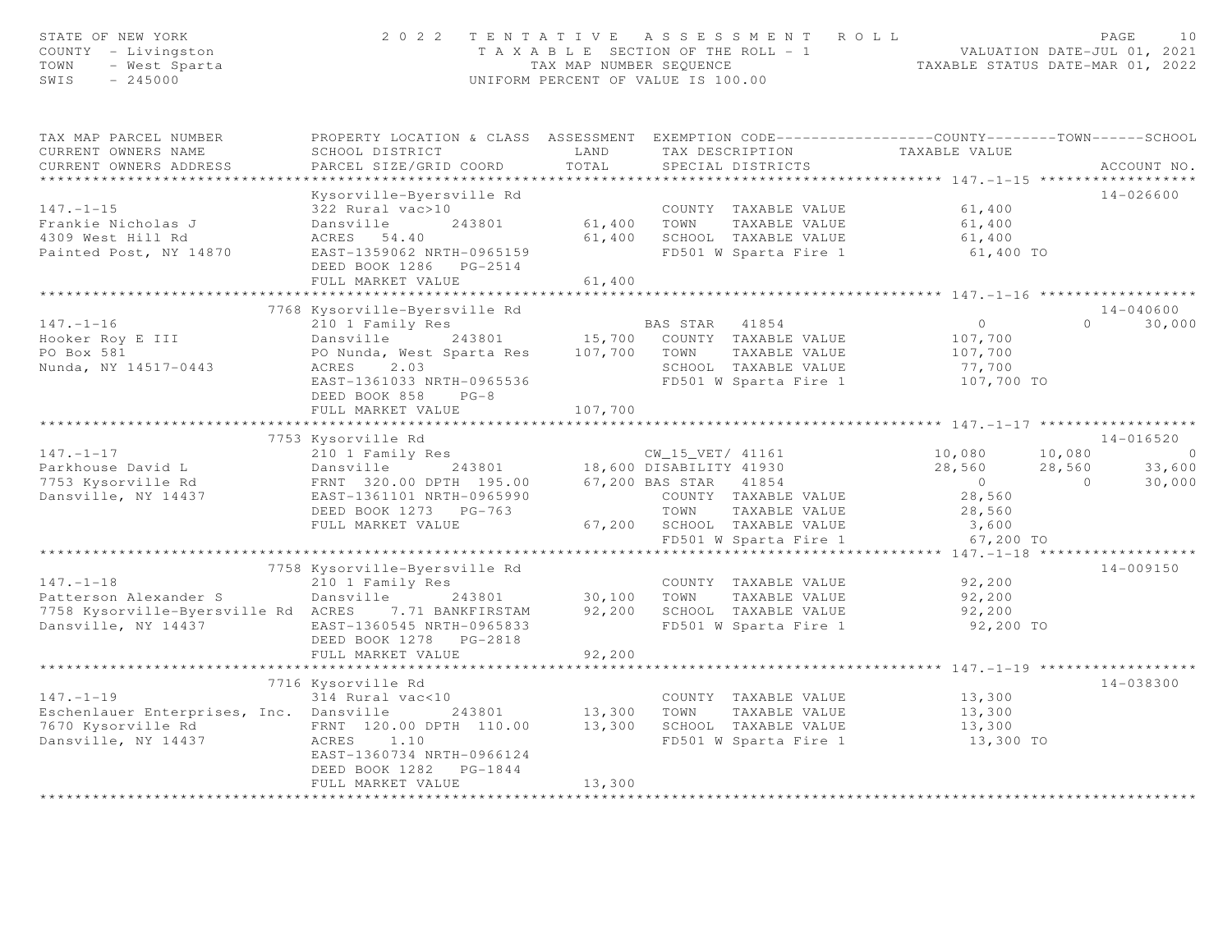| STATE OF NEW YORK<br>2022 TENTATIVE ASSESSMENT ROLL<br>COUNTY - Livingston<br>T A X A B L E SECTION OF THE ROLL - 1 VALUATION DATE-JUL 01, 2021<br>TAX MAP NUMBER SEQUENCE TAXABLE STATUS DATE-MAR 01, 2022<br>TOWN<br>- West Sparta<br>SWIS<br>$-245000$<br>UNIFORM PERCENT OF VALUE IS 100.00 |                                                                                                                                                                              |                       |                                                                                                                                                 |                                                              | PAGE<br>10                                                               |  |  |  |
|-------------------------------------------------------------------------------------------------------------------------------------------------------------------------------------------------------------------------------------------------------------------------------------------------|------------------------------------------------------------------------------------------------------------------------------------------------------------------------------|-----------------------|-------------------------------------------------------------------------------------------------------------------------------------------------|--------------------------------------------------------------|--------------------------------------------------------------------------|--|--|--|
| TAX MAP PARCEL NUMBER<br>CURRENT OWNERS NAME<br>CURRENT OWNERS ADDRESS<br>********************                                                                                                                                                                                                  | PROPERTY LOCATION & CLASS ASSESSMENT EXEMPTION CODE----------------COUNTY-------TOWN------SCHOOL<br>SCHOOL DISTRICT<br>PARCEL SIZE/GRID COORD                                | LAND<br>TOTAL         | TAX DESCRIPTION<br>SPECIAL DISTRICTS                                                                                                            | TAXABLE VALUE                                                | ACCOUNT NO.                                                              |  |  |  |
| $147. - 1 - 15$<br>Frankie Nicholas J<br>4309 West Hill Rd<br>Painted Post, NY 14870                                                                                                                                                                                                            | Kysorville-Byersville Rd<br>322 Rural vac>10<br>Dansville<br>243801<br>ACRES 54.40<br>EAST-1359062 NRTH-0965159<br>DEED BOOK 1286    PG-2514<br>FULL MARKET VALUE            | 61,400 TOWN<br>61,400 | COUNTY TAXABLE VALUE<br>TAXABLE VALUE<br>61,400 SCHOOL TAXABLE VALUE<br>FD501 W Sparta Fire 1                                                   | 61,400<br>61,400<br>61,400<br>61,400 TO                      | $14 - 026600$                                                            |  |  |  |
|                                                                                                                                                                                                                                                                                                 |                                                                                                                                                                              |                       |                                                                                                                                                 |                                                              |                                                                          |  |  |  |
| $147. - 1 - 16$<br>Hooker Roy E III<br>PO Box 581<br>Nunda, NY 14517-0443                                                                                                                                                                                                                       | 7768 Kysorville-Byersville Rd<br>210 1 Family Res<br>Dansville<br>PO Nunda, West Sparta Res 107,700 TOWN<br>ACRES<br>2.03<br>EAST-1361033 NRTH-0965536<br>DEED BOOK 858 PG-8 |                       | BAS STAR 41854<br>243801 15,700 COUNTY TAXABLE VALUE<br>TAXABLE VALUE<br>SCHOOL TAXABLE VALUE<br>FD501 W Sparta Fire 1                          | $\overline{O}$<br>107,700<br>107,700<br>77,700<br>107,700 TO | 14-040600<br>$\cap$<br>30,000                                            |  |  |  |
|                                                                                                                                                                                                                                                                                                 | FULL MARKET VALUE                                                                                                                                                            | 107,700               |                                                                                                                                                 |                                                              |                                                                          |  |  |  |
|                                                                                                                                                                                                                                                                                                 | 7753 Kysorville Rd                                                                                                                                                           |                       |                                                                                                                                                 |                                                              | 14-016520                                                                |  |  |  |
| $147. - 1 - 17$<br>Parkhouse David L<br>7753 Kysorville Rd<br>Dansville, NY 14437                                                                                                                                                                                                               | 210 1 Family Res<br>Dansville 243801<br>FRNT 320.00 DPTH 195.00 67,200 BAS STAR 41854<br>EAST-1361101 NRTH-0965990<br>DEED BOOK 1273 PG-763<br>FULL MARKET VALUE             |                       | CW_15_VET/ 41161<br>CW_15_VET/ 41161<br>18,600 DISABILITY 41930<br>COUNTY TAXABLE VALUE<br>TOWN<br>TAXABLE VALUE<br>67,200 SCHOOL TAXABLE VALUE | 10,080<br>28,560<br>$0$<br>28,560<br>28,560<br>3,600         | 10,080<br>$\overline{0}$<br>28,560<br>33,600<br>$\overline{0}$<br>30,000 |  |  |  |
|                                                                                                                                                                                                                                                                                                 |                                                                                                                                                                              |                       | FD501 W Sparta Fire 1                                                                                                                           | 67,200 TO                                                    |                                                                          |  |  |  |
| $147. - 1 - 18$<br>Patterson Alexander S<br>7758 Kysorville-Byersville Rd ACRES<br>Dansville, NY 14437                                                                                                                                                                                          | 7758 Kysorville-Byersville Rd<br>210 1 Family Res<br>Dansville<br>243801<br>7.71 BANKFIRSTAM<br>EAST-1360545 NRTH-0965833<br>DEED BOOK 1278 PG-2818<br>FULL MARKET VALUE     | 92,200                | COUNTY TAXABLE VALUE<br>30,100 TOWN<br>TAXABLE VALUE<br>92,200 SCHOOL TAXABLE VALUE<br>FD501 W Sparta Fire 1                                    | 92,200<br>92,200<br>92,200<br>92,200 TO                      | $14 - 009150$                                                            |  |  |  |
|                                                                                                                                                                                                                                                                                                 |                                                                                                                                                                              | **********            |                                                                                                                                                 | *********** 147.-1-19 **************                         |                                                                          |  |  |  |
| $147. - 1 - 19$<br>Eschenlauer Enterprises, Inc. Dansville<br>7670 Kysorville Rd<br>Dansville, NY 14437                                                                                                                                                                                         | 7716 Kysorville Rd<br>314 Rural vac<10<br>FRNT 120.00 DPTH 110.00<br>ACRES 1.10<br>EAST-1360734 NRTH-0966124<br>DEED BOOK 1282 PG-1844<br>FULL MARKET VALUE                  | 13,300                | COUNTY TAXABLE VALUE<br>243801 13,300 TOWN TAXABLE VALUE<br>TH 110.00 13,300 SCHOOL TAXABLE VALUE<br>FD501 W Sparta Fire 1                      | 13,300<br>13,300<br>13,300<br>13,300 TO                      | 14-038300                                                                |  |  |  |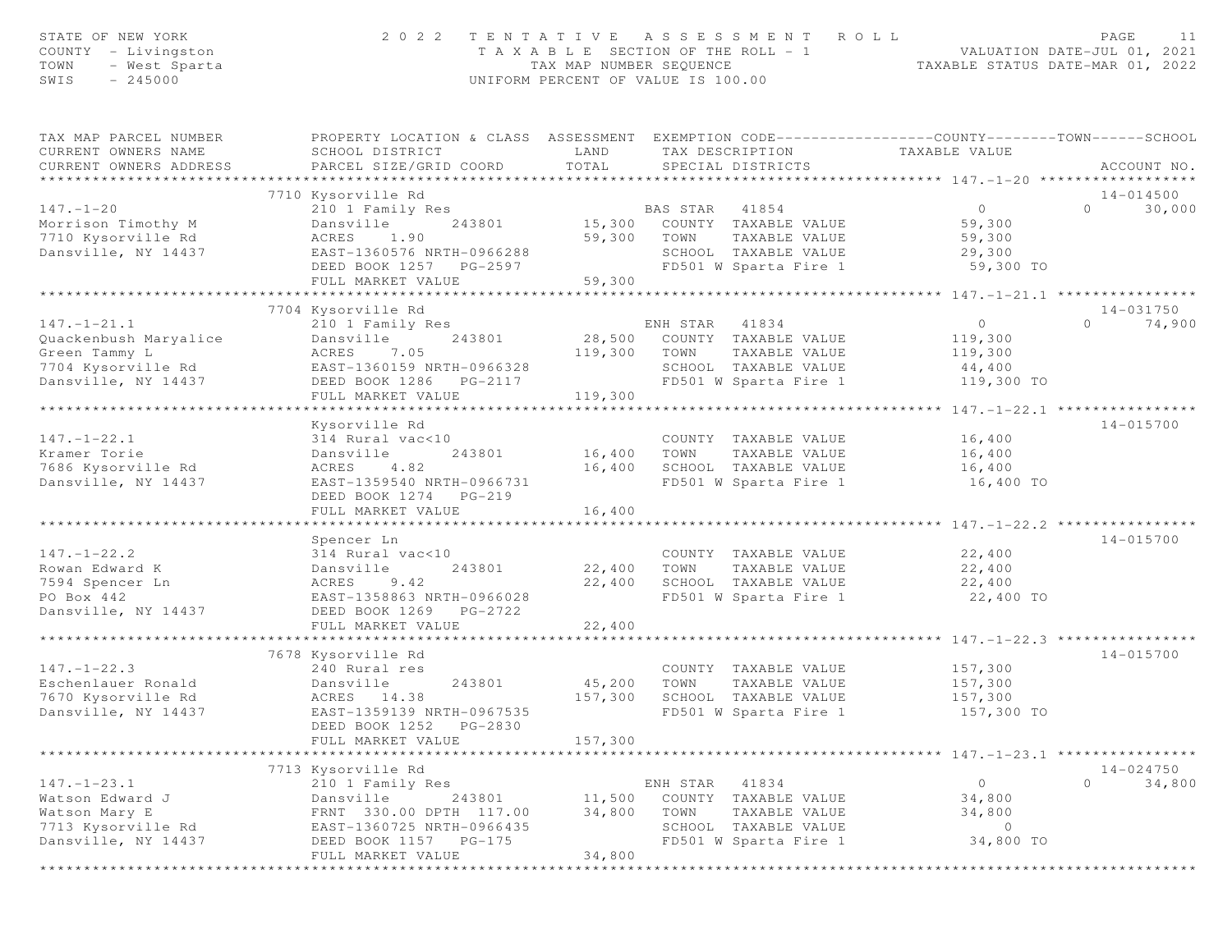| STATE OF NEW YORK<br>COUNTY - Livingston<br>$\operatorname{\mathsf{T}}\nolimits{\mathsf{OWN}}$<br>- West Sparta<br>SWIS<br>$-245000$ | 2 0 2 2                                                                                                                                                                               | TENTATIVE<br>T A X A B L E SECTION OF THE ROLL - 1<br>TAX MAP NUMBER SEOUENCE<br>UNIFORM PERCENT OF VALUE IS 100.00 |                            | A S S E S S M E N T<br>ROLL                                                                     |                                                       | PAGE<br>11<br>VALUATION DATE-JUL 01, 2021<br>TAXABLE STATUS DATE-MAR 01, 2022 |
|--------------------------------------------------------------------------------------------------------------------------------------|---------------------------------------------------------------------------------------------------------------------------------------------------------------------------------------|---------------------------------------------------------------------------------------------------------------------|----------------------------|-------------------------------------------------------------------------------------------------|-------------------------------------------------------|-------------------------------------------------------------------------------|
| TAX MAP PARCEL NUMBER<br>CURRENT OWNERS NAME<br>CURRENT OWNERS ADDRESS                                                               | PROPERTY LOCATION & CLASS ASSESSMENT EXEMPTION CODE----------------COUNTY-------TOWN------SCHOOL<br>SCHOOL DISTRICT<br>PARCEL SIZE/GRID COORD                                         | LAND<br>TOTAL                                                                                                       |                            | TAX DESCRIPTION<br>SPECIAL DISTRICTS                                                            | TAXABLE VALUE                                         | ACCOUNT NO.                                                                   |
|                                                                                                                                      | 7710 Kysorville Rd                                                                                                                                                                    | ************************                                                                                            |                            |                                                                                                 | **************** 147.-1-20 ***********                | 14-014500                                                                     |
| $147. - 1 - 20$                                                                                                                      | 210 1 Family Res                                                                                                                                                                      |                                                                                                                     | BAS STAR 41854             |                                                                                                 | $\circ$                                               | $\Omega$<br>30,000                                                            |
| Morrison Timothy M<br>7710 Kysorville Rd<br>Dansville, NY 14437                                                                      | Dansville<br>243801<br>ACRES<br>1.90<br>EAST-1360576 NRTH-0966288<br>DEED BOOK 1257 PG-2597<br>FULL MARKET VALUE                                                                      | 15,300<br>59,300<br>59,300                                                                                          | TOWN                       | COUNTY TAXABLE VALUE<br>TAXABLE VALUE<br>SCHOOL TAXABLE VALUE<br>FD501 W Sparta Fire 1          | 59,300<br>59,300<br>29,300<br>59,300 TO               |                                                                               |
|                                                                                                                                      | ***************************                                                                                                                                                           | ***********************                                                                                             |                            |                                                                                                 | ************** 147.-1-21.1 *****************          |                                                                               |
|                                                                                                                                      | 7704 Kysorville Rd                                                                                                                                                                    |                                                                                                                     |                            |                                                                                                 |                                                       | 14-031750                                                                     |
| $147. - 1 - 21.1$<br>Quackenbush Maryalice<br>Green Tammy L<br>7704 Kysorville Rd<br>Dansville, NY 14437                             | 210 1 Family Res<br>243801<br>Dansville<br>ACRES<br>7.05<br>EAST-1360159 NRTH-0966328<br>DEED BOOK 1286<br>PG-2117<br>FULL MARKET VALUE                                               | 28,500<br>119,300<br>119,300                                                                                        | ENH STAR<br>TOWN           | 41834<br>COUNTY TAXABLE VALUE<br>TAXABLE VALUE<br>SCHOOL TAXABLE VALUE<br>FD501 W Sparta Fire 1 | $\circ$<br>119,300<br>119,300<br>44,400<br>119,300 TO | 74,900<br>$\Omega$                                                            |
|                                                                                                                                      | *********************                                                                                                                                                                 |                                                                                                                     |                            |                                                                                                 | ****************** 147. -1-22.1 *****************     |                                                                               |
| $147. - 1 - 22.1$<br>Kramer Torie<br>7686 Kysorville Rd<br>Dansville, NY 14437                                                       | Kysorville Rd<br>314 Rural vac<10<br>Dansville<br>243801<br>4.82<br>ACRES<br>EAST-1359540 NRTH-0966731<br>DEED BOOK 1274 PG-219<br>FULL MARKET VALUE                                  | 16,400<br>16,400<br>16,400                                                                                          | TOWN                       | COUNTY TAXABLE VALUE<br>TAXABLE VALUE<br>SCHOOL TAXABLE VALUE<br>FD501 W Sparta Fire 1          | 16,400<br>16,400<br>16,400<br>16,400 TO               | 14-015700                                                                     |
|                                                                                                                                      |                                                                                                                                                                                       |                                                                                                                     |                            |                                                                                                 | ****** 147.-1-22.2 ***                                |                                                                               |
| $147. - 1 - 22.2$<br>Rowan Edward K<br>7594 Spencer Ln<br>PO Box 442<br>Dansville, NY 14437                                          | Spencer Ln<br>314 Rural vac<10<br>243801<br>Dansville<br>ACRES<br>9.42<br>EAST-1358863 NRTH-0966028<br>DEED BOOK 1269 PG-2722<br>FULL MARKET VALUE                                    | 22,400<br>22,400<br>22,400                                                                                          | TOWN                       | COUNTY TAXABLE VALUE<br>TAXABLE VALUE<br>SCHOOL TAXABLE VALUE<br>FD501 W Sparta Fire 1          | 22,400<br>22,400<br>22,400<br>22,400 TO               | 14-015700                                                                     |
|                                                                                                                                      |                                                                                                                                                                                       |                                                                                                                     |                            |                                                                                                 | ********* 147. -1-22.3 ****                           |                                                                               |
| $147. - 1 - 22.3$<br>Eschenlauer Ronald<br>7670 Kysorville Rd<br>Dansville, NY 14437                                                 | 7678 Kysorville Rd<br>240 Rural res<br>243801<br>Dansville<br>ACRES 14.38<br>EAST-1359139 NRTH-0967535<br>DEED BOOK 1252<br>PG-2830<br>FULL MARKET VALUE                              | 45,200<br>157,300<br>157,300                                                                                        | TOWN                       | COUNTY TAXABLE VALUE<br>TAXABLE VALUE<br>SCHOOL TAXABLE VALUE<br>FD501 W Sparta Fire 1          | 157,300<br>157,300<br>157,300<br>157,300 TO           | $14 - 015700$                                                                 |
|                                                                                                                                      |                                                                                                                                                                                       |                                                                                                                     |                            |                                                                                                 | ********** 147.-1-23.1 ****                           |                                                                               |
| $147. - 1 - 23.1$<br>Watson Edward J<br>Watson Mary E<br>7713 Kysorville Rd<br>Dansville, NY 14437                                   | 7713 Kysorville Rd<br>210 1 Family Res<br>Dansville<br>243801<br>FRNT 330.00 DPTH 117.00<br>EAST-1360725 NRTH-0966435<br>DEED BOOK 1157 PG-175<br>FULL MARKET VALUE<br>************** | 11,500<br>34,800<br>34,800                                                                                          | ENH STAR<br>TOWN<br>SCHOOL | 41834<br>COUNTY TAXABLE VALUE<br>TAXABLE VALUE<br>TAXABLE VALUE<br>FD501 W Sparta Fire 1        | $\circ$<br>34,800<br>34,800<br>$\circ$<br>34,800 TO   | $14 - 024750$<br>$\Omega$<br>34,800                                           |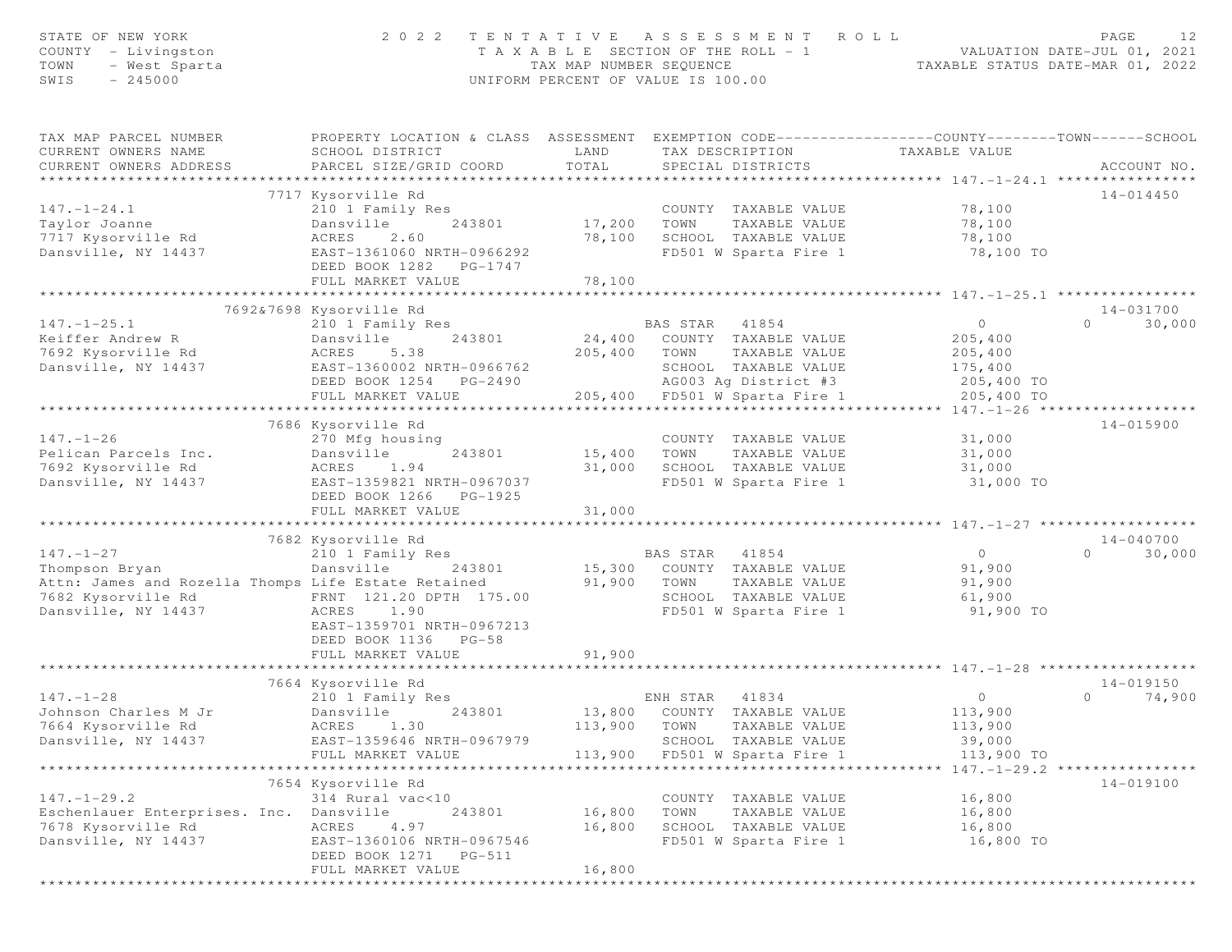| STATE OF NEW YORK<br>COUNTY - Livingston<br>- West Sparta<br>TOWN<br>$-245000$<br>SWIS           | 2 0 2 2                                                                                                          | TAX MAP NUMBER SEOUENCE   | TENTATIVE ASSESSMENT<br>T A X A B L E SECTION OF THE ROLL = 1<br>UNIFORM PERCENT OF VALUE IS 100.00   | R O L L                                      | PAGE<br>12<br>VALUATION DATE-JUL 01, 2021<br>TAXABLE STATUS DATE-MAR 01, 2022 |
|--------------------------------------------------------------------------------------------------|------------------------------------------------------------------------------------------------------------------|---------------------------|-------------------------------------------------------------------------------------------------------|----------------------------------------------|-------------------------------------------------------------------------------|
| TAX MAP PARCEL NUMBER<br>CURRENT OWNERS NAME<br>CURRENT OWNERS ADDRESS<br>********************** | PROPERTY LOCATION & CLASS ASSESSMENT<br>SCHOOL DISTRICT<br>PARCEL SIZE/GRID COORD<br>*************************** | LAND<br>TOTAL             | EXEMPTION CODE-----------------COUNTY--------TOWN------SCHOOL<br>TAX DESCRIPTION<br>SPECIAL DISTRICTS | TAXABLE VALUE                                | ACCOUNT NO.                                                                   |
|                                                                                                  | 7717 Kysorville Rd                                                                                               |                           |                                                                                                       |                                              | $14 - 014450$                                                                 |
| $147. - 1 - 24.1$                                                                                | 210 1 Family Res                                                                                                 |                           | COUNTY TAXABLE VALUE                                                                                  | 78,100                                       |                                                                               |
| Taylor Joanne                                                                                    | Dansville<br>243801                                                                                              | 17,200                    | TAXABLE VALUE<br>TOWN                                                                                 | 78,100                                       |                                                                               |
| 7717 Kysorville Rd                                                                               | ACRES<br>2.60                                                                                                    | 78,100                    | SCHOOL TAXABLE VALUE                                                                                  | 78,100                                       |                                                                               |
| Dansville, NY 14437                                                                              | EAST-1361060 NRTH-0966292<br>DEED BOOK 1282<br>PG-1747                                                           |                           | FD501 W Sparta Fire 1                                                                                 | 78,100 TO                                    |                                                                               |
|                                                                                                  | FULL MARKET VALUE<br>********************                                                                        | 78,100<br>**********      |                                                                                                       |                                              |                                                                               |
|                                                                                                  |                                                                                                                  |                           |                                                                                                       | ******************** 147.-1-25.1 *********** |                                                                               |
| $147. - 1 - 25.1$                                                                                | 7692&7698 Kysorville Rd<br>210 1 Family Res                                                                      |                           | BAS STAR<br>41854                                                                                     | $\circ$                                      | $14 - 031700$<br>30,000<br>$\Omega$                                           |
| Keiffer Andrew R                                                                                 | Dansville<br>243801                                                                                              | 24,400                    | COUNTY TAXABLE VALUE                                                                                  | 205,400                                      |                                                                               |
| 7692 Kysorville Rd                                                                               | ACRES<br>5.38                                                                                                    | 205,400                   | TOWN<br>TAXABLE VALUE                                                                                 | 205,400                                      |                                                                               |
| Dansville, NY 14437                                                                              | EAST-1360002 NRTH-0966762                                                                                        |                           | SCHOOL TAXABLE VALUE                                                                                  | 175,400                                      |                                                                               |
|                                                                                                  | DEED BOOK 1254 PG-2490                                                                                           |                           | AG003 Ag District #3                                                                                  | 205,400 TO                                   |                                                                               |
|                                                                                                  | FULL MARKET VALUE                                                                                                | 205,400                   | FD501 W Sparta Fire 1                                                                                 | 205,400 TO                                   |                                                                               |
|                                                                                                  | ******************************                                                                                   |                           |                                                                                                       |                                              |                                                                               |
|                                                                                                  | 7686 Kysorville Rd                                                                                               |                           |                                                                                                       |                                              | 14-015900                                                                     |
| $147. - 1 - 26$                                                                                  | 270 Mfg housing                                                                                                  |                           | COUNTY TAXABLE VALUE                                                                                  | 31,000                                       |                                                                               |
| Pelican Parcels Inc.<br>7692 Kysorville Rd                                                       | Dansville<br>243801                                                                                              | 15,400                    | TOWN<br>TAXABLE VALUE                                                                                 | 31,000                                       |                                                                               |
| Dansville, NY 14437                                                                              | 1.94<br>ACRES<br>EAST-1359821 NRTH-0967037                                                                       | 31,000                    | SCHOOL TAXABLE VALUE<br>FD501 W Sparta Fire 1                                                         | 31,000<br>31,000 TO                          |                                                                               |
|                                                                                                  | DEED BOOK 1266 PG-1925                                                                                           |                           |                                                                                                       |                                              |                                                                               |
|                                                                                                  | FULL MARKET VALUE                                                                                                | 31,000                    |                                                                                                       |                                              |                                                                               |
|                                                                                                  |                                                                                                                  |                           |                                                                                                       |                                              |                                                                               |
|                                                                                                  | 7682 Kysorville Rd                                                                                               |                           |                                                                                                       |                                              | $14 - 040700$                                                                 |
| $147. - 1 - 27$                                                                                  | 210 1 Family Res                                                                                                 |                           | BAS STAR 41854                                                                                        | $\circ$                                      | $\Omega$<br>30,000                                                            |
| Thompson Bryan                                                                                   | Dansville<br>243801                                                                                              | 15,300                    | COUNTY TAXABLE VALUE                                                                                  | 91,900                                       |                                                                               |
| Attn: James and Rozella Thomps Life Estate Retained                                              |                                                                                                                  | 91,900                    | TOWN<br>TAXABLE VALUE                                                                                 | 91,900                                       |                                                                               |
| 7682 Kysorville Rd                                                                               | FRNT 121.20 DPTH 175.00                                                                                          |                           | SCHOOL TAXABLE VALUE                                                                                  | 61,900                                       |                                                                               |
| Dansville, NY 14437                                                                              | ACRES<br>1.90<br>EAST-1359701 NRTH-0967213                                                                       |                           | FD501 W Sparta Fire 1                                                                                 | 91,900 TO                                    |                                                                               |
|                                                                                                  | DEED BOOK 1136<br>$PG-58$                                                                                        |                           |                                                                                                       |                                              |                                                                               |
|                                                                                                  | FULL MARKET VALUE                                                                                                | 91,900                    |                                                                                                       |                                              |                                                                               |
|                                                                                                  | **************************                                                                                       | * * * * * * * * * * * * * |                                                                                                       |                                              |                                                                               |
|                                                                                                  | 7664 Kysorville Rd                                                                                               |                           |                                                                                                       |                                              | 14-019150                                                                     |
| $147. - 1 - 28$                                                                                  | 210 1 Family Res                                                                                                 |                           | ENH STAR<br>41834                                                                                     | $\circ$                                      | $\Omega$<br>74,900                                                            |
| Johnson Charles M Jr                                                                             | Dansville<br>243801                                                                                              |                           | 13,800 COUNTY TAXABLE VALUE                                                                           | 113,900                                      |                                                                               |
| 7664 Kysorville Rd                                                                               | ACRES<br>1.30                                                                                                    | 113,900                   | TAXABLE VALUE<br>TOWN                                                                                 | 113,900                                      |                                                                               |
| Dansville, NY 14437                                                                              | EAST-1359646 NRTH-0967979                                                                                        |                           | SCHOOL TAXABLE VALUE                                                                                  | 39,000                                       |                                                                               |
|                                                                                                  | FULL MARKET VALUE                                                                                                | 113,900                   | FD501 W Sparta Fire 1                                                                                 | 113,900 TO                                   |                                                                               |
|                                                                                                  | 7654 Kysorville Rd                                                                                               |                           |                                                                                                       |                                              | 14-019100                                                                     |
| $147. - 1 - 29.2$                                                                                | 314 Rural vac<10                                                                                                 |                           | COUNTY TAXABLE VALUE                                                                                  | 16,800                                       |                                                                               |
| Eschenlauer Enterprises. Inc.                                                                    | Dansville<br>243801                                                                                              | 16,800                    | TOWN<br>TAXABLE VALUE                                                                                 | 16,800                                       |                                                                               |
| 7678 Kysorville Rd                                                                               | ACRES<br>4.97                                                                                                    | 16,800                    | SCHOOL TAXABLE VALUE                                                                                  | 16,800                                       |                                                                               |
| Dansville, NY 14437                                                                              | EAST-1360106 NRTH-0967546                                                                                        |                           | FD501 W Sparta Fire 1                                                                                 | 16,800 TO                                    |                                                                               |
|                                                                                                  | DEED BOOK 1271<br>PG-511                                                                                         |                           |                                                                                                       |                                              |                                                                               |
|                                                                                                  | FULL MARKET VALUE                                                                                                | 16,800                    |                                                                                                       |                                              |                                                                               |
|                                                                                                  |                                                                                                                  |                           |                                                                                                       |                                              |                                                                               |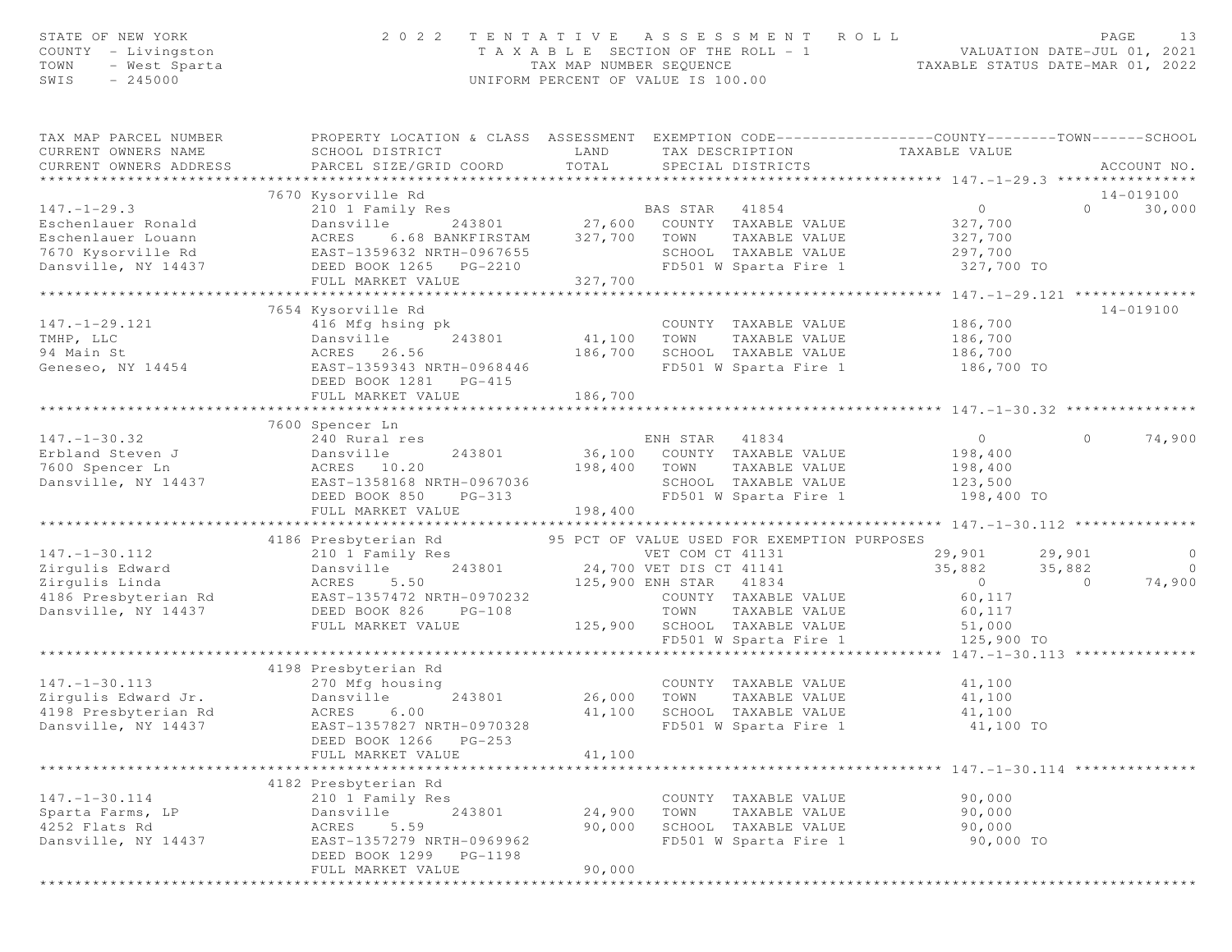| STATE OF NEW YORK<br>COUNTY - Livingston<br>TOWN<br>- West Sparta<br>$-245000$<br>SWIS | 2 0 2 2                                                                                                                                       | TAX MAP NUMBER SEQUENCE | TENTATIVE ASSESSMENT ROLL<br>T A X A B L E SECTION OF THE ROLL - 1<br>UNIFORM PERCENT OF VALUE IS 100.00 | VALUATION DATE-JUL UI, 2021<br>TAXABLE STATUS DATE-MAR 01, 2022 | PAGE<br>13                           |
|----------------------------------------------------------------------------------------|-----------------------------------------------------------------------------------------------------------------------------------------------|-------------------------|----------------------------------------------------------------------------------------------------------|-----------------------------------------------------------------|--------------------------------------|
| TAX MAP PARCEL NUMBER<br>CURRENT OWNERS NAME<br>CURRENT OWNERS ADDRESS                 | PROPERTY LOCATION & CLASS ASSESSMENT EXEMPTION CODE----------------COUNTY-------TOWN------SCHOOL<br>SCHOOL DISTRICT<br>PARCEL SIZE/GRID COORD | LAND<br>TOTAL           | TAX DESCRIPTION<br>SPECIAL DISTRICTS                                                                     | TAXABLE VALUE                                                   | ACCOUNT NO.                          |
|                                                                                        | 7670 Kysorville Rd                                                                                                                            |                         |                                                                                                          |                                                                 | 14-019100                            |
| $147. - 1 - 29.3$                                                                      | 210 1 Family Res                                                                                                                              |                         | BAS STAR 41854                                                                                           | $\overline{0}$                                                  | $\Omega$<br>30,000                   |
| Eschenlauer Ronald                                                                     | Dansville<br>243801                                                                                                                           | 27,600                  | COUNTY TAXABLE VALUE                                                                                     | 327,700                                                         |                                      |
| Eschenlauer Louann                                                                     | ACRES<br>6.68 BANKFIRSTAM                                                                                                                     | 327,700                 | TAXABLE VALUE<br>TOWN                                                                                    | 327,700                                                         |                                      |
| 7670 Kysorville Rd                                                                     | EAST-1359632 NRTH-0967655                                                                                                                     |                         | SCHOOL TAXABLE VALUE                                                                                     | 297,700                                                         |                                      |
| Dansville, NY 14437                                                                    | DEED BOOK 1265 PG-2210                                                                                                                        |                         | FD501 W Sparta Fire 1                                                                                    | 327,700 TO                                                      |                                      |
|                                                                                        | FULL MARKET VALUE<br>**********************                                                                                                   | 327,700<br>**********   |                                                                                                          |                                                                 |                                      |
|                                                                                        | 7654 Kysorville Rd                                                                                                                            |                         |                                                                                                          | ********* 147.-1-29.121 *************                           | 14-019100                            |
| $147. - 1 - 29.121$                                                                    | 416 Mfg hsing pk                                                                                                                              |                         | COUNTY TAXABLE VALUE                                                                                     | 186,700                                                         |                                      |
| TMHP, LLC                                                                              | Dansville<br>243801                                                                                                                           | 41,100                  | TOWN<br>TAXABLE VALUE                                                                                    | 186,700                                                         |                                      |
| 94 Main St                                                                             | ACRES 26.56                                                                                                                                   | 186,700                 | SCHOOL TAXABLE VALUE                                                                                     | 186,700                                                         |                                      |
| Geneseo, NY 14454                                                                      | EAST-1359343 NRTH-0968446                                                                                                                     |                         | FD501 W Sparta Fire 1                                                                                    | 186,700 TO                                                      |                                      |
|                                                                                        | DEED BOOK 1281<br>$PG-415$                                                                                                                    |                         |                                                                                                          |                                                                 |                                      |
|                                                                                        | FULL MARKET VALUE                                                                                                                             | 186,700                 |                                                                                                          |                                                                 |                                      |
|                                                                                        |                                                                                                                                               |                         |                                                                                                          |                                                                 |                                      |
| $147. - 1 - 30.32$                                                                     | 7600 Spencer Ln<br>240 Rural res                                                                                                              |                         | ENH STAR 41834                                                                                           | $\overline{0}$                                                  | 74,900<br>$\circ$                    |
| Erbland Steven J                                                                       | 243801<br>Dansville                                                                                                                           |                         | 36,100 COUNTY TAXABLE VALUE                                                                              | 198,400                                                         |                                      |
| 7600 Spencer Ln                                                                        | ACRES 10.20                                                                                                                                   | 198,400                 | TOWN<br>TAXABLE VALUE                                                                                    | 198,400                                                         |                                      |
| Dansville, NY 14437                                                                    | EAST-1358168 NRTH-0967036                                                                                                                     |                         | SCHOOL TAXABLE VALUE                                                                                     | 123,500                                                         |                                      |
|                                                                                        | DEED BOOK 850<br>$PG-313$                                                                                                                     |                         | FD501 W Sparta Fire 1                                                                                    | 198,400 TO                                                      |                                      |
|                                                                                        | FULL MARKET VALUE                                                                                                                             | 198,400                 |                                                                                                          |                                                                 |                                      |
|                                                                                        | ***********************                                                                                                                       |                         |                                                                                                          |                                                                 |                                      |
|                                                                                        | 4186 Presbyterian Rd                                                                                                                          |                         | 95 PCT OF VALUE USED FOR EXEMPTION PURPOSES                                                              |                                                                 |                                      |
| $147. - 1 - 30.112$<br>Zirgulis Edward                                                 | 210 1 Family Res<br>Dansville<br>243801                                                                                                       |                         | VET COM CT 41131                                                                                         | 29,901                                                          | $\overline{0}$<br>29,901<br>$\Omega$ |
| Zirgulis Linda                                                                         | ACRES<br>5.50                                                                                                                                 |                         | 24,700 VET DIS CT 41141<br>125,900 ENH STAR 41834                                                        | 35,882<br>$\overline{0}$                                        | 35,882<br>74,900<br>$\Omega$         |
| 4186 Presbyterian Rd                                                                   | EAST-1357472 NRTH-0970232                                                                                                                     |                         | COUNTY TAXABLE VALUE                                                                                     | 60,117                                                          |                                      |
| Dansville, NY 14437                                                                    | DEED BOOK 826<br>$PG-108$                                                                                                                     |                         | TOWN<br>TAXABLE VALUE                                                                                    | 60,117                                                          |                                      |
|                                                                                        | FULL MARKET VALUE                                                                                                                             |                         | 125,900 SCHOOL TAXABLE VALUE                                                                             | 51,000                                                          |                                      |
|                                                                                        |                                                                                                                                               |                         | FD501 W Sparta Fire 1                                                                                    | 125,900 TO                                                      |                                      |
|                                                                                        |                                                                                                                                               |                         |                                                                                                          | *** $147. - 1 - 30.113$                                         |                                      |
|                                                                                        | 4198 Presbyterian Rd                                                                                                                          |                         |                                                                                                          |                                                                 |                                      |
| $147. - 1 - 30.113$                                                                    | 270 Mfg housing                                                                                                                               |                         | COUNTY TAXABLE VALUE                                                                                     | 41,100                                                          |                                      |
| Zirgulis Edward Jr.<br>4198 Presbyterian Rd                                            | Dansville<br>243801<br>ACRES<br>6.00                                                                                                          | 26,000<br>41,100        | TOWN<br>TAXABLE VALUE<br>SCHOOL TAXABLE VALUE                                                            | 41,100                                                          |                                      |
| Dansville, NY 14437                                                                    | EAST-1357827 NRTH-0970328                                                                                                                     |                         | FD501 W Sparta Fire 1                                                                                    | 41,100<br>41,100 TO                                             |                                      |
|                                                                                        | DEED BOOK 1266<br>$PG-253$                                                                                                                    |                         |                                                                                                          |                                                                 |                                      |
|                                                                                        | FULL MARKET VALUE                                                                                                                             | 41,100                  |                                                                                                          |                                                                 |                                      |
|                                                                                        |                                                                                                                                               |                         |                                                                                                          |                                                                 |                                      |
|                                                                                        | 4182 Presbyterian Rd                                                                                                                          |                         |                                                                                                          |                                                                 |                                      |
| $147. - 1 - 30.114$                                                                    | 210 1 Family Res                                                                                                                              |                         | COUNTY TAXABLE VALUE                                                                                     | 90,000                                                          |                                      |
| Sparta Farms, LP                                                                       | 243801<br>Dansville                                                                                                                           | 24,900                  | TOWN<br>TAXABLE VALUE                                                                                    | 90,000                                                          |                                      |
| 4252 Flats Rd                                                                          | ACRES<br>5.59                                                                                                                                 | 90,000                  | SCHOOL TAXABLE VALUE                                                                                     | 90,000                                                          |                                      |
| Dansville, NY 14437                                                                    | EAST-1357279 NRTH-0969962<br>DEED BOOK 1299                                                                                                   |                         | FD501 W Sparta Fire 1                                                                                    | 90,000 TO                                                       |                                      |
|                                                                                        | PG-1198<br>FULL MARKET VALUE                                                                                                                  | 90,000                  |                                                                                                          |                                                                 |                                      |
|                                                                                        |                                                                                                                                               |                         |                                                                                                          |                                                                 |                                      |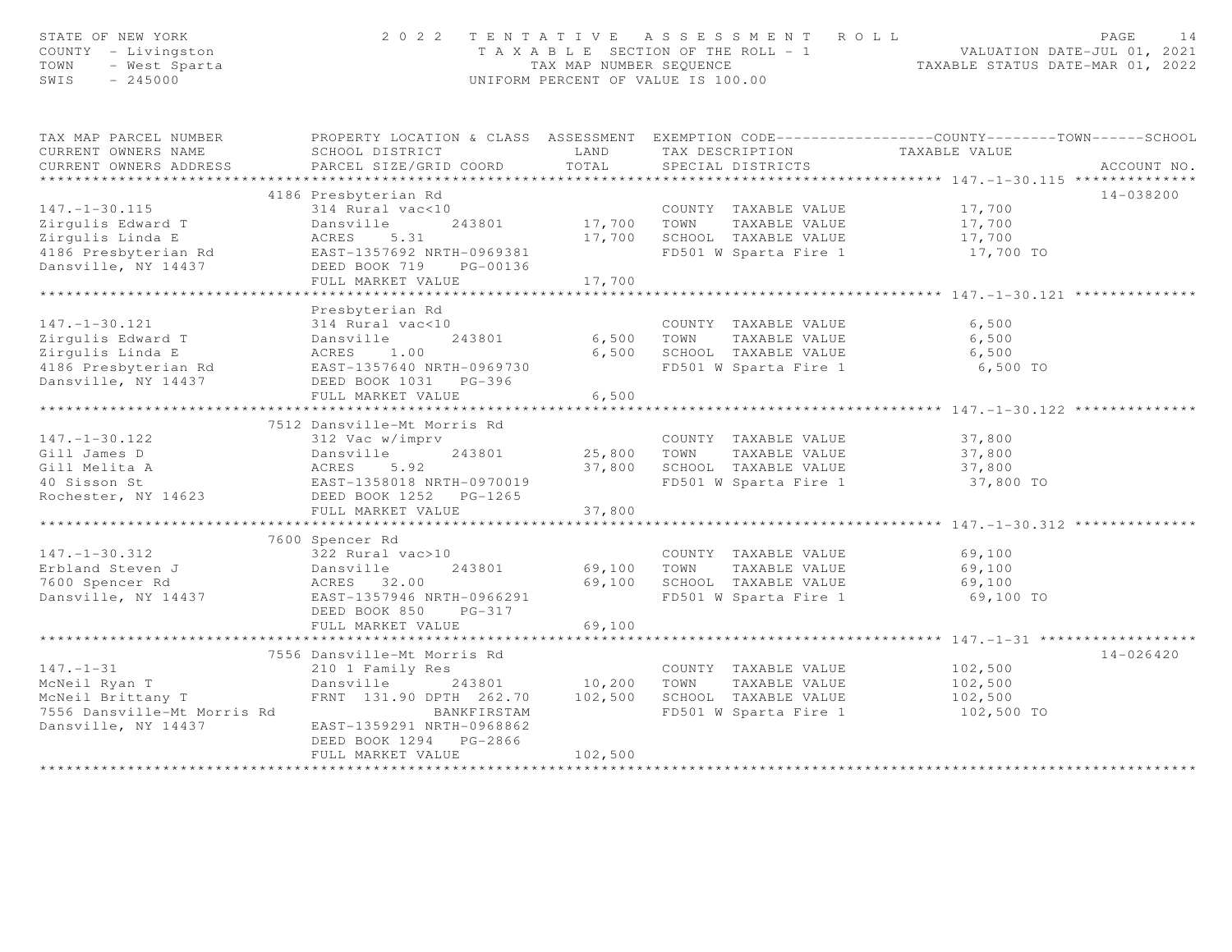| STATE OF NEW YORK<br>COUNTY - Livingston<br>TOWN<br>- West Sparta<br>SWIS<br>$-245000$ | 2 0 2 2<br>TENTATIVE ASSESSMENT ROLL<br>T A X A B L E SECTION OF THE ROLL - 1<br>TAX MAP NUMBER SEQUENCE<br>UNIFORM PERCENT OF VALUE IS 100.00 | PAGE<br>VALUATION DATE-JUL 01, 2021<br>TAXABLE STATUS DATE-MAR 01, 2022 | 14                                            |                                                                                                  |  |
|----------------------------------------------------------------------------------------|------------------------------------------------------------------------------------------------------------------------------------------------|-------------------------------------------------------------------------|-----------------------------------------------|--------------------------------------------------------------------------------------------------|--|
| TAX MAP PARCEL NUMBER<br>CURRENT OWNERS NAME                                           | SCHOOL DISTRICT                                                                                                                                | LAND                                                                    | TAX DESCRIPTION TAXABLE VALUE                 | PROPERTY LOCATION & CLASS ASSESSMENT EXEMPTION CODE----------------COUNTY-------TOWN------SCHOOL |  |
| CURRENT OWNERS ADDRESS                                                                 | PARCEL SIZE/GRID COORD                                                                                                                         | TOTAL                                                                   | SPECIAL DISTRICTS                             | ACCOUNT NO.                                                                                      |  |
| **********************                                                                 |                                                                                                                                                |                                                                         |                                               |                                                                                                  |  |
| $147. - 1 - 30.115$<br>Zirgulis Edward T                                               | 4186 Presbyterian Rd<br>314 Rural vac<10<br>243801<br>Dansville                                                                                | 17,700 TOWN                                                             | COUNTY TAXABLE VALUE<br>TAXABLE VALUE         | 14-038200<br>17,700<br>17,700                                                                    |  |
| Zirgulis Linda E                                                                       | ACRES<br>5.31                                                                                                                                  |                                                                         | 17,700 SCHOOL TAXABLE VALUE                   | 17,700                                                                                           |  |
| 4186 Presbyterian Rd                                                                   | EAST-1357692 NRTH-0969381                                                                                                                      |                                                                         | FD501 W Sparta Fire 1                         | 17,700 TO                                                                                        |  |
| Dansville, NY 14437                                                                    | DEED BOOK 719<br>PG-00136                                                                                                                      |                                                                         |                                               |                                                                                                  |  |
|                                                                                        | FULL MARKET VALUE                                                                                                                              | 17,700                                                                  |                                               |                                                                                                  |  |
|                                                                                        | **********************                                                                                                                         | * * * * * * * * * *                                                     |                                               | ************** 147.-1-30.121                                                                     |  |
| $147. - 1 - 30.121$                                                                    | Presbyterian Rd<br>314 Rural vac<10                                                                                                            |                                                                         | COUNTY TAXABLE VALUE                          | 6,500                                                                                            |  |
| Zirgulis Edward T                                                                      | Dansville<br>243801                                                                                                                            | 6,500                                                                   | TAXABLE VALUE<br>TOWN                         | 6,500                                                                                            |  |
| Zirgulis Linda E<br>4186 Presbyterian Rd                                               | 1.00<br>ACRES<br>EAST-1357640 NRTH-0969730                                                                                                     | 6,500                                                                   | SCHOOL TAXABLE VALUE<br>FD501 W Sparta Fire 1 | 6,500<br>6,500 TO                                                                                |  |
| Dansville, NY 14437                                                                    | DEED BOOK 1031 PG-396                                                                                                                          |                                                                         |                                               |                                                                                                  |  |
|                                                                                        | FULL MARKET VALUE                                                                                                                              | 6,500                                                                   |                                               |                                                                                                  |  |
|                                                                                        |                                                                                                                                                |                                                                         |                                               |                                                                                                  |  |
|                                                                                        | 7512 Dansville-Mt Morris Rd                                                                                                                    |                                                                         |                                               |                                                                                                  |  |
| $147. - 1 - 30.122$                                                                    | 312 Vac w/imprv                                                                                                                                |                                                                         | COUNTY TAXABLE VALUE                          | 37,800                                                                                           |  |
| Gill James D                                                                           |                                                                                                                                                | 25,800 TOWN                                                             | TAXABLE VALUE                                 | 37,800                                                                                           |  |
| Gill Melita A<br>40 Sisson St                                                          |                                                                                                                                                | 37,800                                                                  | SCHOOL TAXABLE VALUE<br>FD501 W Sparta Fire 1 | 37,800<br>37,800 TO                                                                              |  |
| Rochester, NY 14623                                                                    | Dansviil<br>ACRES 5.92<br>EAST-1358018 NRTH-0970019<br>In Rook 1252 PG-1265                                                                    |                                                                         |                                               |                                                                                                  |  |
|                                                                                        | FULL MARKET VALUE                                                                                                                              | 37,800                                                                  |                                               |                                                                                                  |  |
|                                                                                        |                                                                                                                                                |                                                                         |                                               |                                                                                                  |  |
|                                                                                        | 7600 Spencer Rd                                                                                                                                |                                                                         |                                               |                                                                                                  |  |
| $147. - 1 - 30.312$                                                                    | 322 Rural vac>10                                                                                                                               |                                                                         | COUNTY TAXABLE VALUE                          | 69,100                                                                                           |  |
| Erbland Steven J                                                                       | 243801<br>Dansville                                                                                                                            | 69,100                                                                  | TOWN<br>TAXABLE VALUE                         | 69,100                                                                                           |  |
| 7600 Spencer Rd                                                                        | ACRES 32.00                                                                                                                                    |                                                                         | 69,100 SCHOOL TAXABLE VALUE                   | 69,100                                                                                           |  |
| Dansville, NY 14437                                                                    | EAST-1357946 NRTH-0966291<br>DEED BOOK 850<br>$PG-317$                                                                                         |                                                                         | FD501 W Sparta Fire 1                         | 69,100 TO                                                                                        |  |
|                                                                                        | FULL MARKET VALUE                                                                                                                              | 69,100                                                                  |                                               |                                                                                                  |  |
|                                                                                        | **************************                                                                                                                     |                                                                         |                                               |                                                                                                  |  |
|                                                                                        | 7556 Dansville-Mt Morris Rd                                                                                                                    |                                                                         |                                               | $14 - 026420$                                                                                    |  |
| $147. - 1 - 31$                                                                        | 210 1 Family Res                                                                                                                               |                                                                         | COUNTY TAXABLE VALUE                          | 102,500                                                                                          |  |
| McNeil Ryan T                                                                          | Dansville<br>243801                                                                                                                            | 10,200                                                                  | TOWN<br>TAXABLE VALUE                         | 102,500                                                                                          |  |
| McNeil Brittany T                                                                      | FRNT 131.90 DPTH 262.70                                                                                                                        | 102,500                                                                 | SCHOOL TAXABLE VALUE                          | 102,500                                                                                          |  |
| 7556 Dansville-Mt Morris Rd<br>Dansville, NY 14437                                     | BANKFIRSTAM<br>EAST-1359291 NRTH-0968862                                                                                                       |                                                                         | FD501 W Sparta Fire 1                         | 102,500 TO                                                                                       |  |
|                                                                                        | DEED BOOK 1294 PG-2866                                                                                                                         |                                                                         |                                               |                                                                                                  |  |
|                                                                                        | FULL MARKET VALUE                                                                                                                              | 102,500                                                                 |                                               |                                                                                                  |  |
|                                                                                        |                                                                                                                                                |                                                                         |                                               |                                                                                                  |  |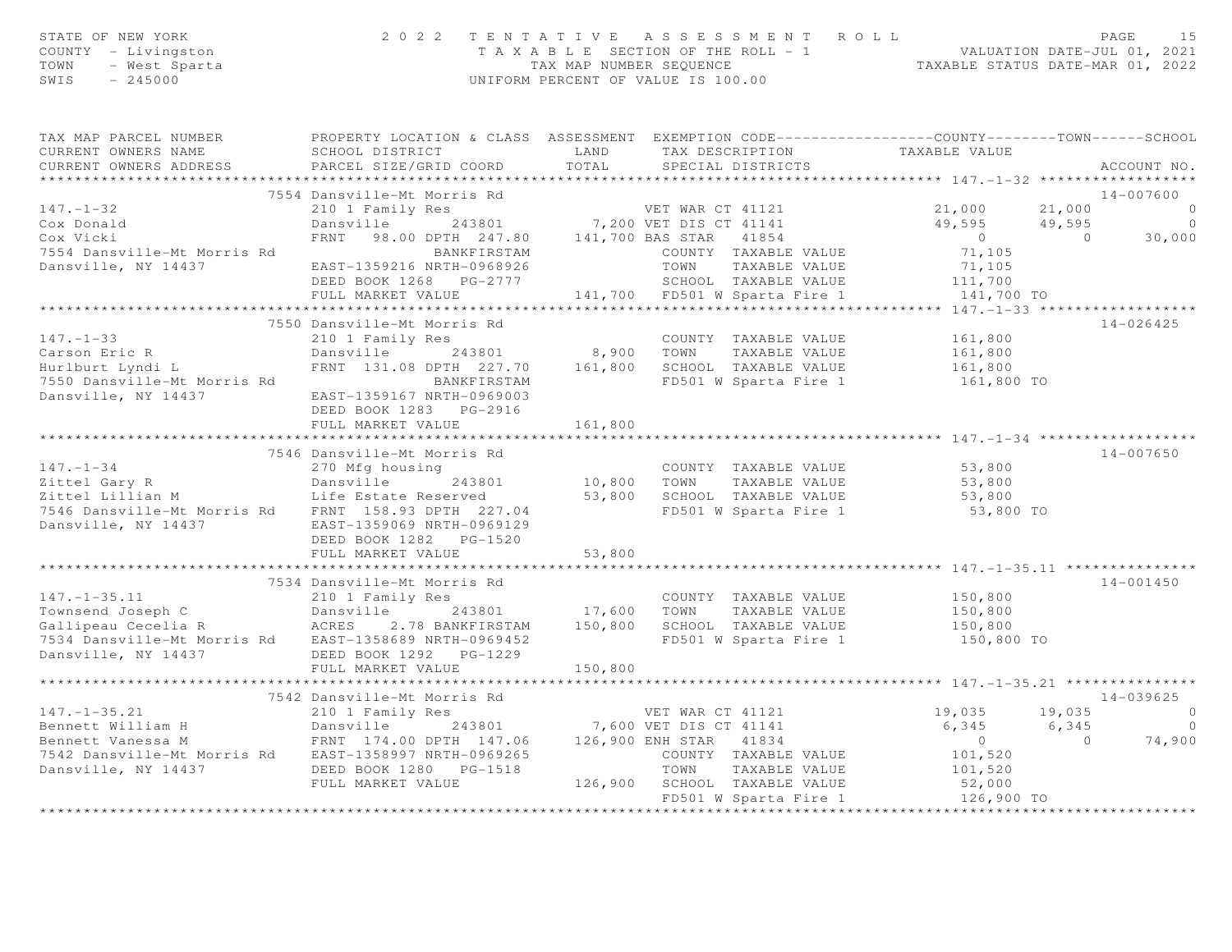| STATE OF NEW YORK<br>COUNTY - Livingston<br>- West Sparta<br>TOWN<br>$-245000$<br>SWIS     |                                                                                                                     |            | 2022 TENTATIVE ASSESSMENT ROLL<br>T A X A B L E SECTION OF THE ROLL - 1 VALUATION DATE-JUL 01, 2021<br>TAX MAP NUMBER SEQUENCE TAXABLE STATUS DATE-MAR 01, 2022<br>UNIFORM PERCENT OF VALUE IS 100.00 |                           |                         | PAGE<br>15     |
|--------------------------------------------------------------------------------------------|---------------------------------------------------------------------------------------------------------------------|------------|-------------------------------------------------------------------------------------------------------------------------------------------------------------------------------------------------------|---------------------------|-------------------------|----------------|
| TAX MAP PARCEL NUMBER<br>CURRENT OWNERS NAME                                               | PROPERTY LOCATION & CLASS ASSESSMENT EXEMPTION CODE----------------COUNTY-------TOWN------SCHOOL<br>SCHOOL DISTRICT | LAND       | TAX DESCRIPTION TAXABLE VALUE                                                                                                                                                                         |                           |                         |                |
| CURRENT OWNERS ADDRESS                                                                     | PARCEL SIZE/GRID COORD                                                                                              | TOTAL      | SPECIAL DISTRICTS                                                                                                                                                                                     |                           |                         | ACCOUNT NO.    |
| *************************                                                                  |                                                                                                                     |            |                                                                                                                                                                                                       |                           |                         |                |
|                                                                                            | 7554 Dansville-Mt Morris Rd                                                                                         |            |                                                                                                                                                                                                       |                           |                         | 14-007600      |
| $147. - 1 - 32$                                                                            | 210 1 Family Res                                                                                                    |            | VET WAR CT 41121<br>243801 7,200 VET DIS CT 41141                                                                                                                                                     | 21,000                    | 21,000                  | $\overline{0}$ |
| Cox Donald                                                                                 | Dansville                                                                                                           |            |                                                                                                                                                                                                       | 49,595 49,595             |                         | $\circ$        |
| Cox Vicki                                                                                  | FRNT 98.00 DPTH 247.80 141,700 BAS STAR 41854                                                                       |            |                                                                                                                                                                                                       | $\overline{0}$<br>71,105  | $\overline{0}$          | 30,000         |
| 7554 Dansville-Mt Morris Rd<br>Dansville, NY 14437                                         | BANKFIRSTAM<br>EAST-1359216 NRTH-0968926                                                                            |            | COUNTY TAXABLE VALUE<br>TOWN<br>TAXABLE VALUE                                                                                                                                                         | 71,105                    |                         |                |
|                                                                                            | DEED BOOK 1268 PG-2777                                                                                              |            | SCHOOL TAXABLE VALUE                                                                                                                                                                                  |                           |                         |                |
|                                                                                            | FULL MARKET VALUE                                                                                                   |            | 141,700 FD501 W Sparta Fire 1                                                                                                                                                                         | 111,700<br>141,700 TO     |                         |                |
|                                                                                            |                                                                                                                     |            |                                                                                                                                                                                                       |                           |                         |                |
|                                                                                            | 7550 Dansville-Mt Morris Rd                                                                                         |            |                                                                                                                                                                                                       |                           |                         | $14 - 026425$  |
| $147. - 1 - 33$                                                                            | 210 1 Family Res                                                                                                    |            | COUNTY TAXABLE VALUE                                                                                                                                                                                  | 161,800                   |                         |                |
| Carson Eric R                                                                              | Dansville 243801                                                                                                    | 8,900 TOWN | TAXABLE VALUE                                                                                                                                                                                         | 161,800                   |                         |                |
| Hurlburt Lyndi L                                                                           | FRNT 131.08 DPTH 227.70                                                                                             |            | 161,800 SCHOOL TAXABLE VALUE                                                                                                                                                                          | 161,800                   |                         |                |
| 7550 Dansville-Mt Morris Rd                                                                | BANKFIRSTAM                                                                                                         |            | FD501 W Sparta Fire 1                                                                                                                                                                                 | 161,800 TO                |                         |                |
| Dansville, NY 14437                                                                        | EAST-1359167 NRTH-0969003                                                                                           |            |                                                                                                                                                                                                       |                           |                         |                |
|                                                                                            | DEED BOOK 1283 PG-2916<br>FULL MARKET VALUE                                                                         | 161,800    |                                                                                                                                                                                                       |                           |                         |                |
|                                                                                            |                                                                                                                     |            |                                                                                                                                                                                                       |                           |                         |                |
|                                                                                            | 7546 Dansville-Mt Morris Rd                                                                                         |            |                                                                                                                                                                                                       |                           |                         | 14-007650      |
| $147. - 1 - 34$                                                                            | 270 Mfg housing                                                                                                     |            | COUNTY TAXABLE VALUE 53,800                                                                                                                                                                           |                           |                         |                |
|                                                                                            | 243801                                                                                                              |            | COUNTY<br>10,800 TOWN<br>TAXABLE VALUE                                                                                                                                                                | 53,800                    |                         |                |
| 147.-1-34<br>Zittel Gary R<br>Zittel Lillian M<br>Zittel Lillian M<br>Life Estate Reserved |                                                                                                                     |            | 53,800 SCHOOL TAXABLE VALUE                                                                                                                                                                           | 53,800                    |                         |                |
| 7546 Dansville-Mt Morris Rd FRNT 158.93 DPTH 227.04                                        |                                                                                                                     |            | FD501 W Sparta Fire 1                                                                                                                                                                                 | 53,800 TO                 |                         |                |
| Dansville, NY 14437                                                                        | EAST-1359069 NRTH-0969129                                                                                           |            |                                                                                                                                                                                                       |                           |                         |                |
|                                                                                            | DEED BOOK 1282 PG-1520                                                                                              |            |                                                                                                                                                                                                       |                           |                         |                |
|                                                                                            | FULL MARKET VALUE                                                                                                   | 53,800     |                                                                                                                                                                                                       |                           |                         |                |
|                                                                                            |                                                                                                                     |            |                                                                                                                                                                                                       |                           |                         |                |
| $147. - 1 - 35.11$                                                                         | 7534 Dansville-Mt Morris Rd<br>210 1 Family Res                                                                     |            | COUNTY TAXABLE VALUE                                                                                                                                                                                  | 150,800                   |                         | 14-001450      |
|                                                                                            |                                                                                                                     |            | TAXABLE VALUE                                                                                                                                                                                         |                           |                         |                |
|                                                                                            |                                                                                                                     |            |                                                                                                                                                                                                       | 150,800<br>150,800        |                         |                |
| 7534 Dansville-Mt Morris Rd EAST-1358689 NRTH-0969452                                      |                                                                                                                     |            | FD501 W Sparta Fire 1 150,800 TO                                                                                                                                                                      |                           |                         |                |
| Dansville, NY 14437                                                                        | DEED BOOK 1292    PG-1229                                                                                           |            |                                                                                                                                                                                                       |                           |                         |                |
|                                                                                            | FULL MARKET VALUE                                                                                                   | 150,800    |                                                                                                                                                                                                       |                           |                         |                |
|                                                                                            |                                                                                                                     |            |                                                                                                                                                                                                       |                           |                         |                |
|                                                                                            | 7542 Dansville-Mt Morris Rd                                                                                         |            |                                                                                                                                                                                                       |                           |                         | $14 - 039625$  |
| $147. - 1 - 35.21$                                                                         | 210 1 Family Res                                                                                                    |            | VET WAR CT 41121                                                                                                                                                                                      | 19,035                    | 19,035                  | $\mathbf{0}$   |
| Bennett William H                                                                          | Dansville 243801<br>FRNT 174.00 DPTH 147.06                                                                         |            | 243801 7,600 VET DIS CT 41141                                                                                                                                                                         | 6,345                     | 6,345<br>$\overline{0}$ |                |
| Bennett Vanessa M<br>7542 Dansville-Mt Morris Rd EAST-1358997 NRTH-0969265                 |                                                                                                                     |            | 126,900 ENH STAR 41834<br>COUNTY TAXABLE VALUE                                                                                                                                                        | $\overline{0}$<br>101,520 |                         | 74,900         |
| Dansville, NY 14437                                                                        | DEED BOOK 1280    PG-1518                                                                                           |            | TOWN<br>TAXABLE VALUE                                                                                                                                                                                 | 101,520                   |                         |                |
|                                                                                            | FULL MARKET VALUE                                                                                                   |            | 126,900 SCHOOL TAXABLE VALUE                                                                                                                                                                          | 52,000                    |                         |                |
|                                                                                            |                                                                                                                     |            | FD501 W Sparta Fire 1                                                                                                                                                                                 | 126,900 TO                |                         |                |

\*\*\*\*\*\*\*\*\*\*\*\*\*\*\*\*\*\*\*\*\*\*\*\*\*\*\*\*\*\*\*\*\*\*\*\*\*\*\*\*\*\*\*\*\*\*\*\*\*\*\*\*\*\*\*\*\*\*\*\*\*\*\*\*\*\*\*\*\*\*\*\*\*\*\*\*\*\*\*\*\*\*\*\*\*\*\*\*\*\*\*\*\*\*\*\*\*\*\*\*\*\*\*\*\*\*\*\*\*\*\*\*\*\*\*\*\*\*\*\*\*\*\*\*\*\*\*\*\*\*\*\*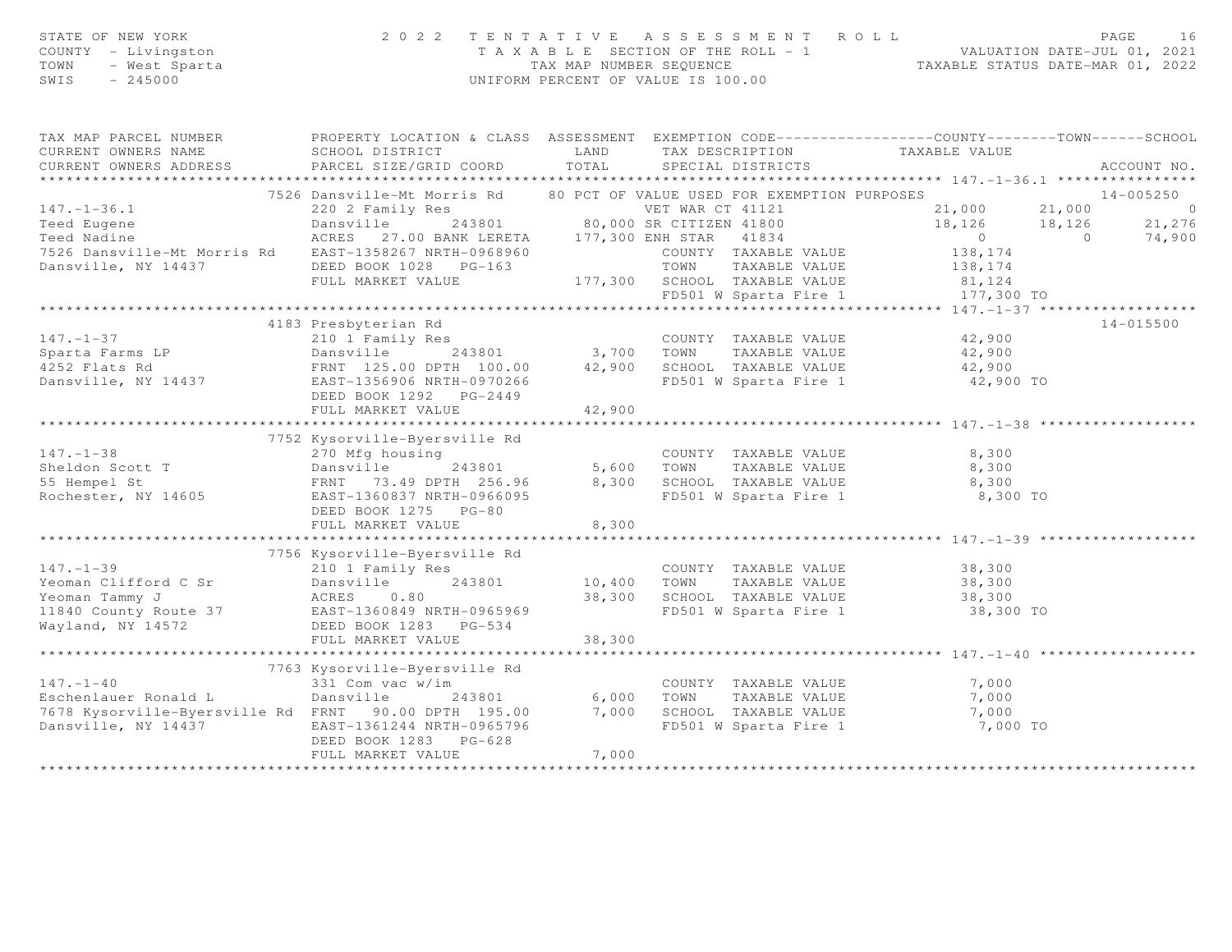| STATE OF NEW YORK<br>COUNTY - Livingston<br>TOWN<br>- West Sparta<br>$-245000$<br>SWIS                                                                                                                                               | 2022 TENTATIVE ASSESSMENT ROLL<br>UNIFORM PERCENT OF VALUE IS 100.00                                 | T A X A B L E SECTION OF THE ROLL - 1 VALUATION DATE-JUL 01, 2021<br>TAX MAP NUMBER SEQUENCE TAXABLE STATUS DATE-MAR 01, 2022 |                                                   | PAGE                                                                                          | 16                       |               |                  |
|--------------------------------------------------------------------------------------------------------------------------------------------------------------------------------------------------------------------------------------|------------------------------------------------------------------------------------------------------|-------------------------------------------------------------------------------------------------------------------------------|---------------------------------------------------|-----------------------------------------------------------------------------------------------|--------------------------|---------------|------------------|
| TAX MAP PARCEL NUMBER                                                                                                                                                                                                                | PROPERTY LOCATION & CLASS ASSESSMENT EXEMPTION CODE-----------------COUNTY--------TOWN------SCHOOL   |                                                                                                                               |                                                   |                                                                                               |                          |               |                  |
| CURRENT OWNERS NAME<br>CURRENT OWNERS ADDRESS                                                                                                                                                                                        | SCHOOL DISTRICT<br>PARCEL SIZE/GRID COORD                                                            | LAND<br>TOTAL                                                                                                                 | TAX DESCRIPTION<br>SPECIAL DISTRICTS              | TAXABLE VALUE                                                                                 |                          |               | ACCOUNT NO.      |
|                                                                                                                                                                                                                                      |                                                                                                      |                                                                                                                               |                                                   |                                                                                               |                          |               |                  |
|                                                                                                                                                                                                                                      | 7526 Dansville-Mt Morris Rd 80 PCT OF VALUE USED FOR EXEMPTION PURPOSES                              |                                                                                                                               |                                                   |                                                                                               |                          | 14-005250     |                  |
| $147. - 1 - 36.1$                                                                                                                                                                                                                    |                                                                                                      |                                                                                                                               |                                                   | 21,000 21,000                                                                                 |                          |               | $\circ$          |
| Teed Eugene<br>Teed Nadine                                                                                                                                                                                                           | 220 2 Family Res<br>243801 80,000 SR CITIZEN 41800<br>ACRES 27.00 BANK LERETA 177,300 ENH STAR 41834 |                                                                                                                               |                                                   | 18,126<br>$\overline{0}$                                                                      | 18,126<br>$\overline{0}$ |               | 21,276<br>74,900 |
| 7526 Dansville-Mt Morris Rd EAST-1358267 NRTH-0968960                                                                                                                                                                                |                                                                                                      |                                                                                                                               | COUNTY TAXABLE VALUE                              | 138,174                                                                                       |                          |               |                  |
|                                                                                                                                                                                                                                      |                                                                                                      |                                                                                                                               |                                                   |                                                                                               |                          |               |                  |
| Dansville, NY 14437 DEED BOOK 1028 PG-163                                                                                                                                                                                            | FULL MARKET VALUE                                                                                    |                                                                                                                               |                                                   |                                                                                               |                          |               |                  |
|                                                                                                                                                                                                                                      |                                                                                                      |                                                                                                                               |                                                   |                                                                                               |                          |               |                  |
|                                                                                                                                                                                                                                      |                                                                                                      |                                                                                                                               |                                                   | TOWN IAAADDD VALLE<br>177,300 SCHOOL TAXABLE VALUE 81,124<br>FREAD W Sparta Fire 1 177,300 TO |                          |               |                  |
|                                                                                                                                                                                                                                      | 4183 Presbyterian Rd                                                                                 |                                                                                                                               |                                                   |                                                                                               |                          | $14 - 015500$ |                  |
| $147. - 1 - 37$                                                                                                                                                                                                                      | 210 1 Family Res                                                                                     |                                                                                                                               | COUNTY TAXABLE VALUE                              | 42,900                                                                                        |                          |               |                  |
|                                                                                                                                                                                                                                      |                                                                                                      |                                                                                                                               |                                                   | 42,900                                                                                        |                          |               |                  |
|                                                                                                                                                                                                                                      |                                                                                                      |                                                                                                                               |                                                   | 42,900                                                                                        |                          |               |                  |
| Sparta Farms LP<br>4252 Flats Rd ERNT 125.00 DPTH 100.00 42,900 SCHOOL TAXABLE VALUE<br>Dansville, NY 14437 ERNT 125.00 DPTH 100.00 42,900 SCHOOL TAXABLE VALUE<br>Dansville, NY 14437 ERST-1356906 NRTH-0970266 ERST-1356906 NRTH-0 |                                                                                                      |                                                                                                                               | FD501 W Sparta Fire 1                             | 42,900 TO                                                                                     |                          |               |                  |
|                                                                                                                                                                                                                                      | DEED BOOK 1292 PG-2449                                                                               |                                                                                                                               |                                                   |                                                                                               |                          |               |                  |
|                                                                                                                                                                                                                                      | FULL MARKET VALUE                                                                                    | 42,900                                                                                                                        |                                                   |                                                                                               |                          |               |                  |
|                                                                                                                                                                                                                                      |                                                                                                      |                                                                                                                               |                                                   |                                                                                               |                          |               |                  |
|                                                                                                                                                                                                                                      | 7752 Kysorville-Byersville Rd                                                                        |                                                                                                                               |                                                   |                                                                                               |                          |               |                  |
| $147. - 1 - 38$                                                                                                                                                                                                                      | 270 Mfg housing                                                                                      |                                                                                                                               | COUNTY TAXABLE VALUE                              | 8,300                                                                                         |                          |               |                  |
| Sheldon Scott T                                                                                                                                                                                                                      | Dansville<br>243801                                                                                  | 5,600 TOWN                                                                                                                    | TAXABLE VALUE                                     | 8,300                                                                                         |                          |               |                  |
| $\mathbf T$<br>55 Hempel St                                                                                                                                                                                                          | FRNT 73.49 DPTH 256.96 8,300 SCHOOL TAXABLE VALUE                                                    |                                                                                                                               |                                                   | 8,300                                                                                         |                          |               |                  |
| Rochester, NY 14605                                                                                                                                                                                                                  | EAST-1360837 NRTH-0966095                                                                            |                                                                                                                               | FD501 W Sparta Fire 1                             | 8,300 TO                                                                                      |                          |               |                  |
|                                                                                                                                                                                                                                      | DEED BOOK 1275 PG-80                                                                                 |                                                                                                                               |                                                   |                                                                                               |                          |               |                  |
|                                                                                                                                                                                                                                      | FULL MARKET VALUE                                                                                    | 8,300                                                                                                                         |                                                   |                                                                                               |                          |               |                  |
|                                                                                                                                                                                                                                      |                                                                                                      |                                                                                                                               |                                                   |                                                                                               |                          |               |                  |
|                                                                                                                                                                                                                                      | 7756 Kysorville-Byersville Rd                                                                        |                                                                                                                               |                                                   |                                                                                               |                          |               |                  |
| $147. - 1 - 39$                                                                                                                                                                                                                      | 210 1 Family Res                                                                                     |                                                                                                                               | COUNTY TAXABLE VALUE                              | 38,300                                                                                        |                          |               |                  |
| Yeoman Clifford C Sr                                                                                                                                                                                                                 | Dansville<br>243801                                                                                  | 10,400 TOWN                                                                                                                   | TAXABLE VALUE                                     | 38,300                                                                                        |                          |               |                  |
| Yeoman Tammy J                                                                                                                                                                                                                       | ACRES 0.80                                                                                           |                                                                                                                               | 38,300 SCHOOL TAXABLE VALUE                       | 38,300                                                                                        |                          |               |                  |
| 11840 County Route 37 EAST-1360849 NRTH-0965969                                                                                                                                                                                      |                                                                                                      |                                                                                                                               |                                                   | FD501 W Sparta Fire 1 38,300 TO                                                               |                          |               |                  |
| Wayland, NY 14572                                                                                                                                                                                                                    | DEED BOOK 1283 PG-534                                                                                |                                                                                                                               |                                                   |                                                                                               |                          |               |                  |
|                                                                                                                                                                                                                                      | FULL MARKET VALUE                                                                                    | 38,300                                                                                                                        |                                                   |                                                                                               |                          |               |                  |
|                                                                                                                                                                                                                                      |                                                                                                      |                                                                                                                               |                                                   |                                                                                               |                          |               |                  |
|                                                                                                                                                                                                                                      | 7763 Kysorville-Byersville Rd                                                                        |                                                                                                                               |                                                   |                                                                                               |                          |               |                  |
| $147. - 1 - 40$                                                                                                                                                                                                                      | 331 Com vac w/im                                                                                     |                                                                                                                               | COUNTY TAXABLE VALUE                              | 7,000                                                                                         |                          |               |                  |
| Eschenlauer Ronald L                                                                                                                                                                                                                 | Dansville<br>243801                                                                                  | 6,000                                                                                                                         | TOWN      TAXABLE VALUE<br>SCHOOL   TAXABLE VALUE | 7,000                                                                                         |                          |               |                  |
| 7678 Kysorville-Byersville Rd FRNT 90.00 DPTH 195.00                                                                                                                                                                                 |                                                                                                      | 7,000                                                                                                                         |                                                   | 7,000                                                                                         |                          |               |                  |
| Dansville, NY 14437                                                                                                                                                                                                                  | EAST-1361244 NRTH-0965796<br>DEED BOOK 1283 PG-628                                                   |                                                                                                                               | FD501 W Sparta Fire 1                             | 7,000 TO                                                                                      |                          |               |                  |
|                                                                                                                                                                                                                                      | FULL MARKET VALUE                                                                                    | 7,000                                                                                                                         |                                                   |                                                                                               |                          |               |                  |
|                                                                                                                                                                                                                                      |                                                                                                      |                                                                                                                               |                                                   |                                                                                               |                          |               |                  |

\*\*\*\*\*\*\*\*\*\*\*\*\*\*\*\*\*\*\*\*\*\*\*\*\*\*\*\*\*\*\*\*\*\*\*\*\*\*\*\*\*\*\*\*\*\*\*\*\*\*\*\*\*\*\*\*\*\*\*\*\*\*\*\*\*\*\*\*\*\*\*\*\*\*\*\*\*\*\*\*\*\*\*\*\*\*\*\*\*\*\*\*\*\*\*\*\*\*\*\*\*\*\*\*\*\*\*\*\*\*\*\*\*\*\*\*\*\*\*\*\*\*\*\*\*\*\*\*\*\*\*\*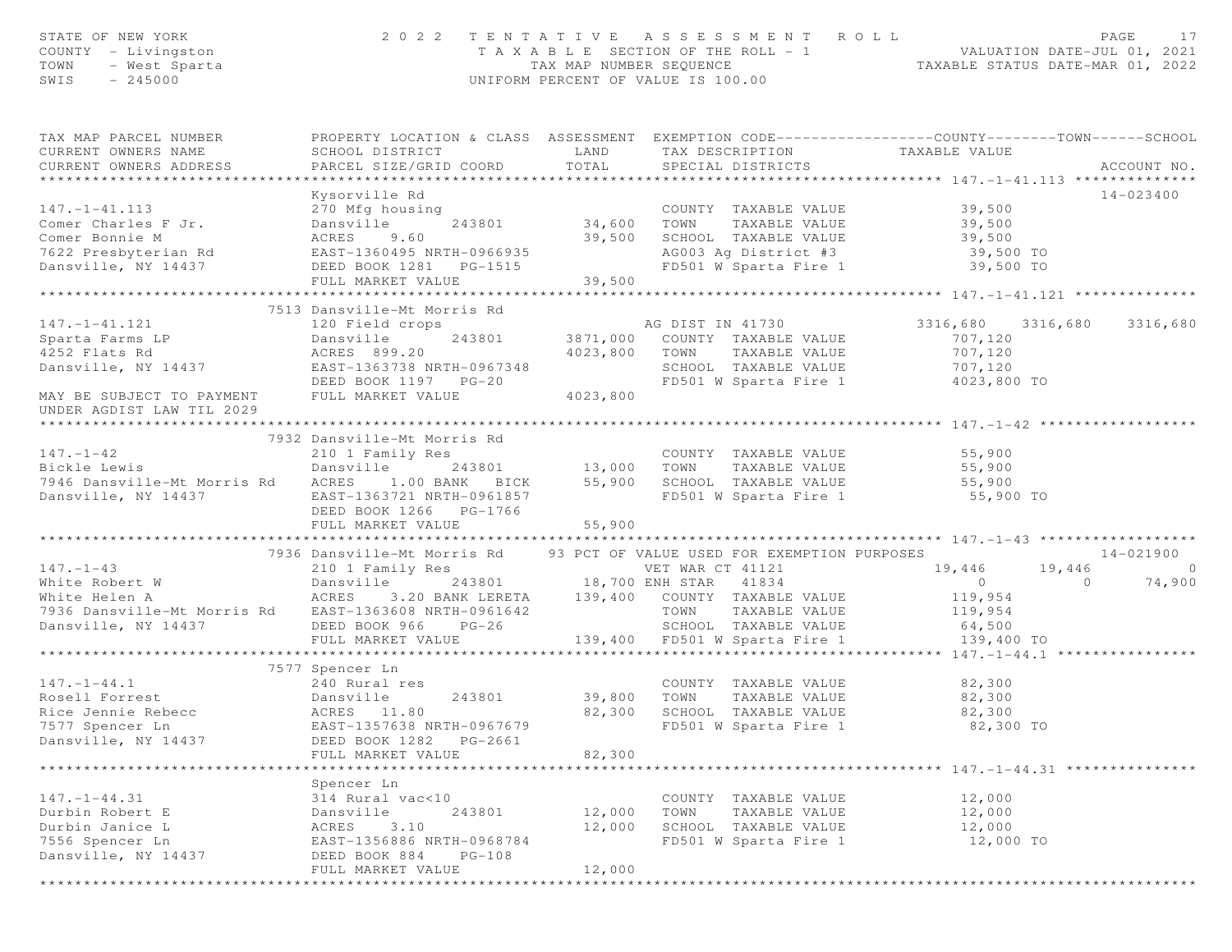| STATE OF NEW YORK<br>COUNTY - Livingston<br>TOWN - West Sparta                                                                                                                                                                                | 2022 TENTATIVE ASSESSMENT ROLL                                                                                                                        |        |                       |                      | T A X A B L E SECTION OF THE ROLL - 1 VALUATION DATE-JUL 01, 2021<br>TAX MAP NUMBER SEQUENCE TAXABLE STATUS DATE-MAR 01, 2022<br>UNIFORM PERCENT OF VALUE IS 100.00 | PAGE<br>17     |
|-----------------------------------------------------------------------------------------------------------------------------------------------------------------------------------------------------------------------------------------------|-------------------------------------------------------------------------------------------------------------------------------------------------------|--------|-----------------------|----------------------|---------------------------------------------------------------------------------------------------------------------------------------------------------------------|----------------|
| TAX MAP PARCEL NUMBER<br>CURRENT OWNERS NAME<br>CURRENT OWNERS ADDRESS                                                                                                                                                                        | PROPERTY LOCATION & CLASS ASSESSMENT EXEMPTION CODE-----------------COUNTY--------TOWN------SCHOOL<br>SCHOOL DISTRICT<br>PARCEL SIZE/GRID COORD TOTAL |        | SPECIAL DISTRICTS     |                      | LAND TAX DESCRIPTION TAXABLE VALUE                                                                                                                                  | ACCOUNT NO.    |
|                                                                                                                                                                                                                                               |                                                                                                                                                       |        |                       |                      |                                                                                                                                                                     | 14-023400      |
| 147.-1-41.113<br>Comer Charles F Jr.<br>29,500 Mm Samswille 243801<br>29,500 Mm Samswille 243801<br>29,500 Mm Samswille 243801<br>29,500 SCHOOL TAXABLE VALUE<br>29,500 SCHOOL TAXABLE VALUE<br>29,500 SCHOOL TAXABLE VALUE<br>29,500 MM SAMS | Kysorville Rd                                                                                                                                         |        |                       |                      |                                                                                                                                                                     |                |
|                                                                                                                                                                                                                                               |                                                                                                                                                       |        |                       |                      |                                                                                                                                                                     |                |
|                                                                                                                                                                                                                                               |                                                                                                                                                       |        |                       |                      |                                                                                                                                                                     |                |
|                                                                                                                                                                                                                                               |                                                                                                                                                       |        |                       |                      |                                                                                                                                                                     |                |
|                                                                                                                                                                                                                                               |                                                                                                                                                       |        |                       |                      |                                                                                                                                                                     |                |
|                                                                                                                                                                                                                                               |                                                                                                                                                       |        |                       |                      |                                                                                                                                                                     |                |
|                                                                                                                                                                                                                                               |                                                                                                                                                       |        |                       |                      |                                                                                                                                                                     |                |
|                                                                                                                                                                                                                                               |                                                                                                                                                       |        |                       |                      |                                                                                                                                                                     |                |
|                                                                                                                                                                                                                                               |                                                                                                                                                       |        |                       |                      |                                                                                                                                                                     |                |
|                                                                                                                                                                                                                                               |                                                                                                                                                       |        |                       |                      |                                                                                                                                                                     |                |
|                                                                                                                                                                                                                                               |                                                                                                                                                       |        |                       |                      |                                                                                                                                                                     |                |
|                                                                                                                                                                                                                                               |                                                                                                                                                       |        |                       |                      |                                                                                                                                                                     |                |
|                                                                                                                                                                                                                                               |                                                                                                                                                       |        |                       |                      |                                                                                                                                                                     |                |
|                                                                                                                                                                                                                                               |                                                                                                                                                       |        |                       |                      |                                                                                                                                                                     |                |
|                                                                                                                                                                                                                                               | 7932 Dansville-Mt Morris Rd                                                                                                                           |        |                       |                      |                                                                                                                                                                     |                |
|                                                                                                                                                                                                                                               |                                                                                                                                                       |        |                       |                      |                                                                                                                                                                     |                |
|                                                                                                                                                                                                                                               |                                                                                                                                                       |        |                       |                      |                                                                                                                                                                     |                |
|                                                                                                                                                                                                                                               |                                                                                                                                                       |        |                       |                      |                                                                                                                                                                     |                |
|                                                                                                                                                                                                                                               |                                                                                                                                                       |        |                       |                      |                                                                                                                                                                     |                |
|                                                                                                                                                                                                                                               | DEED BOOK 1266 PG-1766                                                                                                                                |        |                       |                      |                                                                                                                                                                     |                |
|                                                                                                                                                                                                                                               | FULL MARKET VALUE                                                                                                                                     | 55,900 |                       |                      |                                                                                                                                                                     |                |
|                                                                                                                                                                                                                                               | 7936 Dansville-Mt Morris Rd 93 PCT OF VALUE USED FOR EXEMPTION PURPOSES                                                                               |        |                       |                      |                                                                                                                                                                     | 14-021900      |
| $147. - 1 - 43$                                                                                                                                                                                                                               |                                                                                                                                                       |        |                       |                      |                                                                                                                                                                     | $\overline{a}$ |
|                                                                                                                                                                                                                                               |                                                                                                                                                       |        |                       |                      |                                                                                                                                                                     | 74,900         |
| 147.-1-43<br>210 1 Family Res<br>White Robert W Dansville 243801 18,700 ENH STAR 41834 0<br>210 1 Family Res<br>243801 18,700 ENH STAR 41834 0<br>26 Mite Helen A ACRES 3.20 BANK LERETA 139,400 COUNTY TAXABLE VALUE 119,954                 |                                                                                                                                                       |        |                       |                      |                                                                                                                                                                     |                |
|                                                                                                                                                                                                                                               |                                                                                                                                                       |        |                       |                      |                                                                                                                                                                     |                |
|                                                                                                                                                                                                                                               |                                                                                                                                                       |        |                       |                      |                                                                                                                                                                     |                |
|                                                                                                                                                                                                                                               |                                                                                                                                                       |        |                       |                      |                                                                                                                                                                     |                |
|                                                                                                                                                                                                                                               |                                                                                                                                                       |        |                       |                      |                                                                                                                                                                     |                |
|                                                                                                                                                                                                                                               | 7577 Spencer Ln<br>$240$ Rural res                                                                                                                    |        |                       |                      |                                                                                                                                                                     |                |
| $147. - 1 - 44.1$                                                                                                                                                                                                                             |                                                                                                                                                       |        |                       |                      | COUNTY TAXABLE VALUE 82,300                                                                                                                                         |                |
| Rosell Forrest                     Dansville       243801         39,800   TOWN<br>Rice Jennie Rebecc               ACRES   11.80               82,300   SCHOOL                                                                               |                                                                                                                                                       |        |                       |                      | TAXABLE VALUE 82,300                                                                                                                                                |                |
|                                                                                                                                                                                                                                               |                                                                                                                                                       |        |                       | SCHOOL TAXABLE VALUE | 82,300                                                                                                                                                              |                |
| 7577 Spencer Ln                                                                                                                                                                                                                               | EAST-1357638 NRTH-0967679                                                                                                                             |        | FD501 W Sparta Fire 1 |                      | 82,300 TO                                                                                                                                                           |                |
| Dansville, NY 14437                                                                                                                                                                                                                           | DEED BOOK 1282<br>PG-2661                                                                                                                             |        |                       |                      |                                                                                                                                                                     |                |
|                                                                                                                                                                                                                                               | FULL MARKET VALUE<br>***************                                                                                                                  | 82,300 |                       |                      | ****************** 147. -1 -44. 31 ****************                                                                                                                 |                |
|                                                                                                                                                                                                                                               | Spencer Ln                                                                                                                                            |        |                       |                      |                                                                                                                                                                     |                |
| $147. - 1 - 44.31$                                                                                                                                                                                                                            | 314 Rural vac<10                                                                                                                                      |        | COUNTY TAXABLE VALUE  |                      | 12,000                                                                                                                                                              |                |
| Durbin Robert E                                                                                                                                                                                                                               | Dansville<br>243801                                                                                                                                   | 12,000 | TOWN                  | TAXABLE VALUE        | 12,000                                                                                                                                                              |                |
| Durbin Janice L                                                                                                                                                                                                                               | ACRES<br>3.10                                                                                                                                         | 12,000 | SCHOOL TAXABLE VALUE  |                      | 12,000                                                                                                                                                              |                |
| 7556 Spencer Ln                                                                                                                                                                                                                               | EAST-1356886 NRTH-0968784                                                                                                                             |        | FD501 W Sparta Fire 1 |                      | 12,000 TO                                                                                                                                                           |                |
| Dansville, NY 14437                                                                                                                                                                                                                           | DEED BOOK 884<br>$PG-108$                                                                                                                             |        |                       |                      |                                                                                                                                                                     |                |
|                                                                                                                                                                                                                                               | FULL MARKET VALUE                                                                                                                                     | 12,000 |                       |                      |                                                                                                                                                                     |                |
|                                                                                                                                                                                                                                               |                                                                                                                                                       |        |                       |                      |                                                                                                                                                                     |                |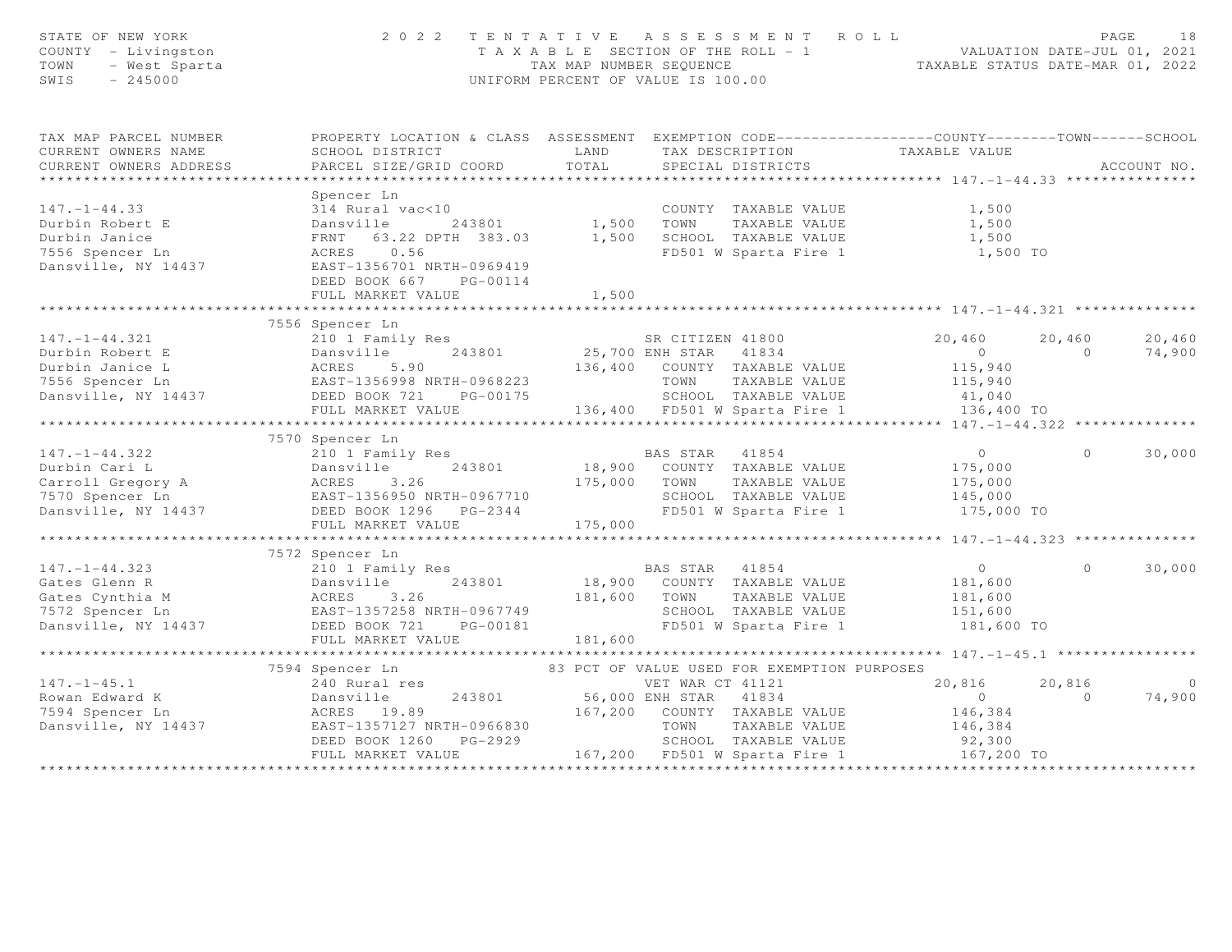| STATE OF NEW YORK<br>COUNTY - Livingston<br>– Livingston<br>– West Sparta<br>– 245000<br>TOWN<br>SWIS |                                                                                                                                                                                                                                                            |       | 2022 TENTATIVE ASSESSMENT ROLL<br>T A X A B L E SECTION OF THE ROLL - 1<br>TAX MAP NUMBER SEQUENCE TAXABLE STATUS DATE-MAR 01, 2022<br>UNIFORM PERCENT OF VALUE IS 100.00 |                                                 |                | PAGE<br>18  |
|-------------------------------------------------------------------------------------------------------|------------------------------------------------------------------------------------------------------------------------------------------------------------------------------------------------------------------------------------------------------------|-------|---------------------------------------------------------------------------------------------------------------------------------------------------------------------------|-------------------------------------------------|----------------|-------------|
| TAX MAP PARCEL NUMBER                                                                                 | PROPERTY LOCATION & CLASS ASSESSMENT EXEMPTION CODE----------------COUNTY-------TOWN------SCHOOL                                                                                                                                                           |       |                                                                                                                                                                           |                                                 |                |             |
| CURRENT OWNERS NAME                                                                                   |                                                                                                                                                                                                                                                            |       | TAX DESCRIPTION TAXABLE VALUE                                                                                                                                             |                                                 |                |             |
| CURRENT OWNERS ADDRESS                                                                                |                                                                                                                                                                                                                                                            |       |                                                                                                                                                                           |                                                 |                | ACCOUNT NO. |
|                                                                                                       |                                                                                                                                                                                                                                                            |       |                                                                                                                                                                           |                                                 |                |             |
|                                                                                                       | Spencer Ln                                                                                                                                                                                                                                                 |       |                                                                                                                                                                           |                                                 |                |             |
| $147. - 1 - 44.33$                                                                                    | 314 Rural vac<10                                                                                                                                                                                                                                           |       | COUNTY TAXABLE VALUE                                                                                                                                                      | 1,500                                           |                |             |
| Durbin Robert E                                                                                       | Dansville 243801 1,500 TOWN TAXABLE VALUE<br>FRNT 63.22 DPTH 383.03 1,500 SCHOOL TAXABLE VALUE                                                                                                                                                             |       |                                                                                                                                                                           | TAXABLE VALUE 1,500<br>TAXABLE VALUE 1,500      |                |             |
| Durbin Janice                                                                                         |                                                                                                                                                                                                                                                            |       |                                                                                                                                                                           |                                                 |                |             |
| 7556 Spencer Ln                                                                                       | ACRES 0.56                                                                                                                                                                                                                                                 |       | FD501 W Sparta Fire 1 1,500 TO                                                                                                                                            |                                                 |                |             |
| Dansville, NY 14437                                                                                   | EAST-1356701 NRTH-0969419<br>DEED BOOK 667 PG-00114                                                                                                                                                                                                        |       |                                                                                                                                                                           |                                                 |                |             |
|                                                                                                       | FULL MARKET VALUE                                                                                                                                                                                                                                          | 1,500 |                                                                                                                                                                           |                                                 |                |             |
|                                                                                                       |                                                                                                                                                                                                                                                            |       |                                                                                                                                                                           |                                                 |                |             |
|                                                                                                       | 7556 Spencer Ln                                                                                                                                                                                                                                            |       |                                                                                                                                                                           |                                                 |                |             |
|                                                                                                       | 210 1 Family Res<br>Dansville 243801 25,700 ENH STAR 41834<br>ACRES 5.90 136,400 COUNTY TAXABLE VALUE                                                                                                                                                      |       |                                                                                                                                                                           |                                                 |                |             |
|                                                                                                       |                                                                                                                                                                                                                                                            |       |                                                                                                                                                                           |                                                 |                |             |
|                                                                                                       |                                                                                                                                                                                                                                                            |       |                                                                                                                                                                           |                                                 |                |             |
|                                                                                                       |                                                                                                                                                                                                                                                            |       |                                                                                                                                                                           |                                                 |                |             |
|                                                                                                       |                                                                                                                                                                                                                                                            |       |                                                                                                                                                                           |                                                 |                |             |
|                                                                                                       |                                                                                                                                                                                                                                                            |       |                                                                                                                                                                           |                                                 |                |             |
|                                                                                                       |                                                                                                                                                                                                                                                            |       |                                                                                                                                                                           |                                                 |                |             |
|                                                                                                       | 147.-1-44.322 210 1 Family Res<br>Durbin Cari L Dansville 243801 18,900 COUNTY TAXABLE VALUE<br>Carroll Gregory A ACRES 3.26 175,000 TOWN TAXABLE VALUE<br>T570 Spencer Ln EAST-1356950 NRTH-0967710 SCHOOL TAXABLE VALUE<br>Dansville                     |       |                                                                                                                                                                           |                                                 |                |             |
|                                                                                                       |                                                                                                                                                                                                                                                            |       |                                                                                                                                                                           | $\overline{0}$                                  | $\Omega$       | 30,000      |
|                                                                                                       |                                                                                                                                                                                                                                                            |       |                                                                                                                                                                           | 175,000                                         |                |             |
|                                                                                                       |                                                                                                                                                                                                                                                            |       |                                                                                                                                                                           | 175,000                                         |                |             |
|                                                                                                       |                                                                                                                                                                                                                                                            |       |                                                                                                                                                                           | 145,000                                         |                |             |
|                                                                                                       |                                                                                                                                                                                                                                                            |       | FD501 W Sparta Fire 1                                                                                                                                                     | 175,000 TO                                      |                |             |
|                                                                                                       |                                                                                                                                                                                                                                                            |       |                                                                                                                                                                           |                                                 |                |             |
|                                                                                                       |                                                                                                                                                                                                                                                            |       |                                                                                                                                                                           |                                                 |                |             |
|                                                                                                       | 7572 Spencer Ln<br>210 1 Family Res                                                                                                                                                                                                                        |       |                                                                                                                                                                           |                                                 | $\circ$        |             |
| $147. - 1 - 44.323$                                                                                   |                                                                                                                                                                                                                                                            |       | BAS STAR 41854                                                                                                                                                            | $\overline{0}$                                  |                | 30,000      |
|                                                                                                       |                                                                                                                                                                                                                                                            |       | TAXABLE VALUE                                                                                                                                                             | 181,600<br>181,600                              |                |             |
|                                                                                                       | Gates Glenn R<br>Gates Glenn R<br>Cates Cynthia M<br>TAXABLE VALUE<br>TAXABLE VALUE<br>TAXABLE VALUE<br>TAXABLE VALUE<br>TAXABLE VALUE<br>DAS SIAR<br>DAS SIAR<br>DAS SIAR<br>TAXABLE VALUE<br>TAXABLE VALUE<br>SCHOOL TAXABLE VALUE<br>SCHOOL TAXABLE VAL |       |                                                                                                                                                                           | 151,600                                         |                |             |
|                                                                                                       |                                                                                                                                                                                                                                                            |       |                                                                                                                                                                           | 181,600 TO                                      |                |             |
|                                                                                                       |                                                                                                                                                                                                                                                            |       |                                                                                                                                                                           |                                                 |                |             |
|                                                                                                       | **************************                                                                                                                                                                                                                                 |       |                                                                                                                                                                           | ******************** 147. -1-45.1 ************* |                |             |
|                                                                                                       | 7594 Spencer Ln                                                                                                                                                                                                                                            |       | 83 PCT OF VALUE USED FOR EXEMPTION PURPOSES                                                                                                                               |                                                 |                |             |
| $147. - 1 - 45.1$                                                                                     | 240 Rural res                                                                                                                                                                                                                                              |       | VET WAR CT 41121                                                                                                                                                          | 20,816                                          | 20,816         | $\bigcirc$  |
| 147.-1-45.1<br>Rowan Edward K<br>7594 Spencer Ln<br>Dansville, NY 14437                               | Dansville                                                                                                                                                                                                                                                  |       | 243801 56,000 ENH STAR 41834                                                                                                                                              | $\overline{0}$                                  | $\overline{0}$ | 74,900      |
|                                                                                                       | ACRES 19.89                                                                                                                                                                                                                                                |       | 167,200 COUNTY TAXABLE VALUE                                                                                                                                              | 146,384                                         |                |             |
|                                                                                                       | EAST-1357127 NRTH-0966830                                                                                                                                                                                                                                  |       | TOWN<br>TAXABLE VALUE                                                                                                                                                     | 146,384                                         |                |             |
|                                                                                                       | DEED BOOK 1260 PG-2929                                                                                                                                                                                                                                     |       | SCHOOL TAXABLE VALUE                                                                                                                                                      | 92,300<br>167,200 TO                            |                |             |
|                                                                                                       | FULL MARKET VALUE                                                                                                                                                                                                                                          |       | 167,200 FD501 W Sparta Fire 1                                                                                                                                             |                                                 |                |             |
|                                                                                                       |                                                                                                                                                                                                                                                            |       |                                                                                                                                                                           |                                                 |                |             |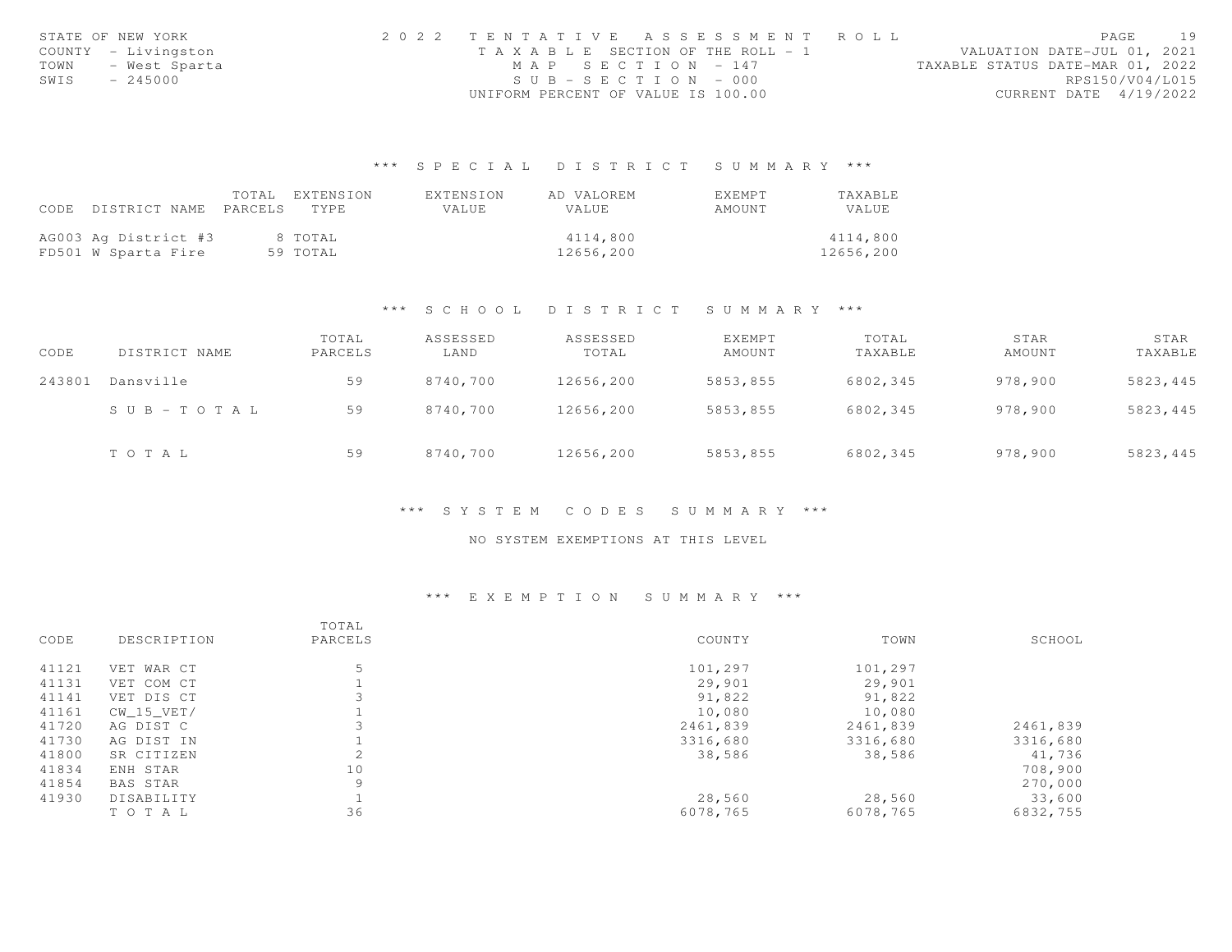|      | STATE OF NEW YORK   | 2022 TENTATIVE ASSESSMENT ROLL        |  |  |                                  |                        | PAGE | 19 |
|------|---------------------|---------------------------------------|--|--|----------------------------------|------------------------|------|----|
|      | COUNTY - Livingston | T A X A B L E SECTION OF THE ROLL - 1 |  |  | VALUATION DATE-JUL 01, 2021      |                        |      |    |
| TOWN | - West Sparta       | MAP SECTION - 147                     |  |  | TAXABLE STATUS DATE-MAR 01, 2022 |                        |      |    |
| SWIS | $-245000$           | $SUB - SECTION - 000$                 |  |  |                                  | RPS150/V04/L015        |      |    |
|      |                     | UNIFORM PERCENT OF VALUE IS 100.00    |  |  |                                  | CURRENT DATE 4/19/2022 |      |    |

|                                 | TOTAL EXTENSION | EXTENSION | AD VALOREM | <b>FXFMPT</b> | <b>TAXABLE</b> |
|---------------------------------|-----------------|-----------|------------|---------------|----------------|
| CODE DISTRICT NAME PARCELS TYPE |                 | VALUE     | VALUE      | AMOUNT        | VALUE          |
|                                 |                 |           |            |               |                |
| AG003 Ag District #3            | 8 TOTAL         |           | 4114,800   |               | 4114,800       |
| FD501 W Sparta Fire             | 59 TOTAL        |           | 12656,200  |               | 12656,200      |

#### \*\*\* S C H O O L D I S T R I C T S U M M A R Y \*\*\*

| CODE   | DISTRICT NAME         | TOTAL<br>PARCELS | ASSESSED<br>LAND | ASSESSED<br>TOTAL | EXEMPT<br>AMOUNT | TOTAL<br>TAXABLE | STAR<br>AMOUNT | STAR<br>TAXABLE |
|--------|-----------------------|------------------|------------------|-------------------|------------------|------------------|----------------|-----------------|
| 243801 | Dansville             | 59               | 8740,700         | 12656,200         | 5853,855         | 6802,345         | 978,900        | 5823,445        |
|        | $S \cup B - TO T A L$ | 59               | 8740,700         | 12656,200         | 5853,855         | 6802,345         | 978,900        | 5823,445        |
|        | TOTAL                 | 59               | 8740,700         | 12656,200         | 5853,855         | 6802,345         | 978,900        | 5823,445        |

#### \*\*\* S Y S T E M C O D E S S U M M A R Y \*\*\*

### NO SYSTEM EXEMPTIONS AT THIS LEVEL

|       |                 | TOTAL   |          |          |          |
|-------|-----------------|---------|----------|----------|----------|
| CODE  | DESCRIPTION     | PARCELS | COUNTY   | TOWN     | SCHOOL   |
| 41121 | VET WAR CT      | 5       | 101,297  | 101,297  |          |
| 41131 | VET COM CT      |         | 29,901   | 29,901   |          |
| 41141 | VET DIS CT      |         | 91,822   | 91,822   |          |
| 41161 | CW 15 VET/      |         | 10,080   | 10,080   |          |
| 41720 | AG DIST C       |         | 2461,839 | 2461,839 | 2461,839 |
| 41730 | AG DIST IN      |         | 3316,680 | 3316,680 | 3316,680 |
| 41800 | SR CITIZEN      |         | 38,586   | 38,586   | 41,736   |
| 41834 | ENH STAR        | 10      |          |          | 708,900  |
| 41854 | <b>BAS STAR</b> | 9       |          |          | 270,000  |
| 41930 | DISABILITY      |         | 28,560   | 28,560   | 33,600   |
|       | TOTAL           | 36      | 6078,765 | 6078,765 | 6832,755 |
|       |                 |         |          |          |          |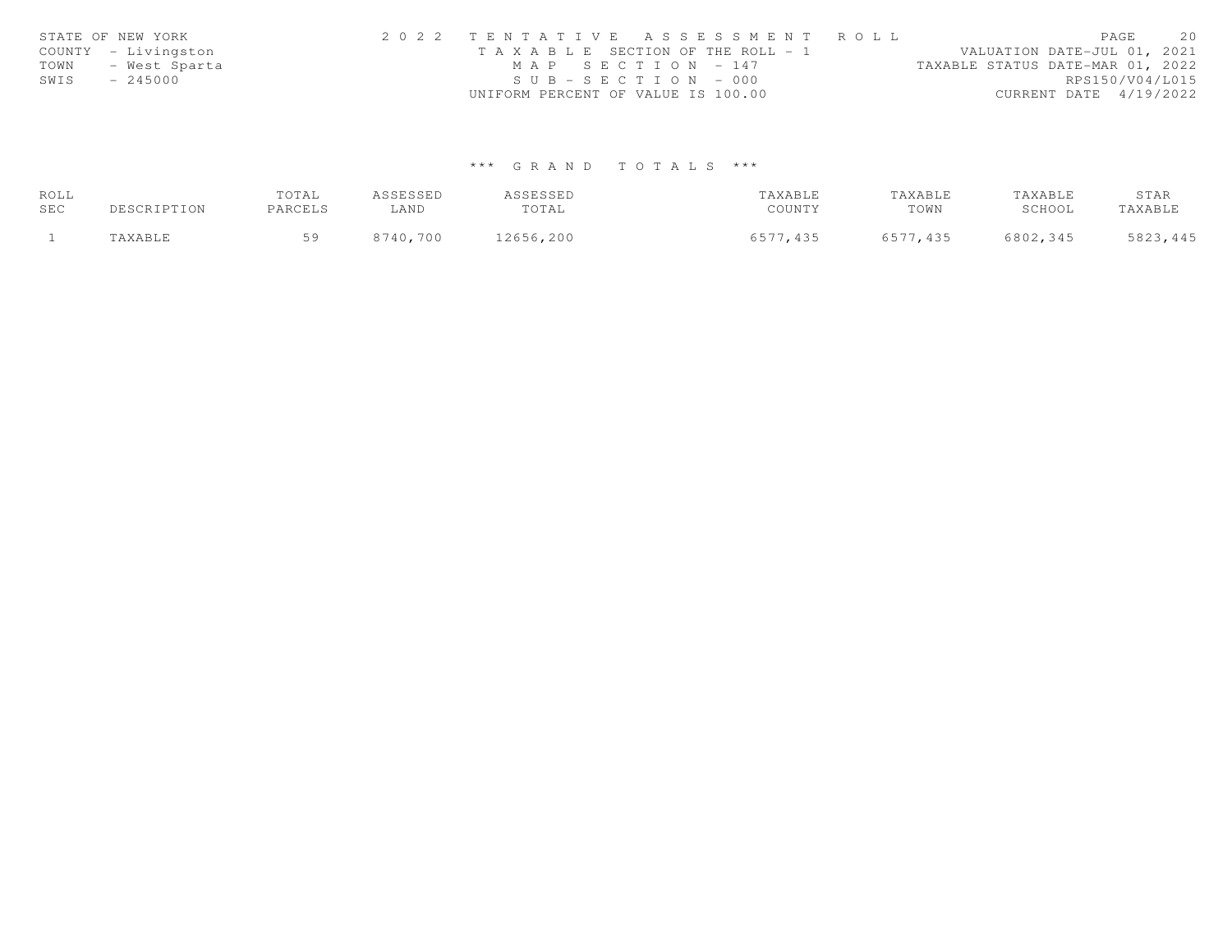|      | STATE OF NEW YORK   | 2022 TENTATIVE ASSESSMENT ROLL                        | PAGE                        | 20 |
|------|---------------------|-------------------------------------------------------|-----------------------------|----|
|      | COUNTY - Livingston | T A X A B L E SECTION OF THE ROLL - 1                 | VALUATION DATE-JUL 01, 2021 |    |
| TOWN | - West Sparta       | MAP SECTION - 147<br>TAXABLE STATUS DATE-MAR 01, 2022 |                             |    |
| SWIS | $-245000$           | $SUB - SECTION - 000$                                 | RPS150/V04/L015             |    |
|      |                     | UNIFORM PERCENT OF VALUE IS 100.00                    | CURRENT DATE 4/19/2022      |    |

| ROLL |             | TOTAL   | ASSESSED | ASSESSED  | TAXABLE  | TAXABLE  | TAXABLE  | STAR     |
|------|-------------|---------|----------|-----------|----------|----------|----------|----------|
| SEC  | DESCRIPTION | PARCELS | LAND     | TOTAL     | COUNTY   | TOWN     | SCHOOL   | TAXABLE  |
|      | TAXABLE     | 50      | 8740,700 | 12656,200 | 6577,435 | 6577,435 | 6802,345 | 5823,445 |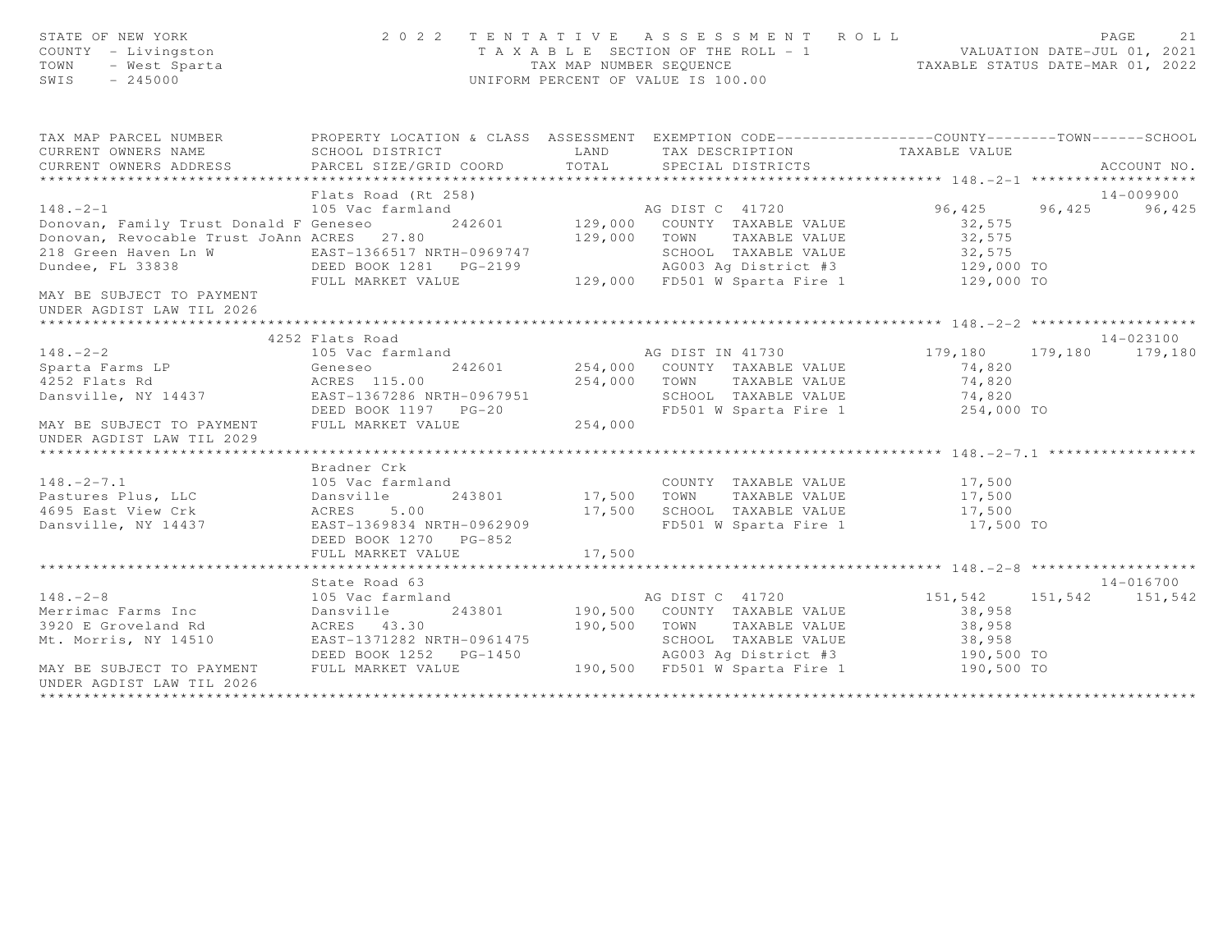| STATE OF NEW YORK<br>COUNTY - Livingston<br>TOWN<br>- West Sparta<br>SWIS<br>$-245000$       |                                                                                                   |               | 2022 TENTATIVE ASSESSMENT ROLL<br>T A X A B L E SECTION OF THE ROLL - 1 VALUATION DATE-JUL 01, 2021<br>TAX MAP NUMBER SEQUENCE TAXABLE STATUS DATE-MAR 01, 2022<br>UNIFORM PERCENT OF VALUE IS 100.00 |                      | PAGE<br>21      |
|----------------------------------------------------------------------------------------------|---------------------------------------------------------------------------------------------------|---------------|-------------------------------------------------------------------------------------------------------------------------------------------------------------------------------------------------------|----------------------|-----------------|
| TAX MAP PARCEL NUMBER                                                                        | PROPERTY LOCATION & CLASS ASSESSMENT EXEMPTION CODE-----------------COUNTY-------TOWN------SCHOOL |               |                                                                                                                                                                                                       |                      |                 |
| CURRENT OWNERS NAME                                                                          | SCHOOL DISTRICT                                                                                   | LAND          | TAX DESCRIPTION                                                                                                                                                                                       | TAXABLE VALUE        |                 |
| CURRENT OWNERS ADDRESS                                                                       | PARCEL SIZE/GRID COORD                                                                            | TOTAL         | SPECIAL DISTRICTS                                                                                                                                                                                     |                      | ACCOUNT NO.     |
|                                                                                              |                                                                                                   |               |                                                                                                                                                                                                       |                      |                 |
|                                                                                              | Flats Road (Rt 258)                                                                               |               |                                                                                                                                                                                                       |                      | 14-009900       |
| $148. - 2 - 1$<br>Donovan, Family Trust Donald F Geneseo 242601 129,000 COUNTY TAXABLE VALUE | 105 Vac farmland                                                                                  |               | AG DIST C 41720                                                                                                                                                                                       | 96, 425 96, 425      | 96,425          |
| Donovan, Revocable Trust JoAnn ACRES 27.80                                                   |                                                                                                   | 129,000       |                                                                                                                                                                                                       | 32,575               |                 |
| 218 Green Haven Ln W                                                                         |                                                                                                   |               | TOWN TAXABLE VALUE<br>SCHOOL TAXABLE VALUE                                                                                                                                                            | 32,575<br>32,575     |                 |
| Dundee, FL 33838                                                                             | EAST-1366517 NRTH-0969747<br>DEED BOOK 1281    PG-2199                                            |               |                                                                                                                                                                                                       | 129,000 TO           |                 |
|                                                                                              | FULL MARKET VALUE                                                                                 |               | -2199 66003 Ag District #3<br>129,000 FD501 W Sparta Fire 1                                                                                                                                           | 129,000 TO           |                 |
| MAY BE SUBJECT TO PAYMENT<br>UNDER AGDIST LAW TIL 2026                                       |                                                                                                   |               |                                                                                                                                                                                                       |                      |                 |
|                                                                                              |                                                                                                   |               |                                                                                                                                                                                                       |                      |                 |
|                                                                                              | 4252 Flats Road                                                                                   |               |                                                                                                                                                                                                       |                      | 14-023100       |
| $148 - 2 - 2$<br>148.-2-2<br>Sparta Farms LP<br>11.- Pd                                      | 105 Vac farmland                                                                                  |               | AG DIST IN 41730 179,180                                                                                                                                                                              |                      | 179,180 179,180 |
|                                                                                              | 242601<br>Geneseo                                                                                 | 254,000       | 254,000 COUNTY TAXABLE VALUE                                                                                                                                                                          | 74,820               |                 |
| Dansville, NY 14437 EAST-1367286 NRTH-0967951                                                | ACRES 115.00                                                                                      |               | TOWN<br>TAXABLE VALUE<br>SCHOOL TAXABLE VALUE                                                                                                                                                         | 74,820<br>74,820     |                 |
|                                                                                              | DEED BOOK 1197    PG-20                                                                           |               | FD501 W Sparta Fire 1                                                                                                                                                                                 | 254,000 TO           |                 |
| MAY BE SUBJECT TO PAYMENT<br>UNDER AGDIST LAW TIL 2029                                       | FULL MARKET VALUE                                                                                 | 254,000       |                                                                                                                                                                                                       |                      |                 |
|                                                                                              |                                                                                                   |               |                                                                                                                                                                                                       |                      |                 |
|                                                                                              | Bradner Crk                                                                                       |               |                                                                                                                                                                                                       |                      |                 |
| $148. - 2 - 7.1$                                                                             | 105 Vac farmland                                                                                  |               | COUNTY TAXABLE VALUE                                                                                                                                                                                  | 17,500               |                 |
| Pastures Plus, LLC                                                                           | Dansville                                                                                         | 243801 17,500 | TOWN<br>TAXABLE VALUE                                                                                                                                                                                 | 17,500               |                 |
| 4695 East View Crk                                                                           | ACRES 5.00<br>EAST-1369834 NRTH-0962909                                                           | 17,500        | SCHOOL TAXABLE VALUE<br>FD501 W Sparta Fire 1                                                                                                                                                         | 17,500               |                 |
| Dansville, NY 14437                                                                          | DEED BOOK 1270 PG-852                                                                             |               |                                                                                                                                                                                                       | 17,500 TO            |                 |
|                                                                                              | FULL MARKET VALUE                                                                                 | 17,500        |                                                                                                                                                                                                       |                      |                 |
|                                                                                              |                                                                                                   |               |                                                                                                                                                                                                       |                      |                 |
|                                                                                              | State Road 63                                                                                     |               |                                                                                                                                                                                                       |                      | 14-016700       |
| $148. - 2 - 8$                                                                               | 105 Vac farmland                                                                                  |               | AG DIST C 41720                                                                                                                                                                                       | 151,542              | 151,542 151,542 |
| Merrimac Farms Inc                                                                           | 243801<br>Dansville                                                                               |               | 190,500 COUNTY TAXABLE VALUE                                                                                                                                                                          | 38,958               |                 |
| 3920 E Groveland Rd                                                                          | ACRES 43.30                                                                                       | 190,500       | TOWN<br>TAXABLE VALUE                                                                                                                                                                                 | 38,958               |                 |
| Mt. Morris, NY 14510                                                                         | EAST-1371282 NRTH-0961475                                                                         |               | SCHOOL TAXABLE VALUE                                                                                                                                                                                  | 38,958<br>190,500 TO |                 |
|                                                                                              | DEED BOOK 1252    PG-1450                                                                         |               | AG003 Ag District #3                                                                                                                                                                                  |                      |                 |
| MAY BE SUBJECT TO PAYMENT<br>UNDER AGDIST LAW TIL 2026                                       | FULL MARKET VALUE                                                                                 |               | 190,500 FD501 W Sparta Fire 1                                                                                                                                                                         | 190,500 TO           |                 |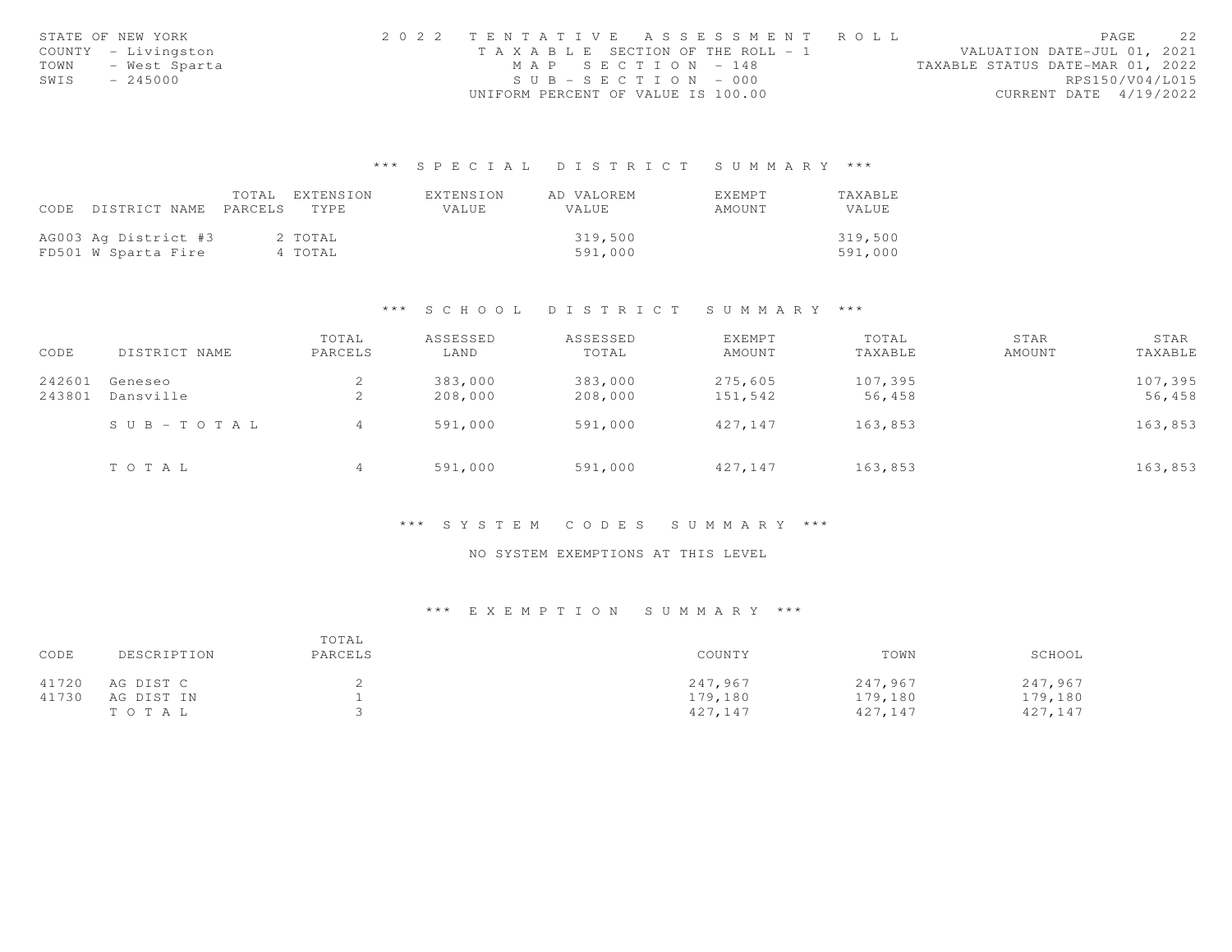|      | STATE OF NEW YORK   | 2022 TENTATIVE ASSESSMENT ROLL        |  |  |                                  |                        | PAGE | 22 |
|------|---------------------|---------------------------------------|--|--|----------------------------------|------------------------|------|----|
|      | COUNTY - Livingston | T A X A B L E SECTION OF THE ROLL - 1 |  |  | VALUATION DATE-JUL 01, 2021      |                        |      |    |
| TOWN | - West Sparta       | MAP SECTION $-148$                    |  |  | TAXABLE STATUS DATE-MAR 01, 2022 |                        |      |    |
| SWIS | - 245000            | $SUB - SECTION - 000$                 |  |  |                                  | RPS150/V04/L015        |      |    |
|      |                     | UNIFORM PERCENT OF VALUE IS 100.00    |  |  |                                  | CURRENT DATE 4/19/2022 |      |    |

|      |                            | TOTAL EXTENSION | EXTENSION    | AD VALOREM   | EXEMPT | <b>TAXABLE</b> |
|------|----------------------------|-----------------|--------------|--------------|--------|----------------|
| CODE | DISTRICT NAME PARCELS TYPE |                 | <b>VALUE</b> | <b>VALUE</b> | AMOUNT | VALUE          |
|      |                            |                 |              |              |        |                |
|      | AG003 Ag District #3       | 2 TOTAL         |              | 319,500      |        | 319,500        |
|      | FD501 W Sparta Fire        | 4 TOTAL         |              | 591,000      |        | 591,000        |

#### \*\*\* S C H O O L D I S T R I C T S U M M A R Y \*\*\*

| CODE             | DISTRICT NAME         | TOTAL<br>PARCELS | ASSESSED<br>LAND   | ASSESSED<br>TOTAL  | EXEMPT<br>AMOUNT   | TOTAL<br>TAXABLE  | STAR<br>AMOUNT | STAR<br>TAXABLE   |
|------------------|-----------------------|------------------|--------------------|--------------------|--------------------|-------------------|----------------|-------------------|
| 242601<br>243801 | Geneseo<br>Dansville  | ∠<br>∠           | 383,000<br>208,000 | 383,000<br>208,000 | 275,605<br>151,542 | 107,395<br>56,458 |                | 107,395<br>56,458 |
|                  | $S \cup B - TO T A L$ | 4                | 591,000            | 591,000            | 427,147            | 163,853           |                | 163,853           |
|                  | TOTAL                 | 4                | 591,000            | 591,000            | 427,147            | 163,853           |                | 163,853           |

#### \*\*\* S Y S T E M C O D E S S U M M A R Y \*\*\*

### NO SYSTEM EXEMPTIONS AT THIS LEVEL

| CODE  | DESCRIPTION | TOTAL<br>PARCELS | COUNTY  | TOWN    | SCHOOL  |
|-------|-------------|------------------|---------|---------|---------|
| 41720 | AG DIST C   |                  | 247.967 | 247,967 | 247,967 |
| 41730 | AG DIST IN  |                  | 179,180 | 179,180 | 179,180 |
|       | TOTAL       |                  | 427,147 | 427,147 | 427,147 |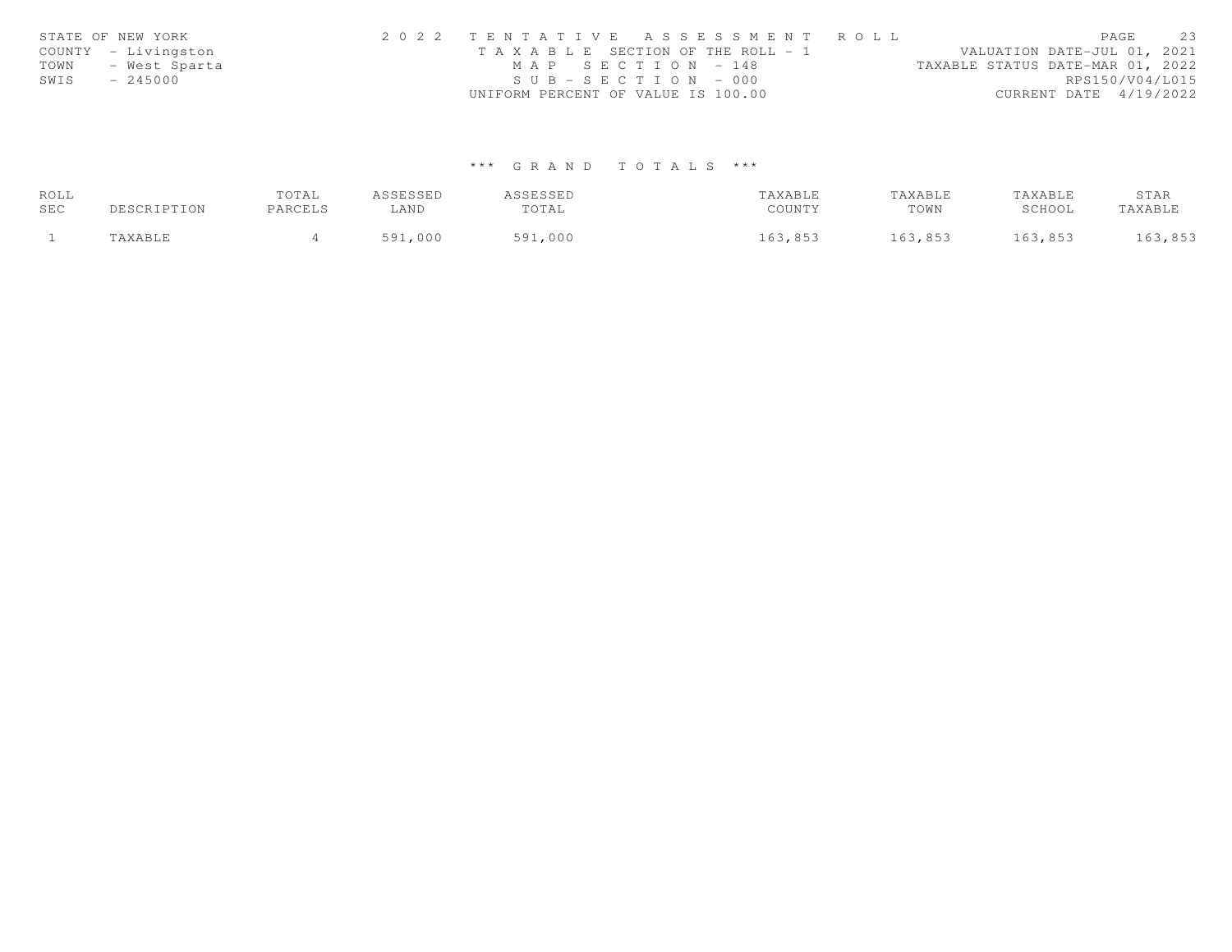| STATE OF NEW YORK |                     | 2022 TENTATIVE ASSESSMENT ROLL        |  |                                  |                        | PAGE | 2.3 |
|-------------------|---------------------|---------------------------------------|--|----------------------------------|------------------------|------|-----|
|                   | COUNTY - Livingston | T A X A B L E SECTION OF THE ROLL - 1 |  | VALUATION DATE-JUL 01, 2021      |                        |      |     |
| TOWN              | - West Sparta       | MAP SECTION - 148                     |  | TAXABLE STATUS DATE-MAR 01, 2022 |                        |      |     |
| SWIS              | $-245000$           | $SUB - SECTION - 000$                 |  |                                  | RPS150/V04/L015        |      |     |
|                   |                     | UNIFORM PERCENT OF VALUE IS 100.00    |  |                                  | CURRENT DATE 4/19/2022 |      |     |

| ROLL |                      | TOTAL   | ASSESSED | ASSESSED | TAXABLE | TAXABLE | TAXABLE | STAR    |
|------|----------------------|---------|----------|----------|---------|---------|---------|---------|
| SEC  | DESCRIPTION          | PARCELS | ⊥AND     | TOTAL    | COUNTY  | TOWN    | SCHOOL  | TAXABLE |
|      | <i><b>AXABLE</b></i> |         | 591,000  | 591,000  | 163,853 | 163,853 | 163,853 | 163,853 |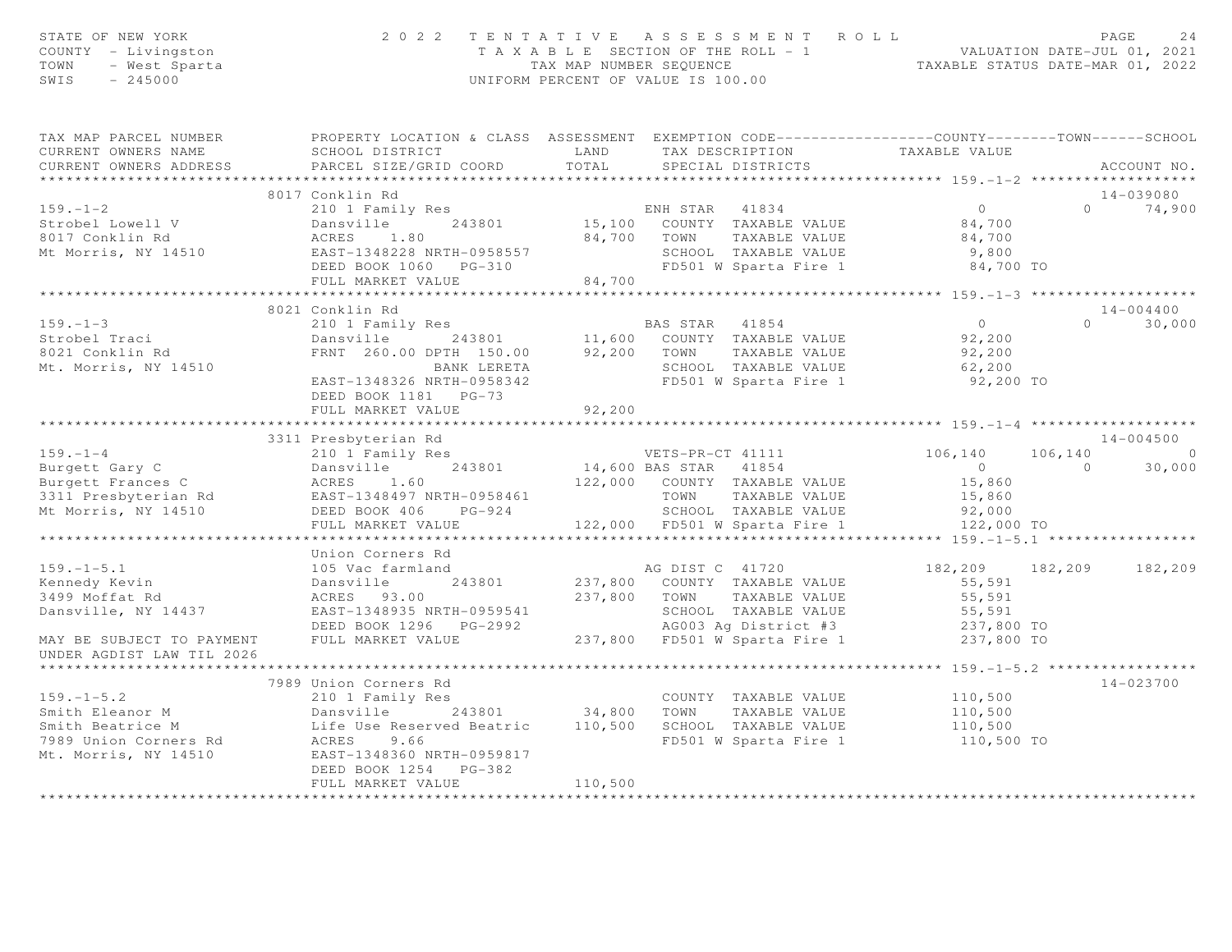| STATE OF NEW YORK<br>COUNTY - Livingston<br>TOWN - West Sparta<br>SWIS - 245000                                                                                                                                                                                         |                                                                     |         | $\begin{array}{cccccccccccc} 2&0&2&2&2&\text{TE} &\text{N T A T I V E} &\text{A S S E S S M E N T R O L L} &\text{PAGE} & 24 \\ & & & & & & & & \text{YALUATION DATE-JUL 01, 2021} \\ & & & & & & & & \text{YALUATION DATE-JUL 01, 2022} \\ & & & & & & & & \text{YALUATION DATE-MAR 01, 2022} \\ & & & & & & & & \text{XALUATION DATE-MAR 01, 2022} \\ & & & & & & & & \text{XALUATION DATE-MAR 02, 2022} \\ \end$ |  |               |
|-------------------------------------------------------------------------------------------------------------------------------------------------------------------------------------------------------------------------------------------------------------------------|---------------------------------------------------------------------|---------|---------------------------------------------------------------------------------------------------------------------------------------------------------------------------------------------------------------------------------------------------------------------------------------------------------------------------------------------------------------------------------------------------------------------|--|---------------|
| CURRENT OWNERS ADDRESS FARCEL SIZE/GRID COORD TOTAL SPECIAL DISTRICTS                                                                                                                                                                                                   |                                                                     |         |                                                                                                                                                                                                                                                                                                                                                                                                                     |  | ACCOUNT NO.   |
|                                                                                                                                                                                                                                                                         | 8017 Conklin Rd                                                     |         |                                                                                                                                                                                                                                                                                                                                                                                                                     |  | 14-039080     |
| 159.-1-2<br>Strobel Lowell V<br>2010 I Family Res<br>243801 243801 15,100 COUNTY TAXABLE VALUE<br>243801 15,100 COUNTY TAXABLE VALUE<br>243801 15,100 COUNTY TAXABLE VALUE<br>24700 TOWN TAXABLE VALUE<br>24700 TOWN TAXABLE VALUE<br>24700 SC                          |                                                                     |         |                                                                                                                                                                                                                                                                                                                                                                                                                     |  | $0 \t 74,900$ |
|                                                                                                                                                                                                                                                                         |                                                                     |         |                                                                                                                                                                                                                                                                                                                                                                                                                     |  |               |
|                                                                                                                                                                                                                                                                         | 8021 Conklin Rd<br>DEED BOOK 1181 PG-73<br>FULL MARKET VALUE        | 92, 200 |                                                                                                                                                                                                                                                                                                                                                                                                                     |  | $14 - 004400$ |
|                                                                                                                                                                                                                                                                         |                                                                     |         |                                                                                                                                                                                                                                                                                                                                                                                                                     |  |               |
|                                                                                                                                                                                                                                                                         | 3311 Presbyterian Rd                                                |         |                                                                                                                                                                                                                                                                                                                                                                                                                     |  | 14-004500     |
| 159.-1-4<br>Burgett Gary C<br>Burgett Frances C<br>3311 Presbyterian Rd<br>3311 Presbyterian Rd<br>243801 14,600 BAS STAR 41854 0<br>243801 14,600 BAS STAR 41854 0<br>243801 14,600 BAS STAR 41854 0<br>242,000 COUNTY TAXABLE VALUE<br>22,000                         |                                                                     |         |                                                                                                                                                                                                                                                                                                                                                                                                                     |  |               |
|                                                                                                                                                                                                                                                                         |                                                                     |         |                                                                                                                                                                                                                                                                                                                                                                                                                     |  |               |
|                                                                                                                                                                                                                                                                         |                                                                     |         |                                                                                                                                                                                                                                                                                                                                                                                                                     |  |               |
| 159.-1-5.1<br>Mennedy Kevin (105 Vac farmland Dansville 243801 answitch and Danswitch Several of Market 2009)<br>182,209 182,209 182,209<br>182,209 182,209 182,209<br>182,209 182,209 182,209<br>182,209 182,209 182,209<br>182,209 182,2<br>UNDER AGDIST LAW TIL 2026 |                                                                     |         |                                                                                                                                                                                                                                                                                                                                                                                                                     |  |               |
|                                                                                                                                                                                                                                                                         |                                                                     |         |                                                                                                                                                                                                                                                                                                                                                                                                                     |  |               |
| 159.-1-5.2<br>Smith Eleanor M 210 1 Family Res<br>Smith Beatrice M Life Use Reserved Beatric 110,500 SCHOOL TAXABLE VALUE 110,500<br>TOWN TAXABLE VALUE 110,500<br>Smith Beatrice M Life Use Reserved Beatric 110,500 SCHOOL TAXABLE V                                  | 7989 Union Corners Rd<br>DEED BOOK 1254 PG-382<br>FULL MARKET VALUE | 110,500 |                                                                                                                                                                                                                                                                                                                                                                                                                     |  | 14-023700     |
|                                                                                                                                                                                                                                                                         |                                                                     |         |                                                                                                                                                                                                                                                                                                                                                                                                                     |  |               |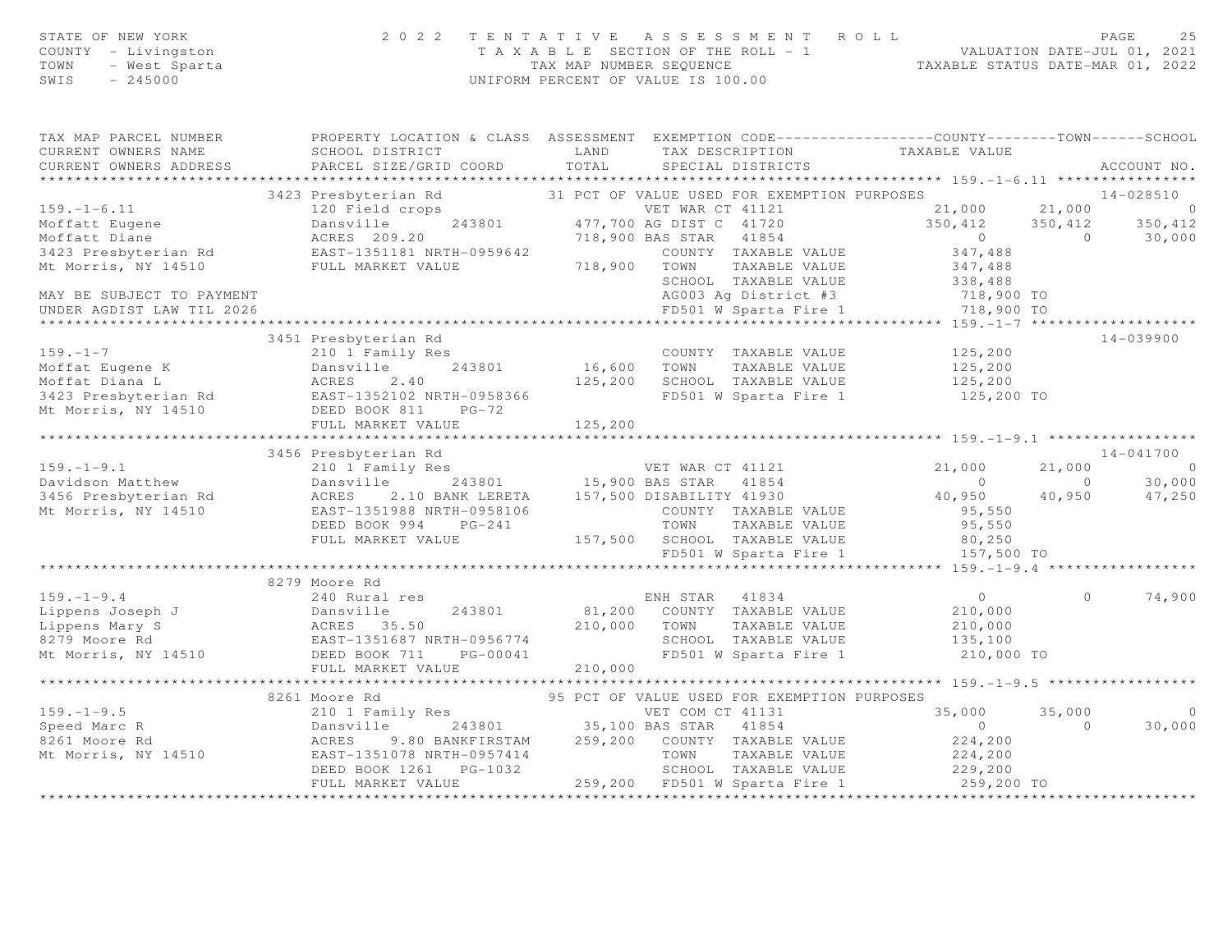|      | STATE OF NEW YORK   | 2022 TENTATIVE ASSESSMENT ROLL        |                                  | PAGE | -25 |
|------|---------------------|---------------------------------------|----------------------------------|------|-----|
|      | COUNTY - Livingston | T A X A B L E SECTION OF THE ROLL - 1 | VALUATION DATE-JUL 01, 2021      |      |     |
|      | TOWN  – West Sparta | TAX MAP NUMBER SEOUENCE               | TAXABLE STATUS DATE-MAR 01, 2022 |      |     |
| SWIS | - 245000            | UNIFORM PERCENT OF VALUE IS 100.00    |                                  |      |     |
|      |                     |                                       |                                  |      |     |

| TAX MAP PARCEL NUMBER                 | PROPERTY LOCATION & CLASS ASSESSMENT EXEMPTION CODE----------------COUNTY-------TOWN-----SCHOOL                                                                                                                                                                    |                    |                                                                                                                  |                                                    |          |                |
|---------------------------------------|--------------------------------------------------------------------------------------------------------------------------------------------------------------------------------------------------------------------------------------------------------------------|--------------------|------------------------------------------------------------------------------------------------------------------|----------------------------------------------------|----------|----------------|
| CURRENT OWNERS NAME                   | SCHOOL DISTRICT                                                                                                                                                                                                                                                    | LAND               | TAX DESCRIPTION                                                                                                  | TAXABLE VALUE                                      |          |                |
|                                       |                                                                                                                                                                                                                                                                    |                    |                                                                                                                  |                                                    |          |                |
|                                       |                                                                                                                                                                                                                                                                    |                    |                                                                                                                  |                                                    |          |                |
|                                       | 3423 Presbyterian Rd 31 PCT OF VALUE USED FOR EXEMPTION PURPOSES                                                                                                                                                                                                   |                    |                                                                                                                  | $14 - 028510$                                      |          |                |
| $159. - 1 - 6.11$                     | 120 Field crops                                                                                                                                                                                                                                                    |                    | VET WAR CT 41121<br>243801 477,700 AG DIST C 41720<br>718,900 BAS STAR 41854<br>VET WAR CT 41121 21,000 21,000 0 |                                                    |          |                |
| Moffatt Eugene                        | Dansville                                                                                                                                                                                                                                                          |                    |                                                                                                                  |                                                    |          |                |
|                                       | Dansville<br>ACRES 209.20                                                                                                                                                                                                                                          |                    |                                                                                                                  | $350, 412$ $350, 412$ $350, 412$<br>0 0 30,000     |          | 30,000         |
|                                       | 3423 Presbyterian Rd<br>EAST-1351181 NRTH-0959642                                                                                                                                                                                                                  |                    | COUNTY TAXABLE VALUE 347,488                                                                                     |                                                    |          |                |
| Mt Morris, NY 14510 FULL MARKET VALUE |                                                                                                                                                                                                                                                                    | 718,900 TOWN       | TAXABLE VALUE                                                                                                    | 347,488                                            |          |                |
|                                       |                                                                                                                                                                                                                                                                    |                    | SCHOOL TAXABLE VALUE 338, 488                                                                                    |                                                    |          |                |
| MAY BE SUBJECT TO PAYMENT             |                                                                                                                                                                                                                                                                    |                    |                                                                                                                  |                                                    |          |                |
| UNDER AGDIST LAW TIL 2026             |                                                                                                                                                                                                                                                                    |                    | AG003 Ag District #3 718,900 TO<br>FD501 W Sparta Fire 1 718,900 TO                                              |                                                    |          |                |
|                                       |                                                                                                                                                                                                                                                                    |                    |                                                                                                                  |                                                    |          |                |
|                                       |                                                                                                                                                                                                                                                                    |                    |                                                                                                                  |                                                    |          |                |
|                                       | 3451 Presbyterian Rd                                                                                                                                                                                                                                               |                    |                                                                                                                  |                                                    |          | $14 - 039900$  |
| $159. - 1 - 7$                        | 210 1 Family Res                                                                                                                                                                                                                                                   |                    | COUNTY TAXABLE VALUE 125,200                                                                                     |                                                    |          |                |
|                                       | Moffat Eugene K<br>Moffat Diana L<br>3423 Presbyterian Rd<br>3423 Presbyterian Rd<br>Component Composition Component Component Component<br>Component Component Component Component<br>Component Component Component Component<br>Component                        | 243801 16,600 TOWN |                                                                                                                  | TAXABLE VALUE 125, 200<br>L TAXABLE VALUE 125, 200 |          |                |
|                                       |                                                                                                                                                                                                                                                                    | 125,200            | SCHOOL TAXABLE VALUE                                                                                             |                                                    |          |                |
|                                       |                                                                                                                                                                                                                                                                    |                    | FD501 W Sparta Fire 1 125,200 TO                                                                                 |                                                    |          |                |
|                                       | Mt Morris, NY 14510 DEED BOOK 811 PG-72                                                                                                                                                                                                                            |                    |                                                                                                                  |                                                    |          |                |
|                                       |                                                                                                                                                                                                                                                                    |                    |                                                                                                                  |                                                    |          |                |
|                                       |                                                                                                                                                                                                                                                                    |                    |                                                                                                                  |                                                    |          |                |
|                                       | 3456 Presbyterian Rd                                                                                                                                                                                                                                               |                    |                                                                                                                  |                                                    |          | 14-041700      |
|                                       |                                                                                                                                                                                                                                                                    |                    |                                                                                                                  | 21,000                                             | 21,000   | $\overline{0}$ |
|                                       |                                                                                                                                                                                                                                                                    |                    |                                                                                                                  | $\overline{0}$                                     |          | 30,000         |
|                                       |                                                                                                                                                                                                                                                                    |                    |                                                                                                                  | $0$ 0<br>40,950 40,950                             |          | 47,250         |
| Mt Morris, NY 14510                   | EAST-1351988 NRTH-0958106                                                                                                                                                                                                                                          |                    | COUNTY TAXABLE VALUE                                                                                             | 95,550                                             |          |                |
|                                       | DEED BOOK 994 PG-241                                                                                                                                                                                                                                               |                    | 3-241 TOWN TAXABLE VALUE 95,550<br>157,500 SCHOOL TAXABLE VALUE 80,250                                           |                                                    |          |                |
|                                       | FULL MARKET VALUE                                                                                                                                                                                                                                                  |                    |                                                                                                                  |                                                    |          |                |
|                                       |                                                                                                                                                                                                                                                                    |                    | FD501 W Sparta Fire 1                                                                                            | 157,500 TO                                         |          |                |
|                                       |                                                                                                                                                                                                                                                                    |                    |                                                                                                                  |                                                    |          |                |
|                                       | 8279 Moore Rd                                                                                                                                                                                                                                                      |                    |                                                                                                                  |                                                    |          |                |
| $159. - 1 - 9.4$                      |                                                                                                                                                                                                                                                                    |                    |                                                                                                                  |                                                    | $\Omega$ | 74,900         |
|                                       |                                                                                                                                                                                                                                                                    |                    |                                                                                                                  |                                                    |          |                |
|                                       | 159.-1-9.4<br>Lippens Joseph J<br>Lippens Mary S<br>8279 Moore Rd<br>Mt Morris, NY 14510<br>2008 Mary S<br>240 Rural res<br>Dansville<br>243801<br>243801<br>243801<br>243801<br>2543801<br>2543801<br>25550<br>279 Moore Rd<br>255774<br>DEED BOOK 711<br>26-0004 | 210,000 TOWN       |                                                                                                                  | TAXABLE VALUE 210,000                              |          |                |
|                                       |                                                                                                                                                                                                                                                                    |                    | SCHOOL TAXABLE VALUE                                                                                             | 135,100                                            |          |                |
|                                       |                                                                                                                                                                                                                                                                    |                    | FD501 W Sparta Fire 1 210,000 TO                                                                                 |                                                    |          |                |
|                                       | FULL MARKET VALUE                                                                                                                                                                                                                                                  | 210,000            |                                                                                                                  |                                                    |          |                |
|                                       |                                                                                                                                                                                                                                                                    |                    |                                                                                                                  |                                                    |          |                |
|                                       | 8261 Moore Rd                                                                                                                                                                                                                                                      |                    | 95 PCT OF VALUE USED FOR EXEMPTION PURPOSES                                                                      |                                                    |          |                |
| $159. - 1 - 9.5$                      | Moore Rd 95 PCT 95 PCT                                                                                                                                                                                                                                             |                    | VET COM CT 41131                                                                                                 | 35,000                                             | 35,000   | $\bigcirc$     |
| Speed Marc R                          |                                                                                                                                                                                                                                                                    |                    | 243801 35,100 BAS STAR 41854                                                                                     | $\bigcap$                                          | $\Omega$ | 30,000         |
|                                       | Dansville<br>Dansville 243801 33,100 2001<br>ACRES 9.80 BANKFIRSTAM 259,200 COUNTY TAXABLE VALUE<br>FAST 1251078 NRTH-0957414 TOWN TAXABLE VALUE                                                                                                                   |                    |                                                                                                                  |                                                    |          |                |
| 8261 Moore Rd                         |                                                                                                                                                                                                                                                                    |                    |                                                                                                                  | 224,200<br>224,200                                 |          |                |
| Mt Morris, NY 14510                   |                                                                                                                                                                                                                                                                    |                    |                                                                                                                  |                                                    |          |                |
|                                       | DEED BOOK 1261    PG-1032                                                                                                                                                                                                                                          |                    | 1032 5CHOOL TAXABLE VALUE 229,200<br>259,200 FD501 W Sparta Fire 1 259,200 TO                                    |                                                    |          |                |
|                                       | FULL MARKET VALUE                                                                                                                                                                                                                                                  |                    |                                                                                                                  |                                                    |          |                |
|                                       |                                                                                                                                                                                                                                                                    |                    |                                                                                                                  |                                                    |          |                |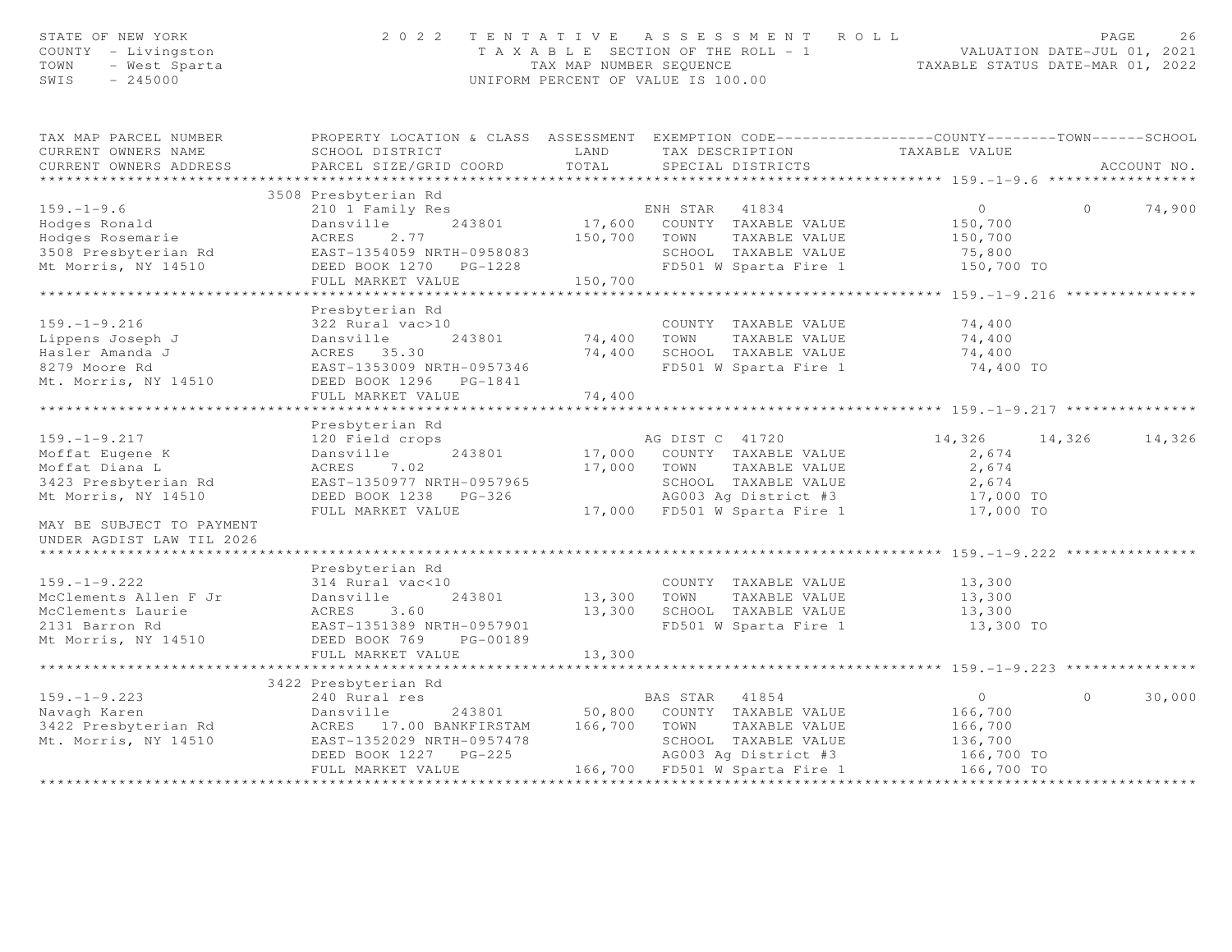| STATE OF NEW YORK<br>COUNTY - Livingston<br>TOWN<br>- West Sparta<br>- 245000<br>SWIS<br>$-245000$ |                                                     |                | 2022 TENTATIVE ASSESSMENT ROLL<br>T A X A B L E SECTION OF THE ROLL - 1 VALUATION DATE-JUL 01, 2021<br>TAX MAP NUMBER SEQUENCE TAXABLE STATUS DATE-MAR 01, 2022<br>UNIFORM PERCENT OF VALUE IS 100.00 |                                                   | PAGE     | 26          |
|----------------------------------------------------------------------------------------------------|-----------------------------------------------------|----------------|-------------------------------------------------------------------------------------------------------------------------------------------------------------------------------------------------------|---------------------------------------------------|----------|-------------|
| TAX MAP PARCEL NUMBER<br>CURRENT OWNERS NAME                                                       | SCHOOL DISTRICT                                     | LAND           | PROPERTY LOCATION & CLASS ASSESSMENT EXEMPTION CODE----------------COUNTY-------TOWN------SCHOOL<br>TAX DESCRIPTION                                                                                   | TAXABLE VALUE                                     |          |             |
| CURRENT OWNERS ADDRESS                                                                             | PARCEL SIZE/GRID COORD                              | TOTAL          | SPECIAL DISTRICTS                                                                                                                                                                                     |                                                   |          | ACCOUNT NO. |
|                                                                                                    | 3508 Presbyterian Rd                                |                |                                                                                                                                                                                                       |                                                   |          |             |
| $159. - 1 - 9.6$                                                                                   | 210 1 Family Res                                    |                |                                                                                                                                                                                                       | $\overline{0}$                                    | $\Omega$ | 74,900      |
| Hodges Ronald                                                                                      | Dansville 243801                                    |                | ENH STAR 41834<br>17,600 COUNTY TAXABLE VALUE                                                                                                                                                         | 150,700                                           |          |             |
| Hodges Rosemarie                                                                                   | ACRES<br>2.77                                       |                | 150,700 TOWN<br>TAXABLE VALUE                                                                                                                                                                         | 150,700                                           |          |             |
| 3508 Presbyterian Rd                                                                               | EAST-1354059 NRTH-0958083                           |                | SCHOOL TAXABLE VALUE                                                                                                                                                                                  | 75,800                                            |          |             |
| Mt Morris, NY 14510                                                                                | DEED BOOK 1270 PG-1228                              |                | FD501 W Sparta Fire 1                                                                                                                                                                                 | 150,700 TO                                        |          |             |
|                                                                                                    | FULL MARKET VALUE                                   | 150,700        |                                                                                                                                                                                                       |                                                   |          |             |
|                                                                                                    |                                                     |                |                                                                                                                                                                                                       | ***************** 159. -1-9. 216 **************** |          |             |
|                                                                                                    | Presbyterian Rd                                     |                |                                                                                                                                                                                                       |                                                   |          |             |
| $159. - 1 - 9.216$                                                                                 | 322 Rural vac>10                                    |                | COUNTY TAXABLE VALUE                                                                                                                                                                                  | 74,400                                            |          |             |
| Lippens Joseph J                                                                                   | Dansville<br>243801                                 | 74,400 TOWN    | TAXABLE VALUE                                                                                                                                                                                         | 74,400                                            |          |             |
| Hasler Amanda J                                                                                    | ACRES 35.30                                         |                | 74,400 SCHOOL TAXABLE VALUE                                                                                                                                                                           | 74,400                                            |          |             |
| 8279 Moore Rd                                                                                      | EAST-1353009 NRTH-0957346                           |                | FD501 W Sparta Fire 1                                                                                                                                                                                 | 74,400 TO                                         |          |             |
| Mt. Morris, NY 14510                                                                               | DEED BOOK 1296 PG-1841<br>FULL MARKET VALUE         | 74,400         |                                                                                                                                                                                                       |                                                   |          |             |
|                                                                                                    |                                                     |                |                                                                                                                                                                                                       |                                                   |          |             |
|                                                                                                    | Presbyterian Rd                                     |                |                                                                                                                                                                                                       |                                                   |          |             |
| $159. - 1 - 9.217$                                                                                 | 120 Field crops                                     |                | AG DIST C 41720                                                                                                                                                                                       | 14,326 14,326                                     |          | 14,326      |
| Moffat Eugene K                                                                                    | 243801<br>Dansville                                 |                | 17,000 COUNTY TAXABLE VALUE                                                                                                                                                                           | 2,674                                             |          |             |
| Moffat Diana L                                                                                     | ACRES 7.02                                          |                | 17,000 TOWN<br>TAXABLE VALUE                                                                                                                                                                          | 2,674                                             |          |             |
| 3423 Presbyterian Rd                                                                               | EAST-1350977 NRTH-0957965                           |                | SCHOOL TAXABLE VALUE                                                                                                                                                                                  | 2,674                                             |          |             |
| Mt Morris, NY 14510                                                                                | DEED BOOK 1238 PG-326                               |                | AG003 Ag District #3                                                                                                                                                                                  | 17,000 TO                                         |          |             |
|                                                                                                    | FULL MARKET VALUE                                   |                | 17,000 FD501 W Sparta Fire 1                                                                                                                                                                          | 17,000 TO                                         |          |             |
| MAY BE SUBJECT TO PAYMENT<br>UNDER AGDIST LAW TIL 2026                                             |                                                     |                |                                                                                                                                                                                                       |                                                   |          |             |
| ******************************                                                                     |                                                     |                |                                                                                                                                                                                                       |                                                   |          |             |
|                                                                                                    | Presbyterian Rd                                     |                |                                                                                                                                                                                                       |                                                   |          |             |
| $159. - 1 - 9.222$                                                                                 | 314 Rural vac<10                                    |                | COUNTY TAXABLE VALUE                                                                                                                                                                                  | 13,300                                            |          |             |
| McClements Allen F Jr                                                                              | 243801<br>Dansville                                 | 13,300 TOWN    | TAXABLE VALUE                                                                                                                                                                                         | 13,300                                            |          |             |
| McClements Laurie                                                                                  | ACRES 3.60                                          |                | 13,300 SCHOOL TAXABLE VALUE                                                                                                                                                                           | 13,300                                            |          |             |
| 2131 Barron Rd<br>Mt Morris, NY 14510                                                              | EAST-1351389 NRTH-0957901<br>DEED BOOK 769 PG-00189 |                | FD501 W Sparta Fire 1                                                                                                                                                                                 | 13,300 TO                                         |          |             |
|                                                                                                    | FULL MARKET VALUE                                   | 13,300         |                                                                                                                                                                                                       |                                                   |          |             |
|                                                                                                    |                                                     | ************** | ************************************ 159.–1–9.223 ****************                                                                                                                                    |                                                   |          |             |
|                                                                                                    | 3422 Presbyterian Rd                                |                |                                                                                                                                                                                                       |                                                   |          |             |
| $159. - 1 - 9.223$                                                                                 | 240 Rural res                                       |                | BAS STAR 41854                                                                                                                                                                                        | $\overline{0}$                                    | $\circ$  | 30,000      |
| Navagh Karen                                                                                       | Dansville                                           |                | 243801 50,800 COUNTY TAXABLE VALUE                                                                                                                                                                    | 166,700                                           |          |             |
| 3422 Presbyterian Rd                                                                               | ACRES 17.00 BANKFIRSTAM 166,700 TOWN                |                | TAXABLE VALUE                                                                                                                                                                                         | 166,700                                           |          |             |
| Mt. Morris, NY 14510                                                                               | EAST-1352029 NRTH-0957478                           |                | SCHOOL TAXABLE VALUE                                                                                                                                                                                  | 136,700                                           |          |             |
|                                                                                                    | DEED BOOK 1227 PG-225                               |                | AG003 Ag District #3                                                                                                                                                                                  | 166,700 TO                                        |          |             |
|                                                                                                    | FULL MARKET VALUE                                   |                | 166,700 FD501 W Sparta Fire 1                                                                                                                                                                         | 166,700 TO                                        |          |             |
|                                                                                                    |                                                     |                |                                                                                                                                                                                                       |                                                   |          |             |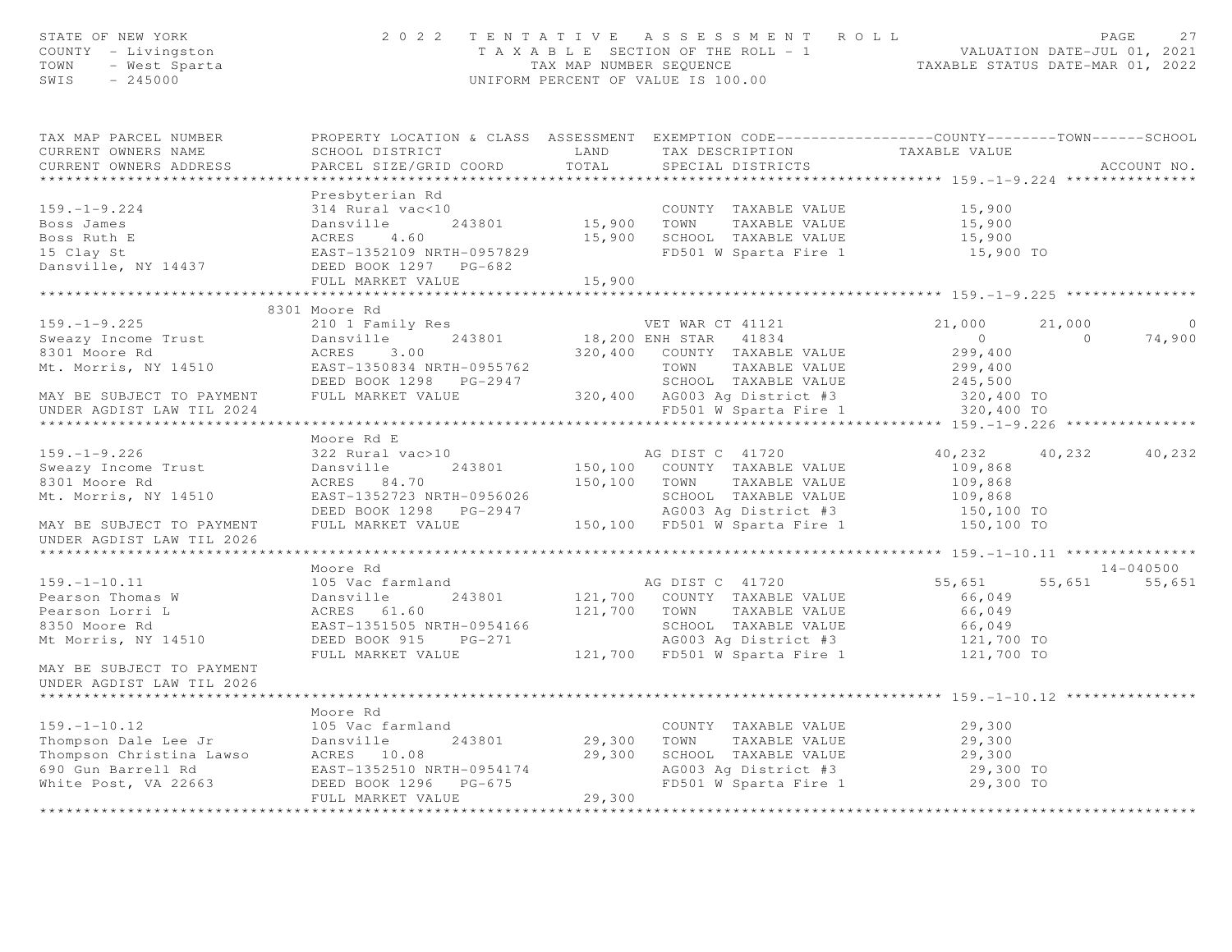| STATE OF NEW YORK<br>COUNTY - Livingston<br>TOWN - West Sparta                                                                                                                                                                                                               | 2022 TENTATIVE ASSESSMENT ROLL                                                                                                                                                 | UNIFORM PERCENT OF VALUE IS 100.00 |                                                                                                           | PAGE<br>27<br>PAGE 27<br>TAXABLE SECTION OF THE ROLL - 1<br>TAX MAP NUMBER SEQUENCE TAXABLE STATUS DATE-MAR 01, 2022<br>UNIFORM PERCENT OF VALUE IS 100.00 |                |               |
|------------------------------------------------------------------------------------------------------------------------------------------------------------------------------------------------------------------------------------------------------------------------------|--------------------------------------------------------------------------------------------------------------------------------------------------------------------------------|------------------------------------|-----------------------------------------------------------------------------------------------------------|------------------------------------------------------------------------------------------------------------------------------------------------------------|----------------|---------------|
| TAX MAP PARCEL NUMBER THE PROPERTY LOCATION & CLASS ASSESSMENT EXEMPTION CODE--------------COUNTY-------TOWN------SCHOOL<br>CURRENT OWNERS NAME<br>CURRENT OWNERS ADDRESS                                                                                                    | SCHOOL DISTRICT<br>PARCEL SIZE/GRID COORD                                                                                                                                      | TOTAL                              | LAND TAX DESCRIPTION<br>SPECIAL DISTRICTS                                                                 | TAXABLE VALUE                                                                                                                                              |                | ACCOUNT NO.   |
| 159.-1-9.224<br>Boss James<br>Boss Ruth E<br>15 Clay St<br>15 Clay St<br>15 Clay St<br>243801<br>243801<br>243801<br>243801<br>243801<br>243801<br>243801<br>243801<br>243801<br>243801<br>243801<br>243801<br>243801<br>243801<br>245801<br>245801<br>257829<br>DEED BOOK 1 | Presbyterian Rd<br>FULL MARKET VALUE                                                                                                                                           | 15,900                             | COUNTY TAXABLE VALUE<br>15,900 TOWN TAXABLE VALUE<br>15,900 SCHOOL TAXABLE VALUE<br>FD501 W Sparta Fire 1 | 15,900<br>15,900<br>15,900<br>15,900 TO                                                                                                                    |                |               |
|                                                                                                                                                                                                                                                                              |                                                                                                                                                                                |                                    |                                                                                                           |                                                                                                                                                            |                |               |
| $159. - 1 - 9.225$                                                                                                                                                                                                                                                           | 8301 Moore Rd                                                                                                                                                                  |                                    |                                                                                                           | 21,000                                                                                                                                                     | 21,000         | $\circ$       |
| Sweazy Income Trust<br>MOOTERS ACRES 3.00<br>ME. Morris, NY 14510<br>MAY BE SUBJECT TO PAYMENT FULL MARKET VALUE<br>FULL MARKET VALUE<br>FULL MARKET VALUE<br>TOWN TAXABLE VALUE<br>SCHOOL TAXABLE VALUE<br>SCHOOL TAXABLE VALUE<br>SCHOOL TAXABLE VALUE<br>SCHOOL TAXA      | MOOLE ROOTE<br>243801 18,200 ENH STAR 41834<br>ACRES 3.00 320,400 COUNTY TAXABLE VALUE<br>ACRES 3.00 320,400 COUNTY TAXABLE VALUE                                              |                                    |                                                                                                           | $\overline{0}$<br>299,400<br>299,400<br>245,500                                                                                                            | $\overline{0}$ | 74,900        |
|                                                                                                                                                                                                                                                                              |                                                                                                                                                                                |                                    |                                                                                                           | 320,400 TO<br>320,400 TO                                                                                                                                   |                |               |
|                                                                                                                                                                                                                                                                              | Moore Rd E                                                                                                                                                                     |                                    |                                                                                                           |                                                                                                                                                            |                |               |
| $159. - 1 - 9.226$                                                                                                                                                                                                                                                           | 322 Rural vac>10 AG DIST C 41720                                                                                                                                               |                                    |                                                                                                           | 40,232 40,232                                                                                                                                              |                | 40,232        |
| Sweazy Income Trust                                                                                                                                                                                                                                                          | 243801<br>Dansville                                                                                                                                                            |                                    | 150,100 COUNTY TAXABLE VALUE                                                                              | 109,868                                                                                                                                                    |                |               |
| 8301 Moore Rd                                                                                                                                                                                                                                                                | ACRES 84.70                                                                                                                                                                    |                                    | 150,100 TOWN TAXABLE VALUE                                                                                | 109,868                                                                                                                                                    |                |               |
| Mt. Morris, NY 14510                                                                                                                                                                                                                                                         |                                                                                                                                                                                |                                    |                                                                                                           |                                                                                                                                                            |                |               |
| MAY BE SUBJECT TO PAYMENT<br>UNDER AGDIST LAW TIL 2026                                                                                                                                                                                                                       | EAST-1352723 NRTH-0956026 SCHOOL TAXABLE VALUE 109,868<br>DEED BOOK 1298 PG-2947 AG003 Ag District #3 150,100 TO<br>FULL MARKET VALUE 150,100 FD501 W Sparta Fire 1 150,100 TO |                                    |                                                                                                           |                                                                                                                                                            |                |               |
| **********************                                                                                                                                                                                                                                                       |                                                                                                                                                                                |                                    |                                                                                                           |                                                                                                                                                            |                |               |
|                                                                                                                                                                                                                                                                              | Moore Rd                                                                                                                                                                       |                                    |                                                                                                           |                                                                                                                                                            |                | $14 - 040500$ |
| $159. - 1 - 10.11$                                                                                                                                                                                                                                                           | 105 Vac farmland                                                                                                                                                               |                                    | AG DIST C 41720                                                                                           | 55,651                                                                                                                                                     |                | 55,651 55,651 |
| Pearson Thomas W                                                                                                                                                                                                                                                             | 105 Vac farmland<br>Dansville 243801<br>ACRES 61.60                                                                                                                            |                                    | 243801 121,700 COUNTY TAXABLE VALUE                                                                       | 66,049                                                                                                                                                     |                |               |
| Pearson Lorri L                                                                                                                                                                                                                                                              |                                                                                                                                                                                |                                    | 121,700 TOWN TAXABLE VALUE                                                                                | 66,049                                                                                                                                                     |                |               |
| 8350 Moore Rd<br>Mt Morris, NY 14510                                                                                                                                                                                                                                         | EAST-1351505 NRTH-0954166<br>DEED BOOK 915 PG-271                                                                                                                              |                                    | SCHOOL TAXABLE VALUE<br>AG003 Ag District #3                                                              | 66,049                                                                                                                                                     |                |               |
|                                                                                                                                                                                                                                                                              | FULL MARKET VALUE                                                                                                                                                              |                                    | 121,700 FD501 W Sparta Fire 1                                                                             | 121,700 TO<br>121,700 TO                                                                                                                                   |                |               |
| MAY BE SUBJECT TO PAYMENT<br>UNDER AGDIST LAW TIL 2026                                                                                                                                                                                                                       |                                                                                                                                                                                |                                    |                                                                                                           |                                                                                                                                                            |                |               |
|                                                                                                                                                                                                                                                                              | Moore Rd                                                                                                                                                                       |                                    |                                                                                                           |                                                                                                                                                            |                |               |
| $159. - 1 - 10.12$                                                                                                                                                                                                                                                           | 105 Vac farmland                                                                                                                                                               |                                    | COUNTY TAXABLE VALUE                                                                                      | 29,300                                                                                                                                                     |                |               |
| Thompson Dale Lee Jr<br>Thompson Christian Lawso ACRES 10.08                                                                                                                                                                                                                 | 243801                                                                                                                                                                         | 29,300                             | TOWN<br>TAXABLE VALUE                                                                                     | 29,300                                                                                                                                                     |                |               |
|                                                                                                                                                                                                                                                                              |                                                                                                                                                                                | 29,300                             |                                                                                                           | 29,300<br>29,300 TO                                                                                                                                        |                |               |
| 690 Gun Barrell Rd                                                                                                                                                                                                                                                           | EAST-1352510 NRTH-0954174                                                                                                                                                      |                                    | SCHOOL TAXABLE VALUE<br>AG003 Ag District #3<br>FD501 W Sparta Fire 1                                     |                                                                                                                                                            |                |               |
| White Post, VA 22663                                                                                                                                                                                                                                                         | DEED BOOK 1296 PG-675<br>FULL MARKET VALUE                                                                                                                                     | 29,300                             |                                                                                                           | 29,300 TO                                                                                                                                                  |                |               |
|                                                                                                                                                                                                                                                                              |                                                                                                                                                                                |                                    |                                                                                                           |                                                                                                                                                            |                |               |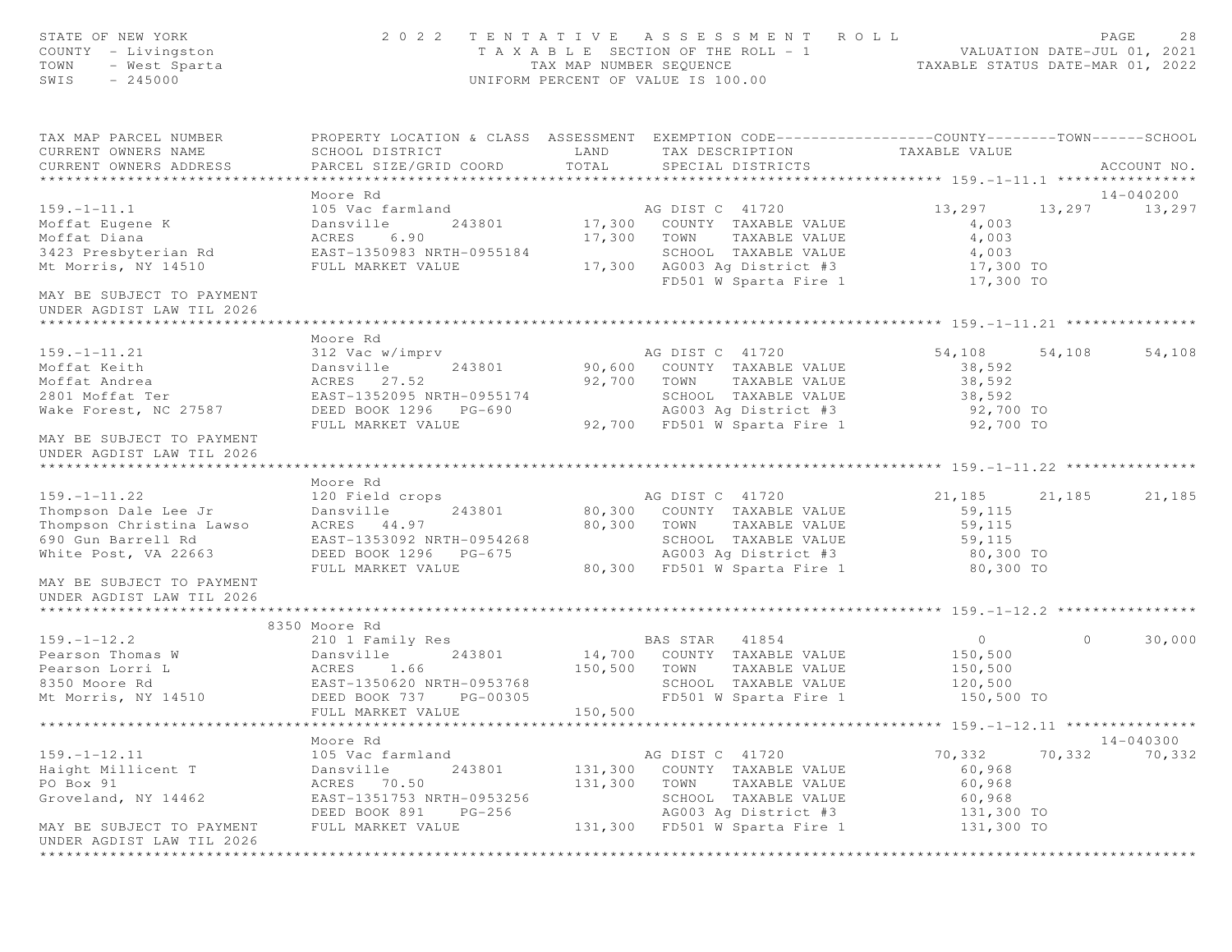| STATE OF NEW YORK<br>COUNTY - Livingston<br>TOWN<br>- West Sparta<br>SWIS<br>$-245000$ |                                                                                                                                               | TAX MAP NUMBER SEQUENCE | 2022 TENTATIVE ASSESSMENT ROLL<br>T A X A B L E SECTION OF THE ROLL - 1<br>UNIFORM PERCENT OF VALUE IS 100.00 | VALUATION DATE-JUL 01, 2021<br>TAXABLE STATUS DATE-MAR 01, 2022 |         | PAGE<br>28  |
|----------------------------------------------------------------------------------------|-----------------------------------------------------------------------------------------------------------------------------------------------|-------------------------|---------------------------------------------------------------------------------------------------------------|-----------------------------------------------------------------|---------|-------------|
| TAX MAP PARCEL NUMBER<br>CURRENT OWNERS NAME<br>CURRENT OWNERS ADDRESS                 | PROPERTY LOCATION & CLASS ASSESSMENT EXEMPTION CODE----------------COUNTY-------TOWN------SCHOOL<br>SCHOOL DISTRICT<br>PARCEL SIZE/GRID COORD | LAND<br>TOTAL           | TAX DESCRIPTION<br>SPECIAL DISTRICTS                                                                          | TAXABLE VALUE                                                   |         | ACCOUNT NO. |
|                                                                                        | Moore Rd                                                                                                                                      |                         |                                                                                                               |                                                                 |         | 14-040200   |
| $159. - 1 - 11.1$                                                                      | 105 Vac farmland                                                                                                                              |                         | AG DIST C 41720                                                                                               | 13,297                                                          | 13,297  | 13,297      |
| Moffat Eugene K                                                                        | Dansville<br>243801                                                                                                                           |                         | 17,300 COUNTY TAXABLE VALUE                                                                                   | 4,003                                                           |         |             |
| Moffat Diana                                                                           | ACRES<br>6.90                                                                                                                                 | 17,300                  | TOWN<br>TAXABLE VALUE                                                                                         | 4,003                                                           |         |             |
| 3423 Presbyterian Rd                                                                   | EAST-1350983 NRTH-0955184                                                                                                                     |                         | SCHOOL TAXABLE VALUE                                                                                          | 4,003                                                           |         |             |
| Mt Morris, NY 14510                                                                    | FULL MARKET VALUE                                                                                                                             |                         | 17,300 AG003 Ag District #3                                                                                   | 17,300 TO                                                       |         |             |
|                                                                                        |                                                                                                                                               |                         | FD501 W Sparta Fire 1                                                                                         | 17,300 TO                                                       |         |             |
| MAY BE SUBJECT TO PAYMENT<br>UNDER AGDIST LAW TIL 2026                                 |                                                                                                                                               |                         |                                                                                                               |                                                                 |         |             |
|                                                                                        |                                                                                                                                               |                         |                                                                                                               |                                                                 |         |             |
|                                                                                        | Moore Rd                                                                                                                                      |                         |                                                                                                               |                                                                 |         |             |
| $159. - 1 - 11.21$                                                                     | 312 Vac w/imprv<br>243801                                                                                                                     |                         | AG DIST C 41720<br>90,600 COUNTY TAXABLE VALUE                                                                | 54,108                                                          | 54,108  | 54,108      |
| Moffat Keith<br>Moffat Andrea                                                          | Dansville<br>ACRES 27.52                                                                                                                      |                         | 92,700 TOWN                                                                                                   | 38,592<br>38,592                                                |         |             |
| 2801 Moffat Ter                                                                        | EAST-1352095 NRTH-0955174                                                                                                                     |                         | TAXABLE VALUE<br>SCHOOL TAXABLE VALUE                                                                         | 38,592                                                          |         |             |
| Wake Forest, NC 27587                                                                  | DEED BOOK 1296 PG-690                                                                                                                         |                         | AG003 Ag District #3                                                                                          | 92,700 TO                                                       |         |             |
|                                                                                        | FULL MARKET VALUE                                                                                                                             |                         | 92,700 FD501 W Sparta Fire 1                                                                                  | 92,700 TO                                                       |         |             |
| MAY BE SUBJECT TO PAYMENT<br>UNDER AGDIST LAW TIL 2026                                 |                                                                                                                                               |                         |                                                                                                               |                                                                 |         |             |
|                                                                                        |                                                                                                                                               |                         |                                                                                                               |                                                                 |         |             |
|                                                                                        | Moore Rd                                                                                                                                      |                         |                                                                                                               |                                                                 |         |             |
| $159. - 1 - 11.22$                                                                     | 120 Field crops                                                                                                                               |                         | AG DIST C 41720                                                                                               | 21, 185 21, 185                                                 |         | 21,185      |
| Thompson Dale Lee Jr                                                                   | Dansville<br>243801                                                                                                                           |                         | 80,300 COUNTY TAXABLE VALUE                                                                                   | 59,115                                                          |         |             |
| Thompson Christina Lawso                                                               | ACRES 44.97                                                                                                                                   |                         | 80,300 TOWN TAXABLE VALUE                                                                                     | 59,115                                                          |         |             |
| 690 Gun Barrell Rd                                                                     | EAST-1353092 NRTH-0954268                                                                                                                     |                         | SCHOOL TAXABLE VALUE                                                                                          | 59,115                                                          |         |             |
| White Post, VA 22663                                                                   | DEED BOOK 1296 PG-675                                                                                                                         |                         | AG003 Ag District #3                                                                                          | 80,300 TO                                                       |         |             |
|                                                                                        | FULL MARKET VALUE                                                                                                                             |                         | 80,300 FD501 W Sparta Fire 1                                                                                  | 80,300 TO                                                       |         |             |
| MAY BE SUBJECT TO PAYMENT<br>UNDER AGDIST LAW TIL 2026                                 |                                                                                                                                               |                         |                                                                                                               |                                                                 |         |             |
|                                                                                        |                                                                                                                                               |                         |                                                                                                               |                                                                 |         |             |
|                                                                                        | 8350 Moore Rd                                                                                                                                 |                         |                                                                                                               |                                                                 |         |             |
| $159. - 1 - 12.2$                                                                      | 210 1 Family Res                                                                                                                              |                         | BAS STAR 41854                                                                                                | $\overline{0}$                                                  | $\circ$ | 30,000      |
| Pearson Thomas W                                                                       | 243801<br>Dansville                                                                                                                           |                         | 14,700 COUNTY TAXABLE VALUE                                                                                   | 150,500                                                         |         |             |
| Pearson Lorri L                                                                        | 1.66<br>ACRES                                                                                                                                 | 150,500                 | TOWN<br>TAXABLE VALUE                                                                                         | 150,500                                                         |         |             |
| 8350 Moore Rd                                                                          | EAST-1350620 NRTH-0953768                                                                                                                     |                         | SCHOOL TAXABLE VALUE                                                                                          | 120,500                                                         |         |             |
| Mt Morris, NY 14510                                                                    | DEED BOOK 737<br>PG-00305<br>FULL MARKET VALUE                                                                                                | 150,500                 | FD501 W Sparta Fire 1                                                                                         | 150,500 TO                                                      |         |             |
|                                                                                        |                                                                                                                                               |                         |                                                                                                               |                                                                 |         |             |
|                                                                                        | Moore Rd                                                                                                                                      |                         |                                                                                                               |                                                                 |         | 14-040300   |
| $159. - 1 - 12.11$                                                                     | 105 Vac farmland                                                                                                                              |                         | AG DIST C 41720                                                                                               | 70,332                                                          | 70,332  | 70,332      |
| Haight Millicent T                                                                     | 243801<br>Dansville                                                                                                                           | 131,300                 | COUNTY TAXABLE VALUE                                                                                          | 60,968                                                          |         |             |
| PO Box 91                                                                              | ACRES 70.50                                                                                                                                   | 131,300                 | TOWN<br>TAXABLE VALUE                                                                                         | 60,968                                                          |         |             |
| Groveland, NY 14462                                                                    | EAST-1351753 NRTH-0953256<br>DEED BOOK 891<br>PG-256                                                                                          |                         | SCHOOL TAXABLE VALUE<br>AG003 Ag District #3                                                                  | 60,968<br>131,300 TO                                            |         |             |
| MAY BE SUBJECT TO PAYMENT                                                              | FULL MARKET VALUE                                                                                                                             |                         | 131,300 FD501 W Sparta Fire 1                                                                                 | 131,300 TO                                                      |         |             |
| UNDER AGDIST LAW TIL 2026                                                              |                                                                                                                                               |                         |                                                                                                               |                                                                 |         |             |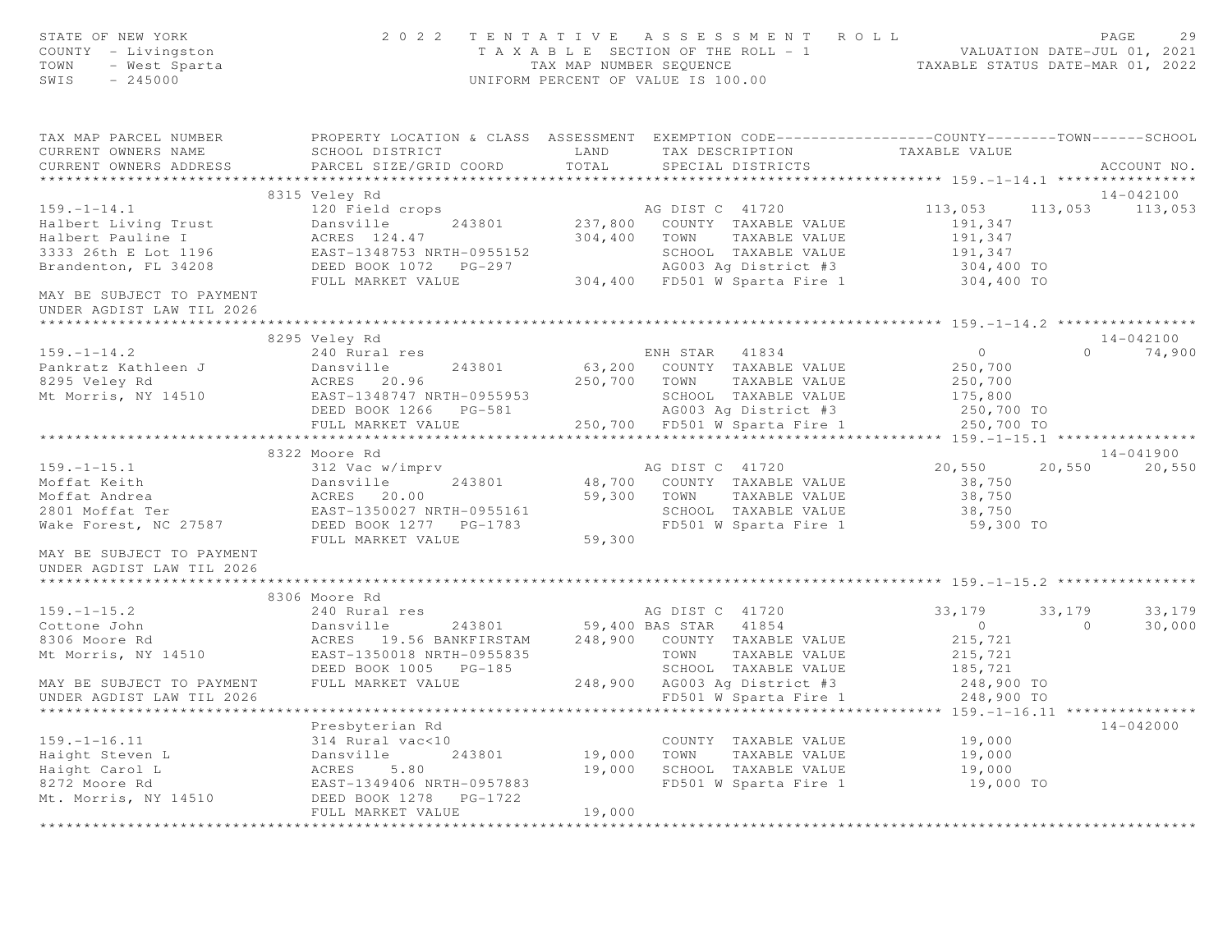| STATE OF NEW YORK<br>COUNTY - Livingston<br>TOWN - West Sparta                                               |                                | 2022 TENTATIVE ASSESSMENT ROLL<br>TAXABLE SECTION OF THE ROLL - 1<br>TAXABLE SECTION OF THE ROLL - 1<br>TAXABLE STATUS DATE-JUL 01, 2021<br>TAXABLE STATUS DATE-MAR 01, 2022<br>UNIFORM PERCENT OF VALUE IS 100.00                                                                                                                                   | PAGE                             | 29     |
|--------------------------------------------------------------------------------------------------------------|--------------------------------|------------------------------------------------------------------------------------------------------------------------------------------------------------------------------------------------------------------------------------------------------------------------------------------------------------------------------------------------------|----------------------------------|--------|
|                                                                                                              |                                | TAX MAP PARCEL NUMBER PROPERTY LOCATION & CLASS ASSESSMENT EXEMPTION CODE---------------COUNTY-------TOWN------SCHOOL<br>SCHOOL DISTRICT TAND TAX DESCRIPTION TAXABLE VALUE                                                                                                                                                                          |                                  |        |
| CURRENT OWNERS NAME<br>CURRENT OWNERS ADDRESS PARCEL SIZE/GRID COORD TOTAL                                   |                                | SPECIAL DISTRICTS                                                                                                                                                                                                                                                                                                                                    | ACCOUNT NO.                      |        |
|                                                                                                              |                                |                                                                                                                                                                                                                                                                                                                                                      |                                  |        |
|                                                                                                              |                                |                                                                                                                                                                                                                                                                                                                                                      | 14-042100                        |        |
|                                                                                                              |                                |                                                                                                                                                                                                                                                                                                                                                      | 113,053 113,053                  |        |
|                                                                                                              |                                |                                                                                                                                                                                                                                                                                                                                                      |                                  |        |
|                                                                                                              |                                |                                                                                                                                                                                                                                                                                                                                                      |                                  |        |
|                                                                                                              |                                |                                                                                                                                                                                                                                                                                                                                                      |                                  |        |
|                                                                                                              |                                |                                                                                                                                                                                                                                                                                                                                                      |                                  |        |
|                                                                                                              |                                |                                                                                                                                                                                                                                                                                                                                                      |                                  |        |
|                                                                                                              |                                | 3315 Veley Ra (159.-1-14.1)<br>120 Field crops<br>Halbert Living Trust Dansville 243801 237,800 COUNTY TAXABLE VALUE<br>191,347<br>13033 26th E Lot 1196 EAST-1348753 NRTH-0955152 SCHOOL TAXABLE VALUE 191,347<br>2333 26th E Lot 1196                                                                                                              |                                  |        |
|                                                                                                              |                                |                                                                                                                                                                                                                                                                                                                                                      | 14-042100                        |        |
| $159. - 1 - 14.2$                                                                                            | 8295 Veley Rd<br>240 Rural res | ENH STAR 41834 0                                                                                                                                                                                                                                                                                                                                     | $0 \t 74,900$                    |        |
|                                                                                                              |                                | 63,200 COUNTY TAXABLE VALUE                                                                                                                                                                                                                                                                                                                          |                                  |        |
|                                                                                                              |                                | 250,700 TOWN TAXABLE VALUE                                                                                                                                                                                                                                                                                                                           | 250,700<br>250,700<br>175,800    |        |
|                                                                                                              |                                | SCHOOL TAXABLE VALUE                                                                                                                                                                                                                                                                                                                                 |                                  |        |
|                                                                                                              |                                |                                                                                                                                                                                                                                                                                                                                                      | 250,700 TO                       |        |
|                                                                                                              |                                | Pankratz Kathleen J<br>Pankratz Kathleen J<br>8295 Veley Rd<br>Mt Morris, NY 14510<br>Mt Morris, NY 14510<br>EAST-1348747 NRTH-0955953<br>EED BOOK 1266<br>PG-581<br>EULL MARKET VALUE<br>PULL MARKET VALUE<br>250,700<br>250,700<br>250,700<br>250,700<br>                                                                                          | $250,700$ TO                     |        |
|                                                                                                              | **********************         |                                                                                                                                                                                                                                                                                                                                                      |                                  |        |
|                                                                                                              | 8322 Moore Rd                  |                                                                                                                                                                                                                                                                                                                                                      | $14 - 041900$                    |        |
|                                                                                                              |                                | 159.-1-15.1 $\begin{array}{cccccc}\n & & & & & & & \\  & & & & & & & \\ \hline\n & & & & & & & \\ \hline\n & & & & & & & \\ \end{array}$ Moffat Keith Dansville 243801 $\end{array}$<br>Moffat Andrea ACRES 20.00 $\begin{array}{cccccc}\n & & & & & \\ \hline\n & & & & & \\ \end{array}$<br>2801 Moffat Ter EAST-1350027 NRTH-0955161 SCHOOL TAXAB | 20,550 20,550 20,550             |        |
|                                                                                                              |                                |                                                                                                                                                                                                                                                                                                                                                      | 38,750                           |        |
|                                                                                                              |                                |                                                                                                                                                                                                                                                                                                                                                      | 38,750                           |        |
|                                                                                                              |                                |                                                                                                                                                                                                                                                                                                                                                      | 38,750<br>59,300 TO              |        |
|                                                                                                              |                                |                                                                                                                                                                                                                                                                                                                                                      |                                  |        |
|                                                                                                              | FULL MARKET VALUE              | 59,300                                                                                                                                                                                                                                                                                                                                               |                                  |        |
| MAY BE SUBJECT TO PAYMENT<br>UNDER AGDIST LAW TIL 2026                                                       |                                |                                                                                                                                                                                                                                                                                                                                                      |                                  |        |
|                                                                                                              | 8306 Moore Rd                  |                                                                                                                                                                                                                                                                                                                                                      |                                  |        |
| $159. - 1 - 15.2$                                                                                            | $240$ Rural res                |                                                                                                                                                                                                                                                                                                                                                      | 33,179<br>33, 179 33, 179        |        |
|                                                                                                              |                                |                                                                                                                                                                                                                                                                                                                                                      | $\overline{0}$<br>$\overline{0}$ | 30,000 |
| Cottone John<br>8306 Moore Rd                                                                                |                                |                                                                                                                                                                                                                                                                                                                                                      | 215,721                          |        |
| Mt Morris, NY 14510                                                                                          |                                | EAST-1350018 NRTH-0955835<br>DEED BOOK 1005 PG-185 SCHOOL TAXABLE VALUE 185,721<br>PULL MARKET VALUE 248,900 AG003 Ag District #3 248,900 TO                                                                                                                                                                                                         |                                  |        |
|                                                                                                              |                                |                                                                                                                                                                                                                                                                                                                                                      |                                  |        |
| MAY BE SUBJECT TO PAYMENT FULL MARKET VALUE                                                                  |                                |                                                                                                                                                                                                                                                                                                                                                      |                                  |        |
| UNDER AGDIST LAW TIL 2026                                                                                    |                                |                                                                                                                                                                                                                                                                                                                                                      |                                  |        |
|                                                                                                              |                                |                                                                                                                                                                                                                                                                                                                                                      |                                  |        |
|                                                                                                              | Presbyterian Rd                |                                                                                                                                                                                                                                                                                                                                                      | 14-042000                        |        |
|                                                                                                              |                                | COUNTY TAXABLE VALUE                                                                                                                                                                                                                                                                                                                                 | 19,000                           |        |
|                                                                                                              | 243801                         | 19,000 TOWN TAXABLE VALUE<br>19,000 SCHOOL TAXABLE VALUE                                                                                                                                                                                                                                                                                             | 19,000                           |        |
|                                                                                                              |                                |                                                                                                                                                                                                                                                                                                                                                      | 19,000                           |        |
| Exercise 1 1991<br>Haight Steven L<br>Haight Carol L<br>Bansville 243801<br>ACRES 5.80<br>Mt. Morris WY 1993 | EAST-1349406 NRTH-0957883      | FD501 W Sparta Fire 1                                                                                                                                                                                                                                                                                                                                | 19,000 TO                        |        |
| Mt. Morris, NY 14510                                                                                         | DEED BOOK 1278 PG-1722         |                                                                                                                                                                                                                                                                                                                                                      |                                  |        |
|                                                                                                              | FULL MARKET VALUE              | 19,000                                                                                                                                                                                                                                                                                                                                               |                                  |        |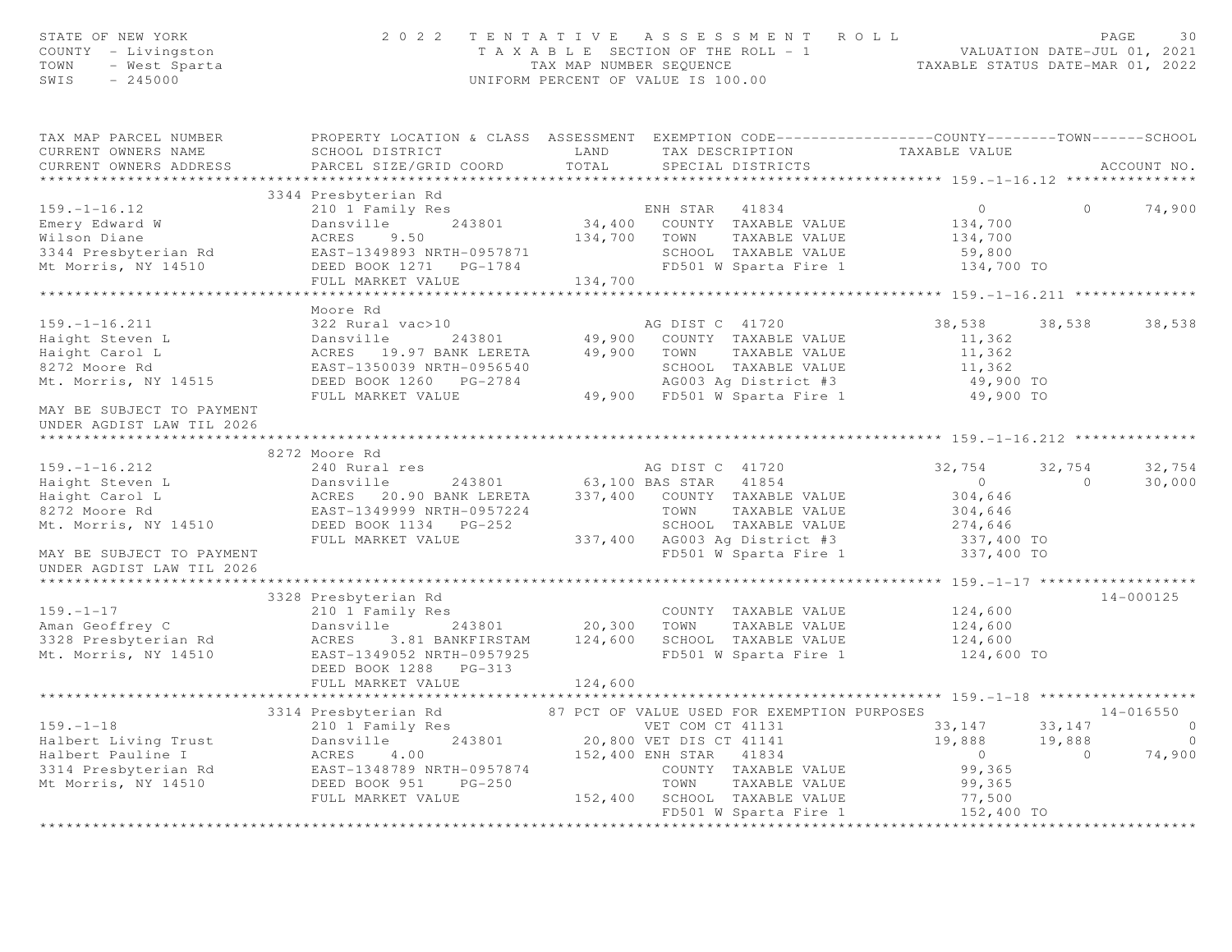| STATE OF NEW YORK<br>STATE OF NEW YORK 20<br>COUNTY - Livingston<br>TOWN - West Sparta<br>SWIS - 245000                                                                                                                                                                                                                                                                                              |                                     |       | 2022 TENTATIVE ASSESSMENT ROLL PAGE 30<br>TAXABLE SECTION OF THE ROLL - 1<br>TAX MAP NUMBER SEQUENCE TAXABLE STATUS DATE-MAR 01, 2022<br>UNIFORM PERCENT OF VALUE IS 100.00 |                                                                                                                                                                          |                |                |
|------------------------------------------------------------------------------------------------------------------------------------------------------------------------------------------------------------------------------------------------------------------------------------------------------------------------------------------------------------------------------------------------------|-------------------------------------|-------|-----------------------------------------------------------------------------------------------------------------------------------------------------------------------------|--------------------------------------------------------------------------------------------------------------------------------------------------------------------------|----------------|----------------|
| TAX MAP PARCEL NUMBER THE PROPERTY LOCATION & CLASS ASSESSMENT EXEMPTION CODE--------------COUNTY-------TOWN------SCHOOL<br>CURRENT OWNERS NAME                                                                                                                                                                                                                                                      |                                     |       | SCHOOL DISTRICT TAND TAX DESCRIPTION TAXABLE VALUE                                                                                                                          |                                                                                                                                                                          |                |                |
| CURRENT OWNERS ADDRESS                                                                                                                                                                                                                                                                                                                                                                               | PARCEL SIZE/GRID COORD              | TOTAL | SPECIAL DISTRICTS                                                                                                                                                           |                                                                                                                                                                          |                | ACCOUNT NO.    |
|                                                                                                                                                                                                                                                                                                                                                                                                      |                                     |       |                                                                                                                                                                             |                                                                                                                                                                          |                |                |
|                                                                                                                                                                                                                                                                                                                                                                                                      | 3344 Presbyterian Rd                |       |                                                                                                                                                                             |                                                                                                                                                                          |                |                |
|                                                                                                                                                                                                                                                                                                                                                                                                      |                                     |       |                                                                                                                                                                             | $\overline{0}$                                                                                                                                                           | $\Omega$       | 74,900         |
|                                                                                                                                                                                                                                                                                                                                                                                                      |                                     |       |                                                                                                                                                                             | 134,700<br>134,700                                                                                                                                                       |                |                |
|                                                                                                                                                                                                                                                                                                                                                                                                      |                                     |       |                                                                                                                                                                             |                                                                                                                                                                          |                |                |
|                                                                                                                                                                                                                                                                                                                                                                                                      |                                     |       |                                                                                                                                                                             | 59,800<br>134,700 TO                                                                                                                                                     |                |                |
| 159.-1-16.12<br>Emery Edward W Dansville 243801 BALLOND TAXABLE VALUE<br>Wilson Diane ACRES 9.50 134,400 COUNTY TAXABLE VALUE<br>3344 Presbyterian Rd EAST-1349893 NRTH-0957871 SCHOOL TAXABLE VALUE<br>Mt Morris, NY 14510 DEED BOOK                                                                                                                                                                |                                     |       |                                                                                                                                                                             |                                                                                                                                                                          |                |                |
|                                                                                                                                                                                                                                                                                                                                                                                                      |                                     |       |                                                                                                                                                                             |                                                                                                                                                                          |                |                |
|                                                                                                                                                                                                                                                                                                                                                                                                      | Moore Rd                            |       |                                                                                                                                                                             |                                                                                                                                                                          |                |                |
|                                                                                                                                                                                                                                                                                                                                                                                                      |                                     |       |                                                                                                                                                                             | 38,538 38,538 38,538                                                                                                                                                     |                |                |
|                                                                                                                                                                                                                                                                                                                                                                                                      |                                     |       |                                                                                                                                                                             | 11,362                                                                                                                                                                   |                |                |
|                                                                                                                                                                                                                                                                                                                                                                                                      |                                     |       |                                                                                                                                                                             | 11,362                                                                                                                                                                   |                |                |
|                                                                                                                                                                                                                                                                                                                                                                                                      |                                     |       |                                                                                                                                                                             | 11,362                                                                                                                                                                   |                |                |
|                                                                                                                                                                                                                                                                                                                                                                                                      |                                     |       |                                                                                                                                                                             |                                                                                                                                                                          |                |                |
| 159.-1-16.211<br>Haight Steven L Dansville 243801<br>Haight Carol L ACRES 19.97 BANK LERETA 49,900 COUNTY TAXABLE VALUE<br>Raight Carol L ACRES 19.97 BANK LERETA 49,900 TOWN TAXABLE VALUE<br>RAST-1350039 NRTH-0956540 SCHOOL TAXA                                                                                                                                                                 |                                     |       |                                                                                                                                                                             | 49,900 TO<br>49,900 TO                                                                                                                                                   |                |                |
| MAY BE SUBJECT TO PAYMENT<br>UNDER AGDIST LAW TIL 2026                                                                                                                                                                                                                                                                                                                                               |                                     |       |                                                                                                                                                                             |                                                                                                                                                                          |                |                |
|                                                                                                                                                                                                                                                                                                                                                                                                      | 8272 Moore Rd                       |       |                                                                                                                                                                             |                                                                                                                                                                          |                |                |
|                                                                                                                                                                                                                                                                                                                                                                                                      |                                     |       |                                                                                                                                                                             |                                                                                                                                                                          | 32,754         | 32,754         |
|                                                                                                                                                                                                                                                                                                                                                                                                      |                                     |       |                                                                                                                                                                             |                                                                                                                                                                          | $\overline{0}$ | 30,000         |
|                                                                                                                                                                                                                                                                                                                                                                                                      |                                     |       |                                                                                                                                                                             |                                                                                                                                                                          |                |                |
| $\begin{array}{cccccccc} \texttt{8272}\ & \texttt{8272}\ & \texttt{8272}\ & \texttt{8272}\ & \texttt{8272}\ & \texttt{8272}\ & \texttt{8272}\ & \texttt{8272}\ & \texttt{8272}\ & \texttt{8272}\ & \texttt{8272}\ & \texttt{8272}\ & \texttt{8272}\ & \texttt{8272}\ & \texttt{8272}\ & \texttt{8272}\ & \texttt{8272}\ & \texttt{8272}\ & \texttt{8272}\ & \texttt{8272}\ & \texttt{8272}\ & \text$ |                                     |       |                                                                                                                                                                             |                                                                                                                                                                          |                |                |
|                                                                                                                                                                                                                                                                                                                                                                                                      |                                     |       |                                                                                                                                                                             |                                                                                                                                                                          |                |                |
|                                                                                                                                                                                                                                                                                                                                                                                                      |                                     |       |                                                                                                                                                                             |                                                                                                                                                                          |                |                |
| UNDER AGDIST LAW TIL 2026                                                                                                                                                                                                                                                                                                                                                                            |                                     |       |                                                                                                                                                                             |                                                                                                                                                                          |                |                |
|                                                                                                                                                                                                                                                                                                                                                                                                      |                                     |       |                                                                                                                                                                             |                                                                                                                                                                          |                |                |
|                                                                                                                                                                                                                                                                                                                                                                                                      | 3328 Presbyterian Rd                |       |                                                                                                                                                                             |                                                                                                                                                                          |                | $14 - 000125$  |
| $159. - 1 - 17$                                                                                                                                                                                                                                                                                                                                                                                      | rrespycerian Ku<br>210 1 Family Res |       | COUNTY TAXABLE VALUE                                                                                                                                                        | 124,600                                                                                                                                                                  |                |                |
|                                                                                                                                                                                                                                                                                                                                                                                                      |                                     |       | Dansville 243801 20,300 TOWN TAXABLE VALUE                                                                                                                                  |                                                                                                                                                                          |                |                |
|                                                                                                                                                                                                                                                                                                                                                                                                      |                                     |       |                                                                                                                                                                             |                                                                                                                                                                          |                |                |
|                                                                                                                                                                                                                                                                                                                                                                                                      |                                     |       |                                                                                                                                                                             |                                                                                                                                                                          |                |                |
|                                                                                                                                                                                                                                                                                                                                                                                                      |                                     |       |                                                                                                                                                                             |                                                                                                                                                                          |                |                |
|                                                                                                                                                                                                                                                                                                                                                                                                      | FULL MARKET VALUE 124,600           |       |                                                                                                                                                                             |                                                                                                                                                                          |                |                |
|                                                                                                                                                                                                                                                                                                                                                                                                      |                                     |       |                                                                                                                                                                             |                                                                                                                                                                          |                |                |
|                                                                                                                                                                                                                                                                                                                                                                                                      |                                     |       |                                                                                                                                                                             |                                                                                                                                                                          |                | 14-016550      |
|                                                                                                                                                                                                                                                                                                                                                                                                      |                                     |       |                                                                                                                                                                             | $\begin{array}{cccc} 33\,,\,147 & \qquad & 33\,,\,147 & \qquad & 0 \\ 19\,,\,888 & \qquad & 19\,,\,888 & \qquad & 0 \\ 0 & \qquad & 0 & \qquad & 74\,,\,900 \end{array}$ |                |                |
|                                                                                                                                                                                                                                                                                                                                                                                                      |                                     |       |                                                                                                                                                                             |                                                                                                                                                                          |                | $\overline{0}$ |
|                                                                                                                                                                                                                                                                                                                                                                                                      |                                     |       |                                                                                                                                                                             |                                                                                                                                                                          |                |                |
|                                                                                                                                                                                                                                                                                                                                                                                                      |                                     |       |                                                                                                                                                                             |                                                                                                                                                                          |                |                |
|                                                                                                                                                                                                                                                                                                                                                                                                      |                                     |       |                                                                                                                                                                             |                                                                                                                                                                          |                |                |
|                                                                                                                                                                                                                                                                                                                                                                                                      |                                     |       | FD501 W Sparta Fire 1                                                                                                                                                       | 99,365<br>99,365<br>77,500<br>152,400 TO                                                                                                                                 |                |                |
|                                                                                                                                                                                                                                                                                                                                                                                                      |                                     |       |                                                                                                                                                                             |                                                                                                                                                                          |                |                |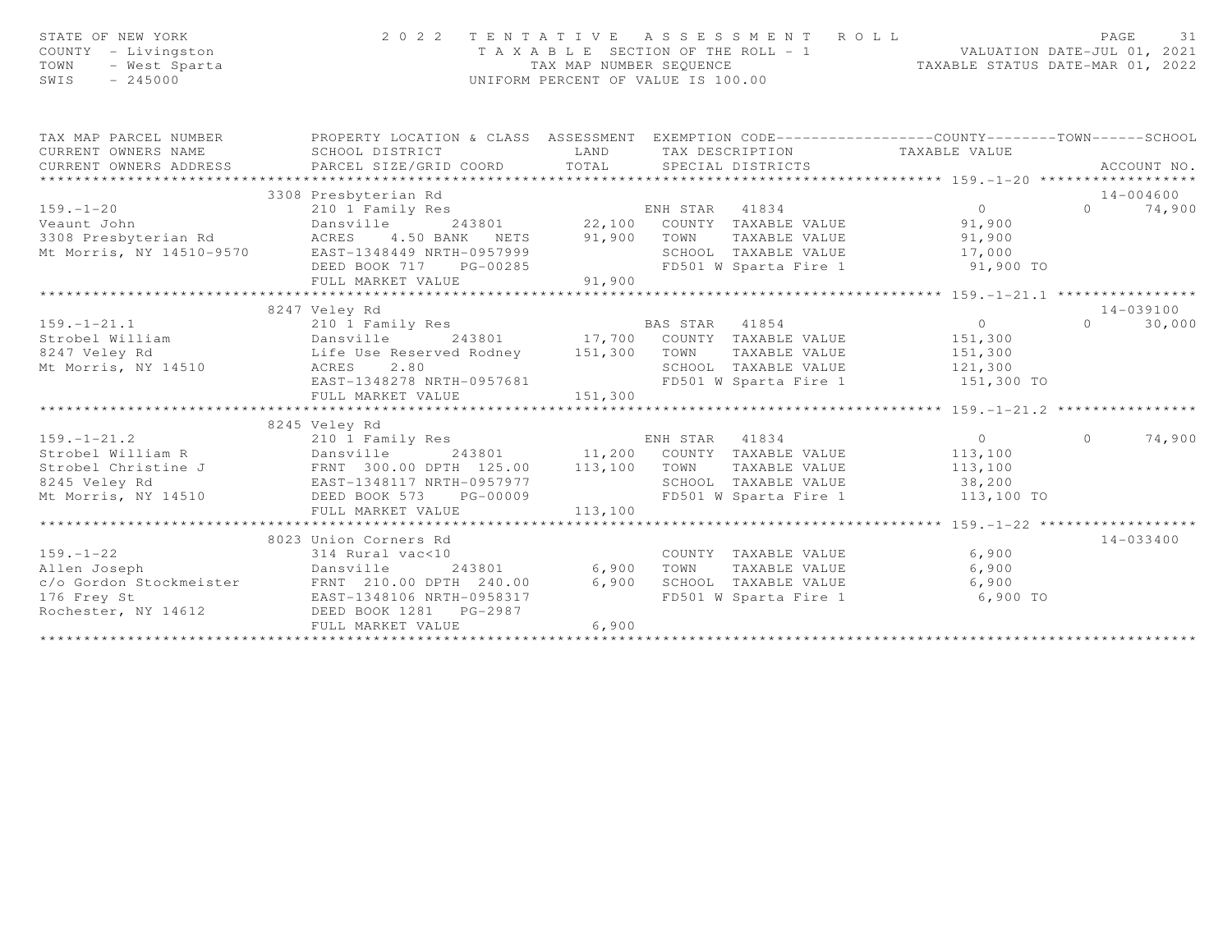| STATE OF NEW YORK<br>COUNTY - Livingston<br>TOWN<br>- West Sparta<br>$-245000$<br>SWIS | 2022 TENTATIVE ASSESSMENT ROLL                                                                                                                                                                                                                         | UNIFORM PERCENT OF VALUE IS 100.00 | T A X A B L E SECTION OF THE ROLL - 1<br>TAX MAP NUMBER SEQUENCE . TAXABLE STATUS DATE-JUL 01, 2021<br>TAXABLE STATUS DATE-MAR 01, 2022 | PAGE<br>31                                                                                                                                                                                                                                                                                                                         |                                 |
|----------------------------------------------------------------------------------------|--------------------------------------------------------------------------------------------------------------------------------------------------------------------------------------------------------------------------------------------------------|------------------------------------|-----------------------------------------------------------------------------------------------------------------------------------------|------------------------------------------------------------------------------------------------------------------------------------------------------------------------------------------------------------------------------------------------------------------------------------------------------------------------------------|---------------------------------|
| CURRENT OWNERS NAME                                                                    | TAX MAP PARCEL NUMBER FROPERTY LOCATION & CLASS ASSESSMENT EXEMPTION CODE---------------COUNTY-------TOWN------SCHOOL<br>SCHOOL DISTRICT                                                                                                               |                                    | LAND TAX DESCRIPTION TAXABLE VALUE                                                                                                      |                                                                                                                                                                                                                                                                                                                                    |                                 |
|                                                                                        | CURRENT OWNERS ADDRESS FARCEL SIZE/GRID COORD TOTAL SPECIAL DISTRICTS                                                                                                                                                                                  |                                    |                                                                                                                                         |                                                                                                                                                                                                                                                                                                                                    | ACCOUNT NO.                     |
|                                                                                        |                                                                                                                                                                                                                                                        |                                    |                                                                                                                                         |                                                                                                                                                                                                                                                                                                                                    |                                 |
| $159. - 1 - 20$                                                                        | 3308 Presbyterian Rd<br>210 1 Family Res                                                                                                                                                                                                               |                                    |                                                                                                                                         | $\overline{0}$                                                                                                                                                                                                                                                                                                                     | 14-004600<br>74,900<br>$\Omega$ |
| Veaunt John                                                                            | Dansville                                                                                                                                                                                                                                              |                                    | ENH STAR 41834 0<br>243801 22,100 COUNTY TAXABLE VALUE 91,900                                                                           |                                                                                                                                                                                                                                                                                                                                    |                                 |
|                                                                                        |                                                                                                                                                                                                                                                        |                                    |                                                                                                                                         |                                                                                                                                                                                                                                                                                                                                    |                                 |
|                                                                                        | ACRES 4.50 BANK NETS 91,900 TOWN TAXABLE VALUE 91,900<br>EAST-1348449 NRTH-0957999 SCHOOL TAXABLE VALUE 17,000<br>DEED BOOK 717 PG-00285 FD501 W Sparta Fire 1 91,900 TO<br>3308 Presbyterian Rd<br>Mt Morris, NY 14510-9570 EAST-1348449 NRTH-0957999 |                                    |                                                                                                                                         |                                                                                                                                                                                                                                                                                                                                    |                                 |
|                                                                                        |                                                                                                                                                                                                                                                        |                                    |                                                                                                                                         |                                                                                                                                                                                                                                                                                                                                    |                                 |
|                                                                                        |                                                                                                                                                                                                                                                        |                                    |                                                                                                                                         |                                                                                                                                                                                                                                                                                                                                    |                                 |
|                                                                                        |                                                                                                                                                                                                                                                        |                                    |                                                                                                                                         |                                                                                                                                                                                                                                                                                                                                    |                                 |
|                                                                                        | 8247 Veley Rd                                                                                                                                                                                                                                          |                                    |                                                                                                                                         |                                                                                                                                                                                                                                                                                                                                    | 14-039100                       |
| $159. - 1 - 21.1$                                                                      | 210 1 Family Res                                                                                                                                                                                                                                       |                                    | BAS STAR<br>41854                                                                                                                       | $\overline{0}$                                                                                                                                                                                                                                                                                                                     | $\Omega$<br>30,000              |
| Strobel William                                                                        | Dansville                                                                                                                                                                                                                                              |                                    | 243801 17,700 COUNTY TAXABLE VALUE 151,300                                                                                              |                                                                                                                                                                                                                                                                                                                                    |                                 |
|                                                                                        |                                                                                                                                                                                                                                                        |                                    |                                                                                                                                         |                                                                                                                                                                                                                                                                                                                                    |                                 |
|                                                                                        |                                                                                                                                                                                                                                                        |                                    |                                                                                                                                         |                                                                                                                                                                                                                                                                                                                                    |                                 |
|                                                                                        | EAST-1348278 NRTH-0957681                                                                                                                                                                                                                              |                                    | FD501 W Sparta Fire 1 151,300 TO                                                                                                        |                                                                                                                                                                                                                                                                                                                                    |                                 |
|                                                                                        |                                                                                                                                                                                                                                                        |                                    |                                                                                                                                         |                                                                                                                                                                                                                                                                                                                                    |                                 |
|                                                                                        | 8245 Veley Rd                                                                                                                                                                                                                                          |                                    |                                                                                                                                         |                                                                                                                                                                                                                                                                                                                                    |                                 |
| $159. - 1 - 21.2$                                                                      | 210 1 Family Res                                                                                                                                                                                                                                       |                                    | ENH STAR<br>41834                                                                                                                       | $\overline{a}$ and $\overline{a}$ and $\overline{a}$ and $\overline{a}$ and $\overline{a}$ and $\overline{a}$ and $\overline{a}$ and $\overline{a}$ and $\overline{a}$ and $\overline{a}$ and $\overline{a}$ and $\overline{a}$ and $\overline{a}$ and $\overline{a}$ and $\overline{a}$ and $\overline{a}$ and $\overline{a}$ and | 74,900<br>$\Omega$              |
|                                                                                        |                                                                                                                                                                                                                                                        |                                    |                                                                                                                                         |                                                                                                                                                                                                                                                                                                                                    |                                 |
|                                                                                        |                                                                                                                                                                                                                                                        |                                    |                                                                                                                                         |                                                                                                                                                                                                                                                                                                                                    |                                 |
|                                                                                        |                                                                                                                                                                                                                                                        |                                    |                                                                                                                                         |                                                                                                                                                                                                                                                                                                                                    |                                 |
|                                                                                        | Mt Morris, NY 14510 DEED BOOK 573 PG-00009                                                                                                                                                                                                             |                                    | FD501 W Sparta Fire 1 113,100 TO                                                                                                        |                                                                                                                                                                                                                                                                                                                                    |                                 |
|                                                                                        |                                                                                                                                                                                                                                                        |                                    |                                                                                                                                         |                                                                                                                                                                                                                                                                                                                                    |                                 |
|                                                                                        |                                                                                                                                                                                                                                                        |                                    |                                                                                                                                         |                                                                                                                                                                                                                                                                                                                                    |                                 |
|                                                                                        | 8023 Union Corners Rd                                                                                                                                                                                                                                  |                                    |                                                                                                                                         |                                                                                                                                                                                                                                                                                                                                    | $14 - 033400$                   |
| $159. - 1 - 22$                                                                        | 314 Rural vac<10                                                                                                                                                                                                                                       |                                    | COUNTY TAXABLE VALUE                                                                                                                    | 6,900                                                                                                                                                                                                                                                                                                                              |                                 |
|                                                                                        |                                                                                                                                                                                                                                                        |                                    |                                                                                                                                         | 6,900                                                                                                                                                                                                                                                                                                                              |                                 |
|                                                                                        |                                                                                                                                                                                                                                                        |                                    |                                                                                                                                         | 6,900<br>$6,900$ TO                                                                                                                                                                                                                                                                                                                |                                 |
|                                                                                        |                                                                                                                                                                                                                                                        |                                    |                                                                                                                                         |                                                                                                                                                                                                                                                                                                                                    |                                 |
| Rochester, NY 14612                                                                    | FULL MARKET VALUE                                                                                                                                                                                                                                      | 6,900                              |                                                                                                                                         |                                                                                                                                                                                                                                                                                                                                    |                                 |
|                                                                                        |                                                                                                                                                                                                                                                        |                                    |                                                                                                                                         |                                                                                                                                                                                                                                                                                                                                    |                                 |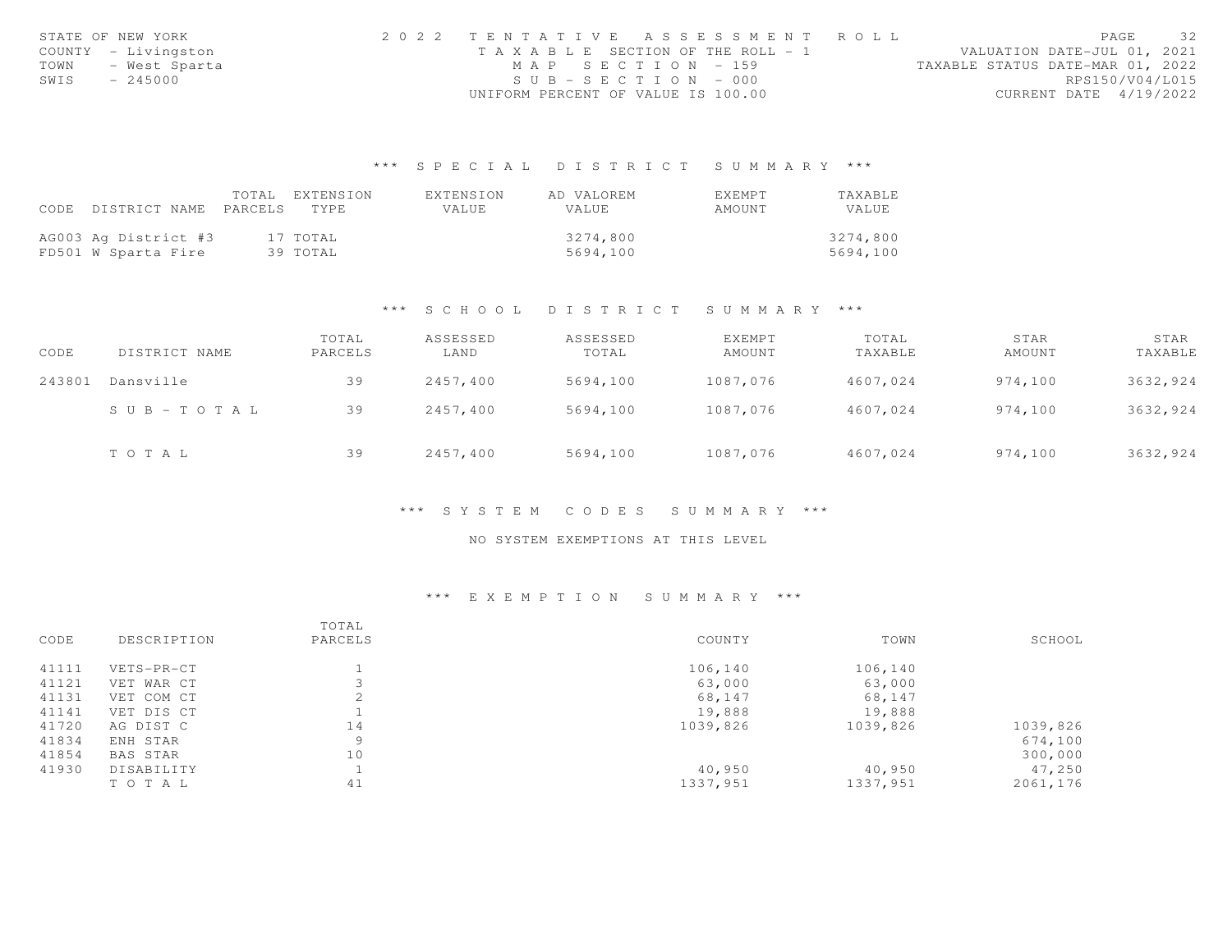|      | STATE OF NEW YORK   | 2022 TENTATIVE ASSESSMENT ROLL        |  |  |                                  |                        | PAGE | 32 |
|------|---------------------|---------------------------------------|--|--|----------------------------------|------------------------|------|----|
|      | COUNTY - Livingston | T A X A B L E SECTION OF THE ROLL - 1 |  |  | VALUATION DATE-JUL 01, 2021      |                        |      |    |
| TOWN | - West Sparta       | MAP SECTION = $159$                   |  |  | TAXABLE STATUS DATE-MAR 01, 2022 |                        |      |    |
| SWIS | $-245000$           | $SUB - SECTION - 000$                 |  |  |                                  | RPS150/V04/L015        |      |    |
|      |                     | UNIFORM PERCENT OF VALUE IS 100.00    |  |  |                                  | CURRENT DATE 4/19/2022 |      |    |

|                                 | TOTAL | EXTENSION | EXTENSION | AD VALOREM   | EXEMPT | TAXABLE  |
|---------------------------------|-------|-----------|-----------|--------------|--------|----------|
| CODE DISTRICT NAME PARCELS TYPE |       |           | VALUE.    | <b>VALUE</b> | AMOUNT | VALUE    |
|                                 |       |           |           |              |        |          |
| AG003 Ag District #3            |       | 17 TOTAL  |           | 3274,800     |        | 3274,800 |
| FD501 W Sparta Fire             |       | 39 TOTAL  |           | 5694,100     |        | 5694.100 |

#### \*\*\* S C H O O L D I S T R I C T S U M M A R Y \*\*\*

| CODE   | DISTRICT NAME         | TOTAL<br>PARCELS | ASSESSED<br>LAND | ASSESSED<br>TOTAL | EXEMPT<br>AMOUNT | TOTAL<br>TAXABLE | STAR<br>AMOUNT | STAR<br>TAXABLE |
|--------|-----------------------|------------------|------------------|-------------------|------------------|------------------|----------------|-----------------|
| 243801 | Dansville             | 39               | 2457,400         | 5694,100          | 1087,076         | 4607,024         | 974,100        | 3632,924        |
|        | $S \cup B - TO T A L$ | 39               | 2457.400         | 5694,100          | 1087,076         | 4607,024         | 974,100        | 3632,924        |
|        | TOTAL                 | 39               | 2457,400         | 5694,100          | 1087,076         | 4607,024         | 974,100        | 3632,924        |

#### \*\*\* S Y S T E M C O D E S S U M M A R Y \*\*\*

### NO SYSTEM EXEMPTIONS AT THIS LEVEL

| CODE  | DESCRIPTION | TOTAL<br>PARCELS | COUNTY   | TOWN     | SCHOOL   |
|-------|-------------|------------------|----------|----------|----------|
| 41111 | VETS-PR-CT  |                  | 106,140  | 106,140  |          |
| 41121 | VET WAR CT  |                  | 63,000   | 63,000   |          |
| 41131 | VET COM CT  |                  | 68,147   | 68,147   |          |
| 41141 | VET DIS CT  |                  | 19,888   | 19,888   |          |
| 41720 | AG DIST C   | 14               | 1039,826 | 1039,826 | 1039,826 |
| 41834 | ENH STAR    | 9                |          |          | 674,100  |
| 41854 | BAS STAR    | 10               |          |          | 300,000  |
| 41930 | DISABILITY  |                  | 40,950   | 40,950   | 47,250   |
|       | TO TAL      | 41               | 1337,951 | 1337,951 | 2061,176 |
|       |             |                  |          |          |          |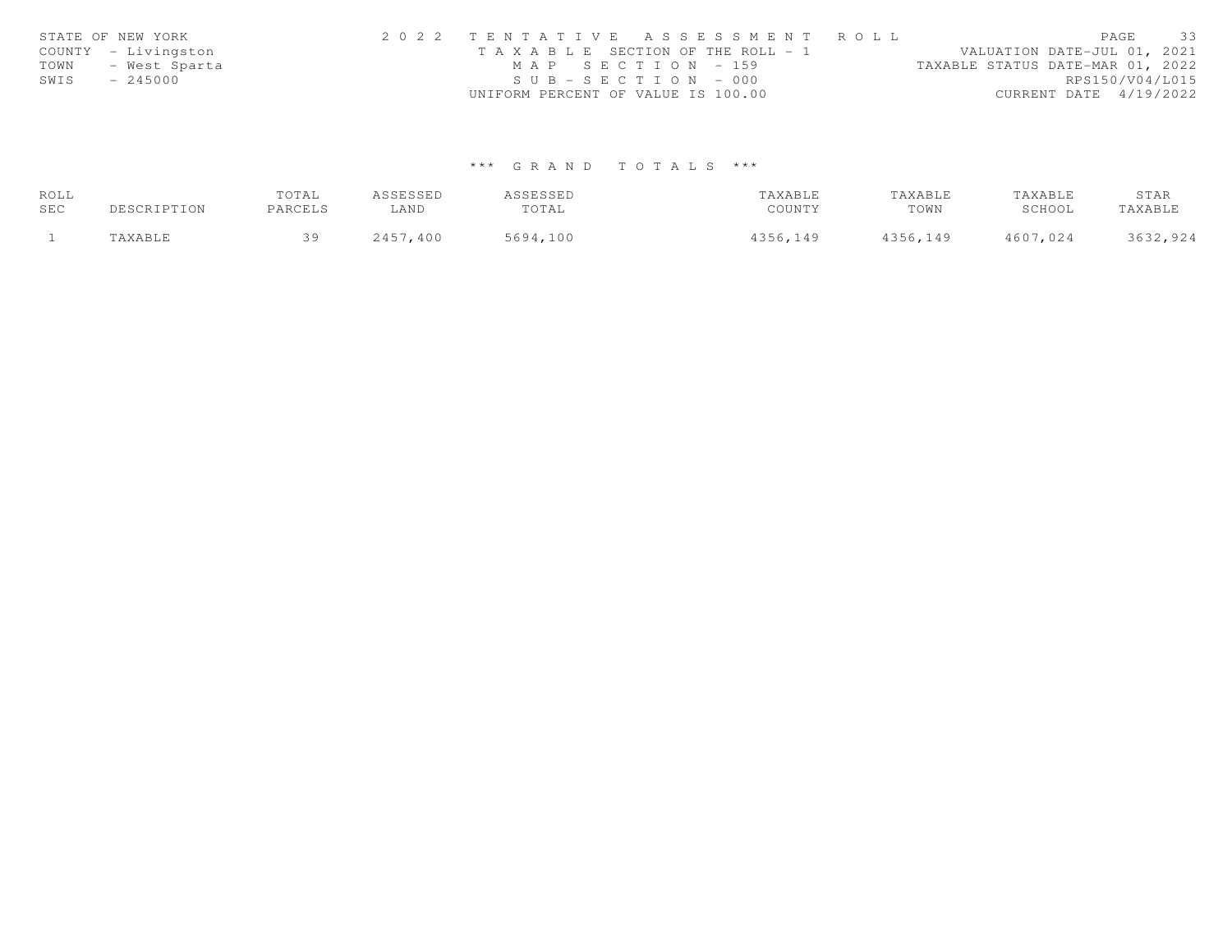|      | STATE OF NEW YORK   | 2022 TENTATIVE ASSESSMENT ROLL                                       | PAGE                   | 33 |
|------|---------------------|----------------------------------------------------------------------|------------------------|----|
|      | COUNTY - Livingston | VALUATION DATE-JUL 01, 2021<br>T A X A B L E SECTION OF THE ROLL - 1 |                        |    |
| TOWN | - West Sparta       | MAP SECTION - 159<br>TAXABLE STATUS DATE-MAR 01, 2022                |                        |    |
| SWIS | $-245000$           | $SUB - SECTION - 000$                                                | RPS150/V04/L015        |    |
|      |                     | UNIFORM PERCENT OF VALUE IS 100.00                                   | CURRENT DATE 4/19/2022 |    |

| ROLL |             | TOTAL   | ASSESSED | ASSESSED | TAXABLE  | TAXABLE  | TAXABLE  | STAR     |
|------|-------------|---------|----------|----------|----------|----------|----------|----------|
| SEC  | DESCRIPTION | PARCELS | LAND     | TOTAL    | COUNTY   | TOWN     | SCHOOL   | TAXABLE  |
|      | "AXABLE     | 30      | 2457,400 | 5694,100 | 4356,149 | 4356,149 | 4607,024 | 3632,924 |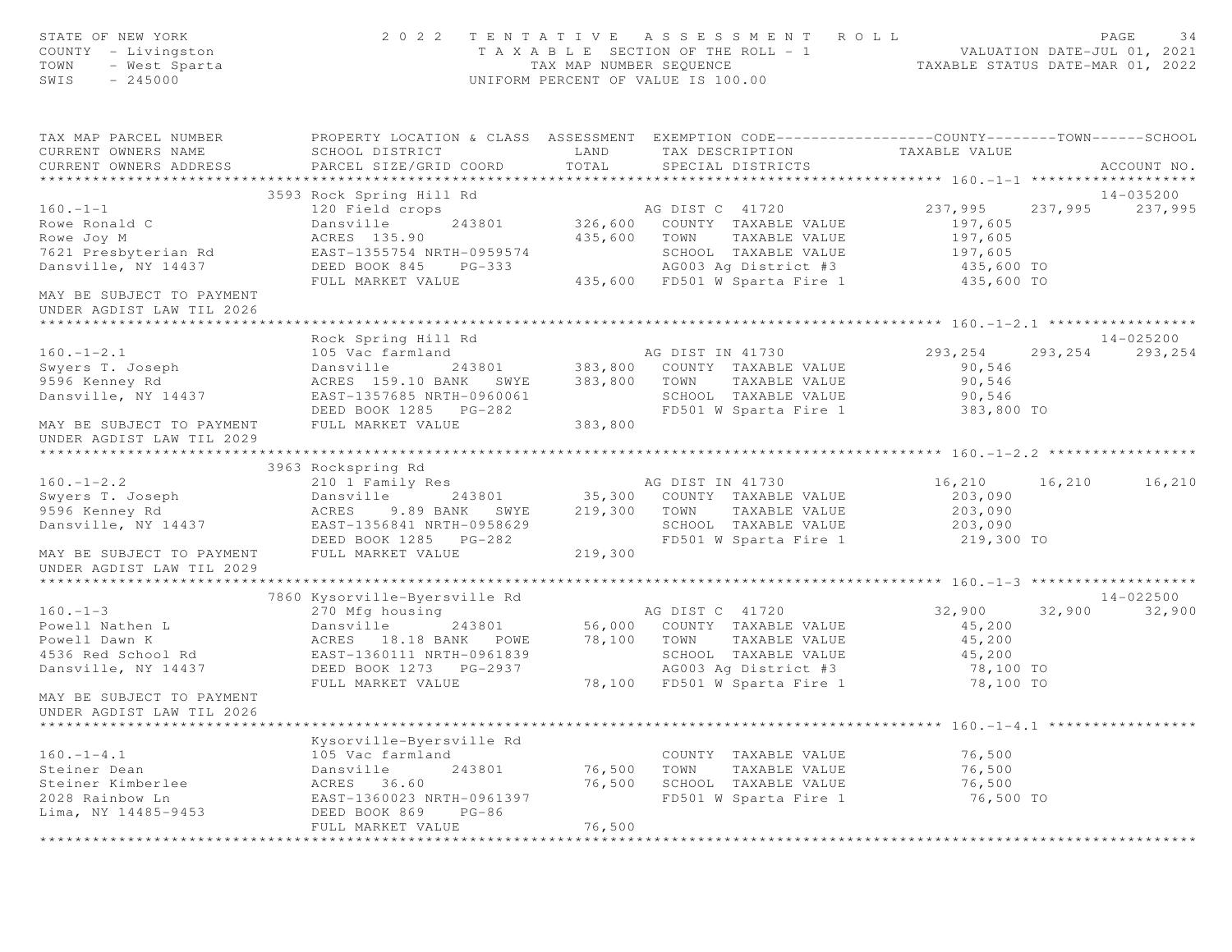| STATE OF NEW YORK<br>COUNTY - Livingston<br>TOWN - West Sparta<br>SWIS - 245000                                                                                                                                                            |                                                                                                                                 |                           | 2022 TENTATIVE ASSESSMENT ROLL<br>T A X A B L E SECTION OF THE ROLL - 1<br>TAX MAP NUMBER SEQUENCE THE ROLL - 1<br>TAX MAP NUMBER SEQUENCE TAXABLE STATUS DATE-MAR 01, 2022 |                                     | PAGE<br>34        |
|--------------------------------------------------------------------------------------------------------------------------------------------------------------------------------------------------------------------------------------------|---------------------------------------------------------------------------------------------------------------------------------|---------------------------|-----------------------------------------------------------------------------------------------------------------------------------------------------------------------------|-------------------------------------|-------------------|
| TAX MAP PARCEL NUMBER FROPERTY LOCATION & CLASS ASSESSMENT EXEMPTION CODE---------------COUNTY-------TOWN-----SCHOOL                                                                                                                       |                                                                                                                                 |                           |                                                                                                                                                                             |                                     | ACCOUNT NO.       |
|                                                                                                                                                                                                                                            |                                                                                                                                 |                           |                                                                                                                                                                             |                                     |                   |
|                                                                                                                                                                                                                                            | 3593 Rock Spring Hill Rd                                                                                                        |                           |                                                                                                                                                                             |                                     | 14-035200         |
| $160. -1 - 1$<br>Rowe Ronald C<br>The Joy M<br>7621 Presbyterian Rd                                                                                                                                                                        |                                                                                                                                 |                           |                                                                                                                                                                             |                                     |                   |
| Dansville, NY 14437<br>MAY BE SUBJECT TO PAYMENT                                                                                                                                                                                           | ACRES 135.90<br>EAST-1355754 NRTH-0959574<br>DEED BOOK 845 PG-333<br>FULL MARKET VALUE 435,600 FD501 W Sparta Fire 1 435,600 TO |                           |                                                                                                                                                                             |                                     |                   |
| UNDER AGDIST LAW TIL 2026                                                                                                                                                                                                                  |                                                                                                                                 |                           |                                                                                                                                                                             |                                     |                   |
|                                                                                                                                                                                                                                            |                                                                                                                                 |                           |                                                                                                                                                                             |                                     |                   |
|                                                                                                                                                                                                                                            | Rock Spring Hill Rd                                                                                                             |                           |                                                                                                                                                                             |                                     | 14-025200         |
|                                                                                                                                                                                                                                            |                                                                                                                                 |                           |                                                                                                                                                                             |                                     | 293, 254 293, 254 |
| Dansville, NY 14437<br>EAST-1357685 NRTH-0960061<br>DEED BOOK 1285 PG-282<br>MAY BE SUBJECT TO PAYMENT FULL MARKET VALUE 383,800<br>TD501 W Sparta Fire 1 383,800 TO<br>MAY BE SUBJECT TO PAYMENT<br>UNDER AGDIST LAW TIL 2029             |                                                                                                                                 |                           |                                                                                                                                                                             |                                     |                   |
|                                                                                                                                                                                                                                            |                                                                                                                                 |                           |                                                                                                                                                                             |                                     |                   |
|                                                                                                                                                                                                                                            | 3963 Rockspring Rd                                                                                                              |                           |                                                                                                                                                                             |                                     |                   |
|                                                                                                                                                                                                                                            |                                                                                                                                 |                           |                                                                                                                                                                             | 16,210 16,210 16,210                |                   |
| 3963 Rockspring Rd 210 1 Family Res 210 1 Family Res 210 1 Family Res 210 1 Family Res 203,090 203,090 203,090 203,090 203,090 203,090 203,090 203,090 203,090 203,090 203,090 203,090 203,090 203,090 203,090 203,090 203,090             |                                                                                                                                 |                           |                                                                                                                                                                             |                                     |                   |
| MAY BE SUBJECT TO PAYMENT FULL MARKET VALUE 219,300<br>UNDER AGDIST LAW TIL 2029                                                                                                                                                           |                                                                                                                                 |                           |                                                                                                                                                                             |                                     |                   |
|                                                                                                                                                                                                                                            | 7860 Kysorville-Byersville Rd                                                                                                   |                           |                                                                                                                                                                             |                                     | 14-022500         |
|                                                                                                                                                                                                                                            |                                                                                                                                 |                           |                                                                                                                                                                             | $32,900$ $32,900$ $32,900$ $32,900$ |                   |
| 160.-1-3<br>Powell Nathen L<br>Powell Dawn K<br>AGRES 18.18 BANK POWE 78,100 TOWN TAXABLE VALUE 45,200<br>Powell Dawn K<br>AGRES 18.18 BANK POWE 78,100 TOWN TAXABLE VALUE 45,200<br>AGRES 18.18 BANK POWE 78,100 TOWN TAXABLE VALUE 45,20 |                                                                                                                                 |                           |                                                                                                                                                                             |                                     |                   |
| MAY BE SUBJECT TO PAYMENT<br>UNDER AGDIST LAW TIL 2026                                                                                                                                                                                     |                                                                                                                                 |                           |                                                                                                                                                                             |                                     |                   |
| $160. - 1 - 4.1$                                                                                                                                                                                                                           | Kysorville-Byersville Rd<br>105 Vac farmland                                                                                    |                           | COUNTY TAXABLE VALUE                                                                                                                                                        | 76,500                              |                   |
| Steiner Dean                                                                                                                                                                                                                               | 243801<br>Dansville                                                                                                             | 76,500                    | TOWN<br>TAXABLE VALUE                                                                                                                                                       | 76,500                              |                   |
| Steiner Kimberlee<br>2028 Rainbow Ln<br>Lima, NY 14485-9453                                                                                                                                                                                | ACRES<br>36.60<br>EAST-1360023 NRTH-0961397<br>DEED BOOK 869<br>$PG-86$<br>FULL MARKET VALUE                                    | 76,500<br>76,500          | SCHOOL TAXABLE VALUE<br>FD501 W Sparta Fire 1                                                                                                                               | 76,500<br>76,500 TO                 |                   |
|                                                                                                                                                                                                                                            |                                                                                                                                 | * * * * * * * * * * * * * |                                                                                                                                                                             |                                     |                   |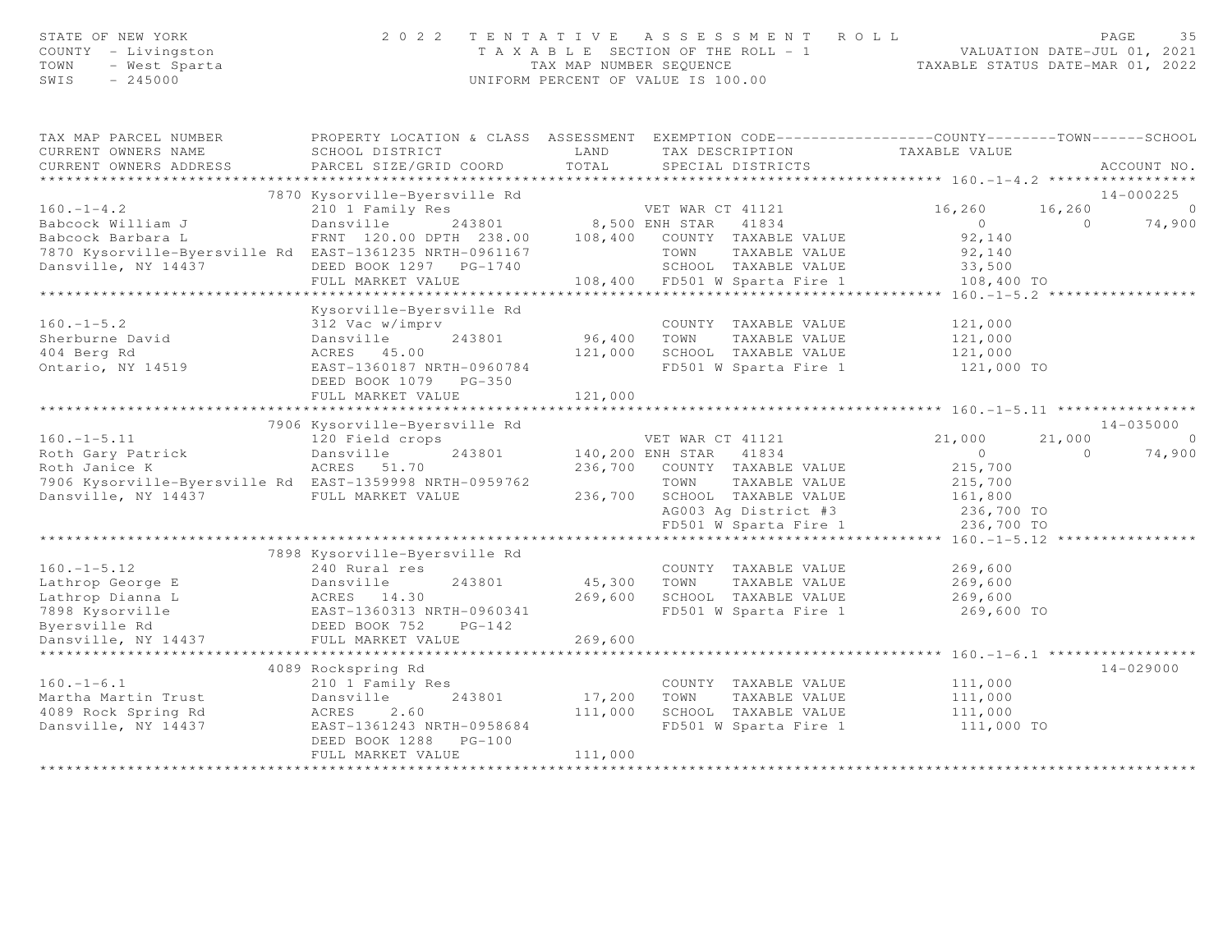|      | STATE OF NEW YORK   | 2022 TENTATIVE ASSESSMENT ROLL        | -35<br>PAGE                      |
|------|---------------------|---------------------------------------|----------------------------------|
|      | COUNTY - Livingston | T A X A B L E SECTION OF THE ROLL - 1 | VALUATION DATE-JUL 01, 2021      |
| TOWN | - West Sparta       | TAX MAP NUMBER SEOUENCE               | TAXABLE STATUS DATE-MAR 01, 2022 |
| SWIS | - 245000            | UNIFORM PERCENT OF VALUE IS 100.00    |                                  |

| TAX MAP PARCEL NUMBER<br>CURRENT OWNERS NAME<br>CURRENT OWNERS ADDRESS                           | PROPERTY LOCATION & CLASS ASSESSMENT EXEMPTION CODE----------------COUNTY-------TOWN------SCHOOL<br>SCHOOL DISTRICT<br>PARCEL SIZE/GRID COORD | <b>EXAMPLE EXAMPLE EXAMPLE EXAMPLE EXAMPLE EXAMPLE EXAMPLE EXAMPLE EXAMPLE EXAMPLE EXAMPLE EXAMPLE EXAMPLE EXAMPLE EXAMPLE EXAMPLE EXAMPLE EXAMPLE EXAMPLE EXAMPLE EXAMPLE EXAMPLE EXAMPLE E</b> | TAX DESCRIPTION<br>TOTAL SPECIAL DISTRICTS                                 | TAXABLE VALUE                                  |            | ACCOUNT NO.    |
|--------------------------------------------------------------------------------------------------|-----------------------------------------------------------------------------------------------------------------------------------------------|--------------------------------------------------------------------------------------------------------------------------------------------------------------------------------------------------|----------------------------------------------------------------------------|------------------------------------------------|------------|----------------|
|                                                                                                  |                                                                                                                                               |                                                                                                                                                                                                  |                                                                            |                                                |            |                |
|                                                                                                  | 7870 Kysorville-Byersville Rd                                                                                                                 |                                                                                                                                                                                                  |                                                                            |                                                |            | 14-000225      |
| $160. - 1 - 4.2$                                                                                 | 210 1 Family Res                                                                                                                              |                                                                                                                                                                                                  | VET WAR CT 41121                                                           | 16,260                                         | 16,260     | $\overline{0}$ |
| Babcock William J<br>Babcock Barbara L                                                           | Dansville                                                                                                                                     |                                                                                                                                                                                                  | 243801 8,500 ENH STAR 41834<br>00 DPTH 238.00 108,400 COUNTY TAXABLE VALUE | $\begin{array}{c} 0 \\ 92,140 \end{array}$     | $\bigcirc$ | 74,900         |
|                                                                                                  | FRNT 120.00 DPTH 238.00                                                                                                                       |                                                                                                                                                                                                  |                                                                            |                                                |            |                |
| 7870 Kysorville-Byersville Rd EAST-1361235 NRTH-0961167                                          |                                                                                                                                               |                                                                                                                                                                                                  | TOWN<br>TAXABLE VALUE                                                      | 92,140                                         |            |                |
| Dansville, NY 14437                                                                              | DEED BOOK 1297 PG-1740                                                                                                                        |                                                                                                                                                                                                  | SCHOOL TAXABLE VALUE                                                       | 33,500<br>108,400 TO                           |            |                |
|                                                                                                  | FULL MARKET VALUE                                                                                                                             |                                                                                                                                                                                                  | 108,400 FD501 W Sparta Fire 1                                              |                                                |            |                |
|                                                                                                  |                                                                                                                                               |                                                                                                                                                                                                  |                                                                            |                                                |            |                |
|                                                                                                  | Kysorville-Byersville Rd                                                                                                                      |                                                                                                                                                                                                  |                                                                            |                                                |            |                |
| $160. - 1 - 5.2$                                                                                 | 312 Vac w/imprv                                                                                                                               |                                                                                                                                                                                                  | COUNTY TAXABLE VALUE 121,000                                               |                                                |            |                |
| Sherburne David                                                                                  | 243801<br>Dansville                                                                                                                           | 96,400                                                                                                                                                                                           | TOWN<br>TAXABLE VALUE                                                      | 121,000                                        |            |                |
| 404 Berg Rd                                                                                      | 121,000<br>ACRES 45.00                                                                                                                        |                                                                                                                                                                                                  | SCHOOL TAXABLE VALUE                                                       | 121,000                                        |            |                |
| Ontario, NY 14519                                                                                | EAST-1360187 NRTH-0960784                                                                                                                     |                                                                                                                                                                                                  | FD501 W Sparta Fire 1                                                      | 121,000 TO                                     |            |                |
|                                                                                                  | DEED BOOK 1079 PG-350                                                                                                                         |                                                                                                                                                                                                  |                                                                            |                                                |            |                |
|                                                                                                  |                                                                                                                                               |                                                                                                                                                                                                  |                                                                            |                                                |            |                |
|                                                                                                  |                                                                                                                                               |                                                                                                                                                                                                  |                                                                            |                                                |            |                |
|                                                                                                  | 7906 Kysorville-Byersville Rd                                                                                                                 |                                                                                                                                                                                                  |                                                                            |                                                |            | $14 - 035000$  |
| Roth Gary Patrick<br>Roth Janice K<br>7906 Kunggriff (1996 Kunggriff)<br>20 Field crops<br>ACRES |                                                                                                                                               |                                                                                                                                                                                                  | VET WAR CT 41121<br>VET WAR CT 41121<br>140,200 ENH STAR 41834             | 21,000                                         | 21,000     | $\Omega$       |
|                                                                                                  | 243801                                                                                                                                        |                                                                                                                                                                                                  |                                                                            | $\overline{0}$                                 | $\bigcirc$ | 74,900         |
|                                                                                                  |                                                                                                                                               |                                                                                                                                                                                                  | 236,700 COUNTY TAXABLE VALUE                                               | 215,700                                        |            |                |
| 7906 Kysorville-Byersville Rd EAST-1359998 NRTH-0959762                                          |                                                                                                                                               |                                                                                                                                                                                                  | TAXABLE VALUE<br>TOWN                                                      | 215,700                                        |            |                |
| Dansville, NY 14437 FULL MARKET VALUE                                                            |                                                                                                                                               |                                                                                                                                                                                                  | 236,700 SCHOOL TAXABLE VALUE                                               | 161,800                                        |            |                |
|                                                                                                  |                                                                                                                                               |                                                                                                                                                                                                  | AG003 Ag District #3                                                       | 236,700 TO                                     |            |                |
|                                                                                                  |                                                                                                                                               |                                                                                                                                                                                                  | FD501 W Sparta Fire 1                                                      | 236,700 TO                                     |            |                |
|                                                                                                  |                                                                                                                                               |                                                                                                                                                                                                  |                                                                            |                                                |            |                |
|                                                                                                  | 7898 Kysorville-Byersville Rd                                                                                                                 |                                                                                                                                                                                                  |                                                                            |                                                |            |                |
| $160. - 1 - 5.12$                                                                                | 240 Rural res                                                                                                                                 |                                                                                                                                                                                                  | COUNTY TAXABLE VALUE                                                       | 269,600                                        |            |                |
| Lathrop George E                                                                                 | Dansville<br>243801                                                                                                                           | 45,300 TOWN                                                                                                                                                                                      | TAXABLE VALUE                                                              | 269,600                                        |            |                |
| Lathrop Dianna L                                                                                 | ACRES 14.30                                                                                                                                   | 269,600                                                                                                                                                                                          | SCHOOL TAXABLE VALUE 269,600                                               |                                                |            |                |
|                                                                                                  |                                                                                                                                               |                                                                                                                                                                                                  | FD501 W Sparta Fire 1 269,600 TO                                           |                                                |            |                |
|                                                                                                  |                                                                                                                                               |                                                                                                                                                                                                  |                                                                            |                                                |            |                |
|                                                                                                  |                                                                                                                                               | 269,600                                                                                                                                                                                          |                                                                            |                                                |            |                |
|                                                                                                  |                                                                                                                                               |                                                                                                                                                                                                  |                                                                            |                                                |            |                |
|                                                                                                  | 4089 Rockspring Rd                                                                                                                            |                                                                                                                                                                                                  |                                                                            |                                                |            | $14 - 029000$  |
| $160. - 1 - 6.1$                                                                                 | 210 1 Family Res                                                                                                                              |                                                                                                                                                                                                  | COUNTY TAXABLE VALUE 111,000                                               |                                                |            |                |
| Martha Martin Trust                                                                              | 243801<br>Dansville                                                                                                                           | 17,200                                                                                                                                                                                           | TOWN                                                                       |                                                |            |                |
| 4089 Rock Spring Rd                                                                              | 2.60<br>ACRES                                                                                                                                 | 111,000                                                                                                                                                                                          | SCHOOL TAXABLE VALUE                                                       | TAXABLE VALUE 111,000<br>TAXABLE VALUE 111,000 |            |                |
| Dansville, NY 14437                                                                              | EAST-1361243 NRTH-0958684                                                                                                                     |                                                                                                                                                                                                  | FD501 W Sparta Fire 1 111,000 TO                                           |                                                |            |                |
|                                                                                                  | DEED BOOK 1288 PG-100                                                                                                                         |                                                                                                                                                                                                  |                                                                            |                                                |            |                |
|                                                                                                  | FULL MARKET VALUE                                                                                                                             | 111,000                                                                                                                                                                                          |                                                                            |                                                |            |                |
|                                                                                                  |                                                                                                                                               |                                                                                                                                                                                                  |                                                                            |                                                |            |                |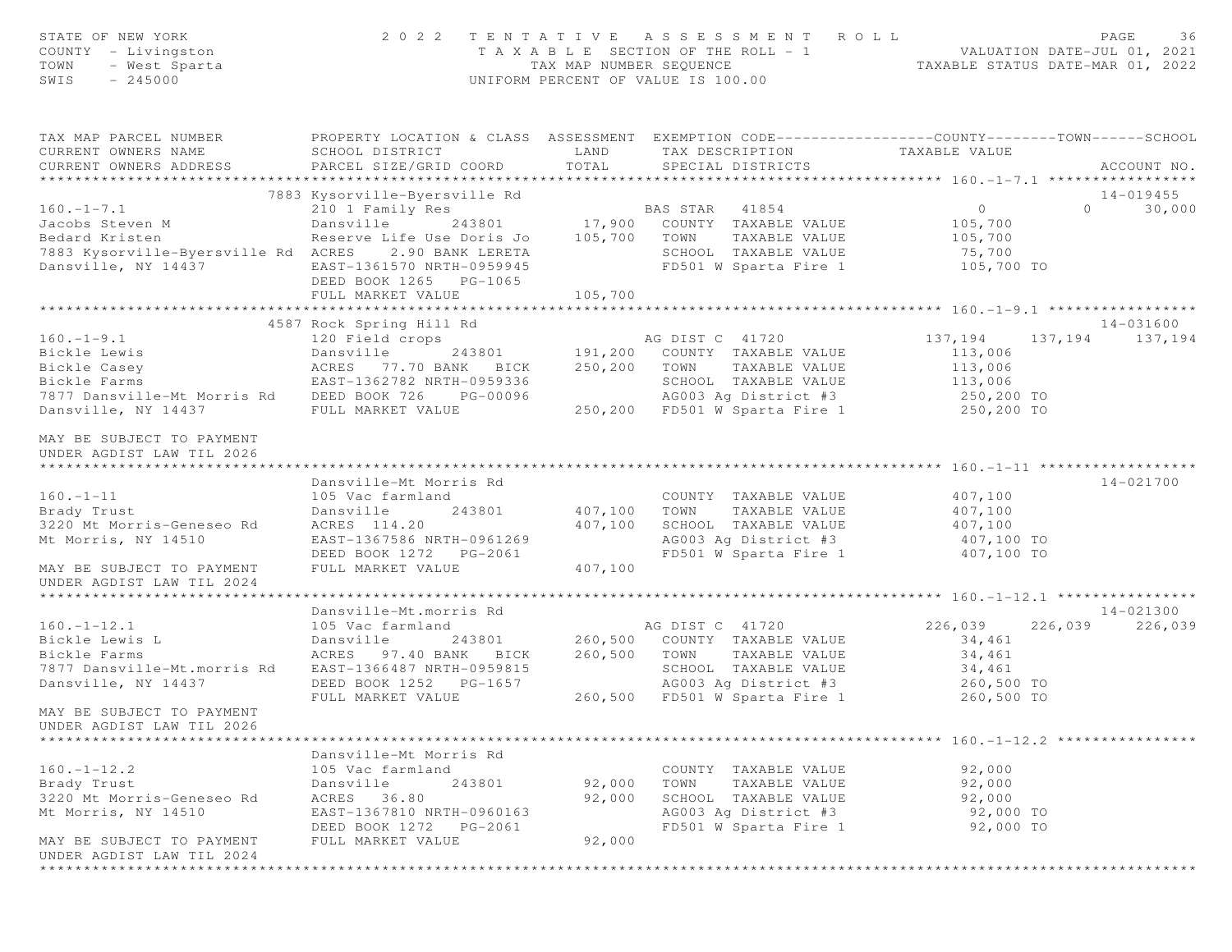| STATE OF NEW YORK<br>COUNTY - Livingston<br>- West Sparta<br>TOWN<br>$-245000$<br>SWIS |                                                                                                                                                                                         |                     | 2022 TENTATIVE ASSESSMENT ROLL                                  | PAGE<br>36<br>T A X A B L E SECTION OF THE ROLL - 1 VALUATION DATE-JUL 01, 2021<br>TAX MAP NUMBER SEQUENCE TAXABLE STATUS DATE-MAR 01, 2022<br>UNIFORM PERCENT OF VALUE IS 100.00 |
|----------------------------------------------------------------------------------------|-----------------------------------------------------------------------------------------------------------------------------------------------------------------------------------------|---------------------|-----------------------------------------------------------------|-----------------------------------------------------------------------------------------------------------------------------------------------------------------------------------|
| CURRENT OWNERS NAME                                                                    | SCHOOL DISTRICT                                                                                                                                                                         |                     | LAND TAX DESCRIPTION TAXABLE VALUE                              | TAX MAP PARCEL NUMBER PROPERTY LOCATION & CLASS ASSESSMENT EXEMPTION CODE----------------COUNTY--------TOWN------SCHOOL                                                           |
| CURRENT OWNERS ADDRESS                                                                 | PARCEL SIZE/GRID COORD TOTAL                                                                                                                                                            |                     | SPECIAL DISTRICTS                                               | ACCOUNT NO.                                                                                                                                                                       |
|                                                                                        |                                                                                                                                                                                         |                     |                                                                 |                                                                                                                                                                                   |
|                                                                                        | 7883 Kysorville-Byersville Rd                                                                                                                                                           |                     |                                                                 | 14-019455                                                                                                                                                                         |
|                                                                                        |                                                                                                                                                                                         |                     |                                                                 | $\overline{0}$<br>$0 \qquad \qquad$<br>30,000                                                                                                                                     |
|                                                                                        |                                                                                                                                                                                         |                     |                                                                 | 105,700                                                                                                                                                                           |
|                                                                                        |                                                                                                                                                                                         |                     |                                                                 | 105,700                                                                                                                                                                           |
| 7883 Kysorville-Byersville Rd ACRES 2.90 BANK LERETA                                   |                                                                                                                                                                                         |                     | SCHOOL TAXABLE VALUE                                            | 75,700                                                                                                                                                                            |
| Dansville, NY 14437 EAST-1361570 NRTH-0959945                                          |                                                                                                                                                                                         |                     | FD501 W Sparta Fire 1 105,700 TO                                |                                                                                                                                                                                   |
|                                                                                        | DEED BOOK 1265 PG-1065                                                                                                                                                                  |                     |                                                                 |                                                                                                                                                                                   |
|                                                                                        | FULL MARKET VALUE                                                                                                                                                                       | 105,700             |                                                                 |                                                                                                                                                                                   |
|                                                                                        |                                                                                                                                                                                         |                     |                                                                 | 14-031600                                                                                                                                                                         |
| $160. - 1 - 9.1$                                                                       | 4587 Rock Spring Hill Rd                                                                                                                                                                |                     | AG DIST C 41720                                                 | 137, 194<br>137, 194 137, 194                                                                                                                                                     |
| Bickle Lewis                                                                           |                                                                                                                                                                                         |                     |                                                                 | 113,006                                                                                                                                                                           |
| Bickle Casey                                                                           |                                                                                                                                                                                         |                     |                                                                 |                                                                                                                                                                                   |
| Bickle Farms                                                                           | 120 Field crops and DIST C 41720<br>Dansville 243801 191,200 COUNTY TAXABLE VALUE<br>ACRES 77.70 BANK BICK 250,200 TOWN TAXABLE VALUE<br>EAST-1362782 NRTH-0959336 SCHOOL TAXABLE VALUE |                     |                                                                 | 113,006<br>113,006                                                                                                                                                                |
| 7877 Dansville-Mt Morris Rd DEED BOOK 726 PG-00096                                     |                                                                                                                                                                                         |                     |                                                                 |                                                                                                                                                                                   |
| Dansville, NY 14437                                                                    |                                                                                                                                                                                         |                     |                                                                 |                                                                                                                                                                                   |
|                                                                                        |                                                                                                                                                                                         |                     |                                                                 |                                                                                                                                                                                   |
| MAY BE SUBJECT TO PAYMENT                                                              |                                                                                                                                                                                         |                     |                                                                 |                                                                                                                                                                                   |
| UNDER AGDIST LAW TIL 2026                                                              |                                                                                                                                                                                         |                     |                                                                 |                                                                                                                                                                                   |
|                                                                                        |                                                                                                                                                                                         |                     |                                                                 |                                                                                                                                                                                   |
|                                                                                        | Dansville-Mt Morris Rd                                                                                                                                                                  |                     |                                                                 | 14-021700                                                                                                                                                                         |
| $160. - 1 - 11$<br>160.-1-11<br>Brady Trust<br>3220 Mt Morris-Geneseo Rd               | 105 Vac farmland                                                                                                                                                                        |                     | COUNTY TAXABLE VALUE                                            | 407,100                                                                                                                                                                           |
|                                                                                        | Dansville                                                                                                                                                                               | 243801 407,100 TOWN | TAXABLE VALUE                                                   | 407,100                                                                                                                                                                           |
|                                                                                        | ACRES 114.20                                                                                                                                                                            | 407,100             | SCHOOL TAXABLE VALUE 407,100<br>AG003 Ag District #3 407,100 TO |                                                                                                                                                                                   |
| Mt Morris, NY 14510                                                                    | EAST-1367586 NRTH-0961269                                                                                                                                                               |                     |                                                                 |                                                                                                                                                                                   |
|                                                                                        | DEED BOOK 1272    PG-2061<br>FULL MARKET VALUE                                                                                                                                          | 407,100             | FD501 W Sparta Fire 1 407,100 TO                                |                                                                                                                                                                                   |
| MAY BE SUBJECT TO PAYMENT<br>UNDER AGDIST LAW TIL 2024                                 |                                                                                                                                                                                         |                     |                                                                 |                                                                                                                                                                                   |
|                                                                                        |                                                                                                                                                                                         |                     |                                                                 |                                                                                                                                                                                   |
|                                                                                        | Dansville-Mt.morris Rd                                                                                                                                                                  |                     |                                                                 | 14-021300                                                                                                                                                                         |
| $160. - 1 - 12.1$                                                                      | 105 Vac farmland                                                                                                                                                                        |                     | AG DIST C 41720                                                 | 226,039<br>226,039 226,039                                                                                                                                                        |
| Bickle Lewis L                                                                         | Dansville                                                                                                                                                                               |                     | 243801 260,500 COUNTY TAXABLE VALUE                             | 34,461                                                                                                                                                                            |
| Bickle Farms                                                                           | ACRES 97.40 BANK BICK 260,500 TOWN TAXABLE VALUE                                                                                                                                        |                     |                                                                 | 34,461                                                                                                                                                                            |
| 7877 Dansville-Mt.morris Rd                                                            | EAST-1366487 NRTH-0959815                                                                                                                                                               |                     | SCHOOL TAXABLE VALUE 34, 461                                    |                                                                                                                                                                                   |
| Dansville, NY 14437                                                                    | DEED BOOK 1252 PG-1657                                                                                                                                                                  |                     |                                                                 | 260,500 TO                                                                                                                                                                        |
|                                                                                        | FULL MARKET VALUE                                                                                                                                                                       |                     | AG003 Ag District #3<br>260,500 FD501 W Sparta Fire 1           | 260,500 TO                                                                                                                                                                        |
| MAY BE SUBJECT TO PAYMENT<br>UNDER AGDIST LAW TIL 2026                                 |                                                                                                                                                                                         |                     |                                                                 |                                                                                                                                                                                   |
|                                                                                        |                                                                                                                                                                                         |                     |                                                                 |                                                                                                                                                                                   |
|                                                                                        | Dansville-Mt Morris Rd                                                                                                                                                                  |                     |                                                                 |                                                                                                                                                                                   |
| $160. - 1 - 12.2$                                                                      | 105 Vac farmland                                                                                                                                                                        |                     | COUNTY TAXABLE VALUE                                            | 92,000                                                                                                                                                                            |
| Brady Trust                                                                            | Dansville<br>243801                                                                                                                                                                     | 92,000              | TOWN<br>TAXABLE VALUE                                           | 92,000                                                                                                                                                                            |
| 3220 Mt Morris-Geneseo Rd                                                              | ACRES 36.80                                                                                                                                                                             | 92,000              | SCHOOL TAXABLE VALUE                                            | 92,000                                                                                                                                                                            |
| Mt Morris, NY 14510                                                                    | EAST-1367810 NRTH-0960163                                                                                                                                                               |                     | AG003 Ag District #3                                            | 92,000 TO                                                                                                                                                                         |
|                                                                                        | DEED BOOK 1272<br>PG-2061                                                                                                                                                               |                     | FD501 W Sparta Fire 1                                           | 92,000 TO                                                                                                                                                                         |
| MAY BE SUBJECT TO PAYMENT<br>UNDER AGDIST LAW TIL 2024                                 | FULL MARKET VALUE                                                                                                                                                                       | 92,000              |                                                                 |                                                                                                                                                                                   |
|                                                                                        |                                                                                                                                                                                         |                     |                                                                 |                                                                                                                                                                                   |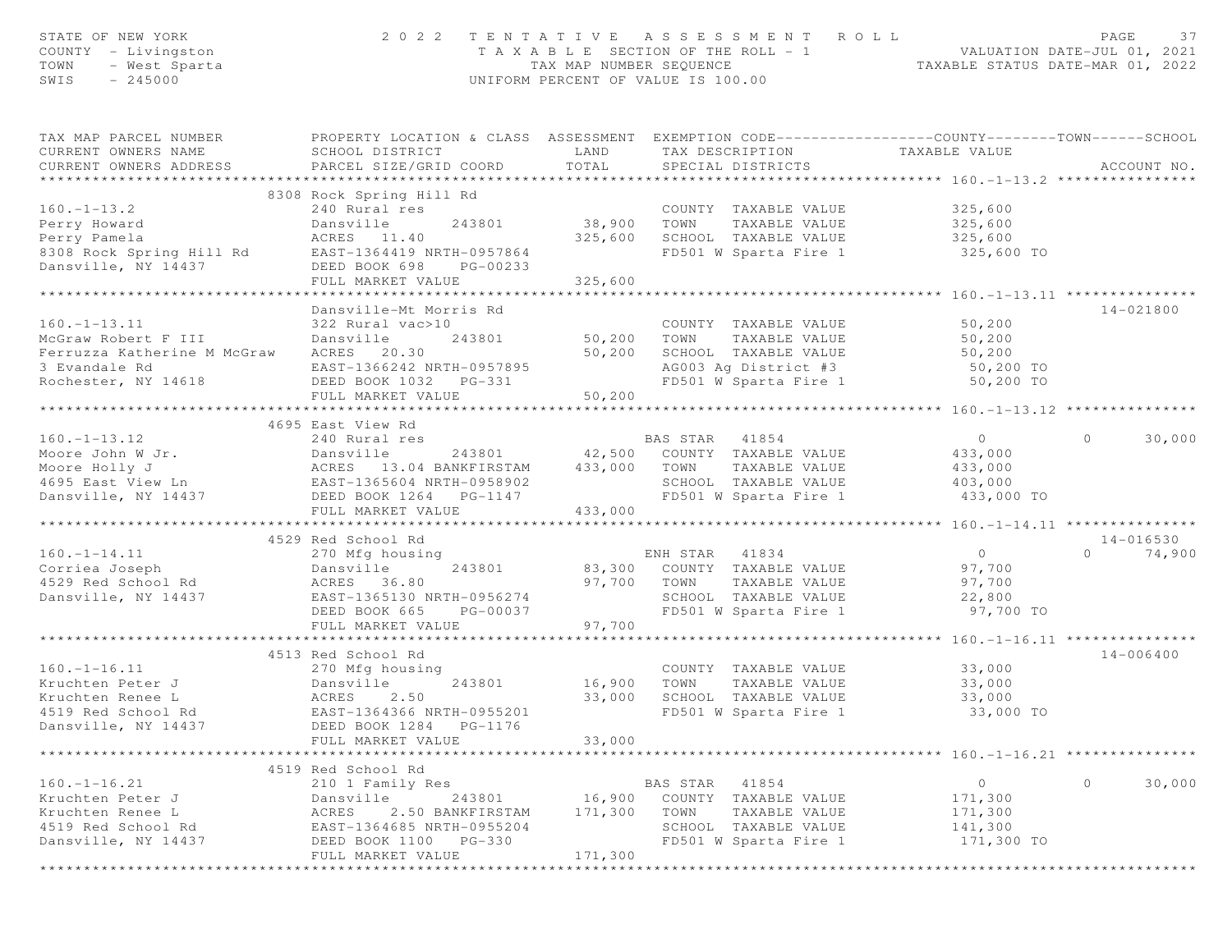| STATE OF NEW YORK<br>COUNTY - Livingston<br>TOWN<br>- West Sparta<br>$-245000$<br>SWIS | 2 0 2 2                                                                                                                                       | TAX MAP NUMBER SEQUENCE<br>UNIFORM PERCENT OF VALUE IS 100.00 |                | TENTATIVE ASSESSMENT ROLL<br>T A X A B L E SECTION OF THE ROLL - 1 |                                                 | PAGE<br>37<br>VALUATION DATE-JUL 01, 2021<br>TAXABLE STATUS DATE-MAR 01, 2022 |
|----------------------------------------------------------------------------------------|-----------------------------------------------------------------------------------------------------------------------------------------------|---------------------------------------------------------------|----------------|--------------------------------------------------------------------|-------------------------------------------------|-------------------------------------------------------------------------------|
| TAX MAP PARCEL NUMBER<br>CURRENT OWNERS NAME<br>CURRENT OWNERS ADDRESS                 | PROPERTY LOCATION & CLASS ASSESSMENT EXEMPTION CODE----------------COUNTY-------TOWN------SCHOOL<br>SCHOOL DISTRICT<br>PARCEL SIZE/GRID COORD | LAND<br>TOTAL                                                 |                | SPECIAL DISTRICTS                                                  | TAX DESCRIPTION TAXABLE VALUE                   | ACCOUNT NO.                                                                   |
| *************************                                                              |                                                                                                                                               |                                                               |                |                                                                    |                                                 |                                                                               |
|                                                                                        | 8308 Rock Spring Hill Rd                                                                                                                      |                                                               |                |                                                                    |                                                 |                                                                               |
| $160. - 1 - 13.2$                                                                      | 240 Rural res                                                                                                                                 |                                                               |                | COUNTY TAXABLE VALUE                                               | 325,600                                         |                                                                               |
| Perry Howard                                                                           | Dansville<br>243801                                                                                                                           | 38,900                                                        | TOWN           | TAXABLE VALUE                                                      | 325,600                                         |                                                                               |
| Perry Pamela                                                                           | ACRES 11.40                                                                                                                                   | 325,600                                                       |                | SCHOOL TAXABLE VALUE                                               | 325,600                                         |                                                                               |
| 8308 Rock Spring Hill Rd                                                               | EAST-1364419 NRTH-0957864<br>DEED BOOK 698                                                                                                    |                                                               |                | FD501 W Sparta Fire 1                                              | 325,600 TO                                      |                                                                               |
| Dansville, NY 14437                                                                    | PG-00233<br>FULL MARKET VALUE                                                                                                                 | 325,600                                                       |                |                                                                    |                                                 |                                                                               |
|                                                                                        |                                                                                                                                               |                                                               |                |                                                                    |                                                 |                                                                               |
|                                                                                        | Dansville-Mt Morris Rd                                                                                                                        |                                                               |                |                                                                    |                                                 | 14-021800                                                                     |
| $160. - 1 - 13.11$                                                                     | 322 Rural vac>10                                                                                                                              |                                                               |                | COUNTY TAXABLE VALUE                                               | 50,200                                          |                                                                               |
| McGraw Robert F III                                                                    | Dansville<br>243801                                                                                                                           | 50,200                                                        | TOWN           | TAXABLE VALUE                                                      | 50,200                                          |                                                                               |
| Ferruzza Katherine M McGraw                                                            | ACRES 20.30                                                                                                                                   | 50,200                                                        |                | SCHOOL TAXABLE VALUE                                               | 50,200                                          |                                                                               |
| 3 Evandale Rd                                                                          | EAST-1366242 NRTH-0957895                                                                                                                     |                                                               |                | AG003 Ag District #3                                               | 50,200 TO                                       |                                                                               |
| Rochester, NY 14618                                                                    | DEED BOOK 1032 PG-331                                                                                                                         |                                                               |                | FD501 W Sparta Fire 1                                              | 50,200 TO                                       |                                                                               |
|                                                                                        | FULL MARKET VALUE                                                                                                                             | 50,200                                                        |                |                                                                    |                                                 |                                                                               |
|                                                                                        | ************************                                                                                                                      | ***********                                                   |                |                                                                    | ************** 160. -1-13. 12 **********        |                                                                               |
|                                                                                        | 4695 East View Rd                                                                                                                             |                                                               |                |                                                                    |                                                 |                                                                               |
| $160. - 1 - 13.12$                                                                     | 240 Rural res                                                                                                                                 |                                                               | BAS STAR       | 41854                                                              | $\overline{0}$                                  | $\circ$<br>30,000                                                             |
| Moore John W Jr.                                                                       | 243801<br>Dansville                                                                                                                           |                                                               |                | 42,500 COUNTY TAXABLE VALUE                                        | 433,000                                         |                                                                               |
| Moore Holly J                                                                          | 13.04 BANKFIRSTAM<br>ACRES                                                                                                                    | 433,000                                                       | TOWN           | TAXABLE VALUE                                                      | 433,000                                         |                                                                               |
| 4695 East View Ln                                                                      | EAST-1365604 NRTH-0958902                                                                                                                     |                                                               |                | SCHOOL TAXABLE VALUE                                               | 403,000                                         |                                                                               |
| Dansville, NY 14437                                                                    | DEED BOOK 1264    PG-1147                                                                                                                     |                                                               |                | FD501 W Sparta Fire 1                                              | 433,000 TO                                      |                                                                               |
|                                                                                        | FULL MARKET VALUE<br>********************************                                                                                         | 433,000                                                       |                |                                                                    |                                                 |                                                                               |
|                                                                                        |                                                                                                                                               |                                                               |                |                                                                    |                                                 |                                                                               |
| $160. -1 - 14.11$                                                                      | 4529 Red School Rd                                                                                                                            |                                                               |                |                                                                    | $\overline{0}$                                  | $14 - 016530$<br>$\Omega$                                                     |
| Corriea Joseph                                                                         | 270 Mfg housing<br>243801                                                                                                                     |                                                               | ENH STAR 41834 | 83,300 COUNTY TAXABLE VALUE                                        | 97,700                                          | 74,900                                                                        |
| 4529 Red School Rd                                                                     | Dansville<br>ACRES 36.80                                                                                                                      | 97,700                                                        | TOWN           | TAXABLE VALUE                                                      | 97,700                                          |                                                                               |
| Dansville, NY 14437                                                                    | EAST-1365130 NRTH-0956274                                                                                                                     |                                                               |                | SCHOOL TAXABLE VALUE                                               | 22,800                                          |                                                                               |
|                                                                                        | DEED BOOK 665<br>PG-00037                                                                                                                     |                                                               |                | FD501 W Sparta Fire 1                                              | 97,700 TO                                       |                                                                               |
|                                                                                        | FULL MARKET VALUE                                                                                                                             | 97,700                                                        |                |                                                                    |                                                 |                                                                               |
|                                                                                        | *************************                                                                                                                     |                                                               |                |                                                                    | ***************** 160.-1-16.11 **************** |                                                                               |
|                                                                                        | 4513 Red School Rd                                                                                                                            |                                                               |                |                                                                    |                                                 | $14 - 006400$                                                                 |
| $160. - 1 - 16.11$                                                                     | 270 Mfg housing                                                                                                                               |                                                               |                | COUNTY TAXABLE VALUE                                               | 33,000                                          |                                                                               |
| Kruchten Peter J                                                                       | Dansville<br>243801                                                                                                                           | 16,900                                                        | TOWN           | TAXABLE VALUE                                                      | 33,000                                          |                                                                               |
| Kruchten Renee L                                                                       | ACRES<br>2.50                                                                                                                                 | 33,000                                                        |                | SCHOOL TAXABLE VALUE                                               | 33,000                                          |                                                                               |
| 4519 Red School Rd                                                                     | EAST-1364366 NRTH-0955201                                                                                                                     |                                                               |                | FD501 W Sparta Fire 1                                              | 33,000 TO                                       |                                                                               |
| Dansville, NY 14437                                                                    | DEED BOOK 1284 PG-1176                                                                                                                        |                                                               |                |                                                                    |                                                 |                                                                               |
|                                                                                        | FULL MARKET VALUE                                                                                                                             | 33,000                                                        |                |                                                                    |                                                 |                                                                               |
|                                                                                        |                                                                                                                                               |                                                               |                |                                                                    | ***************** 160.-1-16.21 *********        |                                                                               |
|                                                                                        | 4519 Red School Rd                                                                                                                            |                                                               |                |                                                                    |                                                 |                                                                               |
| $160. - 1 - 16.21$                                                                     | 210 1 Family Res                                                                                                                              |                                                               | BAS STAR       | 41854                                                              | $\circ$                                         | $\circ$<br>30,000                                                             |
| Kruchten Peter J                                                                       | Dansville<br>243801                                                                                                                           | 16,900                                                        | COUNTY         | TAXABLE VALUE                                                      | 171,300                                         |                                                                               |
| Kruchten Renee L                                                                       | ACRES<br>2.50 BANKFIRSTAM                                                                                                                     | 171,300                                                       | TOWN           | TAXABLE VALUE                                                      | 171,300                                         |                                                                               |
| 4519 Red School Rd                                                                     | EAST-1364685 NRTH-0955204                                                                                                                     |                                                               |                | SCHOOL TAXABLE VALUE                                               | 141,300                                         |                                                                               |
| Dansville, NY 14437                                                                    | DEED BOOK 1100 PG-330                                                                                                                         | 171,300                                                       |                | FD501 W Sparta Fire 1                                              | 171,300 TO                                      |                                                                               |
|                                                                                        | FULL MARKET VALUE                                                                                                                             |                                                               |                |                                                                    |                                                 |                                                                               |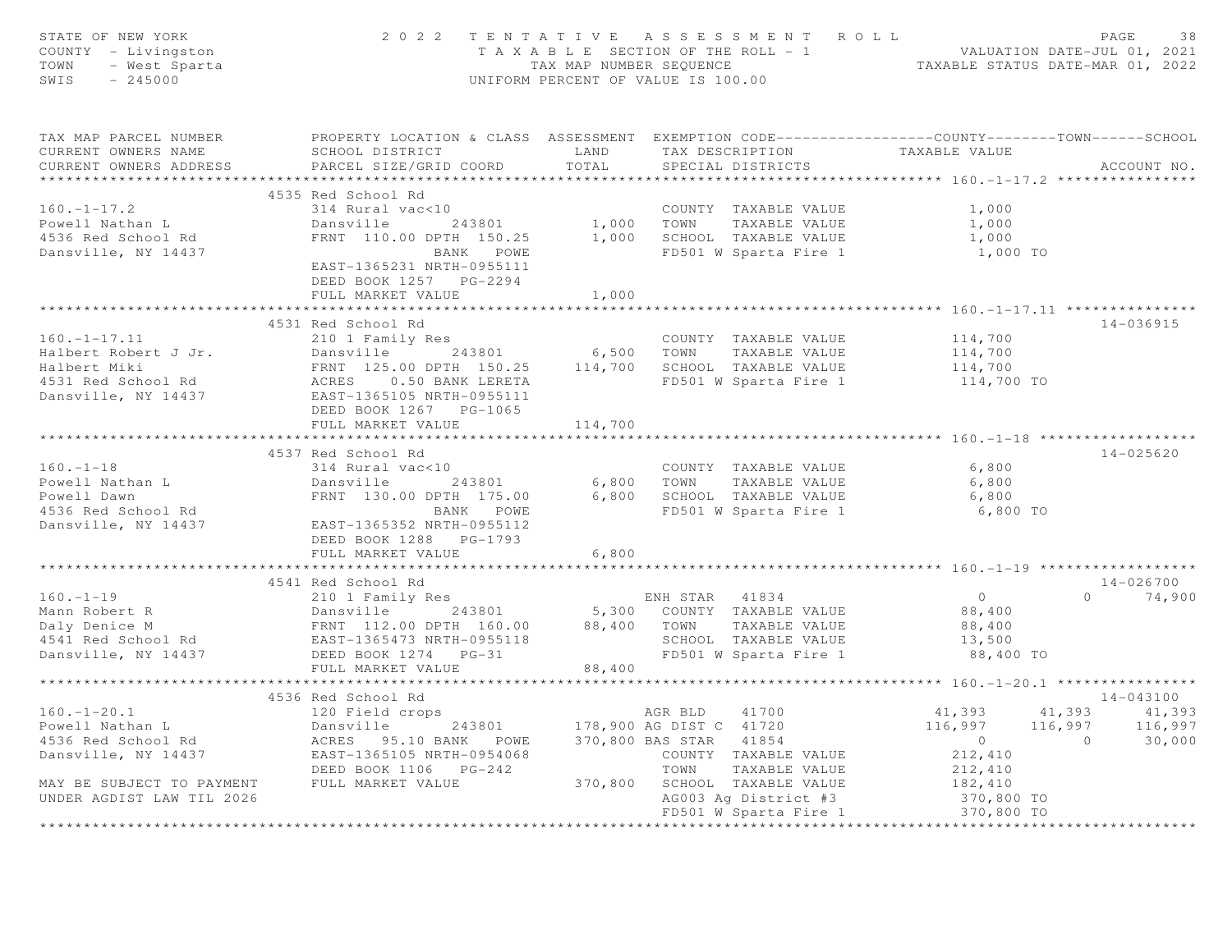| STATE OF NEW YORK<br>COUNTY - Livingston<br>$-$ West Sparta<br>$-$ 245000<br>TOWN<br>SWIS |                                                                                                                                                                                                                                                        |                         | 2022 TENTATIVE ASSESSMENT ROLL<br>TAXABLE SECTION OF THE ROLL - 1<br>TAXABLE SECTION OF THE ROLL - 1<br>TAXABLE STATUS DATE-MAR 01, 2022<br>UNIFORM PERCENT OF VALUE IS 100.00 |                          | PAGE<br>38      |
|-------------------------------------------------------------------------------------------|--------------------------------------------------------------------------------------------------------------------------------------------------------------------------------------------------------------------------------------------------------|-------------------------|--------------------------------------------------------------------------------------------------------------------------------------------------------------------------------|--------------------------|-----------------|
| CURRENT OWNERS NAME<br>CURRENT OWNERS ADDRESS                                             | TAX MAP PARCEL NUMBER THE PROPERTY LOCATION & CLASS ASSESSMENT EXEMPTION CODE---------------COUNTY-------TOWN------SCHOOL<br>SCHOOL DISTRICT<br>PARCEL SIZE/GRID COORD                                                                                 | LAND<br>TOTAL           | TAX DESCRIPTION<br>SPECIAL DISTRICTS                                                                                                                                           | TAXABLE VALUE            | ACCOUNT NO.     |
| ***********************                                                                   |                                                                                                                                                                                                                                                        |                         |                                                                                                                                                                                |                          |                 |
|                                                                                           | 4535 Red School Rd                                                                                                                                                                                                                                     |                         |                                                                                                                                                                                |                          |                 |
| $160. - 1 - 17.2$                                                                         | 314 Rural vac<10                                                                                                                                                                                                                                       |                         | COUNTY TAXABLE VALUE                                                                                                                                                           | 1,000                    |                 |
| Powell Nathan L                                                                           | Dansville 243801 1,000 TOWN TAXABLE VALUE                                                                                                                                                                                                              |                         |                                                                                                                                                                                | 1,000                    |                 |
| 4536 Red School Rd<br>Dansville, NY 14437                                                 | FRNT 110.00 DPTH 150.25 1,000 SCHOOL TAXABLE VALUE<br>BANK POWE FD501 W Sparta Fire 1                                                                                                                                                                  |                         |                                                                                                                                                                                | 1,000                    |                 |
|                                                                                           | BANK POWE<br>EAST-1365231 NRTH-0955111<br>DEED BOOK 1257 PG-2294                                                                                                                                                                                       |                         | FD501 W Sparta Fire 1                                                                                                                                                          | 1,000 TO                 |                 |
|                                                                                           | FULL MARKET VALUE                                                                                                                                                                                                                                      | 1,000                   |                                                                                                                                                                                |                          |                 |
|                                                                                           |                                                                                                                                                                                                                                                        |                         |                                                                                                                                                                                |                          |                 |
|                                                                                           | 4531 Red School Rd                                                                                                                                                                                                                                     |                         |                                                                                                                                                                                |                          | 14-036915       |
| $160. - 1 - 17.11$                                                                        | 210 1 Family Res                                                                                                                                                                                                                                       |                         | COUNTY TAXABLE VALUE                                                                                                                                                           | 114,700<br>114,700       |                 |
|                                                                                           |                                                                                                                                                                                                                                                        |                         |                                                                                                                                                                                |                          |                 |
|                                                                                           |                                                                                                                                                                                                                                                        |                         |                                                                                                                                                                                | 114,700                  |                 |
|                                                                                           |                                                                                                                                                                                                                                                        |                         | FD501 W Sparta Fire 1 114,700 TO                                                                                                                                               |                          |                 |
|                                                                                           | Example 243801 6,500 TOWN TAXABLE VALUE<br>Halbert Robert J Jr. Dansville 243801 6,500 TOWN TAXABLE VALUE<br>Halbert Miki FRNT 125.00 DPTH 150.25 114,700 SCHOOL TAXABLE VALUE<br>4531 Red School Rd ACRES 0.50 BANK LERETA FD501 W                    |                         |                                                                                                                                                                                |                          |                 |
|                                                                                           | DEED BOOK 1267 PG-1065                                                                                                                                                                                                                                 |                         |                                                                                                                                                                                |                          |                 |
|                                                                                           | FULL MARKET VALUE                                                                                                                                                                                                                                      | 114,700                 |                                                                                                                                                                                |                          |                 |
|                                                                                           |                                                                                                                                                                                                                                                        |                         |                                                                                                                                                                                |                          |                 |
|                                                                                           | 4537 Red School Rd                                                                                                                                                                                                                                     |                         |                                                                                                                                                                                |                          | 14-025620       |
| $160. - 1 - 18$                                                                           | 314 Rural vac<10                                                                                                                                                                                                                                       |                         | COUNTY TAXABLE VALUE                                                                                                                                                           | 6,800                    |                 |
| Powell Nathan L                                                                           | Dansville 243801                                                                                                                                                                                                                                       |                         | 6,800 TOWN TAXABLE VALUE                                                                                                                                                       | 6,800                    |                 |
| Powell Dawn                                                                               | FRNT 130.00 DPTH 175.00                                                                                                                                                                                                                                |                         | 6,800 SCHOOL TAXABLE VALUE                                                                                                                                                     | 6,800                    |                 |
| 4536 Red School Rd<br>Dansville, NY 14437                                                 | BANK POWE                                                                                                                                                                                                                                              |                         | FD501 W Sparta Fire 1                                                                                                                                                          | 6,800 TO                 |                 |
|                                                                                           | EAST-1365352 NRTH-0955112                                                                                                                                                                                                                              |                         |                                                                                                                                                                                |                          |                 |
|                                                                                           | DEED BOOK 1288 PG-1793                                                                                                                                                                                                                                 |                         |                                                                                                                                                                                |                          |                 |
|                                                                                           | FULL MARKET VALUE                                                                                                                                                                                                                                      | 6,800                   |                                                                                                                                                                                |                          |                 |
|                                                                                           |                                                                                                                                                                                                                                                        |                         |                                                                                                                                                                                |                          |                 |
|                                                                                           | 4541 Red School Rd                                                                                                                                                                                                                                     |                         |                                                                                                                                                                                |                          | 14-026700       |
|                                                                                           |                                                                                                                                                                                                                                                        |                         |                                                                                                                                                                                | $\overline{0}$           | $0 \t 74,900$   |
|                                                                                           |                                                                                                                                                                                                                                                        |                         |                                                                                                                                                                                | 88,400                   |                 |
|                                                                                           |                                                                                                                                                                                                                                                        |                         |                                                                                                                                                                                | 88,400                   |                 |
|                                                                                           | 160.-1-19<br>Mann Robert R<br>Dansville M<br>Dansville PRNT 112.00 DPTH 160.00<br>EAST-1365473 NRTH-0955118<br>Dansville, NY 14437<br>DEED BOOK 1274 PG-31<br>POSTAN PG-31<br>POSTAN PG-31<br>POSTAN PG-31<br>POSTAN PG-31<br>POSTAN PG-31<br>POSTAN P |                         |                                                                                                                                                                                | 13,500                   |                 |
|                                                                                           |                                                                                                                                                                                                                                                        |                         |                                                                                                                                                                                | 88,400 TO                |                 |
|                                                                                           |                                                                                                                                                                                                                                                        | * * * * * * * * * * * * |                                                                                                                                                                                |                          |                 |
|                                                                                           |                                                                                                                                                                                                                                                        |                         |                                                                                                                                                                                |                          |                 |
|                                                                                           | 4536 Red School Rd                                                                                                                                                                                                                                     |                         |                                                                                                                                                                                |                          | 14-043100       |
| $160. - 1 - 20.1$                                                                         | 120 Field crops                                                                                                                                                                                                                                        |                         | AGR BLD 41700                                                                                                                                                                  | 41,393                   | 41,393 41,393   |
| Powell Nathan L                                                                           | Dansville 243801 178,900 AG DIST C 41720<br>ACRES 95.10 BANK POWE 370,800 BAS STAR 41854<br>EAST-1365105 NRTH-0954068 COUNTY TAXABLE                                                                                                                   |                         | 243801 178,900 AG DIST C 41720                                                                                                                                                 | 116,997                  | 116,997 116,997 |
| 4536 Red School Rd<br>Dansville, NY 14437                                                 |                                                                                                                                                                                                                                                        |                         |                                                                                                                                                                                | $\overline{0}$           | $0 \t 30,000$   |
|                                                                                           |                                                                                                                                                                                                                                                        |                         | COUNTY TAXABLE VALUE                                                                                                                                                           | 212,410                  |                 |
|                                                                                           | DEED BOOK 1106 PG-242                                                                                                                                                                                                                                  |                         | TOWN<br>TAXABLE VALUE                                                                                                                                                          | 212,410                  |                 |
| MAY BE SUBJECT TO PAYMENT FULL MARKET VALUE                                               |                                                                                                                                                                                                                                                        |                         | 370,800 SCHOOL TAXABLE VALUE                                                                                                                                                   | 182,410                  |                 |
| UNDER AGDIST LAW TIL 2026                                                                 |                                                                                                                                                                                                                                                        |                         | AG003 Ag District #3                                                                                                                                                           | 370,800 TO<br>370,800 TO |                 |
|                                                                                           |                                                                                                                                                                                                                                                        |                         | FD501 W Sparta Fire 1                                                                                                                                                          |                          |                 |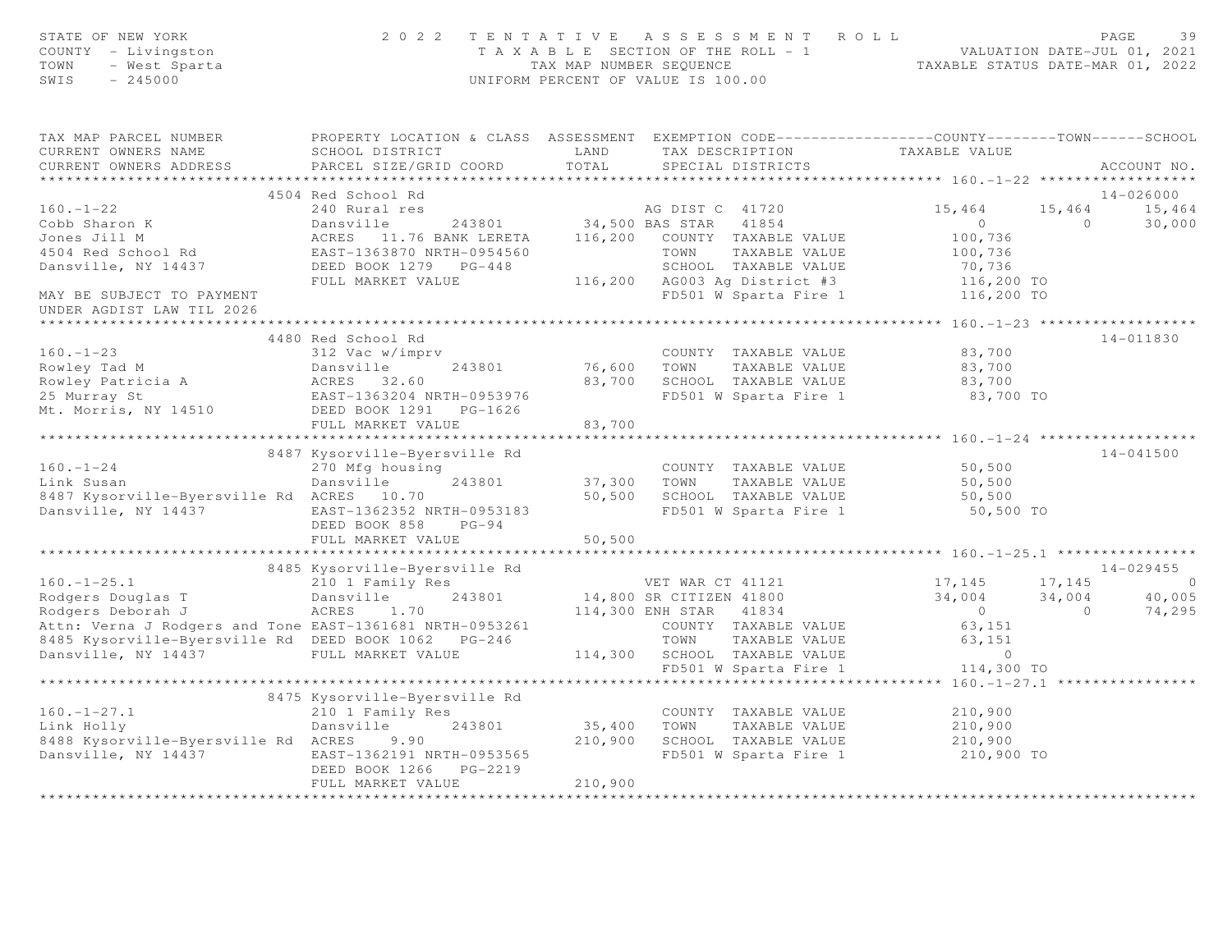| STATE OF NEW YORK<br>COUNTY - Livingston<br>TOWN<br>- West Sparta<br>SWIS<br>$-245000$ |                                                                                                                       |                                          | 2022 TENTATIVE ASSESSMENT ROLL<br>T A X A B L E SECTION OF THE ROLL - 1 VALUATION DATE-JUL 01, 2021<br>TAX MAP NUMBER SEQUENCE TAXABLE STATUS DATE-MAR 01, 2022<br>UNIFORM PERCENT OF VALUE IS 100.00 |                                               |                | PAGE<br>39              |
|----------------------------------------------------------------------------------------|-----------------------------------------------------------------------------------------------------------------------|------------------------------------------|-------------------------------------------------------------------------------------------------------------------------------------------------------------------------------------------------------|-----------------------------------------------|----------------|-------------------------|
| TAX MAP PARCEL NUMBER<br>CURRENT OWNERS NAME                                           | PROPERTY LOCATION & CLASS ASSESSMENT EXEMPTION CODE-----------------COUNTY--------TOWN------SCHOOL<br>SCHOOL DISTRICT | LAND                                     | TAX DESCRIPTION                                                                                                                                                                                       | TAXABLE VALUE                                 |                |                         |
| CURRENT OWNERS ADDRESS                                                                 | PARCEL SIZE/GRID COORD                                                                                                | TOTAL                                    | SPECIAL DISTRICTS                                                                                                                                                                                     |                                               |                | ACCOUNT NO.             |
|                                                                                        |                                                                                                                       |                                          |                                                                                                                                                                                                       |                                               |                |                         |
| $160. - 1 - 22$                                                                        | 4504 Red School Rd<br>240 Rural res                                                                                   |                                          | AG DIST C 41720                                                                                                                                                                                       | 15,464                                        | 15,464         | $14 - 026000$<br>15,464 |
| Cobb Sharon K                                                                          | Dansville                                                                                                             |                                          |                                                                                                                                                                                                       | $\overline{0}$                                | $\overline{0}$ | 30,000                  |
| Jones Jill M                                                                           | ACRES 11.76 BANK LERETA                                                                                               |                                          | 243801 34,500 BAS STAR 41854<br>ANK LERETA 116,200 COUNTY TAXABLE VALUE                                                                                                                               | 100,736                                       |                |                         |
| 4504 Red School Rd                                                                     | EAST-1363870 NRTH-0954560                                                                                             |                                          | TOWN<br>TAXABLE VALUE                                                                                                                                                                                 | 100,736                                       |                |                         |
| Dansville, NY 14437                                                                    | DEED BOOK 1279 PG-448                                                                                                 |                                          | SCHOOL TAXABLE VALUE                                                                                                                                                                                  |                                               |                |                         |
|                                                                                        | FULL MARKET VALUE                                                                                                     |                                          | 116,200 AG003 Ag District #3                                                                                                                                                                          | 70,736<br>116,200 TO                          |                |                         |
| MAY BE SUBJECT TO PAYMENT<br>UNDER AGDIST LAW TIL 2026                                 |                                                                                                                       |                                          | FD501 W Sparta Fire 1<br>***********************************                                                                                                                                          | 116,200 TO                                    |                |                         |
|                                                                                        |                                                                                                                       |                                          |                                                                                                                                                                                                       | *************** 160.-1-23 ******************* |                |                         |
| $160. - 1 - 23$                                                                        | 4480 Red School Rd<br>312 Vac w/imprv                                                                                 |                                          | COUNTY TAXABLE VALUE                                                                                                                                                                                  | 83,700                                        |                | 14-011830               |
| Rowley Tad M                                                                           | Dansville<br>243801                                                                                                   | 76,600 TOWN                              | TAXABLE VALUE                                                                                                                                                                                         | 83,700                                        |                |                         |
|                                                                                        | ACRES 32.60                                                                                                           |                                          | 83,700 SCHOOL TAXABLE VALUE                                                                                                                                                                           | 83,700                                        |                |                         |
| Rowley Patricia A<br>25 Murray St                                                      | EAST-1363204 NRTH-0953976                                                                                             |                                          | FD501 W Sparta Fire 1                                                                                                                                                                                 | 83,700 TO                                     |                |                         |
| Mt. Morris, NY 14510                                                                   | DEED BOOK 1291 PG-1626                                                                                                |                                          |                                                                                                                                                                                                       |                                               |                |                         |
|                                                                                        | FULL MARKET VALUE                                                                                                     | 83,700                                   |                                                                                                                                                                                                       |                                               |                |                         |
|                                                                                        |                                                                                                                       |                                          |                                                                                                                                                                                                       |                                               |                |                         |
|                                                                                        | 8487 Kysorville-Byersville Rd                                                                                         |                                          |                                                                                                                                                                                                       |                                               |                | $14 - 041500$           |
| $160. - 1 - 24$<br>Link Susan                                                          | 270 Mfg housing<br>243801                                                                                             |                                          | COUNTY TAXABLE VALUE                                                                                                                                                                                  | 50,500                                        |                |                         |
| 8487 Kysorville-Byersville Rd ACRES 10.70                                              | Dansville                                                                                                             | 37,300 TOWN                              | TAXABLE VALUE<br>50,500 SCHOOL TAXABLE VALUE                                                                                                                                                          | 50,500<br>50,500                              |                |                         |
| Dansville, NY 14437                                                                    | EAST-1362352 NRTH-0953183                                                                                             |                                          | FD501 W Sparta Fire 1                                                                                                                                                                                 | 50,500 TO                                     |                |                         |
|                                                                                        | DEED BOOK 858<br>$PG-94$                                                                                              |                                          |                                                                                                                                                                                                       |                                               |                |                         |
|                                                                                        | FULL MARKET VALUE                                                                                                     | 50,500                                   |                                                                                                                                                                                                       |                                               |                |                         |
|                                                                                        | 8485 Kysorville-Byersville Rd                                                                                         |                                          |                                                                                                                                                                                                       |                                               |                | $14 - 029455$           |
| $160. - 1 - 25.1$                                                                      | 210 1 Family Res                                                                                                      |                                          | VET WAR CT 41121                                                                                                                                                                                      | 17,145                                        | 17,145         | $\circ$                 |
| Rodgers Douglas T                                                                      | 243801<br>Dansville                                                                                                   |                                          | 14,800 SR CITIZEN 41800                                                                                                                                                                               | 34,004                                        | 34,004         | 40,005                  |
| Rodgers Deborah J                                                                      | ACRES<br>1.70                                                                                                         |                                          | 114,300 ENH STAR 41834                                                                                                                                                                                | $\sim$ 0                                      | $\overline{0}$ | 74,295                  |
| Attn: Verna J Rodgers and Tone EAST-1361681 NRTH-0953261                               |                                                                                                                       |                                          | COUNTY TAXABLE VALUE                                                                                                                                                                                  | 63,151                                        |                |                         |
| 8485 Kysorville-Byersville Rd DEED BOOK 1062 PG-246                                    |                                                                                                                       |                                          | TOWN<br>TAXABLE VALUE                                                                                                                                                                                 | 63,151                                        |                |                         |
| Dansville, NY 14437                                                                    | FULL MARKET VALUE                                                                                                     |                                          | 114,300 SCHOOL TAXABLE VALUE                                                                                                                                                                          | $\overline{0}$                                |                |                         |
|                                                                                        |                                                                                                                       |                                          | FD501 W Sparta Fire 1                                                                                                                                                                                 | 114,300 TO<br>****** 160.-1-27.1              |                |                         |
|                                                                                        | 8475 Kysorville-Byersville Rd                                                                                         |                                          |                                                                                                                                                                                                       |                                               |                |                         |
| $160. - 1 - 27.1$                                                                      | 210 1 Family Res                                                                                                      |                                          | COUNTY TAXABLE VALUE                                                                                                                                                                                  | 210,900                                       |                |                         |
| Link Holly                                                                             | Dansville<br>243801                                                                                                   |                                          | 35,400 TOWN<br>TAXABLE VALUE                                                                                                                                                                          | 210,900                                       |                |                         |
| 8488 Kysorville-Byersville Rd ACRES                                                    | 9.90                                                                                                                  |                                          | 210,900 SCHOOL TAXABLE VALUE                                                                                                                                                                          | 210,900                                       |                |                         |
| Dansville, NY 14437                                                                    | EAST-1362191 NRTH-0953565                                                                                             |                                          | FD501 W Sparta Fire 1                                                                                                                                                                                 | 210,900 TO                                    |                |                         |
|                                                                                        | DEED BOOK 1266 PG-2219                                                                                                |                                          |                                                                                                                                                                                                       |                                               |                |                         |
|                                                                                        | FULL MARKET VALUE                                                                                                     | 210,900<br>* * * * * * * * * * * * * * * |                                                                                                                                                                                                       |                                               |                |                         |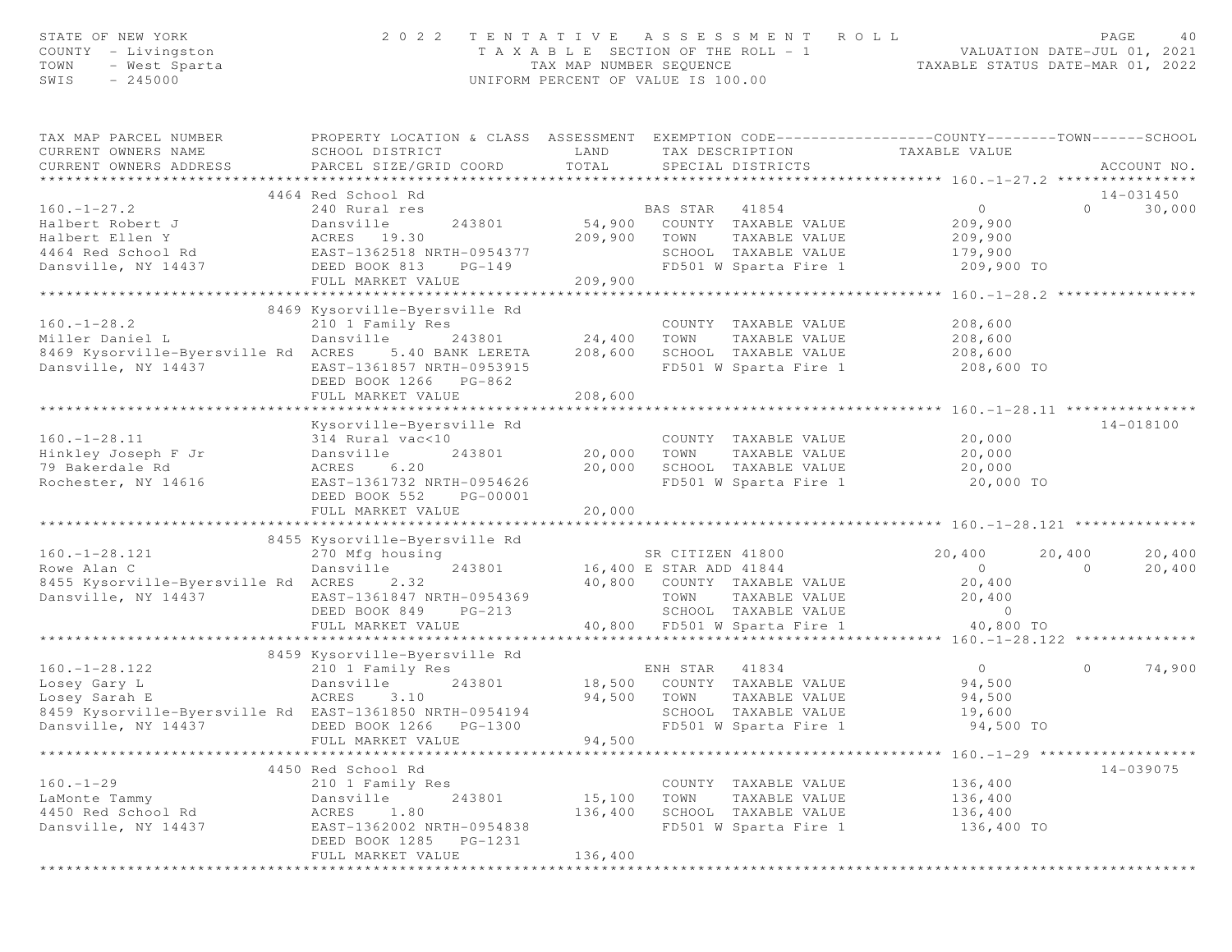| STATE OF NEW YORK<br>COUNTY - Livingston<br>TOWN<br>- West Sparta<br>$-245000$<br>SWIS                                                 | 2 0 2 2                                                                                                                                                                 | TAX MAP NUMBER SEQUENCE      | TENTATIVE ASSESSMENT<br>R O L L<br>T A X A B L E SECTION OF THE ROLL - 1<br>UNIFORM PERCENT OF VALUE IS 100.00                                              | VALUATION DATE-JUL 01, 2021<br>TAXABLE STATUS DATE-MAR 01, 2022                                               | PAGE<br>40                             |
|----------------------------------------------------------------------------------------------------------------------------------------|-------------------------------------------------------------------------------------------------------------------------------------------------------------------------|------------------------------|-------------------------------------------------------------------------------------------------------------------------------------------------------------|---------------------------------------------------------------------------------------------------------------|----------------------------------------|
| TAX MAP PARCEL NUMBER<br>CURRENT OWNERS NAME<br>CURRENT OWNERS ADDRESS                                                                 | PROPERTY LOCATION & CLASS ASSESSMENT EXEMPTION CODE---------------COUNTY-------TOWN------SCHOOL<br>SCHOOL DISTRICT<br>PARCEL SIZE/GRID COORD                            | LAND<br>TOTAL                | TAX DESCRIPTION<br>SPECIAL DISTRICTS                                                                                                                        | TAXABLE VALUE                                                                                                 | ACCOUNT NO.                            |
|                                                                                                                                        |                                                                                                                                                                         |                              |                                                                                                                                                             |                                                                                                               |                                        |
| $160. - 1 - 27.2$                                                                                                                      | 4464 Red School Rd<br>240 Rural res                                                                                                                                     |                              | BAS STAR 41854                                                                                                                                              | $\circ$                                                                                                       | 14-031450<br>$\Omega$<br>30,000        |
| Halbert Robert J<br>Halbert Ellen Y<br>4464 Red School Rd<br>Dansville, NY 14437                                                       | Dansville<br>243801<br>ACRES 19.30<br>EAST-1362518 NRTH-0954377<br>DEED BOOK 813<br>$PG-149$<br>FULL MARKET VALUE                                                       | 54,900<br>209,900<br>209,900 | COUNTY TAXABLE VALUE<br>TOWN<br>TAXABLE VALUE<br>SCHOOL TAXABLE VALUE<br>FD501 W Sparta Fire 1                                                              | 209,900<br>209,900<br>179,900<br>209,900 TO                                                                   |                                        |
|                                                                                                                                        | *************************                                                                                                                                               | *************                |                                                                                                                                                             | ********* $160. -1 - 28.2$ ************                                                                       |                                        |
| $160. - 1 - 28.2$<br>Miller Daniel L<br>8469 Kysorville-Byersville Rd ACRES<br>Dansville, NY 14437                                     | 8469 Kysorville-Byersville Rd<br>210 1 Family Res<br>Dansville<br>243801<br>5.40 BANK LERETA<br>EAST-1361857 NRTH-0953915<br>DEED BOOK 1266 PG-862<br>FULL MARKET VALUE | 24,400<br>208,600<br>208,600 | COUNTY TAXABLE VALUE<br>TOWN<br>TAXABLE VALUE<br>SCHOOL TAXABLE VALUE<br>FD501 W Sparta Fire 1                                                              | 208,600<br>208,600<br>208,600<br>208,600 TO                                                                   |                                        |
|                                                                                                                                        |                                                                                                                                                                         |                              |                                                                                                                                                             | ****************** 160.-1-28.11 ****************                                                              |                                        |
| $160. - 1 - 28.11$<br>Hinkley Joseph F Jr<br>79 Bakerdale Rd<br>Rochester, NY 14616                                                    | Kysorville-Byersville Rd<br>314 Rural vac<10<br>243801<br>Dansville<br>6.20<br>ACRES<br>EAST-1361732 NRTH-0954626<br>DEED BOOK 552<br>PG-00001<br>FULL MARKET VALUE     | 20,000<br>20,000<br>20,000   | COUNTY TAXABLE VALUE<br>TOWN<br>TAXABLE VALUE<br>SCHOOL TAXABLE VALUE<br>FD501 W Sparta Fire 1                                                              | 20,000<br>20,000<br>20,000<br>20,000 TO                                                                       | $14 - 018100$                          |
|                                                                                                                                        |                                                                                                                                                                         |                              |                                                                                                                                                             | ************** 160.-1-28.121 **                                                                               |                                        |
| $160. - 1 - 28.121$<br>Rowe Alan C<br>8455 Kysorville-Byersville Rd ACRES<br>Dansville, NY 14437                                       | 8455 Kysorville-Byersville Rd<br>270 Mfg housing<br>243801<br>Dansville<br>2.32<br>EAST-1361847 NRTH-0954369<br>DEED BOOK 849<br>$PG-213$<br>FULL MARKET VALUE          |                              | SR CITIZEN 41800<br>16,400 E STAR ADD 41844<br>40,800 COUNTY TAXABLE VALUE<br>TOWN<br>TAXABLE VALUE<br>SCHOOL TAXABLE VALUE<br>40,800 FD501 W Sparta Fire 1 | 20,400<br>$\Omega$<br>20,400<br>20,400<br>$\overline{0}$<br>40,800 TO<br>****** 160.-1-28.122 *************** | 20,400<br>20,400<br>$\Omega$<br>20,400 |
|                                                                                                                                        | 8459 Kysorville-Byersville Rd                                                                                                                                           |                              |                                                                                                                                                             |                                                                                                               |                                        |
| $160. - 1 - 28.122$<br>Losey Gary L<br>Losey Sarah E<br>8459 Kysorville-Byersville Rd EAST-1361850 NRTH-0954194<br>Dansville, NY 14437 | 210 1 Family Res<br>Dansville<br>243801<br>ACRES<br>3.10<br>DEED BOOK 1266<br>PG-1300<br>FULL MARKET VALUE                                                              | 94,500<br>94,500             | ENH STAR<br>41834<br>18,500 COUNTY TAXABLE VALUE<br>TOWN<br>TAXABLE VALUE<br>SCHOOL TAXABLE VALUE<br>FD501 W Sparta Fire 1                                  | $\overline{0}$<br>94,500<br>94,500<br>19,600<br>94,500 TO                                                     | 74,900<br>$\circ$                      |
|                                                                                                                                        |                                                                                                                                                                         |                              |                                                                                                                                                             | ********************* 160.-1-29 *******                                                                       |                                        |
| $160. - 1 - 29$<br>LaMonte Tammy<br>4450 Red School Rd<br>Dansville, NY 14437                                                          | 4450 Red School Rd<br>210 1 Family Res<br>243801<br>Dansville<br>1.80<br>ACRES<br>EAST-1362002 NRTH-0954838<br>DEED BOOK 1285<br>PG-1231<br>FULL MARKET VALUE           | 15,100<br>136,400<br>136,400 | COUNTY TAXABLE VALUE<br>TOWN<br>TAXABLE VALUE<br>SCHOOL TAXABLE VALUE<br>FD501 W Sparta Fire 1                                                              | 136,400<br>136,400<br>136,400<br>136,400 TO                                                                   | $14 - 039075$                          |
|                                                                                                                                        |                                                                                                                                                                         |                              |                                                                                                                                                             |                                                                                                               |                                        |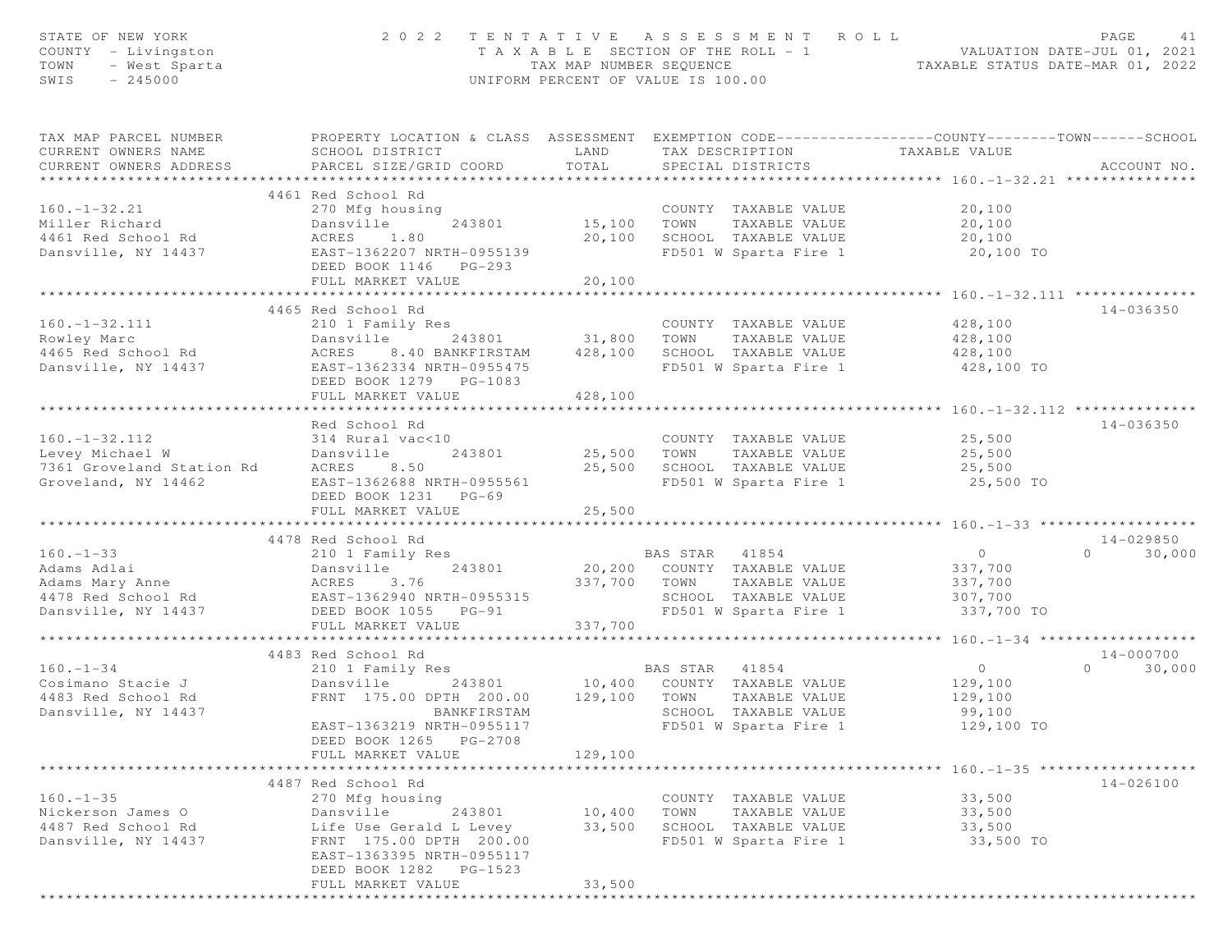| STATE OF NEW YORK<br>COUNTY - Livingston<br>TOWN<br>- West Sparta<br>SWIS<br>$-245000$ | 2 0 2 2                                                                                                                                       |                       | TENTATIVE ASSESSMENT ROLL<br>UNIFORM PERCENT OF VALUE IS 100.00 |               | T A X A B L E SECTION OF THE ROLL - 1 VALUATION DATE-JUL 01, 2021<br>TAX MAP NUMBER SEQUENCE TAXABLE STATUS DATE-MAR 01, 2022 | PAGE           | 41            |
|----------------------------------------------------------------------------------------|-----------------------------------------------------------------------------------------------------------------------------------------------|-----------------------|-----------------------------------------------------------------|---------------|-------------------------------------------------------------------------------------------------------------------------------|----------------|---------------|
| TAX MAP PARCEL NUMBER<br>CURRENT OWNERS NAME<br>CURRENT OWNERS ADDRESS                 | PROPERTY LOCATION & CLASS ASSESSMENT EXEMPTION CODE----------------COUNTY-------TOWN------SCHOOL<br>SCHOOL DISTRICT<br>PARCEL SIZE/GRID COORD | LAND<br>TOTAL         | TAX DESCRIPTION<br>SPECIAL DISTRICTS                            |               | TAXABLE VALUE                                                                                                                 |                | ACCOUNT NO.   |
|                                                                                        | 4461 Red School Rd                                                                                                                            |                       |                                                                 |               |                                                                                                                               |                |               |
| $160. - 1 - 32.21$<br>Miller Richard<br>4461 Red School Rd                             | 270 Mfg housing<br>Dansville<br>243801<br>ACRES<br>1.80                                                                                       | 15,100<br>20,100      | COUNTY TAXABLE VALUE<br>TOWN<br>SCHOOL TAXABLE VALUE            | TAXABLE VALUE | 20,100<br>20,100<br>20,100                                                                                                    |                |               |
| Dansville, NY 14437                                                                    | EAST-1362207 NRTH-0955139<br>DEED BOOK 1146 PG-293<br>FULL MARKET VALUE                                                                       | 20,100                | FD501 W Sparta Fire 1                                           |               | 20,100 TO                                                                                                                     |                |               |
|                                                                                        |                                                                                                                                               | * * * * * * * * * * * |                                                                 |               | ****************** 160.-1-32.111 ***********                                                                                  |                |               |
|                                                                                        | 4465 Red School Rd                                                                                                                            |                       |                                                                 |               |                                                                                                                               |                | 14-036350     |
| $160. - 1 - 32.111$                                                                    | 210 1 Family Res                                                                                                                              |                       | COUNTY TAXABLE VALUE                                            |               | 428,100                                                                                                                       |                |               |
| Rowley Marc<br>4465 Red School Rd                                                      | 243801 31,800<br>Dansville                                                                                                                    | 428,100               | TOWN<br>SCHOOL TAXABLE VALUE                                    | TAXABLE VALUE | 428,100                                                                                                                       |                |               |
| Dansville, NY 14437                                                                    | ACRES<br>8.40 BANKFIRSTAM<br>EAST-1362334 NRTH-0955475<br>DEED BOOK 1279 PG-1083<br>FULL MARKET VALUE                                         | 428,100               | FD501 W Sparta Fire 1                                           |               | 428,100<br>428,100 TO                                                                                                         |                |               |
|                                                                                        |                                                                                                                                               |                       |                                                                 |               |                                                                                                                               |                |               |
|                                                                                        | Red School Rd                                                                                                                                 |                       |                                                                 |               |                                                                                                                               |                | 14-036350     |
| $160. - 1 - 32.112$                                                                    | 314 Rural vac<10                                                                                                                              |                       |                                                                 |               | COUNTY TAXABLE VALUE 25,500                                                                                                   |                |               |
| Levey Michael W                                                                        | 243801<br>Dansville                                                                                                                           | 25,500                | TOWN                                                            | TAXABLE VALUE | 25,500                                                                                                                        |                |               |
| 7361 Groveland Station Rd<br>Groveland, NY 14462                                       | ACRES 8.50<br>EAST-1362688 NRTH-0955561<br>DEED BOOK 1231 PG-69                                                                               | 25,500                | SCHOOL TAXABLE VALUE<br>FD501 W Sparta Fire 1                   |               | 25,500<br>25,500 TO                                                                                                           |                |               |
|                                                                                        | FULL MARKET VALUE                                                                                                                             | 25,500                |                                                                 |               |                                                                                                                               |                |               |
|                                                                                        |                                                                                                                                               |                       |                                                                 |               |                                                                                                                               |                |               |
|                                                                                        | 4478 Red School Rd                                                                                                                            |                       |                                                                 |               |                                                                                                                               |                | 14-029850     |
| $160. - 1 - 33$                                                                        | 210 1 Family Res                                                                                                                              |                       | BAS STAR 41854                                                  |               | $\overline{0}$                                                                                                                | $\Omega$       | 30,000        |
| Adams Adlai                                                                            | Dansville<br>243801                                                                                                                           |                       | 20,200 COUNTY TAXABLE VALUE                                     |               | 337,700                                                                                                                       |                |               |
| Adams Mary Anne<br>4478 Red School Rd                                                  | ACRES<br>3.76                                                                                                                                 | 337,700 TOWN          |                                                                 | TAXABLE VALUE | 337,700                                                                                                                       |                |               |
|                                                                                        | EAST-1362940 NRTH-0955315<br>DEED BOOK 1055 PG-91                                                                                             |                       | SCHOOL TAXABLE VALUE<br>FD501 W Sparta Fire 1                   |               | 307,700<br>337,700 TO                                                                                                         |                |               |
| Dansville, NY 14437                                                                    | FULL MARKET VALUE                                                                                                                             | 337,700               |                                                                 |               |                                                                                                                               |                |               |
|                                                                                        | ***************************                                                                                                                   |                       |                                                                 |               |                                                                                                                               |                |               |
|                                                                                        | 4483 Red School Rd                                                                                                                            |                       |                                                                 |               |                                                                                                                               |                | 14-000700     |
| $160. - 1 - 34$                                                                        | 210 1 Family Res                                                                                                                              |                       |                                                                 |               | $\overline{0}$                                                                                                                | $\overline{0}$ | 30,000        |
| Cosimano Stacie J                                                                      | Dansville<br>243801                                                                                                                           |                       | BAS STAR 41854<br>10,400 COUNTY TAXABLE VALUE                   |               | 129,100                                                                                                                       |                |               |
| 4483 Red School Rd                                                                     | FRNT 175.00 DPTH 200.00                                                                                                                       | 129,100               | TOWN                                                            | TAXABLE VALUE | 129,100                                                                                                                       |                |               |
| Dansville, NY 14437                                                                    | <b>BANKFIRSTAM</b>                                                                                                                            |                       | SCHOOL TAXABLE VALUE                                            |               | 99,100                                                                                                                        |                |               |
|                                                                                        | EAST-1363219 NRTH-0955117                                                                                                                     |                       | FD501 W Sparta Fire 1                                           |               | 129,100 TO                                                                                                                    |                |               |
|                                                                                        | DEED BOOK 1265 PG-2708                                                                                                                        |                       |                                                                 |               |                                                                                                                               |                |               |
|                                                                                        | FULL MARKET VALUE                                                                                                                             | 129,100               |                                                                 |               |                                                                                                                               |                |               |
|                                                                                        |                                                                                                                                               |                       |                                                                 |               |                                                                                                                               |                |               |
|                                                                                        | 4487 Red School Rd                                                                                                                            |                       |                                                                 |               |                                                                                                                               |                | $14 - 026100$ |
| $160. - 1 - 35$<br>Nickerson James O                                                   | 270 Mfg housing<br>243801<br>Dansville                                                                                                        |                       | COUNTY TAXABLE VALUE<br>TOWN                                    |               | 33,500                                                                                                                        |                |               |
| 4487 Red School Rd                                                                     | Life Use Gerald L Levey                                                                                                                       | 10,400<br>33,500      | SCHOOL TAXABLE VALUE                                            | TAXABLE VALUE | 33,500<br>33,500                                                                                                              |                |               |
| Dansville, NY 14437                                                                    | FRNT 175.00 DPTH 200.00                                                                                                                       |                       | FD501 W Sparta Fire 1                                           |               | 33,500 TO                                                                                                                     |                |               |
|                                                                                        | EAST-1363395 NRTH-0955117                                                                                                                     |                       |                                                                 |               |                                                                                                                               |                |               |
|                                                                                        | DEED BOOK 1282 PG-1523                                                                                                                        |                       |                                                                 |               |                                                                                                                               |                |               |
|                                                                                        | FULL MARKET VALUE                                                                                                                             | 33,500                |                                                                 |               |                                                                                                                               |                |               |
|                                                                                        |                                                                                                                                               |                       |                                                                 |               |                                                                                                                               |                |               |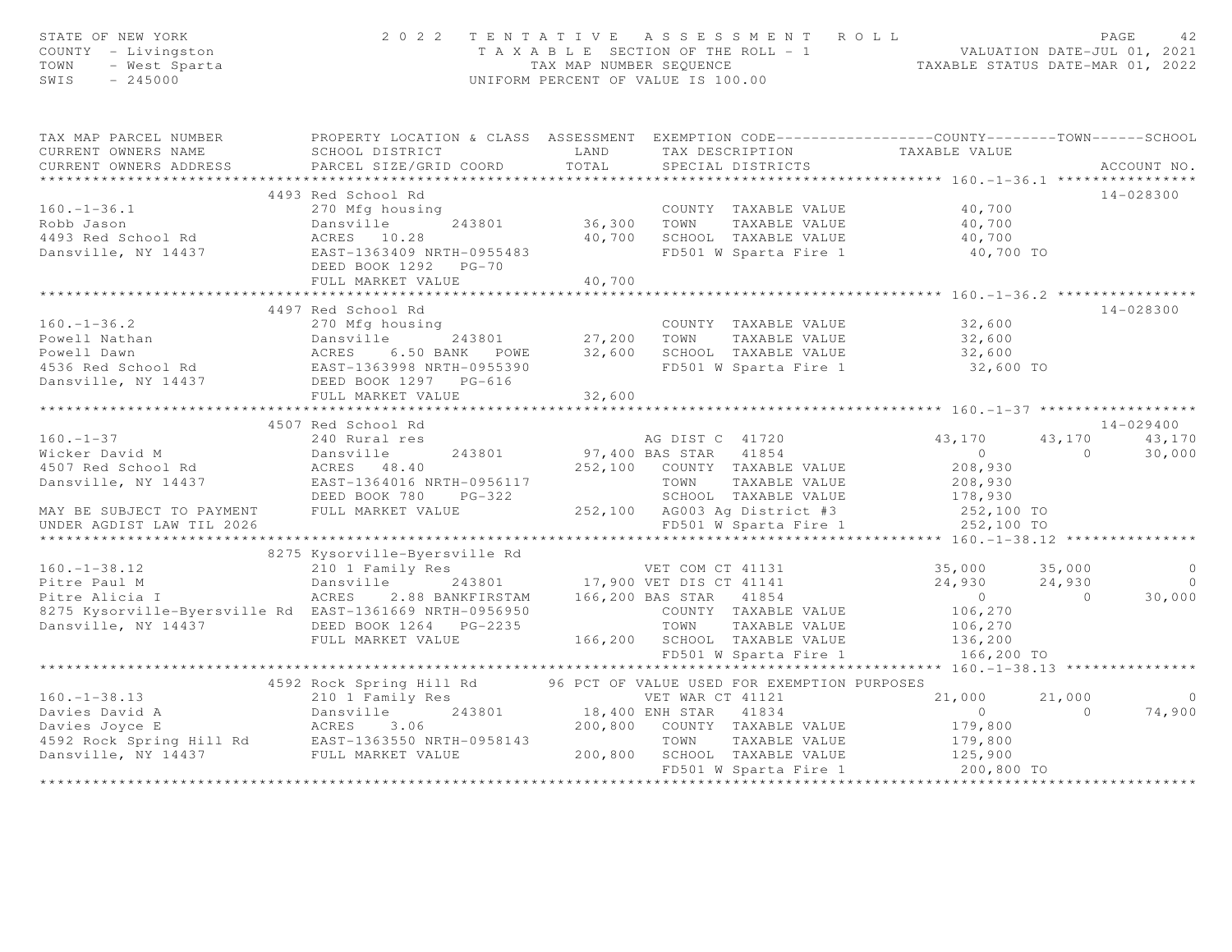| STATE OF NEW YORK<br>STATE OF NEW YORK<br>COUNTY - Livingston<br>TOWN - West Sparta<br>SWIS - 245000                                                                                                                                                             |                                                                      |  | $\begin{array}{cccccccccccc} 2&0&2&2&\text{T} &\text{E} &\text{N} &\text{T} &\text{A} &\text{T} &\text{I} &\text{V} &\text{E} &\text{A} &\text{S} &\text{S} &\text{E} &\text{S} &\text{S} &\text{M} &\text{E} &\text{N} &\text{T} &\text{R} &\text{O} &\text{L} &\text{D} &\text{A} &\text{A} &\text{E} &\text{B} &\text{A} &\text{E} &\text{A} &\text{E} &\text{A} &\text{E} &\text{A} &\text$ |                 |
|------------------------------------------------------------------------------------------------------------------------------------------------------------------------------------------------------------------------------------------------------------------|----------------------------------------------------------------------|--|-------------------------------------------------------------------------------------------------------------------------------------------------------------------------------------------------------------------------------------------------------------------------------------------------------------------------------------------------------------------------------------------------|-----------------|
| TAX MAP PARCEL NUMBER PROPERTY LOCATION & CLASS ASSESSMENT EXEMPTION CODE---------------COUNTY-------TOWN------SCHOOL                                                                                                                                            |                                                                      |  |                                                                                                                                                                                                                                                                                                                                                                                                 |                 |
| CURRENT OWNERS NAME<br>CURRENT OWNERS ADDRESS                                                                                                                                                                                                                    |                                                                      |  |                                                                                                                                                                                                                                                                                                                                                                                                 | ACCOUNT NO.     |
|                                                                                                                                                                                                                                                                  |                                                                      |  |                                                                                                                                                                                                                                                                                                                                                                                                 |                 |
|                                                                                                                                                                                                                                                                  | 4493 Red School Rd                                                   |  |                                                                                                                                                                                                                                                                                                                                                                                                 | 14-028300       |
| 4493 Red School Rd<br>270 Mfg housing<br>2493 Red School Rd<br>2493 Red School Rd<br>2493 Red School Rd<br>2493 Red School Rd<br>2493 Red School Rd<br>2493 Red School Rd<br>2493 Red School Rd<br>2493 Red School Rd<br>2493 Rd School Rd<br>2493 R             |                                                                      |  |                                                                                                                                                                                                                                                                                                                                                                                                 |                 |
|                                                                                                                                                                                                                                                                  |                                                                      |  |                                                                                                                                                                                                                                                                                                                                                                                                 |                 |
|                                                                                                                                                                                                                                                                  |                                                                      |  |                                                                                                                                                                                                                                                                                                                                                                                                 |                 |
|                                                                                                                                                                                                                                                                  |                                                                      |  |                                                                                                                                                                                                                                                                                                                                                                                                 |                 |
|                                                                                                                                                                                                                                                                  |                                                                      |  |                                                                                                                                                                                                                                                                                                                                                                                                 |                 |
|                                                                                                                                                                                                                                                                  |                                                                      |  |                                                                                                                                                                                                                                                                                                                                                                                                 |                 |
|                                                                                                                                                                                                                                                                  |                                                                      |  |                                                                                                                                                                                                                                                                                                                                                                                                 |                 |
|                                                                                                                                                                                                                                                                  | 4497 Red School Rd                                                   |  |                                                                                                                                                                                                                                                                                                                                                                                                 | 14-028300       |
|                                                                                                                                                                                                                                                                  |                                                                      |  |                                                                                                                                                                                                                                                                                                                                                                                                 |                 |
|                                                                                                                                                                                                                                                                  |                                                                      |  |                                                                                                                                                                                                                                                                                                                                                                                                 |                 |
|                                                                                                                                                                                                                                                                  |                                                                      |  |                                                                                                                                                                                                                                                                                                                                                                                                 |                 |
|                                                                                                                                                                                                                                                                  |                                                                      |  |                                                                                                                                                                                                                                                                                                                                                                                                 |                 |
|                                                                                                                                                                                                                                                                  |                                                                      |  |                                                                                                                                                                                                                                                                                                                                                                                                 |                 |
|                                                                                                                                                                                                                                                                  |                                                                      |  |                                                                                                                                                                                                                                                                                                                                                                                                 |                 |
| 160.-1-36.2<br>270 Mfg housing<br>Powell Nathan answille 243801<br>27,200 TOWN TAXABLE VALUE 32,600<br>27,200 TOWN TAXABLE VALUE 32,600<br>27,200 TOWN TAXABLE VALUE 32,600<br>27,200 TOWN TAXABLE VALUE 32,600<br>27,200 TOWN TAXABLE VALUE                     |                                                                      |  |                                                                                                                                                                                                                                                                                                                                                                                                 |                 |
| 160.-1-37<br>240 Rural res<br>Wicker David M<br>240 Rural res<br>243801<br>260 TRES 1170<br>260 Rural res<br>243801<br>260 PG-322<br>252,100 COUNTY TAXABLE VALUE<br>208,930<br>260 TAXABLE VALUE<br>208,930<br>208,930<br>208,930<br>208,930<br>208,930<br>208, |                                                                      |  |                                                                                                                                                                                                                                                                                                                                                                                                 | $14 - 029400$   |
|                                                                                                                                                                                                                                                                  |                                                                      |  |                                                                                                                                                                                                                                                                                                                                                                                                 | 43, 170 43, 170 |
|                                                                                                                                                                                                                                                                  |                                                                      |  |                                                                                                                                                                                                                                                                                                                                                                                                 | 30,000          |
|                                                                                                                                                                                                                                                                  |                                                                      |  |                                                                                                                                                                                                                                                                                                                                                                                                 |                 |
|                                                                                                                                                                                                                                                                  |                                                                      |  |                                                                                                                                                                                                                                                                                                                                                                                                 |                 |
|                                                                                                                                                                                                                                                                  |                                                                      |  |                                                                                                                                                                                                                                                                                                                                                                                                 |                 |
|                                                                                                                                                                                                                                                                  |                                                                      |  |                                                                                                                                                                                                                                                                                                                                                                                                 |                 |
|                                                                                                                                                                                                                                                                  |                                                                      |  |                                                                                                                                                                                                                                                                                                                                                                                                 |                 |
|                                                                                                                                                                                                                                                                  |                                                                      |  |                                                                                                                                                                                                                                                                                                                                                                                                 |                 |
| 8275 Kysorville-Byersville Rd<br>Pitre Paul M 210 I Family Res<br>Pitre Paul M 24,930 24,930 0<br>Pitre Alicia I ACRES 2.88 BANKFIRSTAM 166,200 BAS STAR 41854 0<br>8275 Kysorville-Byersville Rd<br>Dansville, NY 14437 DEED BOOK 1264                          | 8275 Kysorville-Byersville Rd                                        |  |                                                                                                                                                                                                                                                                                                                                                                                                 |                 |
|                                                                                                                                                                                                                                                                  |                                                                      |  |                                                                                                                                                                                                                                                                                                                                                                                                 |                 |
|                                                                                                                                                                                                                                                                  |                                                                      |  |                                                                                                                                                                                                                                                                                                                                                                                                 |                 |
|                                                                                                                                                                                                                                                                  |                                                                      |  |                                                                                                                                                                                                                                                                                                                                                                                                 |                 |
|                                                                                                                                                                                                                                                                  |                                                                      |  |                                                                                                                                                                                                                                                                                                                                                                                                 |                 |
|                                                                                                                                                                                                                                                                  |                                                                      |  |                                                                                                                                                                                                                                                                                                                                                                                                 |                 |
|                                                                                                                                                                                                                                                                  |                                                                      |  |                                                                                                                                                                                                                                                                                                                                                                                                 |                 |
|                                                                                                                                                                                                                                                                  |                                                                      |  |                                                                                                                                                                                                                                                                                                                                                                                                 |                 |
|                                                                                                                                                                                                                                                                  |                                                                      |  |                                                                                                                                                                                                                                                                                                                                                                                                 |                 |
|                                                                                                                                                                                                                                                                  | 4592 Rock Spring Hill Rd 96 PCT OF VALUE USED FOR EXEMPTION PURPOSES |  |                                                                                                                                                                                                                                                                                                                                                                                                 |                 |
|                                                                                                                                                                                                                                                                  |                                                                      |  |                                                                                                                                                                                                                                                                                                                                                                                                 |                 |
|                                                                                                                                                                                                                                                                  |                                                                      |  |                                                                                                                                                                                                                                                                                                                                                                                                 |                 |
|                                                                                                                                                                                                                                                                  |                                                                      |  |                                                                                                                                                                                                                                                                                                                                                                                                 |                 |
|                                                                                                                                                                                                                                                                  |                                                                      |  |                                                                                                                                                                                                                                                                                                                                                                                                 |                 |
| 4592 Rock Spring Hill Rd<br>21,000 21,000 21,000 0<br>Davies David A Dansville 243801 18,400 ENR STAR 41834 0 21,000 0<br>Davies Joyce E ACRES 3.06 200,800 COUNTY TAXABLE VALUE 179,800<br>4592 Rock Spring Hill Rd EAST-1363550 NRTH                           |                                                                      |  |                                                                                                                                                                                                                                                                                                                                                                                                 |                 |
|                                                                                                                                                                                                                                                                  |                                                                      |  |                                                                                                                                                                                                                                                                                                                                                                                                 |                 |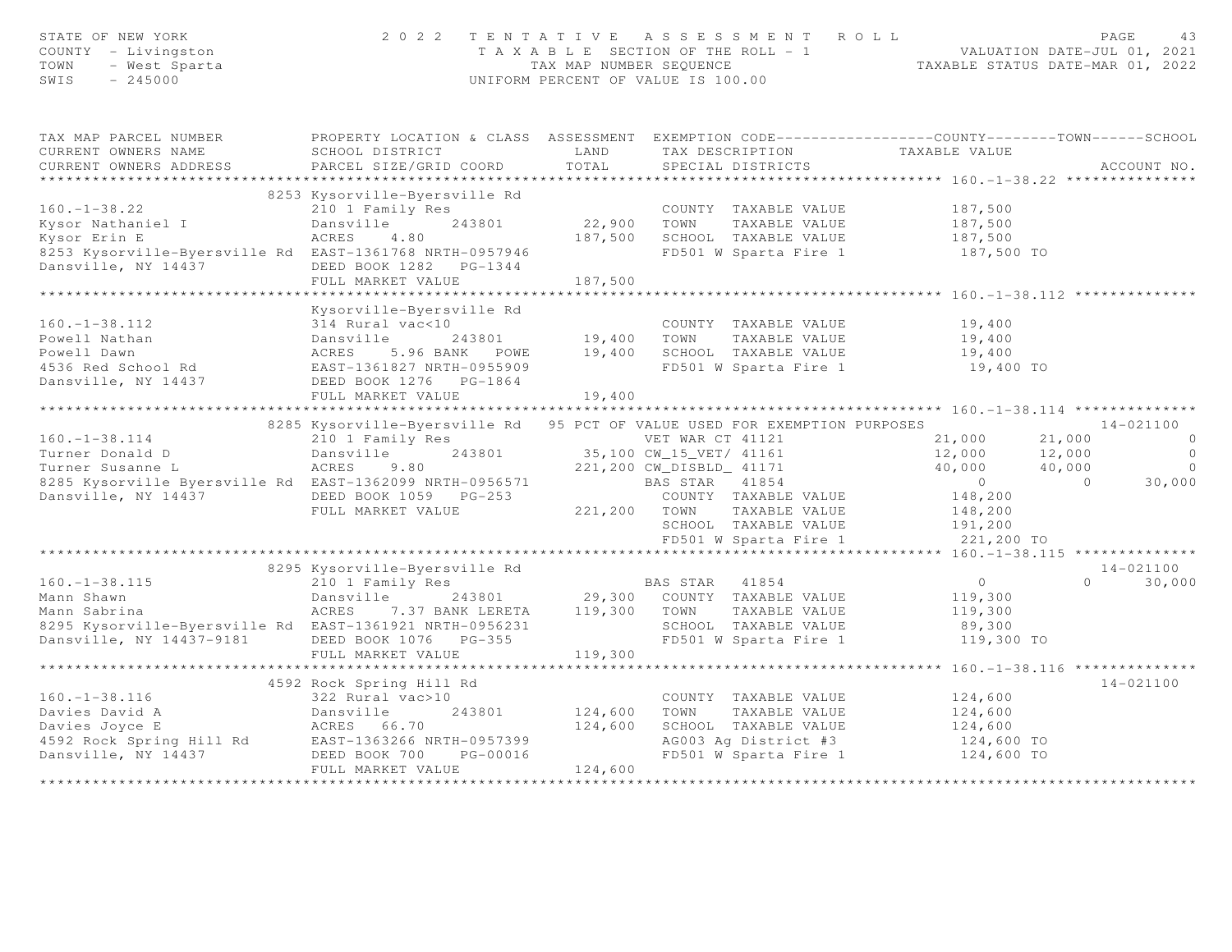| STATE OF NEW YORK<br>COUNTY - Livingston<br>TOWN - West Sparta                                                                                                                                                                                           |                                                                                                            |         | 2022 TENTATIVE ASSESSMENT ROLL<br>TAXABLE SECTION OF THE ROLL TAXABLE STATUS DATE-JUL 01, 2021<br>TAXABLE SECTION OF THE ROLL - 1<br>TAXABLE STATUS DATE-MAR 01, 2022<br>INIFORM PERCENT OF VALUE TO 00<br>UNIFORM PERCENT OF VALUE IS 100.00 |                      |                |                          |
|----------------------------------------------------------------------------------------------------------------------------------------------------------------------------------------------------------------------------------------------------------|------------------------------------------------------------------------------------------------------------|---------|-----------------------------------------------------------------------------------------------------------------------------------------------------------------------------------------------------------------------------------------------|----------------------|----------------|--------------------------|
| TAX MAP PARCEL NUMBER                                                                                                                                                                                                                                    | PROPERTY LOCATION & CLASS ASSESSMENT EXEMPTION CODE----------------COUNTY-------TOWN------SCHOOL           |         |                                                                                                                                                                                                                                               |                      |                |                          |
|                                                                                                                                                                                                                                                          |                                                                                                            |         |                                                                                                                                                                                                                                               |                      |                |                          |
|                                                                                                                                                                                                                                                          |                                                                                                            |         |                                                                                                                                                                                                                                               |                      |                |                          |
|                                                                                                                                                                                                                                                          |                                                                                                            |         |                                                                                                                                                                                                                                               |                      |                |                          |
|                                                                                                                                                                                                                                                          | 8253 Kysorville-Byersville Rd                                                                              |         |                                                                                                                                                                                                                                               |                      |                |                          |
| $160. - 1 - 38.22$                                                                                                                                                                                                                                       | 210 1 Family Res                                                                                           |         | COUNTY TAXABLE VALUE 187,500                                                                                                                                                                                                                  |                      |                |                          |
| Kysor Nathaniel I                                                                                                                                                                                                                                        | Dansville<br>243801                                                                                        |         | 22,900 TOWN TAXABLE VALUE                                                                                                                                                                                                                     | 187,500              |                |                          |
| Kysor Erin E                                                                                                                                                                                                                                             | ACRES<br>4.80                                                                                              |         |                                                                                                                                                                                                                                               |                      |                |                          |
| 8253 Kysorville-Byersville Rd EAST-1361768 NRTH-0957946                                                                                                                                                                                                  |                                                                                                            |         | 187,500 SCHOOL TAXABLE VALUE 187,500<br>FD501 W Sparta Fire 1 187,500 TO                                                                                                                                                                      |                      |                |                          |
| Dansville, NY 14437                                                                                                                                                                                                                                      | DEED BOOK 1282    PG-1344                                                                                  |         |                                                                                                                                                                                                                                               |                      |                |                          |
|                                                                                                                                                                                                                                                          | FULL MARKET VALUE                                                                                          | 187,500 |                                                                                                                                                                                                                                               |                      |                |                          |
|                                                                                                                                                                                                                                                          |                                                                                                            |         |                                                                                                                                                                                                                                               |                      |                |                          |
|                                                                                                                                                                                                                                                          | Kysorville-Byersville Rd                                                                                   |         |                                                                                                                                                                                                                                               |                      |                |                          |
|                                                                                                                                                                                                                                                          |                                                                                                            |         |                                                                                                                                                                                                                                               | 19,400               |                |                          |
|                                                                                                                                                                                                                                                          |                                                                                                            |         |                                                                                                                                                                                                                                               | 19,400               |                |                          |
|                                                                                                                                                                                                                                                          |                                                                                                            |         |                                                                                                                                                                                                                                               | 19,400               |                |                          |
|                                                                                                                                                                                                                                                          |                                                                                                            |         |                                                                                                                                                                                                                                               | 19,400 TO            |                |                          |
| 160.-1-38.112<br>Powell Nathan<br>Powell Dawn<br>Powell Dawn<br>243801<br>243801<br>243801<br>243801<br>29,400 TOWN TAXABLE VALUE<br>243801<br>29,400 TOWN TAXABLE VALUE<br>29,400 TOWN TAXABLE VALUE<br>29,400 SCHOOL TAXABLE VALUE<br>29,400 SCHOOL TA |                                                                                                            |         |                                                                                                                                                                                                                                               |                      |                |                          |
|                                                                                                                                                                                                                                                          | FULL MARKET VALUE                                                                                          | 19,400  |                                                                                                                                                                                                                                               |                      |                |                          |
|                                                                                                                                                                                                                                                          |                                                                                                            |         |                                                                                                                                                                                                                                               |                      |                |                          |
|                                                                                                                                                                                                                                                          | 8285 Kysorville-Byersville Rd 95 PCT OF VALUE USED FOR EXEMPTION PURPOSES                                  |         |                                                                                                                                                                                                                                               |                      |                | 14-021100                |
| $160. - 1 - 38.114$                                                                                                                                                                                                                                      | 210 1 Family Res<br>Dansville 243801 35,100 CW_15_VET / 41161                                              |         |                                                                                                                                                                                                                                               | 21,000 21,000        |                | $\overline{0}$           |
| Turner Donald D                                                                                                                                                                                                                                          |                                                                                                            |         |                                                                                                                                                                                                                                               | 12,000 12,000        |                | $\overline{0}$           |
| Turner Susanne L                                                                                                                                                                                                                                         | ACRES 9.80                                                                                                 |         | 221,200 CW_DISBLD_ 41171                                                                                                                                                                                                                      | 40,000 40,000        |                | $\overline{0}$<br>30,000 |
| BAS STAR 41854<br>18285 Kysorville Byersville Rd EAST-136209 NRTH-0956571 BAS STAR 41854                                                                                                                                                                 |                                                                                                            |         |                                                                                                                                                                                                                                               | $\overline{0}$       | $\overline{0}$ |                          |
| Dansville, NY 14437                                                                                                                                                                                                                                      | DEED BOOK 1059 PG-253                                                                                      |         | COUNTY TAXABLE VALUE                                                                                                                                                                                                                          | 148,200              |                |                          |
|                                                                                                                                                                                                                                                          | FULL MARKET VALUE                                                                                          |         | 221,200 TOWN TAXABLE VALUE<br>TOWN TAXABLE VALUE 190,200<br>SCHOOL TAXABLE VALUE 191,200                                                                                                                                                      | 148,200              |                |                          |
|                                                                                                                                                                                                                                                          |                                                                                                            |         |                                                                                                                                                                                                                                               |                      |                |                          |
|                                                                                                                                                                                                                                                          |                                                                                                            |         | FD501 W Sparta Fire 1                                                                                                                                                                                                                         | 221,200 TO           |                |                          |
|                                                                                                                                                                                                                                                          | 8295 Kysorville-Byersville Rd                                                                              |         |                                                                                                                                                                                                                                               |                      |                | 14-021100                |
| $160. - 1 - 38.115$                                                                                                                                                                                                                                      |                                                                                                            |         | BAS STAR 41854                                                                                                                                                                                                                                | $\overline{0}$       |                | $0 \t 30,000$            |
| Mann Shawn                                                                                                                                                                                                                                               | 210 1 Family Res                                                                                           |         |                                                                                                                                                                                                                                               | 119,300              |                |                          |
| Mann Sabrina                                                                                                                                                                                                                                             | ACRES 7.37 BANK LERETA 119,300 TOWN TAXABLE VALUE                                                          |         |                                                                                                                                                                                                                                               | 119,300              |                |                          |
|                                                                                                                                                                                                                                                          |                                                                                                            |         |                                                                                                                                                                                                                                               |                      |                |                          |
| 8295 Kysorville-Byersville Rd EAST-1361921 NRTH-0956231 SCHOOL TAXABLE VALUE<br>Dansville, NY 14437-9181 DEED BOOK 1076 PG-355 STEM FD501 W Sparta Fire 1                                                                                                |                                                                                                            |         | FD501 W Sparta Fire 1                                                                                                                                                                                                                         | 89,300<br>119,300 TO |                |                          |
|                                                                                                                                                                                                                                                          | FULL MARKET VALUE                                                                                          | 119,300 |                                                                                                                                                                                                                                               |                      |                |                          |
|                                                                                                                                                                                                                                                          |                                                                                                            |         |                                                                                                                                                                                                                                               |                      |                |                          |
|                                                                                                                                                                                                                                                          | 4592 Rock Spring Hill Rd                                                                                   |         |                                                                                                                                                                                                                                               |                      |                | $14 - 021100$            |
|                                                                                                                                                                                                                                                          |                                                                                                            |         | COUNTY TAXABLE VALUE 124,600                                                                                                                                                                                                                  |                      |                |                          |
|                                                                                                                                                                                                                                                          | External COUNTY TAXABLE VALUE<br>322 Rural vac>10<br>322 Rural vac>10<br>243801 124,600 TOWN TAXABLE VALUE |         |                                                                                                                                                                                                                                               | 124,600              |                |                          |
|                                                                                                                                                                                                                                                          |                                                                                                            |         |                                                                                                                                                                                                                                               |                      |                |                          |
|                                                                                                                                                                                                                                                          |                                                                                                            |         |                                                                                                                                                                                                                                               |                      |                |                          |
| 160.-1-38.116<br>Davies David A<br>Davies Joyce E<br>4592 Rock Spring Hill Rd<br>Dansville, NY 14437<br>Dansville, NY 14437<br>Dansville, NY 14437<br>Dense BOOK 700<br>DEED BOOK 700<br>PG-00016                                                        |                                                                                                            |         | SCHOOL TAXABLE VALUE $124,600$<br>AG003 Ag District #3 124,600 TO<br>FD501 W Sparta Fire 1 124,600 TO                                                                                                                                         |                      |                |                          |
|                                                                                                                                                                                                                                                          | FULL MARKET VALUE                                                                                          | 124,600 |                                                                                                                                                                                                                                               |                      |                |                          |
|                                                                                                                                                                                                                                                          |                                                                                                            |         |                                                                                                                                                                                                                                               |                      |                |                          |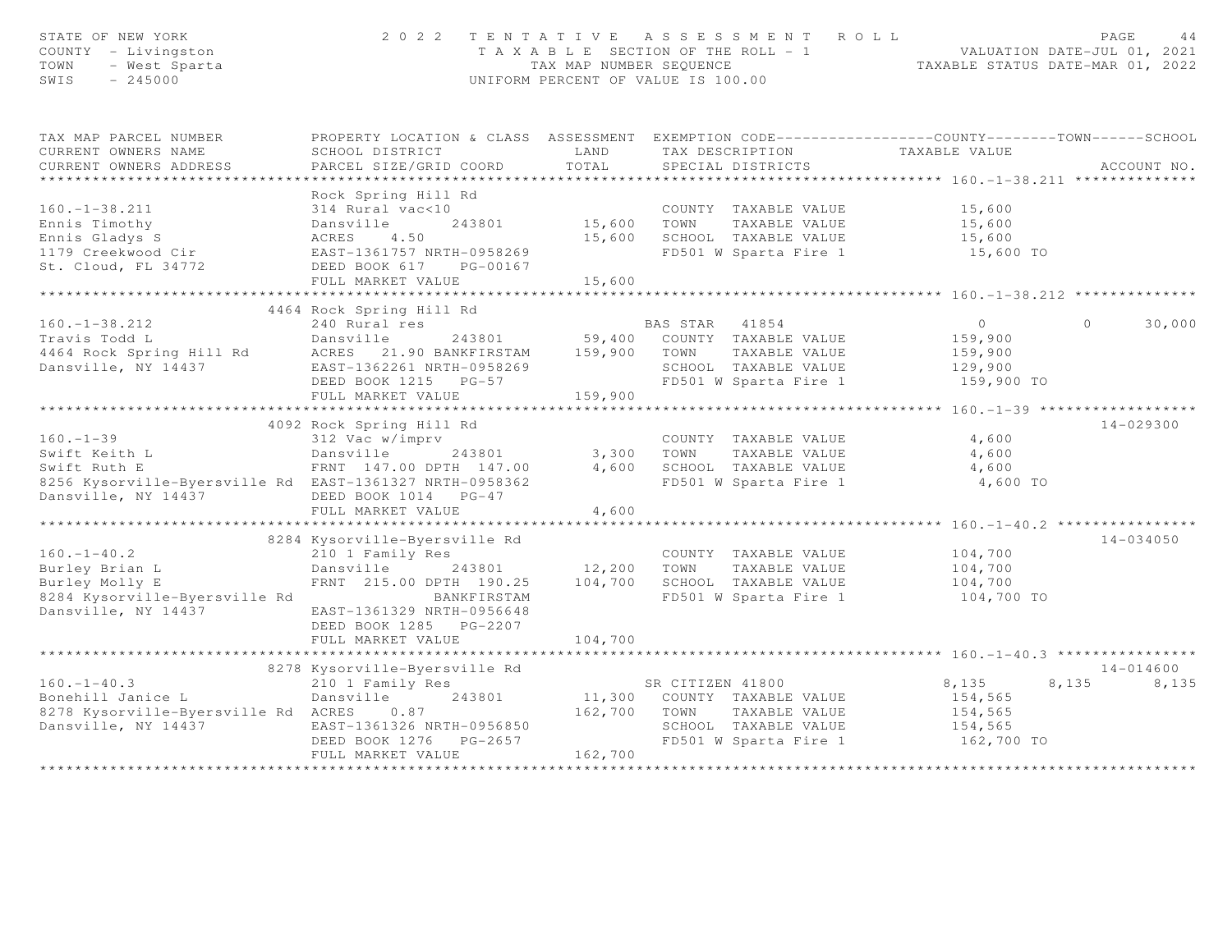| STATE OF NEW YORK<br>STATE OF NEW IONA<br>COUNTY - Livingston<br>TOWN - West Sparta<br>SWIS - 245000                                                                                                        | 2 0 2 2                                                                                                           |         | TENTATIVE ASSESSMENT ROLL<br>T A X A B L E SECTION OF THE ROLL - 1<br>TAX MAP NUMBER SEQUENCE<br>TAXABLE STATUS DATE-MAR 01, 2022<br>UNIFORM PERCENT OF VALUE IS 100.00 |                           | PAGE<br>44         |
|-------------------------------------------------------------------------------------------------------------------------------------------------------------------------------------------------------------|-------------------------------------------------------------------------------------------------------------------|---------|-------------------------------------------------------------------------------------------------------------------------------------------------------------------------|---------------------------|--------------------|
| TAX MAP PARCEL NUMBER                                                                                                                                                                                       | PROPERTY LOCATION & CLASS ASSESSMENT EXEMPTION CODE----------------COUNTY-------TOWN------SCHOOL                  |         |                                                                                                                                                                         |                           |                    |
| CURRENT OWNERS NAME                                                                                                                                                                                         | SCHOOL DISTRICT                                                                                                   | LAND    | TAX DESCRIPTION TAXABLE VALUE<br>SPECIAL DISTRICTS                                                                                                                      |                           |                    |
| CURRENT OWNERS ADDRESS                                                                                                                                                                                      | PARCEL SIZE/GRID COORD                                                                                            | TOTAL   |                                                                                                                                                                         |                           | ACCOUNT NO.        |
|                                                                                                                                                                                                             | Rock Spring Hill Rd                                                                                               |         |                                                                                                                                                                         |                           |                    |
| $160. - 1 - 38.211$                                                                                                                                                                                         | 314 Rural vac<10                                                                                                  |         | COUNTY TAXABLE VALUE 15,600                                                                                                                                             |                           |                    |
|                                                                                                                                                                                                             |                                                                                                                   |         | 243801 15,600 TOWN TAXABLE VALUE<br>15,600 SCHOOL TAXABLE VALUE                                                                                                         |                           |                    |
|                                                                                                                                                                                                             |                                                                                                                   |         |                                                                                                                                                                         | 15,600<br>15,600          |                    |
|                                                                                                                                                                                                             |                                                                                                                   |         | FD501 W Sparta Fire 1 15,600 TO                                                                                                                                         |                           |                    |
|                                                                                                                                                                                                             |                                                                                                                   |         |                                                                                                                                                                         |                           |                    |
|                                                                                                                                                                                                             | FULL MARKET VALUE                                                                                                 | 15,600  |                                                                                                                                                                         |                           |                    |
|                                                                                                                                                                                                             |                                                                                                                   |         |                                                                                                                                                                         |                           |                    |
| 100.-1-38.212<br>Travis Todd L 240 Rural res<br>Travis Todd L Dansville 243801 59,400 COUNTY TAXABLE VALUE<br>21.90 BANKFIRSTAM 159,900 TOWN TAXABLE VALUE<br>Dansville, NY 14437 EAST-1362261 NRTH-0958269 |                                                                                                                   |         |                                                                                                                                                                         |                           |                    |
|                                                                                                                                                                                                             |                                                                                                                   |         | BAS STAR 41854                                                                                                                                                          | $\overline{0}$<br>159,900 | 30,000<br>$\Omega$ |
|                                                                                                                                                                                                             |                                                                                                                   |         |                                                                                                                                                                         |                           |                    |
|                                                                                                                                                                                                             |                                                                                                                   |         | SCHOOL TAXABLE VALUE                                                                                                                                                    | 159,900<br>129,900        |                    |
|                                                                                                                                                                                                             | DEED BOOK 1215 PG-57                                                                                              |         | FD501 W Sparta Fire 1                                                                                                                                                   | 159,900 TO                |                    |
|                                                                                                                                                                                                             | FULL MARKET VALUE                                                                                                 | 159,900 |                                                                                                                                                                         |                           |                    |
|                                                                                                                                                                                                             |                                                                                                                   |         |                                                                                                                                                                         |                           |                    |
|                                                                                                                                                                                                             | 4092 Rock Spring Hill Rd                                                                                          |         |                                                                                                                                                                         |                           | 14-029300          |
| $160. - 1 - 39$                                                                                                                                                                                             | 312 Vac w/imprv                                                                                                   |         | COUNTY TAXABLE VALUE                                                                                                                                                    | 4,600                     |                    |
|                                                                                                                                                                                                             |                                                                                                                   |         | TOWN      TAXABLE VALUE<br>SCHOOL   TAXABLE VALUE                                                                                                                       | 4,600                     |                    |
|                                                                                                                                                                                                             |                                                                                                                   |         |                                                                                                                                                                         | 4,600                     |                    |
| 8256 Kysorville-Byersville Rd EAST-1361327 NRTH-0958362                                                                                                                                                     |                                                                                                                   |         | FD501 W Sparta Fire 1                                                                                                                                                   | 4,600 TO                  |                    |
| Dansville, NY 14437                                                                                                                                                                                         | DEED BOOK 1014 PG-47                                                                                              |         |                                                                                                                                                                         |                           |                    |
|                                                                                                                                                                                                             | FULL MARKET VALUE                                                                                                 | 4,600   |                                                                                                                                                                         |                           |                    |
|                                                                                                                                                                                                             |                                                                                                                   |         |                                                                                                                                                                         |                           |                    |
| $160. - 1 - 40.2$                                                                                                                                                                                           | 8284 Kysorville-Byersville Rd<br>210 1 Family Res                                                                 |         | COUNTY TAXABLE VALUE                                                                                                                                                    |                           | 14-034050          |
| Burley Brian L                                                                                                                                                                                              | Dansville 243801 12,200 TOWN                                                                                      |         | TAXABLE VALUE                                                                                                                                                           | 104,700<br>104,700        |                    |
| Burley Molly E                                                                                                                                                                                              |                                                                                                                   |         |                                                                                                                                                                         |                           |                    |
| 8284 Kysorville-Byersville Rd                                                                                                                                                                               | FRNT 215.00 DPTH 190.25 104,700 SCHOOL TAXABLE VALUE 104,700 104,700 DANKFIRSTAM FD501 W Sparta Fire 1 104,700 TO |         |                                                                                                                                                                         |                           |                    |
| Dansville, NY 14437                                                                                                                                                                                         | EAST-1361329 NRTH-0956648                                                                                         |         |                                                                                                                                                                         |                           |                    |
|                                                                                                                                                                                                             | DEED BOOK 1285 PG-2207                                                                                            |         |                                                                                                                                                                         |                           |                    |
|                                                                                                                                                                                                             | FULL MARKET VALUE                                                                                                 | 104,700 |                                                                                                                                                                         |                           |                    |
|                                                                                                                                                                                                             | ***************************                                                                                       |         |                                                                                                                                                                         |                           |                    |
|                                                                                                                                                                                                             | 8278 Kysorville-Byersville Rd                                                                                     |         |                                                                                                                                                                         |                           | 14-014600          |
| $160. - 1 - 40.3$                                                                                                                                                                                           | 210 1 Family Res                                                                                                  |         | SR CITIZEN 41800                                                                                                                                                        | 8,135                     | 8,135 8,135        |
| Bonehill Janice L                                                                                                                                                                                           | 243801<br>Dansville                                                                                               |         | 11,300 COUNTY TAXABLE VALUE                                                                                                                                             | 154,565                   |                    |
| 8278 Kysorville-Byersville Rd ACRES 0.87                                                                                                                                                                    |                                                                                                                   |         | 162,700 TOWN TAXABLE VALUE                                                                                                                                              | 154,565                   |                    |
| Dansville, NY 14437                                                                                                                                                                                         | EAST-1361326 NRTH-0956850                                                                                         |         | SCHOOL TAXABLE VALUE 154,565<br>FD501 W Sparta Fire 1                                                                                                                   | 162,700 TO                |                    |
|                                                                                                                                                                                                             | FULL MARKET VALUE                                                                                                 | 162,700 |                                                                                                                                                                         |                           |                    |
|                                                                                                                                                                                                             |                                                                                                                   |         |                                                                                                                                                                         |                           |                    |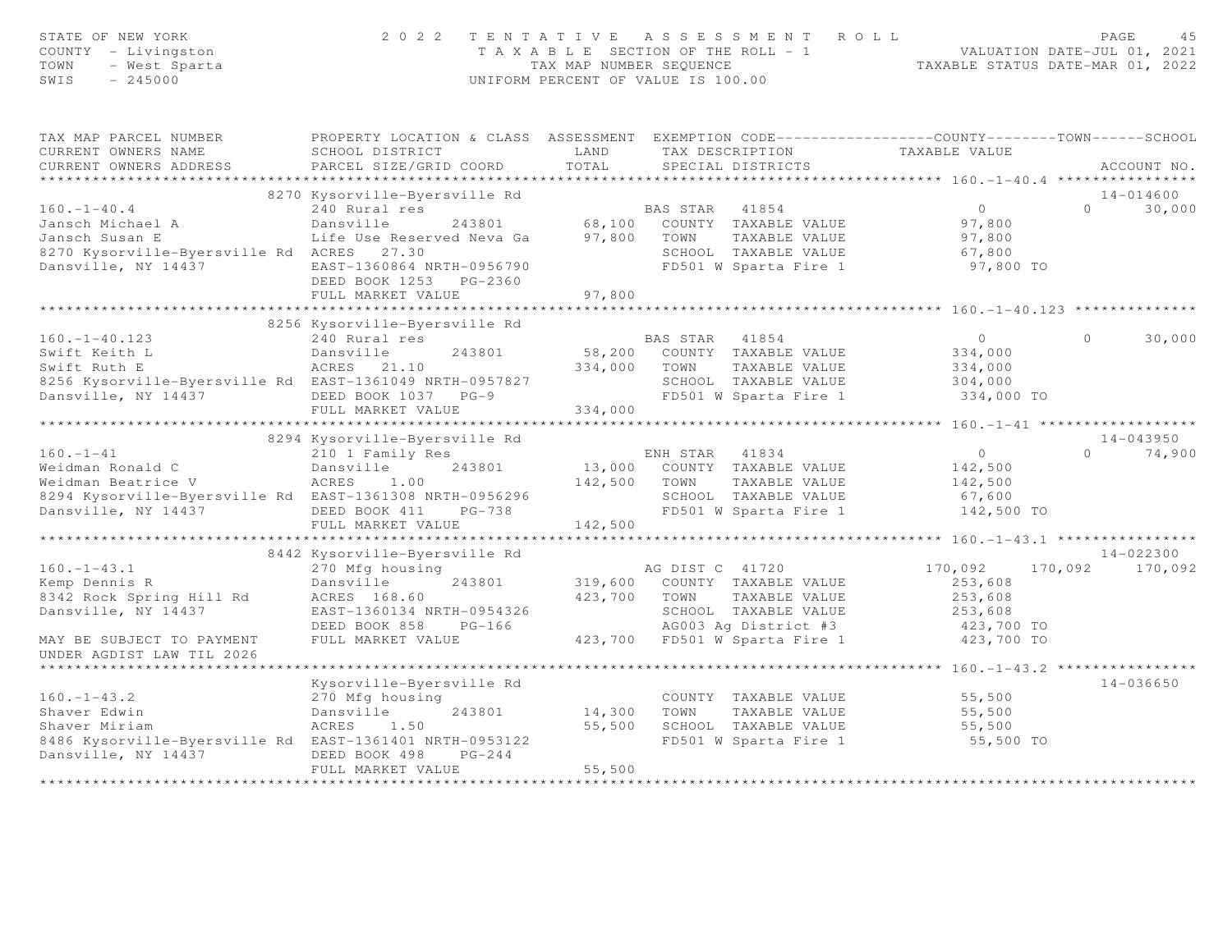| STATE OF NEW YORK<br>COUNTY - Livingston<br>TOWN<br>- West Sparta<br>$-245000$<br>SWIS | 2 0 2 2                                                                                                             | TAX MAP NUMBER SEQUENCE | TENTATIVE ASSESSMENT<br>T A X A B L E SECTION OF THE ROLL - 1<br>UNIFORM PERCENT OF VALUE IS 100.00 | R O L L<br>TAXABLE STATUS DATE-MAR 01, 2022       | PAGE<br>VALUATION DATE-JUL 01, 2021 | 4.5           |
|----------------------------------------------------------------------------------------|---------------------------------------------------------------------------------------------------------------------|-------------------------|-----------------------------------------------------------------------------------------------------|---------------------------------------------------|-------------------------------------|---------------|
| TAX MAP PARCEL NUMBER<br>CURRENT OWNERS NAME                                           | PROPERTY LOCATION & CLASS ASSESSMENT EXEMPTION CODE----------------COUNTY-------TOWN------SCHOOL<br>SCHOOL DISTRICT | LAND                    | TAX DESCRIPTION                                                                                     | TAXABLE VALUE                                     |                                     |               |
| CURRENT OWNERS ADDRESS                                                                 | PARCEL SIZE/GRID COORD                                                                                              | TOTAL                   | SPECIAL DISTRICTS                                                                                   |                                                   |                                     | ACCOUNT NO.   |
| ***********************                                                                |                                                                                                                     |                         |                                                                                                     |                                                   |                                     |               |
|                                                                                        | 8270 Kysorville-Byersville Rd                                                                                       |                         |                                                                                                     |                                                   |                                     | $14 - 014600$ |
| $160. - 1 - 40.4$                                                                      | 240 Rural res                                                                                                       |                         | BAS STAR<br>41854                                                                                   | $\overline{0}$                                    | $\Omega$                            | 30,000        |
| Jansch Michael A                                                                       | Dansville<br>243801                                                                                                 |                         | 68,100 COUNTY TAXABLE VALUE                                                                         | 97,800                                            |                                     |               |
| Jansch Susan E                                                                         | Life Use Reserved Neva Ga                                                                                           | 97,800                  | TOWN<br>TAXABLE VALUE                                                                               | 97,800                                            |                                     |               |
| 8270 Kysorville-Byersville Rd ACRES 27.30                                              |                                                                                                                     |                         | SCHOOL TAXABLE VALUE                                                                                | 67,800                                            |                                     |               |
| Dansville, NY 14437                                                                    | EAST-1360864 NRTH-0956790                                                                                           |                         | FD501 W Sparta Fire 1                                                                               | 97,800 TO                                         |                                     |               |
|                                                                                        | DEED BOOK 1253 PG-2360                                                                                              |                         |                                                                                                     |                                                   |                                     |               |
|                                                                                        | FULL MARKET VALUE                                                                                                   | 97,800                  |                                                                                                     |                                                   |                                     |               |
|                                                                                        | *****************************                                                                                       |                         |                                                                                                     |                                                   |                                     |               |
|                                                                                        | 8256 Kysorville-Byersville Rd                                                                                       |                         |                                                                                                     |                                                   |                                     |               |
| $160. - 1 - 40.123$                                                                    | 240 Rural res                                                                                                       |                         | BAS STAR 41854                                                                                      | $\Omega$                                          | $\Omega$                            | 30,000        |
| Swift Keith L                                                                          | 243801<br>Dansville                                                                                                 | 58,200                  | COUNTY TAXABLE VALUE                                                                                | 334,000                                           |                                     |               |
| Swift Ruth E                                                                           | ACRES 21.10                                                                                                         | 334,000                 | TOWN<br>TAXABLE VALUE                                                                               | 334,000                                           |                                     |               |
| 8256 Kysorville-Byersville Rd EAST-1361049 NRTH-0957827                                |                                                                                                                     |                         | SCHOOL TAXABLE VALUE                                                                                | 304,000                                           |                                     |               |
| Dansville, NY 14437                                                                    | DEED BOOK 1037 PG-9                                                                                                 |                         | FD501 W Sparta Fire 1                                                                               | 334,000 TO                                        |                                     |               |
|                                                                                        | FULL MARKET VALUE<br>****************************                                                                   | 334,000                 |                                                                                                     |                                                   |                                     |               |
|                                                                                        | 8294 Kysorville-Byersville Rd                                                                                       |                         |                                                                                                     |                                                   |                                     | $14 - 043950$ |
| $160. - 1 - 41$                                                                        | 210 1 Family Res                                                                                                    |                         | ENH STAR<br>41834                                                                                   | $\overline{0}$                                    | $\Omega$                            | 74,900        |
| Weidman Ronald C                                                                       | 243801<br>Dansville                                                                                                 |                         | 13,000 COUNTY TAXABLE VALUE                                                                         | 142,500                                           |                                     |               |
| Weidman Beatrice V                                                                     | ACRES<br>1.00                                                                                                       | 142,500                 | TAXABLE VALUE<br>TOWN                                                                               | 142,500                                           |                                     |               |
| 8294 Kysorville-Byersville Rd EAST-1361308 NRTH-0956296                                |                                                                                                                     |                         | SCHOOL TAXABLE VALUE                                                                                | 67,600                                            |                                     |               |
| Dansville, NY 14437                                                                    | DEED BOOK 411<br>PG-738                                                                                             |                         | FD501 W Sparta Fire 1                                                                               | 142,500 TO                                        |                                     |               |
|                                                                                        | FULL MARKET VALUE                                                                                                   | 142,500                 |                                                                                                     |                                                   |                                     |               |
|                                                                                        |                                                                                                                     |                         |                                                                                                     |                                                   |                                     |               |
|                                                                                        | 8442 Kysorville-Byersville Rd                                                                                       |                         |                                                                                                     |                                                   |                                     | 14-022300     |
| $160. - 1 - 43.1$                                                                      | 270 Mfg housing                                                                                                     |                         | AG DIST C 41720                                                                                     | 170,092                                           | 170,092                             | 170,092       |
| Kemp Dennis R                                                                          | Dansville<br>243801                                                                                                 | 319,600                 | COUNTY TAXABLE VALUE                                                                                | 253,608                                           |                                     |               |
| 8342 Rock Spring Hill Rd                                                               | ACRES 168.60                                                                                                        | 423,700                 | TOWN<br>TAXABLE VALUE                                                                               | 253,608                                           |                                     |               |
| Dansville, NY 14437                                                                    | EAST-1360134 NRTH-0954326                                                                                           |                         | SCHOOL TAXABLE VALUE                                                                                | 253,608                                           |                                     |               |
|                                                                                        | DEED BOOK 858<br>$PG-166$                                                                                           |                         | AG003 Ag District #3                                                                                | 423,700 TO                                        |                                     |               |
| MAY BE SUBJECT TO PAYMENT                                                              | FULL MARKET VALUE                                                                                                   |                         | 423,700 FD501 W Sparta Fire 1                                                                       | 423,700 TO                                        |                                     |               |
| UNDER AGDIST LAW TIL 2026                                                              |                                                                                                                     |                         |                                                                                                     |                                                   |                                     |               |
| ***************************                                                            |                                                                                                                     |                         |                                                                                                     | ***************** 160. -1 -43.2 ***************** |                                     |               |
|                                                                                        | Kysorville-Byersville Rd                                                                                            |                         |                                                                                                     |                                                   |                                     | $14 - 036650$ |
| $160. - 1 - 43.2$                                                                      | 270 Mfg housing                                                                                                     |                         | COUNTY TAXABLE VALUE                                                                                | 55,500                                            |                                     |               |
| Shaver Edwin                                                                           | 243801<br>Dansville                                                                                                 | 14,300                  | TOWN<br>TAXABLE VALUE                                                                               | 55,500                                            |                                     |               |
| Shaver Miriam                                                                          | ACRES<br>1.50                                                                                                       | 55,500                  | SCHOOL TAXABLE VALUE                                                                                | 55,500                                            |                                     |               |
| 8486 Kysorville-Byersville Rd EAST-1361401 NRTH-0953122                                |                                                                                                                     |                         | FD501 W Sparta Fire 1                                                                               | 55,500 TO                                         |                                     |               |
| Dansville, NY 14437                                                                    | DEED BOOK 498<br>$PG-244$                                                                                           |                         |                                                                                                     |                                                   |                                     |               |
|                                                                                        | FULL MARKET VALUE                                                                                                   | 55,500                  |                                                                                                     |                                                   |                                     |               |
|                                                                                        |                                                                                                                     |                         |                                                                                                     |                                                   |                                     |               |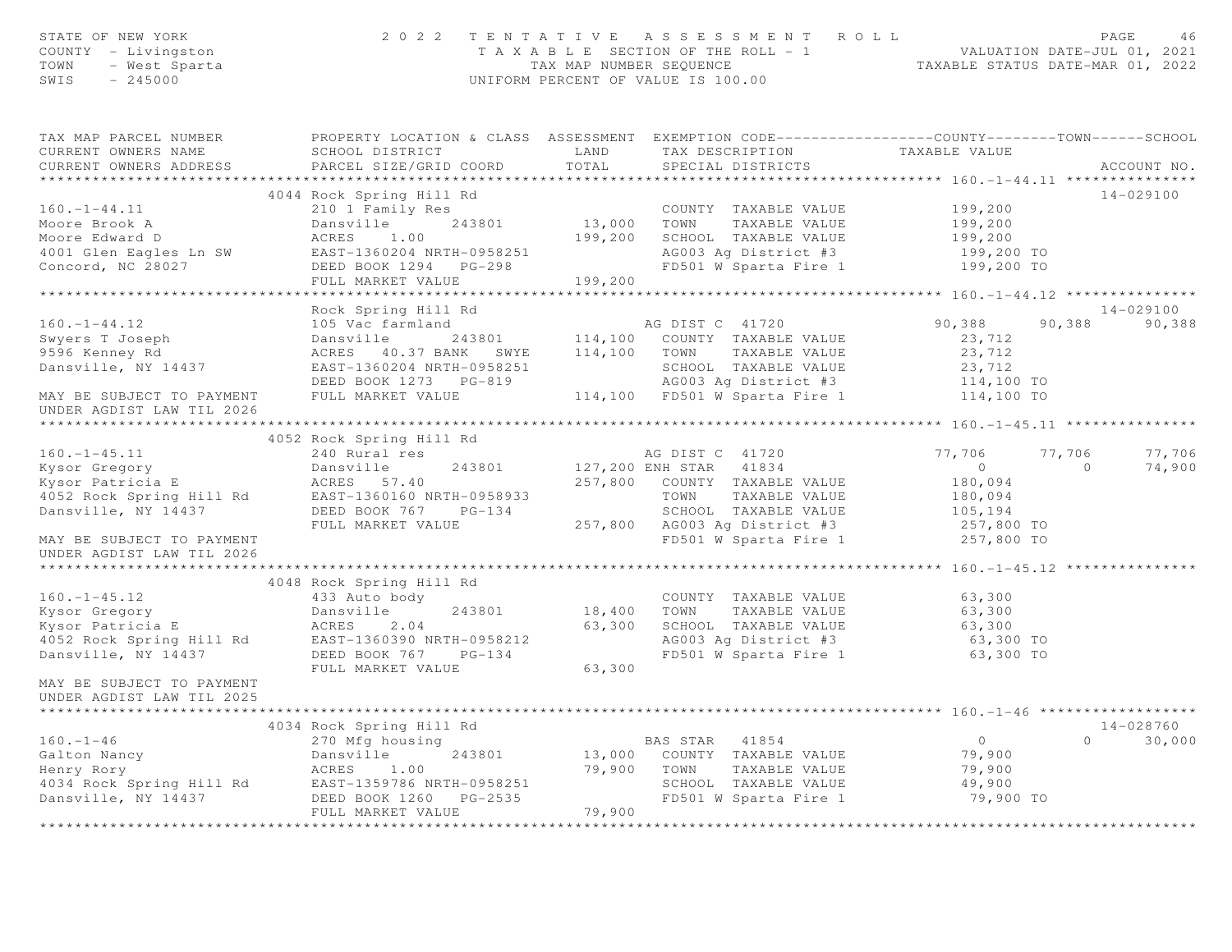| STATE OF NEW YORN<br>COUNTY - Livingston<br>TOWN - West Sparta                                                                                                                                                                                            |                                                                | UNIFORM PERCENT OF VALUE IS 100.00                                                                                                                                                                                                                                                                                                                                                      | 2022 TENTATIVE ASSESSMENT ROLL PAGE 46<br>TAXABLE SECTION OF THE ROLL - 1 VALUATION DATE-JUL 01, 2021<br>TAX MAP NUMBER SEQUENCE TAXABLE STATUS DATE-MAR 01, 2022 |
|-----------------------------------------------------------------------------------------------------------------------------------------------------------------------------------------------------------------------------------------------------------|----------------------------------------------------------------|-----------------------------------------------------------------------------------------------------------------------------------------------------------------------------------------------------------------------------------------------------------------------------------------------------------------------------------------------------------------------------------------|-------------------------------------------------------------------------------------------------------------------------------------------------------------------|
| TAX MAP PARCEL NUMBER<br>CURRENT OWNERS NAME<br>CURRENT OWNERS ADDRESS                                                                                                                                                                                    | SCHOOL DISTRICT<br>PARCEL SIZE/GRID COORD                      | LAND TAX DESCRIPTION TAXABLE VALUE<br>TOTAL<br>SPECIAL DISTRICTS                                                                                                                                                                                                                                                                                                                        | PROPERTY LOCATION & CLASS ASSESSMENT EXEMPTION CODE----------------COUNTY-------TOWN------SCHOOL<br>ACCOUNT NO.                                                   |
| $160. - 1 - 44.11$                                                                                                                                                                                                                                        | 4044 Rock Spring Hill Rd<br>FULL MARKET VALUE                  | Rock Spring Hill Rd<br>210 1 Family Res<br>Dansville 243801 13,000 TOWN TAXABLE VALUE<br>ACRES 1.00 199,200 SCHOOL TAXABLE VALUE<br>Moore Brook A<br>Moore Edward D<br>Moore Edward D<br>ACRES 1.00 199,200 SCHOOL TAXABLE VALUE 199,200<br>4001 Glen Eagles Ln SW EAST-1360204 NRTH-0958251 AG003 Ag District #3 199,200 199,200 TO<br>Concord, NC 28027 DEED BOOK 1294 PG-<br>199,200 | 14-029100<br>199,200                                                                                                                                              |
| $160. - 1 - 44.12$<br>Swyers T Joseph<br>9596 Kenney Rd<br>Dansville, NY 14437<br>MAY BE SUBJECT TO PAYMENT FULL MARKET VALUE<br>UNDER AGDIST LAW TIL 2026                                                                                                | Rock Spring Hill Rd<br>105 Vac farmland                        | AG DIST C 41720<br>Dansville 243801 114,100 COUNTY TAXABLE VALUE 23,712<br>ACRES 40.37 BANK SWYE 114,100 TOWN TAXABLE VALUE 23,712<br>EAST-1360204 NRTH-0958251 SCHOOL TAXABLE VALUE 23,712<br>DEED BOOK 1273 PG-819 AG003 Ag District #3 114,100 TO<br>F                                                                                                                               | 14-029100<br>90,388<br>90,388<br>90,388                                                                                                                           |
|                                                                                                                                                                                                                                                           | 4052 Rock Spring Hill Rd                                       | 160.-1-45.11 (1992 Nook of Press)<br>Mysor Gregory (1992 Nook of Paris 243801 (1993)<br>Mysor Patricia E (180,094 257,800 COUNTY TAXABLE VALUE 180,094<br>MO52 Rock Spring Hill Rd EAST-1360160 NRTH-0958933 (NOW TAXABLE VALUE 180,                                                                                                                                                    | 77,706<br>77,706<br>$\overline{0}$<br>74,900                                                                                                                      |
| UNDER AGDIST LAW TIL 2026<br>$160. - 1 - 45.12$<br>160.-1-45.12<br>Kysor Gregory<br>Kysor Patricia E (ACRES 2.04<br>4052 Rock Spring Hill Rd (BAST-1360390 NRTH-0958212<br>DEED BOOK 767 PG-134<br>MAY BE SUBJECT TO PAYMENT<br>UNDER AGDIST LAW TIL 2025 | 4048 Rock Spring Hill Rd<br>433 Auto body<br>FULL MARKET VALUE | COUNTY TAXABLE VALUE<br>243801 18,400 TOWN<br>63,300 SCHOOL TAXABLE VALUE 63,300<br>AG003 Ag District #3 63,300 TO<br>FD501 W Sparta Fire 1 63,300 TO<br>63,300                                                                                                                                                                                                                         | 63,300<br>TAXABLE VALUE 63,300<br>TAXABLE VALUE 63,300                                                                                                            |
| $160. - 1 - 46$                                                                                                                                                                                                                                           | FULL MARKET VALUE                                              | BAS STAR 41854<br>Galton Nancy<br>Henry Rory<br>Henry Rory<br>Henry Rory<br>ACRES 1.00<br>4034 Rock Spring Hill Rd<br>EAST-1359786 NRTH-0958251<br>Dansville, NY 14437<br>DEED BOOK 1260 PG-2535<br>FD501 W Sparta Fire 1<br>FIILL MARKET VALUE<br>FIILL MARKET VALUE<br><br>79,900<br>******************                                                                               | 14-028760<br>$\overline{0}$<br>$\Omega$<br>30,000<br>79,900<br>79,900<br>49,900<br>79,900 TO                                                                      |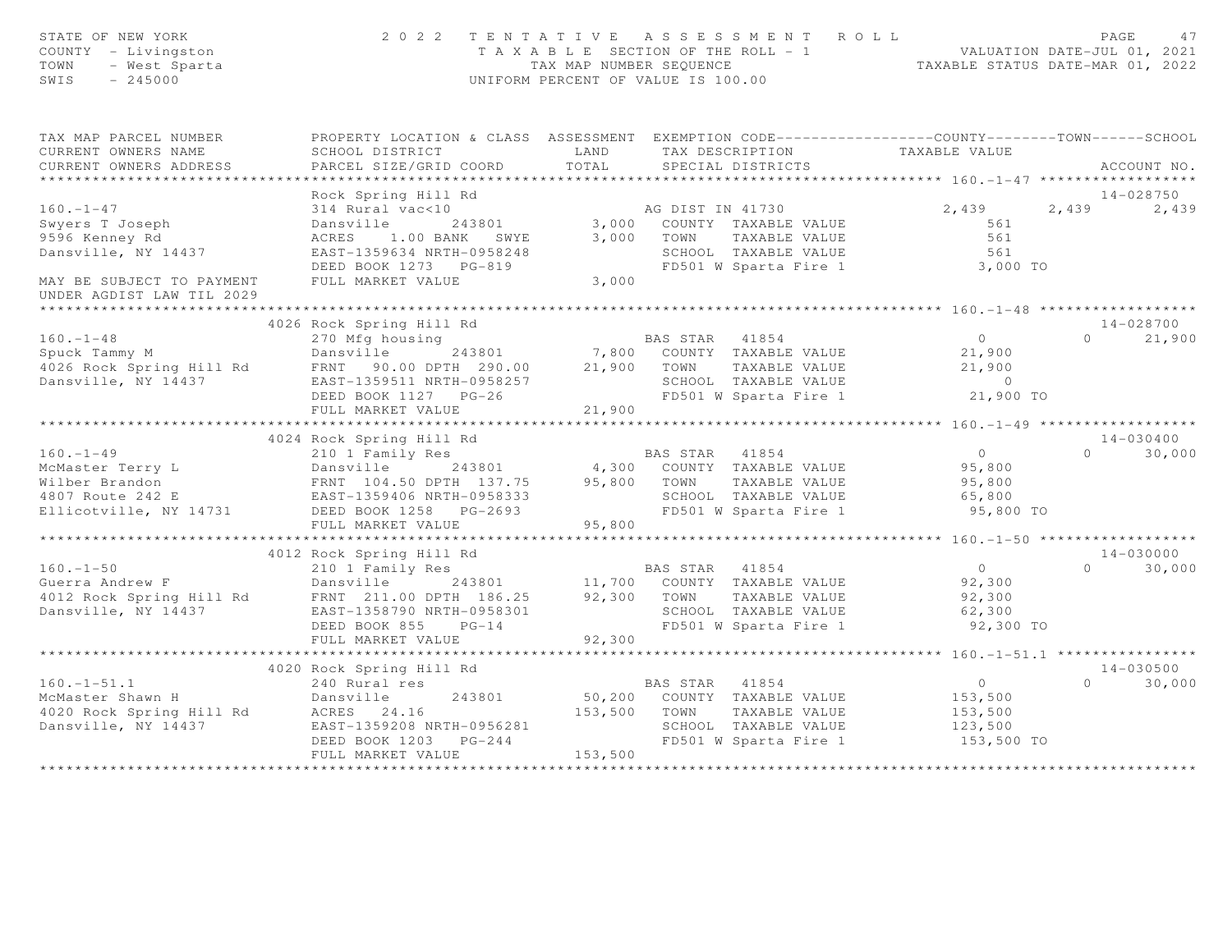| STATE OF NEW YORK<br>COUNTY - Livingston<br>OF NEW YORK<br>- Livingston<br>- West Sparta<br>245000<br>TOWN<br>SWIS                                                                                                                           | 2 0 2 2                                                                                                                                          |              | TENTATIVE ASSESSMENT ROLL<br>T A X A B L E SECTION OF THE ROLL - 1 VALUATION DATE-JUL 01, 2021<br>TAX MAP NUMBER SEQUENCE TAXABLE STATUS DATE-MAR 01, 2022<br>UNIFORM PERCENT OF VALUE IS 100.00 |                                                     | PAGE     | 47            |
|----------------------------------------------------------------------------------------------------------------------------------------------------------------------------------------------------------------------------------------------|--------------------------------------------------------------------------------------------------------------------------------------------------|--------------|--------------------------------------------------------------------------------------------------------------------------------------------------------------------------------------------------|-----------------------------------------------------|----------|---------------|
| TAX MAP PARCEL NUMBER THE PROPERTY LOCATION & CLASS ASSESSMENT EXEMPTION CODE---------------COUNTY--------TOWN------SCHOOL                                                                                                                   |                                                                                                                                                  |              |                                                                                                                                                                                                  |                                                     |          |               |
| CURRENT OWNERS NAME<br>CURRENT OWNERS ADDRESS                                                                                                                                                                                                | SCHOOL DISTRICT<br>PARCEL SIZE/GRID COORD                                                                                                        |              | LAND TAX DESCRIPTION TAXABLE VALUE COORD TOTAL SPECIAL DISTRICTS                                                                                                                                 |                                                     |          | ACCOUNT NO.   |
|                                                                                                                                                                                                                                              |                                                                                                                                                  |              |                                                                                                                                                                                                  |                                                     |          |               |
|                                                                                                                                                                                                                                              | Rock Spring Hill Rd                                                                                                                              |              |                                                                                                                                                                                                  |                                                     |          | $14 - 028750$ |
| $160. - 1 - 47$                                                                                                                                                                                                                              | AG DIST IN 41730<br>314 Rural vac<10<br>Dansville 243801 3,000 COUNTY TAXABLE VALUE<br>ACRES 1.00 BANK 3,000 TOWN TAXABLE VALUE<br>TAXABLE VALUE |              |                                                                                                                                                                                                  | 2,439 2,439 2,439                                   |          |               |
| Swyers T Joseph<br>9596 Kenney Rd                                                                                                                                                                                                            |                                                                                                                                                  |              |                                                                                                                                                                                                  | 561                                                 |          |               |
|                                                                                                                                                                                                                                              |                                                                                                                                                  |              |                                                                                                                                                                                                  | 561                                                 |          |               |
| Dansville, NY 14437                                                                                                                                                                                                                          | EAST-1359634 NRTH-0958248                                                                                                                        |              |                                                                                                                                                                                                  |                                                     |          |               |
| MAY BE SUBJECT TO PAYMENT                                                                                                                                                                                                                    | DEED BOOK 1273 PG-819<br>FULL MARKET VALUE                                                                                                       | 3,000        |                                                                                                                                                                                                  |                                                     |          |               |
| UNDER AGDIST LAW TIL 2029<br>* * * * * * * * * * * * * * * * * * * *                                                                                                                                                                         |                                                                                                                                                  |              |                                                                                                                                                                                                  |                                                     |          |               |
|                                                                                                                                                                                                                                              | 4026 Rock Spring Hill Rd                                                                                                                         |              |                                                                                                                                                                                                  |                                                     |          | 14-028700     |
| $160. - 1 - 48$                                                                                                                                                                                                                              | 270 Mfg housing                                                                                                                                  |              | BAS STAR 41854                                                                                                                                                                                   | $\overline{0}$                                      |          | $0 \t 21,900$ |
|                                                                                                                                                                                                                                              |                                                                                                                                                  |              |                                                                                                                                                                                                  |                                                     |          |               |
| 160.-1-48 270 Mfg housing BAS STAR 41854 0<br>Spuck Tammy M Dansville 243801 7,800 COUNTY TAXABLE VALUE 21,900<br>4026 Rock Spring Hill Rd FRNT 90.00 DPTH 290.00 21,900 TOWN TAXABLE VALUE 21,900                                           |                                                                                                                                                  |              |                                                                                                                                                                                                  |                                                     |          |               |
| Dansville, NY 14437                                                                                                                                                                                                                          | EAST-1359511 NRTH-0958257                                                                                                                        |              |                                                                                                                                                                                                  |                                                     |          |               |
|                                                                                                                                                                                                                                              | DEED BOOK 1127 PG-26                                                                                                                             |              |                                                                                                                                                                                                  |                                                     |          |               |
|                                                                                                                                                                                                                                              | FULL MARKET VALUE                                                                                                                                | 21,900       |                                                                                                                                                                                                  |                                                     |          |               |
| 4024 Rock Spring Hill Rd<br>4024 Rock Spring Hill Rd<br>210 1 Family Res<br>McMaster Terry L<br>Wilber Brandon Miner Brandon ENT 1054 (19958333)<br>4791 DEED BOOK 1258 PG-2693 (1906)<br>265,800 SCHOOL TAXABLE VALUE<br>265,800 SCHOOL TAX |                                                                                                                                                  |              |                                                                                                                                                                                                  |                                                     |          |               |
|                                                                                                                                                                                                                                              |                                                                                                                                                  |              |                                                                                                                                                                                                  |                                                     |          | 14-030400     |
|                                                                                                                                                                                                                                              |                                                                                                                                                  |              |                                                                                                                                                                                                  |                                                     |          | $0 \t 30,000$ |
|                                                                                                                                                                                                                                              |                                                                                                                                                  |              |                                                                                                                                                                                                  |                                                     |          |               |
|                                                                                                                                                                                                                                              |                                                                                                                                                  |              |                                                                                                                                                                                                  |                                                     |          |               |
|                                                                                                                                                                                                                                              |                                                                                                                                                  |              |                                                                                                                                                                                                  | 95,800 TO                                           |          |               |
|                                                                                                                                                                                                                                              |                                                                                                                                                  |              |                                                                                                                                                                                                  |                                                     |          |               |
|                                                                                                                                                                                                                                              |                                                                                                                                                  |              |                                                                                                                                                                                                  |                                                     |          |               |
|                                                                                                                                                                                                                                              | 4012 Rock Spring Hill Rd                                                                                                                         |              |                                                                                                                                                                                                  |                                                     |          | $14 - 030000$ |
| $160. - 1 - 50$                                                                                                                                                                                                                              |                                                                                                                                                  |              |                                                                                                                                                                                                  | $\overline{0}$                                      | $\Omega$ | 30,000        |
|                                                                                                                                                                                                                                              |                                                                                                                                                  |              |                                                                                                                                                                                                  |                                                     |          |               |
|                                                                                                                                                                                                                                              |                                                                                                                                                  |              |                                                                                                                                                                                                  | 92,300<br>92,300                                    |          |               |
|                                                                                                                                                                                                                                              |                                                                                                                                                  |              |                                                                                                                                                                                                  |                                                     |          |               |
|                                                                                                                                                                                                                                              | DEED BOOK 855 PG-14                                                                                                                              |              |                                                                                                                                                                                                  |                                                     |          |               |
|                                                                                                                                                                                                                                              | FULL MARKET VALUE                                                                                                                                | 92,300       |                                                                                                                                                                                                  |                                                     |          |               |
|                                                                                                                                                                                                                                              |                                                                                                                                                  |              |                                                                                                                                                                                                  | ********************* 160.-1-51.1 ***************** |          |               |
|                                                                                                                                                                                                                                              | 4020 Rock Spring Hill Rd                                                                                                                         |              |                                                                                                                                                                                                  |                                                     |          | $14 - 030500$ |
|                                                                                                                                                                                                                                              |                                                                                                                                                  |              | BAS STAR 41854                                                                                                                                                                                   | $\overline{0}$<br>153,500                           | $\Omega$ | 30,000        |
| Notice of the specific term of the specific specific term of the specific specifies of the specific specifies of the specifies of the specifies of the specifies of the specifies of the specifies of the specifies of the spe               |                                                                                                                                                  |              |                                                                                                                                                                                                  |                                                     |          |               |
|                                                                                                                                                                                                                                              |                                                                                                                                                  | 153,500 TOWN | TAXABLE VALUE<br>SCHOOL TAXABLE VALUE 123,500                                                                                                                                                    | 153,500                                             |          |               |
|                                                                                                                                                                                                                                              | EAST-1359208 NRTH-0956281<br>DEED BOOK 1203 PG-244                                                                                               |              | FD501 W Sparta Fire 1                                                                                                                                                                            | 153,500 TO                                          |          |               |
|                                                                                                                                                                                                                                              | FULL MARKET VALUE                                                                                                                                | 153,500      |                                                                                                                                                                                                  |                                                     |          |               |
|                                                                                                                                                                                                                                              |                                                                                                                                                  |              |                                                                                                                                                                                                  |                                                     |          |               |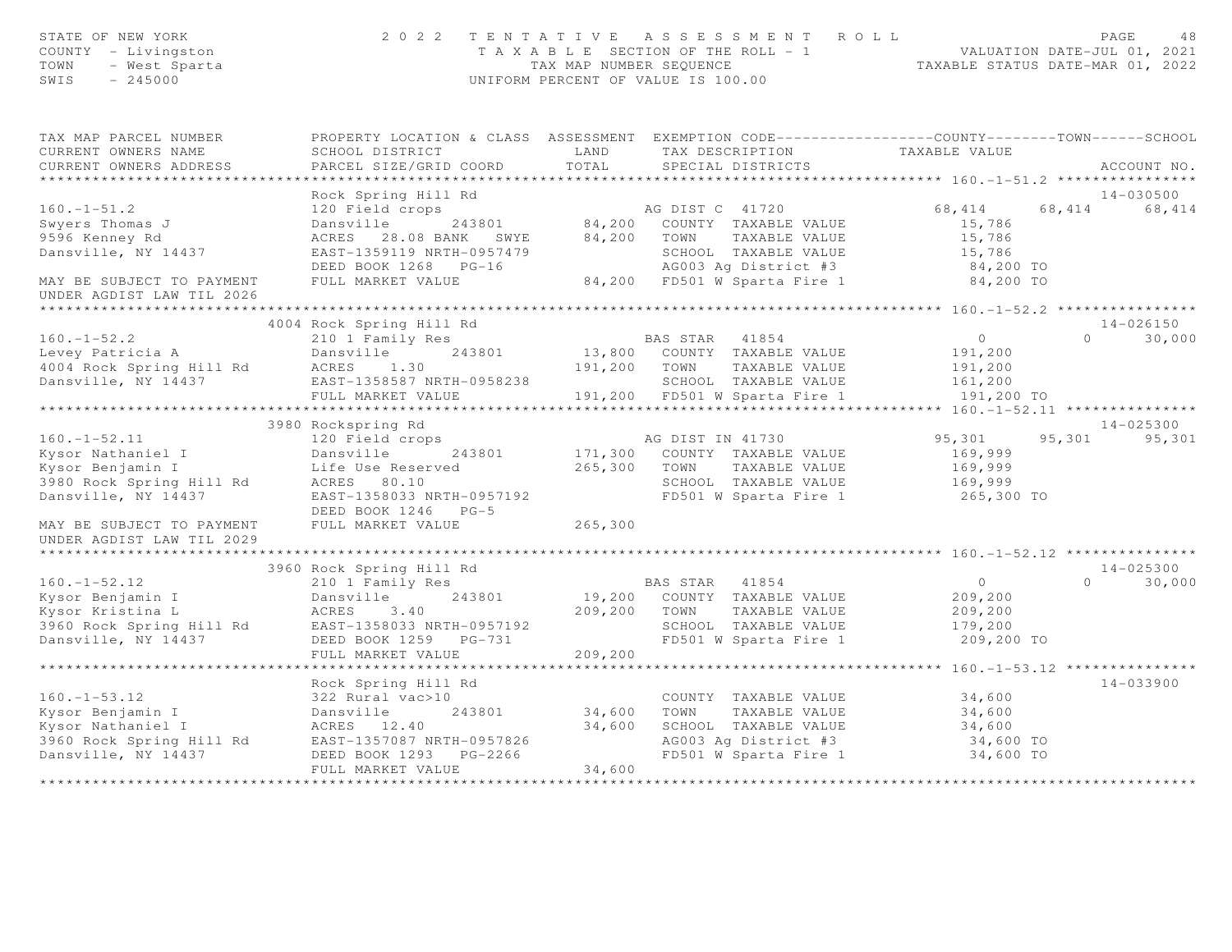| STATE OF NEW YORK<br>COUNTY - Livingston<br>TOWN - West Sparta<br>245000                                                                                                                                                                     |                                                                                                                                                                                                                                    |         | 2022 TENTATIVE ASSESSMENT ROLL<br>T A X A B L E SECTION OF THE ROLL - 1<br>TAX MAP NUMBER SEQUENCE<br>TAXABLE STATUS DATE-MAR 01, 2022<br>UNIFORM PERCENT OF VALUE IS 100.00 |                | PAGE<br>48       |
|----------------------------------------------------------------------------------------------------------------------------------------------------------------------------------------------------------------------------------------------|------------------------------------------------------------------------------------------------------------------------------------------------------------------------------------------------------------------------------------|---------|------------------------------------------------------------------------------------------------------------------------------------------------------------------------------|----------------|------------------|
| TAX MAP PARCEL NUMBER                                                                                                                                                                                                                        | PROPERTY LOCATION & CLASS ASSESSMENT EXEMPTION CODE----------------COUNTY-------TOWN------SCHOOL                                                                                                                                   |         |                                                                                                                                                                              |                |                  |
| CURRENT OWNERS NAME                                                                                                                                                                                                                          | <b>LAND</b><br>SCHOOL DISTRICT                                                                                                                                                                                                     |         | TAX DESCRIPTION TAXABLE VALUE<br>SPECIAL DISTRICTS                                                                                                                           |                |                  |
| CURRENT OWNERS ADDRESS                                                                                                                                                                                                                       | PARCEL SIZE/GRID COORD                                                                                                                                                                                                             | TOTAL   |                                                                                                                                                                              |                | ACCOUNT NO.      |
|                                                                                                                                                                                                                                              | Rock Spring Hill Rd                                                                                                                                                                                                                |         |                                                                                                                                                                              |                | 14-030500        |
| $160. - 1 - 51.2$                                                                                                                                                                                                                            |                                                                                                                                                                                                                                    |         |                                                                                                                                                                              | 68,414         | 68,414<br>68,414 |
|                                                                                                                                                                                                                                              | 120 Field crops<br>120 Field crops<br>243801 84,200 COUNTY TAXABLE VALUE                                                                                                                                                           |         |                                                                                                                                                                              | 15,786         |                  |
| 160.-1-Ji.<br>Swyers Thomas J<br>Thomas Rd                                                                                                                                                                                                   |                                                                                                                                                                                                                                    |         |                                                                                                                                                                              |                |                  |
| Dansville, NY 14437                                                                                                                                                                                                                          |                                                                                                                                                                                                                                    |         |                                                                                                                                                                              |                |                  |
|                                                                                                                                                                                                                                              |                                                                                                                                                                                                                                    |         |                                                                                                                                                                              |                |                  |
| MAY BE SUBJECT TO PAYMENT<br>UNDER AGDIST LAW TIL 2026                                                                                                                                                                                       | ACRES 28.08 BANK SWYE 84,200 COMM TAXABLE VALUE 15,786<br>EAST-1359119 NRTH-0957479 SCHOOL TAXABLE VALUE 15,786<br>DEED BOOK 1268 PG-16 AG003 Ag District #3 84,200 TO<br>FULL MARKET VALUE 84,200 FD501 W Sparta Fire 1 84,200 TO |         |                                                                                                                                                                              |                |                  |
|                                                                                                                                                                                                                                              |                                                                                                                                                                                                                                    |         |                                                                                                                                                                              |                |                  |
|                                                                                                                                                                                                                                              | 4004 Rock Spring Hill Rd                                                                                                                                                                                                           |         |                                                                                                                                                                              |                | 14-026150        |
| 160.-1-52.2<br>Levey Patricia A 210 1 Family Res<br>4004 Rock Spring Hill Rd ACRES 1.30<br>Dansville, NY 14437<br>EAS 243801 13,800 COUNTY TAXABLE VALUE<br>243801 13,800 COUNTY TAXABLE VALUE<br>191,200 TOWN TAXABLE VALUE<br>SCHOOL TAXAB |                                                                                                                                                                                                                                    |         |                                                                                                                                                                              | $\overline{0}$ | $0 \t 30,000$    |
|                                                                                                                                                                                                                                              |                                                                                                                                                                                                                                    |         |                                                                                                                                                                              | 191,200        |                  |
|                                                                                                                                                                                                                                              |                                                                                                                                                                                                                                    |         |                                                                                                                                                                              | 191,200        |                  |
|                                                                                                                                                                                                                                              | EAST-1358587 NRTH-0958238<br>FULL MARKET VALUE 161,200<br>FULL MARKET VALUE 191,200 FD501 W Sparta Fire 1 191,200 TO                                                                                                               |         |                                                                                                                                                                              |                |                  |
|                                                                                                                                                                                                                                              |                                                                                                                                                                                                                                    |         |                                                                                                                                                                              |                |                  |
|                                                                                                                                                                                                                                              |                                                                                                                                                                                                                                    |         |                                                                                                                                                                              |                |                  |
| 3980 Rockspring Rd 160.-1-52.11<br>20 Field crops<br>243801 171,300 COUNTY TAXABLE VALUE<br>243801 171,300 COUNTY TAXABLE VALUE<br>265,300 TOWN TAXABLE VALUE<br>3980 Rock Spring Hill Rd 265,300 TOWN TAXABLE VALUE<br>265,300 TOWN TAXAB   | 3980 Rockspring Rd                                                                                                                                                                                                                 |         |                                                                                                                                                                              |                | 14-025300        |
|                                                                                                                                                                                                                                              |                                                                                                                                                                                                                                    |         |                                                                                                                                                                              | 95,301         | 95,301 95,301    |
|                                                                                                                                                                                                                                              |                                                                                                                                                                                                                                    |         |                                                                                                                                                                              | 169,999        |                  |
|                                                                                                                                                                                                                                              |                                                                                                                                                                                                                                    |         | 265,300 TOWN TAXABLE VALUE                                                                                                                                                   | 169,999        |                  |
|                                                                                                                                                                                                                                              |                                                                                                                                                                                                                                    |         |                                                                                                                                                                              |                |                  |
|                                                                                                                                                                                                                                              | DEED BOOK 1246 PG-5                                                                                                                                                                                                                |         |                                                                                                                                                                              |                |                  |
| MAY BE SUBJECT TO PAYMENT                                                                                                                                                                                                                    | FULL MARKET VALUE                                                                                                                                                                                                                  | 265,300 |                                                                                                                                                                              |                |                  |
| UNDER AGDIST LAW TIL 2029                                                                                                                                                                                                                    |                                                                                                                                                                                                                                    |         |                                                                                                                                                                              |                |                  |
|                                                                                                                                                                                                                                              |                                                                                                                                                                                                                                    |         |                                                                                                                                                                              |                |                  |
|                                                                                                                                                                                                                                              | 3960 Rock Spring Hill Rd                                                                                                                                                                                                           |         |                                                                                                                                                                              |                | 14-025300        |
|                                                                                                                                                                                                                                              |                                                                                                                                                                                                                                    |         |                                                                                                                                                                              | $\overline{0}$ | $0 \t 30,000$    |
|                                                                                                                                                                                                                                              |                                                                                                                                                                                                                                    |         |                                                                                                                                                                              | 209,200        |                  |
| Expansive to the Magnetic Corporation of the Magnetic Corporation of the Magnetic Corporation of the Magnetic Corporation of the Magnetic Corporation of the Magnetic Corporation of the Magnetic Corporation of the Magnetic                |                                                                                                                                                                                                                                    |         |                                                                                                                                                                              | 209,200        |                  |
|                                                                                                                                                                                                                                              |                                                                                                                                                                                                                                    |         | SCHOOL TAXABLE VALUE 179,200                                                                                                                                                 |                |                  |
|                                                                                                                                                                                                                                              |                                                                                                                                                                                                                                    |         |                                                                                                                                                                              | 209,200 TO     |                  |
|                                                                                                                                                                                                                                              | FULL MARKET VALUE                                                                                                                                                                                                                  | 209,200 |                                                                                                                                                                              |                |                  |
|                                                                                                                                                                                                                                              |                                                                                                                                                                                                                                    |         |                                                                                                                                                                              |                |                  |
|                                                                                                                                                                                                                                              | Rock Spring Hill Rd                                                                                                                                                                                                                |         |                                                                                                                                                                              |                | $14 - 033900$    |
| $160. - 1 - 53.12$                                                                                                                                                                                                                           | 322 Rural vac>10<br>Dansville 243801 34,600 TOWN TAXABLE VALUE                                                                                                                                                                     |         | COUNTY TAXABLE VALUE 34,600<br>TOWN TAXABLE VALUE 34,600                                                                                                                     |                |                  |
| Kysor Benjamin I<br>Kysor Benjamin I<br>Kysor Nathaniel I<br>3960 Rock Spring Hill Rd                                                                                                                                                        |                                                                                                                                                                                                                                    |         |                                                                                                                                                                              |                |                  |
|                                                                                                                                                                                                                                              | ACRES 12.40                                                                                                                                                                                                                        |         |                                                                                                                                                                              |                |                  |
|                                                                                                                                                                                                                                              | EAST-1357087 NRTH-0957826                                                                                                                                                                                                          | 34,600  | SCHOOL TAXABLE VALUE 34,600<br>AG003 Ag District #3 34,600 TO<br>FD501 M Coorte Times                                                                                        |                |                  |
| Dansville, NY 14437                                                                                                                                                                                                                          | DEED BOOK 1293 PG-2266<br>FULL MARKET VALUE                                                                                                                                                                                        | 34,600  | FD501 W Sparta Fire 1                                                                                                                                                        | 34,600 TO      |                  |
|                                                                                                                                                                                                                                              |                                                                                                                                                                                                                                    |         |                                                                                                                                                                              |                |                  |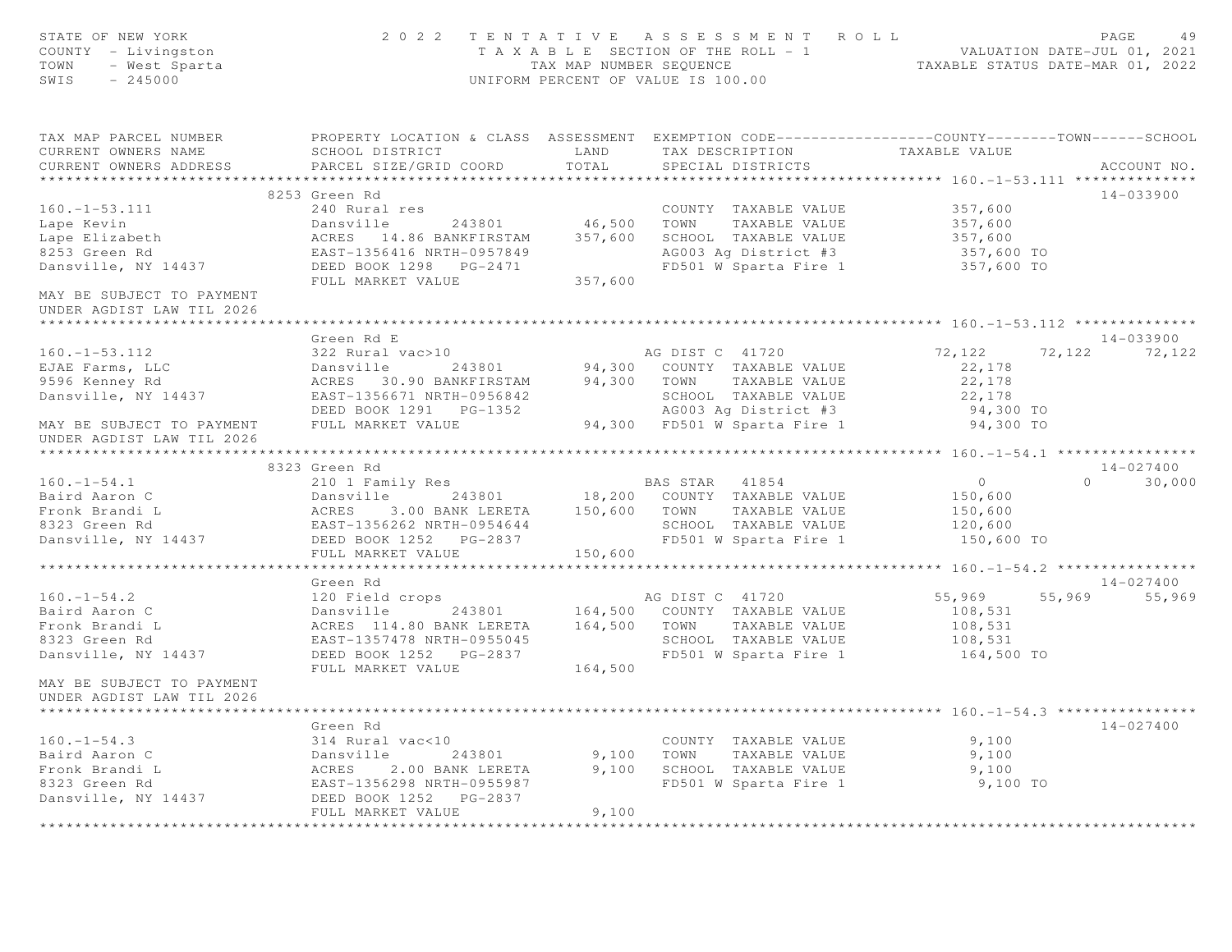| STATE OF NEW YORK<br>COUNTY - Livingston<br>TOWN<br>- West Sparta<br>SWIS<br>$-245000$                                                                |                                                                                                                                                     |         | 2022 TENTATIVE ASSESSMENT ROLL<br>UNIFORM PERCENT OF VALUE IS 100.00 | T A X A B L E SECTION OF THE ROLL - 1<br>T A X A B L E SECTION OF THE ROLL - 1<br>TAXABLE STATUS DATE-MAR 01, 2022 |                 | PAGE<br>49    |
|-------------------------------------------------------------------------------------------------------------------------------------------------------|-----------------------------------------------------------------------------------------------------------------------------------------------------|---------|----------------------------------------------------------------------|--------------------------------------------------------------------------------------------------------------------|-----------------|---------------|
| TAX MAP PARCEL NUMBER THE PROPERTY LOCATION & CLASS ASSESSMENT EXEMPTION CODE---------------COUNTY-------TOWN------SCHOOL<br>CURRENT OWNERS NAME      | SCHOOL DISTRICT                                                                                                                                     | LAND    |                                                                      | TAX DESCRIPTION TAXABLE VALUE                                                                                      |                 |               |
| CURRENT OWNERS ADDRESS<br>***********************                                                                                                     | PARCEL SIZE/GRID COORD                                                                                                                              | TOTAL   | SPECIAL DISTRICTS                                                    |                                                                                                                    |                 | ACCOUNT NO.   |
|                                                                                                                                                       | 8253 Green Rd                                                                                                                                       |         |                                                                      |                                                                                                                    |                 | 14-033900     |
| $160. - 1 - 53.111$                                                                                                                                   | 240 Rural res                                                                                                                                       |         | COUNTY TAXABLE VALUE                                                 | 357,600                                                                                                            |                 |               |
| Lape Kevin                                                                                                                                            | Dansville 243801 46,500 TOWN TAXABLE VALUE                                                                                                          |         |                                                                      | 357,600                                                                                                            |                 |               |
|                                                                                                                                                       |                                                                                                                                                     |         | SCHOOL TAXABLE VALUE                                                 | 357,600                                                                                                            |                 |               |
| Lape Elizabeth<br>8253 Green Rd                                                                                                                       |                                                                                                                                                     |         | AG003 Ag District #3                                                 | 357,600 TO                                                                                                         |                 |               |
| Dansville, NY 14437                                                                                                                                   | EAST-1356416 NRTH-0957849<br>DEED BOOK 1298 PG-2471                                                                                                 |         | FD501 W Sparta Fire 1                                                | 357,600 TO                                                                                                         |                 |               |
|                                                                                                                                                       | FULL MARKET VALUE                                                                                                                                   | 357,600 |                                                                      |                                                                                                                    |                 |               |
| MAY BE SUBJECT TO PAYMENT                                                                                                                             |                                                                                                                                                     |         |                                                                      |                                                                                                                    |                 |               |
| UNDER AGDIST LAW TIL 2026                                                                                                                             |                                                                                                                                                     |         |                                                                      |                                                                                                                    |                 |               |
|                                                                                                                                                       |                                                                                                                                                     |         |                                                                      |                                                                                                                    |                 |               |
|                                                                                                                                                       | Green Rd E                                                                                                                                          |         |                                                                      |                                                                                                                    |                 | $14 - 033900$ |
| $160. - 1 - 53.112$                                                                                                                                   | 322 Rural vac>10                                                                                                                                    |         | AG DIST C 41720                                                      | 72,122                                                                                                             | 72, 122 72, 122 |               |
| EJAE Farms, LLC                                                                                                                                       |                                                                                                                                                     |         |                                                                      | 22,178                                                                                                             |                 |               |
| 9596 Kenney Rd                                                                                                                                        | Dansville 243801 94,300 COUNTY TAXABLE VALUE<br>ACRES 30.90 BANKFIRSTAM 94,300 TOWN TAXABLE VALUE<br>EAST-1356671 NRTH-0956842 SCHOOL TAXABLE VALUE |         |                                                                      | 22,178                                                                                                             |                 |               |
| Dansville, NY 14437                                                                                                                                   |                                                                                                                                                     |         | SCHOOL TAXABLE VALUE                                                 | 22,178                                                                                                             |                 |               |
|                                                                                                                                                       | DEED BOOK 1291    PG-1352                                                                                                                           |         | SCHOOL TAXABLE VALUE<br>AGOO3 Ag District #3                         | 94,300 TO                                                                                                          |                 |               |
| MAY BE SUBJECT TO PAYMENT                                                                                                                             | FULL MARKET VALUE                                                                                                                                   |         | 94,300 FD501 W Sparta Fire 1                                         | 94,300 TO                                                                                                          |                 |               |
| UNDER AGDIST LAW TIL 2026                                                                                                                             |                                                                                                                                                     |         |                                                                      |                                                                                                                    |                 |               |
|                                                                                                                                                       |                                                                                                                                                     |         |                                                                      |                                                                                                                    |                 | $14 - 027400$ |
| $160. - 1 - 54.1$                                                                                                                                     | 8323 Green Rd<br>210 1 Family Res                                                                                                                   |         | BAS STAR 41854                                                       | $\overline{0}$                                                                                                     |                 | $0 \t 30,000$ |
|                                                                                                                                                       | Dansville 243801 18,200 COUNTY TAXABLE VALUE                                                                                                        |         |                                                                      | 150,600                                                                                                            |                 |               |
|                                                                                                                                                       | 3.00 BANK LERETA 150,600 TOWN                                                                                                                       |         | TAXABLE VALUE                                                        | 150,600                                                                                                            |                 |               |
|                                                                                                                                                       |                                                                                                                                                     |         |                                                                      | 120,600                                                                                                            |                 |               |
| Paird Aaron C<br>Fronk Brandi L<br>8323 Green Rd<br>Dansville, NY 14437<br>DEED BOOK 1252 PG-2837<br>DEED BOOK 1252 PG-2837<br>DEED BOOK 1252 PG-2837 |                                                                                                                                                     |         | SCHOOL TAXABLE VALUE<br>FD501 W Sparta Fire 1                        | 150,600 TO                                                                                                         |                 |               |
|                                                                                                                                                       | FULL MARKET VALUE                                                                                                                                   | 150,600 |                                                                      |                                                                                                                    |                 |               |
|                                                                                                                                                       |                                                                                                                                                     |         |                                                                      |                                                                                                                    |                 |               |
|                                                                                                                                                       | Green Rd                                                                                                                                            |         |                                                                      |                                                                                                                    |                 | 14-027400     |
| $160. - 1 - 54.2$                                                                                                                                     |                                                                                                                                                     |         |                                                                      | 55,969                                                                                                             |                 | 55,969 55,969 |
| Baird Aaron C                                                                                                                                         |                                                                                                                                                     |         |                                                                      | 108,531                                                                                                            |                 |               |
| Fronk Brandi L                                                                                                                                        |                                                                                                                                                     |         |                                                                      | 108,531                                                                                                            |                 |               |
| 8323 Green Rd                                                                                                                                         | EAST-1357478 NRTH-0955045                                                                                                                           |         | SCHOOL TAXABLE VALUE                                                 | 108,531                                                                                                            |                 |               |
| Dansville, NY 14437                                                                                                                                   | DEED BOOK 1252 PG-2837                                                                                                                              |         | FD501 W Sparta Fire 1                                                | 164,500 TO                                                                                                         |                 |               |
|                                                                                                                                                       | FULL MARKET VALUE                                                                                                                                   | 164,500 |                                                                      |                                                                                                                    |                 |               |
| MAY BE SUBJECT TO PAYMENT                                                                                                                             |                                                                                                                                                     |         |                                                                      |                                                                                                                    |                 |               |
| UNDER AGDIST LAW TIL 2026                                                                                                                             |                                                                                                                                                     |         |                                                                      |                                                                                                                    |                 |               |
|                                                                                                                                                       |                                                                                                                                                     |         |                                                                      |                                                                                                                    |                 |               |
|                                                                                                                                                       | Green Rd                                                                                                                                            |         |                                                                      |                                                                                                                    |                 | 14-027400     |
| $160. - 1 - 54.3$                                                                                                                                     | 314 Rural vac<10                                                                                                                                    |         | COUNTY TAXABLE VALUE                                                 | 9,100                                                                                                              |                 |               |
| Baird Aaron C                                                                                                                                         |                                                                                                                                                     | 9,100   | TOWN<br>TAXABLE VALUE                                                | 9,100                                                                                                              |                 |               |
| Fronk Brandi L<br>8323 Green Rd                                                                                                                       | Dansville 243801<br>ACRES 2.00 BANK LERETA<br>EAST-1356298 NRTH-0955987<br>2.00 BANK LERETA<br>2008 NPTH 0055007                                    |         | 9,100 SCHOOL TAXABLE VALUE                                           | 9,100                                                                                                              |                 |               |
| Dansville, NY 14437                                                                                                                                   | DEED BOOK 1252 PG-2837                                                                                                                              |         | FD501 W Sparta Fire 1                                                | 9,100 TO                                                                                                           |                 |               |
|                                                                                                                                                       | FULL MARKET VALUE                                                                                                                                   | 9,100   |                                                                      |                                                                                                                    |                 |               |
|                                                                                                                                                       |                                                                                                                                                     |         |                                                                      |                                                                                                                    |                 |               |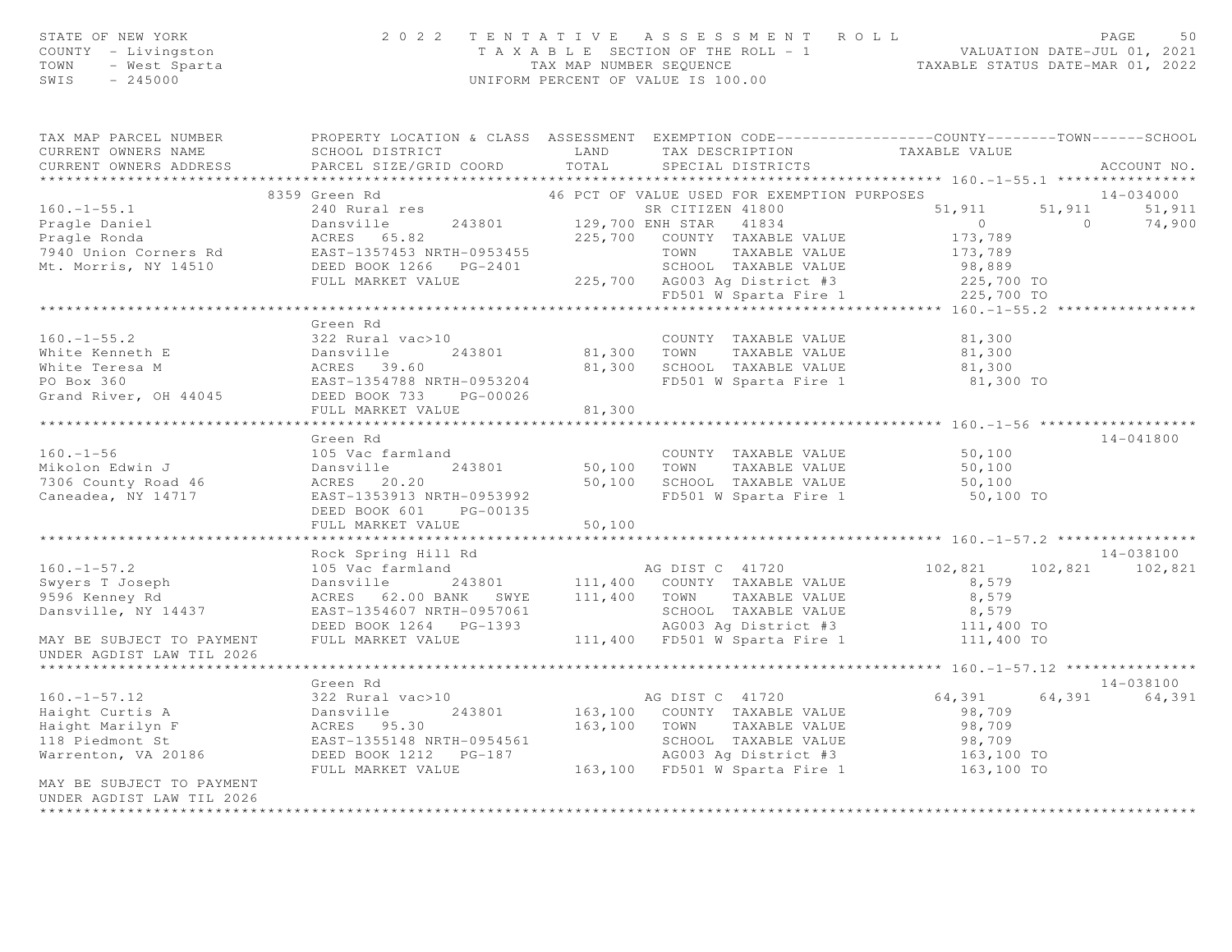| STATE OF NEW YORK                                                                                                                                                                                                                         | 2 0 2 2                                                                                                                                                                                            | TENTATIVE               | A S S E S S M E N T A O L L                                                                                                                                         |                      |                | PAGE<br>50      |
|-------------------------------------------------------------------------------------------------------------------------------------------------------------------------------------------------------------------------------------------|----------------------------------------------------------------------------------------------------------------------------------------------------------------------------------------------------|-------------------------|---------------------------------------------------------------------------------------------------------------------------------------------------------------------|----------------------|----------------|-----------------|
| COUNTY - Livingston                                                                                                                                                                                                                       |                                                                                                                                                                                                    |                         | T A X A B L E SECTION OF THE ROLL - 1 WALUATION DATE-JUL 01, 2021<br>TAX MAP NUMBER SEQUENCE TAXABLE STATUS DATE-MAR 01, 2022<br>UNIFORM PERCENT OF VALUE IS 100.00 |                      |                |                 |
| TOWN<br>- West Sparta                                                                                                                                                                                                                     |                                                                                                                                                                                                    |                         |                                                                                                                                                                     |                      |                |                 |
| SWIS<br>$-245000$                                                                                                                                                                                                                         |                                                                                                                                                                                                    |                         |                                                                                                                                                                     |                      |                |                 |
|                                                                                                                                                                                                                                           |                                                                                                                                                                                                    |                         |                                                                                                                                                                     |                      |                |                 |
| TAX MAP PARCEL NUMBER                                                                                                                                                                                                                     | PROPERTY LOCATION & CLASS ASSESSMENT EXEMPTION CODE----------------COUNTY-------TOWN------SCHOOL                                                                                                   |                         |                                                                                                                                                                     |                      |                |                 |
| CURRENT OWNERS NAME                                                                                                                                                                                                                       | SCHOOL DISTRICT                                                                                                                                                                                    | LAND                    | TAX DESCRIPTION TAXABLE VALUE                                                                                                                                       |                      |                |                 |
| CURRENT OWNERS ADDRESS                                                                                                                                                                                                                    | PARCEL SIZE/GRID COORD                                                                                                                                                                             | TOTAL                   | SPECIAL DISTRICTS                                                                                                                                                   |                      |                | ACCOUNT NO.     |
|                                                                                                                                                                                                                                           |                                                                                                                                                                                                    |                         |                                                                                                                                                                     |                      |                |                 |
|                                                                                                                                                                                                                                           | 8359 Green Rd                                                                                                                                                                                      |                         | 46 PCT OF VALUE USED FOR EXEMPTION PURPOSES                                                                                                                         |                      |                | 14-034000       |
| $160. - 1 - 55.1$                                                                                                                                                                                                                         | 240 Rural res                                                                                                                                                                                      |                         | SR CITIZEN 41800                                                                                                                                                    | 51,911               | 51,911         | 51,911          |
| Pragle Daniel<br>Pragle Ronda                                                                                                                                                                                                             | Dansville                                                                                                                                                                                          | 243801 129,700 ENH STAR | 41834                                                                                                                                                               | $\overline{0}$       | $\overline{a}$ | 74,900          |
|                                                                                                                                                                                                                                           |                                                                                                                                                                                                    |                         |                                                                                                                                                                     | 173,789              |                |                 |
|                                                                                                                                                                                                                                           |                                                                                                                                                                                                    |                         |                                                                                                                                                                     | 173,789              |                |                 |
|                                                                                                                                                                                                                                           |                                                                                                                                                                                                    |                         |                                                                                                                                                                     | 98,889<br>225,700 TO |                |                 |
|                                                                                                                                                                                                                                           |                                                                                                                                                                                                    |                         |                                                                                                                                                                     |                      |                |                 |
| Pragle Daniel (1991)<br>Pragle Ronda (1994)<br>Mt. Morris, NY 14510 (1995) DEED BOOK 1266 PG-2401 (225,700 AG003 Ag District #3<br>FULL MARKET VALUE (225,700 AG003 Ag District #3<br>FULL MARKET VALUE (225,700 AG003 Ag District #3<br> |                                                                                                                                                                                                    |                         |                                                                                                                                                                     | 225,700 TO           |                |                 |
|                                                                                                                                                                                                                                           |                                                                                                                                                                                                    |                         |                                                                                                                                                                     |                      |                |                 |
|                                                                                                                                                                                                                                           | Green Rd                                                                                                                                                                                           |                         |                                                                                                                                                                     |                      |                |                 |
| $160. - 1 - 55.2$                                                                                                                                                                                                                         | 322 Rural vac>10                                                                                                                                                                                   |                         | COUNTY TAXABLE VALUE                                                                                                                                                | 81,300               |                |                 |
|                                                                                                                                                                                                                                           | 243801                                                                                                                                                                                             | 81,300 TOWN             | TAXABLE VALUE                                                                                                                                                       | 81,300               |                |                 |
| 160.-1-55.2<br>White Kenneth E 243801<br>White Teresa M 2008 243801<br>PO Box 360<br>Grand River, OH 44045<br>SEED BOOK 733<br>PG-00026                                                                                                   |                                                                                                                                                                                                    |                         | 81,300 SCHOOL TAXABLE VALUE 81,300<br>FD501 W Sparta Fire 1 81,300 TO                                                                                               |                      |                |                 |
|                                                                                                                                                                                                                                           |                                                                                                                                                                                                    |                         |                                                                                                                                                                     |                      |                |                 |
|                                                                                                                                                                                                                                           |                                                                                                                                                                                                    |                         |                                                                                                                                                                     |                      |                |                 |
|                                                                                                                                                                                                                                           | FULL MARKET VALUE                                                                                                                                                                                  | 81,300                  |                                                                                                                                                                     |                      |                |                 |
|                                                                                                                                                                                                                                           | Green Rd                                                                                                                                                                                           |                         |                                                                                                                                                                     |                      |                | 14-041800       |
| $160. - 1 - 56$                                                                                                                                                                                                                           | 105 Vac farmland                                                                                                                                                                                   |                         | COUNTY TAXABLE VALUE                                                                                                                                                | 50,100               |                |                 |
| Mikolon Edwin J                                                                                                                                                                                                                           | 243801                                                                                                                                                                                             | $50,100$ TOWN           | TAXABLE VALUE                                                                                                                                                       | 50, 100              |                |                 |
|                                                                                                                                                                                                                                           | Dansville<br>ACRES 20.20                                                                                                                                                                           |                         | 50,100 SCHOOL TAXABLE VALUE                                                                                                                                         | 50,100               |                |                 |
| 7306 County Road 46<br>Caneadea, NY 14717                                                                                                                                                                                                 | EAST-1353913 NRTH-0953992                                                                                                                                                                          |                         | FD501 W Sparta Fire 1                                                                                                                                               | 50,100 TO            |                |                 |
|                                                                                                                                                                                                                                           | DEED BOOK 601<br>PG-00135                                                                                                                                                                          |                         |                                                                                                                                                                     |                      |                |                 |
|                                                                                                                                                                                                                                           | FULL MARKET VALUE                                                                                                                                                                                  | 50,100                  |                                                                                                                                                                     |                      |                |                 |
|                                                                                                                                                                                                                                           |                                                                                                                                                                                                    |                         |                                                                                                                                                                     |                      |                |                 |
|                                                                                                                                                                                                                                           | Rock Spring Hill Rd                                                                                                                                                                                |                         |                                                                                                                                                                     |                      |                | 14-038100       |
| $160. - 1 - 57.2$                                                                                                                                                                                                                         | 105 Vac farmland                                                                                                                                                                                   |                         | AG DIST C 41720                                                                                                                                                     | 102,821              |                | 102,821 102,821 |
| $S$ wyers $T$ Joseph<br>0506 Konov Dd                                                                                                                                                                                                     |                                                                                                                                                                                                    |                         |                                                                                                                                                                     | 8,579                |                |                 |
| 9596 Kenney Rd                                                                                                                                                                                                                            |                                                                                                                                                                                                    |                         |                                                                                                                                                                     | 8,579                |                |                 |
| Dansville, NY 14437                                                                                                                                                                                                                       | Dansville 243801 111,400 COUNTY TAXABLE VALUE<br>ACRES 62.00 BANK SWYE 111,400 TOWN TAXABLE VALUE<br>EAST-1354607 NRTH-0957061 SCHOOL TAXABLE VALUE<br>DEED BOOK 1264 PG-1393 AG003 Ag District #3 |                         |                                                                                                                                                                     | 8,579                |                |                 |
|                                                                                                                                                                                                                                           |                                                                                                                                                                                                    |                         |                                                                                                                                                                     | 111,400 TO           |                |                 |
| MAY BE SUBJECT TO PAYMENT                                                                                                                                                                                                                 | FULL MARKET VALUE                                                                                                                                                                                  |                         | 111,400 FD501 W Sparta Fire 1                                                                                                                                       | 111,400 TO           |                |                 |
| UNDER AGDIST LAW TIL 2026                                                                                                                                                                                                                 |                                                                                                                                                                                                    |                         |                                                                                                                                                                     |                      |                |                 |
|                                                                                                                                                                                                                                           |                                                                                                                                                                                                    |                         |                                                                                                                                                                     |                      |                |                 |
|                                                                                                                                                                                                                                           | Green Rd                                                                                                                                                                                           |                         |                                                                                                                                                                     |                      |                | 14-038100       |
| $160. - 1 - 57.12$                                                                                                                                                                                                                        | 322 Rural vac>10                                                                                                                                                                                   |                         | AG DIST C 41720                                                                                                                                                     | 64,391               | 64,391         | 64,391          |
| Haight Curtis A                                                                                                                                                                                                                           | 322 Rural Vac>10<br>Dansville 243801<br>ACRES 95.30<br>EAST 1355148 NPTU 0954561                                                                                                                   |                         | 163,100 COUNTY TAXABLE VALUE                                                                                                                                        | 98,709               |                |                 |
| Haight Marilyn F<br>118 Piedmont St                                                                                                                                                                                                       |                                                                                                                                                                                                    |                         | 163,100 TOWN TAXABLE VALUE                                                                                                                                          | 98,709               |                |                 |
|                                                                                                                                                                                                                                           | EAST-1355148 NRTH-0954561                                                                                                                                                                          |                         | SCHOOL TAXABLE VALUE<br>AG003 Ag District #3                                                                                                                        | 98,709<br>163,100 TO |                |                 |
| Warrenton, VA 20186                                                                                                                                                                                                                       |                                                                                                                                                                                                    |                         | AG003 Ag District #3                                                                                                                                                |                      |                |                 |
|                                                                                                                                                                                                                                           | FULL MARKET VALUE                                                                                                                                                                                  |                         | 163,100 FD501 W Sparta Fire 1                                                                                                                                       | 163,100 TO           |                |                 |
| MAY BE SUBJECT TO PAYMENT                                                                                                                                                                                                                 |                                                                                                                                                                                                    |                         |                                                                                                                                                                     |                      |                |                 |
| UNDER AGDIST LAW TIL 2026                                                                                                                                                                                                                 |                                                                                                                                                                                                    |                         |                                                                                                                                                                     |                      |                |                 |
|                                                                                                                                                                                                                                           |                                                                                                                                                                                                    |                         |                                                                                                                                                                     |                      |                |                 |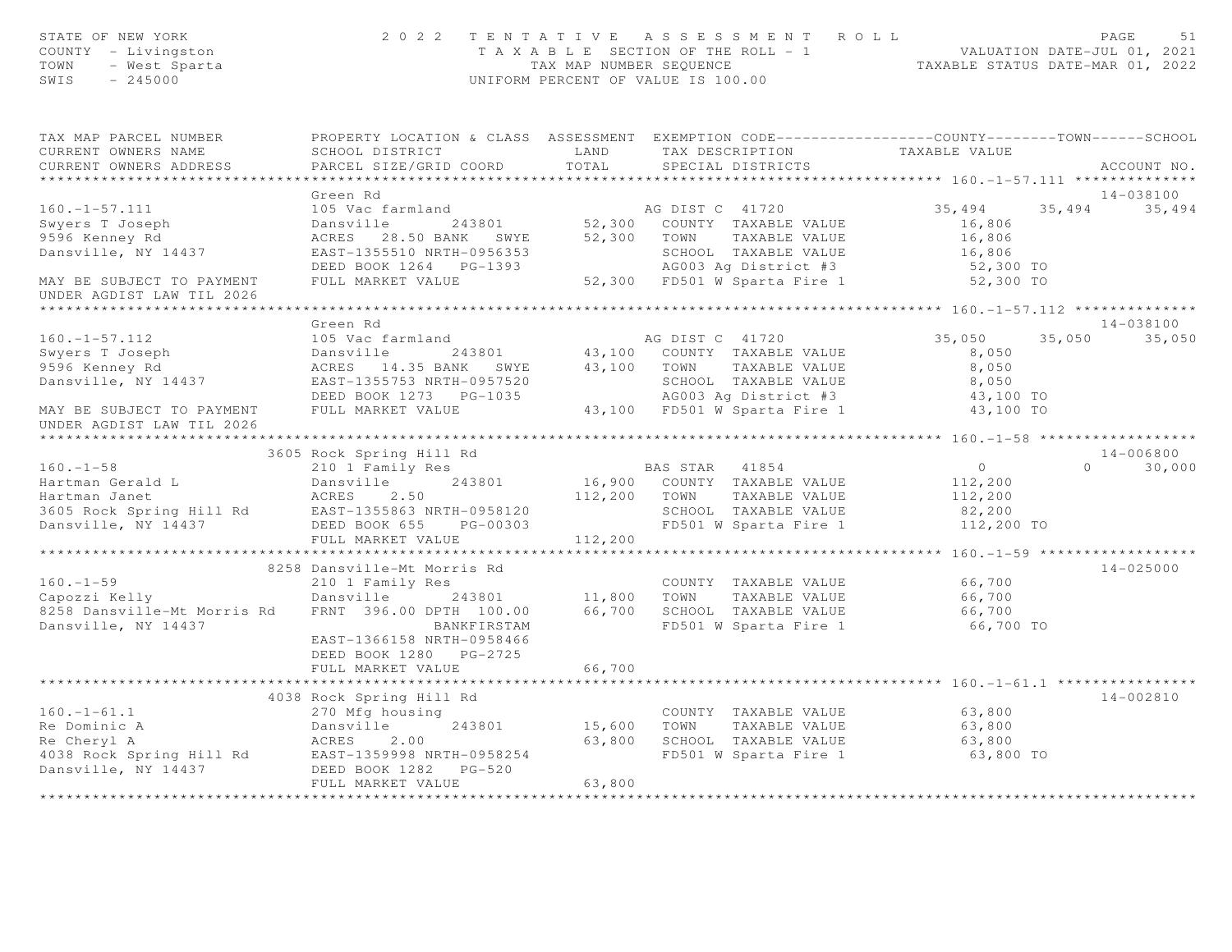| STATE OF NEW YORK<br>COUNTY - Livingston<br>TOWN - West Sparta<br>SWIS - 245000                                                                                                                                                                                   | 2022 TENTATIVE ASSESSMENT ROLL                                                                                                                                                                                                           |        |                   | T A X A B L E SECTION OF THE ROLL - 1<br>TAX MAP NUMBER SEQUENCE<br>UNIFORM PERCENT OF VALUE IS 100.00 | PAGE<br>51    |
|-------------------------------------------------------------------------------------------------------------------------------------------------------------------------------------------------------------------------------------------------------------------|------------------------------------------------------------------------------------------------------------------------------------------------------------------------------------------------------------------------------------------|--------|-------------------|--------------------------------------------------------------------------------------------------------|---------------|
| TAX MAP PARCEL NUMBER                                                                                                                                                                                                                                             | PROPERTY LOCATION & CLASS ASSESSMENT EXEMPTION CODE-----------------COUNTY--------TOWN------SCHOOL                                                                                                                                       |        |                   |                                                                                                        |               |
| CURRENT OWNERS NAME<br>CURRENT OWNERS ADDRESS                                                                                                                                                                                                                     | PARCEL SIZE/GRID COORD TOTAL                                                                                                                                                                                                             |        | SPECIAL DISTRICTS |                                                                                                        | ACCOUNT NO.   |
|                                                                                                                                                                                                                                                                   |                                                                                                                                                                                                                                          |        |                   |                                                                                                        |               |
|                                                                                                                                                                                                                                                                   | Green Rd                                                                                                                                                                                                                                 |        |                   |                                                                                                        | 14-038100     |
| $160. - 1 - 57.111$                                                                                                                                                                                                                                               |                                                                                                                                                                                                                                          |        |                   | 35, 494 35, 494 35, 494                                                                                |               |
| swyers T Joseph<br>9596 Kenney Rd                                                                                                                                                                                                                                 |                                                                                                                                                                                                                                          |        |                   |                                                                                                        |               |
| 9596 Kenney Rd                                                                                                                                                                                                                                                    |                                                                                                                                                                                                                                          |        |                   |                                                                                                        |               |
| Dansville, NY 14437                                                                                                                                                                                                                                               |                                                                                                                                                                                                                                          |        |                   |                                                                                                        |               |
|                                                                                                                                                                                                                                                                   |                                                                                                                                                                                                                                          |        |                   |                                                                                                        |               |
| MAY BE SUBJECT TO PAYMENT                                                                                                                                                                                                                                         | 105 Wac farmland<br>105 Wac farmland<br>243801 52,300 COUNTY TAXABLE VALUE<br>ACRES 28.50 BANK SWYE 52,300 TOWN TAXABLE VALUE 16,806<br>EAST-1355510 NRTH-0956353 SCHOOL TAXABLE VALUE 16,806<br>DEED BOOK 1264 PG-1393 AG003 Ag Distric |        |                   |                                                                                                        |               |
| UNDER AGDIST LAW TIL 2026                                                                                                                                                                                                                                         |                                                                                                                                                                                                                                          |        |                   |                                                                                                        |               |
|                                                                                                                                                                                                                                                                   | Green Rd                                                                                                                                                                                                                                 |        |                   |                                                                                                        | 14-038100     |
|                                                                                                                                                                                                                                                                   |                                                                                                                                                                                                                                          |        |                   |                                                                                                        | 35,050        |
|                                                                                                                                                                                                                                                                   |                                                                                                                                                                                                                                          |        |                   |                                                                                                        |               |
|                                                                                                                                                                                                                                                                   |                                                                                                                                                                                                                                          |        |                   |                                                                                                        |               |
|                                                                                                                                                                                                                                                                   |                                                                                                                                                                                                                                          |        |                   |                                                                                                        |               |
|                                                                                                                                                                                                                                                                   |                                                                                                                                                                                                                                          |        |                   |                                                                                                        |               |
| 160.-1-57.112<br>Sireen Kanar and AG DIST C 41720<br>Swyers T Joseph Dansville 243801 43,100 COUNTY TAXABLE VALUE 8,050 35,050<br>9596 Kenney Rd ACRES 14.35 BANK SWYE 43,100 TOWN TAXABLE VALUE 8,050<br>DANY BE SUBJECT TO PAYMENT<br>UNDER AGDIST LAW TIL 2026 |                                                                                                                                                                                                                                          |        |                   |                                                                                                        |               |
|                                                                                                                                                                                                                                                                   |                                                                                                                                                                                                                                          |        |                   |                                                                                                        |               |
| 3605 Rock Spring Hill Rd<br>3605 Rock Spring Hill Rd<br>210 1 Family Res<br>243801 16,900 COUNTY TAXABLE VALUE<br>3605 Rock Spring Hill Rd<br>2605 Rock Spring Hill Rd<br>2605 Rock Spring Hill Rd<br>2605 Rock Spring Hill Rd<br>2.50 2.50 11                    | 3605 Rock Spring Hill Rd                                                                                                                                                                                                                 |        |                   |                                                                                                        | 14-006800     |
|                                                                                                                                                                                                                                                                   |                                                                                                                                                                                                                                          |        |                   |                                                                                                        | $0 \t 30,000$ |
|                                                                                                                                                                                                                                                                   |                                                                                                                                                                                                                                          |        |                   |                                                                                                        |               |
|                                                                                                                                                                                                                                                                   |                                                                                                                                                                                                                                          |        |                   |                                                                                                        |               |
|                                                                                                                                                                                                                                                                   |                                                                                                                                                                                                                                          |        |                   |                                                                                                        |               |
|                                                                                                                                                                                                                                                                   | FULL MARKET VALUE 112,200                                                                                                                                                                                                                |        |                   |                                                                                                        |               |
|                                                                                                                                                                                                                                                                   |                                                                                                                                                                                                                                          |        |                   | ********************* 160.-1-59 *******************                                                    |               |
|                                                                                                                                                                                                                                                                   | 8258 Dansville-Mt Morris Rd                                                                                                                                                                                                              |        |                   |                                                                                                        | 14-025000     |
|                                                                                                                                                                                                                                                                   | 210 1 Family Res                                                                                                                                                                                                                         |        |                   |                                                                                                        |               |
| 100.-1-59<br>Capozzi Kelly<br>2052.-                                                                                                                                                                                                                              |                                                                                                                                                                                                                                          |        |                   |                                                                                                        |               |
| 8258 Dansville-Mt Morris Rd                                                                                                                                                                                                                                       |                                                                                                                                                                                                                                          |        |                   |                                                                                                        |               |
| Dansville, NY 14437                                                                                                                                                                                                                                               | <b>BANKFIRSTAM</b>                                                                                                                                                                                                                       |        |                   | FD501 W Sparta Fire 1 66,700 TO                                                                        |               |
|                                                                                                                                                                                                                                                                   | EAST-1366158 NRTH-0958466                                                                                                                                                                                                                |        |                   |                                                                                                        |               |
|                                                                                                                                                                                                                                                                   | DEED BOOK 1280 PG-2725                                                                                                                                                                                                                   |        |                   |                                                                                                        |               |
|                                                                                                                                                                                                                                                                   | FULL MARKET VALUE 66,700                                                                                                                                                                                                                 |        |                   |                                                                                                        |               |
|                                                                                                                                                                                                                                                                   |                                                                                                                                                                                                                                          |        |                   |                                                                                                        | 14-002810     |
|                                                                                                                                                                                                                                                                   |                                                                                                                                                                                                                                          |        |                   |                                                                                                        |               |
|                                                                                                                                                                                                                                                                   |                                                                                                                                                                                                                                          |        |                   |                                                                                                        |               |
|                                                                                                                                                                                                                                                                   |                                                                                                                                                                                                                                          |        |                   |                                                                                                        |               |
|                                                                                                                                                                                                                                                                   |                                                                                                                                                                                                                                          |        |                   |                                                                                                        |               |
| 4038 Rock Spring Hill Rd<br>270 Mfg housing<br>Re Dominic A<br>270 Mfg housing<br>243801 15,600 TOWN TAXABLE VALUE<br>243801 15,600 TOWN TAXABLE VALUE<br>243801 55,800 TOWN TAXABLE VALUE<br>243800 15,600 TOWN TAXABLE VALUE<br>243800 15,60                    |                                                                                                                                                                                                                                          |        |                   |                                                                                                        |               |
|                                                                                                                                                                                                                                                                   | FULL MARKET VALUE                                                                                                                                                                                                                        | 63,800 |                   |                                                                                                        |               |
|                                                                                                                                                                                                                                                                   |                                                                                                                                                                                                                                          |        |                   |                                                                                                        |               |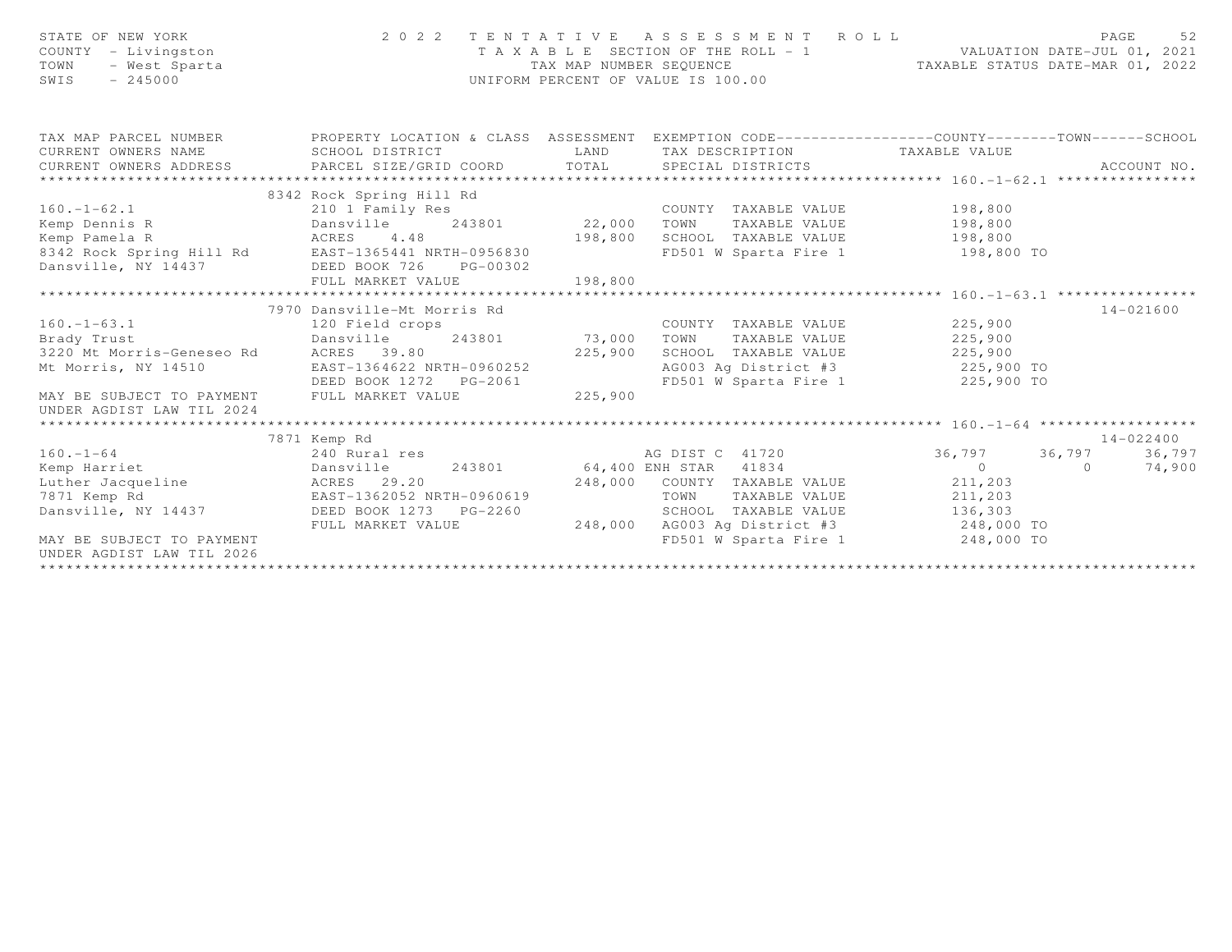| STATE OF NEW YORK<br>COUNTY - Livingston<br>- West Sparta<br>TOWN<br>$-245000$<br>SWIS |                                                                                                  |                                                                                                                                                                                                                               | 2022 TENTATIVE ASSESSMENT ROLL PAGE 52<br>TAXABLE SECTION OF THE ROLL - 1 VALUATION DATE-JUL 01, 2021<br>TAX MAP NUMBER SEQUENCE TAXABLE STATUS DATE-MAR 01, 2022<br>UNIFORM PERCENT OF VALUE IS 100.00 |                                 |                     |
|----------------------------------------------------------------------------------------|--------------------------------------------------------------------------------------------------|-------------------------------------------------------------------------------------------------------------------------------------------------------------------------------------------------------------------------------|---------------------------------------------------------------------------------------------------------------------------------------------------------------------------------------------------------|---------------------------------|---------------------|
| TAX MAP PARCEL NUMBER                                                                  | PROPERTY LOCATION & CLASS ASSESSMENT EXEMPTION CODE----------------COUNTY-------TOWN------SCHOOL |                                                                                                                                                                                                                               |                                                                                                                                                                                                         |                                 |                     |
| CURRENT OWNERS NAME                                                                    | SCHOOL DISTRICT                                                                                  | <b>EXAMPLE EXAMPLE AND SET OF A SET OF A SET OF A SET OF A SET OF A SET OF A SET OF A SET OF A SET OF A SET OF A</b>                                                                                                          | TAX DESCRIPTION TAXABLE VALUE                                                                                                                                                                           |                                 |                     |
|                                                                                        | CURRENT OWNERS ADDRESS PARCEL SIZE/GRID COORD TOTAL SPECIAL DISTRICTS                            |                                                                                                                                                                                                                               |                                                                                                                                                                                                         |                                 | ACCOUNT NO.         |
|                                                                                        |                                                                                                  |                                                                                                                                                                                                                               |                                                                                                                                                                                                         |                                 |                     |
|                                                                                        | 8342 Rock Spring Hill Rd                                                                         |                                                                                                                                                                                                                               |                                                                                                                                                                                                         |                                 |                     |
|                                                                                        |                                                                                                  |                                                                                                                                                                                                                               |                                                                                                                                                                                                         |                                 |                     |
| Kemp Pamela R                                                                          | ACRES 4.48                                                                                       | 198,800                                                                                                                                                                                                                       | SCHOOL TAXABLE VALUE 198,800                                                                                                                                                                            |                                 |                     |
|                                                                                        | 8342 Rock Spring Hill Rd EAST-1365441 NRTH-0956830                                               |                                                                                                                                                                                                                               | FD501 W Sparta Fire 1 198,800 TO                                                                                                                                                                        |                                 |                     |
|                                                                                        | Dansville, NY 14437 DEED BOOK 726 PG-00302                                                       |                                                                                                                                                                                                                               |                                                                                                                                                                                                         |                                 |                     |
|                                                                                        | FULL MARKET VALUE                                                                                | 198,800                                                                                                                                                                                                                       |                                                                                                                                                                                                         |                                 |                     |
|                                                                                        |                                                                                                  |                                                                                                                                                                                                                               |                                                                                                                                                                                                         |                                 |                     |
|                                                                                        | 7970 Dansville-Mt Morris Rd                                                                      |                                                                                                                                                                                                                               |                                                                                                                                                                                                         |                                 | $14 - 021600$       |
| $160 - 1 - 63.1$                                                                       | 120 Field crops                                                                                  | $R$ and $R$ and $R$ and $R$ and $R$ and $R$ and $R$ and $R$ and $R$ and $R$ and $R$ and $R$ and $R$ and $R$ and $R$ and $R$ and $R$ and $R$ and $R$ and $R$ and $R$ and $R$ and $R$ and $R$ and $R$ and $R$ and $R$ and $R$ a | COUNTY TAXABLE VALUE 225,900                                                                                                                                                                            |                                 |                     |
| Brady Trust                                                                            | 243801 73,000<br>Dansville                                                                       |                                                                                                                                                                                                                               | TOWN                                                                                                                                                                                                    | TAXABLE VALUE 225,900           |                     |
| 3220 Mt Morris-Geneseo Rd ACRES 39.80                                                  |                                                                                                  | 225,900                                                                                                                                                                                                                       | SCHOOL TAXABLE VALUE 225,900                                                                                                                                                                            |                                 |                     |
| Mt Morris, NY 14510                                                                    | EAST-1364622 NRTH-0960252                                                                        |                                                                                                                                                                                                                               | AG003 Ag District #3 225,900 TO                                                                                                                                                                         |                                 |                     |
|                                                                                        |                                                                                                  |                                                                                                                                                                                                                               | FD501 W Sparta Fire 1 225,900 TO                                                                                                                                                                        |                                 |                     |
| MAY BE SUBJECT TO PAYMENT FULL MARKET VALUE                                            |                                                                                                  | 225,900                                                                                                                                                                                                                       |                                                                                                                                                                                                         |                                 |                     |
| UNDER AGDIST LAW TIL 2024                                                              |                                                                                                  |                                                                                                                                                                                                                               |                                                                                                                                                                                                         |                                 |                     |
|                                                                                        |                                                                                                  |                                                                                                                                                                                                                               |                                                                                                                                                                                                         |                                 |                     |
| $160. - 1 - 64$                                                                        | 7871 Kemp Rd<br>240 Rural res                                                                    |                                                                                                                                                                                                                               | AG DIST C 41720                                                                                                                                                                                         |                                 | 14-022400<br>36,797 |
| Kemp Harriet                                                                           | Dansville                                                                                        |                                                                                                                                                                                                                               | 243801 64,400 ENH STAR 41834                                                                                                                                                                            | 36,797 36,797<br>$\overline{0}$ | 74,900<br>$\Omega$  |
|                                                                                        |                                                                                                  |                                                                                                                                                                                                                               | 248,000 COUNTY TAXABLE VALUE                                                                                                                                                                            | 211,203                         |                     |
| Luther Jacqueline<br>7871 Kemp Rd<br>285T-1362052 NRTH-0960619                         |                                                                                                  |                                                                                                                                                                                                                               | TAXABLE VALUE<br>TOWN                                                                                                                                                                                   | 211,203                         |                     |
| Dansville, NY 14437 DEED BOOK 1273 PG-2260                                             |                                                                                                  |                                                                                                                                                                                                                               |                                                                                                                                                                                                         |                                 |                     |
|                                                                                        | FULL MARKET VALUE                                                                                | 248,000                                                                                                                                                                                                                       |                                                                                                                                                                                                         |                                 |                     |
| MAY BE SUBJECT TO PAYMENT                                                              |                                                                                                  |                                                                                                                                                                                                                               |                                                                                                                                                                                                         |                                 |                     |
| UNDER AGDIST LAW TIL 2026                                                              |                                                                                                  |                                                                                                                                                                                                                               |                                                                                                                                                                                                         |                                 |                     |
|                                                                                        |                                                                                                  |                                                                                                                                                                                                                               |                                                                                                                                                                                                         |                                 |                     |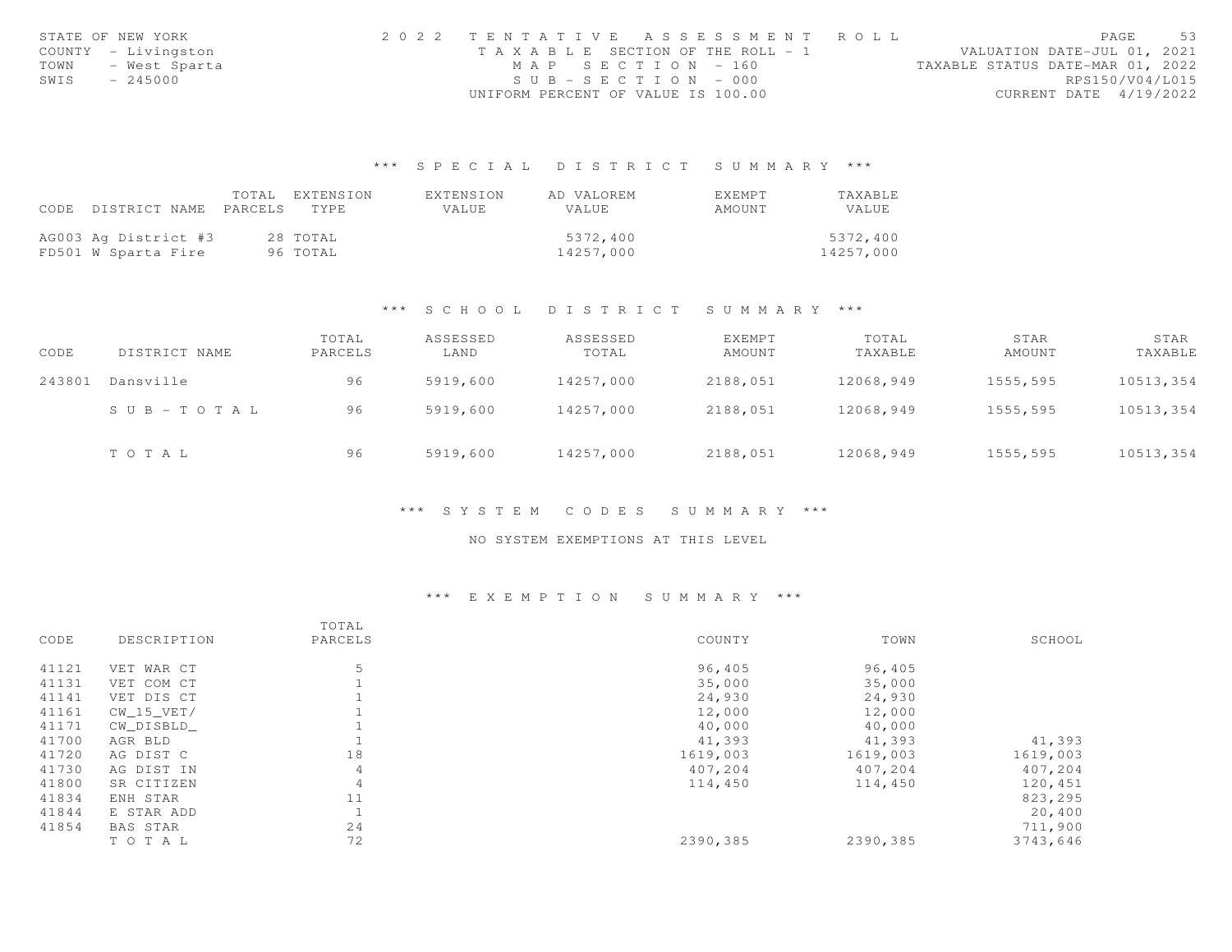|      | STATE OF NEW YORK   | 2022 TENTATIVE ASSESSMENT ROLL        |  |  |                                  |                        | PAGE | 53 |
|------|---------------------|---------------------------------------|--|--|----------------------------------|------------------------|------|----|
|      | COUNTY - Livingston | T A X A B L E SECTION OF THE ROLL - 1 |  |  | VALUATION DATE-JUL 01, 2021      |                        |      |    |
| TOWN | - West Sparta       | MAP SECTION - 160                     |  |  | TAXABLE STATUS DATE-MAR 01, 2022 |                        |      |    |
| SWIS | $-245000$           | $SUB - SECTION - 000$                 |  |  |                                  | RPS150/V04/L015        |      |    |
|      |                     | UNIFORM PERCENT OF VALUE IS 100.00    |  |  |                                  | CURRENT DATE 4/19/2022 |      |    |

## \*\*\* S P E C I A L D I S T R I C T S U M M A R Y \*\*\*

|                                 | TOTAL EXTENSION | EXTENSION    | AD VALOREM   | EXEMPT | <b>TAXABLE</b> |
|---------------------------------|-----------------|--------------|--------------|--------|----------------|
| CODE DISTRICT NAME PARCELS TYPE |                 | <b>VALUE</b> | <b>VALUE</b> | AMOUNT | VALUE          |
|                                 |                 |              |              |        |                |
| AG003 Ag District #3            | 28 TOTAL        |              | 5372,400     |        | 5372,400       |
| FD501 W Sparta Fire             | 96 TOTAL        |              | 14257,000    |        | 14257,000      |

#### \*\*\* S C H O O L D I S T R I C T S U M M A R Y \*\*\*

| CODE   | DISTRICT NAME         | TOTAL<br>PARCELS | ASSESSED<br>LAND | ASSESSED<br>TOTAL | EXEMPT<br>AMOUNT | TOTAL<br>TAXABLE | STAR<br>AMOUNT | STAR<br>TAXABLE |
|--------|-----------------------|------------------|------------------|-------------------|------------------|------------------|----------------|-----------------|
| 243801 | Dansville             | 96               | 5919,600         | 14257,000         | 2188,051         | 12068,949        | 1555,595       | 10513,354       |
|        | $S \cup B - TO T A L$ | 96               | 5919,600         | 14257,000         | 2188,051         | 12068,949        | 1555,595       | 10513,354       |
|        | TOTAL                 | 96               | 5919,600         | 14257,000         | 2188,051         | 12068,949        | 1555,595       | 10513,354       |

#### \*\*\* S Y S T E M C O D E S S U M M A R Y \*\*\*

### NO SYSTEM EXEMPTIONS AT THIS LEVEL

## \*\*\* E X E M P T I O N S U M M A R Y \*\*\*

|       |              | TOTAL   |          |          |          |
|-------|--------------|---------|----------|----------|----------|
| CODE  | DESCRIPTION  | PARCELS | COUNTY   | TOWN     | SCHOOL   |
| 41121 | VET WAR CT   | 5       | 96,405   | 96,405   |          |
| 41131 | VET COM CT   |         | 35,000   | 35,000   |          |
| 41141 | VET DIS CT   |         | 24,930   | 24,930   |          |
| 41161 | $CW_15_VET/$ |         | 12,000   | 12,000   |          |
| 41171 | CW DISBLD    |         | 40,000   | 40,000   |          |
| 41700 | AGR BLD      |         | 41,393   | 41,393   | 41,393   |
| 41720 | AG DIST C    | 18      | 1619,003 | 1619,003 | 1619,003 |
| 41730 | AG DIST IN   | 4       | 407,204  | 407,204  | 407,204  |
| 41800 | SR CITIZEN   | 4       | 114,450  | 114,450  | 120,451  |
| 41834 | ENH STAR     | 11      |          |          | 823,295  |
| 41844 | E STAR ADD   |         |          |          | 20,400   |
| 41854 | BAS STAR     | 24      |          |          | 711,900  |
|       | TOTAL        | 72      | 2390,385 | 2390,385 | 3743,646 |
|       |              |         |          |          |          |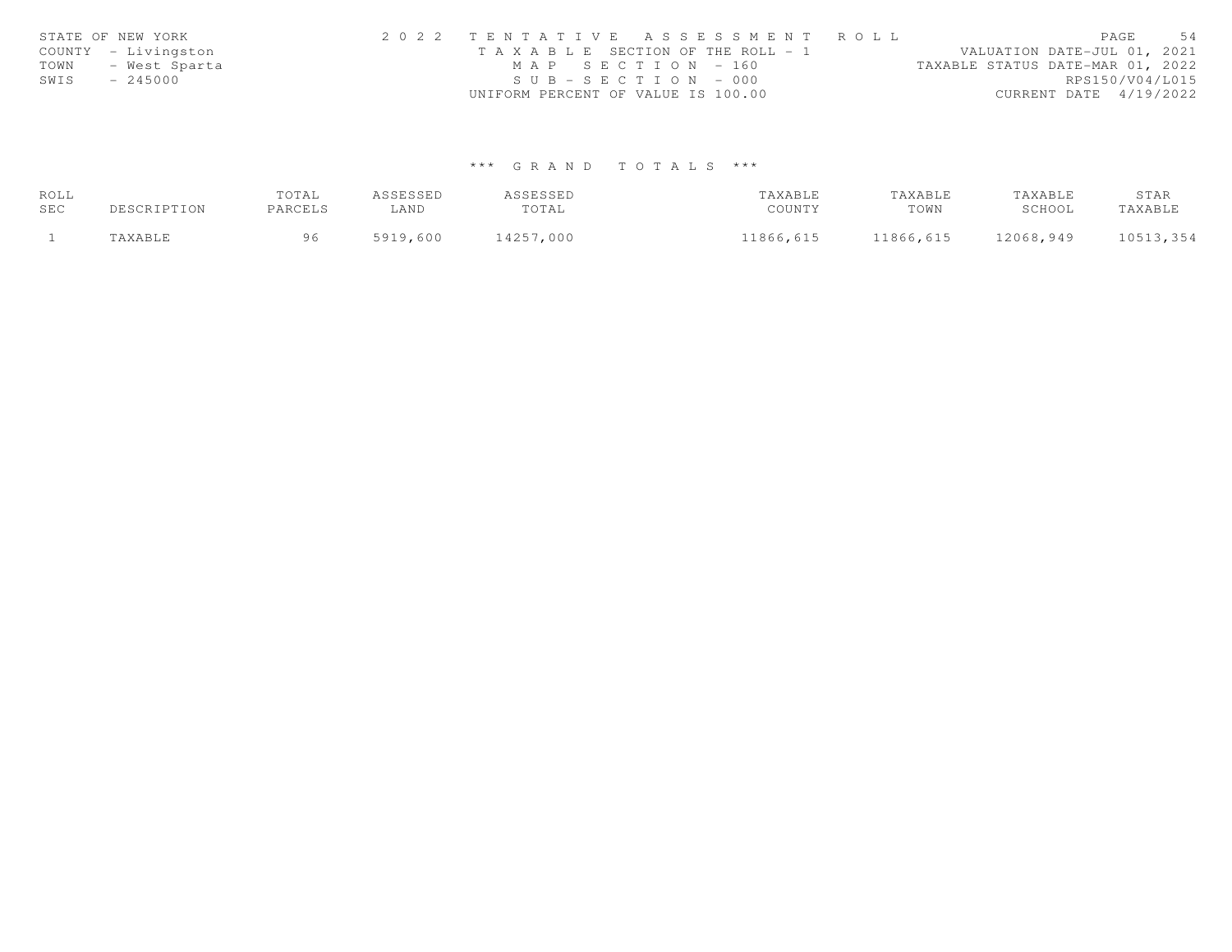|      | STATE OF NEW YORK   | 2022 TENTATIVE ASSESSMENT ROLL                                       | PAGE                   | 54 |
|------|---------------------|----------------------------------------------------------------------|------------------------|----|
|      | COUNTY - Livingston | VALUATION DATE-JUL 01, 2021<br>T A X A B L E SECTION OF THE ROLL - 1 |                        |    |
| TOWN | - West Sparta       | MAP SECTION - 160<br>TAXABLE STATUS DATE-MAR 01, 2022                |                        |    |
| SWIS | $-245000$           | $SUB - SECTION - 000$                                                | RPS150/V04/L015        |    |
|      |                     | UNIFORM PERCENT OF VALUE IS 100.00                                   | CURRENT DATE 4/19/2022 |    |

# \*\*\* G R A N D T O T A L S \*\*\*

| ROLL |             | TOTAL   | ASSESSED | ASSESSED  | TAXABLE   | TAXABLE   | TAXABLE   | STAR      |
|------|-------------|---------|----------|-----------|-----------|-----------|-----------|-----------|
| SEC  | DESCRIPTION | PARCELS | ∟AND     | TOTAL     | COUNTY    | TOWN      | SCHOOL    | TAXABLE   |
|      | TAXABLE     | 96      | 5919,600 | 14257,000 | 11866,615 | 11866,615 | 12068,949 | 10513,354 |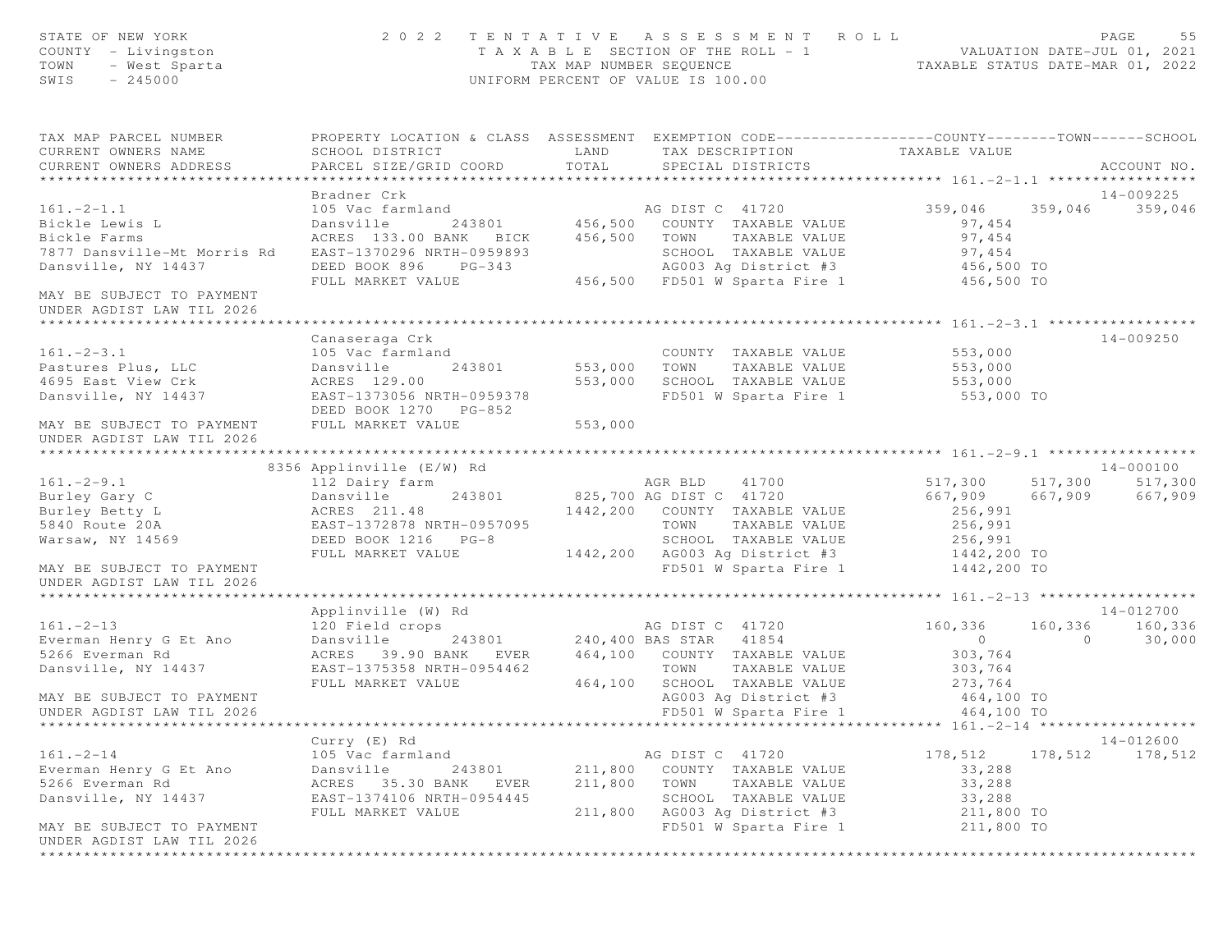| STATE OF NEW YORK<br>COUNTY - Livingston<br>- West Sparta<br>TOWN<br>SWIS<br>$-245000$ |                                                                                                                                               |               | 2022 TENTATIVE ASSESSMENT ROLL<br>T A X A B L E SECTION OF THE ROLL - 1 VALUATION DATE-JUL 01, 2021<br>TAX MAP NUMBER SEQUENCE TAXABLE STATUS DATE-MAR 01, 2022<br>UNIFORM PERCENT OF VALUE IS 100.00 |                            |                     | PAGE<br>55                   |
|----------------------------------------------------------------------------------------|-----------------------------------------------------------------------------------------------------------------------------------------------|---------------|-------------------------------------------------------------------------------------------------------------------------------------------------------------------------------------------------------|----------------------------|---------------------|------------------------------|
| TAX MAP PARCEL NUMBER<br>CURRENT OWNERS NAME<br>CURRENT OWNERS ADDRESS                 | PROPERTY LOCATION & CLASS ASSESSMENT EXEMPTION CODE----------------COUNTY-------TOWN------SCHOOL<br>SCHOOL DISTRICT<br>PARCEL SIZE/GRID COORD | LAND<br>TOTAL | TAX DESCRIPTION<br>SPECIAL DISTRICTS                                                                                                                                                                  | TAXABLE VALUE              |                     | ACCOUNT NO.                  |
|                                                                                        |                                                                                                                                               |               |                                                                                                                                                                                                       |                            |                     |                              |
| $161. - 2 - 1.1$<br>Bickle Lewis L                                                     | Bradner Crk<br>105 Vac farmland<br>Dansville                                                                                                  |               | AG DIST C 41720<br>243801 456,500 COUNTY TAXABLE VALUE                                                                                                                                                | 359,046<br>97,454          |                     | 14-009225<br>359,046 359,046 |
| Bickle Farms<br>7877 Dansville-Mt Morris Rd<br>Dansville, NY 14437                     | ACRES 133.00 BANK BICK<br>EAST-1370296 NRTH-0959893<br>DEED BOOK 896<br>$PG-343$                                                              | 456,500       | TOWN<br>TAXABLE VALUE<br>SCHOOL TAXABLE VALUE<br>AG003 Ag District #3 456,500 TO                                                                                                                      | 97,454<br>97,454           |                     |                              |
| MAY BE SUBJECT TO PAYMENT                                                              | FULL MARKET VALUE                                                                                                                             |               | 456,500 FD501 W Sparta Fire 1                                                                                                                                                                         | 456,500 TO                 |                     |                              |
| UNDER AGDIST LAW TIL 2026                                                              |                                                                                                                                               |               |                                                                                                                                                                                                       |                            |                     |                              |
|                                                                                        | Canaseraga Crk                                                                                                                                |               |                                                                                                                                                                                                       |                            |                     | 14-009250                    |
| $161. - 2 - 3.1$                                                                       | 105 Vac farmland                                                                                                                              |               | COUNTY TAXABLE VALUE                                                                                                                                                                                  | 553,000                    |                     |                              |
| Pastures Plus, LLC                                                                     | 243801<br>Dansville                                                                                                                           | 553,000       | TAXABLE VALUE<br>TOWN                                                                                                                                                                                 | 553,000                    |                     |                              |
| 4695 East View Crk                                                                     | ACRES 129.00                                                                                                                                  | 553,000       | SCHOOL TAXABLE VALUE                                                                                                                                                                                  | 553,000                    |                     |                              |
| Dansville, NY 14437                                                                    | EAST-1373056 NRTH-0959378                                                                                                                     |               | FD501 W Sparta Fire 1                                                                                                                                                                                 | 553,000 TO                 |                     |                              |
| MAY BE SUBJECT TO PAYMENT<br>UNDER AGDIST LAW TIL 2026                                 | DEED BOOK 1270 PG-852<br>FULL MARKET VALUE                                                                                                    | 553,000       |                                                                                                                                                                                                       |                            |                     |                              |
|                                                                                        |                                                                                                                                               |               |                                                                                                                                                                                                       |                            |                     |                              |
|                                                                                        | 8356 Applinville (E/W) Rd                                                                                                                     |               |                                                                                                                                                                                                       |                            |                     | 14-000100                    |
| $161. - 2 - 9.1$                                                                       | 112 Dairy farm                                                                                                                                |               | AGR BLD<br>41700                                                                                                                                                                                      | 517,300                    |                     | 517,300 517,300              |
| Burley Gary C                                                                          | Dansville<br>243801                                                                                                                           |               | 825,700 AG DIST C 41720                                                                                                                                                                               | 667,909                    | 667,909             | 667,909                      |
| Burley Betty L                                                                         | ACRES 211.48                                                                                                                                  |               | 1442,200 COUNTY TAXABLE VALUE                                                                                                                                                                         | 256,991                    |                     |                              |
| 5840 Route 20A                                                                         | EAST-1372878 NRTH-0957095                                                                                                                     |               | TOWN<br>TAXABLE VALUE                                                                                                                                                                                 | 256,991<br>256,991         |                     |                              |
| Warsaw, NY 14569                                                                       | DEED BOOK 1216 PG-8<br>FULL MARKET VALUE                                                                                                      |               | SCHOOL TAXABLE VALUE<br>1442,200 AG003 Ag District #3                                                                                                                                                 |                            |                     |                              |
| MAY BE SUBJECT TO PAYMENT                                                              |                                                                                                                                               |               | FD501 W Sparta Fire 1                                                                                                                                                                                 | 1442,200 TO<br>1442,200 TO |                     |                              |
| UNDER AGDIST LAW TIL 2026                                                              |                                                                                                                                               |               |                                                                                                                                                                                                       |                            |                     |                              |
|                                                                                        |                                                                                                                                               |               |                                                                                                                                                                                                       |                            |                     |                              |
|                                                                                        | Applinville (W) Rd                                                                                                                            |               |                                                                                                                                                                                                       |                            |                     | 14-012700                    |
| $161. - 2 - 13$<br>Everman Henry G Et Ano                                              | 120 Field crops                                                                                                                               |               | AG DIST C 41720<br>243801 240,400 BAS STAR 41854                                                                                                                                                      | 160,336<br>0               | 160,336<br>$\Omega$ | 160,336<br>30,000            |
| 5266 Everman Rd                                                                        | Dansville                                                                                                                                     |               | 464,100 COUNTY TAXABLE VALUE                                                                                                                                                                          |                            |                     |                              |
| Dansville, NY 14437                                                                    | ACRES 39.90 BANK EVER<br>EAST-1375358 NRTH-0954462                                                                                            |               | TOWN<br>TAXABLE VALUE                                                                                                                                                                                 | 303,764<br>303,764         |                     |                              |
|                                                                                        | FULL MARKET VALUE                                                                                                                             | 464,100       | SCHOOL TAXABLE VALUE                                                                                                                                                                                  | 273,764                    |                     |                              |
| MAY BE SUBJECT TO PAYMENT                                                              |                                                                                                                                               |               | AG003 Ag District #3                                                                                                                                                                                  | 464,100 TO                 |                     |                              |
| UNDER AGDIST LAW TIL 2026                                                              |                                                                                                                                               |               | FD501 W Sparta Fire 1                                                                                                                                                                                 | 464,100 TO                 |                     |                              |
|                                                                                        |                                                                                                                                               |               |                                                                                                                                                                                                       |                            |                     |                              |
|                                                                                        | Curry (E) Rd                                                                                                                                  |               |                                                                                                                                                                                                       |                            |                     | 14-012600                    |
| $161. - 2 - 14$                                                                        | 105 Vac farmland                                                                                                                              |               | AG DIST C 41720                                                                                                                                                                                       | 178,512                    |                     | 178,512 178,512              |
| Everman Henry G Et Ano                                                                 | 243801<br>Dansville                                                                                                                           | 211,800       | COUNTY TAXABLE VALUE                                                                                                                                                                                  | 33,288                     |                     |                              |
| 5266 Everman Rd                                                                        | ACRES 35.30 BANK<br>EVER                                                                                                                      | 211,800       | TOWN<br>TAXABLE VALUE                                                                                                                                                                                 | 33,288                     |                     |                              |
| Dansville, NY 14437                                                                    | EAST-1374106 NRTH-0954445                                                                                                                     |               | SCHOOL TAXABLE VALUE                                                                                                                                                                                  | 33,288                     |                     |                              |
|                                                                                        | FULL MARKET VALUE                                                                                                                             | 211,800       | AG003 Ag District #3                                                                                                                                                                                  | 211,800 TO                 |                     |                              |
| MAY BE SUBJECT TO PAYMENT<br>UNDER AGDIST LAW TIL 2026                                 |                                                                                                                                               |               | FD501 W Sparta Fire 1                                                                                                                                                                                 | 211,800 TO                 |                     |                              |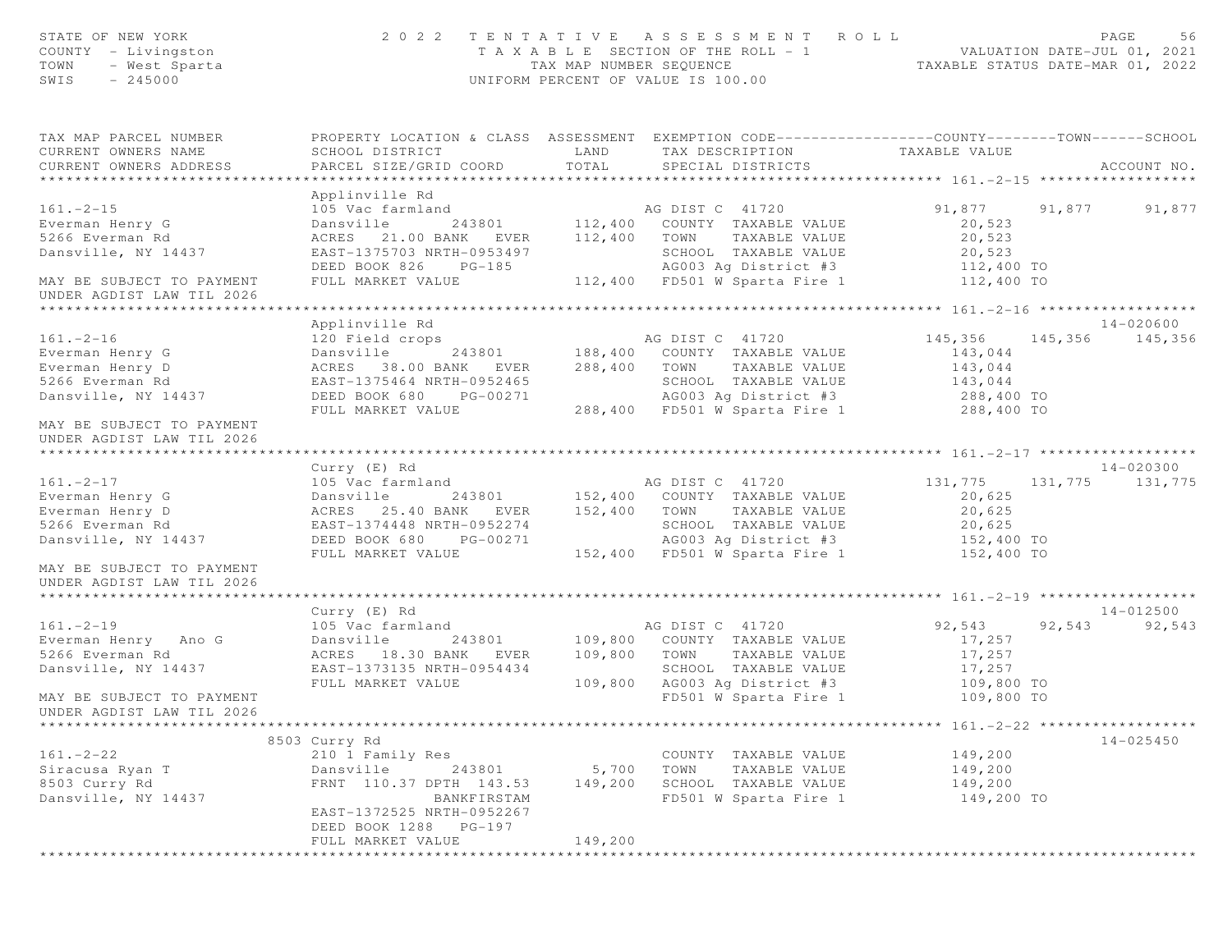| STATE OF NEW YORK<br>COUNTY - Livingston<br>TOWN<br>- West Sparta<br>SWIS<br>$-245000$ |                                                                                                 | TAX MAP NUMBER SEQUENCE | 2022 TENTATIVE ASSESSMENT ROLL<br>TAXABLE SECTION OF THE ROLL - 1<br>UNIFORM PERCENT OF VALUE IS 100.00 | TAXABLE STATUS DATE-MAR 01, 2022 |        | PAGE<br>56<br>VALUATION DATE-JUL 01, 2021 |
|----------------------------------------------------------------------------------------|-------------------------------------------------------------------------------------------------|-------------------------|---------------------------------------------------------------------------------------------------------|----------------------------------|--------|-------------------------------------------|
| TAX MAP PARCEL NUMBER                                                                  | PROPERTY LOCATION & CLASS ASSESSMENT EXEMPTION CODE---------------COUNTY-------TOWN------SCHOOL |                         |                                                                                                         |                                  |        |                                           |
| CURRENT OWNERS NAME<br>CURRENT OWNERS ADDRESS                                          | SCHOOL DISTRICT<br>PARCEL SIZE/GRID COORD                                                       | LAND<br>TOTAL           | TAX DESCRIPTION<br>SPECIAL DISTRICTS                                                                    | TAXABLE VALUE                    |        | ACCOUNT NO.                               |
|                                                                                        | Applinville Rd                                                                                  |                         |                                                                                                         |                                  |        |                                           |
| $161. - 2 - 15$                                                                        | 105 Vac farmland                                                                                |                         | AG DIST C 41720                                                                                         | 91,877 91,877                    |        | 91,877                                    |
| Everman Henry G                                                                        | Dansville                                                                                       |                         | 243801 112,400 COUNTY TAXABLE VALUE                                                                     | 20,523                           |        |                                           |
| 5266 Everman Rd                                                                        | ACRES 21.00 BANK EVER                                                                           | 112,400                 | TAXABLE VALUE<br>TOWN                                                                                   | 20,523                           |        |                                           |
| Dansville, NY 14437                                                                    | EAST-1375703 NRTH-0953497                                                                       |                         | SCHOOL TAXABLE VALUE                                                                                    | 20,523                           |        |                                           |
|                                                                                        | DEED BOOK 826<br>$PG-185$                                                                       |                         | AG003 Ag District #3                                                                                    | 112,400 TO                       |        |                                           |
| MAY BE SUBJECT TO PAYMENT<br>UNDER AGDIST LAW TIL 2026                                 | FULL MARKET VALUE                                                                               |                         | 112,400 FD501 W Sparta Fire 1                                                                           | 112,400 TO                       |        |                                           |
|                                                                                        |                                                                                                 |                         |                                                                                                         |                                  |        |                                           |
|                                                                                        | Applinville Rd                                                                                  |                         |                                                                                                         |                                  |        | 14-020600                                 |
| $161. - 2 - 16$                                                                        | 120 Field crops                                                                                 |                         | AG DIST C 41720                                                                                         | 145,356                          |        | 145,356 145,356                           |
| Everman Henry G                                                                        | 243801<br>Dansville                                                                             |                         | 188,400 COUNTY TAXABLE VALUE                                                                            | 143,044                          |        |                                           |
| Everman Henry D                                                                        | ACRES 38.00 BANK EVER                                                                           | 288,400                 | TOWN<br>TAXABLE VALUE                                                                                   | 143,044                          |        |                                           |
| 5266 Everman Rd                                                                        | EAST-1375464 NRTH-0952465                                                                       |                         | SCHOOL TAXABLE VALUE                                                                                    | 143,044                          |        |                                           |
| Dansville, NY 14437                                                                    | DEED BOOK 680 PG-00271                                                                          |                         | AG003 Ag District #3                                                                                    | 288,400 TO                       |        |                                           |
| MAY BE SUBJECT TO PAYMENT<br>UNDER AGDIST LAW TIL 2026                                 | FULL MARKET VALUE                                                                               |                         | 288,400 FD501 W Sparta Fire 1                                                                           | 288,400 TO                       |        |                                           |
|                                                                                        | Curry (E) Rd                                                                                    |                         |                                                                                                         |                                  |        | 14-020300                                 |
| $161. - 2 - 17$                                                                        | 105 Vac farmland                                                                                |                         | AG DIST C 41720                                                                                         | 131,775                          |        | 131, 775 131, 775                         |
| Everman Henry G                                                                        | Dansville                                                                                       |                         | 243801 152,400 COUNTY TAXABLE VALUE                                                                     | 20,625                           |        |                                           |
| Everman Henry D                                                                        | ACRES 25.40 BANK EVER                                                                           | 152,400                 | TAXABLE VALUE<br>TOWN                                                                                   | 20,625                           |        |                                           |
| 5266 Everman Rd                                                                        | EAST-1374448 NRTH-0952274                                                                       |                         | SCHOOL TAXABLE VALUE                                                                                    | 20,625                           |        |                                           |
| Dansville, NY 14437                                                                    | DEED BOOK 680 PG-00271                                                                          |                         | AG003 Ag District #3                                                                                    | 152,400 TO                       |        |                                           |
|                                                                                        | FULL MARKET VALUE                                                                               |                         | 152,400 FD501 W Sparta Fire 1                                                                           | 152,400 TO                       |        |                                           |
| MAY BE SUBJECT TO PAYMENT<br>UNDER AGDIST LAW TIL 2026                                 |                                                                                                 |                         |                                                                                                         |                                  |        |                                           |
| *****************************                                                          |                                                                                                 |                         |                                                                                                         |                                  |        |                                           |
|                                                                                        | Curry (E) Rd                                                                                    |                         |                                                                                                         |                                  |        | $14 - 012500$                             |
| $161. - 2 - 19$                                                                        | 105 Vac farmland                                                                                |                         | AG DIST C 41720                                                                                         | 92,543                           | 92,543 | 92,543                                    |
| Everman Henry Ano G                                                                    | Dansville<br>243801                                                                             | 109,800                 | COUNTY TAXABLE VALUE                                                                                    | 17,257                           |        |                                           |
| 5266 Everman Rd                                                                        | ACRES 18.30 BANK EVER                                                                           | 109,800                 | TOWN TAXABLE VALUE                                                                                      | 17,257                           |        |                                           |
| Dansville, NY 14437                                                                    | EAST-1373135 NRTH-0954434                                                                       | 109,800                 | SCHOOL TAXABLE VALUE<br>AG003 Ag District #3                                                            | 17,257                           |        |                                           |
| MAY BE SUBJECT TO PAYMENT                                                              | FULL MARKET VALUE                                                                               |                         | FD501 W Sparta Fire 1                                                                                   | 109,800 TO                       |        |                                           |
| UNDER AGDIST LAW TIL 2026                                                              |                                                                                                 |                         |                                                                                                         | 109,800 TO                       |        |                                           |
|                                                                                        | 8503 Curry Rd                                                                                   |                         |                                                                                                         |                                  |        | 14-025450                                 |
| $161. - 2 - 22$                                                                        | 210 1 Family Res                                                                                |                         | COUNTY TAXABLE VALUE                                                                                    | 149,200                          |        |                                           |
| Siracusa Ryan T                                                                        | Dansville<br>243801                                                                             | 5,700                   | TOWN<br>TAXABLE VALUE                                                                                   | 149,200                          |        |                                           |
| 8503 Curry Rd                                                                          | FRNT 110.37 DPTH 143.53                                                                         | 149,200                 | SCHOOL TAXABLE VALUE                                                                                    | 149,200                          |        |                                           |
| Dansville, NY 14437                                                                    | BANKFIRSTAM                                                                                     |                         | FD501 W Sparta Fire 1                                                                                   | 149,200 TO                       |        |                                           |
|                                                                                        | EAST-1372525 NRTH-0952267                                                                       |                         |                                                                                                         |                                  |        |                                           |
|                                                                                        | DEED BOOK 1288 PG-197                                                                           |                         |                                                                                                         |                                  |        |                                           |
|                                                                                        | FULL MARKET VALUE                                                                               | 149,200                 |                                                                                                         |                                  |        |                                           |
|                                                                                        | *************************************                                                           |                         |                                                                                                         |                                  |        |                                           |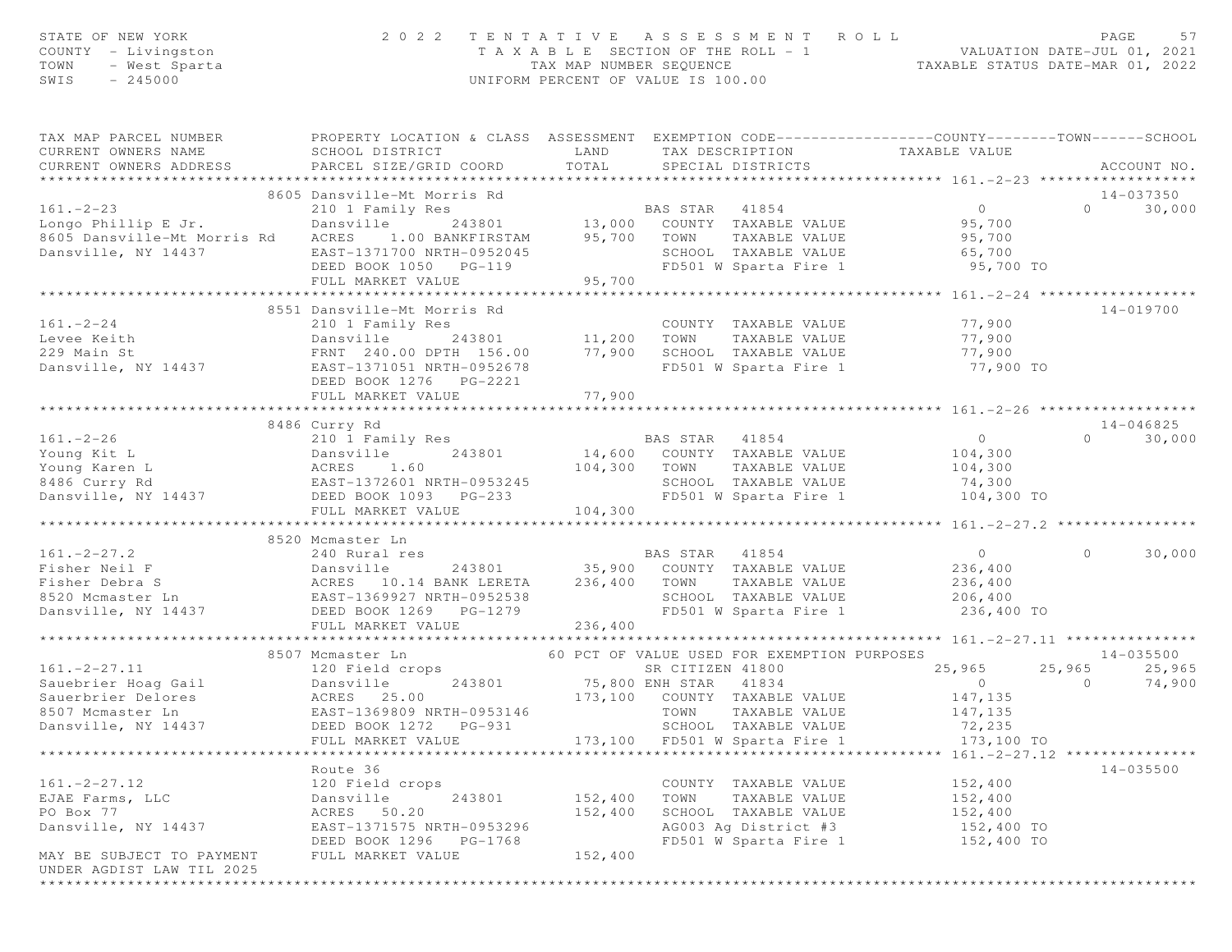| STATE OF NEW YORK<br>COUNTY - Livingston<br>TOWN<br>- West Sparta<br>SWIS<br>$-245000$ | 2 0 2 2                                                                                          | TAX MAP NUMBER SEQUENCE | TENTATIVE ASSESSMENT<br>T A X A B L E SECTION OF THE ROLL - 1<br>UNIFORM PERCENT OF VALUE IS 100.00 | ROLL<br>VALUATION DATE-JUL 01, 2021<br>TAXABLE STATUS DATE-MAR 01, 2022 | PAGE<br>57                      |
|----------------------------------------------------------------------------------------|--------------------------------------------------------------------------------------------------|-------------------------|-----------------------------------------------------------------------------------------------------|-------------------------------------------------------------------------|---------------------------------|
| TAX MAP PARCEL NUMBER                                                                  | PROPERTY LOCATION & CLASS ASSESSMENT EXEMPTION CODE----------------COUNTY-------TOWN------SCHOOL |                         |                                                                                                     |                                                                         |                                 |
| CURRENT OWNERS NAME                                                                    | SCHOOL DISTRICT                                                                                  | LAND                    |                                                                                                     | TAX DESCRIPTION TAXABLE VALUE                                           |                                 |
| CURRENT OWNERS ADDRESS                                                                 | PARCEL SIZE/GRID COORD                                                                           | TOTAL                   | SPECIAL DISTRICTS                                                                                   |                                                                         | ACCOUNT NO.                     |
|                                                                                        | 8605 Dansville-Mt Morris Rd                                                                      |                         |                                                                                                     |                                                                         | 14-037350                       |
| $161. - 2 - 23$                                                                        | 210 1 Family Res                                                                                 |                         |                                                                                                     | $\overline{0}$                                                          | 30,000<br>$\Omega$              |
| Longo Phillip E Jr.                                                                    | Dansville                                                                                        |                         | ly Res<br>243801 13,000 COUNTY TAXABLE VALUE                                                        | 95,700                                                                  |                                 |
| 8605 Dansville-Mt Morris Rd                                                            | ACRES<br>1.00 BANKFIRSTAM 95,700 TOWN                                                            |                         | TAXABLE VALUE                                                                                       | 95,700<br>65,700                                                        |                                 |
| Dansville, NY 14437                                                                    | EAST-1371700 NRTH-0952045                                                                        |                         | SCHOOL TAXABLE VALUE                                                                                |                                                                         |                                 |
|                                                                                        | DEED BOOK 1050 PG-119                                                                            |                         |                                                                                                     | FD501 W Sparta Fire 1 95,700 TO                                         |                                 |
|                                                                                        | FULL MARKET VALUE                                                                                | 95,700                  |                                                                                                     |                                                                         |                                 |
|                                                                                        | 8551 Dansville-Mt Morris Rd                                                                      |                         |                                                                                                     |                                                                         | 14-019700                       |
| $161. - 2 - 24$                                                                        | 210 1 Family Res                                                                                 |                         | COUNTY TAXABLE VALUE                                                                                | 77,900                                                                  |                                 |
| Levee Keith                                                                            | Dansville                                                                                        |                         | TAXABLE VALUE                                                                                       | 77,900                                                                  |                                 |
| 229 Main St                                                                            | FRNT 240.00 DPTH 156.00                                                                          | 77,900                  | SCHOOL TAXABLE VALUE                                                                                | 77,900                                                                  |                                 |
| Dansville, NY 14437                                                                    | EAST-1371051 NRTH-0952678                                                                        |                         | FD501 W Sparta Fire 1                                                                               | 77,900 TO                                                               |                                 |
|                                                                                        | DEED BOOK 1276    PG-2221                                                                        |                         |                                                                                                     |                                                                         |                                 |
|                                                                                        | FULL MARKET VALUE                                                                                | 77,900                  |                                                                                                     |                                                                         |                                 |
|                                                                                        |                                                                                                  |                         |                                                                                                     |                                                                         |                                 |
| $161. -2 - 26$                                                                         | 8486 Curry Rd<br>210 1 Family Res                                                                |                         | <b>BAS STAR 41854</b>                                                                               | $\circ$                                                                 | 14-046825<br>30,000<br>$\Omega$ |
| Young Kit L                                                                            | Dansville<br>243801                                                                              |                         | 14,600 COUNTY TAXABLE VALUE                                                                         | 104,300                                                                 |                                 |
| Young Karen L                                                                          | Dansvi<br>ACRES                                                                                  |                         | 104,300 TOWN<br>TAXABLE VALUE                                                                       | 104,300                                                                 |                                 |
| 8486 Curry Rd                                                                          |                                                                                                  |                         | SCHOOL TAXABLE VALUE                                                                                | 74,300                                                                  |                                 |
| Dansville, NY 14437                                                                    | ACRES 1.00<br>EAST-1372601 NRTH-0953245<br>14437 DEED BOOK 1093 PG-233                           |                         | FD501 W Sparta Fire 1                                                                               | 104,300 TO                                                              |                                 |
|                                                                                        | FULL MARKET VALUE                                                                                | 104,300                 |                                                                                                     |                                                                         |                                 |
|                                                                                        |                                                                                                  |                         |                                                                                                     |                                                                         |                                 |
| $161. -2 - 27.2$                                                                       | 8520 Mcmaster Ln                                                                                 |                         |                                                                                                     | $\overline{O}$                                                          | $\Omega$                        |
|                                                                                        | 240 Rural res                                                                                    |                         | BAS STAR 41854<br>243801 35,900 COUNTY TAXABLE VALUE                                                | 236,400                                                                 | 30,000                          |
|                                                                                        |                                                                                                  |                         | TAXABLE VALUE                                                                                       |                                                                         |                                 |
|                                                                                        |                                                                                                  |                         | SCHOOL TAXABLE VALUE                                                                                | 236,400<br>206,400                                                      |                                 |
| Dansville, NY 14437                                                                    | DEED BOOK 1269 PG-1279                                                                           |                         | FD501 W Sparta Fire 1                                                                               | 236,400 TO                                                              |                                 |
|                                                                                        | FULL MARKET VALUE                                                                                | 236,400                 |                                                                                                     |                                                                         |                                 |
|                                                                                        | ***************************                                                                      |                         |                                                                                                     |                                                                         |                                 |
|                                                                                        | 8507 Mcmaster Ln                                                                                 |                         | 60 PCT OF VALUE USED FOR EXEMPTION PURPOSES                                                         |                                                                         | 14-035500                       |
| $161 - 2 - 27.11$                                                                      |                                                                                                  |                         | SR CITIZEN 41800<br>75,800 ENH STAR 41834                                                           | 25,965<br>$\overline{0}$                                                | 25,965<br>25,965<br>$\circ$     |
|                                                                                        |                                                                                                  |                         | 173,100 COUNTY TAXABLE VALUE                                                                        | 147,135                                                                 | 74,900                          |
|                                                                                        |                                                                                                  |                         | TOWN<br>TAXABLE VALUE                                                                               | 147,135                                                                 |                                 |
| Dansville, NY 14437                                                                    | DEED BOOK 1272 PG-931                                                                            |                         | SCHOOL TAXABLE VALUE                                                                                | 72,235                                                                  |                                 |
|                                                                                        | FULL MARKET VALUE                                                                                | 173,100                 | FD501 W Sparta Fire 1                                                                               | 173,100 TO                                                              |                                 |
|                                                                                        |                                                                                                  |                         |                                                                                                     |                                                                         |                                 |
|                                                                                        | Route 36                                                                                         |                         |                                                                                                     |                                                                         | 14-035500                       |
| $161. -2 - 27.12$                                                                      | 120 Field crops                                                                                  |                         | COUNTY TAXABLE VALUE                                                                                | 152,400                                                                 |                                 |
| EJAE Farms, LLC                                                                        | Dansville<br>243801                                                                              | 152,400                 | TOWN<br>TAXABLE VALUE                                                                               | 152,400                                                                 |                                 |
| PO Box 77                                                                              | 50.20<br>ACRES                                                                                   | 152,400                 | SCHOOL TAXABLE VALUE                                                                                | 152,400                                                                 |                                 |
| Dansville, NY 14437                                                                    | EAST-1371575 NRTH-0953296<br>DEED BOOK 1296 PG-1768                                              |                         | AG003 Ag District #3<br>FD501 W Sparta Fire 1                                                       | 152,400 TO<br>152,400 TO                                                |                                 |
| MAY BE SUBJECT TO PAYMENT                                                              | FULL MARKET VALUE                                                                                | 152,400                 |                                                                                                     |                                                                         |                                 |
| UNDER AGDIST LAW TIL 2025                                                              |                                                                                                  |                         |                                                                                                     |                                                                         |                                 |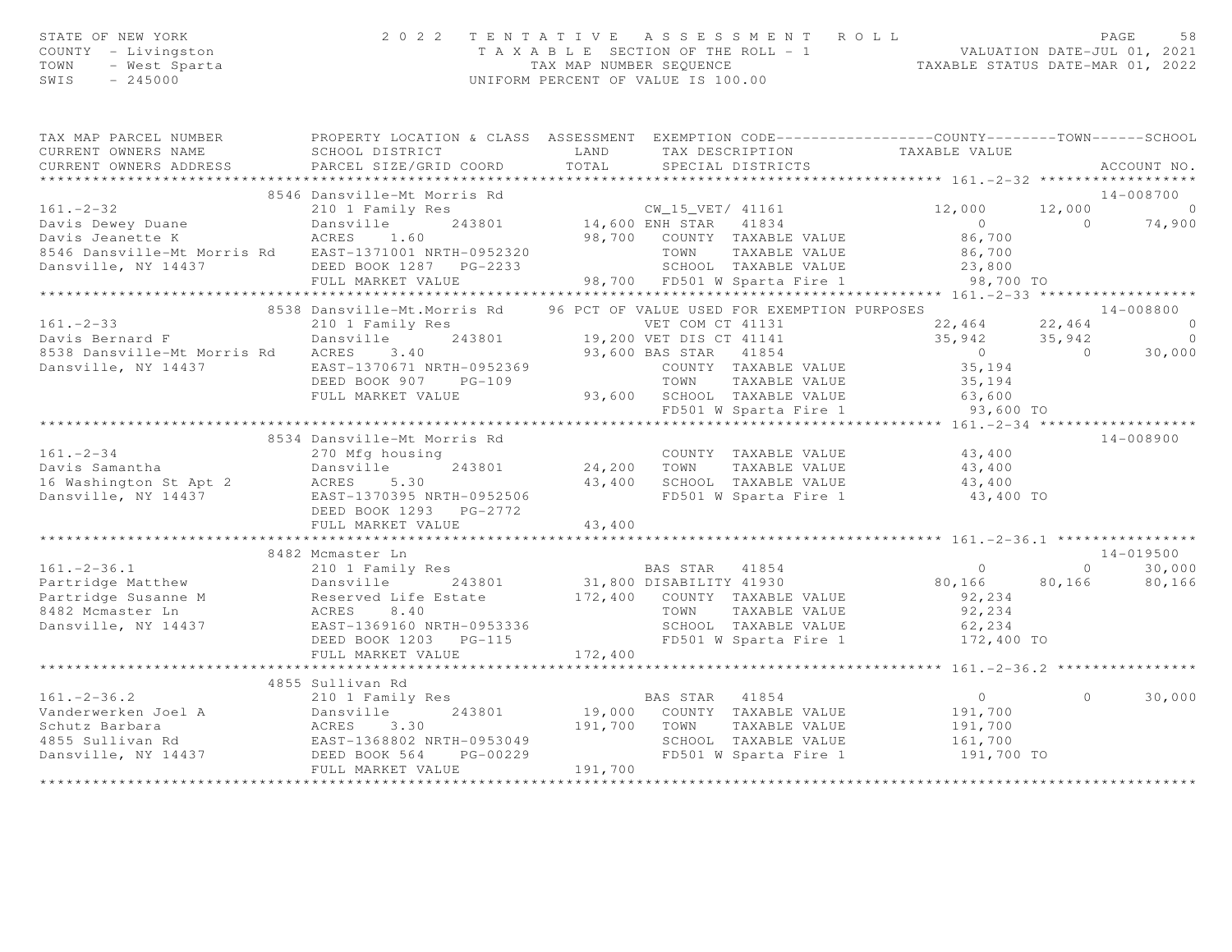|      | STATE OF NEW YORK   | 2022 TENTATIVE ASSESSMENT ROLL     | PAGE                             |
|------|---------------------|------------------------------------|----------------------------------|
|      | COUNTY - Livingston | TAXABLE SECTION OF THE ROLL - 1    | VALUATION DATE-JUL 01, 2021      |
| TOWN | – West Sparta       | TAX MAP NUMBER SEOUENCE            | TAXABLE STATUS DATE-MAR 01, 2022 |
| SWIS | - 245000            | UNIFORM PERCENT OF VALUE IS 100.00 |                                  |

| 8546 Dansville-Mt Morris Rd<br>14-008700<br>$161. - 2 - 32$<br>210 1 Family Res<br>CW_15_VET/ 41161<br>12,000<br>$\overline{0}$<br>12,000<br>243801 14,600 ENH STAR 41834<br>98,700 COUNTY TAXABLE VALUE<br>$0$<br>86,700<br>Davis Dewey Duane<br>Dansville<br>ACRES 1<br>$\Omega$<br>74,900<br>Davis Jeanette K<br>1.60<br>8546 Dansville-Mt Morris Rd EAST-1371001 NRTH-0952320<br>TOWN<br>TAXABLE VALUE 86,700<br>TAXABLE VALUE 23,800<br>SCHOOL TAXABLE VALUE 23,800<br>98,700 FD501 W Sparta Fire 1 98,700 TO<br>Dansville, NY 14437<br>DEED BOOK 1287 PG-2233<br>FULL MARKET VALUE<br>96 PCT OF VALUE USED FOR EXEMPTION PURPOSES<br>8538 Dansville-Mt.Morris Rd<br>14-008800<br>$22,464$ $22,464$<br>$161. - 2 - 33$<br>210 1 Family Res<br>ver COM CT 41131<br>243801 19,200 VET DIS CT 41141<br>$\overline{0}$<br>$35,942$ $35,942$<br>Davis Bernard F<br>Dansville<br>$\overline{0}$<br>93,600 BAS STAR 41854<br>30,000<br>8538 Dansville-Mt Morris Rd ACRES<br>3.40<br>$\overline{0}$<br>$\sim$ 0<br>Dansville, NY 14437<br>EAST-1370671 NRTH-0952369<br>COUNTY TAXABLE VALUE<br>35, 194<br>DEED BOOK 907<br>$PG-109$<br>TOWN<br>TAXABLE VALUE<br>35,194<br>93,600 SCHOOL TAXABLE VALUE 63,600<br>FULL MARKET VALUE<br>FD501 W Sparta Fire 1<br>93,600 TO<br>8534 Dansville-Mt Morris Rd<br>$14 - 008900$<br>COUNTY TAXABLE VALUE 43,400<br>$161. - 2 - 34$<br>270 Mfg housing<br>Davis Samantha<br>43,400<br>Dansville<br>TAXABLE VALUE<br>24,200 TOWN<br>243801<br>43,400<br>SCHOOL TAXABLE VALUE 43,400<br>FD501 W Sparta Fire 1<br>43,400 TO<br>DEED BOOK 1293 PG-2772<br>43,400<br>FULL MARKET VALUE<br>14-019500<br>8482 Mcmaster Ln<br>BAS STAR 41854<br>DTSABILITY 41930<br>$\circ$<br>$\circ$<br>30,000<br>80,166<br>80,166<br>80,166<br>Reserved Life Estate 172,400 COUNTY TAXABLE VALUE<br>ACRES 8.40 TOWN TAXABLE VALUE<br>EAST-1369160 NRTH-0953336 SCHOOL TAXABLE VALUE<br>92,234<br>92,234<br>SCHOOL TAXABLE VALUE 62,234<br>FD501 W Sparta Fire 1 172,400 TO<br>DEED BOOK 1203 PG-115<br>172,400<br>FULL MARKET VALUE<br>4855 Sullivan Rd<br>$161. - 2 - 36.2$<br>BAS STAR 41854<br>$\overline{0}$<br>$\Omega$<br>30,000<br>210 1 Family Res<br>Vanderwerken Joel A<br>243801<br>19,000 COUNTY TAXABLE VALUE 191,700<br>Dansville<br>191,700 TOWN<br>Schutz Barbara<br>ACRES 3.30<br>EAST-1368802 NRTH-0953049<br>TAXABLE VALUE<br>191,700<br>161,700<br>SCHOOL TAXABLE VALUE<br>4855 Sullivan Rd<br>Dansville, NY 14437 DEED BOOK 564<br>FD501 W Sparta Fire 1 191,700 TO<br>PG-00229<br>191,700<br>FULL MARKET VALUE | TAX MAP PARCEL NUMBER<br>CURRENT OWNERS NAME<br>CURRENT OWNERS ADDRESS | PROPERTY LOCATION & CLASS ASSESSMENT EXEMPTION CODE---------------COUNTY-------TOWN-----SCHOOL<br>SCHOOL DISTRICT<br>PARCEL SIZE/GRID COORD | LAND<br>TOTAL | SPECIAL DISTRICTS | TAX DESCRIPTION TAXABLE VALUE | ACCOUNT NO. |
|----------------------------------------------------------------------------------------------------------------------------------------------------------------------------------------------------------------------------------------------------------------------------------------------------------------------------------------------------------------------------------------------------------------------------------------------------------------------------------------------------------------------------------------------------------------------------------------------------------------------------------------------------------------------------------------------------------------------------------------------------------------------------------------------------------------------------------------------------------------------------------------------------------------------------------------------------------------------------------------------------------------------------------------------------------------------------------------------------------------------------------------------------------------------------------------------------------------------------------------------------------------------------------------------------------------------------------------------------------------------------------------------------------------------------------------------------------------------------------------------------------------------------------------------------------------------------------------------------------------------------------------------------------------------------------------------------------------------------------------------------------------------------------------------------------------------------------------------------------------------------------------------------------------------------------------------------------------------------------------------------------------------------------------------------------------------------------------------------------------------------------------------------------------------------------------------------------------------------------------------------------------------------------------------------------------------------------------------------------------------------------------------------------------------------------------------------------------------------------------------------------------------------------------------------|------------------------------------------------------------------------|---------------------------------------------------------------------------------------------------------------------------------------------|---------------|-------------------|-------------------------------|-------------|
|                                                                                                                                                                                                                                                                                                                                                                                                                                                                                                                                                                                                                                                                                                                                                                                                                                                                                                                                                                                                                                                                                                                                                                                                                                                                                                                                                                                                                                                                                                                                                                                                                                                                                                                                                                                                                                                                                                                                                                                                                                                                                                                                                                                                                                                                                                                                                                                                                                                                                                                                                    |                                                                        |                                                                                                                                             |               |                   |                               |             |
|                                                                                                                                                                                                                                                                                                                                                                                                                                                                                                                                                                                                                                                                                                                                                                                                                                                                                                                                                                                                                                                                                                                                                                                                                                                                                                                                                                                                                                                                                                                                                                                                                                                                                                                                                                                                                                                                                                                                                                                                                                                                                                                                                                                                                                                                                                                                                                                                                                                                                                                                                    |                                                                        |                                                                                                                                             |               |                   |                               |             |
|                                                                                                                                                                                                                                                                                                                                                                                                                                                                                                                                                                                                                                                                                                                                                                                                                                                                                                                                                                                                                                                                                                                                                                                                                                                                                                                                                                                                                                                                                                                                                                                                                                                                                                                                                                                                                                                                                                                                                                                                                                                                                                                                                                                                                                                                                                                                                                                                                                                                                                                                                    |                                                                        |                                                                                                                                             |               |                   |                               |             |
|                                                                                                                                                                                                                                                                                                                                                                                                                                                                                                                                                                                                                                                                                                                                                                                                                                                                                                                                                                                                                                                                                                                                                                                                                                                                                                                                                                                                                                                                                                                                                                                                                                                                                                                                                                                                                                                                                                                                                                                                                                                                                                                                                                                                                                                                                                                                                                                                                                                                                                                                                    |                                                                        |                                                                                                                                             |               |                   |                               |             |
|                                                                                                                                                                                                                                                                                                                                                                                                                                                                                                                                                                                                                                                                                                                                                                                                                                                                                                                                                                                                                                                                                                                                                                                                                                                                                                                                                                                                                                                                                                                                                                                                                                                                                                                                                                                                                                                                                                                                                                                                                                                                                                                                                                                                                                                                                                                                                                                                                                                                                                                                                    |                                                                        |                                                                                                                                             |               |                   |                               |             |
|                                                                                                                                                                                                                                                                                                                                                                                                                                                                                                                                                                                                                                                                                                                                                                                                                                                                                                                                                                                                                                                                                                                                                                                                                                                                                                                                                                                                                                                                                                                                                                                                                                                                                                                                                                                                                                                                                                                                                                                                                                                                                                                                                                                                                                                                                                                                                                                                                                                                                                                                                    |                                                                        |                                                                                                                                             |               |                   |                               |             |
|                                                                                                                                                                                                                                                                                                                                                                                                                                                                                                                                                                                                                                                                                                                                                                                                                                                                                                                                                                                                                                                                                                                                                                                                                                                                                                                                                                                                                                                                                                                                                                                                                                                                                                                                                                                                                                                                                                                                                                                                                                                                                                                                                                                                                                                                                                                                                                                                                                                                                                                                                    |                                                                        |                                                                                                                                             |               |                   |                               |             |
|                                                                                                                                                                                                                                                                                                                                                                                                                                                                                                                                                                                                                                                                                                                                                                                                                                                                                                                                                                                                                                                                                                                                                                                                                                                                                                                                                                                                                                                                                                                                                                                                                                                                                                                                                                                                                                                                                                                                                                                                                                                                                                                                                                                                                                                                                                                                                                                                                                                                                                                                                    |                                                                        |                                                                                                                                             |               |                   |                               |             |
|                                                                                                                                                                                                                                                                                                                                                                                                                                                                                                                                                                                                                                                                                                                                                                                                                                                                                                                                                                                                                                                                                                                                                                                                                                                                                                                                                                                                                                                                                                                                                                                                                                                                                                                                                                                                                                                                                                                                                                                                                                                                                                                                                                                                                                                                                                                                                                                                                                                                                                                                                    |                                                                        |                                                                                                                                             |               |                   |                               |             |
|                                                                                                                                                                                                                                                                                                                                                                                                                                                                                                                                                                                                                                                                                                                                                                                                                                                                                                                                                                                                                                                                                                                                                                                                                                                                                                                                                                                                                                                                                                                                                                                                                                                                                                                                                                                                                                                                                                                                                                                                                                                                                                                                                                                                                                                                                                                                                                                                                                                                                                                                                    |                                                                        |                                                                                                                                             |               |                   |                               |             |
|                                                                                                                                                                                                                                                                                                                                                                                                                                                                                                                                                                                                                                                                                                                                                                                                                                                                                                                                                                                                                                                                                                                                                                                                                                                                                                                                                                                                                                                                                                                                                                                                                                                                                                                                                                                                                                                                                                                                                                                                                                                                                                                                                                                                                                                                                                                                                                                                                                                                                                                                                    |                                                                        |                                                                                                                                             |               |                   |                               |             |
|                                                                                                                                                                                                                                                                                                                                                                                                                                                                                                                                                                                                                                                                                                                                                                                                                                                                                                                                                                                                                                                                                                                                                                                                                                                                                                                                                                                                                                                                                                                                                                                                                                                                                                                                                                                                                                                                                                                                                                                                                                                                                                                                                                                                                                                                                                                                                                                                                                                                                                                                                    |                                                                        |                                                                                                                                             |               |                   |                               |             |
|                                                                                                                                                                                                                                                                                                                                                                                                                                                                                                                                                                                                                                                                                                                                                                                                                                                                                                                                                                                                                                                                                                                                                                                                                                                                                                                                                                                                                                                                                                                                                                                                                                                                                                                                                                                                                                                                                                                                                                                                                                                                                                                                                                                                                                                                                                                                                                                                                                                                                                                                                    |                                                                        |                                                                                                                                             |               |                   |                               |             |
|                                                                                                                                                                                                                                                                                                                                                                                                                                                                                                                                                                                                                                                                                                                                                                                                                                                                                                                                                                                                                                                                                                                                                                                                                                                                                                                                                                                                                                                                                                                                                                                                                                                                                                                                                                                                                                                                                                                                                                                                                                                                                                                                                                                                                                                                                                                                                                                                                                                                                                                                                    |                                                                        |                                                                                                                                             |               |                   |                               |             |
|                                                                                                                                                                                                                                                                                                                                                                                                                                                                                                                                                                                                                                                                                                                                                                                                                                                                                                                                                                                                                                                                                                                                                                                                                                                                                                                                                                                                                                                                                                                                                                                                                                                                                                                                                                                                                                                                                                                                                                                                                                                                                                                                                                                                                                                                                                                                                                                                                                                                                                                                                    |                                                                        |                                                                                                                                             |               |                   |                               |             |
|                                                                                                                                                                                                                                                                                                                                                                                                                                                                                                                                                                                                                                                                                                                                                                                                                                                                                                                                                                                                                                                                                                                                                                                                                                                                                                                                                                                                                                                                                                                                                                                                                                                                                                                                                                                                                                                                                                                                                                                                                                                                                                                                                                                                                                                                                                                                                                                                                                                                                                                                                    |                                                                        |                                                                                                                                             |               |                   |                               |             |
|                                                                                                                                                                                                                                                                                                                                                                                                                                                                                                                                                                                                                                                                                                                                                                                                                                                                                                                                                                                                                                                                                                                                                                                                                                                                                                                                                                                                                                                                                                                                                                                                                                                                                                                                                                                                                                                                                                                                                                                                                                                                                                                                                                                                                                                                                                                                                                                                                                                                                                                                                    |                                                                        |                                                                                                                                             |               |                   |                               |             |
|                                                                                                                                                                                                                                                                                                                                                                                                                                                                                                                                                                                                                                                                                                                                                                                                                                                                                                                                                                                                                                                                                                                                                                                                                                                                                                                                                                                                                                                                                                                                                                                                                                                                                                                                                                                                                                                                                                                                                                                                                                                                                                                                                                                                                                                                                                                                                                                                                                                                                                                                                    |                                                                        |                                                                                                                                             |               |                   |                               |             |
|                                                                                                                                                                                                                                                                                                                                                                                                                                                                                                                                                                                                                                                                                                                                                                                                                                                                                                                                                                                                                                                                                                                                                                                                                                                                                                                                                                                                                                                                                                                                                                                                                                                                                                                                                                                                                                                                                                                                                                                                                                                                                                                                                                                                                                                                                                                                                                                                                                                                                                                                                    |                                                                        |                                                                                                                                             |               |                   |                               |             |
|                                                                                                                                                                                                                                                                                                                                                                                                                                                                                                                                                                                                                                                                                                                                                                                                                                                                                                                                                                                                                                                                                                                                                                                                                                                                                                                                                                                                                                                                                                                                                                                                                                                                                                                                                                                                                                                                                                                                                                                                                                                                                                                                                                                                                                                                                                                                                                                                                                                                                                                                                    |                                                                        |                                                                                                                                             |               |                   |                               |             |
|                                                                                                                                                                                                                                                                                                                                                                                                                                                                                                                                                                                                                                                                                                                                                                                                                                                                                                                                                                                                                                                                                                                                                                                                                                                                                                                                                                                                                                                                                                                                                                                                                                                                                                                                                                                                                                                                                                                                                                                                                                                                                                                                                                                                                                                                                                                                                                                                                                                                                                                                                    |                                                                        |                                                                                                                                             |               |                   |                               |             |
|                                                                                                                                                                                                                                                                                                                                                                                                                                                                                                                                                                                                                                                                                                                                                                                                                                                                                                                                                                                                                                                                                                                                                                                                                                                                                                                                                                                                                                                                                                                                                                                                                                                                                                                                                                                                                                                                                                                                                                                                                                                                                                                                                                                                                                                                                                                                                                                                                                                                                                                                                    |                                                                        |                                                                                                                                             |               |                   |                               |             |
|                                                                                                                                                                                                                                                                                                                                                                                                                                                                                                                                                                                                                                                                                                                                                                                                                                                                                                                                                                                                                                                                                                                                                                                                                                                                                                                                                                                                                                                                                                                                                                                                                                                                                                                                                                                                                                                                                                                                                                                                                                                                                                                                                                                                                                                                                                                                                                                                                                                                                                                                                    |                                                                        |                                                                                                                                             |               |                   |                               |             |
|                                                                                                                                                                                                                                                                                                                                                                                                                                                                                                                                                                                                                                                                                                                                                                                                                                                                                                                                                                                                                                                                                                                                                                                                                                                                                                                                                                                                                                                                                                                                                                                                                                                                                                                                                                                                                                                                                                                                                                                                                                                                                                                                                                                                                                                                                                                                                                                                                                                                                                                                                    |                                                                        |                                                                                                                                             |               |                   |                               |             |
|                                                                                                                                                                                                                                                                                                                                                                                                                                                                                                                                                                                                                                                                                                                                                                                                                                                                                                                                                                                                                                                                                                                                                                                                                                                                                                                                                                                                                                                                                                                                                                                                                                                                                                                                                                                                                                                                                                                                                                                                                                                                                                                                                                                                                                                                                                                                                                                                                                                                                                                                                    |                                                                        |                                                                                                                                             |               |                   |                               |             |
|                                                                                                                                                                                                                                                                                                                                                                                                                                                                                                                                                                                                                                                                                                                                                                                                                                                                                                                                                                                                                                                                                                                                                                                                                                                                                                                                                                                                                                                                                                                                                                                                                                                                                                                                                                                                                                                                                                                                                                                                                                                                                                                                                                                                                                                                                                                                                                                                                                                                                                                                                    |                                                                        |                                                                                                                                             |               |                   |                               |             |
|                                                                                                                                                                                                                                                                                                                                                                                                                                                                                                                                                                                                                                                                                                                                                                                                                                                                                                                                                                                                                                                                                                                                                                                                                                                                                                                                                                                                                                                                                                                                                                                                                                                                                                                                                                                                                                                                                                                                                                                                                                                                                                                                                                                                                                                                                                                                                                                                                                                                                                                                                    | $161. -2 - 36.1$                                                       |                                                                                                                                             |               |                   |                               |             |
|                                                                                                                                                                                                                                                                                                                                                                                                                                                                                                                                                                                                                                                                                                                                                                                                                                                                                                                                                                                                                                                                                                                                                                                                                                                                                                                                                                                                                                                                                                                                                                                                                                                                                                                                                                                                                                                                                                                                                                                                                                                                                                                                                                                                                                                                                                                                                                                                                                                                                                                                                    | Partridge Matthew                                                      |                                                                                                                                             |               |                   |                               |             |
|                                                                                                                                                                                                                                                                                                                                                                                                                                                                                                                                                                                                                                                                                                                                                                                                                                                                                                                                                                                                                                                                                                                                                                                                                                                                                                                                                                                                                                                                                                                                                                                                                                                                                                                                                                                                                                                                                                                                                                                                                                                                                                                                                                                                                                                                                                                                                                                                                                                                                                                                                    | Partridge Susanne M                                                    |                                                                                                                                             |               |                   |                               |             |
|                                                                                                                                                                                                                                                                                                                                                                                                                                                                                                                                                                                                                                                                                                                                                                                                                                                                                                                                                                                                                                                                                                                                                                                                                                                                                                                                                                                                                                                                                                                                                                                                                                                                                                                                                                                                                                                                                                                                                                                                                                                                                                                                                                                                                                                                                                                                                                                                                                                                                                                                                    | 8482 Mcmaster Ln                                                       |                                                                                                                                             |               |                   |                               |             |
|                                                                                                                                                                                                                                                                                                                                                                                                                                                                                                                                                                                                                                                                                                                                                                                                                                                                                                                                                                                                                                                                                                                                                                                                                                                                                                                                                                                                                                                                                                                                                                                                                                                                                                                                                                                                                                                                                                                                                                                                                                                                                                                                                                                                                                                                                                                                                                                                                                                                                                                                                    | Dansville, NY 14437                                                    |                                                                                                                                             |               |                   |                               |             |
|                                                                                                                                                                                                                                                                                                                                                                                                                                                                                                                                                                                                                                                                                                                                                                                                                                                                                                                                                                                                                                                                                                                                                                                                                                                                                                                                                                                                                                                                                                                                                                                                                                                                                                                                                                                                                                                                                                                                                                                                                                                                                                                                                                                                                                                                                                                                                                                                                                                                                                                                                    |                                                                        |                                                                                                                                             |               |                   |                               |             |
|                                                                                                                                                                                                                                                                                                                                                                                                                                                                                                                                                                                                                                                                                                                                                                                                                                                                                                                                                                                                                                                                                                                                                                                                                                                                                                                                                                                                                                                                                                                                                                                                                                                                                                                                                                                                                                                                                                                                                                                                                                                                                                                                                                                                                                                                                                                                                                                                                                                                                                                                                    |                                                                        |                                                                                                                                             |               |                   |                               |             |
|                                                                                                                                                                                                                                                                                                                                                                                                                                                                                                                                                                                                                                                                                                                                                                                                                                                                                                                                                                                                                                                                                                                                                                                                                                                                                                                                                                                                                                                                                                                                                                                                                                                                                                                                                                                                                                                                                                                                                                                                                                                                                                                                                                                                                                                                                                                                                                                                                                                                                                                                                    |                                                                        |                                                                                                                                             |               |                   |                               |             |
|                                                                                                                                                                                                                                                                                                                                                                                                                                                                                                                                                                                                                                                                                                                                                                                                                                                                                                                                                                                                                                                                                                                                                                                                                                                                                                                                                                                                                                                                                                                                                                                                                                                                                                                                                                                                                                                                                                                                                                                                                                                                                                                                                                                                                                                                                                                                                                                                                                                                                                                                                    |                                                                        |                                                                                                                                             |               |                   |                               |             |
|                                                                                                                                                                                                                                                                                                                                                                                                                                                                                                                                                                                                                                                                                                                                                                                                                                                                                                                                                                                                                                                                                                                                                                                                                                                                                                                                                                                                                                                                                                                                                                                                                                                                                                                                                                                                                                                                                                                                                                                                                                                                                                                                                                                                                                                                                                                                                                                                                                                                                                                                                    |                                                                        |                                                                                                                                             |               |                   |                               |             |
|                                                                                                                                                                                                                                                                                                                                                                                                                                                                                                                                                                                                                                                                                                                                                                                                                                                                                                                                                                                                                                                                                                                                                                                                                                                                                                                                                                                                                                                                                                                                                                                                                                                                                                                                                                                                                                                                                                                                                                                                                                                                                                                                                                                                                                                                                                                                                                                                                                                                                                                                                    |                                                                        |                                                                                                                                             |               |                   |                               |             |
|                                                                                                                                                                                                                                                                                                                                                                                                                                                                                                                                                                                                                                                                                                                                                                                                                                                                                                                                                                                                                                                                                                                                                                                                                                                                                                                                                                                                                                                                                                                                                                                                                                                                                                                                                                                                                                                                                                                                                                                                                                                                                                                                                                                                                                                                                                                                                                                                                                                                                                                                                    |                                                                        |                                                                                                                                             |               |                   |                               |             |
|                                                                                                                                                                                                                                                                                                                                                                                                                                                                                                                                                                                                                                                                                                                                                                                                                                                                                                                                                                                                                                                                                                                                                                                                                                                                                                                                                                                                                                                                                                                                                                                                                                                                                                                                                                                                                                                                                                                                                                                                                                                                                                                                                                                                                                                                                                                                                                                                                                                                                                                                                    |                                                                        |                                                                                                                                             |               |                   |                               |             |
|                                                                                                                                                                                                                                                                                                                                                                                                                                                                                                                                                                                                                                                                                                                                                                                                                                                                                                                                                                                                                                                                                                                                                                                                                                                                                                                                                                                                                                                                                                                                                                                                                                                                                                                                                                                                                                                                                                                                                                                                                                                                                                                                                                                                                                                                                                                                                                                                                                                                                                                                                    |                                                                        |                                                                                                                                             |               |                   |                               |             |
|                                                                                                                                                                                                                                                                                                                                                                                                                                                                                                                                                                                                                                                                                                                                                                                                                                                                                                                                                                                                                                                                                                                                                                                                                                                                                                                                                                                                                                                                                                                                                                                                                                                                                                                                                                                                                                                                                                                                                                                                                                                                                                                                                                                                                                                                                                                                                                                                                                                                                                                                                    |                                                                        |                                                                                                                                             |               |                   |                               |             |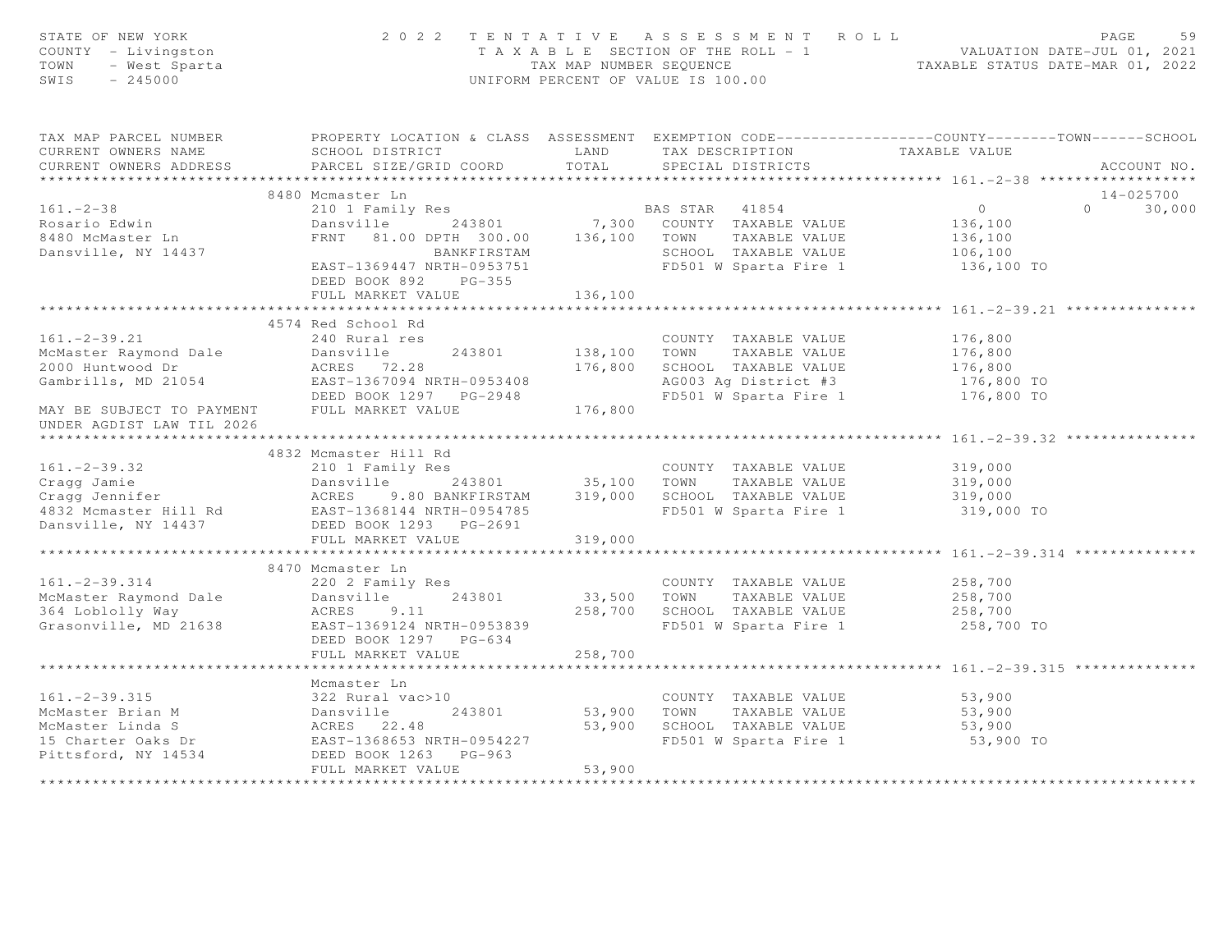| STATE OF NEW YORK<br>COUNTY - Livingston<br>JF NEW YORA<br>- Livingston<br>- West Sparta<br>- Arnon<br>TOWN<br>SWIS                                                                                                                                                    | 2 0 2 2<br>TENTATIVE ASSESSMENT ROLL<br>UNIFORM PERCENT OF VALUE IS 100.00 | PAGE<br>59<br>T A X A B L E SECTION OF THE ROLL - 1 VALUATION DATE-JUL 01, 2021<br>TAX MAP NUMBER SEQUENCE TAXABLE STATUS DATE-MAR 01, 2022 |                                                                  |                                                                                                                                    |
|------------------------------------------------------------------------------------------------------------------------------------------------------------------------------------------------------------------------------------------------------------------------|----------------------------------------------------------------------------|---------------------------------------------------------------------------------------------------------------------------------------------|------------------------------------------------------------------|------------------------------------------------------------------------------------------------------------------------------------|
| TAX MAP PARCEL NUMBER<br>CURRENT OWNERS NAME<br>CURRENT OWNERS ADDRESS                                                                                                                                                                                                 | SCHOOL DISTRICT LAND<br>PARCEL SIZE/GRID COORD                             | TOTAL                                                                                                                                       | TAX DESCRIPTION<br>SPECIAL DISTRICTS                             | PROPERTY LOCATION & CLASS ASSESSMENT EXEMPTION CODE-----------------COUNTY--------TOWN------SCHOOL<br>TAXABLE VALUE<br>ACCOUNT NO. |
|                                                                                                                                                                                                                                                                        |                                                                            |                                                                                                                                             |                                                                  |                                                                                                                                    |
|                                                                                                                                                                                                                                                                        | 8480 Mcmaster Ln                                                           |                                                                                                                                             |                                                                  | 14-025700                                                                                                                          |
| $161 - 2 - 38$                                                                                                                                                                                                                                                         |                                                                            |                                                                                                                                             |                                                                  | $\overline{0}$<br>30,000<br>$\Omega$                                                                                               |
| Rosario Edwin                                                                                                                                                                                                                                                          |                                                                            |                                                                                                                                             |                                                                  | 136,100                                                                                                                            |
| 8480 McMaster Ln                                                                                                                                                                                                                                                       |                                                                            |                                                                                                                                             | FRNT 81.00 DPTH 300.00 136,100 TOWN TAXABLE VALUE                | 136,100                                                                                                                            |
| Dansville, NY 14437                                                                                                                                                                                                                                                    |                                                                            | BANKFIRSTAM                                                                                                                                 | SCHOOL TAXABLE VALUE                                             | 106,100                                                                                                                            |
|                                                                                                                                                                                                                                                                        | EAST-1369447 NRTH-0953751                                                  |                                                                                                                                             | FD501 W Sparta Fire 1                                            | 136,100 TO                                                                                                                         |
|                                                                                                                                                                                                                                                                        | DEED BOOK 892 PG-355                                                       |                                                                                                                                             |                                                                  |                                                                                                                                    |
|                                                                                                                                                                                                                                                                        | FULL MARKET VALUE                                                          | 136,100                                                                                                                                     |                                                                  |                                                                                                                                    |
|                                                                                                                                                                                                                                                                        |                                                                            |                                                                                                                                             |                                                                  |                                                                                                                                    |
|                                                                                                                                                                                                                                                                        | 4574 Red School Rd                                                         |                                                                                                                                             |                                                                  |                                                                                                                                    |
| $161. - 2 - 39.21$                                                                                                                                                                                                                                                     | 240 Rural res                                                              |                                                                                                                                             | COUNTY TAXABLE VALUE                                             | 176,800                                                                                                                            |
| McMaster Raymond Dale Dansville                                                                                                                                                                                                                                        |                                                                            |                                                                                                                                             | 243801 138,100 TOWN TAXABLE VALUE                                | 176,800<br>176,800                                                                                                                 |
| 2000 Huntwood Dr                                                                                                                                                                                                                                                       | ACRES 72.28                                                                | 176,800                                                                                                                                     | SCHOOL TAXABLE VALUE                                             |                                                                                                                                    |
| Gambrills, MD 21054                                                                                                                                                                                                                                                    | EAST-1367094 NRTH-0953408                                                  |                                                                                                                                             | AG003 Ag District #3<br>FD501 W Sparta Fire 1 176,800 TO         | 176,800 TO                                                                                                                         |
|                                                                                                                                                                                                                                                                        | EAJI-130/094 NRTH-0953408<br>DEED BOOK 1297 PG-2948<br>THIS MORTH-         |                                                                                                                                             |                                                                  |                                                                                                                                    |
| MAY BE SUBJECT TO PAYMENT FULL MARKET VALUE                                                                                                                                                                                                                            |                                                                            | 176,800                                                                                                                                     |                                                                  |                                                                                                                                    |
| UNDER AGDIST LAW TIL 2026                                                                                                                                                                                                                                              |                                                                            |                                                                                                                                             |                                                                  |                                                                                                                                    |
|                                                                                                                                                                                                                                                                        | 4832 Mcmaster Hill Rd                                                      |                                                                                                                                             |                                                                  |                                                                                                                                    |
| $161. - 2 - 39.32$                                                                                                                                                                                                                                                     | 210 1 Family Res                                                           |                                                                                                                                             | COUNTY TAXABLE VALUE                                             | 319,000                                                                                                                            |
|                                                                                                                                                                                                                                                                        |                                                                            |                                                                                                                                             |                                                                  | 319,000                                                                                                                            |
| Cragg Jamie<br>Cragg Jamie<br>Cragg Jennifer<br>2018 - Market States ACRES<br>2018 - ACRES 9.80 BANKFIRSTAM<br>219,000 SCHOOL TAXABLE VALUE<br>219,000 SCHOOL TAXABLE VALUE<br>219,000 SCHOOL TAXABLE VALUE<br>219,000 SCHOOL TAXABLE VALUE<br>2                       |                                                                            |                                                                                                                                             |                                                                  | 319,000                                                                                                                            |
|                                                                                                                                                                                                                                                                        |                                                                            |                                                                                                                                             |                                                                  | 319,000 TO                                                                                                                         |
|                                                                                                                                                                                                                                                                        |                                                                            |                                                                                                                                             |                                                                  |                                                                                                                                    |
|                                                                                                                                                                                                                                                                        | FULL MARKET VALUE                                                          | 319,000                                                                                                                                     |                                                                  |                                                                                                                                    |
|                                                                                                                                                                                                                                                                        |                                                                            |                                                                                                                                             |                                                                  | ************************************* 161.-2-39.314 *********                                                                      |
|                                                                                                                                                                                                                                                                        | 8470 Mcmaster Ln                                                           |                                                                                                                                             |                                                                  |                                                                                                                                    |
| $161 - 2 - 39.314$                                                                                                                                                                                                                                                     | 220 2 Family Res                                                           |                                                                                                                                             | COUNTY TAXABLE VALUE                                             | 258,700                                                                                                                            |
|                                                                                                                                                                                                                                                                        | 243801<br>Dansville                                                        |                                                                                                                                             |                                                                  | 258,700                                                                                                                            |
| McMaster Raymond Dale<br>364 Loblolly Way                                                                                                                                                                                                                              | ACRES 9.11                                                                 |                                                                                                                                             | 243801 33,500 TOWN TAXABLE VALUE<br>258,700 SCHOOL TAXABLE VALUE | 258,700                                                                                                                            |
| Grasonville, MD 21638                                                                                                                                                                                                                                                  | EAST-1369124 NRTH-0953839                                                  |                                                                                                                                             | FD501 W Sparta Fire 1                                            | 258,700 TO                                                                                                                         |
|                                                                                                                                                                                                                                                                        | DEED BOOK 1297 PG-634                                                      |                                                                                                                                             |                                                                  |                                                                                                                                    |
|                                                                                                                                                                                                                                                                        | FULL MARKET VALUE                                                          | 258,700                                                                                                                                     |                                                                  |                                                                                                                                    |
|                                                                                                                                                                                                                                                                        |                                                                            |                                                                                                                                             |                                                                  |                                                                                                                                    |
|                                                                                                                                                                                                                                                                        | Mcmaster Ln                                                                |                                                                                                                                             |                                                                  |                                                                                                                                    |
|                                                                                                                                                                                                                                                                        |                                                                            |                                                                                                                                             | COUNTY TAXABLE VALUE                                             | 53,900                                                                                                                             |
| 161.-2-39.315<br>McMaster Brian M<br>McMaster Linda S<br>15 Charter Oaks Dr<br>Pittsford, NY 14534<br>22 Rural vac>10<br>243801<br>243801<br>243801<br>243801<br>243801<br>243801<br>243801<br>243801<br>243801<br>243801<br>243801<br>243801<br>25 22.48<br>22.48<br> |                                                                            | 53,900                                                                                                                                      | TOWN<br>TAXABLE VALUE                                            | 53,900                                                                                                                             |
|                                                                                                                                                                                                                                                                        |                                                                            | 53,900                                                                                                                                      | SCHOOL TAXABLE VALUE                                             | 53,900                                                                                                                             |
|                                                                                                                                                                                                                                                                        |                                                                            |                                                                                                                                             | FD501 W Sparta Fire 1                                            | 53,900 TO                                                                                                                          |
|                                                                                                                                                                                                                                                                        |                                                                            |                                                                                                                                             |                                                                  |                                                                                                                                    |
|                                                                                                                                                                                                                                                                        | FULL MARKET VALUE                                                          | 53,900                                                                                                                                      |                                                                  |                                                                                                                                    |
|                                                                                                                                                                                                                                                                        |                                                                            |                                                                                                                                             |                                                                  |                                                                                                                                    |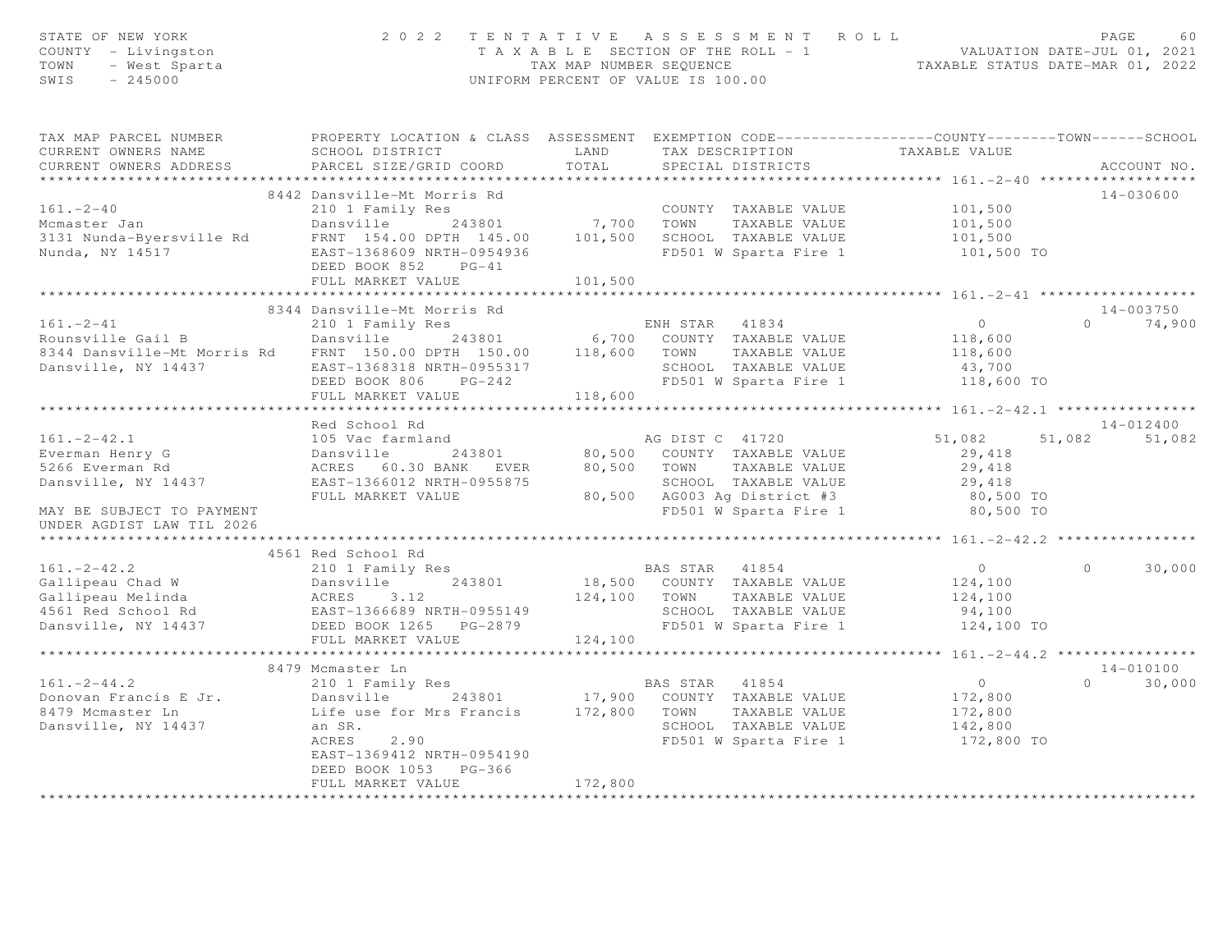| STATE OF NEW YORK<br>COUNTY - Livingston<br>TOWN<br>- West Sparta<br>$-245000$<br>SWIS                                                                                                                                                     | 2 0 2 2                                                                                             |              | TENTATIVE ASSESSMENT ROLL<br>T A X A B L E SECTION OF THE ROLL - 1 VALUATION DATE-JUL 01, 2021<br>TAX MAP NUMBER SEQUENCE TAXABLE STATUS DATE-MAR 01, 2022<br>UNIFORM PERCENT OF VALUE IS 100.00 |                      | PAGE<br>60         |
|--------------------------------------------------------------------------------------------------------------------------------------------------------------------------------------------------------------------------------------------|-----------------------------------------------------------------------------------------------------|--------------|--------------------------------------------------------------------------------------------------------------------------------------------------------------------------------------------------|----------------------|--------------------|
| TAX MAP PARCEL NUMBER THE PROPERTY LOCATION & CLASS ASSESSMENT EXEMPTION CODE--------------COUNTY-------TOWN------SCHOOL<br>CURRENT OWNERS NAME                                                                                            | SCHOOL DISTRICT                                                                                     | LAND         | TAX DESCRIPTION                                                                                                                                                                                  | TAXABLE VALUE        |                    |
| CURRENT OWNERS ADDRESS                                                                                                                                                                                                                     | PARCEL SIZE/GRID COORD                                                                              | TOTAL        | SPECIAL DISTRICTS                                                                                                                                                                                |                      | ACCOUNT NO.        |
| ***********************                                                                                                                                                                                                                    | ******************************                                                                      |              |                                                                                                                                                                                                  |                      |                    |
|                                                                                                                                                                                                                                            | 8442 Dansville-Mt Morris Rd                                                                         |              |                                                                                                                                                                                                  |                      | 14-030600          |
| $161. - 2 - 40$                                                                                                                                                                                                                            | 210 1 Family Res                                                                                    |              | COUNTY TAXABLE VALUE                                                                                                                                                                             | 101,500              |                    |
| Mcmaster Jan<br>3131 Nunda-Byersville Rd                                                                                                                                                                                                   | Dansville<br>FRNT 154.00 DPTH 145.00 101,500 SCHOOL TAXABLE VALUE                                   |              | TAXABLE VALUE                                                                                                                                                                                    | 101,500<br>101,500   |                    |
|                                                                                                                                                                                                                                            | EAST-1368609 NRTH-0954936                                                                           |              | FD501 W Sparta Fire 1                                                                                                                                                                            | 101,500 TO           |                    |
| Nunda, NY 14517                                                                                                                                                                                                                            | DEED BOOK 852 PG-41                                                                                 |              |                                                                                                                                                                                                  |                      |                    |
|                                                                                                                                                                                                                                            | FULL MARKET VALUE                                                                                   | 101,500      |                                                                                                                                                                                                  |                      |                    |
|                                                                                                                                                                                                                                            |                                                                                                     |              |                                                                                                                                                                                                  |                      |                    |
| 8344 Dansville-Mt Morris Rd<br>210 1 Family Res<br>243801 6,700 COUNTY TAXABLE VALUE<br>8344 Dansville-Mt Morris Rd<br>ERST-1368318 NRTH-0955317 5CHOOL TAXABLE VALUE<br>ERST-1368318 NRTH-0955317 5CHOOL TAXABLE VALUE<br>TEED BOOK 806 P |                                                                                                     |              |                                                                                                                                                                                                  |                      | 14-003750          |
|                                                                                                                                                                                                                                            |                                                                                                     |              |                                                                                                                                                                                                  | $\overline{O}$       | $0 \t 74,900$      |
|                                                                                                                                                                                                                                            |                                                                                                     |              |                                                                                                                                                                                                  | 118,600              |                    |
|                                                                                                                                                                                                                                            |                                                                                                     |              |                                                                                                                                                                                                  | 118,600              |                    |
|                                                                                                                                                                                                                                            |                                                                                                     |              |                                                                                                                                                                                                  | 43,700<br>118,600 TO |                    |
|                                                                                                                                                                                                                                            | FULL MARKET VALUE                                                                                   | 118,600      |                                                                                                                                                                                                  |                      |                    |
|                                                                                                                                                                                                                                            |                                                                                                     |              |                                                                                                                                                                                                  |                      |                    |
|                                                                                                                                                                                                                                            | Red School Rd                                                                                       |              |                                                                                                                                                                                                  |                      | 14-012400          |
| $161. -2 - 42.1$                                                                                                                                                                                                                           | 105 Vac farmland                                                                                    |              | AG DIST C 41720                                                                                                                                                                                  | 51,082               | 51,082 51,082      |
| Everman Henry G                                                                                                                                                                                                                            | Dansville                                                                                           |              | AG DIST C 41/20<br>243801 20,500 COUNTY TAXABLE VALUE                                                                                                                                            | 29,418               |                    |
| 5266 Everman Rd                                                                                                                                                                                                                            | ACRES 60.30 BANK EVER 80,500 TOWN TAXABLE VALUE                                                     |              |                                                                                                                                                                                                  | 29,418               |                    |
| Dansville, NY 14437                                                                                                                                                                                                                        | EAST-1366012 NRTH-0955875                                                                           |              | SCHOOL TAXABLE VALUE                                                                                                                                                                             | 29,418<br>80,500 TO  |                    |
|                                                                                                                                                                                                                                            | FULL MARKET VALUE                                                                                   |              | 80,500 AG003 Ag District #3                                                                                                                                                                      |                      |                    |
| MAY BE SUBJECT TO PAYMENT                                                                                                                                                                                                                  |                                                                                                     |              | FD501 W Sparta Fire 1                                                                                                                                                                            | 80,500 TO            |                    |
| UNDER AGDIST LAW TIL 2026                                                                                                                                                                                                                  |                                                                                                     |              |                                                                                                                                                                                                  |                      |                    |
|                                                                                                                                                                                                                                            | 4561 Red School Rd                                                                                  |              |                                                                                                                                                                                                  |                      |                    |
| $161 - 2 - 42.2$                                                                                                                                                                                                                           | 210 1 Family Res                                                                                    |              | BAS STAR 41854<br>243801 18,500 COUNTY TAXABLE VALUE                                                                                                                                             | $\overline{0}$       | $\Omega$<br>30,000 |
|                                                                                                                                                                                                                                            |                                                                                                     |              |                                                                                                                                                                                                  | 124,100              |                    |
|                                                                                                                                                                                                                                            |                                                                                                     | 124,100 TOWN | TAXABLE VALUE                                                                                                                                                                                    | 124,100              |                    |
|                                                                                                                                                                                                                                            |                                                                                                     |              |                                                                                                                                                                                                  | 94,100               |                    |
| Callipeau Chad W<br>Gallipeau Melinda<br>4561 Red School Rd<br>Dansville, NY 14437<br>Dansville, NY 14437<br>DEED BOOK 1265 PG-2879<br>THIT MADKET VALUE                                                                                   |                                                                                                     |              | SCHOOL TAXABLE VALUE<br>FD501 W Sparta Fire 1                                                                                                                                                    | 124,100 TO           |                    |
|                                                                                                                                                                                                                                            | FULL MARKET VALUE                                                                                   | 124,100      |                                                                                                                                                                                                  |                      |                    |
|                                                                                                                                                                                                                                            |                                                                                                     |              |                                                                                                                                                                                                  |                      |                    |
|                                                                                                                                                                                                                                            | 8479 Mcmaster Ln                                                                                    |              |                                                                                                                                                                                                  |                      | 14-010100          |
| $161. -2 - 44.2$                                                                                                                                                                                                                           | 210 1 Family Res                                                                                    |              | BAS STAR 41854                                                                                                                                                                                   | $\overline{0}$       | 30,000<br>$\Omega$ |
| Donovan Francis E Jr.                                                                                                                                                                                                                      | Dansville 243801 17,900 COUNTY TAXABLE VALUE<br>Life use for Mrs Francis 172,800 TOWN TAXABLE VALUE |              |                                                                                                                                                                                                  | 172,800              |                    |
| 8479 Mcmaster Ln                                                                                                                                                                                                                           |                                                                                                     |              |                                                                                                                                                                                                  | 172,800              |                    |
| Dansville, NY 14437                                                                                                                                                                                                                        | an SR.<br>ACRES<br>2.90                                                                             |              | SCHOOL TAXABLE VALUE<br>FD501 W Sparta Fire 1 172,800 TO                                                                                                                                         | 142,800              |                    |
|                                                                                                                                                                                                                                            | EAST-1369412 NRTH-0954190                                                                           |              |                                                                                                                                                                                                  |                      |                    |
|                                                                                                                                                                                                                                            | DEED BOOK 1053 PG-366                                                                               |              |                                                                                                                                                                                                  |                      |                    |
|                                                                                                                                                                                                                                            | FULL MARKET VALUE                                                                                   | 172,800      |                                                                                                                                                                                                  |                      |                    |
|                                                                                                                                                                                                                                            |                                                                                                     |              |                                                                                                                                                                                                  |                      |                    |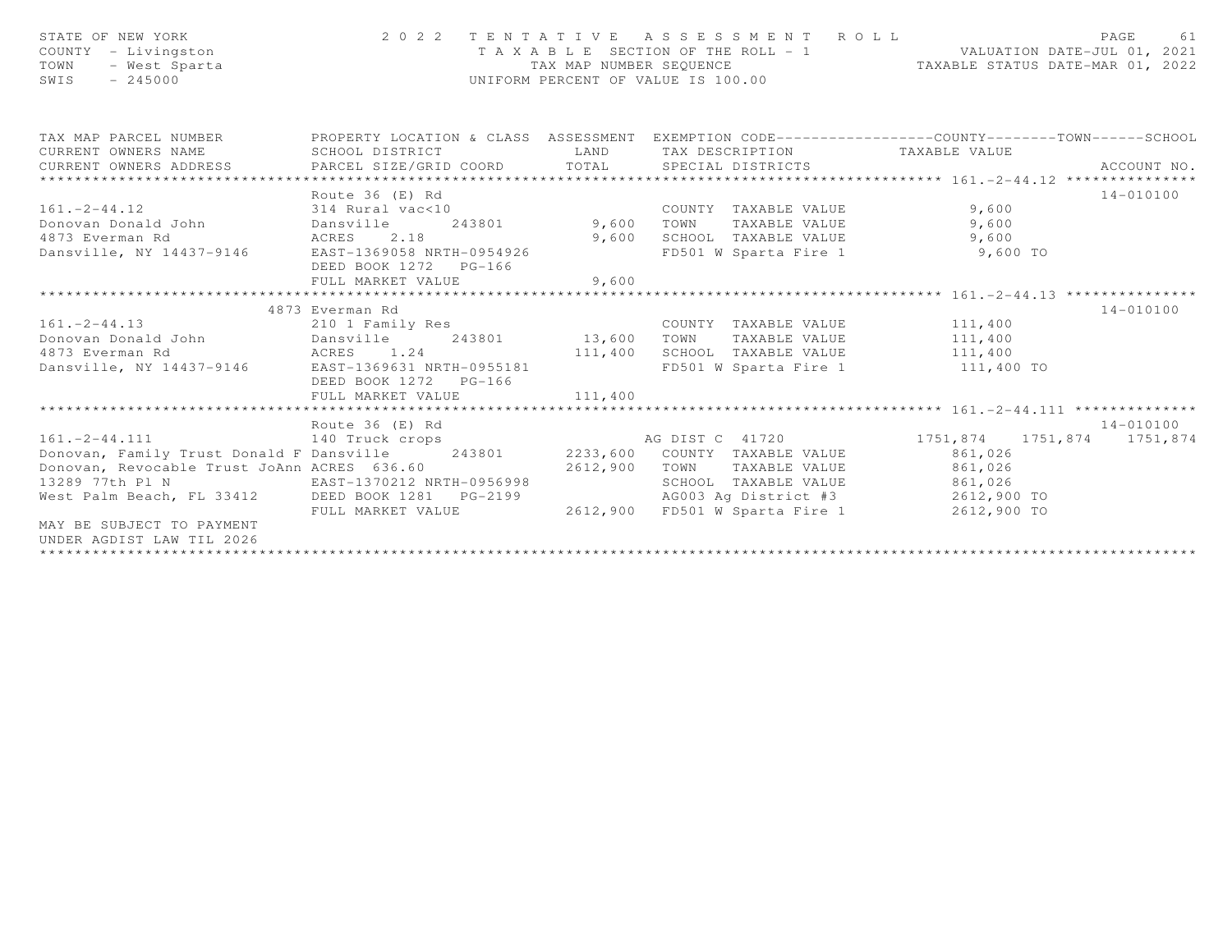| STATE OF NEW YORK<br>COUNTY - Livingston<br>- West Sparta<br>TOWN<br>$-245000$<br>SWIS |                                                         | TAX MAP NUMBER SEOUENCE | 2022 TENTATIVE ASSESSMENT ROLL<br>T A X A B L E SECTION OF THE ROLL - 1 VALUATION DATE-JUL 01, 2021<br>UNIFORM PERCENT OF VALUE IS 100.00 | TAXABLE STATUS DATE-MAR 01, 2022                              | PAGE<br>61    |
|----------------------------------------------------------------------------------------|---------------------------------------------------------|-------------------------|-------------------------------------------------------------------------------------------------------------------------------------------|---------------------------------------------------------------|---------------|
| TAX MAP PARCEL NUMBER<br>CURRENT OWNERS NAME                                           | PROPERTY LOCATION & CLASS ASSESSMENT<br>SCHOOL DISTRICT | LAND                    | TAX DESCRIPTION TAXABLE VALUE                                                                                                             | EXEMPTION CODE-----------------COUNTY--------TOWN------SCHOOL |               |
| CURRENT OWNERS ADDRESS                                                                 |                                                         | TOTAL                   |                                                                                                                                           |                                                               |               |
|                                                                                        |                                                         |                         |                                                                                                                                           |                                                               |               |
|                                                                                        | Route 36 (E) Rd                                         |                         |                                                                                                                                           |                                                               | $14 - 010100$ |
| $161 - 2 - 44.12$                                                                      | 314 Rural vac<10                                        |                         | COUNTY TAXABLE VALUE                                                                                                                      | 9,600                                                         |               |
| Donovan Donald John                                                                    | Dansville<br>243801                                     | 9,600                   | TAXABLE VALUE<br>TOWN                                                                                                                     | 9,600                                                         |               |
| 4873 Everman Rd                                                                        | ACRES 2.18                                              | 9,600                   | SCHOOL TAXABLE VALUE                                                                                                                      | 9,600                                                         |               |
| Dansville, NY 14437-9146                                                               | EAST-1369058 NRTH-0954926<br>DEED BOOK 1272 PG-166      |                         | FD501 W Sparta Fire 1                                                                                                                     | 9,600 TO                                                      |               |
|                                                                                        | FULL MARKET VALUE                                       | 9,600                   |                                                                                                                                           |                                                               |               |
|                                                                                        |                                                         |                         |                                                                                                                                           |                                                               |               |
|                                                                                        | 4873 Everman Rd                                         |                         |                                                                                                                                           |                                                               | $14 - 010100$ |
| $161. -2 - 44.13$                                                                      | 210 1 Family Res                                        |                         | COUNTY TAXABLE VALUE                                                                                                                      | 111,400                                                       |               |
| Donovan Donald John Dansville                                                          | 243801                                                  | 13,600                  | TAXABLE VALUE<br>TOWN                                                                                                                     | 111,400                                                       |               |
| 4873 Everman Rd                                                                        | ACRES 1.24                                              | 111,400                 | SCHOOL TAXABLE VALUE                                                                                                                      | 111,400                                                       |               |
| Dansville, NY 14437-9146 EAST-1369631 NRTH-0955181                                     |                                                         |                         | FD501 W Sparta Fire 1 111,400 TO                                                                                                          |                                                               |               |
|                                                                                        | DEED BOOK 1272 PG-166                                   |                         |                                                                                                                                           |                                                               |               |
|                                                                                        | FULL MARKET VALUE                                       | 111,400                 |                                                                                                                                           |                                                               |               |
|                                                                                        | Route 36 (E) Rd                                         |                         |                                                                                                                                           |                                                               | 14-010100     |
| 161.-2-44.111 140 Truck crops                                                          |                                                         |                         | AG DIST C 41720                                                                                                                           | 1751,874 1751,874 1751,874                                    |               |
| Donovan, Family Trust Donald F Dansville 243801                                        |                                                         |                         | 2233,600 COUNTY TAXABLE VALUE                                                                                                             | 861,026                                                       |               |
| Donovan, Revocable Trust JoAnn ACRES 636.60                                            |                                                         | 2612,900                | TAXABLE VALUE<br>TOWN                                                                                                                     | 861,026                                                       |               |
| 13289 77th Pl N                                                                        | EAST-1370212 NRTH-0956998                               |                         | SCHOOL TAXABLE VALUE                                                                                                                      | 861,026                                                       |               |
| West Palm Beach, FL 33412 DEED BOOK 1281 PG-2199                                       |                                                         |                         | AG003 Ag District #3 2612,900 TO                                                                                                          |                                                               |               |
|                                                                                        | FULL MARKET VALUE                                       | 2612,900                | FD501 W Sparta Fire 1 2612,900 TO                                                                                                         |                                                               |               |
| MAY BE SUBJECT TO PAYMENT<br>UNDER AGDIST LAW TIL 2026                                 |                                                         |                         |                                                                                                                                           |                                                               |               |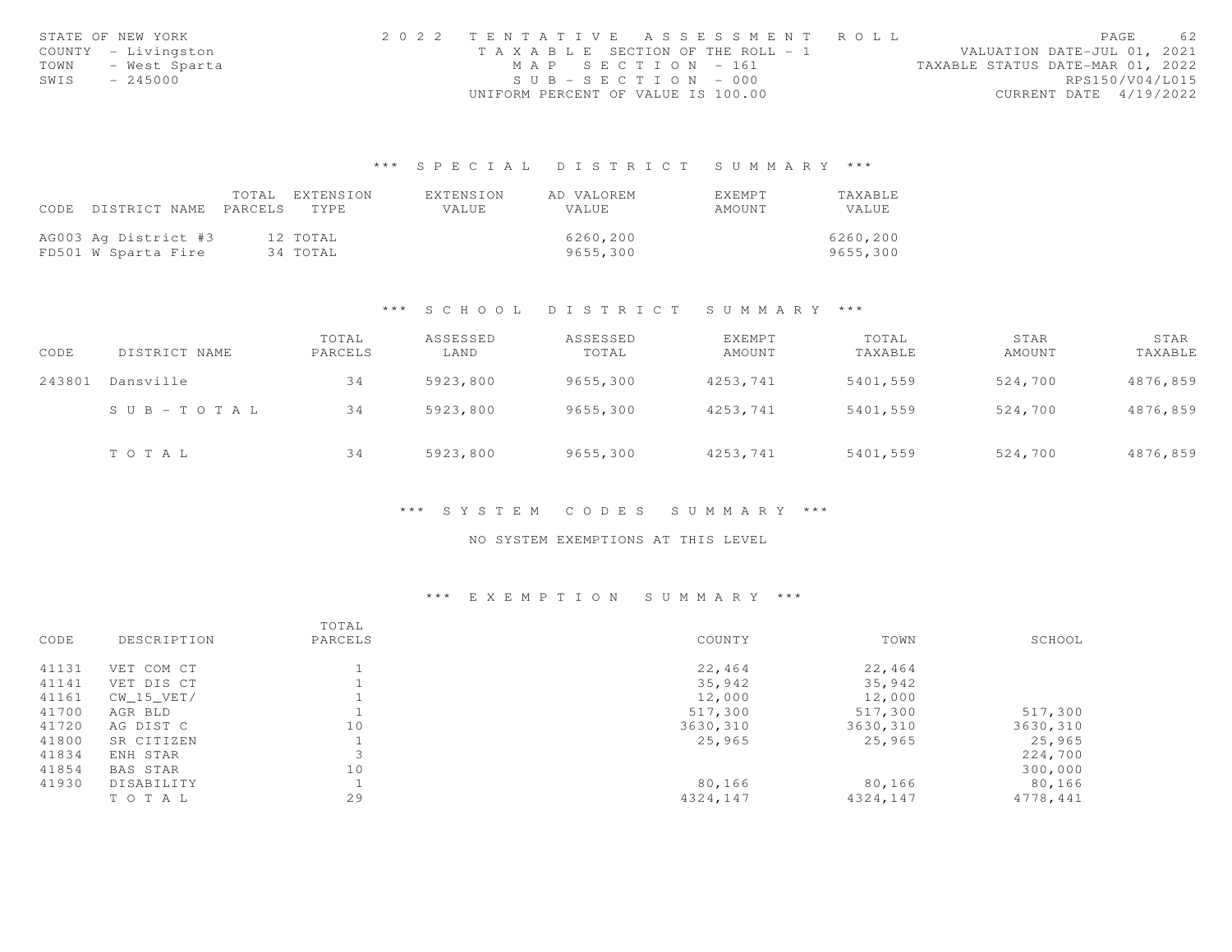|      | STATE OF NEW YORK   |                                    |                       | 2022 TENTATIVE ASSESSMENT ROLL        |                                  |                        | PAGE | 62 |
|------|---------------------|------------------------------------|-----------------------|---------------------------------------|----------------------------------|------------------------|------|----|
|      | COUNTY - Livingston |                                    |                       | T A X A B L E SECTION OF THE ROLL - 1 | VALUATION DATE-JUL 01, 2021      |                        |      |    |
| TOWN | - West Sparta       |                                    | MAP SECTION - 161     |                                       | TAXABLE STATUS DATE-MAR 01, 2022 |                        |      |    |
| SWIS | $-245000$           |                                    | $SUB - SECTION - 000$ |                                       |                                  | RPS150/V04/L015        |      |    |
|      |                     | UNIFORM PERCENT OF VALUE IS 100.00 |                       |                                       |                                  | CURRENT DATE 4/19/2022 |      |    |

## \*\*\* S P E C I A L D I S T R I C T S U M M A R Y \*\*\*

|                                 | TOTAL | EXTENSION | EXTENSION | AD VALOREM   | EXEMPT | TAXABLE  |
|---------------------------------|-------|-----------|-----------|--------------|--------|----------|
| CODE DISTRICT NAME PARCELS TYPE |       |           | VALUE.    | <b>VALUE</b> | AMOUNT | VALUE    |
|                                 |       |           |           |              |        |          |
| AG003 Ag District #3            |       | 12 TOTAL  |           | 6260,200     |        | 6260,200 |
| FD501 W Sparta Fire             |       | 34 TOTAL  |           | 9655,300     |        | 9655,300 |

#### \*\*\* S C H O O L D I S T R I C T S U M M A R Y \*\*\*

| CODE   | DISTRICT NAME         | TOTAL<br>PARCELS | ASSESSED<br>LAND | ASSESSED<br>TOTAL | EXEMPT<br>AMOUNT | TOTAL<br>TAXABLE | STAR<br>AMOUNT | STAR<br>TAXABLE |
|--------|-----------------------|------------------|------------------|-------------------|------------------|------------------|----------------|-----------------|
| 243801 | Dansville             | 34               | 5923,800         | 9655,300          | 4253,741         | 5401,559         | 524,700        | 4876,859        |
|        | $S \cup B - TO T A L$ | 34               | 5923,800         | 9655,300          | 4253,741         | 5401,559         | 524,700        | 4876,859        |
|        | TOTAL                 | 34               | 5923,800         | 9655,300          | 4253,741         | 5401,559         | 524,700        | 4876,859        |

#### \*\*\* S Y S T E M C O D E S S U M M A R Y \*\*\*

### NO SYSTEM EXEMPTIONS AT THIS LEVEL

## \*\*\* E X E M P T I O N S U M M A R Y \*\*\*

| CODE  | DESCRIPTION     | TOTAL<br>PARCELS | COUNTY   | TOWN     | SCHOOL   |
|-------|-----------------|------------------|----------|----------|----------|
| 41131 | VET COM CT      |                  | 22,464   | 22,464   |          |
| 41141 | VET DIS CT      |                  | 35,942   | 35,942   |          |
| 41161 | $CW_15_VET/$    |                  | 12,000   | 12,000   |          |
| 41700 | AGR BLD         |                  | 517,300  | 517,300  | 517,300  |
| 41720 | AG DIST C       | 10               | 3630,310 | 3630,310 | 3630,310 |
| 41800 | SR CITIZEN      |                  | 25,965   | 25,965   | 25,965   |
| 41834 | ENH STAR        |                  |          |          | 224,700  |
| 41854 | <b>BAS STAR</b> | 10               |          |          | 300,000  |
| 41930 | DISABILITY      |                  | 80,166   | 80,166   | 80,166   |
|       | TOTAL           | 29               | 4324,147 | 4324,147 | 4778,441 |
|       |                 |                  |          |          |          |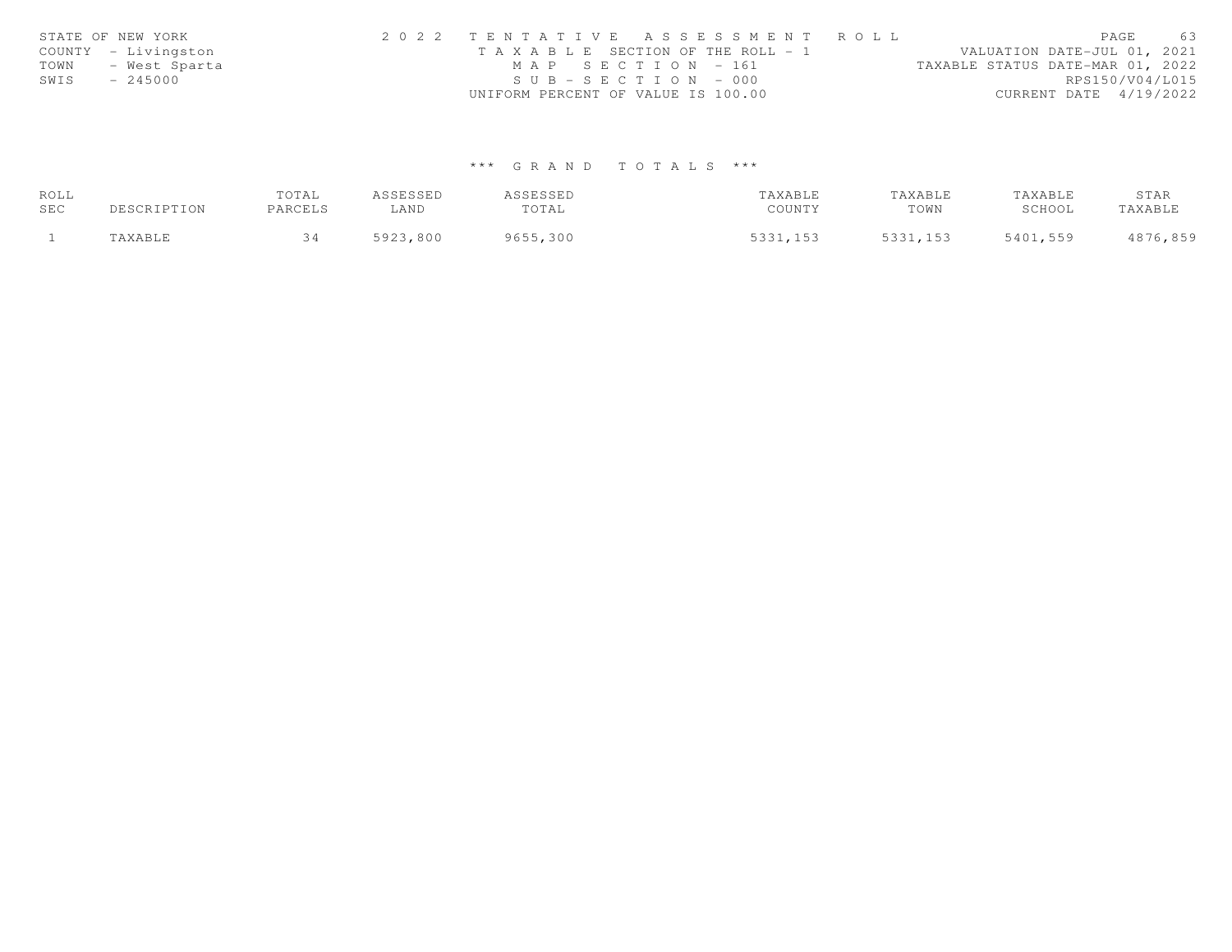|      | STATE OF NEW YORK   | 2022 TENTATIVE ASSESSMENT ROLL        | PAGE                             | 63              |
|------|---------------------|---------------------------------------|----------------------------------|-----------------|
|      | COUNTY - Livingston | T A X A B L E SECTION OF THE ROLL - 1 | VALUATION DATE-JUL 01, 2021      |                 |
| TOWN | - West Sparta       | MAP SECTION - 161                     | TAXABLE STATUS DATE-MAR 01, 2022 |                 |
| SWIS | $-245000$           | $SUB - SECTION - 000$                 |                                  | RPS150/V04/L015 |
|      |                     | UNIFORM PERCENT OF VALUE IS 100.00    | CURRENT DATE 4/19/2022           |                 |

# \*\*\* G R A N D T O T A L S \*\*\*

| ROLL |             | TOTAL   | ASSESSED | ASSESSED | TAXABLE  | TAXABLE  | TAXABLE  | STAR     |
|------|-------------|---------|----------|----------|----------|----------|----------|----------|
| SEC  | DESCRIPTION | PARCELS | LAND     | TOTAL    | COUNTY   | TOWN     | SCHOOL   | TAXABLE  |
|      | 'AXABLE     |         | 5923,800 | 9655,300 | 5331,153 | 5331,153 | 5401,559 | 4876,859 |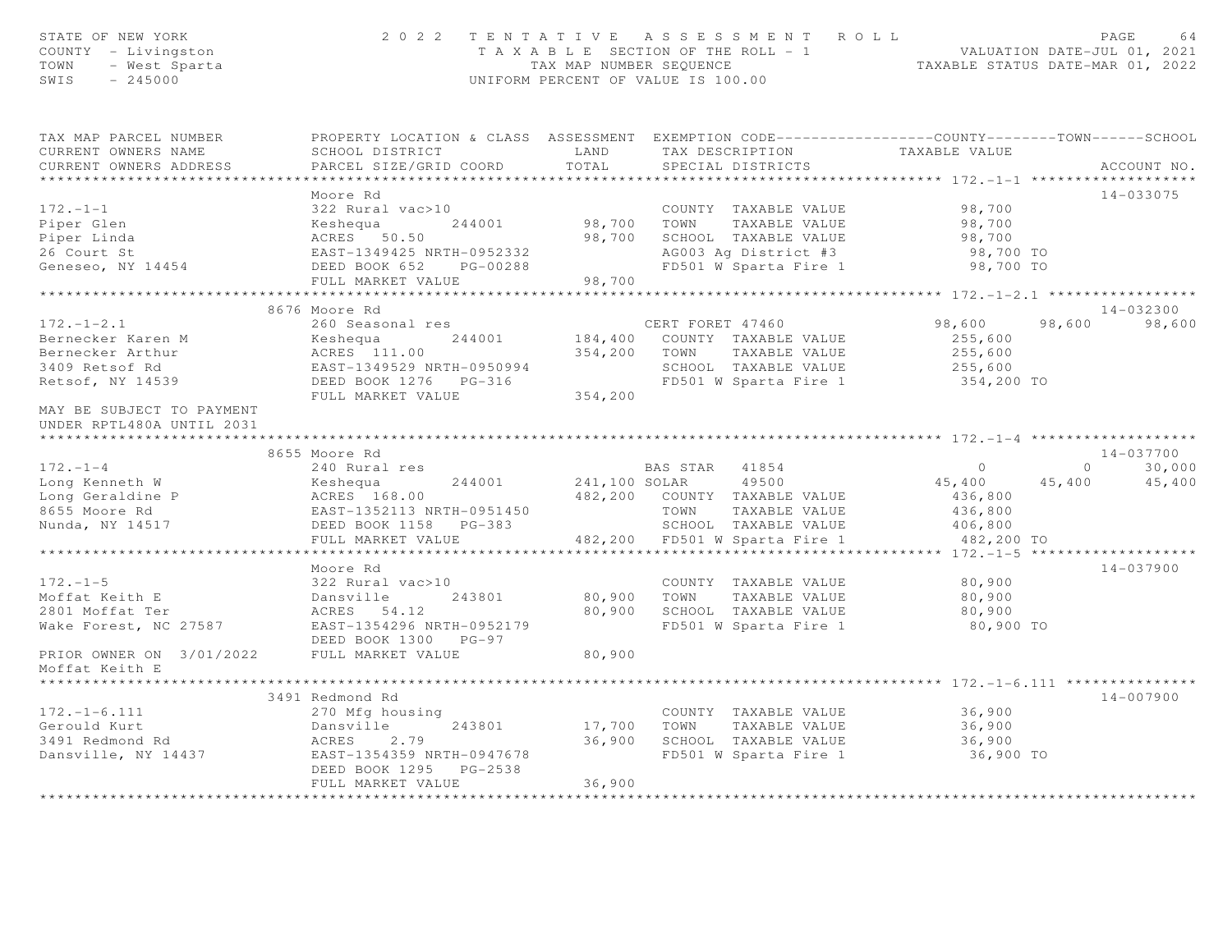| STATE OF NEW YORK<br>COUNTY - Livingston<br>TOWN<br>- West Sparta<br>$-245000$<br>SWIS                                                                    | 2 0 2 2                                                                                                                                                                     | TAX MAP NUMBER SEQUENCE    | TENTATIVE ASSESSMENT ROLL<br>UNIFORM PERCENT OF VALUE IS 100.00                                                                           | T A X A B L E SECTION OF THE ROLL - 1 VALUATION DATE-JUL 01, 2021                                          | PAGE<br>64<br>TAXABLE STATUS DATE-MAR 01, 2022  |
|-----------------------------------------------------------------------------------------------------------------------------------------------------------|-----------------------------------------------------------------------------------------------------------------------------------------------------------------------------|----------------------------|-------------------------------------------------------------------------------------------------------------------------------------------|------------------------------------------------------------------------------------------------------------|-------------------------------------------------|
| TAX MAP PARCEL NUMBER<br>CURRENT OWNERS NAME<br>CURRENT OWNERS ADDRESS<br>***********************                                                         | PROPERTY LOCATION & CLASS ASSESSMENT EXEMPTION CODE---------------COUNTY-------TOWN------SCHOOL<br>SCHOOL DISTRICT<br>PARCEL SIZE/GRID COORD<br>*************************** | LAND<br>TOTAL              | TAX DESCRIPTION<br>SPECIAL DISTRICTS                                                                                                      | TAXABLE VALUE                                                                                              | ACCOUNT NO.                                     |
| $172. - 1 - 1$<br>Piper Glen<br>Piper Linda<br>26 Court St<br>Geneseo, NY 14454                                                                           | Moore Rd<br>322 Rural vac>10<br>Keshequa<br>244001<br>ACRES 50.50<br>EAST-1349425 NRTH-0952332<br>DEED BOOK 652 PG-00288                                                    | 98,700 TOWN<br>98,700      | COUNTY TAXABLE VALUE<br>TAXABLE VALUE<br>SCHOOL TAXABLE VALUE<br>AG003 Ag District #3<br>FD501 W Sparta Fire 1                            | 98,700<br>98,700<br>98,700<br>98,700 TO<br>98,700 TO                                                       | 14-033075                                       |
|                                                                                                                                                           | FULL MARKET VALUE                                                                                                                                                           | 98,700                     |                                                                                                                                           |                                                                                                            |                                                 |
| $172. - 1 - 2.1$<br>Bernecker Karen M<br>Bernecker Arthur<br>3409 Retsof Rd<br>Retsof, NY 14539<br>MAY BE SUBJECT TO PAYMENT<br>UNDER RPTL480A UNTIL 2031 | 8676 Moore Rd<br>260 Seasonal res<br>244001<br>Keshequa<br>ACRES 111.00<br>EAST-1349529 NRTH-0950994<br>DEED BOOK 1276 PG-316<br>FULL MARKET VALUE                          | 354,200                    | CERT FORET 47460<br>184,400 COUNTY TAXABLE VALUE<br>354,200 TOWN<br>TAXABLE VALUE<br>SCHOOL TAXABLE VALUE<br>FD501 W Sparta Fire 1        | ****************** 172. -1-2.1 ******************<br>98,600<br>255,600<br>255,600<br>255,600<br>354,200 TO | 14-032300<br>98,600<br>98,600                   |
|                                                                                                                                                           |                                                                                                                                                                             |                            |                                                                                                                                           |                                                                                                            |                                                 |
|                                                                                                                                                           | 8655 Moore Rd                                                                                                                                                               |                            |                                                                                                                                           |                                                                                                            | $14 - 037700$                                   |
| $172. - 1 - 4$<br>Long Kenneth W<br>Long Geraldine P<br>8655 Moore Rd<br>Nunda, NY 14517                                                                  | 240 Rural res<br>Keshequa<br>244001<br>ACRES 168.00<br>EAST-1352113 NRTH-0951450<br>DEED BOOK 1158 PG-383<br>FULL MARKET VALUE<br>* * * * * * * * * * * * * * * * * *       | 241,100 SOLAR              | BAS STAR 41854<br>49500<br>482,200 COUNTY TAXABLE VALUE<br>TOWN<br>TAXABLE VALUE<br>SCHOOL TAXABLE VALUE<br>482,200 FD501 W Sparta Fire 1 | $\overline{0}$<br>45,400<br>436,800<br>436,800<br>406,800<br>482,200 TO                                    | 30,000<br>$0 \qquad \qquad$<br>45,400<br>45,400 |
|                                                                                                                                                           | Moore Rd                                                                                                                                                                    |                            |                                                                                                                                           | ************** 172.-1-5 ********************                                                               | $14 - 037900$                                   |
| $172. - 1 - 5$<br>Moffat Keith E<br>2801 Moffat Ter<br>Wake Forest, NC 27587                                                                              | 322 Rural vac>10<br>243801<br>Dansville<br>ACRES 54.12<br>EAST-1354296 NRTH-0952179<br>DEED BOOK 1300 PG-97                                                                 | 80,900<br>80,900           | COUNTY TAXABLE VALUE<br>TOWN<br>TAXABLE VALUE<br>SCHOOL TAXABLE VALUE<br>FD501 W Sparta Fire 1                                            | 80,900<br>80,900<br>80,900<br>80,900 TO                                                                    |                                                 |
| PRIOR OWNER ON 3/01/2022<br>Moffat Keith E                                                                                                                | FULL MARKET VALUE<br>********                                                                                                                                               | 80,900                     |                                                                                                                                           |                                                                                                            |                                                 |
|                                                                                                                                                           | 3491 Redmond Rd                                                                                                                                                             |                            |                                                                                                                                           | *************** 172.-1-6.111 ***                                                                           | $14 - 007900$                                   |
| $172. - 1 - 6.111$<br>Gerould Kurt<br>3491 Redmond Rd<br>Dansville, NY 14437                                                                              | 270 Mfg housing<br>243801<br>Dansville<br>ACRES<br>2.79<br>EAST-1354359 NRTH-0947678<br>DEED BOOK 1295 PG-2538<br>FULL MARKET VALUE                                         | 17,700<br>36,900<br>36,900 | COUNTY TAXABLE VALUE<br>TOWN<br>TAXABLE VALUE<br>SCHOOL TAXABLE VALUE<br>FD501 W Sparta Fire 1                                            | 36,900<br>36,900<br>36,900<br>36,900 TO                                                                    |                                                 |
| ********************                                                                                                                                      |                                                                                                                                                                             | * * * * * * * * * *        |                                                                                                                                           |                                                                                                            |                                                 |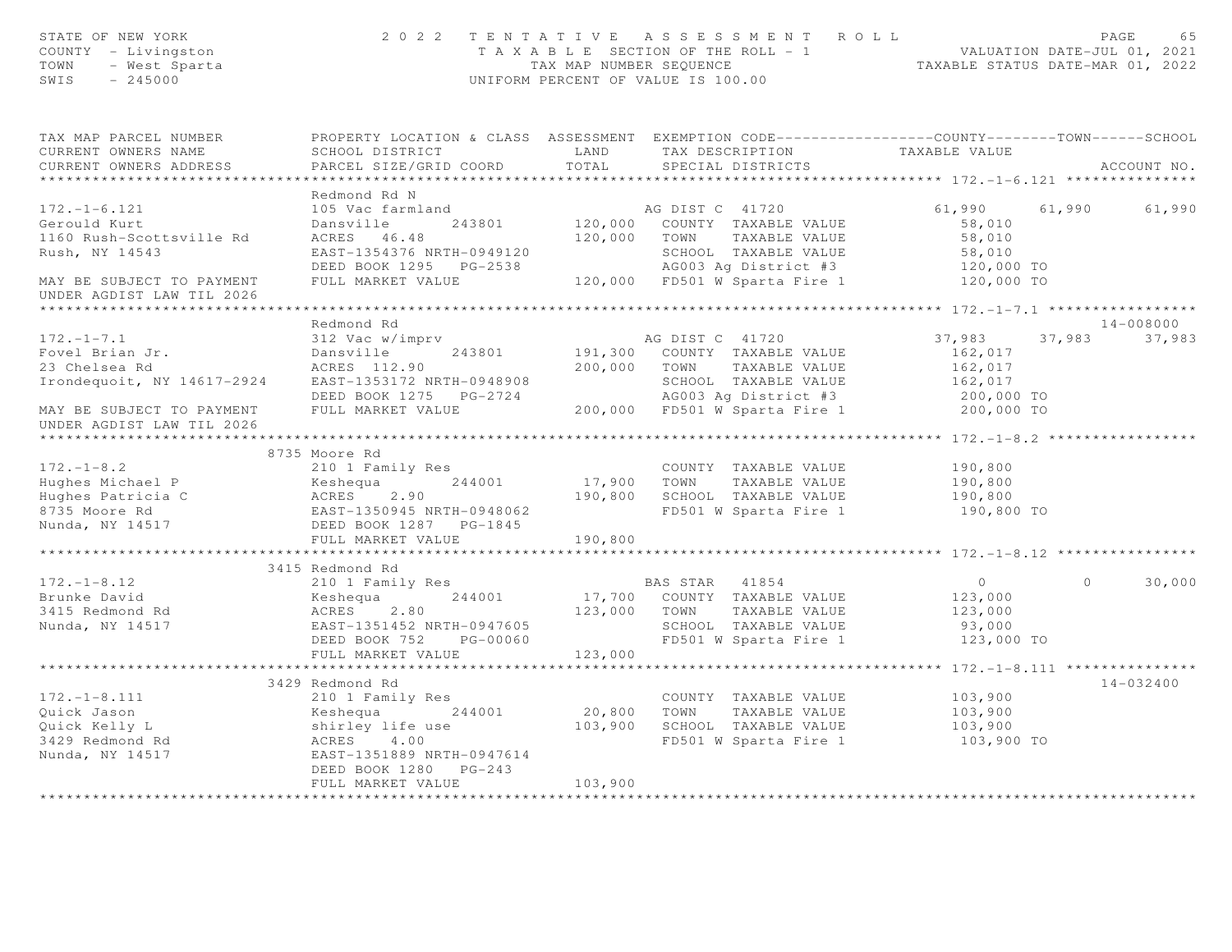| STATE OF NEW YORK<br>COUNTY - Livingston<br>TOWN - West Sparta                                                                                                                                                                       |                                                                                                                                                                               |                    | 2022 TENTATIVE ASSESSMENT ROLL<br>TAXABLE SECTION OF THE ROLL - 1<br>TAXABLE SECTION OF THE ROLL - 1<br>TAXABLE STATUS DATE-JUL 01, 2021<br>TAXABLE STATUS DATE-MAR 01, 2022<br>UNIFORM PERCENT OF VALUE IS 100.00 |                                                                 | PAGE<br>65         |
|--------------------------------------------------------------------------------------------------------------------------------------------------------------------------------------------------------------------------------------|-------------------------------------------------------------------------------------------------------------------------------------------------------------------------------|--------------------|--------------------------------------------------------------------------------------------------------------------------------------------------------------------------------------------------------------------|-----------------------------------------------------------------|--------------------|
| TAX MAP PARCEL NUMBER<br>CURRENT OWNERS NAME                                                                                                                                                                                         | PROPERTY LOCATION & CLASS ASSESSMENT EXEMPTION CODE-----------------COUNTY-------TOWN------SCHOOL<br>LAND                                                                     |                    |                                                                                                                                                                                                                    |                                                                 |                    |
| CURRENT OWNERS ADDRESS                                                                                                                                                                                                               | SCHOOL DISTRICT<br>PARCEL SIZE/GRID COORD                                                                                                                                     | TOTAL              | TAX DESCRIPTION TAXABLE VALUE<br>SPECIAL DISTRICTS                                                                                                                                                                 |                                                                 | ACCOUNT NO.        |
|                                                                                                                                                                                                                                      |                                                                                                                                                                               |                    |                                                                                                                                                                                                                    |                                                                 |                    |
|                                                                                                                                                                                                                                      | Redmond Rd N                                                                                                                                                                  |                    |                                                                                                                                                                                                                    |                                                                 |                    |
| $172. - 1 - 6.121$                                                                                                                                                                                                                   | 105 Vac farmland                                                                                                                                                              |                    | emland<br>243801 120,000 COUNTY TAXABLE VALUE                                                                                                                                                                      | 61,990 61,990 61,990                                            |                    |
| Gerould Kurt                                                                                                                                                                                                                         | Dansville                                                                                                                                                                     |                    |                                                                                                                                                                                                                    | 58,010                                                          |                    |
| 1160 Rush-Scottsville Rd                                                                                                                                                                                                             | ACRES 46.48                                                                                                                                                                   |                    | 120,000 TOWN TAXABLE VALUE                                                                                                                                                                                         | 58,010                                                          |                    |
| Rush, NY 14543                                                                                                                                                                                                                       |                                                                                                                                                                               |                    |                                                                                                                                                                                                                    |                                                                 |                    |
|                                                                                                                                                                                                                                      | EAST-1354376 NRTH-0949120 SCHOOL TAXABLE VALUE 58,010<br>DEED BOOK 1295 PG-2538 AG003 Ag District #3 120,000 TO<br>FULL MARKET VALUE 120,000 FD501 W Sparta Fire 1 120,000 TO |                    |                                                                                                                                                                                                                    |                                                                 |                    |
| MAY BE SUBJECT TO PAYMENT                                                                                                                                                                                                            |                                                                                                                                                                               |                    |                                                                                                                                                                                                                    |                                                                 |                    |
| UNDER AGDIST LAW TIL 2026                                                                                                                                                                                                            |                                                                                                                                                                               |                    |                                                                                                                                                                                                                    |                                                                 |                    |
|                                                                                                                                                                                                                                      |                                                                                                                                                                               |                    |                                                                                                                                                                                                                    |                                                                 | 14-008000          |
| $172. - 1 - 7.1$                                                                                                                                                                                                                     | Redmond Rd<br>312 Vac w/imprv                                                                                                                                                 |                    | AG DIST C 41720                                                                                                                                                                                                    | 37,983<br>37,983                                                | 37,983             |
| Fovel Brian Jr.                                                                                                                                                                                                                      | Dansville                                                                                                                                                                     |                    | 243801 191,300 COUNTY TAXABLE VALUE                                                                                                                                                                                | 162,017                                                         |                    |
| 23 Chelsea Rd                                                                                                                                                                                                                        | ACRES 112.90                                                                                                                                                                  | 200,000 TOWN       | TAXABLE VALUE                                                                                                                                                                                                      | 162,017                                                         |                    |
|                                                                                                                                                                                                                                      |                                                                                                                                                                               |                    |                                                                                                                                                                                                                    |                                                                 |                    |
|                                                                                                                                                                                                                                      |                                                                                                                                                                               |                    |                                                                                                                                                                                                                    |                                                                 |                    |
| 1 Frondequoit, NY 14617-2924 EAST-1353172 NRTH-0948908 SCHOOL TAXABLE VALUE 162,017<br>DEED BOOK 1275 PG-2724 AG003 Ag District #3 200,000 TO<br>MAY BE SUBJECT TO PAYMENT FULL MARKET VALUE 200,000 FD501 W Sparta Fire 1 200,000 T |                                                                                                                                                                               |                    |                                                                                                                                                                                                                    |                                                                 |                    |
| UNDER AGDIST LAW TIL 2026                                                                                                                                                                                                            |                                                                                                                                                                               |                    |                                                                                                                                                                                                                    |                                                                 |                    |
| **********************                                                                                                                                                                                                               |                                                                                                                                                                               |                    |                                                                                                                                                                                                                    |                                                                 |                    |
|                                                                                                                                                                                                                                      | 8735 Moore Rd                                                                                                                                                                 |                    |                                                                                                                                                                                                                    |                                                                 |                    |
| $172. - 1 - 8.2$                                                                                                                                                                                                                     | 210 1 Family Res                                                                                                                                                              |                    | COUNTY TAXABLE VALUE                                                                                                                                                                                               | TAXABLE VALUE<br>TAXABLE VALUE 190,800<br>TAXABLE VALUE 190,800 |                    |
|                                                                                                                                                                                                                                      |                                                                                                                                                                               | 244001 17,900 TOWN |                                                                                                                                                                                                                    |                                                                 |                    |
|                                                                                                                                                                                                                                      |                                                                                                                                                                               |                    | 190,800 SCHOOL TAXABLE VALUE                                                                                                                                                                                       |                                                                 |                    |
| Hughes Michael P<br>Hughes Patricia C<br>8735 Moore Rd<br>Rughes Patricia C<br>8735 Moore Rd<br>Runda, NY 14517<br>REED BOOK 1287 PG-1845                                                                                            |                                                                                                                                                                               |                    | FD501 W Sparta Fire 1 190,800 TO                                                                                                                                                                                   |                                                                 |                    |
|                                                                                                                                                                                                                                      |                                                                                                                                                                               |                    |                                                                                                                                                                                                                    |                                                                 |                    |
|                                                                                                                                                                                                                                      | FULL MARKET VALUE                                                                                                                                                             | 190,800            |                                                                                                                                                                                                                    |                                                                 |                    |
|                                                                                                                                                                                                                                      |                                                                                                                                                                               |                    |                                                                                                                                                                                                                    | **************** 172.-1-8.12 **********                         |                    |
| $172. - 1 - 8.12$                                                                                                                                                                                                                    | 3415 Redmond Rd                                                                                                                                                               |                    |                                                                                                                                                                                                                    | $\overline{0}$                                                  | $\Omega$<br>30,000 |
| Brunke David                                                                                                                                                                                                                         | 210 1 Family Res<br>244001                                                                                                                                                    |                    | BAS STAR 41854<br>17,700 COUNTY TAXABLE VALUE                                                                                                                                                                      | 123,000                                                         |                    |
|                                                                                                                                                                                                                                      | Keshequa <i>(</i><br>ACRES 2.80                                                                                                                                               | 123,000 TOWN       | TAXABLE VALUE                                                                                                                                                                                                      | 123,000                                                         |                    |
|                                                                                                                                                                                                                                      |                                                                                                                                                                               |                    |                                                                                                                                                                                                                    |                                                                 |                    |
|                                                                                                                                                                                                                                      |                                                                                                                                                                               |                    |                                                                                                                                                                                                                    |                                                                 |                    |
|                                                                                                                                                                                                                                      | FULL MARKET VALUE                                                                                                                                                             | 123,000            |                                                                                                                                                                                                                    |                                                                 |                    |
|                                                                                                                                                                                                                                      |                                                                                                                                                                               |                    |                                                                                                                                                                                                                    |                                                                 |                    |
|                                                                                                                                                                                                                                      | 3429 Redmond Rd                                                                                                                                                               |                    |                                                                                                                                                                                                                    |                                                                 | 14-032400          |
| $172. - 1 - 8.111$                                                                                                                                                                                                                   | 210 1 Family Res                                                                                                                                                              |                    | COUNTY TAXABLE VALUE                                                                                                                                                                                               | 103,900                                                         |                    |
| 210 I Family Res<br>Quick Jason Meshequa 244001 20,800 TOWN<br>Quick Kelly L shirley life use 103,900 SCHOOI<br>3429 Redmond Rd ACRES 4.00 FD501<br>Nunda, NY 14517 EAST-1351889 NRTH-0947614                                        |                                                                                                                                                                               |                    | TAXABLE VALUE                                                                                                                                                                                                      | 103,900                                                         |                    |
|                                                                                                                                                                                                                                      |                                                                                                                                                                               |                    | SCHOOL TAXABLE VALUE                                                                                                                                                                                               | 103,900                                                         |                    |
|                                                                                                                                                                                                                                      |                                                                                                                                                                               |                    | FD501 W Sparta Fire 1 103,900 TO                                                                                                                                                                                   |                                                                 |                    |
|                                                                                                                                                                                                                                      |                                                                                                                                                                               |                    |                                                                                                                                                                                                                    |                                                                 |                    |
|                                                                                                                                                                                                                                      | DEED BOOK 1280 PG-243                                                                                                                                                         |                    |                                                                                                                                                                                                                    |                                                                 |                    |
|                                                                                                                                                                                                                                      | FULL MARKET VALUE                                                                                                                                                             | 103,900            |                                                                                                                                                                                                                    |                                                                 |                    |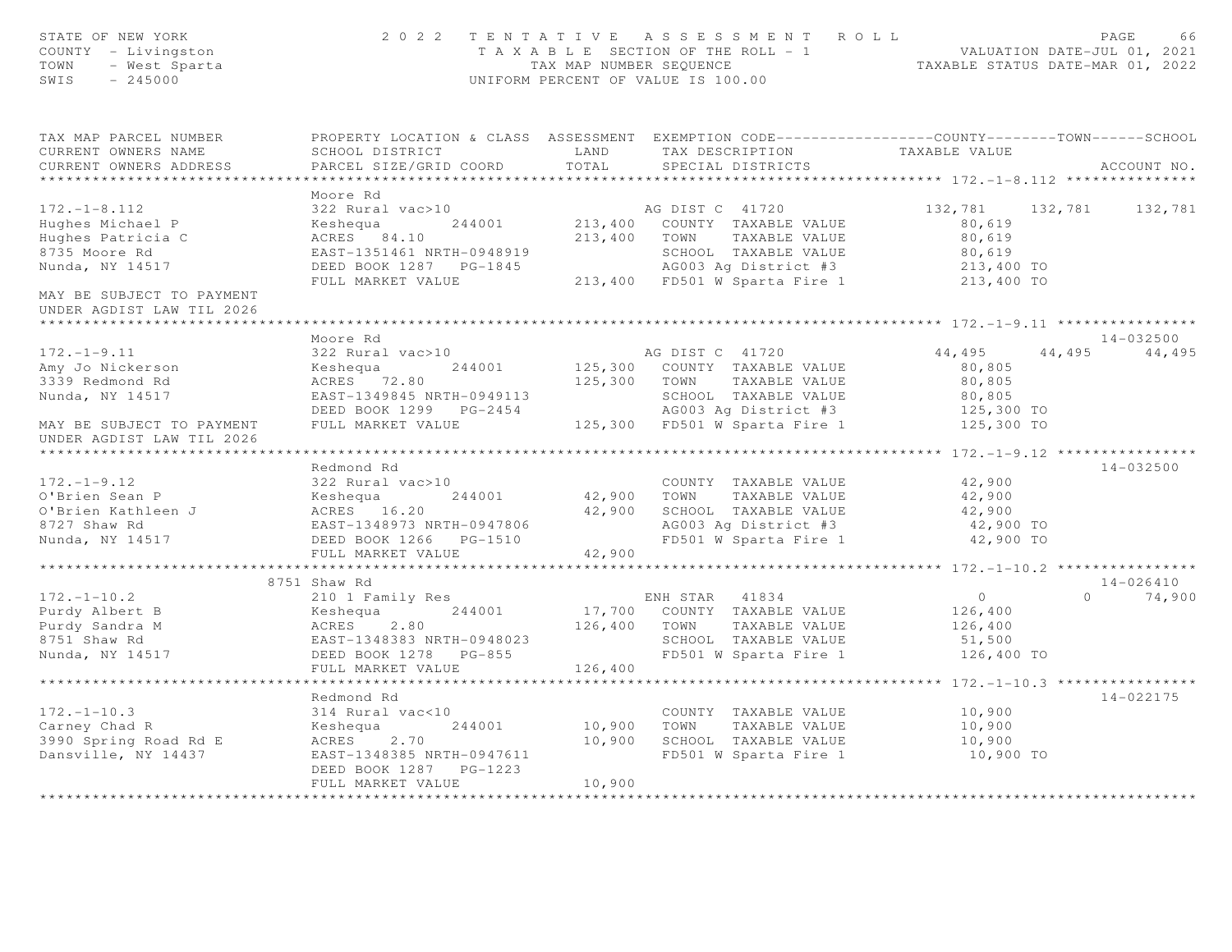| STATE OF NEW YORK<br>COUNTY - Livingston<br>TOWN<br>- West Sparta<br>SWIS<br>$-245000$   |                                                                                                  |                        | 2022 TENTATIVE ASSESSMENT ROLL<br>T A X A B L E SECTION OF THE ROLL - 1 VALUATION DATE-JUL 01, 2021<br>TAX MAP NUMBER SEQUENCE TAXABLE STATUS DATE-MAR 01, 2022<br>UNIFORM PERCENT OF VALUE IS 100.00 |                                             | PAGE<br>66      |
|------------------------------------------------------------------------------------------|--------------------------------------------------------------------------------------------------|------------------------|-------------------------------------------------------------------------------------------------------------------------------------------------------------------------------------------------------|---------------------------------------------|-----------------|
| TAX MAP PARCEL NUMBER                                                                    | PROPERTY LOCATION & CLASS ASSESSMENT EXEMPTION CODE----------------COUNTY-------TOWN------SCHOOL |                        |                                                                                                                                                                                                       |                                             |                 |
| CURRENT OWNERS NAME                                                                      | SCHOOL DISTRICT                                                                                  | LAND                   | TAX DESCRIPTION                                                                                                                                                                                       | TAXABLE VALUE                               |                 |
| CURRENT OWNERS ADDRESS<br>***********************                                        | PARCEL SIZE/GRID COORD                                                                           | TOTAL                  | SPECIAL DISTRICTS                                                                                                                                                                                     |                                             | ACCOUNT NO.     |
|                                                                                          | Moore Rd                                                                                         |                        |                                                                                                                                                                                                       |                                             |                 |
| $172. - 1 - 8.112$                                                                       | 322 Rural vac>10                                                                                 |                        | AG DIST C 41720                                                                                                                                                                                       | 132,781 132,781                             | 132,781         |
| Hughes Michael P                                                                         | Keshequa<br>244001                                                                               |                        | 213,400 COUNTY TAXABLE VALUE                                                                                                                                                                          | 80,619                                      |                 |
| Hughes Patricia C                                                                        | ACRES 84.10                                                                                      |                        | 213,400 TOWN TAXABLE VALUE                                                                                                                                                                            | 80,619                                      |                 |
| 8735 Moore Rd                                                                            | EAST-1351461 NRTH-0948919                                                                        |                        | SCHOOL TAXABLE VALUE                                                                                                                                                                                  | 80,619                                      |                 |
| Nunda, NY 14517                                                                          | DEED BOOK 1287 PG-1845                                                                           |                        | AG003 Aq District #3                                                                                                                                                                                  | 213,400 TO                                  |                 |
|                                                                                          | FULL MARKET VALUE                                                                                |                        | 213,400 FD501 W Sparta Fire 1 213,400 TO                                                                                                                                                              |                                             |                 |
| MAY BE SUBJECT TO PAYMENT<br>UNDER AGDIST LAW TIL 2026                                   |                                                                                                  |                        |                                                                                                                                                                                                       |                                             |                 |
| ********************                                                                     |                                                                                                  |                        |                                                                                                                                                                                                       |                                             |                 |
|                                                                                          | Moore Rd                                                                                         |                        |                                                                                                                                                                                                       |                                             | $14 - 032500$   |
| $172. - 1 - 9.11$                                                                        | 322 Rural vac>10                                                                                 |                        | AG DIST C 41720                                                                                                                                                                                       | 44,495                                      | 44, 495 44, 495 |
| Amy Jo Nickerson                                                                         | Keshequa<br>244001                                                                               |                        | 125,300 COUNTY TAXABLE VALUE                                                                                                                                                                          | 80,805                                      |                 |
| 3339 Redmond Rd                                                                          | ACRES 72.80                                                                                      |                        | 125,300 TOWN TAXABLE VALUE                                                                                                                                                                            | 80,805                                      |                 |
| Nunda, NY 14517                                                                          | EAST-1349845 NRTH-0949113<br>DEED BOOK 1299 PG-2454                                              |                        | SCHOOL TAXABLE VALUE<br>AG003 Ag District #3                                                                                                                                                          | 80,805                                      |                 |
|                                                                                          | FULL MARKET VALUE                                                                                |                        | 125,300 FD501 W Sparta Fire 1                                                                                                                                                                         | 125,300 TO<br>125,300 TO                    |                 |
| MAY BE SUBJECT TO PAYMENT<br>UNDER AGDIST LAW TIL 2026<br>****************************** |                                                                                                  |                        |                                                                                                                                                                                                       |                                             |                 |
|                                                                                          | Redmond Rd                                                                                       |                        |                                                                                                                                                                                                       |                                             | $14 - 032500$   |
| $172. - 1 - 9.12$                                                                        | 322 Rural vac>10                                                                                 |                        | COUNTY TAXABLE VALUE                                                                                                                                                                                  | 42,900                                      |                 |
| O'Brien Sean P                                                                           | 244001<br>Keshequa                                                                               |                        | 42,900 TOWN TAXABLE VALUE                                                                                                                                                                             | 42,900                                      |                 |
| O'Brien Kathleen J                                                                       | --- .<br>ACRES 16.20<br>EAST-1348973 NRTH-0947806                                                |                        | 42,900 SCHOOL TAXABLE VALUE                                                                                                                                                                           | 42,900                                      |                 |
| 8727 Shaw Rd                                                                             |                                                                                                  |                        | AG003 Ag District #3                                                                                                                                                                                  | 42,900 TO                                   |                 |
| Nunda, NY 14517                                                                          | DEED BOOK 1266    PG-1510                                                                        |                        | FD501 W Sparta Fire 1                                                                                                                                                                                 | 42,900 TO                                   |                 |
|                                                                                          | FULL MARKET VALUE                                                                                | 42,900                 |                                                                                                                                                                                                       |                                             |                 |
|                                                                                          | ************************                                                                         | ********************** |                                                                                                                                                                                                       | **************** 172.-1-10.2 ************** |                 |
|                                                                                          | 8751 Shaw Rd                                                                                     |                        |                                                                                                                                                                                                       |                                             | 14-026410       |
| $172. - 1 - 10.2$                                                                        | 210 1 Family Res                                                                                 |                        | ENH STAR 41834                                                                                                                                                                                        | $\overline{0}$                              | $0 \t 74,900$   |
| Purdy Albert B                                                                           | Keshequa 244001                                                                                  |                        | 17,700 COUNTY TAXABLE VALUE                                                                                                                                                                           | 126,400                                     |                 |
| Purdy Sandra M                                                                           | ACRES<br>2.80                                                                                    |                        | 126,400 TOWN<br>TAXABLE VALUE                                                                                                                                                                         | 126,400                                     |                 |
| 8751 Shaw Rd                                                                             | EAST-1348383 NRTH-0948023                                                                        |                        | SCHOOL TAXABLE VALUE                                                                                                                                                                                  | 51,500                                      |                 |
| Nunda, NY 14517                                                                          | DEED BOOK 1278 PG-855                                                                            |                        | FD501 W Sparta Fire 1                                                                                                                                                                                 | 126,400 TO                                  |                 |
|                                                                                          | FULL MARKET VALUE                                                                                | 126,400                |                                                                                                                                                                                                       |                                             |                 |
|                                                                                          | *******************                                                                              |                        |                                                                                                                                                                                                       | ***************** 172.-1-10.3 ************* |                 |
|                                                                                          | Redmond Rd                                                                                       |                        |                                                                                                                                                                                                       |                                             | $14 - 022175$   |
| $172. - 1 - 10.3$                                                                        | 314 Rural vac<10                                                                                 |                        | COUNTY TAXABLE VALUE                                                                                                                                                                                  | 10,900                                      |                 |
| Carney Chad R                                                                            | 244001<br>Keshequa                                                                               | 10,900                 | TOWN<br>TAXABLE VALUE                                                                                                                                                                                 | 10,900                                      |                 |
| 3990 Spring Road Rd E                                                                    | ACRES<br>2.70                                                                                    | 10,900                 | SCHOOL TAXABLE VALUE                                                                                                                                                                                  | 10,900                                      |                 |
| Dansville, NY 14437                                                                      | EAST-1348385 NRTH-0947611<br>DEED BOOK 1287 PG-1223                                              |                        | FD501 W Sparta Fire 1                                                                                                                                                                                 | 10,900 TO                                   |                 |
|                                                                                          | FULL MARKET VALUE                                                                                | 10,900                 |                                                                                                                                                                                                       |                                             |                 |
| ********************                                                                     |                                                                                                  | *************          |                                                                                                                                                                                                       |                                             |                 |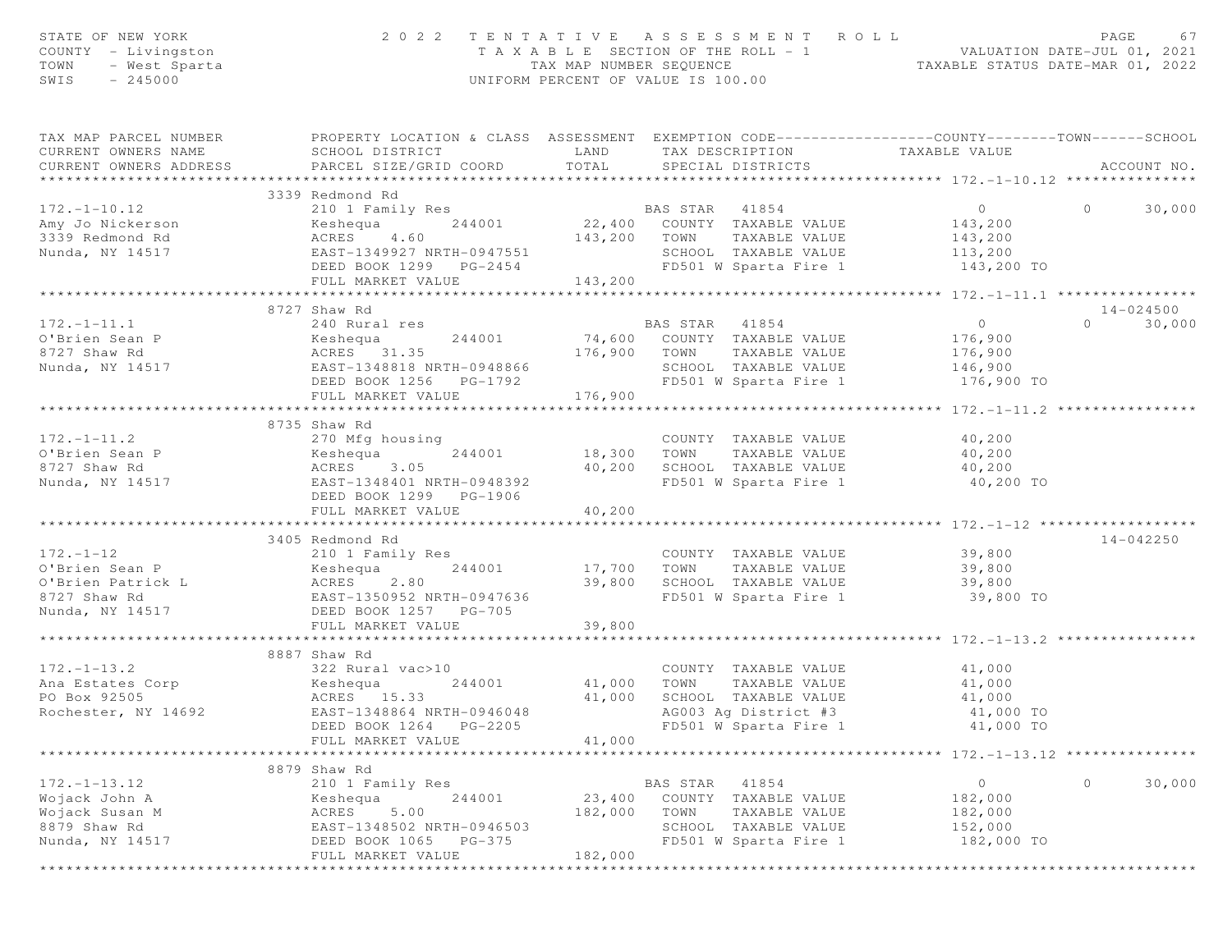| STATE OF NEW YORK<br>COUNTY - Livingston<br>TOWN<br>- West Sparta<br>SWIS<br>$-245000$ | 2 0 2 2                                                                                                                                       | UNIFORM PERCENT OF VALUE IS 100.00 |                | TENTATIVE ASSESSMENT ROLL                     | T A X A B L E SECTION OF THE ROLL - 1 VALUATION DATE-JUL 01, 2021<br>TAX MAP NUMBER SEQUENCE TAXABLE STATUS DATE-MAR 01, 2022 | PAGE     | 67          |
|----------------------------------------------------------------------------------------|-----------------------------------------------------------------------------------------------------------------------------------------------|------------------------------------|----------------|-----------------------------------------------|-------------------------------------------------------------------------------------------------------------------------------|----------|-------------|
| TAX MAP PARCEL NUMBER<br>CURRENT OWNERS NAME<br>CURRENT OWNERS ADDRESS                 | PROPERTY LOCATION & CLASS ASSESSMENT EXEMPTION CODE----------------COUNTY-------TOWN------SCHOOL<br>SCHOOL DISTRICT<br>PARCEL SIZE/GRID COORD | LAND<br>TOTAL                      |                | SPECIAL DISTRICTS                             | TAX DESCRIPTION TAXABLE VALUE                                                                                                 |          | ACCOUNT NO. |
|                                                                                        |                                                                                                                                               |                                    |                |                                               |                                                                                                                               |          |             |
|                                                                                        | 3339 Redmond Rd                                                                                                                               |                                    |                |                                               |                                                                                                                               |          |             |
| $172. - 1 - 10.12$                                                                     | 210 1 Family Res<br>Keshequa 244001 22,400 COUNTY TAXABLE VALUE                                                                               |                                    | BAS STAR 41854 |                                               | $\overline{0}$                                                                                                                | $\circ$  | 30,000      |
| Amy Jo Nickerson                                                                       |                                                                                                                                               |                                    |                |                                               | 143,200                                                                                                                       |          |             |
| 3339 Redmond Rd                                                                        | ACRES 4.60<br>EAST-1349927 NRTH-0947551                                                                                                       |                                    |                | 143,200 TOWN TAXABLE VALUE                    | 143,200<br>113,200                                                                                                            |          |             |
| Nunda, NY 14517                                                                        |                                                                                                                                               |                                    |                | SCHOOL TAXABLE VALUE<br>FD501 W Sparta Fire 1 |                                                                                                                               |          |             |
|                                                                                        | DEED BOOK 1299 PG-2454<br>FULL MARKET VALUE                                                                                                   | 143,200                            |                |                                               | 143,200 TO                                                                                                                    |          |             |
|                                                                                        |                                                                                                                                               |                                    |                |                                               |                                                                                                                               |          |             |
|                                                                                        | 8727 Shaw Rd                                                                                                                                  |                                    |                |                                               |                                                                                                                               |          | 14-024500   |
| $172. - 1 - 11.1$                                                                      | 240 Rural res                                                                                                                                 |                                    |                |                                               | $\overline{0}$                                                                                                                | $\Omega$ | 30,000      |
| O'Brien Sean P                                                                         |                                                                                                                                               |                                    |                | BAS STAR 41854<br>74,600 COUNTY TAXABLE VALUE | 176,900                                                                                                                       |          |             |
| 8727 Shaw Rd                                                                           |                                                                                                                                               |                                    | 176,900 TOWN   | TAXABLE VALUE                                 | 176,900                                                                                                                       |          |             |
| Nunda, NY 14517                                                                        |                                                                                                                                               |                                    |                | SCHOOL TAXABLE VALUE                          | 146,900                                                                                                                       |          |             |
|                                                                                        | DEED BOOK 1256 PG-1792                                                                                                                        |                                    |                | FD501 W Sparta Fire 1                         | 176,900 TO                                                                                                                    |          |             |
|                                                                                        | FULL MARKET VALUE                                                                                                                             | 176,900                            |                |                                               |                                                                                                                               |          |             |
|                                                                                        |                                                                                                                                               |                                    |                |                                               |                                                                                                                               |          |             |
|                                                                                        | 8735 Shaw Rd                                                                                                                                  |                                    |                |                                               |                                                                                                                               |          |             |
| $172. - 1 - 11.2$                                                                      | 270 Mfg housing                                                                                                                               |                                    |                | COUNTY TAXABLE VALUE                          | 40,200                                                                                                                        |          |             |
| O'Brien Sean P                                                                         | 244001<br>Keshequa                                                                                                                            |                                    | 18,300 TOWN    | TAXABLE VALUE                                 | 40,200                                                                                                                        |          |             |
| 8727 Shaw Rd                                                                           | ACRES 3.05                                                                                                                                    |                                    |                | 40,200 SCHOOL TAXABLE VALUE                   | 40, 200                                                                                                                       |          |             |
| Nunda, NY 14517                                                                        | EAST-1348401 NRTH-0948392                                                                                                                     |                                    |                | FD501 W Sparta Fire 1                         | 40,200 TO                                                                                                                     |          |             |
|                                                                                        | DEED BOOK 1299 PG-1906                                                                                                                        |                                    |                |                                               |                                                                                                                               |          |             |
|                                                                                        | FULL MARKET VALUE                                                                                                                             | 40,200                             |                |                                               |                                                                                                                               |          |             |
|                                                                                        |                                                                                                                                               |                                    |                |                                               | ***************** 172.-1-12 ******                                                                                            |          |             |
|                                                                                        | 3405 Redmond Rd                                                                                                                               |                                    |                |                                               |                                                                                                                               |          | 14-042250   |
| $172. - 1 - 12$                                                                        | 210 1 Family Res                                                                                                                              |                                    |                | COUNTY TAXABLE VALUE                          | 39,800                                                                                                                        |          |             |
| O'Brien Sean P                                                                         | 244001<br>Keshequa                                                                                                                            | 17,700                             | TOWN           | TAXABLE VALUE                                 | 39,800                                                                                                                        |          |             |
| O'Brien Patrick L<br>8727 Shaw Rd                                                      | ACRES 2.80                                                                                                                                    | 39,800                             |                | SCHOOL TAXABLE VALUE                          | 39,800                                                                                                                        |          |             |
|                                                                                        | EAST-1350952 NRTH-0947636                                                                                                                     |                                    |                | FD501 W Sparta Fire 1                         | 39,800 TO                                                                                                                     |          |             |
| Nunda, NY 14517                                                                        | DEED BOOK 1257 PG-705                                                                                                                         |                                    |                |                                               |                                                                                                                               |          |             |
|                                                                                        | FULL MARKET VALUE<br>***********************                                                                                                  | 39,800                             |                |                                               | **************** 172.-1-13.2 *****************                                                                                |          |             |
|                                                                                        | 8887 Shaw Rd                                                                                                                                  |                                    |                |                                               |                                                                                                                               |          |             |
| $172. - 1 - 13.2$                                                                      |                                                                                                                                               |                                    |                | COUNTY TAXABLE VALUE                          |                                                                                                                               |          |             |
| Ana Estates Corp                                                                       | 322 Rural vac>10<br>Keshequa<br>244001                                                                                                        | 41,000                             | TOWN           | TAXABLE VALUE                                 | 41,000<br>41,000                                                                                                              |          |             |
| PO Box 92505                                                                           |                                                                                                                                               | 41,000                             |                | SCHOOL TAXABLE VALUE                          | 41,000                                                                                                                        |          |             |
| Rochester, NY 14692                                                                    | ACRES 15.33<br>EAST-1348864 NRTH-0946048                                                                                                      |                                    |                | AG003 Ag District #3                          | 41,000 TO                                                                                                                     |          |             |
|                                                                                        | DEED BOOK 1264<br>PG-2205                                                                                                                     |                                    |                | FD501 W Sparta Fire 1                         | 41,000 TO                                                                                                                     |          |             |
|                                                                                        | FULL MARKET VALUE                                                                                                                             | 41,000                             |                |                                               |                                                                                                                               |          |             |
|                                                                                        |                                                                                                                                               |                                    |                |                                               | $*********172. -1-13.12$                                                                                                      |          |             |
|                                                                                        | 8879 Shaw Rd                                                                                                                                  |                                    |                |                                               |                                                                                                                               |          |             |
| $172. - 1 - 13.12$                                                                     | 210 1 Family Res                                                                                                                              |                                    | BAS STAR       | 41854                                         | 0                                                                                                                             | 0        | 30,000      |
| Wojack John A                                                                          | 244001<br>Keshequa                                                                                                                            | 23,400                             |                | COUNTY TAXABLE VALUE                          | 182,000                                                                                                                       |          |             |
| Wojack Susan M                                                                         | 5.00<br>ACRES                                                                                                                                 | 182,000                            | TOWN           | TAXABLE VALUE                                 | 182,000                                                                                                                       |          |             |
| 8879 Shaw Rd                                                                           | EAST-1348502 NRTH-0946503                                                                                                                     |                                    | SCHOOL         | TAXABLE VALUE                                 | 152,000                                                                                                                       |          |             |
| Nunda, NY 14517                                                                        | DEED BOOK 1065<br>$PG-375$                                                                                                                    |                                    |                | FD501 W Sparta Fire 1                         | 182,000 TO                                                                                                                    |          |             |
|                                                                                        | FULL MARKET VALUE                                                                                                                             | 182,000                            |                |                                               |                                                                                                                               |          |             |
|                                                                                        |                                                                                                                                               |                                    |                |                                               |                                                                                                                               |          |             |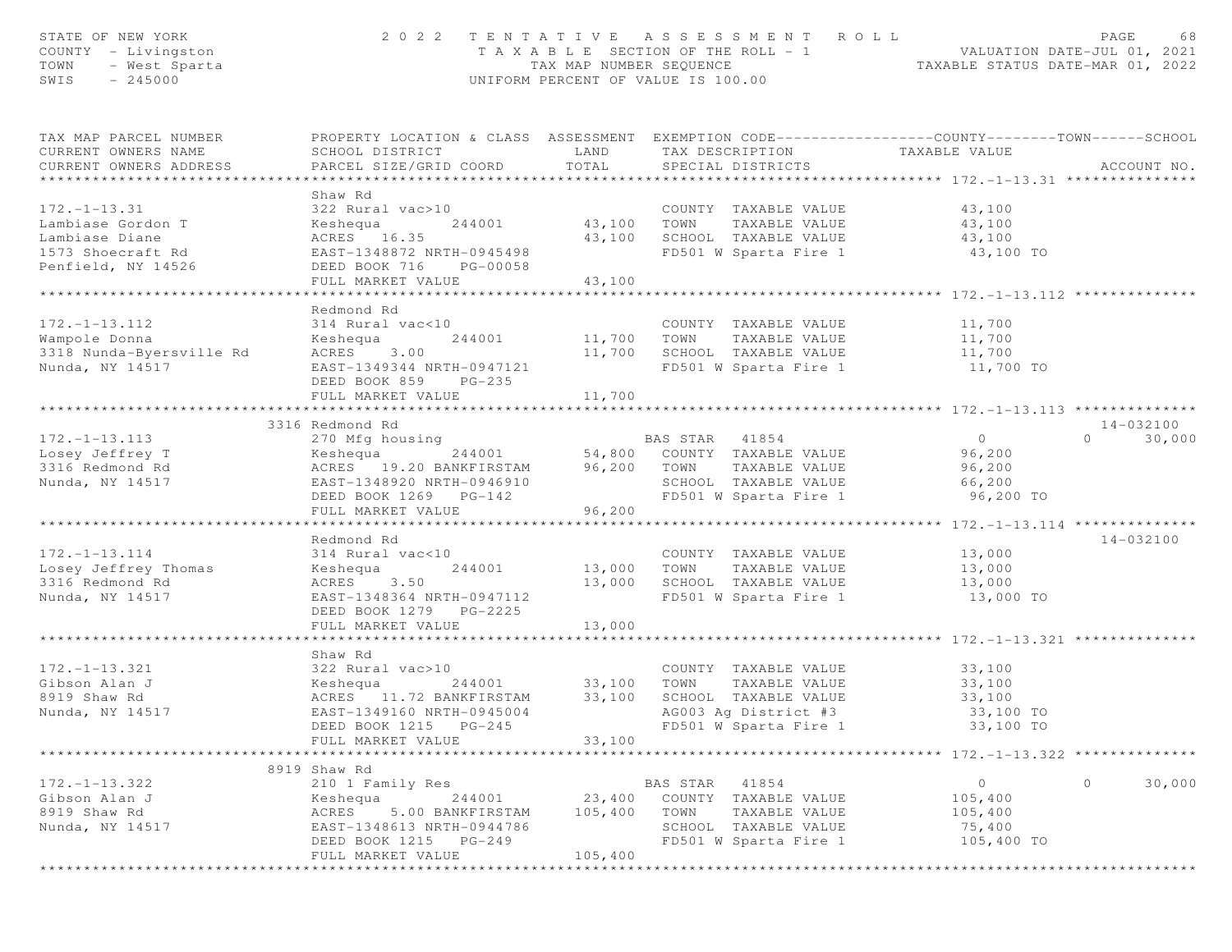| STATE OF NEW YORK<br>COUNTY - Livingston<br>TOWN<br>- West Sparta<br>SWIS<br>$-245000$ | 2 0 2 2                                                                                                                                       | T A X A B L E SECTION OF THE ROLL - 1<br>TAX MAP NUMBER SEQUENCE<br>UNIFORM PERCENT OF VALUE IS 100.00 |                 | TENTATIVE ASSESSMENT ROLL             | - 1 VALUATION DATE-JUL 01, 2021<br>TAXABLE STATUS DATE-MAR 01, 2022 | PAGE<br>68         |
|----------------------------------------------------------------------------------------|-----------------------------------------------------------------------------------------------------------------------------------------------|--------------------------------------------------------------------------------------------------------|-----------------|---------------------------------------|---------------------------------------------------------------------|--------------------|
| TAX MAP PARCEL NUMBER<br>CURRENT OWNERS NAME<br>CURRENT OWNERS ADDRESS                 | PROPERTY LOCATION & CLASS ASSESSMENT EXEMPTION CODE----------------COUNTY-------TOWN------SCHOOL<br>SCHOOL DISTRICT<br>PARCEL SIZE/GRID COORD | LAND<br>TOTAL                                                                                          | TAX DESCRIPTION | SPECIAL DISTRICTS                     | TAXABLE VALUE                                                       | ACCOUNT NO.        |
|                                                                                        |                                                                                                                                               |                                                                                                        |                 |                                       |                                                                     |                    |
| $172. - 1 - 13.31$                                                                     | Shaw Rd<br>322 Rural vac>10                                                                                                                   |                                                                                                        |                 | COUNTY TAXABLE VALUE                  | 43,100                                                              |                    |
| Lambiase Gordon T                                                                      | Keshequa<br>244001                                                                                                                            | 43,100                                                                                                 | TOWN            | TAXABLE VALUE                         | 43,100                                                              |                    |
| Lambiase Diane                                                                         | ACRES 16.35                                                                                                                                   | 43,100                                                                                                 |                 | SCHOOL TAXABLE VALUE                  | 43,100                                                              |                    |
| 1573 Shoecraft Rd                                                                      | EAST-1348872 NRTH-0945498                                                                                                                     |                                                                                                        |                 | FD501 W Sparta Fire 1                 | 43,100 TO                                                           |                    |
| Penfield, NY 14526                                                                     | DEED BOOK 716<br>PG-00058                                                                                                                     |                                                                                                        |                 |                                       |                                                                     |                    |
|                                                                                        | FULL MARKET VALUE                                                                                                                             | 43,100                                                                                                 |                 |                                       |                                                                     |                    |
|                                                                                        | * * * * * * * * * * * * * * * * * *                                                                                                           | ***********                                                                                            |                 |                                       | ******************************172.-1-13.112 ***********             |                    |
|                                                                                        | Redmond Rd                                                                                                                                    |                                                                                                        |                 |                                       |                                                                     |                    |
| $172. - 1 - 13.112$                                                                    | 314 Rural vac<10                                                                                                                              |                                                                                                        |                 | COUNTY TAXABLE VALUE                  | 11,700                                                              |                    |
| Wampole Donna                                                                          | Keshequa<br>244001                                                                                                                            | 11,700 TOWN                                                                                            |                 | TAXABLE VALUE                         | 11,700                                                              |                    |
| 3318 Nunda-Byersville Rd                                                               | ACRES<br>3.00                                                                                                                                 | 11,700                                                                                                 |                 | SCHOOL TAXABLE VALUE                  | 11,700                                                              |                    |
| Nunda, NY 14517                                                                        | EAST-1349344 NRTH-0947121                                                                                                                     |                                                                                                        |                 | FD501 W Sparta Fire 1                 | 11,700 TO                                                           |                    |
|                                                                                        | DEED BOOK 859<br>$PG-235$                                                                                                                     |                                                                                                        |                 |                                       |                                                                     |                    |
|                                                                                        | FULL MARKET VALUE                                                                                                                             | 11,700                                                                                                 |                 |                                       |                                                                     |                    |
|                                                                                        |                                                                                                                                               |                                                                                                        |                 |                                       |                                                                     |                    |
|                                                                                        | 3316 Redmond Rd                                                                                                                               |                                                                                                        |                 |                                       |                                                                     | 14-032100          |
| $172. - 1 - 13.113$                                                                    | 270 Mfg housing                                                                                                                               |                                                                                                        | BAS STAR 41854  |                                       | $\circ$                                                             | 30,000<br>$\Omega$ |
| Losey Jeffrey T                                                                        | 244001<br>Keshequa                                                                                                                            |                                                                                                        |                 | 54,800 COUNTY TAXABLE VALUE           | 96,200                                                              |                    |
| 3316 Redmond Rd                                                                        | ACRES 19.20 BANKFIRSTAM<br>EAST-1348920 NRTH-0946910                                                                                          | 96,200 TOWN                                                                                            |                 | TAXABLE VALUE<br>SCHOOL TAXABLE VALUE | 96,200<br>66,200                                                    |                    |
| Nunda, NY 14517                                                                        | DEED BOOK 1269 PG-142                                                                                                                         |                                                                                                        |                 | FD501 W Sparta Fire 1                 | 96,200 TO                                                           |                    |
|                                                                                        | FULL MARKET VALUE                                                                                                                             | 96,200                                                                                                 |                 |                                       |                                                                     |                    |
|                                                                                        |                                                                                                                                               |                                                                                                        |                 |                                       | ************** 172.-1-13.114 ***************                        |                    |
|                                                                                        | Redmond Rd                                                                                                                                    |                                                                                                        |                 |                                       |                                                                     | 14-032100          |
| $172. - 1 - 13.114$                                                                    | 314 Rural vac<10                                                                                                                              |                                                                                                        |                 | COUNTY TAXABLE VALUE                  | 13,000                                                              |                    |
| Losey Jeffrey Thomas                                                                   | 244001<br>Keshequa                                                                                                                            | 13,000                                                                                                 | TOWN            | TAXABLE VALUE                         | 13,000                                                              |                    |
| 3316 Redmond Rd                                                                        | ACRES<br>3.50                                                                                                                                 | 13,000                                                                                                 |                 | SCHOOL TAXABLE VALUE                  | 13,000                                                              |                    |
| Nunda, NY 14517                                                                        | EAST-1348364 NRTH-0947112                                                                                                                     |                                                                                                        |                 | FD501 W Sparta Fire 1                 | 13,000 TO                                                           |                    |
|                                                                                        | DEED BOOK 1279 PG-2225                                                                                                                        |                                                                                                        |                 |                                       |                                                                     |                    |
|                                                                                        | FULL MARKET VALUE                                                                                                                             | 13,000                                                                                                 |                 |                                       |                                                                     |                    |
|                                                                                        |                                                                                                                                               |                                                                                                        |                 |                                       |                                                                     |                    |
|                                                                                        | Shaw Rd                                                                                                                                       |                                                                                                        |                 |                                       |                                                                     |                    |
| $172. - 1 - 13.321$                                                                    | 322 Rural vac>10                                                                                                                              |                                                                                                        |                 | COUNTY TAXABLE VALUE                  | 33,100                                                              |                    |
| Gibson Alan J                                                                          | Keshequa<br>244001                                                                                                                            | 33,100                                                                                                 | TOWN            | TAXABLE VALUE                         | 33,100                                                              |                    |
| 8919 Shaw Rd                                                                           | ACRES 11.72 BANKFIRSTAM                                                                                                                       | 33,100                                                                                                 |                 | SCHOOL TAXABLE VALUE                  | 33,100                                                              |                    |
| Nunda, NY 14517                                                                        | EAST-1349160 NRTH-0945004                                                                                                                     |                                                                                                        |                 | AG003 Ag District #3                  | 33,100 TO                                                           |                    |
|                                                                                        | DEED BOOK 1215<br>$PG-245$                                                                                                                    |                                                                                                        |                 | FD501 W Sparta Fire 1                 | 33,100 TO                                                           |                    |
|                                                                                        | FULL MARKET VALUE                                                                                                                             | 33,100                                                                                                 |                 |                                       | ********************* 172.-1-13.322 **************                  |                    |
|                                                                                        |                                                                                                                                               |                                                                                                        |                 |                                       |                                                                     |                    |
| $172. - 1 - 13.322$                                                                    | 8919 Shaw Rd<br>210 1 Family Res                                                                                                              |                                                                                                        | BAS STAR        | 41854                                 | $\circ$                                                             | $\circ$<br>30,000  |
| Gibson Alan J                                                                          | Keshequa<br>244001                                                                                                                            | 23,400                                                                                                 |                 | COUNTY TAXABLE VALUE                  | 105,400                                                             |                    |
| 8919 Shaw Rd                                                                           | ACRES<br>5.00 BANKFIRSTAM                                                                                                                     | 105,400                                                                                                | TOWN            | TAXABLE VALUE                         | 105,400                                                             |                    |
| Nunda, NY 14517                                                                        | EAST-1348613 NRTH-0944786                                                                                                                     |                                                                                                        |                 | SCHOOL TAXABLE VALUE                  | 75,400                                                              |                    |
|                                                                                        | DEED BOOK 1215 PG-249                                                                                                                         |                                                                                                        |                 | FD501 W Sparta Fire 1                 | 105,400 TO                                                          |                    |
|                                                                                        | FULL MARKET VALUE                                                                                                                             | 105,400                                                                                                |                 |                                       |                                                                     |                    |
|                                                                                        | * * * * * * * * * * * * * * * * * * *                                                                                                         |                                                                                                        |                 |                                       |                                                                     |                    |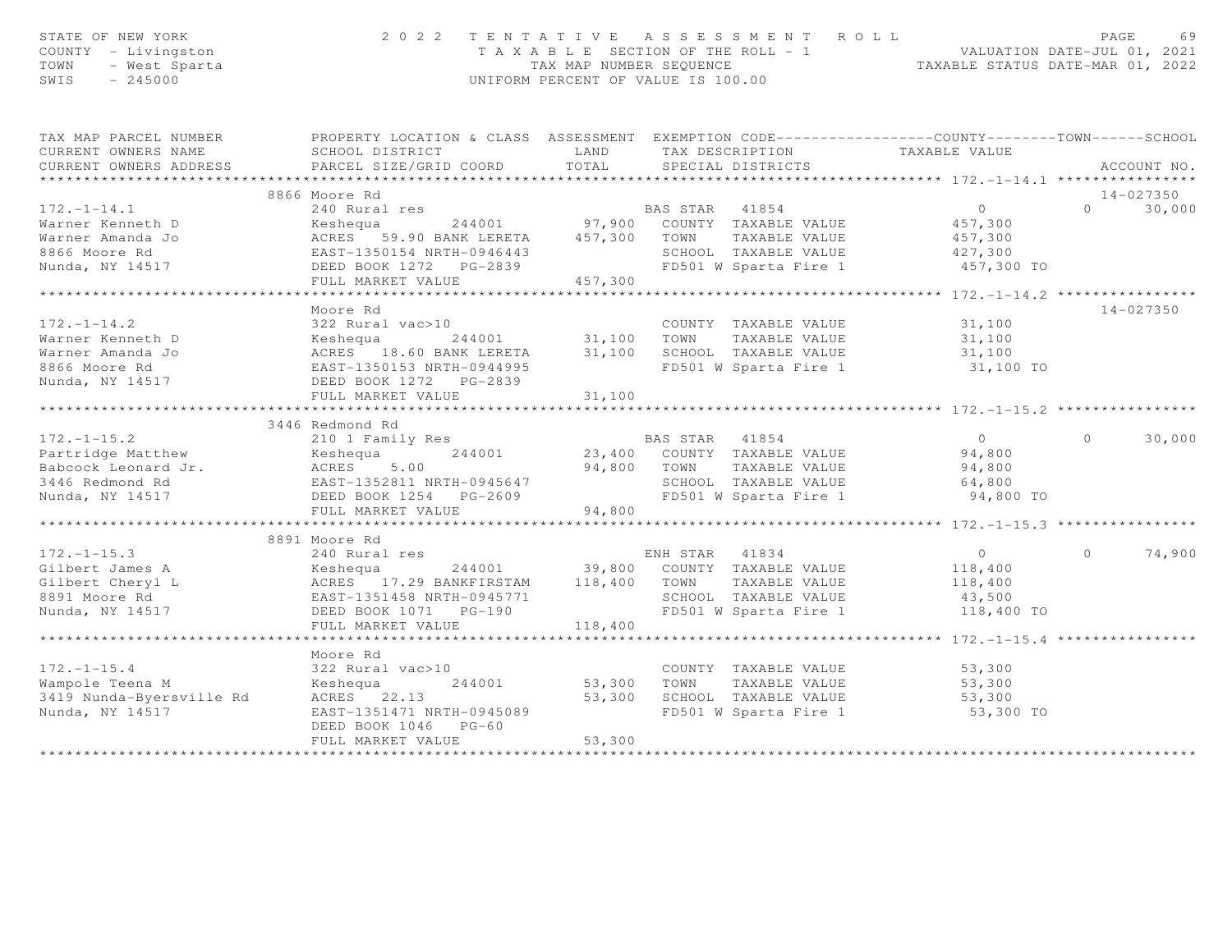| STATE OF NEW YORK<br>COUNTY - Livingston<br>TOWN<br>- West Sparta<br>SWIS<br>$-245000$ | 2 0 2 2                                                                                          | TAX MAP NUMBER SEQUENCE | TENTATIVE ASSESSMENT<br>T A X A B L E SECTION OF THE ROLL - 1<br>UNIFORM PERCENT OF VALUE IS 100.00 | ROLL<br>VALUATION DATE-JUL 01, 2021<br>TAXABLE STATUS DATE-MAR 01, 2022 |          | PAGE<br>69  |
|----------------------------------------------------------------------------------------|--------------------------------------------------------------------------------------------------|-------------------------|-----------------------------------------------------------------------------------------------------|-------------------------------------------------------------------------|----------|-------------|
| TAX MAP PARCEL NUMBER                                                                  | PROPERTY LOCATION & CLASS ASSESSMENT EXEMPTION CODE----------------COUNTY-------TOWN------SCHOOL |                         |                                                                                                     |                                                                         |          |             |
| CURRENT OWNERS NAME                                                                    | SCHOOL DISTRICT                                                                                  | LAND                    | TAX DESCRIPTION TAXABLE VALUE                                                                       |                                                                         |          |             |
| CURRENT OWNERS ADDRESS<br>***********************                                      | PARCEL SIZE/GRID COORD                                                                           | TOTAL                   | SPECIAL DISTRICTS                                                                                   |                                                                         |          | ACCOUNT NO. |
|                                                                                        | 8866 Moore Rd                                                                                    |                         |                                                                                                     |                                                                         |          | 14-027350   |
| $172. - 1 - 14.1$                                                                      | 240 Rural res                                                                                    |                         | BAS STAR 41854                                                                                      | 0                                                                       | $\Omega$ | 30,000      |
| Warner Kenneth D                                                                       | Keshequa                                                                                         |                         | 244001 97,900 COUNTY TAXABLE VALUE                                                                  | 457,300                                                                 |          |             |
| Warner Amanda Jo                                                                       | ACRES 59.90 BANK LERETA                                                                          | 457,300                 | TOWN<br>TAXABLE VALUE                                                                               | 457,300                                                                 |          |             |
| 8866 Moore Rd                                                                          | EAST-1350154 NRTH-0946443                                                                        |                         | SCHOOL TAXABLE VALUE                                                                                | 427,300                                                                 |          |             |
| Nunda, NY 14517                                                                        | DEED BOOK 1272 PG-2839                                                                           |                         | FD501 W Sparta Fire 1                                                                               | 457,300 TO                                                              |          |             |
|                                                                                        | FULL MARKET VALUE                                                                                | 457,300                 |                                                                                                     |                                                                         |          |             |
|                                                                                        |                                                                                                  |                         |                                                                                                     | ********* 172.-1-14.2 **                                                |          |             |
|                                                                                        | Moore Rd                                                                                         |                         |                                                                                                     |                                                                         |          | 14-027350   |
| $172. - 1 - 14.2$                                                                      | 322 Rural vac>10                                                                                 |                         | COUNTY TAXABLE VALUE                                                                                | 31,100                                                                  |          |             |
| Warner Kenneth D                                                                       | Keshequa<br>244001                                                                               | 31,100                  | TOWN<br>TAXABLE VALUE                                                                               | 31,100                                                                  |          |             |
| Warner Amanda Jo                                                                       | ACRES 18.60 BANK LERETA                                                                          | 31,100                  | SCHOOL TAXABLE VALUE                                                                                | 31,100                                                                  |          |             |
| 8866 Moore Rd                                                                          | EAST-1350153 NRTH-0944995                                                                        |                         | FD501 W Sparta Fire 1                                                                               | 31,100 TO                                                               |          |             |
| Nunda, NY 14517                                                                        | DEED BOOK 1272 PG-2839<br>FULL MARKET VALUE                                                      | 31,100                  |                                                                                                     |                                                                         |          |             |
|                                                                                        | *************************                                                                        | ***********             |                                                                                                     | ******************** 172.-1-15.2 ****                                   |          |             |
|                                                                                        | 3446 Redmond Rd                                                                                  |                         |                                                                                                     |                                                                         |          |             |
| $172. - 1 - 15.2$                                                                      | 210 1 Family Res                                                                                 |                         | BAS STAR<br>41854                                                                                   | $\overline{0}$                                                          | $\Omega$ | 30,000      |
| Partridge Matthew                                                                      | 244001<br>Keshequa                                                                               |                         | 23,400 COUNTY TAXABLE VALUE                                                                         | 94,800                                                                  |          |             |
| Babcock Leonard Jr.                                                                    | ACRES<br>5.00                                                                                    | 94,800                  | TOWN<br>TAXABLE VALUE                                                                               | 94,800                                                                  |          |             |
| 3446 Redmond Rd                                                                        | EAST-1352811 NRTH-0945647                                                                        |                         | SCHOOL TAXABLE VALUE                                                                                | 64,800                                                                  |          |             |
| Nunda, NY 14517                                                                        | DEED BOOK 1254 PG-2609                                                                           |                         | FD501 W Sparta Fire 1                                                                               | 94,800 TO                                                               |          |             |
|                                                                                        | FULL MARKET VALUE                                                                                | 94,800                  |                                                                                                     |                                                                         |          |             |
|                                                                                        | ***********************                                                                          |                         |                                                                                                     | ******** 172.-1-15.3 **                                                 |          |             |
|                                                                                        | 8891 Moore Rd                                                                                    |                         |                                                                                                     |                                                                         |          |             |
| $172. - 1 - 15.3$                                                                      | 240 Rural res                                                                                    |                         | ENH STAR<br>41834                                                                                   | $\overline{0}$                                                          | $\Omega$ | 74,900      |
| Gilbert James A                                                                        | Keshequa<br>244001                                                                               | 39,800                  | COUNTY TAXABLE VALUE                                                                                | 118,400                                                                 |          |             |
| Gilbert Cheryl L                                                                       | ACRES 17.29 BANKFIRSTAM                                                                          | 118,400                 | TOWN<br>TAXABLE VALUE                                                                               | 118,400                                                                 |          |             |
| 8891 Moore Rd<br>Nunda, NY 14517                                                       | EAST-1351458 NRTH-0945771<br>DEED BOOK 1071 PG-190                                               |                         | SCHOOL TAXABLE VALUE<br>FD501 W Sparta Fire 1                                                       | 43,500<br>118,400 TO                                                    |          |             |
|                                                                                        | FULL MARKET VALUE                                                                                | 118,400                 |                                                                                                     |                                                                         |          |             |
|                                                                                        |                                                                                                  |                         | **********************                                                                              | ************** 172.-1-15.4 ****************                             |          |             |
|                                                                                        | Moore Rd                                                                                         |                         |                                                                                                     |                                                                         |          |             |
| $172. - 1 - 15.4$                                                                      | 322 Rural vac>10                                                                                 |                         | COUNTY TAXABLE VALUE                                                                                | 53,300                                                                  |          |             |
| Wampole Teena M                                                                        | Keshequa<br>244001                                                                               | 53,300                  | TAXABLE VALUE<br>TOWN                                                                               | 53,300                                                                  |          |             |
| 3419 Nunda-Byersville Rd                                                               | ACRES 22.13                                                                                      | 53,300                  | SCHOOL TAXABLE VALUE                                                                                | 53,300                                                                  |          |             |
| Nunda, NY 14517                                                                        | EAST-1351471 NRTH-0945089                                                                        |                         | FD501 W Sparta Fire 1                                                                               | 53,300 TO                                                               |          |             |
|                                                                                        | DEED BOOK 1046 PG-60                                                                             |                         |                                                                                                     |                                                                         |          |             |
|                                                                                        | FULL MARKET VALUE                                                                                | 53,300                  |                                                                                                     |                                                                         |          |             |
|                                                                                        | *******************                                                                              | * * * * * * * * * * * * |                                                                                                     |                                                                         |          |             |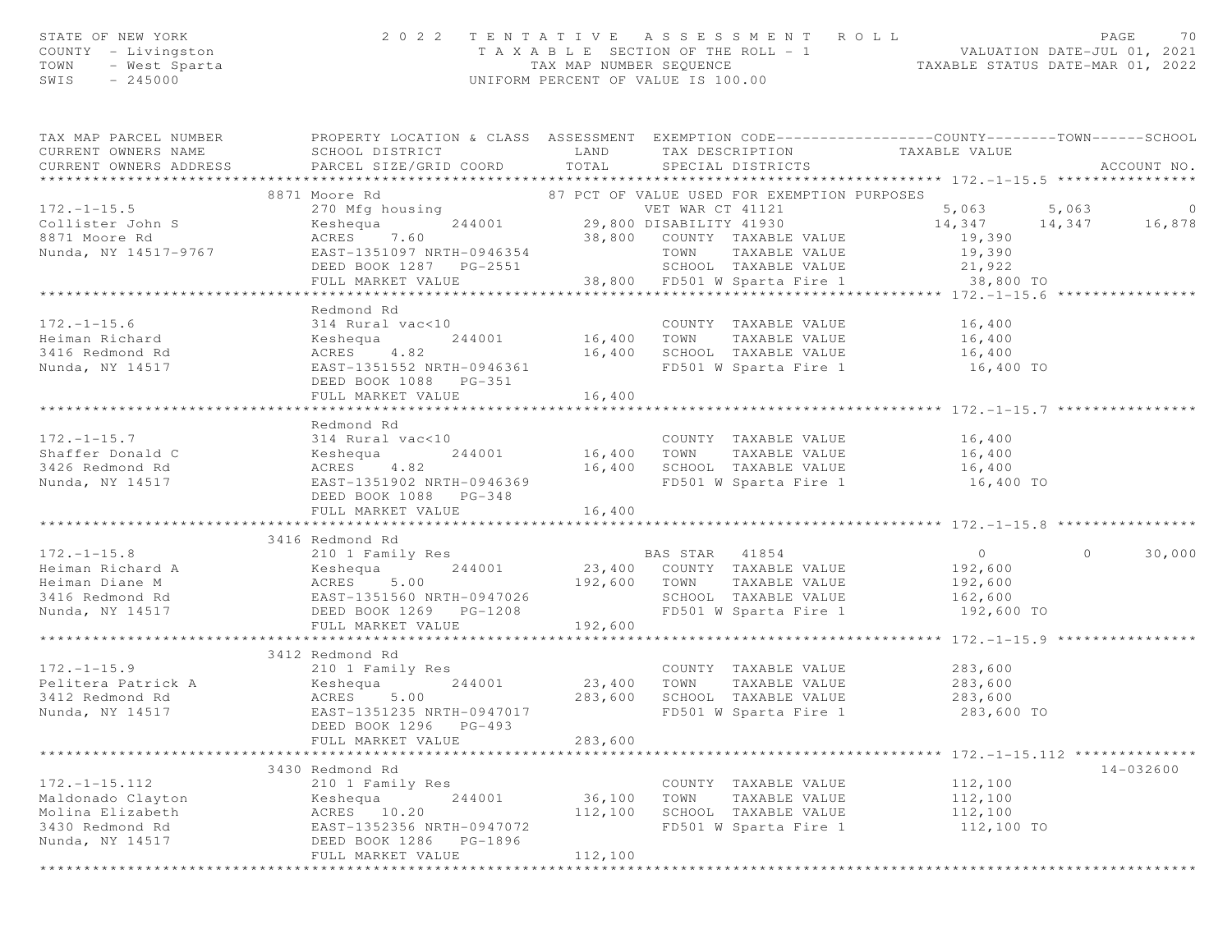| STATE OF NEW YORK<br>COUNTY - Livingston<br>$-$ West Sparta<br>$-$ 245000<br>TOWN<br>$SWIS = 245000$ | 2 0 2 2                                                                                                                                                                                                                                                                                                                                                                                                                                 |          | TENTATIVE ASSESSMENT ROLL PAGE 70<br>TAXABLE SECTION OF THE ROLL - 1 VALUATION DATE-JUL 01, 2021<br>TAX MAP NUMBER SEQUENCE TAXABLE STATUS DATE-MAR 01, 2022<br>UNIFORM PERCENT OF VALUE IS 100.00 |                                                         |                   |
|------------------------------------------------------------------------------------------------------|-----------------------------------------------------------------------------------------------------------------------------------------------------------------------------------------------------------------------------------------------------------------------------------------------------------------------------------------------------------------------------------------------------------------------------------------|----------|----------------------------------------------------------------------------------------------------------------------------------------------------------------------------------------------------|---------------------------------------------------------|-------------------|
|                                                                                                      | TAX MAP PARCEL NUMBER           PROPERTY LOCATION & CLASS ASSESSMENT EXEMPTION CODE----------------COUNTY-------TOWN------SCHOOL<br>CURRENT OWNERS NAME            SCHOOL DISTRICT              LAND      TAX DESCRIPTION                                                                                                                                                                                                               |          |                                                                                                                                                                                                    |                                                         |                   |
| CURRENT OWNERS ADDRESS                                                                               |                                                                                                                                                                                                                                                                                                                                                                                                                                         |          |                                                                                                                                                                                                    |                                                         | ACCOUNT NO.       |
|                                                                                                      |                                                                                                                                                                                                                                                                                                                                                                                                                                         |          |                                                                                                                                                                                                    |                                                         |                   |
|                                                                                                      |                                                                                                                                                                                                                                                                                                                                                                                                                                         |          |                                                                                                                                                                                                    |                                                         |                   |
|                                                                                                      |                                                                                                                                                                                                                                                                                                                                                                                                                                         |          |                                                                                                                                                                                                    |                                                         |                   |
|                                                                                                      |                                                                                                                                                                                                                                                                                                                                                                                                                                         |          |                                                                                                                                                                                                    |                                                         |                   |
|                                                                                                      |                                                                                                                                                                                                                                                                                                                                                                                                                                         |          |                                                                                                                                                                                                    |                                                         |                   |
|                                                                                                      |                                                                                                                                                                                                                                                                                                                                                                                                                                         |          |                                                                                                                                                                                                    |                                                         |                   |
|                                                                                                      |                                                                                                                                                                                                                                                                                                                                                                                                                                         |          |                                                                                                                                                                                                    |                                                         |                   |
|                                                                                                      | Redmond Rd                                                                                                                                                                                                                                                                                                                                                                                                                              |          |                                                                                                                                                                                                    |                                                         |                   |
| $172. - 1 - 15.6$                                                                                    | EXEMPLE VALUE<br>314 Rural vac<10<br>Keshequa 244001 16,400 TOWN TAXABLE VALUE 16,400<br>ACRES 4.82 16,400 SCHOOL TAXABLE VALUE 16,400<br>EAST-1351552 NRTH-0946361 FD501 W Sparta Fire 1 16,400 TO                                                                                                                                                                                                                                     |          |                                                                                                                                                                                                    |                                                         |                   |
| Heiman Richard                                                                                       |                                                                                                                                                                                                                                                                                                                                                                                                                                         |          |                                                                                                                                                                                                    |                                                         |                   |
| 3416 Redmond Rd                                                                                      |                                                                                                                                                                                                                                                                                                                                                                                                                                         |          |                                                                                                                                                                                                    |                                                         |                   |
| Nunda, NY 14517                                                                                      |                                                                                                                                                                                                                                                                                                                                                                                                                                         |          |                                                                                                                                                                                                    |                                                         |                   |
|                                                                                                      |                                                                                                                                                                                                                                                                                                                                                                                                                                         |          |                                                                                                                                                                                                    |                                                         |                   |
|                                                                                                      | FULL MARKET VALUE                                                                                                                                                                                                                                                                                                                                                                                                                       | 16,400   |                                                                                                                                                                                                    |                                                         |                   |
|                                                                                                      |                                                                                                                                                                                                                                                                                                                                                                                                                                         |          |                                                                                                                                                                                                    |                                                         |                   |
|                                                                                                      | Redmond Rd                                                                                                                                                                                                                                                                                                                                                                                                                              |          |                                                                                                                                                                                                    |                                                         |                   |
|                                                                                                      |                                                                                                                                                                                                                                                                                                                                                                                                                                         |          |                                                                                                                                                                                                    |                                                         |                   |
|                                                                                                      |                                                                                                                                                                                                                                                                                                                                                                                                                                         |          |                                                                                                                                                                                                    |                                                         |                   |
|                                                                                                      |                                                                                                                                                                                                                                                                                                                                                                                                                                         |          |                                                                                                                                                                                                    |                                                         |                   |
|                                                                                                      | DEED BOOK 1088 PG-348                                                                                                                                                                                                                                                                                                                                                                                                                   |          |                                                                                                                                                                                                    |                                                         |                   |
|                                                                                                      |                                                                                                                                                                                                                                                                                                                                                                                                                                         |          |                                                                                                                                                                                                    |                                                         |                   |
|                                                                                                      |                                                                                                                                                                                                                                                                                                                                                                                                                                         |          |                                                                                                                                                                                                    |                                                         |                   |
|                                                                                                      | 3416 Redmond Rd<br>$\begin{tabular}{lllllllllllllllllllll} \hline 172.-1-15.8 & 210&1\text{ Family Res} & \text{BAS STAR} & 41854 & 0 \\ \text{Heiman Richard A} & \text{Keshequ} & 244001 & 23,400 & \text{COUNTY TAXABLE VALUE} & 192,600 \\ \text{Heiman Diane M} & \text{ACRES} & 5.00 & 192,600 & \text{TOWN TAXABLE VALUE} & 192,600 \\ \text{3416 Redmond Rd} & \text{EAESE} & 5.00 & 192,600 & \text{SCHOOL TAXABLE VALUE} & 1$ |          |                                                                                                                                                                                                    |                                                         | $\circ$<br>30,000 |
|                                                                                                      |                                                                                                                                                                                                                                                                                                                                                                                                                                         |          |                                                                                                                                                                                                    |                                                         |                   |
|                                                                                                      |                                                                                                                                                                                                                                                                                                                                                                                                                                         |          |                                                                                                                                                                                                    |                                                         |                   |
|                                                                                                      |                                                                                                                                                                                                                                                                                                                                                                                                                                         |          |                                                                                                                                                                                                    |                                                         |                   |
|                                                                                                      |                                                                                                                                                                                                                                                                                                                                                                                                                                         |          |                                                                                                                                                                                                    | 192,600 TO                                              |                   |
|                                                                                                      | FULL MARKET VALUE                                                                                                                                                                                                                                                                                                                                                                                                                       | 192,600  |                                                                                                                                                                                                    |                                                         |                   |
|                                                                                                      |                                                                                                                                                                                                                                                                                                                                                                                                                                         |          |                                                                                                                                                                                                    |                                                         |                   |
|                                                                                                      | 3412 Redmond Rd                                                                                                                                                                                                                                                                                                                                                                                                                         |          |                                                                                                                                                                                                    |                                                         |                   |
|                                                                                                      |                                                                                                                                                                                                                                                                                                                                                                                                                                         |          |                                                                                                                                                                                                    |                                                         |                   |
|                                                                                                      |                                                                                                                                                                                                                                                                                                                                                                                                                                         |          |                                                                                                                                                                                                    |                                                         |                   |
|                                                                                                      |                                                                                                                                                                                                                                                                                                                                                                                                                                         |          | FD501 W Sparta Fire 1                                                                                                                                                                              |                                                         |                   |
|                                                                                                      | DEED BOOK 1296 PG-493                                                                                                                                                                                                                                                                                                                                                                                                                   |          |                                                                                                                                                                                                    |                                                         |                   |
|                                                                                                      | FULL MARKET VALUE                                                                                                                                                                                                                                                                                                                                                                                                                       | 283,600  |                                                                                                                                                                                                    |                                                         |                   |
|                                                                                                      |                                                                                                                                                                                                                                                                                                                                                                                                                                         | ******** |                                                                                                                                                                                                    | ************************* 172.-1-15.112 *************** |                   |
|                                                                                                      | 3430 Redmond Rd                                                                                                                                                                                                                                                                                                                                                                                                                         |          |                                                                                                                                                                                                    |                                                         | 14-032600         |
| $172. - 1 - 15.112$                                                                                  | 210 1 Family Res                                                                                                                                                                                                                                                                                                                                                                                                                        |          | COUNTY TAXABLE VALUE                                                                                                                                                                               | 112,100                                                 |                   |
| Maldonado Clayton                                                                                    | Keshequa<br>244001                                                                                                                                                                                                                                                                                                                                                                                                                      | 36,100   | TOWN<br>TAXABLE VALUE                                                                                                                                                                              | 112,100                                                 |                   |
| Molina Elizabeth                                                                                     | ACRES 10.20                                                                                                                                                                                                                                                                                                                                                                                                                             | 112,100  | SCHOOL TAXABLE VALUE                                                                                                                                                                               | 112,100                                                 |                   |
| 3430 Redmond Rd<br>Nunda, NY 14517                                                                   | EAST-1352356 NRTH-0947072<br>DEED BOOK 1286<br>PG-1896                                                                                                                                                                                                                                                                                                                                                                                  |          | FD501 W Sparta Fire 1                                                                                                                                                                              | 112,100 TO                                              |                   |
|                                                                                                      | FULL MARKET VALUE                                                                                                                                                                                                                                                                                                                                                                                                                       | 112,100  |                                                                                                                                                                                                    |                                                         |                   |
|                                                                                                      |                                                                                                                                                                                                                                                                                                                                                                                                                                         |          |                                                                                                                                                                                                    |                                                         |                   |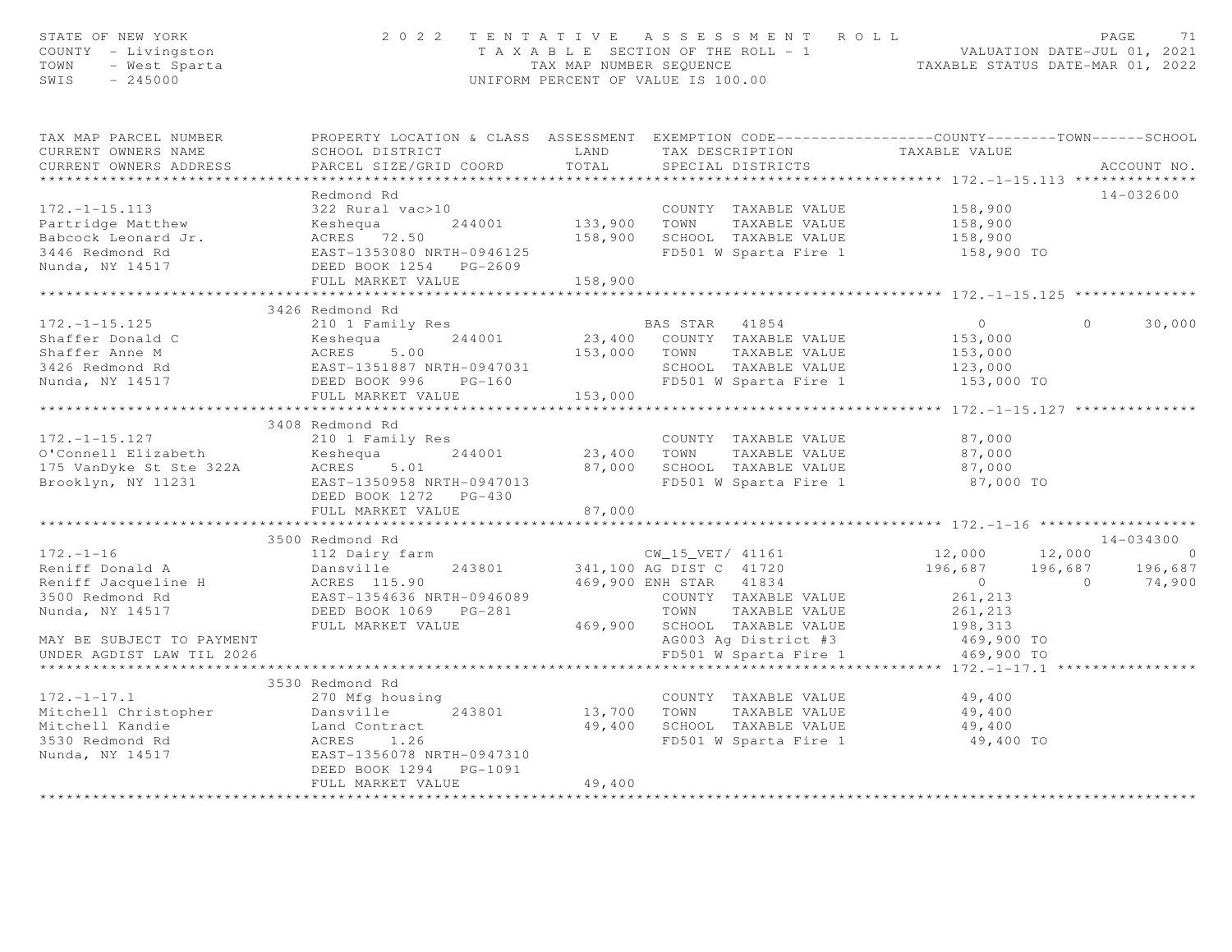| STATE OF NEW YORK<br>COUNTY - Livingston<br>TOWN - West Sparta<br>- 245000 |                                                                                                  |               | 2022 TENTATIVE ASSESSMENT ROLL<br>UNIFORM PERCENT OF VALUE IS 100.00 | T A X A B L E SECTION OF THE ROLL - 1 VALUATION DATE-JUL 01, 2021<br>TAX MAP NUMBER SEQUENCE |                | PAGE<br>71  |
|----------------------------------------------------------------------------|--------------------------------------------------------------------------------------------------|---------------|----------------------------------------------------------------------|----------------------------------------------------------------------------------------------|----------------|-------------|
| TAX MAP PARCEL NUMBER                                                      | PROPERTY LOCATION & CLASS ASSESSMENT EXEMPTION CODE----------------COUNTY-------TOWN------SCHOOL |               |                                                                      |                                                                                              |                |             |
| CURRENT OWNERS NAME<br>CURRENT OWNERS ADDRESS                              | SCHOOL DISTRICT<br>PARCEL SIZE/GRID COORD                                                        | LAND<br>TOTAL | TAX DESCRIPTION<br>SPECIAL DISTRICTS                                 | TAXABLE VALUE                                                                                |                | ACCOUNT NO. |
| ***********************                                                    | **************************                                                                       |               |                                                                      |                                                                                              |                |             |
|                                                                            | Redmond Rd                                                                                       |               |                                                                      |                                                                                              |                | 14-032600   |
| $172. - 1 - 15.113$                                                        | 322 Rural vac>10                                                                                 |               | COUNTY TAXABLE VALUE                                                 | 158,900                                                                                      |                |             |
| Partridge Matthew                                                          | Keshequa 244001<br>ACRES 72.50                                                                   |               | 244001 133,900 TOWN TAXABLE VALUE                                    | 158,900                                                                                      |                |             |
| Babcock Leonard Jr.                                                        |                                                                                                  |               | 158,900 SCHOOL TAXABLE VALUE                                         | 158,900                                                                                      |                |             |
| 3446 Redmond Rd                                                            | EAST-1353080 NRTH-0946125                                                                        |               | FD501 W Sparta Fire 1                                                | 158,900 TO                                                                                   |                |             |
| Nunda, NY 14517                                                            | DEED BOOK 1254 PG-2609                                                                           |               |                                                                      |                                                                                              |                |             |
|                                                                            | FULL MARKET VALUE                                                                                | 158,900       |                                                                      |                                                                                              |                |             |
|                                                                            | 3426 Redmond Rd                                                                                  |               |                                                                      |                                                                                              |                |             |
| $172. - 1 - 15.125$                                                        | 210 1 Family Res                                                                                 |               | BAS STAR 41854                                                       | $\overline{0}$                                                                               | $\Omega$       | 30,000      |
| Shaffer Donald C                                                           |                                                                                                  |               | 23,400 COUNTY TAXABLE VALUE                                          | 153,000                                                                                      |                |             |
| Shaffer Anne M                                                             | Keshequa 244001<br>ACRES 5.00<br>EAST-1351887 NRTH-0947031<br>EETE POOK 996 PC 150               |               | 153,000 TOWN TAXABLE VALUE                                           | 153,000                                                                                      |                |             |
| 3426 Redmond Rd                                                            |                                                                                                  |               | SCHOOL TAXABLE VALUE                                                 | 123,000                                                                                      |                |             |
| Nunda, NY 14517                                                            | DEED BOOK 996 PG-160                                                                             |               | SCHOOL TAXABLE VALUE<br>FD501 W Sparta Fire 1                        | 153,000 TO                                                                                   |                |             |
|                                                                            | FULL MARKET VALUE                                                                                | 153,000       |                                                                      |                                                                                              |                |             |
|                                                                            | *********************************                                                                |               |                                                                      | ******************************** 172.-1-15.127 *************                                 |                |             |
|                                                                            | 3408 Redmond Rd                                                                                  |               |                                                                      |                                                                                              |                |             |
| $172. - 1 - 15.127$                                                        | 210 1 Family Res                                                                                 |               | COUNTY TAXABLE VALUE                                                 | 87,000                                                                                       |                |             |
| O'Connell Elizabeth                                                        | 244001<br>Keshequa                                                                               |               | 23,400 TOWN TAXABLE VALUE                                            | 87,000                                                                                       |                |             |
| 175 VanDyke St Ste 322A                                                    | ACRES 5.01                                                                                       |               | 87,000 SCHOOL TAXABLE VALUE                                          | 87,000                                                                                       |                |             |
| Brooklyn, NY 11231                                                         | EAST-1350958 NRTH-0947013                                                                        |               | FD501 W Sparta Fire 1                                                | 87,000 TO                                                                                    |                |             |
|                                                                            | DEED BOOK 1272 PG-430                                                                            |               |                                                                      |                                                                                              |                |             |
|                                                                            | FULL MARKET VALUE                                                                                | 87,000        |                                                                      |                                                                                              |                |             |
|                                                                            |                                                                                                  |               |                                                                      |                                                                                              |                |             |
|                                                                            | 3500 Redmond Rd                                                                                  |               |                                                                      |                                                                                              |                | 14-034300   |
| $172. - 1 - 16$                                                            | 112 Dairy farm                                                                                   |               | arm $\text{CW\_15\_VET} / 41161$<br>243801 341,100 AG DIST C 41720   | 12,000          12,000<br>196,687        196,687                                             |                | $\sim$ 0    |
| Reniff Donald A                                                            | Dansville                                                                                        |               |                                                                      |                                                                                              |                | 196,687     |
| Reniff Jacqueline H                                                        | ACRES 115.90                                                                                     |               | 469,900 ENH STAR 41834                                               | $\overline{0}$                                                                               | $\overline{0}$ | 74,900      |
| 3500 Redmond Rd                                                            | EAST-1354636 NRTH-0946089                                                                        |               | COUNTY TAXABLE VALUE                                                 | 261,213                                                                                      |                |             |
| Nunda, NY 14517                                                            |                                                                                                  |               | TOWN TAXABLE VALUE                                                   | 261,213                                                                                      |                |             |
|                                                                            | FULL MARKET VALUE                                                                                |               | 469,900 SCHOOL TAXABLE VALUE                                         | 198,313                                                                                      |                |             |
| MAY BE SUBJECT TO PAYMENT                                                  |                                                                                                  |               | AG003 Ag District #3                                                 | 469,900 TO                                                                                   |                |             |
| UNDER AGDIST LAW TIL 2026                                                  |                                                                                                  |               | FD501 W Sparta Fire 1                                                | 469,900 TO                                                                                   |                |             |
|                                                                            | 3530 Redmond Rd                                                                                  |               |                                                                      | ***** 172.-1-17.1                                                                            |                |             |
| $172. - 1 - 17.1$                                                          | 270 Mfg housing                                                                                  |               | COUNTY TAXABLE VALUE                                                 | 49,400                                                                                       |                |             |
|                                                                            |                                                                                                  |               | 13,700 TOWN TAXABLE VALUE                                            | 49, 400                                                                                      |                |             |
|                                                                            |                                                                                                  |               | 49,400 SCHOOL TAXABLE VALUE                                          | 49,400                                                                                       |                |             |
|                                                                            |                                                                                                  |               |                                                                      | FD501 W Sparta Fire 1 49,400 TO                                                              |                |             |
|                                                                            |                                                                                                  |               |                                                                      |                                                                                              |                |             |
|                                                                            | DEED BOOK 1294    PG-1091                                                                        |               |                                                                      |                                                                                              |                |             |
|                                                                            | FULL MARKET VALUE                                                                                | 49,400        |                                                                      |                                                                                              |                |             |
|                                                                            |                                                                                                  |               |                                                                      |                                                                                              |                |             |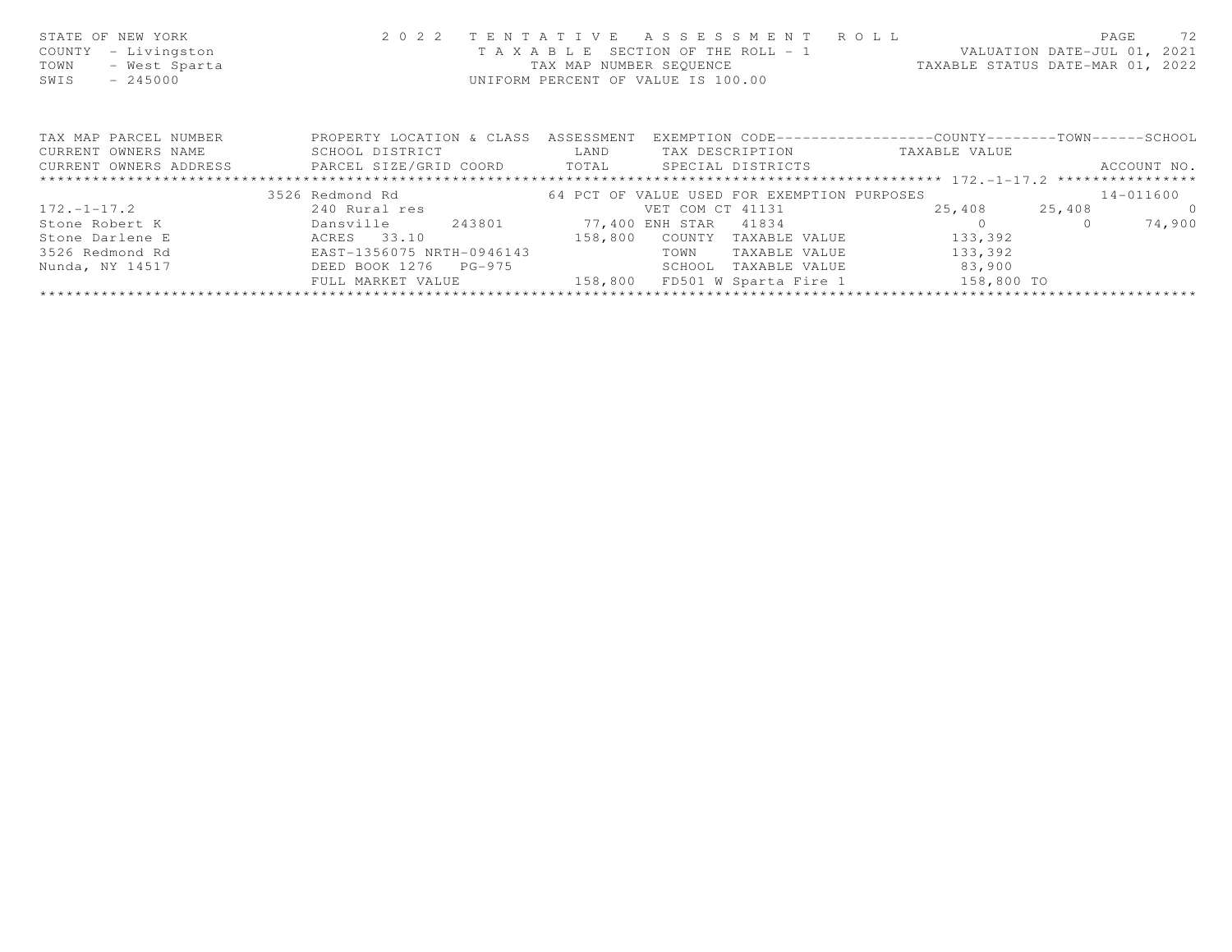| STATE OF NEW YORK<br>- Livingston<br>COUNTY<br>- West Sparta<br>TOWN<br>$-245000$<br>SWIS | 2 0 2 2                   | TENTATIVE  | ASSESSMENT ROLL<br>UNIFORM PERCENT OF VALUE IS 100.00 | T A X A B L E SECTION OF THE ROLL - 1 WALUATION DATE-JUL 01, 2021<br>TAX MAP NUMBER SEQUENCE TAXABLE STATUS DATE-MAR 01, 2022 | 72<br>PAGE  |
|-------------------------------------------------------------------------------------------|---------------------------|------------|-------------------------------------------------------|-------------------------------------------------------------------------------------------------------------------------------|-------------|
| TAX MAP PARCEL NUMBER                                                                     | PROPERTY LOCATION & CLASS | ASSESSMENT |                                                       | EXEMPTION CODE-----------------COUNTY-------TOWN------SCHOOL                                                                  |             |
| CURRENT OWNERS NAME                                                                       | SCHOOL DISTRICT           | LAND       | TAX DESCRIPTION                                       | TAXABLE VALUE                                                                                                                 |             |
| CURRENT OWNERS ADDRESS <b>FARCEL SIZE/GRID COORD</b> TOTAL SPECIAL DISTRICTS              |                           |            |                                                       |                                                                                                                               | ACCOUNT NO. |
|                                                                                           |                           |            |                                                       |                                                                                                                               |             |
|                                                                                           | 3526 Redmond Rd           |            | 64 PCT OF VALUE USED FOR EXEMPTION PURPOSES           |                                                                                                                               | 14-011600   |
| $172. - 1 - 17.2$                                                                         | 240 Rural res             |            | VET COM CT 41131                                      | 25,408 25,408                                                                                                                 | $\bigcirc$  |
| Stone Robert K                                                                            | 243801<br>Dansville       |            | 77,400 ENH STAR 41834                                 |                                                                                                                               | 74,900      |
| Stone Darlene E                                                                           | ACRES 33.10               | 158,800    | COUNTY<br>TAXABLE VALUE                               | 133,392                                                                                                                       |             |
| 3526 Redmond Rd                                                                           | EAST-1356075 NRTH-0946143 |            | TOWN<br>TAXABLE VALUE                                 | 133,392                                                                                                                       |             |
| Nunda, NY 14517                                                                           | DEED BOOK 1276<br>PG-975  |            | SCHOOL<br>TAXABLE VALUE                               | 83,900                                                                                                                        |             |
|                                                                                           | FULL MARKET VALUE         | 158,800    | FD501 W Sparta Fire 1                                 | 158,800 TO                                                                                                                    |             |
|                                                                                           |                           |            |                                                       |                                                                                                                               |             |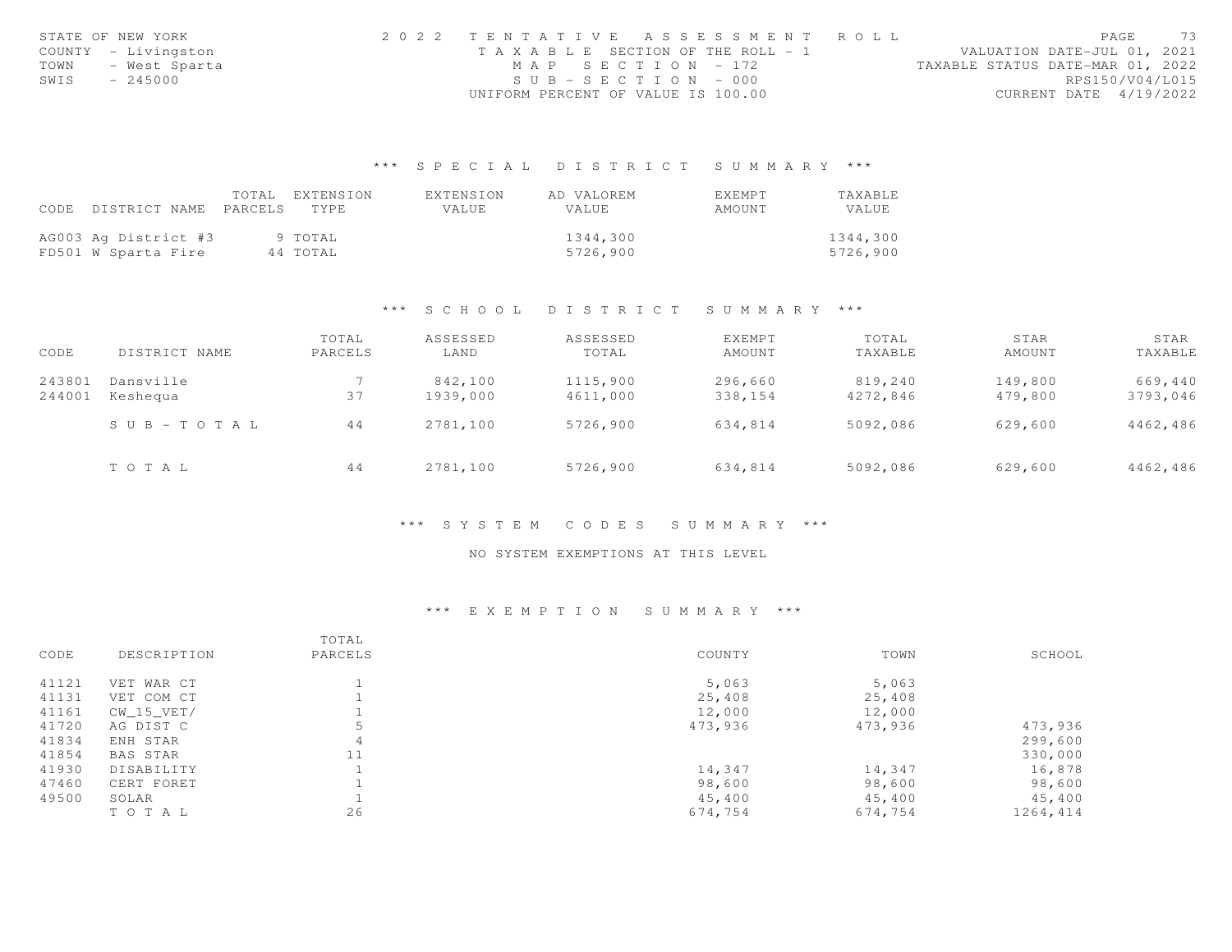|      | STATE OF NEW YORK   |                                    | 2022 TENTATIVE ASSESSMENT ROLL        |                                  | PAGE                        | 73 |
|------|---------------------|------------------------------------|---------------------------------------|----------------------------------|-----------------------------|----|
|      | COUNTY - Livingston |                                    | T A X A B L E SECTION OF THE ROLL - 1 |                                  | VALUATION DATE-JUL 01, 2021 |    |
| TOWN | – West Sparta       | MAP SECTION - 172                  |                                       | TAXABLE STATUS DATE-MAR 01, 2022 |                             |    |
| SWIS | $-245000$           | $SUB - SECTION - 000$              |                                       |                                  | RPS150/V04/L015             |    |
|      |                     | UNIFORM PERCENT OF VALUE IS 100.00 |                                       |                                  | CURRENT DATE 4/19/2022      |    |

## \*\*\* S P E C I A L D I S T R I C T S U M M A R Y \*\*\*

|                      | TOTAL.  | EXTENSION | EXTENSION | AD VALOREM | EXEMPT | TAXABLE  |
|----------------------|---------|-----------|-----------|------------|--------|----------|
| CODE DISTRICT NAME   | PARCELS | TYPE.     | VALUE     | VALUE      | AMOUNT | VALUE    |
|                      |         |           |           |            |        |          |
| AG003 Ag District #3 |         | 9 TOTAL   |           | 1344,300   |        | 1344,300 |
| FD501 W Sparta Fire  |         | 44 TOTAL  |           | 5726,900   |        | 5726,900 |

### \*\*\* S C H O O L D I S T R I C T S U M M A R Y \*\*\*

| CODE             | DISTRICT NAME         | TOTAL<br>PARCELS | ASSESSED<br>LAND    | ASSESSED<br>TOTAL    | <b>EXEMPT</b><br>AMOUNT | TOTAL<br>TAXABLE    | STAR<br>AMOUNT     | STAR<br>TAXABLE     |
|------------------|-----------------------|------------------|---------------------|----------------------|-------------------------|---------------------|--------------------|---------------------|
| 243801<br>244001 | Dansville<br>Keshequa | 37               | 842,100<br>1939,000 | 1115,900<br>4611,000 | 296,660<br>338,154      | 819,240<br>4272,846 | 149,800<br>479,800 | 669,440<br>3793,046 |
|                  | $S \cup B - TO T A L$ | 44               | 2781,100            | 5726,900             | 634,814                 | 5092,086            | 629,600            | 4462,486            |
|                  | TOTAL                 | 44               | 2781,100            | 5726,900             | 634,814                 | 5092,086            | 629,600            | 4462,486            |

### \*\*\* S Y S T E M C O D E S S U M M A R Y \*\*\*

### NO SYSTEM EXEMPTIONS AT THIS LEVEL

### \*\*\* E X E M P T I O N S U M M A R Y \*\*\*

|       |              | TOTAL   |         |         |          |
|-------|--------------|---------|---------|---------|----------|
| CODE  | DESCRIPTION  | PARCELS | COUNTY  | TOWN    | SCHOOL   |
| 41121 | VET WAR CT   |         | 5,063   | 5,063   |          |
| 41131 | VET COM CT   |         | 25,408  | 25,408  |          |
| 41161 | $CW_15_VET/$ |         | 12,000  | 12,000  |          |
| 41720 | AG DIST C    |         | 473,936 | 473,936 | 473,936  |
| 41834 | ENH STAR     | 4       |         |         | 299,600  |
| 41854 | BAS STAR     | 11      |         |         | 330,000  |
| 41930 | DISABILITY   |         | 14,347  | 14,347  | 16,878   |
| 47460 | CERT FORET   |         | 98,600  | 98,600  | 98,600   |
| 49500 | SOLAR        |         | 45,400  | 45,400  | 45,400   |
|       | TOTAL        | 26      | 674,754 | 674,754 | 1264,414 |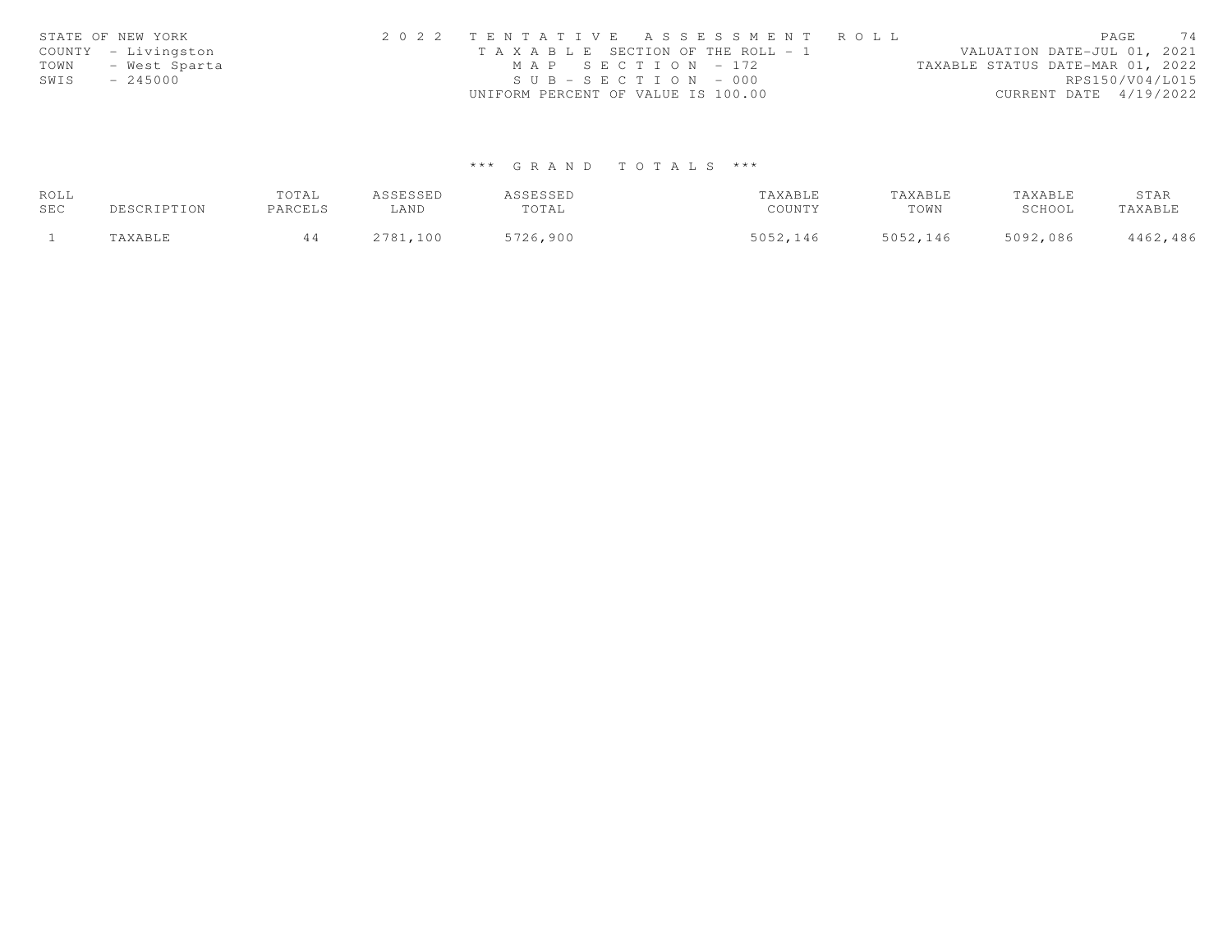|      | STATE OF NEW YORK   | 2022 TENTATIVE ASSESSMENT ROLL                                       | PAGE                   | 74 |
|------|---------------------|----------------------------------------------------------------------|------------------------|----|
|      | COUNTY - Livingston | VALUATION DATE-JUL 01, 2021<br>T A X A B L E SECTION OF THE ROLL - 1 |                        |    |
| TOWN | - West Sparta       | MAP SECTION - 172<br>TAXABLE STATUS DATE-MAR 01, 2022                |                        |    |
| SWIS | $-245000$           | $SUB - SECTION - 000$                                                | RPS150/V04/L015        |    |
|      |                     | UNIFORM PERCENT OF VALUE IS 100.00                                   | CURRENT DATE 4/19/2022 |    |

# \*\*\* G R A N D T O T A L S \*\*\*

| ROLL |             | TOTAL   | ASSESSED | ASSESSED | TAXABLE  | TAXABLE  | TAXABLE  | STAR     |
|------|-------------|---------|----------|----------|----------|----------|----------|----------|
| SEC  | DESCRIPTION | PARCELS | ∟AND     | TOTAL    | COUNTY   | TOWN     | SCHOOL   | TAXABLE  |
|      | "AXABLE     |         | 2781,100 | 5726,900 | 5052,146 | 5052,146 | 5092,086 | 4462,486 |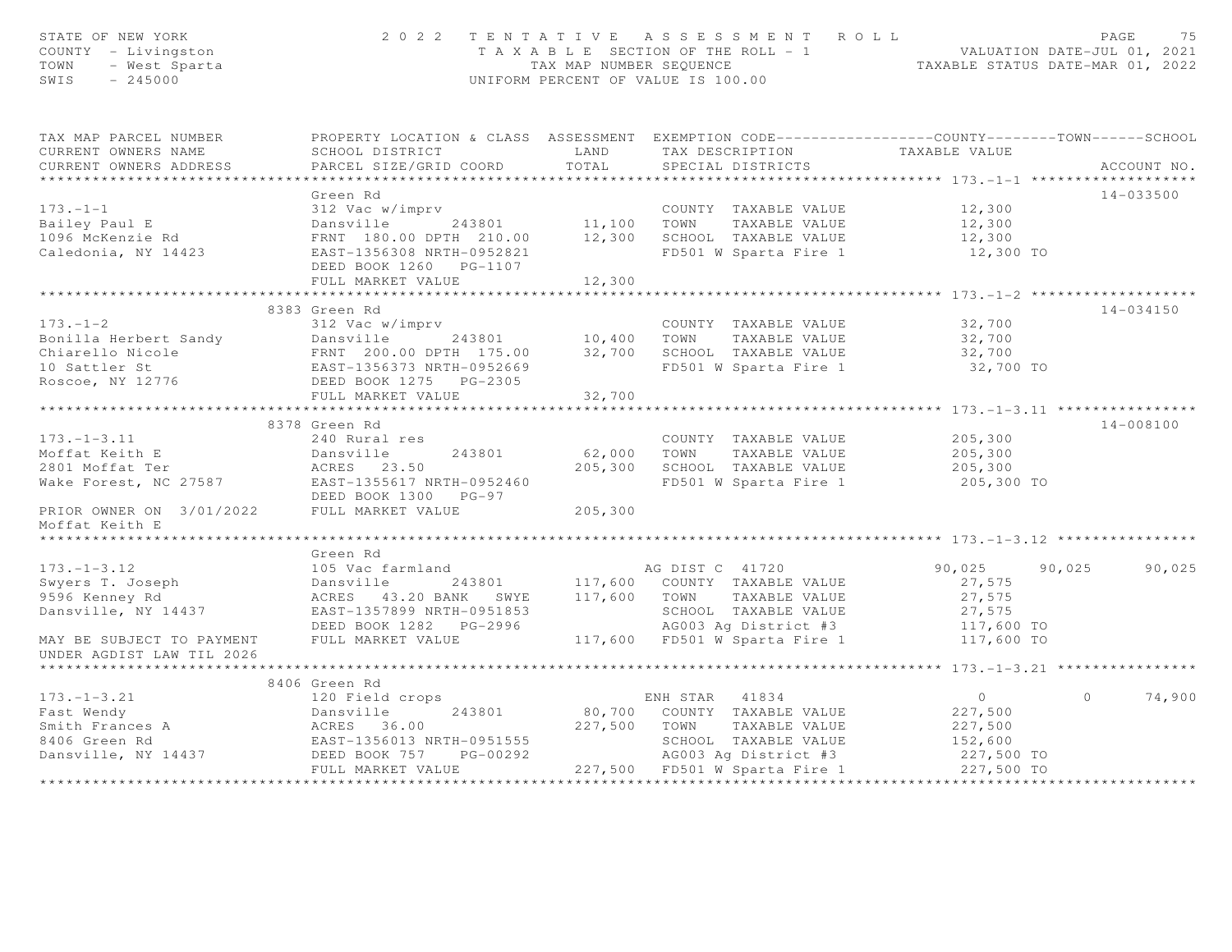| STATE OF NEW YORK<br>COUNTY - Livingston<br>TOWN - West Sparta<br>SWIS - 245000                                                                                                                                                                                                                                                                                                                |                        |         | 2022 TENTATIVE ASSESSMENT ROLL PAGE 75<br>TAXABLE SECTION OF THE ROLL - 1 VALUATION DATE-JUL 01, 2021<br>TAX MAP NUMBER SEQUENCE TAXABLE STATUS DATE-MAR 01, 2022<br>UNIFORM PERCENT OF VALUE IS 100.00 |                  |         |             |
|------------------------------------------------------------------------------------------------------------------------------------------------------------------------------------------------------------------------------------------------------------------------------------------------------------------------------------------------------------------------------------------------|------------------------|---------|---------------------------------------------------------------------------------------------------------------------------------------------------------------------------------------------------------|------------------|---------|-------------|
| TAX MAP PARCEL NUMBER <b>The PROPERTY LOCATION &amp; CLASS</b> ASSESSMENT EXEMPTION CODE---------------COUNTY-------TOWN-----SCHOOL                                                                                                                                                                                                                                                            |                        |         |                                                                                                                                                                                                         |                  |         |             |
| CURRENT OWNERS NAME                                                                                                                                                                                                                                                                                                                                                                            |                        |         |                                                                                                                                                                                                         |                  |         |             |
| CURRENT OWNERS ADDRESS                                                                                                                                                                                                                                                                                                                                                                         |                        |         |                                                                                                                                                                                                         |                  |         | ACCOUNT NO. |
|                                                                                                                                                                                                                                                                                                                                                                                                | Green Rd               |         |                                                                                                                                                                                                         |                  |         | 14-033500   |
|                                                                                                                                                                                                                                                                                                                                                                                                |                        |         |                                                                                                                                                                                                         |                  |         |             |
|                                                                                                                                                                                                                                                                                                                                                                                                |                        |         |                                                                                                                                                                                                         |                  |         |             |
|                                                                                                                                                                                                                                                                                                                                                                                                |                        |         |                                                                                                                                                                                                         |                  |         |             |
|                                                                                                                                                                                                                                                                                                                                                                                                | DEED BOOK 1260 PG-1107 |         |                                                                                                                                                                                                         |                  |         |             |
|                                                                                                                                                                                                                                                                                                                                                                                                | FULL MARKET VALUE      | 12,300  |                                                                                                                                                                                                         |                  |         |             |
|                                                                                                                                                                                                                                                                                                                                                                                                |                        |         |                                                                                                                                                                                                         |                  |         |             |
|                                                                                                                                                                                                                                                                                                                                                                                                | 8383 Green Rd          |         |                                                                                                                                                                                                         |                  |         | 14-034150   |
|                                                                                                                                                                                                                                                                                                                                                                                                |                        |         | COUNTY TAXABLE VALUE 32,700                                                                                                                                                                             |                  |         |             |
|                                                                                                                                                                                                                                                                                                                                                                                                |                        |         |                                                                                                                                                                                                         | 32,700<br>32,700 |         |             |
|                                                                                                                                                                                                                                                                                                                                                                                                |                        |         |                                                                                                                                                                                                         |                  |         |             |
|                                                                                                                                                                                                                                                                                                                                                                                                |                        |         | FD501 W Sparta Fire 1                                                                                                                                                                                   | 32,700 TO        |         |             |
| Example 10,400 TOWN TAXABLE VALUE<br>Sonilla Herbert Sandy<br>Chiarello Nicole FRNT 200.00 DPTH 175.00 32,700 SCHOOL TAXABLE VALUE<br>200.00 DPTH 175.00 32,700 SCHOOL TAXABLE VALUE<br>200.00 DPTH 175.00 32,700 SCHOOL TAXABLE VALUE                                                                                                                                                         | FULL MARKET VALUE      | 32,700  |                                                                                                                                                                                                         |                  |         |             |
|                                                                                                                                                                                                                                                                                                                                                                                                |                        |         |                                                                                                                                                                                                         |                  |         |             |
|                                                                                                                                                                                                                                                                                                                                                                                                | 8378 Green Rd          |         |                                                                                                                                                                                                         |                  |         | 14-008100   |
| $173. - 1 - 3.11$                                                                                                                                                                                                                                                                                                                                                                              | 240 Rural res          |         | COUNTY TAXABLE VALUE                                                                                                                                                                                    | 205,300          |         |             |
|                                                                                                                                                                                                                                                                                                                                                                                                |                        |         |                                                                                                                                                                                                         |                  |         |             |
|                                                                                                                                                                                                                                                                                                                                                                                                |                        |         | 243801 62,000 TOWN TAXABLE VALUE 205,300<br>3.50 205,300 SCHOOL TAXABLE VALUE 205,300                                                                                                                   |                  |         |             |
| Moffat Keith E 2013 Morrow 2013 2000 MM MARIE VALUE<br>2801 Moffat Ter 27587 23.50 205,300 SCHOOL TAXABLE VALUE<br>2013 Make Forest, NC 27587 EAST 135617 NRTH-0952460 FD501 W Sparta Fire 1                                                                                                                                                                                                   |                        |         | FD501 W Sparta Fire 1 205,300 TO                                                                                                                                                                        |                  |         |             |
| DEED BOOK 1300 PG-97<br>PRIOR OWNER ON 3/01/2022 PULL MARKET VALUE<br>Moffat Keith F<br>Moffat Keith E                                                                                                                                                                                                                                                                                         |                        | 205,300 |                                                                                                                                                                                                         |                  |         |             |
|                                                                                                                                                                                                                                                                                                                                                                                                |                        |         |                                                                                                                                                                                                         |                  |         |             |
|                                                                                                                                                                                                                                                                                                                                                                                                | Green Rd               |         |                                                                                                                                                                                                         |                  |         |             |
|                                                                                                                                                                                                                                                                                                                                                                                                |                        |         |                                                                                                                                                                                                         | 90,025 90,025    |         | 90,025      |
|                                                                                                                                                                                                                                                                                                                                                                                                |                        |         |                                                                                                                                                                                                         |                  |         |             |
|                                                                                                                                                                                                                                                                                                                                                                                                |                        |         |                                                                                                                                                                                                         |                  |         |             |
|                                                                                                                                                                                                                                                                                                                                                                                                |                        |         |                                                                                                                                                                                                         |                  |         |             |
| 173.–1–3.12<br>Swyers T. Joseph 105 Voc farmland<br>243801 117,600 COUNTY TAXABLE VALUE 27,575<br>90,025 90<br>90,025 90<br>90,025 90<br>27,575<br>90,025 90<br>27,575<br>90,025 90<br>27,575<br>27,575<br>DEED BOOK 1282 PG-2996 117,600 FD501 W Spar                                                                                                                                         |                        |         |                                                                                                                                                                                                         |                  |         |             |
| UNDER AGDIST LAW TIL 2026                                                                                                                                                                                                                                                                                                                                                                      |                        |         |                                                                                                                                                                                                         |                  |         |             |
|                                                                                                                                                                                                                                                                                                                                                                                                |                        |         |                                                                                                                                                                                                         |                  |         |             |
|                                                                                                                                                                                                                                                                                                                                                                                                | 8406 Green Rd          |         |                                                                                                                                                                                                         |                  |         |             |
|                                                                                                                                                                                                                                                                                                                                                                                                |                        |         |                                                                                                                                                                                                         |                  | $\circ$ | 74,900      |
|                                                                                                                                                                                                                                                                                                                                                                                                |                        |         |                                                                                                                                                                                                         |                  |         |             |
|                                                                                                                                                                                                                                                                                                                                                                                                |                        |         |                                                                                                                                                                                                         |                  |         |             |
|                                                                                                                                                                                                                                                                                                                                                                                                |                        |         |                                                                                                                                                                                                         |                  |         |             |
|                                                                                                                                                                                                                                                                                                                                                                                                |                        |         |                                                                                                                                                                                                         |                  |         |             |
| $\begin{array}{cccccc} 173.-1-3.21 & 8406\text{ Green Rd} & \text{EMH STAR} & 41834 & 0\\ 120\text{ Field crops} & 243801 & 80,700\text{ COUNTY TAXABLE VALUE} & 227,500\\ 120\text{Rankville} & 243801 & 80,700\text{ COUNTY TAXABLE VALUE} & 227,500\\ 120\text{Rankville} & 243801 & 80,700\text{ COUNTY TAXABLE VALUE} & 227,500\\ 227,500\text{ TownN TAXABLE VALUE} & 227,500\text{ TAX$ |                        |         |                                                                                                                                                                                                         |                  |         |             |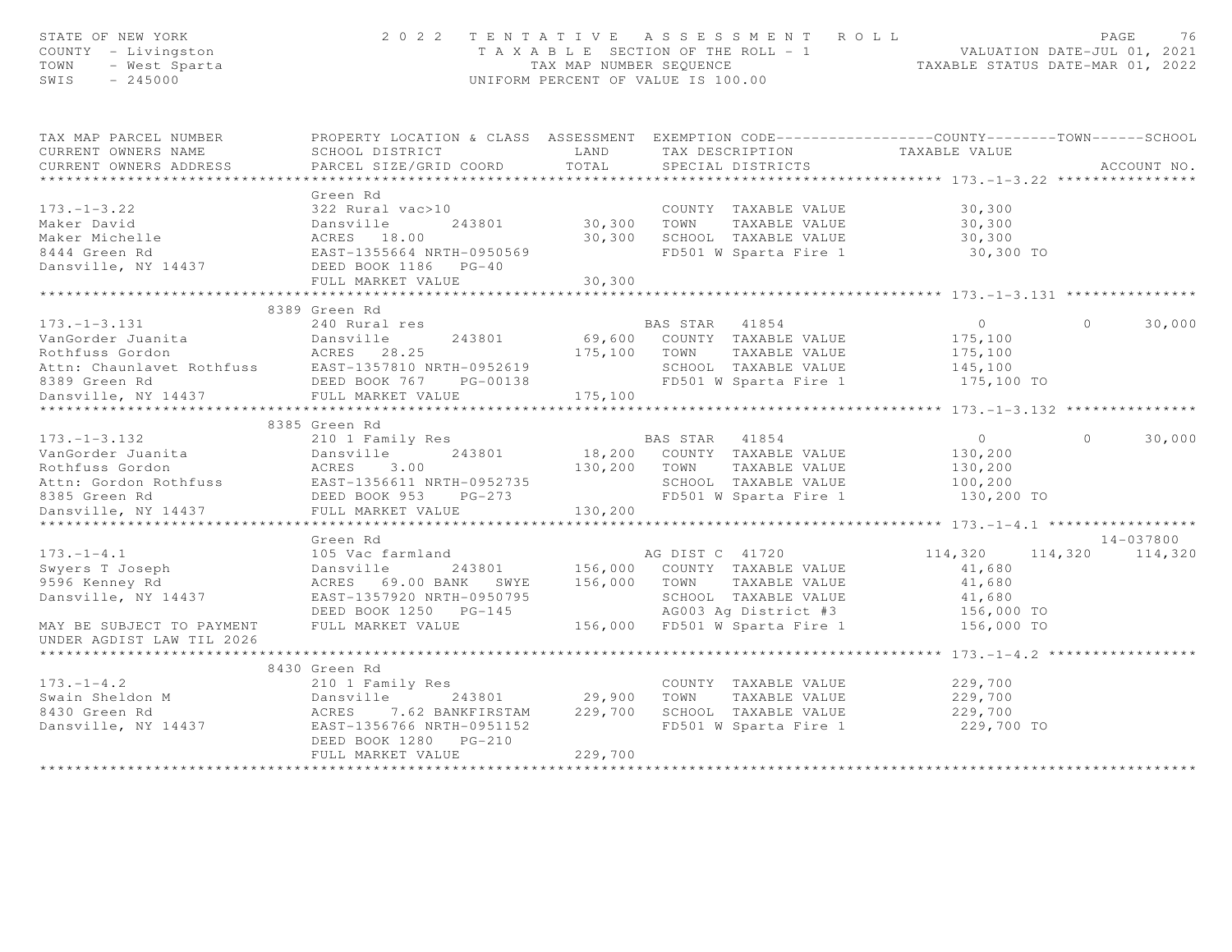| STATE OF NEW IVAN<br>COUNTY - Livingston<br>TOWN - West Sparta<br>CWIS - 245000                                                                                                                                                                        | 2 0 2 2                                                                                          |         | TENTATIVE ASSESSMENT ROLL<br>UNIFORM PERCENT OF VALUE IS 100.00 |                  |          | PAGE<br>76      |
|--------------------------------------------------------------------------------------------------------------------------------------------------------------------------------------------------------------------------------------------------------|--------------------------------------------------------------------------------------------------|---------|-----------------------------------------------------------------|------------------|----------|-----------------|
| TAX MAP PARCEL NUMBER                                                                                                                                                                                                                                  | PROPERTY LOCATION & CLASS ASSESSMENT EXEMPTION CODE----------------COUNTY-------TOWN------SCHOOL |         |                                                                 |                  |          |                 |
| CURRENT OWNERS NAME                                                                                                                                                                                                                                    | SCHOOL DISTRICT LAND                                                                             |         | TAX DESCRIPTION TAXABLE VALUE<br>SPECIAL DISTRICTS              |                  |          |                 |
| CURRENT OWNERS ADDRESS                                                                                                                                                                                                                                 | PARCEL SIZE/GRID COORD                                                                           | TOTAL   |                                                                 |                  |          | ACCOUNT NO.     |
|                                                                                                                                                                                                                                                        |                                                                                                  |         |                                                                 |                  |          |                 |
| $173. - 1 - 3.22$                                                                                                                                                                                                                                      | Green Rd<br>322 Rural vac>10                                                                     |         |                                                                 | 30,300           |          |                 |
|                                                                                                                                                                                                                                                        |                                                                                                  |         | COUNTY TAXABLE VALUE                                            |                  |          |                 |
|                                                                                                                                                                                                                                                        |                                                                                                  |         | 30,300 TOWN TAXABLE VALUE<br>30,300 SCHOOL TAXABLE VALUE        | 30,300<br>30,300 |          |                 |
|                                                                                                                                                                                                                                                        |                                                                                                  |         | FD501 W Sparta Fire 1                                           | 30,300 TO        |          |                 |
|                                                                                                                                                                                                                                                        |                                                                                                  |         |                                                                 |                  |          |                 |
|                                                                                                                                                                                                                                                        | FULL MARKET VALUE                                                                                | 30,300  |                                                                 |                  |          |                 |
|                                                                                                                                                                                                                                                        |                                                                                                  |         |                                                                 |                  |          |                 |
|                                                                                                                                                                                                                                                        | 8389 Green Rd                                                                                    |         |                                                                 |                  |          |                 |
| $173. - 1 - 3.131$                                                                                                                                                                                                                                     | 240 Rural res                                                                                    |         | BAS STAR 41854                                                  | $\overline{0}$   | $\Omega$ | 30,000          |
|                                                                                                                                                                                                                                                        |                                                                                                  |         | 69,600 COUNTY TAXABLE VALUE                                     | 175,100          |          |                 |
|                                                                                                                                                                                                                                                        |                                                                                                  |         | 175,100 TOWN TAXABLE VALUE                                      | 175,100          |          |                 |
|                                                                                                                                                                                                                                                        |                                                                                                  |         | SCHOOL TAXABLE VALUE                                            | 145, 100         |          |                 |
|                                                                                                                                                                                                                                                        |                                                                                                  |         | FD501 W Sparta Fire 1                                           | 175,100 TO       |          |                 |
| 1/3.-1-3.131<br>VanGorder Juanita<br>Rothfuss Gordon<br>Rothfuss Gordon<br>ACRES 28.25<br>Attn: Chaunlavet Rothfuss<br>BAST-1357810 NRTH-0952619<br>8389 Green Rd<br>DEED BOOK 767 PG-00138<br>DAST PULL MARKET VALUE                                  |                                                                                                  | 175,100 |                                                                 |                  |          |                 |
|                                                                                                                                                                                                                                                        |                                                                                                  |         |                                                                 |                  |          |                 |
| 1/3. -1-3.132<br>VanGorder Juanita<br>VanGorder Juanita<br>Rothfuss Gordon<br>Rothfuss Gordon<br>Attn: Gordon Rothfuss<br>8385 Green Rd<br>DEED BOOK 953 PG-273<br>DANSVille, NY 14437<br>TULL MARKET VALUE<br>210 130,200<br>200 130,200<br>200 130,2 |                                                                                                  |         |                                                                 |                  |          |                 |
|                                                                                                                                                                                                                                                        |                                                                                                  |         | BAS STAR 41854                                                  | $\overline{0}$   | $\Omega$ | 30,000          |
|                                                                                                                                                                                                                                                        |                                                                                                  |         | 18,200 COUNTY TAXABLE VALUE                                     | 130,200          |          |                 |
|                                                                                                                                                                                                                                                        |                                                                                                  |         | 130,200 TOWN TAXABLE VALUE                                      | 130,200          |          |                 |
|                                                                                                                                                                                                                                                        |                                                                                                  |         |                                                                 |                  |          |                 |
|                                                                                                                                                                                                                                                        |                                                                                                  |         |                                                                 |                  |          |                 |
|                                                                                                                                                                                                                                                        |                                                                                                  |         |                                                                 |                  |          |                 |
|                                                                                                                                                                                                                                                        |                                                                                                  |         |                                                                 |                  |          |                 |
|                                                                                                                                                                                                                                                        | Green Rd                                                                                         |         |                                                                 |                  |          | 14-037800       |
|                                                                                                                                                                                                                                                        |                                                                                                  |         | AG DIST C 41720                                                 | 114,320          |          | 114,320 114,320 |
| 173.-1-4.1<br>Swyers T Joseph<br>^FA4 Kenney Rd                                                                                                                                                                                                        |                                                                                                  |         | 243801 156,000 COUNTY TAXABLE VALUE                             | 41,680           |          |                 |
| Dansville, NY 14437                                                                                                                                                                                                                                    | ACRES 69.00 BANK SWYE 156,000 TOWN TAXABLE VALUE                                                 |         | SCHOOL TAXABLE VALUE                                            | 41,680<br>41,680 |          |                 |
|                                                                                                                                                                                                                                                        | DEED BOOK 1250 PG-145                                                                            |         |                                                                 |                  |          |                 |
| MAY BE SUBJECT TO PAYMENT                                                                                                                                                                                                                              | FULL MARKET VALUE                                                                                |         |                                                                 |                  |          |                 |
| UNDER AGDIST LAW TIL 2026                                                                                                                                                                                                                              |                                                                                                  |         |                                                                 |                  |          |                 |
|                                                                                                                                                                                                                                                        |                                                                                                  |         |                                                                 |                  |          |                 |
|                                                                                                                                                                                                                                                        | 8430 Green Rd                                                                                    |         |                                                                 |                  |          |                 |
| $173 - 1 - 4.2$                                                                                                                                                                                                                                        | 210 1 Family Res                                                                                 |         | COUNTY TAXABLE VALUE                                            | 229,700          |          |                 |
| Swain Sheldon M<br>8430 Green Rd<br>29,900 BASS 243801<br>29,900 BASS 229,700<br>229,700 Dansville, NY 14437<br>229,700 EAST-1356766 NRTH-0951152<br>$1/3 - 1$<br>Swain Sheldon M                                                                      |                                                                                                  |         | ly Res<br>243801 29,900 TOWN TAXABLE VALUE                      | 229,700          |          |                 |
|                                                                                                                                                                                                                                                        |                                                                                                  |         | SCHOOL TAXABLE VALUE                                            | 229,700          |          |                 |
|                                                                                                                                                                                                                                                        |                                                                                                  |         | FD501 W Sparta Fire 1                                           | 229,700 TO       |          |                 |
|                                                                                                                                                                                                                                                        | DEED BOOK 1280 PG-210                                                                            |         |                                                                 |                  |          |                 |
|                                                                                                                                                                                                                                                        | FULL MARKET VALUE                                                                                | 229,700 |                                                                 |                  |          |                 |
|                                                                                                                                                                                                                                                        |                                                                                                  |         |                                                                 |                  |          |                 |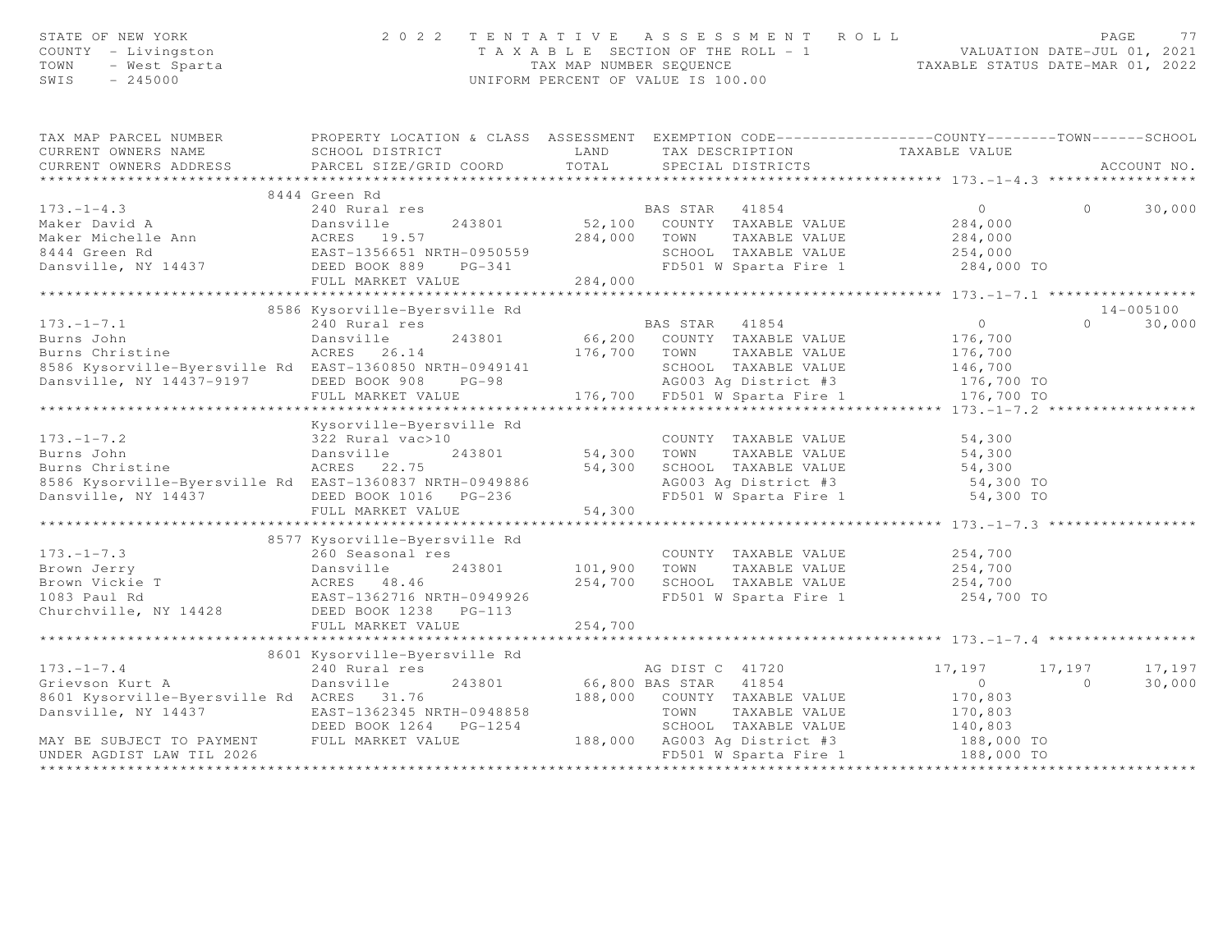| STATE OF NEW YORA<br>COUNTY - Livingston<br>TOWN - West Sparta<br>-- - - 245000                                                                                                                                   | 2 0 2 2                                                                                          |             | TENTATIVE ASSESSMENT ROLL<br>T A X A B L E SECTION OF THE ROLL - 1<br>TAX MAP NUMBER SEQUENCE<br>TAXABLE STATUS DATE-MAR 01, 2022<br>UNIFORM PERCENT OF VALUE IS 100.00 |                                                 | PAGE     | 77              |
|-------------------------------------------------------------------------------------------------------------------------------------------------------------------------------------------------------------------|--------------------------------------------------------------------------------------------------|-------------|-------------------------------------------------------------------------------------------------------------------------------------------------------------------------|-------------------------------------------------|----------|-----------------|
| TAX MAP PARCEL NUMBER                                                                                                                                                                                             | PROPERTY LOCATION & CLASS ASSESSMENT EXEMPTION CODE----------------COUNTY-------TOWN------SCHOOL |             |                                                                                                                                                                         |                                                 |          |                 |
| CURRENT OWNERS NAME                                                                                                                                                                                               | SCHOOL DISTRICT                                                                                  | LAND        | TAX DESCRIPTION TAXABLE VALUE<br>SPECIAL DISTRICTS                                                                                                                      |                                                 |          |                 |
| CURRENT OWNERS ADDRESS                                                                                                                                                                                            | PARCEL SIZE/GRID COORD                                                                           | TOTAL       |                                                                                                                                                                         |                                                 |          | ACCOUNT NO.     |
|                                                                                                                                                                                                                   | 8444 Green Rd                                                                                    |             |                                                                                                                                                                         |                                                 |          |                 |
| $173. - 1 - 4.3$                                                                                                                                                                                                  | 240 Rural res                                                                                    |             | BAS STAR 41854                                                                                                                                                          | $\overline{0}$                                  | $\Omega$ | 30,000          |
|                                                                                                                                                                                                                   | 243801                                                                                           |             |                                                                                                                                                                         |                                                 |          |                 |
|                                                                                                                                                                                                                   |                                                                                                  |             | 52,100 COUNTY TAXABLE VALUE<br>284,000 TOWN TAXABLE VALUE                                                                                                               | 284,000<br>284,000                              |          |                 |
| Maker David A<br>Maker Michelle Ann Maker Michelle Ann ACRES 19.57<br>8444 Green Rd EAST-1356651 NRTH-0950559<br>Dansville, NY 14437 DEED BOOK 889 PG-341                                                         |                                                                                                  |             | SCHOOL TAXABLE VALUE                                                                                                                                                    | 254,000                                         |          |                 |
|                                                                                                                                                                                                                   | $PG-341$                                                                                         |             | FD501 W Sparta Fire 1 284,000 TO                                                                                                                                        |                                                 |          |                 |
|                                                                                                                                                                                                                   | FULL MARKET VALUE                                                                                | 284,000     |                                                                                                                                                                         |                                                 |          |                 |
|                                                                                                                                                                                                                   | *****************************                                                                    |             |                                                                                                                                                                         | ***************** 173.-1-7.1 ****************** |          |                 |
|                                                                                                                                                                                                                   | 8586 Kysorville-Byersville Rd                                                                    |             |                                                                                                                                                                         |                                                 |          | 14-005100       |
| $173. - 1 - 7.1$                                                                                                                                                                                                  | 240 Rural res                                                                                    |             | BAS STAR 41854                                                                                                                                                          | $\overline{0}$                                  | $\Omega$ | 30,000          |
| 173.-1-7.1<br>Burns John<br>Burns Christine                                                                                                                                                                       | Dansville<br>243801                                                                              |             | 66,200 COUNTY TAXABLE VALUE                                                                                                                                             | 176,700                                         |          |                 |
|                                                                                                                                                                                                                   | ACRES 26.14                                                                                      |             | 176,700 TOWN<br>TAXABLE VALUE                                                                                                                                           | 176,700                                         |          |                 |
| 8586 Kysorville-Byersville Rd EAST-1360850 NRTH-0949141                                                                                                                                                           |                                                                                                  |             | SCHOOL TAXABLE VALUE 146,700                                                                                                                                            |                                                 |          |                 |
| Dansville, NY 14437-9197 DEED BOOK 908 PG-98                                                                                                                                                                      |                                                                                                  |             |                                                                                                                                                                         |                                                 |          |                 |
|                                                                                                                                                                                                                   | FULL MARKET VALUE                                                                                |             | $AG003$ Ag District #3 $1/0, 100$ ID $-2$ 176,700 TO $-2$ 176,700 TO<br>$176,700$ FD501 W Sparta Fire 1                                                                 | *************** 173.-1-7.2 ***************      |          |                 |
|                                                                                                                                                                                                                   | Kysorville-Byersville Rd                                                                         |             |                                                                                                                                                                         |                                                 |          |                 |
| Aysorville<br>Burns John<br>Burns Christine<br>8586 Kysorville-Rysers:                                                                                                                                            | 322 Rural vac>10                                                                                 |             | COUNTY TAXABLE VALUE                                                                                                                                                    | 54,300                                          |          |                 |
|                                                                                                                                                                                                                   | 243801                                                                                           | 54,300 TOWN | TAXABLE VALUE                                                                                                                                                           | 54,300                                          |          |                 |
|                                                                                                                                                                                                                   | ACRES 22.75                                                                                      | 54,300      | SCHOOL TAXABLE VALUE                                                                                                                                                    | 54,300                                          |          |                 |
| 8586 Kysorville-Byersville Rd EAST-1360837 NRTH-0949886                                                                                                                                                           |                                                                                                  |             |                                                                                                                                                                         |                                                 |          |                 |
| Dansville, NY 14437 DEED BOOK 1016 PG-236                                                                                                                                                                         |                                                                                                  |             | AG003 Ag District #3 54,300 TO<br>FD501 W Sparta Fire 1 54,300 TO                                                                                                       |                                                 |          |                 |
|                                                                                                                                                                                                                   | FULL MARKET VALUE                                                                                | 54,300      |                                                                                                                                                                         |                                                 |          |                 |
|                                                                                                                                                                                                                   |                                                                                                  |             |                                                                                                                                                                         |                                                 |          |                 |
|                                                                                                                                                                                                                   | 8577 Kysorville-Byersville Rd                                                                    |             |                                                                                                                                                                         |                                                 |          |                 |
| $173. - 1 - 7.3$                                                                                                                                                                                                  | 260 Seasonal res                                                                                 |             | COUNTY TAXABLE VALUE                                                                                                                                                    | 254,700                                         |          |                 |
|                                                                                                                                                                                                                   |                                                                                                  | 101,900     | TAXABLE VALUE<br>TOWN                                                                                                                                                   | 254,700                                         |          |                 |
| 1/3.-1-7.3<br>Brown Jerry<br>Brown Vickie T<br>1083 Paul Rd<br>Churchville, NY 14428<br>Churchville, NY 14428<br>Churchville, NY 14428<br>Churchville, NY 14428<br>Churchville, NY 14428<br>Churchville, NY 14428 |                                                                                                  | 254,700     | SCHOOL TAXABLE VALUE                                                                                                                                                    | 254,700                                         |          |                 |
|                                                                                                                                                                                                                   |                                                                                                  |             | FD501 W Sparta Fire 1 254,700 TO                                                                                                                                        |                                                 |          |                 |
|                                                                                                                                                                                                                   |                                                                                                  |             |                                                                                                                                                                         |                                                 |          |                 |
|                                                                                                                                                                                                                   | FULL MARKET VALUE                                                                                | 254,700     |                                                                                                                                                                         |                                                 |          |                 |
|                                                                                                                                                                                                                   | 8601 Kysorville-Byersville Rd                                                                    |             |                                                                                                                                                                         |                                                 |          |                 |
| $173. - 1 - 7.4$                                                                                                                                                                                                  | 240 Rural res                                                                                    |             | AG DIST C 41720                                                                                                                                                         | 17,197                                          |          | 17, 197 17, 197 |
| Grievson Kurt A                                                                                                                                                                                                   | 243801<br>Dansville                                                                              |             | 66,800 BAS STAR 41854                                                                                                                                                   | $\circ$                                         | $\Omega$ | 30,000          |
| 8601 Kysorville-Byersville Rd ACRES 31.76                                                                                                                                                                         |                                                                                                  |             | 188,000 COUNTY TAXABLE VALUE                                                                                                                                            | 170,803                                         |          |                 |
| Dansville, NY 14437                                                                                                                                                                                               |                                                                                                  |             | TOWN<br>TAXABLE VALUE                                                                                                                                                   | 170,803                                         |          |                 |
|                                                                                                                                                                                                                   | EAST-1362345 NRTH-0948858<br>DEED BOOK 1264 PG-1254                                              |             | SCHOOL TAXABLE VALUE                                                                                                                                                    |                                                 |          |                 |
| MAY BE SUBJECT TO PAYMENT                                                                                                                                                                                         | ----<br>FULL MARKET VALUE                                                                        |             | SCHOOL TAXABLE VALUE:<br>188,000 AG003 Ag District #3                                                                                                                   | 140,803<br>188,000 TO                           |          |                 |
| UNDER AGDIST LAW TIL 2026                                                                                                                                                                                         |                                                                                                  |             | FD501 W Sparta Fire 1                                                                                                                                                   | 188,000 TO                                      |          |                 |
|                                                                                                                                                                                                                   |                                                                                                  |             |                                                                                                                                                                         |                                                 |          |                 |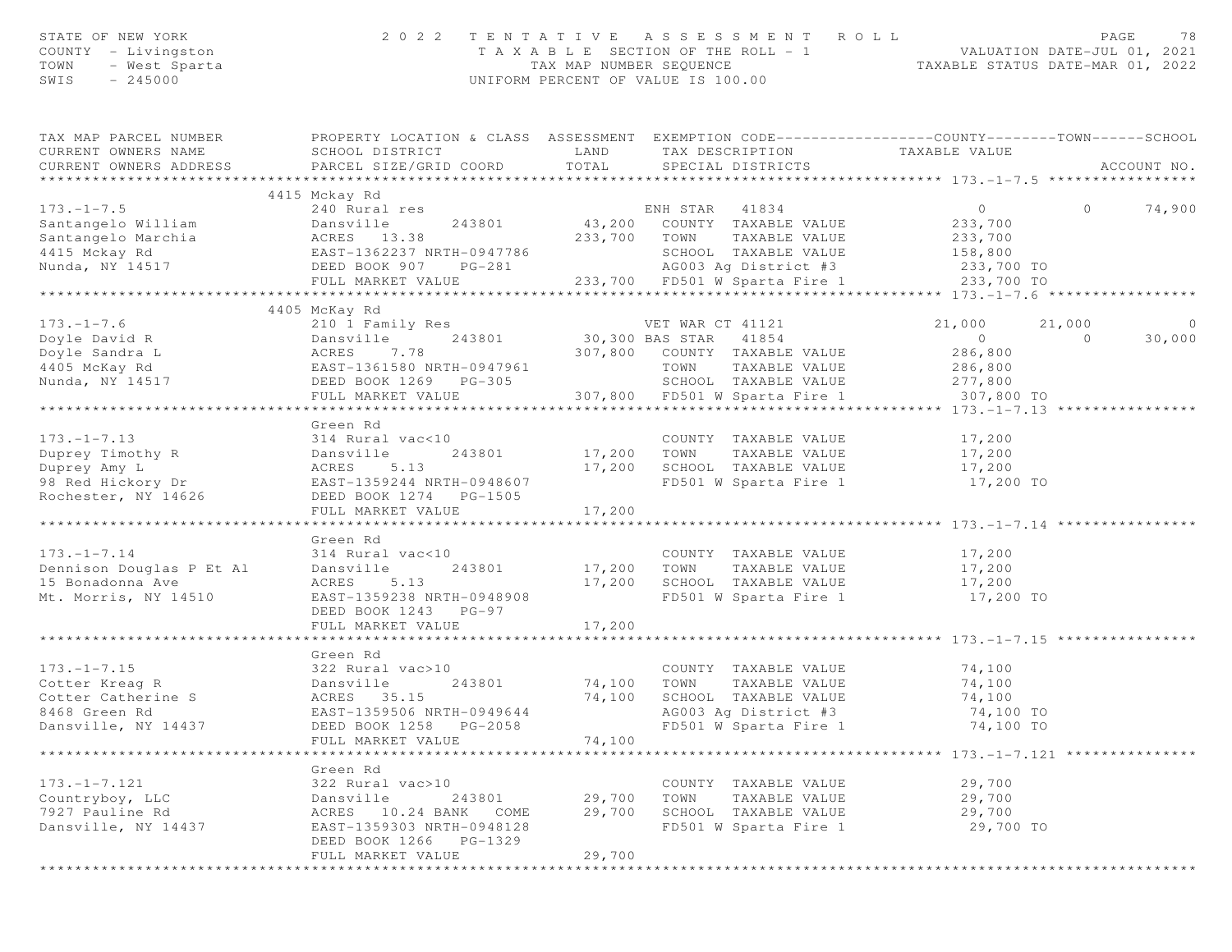| STATE OF NEW YORK<br>COUNTY - Livingston<br>TOWN<br>- West Sparta<br>SWIS<br>$-245000$ | 2 0 2 2                                                                                                                                       | T A X A B L E SECTION OF THE ROLL - 1<br>TAX MAP NUMBER SEOUENCE<br>UNIFORM PERCENT OF VALUE IS 100.00 |                | TENTATIVE ASSESSMENT ROLL                             |                                          |          | PAGE<br>78     |
|----------------------------------------------------------------------------------------|-----------------------------------------------------------------------------------------------------------------------------------------------|--------------------------------------------------------------------------------------------------------|----------------|-------------------------------------------------------|------------------------------------------|----------|----------------|
| TAX MAP PARCEL NUMBER<br>CURRENT OWNERS NAME<br>CURRENT OWNERS ADDRESS                 | PROPERTY LOCATION & CLASS ASSESSMENT EXEMPTION CODE----------------COUNTY-------TOWN------SCHOOL<br>SCHOOL DISTRICT<br>PARCEL SIZE/GRID COORD | LAND<br>TOTAL                                                                                          |                | SPECIAL DISTRICTS                                     | TAX DESCRIPTION TAXABLE VALUE            |          | ACCOUNT NO.    |
|                                                                                        |                                                                                                                                               |                                                                                                        |                |                                                       |                                          |          |                |
| $173. - 1 - 7.5$                                                                       | 4415 Mckay Rd                                                                                                                                 |                                                                                                        |                |                                                       | $\circ$                                  | $\circ$  |                |
| Santangelo William                                                                     | 240 Rural res<br>1iam Dansville 243801<br>chia ACRES 13.38<br>EAST-1362237 NRTH-0947786<br>PERD ROOK 907 PG-281                               |                                                                                                        | ENH STAR 41834 | 43,200 COUNTY TAXABLE VALUE                           | 233,700                                  |          | 74,900         |
| Santangelo Marchia                                                                     |                                                                                                                                               |                                                                                                        | 233,700 TOWN   | TAXABLE VALUE                                         | 233,700                                  |          |                |
| 4415 Mckay Rd                                                                          |                                                                                                                                               |                                                                                                        |                | SCHOOL TAXABLE VALUE                                  | 158,800                                  |          |                |
| Nunda, NY 14517                                                                        |                                                                                                                                               |                                                                                                        |                | AG003 Ag District #3                                  | 233,700 TO                               |          |                |
|                                                                                        | FULL MARKET VALUE                                                                                                                             |                                                                                                        |                |                                                       | 233,700 FD501 W Sparta Fire 1 233,700 TO |          |                |
|                                                                                        |                                                                                                                                               |                                                                                                        |                |                                                       |                                          |          |                |
|                                                                                        | 4405 McKay Rd                                                                                                                                 |                                                                                                        |                |                                                       |                                          |          |                |
| $173. - 1 - 7.6$                                                                       | 210 1 Family Res                                                                                                                              | VET WAR CT 41121<br>30,300 BAS STAR 41854                                                              |                |                                                       | 21,000                                   | 21,000   | $\overline{0}$ |
| Doyle David R                                                                          | Dansville 243801<br>ACRES 7.78<br>EAST-1361580 NRTH-0947961                                                                                   |                                                                                                        |                |                                                       | $\overline{0}$                           | $\Omega$ | 30,000         |
| Doyle Sandra L                                                                         |                                                                                                                                               |                                                                                                        |                | 307,800 COUNTY TAXABLE VALUE                          | 286,800                                  |          |                |
| 4405 McKay Rd                                                                          |                                                                                                                                               |                                                                                                        | TOWN           | TAXABLE VALUE                                         | 286,800                                  |          |                |
| Nunda, NY 14517                                                                        | DEED BOOK 1269 PG-305<br>FULL MARKET VALUE                                                                                                    |                                                                                                        |                | SCHOOL TAXABLE VALUE<br>307,800 FD501 W Sparta Fire 1 | 277,800<br>307,800 TO                    |          |                |
|                                                                                        |                                                                                                                                               |                                                                                                        |                |                                                       |                                          |          |                |
|                                                                                        | Green Rd                                                                                                                                      |                                                                                                        |                |                                                       |                                          |          |                |
| $173. - 1 - 7.13$                                                                      | 314 Rural vac<10                                                                                                                              |                                                                                                        |                | COUNTY TAXABLE VALUE                                  | 17,200                                   |          |                |
| Duprey Timothy R                                                                       | Dansville<br>243801                                                                                                                           |                                                                                                        | 17,200 TOWN    | TAXABLE VALUE                                         | 17,200                                   |          |                |
| Duprey Amy L                                                                           | 5.13<br>ACRES                                                                                                                                 |                                                                                                        |                | 17,200 SCHOOL TAXABLE VALUE                           | 17,200                                   |          |                |
| 98 Red Hickory Dr                                                                      | EAST-1359244 NRTH-0948607                                                                                                                     |                                                                                                        |                | FD501 W Sparta Fire 1                                 | 17,200 TO                                |          |                |
| Rochester, NY 14626                                                                    | DEED BOOK 1274 PG-1505                                                                                                                        |                                                                                                        |                |                                                       |                                          |          |                |
|                                                                                        | FULL MARKET VALUE                                                                                                                             | 17,200                                                                                                 |                |                                                       |                                          |          |                |
|                                                                                        |                                                                                                                                               |                                                                                                        |                |                                                       | ***************** 173.-1-7.14            |          |                |
|                                                                                        | Green Rd                                                                                                                                      |                                                                                                        |                |                                                       |                                          |          |                |
| $173. - 1 - 7.14$                                                                      | 314 Rural vac<10                                                                                                                              |                                                                                                        |                | COUNTY TAXABLE VALUE                                  | 17,200                                   |          |                |
| Dennison Douglas P Et Al                                                               | 243801<br>Dansville                                                                                                                           | 17,200                                                                                                 | TOWN           | TAXABLE VALUE                                         | 17,200                                   |          |                |
| 15 Bonadonna Ave<br>Mt. Morris, NY 14510                                               | ACRES<br>5.13<br>EAST-1359238 NRTH-0948908                                                                                                    | 17,200                                                                                                 |                | SCHOOL TAXABLE VALUE<br>FD501 W Sparta Fire 1         | 17,200<br>17,200 TO                      |          |                |
|                                                                                        | DEED BOOK 1243 PG-97                                                                                                                          |                                                                                                        |                |                                                       |                                          |          |                |
|                                                                                        | FULL MARKET VALUE                                                                                                                             | 17,200                                                                                                 |                |                                                       |                                          |          |                |
|                                                                                        |                                                                                                                                               |                                                                                                        |                |                                                       | ***************** 173.-1-7.15 ****       |          |                |
|                                                                                        | Green Rd                                                                                                                                      |                                                                                                        |                |                                                       |                                          |          |                |
| $173. - 1 - 7.15$                                                                      | 322 Rural vac>10                                                                                                                              |                                                                                                        |                | COUNTY TAXABLE VALUE                                  | 74,100                                   |          |                |
| Cotter Kreag R                                                                         | 243801<br>Dansville                                                                                                                           | 74,100                                                                                                 | TOWN           | TAXABLE VALUE                                         | 74,100                                   |          |                |
| Cotter Catherine S                                                                     | ACRES 35.15                                                                                                                                   | 74,100                                                                                                 |                | SCHOOL TAXABLE VALUE                                  | 74,100                                   |          |                |
| 8468 Green Rd                                                                          | EAST-1359506 NRTH-0949644                                                                                                                     |                                                                                                        |                | AG003 Ag District #3                                  | 74,100 TO                                |          |                |
| Dansville, NY 14437                                                                    | DEED BOOK 1258<br>PG-2058                                                                                                                     |                                                                                                        |                | FD501 W Sparta Fire 1                                 | 74,100 TO                                |          |                |
|                                                                                        | FULL MARKET VALUE                                                                                                                             | 74,100                                                                                                 |                |                                                       |                                          |          |                |
|                                                                                        |                                                                                                                                               |                                                                                                        |                |                                                       | ******** 173.-1-7.121 ********           |          |                |
| $173. - 1 - 7.121$                                                                     | Green Rd<br>322 Rural vac>10                                                                                                                  |                                                                                                        |                | COUNTY TAXABLE VALUE                                  | 29,700                                   |          |                |
| Countryboy, LLC                                                                        | Dansville<br>243801                                                                                                                           | 29,700                                                                                                 | TOWN           | TAXABLE VALUE                                         | 29,700                                   |          |                |
| 7927 Pauline Rd                                                                        | 10.24 BANK<br>ACRES<br>COME                                                                                                                   | 29,700                                                                                                 |                | SCHOOL TAXABLE VALUE                                  | 29,700                                   |          |                |
| Dansville, NY 14437                                                                    | EAST-1359303 NRTH-0948128                                                                                                                     |                                                                                                        |                | FD501 W Sparta Fire 1                                 | 29,700 TO                                |          |                |
|                                                                                        | DEED BOOK 1266<br>PG-1329                                                                                                                     |                                                                                                        |                |                                                       |                                          |          |                |
|                                                                                        | FULL MARKET VALUE                                                                                                                             | 29,700                                                                                                 |                |                                                       |                                          |          |                |
|                                                                                        |                                                                                                                                               |                                                                                                        |                |                                                       |                                          |          |                |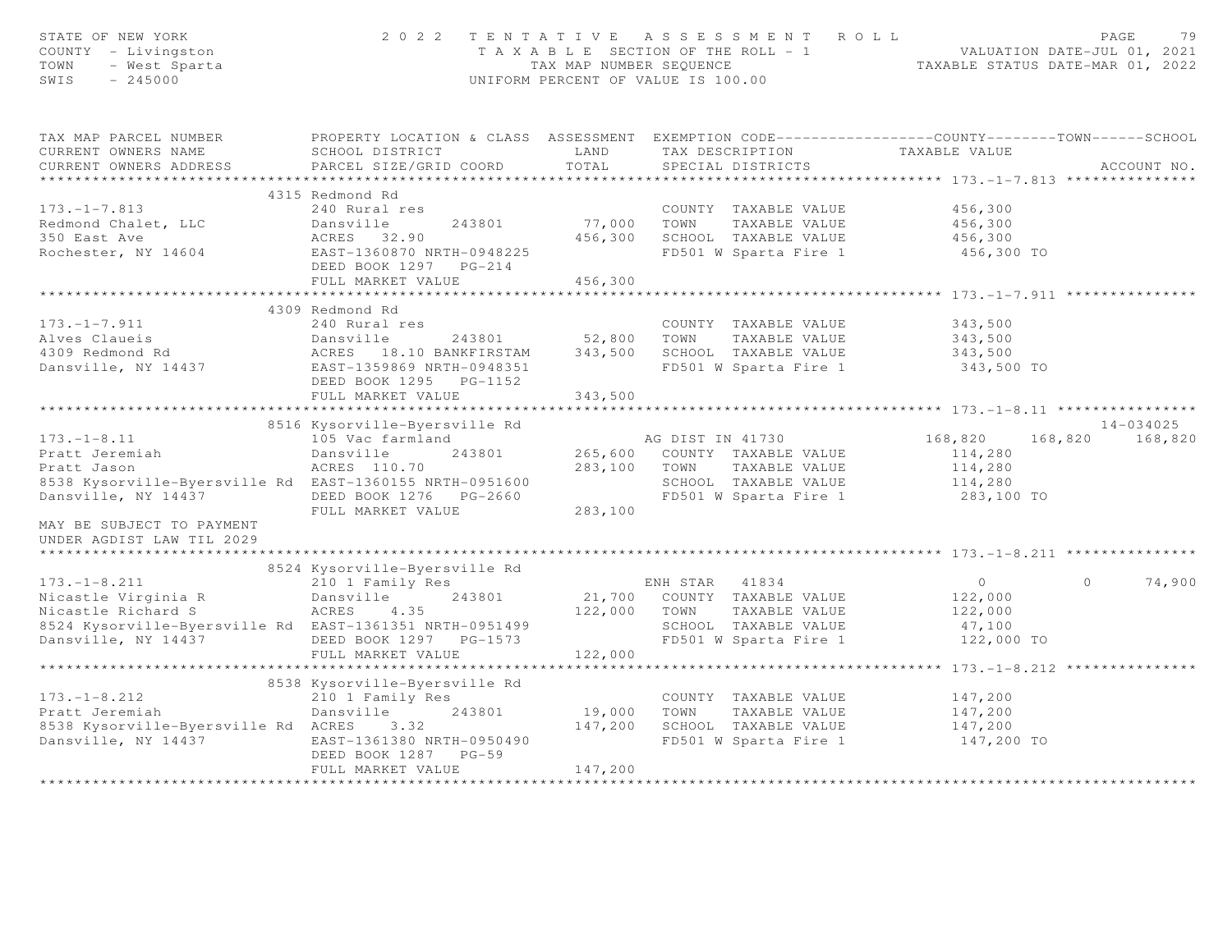| STATE OF NEW YORK<br>COUNTY - Livingston<br>TOWN<br>- West Sparta<br>SWIS<br>$-245000$ | 2 0 2 2                                                                                                             | TENTATIVE ASSESSMENT ROLL<br>PAGE<br>VALUATION DATE-JUL 01, 2021<br>TAXABLE STATUS DATE-MAR 01, 2022<br>T A X A B L E SECTION OF THE ROLL - 1<br>TAX MAP NUMBER SEOUENCE<br>UNIFORM PERCENT OF VALUE IS 100.00 |                              |                                                       |                            |               |
|----------------------------------------------------------------------------------------|---------------------------------------------------------------------------------------------------------------------|----------------------------------------------------------------------------------------------------------------------------------------------------------------------------------------------------------------|------------------------------|-------------------------------------------------------|----------------------------|---------------|
| TAX MAP PARCEL NUMBER<br>CURRENT OWNERS NAME                                           | PROPERTY LOCATION & CLASS ASSESSMENT EXEMPTION CODE----------------COUNTY-------TOWN------SCHOOL<br>SCHOOL DISTRICT | LAND                                                                                                                                                                                                           | TAX DESCRIPTION              | TAXABLE VALUE                                         |                            |               |
| CURRENT OWNERS ADDRESS                                                                 | PARCEL SIZE/GRID COORD                                                                                              | TOTAL                                                                                                                                                                                                          | SPECIAL DISTRICTS            |                                                       |                            | ACCOUNT NO.   |
| ***********************                                                                |                                                                                                                     |                                                                                                                                                                                                                |                              |                                                       |                            |               |
|                                                                                        | 4315 Redmond Rd                                                                                                     |                                                                                                                                                                                                                |                              |                                                       |                            |               |
| $173. - 1 - 7.813$                                                                     | 240 Rural res                                                                                                       | 77,000                                                                                                                                                                                                         | COUNTY TAXABLE VALUE         |                                                       | 456,300<br>456,300         |               |
| Redmond Chalet, LLC<br>350 East Ave                                                    | Dansville<br>243801<br>ACRES 32.90                                                                                  | 456,300                                                                                                                                                                                                        | TOWN<br>SCHOOL TAXABLE VALUE | TAXABLE VALUE                                         | 456,300                    |               |
| Rochester, NY 14604                                                                    | EAST-1360870 NRTH-0948225                                                                                           |                                                                                                                                                                                                                | FD501 W Sparta Fire 1        |                                                       | 456,300 TO                 |               |
|                                                                                        | DEED BOOK 1297 PG-214                                                                                               |                                                                                                                                                                                                                |                              |                                                       |                            |               |
|                                                                                        | FULL MARKET VALUE                                                                                                   | 456,300                                                                                                                                                                                                        |                              |                                                       |                            |               |
|                                                                                        | *************************                                                                                           | ********************                                                                                                                                                                                           |                              | ************************************ 173.-1-7.911 *** |                            |               |
|                                                                                        | 4309 Redmond Rd                                                                                                     |                                                                                                                                                                                                                |                              |                                                       |                            |               |
| $173. - 1 - 7.911$                                                                     | 240 Rural res                                                                                                       |                                                                                                                                                                                                                | COUNTY TAXABLE VALUE         |                                                       | 343,500                    |               |
| Alves Claueis                                                                          | Dansville<br>243801                                                                                                 | 52,800                                                                                                                                                                                                         | TOWN                         | TAXABLE VALUE                                         | 343,500                    |               |
| 4309 Redmond Rd                                                                        | ACRES 18.10 BANKFIRSTAM                                                                                             | 343,500                                                                                                                                                                                                        | SCHOOL TAXABLE VALUE         |                                                       | 343,500                    |               |
| Dansville, NY 14437                                                                    | EAST-1359869 NRTH-0948351<br>DEED BOOK 1295 PG-1152                                                                 |                                                                                                                                                                                                                | FD501 W Sparta Fire 1        |                                                       | 343,500 TO                 |               |
|                                                                                        | FULL MARKET VALUE                                                                                                   | 343,500                                                                                                                                                                                                        |                              |                                                       |                            |               |
|                                                                                        |                                                                                                                     |                                                                                                                                                                                                                |                              |                                                       |                            |               |
|                                                                                        | 8516 Kysorville-Byersville Rd                                                                                       |                                                                                                                                                                                                                |                              |                                                       |                            | $14 - 034025$ |
| $173. - 1 - 8.11$                                                                      | 105 Vac farmland                                                                                                    |                                                                                                                                                                                                                | AG DIST IN 41730             | 168,820                                               | 168,820                    | 168,820       |
| Pratt Jeremiah                                                                         | 243801<br>Dansville                                                                                                 |                                                                                                                                                                                                                | 265,600 COUNTY TAXABLE VALUE |                                                       | 114,280                    |               |
| Pratt Jason                                                                            | ACRES 110.70                                                                                                        | 283,100                                                                                                                                                                                                        | TOWN                         | TAXABLE VALUE                                         | 114,280                    |               |
| 8538 Kysorville-Byersville Rd EAST-1360155 NRTH-0951600                                |                                                                                                                     |                                                                                                                                                                                                                | SCHOOL TAXABLE VALUE         |                                                       | 114,280                    |               |
| Dansville, NY 14437                                                                    | DEED BOOK 1276    PG-2660                                                                                           |                                                                                                                                                                                                                | FD501 W Sparta Fire 1        |                                                       | 283,100 TO                 |               |
|                                                                                        | FULL MARKET VALUE                                                                                                   | 283,100                                                                                                                                                                                                        |                              |                                                       |                            |               |
| MAY BE SUBJECT TO PAYMENT<br>UNDER AGDIST LAW TIL 2029                                 |                                                                                                                     |                                                                                                                                                                                                                |                              |                                                       |                            |               |
|                                                                                        |                                                                                                                     |                                                                                                                                                                                                                |                              |                                                       |                            |               |
|                                                                                        | 8524 Kysorville-Byersville Rd                                                                                       |                                                                                                                                                                                                                |                              |                                                       |                            |               |
| $173. - 1 - 8.211$                                                                     | 210 1 Family Res                                                                                                    |                                                                                                                                                                                                                | ENH STAR 41834               |                                                       | $\overline{0}$<br>$\Omega$ | 74,900        |
| Nicastle Virginia R                                                                    | 243801<br>Dansville                                                                                                 |                                                                                                                                                                                                                | 21,700 COUNTY TAXABLE VALUE  |                                                       | 122,000                    |               |
| nicastle Virginia R<br>Nicastle Richard S                                              | ACRES<br>4.35                                                                                                       | 122,000                                                                                                                                                                                                        | TOWN                         | TAXABLE VALUE                                         | 122,000                    |               |
| 8524 Kysorville-Byersville Rd EAST-1361351 NRTH-0951499                                |                                                                                                                     |                                                                                                                                                                                                                | SCHOOL TAXABLE VALUE         |                                                       | 47,100                     |               |
| Dansville, NY 14437                                                                    | DEED BOOK 1297    PG-1573                                                                                           |                                                                                                                                                                                                                | FD501 W Sparta Fire 1        |                                                       | 122,000 TO                 |               |
|                                                                                        | FULL MARKET VALUE                                                                                                   | 122,000                                                                                                                                                                                                        |                              |                                                       |                            |               |
|                                                                                        |                                                                                                                     |                                                                                                                                                                                                                |                              |                                                       |                            |               |
| $173. - 1 - 8.212$                                                                     | 8538 Kysorville-Byersville Rd                                                                                       |                                                                                                                                                                                                                |                              |                                                       |                            |               |
| Pratt Jeremiah                                                                         | 210 1 Family Res<br>Dansville<br>243801                                                                             | 19,000                                                                                                                                                                                                         | COUNTY TAXABLE VALUE<br>TOWN | TAXABLE VALUE                                         | 147,200<br>147,200         |               |
| 8538 Kysorville-Byersville Rd ACRES                                                    | 3.32                                                                                                                | 147,200                                                                                                                                                                                                        | SCHOOL TAXABLE VALUE         |                                                       | 147,200                    |               |
| Dansville, NY 14437                                                                    | EAST-1361380 NRTH-0950490                                                                                           |                                                                                                                                                                                                                | FD501 W Sparta Fire 1        |                                                       | 147,200 TO                 |               |
|                                                                                        | DEED BOOK 1287 PG-59                                                                                                |                                                                                                                                                                                                                |                              |                                                       |                            |               |
|                                                                                        | FULL MARKET VALUE                                                                                                   | 147,200                                                                                                                                                                                                        |                              |                                                       |                            |               |
|                                                                                        |                                                                                                                     |                                                                                                                                                                                                                |                              |                                                       |                            |               |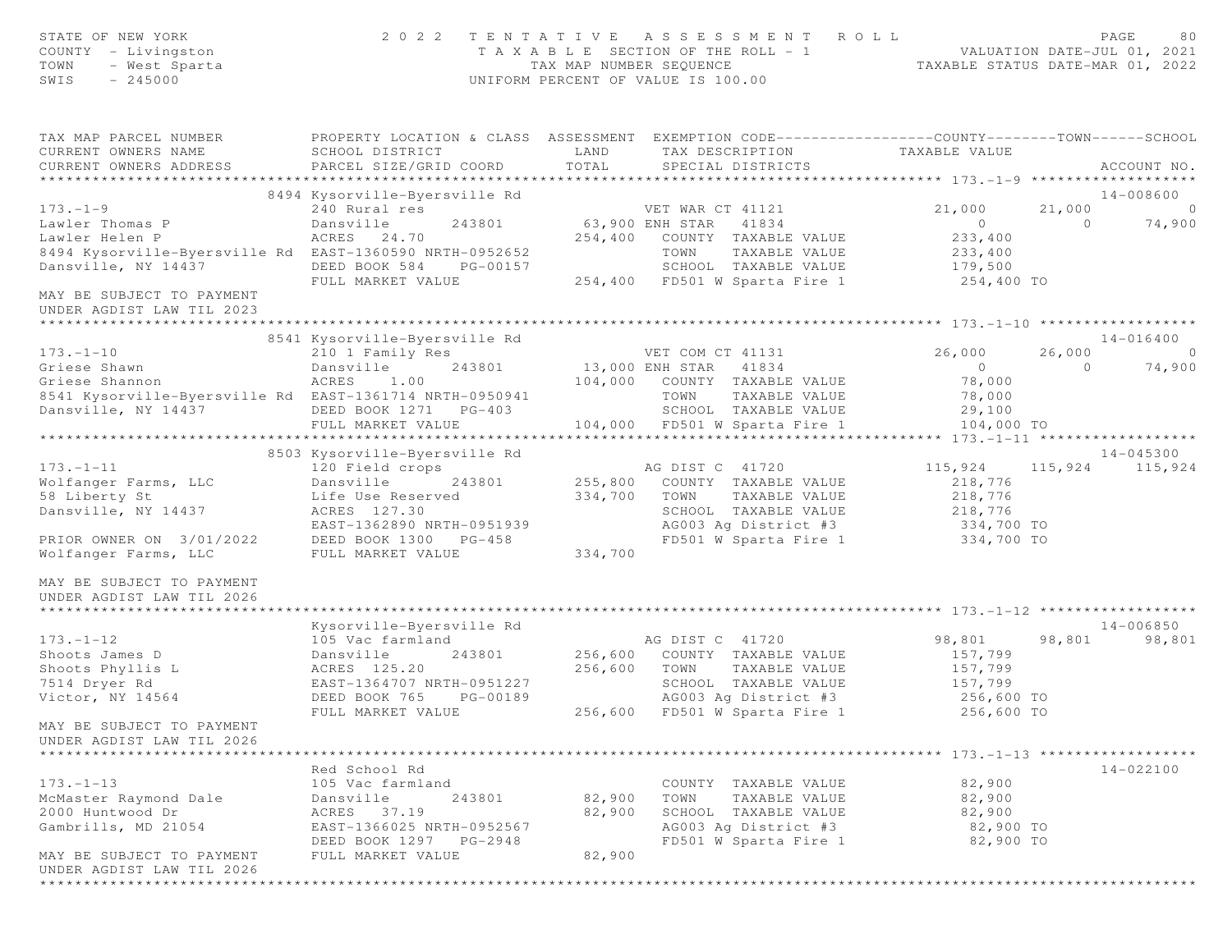| STATE OF NEW YORK<br>COUNTY - Livingston<br>TOWN<br>- West Sparta<br>$-245000$<br>SWIS |                                           | TAX MAP NUMBER SEQUENCE | 2022 TENTATIVE ASSESSMENT ROLL<br>T A X A B L E SECTION OF THE ROLL - 1<br>UNIFORM PERCENT OF VALUE IS 100.00                            | TAXABLE STATUS DATE-MAR 01, 2022 |          | PAGE<br>80<br>VALUATION DATE-JUL 01, 2021 |
|----------------------------------------------------------------------------------------|-------------------------------------------|-------------------------|------------------------------------------------------------------------------------------------------------------------------------------|----------------------------------|----------|-------------------------------------------|
| TAX MAP PARCEL NUMBER<br>CURRENT OWNERS NAME<br>CURRENT OWNERS ADDRESS                 | SCHOOL DISTRICT<br>PARCEL SIZE/GRID COORD | LAND<br>TOTAL           | PROPERTY LOCATION & CLASS ASSESSMENT EXEMPTION CODE----------------COUNTY-------TOWN------SCHOOL<br>TAX DESCRIPTION<br>SPECIAL DISTRICTS | TAXABLE VALUE                    |          | ACCOUNT NO.                               |
|                                                                                        |                                           |                         |                                                                                                                                          |                                  |          |                                           |
|                                                                                        | 8494 Kysorville-Byersville Rd             |                         |                                                                                                                                          |                                  |          | 14-008600                                 |
| $173. - 1 - 9$                                                                         | 240 Rural res                             |                         | VET WAR CT 41121                                                                                                                         | 21,000                           | 21,000   | $\overline{0}$                            |
| Lawler Thomas P<br>Lawler Helen P                                                      | Dansville<br>243801<br>ACRES 24.70        | 254,400                 | 63,900 ENH STAR 41834<br>COUNTY TAXABLE VALUE                                                                                            | $\overline{0}$<br>233,400        | $\circ$  | 74,900                                    |
| 8494 Kysorville-Byersville Rd EAST-1360590 NRTH-0952652                                |                                           |                         | TOWN<br>TAXABLE VALUE                                                                                                                    | 233,400                          |          |                                           |
| Dansville, NY 14437                                                                    | DEED BOOK 584<br>PG-00157                 |                         | SCHOOL TAXABLE VALUE                                                                                                                     | 179,500                          |          |                                           |
|                                                                                        | FULL MARKET VALUE                         |                         | 254,400 FD501 W Sparta Fire 1                                                                                                            | 254,400 TO                       |          |                                           |
| MAY BE SUBJECT TO PAYMENT<br>UNDER AGDIST LAW TIL 2023                                 |                                           |                         |                                                                                                                                          |                                  |          |                                           |
|                                                                                        | 8541 Kysorville-Byersville Rd             |                         |                                                                                                                                          |                                  |          | $14 - 016400$                             |
| $173. - 1 - 10$                                                                        | 210 1 Family Res                          |                         | VET COM CT 41131                                                                                                                         | 26,000                           | 26,000   | $\Omega$                                  |
| Griese Shawn                                                                           | 243801<br>Dansville                       |                         | 13,000 ENH STAR 41834                                                                                                                    | $\overline{0}$                   | $\Omega$ | 74,900                                    |
| Griese Shannon                                                                         | ACRES<br>1.00                             | 104,000                 | COUNTY TAXABLE VALUE                                                                                                                     | 78,000                           |          |                                           |
| 8541 Kysorville-Byersville Rd EAST-1361714 NRTH-0950941                                |                                           |                         | TOWN<br>TAXABLE VALUE                                                                                                                    | 78,000                           |          |                                           |
| Dansville, NY 14437                                                                    | DEED BOOK 1271 PG-403                     |                         | SCHOOL TAXABLE VALUE                                                                                                                     | 29,100                           |          |                                           |
|                                                                                        | FULL MARKET VALUE                         |                         | 104,000 FD501 W Sparta Fire 1                                                                                                            | 104,000 TO                       |          |                                           |
|                                                                                        |                                           |                         |                                                                                                                                          |                                  |          |                                           |
|                                                                                        | 8503 Kysorville-Byersville Rd             |                         |                                                                                                                                          |                                  |          | 14-045300                                 |
| $173. - 1 - 11$                                                                        | 120 Field crops                           |                         | AG DIST C 41720                                                                                                                          | 115,924                          | 115,924  | 115,924                                   |
| Wolfanger Farms, LLC                                                                   | Dansville<br>243801                       | 255,800                 | COUNTY TAXABLE VALUE                                                                                                                     | 218,776                          |          |                                           |
| 58 Liberty St                                                                          | Life Use Reserved                         | 334,700                 | TOWN<br>TAXABLE VALUE                                                                                                                    | 218,776                          |          |                                           |
| Dansville, NY 14437                                                                    | ACRES 127.30                              |                         | SCHOOL TAXABLE VALUE                                                                                                                     | 218,776<br>334,700 TO            |          |                                           |
|                                                                                        | EAST-1362890 NRTH-0951939                 |                         | AG003 Ag District #3                                                                                                                     |                                  |          |                                           |
| PRIOR OWNER ON 3/01/2022                                                               | DEED BOOK 1300<br>PG-458                  |                         | FD501 W Sparta Fire 1 334,700 TO                                                                                                         |                                  |          |                                           |
| Wolfanger Farms, LLC                                                                   | FULL MARKET VALUE                         | 334,700                 |                                                                                                                                          |                                  |          |                                           |
| MAY BE SUBJECT TO PAYMENT<br>UNDER AGDIST LAW TIL 2026                                 |                                           |                         |                                                                                                                                          |                                  |          |                                           |
|                                                                                        | Kysorville-Byersville Rd                  |                         |                                                                                                                                          |                                  |          | 14-006850                                 |
| $173. - 1 - 12$                                                                        | 105 Vac farmland                          |                         | AG DIST C 41720                                                                                                                          | 98,801                           | 98,801   | 98,801                                    |
| Shoots James D                                                                         | Dansville<br>243801                       | 256,600                 | COUNTY TAXABLE VALUE                                                                                                                     | 157,799                          |          |                                           |
| Shoots Phyllis L                                                                       | ACRES 125.20                              | 256,600                 | TOWN<br>TAXABLE VALUE                                                                                                                    | 157,799                          |          |                                           |
| 7514 Dryer Rd                                                                          | EAST-1364707 NRTH-0951227                 |                         | SCHOOL TAXABLE VALUE                                                                                                                     | 157,799                          |          |                                           |
| Victor, NY 14564                                                                       | DEED BOOK 765<br>PG-00189                 |                         | AG003 Ag District #3                                                                                                                     | 256,600 TO                       |          |                                           |
|                                                                                        | FULL MARKET VALUE                         |                         | 256,600 FD501 W Sparta Fire 1                                                                                                            | 256,600 TO                       |          |                                           |
| MAY BE SUBJECT TO PAYMENT<br>UNDER AGDIST LAW TIL 2026                                 |                                           |                         |                                                                                                                                          |                                  |          |                                           |
| ***************                                                                        |                                           |                         |                                                                                                                                          |                                  |          |                                           |
|                                                                                        | Red School Rd                             |                         |                                                                                                                                          |                                  |          | 14-022100                                 |
| $173. - 1 - 13$                                                                        | 105 Vac farmland                          |                         | COUNTY TAXABLE VALUE                                                                                                                     | 82,900                           |          |                                           |
| McMaster Raymond Dale                                                                  | Dansville<br>243801                       | 82,900                  | TAXABLE VALUE<br>TOWN                                                                                                                    | 82,900                           |          |                                           |
| 2000 Huntwood Dr                                                                       | ACRES<br>37.19                            | 82,900                  | SCHOOL TAXABLE VALUE                                                                                                                     | 82,900                           |          |                                           |
| Gambrills, MD 21054                                                                    | EAST-1366025 NRTH-0952567                 |                         | AG003 Ag District #3                                                                                                                     | 82,900 TO                        |          |                                           |
|                                                                                        | DEED BOOK 1297 PG-2948                    |                         | FD501 W Sparta Fire 1                                                                                                                    | 82,900 TO                        |          |                                           |
| MAY BE SUBJECT TO PAYMENT                                                              | FULL MARKET VALUE                         | 82,900                  |                                                                                                                                          |                                  |          |                                           |
| UNDER AGDIST LAW TIL 2026                                                              |                                           |                         |                                                                                                                                          |                                  |          |                                           |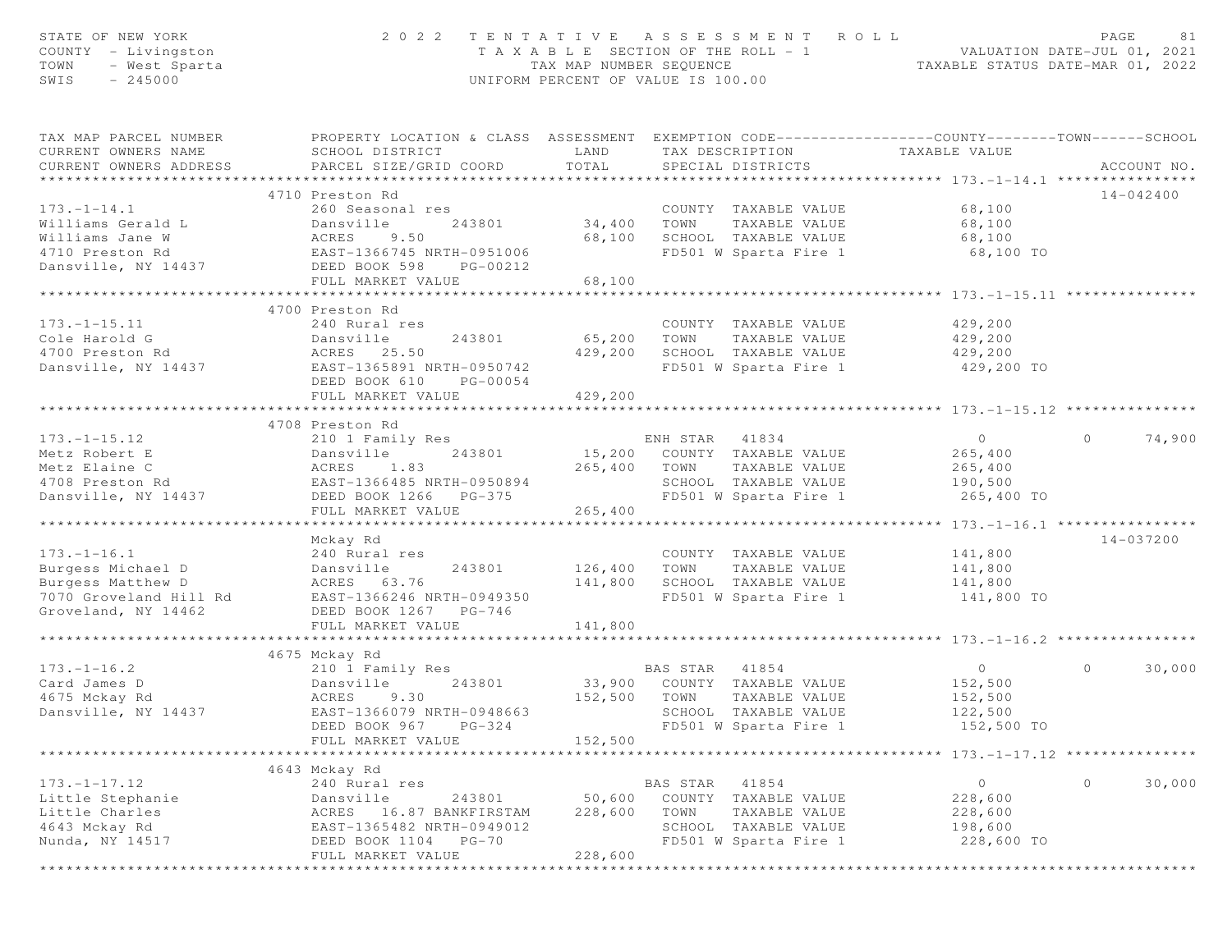| STATE OF NEW YORK<br>COUNTY - Livingston<br>TOWN<br>- West Sparta<br>$-245000$<br>SWIS | 2 0 2 2                                                                                                                                      | T A X A B L E SECTION OF THE ROLL - 1<br>TAX MAP NUMBER SEQUENCE<br>UNIFORM PERCENT OF VALUE IS 100.00 |                | TENTATIVE ASSESSMENT ROLL                                             | ROLL - 1<br>TAXABLE STATUS DATE-MAR 01, 2022<br>TAXABLE STATUS DATE-MAR 01, 2022 | PAGE    | 81          |
|----------------------------------------------------------------------------------------|----------------------------------------------------------------------------------------------------------------------------------------------|--------------------------------------------------------------------------------------------------------|----------------|-----------------------------------------------------------------------|----------------------------------------------------------------------------------|---------|-------------|
| TAX MAP PARCEL NUMBER<br>CURRENT OWNERS NAME<br>CURRENT OWNERS ADDRESS                 | PROPERTY LOCATION & CLASS ASSESSMENT EXEMPTION CODE---------------COUNTY-------TOWN------SCHOOL<br>SCHOOL DISTRICT<br>PARCEL SIZE/GRID COORD | LAND<br>TOTAL                                                                                          |                | TAX DESCRIPTION<br>SPECIAL DISTRICTS                                  | TAXABLE VALUE                                                                    |         | ACCOUNT NO. |
|                                                                                        |                                                                                                                                              |                                                                                                        |                |                                                                       |                                                                                  |         |             |
|                                                                                        | 4710 Preston Rd                                                                                                                              |                                                                                                        |                |                                                                       |                                                                                  |         | 14-042400   |
| $173. - 1 - 14.1$                                                                      | 260 Seasonal res                                                                                                                             |                                                                                                        |                | COUNTY TAXABLE VALUE                                                  | 68,100                                                                           |         |             |
| Williams Gerald L                                                                      | Dansville<br>ACRES 9.50<br>EAST-1366745 NRTH-0951006                                                                                         | 34,400                                                                                                 | TOWN           | TAXABLE VALUE                                                         | 68,100                                                                           |         |             |
| Williams Jane W                                                                        |                                                                                                                                              | 68,100                                                                                                 |                | SCHOOL TAXABLE VALUE<br>SCHOOL TAXABLE VALUE<br>FD501 W Sparta Fire 1 | 68,100                                                                           |         |             |
| 4710 Preston Rd                                                                        |                                                                                                                                              |                                                                                                        |                |                                                                       | 68,100 TO                                                                        |         |             |
| Dansville, NY 14437                                                                    | DEED BOOK 598<br>PG-00212                                                                                                                    |                                                                                                        |                |                                                                       |                                                                                  |         |             |
|                                                                                        | FULL MARKET VALUE<br>**************************                                                                                              | 68,100<br>************                                                                                 |                |                                                                       | ***********************************173.-1-15.11 ***********                      |         |             |
|                                                                                        |                                                                                                                                              |                                                                                                        |                |                                                                       |                                                                                  |         |             |
|                                                                                        | 4700 Preston Rd                                                                                                                              |                                                                                                        |                |                                                                       |                                                                                  |         |             |
| $173. - 1 - 15.11$                                                                     | 240 Rural res                                                                                                                                |                                                                                                        |                | COUNTY TAXABLE VALUE                                                  | 429,200                                                                          |         |             |
| Cole Harold G                                                                          | Dansville<br>243801                                                                                                                          | 65,200 TOWN                                                                                            |                | TAXABLE VALUE                                                         | 429,200                                                                          |         |             |
| 4700 Preston Rd                                                                        | ACRES 25.50                                                                                                                                  | 429,200                                                                                                |                | SCHOOL TAXABLE VALUE                                                  | 429,200                                                                          |         |             |
| Dansville, NY 14437                                                                    | EAST-1365891 NRTH-0950742<br>DEED BOOK 610<br>PG-00054<br>FULL MARKET VALUE                                                                  |                                                                                                        |                | FD501 W Sparta Fire 1                                                 | 429,200 TO                                                                       |         |             |
|                                                                                        |                                                                                                                                              | 429,200                                                                                                |                |                                                                       |                                                                                  |         |             |
|                                                                                        | 4708 Preston Rd                                                                                                                              |                                                                                                        |                |                                                                       |                                                                                  |         |             |
| $173. - 1 - 15.12$                                                                     | 210 1 Family Res                                                                                                                             |                                                                                                        | ENH STAR 41834 |                                                                       | $\overline{0}$                                                                   | $\circ$ | 74,900      |
| Metz Robert E                                                                          | 243801<br>Dansville                                                                                                                          |                                                                                                        |                | 15,200 COUNTY TAXABLE VALUE                                           | 265,400                                                                          |         |             |
| Metz Elaine C                                                                          | ACRES 1.83                                                                                                                                   | 265,400 TOWN                                                                                           |                | TAXABLE VALUE                                                         | 265,400                                                                          |         |             |
| 4708 Preston Rd                                                                        | EAST-1366485 NRTH-0950894                                                                                                                    |                                                                                                        |                | SCHOOL TAXABLE VALUE                                                  | 190,500                                                                          |         |             |
| Dansville, NY 14437                                                                    | DEED BOOK 1266 PG-375                                                                                                                        |                                                                                                        |                | FD501 W Sparta Fire 1                                                 | 265,400 TO                                                                       |         |             |
|                                                                                        | FULL MARKET VALUE                                                                                                                            | 265,400                                                                                                |                |                                                                       |                                                                                  |         |             |
|                                                                                        |                                                                                                                                              |                                                                                                        |                |                                                                       | ***************** 173.-1-16.1 ************                                       |         |             |
|                                                                                        | Mckay Rd                                                                                                                                     |                                                                                                        |                |                                                                       |                                                                                  |         | 14-037200   |
| $173. - 1 - 16.1$                                                                      | 240 Rural res                                                                                                                                |                                                                                                        |                | COUNTY TAXABLE VALUE                                                  | 141,800                                                                          |         |             |
| Burgess Michael D                                                                      | Dansville<br>243801                                                                                                                          | 126,400                                                                                                | TOWN           | TAXABLE VALUE                                                         | 141,800                                                                          |         |             |
| Burgess Matthew D                                                                      | ACRES 63.76                                                                                                                                  | 141,800                                                                                                |                | SCHOOL TAXABLE VALUE                                                  | 141,800                                                                          |         |             |
| 7070 Groveland Hill Rd                                                                 | EAST-1366246 NRTH-0949350                                                                                                                    |                                                                                                        |                | FD501 W Sparta Fire 1                                                 | 141,800 TO                                                                       |         |             |
| Groveland, NY 14462                                                                    | DEED BOOK 1267 PG-746                                                                                                                        |                                                                                                        |                |                                                                       |                                                                                  |         |             |
|                                                                                        | FULL MARKET VALUE                                                                                                                            | 141,800                                                                                                |                |                                                                       |                                                                                  |         |             |
|                                                                                        |                                                                                                                                              |                                                                                                        |                |                                                                       |                                                                                  |         |             |
|                                                                                        | 4675 Mckay Rd                                                                                                                                |                                                                                                        |                |                                                                       |                                                                                  |         |             |
| $173. - 1 - 16.2$                                                                      | 210 1 Family Res                                                                                                                             |                                                                                                        |                |                                                                       | $\overline{0}$                                                                   | $\circ$ | 30,000      |
| Card James D                                                                           | Dansville<br>243801                                                                                                                          |                                                                                                        |                | BAS STAR 41854<br>33,900 COUNTY TAXABLE VALUE                         | 152,500                                                                          |         |             |
| 4675 Mckay Rd                                                                          |                                                                                                                                              | 152,500 TOWN                                                                                           |                | TAXABLE VALUE                                                         | 152,500                                                                          |         |             |
| Dansville, NY 14437                                                                    | ACRES 9.30<br>EAST-1366079 NRTH-0948663                                                                                                      |                                                                                                        |                | SCHOOL TAXABLE VALUE                                                  | 122,500                                                                          |         |             |
|                                                                                        | DEED BOOK 967<br>$PG-324$                                                                                                                    |                                                                                                        |                | FD501 W Sparta Fire 1                                                 | 152,500 TO                                                                       |         |             |
|                                                                                        | FULL MARKET VALUE                                                                                                                            | 152,500                                                                                                |                |                                                                       |                                                                                  |         |             |
|                                                                                        |                                                                                                                                              |                                                                                                        |                |                                                                       | ******************** 173.-1-17.12 ***************                                |         |             |
|                                                                                        | 4643 Mckay Rd                                                                                                                                |                                                                                                        |                |                                                                       |                                                                                  |         |             |
| $173. - 1 - 17.12$                                                                     | 240 Rural res                                                                                                                                |                                                                                                        | BAS STAR       | 41854                                                                 | $\circ$                                                                          | $\circ$ | 30,000      |
| Little Stephanie                                                                       | Dansville<br>243801                                                                                                                          | 50,600                                                                                                 |                | COUNTY TAXABLE VALUE                                                  | 228,600                                                                          |         |             |
| Little Charles                                                                         | ACRES<br>16.87 BANKFIRSTAM                                                                                                                   | 228,600                                                                                                | TOWN           | TAXABLE VALUE                                                         | 228,600                                                                          |         |             |
| 4643 Mckay Rd                                                                          | EAST-1365482 NRTH-0949012                                                                                                                    |                                                                                                        |                | SCHOOL TAXABLE VALUE                                                  | 198,600                                                                          |         |             |
| Nunda, NY 14517                                                                        | DEED BOOK 1104 PG-70                                                                                                                         |                                                                                                        |                | FD501 W Sparta Fire 1                                                 | 228,600 TO                                                                       |         |             |
|                                                                                        | FULL MARKET VALUE                                                                                                                            | 228,600                                                                                                |                |                                                                       |                                                                                  |         |             |
|                                                                                        |                                                                                                                                              |                                                                                                        |                |                                                                       |                                                                                  |         |             |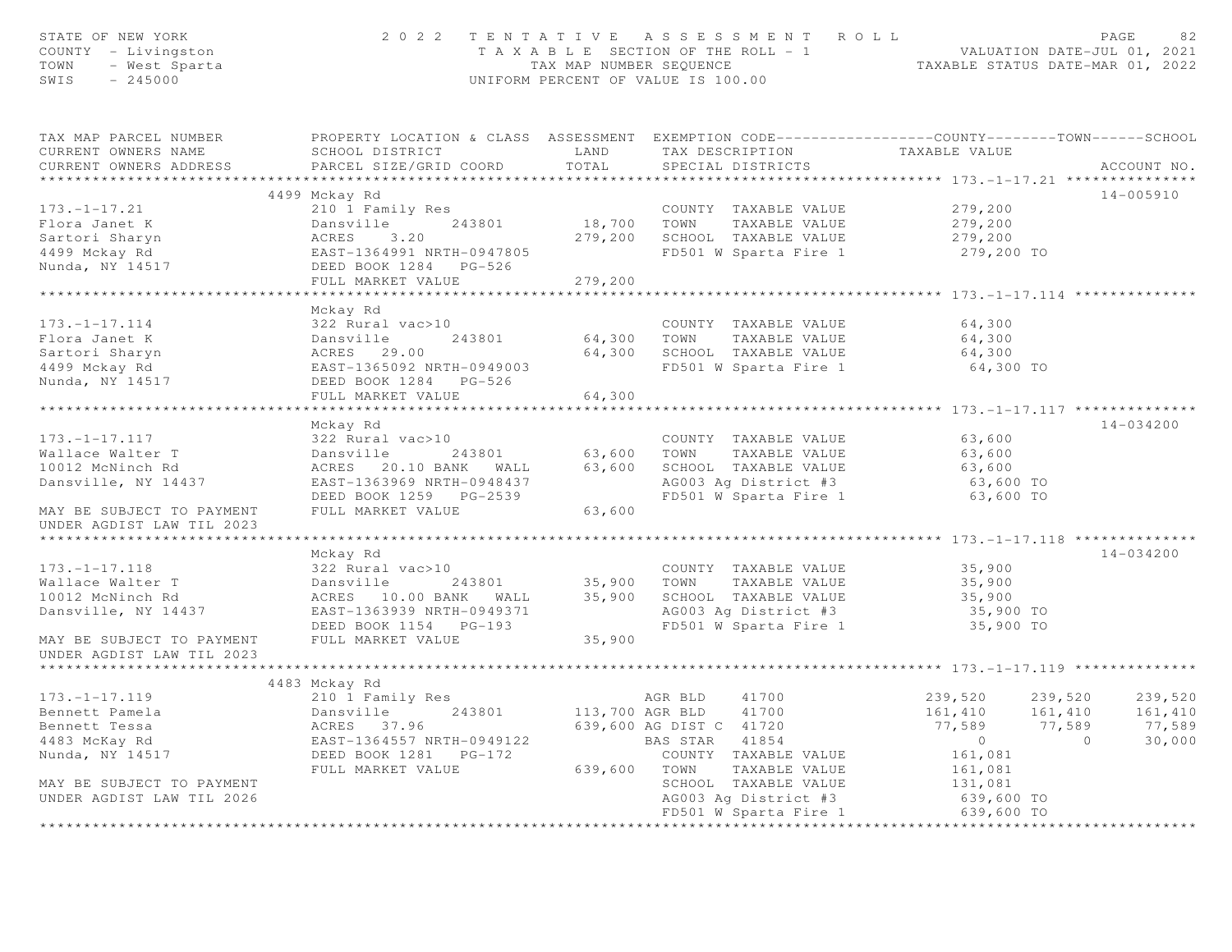| STATE OF NEW YORK<br>COUNTY - Livingston<br>TOWN<br>- West Sparta<br>SWIS<br>$-245000$     | 2 0 2 2                                                                                                                                      |                   | TENTATIVE ASSESSMENT ROLL<br>T A X A B L E SECTION OF THE ROLL - 1 VALUATION DATE-JUL 01, 2021<br>TAX MAP NUMBER SEQUENCE TAXABLE STATUS DATE-MAR 01, 2022<br>UNIFORM PERCENT OF VALUE IS 100.00 |                                             | PAGE<br>82    |
|--------------------------------------------------------------------------------------------|----------------------------------------------------------------------------------------------------------------------------------------------|-------------------|--------------------------------------------------------------------------------------------------------------------------------------------------------------------------------------------------|---------------------------------------------|---------------|
| TAX MAP PARCEL NUMBER<br>CURRENT OWNERS NAME<br>CURRENT OWNERS ADDRESS                     | PROPERTY LOCATION & CLASS ASSESSMENT EXEMPTION CODE---------------COUNTY-------TOWN------SCHOOL<br>SCHOOL DISTRICT<br>PARCEL SIZE/GRID COORD | LAND<br>TOTAL     | TAX DESCRIPTION<br>SPECIAL DISTRICTS                                                                                                                                                             | TAXABLE VALUE                               | ACCOUNT NO.   |
| * * * * * * * * * * * * * * * * * * *                                                      |                                                                                                                                              |                   |                                                                                                                                                                                                  |                                             |               |
|                                                                                            | 4499 Mckay Rd                                                                                                                                |                   |                                                                                                                                                                                                  |                                             | $14 - 005910$ |
| $173. - 1 - 17.21$<br>Flora Janet K<br>Sartori Sharyn<br>4499 Mckay Rd                     | 210 1 Family Res<br>Dansville<br>243801<br>ACRES 3.20<br>EAST-1364991 NRTH-0947805                                                           | 18,700<br>279,200 | COUNTY TAXABLE VALUE<br>TOWN<br>TAXABLE VALUE<br>SCHOOL TAXABLE VALUE<br>FD501 W Sparta Fire 1                                                                                                   | 279,200<br>279,200<br>279,200<br>279,200 TO |               |
| Nunda, NY 14517                                                                            | DEED BOOK 1284 PG-526<br>FULL MARKET VALUE                                                                                                   | 279,200           |                                                                                                                                                                                                  |                                             |               |
|                                                                                            | ***********************                                                                                                                      |                   |                                                                                                                                                                                                  |                                             |               |
| $173. - 1 - 17.114$<br>Flora Janet K<br>Sartori Sharyn<br>4499 Mckay Rd<br>Nunda, NY 14517 | Mckay Rd<br>322 Rural vac>10<br>Dansville<br>ACRES 29.00<br>EAST-1365092 N<br>243801<br>EAST-1365092 NRTH-0949003<br>DEED BOOK 1284 PG-526   | 64,300<br>64,300  | COUNTY TAXABLE VALUE<br>TOWN<br>TAXABLE VALUE<br>SCHOOL TAXABLE VALUE<br>FD501 W Sparta Fire 1                                                                                                   | 64,300<br>64,300<br>64,300<br>64,300 TO     |               |
|                                                                                            | FULL MARKET VALUE                                                                                                                            | 64,300            |                                                                                                                                                                                                  |                                             |               |
|                                                                                            |                                                                                                                                              |                   |                                                                                                                                                                                                  |                                             |               |
|                                                                                            | Mckay Rd                                                                                                                                     |                   |                                                                                                                                                                                                  |                                             | $14 - 034200$ |
| $173. - 1 - 17.117$                                                                        | 322 Rural vac>10                                                                                                                             |                   | COUNTY TAXABLE VALUE                                                                                                                                                                             | 63,600                                      |               |
| Wallace Walter T                                                                           | Dansville<br>243801                                                                                                                          | 63,600            | TAXABLE VALUE<br>TOWN                                                                                                                                                                            | 63,600                                      |               |
| 10012 McNinch Rd                                                                           | ACRES 20.10 BANK WALL                                                                                                                        | 63,600            | SCHOOL TAXABLE VALUE                                                                                                                                                                             | 63,600                                      |               |
| Dansville, NY 14437                                                                        | EAST-1363969 NRTH-0948437                                                                                                                    |                   | AG003 Ag District #3                                                                                                                                                                             | 63,600 TO                                   |               |
| MAY BE SUBJECT TO PAYMENT<br>UNDER AGDIST LAW TIL 2023                                     | DEED BOOK 1259 PG-2539<br>FULL MARKET VALUE                                                                                                  | 63,600            | FD501 W Sparta Fire 1                                                                                                                                                                            | 63,600 TO                                   |               |
|                                                                                            |                                                                                                                                              |                   |                                                                                                                                                                                                  |                                             |               |
|                                                                                            | Mckay Rd                                                                                                                                     |                   |                                                                                                                                                                                                  |                                             | $14 - 034200$ |
| $173. - 1 - 17.118$                                                                        | 322 Rural vac>10                                                                                                                             |                   | COUNTY TAXABLE VALUE                                                                                                                                                                             | 35,900                                      |               |
| Wallace Walter T                                                                           | 243801<br>Dansville                                                                                                                          | 35,900            | TOWN<br>TAXABLE VALUE                                                                                                                                                                            | 35,900                                      |               |
| 10012 McNinch Rd                                                                           | ACRES 10.00 BANK WALL                                                                                                                        | 35,900            | SCHOOL TAXABLE VALUE                                                                                                                                                                             | 35,900                                      |               |
| Dansville, NY 14437                                                                        | EAST-1363939 NRTH-0949371                                                                                                                    |                   | AG003 Ag District #3                                                                                                                                                                             | 35,900 TO                                   |               |
| MAY BE SUBJECT TO PAYMENT                                                                  | DEED BOOK 1154 PG-193<br>FULL MARKET VALUE                                                                                                   | 35,900            | FD501 W Sparta Fire 1                                                                                                                                                                            | 35,900 TO                                   |               |
| UNDER AGDIST LAW TIL 2023                                                                  |                                                                                                                                              |                   |                                                                                                                                                                                                  |                                             |               |
|                                                                                            |                                                                                                                                              |                   |                                                                                                                                                                                                  |                                             |               |
| $173. - 1 - 17.119$                                                                        | 4483 Mckay Rd                                                                                                                                |                   | 41700                                                                                                                                                                                            | 239,520<br>239,520                          | 239,520       |
| Bennett Pamela                                                                             | 210 1 Family Res<br>243801<br>Dansville                                                                                                      | 113,700 AGR BLD   | AGR BLD<br>41700                                                                                                                                                                                 | 161,410<br>161,410                          | 161,410       |
| Bennett Tessa                                                                              | ACRES 37.96                                                                                                                                  |                   | 639,600 AG DIST C 41720                                                                                                                                                                          | 77,589<br>77,589                            | 77,589        |
| 4483 McKay Rd                                                                              | EAST-1364557 NRTH-0949122                                                                                                                    |                   | BAS STAR 41854                                                                                                                                                                                   | $\overline{0}$<br>$\overline{0}$            | 30,000        |
| Nunda, NY 14517                                                                            | DEED BOOK 1281    PG-172                                                                                                                     |                   | COUNTY TAXABLE VALUE                                                                                                                                                                             | 161,081                                     |               |
|                                                                                            | FULL MARKET VALUE                                                                                                                            | 639,600 TOWN      | TAXABLE VALUE                                                                                                                                                                                    | 161,081                                     |               |
| MAY BE SUBJECT TO PAYMENT                                                                  |                                                                                                                                              |                   | SCHOOL TAXABLE VALUE                                                                                                                                                                             | 131,081                                     |               |
| UNDER AGDIST LAW TIL 2026                                                                  |                                                                                                                                              |                   | AG003 Ag District #3                                                                                                                                                                             | 639,600 TO                                  |               |
|                                                                                            |                                                                                                                                              |                   | FD501 W Sparta Fire 1                                                                                                                                                                            | 639,600 TO                                  |               |
|                                                                                            | ***********************************                                                                                                          |                   | ******************************                                                                                                                                                                   | ***********************************         |               |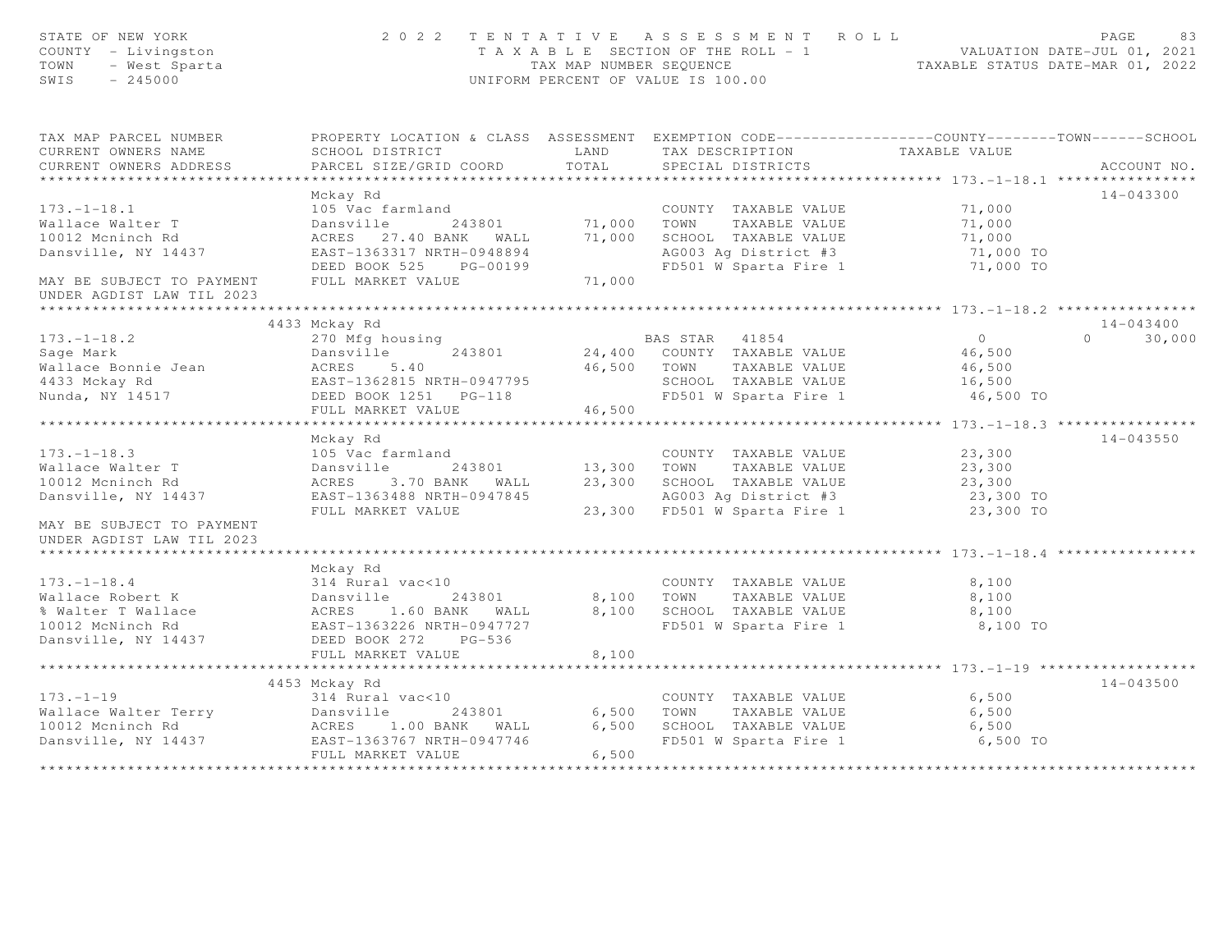| STATE OF NEW YORK<br>COUNTY - Livingston<br>TOWN<br>- West Sparta<br>SWIS<br>$-245000$                                                                                                   |                                                                                                  |             | 2022 TENTATIVE ASSESSMENT ROLL<br>T A X A B L E SECTION OF THE ROLL - 1<br>TAX MAP NUMBER SEQUENCE TAXABLE STATUS DATE-MAR 01, 2022<br>UNIFORM PERCENT OF VALUE IS 100.00 |                         | PAGE<br>83         |
|------------------------------------------------------------------------------------------------------------------------------------------------------------------------------------------|--------------------------------------------------------------------------------------------------|-------------|---------------------------------------------------------------------------------------------------------------------------------------------------------------------------|-------------------------|--------------------|
| TAX MAP PARCEL NUMBER                                                                                                                                                                    | PROPERTY LOCATION & CLASS ASSESSMENT EXEMPTION CODE----------------COUNTY-------TOWN------SCHOOL |             |                                                                                                                                                                           |                         |                    |
| CURRENT OWNERS NAME                                                                                                                                                                      | SCHOOL DISTRICT                                                                                  | LAND        | TAX DESCRIPTION TAXABLE VALUE<br>SPECIAL DISTRICTS                                                                                                                        |                         |                    |
| CURRENT OWNERS ADDRESS                                                                                                                                                                   | PARCEL SIZE/GRID COORD                                                                           | TOTAL       | SPECIAL DISTRICTS                                                                                                                                                         |                         | ACCOUNT NO.        |
|                                                                                                                                                                                          |                                                                                                  |             |                                                                                                                                                                           |                         |                    |
|                                                                                                                                                                                          | Mckay Rd                                                                                         |             |                                                                                                                                                                           |                         | 14-043300          |
| $173. - 1 - 18.1$                                                                                                                                                                        | 105 Vac farmland                                                                                 |             | COUNTY TAXABLE VALUE                                                                                                                                                      | 71,000                  |                    |
| Wallace Walter T<br>10012 Mcninch Rd                                                                                                                                                     | 243801 71,000<br>40 BANK WALL 71,000<br>Dansville<br>ACRES 27.40 BANK WALL                       |             | TOWN<br>TAXABLE VALUE<br>SCHOOL TAXABLE VALUE                                                                                                                             | 71,000                  |                    |
| Dansville, NY 14437                                                                                                                                                                      |                                                                                                  |             |                                                                                                                                                                           | $\frac{71,000}{71,000}$ |                    |
|                                                                                                                                                                                          |                                                                                                  |             | AG003 Ag District #3 71,000 TO<br>FD501 W Sparta Fire 1 71,000 TO                                                                                                         |                         |                    |
| MAY BE SUBJECT TO PAYMENT<br>UNDER AGDIST LAW TIL 2023                                                                                                                                   | LINUT 1000017 NKTH-0948894<br>DEED BOOK 525 PG-00199<br>FIIII MADEER WILLE<br>FULL MARKET VALUE  | 71,000      |                                                                                                                                                                           |                         |                    |
|                                                                                                                                                                                          |                                                                                                  |             |                                                                                                                                                                           |                         |                    |
|                                                                                                                                                                                          | 4433 Mckay Rd                                                                                    |             |                                                                                                                                                                           |                         | $14 - 043400$      |
|                                                                                                                                                                                          |                                                                                                  |             | BAS STAR 41854                                                                                                                                                            | $\overline{0}$          | $\Omega$<br>30,000 |
|                                                                                                                                                                                          |                                                                                                  |             | 24,400 COUNTY TAXABLE VALUE                                                                                                                                               | 46,500                  |                    |
|                                                                                                                                                                                          |                                                                                                  | 46,500 TOWN | TAXABLE VALUE                                                                                                                                                             | 46,500                  |                    |
|                                                                                                                                                                                          |                                                                                                  |             |                                                                                                                                                                           |                         |                    |
|                                                                                                                                                                                          |                                                                                                  |             | SCHOOL TAXABLE VALUE 16,500<br>FD501 W Sparta Fire 1 16,500 TO                                                                                                            |                         |                    |
|                                                                                                                                                                                          |                                                                                                  | 46,500      |                                                                                                                                                                           |                         |                    |
| 173.-1-18.2<br>Sage Mark Bonnie Jean ACRES 5.40<br>Mallace Bonnie Jean ACRES 5.40<br>ACRES 5.40<br>Mansville<br>EAST-1362815 NRTH-0947795<br>DEED BOOK 1251 PG-118<br>THILI MARKET VALUE |                                                                                                  |             |                                                                                                                                                                           |                         |                    |
|                                                                                                                                                                                          | Mckay Rd                                                                                         |             |                                                                                                                                                                           |                         | 14-043550          |
| $173. - 1 - 18.3$                                                                                                                                                                        | 105 Vac farmland                                                                                 |             | COUNTY TAXABLE VALUE                                                                                                                                                      | 23,300                  |                    |
| 173.-1-18.3<br>Wallace Walter T<br>10012 Mcninch Rd                                                                                                                                      | Dansville 243801 13,300 TOWN<br>ACRES 3.70 BANK WALL 23,300 SCHOO                                |             | TAXABLE VALUE                                                                                                                                                             | 23,300                  |                    |
| 10012 Mcninch Rd                                                                                                                                                                         |                                                                                                  |             | SCHOOL TAXABLE VALUE                                                                                                                                                      | 23,300                  |                    |
| Dansville, NY 14437 EAST-1363488 NRTH-0947845                                                                                                                                            | FULL MARKET VALUE 23,300 FD501 W Sparta Fire 1                                                   |             | AG003 Ag District #3                                                                                                                                                      | 23,300 TO               |                    |
|                                                                                                                                                                                          |                                                                                                  |             |                                                                                                                                                                           | 23,300 TO               |                    |
| MAY BE SUBJECT TO PAYMENT                                                                                                                                                                |                                                                                                  |             |                                                                                                                                                                           |                         |                    |
| UNDER AGDIST LAW TIL 2023                                                                                                                                                                |                                                                                                  |             |                                                                                                                                                                           |                         |                    |
|                                                                                                                                                                                          | Mckay Rd                                                                                         |             |                                                                                                                                                                           |                         |                    |
| $173. - 1 - 18.4$                                                                                                                                                                        |                                                                                                  |             | COUNTY TAXABLE VALUE                                                                                                                                                      | 8,100                   |                    |
| Wallace Robert K                                                                                                                                                                         |                                                                                                  | 8,100       | TAXABLE VALUE<br>TOWN                                                                                                                                                     | 8,100                   |                    |
| % Walter T Wallace                                                                                                                                                                       |                                                                                                  | 8,100       | SCHOOL TAXABLE VALUE                                                                                                                                                      | 8,100                   |                    |
| 10012 McNinch Rd                                                                                                                                                                         |                                                                                                  |             | FD501 W Sparta Fire 1                                                                                                                                                     | 8,100 TO                |                    |
| Dansville, NY 14437                                                                                                                                                                      | EAST-1363226 NRTH-0947727<br>DEED BOOK 272 PG-536                                                |             |                                                                                                                                                                           |                         |                    |
|                                                                                                                                                                                          | FULL MARKET VALUE                                                                                | 8,100       |                                                                                                                                                                           |                         |                    |
|                                                                                                                                                                                          |                                                                                                  |             |                                                                                                                                                                           |                         |                    |
|                                                                                                                                                                                          | 4453 Mckay Rd                                                                                    |             |                                                                                                                                                                           |                         | 14-043500          |
|                                                                                                                                                                                          |                                                                                                  |             | COUNTY TAXABLE VALUE                                                                                                                                                      | 6,500                   |                    |
|                                                                                                                                                                                          |                                                                                                  | 6,500 TOWN  | TAXABLE VALUE                                                                                                                                                             | 6,500                   |                    |
|                                                                                                                                                                                          |                                                                                                  | 6,500       |                                                                                                                                                                           | 6,500                   |                    |
| 173.-1-19<br>Wallace Walter Terry Dansville 243801<br>10012 Mcninch Rd ACRES 1.00 BANK WALL<br>Nanswille. NY 14437 EAST-1363767 NRTH-0947746                                             |                                                                                                  |             | SCHOOL TAXABLE VALUE<br>FD501 W Sparta Fire 1                                                                                                                             | 6,500 TO                |                    |
|                                                                                                                                                                                          | FULL MARKET VALUE                                                                                | 6,500       |                                                                                                                                                                           |                         |                    |
|                                                                                                                                                                                          |                                                                                                  |             |                                                                                                                                                                           |                         |                    |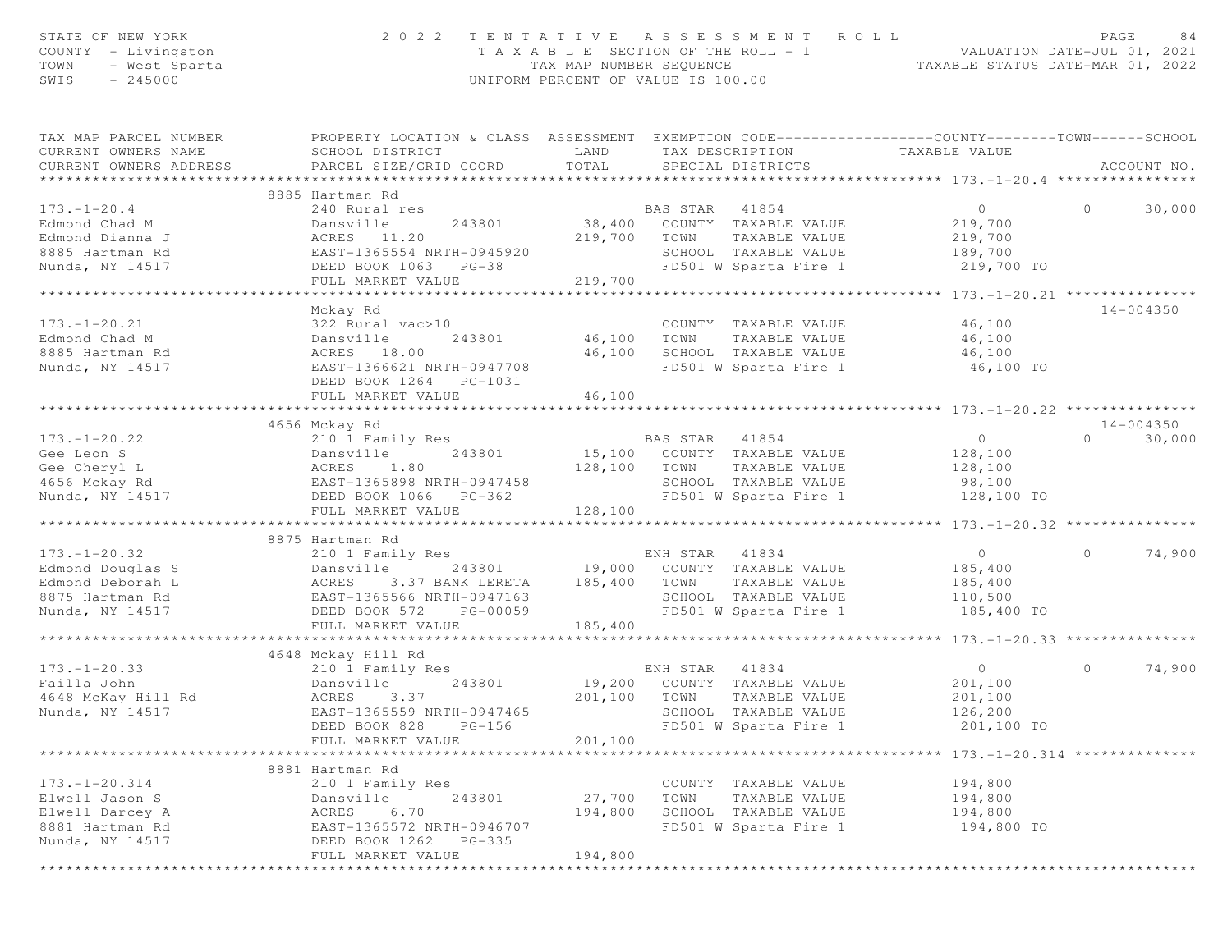| STATE OF NEW YORK<br>COUNTY - Livingston<br>TOWN<br>- West Sparta<br>SWIS<br>$-245000$ | 2 0 2 2<br>TENTATIVE                                                                                                                          | T A X A B L E SECTION OF THE ROLL - 1<br>TAX MAP NUMBER SEOUENCE<br>UNIFORM PERCENT OF VALUE IS 100.00 |                | A S S E S S M E N T                  | ROLL<br>VALUATION DATE-JUL 01, 2021<br>TAXABLE STATUS DATE-MAR 01, 2022 |          | PAGE<br>84    |
|----------------------------------------------------------------------------------------|-----------------------------------------------------------------------------------------------------------------------------------------------|--------------------------------------------------------------------------------------------------------|----------------|--------------------------------------|-------------------------------------------------------------------------|----------|---------------|
| TAX MAP PARCEL NUMBER<br>CURRENT OWNERS NAME<br>CURRENT OWNERS ADDRESS                 | PROPERTY LOCATION & CLASS ASSESSMENT EXEMPTION CODE----------------COUNTY-------TOWN------SCHOOL<br>SCHOOL DISTRICT<br>PARCEL SIZE/GRID COORD | LAND<br>TOTAL                                                                                          |                | TAX DESCRIPTION<br>SPECIAL DISTRICTS | TAXABLE VALUE                                                           |          | ACCOUNT NO.   |
|                                                                                        | ***************************                                                                                                                   | ***************************                                                                            |                |                                      | ********************* 173.-1-20.4 *******                               |          |               |
|                                                                                        | 8885 Hartman Rd                                                                                                                               |                                                                                                        |                |                                      |                                                                         |          |               |
| $173. - 1 - 20.4$<br>Edmond Chad M                                                     | 240 Rural res<br>Dansville<br>243801                                                                                                          | 38,400                                                                                                 | BAS STAR 41854 | COUNTY TAXABLE VALUE                 | $\circ$                                                                 | $\circ$  | 30,000        |
| Edmond Dianna J                                                                        | ACRES 11.20                                                                                                                                   | 219,700                                                                                                | TOWN           | TAXABLE VALUE                        | 219,700<br>219,700                                                      |          |               |
| 8885 Hartman Rd                                                                        | EAST-1365554 NRTH-0945920                                                                                                                     |                                                                                                        |                | SCHOOL TAXABLE VALUE                 | 189,700                                                                 |          |               |
| Nunda, NY 14517                                                                        | DEED BOOK 1063 PG-38                                                                                                                          |                                                                                                        |                | FD501 W Sparta Fire 1                | 219,700 TO                                                              |          |               |
|                                                                                        | FULL MARKET VALUE                                                                                                                             | 219,700                                                                                                |                |                                      |                                                                         |          |               |
|                                                                                        | ********************************                                                                                                              | **************************                                                                             |                |                                      | *********** 173.-1-20.21 ****************                               |          |               |
|                                                                                        | Mckay Rd                                                                                                                                      |                                                                                                        |                |                                      |                                                                         |          | $14 - 004350$ |
| $173. - 1 - 20.21$                                                                     | 322 Rural vac>10                                                                                                                              |                                                                                                        |                | COUNTY TAXABLE VALUE                 | 46,100                                                                  |          |               |
| Edmond Chad M                                                                          | 243801<br>Dansville                                                                                                                           | 46,100                                                                                                 | TOWN           | TAXABLE VALUE                        | 46,100                                                                  |          |               |
| 8885 Hartman Rd                                                                        | ACRES 18.00                                                                                                                                   | 46,100                                                                                                 |                | SCHOOL TAXABLE VALUE                 | 46,100                                                                  |          |               |
| Nunda, NY 14517                                                                        | EAST-1366621 NRTH-0947708                                                                                                                     |                                                                                                        |                | FD501 W Sparta Fire 1                | 46,100 TO                                                               |          |               |
|                                                                                        | DEED BOOK 1264 PG-1031                                                                                                                        |                                                                                                        |                |                                      |                                                                         |          |               |
|                                                                                        | FULL MARKET VALUE                                                                                                                             | 46,100                                                                                                 |                |                                      |                                                                         |          |               |
|                                                                                        | *****************************                                                                                                                 | *************                                                                                          |                |                                      | ************************************* 173.-1-20.22 *****************    |          |               |
|                                                                                        | 4656 Mckay Rd                                                                                                                                 |                                                                                                        |                |                                      |                                                                         |          | $14 - 004350$ |
| $173. - 1 - 20.22$                                                                     | 210 1 Family Res                                                                                                                              |                                                                                                        | BAS STAR       | 41854                                | $\overline{0}$                                                          | $\Omega$ | 30,000        |
| Gee Leon S                                                                             | Dansville<br>243801                                                                                                                           |                                                                                                        |                | 15,100 COUNTY TAXABLE VALUE          | 128,100                                                                 |          |               |
| Gee Cheryl L                                                                           | 1.80<br>ACRES                                                                                                                                 | 128,100                                                                                                | TOWN           | TAXABLE VALUE                        | 128,100                                                                 |          |               |
| 4656 Mckay Rd                                                                          | EAST-1365898 NRTH-0947458                                                                                                                     |                                                                                                        |                | SCHOOL TAXABLE VALUE                 | 98,100                                                                  |          |               |
| Nunda, NY 14517                                                                        | DEED BOOK 1066 PG-362                                                                                                                         |                                                                                                        |                | FD501 W Sparta Fire 1                | 128,100 TO                                                              |          |               |
|                                                                                        | FULL MARKET VALUE                                                                                                                             | 128,100                                                                                                |                |                                      | **** $173. - 1 - 20.32$ ***************                                 |          |               |
|                                                                                        | 8875 Hartman Rd                                                                                                                               |                                                                                                        |                |                                      |                                                                         |          |               |
| $173. - 1 - 20.32$                                                                     | 210 1 Family Res                                                                                                                              |                                                                                                        | ENH STAR 41834 |                                      | $\overline{0}$                                                          | $\Omega$ | 74,900        |
| Edmond Douglas S                                                                       | 243801 19,000<br>Dansville                                                                                                                    |                                                                                                        |                | COUNTY TAXABLE VALUE                 | 185,400                                                                 |          |               |
| Edmond Deborah L                                                                       | 3.37 BANK LERETA<br>ACRES                                                                                                                     | 185,400                                                                                                | TOWN           | TAXABLE VALUE                        | 185,400                                                                 |          |               |
| 8875 Hartman Rd                                                                        | EAST-1365566 NRTH-0947163                                                                                                                     |                                                                                                        |                | SCHOOL TAXABLE VALUE                 | 110,500                                                                 |          |               |
| Nunda, NY 14517                                                                        | DEED BOOK 572<br>PG-00059                                                                                                                     |                                                                                                        |                | FD501 W Sparta Fire 1                | 185,400 TO                                                              |          |               |
|                                                                                        | FULL MARKET VALUE                                                                                                                             | 185,400                                                                                                |                |                                      |                                                                         |          |               |
|                                                                                        |                                                                                                                                               |                                                                                                        |                |                                      | ********* 173. -1-20.33 *************                                   |          |               |
|                                                                                        | 4648 Mckay Hill Rd                                                                                                                            |                                                                                                        |                |                                      |                                                                         |          |               |
| $173. - 1 - 20.33$                                                                     | 210 1 Family Res                                                                                                                              |                                                                                                        | ENH STAR       | 41834                                | $\circ$                                                                 | $\circ$  | 74,900        |
| Failla John                                                                            | 243801<br>Dansville                                                                                                                           | 19,200                                                                                                 |                | COUNTY TAXABLE VALUE                 | 201,100                                                                 |          |               |
| 4648 McKay Hill Rd                                                                     | ACRES<br>3.37                                                                                                                                 | 201,100                                                                                                | TOWN           | TAXABLE VALUE                        | 201,100                                                                 |          |               |
| Nunda, NY 14517                                                                        | EAST-1365559 NRTH-0947465                                                                                                                     |                                                                                                        |                | SCHOOL TAXABLE VALUE                 | 126,200                                                                 |          |               |
|                                                                                        | DEED BOOK 828<br>$PG-156$                                                                                                                     |                                                                                                        |                | FD501 W Sparta Fire 1                | 201,100 TO                                                              |          |               |
|                                                                                        | FULL MARKET VALUE                                                                                                                             | 201,100                                                                                                |                |                                      |                                                                         |          |               |
|                                                                                        |                                                                                                                                               |                                                                                                        |                |                                      | $173, -1 - 20.314$ ********                                             |          |               |
|                                                                                        | 8881 Hartman Rd                                                                                                                               |                                                                                                        |                |                                      |                                                                         |          |               |
| $173. - 1 - 20.314$                                                                    | 210 1 Family Res                                                                                                                              |                                                                                                        |                | COUNTY TAXABLE VALUE                 | 194,800                                                                 |          |               |
| Elwell Jason S                                                                         | 243801<br>Dansville                                                                                                                           | 27,700                                                                                                 | TOWN           | TAXABLE VALUE                        | 194,800                                                                 |          |               |
| Elwell Darcey A                                                                        | ACRES<br>6.70                                                                                                                                 | 194,800                                                                                                |                | SCHOOL TAXABLE VALUE                 | 194,800                                                                 |          |               |
| 8881 Hartman Rd                                                                        | EAST-1365572 NRTH-0946707                                                                                                                     |                                                                                                        |                | FD501 W Sparta Fire 1                | 194,800 TO                                                              |          |               |
| Nunda, NY 14517                                                                        | DEED BOOK 1262<br>$PG-335$                                                                                                                    |                                                                                                        |                |                                      |                                                                         |          |               |
|                                                                                        | FULL MARKET VALUE                                                                                                                             | 194,800                                                                                                |                |                                      |                                                                         |          |               |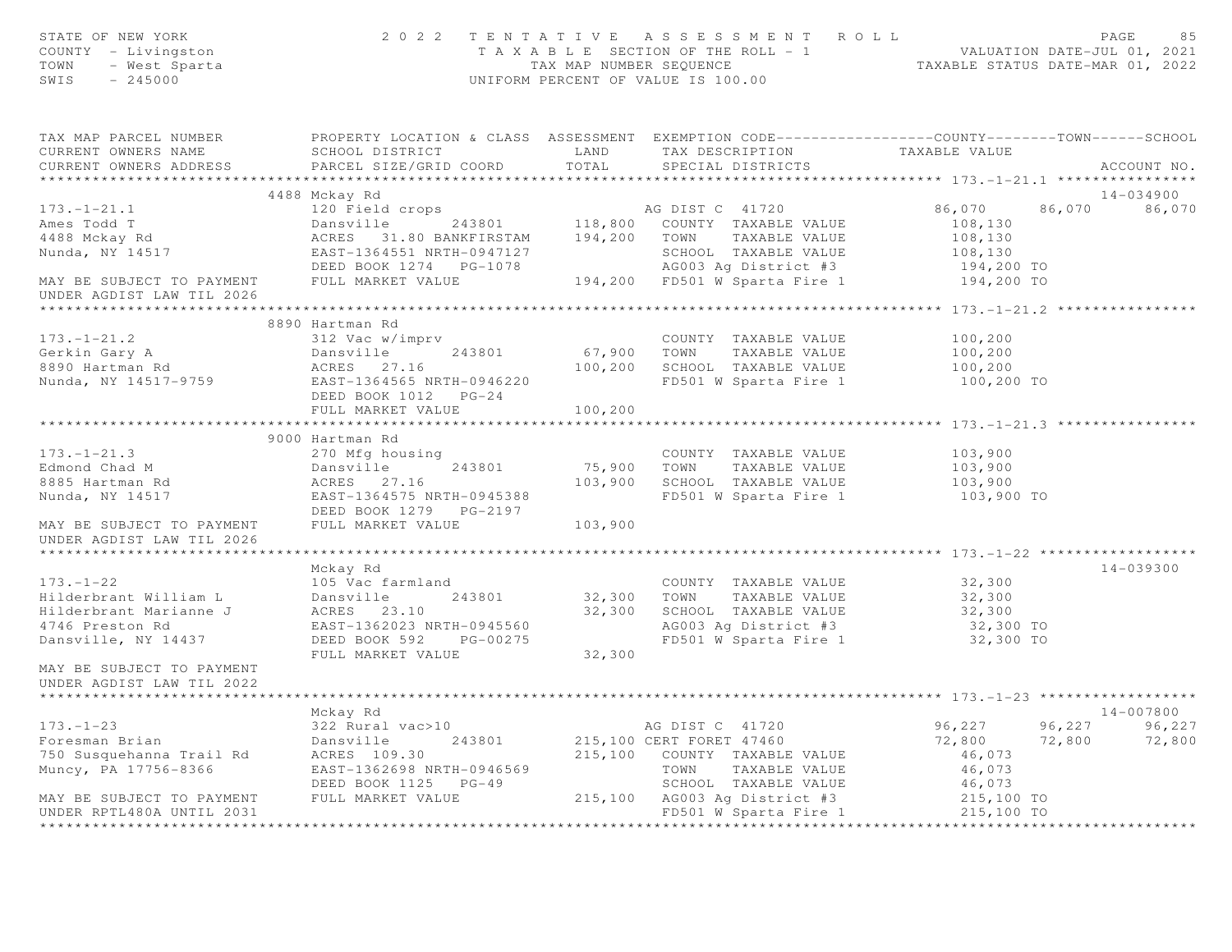| STATE OF NEW YORK<br>COUNTY - Livingston<br>OF NEW YORN<br>Y - Livingston<br>- West Sparta<br>245000<br>TOWN<br>SWIS                                                                                                                      |                                                                                            |         | 2022 TENTATIVE ASSESSMENT ROLL<br>TAXABLE SECTION OF THE ROLL -1<br>TAXABLE SECTION OF THE ROLL -1<br>TAXABLE STATUS DATE-JUL 01, 2021<br>TAXABLE STATUS DATE-MAR 01, 2022<br>UNIFORM PERCENT OF VALUE IS 100.00 |                                            | PAGE<br>85    |
|-------------------------------------------------------------------------------------------------------------------------------------------------------------------------------------------------------------------------------------------|--------------------------------------------------------------------------------------------|---------|------------------------------------------------------------------------------------------------------------------------------------------------------------------------------------------------------------------|--------------------------------------------|---------------|
| TAX MAP PARCEL NUMBER PROPERTY LOCATION & CLASS ASSESSMENT EXEMPTION CODE----------------COUNTY--------TOWN------SCHOOL<br>CURRENT OWNERS NAME                                                                                            | SCHOOL DISTRICT LAND                                                                       |         | TAX DESCRIPTION TAXABLE VALUE                                                                                                                                                                                    |                                            |               |
| CURRENT OWNERS ADDRESS                                                                                                                                                                                                                    | PARCEL SIZE/GRID COORD TOTAL                                                               |         | SPECIAL DISTRICTS                                                                                                                                                                                                |                                            | ACCOUNT NO.   |
|                                                                                                                                                                                                                                           |                                                                                            |         |                                                                                                                                                                                                                  |                                            |               |
|                                                                                                                                                                                                                                           | 4488 Mckay Rd                                                                              |         |                                                                                                                                                                                                                  |                                            | 14-034900     |
|                                                                                                                                                                                                                                           |                                                                                            |         |                                                                                                                                                                                                                  |                                            | 86,070 86,070 |
|                                                                                                                                                                                                                                           |                                                                                            |         |                                                                                                                                                                                                                  |                                            |               |
|                                                                                                                                                                                                                                           |                                                                                            |         |                                                                                                                                                                                                                  |                                            |               |
|                                                                                                                                                                                                                                           |                                                                                            |         |                                                                                                                                                                                                                  |                                            |               |
|                                                                                                                                                                                                                                           |                                                                                            |         |                                                                                                                                                                                                                  |                                            |               |
|                                                                                                                                                                                                                                           |                                                                                            |         |                                                                                                                                                                                                                  |                                            |               |
|                                                                                                                                                                                                                                           |                                                                                            |         |                                                                                                                                                                                                                  | *********** 173.-1-21.2 ****************** |               |
|                                                                                                                                                                                                                                           | 8890 Hartman Rd                                                                            |         |                                                                                                                                                                                                                  |                                            |               |
|                                                                                                                                                                                                                                           |                                                                                            |         |                                                                                                                                                                                                                  | 100,200<br>$100, 200$<br>$100, 200$        |               |
|                                                                                                                                                                                                                                           |                                                                                            |         |                                                                                                                                                                                                                  |                                            |               |
|                                                                                                                                                                                                                                           |                                                                                            |         |                                                                                                                                                                                                                  | 100,200                                    |               |
| 173.-1-21.2<br>Gerkin Gary A<br>Bansville 243801 67,900 TOWN TAXABLE VALUE<br>8890 Hartman Rd<br>Nunda, NY 14517-9759 EAST-1364565 NRTH-0946220 FD501 W Sparta Fire 1<br>Nunda, NY 14517-9759 EAST-1364565 NRTH-0946220<br>REED ROOK 1012 |                                                                                            |         | FD501 W Sparta Fire 1 100,200 TO                                                                                                                                                                                 |                                            |               |
|                                                                                                                                                                                                                                           | FULL MARKET VALUE                                                                          | 100,200 |                                                                                                                                                                                                                  |                                            |               |
|                                                                                                                                                                                                                                           | 270 Mfg housing<br>270 Mfg housing<br>Dansville 243801<br>ACRES 27.16<br>EAST-1364575 MPT: |         |                                                                                                                                                                                                                  |                                            |               |
| $173. - 1 - 21.3$                                                                                                                                                                                                                         |                                                                                            |         | COUNTY TAXABLE VALUE                                                                                                                                                                                             | 103,900                                    |               |
| Edmond Chad M                                                                                                                                                                                                                             | Dansville 243801                                                                           |         |                                                                                                                                                                                                                  |                                            |               |
| 8885 Hartman Rd                                                                                                                                                                                                                           |                                                                                            |         | 75,900 TOWN TAXABLE VALUE 103,900<br>103,900 SCHOOL TAXABLE VALUE 103,900                                                                                                                                        |                                            |               |
| Nunda, NY 14517                                                                                                                                                                                                                           | EAST-1364575 NRTH-0945388<br>Prince Boot 1978 Po 2187                                      |         | FD501 W Sparta Fire 1                                                                                                                                                                                            | 103,900 TO                                 |               |
|                                                                                                                                                                                                                                           | DEED BOOK 1279    PG-2197                                                                  |         |                                                                                                                                                                                                                  |                                            |               |
| MAY BE SUBJECT TO PAYMENT                                                                                                                                                                                                                 | FULL MARKET VALUE                                                                          | 103,900 |                                                                                                                                                                                                                  |                                            |               |
| UNDER AGDIST LAW TIL 2026                                                                                                                                                                                                                 |                                                                                            |         |                                                                                                                                                                                                                  |                                            |               |
| ********************                                                                                                                                                                                                                      |                                                                                            |         |                                                                                                                                                                                                                  |                                            |               |
|                                                                                                                                                                                                                                           | Mckay Rd                                                                                   |         |                                                                                                                                                                                                                  |                                            | 14-039300     |
| $173. - 1 - 22$                                                                                                                                                                                                                           | 105 Vac farmland                                                                           |         | COUNTY TAXABLE VALUE                                                                                                                                                                                             | 32,300                                     |               |
| Hilderbrant William L                                                                                                                                                                                                                     |                                                                                            |         | COUNT TAXABLE VALUE<br>32,300 TOWN TAXABLE VALUE                                                                                                                                                                 | 32,300                                     |               |
| Hilderbrant Marianne J                                                                                                                                                                                                                    | Dansville 243801<br>Dansville 243801<br>ACRE 23.10                                         |         | 32,300 SCHOOL TAXABLE VALUE<br>AG003 Ag District #3<br>FD501 W Sparta Fire 1                                                                                                                                     | 32,300                                     |               |
| 4746 Preston Rd                                                                                                                                                                                                                           | EAST-1362023 NRTH-0945560                                                                  |         | AG003 Ag District #3 32,300 TO<br>FD501 W Sparta Fire 1 32,300 TO                                                                                                                                                |                                            |               |
| Dansville, NY 14437                                                                                                                                                                                                                       | DEED BOOK 592 PG-00275                                                                     |         |                                                                                                                                                                                                                  |                                            |               |
|                                                                                                                                                                                                                                           | FULL MARKET VALUE 32,300                                                                   |         |                                                                                                                                                                                                                  |                                            |               |
| MAY BE SUBJECT TO PAYMENT<br>UNDER AGDIST LAW TIL 2022                                                                                                                                                                                    |                                                                                            |         |                                                                                                                                                                                                                  |                                            |               |
|                                                                                                                                                                                                                                           |                                                                                            |         |                                                                                                                                                                                                                  |                                            |               |
|                                                                                                                                                                                                                                           | Mckay Rd                                                                                   |         |                                                                                                                                                                                                                  |                                            | 14-007800     |
| 173.-1-23<br>Foresman Brian<br>750 Susquehanna Trail Rd<br>Muncy, PA 17756-8366<br>Muncy, PA 17756-8366<br>2010 EAST-1362698 NRTH-0946569                                                                                                 |                                                                                            |         | AG DIST C 41720<br>215,100 CERT FORET 47460                                                                                                                                                                      |                                            |               |
|                                                                                                                                                                                                                                           |                                                                                            |         |                                                                                                                                                                                                                  |                                            |               |
|                                                                                                                                                                                                                                           |                                                                                            |         | 215,100 COUNTY TAXABLE VALUE                                                                                                                                                                                     | 46,073                                     |               |
|                                                                                                                                                                                                                                           |                                                                                            |         | TOWN<br>TAXABLE VALUE                                                                                                                                                                                            | 46,073                                     |               |
|                                                                                                                                                                                                                                           | DEED BOOK 1125 PG-49                                                                       |         | SCHOOL TAXABLE VALUE                                                                                                                                                                                             | 46,073<br>215,100 TO                       |               |
| MAY BE SUBJECT TO PAYMENT FULL MARKET VALUE                                                                                                                                                                                               |                                                                                            |         | 215,100 AG003 Ag District #3                                                                                                                                                                                     |                                            |               |
| UNDER RPTL480A UNTIL 2031                                                                                                                                                                                                                 |                                                                                            |         | FD501 W Sparta Fire 1                                                                                                                                                                                            | $215,100$ TO                               |               |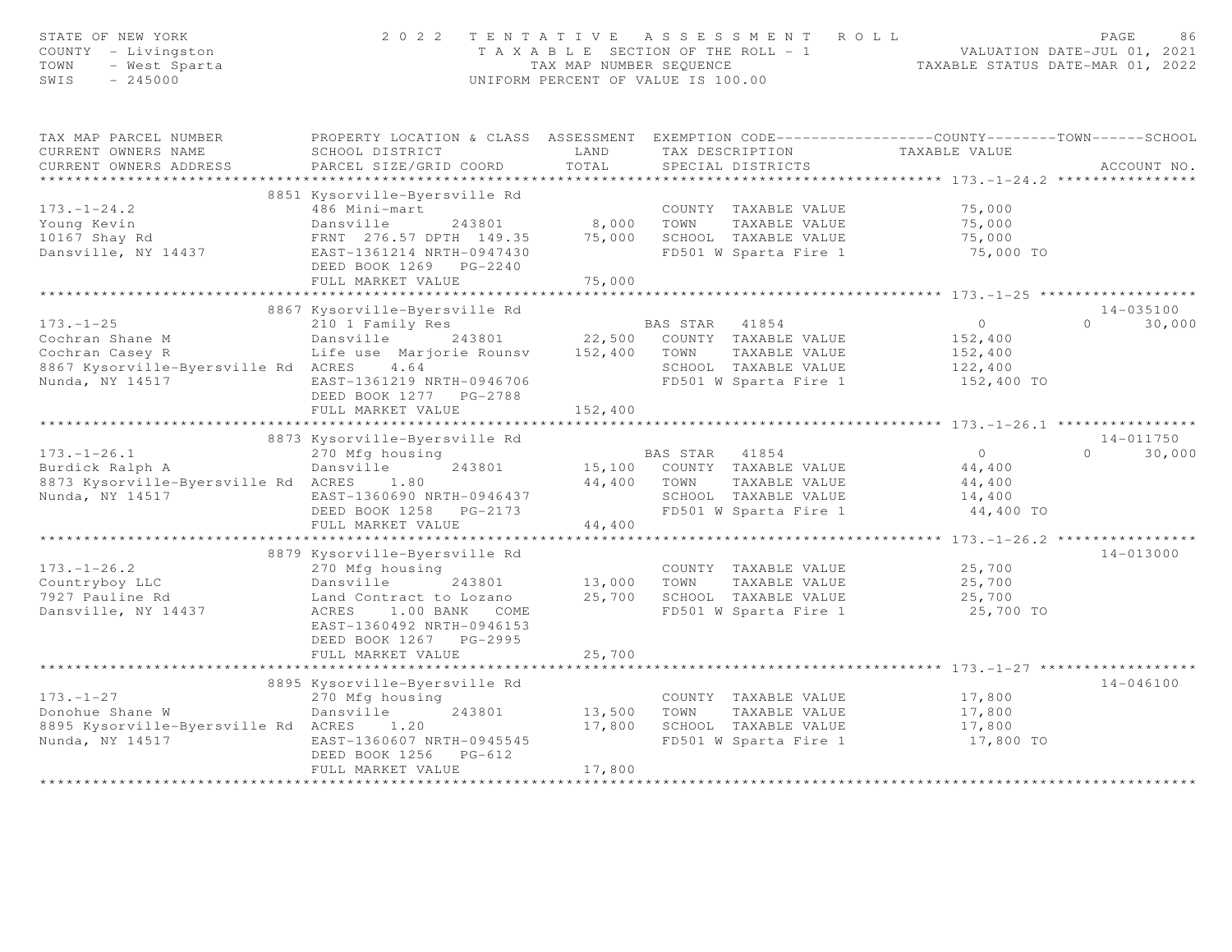| STATE OF NEW YORK<br>COUNTY - Livingston<br>- West Sparta<br>TOWN<br>$-245000$<br>SWIS                               | 2 0 2 2                                                                                                                                                                        | TAX MAP NUMBER SEQUENCE | TENTATIVE ASSESSMENT ROLL<br>T A X A B L E SECTION OF THE ROLL - 1 VALUATION DATE-JUL 01, 2021<br>UNIFORM PERCENT OF VALUE IS 100.00 | TAXABLE STATUS DATE-MAR 01, 2022                                                       | PAGE<br>86                      |
|----------------------------------------------------------------------------------------------------------------------|--------------------------------------------------------------------------------------------------------------------------------------------------------------------------------|-------------------------|--------------------------------------------------------------------------------------------------------------------------------------|----------------------------------------------------------------------------------------|---------------------------------|
| TAX MAP PARCEL NUMBER<br>CURRENT OWNERS NAME<br>CURRENT OWNERS ADDRESS                                               | PROPERTY LOCATION & CLASS ASSESSMENT EXEMPTION CODE----------------COUNTY-------TOWN------SCHOOL<br>SCHOOL DISTRICT<br>PARCEL SIZE/GRID COORD                                  | LAND<br>TOTAL           | TAX DESCRIPTION<br>SPECIAL DISTRICTS                                                                                                 | TAXABLE VALUE                                                                          | ACCOUNT NO.                     |
| $173. - 1 - 24.2$<br>Young Kevin<br>10167 Shay Rd<br>Dansville, NY 14437                                             | 8851 Kysorville-Byersville Rd<br>486 Mini-mart<br>Dansville<br>243801<br>FRNT 276.57 DPTH 149.35<br>EAST-1361214 NRTH-0947430<br>DEED BOOK 1269 PG-2240<br>FULL MARKET VALUE   | 75,000<br>75,000        | COUNTY TAXABLE VALUE<br>8,000 TOWN<br>TAXABLE VALUE<br>SCHOOL TAXABLE VALUE<br>FD501 W Sparta Fire 1                                 | 75,000<br>75,000<br>75,000<br>75,000 TO                                                |                                 |
|                                                                                                                      |                                                                                                                                                                                |                         |                                                                                                                                      |                                                                                        |                                 |
| $173. - 1 - 25$<br>Cochran Shane M<br>Cochran Casey R<br>8867 Kysorville-Byersville Rd ACRES 4.64<br>Nunda, NY 14517 | 8867 Kysorville-Byersville Rd<br>210 1 Family Res<br>Dansville 243801<br>Life use Marjorie Rounsv<br>EAST-1361219 NRTH-0946706<br>DEED BOOK 1277 PG-2788<br>FULL MARKET VALUE  | 152,400                 | BAS STAR 41854<br>22,500 COUNTY TAXABLE VALUE<br>152,400 TOWN<br>TAXABLE VALUE<br>SCHOOL TAXABLE VALUE<br>FD501 W Sparta Fire 1      | $\circ$<br>152,400<br>152,400<br>122,400<br>152,400 TO                                 | 14-035100<br>30,000<br>$\Omega$ |
|                                                                                                                      |                                                                                                                                                                                |                         |                                                                                                                                      |                                                                                        |                                 |
|                                                                                                                      | 8873 Kysorville-Byersville Rd                                                                                                                                                  |                         |                                                                                                                                      |                                                                                        | $14 - 011750$                   |
| $173. - 1 - 26.1$<br>Burdick Ralph A<br>8873 Kysorville-Byersville Rd ACRES 1.80<br>Nunda, NY 14517                  | 270 Mfg housing<br>Dansville<br>243801<br>EAST-1360690 NRTH-0946437<br>DEED BOOK 1258 PG-2173                                                                                  | 44,400                  | BAS STAR 41854<br>15,100 COUNTY TAXABLE VALUE<br>TOWN<br>TAXABLE VALUE<br>SCHOOL TAXABLE VALUE<br>FD501 W Sparta Fire 1              | $\overline{0}$<br>44,400<br>44,400<br>14,400<br>44,400 TO                              | $\Omega$<br>30,000              |
|                                                                                                                      | FULL MARKET VALUE<br>*********************************                                                                                                                         | 44,400                  |                                                                                                                                      |                                                                                        |                                 |
| $173. - 1 - 26.2$<br>Countryboy LLC<br>7927 Pauline Rd<br>Dansville, NY 14437                                        | 8879 Kysorville-Byersville Rd<br>270 Mfg housing<br>Dansville 243801<br>Land Contract to Lozano<br>ACRES 1.00 BANK COME<br>EAST-1360492 NRTH-0946153<br>DEED BOOK 1267 PG-2995 | 13,000 TOWN<br>25,700   | COUNTY TAXABLE VALUE<br>TAXABLE VALUE<br>SCHOOL TAXABLE VALUE<br>FD501 W Sparta Fire 1                                               | ************* 173.-1-26.2 *****************<br>25,700<br>25,700<br>25,700<br>25,700 TO | $14 - 013000$                   |
|                                                                                                                      | FULL MARKET VALUE                                                                                                                                                              | 25,700                  |                                                                                                                                      |                                                                                        |                                 |
| $173. - 1 - 27$<br>Donohue Shane W<br>8895 Kysorville-Byersville Rd ACRES 1.20                                       | 8895 Kysorville-Byersville Rd<br>270 Mfg housing<br>Dansville<br>243801                                                                                                        | 13,500<br>17,800        | COUNTY TAXABLE VALUE<br>TOWN<br>TAXABLE VALUE<br>SCHOOL TAXABLE VALUE                                                                | 17,800<br>17,800<br>17,800                                                             | $14 - 046100$                   |
| Nunda, NY 14517                                                                                                      | EAST-1360607 NRTH-0945545<br>DEED BOOK 1256 PG-612<br>FULL MARKET VALUE                                                                                                        | 17,800                  | FD501 W Sparta Fire 1                                                                                                                | 17,800 TO                                                                              |                                 |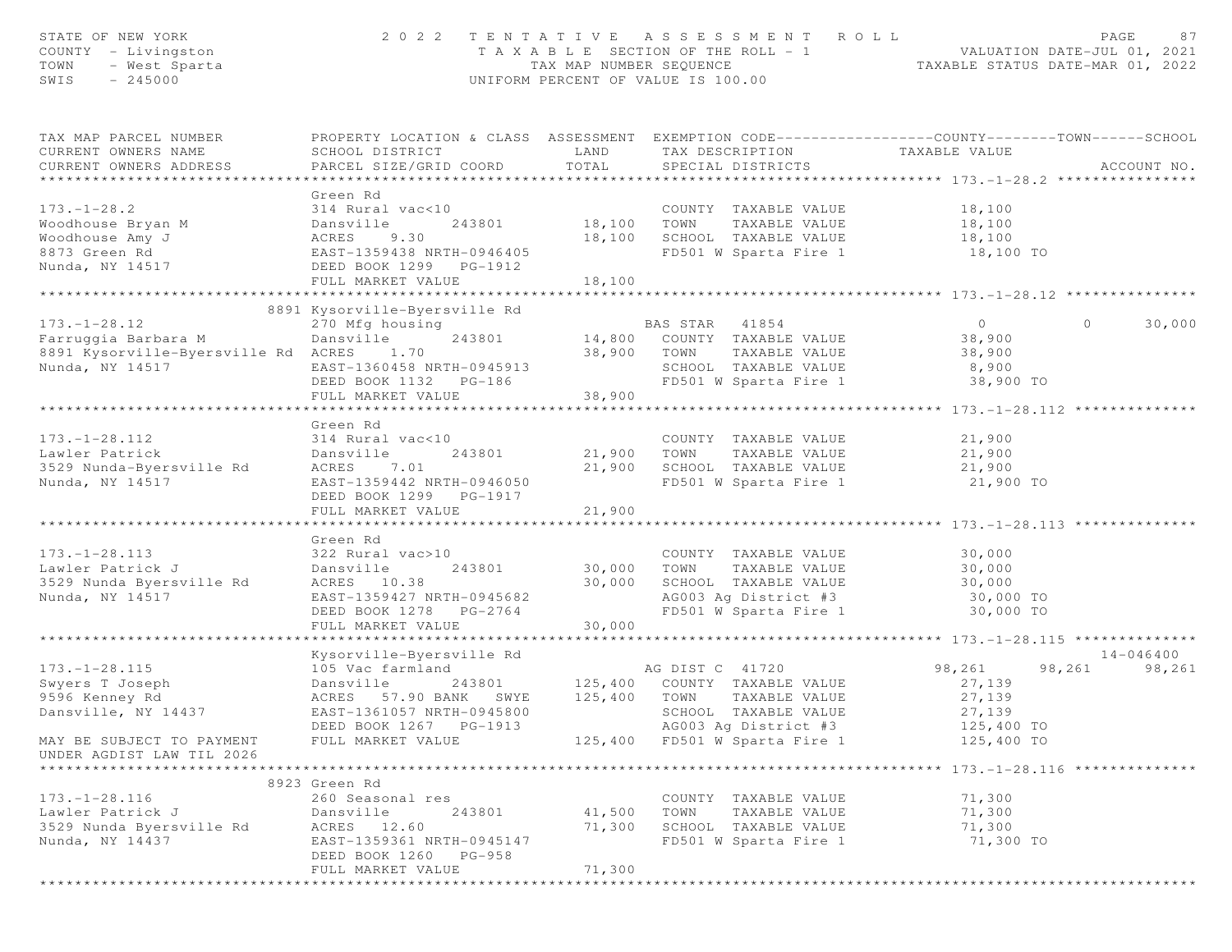| STATE OF NEW YORK<br>COUNTY - Livingston<br>TOWN<br>- West Sparta<br>SWIS<br>$-245000$ | 2 0 2 2                                               | TAX MAP NUMBER SEQUENCE | TENTATIVE ASSESSMENT ROLL<br>T A X A B L E SECTION OF THE ROLL - 1<br>UNIFORM PERCENT OF VALUE IS 100.00 | PAGE<br>VALUATION DATE-JUL 01, 2021<br>TAXABLE STATUS DATE-MAR 01, 2022                                                          | 87 |
|----------------------------------------------------------------------------------------|-------------------------------------------------------|-------------------------|----------------------------------------------------------------------------------------------------------|----------------------------------------------------------------------------------------------------------------------------------|----|
| TAX MAP PARCEL NUMBER<br>CURRENT OWNERS NAME<br>CURRENT OWNERS ADDRESS                 | SCHOOL DISTRICT<br>PARCEL SIZE/GRID COORD             | LAND<br>TOTAL           | TAX DESCRIPTION<br>SPECIAL DISTRICTS                                                                     | PROPERTY LOCATION & CLASS ASSESSMENT EXEMPTION CODE----------------COUNTY-------TOWN------SCHOOL<br>TAXABLE VALUE<br>ACCOUNT NO. |    |
|                                                                                        |                                                       |                         |                                                                                                          |                                                                                                                                  |    |
| $173. - 1 - 28.2$                                                                      | Green Rd<br>314 Rural vac<10                          |                         | COUNTY TAXABLE VALUE                                                                                     | 18,100                                                                                                                           |    |
| Woodhouse Bryan M                                                                      | 243801<br>Dansville                                   | 18,100                  | TOWN<br>TAXABLE VALUE                                                                                    | 18,100                                                                                                                           |    |
| Woodhouse Amy J                                                                        | 9.30<br>ACRES                                         | 18,100                  | SCHOOL TAXABLE VALUE                                                                                     | 18,100                                                                                                                           |    |
| 8873 Green Rd                                                                          | EAST-1359438 NRTH-0946405                             |                         | FD501 W Sparta Fire 1                                                                                    | 18,100 TO                                                                                                                        |    |
| Nunda, NY 14517                                                                        | DEED BOOK 1299 PG-1912                                |                         |                                                                                                          |                                                                                                                                  |    |
|                                                                                        | FULL MARKET VALUE                                     | 18,100                  |                                                                                                          |                                                                                                                                  |    |
|                                                                                        |                                                       |                         |                                                                                                          |                                                                                                                                  |    |
| $173. - 1 - 28.12$                                                                     | 8891 Kysorville-Byersville Rd<br>270 Mfg housing      |                         | BAS STAR<br>41854                                                                                        | $\overline{0}$<br>$\circ$<br>30,000                                                                                              |    |
| Farruggia Barbara M                                                                    | 243801<br>Dansville                                   |                         | 14,800 COUNTY TAXABLE VALUE                                                                              | 38,900                                                                                                                           |    |
| 8891 Kysorville-Byersville Rd ACRES                                                    | 1.70                                                  | 38,900                  | TOWN<br>TAXABLE VALUE                                                                                    | 38,900                                                                                                                           |    |
| Nunda, NY 14517                                                                        | EAST-1360458 NRTH-0945913                             |                         | SCHOOL TAXABLE VALUE                                                                                     | 8,900                                                                                                                            |    |
|                                                                                        | DEED BOOK 1132    PG-186                              |                         | FD501 W Sparta Fire 1                                                                                    | 38,900 TO                                                                                                                        |    |
|                                                                                        | FULL MARKET VALUE                                     | 38,900                  |                                                                                                          |                                                                                                                                  |    |
|                                                                                        | ************************                              |                         |                                                                                                          |                                                                                                                                  |    |
|                                                                                        | Green Rd                                              |                         |                                                                                                          |                                                                                                                                  |    |
| $173. - 1 - 28.112$                                                                    | 314 Rural vac<10                                      |                         | COUNTY TAXABLE VALUE                                                                                     | 21,900                                                                                                                           |    |
| Lawler Patrick                                                                         | Dansville<br>243801                                   | 21,900                  | TOWN<br>TAXABLE VALUE                                                                                    | 21,900                                                                                                                           |    |
| 3529 Nunda-Byersville Rd                                                               | 7.01<br>ACRES                                         | 21,900                  | SCHOOL TAXABLE VALUE                                                                                     | 21,900                                                                                                                           |    |
| Nunda, NY 14517                                                                        | EAST-1359442 NRTH-0946050                             |                         | FD501 W Sparta Fire 1                                                                                    | 21,900 TO                                                                                                                        |    |
|                                                                                        | DEED BOOK 1299 PG-1917                                | 21,900                  |                                                                                                          |                                                                                                                                  |    |
|                                                                                        | FULL MARKET VALUE                                     | *************           |                                                                                                          | ***************************** 173.-1-28.113 **************                                                                       |    |
|                                                                                        | Green Rd                                              |                         |                                                                                                          |                                                                                                                                  |    |
| $173. - 1 - 28.113$                                                                    | 322 Rural vac>10                                      |                         | COUNTY TAXABLE VALUE                                                                                     | 30,000                                                                                                                           |    |
| Lawler Patrick J                                                                       | 243801<br>Dansville                                   | 30,000                  | TOWN<br>TAXABLE VALUE                                                                                    | 30,000                                                                                                                           |    |
| 3529 Nunda Byersville Rd                                                               | ACRES 10.38                                           | 30,000                  | SCHOOL TAXABLE VALUE                                                                                     | 30,000                                                                                                                           |    |
| Nunda, NY 14517                                                                        | EAST-1359427 NRTH-0945682                             |                         | AG003 Ag District #3                                                                                     | 30,000 TO                                                                                                                        |    |
|                                                                                        | DEED BOOK 1278 PG-2764                                |                         | FD501 W Sparta Fire 1                                                                                    | 30,000 TO                                                                                                                        |    |
|                                                                                        | FULL MARKET VALUE                                     | 30,000                  |                                                                                                          |                                                                                                                                  |    |
|                                                                                        | **********************                                |                         |                                                                                                          | ******************** 173.-1-28.115 ***************<br>$14 - 046400$                                                              |    |
| $173. - 1 - 28.115$                                                                    | Kysorville-Byersville Rd<br>105 Vac farmland          |                         | AG DIST C 41720                                                                                          | 98,261<br>98,261<br>98,261                                                                                                       |    |
| Swyers T Joseph                                                                        | Dansville<br>243801                                   | 125,400                 | COUNTY TAXABLE VALUE                                                                                     | 27,139                                                                                                                           |    |
| 9596 Kenney Rd                                                                         | ACRES 57.90 BANK<br>SWYE                              | 125,400                 | TOWN<br>TAXABLE VALUE                                                                                    | 27,139                                                                                                                           |    |
| Dansville, NY 14437                                                                    | EAST-1361057 NRTH-0945800                             |                         | SCHOOL TAXABLE VALUE                                                                                     | 27,139                                                                                                                           |    |
|                                                                                        | DEED BOOK 1267 PG-1913                                |                         | AG003 Ag District #3                                                                                     | 125,400 TO                                                                                                                       |    |
| MAY BE SUBJECT TO PAYMENT                                                              | FULL MARKET VALUE                                     | 125,400                 | FD501 W Sparta Fire 1                                                                                    | 125,400 TO                                                                                                                       |    |
| UNDER AGDIST LAW TIL 2026                                                              |                                                       |                         |                                                                                                          |                                                                                                                                  |    |
| *********************                                                                  |                                                       |                         |                                                                                                          |                                                                                                                                  |    |
|                                                                                        | 8923 Green Rd                                         |                         |                                                                                                          |                                                                                                                                  |    |
| $173. - 1 - 28.116$                                                                    | 260 Seasonal res                                      |                         | COUNTY TAXABLE VALUE                                                                                     | 71,300                                                                                                                           |    |
| Lawler Patrick J                                                                       | Dansville<br>243801                                   | 41,500                  | TOWN<br>TAXABLE VALUE                                                                                    | 71,300                                                                                                                           |    |
| 3529 Nunda Byersville Rd                                                               | ACRES<br>12.60                                        | 71,300                  | SCHOOL TAXABLE VALUE<br>FD501 W Sparta Fire 1                                                            | 71,300                                                                                                                           |    |
| Nunda, NY 14437                                                                        | EAST-1359361 NRTH-0945147<br>DEED BOOK 1260<br>PG-958 |                         |                                                                                                          | 71,300 TO                                                                                                                        |    |
|                                                                                        | FULL MARKET VALUE                                     | 71,300                  |                                                                                                          |                                                                                                                                  |    |
|                                                                                        | ************************                              |                         |                                                                                                          |                                                                                                                                  |    |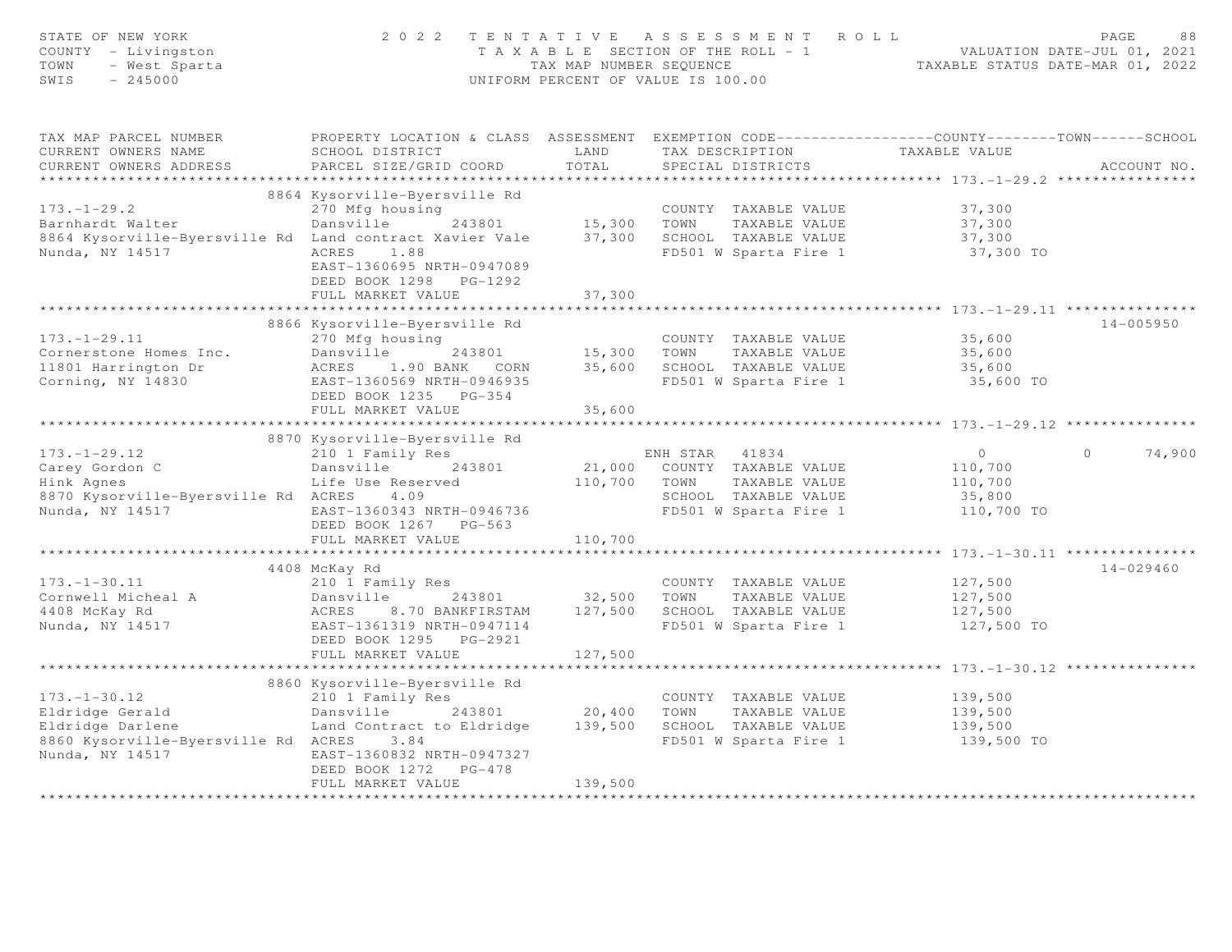| STATE OF NEW YORK<br>COUNTY - Livingston<br>- West Sparta<br>TOWN<br>$-245000$<br>SWIS                                                      | 2 0 2 2                                                                                                                                                                                | TAX MAP NUMBER SEQUENCE                 | TENTATIVE ASSESSMENT ROLL<br>T A X A B L E SECTION OF THE ROLL - 1<br>UNIFORM PERCENT OF VALUE IS 100.00         |                                                              | PAGE<br>88<br>VALUATION DATE-JUL 01, 2021<br>TAXABLE STATUS DATE-MAR 01, 2022 |
|---------------------------------------------------------------------------------------------------------------------------------------------|----------------------------------------------------------------------------------------------------------------------------------------------------------------------------------------|-----------------------------------------|------------------------------------------------------------------------------------------------------------------|--------------------------------------------------------------|-------------------------------------------------------------------------------|
| TAX MAP PARCEL NUMBER<br>CURRENT OWNERS NAME<br>CURRENT OWNERS ADDRESS<br>**********************                                            | PROPERTY LOCATION & CLASS ASSESSMENT EXEMPTION CODE----------------COUNTY--------TOWN-----SCHOOL<br>SCHOOL DISTRICT<br>PARCEL SIZE/GRID COORD                                          | LAND<br>TOTAL                           | TAX DESCRIPTION<br>SPECIAL DISTRICTS                                                                             | TAXABLE VALUE                                                | ACCOUNT NO.                                                                   |
| $173. - 1 - 29.2$<br>Barnhardt Walter<br>8864 Kysorville-Byersville Rd Land contract Xavier Vale<br>Nunda, NY 14517                         | 8864 Kysorville-Byersville Rd<br>270 Mfg housing<br>Dansville<br>243801<br>ACRES 1.88<br>EAST-1360695 NRTH-0947089<br>DEED BOOK 1298 PG-1292<br>FULL MARKET VALUE                      | 15,300<br>37,300<br>37,300              | COUNTY TAXABLE VALUE<br>TOWN<br>TAXABLE VALUE<br>SCHOOL TAXABLE VALUE<br>FD501 W Sparta Fire 1                   | 37,300<br>37,300<br>37,300<br>37,300 TO                      |                                                                               |
| $173. - 1 - 29.11$<br>Cornerstone Homes Inc.<br>11801 Harrington Dr<br>Corning, NY 14830                                                    | 8866 Kysorville-Byersville Rd<br>270 Mfg housing<br>Dansville<br>243801<br>ACRES 1.90 BANK CORN<br>EAST-1360569 NRTH-0946935<br>DEED BOOK 1235 PG-354<br>FULL MARKET VALUE             | 15,300<br>35,600<br>35,600              | COUNTY TAXABLE VALUE<br>TOWN<br>TAXABLE VALUE<br>SCHOOL TAXABLE VALUE<br>FD501 W Sparta Fire 1                   | 35,600<br>35,600<br>35,600<br>35,600 TO                      | $14 - 005950$                                                                 |
| $173. - 1 - 29.12$<br>Carey Gordon C<br>Hink Agnes<br>8870 Kysorville-Byersville Rd ACRES<br>Nunda, NY 14517                                | 8870 Kysorville-Byersville Rd<br>210 1 Family Res<br>Dansville<br>243801<br>Life Use Reserved<br>4.09<br>EAST-1360343 NRTH-0946736<br>DEED BOOK 1267 PG-563                            | 21,000<br>110,700                       | ENH STAR 41834<br>COUNTY TAXABLE VALUE<br>TOWN<br>TAXABLE VALUE<br>SCHOOL TAXABLE VALUE<br>FD501 W Sparta Fire 1 | $\overline{0}$<br>110,700<br>110,700<br>35,800<br>110,700 TO | $\Omega$<br>74,900                                                            |
| $173. - 1 - 30.11$<br>Cornwell Micheal A<br>4408 McKay Rd<br>Nunda, NY 14517                                                                | FULL MARKET VALUE<br>4408 McKay Rd<br>210 1 Family Res<br>Dansville<br>243801<br>ACRES<br>8.70 BANKFIRSTAM<br>EAST-1361319 NRTH-0947114<br>DEED BOOK 1295 PG-2921<br>FULL MARKET VALUE | 110,700<br>32,500<br>127,500<br>127,500 | COUNTY TAXABLE VALUE<br>TOWN<br>TAXABLE VALUE<br>SCHOOL TAXABLE VALUE<br>FD501 W Sparta Fire 1                   | 127,500<br>127,500<br>127,500<br>127,500 TO                  | $14 - 029460$                                                                 |
| $173. - 1 - 30.12$<br>Eldridge Gerald<br>Eldridge Gerald<br>Eldridge Darlene<br>8860 Kysorville-Byersville Rd ACRES 3.84<br>Nunda, NY 14517 | 8860 Kysorville-Byersville Rd<br>210 1 Family Res<br>Dansville<br>243801<br>Land Contract to Eldridge<br>EAST-1360832 NRTH-0947327<br>DEED BOOK 1272 PG-478<br>FULL MARKET VALUE       | 20,400<br>139,500<br>139,500            | COUNTY TAXABLE VALUE<br>TOWN<br>TAXABLE VALUE<br>SCHOOL TAXABLE VALUE<br>FD501 W Sparta Fire 1                   | 139,500<br>139,500<br>139,500<br>139,500 TO                  |                                                                               |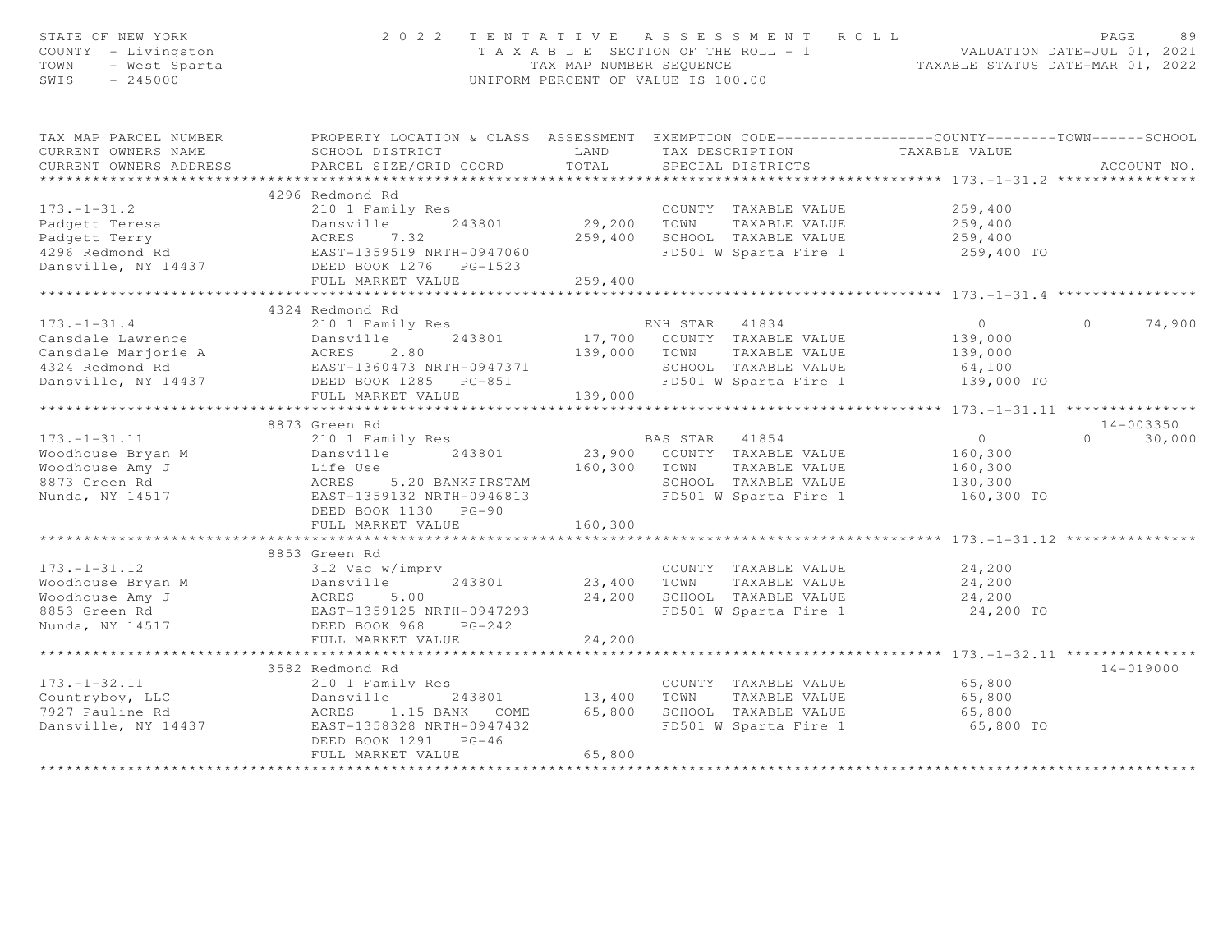| STATE OF NEW YORK<br>COUNTY - Livingston<br>TOWN<br>- West Sparta<br>$-245000$<br>SWIS                                                                                              | 2 0 2 2                                                                                                      |                         | UNIFORM PERCENT OF VALUE IS 100.00 | TENTATIVE ASSESSMENT ROLL                     | T A X A B L E SECTION OF THE ROLL - 1 VALUATION DATE-JUL 01, 2021<br>TAX MAP NUMBER SEQUENCE TAXABLE STATUS DATE-MAR 01, 2022 | PAGE           | 89            |
|-------------------------------------------------------------------------------------------------------------------------------------------------------------------------------------|--------------------------------------------------------------------------------------------------------------|-------------------------|------------------------------------|-----------------------------------------------|-------------------------------------------------------------------------------------------------------------------------------|----------------|---------------|
| TAX MAP PARCEL NUMBER                                                                                                                                                               | PROPERTY LOCATION & CLASS ASSESSMENT EXEMPTION CODE----------------COUNTY-------TOWN------SCHOOL             |                         |                                    |                                               |                                                                                                                               |                |               |
| CURRENT OWNERS NAME                                                                                                                                                                 | SCHOOL DISTRICT                                                                                              | LAND<br>TOTAL           |                                    |                                               | TAX DESCRIPTION TAXABLE VALUE<br>SPECIAL DISTRICTS                                                                            |                |               |
| CURRENT OWNERS ADDRESS<br>***********************                                                                                                                                   | PARCEL SIZE/GRID COORD                                                                                       |                         |                                    |                                               |                                                                                                                               |                | ACCOUNT NO.   |
|                                                                                                                                                                                     | 4296 Redmond Rd                                                                                              |                         |                                    |                                               |                                                                                                                               |                |               |
| $173. - 1 - 31.2$                                                                                                                                                                   | 210 1 Family Res                                                                                             |                         |                                    |                                               | COUNTY TAXABLE VALUE 259,400                                                                                                  |                |               |
|                                                                                                                                                                                     | 243801<br>Dansville                                                                                          | 29,200 TOWN             |                                    | TAXABLE VALUE                                 | 259,400                                                                                                                       |                |               |
|                                                                                                                                                                                     |                                                                                                              |                         |                                    | 259,400 SCHOOL TAXABLE VALUE                  | 259,400                                                                                                                       |                |               |
| Padgett Teresa<br>Padgett Terry<br>4296 Redmond Rd                                                                                                                                  |                                                                                                              |                         |                                    | FD501 W Sparta Fire 1                         | 259,400 TO                                                                                                                    |                |               |
|                                                                                                                                                                                     |                                                                                                              |                         |                                    |                                               |                                                                                                                               |                |               |
|                                                                                                                                                                                     | FULL MARKET VALUE                                                                                            | 259,400                 |                                    |                                               |                                                                                                                               |                |               |
|                                                                                                                                                                                     | *************************                                                                                    | * * * * * * * * * * * * |                                    |                                               | ********************* 173.-1-31.4 **********                                                                                  |                |               |
|                                                                                                                                                                                     | 4324 Redmond Rd                                                                                              |                         |                                    |                                               |                                                                                                                               |                |               |
|                                                                                                                                                                                     |                                                                                                              |                         |                                    | ENH STAR 41834<br>17,700 COUNTY TAXABLE VALUE | $\overline{0}$                                                                                                                | $\circ$        | 74,900        |
|                                                                                                                                                                                     |                                                                                                              |                         |                                    |                                               | 139,000                                                                                                                       |                |               |
|                                                                                                                                                                                     |                                                                                                              | 139,000                 | TOWN                               | TAXABLE VALUE                                 | 139,000                                                                                                                       |                |               |
|                                                                                                                                                                                     |                                                                                                              |                         |                                    |                                               | SCHOOL TAXABLE VALUE 64,100                                                                                                   |                |               |
| 173.-1-31.4<br>Cansdale Lawrence<br>Cansdale Marjorie A<br>4324 Redmond Rd Murials 1885-1360473 NRTH-0947371<br>NEED BOOK 1285 PG-851<br>Murials 1885 PG-851<br>Murials 1885 PG-851 |                                                                                                              | 139,000                 |                                    | FD501 W Sparta Fire 1                         | 139,000 TO                                                                                                                    |                |               |
|                                                                                                                                                                                     |                                                                                                              |                         |                                    |                                               |                                                                                                                               |                |               |
|                                                                                                                                                                                     | 8873 Green Rd                                                                                                |                         |                                    |                                               |                                                                                                                               |                | 14-003350     |
| $173. - 1 - 31.11$                                                                                                                                                                  | M<br>210 1 Family Res<br>Dansville 243801<br>Life Use<br>ACRES 5.20 BANKFIRSTAM<br>EAST-1359132 NRTH-0946813 |                         | BAS STAR 41854                     |                                               | $\overline{0}$                                                                                                                | $\overline{0}$ | 30,000        |
|                                                                                                                                                                                     |                                                                                                              |                         |                                    | 23,900 COUNTY TAXABLE VALUE                   | 160,300                                                                                                                       |                |               |
| Woodhouse Bryan M<br>Woodhouse Amy J                                                                                                                                                |                                                                                                              | 160,300 TOWN            |                                    | TAXABLE VALUE                                 | 160,300                                                                                                                       |                |               |
| 8873 Green Rd                                                                                                                                                                       |                                                                                                              |                         |                                    | SCHOOL TAXABLE VALUE                          | 130,300                                                                                                                       |                |               |
| Nunda, NY 14517                                                                                                                                                                     |                                                                                                              |                         |                                    |                                               | FD501 W Sparta Fire 1 160,300 TO                                                                                              |                |               |
|                                                                                                                                                                                     | DEED BOOK 1130 PG-90                                                                                         |                         |                                    |                                               |                                                                                                                               |                |               |
|                                                                                                                                                                                     | FULL MARKET VALUE                                                                                            | 160,300                 |                                    |                                               |                                                                                                                               |                |               |
|                                                                                                                                                                                     |                                                                                                              |                         |                                    |                                               |                                                                                                                               |                |               |
|                                                                                                                                                                                     | 8853 Green Rd                                                                                                |                         |                                    |                                               |                                                                                                                               |                |               |
| $173. - 1 - 31.12$                                                                                                                                                                  | 312 Vac w/imprv                                                                                              |                         |                                    |                                               | COUNTY TAXABLE VALUE 24,200                                                                                                   |                |               |
|                                                                                                                                                                                     |                                                                                                              |                         | 23,400 TOWN                        | TAXABLE VALUE                                 | 24,200                                                                                                                        |                |               |
|                                                                                                                                                                                     |                                                                                                              |                         |                                    | 24,200 SCHOOL TAXABLE VALUE                   | 24, 200                                                                                                                       |                |               |
| Moodhouse Bryan M<br>Moodhouse Amy J<br>8853 Green Rd<br>BAST-1359125 NRTH-0947293                                                                                                  |                                                                                                              |                         |                                    | FD501 W Sparta Fire 1                         | 24,200 TO                                                                                                                     |                |               |
| Nunda, NY 14517                                                                                                                                                                     | DEED BOOK 968 PG-242                                                                                         |                         |                                    |                                               |                                                                                                                               |                |               |
|                                                                                                                                                                                     | FULL MARKET VALUE                                                                                            | 24,200                  |                                    |                                               |                                                                                                                               |                |               |
|                                                                                                                                                                                     | 3582 Redmond Rd                                                                                              |                         |                                    |                                               |                                                                                                                               |                | $14 - 019000$ |
| $173. - 1 - 32.11$                                                                                                                                                                  | 210 1 Family Res                                                                                             |                         |                                    | COUNTY TAXABLE VALUE                          | 65,800                                                                                                                        |                |               |
| Countryboy, LLC                                                                                                                                                                     |                                                                                                              | 243801 13,400           | TOWN                               | TAXABLE VALUE                                 |                                                                                                                               |                |               |
| 7927 Pauline Rd                                                                                                                                                                     |                                                                                                              | 65,800                  |                                    | SCHOOL TAXABLE VALUE                          | 65,800<br>65,800                                                                                                              |                |               |
| Dansville, NY 14437                                                                                                                                                                 | EAST-1358328 NRTH-0947432                                                                                    |                         |                                    | FD501 W Sparta Fire 1                         | 65,800 TO                                                                                                                     |                |               |
|                                                                                                                                                                                     | DEED BOOK 1291 PG-46                                                                                         |                         |                                    |                                               |                                                                                                                               |                |               |
|                                                                                                                                                                                     | FULL MARKET VALUE                                                                                            | 65,800                  |                                    |                                               |                                                                                                                               |                |               |
|                                                                                                                                                                                     | **************************                                                                                   |                         |                                    |                                               |                                                                                                                               |                |               |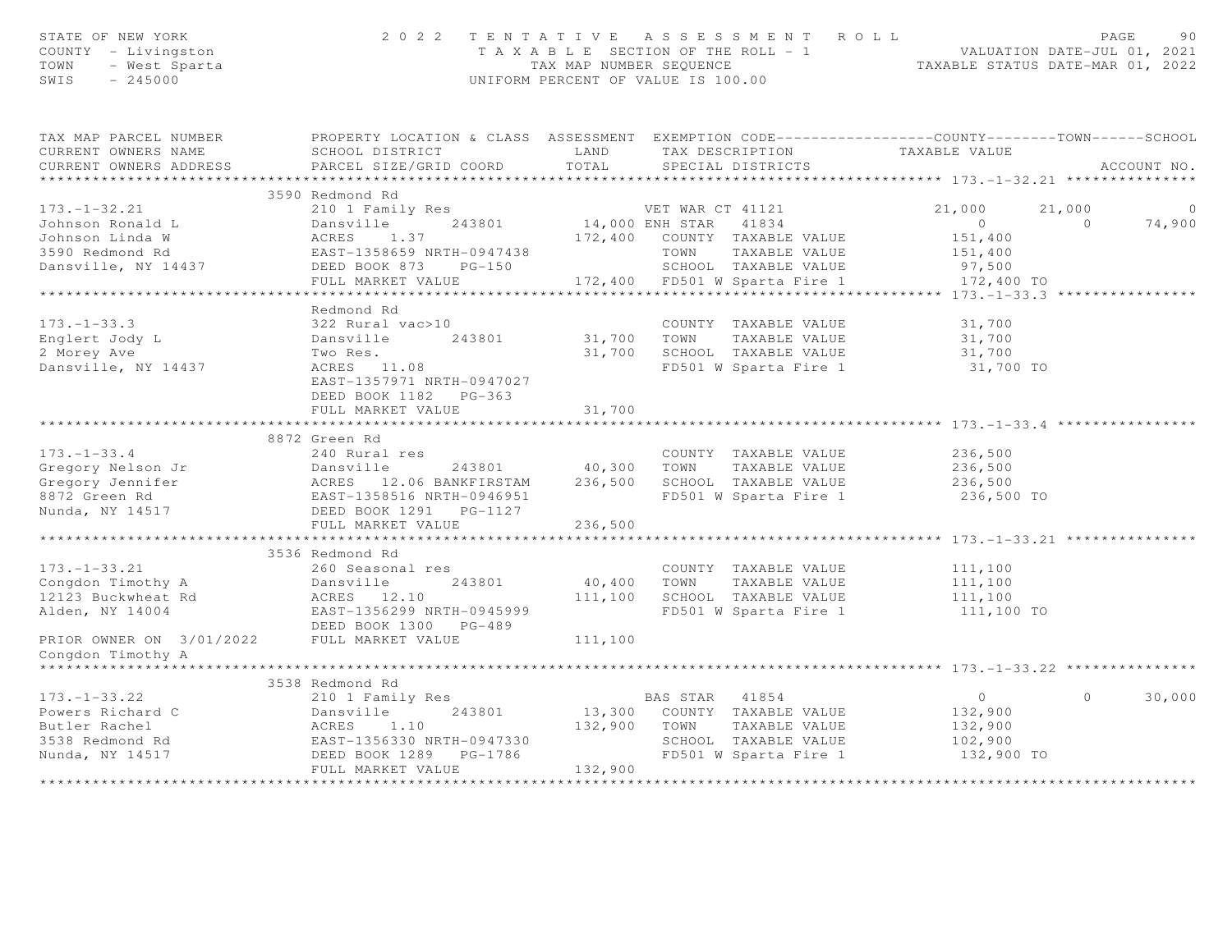| STATE OF NEW YORK<br>COUNTY - Livingston<br>TOWN<br>- West Sparta<br>SWIS<br>$-245000$              | 2 0 2 2                                                                                                                                       | TENTATIVE ASSESSMENT ROLL<br>UNIFORM PERCENT OF VALUE IS 100.00 |                                                                                                                             | T A X A B L E SECTION OF THE ROLL - 1 VALUATION DATE-JUL 01, 2021<br>TAX MAP NUMBER SEQUENCE TAXABLE STATUS DATE-MAR 01. 2022<br>TAXABLE STATUS DATE-MAR 01, 2022 | PAGE               | 90          |
|-----------------------------------------------------------------------------------------------------|-----------------------------------------------------------------------------------------------------------------------------------------------|-----------------------------------------------------------------|-----------------------------------------------------------------------------------------------------------------------------|-------------------------------------------------------------------------------------------------------------------------------------------------------------------|--------------------|-------------|
| TAX MAP PARCEL NUMBER<br>CURRENT OWNERS NAME<br>CURRENT OWNERS ADDRESS                              | PROPERTY LOCATION & CLASS ASSESSMENT EXEMPTION CODE----------------COUNTY-------TOWN------SCHOOL<br>SCHOOL DISTRICT<br>PARCEL SIZE/GRID COORD | LAND<br>TOTAL                                                   | TAX DESCRIPTION<br>SPECIAL DISTRICTS                                                                                        | TAXABLE VALUE                                                                                                                                                     |                    | ACCOUNT NO. |
|                                                                                                     | 3590 Redmond Rd                                                                                                                               |                                                                 |                                                                                                                             |                                                                                                                                                                   |                    |             |
| $173. - 1 - 32.21$<br>Johnson Ronald L<br>Johnson Linda W<br>3590 Redmond Rd<br>Dansville, NY 14437 | 210 1 Family Res<br>Dansville<br>243801<br>ACRES<br>1.37<br>EAST-1358659 NRTH-0947438<br>DEED BOOK 873<br>$PG-150$<br>FULL MARKET VALUE       | 14,000 ENH STAR<br>172,400<br>TOWN                              | VET WAR CT 41121<br>41834<br>COUNTY TAXABLE VALUE<br>TAXABLE VALUE<br>SCHOOL TAXABLE VALUE<br>172,400 FD501 W Sparta Fire 1 | 21,000<br>$\overline{0}$<br>151,400<br>151,400<br>97,500<br>172,400 TO                                                                                            | 21,000<br>$\Omega$ | 0<br>74,900 |
|                                                                                                     |                                                                                                                                               |                                                                 |                                                                                                                             | ************* 173.-1-33.3 ***                                                                                                                                     |                    |             |
| $173. - 1 - 33.3$<br>Englert Jody L<br>2 Morey Ave<br>Dansville, NY 14437                           | Redmond Rd<br>322 Rural vac>10<br>Dansville<br>243801<br>Two Res.<br>ACRES 11.08<br>EAST-1357971 NRTH-0947027<br>DEED BOOK 1182    PG-363     | 31,700<br>TOWN<br>31,700                                        | COUNTY TAXABLE VALUE<br>TAXABLE VALUE<br>SCHOOL TAXABLE VALUE<br>FD501 W Sparta Fire 1                                      | 31,700<br>31,700<br>31,700<br>31,700 TO                                                                                                                           |                    |             |
|                                                                                                     | FULL MARKET VALUE                                                                                                                             | 31,700                                                          |                                                                                                                             |                                                                                                                                                                   |                    |             |
|                                                                                                     | **********************                                                                                                                        | *******                                                         |                                                                                                                             | ********* 173. -1-33. 4                                                                                                                                           |                    |             |
| $173. - 1 - 33.4$<br>Gregory Nelson Jr<br>Gregory Jennifer<br>8872 Green Rd<br>Nunda, NY 14517      | 8872 Green Rd<br>240 Rural res<br>Dansville 243801<br>ACRES 12.06 BANKFIRSTAM<br>EAST-1358516 NRTH-0946951<br>DEED BOOK 1291    PG-1127       | 40,300<br>TOWN<br>236,500                                       | COUNTY TAXABLE VALUE<br>TAXABLE VALUE<br>SCHOOL TAXABLE VALUE<br>FD501 W Sparta Fire 1                                      | 236,500<br>236,500<br>236,500<br>236,500 TO                                                                                                                       |                    |             |
|                                                                                                     | FULL MARKET VALUE                                                                                                                             | 236,500                                                         |                                                                                                                             |                                                                                                                                                                   |                    |             |
|                                                                                                     | 3536 Redmond Rd                                                                                                                               |                                                                 |                                                                                                                             |                                                                                                                                                                   |                    |             |
| $173. - 1 - 33.21$<br>Congdon Timothy A<br>12123 Buckwheat Rd<br>Alden, NY 14004                    | 260 Seasonal res<br>Dansville<br>243801<br>ACRES 12.10<br>EAST-1356299 NRTH-0945999<br>DEED BOOK 1300 PG-489                                  | 40,400<br>TOWN<br>111,100                                       | COUNTY TAXABLE VALUE<br>TAXABLE VALUE<br>SCHOOL TAXABLE VALUE<br>FD501 W Sparta Fire 1                                      | 111,100<br>111,100<br>111,100<br>111,100 TO                                                                                                                       |                    |             |
| PRIOR OWNER ON 3/01/2022<br>Congdon Timothy A<br>******************                                 | FULL MARKET VALUE                                                                                                                             | 111,100                                                         |                                                                                                                             |                                                                                                                                                                   |                    |             |
|                                                                                                     | 3538 Redmond Rd                                                                                                                               |                                                                 |                                                                                                                             |                                                                                                                                                                   |                    |             |
| $173. - 1 - 33.22$<br>Powers Richard C                                                              | 210 1 Family Res<br>243801<br>Dansville                                                                                                       | BAS STAR<br>13,300 COUNTY TAXABLE VALUE                         | 41854                                                                                                                       | $\overline{0}$<br>132,900                                                                                                                                         | $\Omega$           | 30,000      |
| Butler Rachel<br>3538 Redmond Rd<br>Nunda, NY 14517                                                 | ACRES<br>1.10<br>EAST-1356330 NRTH-0947330<br>DEED BOOK 1289 PG-1786                                                                          | 132,900<br>TOWN                                                 | TAXABLE VALUE<br>SCHOOL TAXABLE VALUE<br>FD501 W Sparta Fire 1                                                              | 132,900<br>102,900<br>132,900 TO                                                                                                                                  |                    |             |
|                                                                                                     | FULL MARKET VALUE<br>************************                                                                                                 | 132,900<br>**********                                           |                                                                                                                             |                                                                                                                                                                   |                    |             |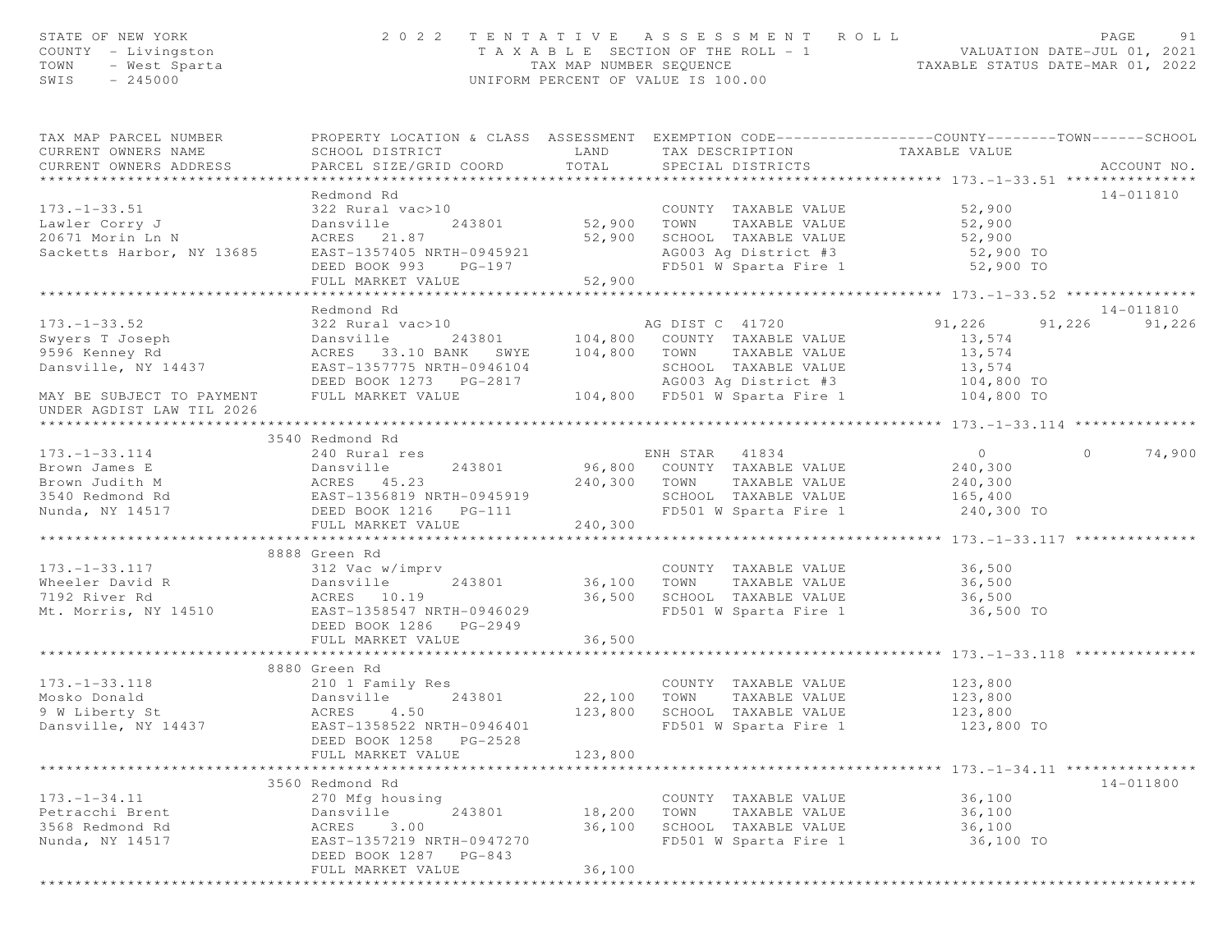| STATE OF NEW YORK<br>COUNTY - Livingston<br>- West Sparta<br>- 245000<br>TOWN<br>$-245000$<br>SWIS                             |                                                                                                                                                                                                        |                       | 2022 TENTATIVE ASSESSMENT ROLL<br>T A X A B L E SECTION OF THE ROLL - 1 VALUATION DATE-JUL 01, 2021<br>TAX MAP NUMBER SEQUENCE TAXABLE STATUS DATE-MAR 01, 2022<br>UNIFORM PERCENT OF VALUE IS 100.00 |                    | PAGE<br>91         |
|--------------------------------------------------------------------------------------------------------------------------------|--------------------------------------------------------------------------------------------------------------------------------------------------------------------------------------------------------|-----------------------|-------------------------------------------------------------------------------------------------------------------------------------------------------------------------------------------------------|--------------------|--------------------|
| TAX MAP PARCEL NUMBER<br>CURRENT OWNERS NAME<br>CURRENT OWNERS ADDRESS                                                         | PROPERTY LOCATION & CLASS ASSESSMENT EXEMPTION CODE----------------COUNTY-------TOWN------SCHOOL<br>SCHOOL DISTRICT<br>PARCEL SIZE/GRID COORD                                                          | LAND<br>TOTAL         | TAX DESCRIPTION TAXABLE VALUE<br>SPECIAL DISTRICTS                                                                                                                                                    |                    | ACCOUNT NO.        |
|                                                                                                                                | Redmond Rd                                                                                                                                                                                             |                       |                                                                                                                                                                                                       |                    | 14-011810          |
| $173. - 1 - 33.51$                                                                                                             | 322 Rural vac>10                                                                                                                                                                                       |                       | COUNTY TAXABLE VALUE 52,900                                                                                                                                                                           |                    |                    |
|                                                                                                                                | 243801 52,900 TOWN<br>Dansville                                                                                                                                                                        |                       | TAXABLE VALUE                                                                                                                                                                                         | 52,900             |                    |
| Lawler Corry J<br>20671 Morin Ln N                                                                                             | ACRES 21.87                                                                                                                                                                                            |                       | 52,900 SCHOOL TAXABLE VALUE                                                                                                                                                                           | 52,900             |                    |
| Sacketts Harbor, NY 13685 EAST-1357405 NRTH-0945921                                                                            |                                                                                                                                                                                                        |                       | AG003 Ag District #3 52,900 TO                                                                                                                                                                        |                    |                    |
|                                                                                                                                | DEED BOOK 993 PG-197                                                                                                                                                                                   |                       | FD501 W Sparta Fire 1                                                                                                                                                                                 | 52,900 TO          |                    |
|                                                                                                                                | FULL MARKET VALUE                                                                                                                                                                                      | 52,900                |                                                                                                                                                                                                       |                    |                    |
|                                                                                                                                |                                                                                                                                                                                                        |                       |                                                                                                                                                                                                       |                    |                    |
|                                                                                                                                | Redmond Rd                                                                                                                                                                                             |                       |                                                                                                                                                                                                       |                    | 14-011810          |
| $173. - 1 - 33.52$                                                                                                             |                                                                                                                                                                                                        |                       |                                                                                                                                                                                                       | 91,226             | 91,226 91,226      |
| Swyers T Joseph<br>9596 Kenney Rd                                                                                              |                                                                                                                                                                                                        |                       | 243801 104,800 COUNTY TAXABLE VALUE                                                                                                                                                                   | 13,574             |                    |
| 9596 Kenney Rd                                                                                                                 | ACRES 33.10 BANK SWYE 104,800 TOWN TAXABLE VALUE                                                                                                                                                       |                       |                                                                                                                                                                                                       | 13,574             |                    |
| Dansville, NY 14437                                                                                                            |                                                                                                                                                                                                        |                       | SCHOOL TAXABLE VALUE                                                                                                                                                                                  | 13,574             |                    |
|                                                                                                                                |                                                                                                                                                                                                        |                       | AG003 Ag District #3 104,800 TO<br>FD501 W Sparta Fire 1 104,800 TO                                                                                                                                   |                    |                    |
| MAY BE SUBJECT TO PAYMENT FULL MARKET VALUE                                                                                    |                                                                                                                                                                                                        |                       |                                                                                                                                                                                                       |                    |                    |
| UNDER AGDIST LAW TIL 2026                                                                                                      |                                                                                                                                                                                                        |                       |                                                                                                                                                                                                       |                    |                    |
|                                                                                                                                | 322 Rural value<br>Dansville 243801<br>ACRES 33.10 BANK SWYE 104,800<br>EAST-1357775 NRTH-0946104 SCHOOL TAARLEND BOOK 1273 PG-2817 AG003 Ag District #3<br>WARKET VALUE 104,800 FD501 W Sparta Fire 1 |                       |                                                                                                                                                                                                       |                    |                    |
|                                                                                                                                |                                                                                                                                                                                                        |                       |                                                                                                                                                                                                       |                    |                    |
| $173. - 1 - 33.114$                                                                                                            | 240 Rural res                                                                                                                                                                                          |                       | ENH STAR 41834                                                                                                                                                                                        | $\overline{0}$     | 74,900<br>$\Omega$ |
|                                                                                                                                |                                                                                                                                                                                                        |                       | 243801 96,800 COUNTY TAXABLE VALUE 240,300                                                                                                                                                            |                    |                    |
|                                                                                                                                |                                                                                                                                                                                                        |                       | 240,300 TOWN TAXABLE VALUE                                                                                                                                                                            | 240,300            |                    |
|                                                                                                                                |                                                                                                                                                                                                        |                       | SCHOOL TAXABLE VALUE 165,400                                                                                                                                                                          |                    |                    |
| Nunda, NY 14517                                                                                                                | DEED BOOK 1216 PG-111                                                                                                                                                                                  |                       | FD501 W Sparta Fire 1                                                                                                                                                                                 | 240,300 TO         |                    |
|                                                                                                                                | FULL MARKET VALUE                                                                                                                                                                                      | 240,300               |                                                                                                                                                                                                       |                    |                    |
|                                                                                                                                | 8888 Green Rd                                                                                                                                                                                          |                       |                                                                                                                                                                                                       |                    |                    |
|                                                                                                                                |                                                                                                                                                                                                        |                       | COUNTY TAXABLE VALUE                                                                                                                                                                                  | 36,500             |                    |
|                                                                                                                                |                                                                                                                                                                                                        | COUNTY<br>36,100 TOWN | TAXABLE VALUE                                                                                                                                                                                         | 36,500             |                    |
|                                                                                                                                |                                                                                                                                                                                                        |                       | 36,500 SCHOOL TAXABLE VALUE 36,500                                                                                                                                                                    |                    |                    |
| 173.-1-33.117<br>Wheeler David R<br>7192 River Rd<br>Mt. Morris, NY 14510<br>Mt. Morris, NY 14510<br>RAST-1358547 NRTH-0946029 |                                                                                                                                                                                                        |                       | FD501 W Sparta Fire 1                                                                                                                                                                                 | 36,500 TO          |                    |
|                                                                                                                                | DEED BOOK 1286 PG-2949                                                                                                                                                                                 |                       |                                                                                                                                                                                                       |                    |                    |
|                                                                                                                                | FULL MARKET VALUE                                                                                                                                                                                      | 36,500                |                                                                                                                                                                                                       |                    |                    |
|                                                                                                                                |                                                                                                                                                                                                        |                       |                                                                                                                                                                                                       |                    |                    |
|                                                                                                                                | 8880 Green Rd                                                                                                                                                                                          |                       |                                                                                                                                                                                                       |                    |                    |
| $173. - 1 - 33.118$                                                                                                            | 210 1 Family Res                                                                                                                                                                                       |                       | COUNTY TAXABLE VALUE 123,800                                                                                                                                                                          |                    |                    |
| Mosko Donald                                                                                                                   | 243801<br>Dansville                                                                                                                                                                                    | 22,100 TOWN           | TAXABLE VALUE                                                                                                                                                                                         |                    |                    |
| 9 W Liberty St                                                                                                                 | ACRES 4.50                                                                                                                                                                                             | 123,800               | SCHOOL TAXABLE VALUE                                                                                                                                                                                  | 123,800<br>123,800 |                    |
| Dansville, NY 14437                                                                                                            | EAST-1358522 NRTH-0946401                                                                                                                                                                              |                       | FD501 W Sparta Fire 1                                                                                                                                                                                 | 123,800 TO         |                    |
|                                                                                                                                | DEED BOOK 1258 PG-2528                                                                                                                                                                                 |                       |                                                                                                                                                                                                       |                    |                    |
|                                                                                                                                | FULL MARKET VALUE                                                                                                                                                                                      | 123,800               |                                                                                                                                                                                                       |                    |                    |
|                                                                                                                                |                                                                                                                                                                                                        |                       |                                                                                                                                                                                                       |                    |                    |
|                                                                                                                                | 3560 Redmond Rd                                                                                                                                                                                        |                       |                                                                                                                                                                                                       |                    | 14-011800          |
| $173. - 1 - 34.11$                                                                                                             | 270 Mfg housing                                                                                                                                                                                        |                       | COUNTY TAXABLE VALUE                                                                                                                                                                                  | 36,100             |                    |
| Petracchi Brent                                                                                                                | Dansville<br>243801                                                                                                                                                                                    | 18,200                | TOWN<br>TAXABLE VALUE                                                                                                                                                                                 | 36,100             |                    |
| 3568 Redmond Rd                                                                                                                | ACRES 3.00                                                                                                                                                                                             | 36,100                | SCHOOL TAXABLE VALUE                                                                                                                                                                                  | 36,100             |                    |
| Nunda, NY 14517                                                                                                                | EAST-1357219 NRTH-0947270                                                                                                                                                                              |                       | FD501 W Sparta Fire 1                                                                                                                                                                                 | 36,100 TO          |                    |
|                                                                                                                                | DEED BOOK 1287 PG-843                                                                                                                                                                                  |                       |                                                                                                                                                                                                       |                    |                    |
|                                                                                                                                | FULL MARKET VALUE                                                                                                                                                                                      | 36,100                |                                                                                                                                                                                                       |                    |                    |
|                                                                                                                                | *********************                                                                                                                                                                                  |                       |                                                                                                                                                                                                       |                    |                    |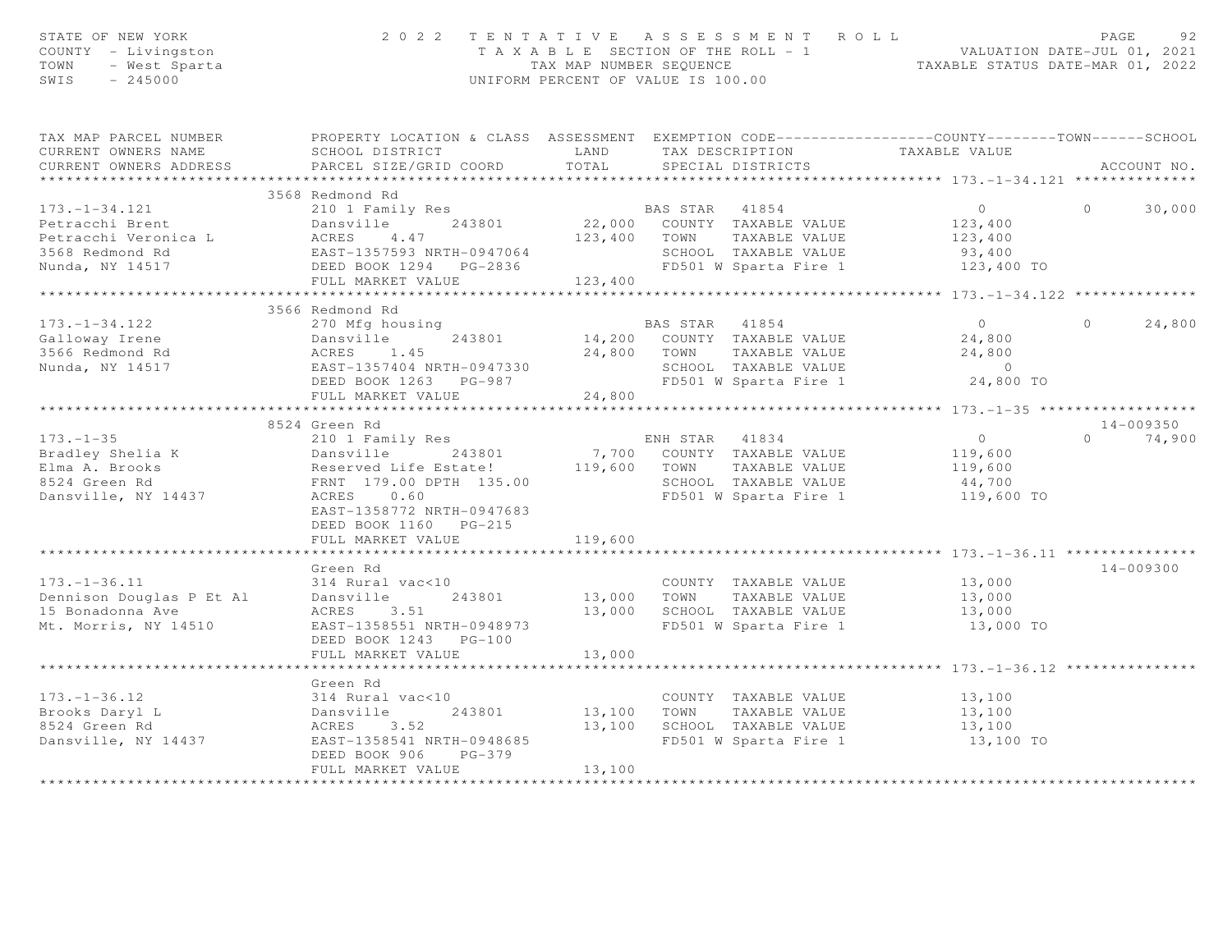| STATE OF NEW YORK<br>COUNTY - Livingston<br>- West Sparta<br>- 245000<br>TOWN<br>SWIS                | 2 0 2 2                                                                                                                                                                                                         | UNIFORM PERCENT OF VALUE IS 100.00 |                | TENTATIVE ASSESSMENT ROLL                                                                                       | T A X A B L E SECTION OF THE ROLL - 1 VALUATION DATE-JUL 01, 2021<br>TAX MAP NUMBER SEQUENCE TAXABLE STATUS DATE-MAR 01, 2022 | PAGE     | 92                      |
|------------------------------------------------------------------------------------------------------|-----------------------------------------------------------------------------------------------------------------------------------------------------------------------------------------------------------------|------------------------------------|----------------|-----------------------------------------------------------------------------------------------------------------|-------------------------------------------------------------------------------------------------------------------------------|----------|-------------------------|
| TAX MAP PARCEL NUMBER<br>CURRENT OWNERS NAME<br>CURRENT OWNERS ADDRESS<br>***********************    | PROPERTY LOCATION & CLASS ASSESSMENT EXEMPTION CODE-----------------COUNTY--------TOWN------SCHOOL<br>SCHOOL DISTRICT<br>PARCEL SIZE/GRID COORD                                                                 | LAND<br>TOTAL                      |                | TAX DESCRIPTION<br>SPECIAL DISTRICTS                                                                            | TAXABLE VALUE                                                                                                                 |          | ACCOUNT NO.             |
|                                                                                                      | 3568 Redmond Rd                                                                                                                                                                                                 |                                    |                |                                                                                                                 |                                                                                                                               |          |                         |
| $173. - 1 - 34.121$<br>Petracchi Brent<br>Petracchi Veronica L<br>3568 Redmond Rd<br>Nunda, NY 14517 | 210 1 Family Res<br>Dansville 243801<br>Dansville 243801<br>ACRES 4.47<br>EAST-1357593 NRTH-0947064<br>DEED BOOK 1294 PG-2836<br>FULL MARKET VALUE 123,400                                                      |                                    | 123,400 TOWN   | BAS STAR 41854<br>22,000 COUNTY TAXABLE VALUE<br>TAXABLE VALUE<br>SCHOOL TAXABLE VALUE<br>FD501 W Sparta Fire 1 | $\overline{0}$<br>123,400<br>123,400<br>93,400<br>123,400 TO                                                                  | $\Omega$ | 30,000                  |
|                                                                                                      |                                                                                                                                                                                                                 |                                    |                |                                                                                                                 |                                                                                                                               |          |                         |
| $173. - 1 - 34.122$<br>Galloway Irene<br>3566 Redmond Rd<br>Nunda, NY 14517                          | 3566 Redmond Rd<br>270 Mfg housing<br>Dansville 243801<br>ACRES 1.45<br>EAST-1357404 NRTH-0947330<br>DEED BOOK 1263 PG-987                                                                                      |                                    | BAS STAR 41854 | 14,200 COUNTY TAXABLE VALUE<br>24,800 TOWN TAXABLE VALUE<br>SCHOOL TAXABLE VALUE<br>FD501 W Sparta Fire 1       | $\overline{0}$<br>24,800<br>24,800<br>$\overline{0}$<br>24,800 TO                                                             | $\Omega$ | 24,800                  |
|                                                                                                      | FULL MARKET VALUE                                                                                                                                                                                               | 24,800                             |                |                                                                                                                 |                                                                                                                               |          |                         |
|                                                                                                      |                                                                                                                                                                                                                 |                                    |                |                                                                                                                 |                                                                                                                               |          |                         |
| $173. - 1 - 35$<br>Bradley Shelia K<br>Elma A. Brooks<br>8524 Green Rd<br>Dansville, NY 14437        | 8524 Green Rd<br>210 1 Family Res<br>Dansville 243801<br>Reserved Life Estate! 119,600 TOWN<br>FRNT 179.00 DPTH 135.00<br>ACRES 0.60<br>EAST-1358772 NRTH-0947683<br>DEED BOOK 1160 PG-215<br>FULL MARKET VALUE | 119,600                            | ENH STAR 41834 | 7,700 COUNTY TAXABLE VALUE<br>TAXABLE VALUE<br>SCHOOL TAXABLE VALUE                                             | $\overline{0}$<br>119,600<br>119,600<br>44,700<br>FD501 W Sparta Fire 1 119,600 TO                                            | $\Omega$ | $14 - 009350$<br>74,900 |
|                                                                                                      |                                                                                                                                                                                                                 |                                    |                |                                                                                                                 |                                                                                                                               |          |                         |
| $173. - 1 - 36.11$<br>Dennison Douglas P Et Al<br>15 Bonadonna Ave<br>Mt. Morris, NY 14510           | Green Rd<br>314 Rural vac<10<br>243801<br>Dansville<br>ACRES 3.51<br>EAST-1358551 NRTH-0948973<br>DEED BOOK 1243 PG-100                                                                                         | 13,000 TOWN                        |                | COUNTY TAXABLE VALUE<br>TAXABLE VALUE<br>13,000 SCHOOL TAXABLE VALUE<br>FD501 W Sparta Fire 1                   | 13,000<br>13,000<br>13,000<br>13,000 TO                                                                                       |          | $14 - 009300$           |
|                                                                                                      | FULL MARKET VALUE                                                                                                                                                                                               | 13,000                             |                |                                                                                                                 |                                                                                                                               |          |                         |
|                                                                                                      |                                                                                                                                                                                                                 |                                    |                |                                                                                                                 |                                                                                                                               |          |                         |
| $173. - 1 - 36.12$<br>Brooks Daryl L<br>8524 Green Rd<br>Dansville, NY 14437                         | Green Rd<br>314 Rural vac<10<br>314 Ave -<br>Dansville<br>ACRES - 3.52<br>- 258541 N<br>243801<br>EAST-1358541 NRTH-0948685<br>DEED BOOK 906<br>PG-379<br>FULL MARKET VALUE                                     | 13,100<br>13,100<br>13,100         | TOWN           | COUNTY TAXABLE VALUE<br>TAXABLE VALUE<br>SCHOOL TAXABLE VALUE<br>FD501 W Sparta Fire 1                          | 13,100<br>13,100<br>13,100<br>13,100 TO                                                                                       |          |                         |
|                                                                                                      |                                                                                                                                                                                                                 |                                    |                |                                                                                                                 |                                                                                                                               |          |                         |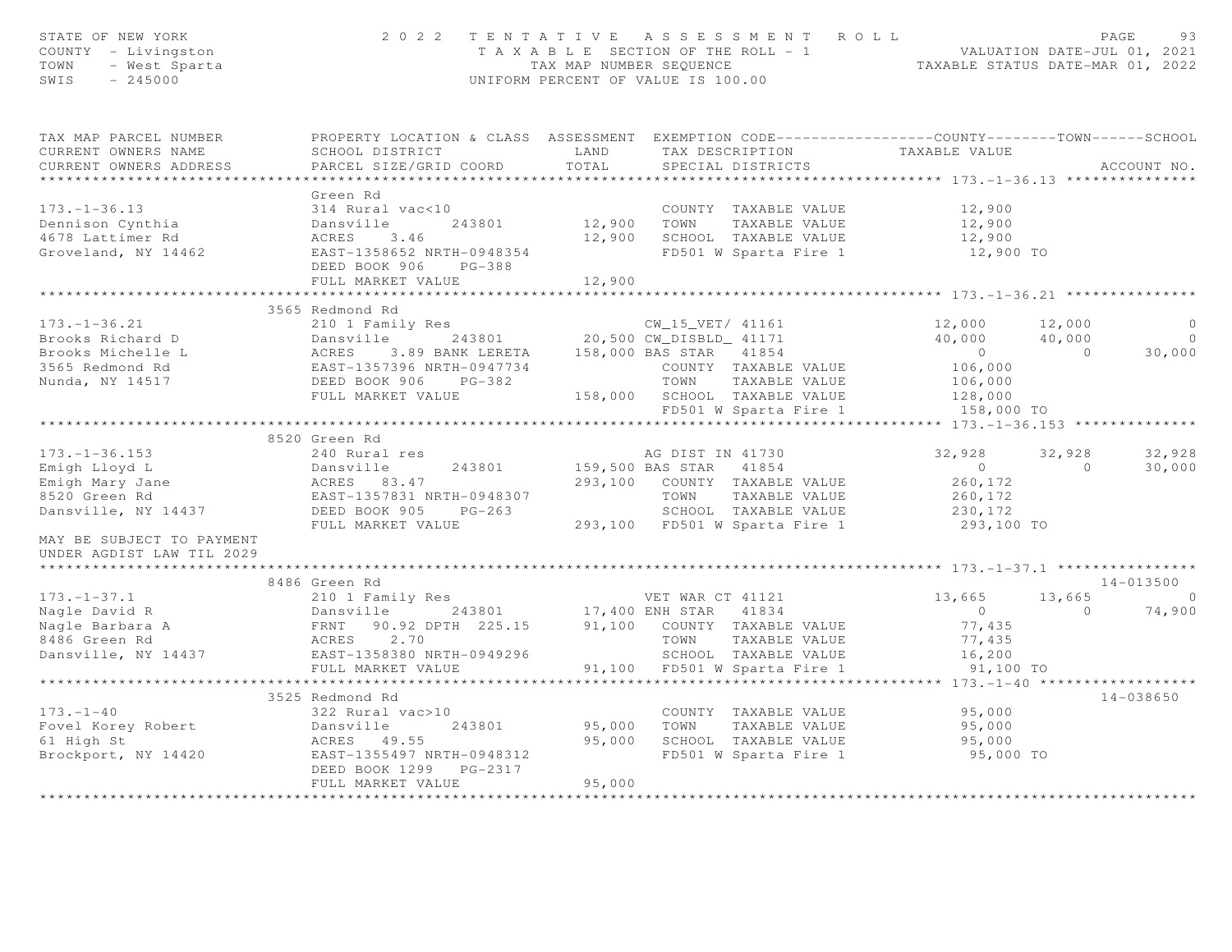| STATE OF NEW YORK<br>COUNTY - Livingston<br>- Livingston<br>- West Sparta<br>- 245000<br>TOWN<br>SWIS<br>$-245000$                                                                                                                         | 2022 TENTATIVE ASSESSMENT ROLL                                                                                             | UNIFORM PERCENT OF VALUE IS 100.00 |                  |                                                       | T A X A B L E SECTION OF THE ROLL - 1 VALUATION DATE-JUL 01, 2021<br>TAX MAP NUMBER SEQUENCE TAXABLE STATUS DATE-MAR 01, 2022 |                | PAGE<br>93  |
|--------------------------------------------------------------------------------------------------------------------------------------------------------------------------------------------------------------------------------------------|----------------------------------------------------------------------------------------------------------------------------|------------------------------------|------------------|-------------------------------------------------------|-------------------------------------------------------------------------------------------------------------------------------|----------------|-------------|
| TAX MAP PARCEL NUMBER<br>CURRENT OWNERS NAME                                                                                                                                                                                               | PROPERTY LOCATION & CLASS ASSESSMENT EXEMPTION CODE---------------COUNTY-------TOWN------SCHOOL<br>LAND<br>SCHOOL DISTRICT |                                    |                  | TAX DESCRIPTION                                       | TAXABLE VALUE                                                                                                                 |                |             |
| CURRENT OWNERS ADDRESS                                                                                                                                                                                                                     | PARCEL SIZE/GRID COORD                                                                                                     | TOTAL                              |                  | SPECIAL DISTRICTS                                     |                                                                                                                               |                | ACCOUNT NO. |
| *************************                                                                                                                                                                                                                  | Green Rd                                                                                                                   |                                    |                  |                                                       |                                                                                                                               |                |             |
| $173. - 1 - 36.13$                                                                                                                                                                                                                         |                                                                                                                            |                                    |                  | COUNTY TAXABLE VALUE                                  | 12,900                                                                                                                        |                |             |
| Dennison Cynthia                                                                                                                                                                                                                           | 314 Rural vac<10 COUNT<br>Dansville 243801 12,900 TOWN                                                                     |                                    |                  | TAXABLE VALUE                                         | 12,900                                                                                                                        |                |             |
| 4678 Lattimer Rd                                                                                                                                                                                                                           | ACRES 3.46                                                                                                                 | 12,900                             |                  | SCHOOL TAXABLE VALUE                                  | 12,900                                                                                                                        |                |             |
| Groveland, NY 14462 EAST-1358652 NRTH-0948354                                                                                                                                                                                              |                                                                                                                            |                                    |                  |                                                       | FD501 W Sparta Fire 1 12,900 TO                                                                                               |                |             |
|                                                                                                                                                                                                                                            | DEED BOOK 906 PG-388                                                                                                       |                                    |                  |                                                       |                                                                                                                               |                |             |
|                                                                                                                                                                                                                                            | FULL MARKET VALUE                                                                                                          | 12,900                             |                  |                                                       |                                                                                                                               |                |             |
|                                                                                                                                                                                                                                            | 3565 Redmond Rd                                                                                                            |                                    |                  |                                                       |                                                                                                                               |                |             |
| $173. - 1 - 36.21$                                                                                                                                                                                                                         | 210 1 Family Res<br>Dansville 243801 20,500 CW_15_VET/ 41161<br>20,500 CW_DISBLD_ 41171                                    |                                    |                  |                                                       | 12,000 12,000                                                                                                                 |                | $\circ$     |
| Brooks Richard D<br>Brooks Richard D<br>Brooks Michelle L (ACRES 3.89 BANK LERETA 158,000 BAS STAR 41854<br>3565 Redmond Rd (EAST-1357396 NRTH-0947734 (COUNTY TAXABLE VALUE)<br>Nunda, NY 14517 DEED BOOK 906 PG-382 158,000 BAS TAN TAXA |                                                                                                                            |                                    |                  |                                                       | $40,000$ $40,000$                                                                                                             |                | $\bigcirc$  |
|                                                                                                                                                                                                                                            |                                                                                                                            |                                    |                  |                                                       | $\overline{0}$                                                                                                                | $\overline{0}$ | 30,000      |
|                                                                                                                                                                                                                                            |                                                                                                                            |                                    |                  |                                                       | 106,000                                                                                                                       |                |             |
|                                                                                                                                                                                                                                            |                                                                                                                            |                                    |                  | TOWN TAXABLE VALUE                                    | 106,000                                                                                                                       |                |             |
|                                                                                                                                                                                                                                            | FULL MARKET VALUE                                                                                                          |                                    |                  | 158,000 SCHOOL TAXABLE VALUE<br>FD501 W Sparta Fire 1 | 128,000<br>158,000 TO                                                                                                         |                |             |
|                                                                                                                                                                                                                                            |                                                                                                                            |                                    |                  |                                                       |                                                                                                                               |                |             |
|                                                                                                                                                                                                                                            | 8520 Green Rd                                                                                                              |                                    |                  |                                                       |                                                                                                                               |                |             |
| $173. - 1 - 36.153$                                                                                                                                                                                                                        | 240 Rural res                                                                                                              |                                    | AG DIST IN 41730 |                                                       | 32,928                                                                                                                        | 32,928         | 32,928      |
|                                                                                                                                                                                                                                            |                                                                                                                            |                                    |                  |                                                       | $\overline{0}$                                                                                                                | $\overline{a}$ | 30,000      |
|                                                                                                                                                                                                                                            |                                                                                                                            |                                    |                  |                                                       | 260,172                                                                                                                       |                |             |
|                                                                                                                                                                                                                                            |                                                                                                                            |                                    |                  |                                                       | 260,172                                                                                                                       |                |             |
|                                                                                                                                                                                                                                            |                                                                                                                            |                                    |                  |                                                       | 230,172                                                                                                                       |                |             |
|                                                                                                                                                                                                                                            | FULL MARKET VALUE                                                                                                          |                                    |                  | 293,100 FD501 W Sparta Fire 1                         | $293,100$ TO                                                                                                                  |                |             |
| MAY BE SUBJECT TO PAYMENT<br>UNDER AGDIST LAW TIL 2029                                                                                                                                                                                     |                                                                                                                            |                                    |                  |                                                       |                                                                                                                               |                |             |
|                                                                                                                                                                                                                                            | 8486 Green Rd                                                                                                              |                                    |                  |                                                       |                                                                                                                               |                | 14-013500   |
| 173.-1-37.1<br>Nagle David R<br>Nagle Barbara A<br>8486 Green Rd<br>Dansville, NY 14437                                                                                                                                                    |                                                                                                                            |                                    |                  |                                                       | 13,665                                                                                                                        |                | 13,665 0    |
|                                                                                                                                                                                                                                            | 210 1 Family Res<br>Dansville 243801 17,400 ENH STAR 41834                                                                 |                                    |                  |                                                       | $\sim$ 0                                                                                                                      | $\overline{0}$ | 74,900      |
|                                                                                                                                                                                                                                            | Eansvil<br>90.92 DPTH 225.15 91,100 COUNTY TAXABLE VALUE                                                                   |                                    |                  |                                                       | 77,435                                                                                                                        |                |             |
|                                                                                                                                                                                                                                            | ACRES 2.70                                                                                                                 |                                    | TOWN             | TAXABLE VALUE                                         | 77,435                                                                                                                        |                |             |
|                                                                                                                                                                                                                                            | ---<br>EAST-1358380 NRTH-0949296                                                                                           |                                    |                  | SCHOOL TAXABLE VALUE                                  | 16, 200                                                                                                                       |                |             |
|                                                                                                                                                                                                                                            | FULL MARKET VALUE                                                                                                          |                                    |                  | 91,100 FD501 W Sparta Fire 1                          | 91,100 TO                                                                                                                     |                |             |
|                                                                                                                                                                                                                                            |                                                                                                                            |                                    |                  |                                                       |                                                                                                                               |                |             |
|                                                                                                                                                                                                                                            | 3525 Redmond Rd                                                                                                            |                                    |                  |                                                       |                                                                                                                               |                | 14-038650   |
| $173. - 1 - 40$<br>Fovel Korey Robert                                                                                                                                                                                                      | 322 Rural vac>10                                                                                                           |                                    |                  | COUNTY TAXABLE VALUE<br>95,000 TOWN TAXABLE VALUE     | COUNTY TAXABLE VALUE 95,000<br>95,000                                                                                         |                |             |
| 61 High St                                                                                                                                                                                                                                 | Dansville<br>243801<br>ACRES 49.55                                                                                         | 95,000                             |                  | SCHOOL TAXABLE VALUE                                  | 95,000                                                                                                                        |                |             |
| Brockport, NY 14420                                                                                                                                                                                                                        | EAST-1355497 NRTH-0948312                                                                                                  |                                    |                  | FD501 W Sparta Fire 1                                 | 95,000 TO                                                                                                                     |                |             |
|                                                                                                                                                                                                                                            | DEED BOOK 1299 PG-2317                                                                                                     |                                    |                  |                                                       |                                                                                                                               |                |             |
|                                                                                                                                                                                                                                            | FULL MARKET VALUE                                                                                                          | 95,000                             |                  |                                                       |                                                                                                                               |                |             |
|                                                                                                                                                                                                                                            |                                                                                                                            |                                    |                  |                                                       |                                                                                                                               |                |             |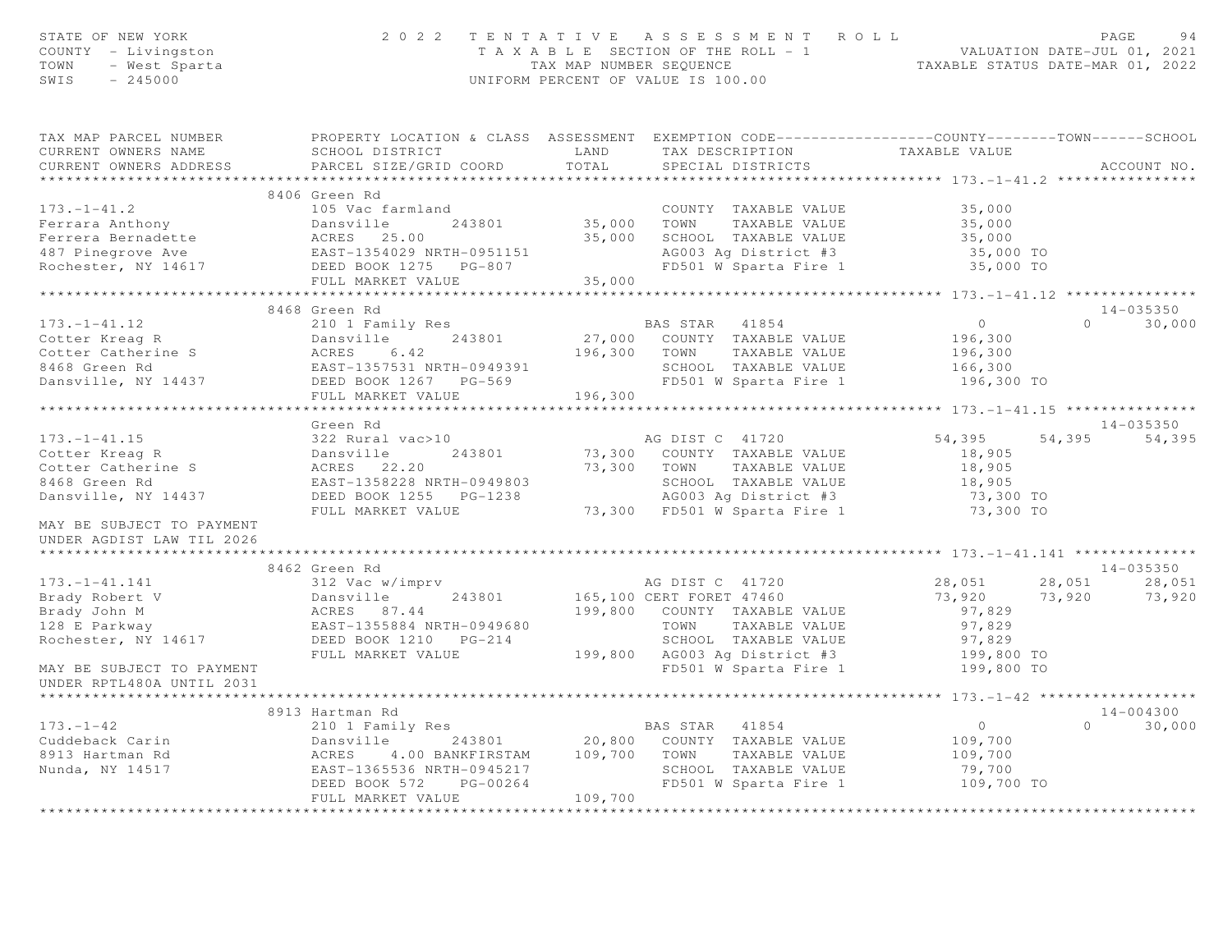| STATE OF NEW YORK<br>COUNTY - Livingston<br>TOWN<br>- West Sparta<br>SWIS<br>$-245000$                                                                                                    | 2 0 2 2                                                       |              | TENTATIVE ASSESSMENT ROLL<br>T A X A B L E SECTION OF THE ROLL - 1 VALUATION DATE-JUL 01, 2021<br>TAX MAP NUMBER SEQUENCE TAXABLE STATUS DATE-MAR 01, 2022<br>UNIFORM PERCENT OF VALUE IS 100.00 |                   |          | PAGE<br>94    |
|-------------------------------------------------------------------------------------------------------------------------------------------------------------------------------------------|---------------------------------------------------------------|--------------|--------------------------------------------------------------------------------------------------------------------------------------------------------------------------------------------------|-------------------|----------|---------------|
| TAX MAP PARCEL NUMBER THE PROPERTY LOCATION & CLASS ASSESSMENT EXEMPTION CODE--------------COUNTY-------TOWN------SCHOOL                                                                  |                                                               |              |                                                                                                                                                                                                  |                   |          |               |
| CURRENT OWNERS NAME                                                                                                                                                                       | SCHOOL DISTRICT                                               | LAND         | TAX DESCRIPTION                                                                                                                                                                                  | TAXABLE VALUE     |          |               |
| CURRENT OWNERS ADDRESS                                                                                                                                                                    | PARCEL SIZE/GRID COORD                                        | TOTAL        | SPECIAL DISTRICTS                                                                                                                                                                                |                   |          | ACCOUNT NO.   |
|                                                                                                                                                                                           |                                                               |              |                                                                                                                                                                                                  |                   |          |               |
|                                                                                                                                                                                           | 8406 Green Rd<br>105 Vac farmland                             |              |                                                                                                                                                                                                  |                   |          |               |
| $173. - 1 - 41.2$                                                                                                                                                                         | Dansville<br>243801                                           |              | COUNTY TAXABLE VALUE<br>TAXABLE VALUE                                                                                                                                                            | 35,000<br>35,000  |          |               |
| Ferrara Anthony                                                                                                                                                                           |                                                               | 35,000 TOWN  | 35,000 SCHOOL TAXABLE VALUE                                                                                                                                                                      | 35,000            |          |               |
|                                                                                                                                                                                           |                                                               |              | AG003 Ag District #3                                                                                                                                                                             | 35,000 TO         |          |               |
|                                                                                                                                                                                           |                                                               |              | FD501 W Sparta Fire 1                                                                                                                                                                            | 35,000 TO         |          |               |
| Ferrara Anthony<br>Ferrera Bernadette (ERS 25.00<br>487 Pinegrove Ave (EAST-1354029 NRTH-0951151<br>Rochester, NY 14617 (DEED BOOK 1275 PG-807<br>FULL MARKET VALUE                       | FULL MARKET VALUE                                             | 35,000       |                                                                                                                                                                                                  |                   |          |               |
|                                                                                                                                                                                           | ****************************                                  |              |                                                                                                                                                                                                  |                   |          |               |
|                                                                                                                                                                                           | 8468 Green Rd                                                 |              |                                                                                                                                                                                                  |                   |          | $14 - 035350$ |
| $173. - 1 - 41.12$                                                                                                                                                                        | 210 1 Family Res                                              |              | BAS STAR 41854                                                                                                                                                                                   | $\overline{0}$    | $\Omega$ | 30,000        |
|                                                                                                                                                                                           |                                                               |              | 27,000 COUNTY TAXABLE VALUE                                                                                                                                                                      | 196,300           |          |               |
|                                                                                                                                                                                           |                                                               | 196,300 TOWN | TAXABLE VALUE                                                                                                                                                                                    | 196,300           |          |               |
| Cotter Kreag R<br>Cotter Catherine S<br>8468 Green Rd<br>DANSY 14437<br>DEED BOOK 1267 -1357531 NRTH-0949391<br>DEED BOOK 1267 -1357531 NRTH-0949391<br>DEED BOOK 1267 -1271 NRTH-0949391 |                                                               |              | SCHOOL TAXABLE VALUE                                                                                                                                                                             | 166,300           |          |               |
|                                                                                                                                                                                           |                                                               |              | FD501 W Sparta Fire 1                                                                                                                                                                            | 196,300 TO        |          |               |
|                                                                                                                                                                                           | FULL MARKET VALUE                                             | 196,300      |                                                                                                                                                                                                  |                   |          |               |
|                                                                                                                                                                                           |                                                               |              |                                                                                                                                                                                                  |                   |          |               |
|                                                                                                                                                                                           | Green Rd                                                      |              |                                                                                                                                                                                                  |                   |          | 14-035350     |
| $173. - 1 - 41.15$                                                                                                                                                                        | 322 Rural vac>10                                              |              | AG DIST C 41720                                                                                                                                                                                  | 54,395            | 54,395   | 54,395        |
| Cotter Kreag R<br>Cotter Catherine S                                                                                                                                                      | 322 Rural<br>Dansville<br>ACRES 22<br>FAST 13593<br>243801    |              | 73,300 COUNTY TAXABLE VALUE                                                                                                                                                                      | 18,905            |          |               |
| 8468 Green Rd                                                                                                                                                                             | ACRES 22.20<br>EAST-1358228 NRTH-0949803                      |              | 73,300 TOWN TAXABLE VALUE<br>SCHOOL TAXABLE VALUE                                                                                                                                                | 18,905<br>18,905  |          |               |
| Dansville, NY 14437                                                                                                                                                                       | DEED BOOK 1255 PG-1238                                        |              | AG003 Ag District #3                                                                                                                                                                             | 73,300 TO         |          |               |
|                                                                                                                                                                                           | FULL MARKET VALUE                                             |              | 73,300 FD501 W Sparta Fire 1                                                                                                                                                                     | 73,300 TO         |          |               |
| MAY BE SUBJECT TO PAYMENT<br>UNDER AGDIST LAW TIL 2026                                                                                                                                    |                                                               |              |                                                                                                                                                                                                  |                   |          |               |
|                                                                                                                                                                                           |                                                               |              |                                                                                                                                                                                                  |                   |          |               |
|                                                                                                                                                                                           | 8462 Green Rd                                                 |              |                                                                                                                                                                                                  |                   |          | 14-035350     |
| $173. - 1 - 41.141$                                                                                                                                                                       | 312 Vac w/imprv                                               |              | AG DIST C 41720                                                                                                                                                                                  | 28,051            | 28,051   | 28,051        |
| Brady Robert V                                                                                                                                                                            | 243801<br>Dansville                                           |              | 165,100 CERT FORET 47460                                                                                                                                                                         | 73,920            | 73,920   | 73,920        |
| Brady John M                                                                                                                                                                              | ACRES 87.44<br>EAST-1355884 NRTH-0949680                      |              | 199,800 COUNTY TAXABLE VALUE                                                                                                                                                                     | 97,829            |          |               |
| 128 E Parkway                                                                                                                                                                             |                                                               |              | TOWN<br>TAXABLE VALUE                                                                                                                                                                            | 97,829            |          |               |
| Rochester, NY 14617                                                                                                                                                                       | DEED BOOK 1210 PG-214                                         |              | SCHOOL TAXABLE VALUE                                                                                                                                                                             | 97,829            |          |               |
|                                                                                                                                                                                           | FULL MARKET VALUE                                             |              | 199,800 AG003 Ag District #3                                                                                                                                                                     | 199,800 TO        |          |               |
| MAY BE SUBJECT TO PAYMENT<br>UNDER RPTL480A UNTIL 2031                                                                                                                                    |                                                               |              | FD501 W Sparta Fire 1                                                                                                                                                                            | 199,800 TO        |          |               |
|                                                                                                                                                                                           |                                                               |              |                                                                                                                                                                                                  |                   |          |               |
|                                                                                                                                                                                           | 8913 Hartman Rd<br>210 1 Family Res                           |              |                                                                                                                                                                                                  |                   |          | 14-004300     |
| $173. - 1 - 42$                                                                                                                                                                           |                                                               |              | BAS STAR 41854                                                                                                                                                                                   | $\circ$           | $\Omega$ | 30,000        |
| Cuddeback Carin                                                                                                                                                                           | 243801<br>Dansville<br>4.00 BANKFIRSTAM 109,700 TOWN<br>ACRES |              | 20,800 COUNTY TAXABLE VALUE<br>TAXABLE VALUE                                                                                                                                                     | 109,700           |          |               |
| 8913 Hartman Rd<br>Nunda, NY 14517                                                                                                                                                        | EAST-1365536 NRTH-0945217                                     |              | SCHOOL TAXABLE VALUE                                                                                                                                                                             | 109,700<br>79,700 |          |               |
|                                                                                                                                                                                           | DEED BOOK 572<br>PG-00264                                     |              | FD501 W Sparta Fire 1                                                                                                                                                                            | 109,700 TO        |          |               |
|                                                                                                                                                                                           | FULL MARKET VALUE                                             | 109,700      |                                                                                                                                                                                                  |                   |          |               |
|                                                                                                                                                                                           |                                                               |              |                                                                                                                                                                                                  |                   |          |               |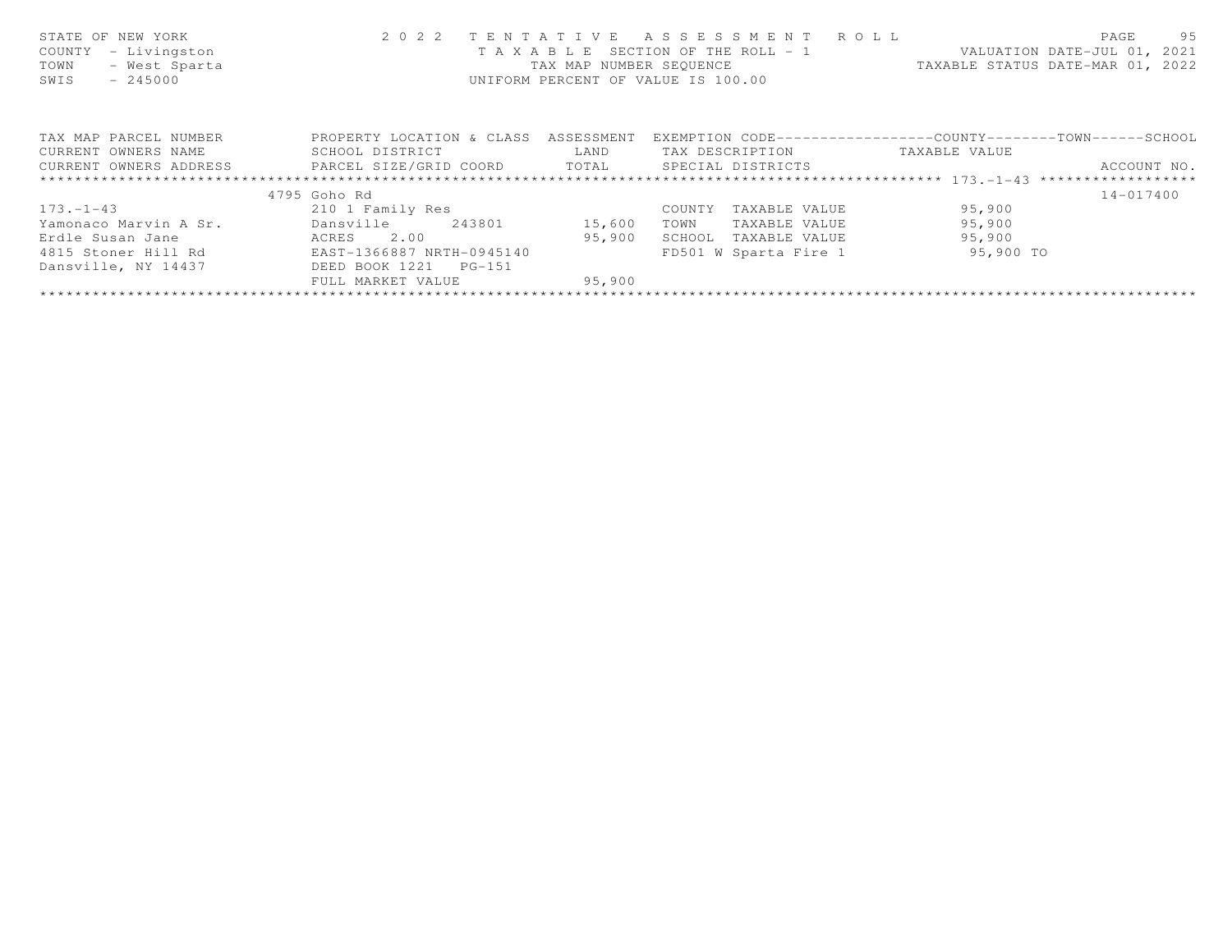| STATE OF NEW YORK<br>- Livingston<br>COUNTY<br>- West Sparta<br>TOWN<br>$-245000$<br>SWIS | 2 0 2 2                      | TENTATIVE<br>TAXABLE<br>TAX MAP NUMBER SEQUENCE | ASSESSMENT ROLL<br>SECTION OF THE ROLL - 1<br>UNIFORM PERCENT OF VALUE IS 100.00 | VALUATION DATE-JUL 01, 2021<br>TAXABLE STATUS DATE-MAR 01, 2022 | 95<br>PAGE    |
|-------------------------------------------------------------------------------------------|------------------------------|-------------------------------------------------|----------------------------------------------------------------------------------|-----------------------------------------------------------------|---------------|
| TAX MAP PARCEL NUMBER                                                                     | PROPERTY LOCATION & CLASS    | ASSESSMENT                                      | EXEMPTION CODE----------------COUNTY-------TOWN-----SCHOOL                       |                                                                 |               |
| CURRENT OWNERS NAME                                                                       | SCHOOL DISTRICT              | LAND                                            | TAX DESCRIPTION                                                                  | TAXABLE VALUE                                                   |               |
| CURRENT OWNERS ADDRESS                                                                    | PARCEL SIZE/GRID COORD TOTAL |                                                 | SPECIAL DISTRICTS                                                                |                                                                 | ACCOUNT NO.   |
|                                                                                           |                              |                                                 |                                                                                  |                                                                 |               |
|                                                                                           | 4795 Goho Rd                 |                                                 |                                                                                  |                                                                 | $14 - 017400$ |
| $173. - 1 - 43$                                                                           | 210 1 Family Res             |                                                 | TAXABLE VALUE<br>COUNTY                                                          | 95,900                                                          |               |
| Yamonaco Marvin A Sr.                                                                     | Dansville<br>243801          | 15,600                                          | TOWN<br>TAXABLE VALUE                                                            | 95,900                                                          |               |
| Erdle Susan Jane                                                                          | 2.00<br>ACRES                | 95,900                                          | SCHOOL<br>TAXABLE VALUE                                                          | 95,900                                                          |               |
| 4815 Stoner Hill Rd                                                                       | EAST-1366887 NRTH-0945140    |                                                 | FD501 W Sparta Fire 1                                                            | 95,900 TO                                                       |               |
| Dansville, NY 14437                                                                       | DEED BOOK 1221<br>$PG-151$   |                                                 |                                                                                  |                                                                 |               |
|                                                                                           | FULL MARKET VALUE            | 95,900                                          |                                                                                  |                                                                 |               |
|                                                                                           |                              |                                                 |                                                                                  |                                                                 |               |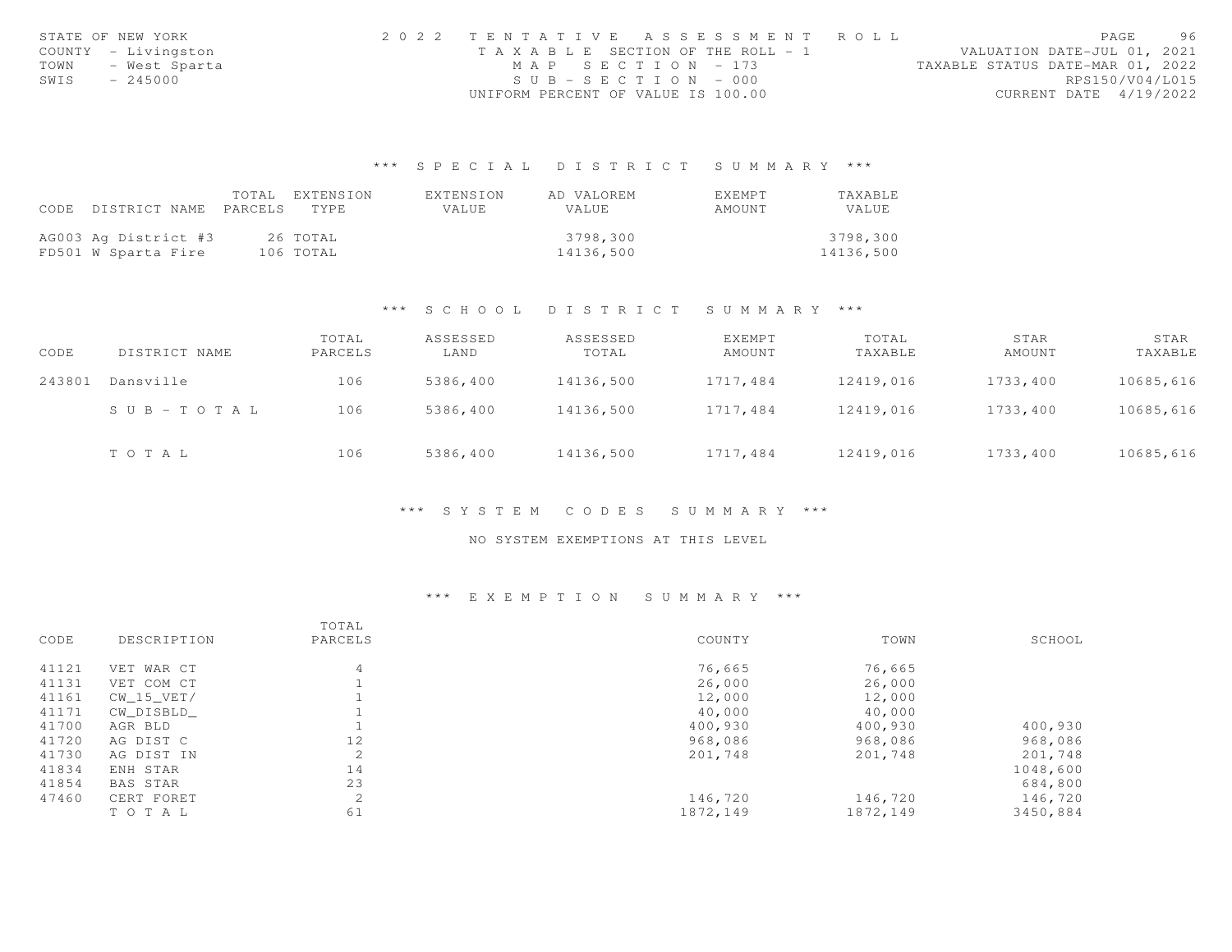|      | STATE OF NEW YORK   | 2022 TENTATIVE ASSESSMENT ROLL        |  |  |                                  |                        | PAGE | 96 |
|------|---------------------|---------------------------------------|--|--|----------------------------------|------------------------|------|----|
|      | COUNTY - Livingston | T A X A B L E SECTION OF THE ROLL - 1 |  |  | VALUATION DATE-JUL 01, 2021      |                        |      |    |
| TOWN | - West Sparta       | MAP SECTION - 173                     |  |  | TAXABLE STATUS DATE-MAR 01, 2022 |                        |      |    |
| SWIS | $-245000$           | $SUB - SECTION - 000$                 |  |  |                                  | RPS150/V04/L015        |      |    |
|      |                     | UNIFORM PERCENT OF VALUE IS 100.00    |  |  |                                  | CURRENT DATE 4/19/2022 |      |    |

## \*\*\* S P E C I A L D I S T R I C T S U M M A R Y \*\*\*

|      |                       | TOTAL EXTENSION | EXTENSION    | AD VALOREM   | EXEMPT | <b>TAXABLE</b> |
|------|-----------------------|-----------------|--------------|--------------|--------|----------------|
| CODE | DISTRICT NAME PARCELS | <b>TYPE</b>     | <b>VALUE</b> | <b>VALUE</b> | AMOUNT | VALUE          |
|      |                       |                 |              |              |        |                |
|      | AG003 Ag District #3  | 26 TOTAL        |              | 3798,300     |        | 3798,300       |
|      | FD501 W Sparta Fire   | 106 TOTAL       |              | 14136,500    |        | 14136,500      |

### \*\*\* S C H O O L D I S T R I C T S U M M A R Y \*\*\*

| CODE   | DISTRICT NAME          | TOTAL<br>PARCELS | ASSESSED<br>LAND | ASSESSED<br>TOTAL | EXEMPT<br>AMOUNT | TOTAL<br>TAXABLE | STAR<br>AMOUNT | STAR<br>TAXABLE |
|--------|------------------------|------------------|------------------|-------------------|------------------|------------------|----------------|-----------------|
| 243801 | Dansville              | 106              | 5386,400         | 14136,500         | 1717.484         | 12419,016        | 1733,400       | 10685,616       |
|        | $S \cup B - T O T A L$ | 106              | 5386,400         | 14136,500         | 1717.484         | 12419,016        | 1733,400       | 10685,616       |
|        | TOTAL                  | 106              | 5386,400         | 14136,500         | 1717,484         | 12419,016        | 1733,400       | 10685,616       |

### \*\*\* S Y S T E M C O D E S S U M M A R Y \*\*\*

### NO SYSTEM EXEMPTIONS AT THIS LEVEL

## \*\*\* E X E M P T I O N S U M M A R Y \*\*\*

|       |                 | TOTAL   |          |          |          |
|-------|-----------------|---------|----------|----------|----------|
| CODE  | DESCRIPTION     | PARCELS | COUNTY   | TOWN     | SCHOOL   |
| 41121 | VET WAR CT      | 4       | 76,665   | 76,665   |          |
| 41131 | VET COM CT      |         | 26,000   | 26,000   |          |
| 41161 | CW 15 VET/      |         | 12,000   | 12,000   |          |
| 41171 | CW DISBLD       |         | 40,000   | 40,000   |          |
| 41700 | AGR BLD         |         | 400,930  | 400,930  | 400,930  |
| 41720 | AG DIST C       | 12      | 968,086  | 968,086  | 968,086  |
| 41730 | AG DIST IN      | 2       | 201,748  | 201,748  | 201,748  |
| 41834 | ENH STAR        | 14      |          |          | 1048,600 |
| 41854 | <b>BAS STAR</b> | 23      |          |          | 684,800  |
| 47460 | CERT FORET      | 2       | 146,720  | 146,720  | 146,720  |
|       | TO TAL          | 61      | 1872,149 | 1872,149 | 3450,884 |
|       |                 |         |          |          |          |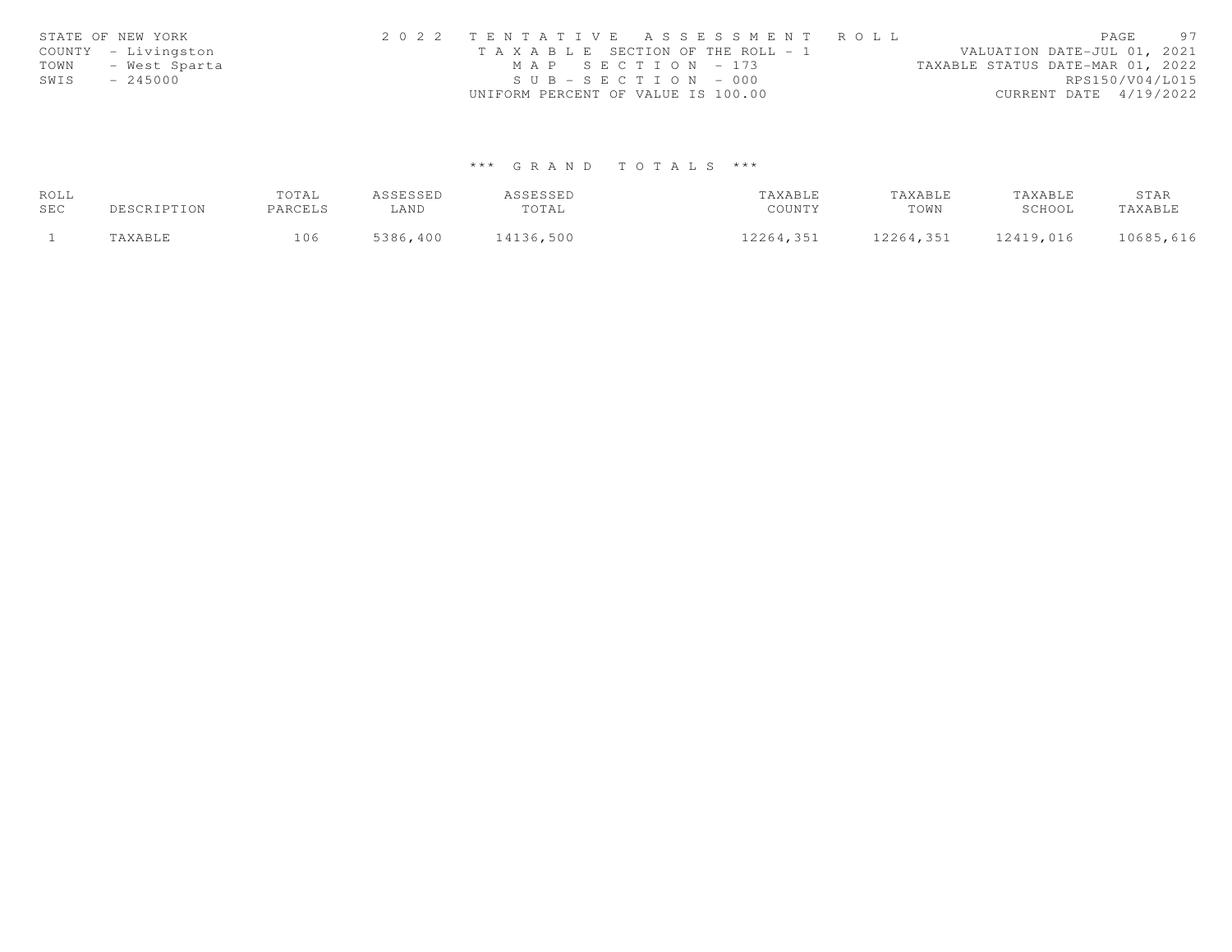|      | STATE OF NEW YORK   | 2022 TENTATIVE ASSESSMENT ROLL        | 97<br>PAGE                       |
|------|---------------------|---------------------------------------|----------------------------------|
|      | COUNTY - Livingston | T A X A B L E SECTION OF THE ROLL - 1 | VALUATION DATE-JUL 01, 2021      |
| TOWN | - West Sparta       | MAP SECTION - 173                     | TAXABLE STATUS DATE-MAR 01, 2022 |
| SWIS | $-245000$           | $SUB - SECTION - 000$                 | RPS150/V04/L015                  |
|      |                     | UNIFORM PERCENT OF VALUE IS 100.00    | CURRENT DATE 4/19/2022           |

# \*\*\* G R A N D T O T A L S \*\*\*

| ROLL |             | TOTAL   | ASSESSED | ASSESSED  | TAXABLE   | TAXABLE   | TAXABLE   | STAR      |
|------|-------------|---------|----------|-----------|-----------|-----------|-----------|-----------|
| SEC  | DESCRIPTION | PARCELS | ∟AND     | TOTAL     | COUNTY    | TOWN      | SCHOOL    | TAXABLE   |
|      | TAXABLE     | 106     | 5386,400 | 14136,500 | 12264,351 | 12264,351 | 12419,016 | 10685,616 |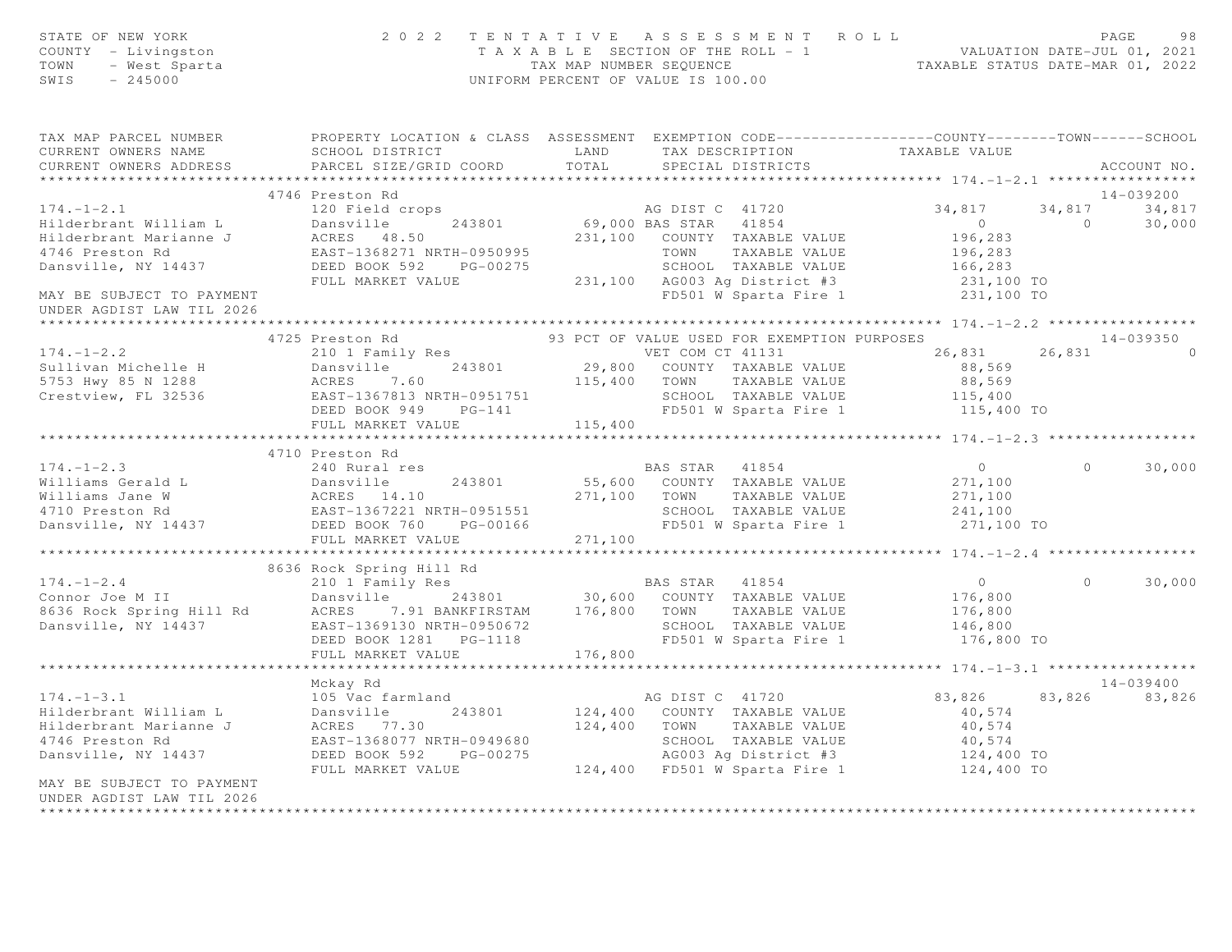| STATE OF NEW YORK<br>COUNTY - Livingston<br>TOWN - West Sparta<br>245000                                                                                                                                                                           |                 | 2022 TENTATIVE ASSESSMENT ROLL PAGE 98<br>TAXABLE SECTION OF THE ROLL - 1 VALUATION DATE-JUL 01, 2021<br>TAX MAP NUMBER SEQUENCE TAXABLE STATUS DATE-MAR 01, 2022<br>UNIFORM PERCENT OF VALUE IS 100.00 |                           |          |               |
|----------------------------------------------------------------------------------------------------------------------------------------------------------------------------------------------------------------------------------------------------|-----------------|---------------------------------------------------------------------------------------------------------------------------------------------------------------------------------------------------------|---------------------------|----------|---------------|
| TAX MAP PARCEL NUMBER               PROPERTY LOCATION & CLASS ASSESSMENT EXEMPTION CODE-----------------COUNTY-------TOWN------SCHOOL CURRENT OWNERS NAME                            SCHOOL DISTRICT                                               |                 |                                                                                                                                                                                                         |                           |          |               |
|                                                                                                                                                                                                                                                    |                 |                                                                                                                                                                                                         |                           |          |               |
|                                                                                                                                                                                                                                                    | 4746 Preston Rd |                                                                                                                                                                                                         |                           |          | 14-039200     |
|                                                                                                                                                                                                                                                    |                 |                                                                                                                                                                                                         |                           |          | 34,817 34,817 |
|                                                                                                                                                                                                                                                    |                 |                                                                                                                                                                                                         | $0$<br>196,283<br>196,283 |          | 30,000        |
|                                                                                                                                                                                                                                                    |                 |                                                                                                                                                                                                         |                           |          |               |
| UNDER AGDIST LAW TIL 2026                                                                                                                                                                                                                          |                 |                                                                                                                                                                                                         |                           |          |               |
| *********************                                                                                                                                                                                                                              |                 |                                                                                                                                                                                                         |                           |          |               |
| 4725 Presion Rd<br>4725 Presion Rd<br>4725 Presion Rd<br>2010 I Family Res<br>2010 I Family Res<br>2010 I Family Res<br>2010 I Family Res<br>2010 29,800 COUNTY TAXABLE VALUE<br>29,800 COUNTY TAXABLE VALUE<br>29,800 COUNTY TAXABLE VALUE<br>29, |                 |                                                                                                                                                                                                         |                           |          | $14 - 039350$ |
|                                                                                                                                                                                                                                                    |                 |                                                                                                                                                                                                         |                           |          | $\cap$        |
|                                                                                                                                                                                                                                                    |                 |                                                                                                                                                                                                         |                           |          |               |
|                                                                                                                                                                                                                                                    |                 |                                                                                                                                                                                                         |                           |          |               |
|                                                                                                                                                                                                                                                    |                 |                                                                                                                                                                                                         |                           |          |               |
|                                                                                                                                                                                                                                                    |                 |                                                                                                                                                                                                         |                           |          |               |
|                                                                                                                                                                                                                                                    |                 |                                                                                                                                                                                                         |                           |          |               |
|                                                                                                                                                                                                                                                    |                 |                                                                                                                                                                                                         |                           |          |               |
|                                                                                                                                                                                                                                                    | 4710 Preston Rd |                                                                                                                                                                                                         |                           | $\Omega$ |               |
|                                                                                                                                                                                                                                                    |                 |                                                                                                                                                                                                         |                           |          | 30,000        |
|                                                                                                                                                                                                                                                    |                 |                                                                                                                                                                                                         |                           |          |               |
|                                                                                                                                                                                                                                                    |                 |                                                                                                                                                                                                         |                           |          |               |
|                                                                                                                                                                                                                                                    |                 |                                                                                                                                                                                                         |                           |          |               |
| 174.-1-2.3<br>Williams Gerald L 243801<br>24710 Preston Rd EAST-1367221 NRTH-0951551<br>Dansville BAS 14.10<br>271,100 TOWN TAXABLE VALUE 271,100<br>271,100 TOWN TAXABLE VALUE 271,100<br>271,100 TOWN TAXABLE VALUE 271,100<br>271,100 TO        |                 |                                                                                                                                                                                                         |                           |          |               |
|                                                                                                                                                                                                                                                    |                 |                                                                                                                                                                                                         |                           |          |               |
|                                                                                                                                                                                                                                                    |                 |                                                                                                                                                                                                         |                           |          |               |
|                                                                                                                                                                                                                                                    |                 |                                                                                                                                                                                                         |                           |          | $0 \t 30,000$ |
|                                                                                                                                                                                                                                                    |                 |                                                                                                                                                                                                         |                           |          |               |
|                                                                                                                                                                                                                                                    |                 |                                                                                                                                                                                                         |                           |          |               |
|                                                                                                                                                                                                                                                    |                 |                                                                                                                                                                                                         |                           |          |               |
|                                                                                                                                                                                                                                                    |                 |                                                                                                                                                                                                         |                           |          |               |
| 8636 Rock Spring Hill Rd<br>8636 Rock Spring Hill Rd<br>210 1 Family Res<br>21801 30,600 COUNTY TAXABLE VALUE 176,800<br>8636 Rock Spring Hill Rd<br>8636 Rock Spring Hill Rd<br>243801 30,600 COUNTY TAXABLE VALUE 176,800<br>243801 176,80       |                 |                                                                                                                                                                                                         |                           |          |               |
|                                                                                                                                                                                                                                                    | Mckay Rd        |                                                                                                                                                                                                         |                           |          | 14-039400     |
|                                                                                                                                                                                                                                                    |                 |                                                                                                                                                                                                         | 83,826 83,826 83,826      |          |               |
|                                                                                                                                                                                                                                                    |                 |                                                                                                                                                                                                         |                           |          |               |
|                                                                                                                                                                                                                                                    |                 |                                                                                                                                                                                                         |                           |          |               |
|                                                                                                                                                                                                                                                    |                 |                                                                                                                                                                                                         |                           |          |               |
|                                                                                                                                                                                                                                                    |                 |                                                                                                                                                                                                         |                           |          |               |
| 174.-1-3.1  Hilderbrant William L 105 Vac farmland<br>Hilderbrant William L 105 Vac farmland<br>Hilderbrant Marianne J 200 213801 124,400 COUNTY TAXABLE VALUE 40,574<br>Hilderbrant Marianne J 200 213801 124,400 TOWN TAXABLE VALU               |                 |                                                                                                                                                                                                         |                           |          |               |
| MAY BE SUBJECT TO PAYMENT<br>UNDER AGDIST LAW TIL 2026                                                                                                                                                                                             |                 |                                                                                                                                                                                                         |                           |          |               |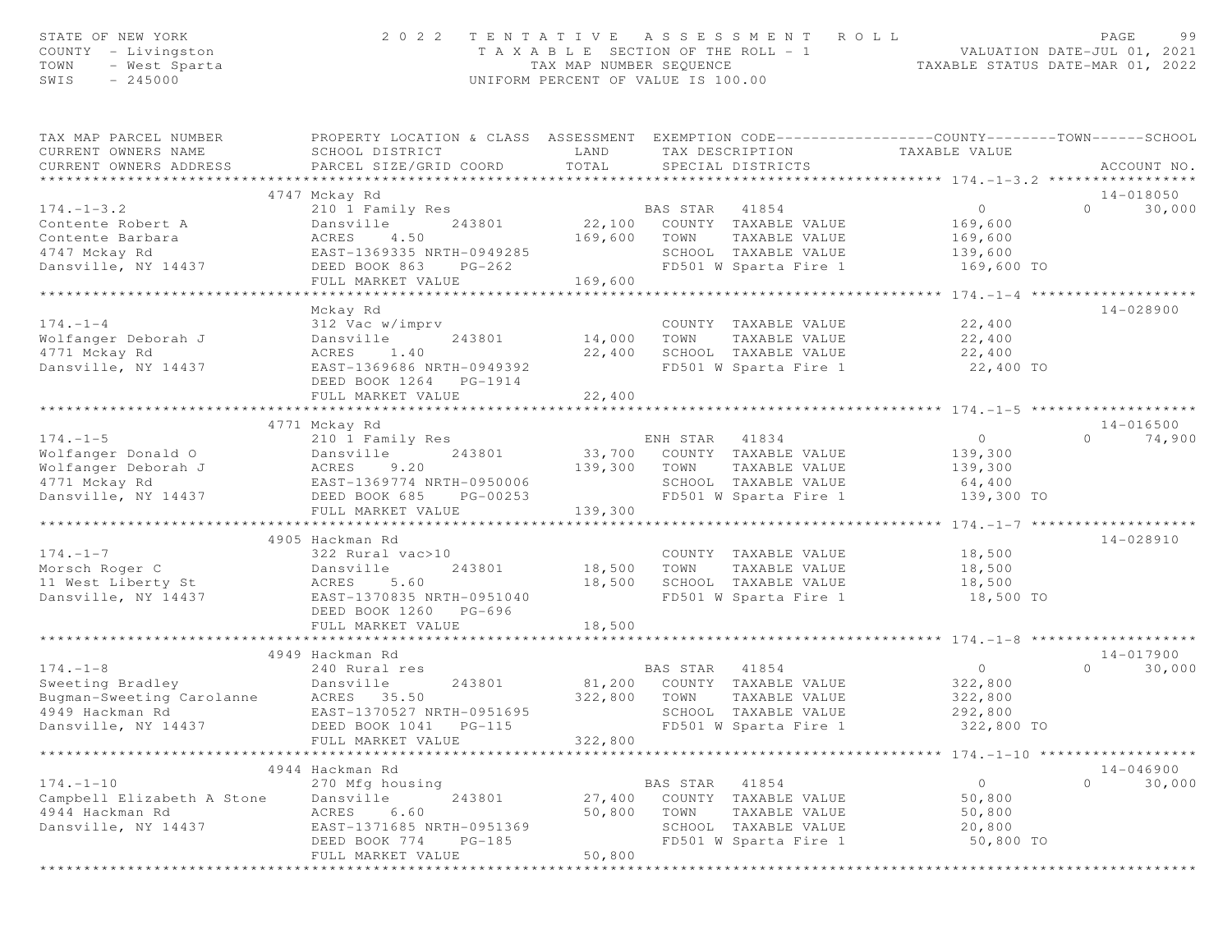| STATE OF NEW YORK<br>COUNTY - Livingston<br>TOWN<br>- West Sparta<br>SWIS<br>$-245000$ | 2 0 2 2                                                                                                                                      | TAX MAP NUMBER SEQUENCE | TENTATIVE ASSESSMENT<br>T A X A B L E SECTION OF THE ROLL - 1<br>UNIFORM PERCENT OF VALUE IS 100.00 | ROLL<br>TAXABLE STATUS DATE-MAR 01, 2022                     | PAGE<br>99<br>VALUATION DATE-JUL 01, 2021 |
|----------------------------------------------------------------------------------------|----------------------------------------------------------------------------------------------------------------------------------------------|-------------------------|-----------------------------------------------------------------------------------------------------|--------------------------------------------------------------|-------------------------------------------|
| TAX MAP PARCEL NUMBER<br>CURRENT OWNERS NAME<br>CURRENT OWNERS ADDRESS                 | PROPERTY LOCATION & CLASS ASSESSMENT EXEMPTION CODE---------------COUNTY-------TOWN------SCHOOL<br>SCHOOL DISTRICT<br>PARCEL SIZE/GRID COORD | LAND<br>TOTAL           | TAX DESCRIPTION<br>SPECIAL DISTRICTS<br>********************************                            | TAXABLE VALUE                                                | ACCOUNT NO.                               |
|                                                                                        | 4747 Mckay Rd                                                                                                                                |                         |                                                                                                     | ********************* 174.-1-3.2 *********                   | 14-018050                                 |
| $174. - 1 - 3.2$                                                                       | 210 1 Family Res                                                                                                                             |                         | BAS STAR 41854                                                                                      | $\circ$                                                      | $\Omega$<br>30,000                        |
| Contente Robert A                                                                      | Dansville<br>243801                                                                                                                          | 22,100                  | COUNTY TAXABLE VALUE                                                                                | 169,600                                                      |                                           |
| Contente Barbara                                                                       | 4.50<br>ACRES                                                                                                                                | 169,600                 | TOWN<br>TAXABLE VALUE                                                                               | 169,600                                                      |                                           |
| 4747 Mckay Rd                                                                          | EAST-1369335 NRTH-0949285                                                                                                                    |                         | SCHOOL TAXABLE VALUE                                                                                | 139,600                                                      |                                           |
| Dansville, NY 14437                                                                    | DEED BOOK 863<br>$PG-262$                                                                                                                    |                         | FD501 W Sparta Fire 1                                                                               | 169,600 TO                                                   |                                           |
|                                                                                        | FULL MARKET VALUE                                                                                                                            | 169,600                 |                                                                                                     |                                                              |                                           |
|                                                                                        | *******************************                                                                                                              |                         | *******************************                                                                     | ************** 174. -1-4 ********************                |                                           |
| $174. - 1 - 4$                                                                         | Mckay Rd<br>312 Vac w/imprv                                                                                                                  |                         | COUNTY TAXABLE VALUE                                                                                | 22,400                                                       | 14-028900                                 |
| Wolfanger Deborah J                                                                    | Dansville<br>243801                                                                                                                          | 14,000                  | TOWN<br>TAXABLE VALUE                                                                               | 22,400                                                       |                                           |
| 4771 Mckay Rd                                                                          | ACRES<br>1.40                                                                                                                                | 22,400                  | SCHOOL TAXABLE VALUE                                                                                | 22,400                                                       |                                           |
| Dansville, NY 14437                                                                    | EAST-1369686 NRTH-0949392                                                                                                                    |                         | FD501 W Sparta Fire 1                                                                               | 22,400 TO                                                    |                                           |
|                                                                                        | DEED BOOK 1264 PG-1914                                                                                                                       |                         |                                                                                                     |                                                              |                                           |
|                                                                                        | FULL MARKET VALUE                                                                                                                            | 22,400                  |                                                                                                     |                                                              |                                           |
|                                                                                        | *****************************                                                                                                                | *************           |                                                                                                     |                                                              |                                           |
|                                                                                        | 4771 Mckay Rd                                                                                                                                |                         |                                                                                                     |                                                              | 14-016500                                 |
| $174. - 1 - 5$                                                                         | 210 1 Family Res                                                                                                                             |                         | ENH STAR<br>41834                                                                                   | $\circ$                                                      | $\Omega$<br>74,900                        |
| Wolfanger Donald O                                                                     | 243801<br>Dansville                                                                                                                          |                         | 33,700 COUNTY TAXABLE VALUE                                                                         | 139,300                                                      |                                           |
| Wolfanger Deborah J                                                                    | ACRES<br>9.20                                                                                                                                | 139,300                 | TOWN<br>TAXABLE VALUE                                                                               | 139,300                                                      |                                           |
| 4771 Mckay Rd                                                                          | EAST-1369774 NRTH-0950006                                                                                                                    |                         | SCHOOL TAXABLE VALUE                                                                                | 64,400                                                       |                                           |
| Dansville, NY 14437                                                                    | DEED BOOK 685<br>PG-00253<br>FULL MARKET VALUE                                                                                               | 139,300                 | FD501 W Sparta Fire 1                                                                               | 139,300 TO                                                   |                                           |
|                                                                                        |                                                                                                                                              |                         |                                                                                                     | $174. - 1 - 7$                                               |                                           |
|                                                                                        | 4905 Hackman Rd                                                                                                                              |                         |                                                                                                     |                                                              | 14-028910                                 |
| $174. - 1 - 7$                                                                         | 322 Rural vac>10                                                                                                                             |                         | COUNTY TAXABLE VALUE                                                                                | 18,500                                                       |                                           |
| Morsch Roger C                                                                         | 243801<br>Dansville                                                                                                                          | 18,500                  | TOWN<br>TAXABLE VALUE                                                                               | 18,500                                                       |                                           |
| 11 West Liberty St                                                                     | ACRES<br>5.60                                                                                                                                | 18,500                  | SCHOOL TAXABLE VALUE                                                                                | 18,500                                                       |                                           |
| Dansville, NY 14437                                                                    | EAST-1370835 NRTH-0951040                                                                                                                    |                         | FD501 W Sparta Fire 1                                                                               | 18,500 TO                                                    |                                           |
|                                                                                        | DEED BOOK 1260 PG-696                                                                                                                        |                         |                                                                                                     |                                                              |                                           |
|                                                                                        | FULL MARKET VALUE<br>************************                                                                                                | 18,500                  |                                                                                                     |                                                              |                                           |
|                                                                                        |                                                                                                                                              |                         |                                                                                                     |                                                              |                                           |
| $174. - 1 - 8$                                                                         | 4949 Hackman Rd<br>240 Rural res                                                                                                             |                         | BAS STAR 41854                                                                                      | $\circ$                                                      | 14-017900<br>30,000<br>$\Omega$           |
| Sweeting Bradley                                                                       | Dansville<br>243801                                                                                                                          | 81,200                  | COUNTY TAXABLE VALUE                                                                                | 322,800                                                      |                                           |
| Bugman-Sweeting Carolanne                                                              | ACRES 35.50                                                                                                                                  | 322,800                 | TOWN<br>TAXABLE VALUE                                                                               | 322,800                                                      |                                           |
| 4949 Hackman Rd                                                                        | EAST-1370527 NRTH-0951695                                                                                                                    |                         | SCHOOL TAXABLE VALUE                                                                                | 292,800                                                      |                                           |
| Dansville, NY 14437                                                                    | DEED BOOK 1041<br>$PG-115$                                                                                                                   |                         | FD501 W Sparta Fire 1                                                                               | 322,800 TO                                                   |                                           |
|                                                                                        | FULL MARKET VALUE                                                                                                                            | 322,800                 |                                                                                                     |                                                              |                                           |
| ****************                                                                       |                                                                                                                                              |                         |                                                                                                     | ******************************** 174.110 ******************* |                                           |
|                                                                                        | 4944 Hackman Rd                                                                                                                              |                         |                                                                                                     |                                                              | $14 - 046900$                             |
| $174. - 1 - 10$                                                                        | 270 Mfg housing                                                                                                                              |                         | BAS STAR<br>41854                                                                                   | $\circ$                                                      | $\circ$<br>30,000                         |
| Campbell Elizabeth A Stone                                                             | 243801<br>Dansville                                                                                                                          | 27,400                  | COUNTY TAXABLE VALUE                                                                                | 50,800                                                       |                                           |
| 4944 Hackman Rd                                                                        | 6.60<br>ACRES                                                                                                                                | 50,800                  | TOWN<br>TAXABLE VALUE                                                                               | 50,800                                                       |                                           |
| Dansville, NY 14437                                                                    | EAST-1371685 NRTH-0951369                                                                                                                    |                         | SCHOOL TAXABLE VALUE                                                                                | 20,800                                                       |                                           |
|                                                                                        | DEED BOOK 774<br>$PG-185$                                                                                                                    |                         | FD501 W Sparta Fire 1                                                                               | 50,800 TO                                                    |                                           |
|                                                                                        | FULL MARKET VALUE                                                                                                                            | 50,800                  |                                                                                                     |                                                              |                                           |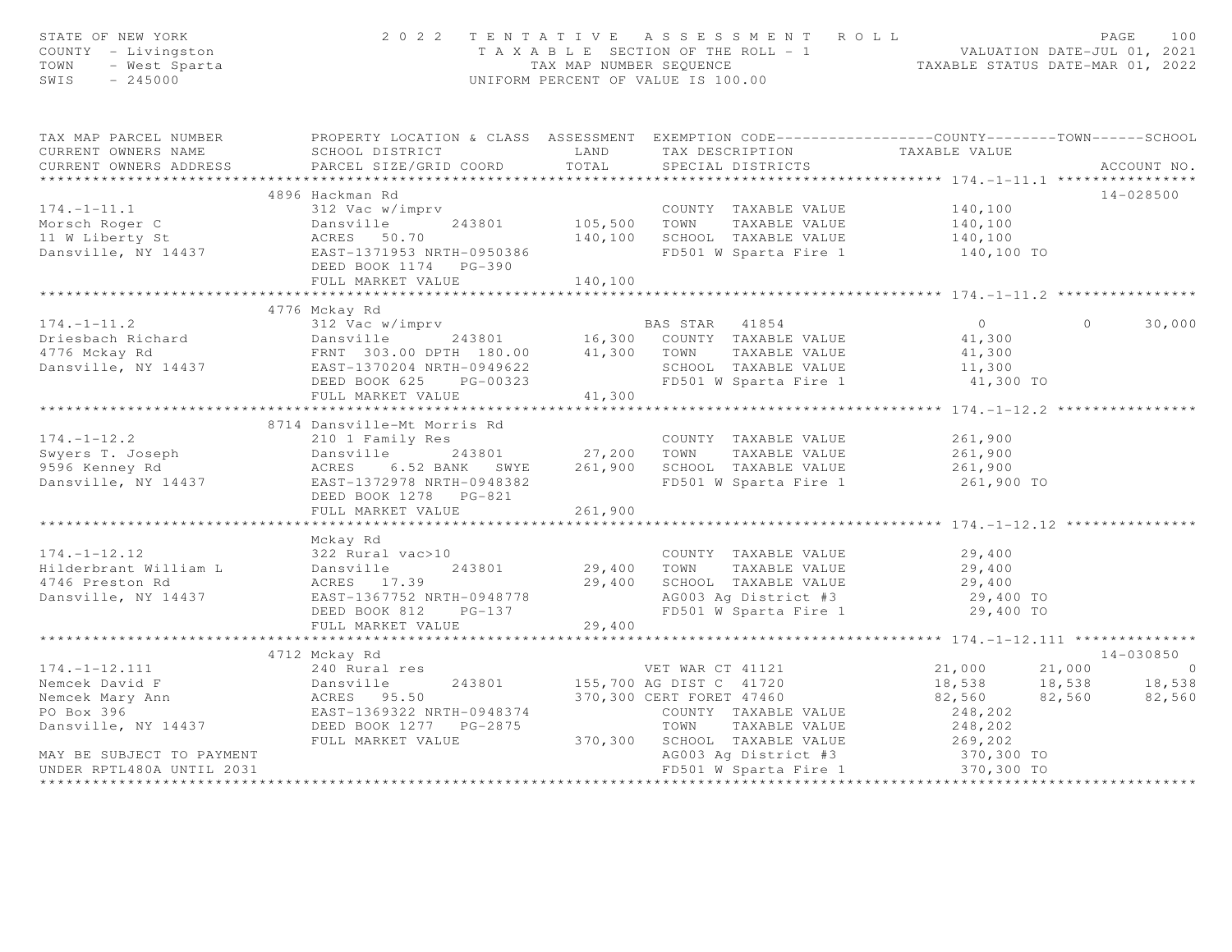| STATE OF NEW YORK<br>COUNTY - Livingston<br>TOWN - West Sparta<br>245000                                                                                                                                                           |                                                                                                                                                                                                                                            |         | 2022 TENTATIVE ASSESSMENT ROLL<br>T A X A B L E SECTION OF THE ROLL - 1<br>TAX MAP NUMBER SEQUENCE<br>TAXABLE STATUS DATE-MAR 01, 2022<br>UNIFORM PERCENT OF VALUE IS 100.00 |                                                                 | PAGE<br>100        |
|------------------------------------------------------------------------------------------------------------------------------------------------------------------------------------------------------------------------------------|--------------------------------------------------------------------------------------------------------------------------------------------------------------------------------------------------------------------------------------------|---------|------------------------------------------------------------------------------------------------------------------------------------------------------------------------------|-----------------------------------------------------------------|--------------------|
| TAX MAP PARCEL NUMBER FROPERTY LOCATION & CLASS ASSESSMENT EXEMPTION CODE---------------COUNTY--------TOWN------SCHOOL                                                                                                             |                                                                                                                                                                                                                                            |         |                                                                                                                                                                              |                                                                 |                    |
| CURRENT OWNERS NAME<br>CURRENT OWNERS ADDRESS                                                                                                                                                                                      | SCHOOL DISTRICT                     LAND         TAX DESCRIPTION                   TAXABLE VALUE<br>PARCEL SIZE/GRID COORD TOTAL                                                                                                           |         | SPECIAL DISTRICTS                                                                                                                                                            |                                                                 | ACCOUNT NO.        |
|                                                                                                                                                                                                                                    |                                                                                                                                                                                                                                            |         |                                                                                                                                                                              |                                                                 |                    |
|                                                                                                                                                                                                                                    | 4896 Hackman Rd                                                                                                                                                                                                                            |         |                                                                                                                                                                              |                                                                 | 14-028500          |
| $174. - 1 - 11.1$                                                                                                                                                                                                                  |                                                                                                                                                                                                                                            |         |                                                                                                                                                                              |                                                                 |                    |
|                                                                                                                                                                                                                                    |                                                                                                                                                                                                                                            |         | COUNTY TAXABLE VALUE 140,100                                                                                                                                                 | 140,100                                                         |                    |
| Morsch Roger C<br>105,500<br>11 W Liberty St<br>243801<br>243801<br>243801<br>243801<br>243801<br>243801<br>243801<br>243801<br>243801<br>243801<br>240,100<br>240,100                                                             |                                                                                                                                                                                                                                            |         |                                                                                                                                                                              |                                                                 |                    |
|                                                                                                                                                                                                                                    |                                                                                                                                                                                                                                            |         | 140,100 IOWN IAABLE VALUE 140,100<br>140,100 SCHOOL TAXABLE VALUE 140,100<br>FD501 W Sparta Fire 1 140,100 TO                                                                |                                                                 |                    |
|                                                                                                                                                                                                                                    |                                                                                                                                                                                                                                            |         |                                                                                                                                                                              |                                                                 |                    |
|                                                                                                                                                                                                                                    | FULL MARKET VALUE                                                                                                                                                                                                                          | 140,100 |                                                                                                                                                                              |                                                                 |                    |
|                                                                                                                                                                                                                                    |                                                                                                                                                                                                                                            |         |                                                                                                                                                                              |                                                                 |                    |
|                                                                                                                                                                                                                                    | 4776 Mckay Rd                                                                                                                                                                                                                              |         |                                                                                                                                                                              |                                                                 |                    |
|                                                                                                                                                                                                                                    |                                                                                                                                                                                                                                            |         |                                                                                                                                                                              | $\overline{0}$                                                  | 30,000<br>$\Omega$ |
|                                                                                                                                                                                                                                    |                                                                                                                                                                                                                                            |         |                                                                                                                                                                              | 41,300                                                          |                    |
|                                                                                                                                                                                                                                    |                                                                                                                                                                                                                                            |         |                                                                                                                                                                              | 41,300<br>11,300                                                |                    |
|                                                                                                                                                                                                                                    |                                                                                                                                                                                                                                            |         |                                                                                                                                                                              |                                                                 |                    |
|                                                                                                                                                                                                                                    |                                                                                                                                                                                                                                            |         |                                                                                                                                                                              |                                                                 |                    |
|                                                                                                                                                                                                                                    | EAST-1370204 NRTH-0949622<br>DEED BOOK 625 PG-00323 FD501 W Sparta Fire 1 1,300 TO<br>FULL MARKET VALUE 41,300 41,300                                                                                                                      |         |                                                                                                                                                                              |                                                                 |                    |
|                                                                                                                                                                                                                                    |                                                                                                                                                                                                                                            |         |                                                                                                                                                                              |                                                                 |                    |
|                                                                                                                                                                                                                                    | 8714 Dansville-Mt Morris Rd                                                                                                                                                                                                                |         |                                                                                                                                                                              |                                                                 |                    |
| $174. - 1 - 12.2$                                                                                                                                                                                                                  | 210 1 Family Res                                                                                                                                                                                                                           |         | COUNTY TAXABLE VALUE                                                                                                                                                         | 261,900                                                         |                    |
|                                                                                                                                                                                                                                    |                                                                                                                                                                                                                                            |         |                                                                                                                                                                              |                                                                 |                    |
|                                                                                                                                                                                                                                    |                                                                                                                                                                                                                                            |         |                                                                                                                                                                              |                                                                 |                    |
| Swyers T. Joseph 2410 Family No. 243801 27,200 TOWN TAXABLE VALUE 261,900<br>9596 Kenney Rd ACRES 6.52 BANK SWYE 261,900 SCHOOL TAXABLE VALUE 261,900<br>Dansville, NY 14437 EAST-1372978 NRTH-0948382 FD501 W Sparta Fire 1 261,9 |                                                                                                                                                                                                                                            |         | FD501 W Sparta Fire 1 261,900 TO                                                                                                                                             |                                                                 |                    |
|                                                                                                                                                                                                                                    | DEED BOOK 1278 PG-821                                                                                                                                                                                                                      |         |                                                                                                                                                                              |                                                                 |                    |
|                                                                                                                                                                                                                                    | FULL MARKET VALUE                                                                                                                                                                                                                          | 261,900 |                                                                                                                                                                              |                                                                 |                    |
|                                                                                                                                                                                                                                    |                                                                                                                                                                                                                                            |         |                                                                                                                                                                              | ************************* 174.-1-12.12 **********               |                    |
|                                                                                                                                                                                                                                    | Mckay Rd                                                                                                                                                                                                                                   |         |                                                                                                                                                                              |                                                                 |                    |
| $174. - 1 - 12.12$                                                                                                                                                                                                                 |                                                                                                                                                                                                                                            |         |                                                                                                                                                                              |                                                                 |                    |
| Hilderbrant William L                                                                                                                                                                                                              |                                                                                                                                                                                                                                            |         |                                                                                                                                                                              |                                                                 |                    |
|                                                                                                                                                                                                                                    |                                                                                                                                                                                                                                            |         |                                                                                                                                                                              |                                                                 |                    |
|                                                                                                                                                                                                                                    |                                                                                                                                                                                                                                            |         |                                                                                                                                                                              |                                                                 |                    |
|                                                                                                                                                                                                                                    |                                                                                                                                                                                                                                            |         |                                                                                                                                                                              |                                                                 |                    |
|                                                                                                                                                                                                                                    | FULL MARKET VALUE                                                                                                                                                                                                                          | 29,400  |                                                                                                                                                                              |                                                                 |                    |
|                                                                                                                                                                                                                                    |                                                                                                                                                                                                                                            |         |                                                                                                                                                                              |                                                                 |                    |
|                                                                                                                                                                                                                                    | 4712 Mckay Rd                                                                                                                                                                                                                              |         |                                                                                                                                                                              |                                                                 | 14-030850          |
| $174. - 1 - 12.111$                                                                                                                                                                                                                |                                                                                                                                                                                                                                            |         |                                                                                                                                                                              |                                                                 |                    |
| Nemcek David F                                                                                                                                                                                                                     |                                                                                                                                                                                                                                            |         |                                                                                                                                                                              | 21,000 21,000 0<br>18,538 18,538 18,538<br>82,560 82,560 82,560 |                    |
| Nemcek Mary Ann<br>PO Box 396                                                                                                                                                                                                      | 240 Rural res<br>243801 155,700 AG DIST C 41720<br>243801 155,700 AG DIST C 41720<br>243801 155,700 AG DIST C 41720<br>270,300 CERT FORET 47460<br>EAST-1369322 NRTH-0948374 COUNTY TAXABLE VALUE<br>DEED BOOK 1277 PG-2875 TOWN TAXABLE V |         |                                                                                                                                                                              |                                                                 |                    |
| PO Box 396                                                                                                                                                                                                                         |                                                                                                                                                                                                                                            |         | COUNTY TAXABLE VALUE                                                                                                                                                         | 248,202                                                         |                    |
| Dansville, NY 14437                                                                                                                                                                                                                |                                                                                                                                                                                                                                            |         | TOWN TAXABLE VALUE                                                                                                                                                           | 248,202                                                         |                    |
|                                                                                                                                                                                                                                    | FULL MARKET VALUE 370,300 SCHOOL TAXABLE VALUE 269,202<br>AG003 Ag District #3 370,300 TO                                                                                                                                                  |         |                                                                                                                                                                              |                                                                 |                    |
| MAY BE SUBJECT TO PAYMENT                                                                                                                                                                                                          |                                                                                                                                                                                                                                            |         |                                                                                                                                                                              |                                                                 |                    |
| UNDER RPTL480A UNTIL 2031                                                                                                                                                                                                          |                                                                                                                                                                                                                                            |         | FD501 W Sparta Fire $1$ 370,300 TO                                                                                                                                           |                                                                 |                    |
|                                                                                                                                                                                                                                    |                                                                                                                                                                                                                                            |         |                                                                                                                                                                              |                                                                 |                    |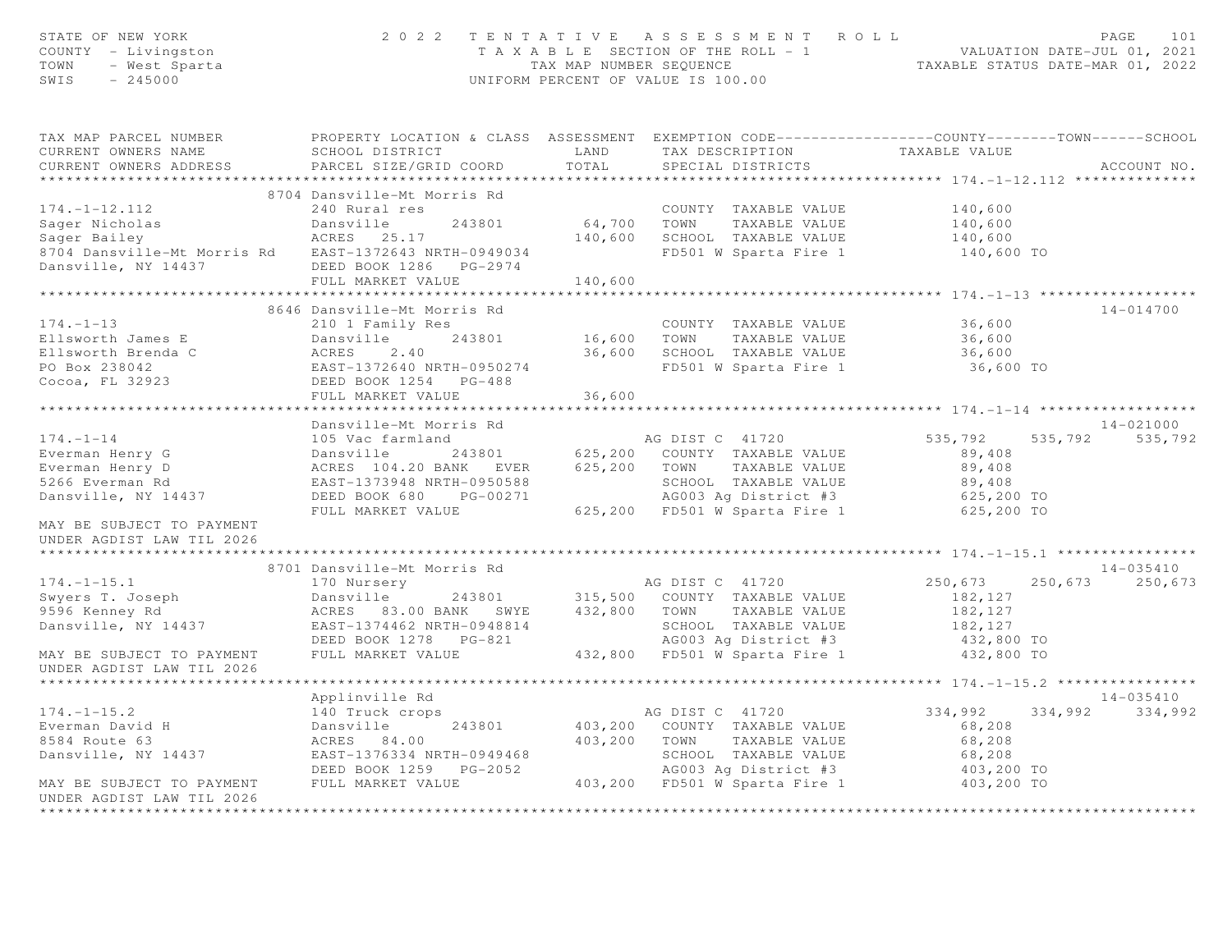| STATE OF NEW YORK<br>COUNTY - Livingston<br>- West Sparta<br>- 245000<br>TOWN<br>SWIS - 245000 |                                                                                                                                               |               | 2022 TENTATIVE ASSESSMENT ROLL<br>T A X A B L E SECTION OF THE ROLL - 1 VALUATION DATE-JUL 01, 2021<br>TAX MAP NUMBER SEQUENCE TAXABLE STATUS DATE-MAR 01, 2022<br>UNIFORM PERCENT OF VALUE IS 100.00 |                       | PAGE<br>101                  |
|------------------------------------------------------------------------------------------------|-----------------------------------------------------------------------------------------------------------------------------------------------|---------------|-------------------------------------------------------------------------------------------------------------------------------------------------------------------------------------------------------|-----------------------|------------------------------|
| TAX MAP PARCEL NUMBER<br>CURRENT OWNERS NAME<br>CURRENT OWNERS ADDRESS                         | PROPERTY LOCATION & CLASS ASSESSMENT EXEMPTION CODE----------------COUNTY-------TOWN------SCHOOL<br>SCHOOL DISTRICT<br>PARCEL SIZE/GRID COORD | LAND<br>TOTAL | TAX DESCRIPTION<br>SPECIAL DISTRICTS                                                                                                                                                                  | TAXABLE VALUE         | ACCOUNT NO.                  |
|                                                                                                | 8704 Dansville-Mt Morris Rd                                                                                                                   |               |                                                                                                                                                                                                       |                       |                              |
| $174. - 1 - 12.112$                                                                            | 240 Rural res                                                                                                                                 |               | COUNTY TAXABLE VALUE                                                                                                                                                                                  | 140,600               |                              |
|                                                                                                | Dansville<br>243801                                                                                                                           |               | 64,700 TOWN TAXABLE VALUE                                                                                                                                                                             | 140,600               |                              |
| Sager Nicholas<br>Sager Bailey                                                                 | ACRES 25.17                                                                                                                                   |               | 140,600 SCHOOL TAXABLE VALUE                                                                                                                                                                          | 140,600               |                              |
| 8704 Dansville-Mt Morris Rd EAST-1372643 NRTH-0949034                                          |                                                                                                                                               |               | FD501 W Sparta Fire 1                                                                                                                                                                                 | 140,600 TO            |                              |
| Dansville, NY 14437 DEED BOOK 1286 PG-2974                                                     |                                                                                                                                               |               |                                                                                                                                                                                                       |                       |                              |
|                                                                                                | FULL MARKET VALUE                                                                                                                             | 140,600       |                                                                                                                                                                                                       |                       |                              |
|                                                                                                |                                                                                                                                               |               |                                                                                                                                                                                                       |                       |                              |
|                                                                                                | 8646 Dansville-Mt Morris Rd                                                                                                                   |               |                                                                                                                                                                                                       |                       | $14 - 014700$                |
| $174. - 1 - 13$                                                                                | 210 1 Family Res                                                                                                                              |               | COUNTY TAXABLE VALUE                                                                                                                                                                                  | 36,600                |                              |
| Ellsworth James E                                                                              | 243801<br>Dansville                                                                                                                           | 16,600 TOWN   | TAXABLE VALUE                                                                                                                                                                                         | 36,600                |                              |
| Ellsworth Brenda C                                                                             | ACRES<br>2.40                                                                                                                                 |               | 36,600 SCHOOL TAXABLE VALUE                                                                                                                                                                           | 36,600                |                              |
| PO Box 238042                                                                                  | EAST-1372640 NRTH-0950274                                                                                                                     |               | FD501 W Sparta Fire 1                                                                                                                                                                                 | 36,600 TO             |                              |
| Cocoa, FL 32923                                                                                | DEED BOOK 1254 PG-488                                                                                                                         |               |                                                                                                                                                                                                       |                       |                              |
|                                                                                                | FULL MARKET VALUE                                                                                                                             | 36,600        |                                                                                                                                                                                                       |                       |                              |
|                                                                                                |                                                                                                                                               |               |                                                                                                                                                                                                       |                       |                              |
| $174. - 1 - 14$                                                                                | Dansville-Mt Morris Rd<br>105 Vac farmland                                                                                                    |               | AG DIST C 41720                                                                                                                                                                                       | 535,792               | 14-021000<br>535,792 535,792 |
| Everman Henry G                                                                                | Dansville 243801 625,200 COUNTY TAXABLE VALUE                                                                                                 |               |                                                                                                                                                                                                       | 89,408                |                              |
| Everman Henry D                                                                                | ACRES 104.20 BANK EVER 625,200 TOWN TAXABLE VALUE                                                                                             |               |                                                                                                                                                                                                       | 89,408                |                              |
| 5266 Everman Rd                                                                                | EAST-1373948 NRTH-0950588                                                                                                                     |               | SCHOOL TAXABLE VALUE                                                                                                                                                                                  | 89,408                |                              |
| Dansville, NY 14437                                                                            | DEED BOOK 680 PG-00271                                                                                                                        |               | AG003 Ag District #3                                                                                                                                                                                  | 625,200 TO            |                              |
|                                                                                                | FULL MARKET VALUE                                                                                                                             |               | 625,200 FD501 W Sparta Fire 1 625,200 TO                                                                                                                                                              |                       |                              |
| MAY BE SUBJECT TO PAYMENT<br>UNDER AGDIST LAW TIL 2026                                         |                                                                                                                                               |               |                                                                                                                                                                                                       |                       |                              |
|                                                                                                |                                                                                                                                               |               |                                                                                                                                                                                                       |                       |                              |
|                                                                                                | 8701 Dansville-Mt Morris Rd                                                                                                                   |               |                                                                                                                                                                                                       |                       | 14-035410                    |
| $174. - 1 - 15.1$<br>Swyers T. Joseph                                                          | 170 Nursery<br>Dansville 243801 315,500 COUNTY TAXABLE VALUE                                                                                  |               | AG DIST C 41720                                                                                                                                                                                       | 250,673               | 250,673 250,673              |
| 9596 Kenney Rd                                                                                 | ACRES 83.00 BANK SWYE 432,800 TOWN TAXABLE VALUE                                                                                              |               |                                                                                                                                                                                                       | 182,127<br>182,127    |                              |
| Dansville, NY 14437                                                                            |                                                                                                                                               |               | SCHOOL TAXABLE VALUE                                                                                                                                                                                  |                       |                              |
|                                                                                                |                                                                                                                                               |               | AG003 Ag District #3                                                                                                                                                                                  | 182,127<br>432,800 TO |                              |
| MAY BE SUBJECT TO PAYMENT                                                                      | FULL MARKET VALUE                                                                                                                             |               | 432,800 FD501 W Sparta Fire 1                                                                                                                                                                         | 432,800 TO            |                              |
| UNDER AGDIST LAW TIL 2026                                                                      |                                                                                                                                               |               |                                                                                                                                                                                                       |                       |                              |
|                                                                                                | Applinville Rd                                                                                                                                |               |                                                                                                                                                                                                       |                       | 14-035410                    |
| $174. - 1 - 15.2$                                                                              | 140 Truck crops                                                                                                                               |               | AG DIST C 41720                                                                                                                                                                                       | 334,992               | 334,992 334,992              |
| Everman David H                                                                                | Dansville<br>243801                                                                                                                           |               | 403,200 COUNTY TAXABLE VALUE                                                                                                                                                                          | 68,208                |                              |
| 8584 Route 63                                                                                  | ACRES 84.00                                                                                                                                   |               | 403,200 TOWN TAXABLE VALUE                                                                                                                                                                            | 68,208                |                              |
| Dansville, NY 14437                                                                            | EAST-1376334 NRTH-0949468                                                                                                                     |               | SCHOOL TAXABLE VALUE                                                                                                                                                                                  | 68,208                |                              |
|                                                                                                | DEED BOOK 1259 PG-2052                                                                                                                        |               | AG003 Ag District #3                                                                                                                                                                                  | 403,200 TO            |                              |
| MAY BE SUBJECT TO PAYMENT                                                                      | FULL MARKET VALUE                                                                                                                             |               | 403,200 FD501 W Sparta Fire 1                                                                                                                                                                         | 403,200 TO            |                              |
| UNDER AGDIST LAW TIL 2026                                                                      |                                                                                                                                               |               |                                                                                                                                                                                                       |                       |                              |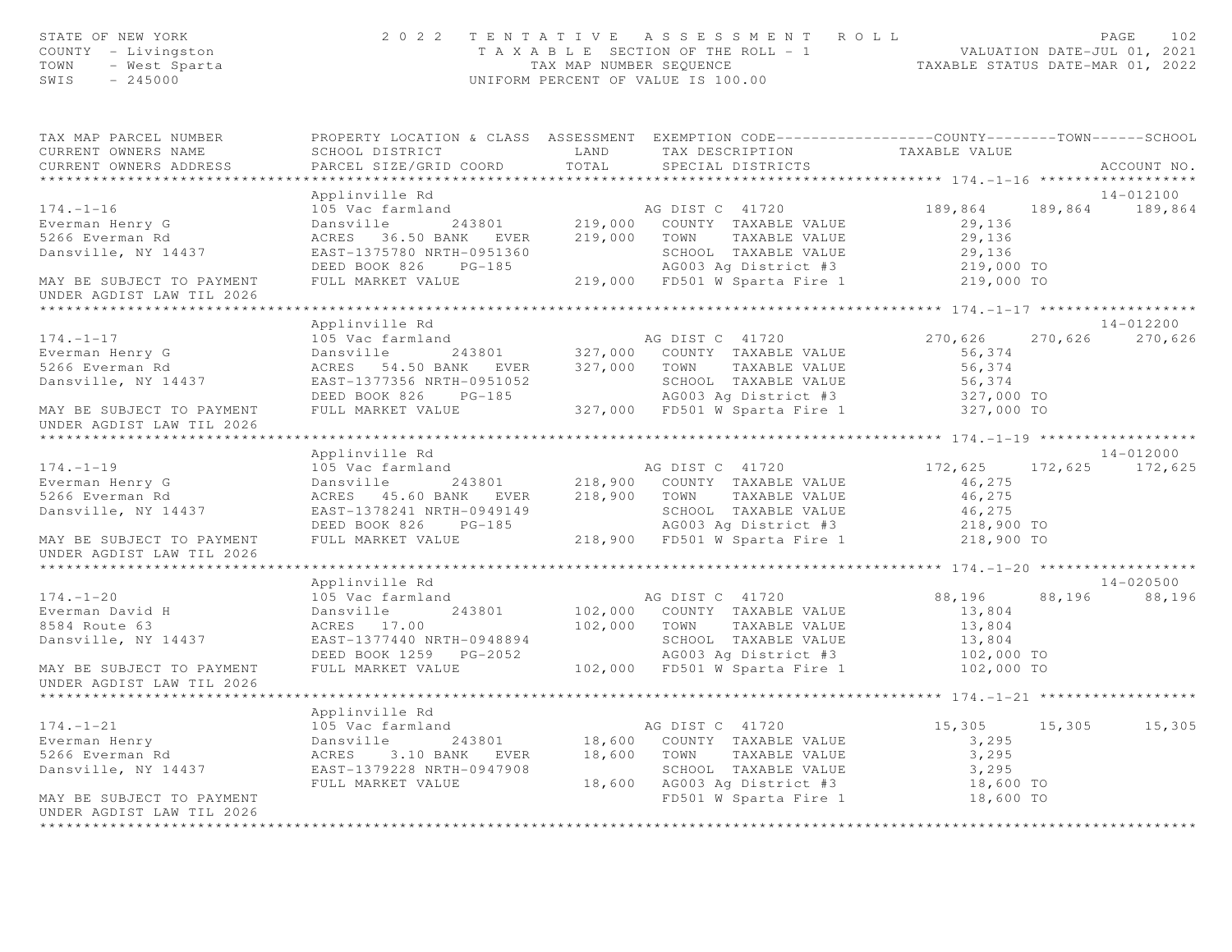| STATE OF NEW YORK<br>COUNTY - Livingston<br>Y - Livingscon<br>- West Sparta<br>- 245000<br>TOWN<br>SWIS | 2 0 2 2                                                                                                                         |       | TENTATIVE ASSESSMENT ROLL<br>T A X A B L E SECTION OF THE ROLL - 1 VALUATION DATE-JUL 01, 2021<br>TAX MAP NUMBER SEQUENCE TAXABLE STATUS DATE-MAR 01, 2022<br>UNIFORM PERCENT OF VALUE IS 100.00 |                   | 102<br>PAGE     |
|---------------------------------------------------------------------------------------------------------|---------------------------------------------------------------------------------------------------------------------------------|-------|--------------------------------------------------------------------------------------------------------------------------------------------------------------------------------------------------|-------------------|-----------------|
| TAX MAP PARCEL NUMBER<br>CURRENT OWNERS NAME                                                            | PROPERTY LOCATION & CLASS ASSESSMENT EXEMPTION CODE----------------COUNTY-------TOWN------SCHOOL<br>SCHOOL DISTRICT LAND        |       | TAX DESCRIPTION                                                                                                                                                                                  | TAXABLE VALUE     |                 |
| CURRENT OWNERS ADDRESS                                                                                  | PARCEL SIZE/GRID COORD                                                                                                          | TOTAL | SPECIAL DISTRICTS                                                                                                                                                                                |                   | ACCOUNT NO.     |
|                                                                                                         |                                                                                                                                 |       |                                                                                                                                                                                                  |                   |                 |
| $174. - 1 - 16$                                                                                         | Applinville Rd                                                                                                                  |       |                                                                                                                                                                                                  |                   | 14-012100       |
|                                                                                                         | 105 Vac farmland<br>Dansville 243801 219,000 COUNTY TAXABLE VALUE<br>ACRES 36.50 BANK EVER 219,000 TOWN TAXABLE VALUE           |       |                                                                                                                                                                                                  | 189,864<br>29,136 | 189,864 189,864 |
| Everman Henry G<br>5266 Everman Rd                                                                      |                                                                                                                                 |       |                                                                                                                                                                                                  | 29,136            |                 |
|                                                                                                         |                                                                                                                                 |       | SCHOOL TAXABLE VALUE                                                                                                                                                                             |                   |                 |
|                                                                                                         |                                                                                                                                 |       | SCHOOL TAXABLE VALUE 29,136<br>AG003 Ag District #3 219,000 TO<br>219,000 FD501 W Sparta Fire 1 219,000 TO                                                                                       |                   |                 |
| MAY BE SUBJECT TO PAYMENT                                                                               | FULL MARKET VALUE                                                                                                               |       |                                                                                                                                                                                                  |                   |                 |
| UNDER AGDIST LAW TIL 2026                                                                               |                                                                                                                                 |       |                                                                                                                                                                                                  |                   |                 |
|                                                                                                         |                                                                                                                                 |       |                                                                                                                                                                                                  |                   |                 |
|                                                                                                         | Applinville Rd                                                                                                                  |       |                                                                                                                                                                                                  |                   | 14-012200       |
| $174. - 1 - 17$                                                                                         | 105 Vac farmland                                                                                                                |       | AG DIST C 41720                                                                                                                                                                                  | 270,626           | 270,626 270,626 |
| Everman Henry G<br>5266 Everman Rd                                                                      | Dansville 243801 327,000 COUNTY TAXABLE VALUE                                                                                   |       |                                                                                                                                                                                                  | 56,374            |                 |
| 5266 Everman Rd                                                                                         | ACRES 54.50 BANK EVER 327,000 TOWN TAXABLE VALUE                                                                                |       |                                                                                                                                                                                                  | 56,374            |                 |
| Dansville, NY 14437                                                                                     |                                                                                                                                 |       |                                                                                                                                                                                                  |                   |                 |
| MAY BE SUBJECT TO PAYMENT                                                                               |                                                                                                                                 |       |                                                                                                                                                                                                  |                   |                 |
| UNDER AGDIST LAW TIL 2026                                                                               |                                                                                                                                 |       |                                                                                                                                                                                                  |                   |                 |
|                                                                                                         |                                                                                                                                 |       |                                                                                                                                                                                                  |                   |                 |
|                                                                                                         | Applinville Rd                                                                                                                  |       |                                                                                                                                                                                                  |                   | 14-012000       |
| $174. - 1 - 19$                                                                                         | 105 Vac farmland                                                                                                                |       | AG DIST C 41720                                                                                                                                                                                  | 172,625           | 172,625 172,625 |
| Everman Henry G                                                                                         | Dansville 243801 218,900 COUNTY TAXABLE VALUE                                                                                   |       |                                                                                                                                                                                                  | 46,275            |                 |
| 5266 Everman Rd                                                                                         | ACRES 45.60 BANK EVER 218,900 TOWN TAXABLE VALUE                                                                                |       |                                                                                                                                                                                                  | 46,275            |                 |
| Dansville, NY 14437                                                                                     | EAST-1378241 NRTH-0949149<br>DEED BOOK 826 PG-185                        AG003 Ag District #3                        218,900 TO |       |                                                                                                                                                                                                  |                   |                 |
|                                                                                                         |                                                                                                                                 |       |                                                                                                                                                                                                  |                   |                 |
| MAY BE SUBJECT TO PAYMENT<br>UNDER AGDIST LAW TIL 2026                                                  | FULL MARKET VALUE                                                                                                               |       | 218,900 FD501 W Sparta Fire 1                                                                                                                                                                    | 218,900 TO        |                 |
|                                                                                                         |                                                                                                                                 |       |                                                                                                                                                                                                  |                   |                 |
|                                                                                                         | Applinville Rd                                                                                                                  |       |                                                                                                                                                                                                  |                   | 14-020500       |
| $174. - 1 - 20$                                                                                         | 105 Vac farmland                                                                                                                |       | AG DIST C 41720                                                                                                                                                                                  | 88,196            | 88,196 88,196   |
| Everman David H<br>8584 Route 63                                                                        | 243801<br>Dansville<br>ACRES 17.00                                                                                              |       | 102,000 COUNTY TAXABLE VALUE<br>102,000 TOWN TAXABLE VALUE                                                                                                                                       | 13,804<br>13,804  |                 |
| Dansville, NY 14437                                                                                     | EAST-1377440 NRTH-0948894                                                                                                       |       |                                                                                                                                                                                                  |                   |                 |
|                                                                                                         | DEED BOOK 1259 PG-2052                                                                                                          |       |                                                                                                                                                                                                  |                   |                 |
| MAY BE SUBJECT TO PAYMENT                                                                               | FULL MARKET VALUE                                                                                                               |       | 102,000 FD501 W Sparta Fire 1                                                                                                                                                                    |                   |                 |
| UNDER AGDIST LAW TIL 2026                                                                               |                                                                                                                                 |       |                                                                                                                                                                                                  |                   |                 |
|                                                                                                         | Applinville Rd                                                                                                                  |       |                                                                                                                                                                                                  |                   |                 |
| $174. - 1 - 21$                                                                                         | 105 Vac farmland                                                                                                                |       | AG DIST C 41720                                                                                                                                                                                  | 15,305 15,305     | 15,305          |
| 173. 1741<br>Everman Henry<br>5266 Everman Rd                                                           | Dansville 243801 18,600 COUNTY TAXABLE VALUE<br>ACRES 3.10 BANK EVER 18,600 TOWN TAXABLE VALUE                                  |       |                                                                                                                                                                                                  | 3,295             |                 |
|                                                                                                         |                                                                                                                                 |       |                                                                                                                                                                                                  | 3,295             |                 |
| Dansville, NY 14437                                                                                     | EAST-1379228 NRTH-0947908                                                                                                       |       | SCHOOL TAXABLE VALUE                                                                                                                                                                             | 3,295             |                 |
|                                                                                                         | FULL MARKET VALUE                                                                                                               |       | $18,600$ AG003 Ag District #3                                                                                                                                                                    | 18,600 TO         |                 |
| MAY BE SUBJECT TO PAYMENT                                                                               |                                                                                                                                 |       | FD501 W Sparta Fire 1                                                                                                                                                                            | 18,600 TO         |                 |
| UNDER AGDIST LAW TIL 2026                                                                               |                                                                                                                                 |       |                                                                                                                                                                                                  |                   |                 |
|                                                                                                         |                                                                                                                                 |       |                                                                                                                                                                                                  |                   |                 |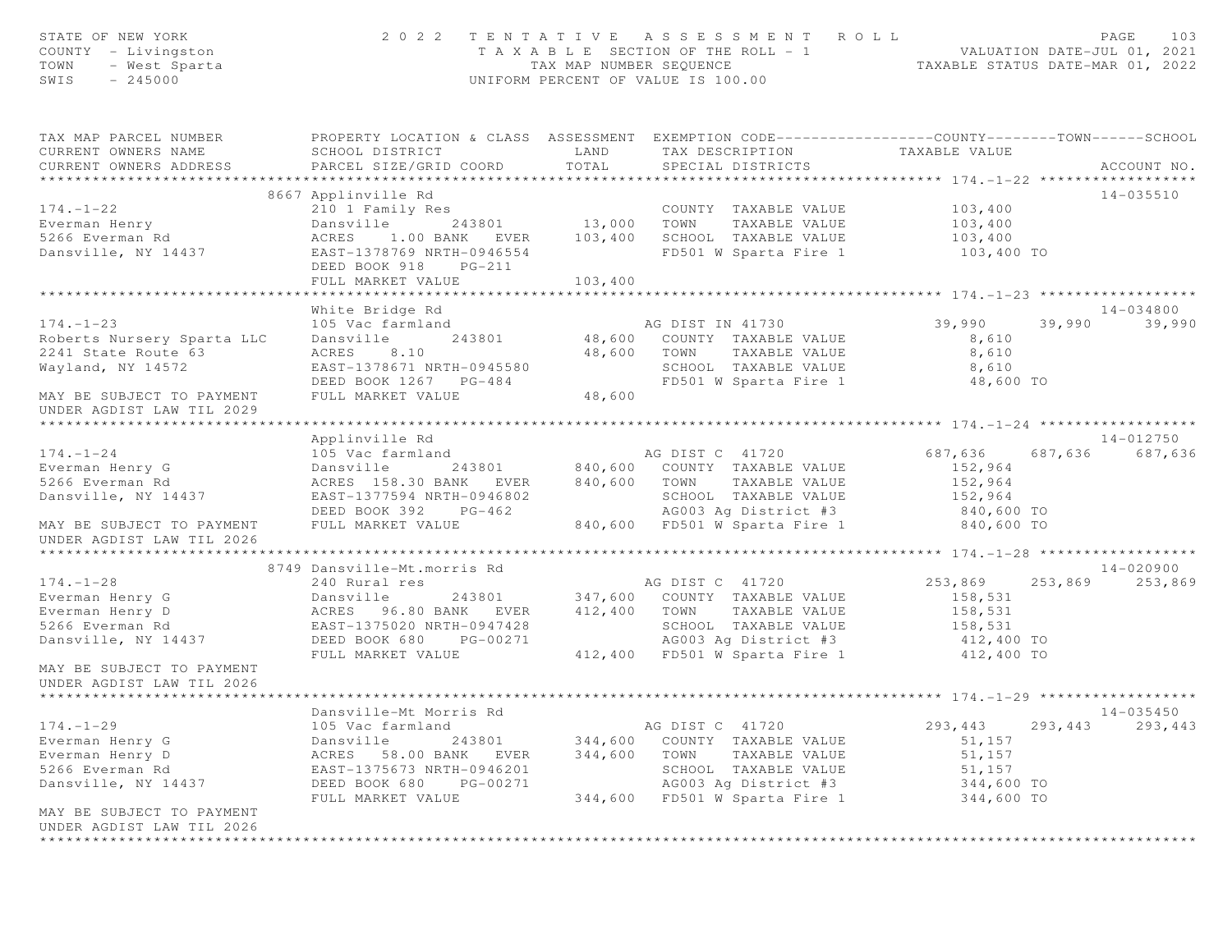| STATE OF NEW YORK<br>COUNTY - Livingston<br>TOWN<br>- West Sparta<br>SWIS<br>$-245000$                                                                                   | 2 0 2 2                                                                                                                                                                         | TAX MAP NUMBER SEQUENCE             | TENTATIVE ASSESSMENT ROLL<br>T A X A B L E SECTION OF THE ROLL - 1<br>UNIFORM PERCENT OF VALUE IS 100.00                                                  | VALUATION DATE-JUL 01, 2021<br>TAXABLE STATUS DATE-MAR 01, 2022      |         | PAGE<br>103               |
|--------------------------------------------------------------------------------------------------------------------------------------------------------------------------|---------------------------------------------------------------------------------------------------------------------------------------------------------------------------------|-------------------------------------|-----------------------------------------------------------------------------------------------------------------------------------------------------------|----------------------------------------------------------------------|---------|---------------------------|
| TAX MAP PARCEL NUMBER<br>CURRENT OWNERS NAME<br>CURRENT OWNERS ADDRESS                                                                                                   | PROPERTY LOCATION & CLASS ASSESSMENT EXEMPTION CODE-----------------COUNTY-------TOWN------SCHOOL<br>SCHOOL DISTRICT<br>PARCEL SIZE/GRID COORD                                  | LAND<br>TOTAL                       | TAX DESCRIPTION<br>SPECIAL DISTRICTS                                                                                                                      | TAXABLE VALUE                                                        |         | ACCOUNT NO.               |
| $174. - 1 - 22$<br>Everman Henry<br>5266 Everman Rd<br>Dansville, NY 14437                                                                                               | 8667 Applinville Rd<br>210 1 Family Res<br>243801<br>Dansville<br>ACRES<br>1.00 BANK EVER<br>EAST-1378769 NRTH-0946554<br>DEED BOOK 918<br>$PG-211$<br>FULL MARKET VALUE        | $13,000$ TOWN<br>103,400<br>103,400 | COUNTY TAXABLE VALUE<br>TAXABLE VALUE<br>SCHOOL TAXABLE VALUE<br>FD501 W Sparta Fire 1                                                                    | 103,400<br>103,400<br>103,400<br>103,400 TO                          |         | $14 - 035510$             |
|                                                                                                                                                                          |                                                                                                                                                                                 |                                     |                                                                                                                                                           |                                                                      |         |                           |
| $174. - 1 - 23$<br>Roberts Nursery Sparta LLC<br>2241 State Route 63<br>Wayland, NY 14572<br>MAY BE SUBJECT TO PAYMENT                                                   | White Bridge Rd<br>105 Vac farmland<br>Dansville<br>243801<br>ACRES<br>8.10<br>EAST-1378671 NRTH-0945580<br>DEED BOOK 1267 PG-484<br>FULL MARKET VALUE                          | 48,600 TOWN<br>48,600               | AG DIST IN 41730<br>48,600 COUNTY TAXABLE VALUE<br>TAXABLE VALUE<br>SCHOOL TAXABLE VALUE<br>FD501 W Sparta Fire 1                                         | 39,990<br>8,610<br>8,610<br>8,610<br>48,600 TO                       | 39,990  | $14 - 034800$<br>39,990   |
| UNDER AGDIST LAW TIL 2029<br>******************************<br>$174. - 1 - 24$<br>Everman Henry G<br>5266 Everman Rd<br>Dansville, NY 14437<br>MAY BE SUBJECT TO PAYMENT | Applinville Rd<br>105 Vac farmland<br>Dansville<br>243801<br>ACRES 158.30 BANK EVER<br>EAST-1377594 NRTH-0946802<br>DEED BOOK 392 PG-462<br>FULL MARKET VALUE                   | 840,600                             | AG DIST C 41720<br>840,600 COUNTY TAXABLE VALUE<br>TOWN<br>TAXABLE VALUE<br>SCHOOL TAXABLE VALUE<br>AG003 Ag District #3<br>840,600 FD501 W Sparta Fire 1 | 687,636<br>152,964<br>152,964<br>152,964<br>840,600 TO<br>840,600 TO | 687,636 | 14-012750<br>687,636      |
| UNDER AGDIST LAW TIL 2026                                                                                                                                                |                                                                                                                                                                                 |                                     |                                                                                                                                                           |                                                                      |         |                           |
| $174. - 1 - 28$<br>Everman Henry G<br>Everman Henry D                                                                                                                    | 8749 Dansville-Mt.morris Rd<br>240 Rural res<br>243801<br>Dansville<br>ACRES 96.80 BANK EVER                                                                                    | 412,400                             | AG DIST C 41720<br>347,600 COUNTY TAXABLE VALUE<br>TAXABLE VALUE<br>TOWN                                                                                  | 253,869<br>158,531<br>158,531                                        | 253,869 | $14 - 020900$<br>253,869  |
| 5266 Everman Rd<br>Dansville, NY 14437<br>MAY BE SUBJECT TO PAYMENT<br>UNDER AGDIST LAW TIL 2026                                                                         | EAST-1375020 NRTH-0947428<br>DEED BOOK 680<br>PG-00271<br>FULL MARKET VALUE                                                                                                     |                                     | SCHOOL TAXABLE VALUE<br>AG003 Ag District #3<br>412,400 FD501 W Sparta Fire 1                                                                             | 158,531<br>412,400 TO<br>412,400 TO                                  |         |                           |
|                                                                                                                                                                          |                                                                                                                                                                                 |                                     |                                                                                                                                                           |                                                                      |         |                           |
| $174. - 1 - 29$<br>Everman Henry G<br>Everman Henry D<br>5266 Everman Rd<br>Dansville, NY 14437<br>MAY BE SUBJECT TO PAYMENT                                             | Dansville-Mt Morris Rd<br>105 Vac farmland<br>Dansville<br>243801<br>ACRES<br>58.00 BANK<br>EVER<br>EAST-1375673 NRTH-0946201<br>DEED BOOK 680<br>PG-00271<br>FULL MARKET VALUE | 344,600<br>344,600<br>344,600       | AG DIST C 41720<br>COUNTY TAXABLE VALUE<br>TOWN<br>TAXABLE VALUE<br>SCHOOL TAXABLE VALUE<br>AG003 Ag District #3<br>FD501 W Sparta Fire 1                 | 293,443<br>51,157<br>51,157<br>51,157<br>344,600 TO<br>344,600 TO    | 293,443 | $14 - 035450$<br>293, 443 |
| UNDER AGDIST LAW TIL 2026<br>******************************                                                                                                              |                                                                                                                                                                                 |                                     |                                                                                                                                                           |                                                                      |         |                           |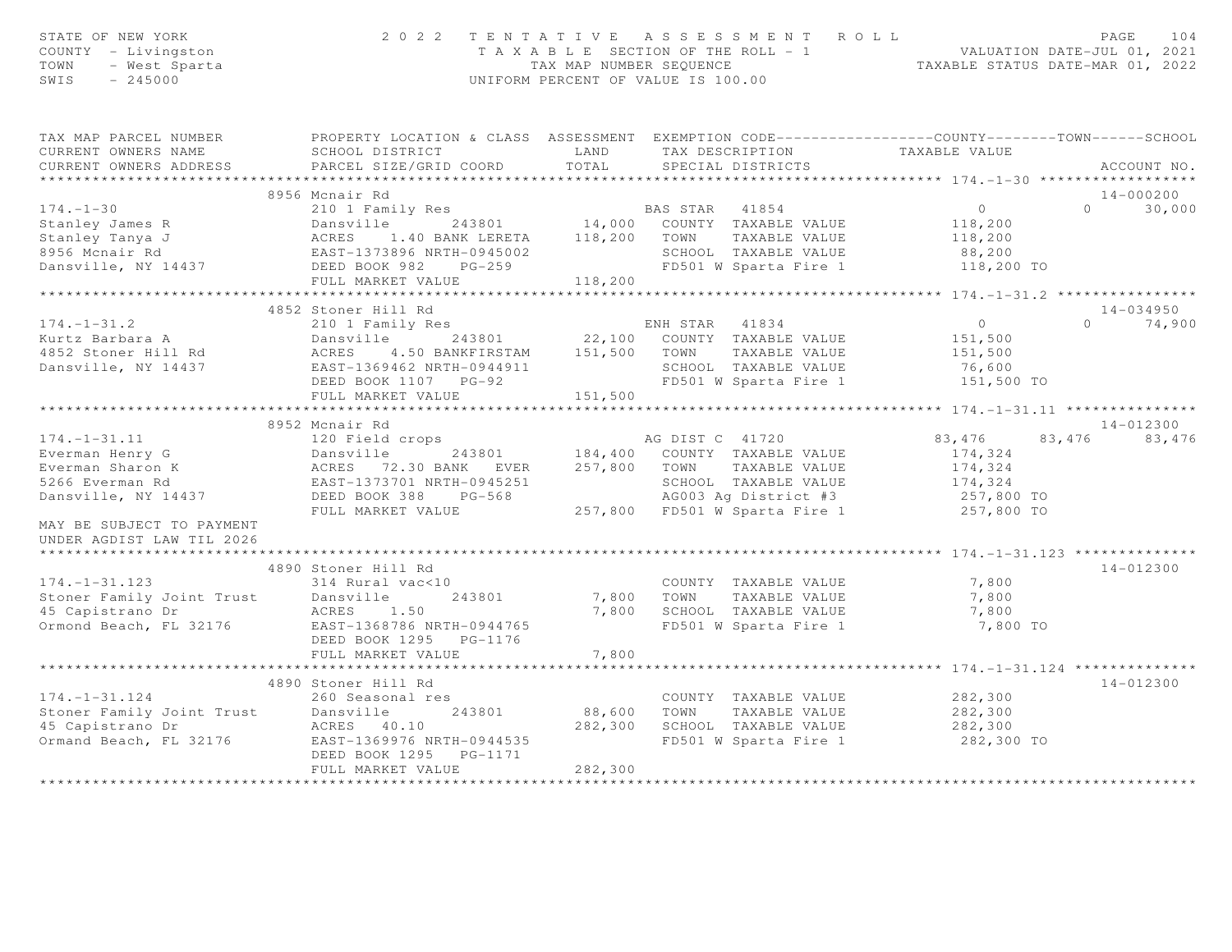| STATE OF NEW YORK<br>COUNTY - Livingston<br>- West Sparta<br>- 245000<br>TOWN<br>SWIS<br>$-245000$                                                                                                                                                                                                                                |                                                                                                                                                                                                  |                               | 2022 TENTATIVE ASSESSMENT ROLL<br>T A X A B L E SECTION OF THE ROLL - 1 VALUATION DATE-JUL 01, 2021<br>TAX MAP NUMBER SEQUENCE TAXABLE STATUS DATE-MAR 01, 2022<br>UNIFORM PERCENT OF VALUE IS 100.00 |                                                                   | PAGE<br>104                |
|-----------------------------------------------------------------------------------------------------------------------------------------------------------------------------------------------------------------------------------------------------------------------------------------------------------------------------------|--------------------------------------------------------------------------------------------------------------------------------------------------------------------------------------------------|-------------------------------|-------------------------------------------------------------------------------------------------------------------------------------------------------------------------------------------------------|-------------------------------------------------------------------|----------------------------|
| TAX MAP PARCEL NUMBER<br>CURRENT OWNERS NAME<br>CURRENT OWNERS ADDRESS                                                                                                                                                                                                                                                            | PROPERTY LOCATION & CLASS ASSESSMENT EXEMPTION CODE----------------COUNTY-------TOWN------SCHOOL<br>SCHOOL DISTRICT LAND<br>PARCEL SIZE/GRID COORD                                               | TOTAL                         | TAX DESCRIPTION<br>SPECIAL DISTRICTS                                                                                                                                                                  | TAXABLE VALUE                                                     | ACCOUNT NO.                |
|                                                                                                                                                                                                                                                                                                                                   | 8956 Mcnair Rd                                                                                                                                                                                   |                               |                                                                                                                                                                                                       |                                                                   | $14 - 000200$              |
| $174. - 1 - 30$                                                                                                                                                                                                                                                                                                                   |                                                                                                                                                                                                  |                               |                                                                                                                                                                                                       | $\overline{0}$                                                    | $\overline{0}$<br>30,000   |
| Stanley James R<br>Stanley Tanya J<br>Stanley Tanya J<br>8956 Monair Rd<br>Dansville, NY 14437                                                                                                                                                                                                                                    | Dansville 243801 14,000 COUNTI IAANLE VALUE<br>ACRES 1.40 BANK LERETA 118,200 TOWN TAXABLE VALUE<br>EAST-1373896 NRTH-0945002 SCHOOL TAXABLE VALUE<br>DEED BOOK 982 PG-259 FD501 W Sparta Fire 1 |                               |                                                                                                                                                                                                       | 118,200<br>118,200<br>88,200<br>118,200 TO                        |                            |
|                                                                                                                                                                                                                                                                                                                                   |                                                                                                                                                                                                  |                               |                                                                                                                                                                                                       | ****************** 174.-1-31.2 *****************                  |                            |
|                                                                                                                                                                                                                                                                                                                                   |                                                                                                                                                                                                  |                               |                                                                                                                                                                                                       |                                                                   |                            |
| $174. - 1 - 31.2$<br>Xurtz Barbara A Carolic Community Nobel 22,100 COUNTY TAXABLE VALUE<br>4852 Stoner Hill Rd ACRES 4.50 BANKFIRSTAM 151,500 TOWN TAXABLE VALUE<br>Dansville, NY 14437 EAST-1369462 NRTH-0944911 SCHOOL TAXABLE VALUE<br>DEED BOOK 1107                                                                         | 4852 Stoner Hill Rd<br>210 1 Family Res                                                                                                                                                          |                               | ENH STAR 41834<br>FD501 W Sparta Fire 1 151,500 TO                                                                                                                                                    | $\overline{0}$<br>151,500<br>151,500<br>76,600                    | 14-034950<br>$0 \t 74,900$ |
|                                                                                                                                                                                                                                                                                                                                   | FULL MARKET VALUE                                                                                                                                                                                | 151,500                       |                                                                                                                                                                                                       |                                                                   |                            |
|                                                                                                                                                                                                                                                                                                                                   |                                                                                                                                                                                                  |                               |                                                                                                                                                                                                       |                                                                   |                            |
|                                                                                                                                                                                                                                                                                                                                   | 8952 Mcnair Rd                                                                                                                                                                                   |                               |                                                                                                                                                                                                       |                                                                   | $14 - 012300$              |
| $174. - 1 - 31.11$<br>Everman Henry G<br>Everman Sharon K<br>Everman Sharon K<br>S266 Everman Rd<br>Dansville, NY 14437<br>Dansville, NY 14437<br>Dansville, NY 14437<br>Dansville, NY 14437<br>Dansville, NY 14437<br>Dansville, NY 14437<br>Dansville, NY 14437<br>Dansv                                                        | 120 Field crops and a set of AG DIST C 41720                                                                                                                                                     |                               | SCHOOL TAXABLE VALUE<br>AG003 Ag District #3                                                                                                                                                          | 83,476<br>174,324<br>174,324<br>174,324<br>257,800 TO             | 83,476<br>83,476           |
| MAY BE SUBJECT TO PAYMENT<br>UNDER AGDIST LAW TIL 2026                                                                                                                                                                                                                                                                            | FULL MARKET VALUE                                                                                                                                                                                |                               | 257,800 FD501 W Sparta Fire 1                                                                                                                                                                         | 257,800 TO                                                        |                            |
|                                                                                                                                                                                                                                                                                                                                   |                                                                                                                                                                                                  |                               |                                                                                                                                                                                                       |                                                                   |                            |
| $174. - 1 - 31.123$<br>Stoner Family Joint Trust<br>and Dansville<br>and Contract of Contract of Contract of Contract of Contract of Contract of Contract of Contract of Contract of Contract of Contract of Contract of Contract of Contract of Contract<br>45 Capistrano Dr<br>Ormond Beach, FL 32176 EAST-1368786 NRTH-0944765 | 4890 Stoner Hill Rd<br>314 Rural vac<10<br>243801<br>ACRES 1.50<br>DEED BOOK 1295 PG-1176                                                                                                        |                               | COUNTY TAXABLE VALUE<br>7,800 TOWN TAXABLE VALUE<br>7,800 SCHOOL TAXABLE VALUE<br>FD501 W Sparta Fire 1                                                                                               | 7,800<br>7,800<br>7,800<br>7,800 TO                               | 14-012300                  |
|                                                                                                                                                                                                                                                                                                                                   | FULL MARKET VALUE                                                                                                                                                                                | 7,800                         |                                                                                                                                                                                                       |                                                                   |                            |
|                                                                                                                                                                                                                                                                                                                                   | *************************                                                                                                                                                                        |                               |                                                                                                                                                                                                       | ************** 174.-1-31.124 ***************                      |                            |
|                                                                                                                                                                                                                                                                                                                                   | 4890 Stoner Hill Rd                                                                                                                                                                              |                               |                                                                                                                                                                                                       |                                                                   | 14-012300                  |
| $174. - 1 - 31.124$<br>1/4.-1-31.124<br>Stoner Family Joint Trust<br>45 Capistrano Dr ACRES 40.10<br>Ormand Beach, FL 32176 EAST-1369976 NRTH-0944535                                                                                                                                                                             | 260 Seasonal res<br>DEED BOOK 1295 PG-1171                                                                                                                                                       | 243801 88,600 TOWN<br>282,300 | COUNTY TAXABLE VALUE<br>TAXABLE VALUE<br>282,300 SCHOOL TAXABLE VALUE                                                                                                                                 | 282,300<br>282,300<br>282,300<br>FD501 W Sparta Fire 1 282,300 TO |                            |
|                                                                                                                                                                                                                                                                                                                                   | FULL MARKET VALUE                                                                                                                                                                                |                               |                                                                                                                                                                                                       |                                                                   |                            |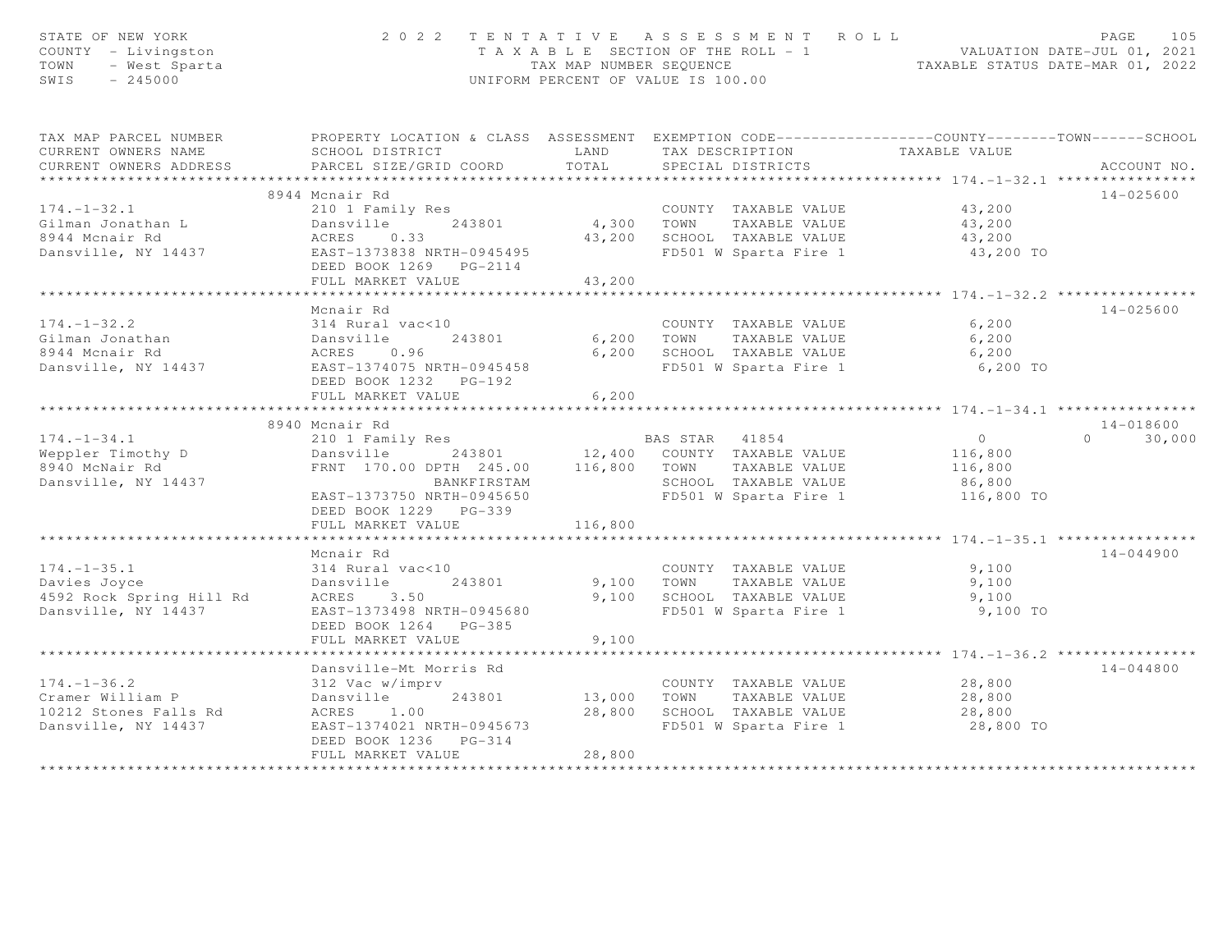| STATE OF NEW YORK<br>COUNTY - Livingston<br>- Mest Sparta<br>- West Sparta<br>- 245000<br>TOWN<br>$SWIS = 245000$        | 2022 TENTATIVE ASSESSMENT ROLL<br>UNIFORM PERCENT OF VALUE IS 100.00                               |                      | 105<br>PAGE<br>T A X A B L E SECTION OF THE ROLL - 1 VALUATION DATE-JUL 01, 2021<br>TAX MAP NUMBER SEQUENCE TAXABLE STATUS DATE-MAR 01, 2022 |                                       |               |  |
|--------------------------------------------------------------------------------------------------------------------------|----------------------------------------------------------------------------------------------------|----------------------|----------------------------------------------------------------------------------------------------------------------------------------------|---------------------------------------|---------------|--|
| TAX MAP PARCEL NUMBER THE PROPERTY LOCATION & CLASS ASSESSMENT EXEMPTION CODE--------------COUNTY-------TOWN------SCHOOL |                                                                                                    |                      |                                                                                                                                              |                                       |               |  |
| CURRENT OWNERS NAME                                                                                                      | SCHOOL DISTRICT                                                                                    | LAND                 | TAX DESCRIPTION TAXABLE VALUE<br>SPECIAL DISTRICTS                                                                                           |                                       |               |  |
| CURRENT OWNERS ADDRESS                                                                                                   | PARCEL SIZE/GRID COORD TOTAL                                                                       |                      |                                                                                                                                              |                                       | ACCOUNT NO.   |  |
|                                                                                                                          | 8944 Mcnair Rd                                                                                     |                      |                                                                                                                                              |                                       | 14-025600     |  |
| $174. - 1 - 32.1$                                                                                                        | 210 1 Family Res                                                                                   |                      | COUNTY TAXABLE VALUE 43,200                                                                                                                  |                                       |               |  |
| Gilman Jonathan L                                                                                                        | Dansville 243801                                                                                   |                      |                                                                                                                                              |                                       |               |  |
| 8944 Mcnair Rd                                                                                                           | ACRES 0.33                                                                                         |                      | 4,300 TOWN TAXABLE VALUE<br>43,200 SCHOOL TAXABLE VALUE                                                                                      | 43,200<br>43,200                      |               |  |
| Dansville, NY 14437                                                                                                      | EAST-1373838 NRTH-0945495<br>DEED BOOK 1269 PG-2114                                                |                      | FD501 W Sparta Fire 1 43,200 TO                                                                                                              |                                       |               |  |
|                                                                                                                          | FULL MARKET VALUE                                                                                  | 43,200               |                                                                                                                                              |                                       |               |  |
|                                                                                                                          | *************************                                                                          | ***********          |                                                                                                                                              | *********** 174. -1-32.2 ************ |               |  |
|                                                                                                                          | Mcnair Rd                                                                                          |                      |                                                                                                                                              |                                       | 14-025600     |  |
| $174. - 1 - 32.2$                                                                                                        | 314 Rural vac<10                                                                                   |                      | COUNTY TAXABLE VALUE                                                                                                                         | 6,200                                 |               |  |
|                                                                                                                          |                                                                                                    | 6,200                | 6,200 TOWN TAXABLE VALUE<br>SCHOOL TAXABLE VALUE                                                                                             | 6,200<br>6,200                        |               |  |
|                                                                                                                          |                                                                                                    |                      | FD501 W Sparta Fire 1 6,200 TO                                                                                                               |                                       |               |  |
|                                                                                                                          | DEED BOOK 1232 PG-192                                                                              |                      |                                                                                                                                              |                                       |               |  |
|                                                                                                                          | FULL MARKET VALUE                                                                                  | 6,200                |                                                                                                                                              |                                       |               |  |
|                                                                                                                          | 8940 Mcnair Rd                                                                                     |                      |                                                                                                                                              |                                       | 14-018600     |  |
| $174. - 1 - 34.1$                                                                                                        | 210 1 Family Res                                                                                   |                      | <b>BAS STAR 41854</b>                                                                                                                        | $\overline{0}$                        | $0 \t 30,000$ |  |
| Weppler Timothy D                                                                                                        |                                                                                                    |                      |                                                                                                                                              | 116,800                               |               |  |
| 8940 McNair Rd                                                                                                           | Dansville 243801 12,400 COUNTY TAXABLE VALUE<br>FRNT 170.00 DPTH 245.00 116,800 TOWN TAXABLE VALUE |                      |                                                                                                                                              | 116,800                               |               |  |
| Dansville, NY 14437                                                                                                      | BANKFIRSTAM                                                                                        |                      | SCHOOL TAXABLE VALUE                                                                                                                         | 86,800                                |               |  |
|                                                                                                                          | EAST-1373750 NRTH-0945650                                                                          |                      | FD501 W Sparta Fire 1 116,800 TO                                                                                                             |                                       |               |  |
|                                                                                                                          | DEED BOOK 1229 PG-339                                                                              |                      |                                                                                                                                              |                                       |               |  |
|                                                                                                                          | FULL MARKET VALUE                                                                                  | 116,800              |                                                                                                                                              |                                       |               |  |
|                                                                                                                          |                                                                                                    |                      |                                                                                                                                              |                                       |               |  |
|                                                                                                                          | Mcnair Rd                                                                                          |                      |                                                                                                                                              |                                       | $14 - 044900$ |  |
| $174. - 1 - 35.1$                                                                                                        | 314 Rural vac<10                                                                                   |                      | COUNTY TAXABLE VALUE                                                                                                                         | 9,100                                 |               |  |
| Davies Joyce Dansville<br>4592 Rock Spring Hill Rd ACRES 3.50<br>December 11: 11:27                                      | Dansville 243801                                                                                   |                      | 9,100 TOWN TAXABLE VALUE<br>9,100 SCHOOL TAXABLE VALUE                                                                                       | 9,100<br>9,100                        |               |  |
| Dansville, NY 14437                                                                                                      | EAST-1373498 NRTH-0945680                                                                          |                      | FD501 W Sparta Fire 1                                                                                                                        | 9,100 TO                              |               |  |
|                                                                                                                          | DEED BOOK 1264 PG-385                                                                              |                      |                                                                                                                                              |                                       |               |  |
|                                                                                                                          | FULL MARKET VALUE                                                                                  | 9,100                |                                                                                                                                              |                                       |               |  |
|                                                                                                                          |                                                                                                    |                      |                                                                                                                                              |                                       |               |  |
|                                                                                                                          | Dansville-Mt Morris Rd                                                                             |                      |                                                                                                                                              |                                       | $14 - 044800$ |  |
| $174. - 1 - 36.2$                                                                                                        | 312 Vac w/imprv                                                                                    |                      | COUNTY TAXABLE VALUE                                                                                                                         | 28,800                                |               |  |
| Cramer William P                                                                                                         | Dansville 243801                                                                                   | COUNT<br>13,000 TOWN |                                                                                                                                              | TAXABLE VALUE 28,800                  |               |  |
| 10212 Stones Falls Rd                                                                                                    | ACRES 1.00                                                                                         |                      | 28,800 SCHOOL TAXABLE VALUE                                                                                                                  | 28,800                                |               |  |
| Dansville, NY 14437                                                                                                      | EAST-1374021 NRTH-0945673                                                                          |                      | FD501 W Sparta Fire 1 28,800 TO                                                                                                              |                                       |               |  |
|                                                                                                                          | DEED BOOK 1236 PG-314                                                                              |                      |                                                                                                                                              |                                       |               |  |
|                                                                                                                          | FULL MARKET VALUE                                                                                  | 28,800               |                                                                                                                                              |                                       |               |  |
|                                                                                                                          |                                                                                                    |                      |                                                                                                                                              |                                       |               |  |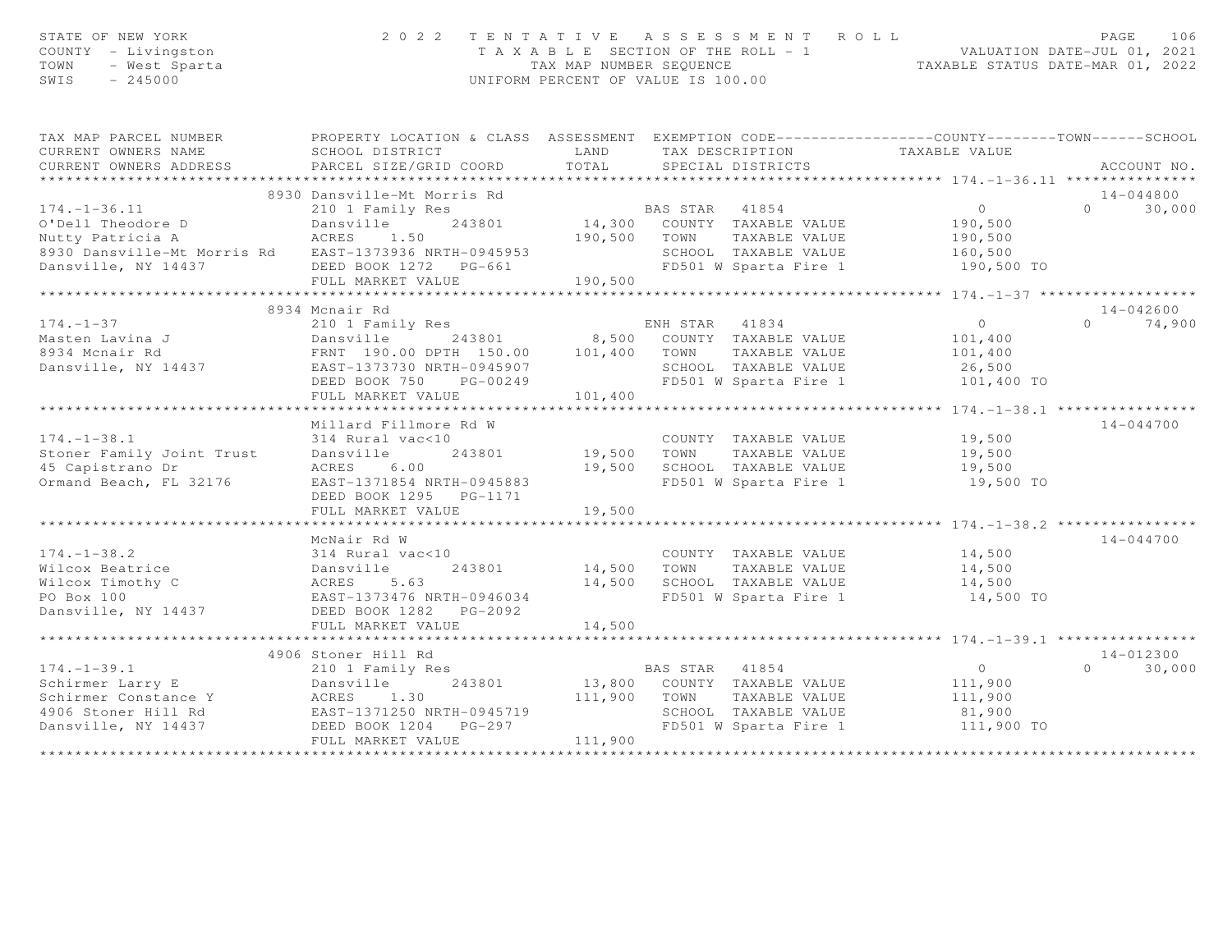| STATE OF NEW YORK<br>COUNTY - Livingston<br>TOWN<br>- West Sparta<br>$-245000$<br>SWIS |                                                                                                   |                                                | 2022 TENTATIVE ASSESSMENT ROLL<br>UNIFORM PERCENT OF VALUE IS 100.00  | T A X A B L E SECTION OF THE ROLL - 1<br>TA X A B L E SECTION OF THE ROLL - 1<br>TAXABLE STATUS DATE-MAR 01, 2022 | PAGE<br>106        |
|----------------------------------------------------------------------------------------|---------------------------------------------------------------------------------------------------|------------------------------------------------|-----------------------------------------------------------------------|-------------------------------------------------------------------------------------------------------------------|--------------------|
| TAX MAP PARCEL NUMBER                                                                  | PROPERTY LOCATION & CLASS ASSESSMENT EXEMPTION CODE----------------COUNTY--------TOWN------SCHOOL |                                                |                                                                       |                                                                                                                   |                    |
| CURRENT OWNERS NAME<br>CURRENT OWNERS ADDRESS                                          | SCHOOL DISTRICT<br>PARCEL SIZE/GRID COORD                                                         | LAND<br>TOTAL                                  | SPECIAL DISTRICTS                                                     | TAX DESCRIPTION TAXABLE VALUE                                                                                     | ACCOUNT NO.        |
|                                                                                        |                                                                                                   |                                                |                                                                       |                                                                                                                   |                    |
|                                                                                        | 8930 Dansville-Mt Morris Rd                                                                       |                                                |                                                                       |                                                                                                                   | $14 - 044800$      |
| $174. - 1 - 36.11$                                                                     | 210 1 Family Res                                                                                  |                                                | BAS STAR 41854                                                        | $\overline{0}$                                                                                                    | 30,000<br>$\Omega$ |
| O'Dell Theodore D                                                                      | 243801<br>Dansville                                                                               |                                                | 14,300 COUNTY TAXABLE VALUE                                           | 190,500                                                                                                           |                    |
| Nutty Patricia A                                                                       | ACRES 1.50                                                                                        | 190,500 TOWN                                   | TAXABLE VALUE                                                         | 190,500                                                                                                           |                    |
| 8930 Dansville-Mt Morris Rd EAST-1373936 NRTH-0945953                                  |                                                                                                   |                                                | SCHOOL TAXABLE VALUE<br>SCHOOL TAXABLE VALUE<br>FD501 W Sparta Fire 1 | 160,500                                                                                                           |                    |
| Dansville, NY 14437                                                                    |                                                                                                   |                                                |                                                                       | 190,500 TO                                                                                                        |                    |
|                                                                                        | FULL MARKET VALUE                                                                                 | 190,500                                        |                                                                       |                                                                                                                   |                    |
|                                                                                        | 8934 Mcnair Rd                                                                                    |                                                |                                                                       |                                                                                                                   | $14 - 042600$      |
| $174. - 1 - 37$                                                                        | 210 1 Family Res                                                                                  |                                                | ENH STAR 41834                                                        | $\overline{0}$                                                                                                    | $\Omega$<br>74,900 |
| Masten Lavina J                                                                        | Dansville<br>243801                                                                               |                                                | 8,500 COUNTY TAXABLE VALUE                                            | 101,400                                                                                                           |                    |
| 8934 Mcnair Rd                                                                         | FRNT 190.00 DPTH 150.00                                                                           | 101,400 TOWN                                   | TAXABLE VALUE                                                         | 101,400                                                                                                           |                    |
| Dansville, NY 14437                                                                    | EAST-1373730 NRTH-0945907                                                                         |                                                | SCHOOL TAXABLE VALUE                                                  | 26,500                                                                                                            |                    |
|                                                                                        | DEED BOOK 750 PG-00249                                                                            |                                                | FD501 W Sparta Fire 1                                                 | 101,400 TO                                                                                                        |                    |
|                                                                                        | FULL MARKET VALUE                                                                                 | 101,400                                        |                                                                       |                                                                                                                   |                    |
|                                                                                        |                                                                                                   |                                                |                                                                       | ************************************* 174.-1-38.1 *****************                                               |                    |
| $174. - 1 - 38.1$                                                                      | Millard Fillmore Rd W                                                                             |                                                |                                                                       |                                                                                                                   | $14 - 044700$      |
| Stoner Family Joint Trust                                                              | 314 Rural vac<10<br>Dansville<br>243801                                                           |                                                | COUNTY TAXABLE VALUE<br>19,500 TOWN<br>TAXABLE VALUE                  | 19,500<br>19,500                                                                                                  |                    |
| 45 Capistrano Dr                                                                       | ACRES<br>6.00                                                                                     |                                                | 19,500 SCHOOL TAXABLE VALUE                                           | 19,500                                                                                                            |                    |
| Ormand Beach, FL 32176                                                                 | EAST-1371854 NRTH-0945883                                                                         |                                                | FD501 W Sparta Fire 1                                                 | 19,500 TO                                                                                                         |                    |
|                                                                                        | DEED BOOK 1295 PG-1171                                                                            |                                                |                                                                       |                                                                                                                   |                    |
|                                                                                        | FULL MARKET VALUE                                                                                 | 19,500                                         |                                                                       |                                                                                                                   |                    |
|                                                                                        | * * * * * * * * * * * * * * * * * * *                                                             |                                                |                                                                       | ************ 174. -1-38.2 *****************                                                                       |                    |
|                                                                                        | McNair Rd W                                                                                       |                                                |                                                                       |                                                                                                                   | 14-044700          |
| $174. - 1 - 38.2$                                                                      | 314 Rural vac<10                                                                                  |                                                | COUNTY TAXABLE VALUE                                                  | 14,500                                                                                                            |                    |
| Wilcox Beatrice                                                                        | Dansville<br>243801                                                                               | 14,500                                         | TOWN<br>TAXABLE VALUE                                                 | 14,500                                                                                                            |                    |
| ACRES<br>Wilcox Timothy C<br>PO Box 100                                                | 5.63<br>EAST-1373476 NRTH-0946034                                                                 | 14,500                                         | SCHOOL TAXABLE VALUE<br>FD501 W Sparta Fire 1                         | 14,500<br>14,500 TO                                                                                               |                    |
| Dansville, NY 14437                                                                    | DEED BOOK 1282    PG-2092                                                                         |                                                |                                                                       |                                                                                                                   |                    |
|                                                                                        | FULL MARKET VALUE                                                                                 | 14,500                                         |                                                                       |                                                                                                                   |                    |
|                                                                                        | ***************************                                                                       |                                                |                                                                       |                                                                                                                   |                    |
|                                                                                        | 4906 Stoner Hill Rd                                                                               |                                                |                                                                       |                                                                                                                   | $14 - 012300$      |
| $174. - 1 - 39.1$                                                                      | 210 1 Family Res                                                                                  |                                                | BAS STAR 41854                                                        | $\overline{0}$                                                                                                    | $\cap$<br>30,000   |
| Schirmer Larry E                                                                       | Dansville<br>243801                                                                               |                                                | 13,800 COUNTY TAXABLE VALUE                                           | 111,900                                                                                                           |                    |
| Schirmer Constance Y<br>4906 Stoner Hill Rd                                            | ACRES<br>1.30                                                                                     | 111,900                                        | TOWN<br>TAXABLE VALUE                                                 | 111,900                                                                                                           |                    |
|                                                                                        | EAST-1371250 NRTH-0945719                                                                         |                                                | SCHOOL TAXABLE VALUE                                                  | 81,900                                                                                                            |                    |
| Dansville, NY 14437                                                                    | DEED BOOK 1204 PG-297                                                                             |                                                | FD501 W Sparta Fire 1                                                 | 111,900 TO                                                                                                        |                    |
|                                                                                        | FULL MARKET VALUE<br>*************************                                                    | 111,900<br>* * * * * * * * * * * * * * * * * * |                                                                       |                                                                                                                   |                    |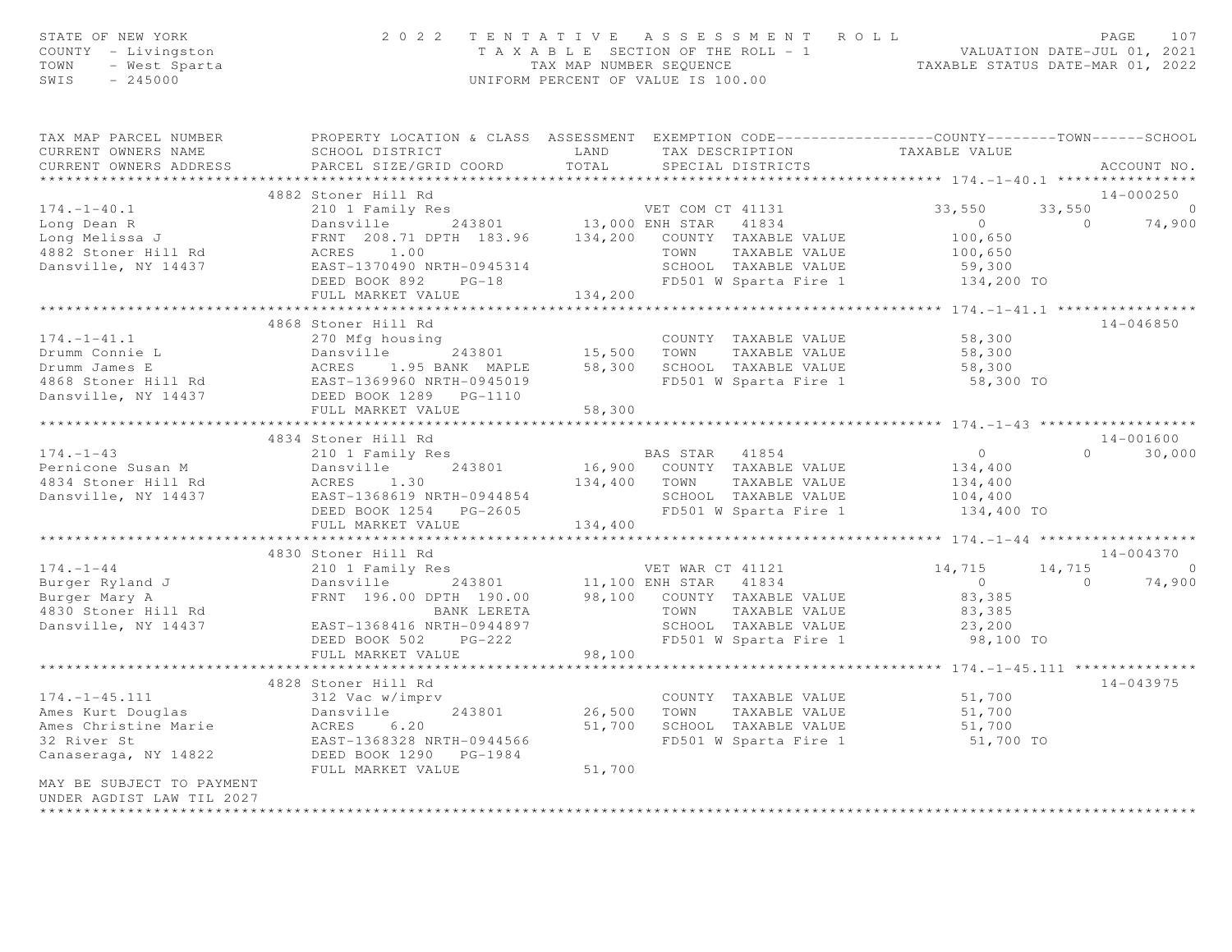| STATE OF NEW YORK<br>COUNTY - Livingston<br>TOWN<br>- West Sparta<br>SWIS<br>$-245000$ |                                                                                                                       | 2022 TENTATIVE ASSESSMENT ROLL<br>TAXABLE SECTION OF THE ROLL - 1<br>TAXABLE STATUS DATE-JUL 01, 2021<br>TAXABLE STATUS DATE-MAR 01, 2022<br>UNIFORM PERCENT OF VALUE IS 100.00                                                                         | PAGE<br>107                                                         |
|----------------------------------------------------------------------------------------|-----------------------------------------------------------------------------------------------------------------------|---------------------------------------------------------------------------------------------------------------------------------------------------------------------------------------------------------------------------------------------------------|---------------------------------------------------------------------|
| CURRENT OWNERS NAME                                                                    | SCHOOL DISTRICT                                                                                                       | TAX MAP PARCEL NUMBER THE PROPERTY LOCATION & CLASS ASSESSMENT EXEMPTION CODE---------------COUNTY-------TOWN------SCHOOL<br>TAX DESCRIPTION TAXABLE VALUE<br>LAND                                                                                      |                                                                     |
| CURRENT OWNERS ADDRESS                                                                 | PARCEL SIZE/GRID COORD                                                                                                | TOTAL<br>SPECIAL DISTRICTS                                                                                                                                                                                                                              | ACCOUNT NO.                                                         |
|                                                                                        |                                                                                                                       |                                                                                                                                                                                                                                                         | ******************** 174. -1-40.1 *****************                 |
|                                                                                        | 4882 Stoner Hill Rd                                                                                                   |                                                                                                                                                                                                                                                         | 14-000250                                                           |
| $174. - 1 - 40.1$                                                                      | 210 1 Family Res                                                                                                      | VET COM CT 41131 33,550                                                                                                                                                                                                                                 | 33,550<br>$\overline{a}$                                            |
|                                                                                        |                                                                                                                       | 13,000 ENH STAR 41834<br>13,000 ENH STAR 41834<br>13,000 ENH STAR 41834<br>13,000 ENH STAR 41834<br>13,000 ENH STAR 41834<br>134,200 COUNTY TAXABLE VALUE<br>1382 Stoner Hill Rd<br>1382 Stoner Hill Rd<br>208.71 DPTH 183.96<br>134,200 COUNTY         | $\overline{0}$<br>$\sim$ 0<br>74,900                                |
|                                                                                        |                                                                                                                       |                                                                                                                                                                                                                                                         | 100,650                                                             |
|                                                                                        |                                                                                                                       | TOWN TAXABLE VALUE                                                                                                                                                                                                                                      | 100,650                                                             |
|                                                                                        |                                                                                                                       |                                                                                                                                                                                                                                                         |                                                                     |
|                                                                                        | DEED BOOK 892 PG-18                                                                                                   |                                                                                                                                                                                                                                                         |                                                                     |
|                                                                                        | FULL MARKET VALUE                                                                                                     | 134,200                                                                                                                                                                                                                                                 |                                                                     |
|                                                                                        |                                                                                                                       |                                                                                                                                                                                                                                                         |                                                                     |
|                                                                                        | 4868 Stoner Hill Rd                                                                                                   |                                                                                                                                                                                                                                                         | 14-046850                                                           |
| $174. - 1 - 41.1$                                                                      | 270 Mfg housing                                                                                                       | COUNTY TAXABLE VALUE 58,300                                                                                                                                                                                                                             |                                                                     |
|                                                                                        |                                                                                                                       |                                                                                                                                                                                                                                                         | 58,300                                                              |
|                                                                                        |                                                                                                                       |                                                                                                                                                                                                                                                         | 58,300                                                              |
|                                                                                        |                                                                                                                       |                                                                                                                                                                                                                                                         | 58,300 TO                                                           |
|                                                                                        |                                                                                                                       | From Same Countries and the countries of the countries of the product of the Damsville of the MCRES and the same that the set of the same of the same of the same of the same of the same of the same of the same of the same                           |                                                                     |
|                                                                                        | *******************************                                                                                       | 58,300                                                                                                                                                                                                                                                  |                                                                     |
|                                                                                        |                                                                                                                       | ***********************                                                                                                                                                                                                                                 | ****************** 174. -1-43 *******************<br>14-001600      |
|                                                                                        | 4834 Stoner Hill Rd                                                                                                   | 174.-1-43<br>210 1 Family Res<br>Pernicone Susan M Dansville 243801<br>4834 Stoner Hill Rd ACRES 1.30<br>2885 1.30 134,400 TOWN TAXABLE VALUE<br>2887-1368619 NRTH-0944854 SCHOOL TAXABLE VALUE                                                         | $0 \qquad \qquad$                                                   |
|                                                                                        |                                                                                                                       |                                                                                                                                                                                                                                                         | $\begin{smallmatrix}&&0\\&&34\\134&,400\end{smallmatrix}$<br>30,000 |
|                                                                                        |                                                                                                                       |                                                                                                                                                                                                                                                         |                                                                     |
|                                                                                        |                                                                                                                       |                                                                                                                                                                                                                                                         | 134,400<br>104,400                                                  |
|                                                                                        | DEED BOOK 1254 PG-2605                                                                                                | SCHOOL TAXABLE VALUE<br>FD501 W Sparta Fire 1                                                                                                                                                                                                           | 134,400 TO                                                          |
|                                                                                        | FULL MARKET VALUE 134,400                                                                                             |                                                                                                                                                                                                                                                         |                                                                     |
|                                                                                        |                                                                                                                       |                                                                                                                                                                                                                                                         |                                                                     |
|                                                                                        | 4830 Stoner Hill Rd                                                                                                   |                                                                                                                                                                                                                                                         | $14 - 004370$                                                       |
|                                                                                        |                                                                                                                       |                                                                                                                                                                                                                                                         |                                                                     |
|                                                                                        |                                                                                                                       | 174.-1-44<br>Burger Ryland J<br>Burger Mary A<br>ERNT 196.00 DPTH 190.00<br>BANK LERETA<br>BANK LERETA<br>BANK LERETA<br>BANK LERETA<br>TOWN TAXABLE VALUE<br>TOWN TAXABLE VALUE<br>TOWN TAXABLE VALUE<br>SASSENGLUE<br>BANK LERETA<br>DESCHOOL TAXABLE | $14, 715$ 0<br>0 74,900<br>$\overline{0}$<br>$\overline{0}$         |
|                                                                                        |                                                                                                                       |                                                                                                                                                                                                                                                         | 83,385                                                              |
|                                                                                        |                                                                                                                       |                                                                                                                                                                                                                                                         |                                                                     |
|                                                                                        |                                                                                                                       |                                                                                                                                                                                                                                                         | 83,385<br>23,200                                                    |
|                                                                                        |                                                                                                                       |                                                                                                                                                                                                                                                         | 98,100 TO                                                           |
|                                                                                        | FULL MARKET VALUE                                                                                                     | 98,100                                                                                                                                                                                                                                                  |                                                                     |
|                                                                                        |                                                                                                                       |                                                                                                                                                                                                                                                         |                                                                     |
|                                                                                        | 4828 Stoner Hill Rd                                                                                                   |                                                                                                                                                                                                                                                         | 14-043975                                                           |
|                                                                                        |                                                                                                                       | COUNTY TAXABLE VALUE 51,700<br>TOWN TAXABLE VALUE 51,700                                                                                                                                                                                                |                                                                     |
|                                                                                        | 1/4.-1-45.111 312 Vac w/imprv<br>Ames Kurt Douglas Dansville 243801<br>Ames Christine Marie ACRES 6.20<br>32 River St | 26,500 TOWN TAXABLE VALUE                                                                                                                                                                                                                               |                                                                     |
|                                                                                        |                                                                                                                       | 51,700 SCHOOL TAXABLE VALUE                                                                                                                                                                                                                             | 51,700                                                              |
|                                                                                        | 0.20<br>EAST-1368328 NRTH-0944566<br>DEED BOOK 1290 PG-1984<br>FUIJ MAPKET ''''---                                    | FD501 W Sparta Fire 1                                                                                                                                                                                                                                   | 51,700 TO                                                           |
| Canaseraga, NY 14822                                                                   |                                                                                                                       |                                                                                                                                                                                                                                                         |                                                                     |
|                                                                                        | FULL MARKET VALUE                                                                                                     | 51,700                                                                                                                                                                                                                                                  |                                                                     |
| MAY BE SUBJECT TO PAYMENT                                                              |                                                                                                                       |                                                                                                                                                                                                                                                         |                                                                     |
| UNDER AGDIST LAW TIL 2027                                                              |                                                                                                                       |                                                                                                                                                                                                                                                         |                                                                     |
|                                                                                        |                                                                                                                       |                                                                                                                                                                                                                                                         |                                                                     |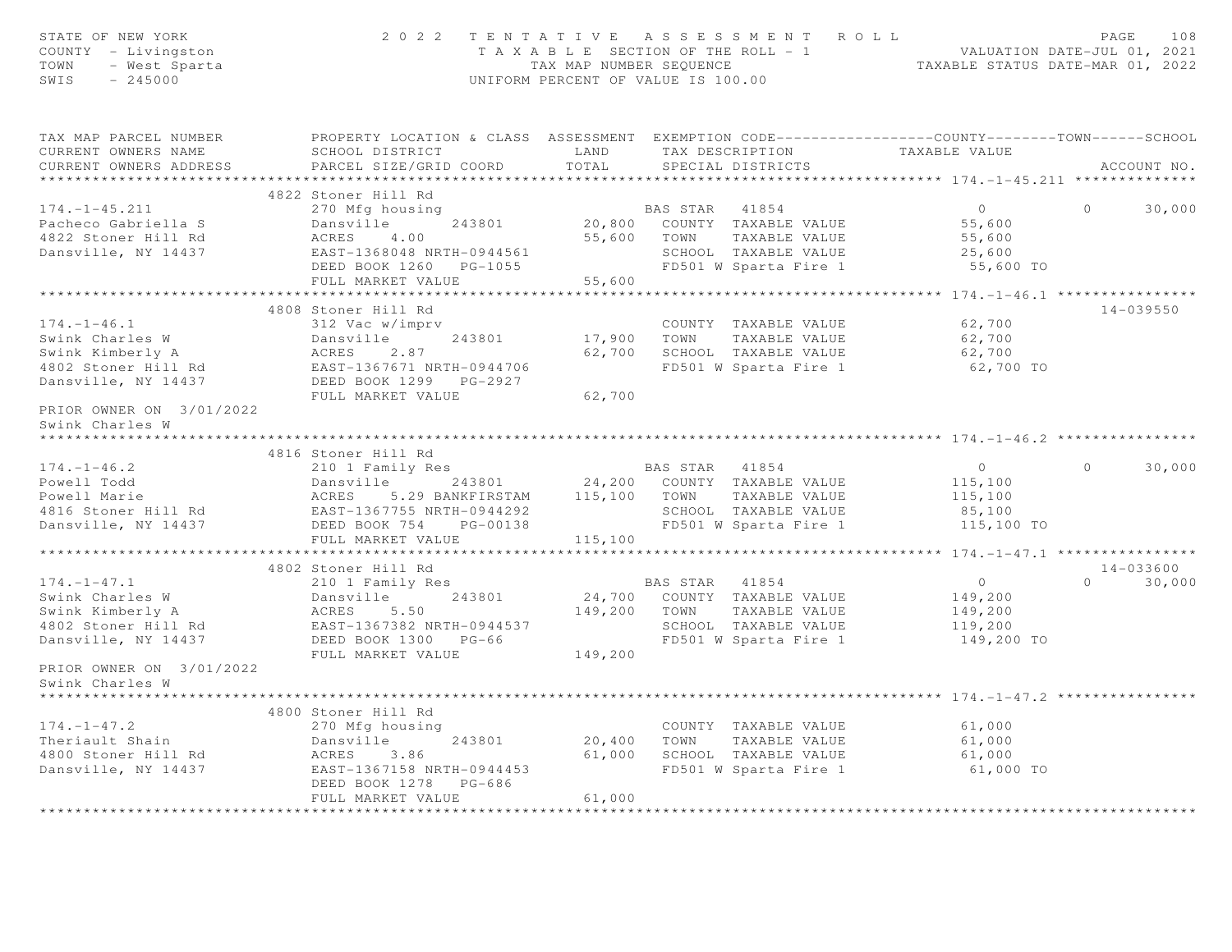| STATE OF NEW YORK<br>COUNTY - Livingston<br>$Y - Livington$<br>- West Sparta<br>- 245000<br>TOWN<br>SWIS                               | 2022 TENTATIVE ASSESSMENT ROLL                                                                                                   | UNIFORM PERCENT OF VALUE IS 100.00 |                |                                                   | T A X A B L E SECTION OF THE ROLL - 1 VALUATION DATE-JUL 01, 2021<br>TAX MAP NUMBER SEQUENCE TAXABLE STATUS DATE-MAR 01, 2022 | PAGE     | 108           |
|----------------------------------------------------------------------------------------------------------------------------------------|----------------------------------------------------------------------------------------------------------------------------------|------------------------------------|----------------|---------------------------------------------------|-------------------------------------------------------------------------------------------------------------------------------|----------|---------------|
| TAX MAP PARCEL NUMBER<br>CURRENT OWNERS NAME                                                                                           | PROPERTY LOCATION & CLASS ASSESSMENT EXEMPTION CODE----------------COUNTY-------TOWN------SCHOOL<br>SCHOOL DISTRICT<br>LAND LAND |                                    |                | TAX DESCRIPTION TAXABLE VALUE                     |                                                                                                                               |          |               |
| CURRENT OWNERS ADDRESS                                                                                                                 | PARCEL SIZE/GRID COORD                                                                                                           | TOTAL                              |                | SPECIAL DISTRICTS                                 |                                                                                                                               |          | ACCOUNT NO.   |
| ***********************                                                                                                                |                                                                                                                                  |                                    |                |                                                   |                                                                                                                               |          |               |
|                                                                                                                                        | 4822 Stoner Hill Rd                                                                                                              |                                    |                |                                                   |                                                                                                                               |          |               |
| $174. - 1 - 45.211$                                                                                                                    | 270 Mfg housing                                                                                                                  |                                    | BAS STAR 41854 |                                                   | $\overline{0}$                                                                                                                | $\Omega$ | 30,000        |
| Pacheco Gabriella S                                                                                                                    | Dansville 243801                                                                                                                 |                                    |                | 20,800 COUNTY TAXABLE VALUE                       | 55,600                                                                                                                        |          |               |
| 4822 Stoner Hill Rd                                                                                                                    | ACRES<br>EAST-1<br>4.00                                                                                                          |                                    |                | 55,600 TOWN TAXABLE VALUE                         | 55,600                                                                                                                        |          |               |
| Dansville, NY 14437                                                                                                                    | EAST-1368048 NRTH-0944561                                                                                                        |                                    |                | SCHOOL TAXABLE VALUE                              | 25,600                                                                                                                        |          |               |
|                                                                                                                                        | DEED BOOK 1260 PG-1055                                                                                                           |                                    |                | FD501 W Sparta Fire 1                             | 55,600 TO                                                                                                                     |          |               |
|                                                                                                                                        | FULL MARKET VALUE<br>*************************                                                                                   | 55,600                             |                |                                                   |                                                                                                                               |          |               |
|                                                                                                                                        | 4808 Stoner Hill Rd                                                                                                              |                                    |                |                                                   |                                                                                                                               |          | $14 - 039550$ |
| $174. - 1 - 46.1$                                                                                                                      | 312 Vac w/imprv                                                                                                                  |                                    |                | COUNTY TAXABLE VALUE                              | 62,700                                                                                                                        |          |               |
|                                                                                                                                        |                                                                                                                                  |                                    |                | 17,900 TOWN TAXABLE VALUE                         | 62,700                                                                                                                        |          |               |
|                                                                                                                                        |                                                                                                                                  |                                    |                | 62,700 SCHOOL TAXABLE VALUE                       | 62,700                                                                                                                        |          |               |
|                                                                                                                                        |                                                                                                                                  |                                    |                | FD501 W Sparta Fire 1                             | 62,700 TO                                                                                                                     |          |               |
|                                                                                                                                        |                                                                                                                                  |                                    |                |                                                   |                                                                                                                               |          |               |
| SWINK Charles W<br>Swink Kimberly A<br>4802 Stoner Hill Rd<br>Dansville, NY 14437<br>DEED BOOK 1299 PG-2927<br>PRIOR CULL MARKET VALUE |                                                                                                                                  | 62,700                             |                |                                                   |                                                                                                                               |          |               |
| PRIOR OWNER ON 3/01/2022                                                                                                               |                                                                                                                                  |                                    |                |                                                   |                                                                                                                               |          |               |
| Swink Charles W                                                                                                                        |                                                                                                                                  |                                    |                |                                                   |                                                                                                                               |          |               |
| ****************                                                                                                                       |                                                                                                                                  |                                    |                |                                                   |                                                                                                                               |          |               |
|                                                                                                                                        | 4816 Stoner Hill Rd                                                                                                              |                                    |                |                                                   |                                                                                                                               |          |               |
| $174. - 1 - 46.2$                                                                                                                      | 210 1 Family Res<br>Dansville 243801 24,200 COUNTY TAXABLE VALUE                                                                 |                                    |                | BAS STAR 41854                                    | $\overline{0}$                                                                                                                | $\Omega$ | 30,000        |
|                                                                                                                                        |                                                                                                                                  |                                    |                |                                                   | 115,100<br>115,100                                                                                                            |          |               |
|                                                                                                                                        |                                                                                                                                  |                                    |                |                                                   | 85,100                                                                                                                        |          |               |
|                                                                                                                                        |                                                                                                                                  |                                    |                |                                                   | FD501 W Sparta Fire 1 $115,100$ TO                                                                                            |          |               |
|                                                                                                                                        | FULL MARKET VALUE                                                                                                                | 115,100                            |                |                                                   |                                                                                                                               |          |               |
|                                                                                                                                        |                                                                                                                                  |                                    |                |                                                   |                                                                                                                               |          |               |
|                                                                                                                                        | 4802 Stoner Hill Rd                                                                                                              |                                    |                |                                                   |                                                                                                                               |          | 14-033600     |
| $174. - 1 - 47.1$                                                                                                                      | 210 1 Family Res                                                                                                                 |                                    | BAS STAR 41854 |                                                   | $\overline{0}$                                                                                                                | $\Omega$ | 30,000        |
| Swink Charles W<br>Swink Kimberly A                                                                                                    | 243801<br>Dansville                                                                                                              |                                    |                | 24,700 COUNTY TAXABLE VALUE                       | 149,200                                                                                                                       |          |               |
|                                                                                                                                        | ACRES 5.50                                                                                                                       |                                    |                | 149,200 TOWN TAXABLE VALUE                        | 149,200                                                                                                                       |          |               |
| 4802 Stoner Hill Rd                                                                                                                    | EAST-1367382 NRTH-0944537                                                                                                        |                                    |                | SCHOOL TAXABLE VALUE<br>FD501 W Sparta Fire 1     | 119,200                                                                                                                       |          |               |
| Dansville, NY 14437                                                                                                                    | DEED BOOK 1300 PG-66                                                                                                             |                                    |                |                                                   | 149,200 TO                                                                                                                    |          |               |
|                                                                                                                                        | FULL MARKET VALUE                                                                                                                | 149,200                            |                |                                                   |                                                                                                                               |          |               |
| PRIOR OWNER ON 3/01/2022<br>Swink Charles W                                                                                            |                                                                                                                                  |                                    |                |                                                   |                                                                                                                               |          |               |
|                                                                                                                                        |                                                                                                                                  |                                    |                |                                                   | ************************************* 174.-1-47.2 **                                                                          |          |               |
|                                                                                                                                        | 4800 Stoner Hill Rd                                                                                                              |                                    |                |                                                   |                                                                                                                               |          |               |
| $174. - 1 - 47.2$                                                                                                                      | 270 Mfg housing                                                                                                                  |                                    |                | COUNTY TAXABLE VALUE                              | 61,000                                                                                                                        |          |               |
| Theriault Shain                                                                                                                        | Dansville<br>243801                                                                                                              |                                    |                | COUNTY TAXABLE VALUE<br>20,400 TOWN TAXABLE VALUE | 61,000                                                                                                                        |          |               |
| 4800 Stoner Hill Rd                                                                                                                    | ACRES 3.86                                                                                                                       |                                    |                | 61,000 SCHOOL TAXABLE VALUE                       | 61,000                                                                                                                        |          |               |
| Dansville, NY 14437                                                                                                                    | EAST-1367158 NRTH-0944453                                                                                                        |                                    |                | FD501 W Sparta Fire 1                             | 61,000 TO                                                                                                                     |          |               |
|                                                                                                                                        | DEED BOOK 1278 PG-686                                                                                                            |                                    |                |                                                   |                                                                                                                               |          |               |
|                                                                                                                                        | FULL MARKET VALUE                                                                                                                | 61,000                             |                |                                                   |                                                                                                                               |          |               |
|                                                                                                                                        |                                                                                                                                  |                                    |                |                                                   |                                                                                                                               |          |               |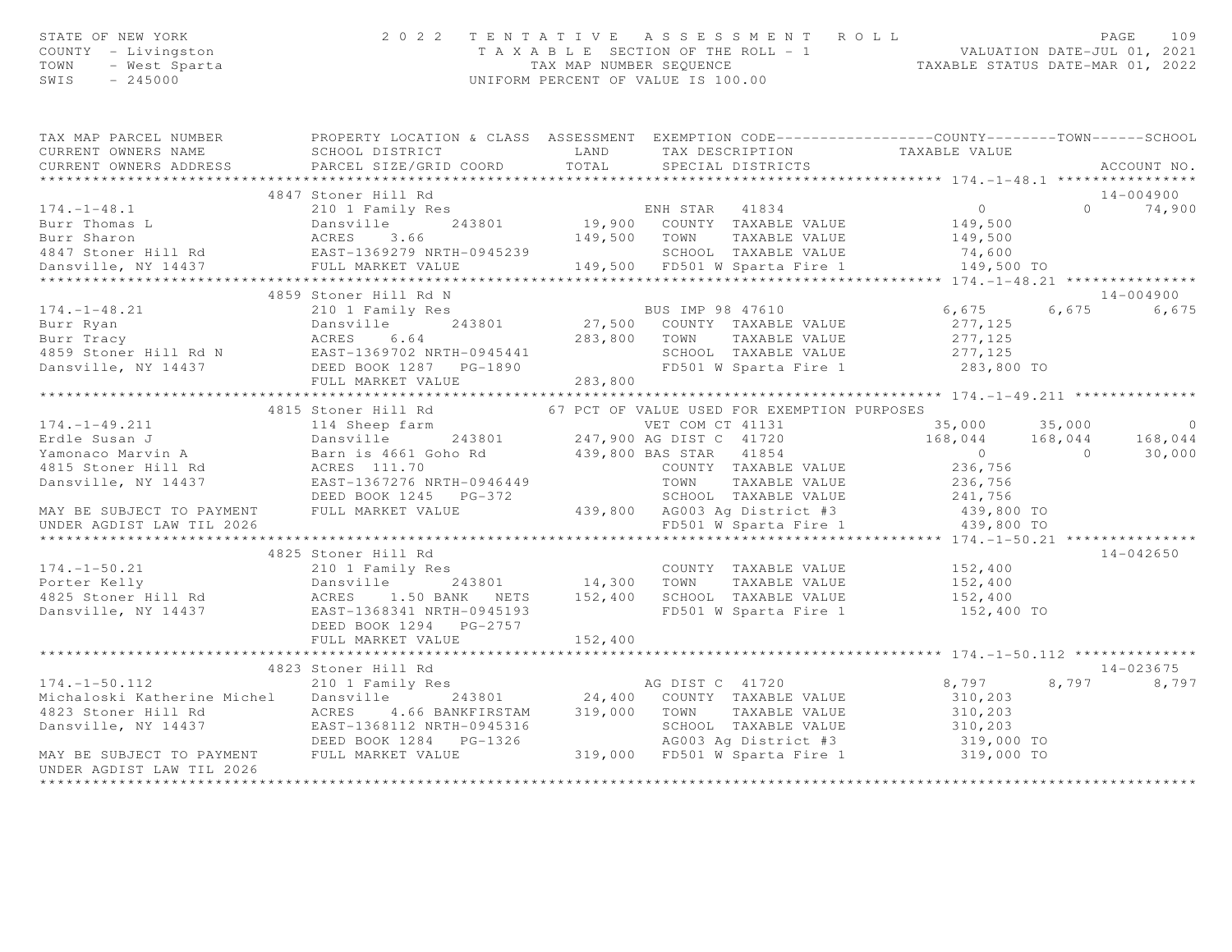| STATE OF NEW YORK<br>COUNTY - Livingston<br>- West Sparta<br>TOWN<br>SWIS<br>$-245000$                                            | 2 0 2 2                                                                                                                        | UNIFORM PERCENT OF VALUE IS 100.00 |                      | TENTATIVE ASSESSMENT ROLL                                 | T A X A B L E SECTION OF THE ROLL - 1<br>TAX MAP NUMBER SEQUENCE TAXABLE STATUS DATE-MAR 01, 2022 |                | PAGE<br>109   |
|-----------------------------------------------------------------------------------------------------------------------------------|--------------------------------------------------------------------------------------------------------------------------------|------------------------------------|----------------------|-----------------------------------------------------------|---------------------------------------------------------------------------------------------------|----------------|---------------|
| TAX MAP PARCEL NUMBER<br>CURRENT OWNERS NAME                                                                                      | PROPERTY LOCATION & CLASS ASSESSMENT EXEMPTION CODE-----------------COUNTY-------TOWN------SCHOOL<br>SCHOOL DISTRICT           |                                    | LAND TAX DESCRIPTION |                                                           | TAXABLE VALUE                                                                                     |                |               |
| CURRENT OWNERS ADDRESS                                                                                                            | PARCEL SIZE/GRID COORD                                                                                                         | TOTAL                              |                      | SPECIAL DISTRICTS                                         |                                                                                                   |                | ACCOUNT NO.   |
| ***********************                                                                                                           |                                                                                                                                |                                    |                      |                                                           |                                                                                                   |                |               |
|                                                                                                                                   | 4847 Stoner Hill Rd                                                                                                            |                                    |                      |                                                           |                                                                                                   |                | $14 - 004900$ |
| $174. - 1 - 48.1$                                                                                                                 |                                                                                                                                |                                    |                      |                                                           | $\overline{0}$                                                                                    | $\Omega$       | 74,900        |
| Burr Thomas L<br>Burr Sharon acres 3.66<br>4847 Stoner Hill Rd<br>Dansville, NY 14437<br>Dansville, NY 14437<br>FULL MARKET VALUE |                                                                                                                                |                                    |                      |                                                           | 149,500                                                                                           |                |               |
|                                                                                                                                   |                                                                                                                                |                                    |                      | 149,500 TOWN TAXABLE VALUE                                | 149,500                                                                                           |                |               |
|                                                                                                                                   |                                                                                                                                |                                    |                      | SCHOOL TAXABLE VALUE                                      | 74,600                                                                                            |                |               |
|                                                                                                                                   |                                                                                                                                |                                    |                      | 149,500 FD501 W Sparta Fire 1                             | 149,500 TO                                                                                        |                |               |
| *******************                                                                                                               | **************************                                                                                                     |                                    |                      | ************************************                      | ********* 174.-1-48.21 ****************                                                           |                |               |
|                                                                                                                                   | 4859 Stoner Hill Rd N                                                                                                          |                                    |                      |                                                           |                                                                                                   |                | $14 - 004900$ |
| $174. - 1 - 48.21$                                                                                                                | 210 1 Family Res                                                                                                               |                                    | BUS IMP 98 47610     |                                                           | 6,675                                                                                             |                | 6,675 6,675   |
| Burr Ryan                                                                                                                         | Dansville<br>ACRES 6.64<br>243801                                                                                              |                                    |                      | 27,500 COUNTY TAXABLE VALUE<br>283,800 TOWN TAXABLE VALUE | 277,125<br>277,125                                                                                |                |               |
| Burr Tracy                                                                                                                        |                                                                                                                                |                                    |                      | SCHOOL TAXABLE VALUE                                      | 277,125                                                                                           |                |               |
| 4859 Stoner Hill Rd N EAST-1369702 NRTH-0945441<br>Dansville, NY 14437                                                            | DEED BOOK 1287 PG-1890                                                                                                         |                                    |                      | FD501 W Sparta Fire 1                                     | 283,800 TO                                                                                        |                |               |
|                                                                                                                                   | FULL MARKET VALUE                                                                                                              | 283,800                            |                      |                                                           |                                                                                                   |                |               |
|                                                                                                                                   |                                                                                                                                |                                    |                      |                                                           | ******************** 174. -1-49. 211 ***************                                              |                |               |
|                                                                                                                                   | 4815 Stoner Hill Rd                                                                                                            |                                    |                      | 67 PCT OF VALUE USED FOR EXEMPTION PURPOSES               |                                                                                                   |                |               |
| $174. - 1 - 49.211$                                                                                                               | VET COM CT 41131<br>Barn is 4661 Goho Rd<br>ACRES 111.70<br>EASTAR 4199,800 BAS STAR 41854<br>COUNTY THEN 1167276 NRTH-0946440 |                                    |                      |                                                           | 35,000                                                                                            | 35,000         | $\Omega$      |
| Erdle Susan J                                                                                                                     | Dansville 243801 247,900 AG DIST C 41720                                                                                       |                                    |                      |                                                           | 168,044 168,044                                                                                   |                | 168,044       |
| Yamonaco Marvin A                                                                                                                 |                                                                                                                                |                                    |                      |                                                           | $\overline{a}$                                                                                    | $\overline{a}$ | 30,000        |
| 4815 Stoner Hill Rd                                                                                                               |                                                                                                                                |                                    |                      | COUNTY TAXABLE VALUE                                      | 236,756                                                                                           |                |               |
| Dansville, NY 14437                                                                                                               |                                                                                                                                |                                    |                      | TOWN TAXABLE VALUE                                        | 236,756                                                                                           |                |               |
|                                                                                                                                   |                                                                                                                                |                                    |                      | SCHOOL TAXABLE VALUE                                      | 241,756                                                                                           |                |               |
|                                                                                                                                   |                                                                                                                                |                                    |                      | 439,800 AG003 Ag District #3                              | 439,800 TO                                                                                        |                |               |
| DEED BOOK 1245 P<br>MAY BE SUBJECT TO PAYMENT FULL MARKET VALUE<br>UNDER AGDIST LAW TIL 2026                                      |                                                                                                                                |                                    |                      |                                                           | FD501 W Sparta Fire 1 439,800 TO                                                                  |                |               |
|                                                                                                                                   |                                                                                                                                |                                    |                      |                                                           |                                                                                                   |                |               |
|                                                                                                                                   | 4825 Stoner Hill Rd                                                                                                            |                                    |                      |                                                           |                                                                                                   |                | $14 - 042650$ |
| $174. - 1 - 50.21$                                                                                                                | 210 1 Family Res<br>Dansville 243801 14,300 TOWN TAXABLE VALUE                                                                 |                                    |                      | COUNTY TAXABLE VALUE                                      | 152,400                                                                                           |                |               |
| Porter Kelly                                                                                                                      |                                                                                                                                |                                    |                      |                                                           | 152,400                                                                                           |                |               |
| 4825 Stoner Hill Rd                                                                                                               | ACRES 1.50 BANK NETS 152,400 SCHOOL TAXABLE VALUE                                                                              |                                    |                      |                                                           | 152,400                                                                                           |                |               |
| Dansville, NY 14437                                                                                                               | EAST-1368341 NRTH-0945193<br>DEED BOOK 1294 PG-2757                                                                            |                                    |                      | FD501 W Sparta Fire 1                                     | 152,400 TO                                                                                        |                |               |
|                                                                                                                                   | FULL MARKET VALUE                                                                                                              | 152,400                            |                      |                                                           |                                                                                                   |                |               |
|                                                                                                                                   |                                                                                                                                |                                    |                      |                                                           |                                                                                                   |                |               |
|                                                                                                                                   | 4823 Stoner Hill Rd                                                                                                            |                                    |                      |                                                           |                                                                                                   |                | $14 - 023675$ |
| $174. - 1 - 50.112$                                                                                                               | oconer nill ka<br>210 1 Family Res                                                                                             |                                    | AG DIST C 41720      |                                                           | 8,797                                                                                             | 8,797          | 8,797         |
| Michaloski Katherine Michel                                                                                                       |                                                                                                                                |                                    |                      |                                                           | 310,203                                                                                           |                |               |
|                                                                                                                                   | Dansville 243801 24,400 COUNTY TAXABLE VALUE<br>ACRES 4.66 BANKFIRSTAM 319,000 TOWN TAXABLE VALUE                              |                                    |                      |                                                           | 310,203                                                                                           |                |               |
|                                                                                                                                   |                                                                                                                                |                                    |                      | SCHOOL TAXABLE VALUE                                      | 310,203                                                                                           |                |               |
|                                                                                                                                   |                                                                                                                                |                                    |                      |                                                           |                                                                                                   |                |               |
| 4823 Stoner Hill Rd<br>Dansville, NY 14437 EAST-1368112 NRTH-0945316<br>MAY BE SUBJECT TO PAYMENT FULL MARKET VALUE               |                                                                                                                                |                                    |                      | 319,000 FD501 W Sparta Fire 1                             | SCHOOL TAXABLE value<br>AG003 Ag District #3 319,000 TO<br>FRE01 M Sparta Fire 1 319,000 TO       |                |               |
| UNDER AGDIST LAW TIL 2026                                                                                                         |                                                                                                                                |                                    |                      |                                                           |                                                                                                   |                |               |
|                                                                                                                                   |                                                                                                                                |                                    |                      |                                                           |                                                                                                   |                |               |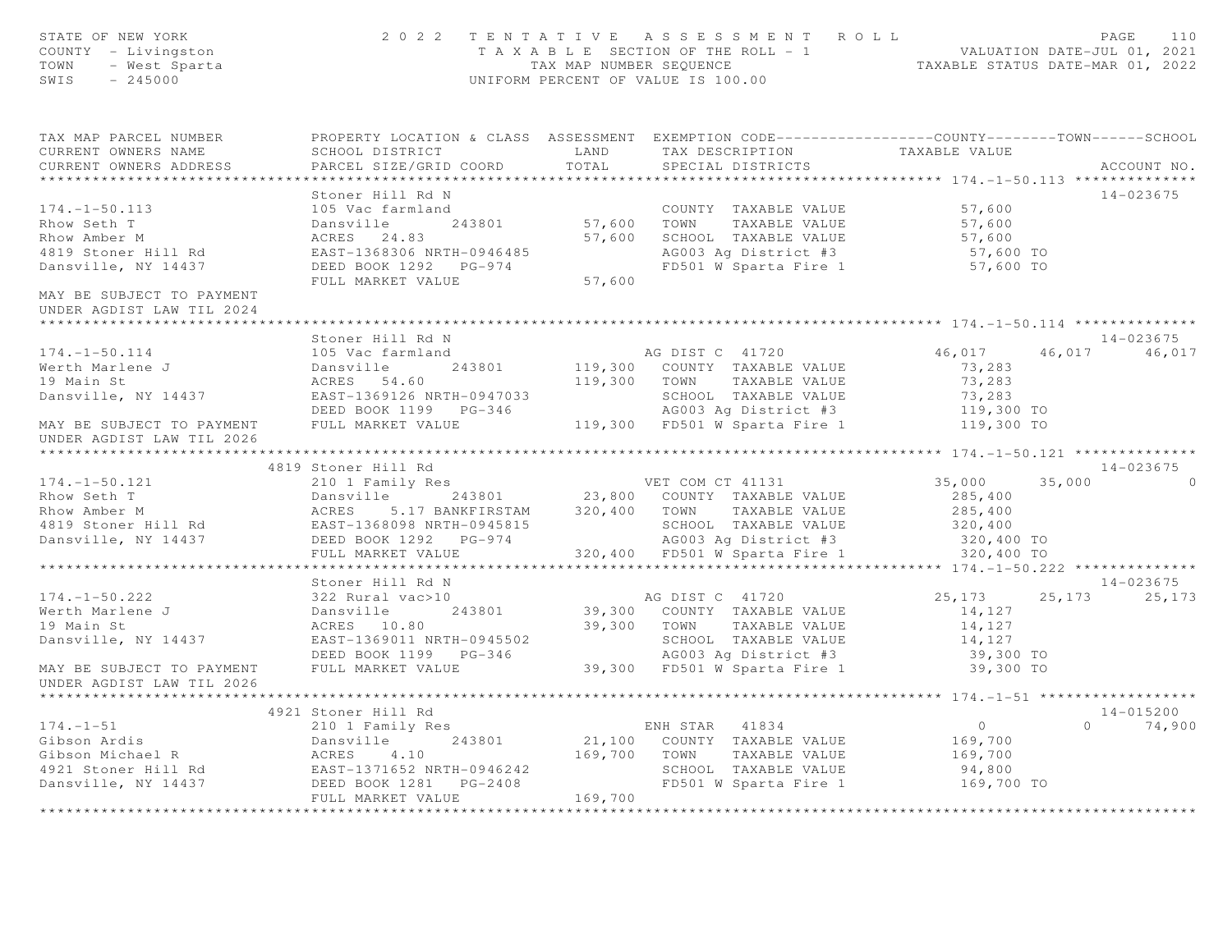| STATE OF NEW YORK<br>COUNTY - Livingston<br>OF NEW YORK<br>' - Livingston<br>- West Sparta<br>^ ^ ~ ^ ^ 0<br>TOWN<br>SWIS                                                                                                  | 2 0 2 2                                            |              | TENTATIVE ASSESSMENT ROLL<br>T A X A B L E SECTION OF THE ROLL - 1 VALUATION DATE-JUL 01, 2021<br>TAX MAP NUMBER SEQUENCE TAXABLE STATUS DATE-MAR 01, 2022<br>UNIFORM PERCENT OF VALUE IS 100.00 |                      | PAGE<br>110                                   |
|----------------------------------------------------------------------------------------------------------------------------------------------------------------------------------------------------------------------------|----------------------------------------------------|--------------|--------------------------------------------------------------------------------------------------------------------------------------------------------------------------------------------------|----------------------|-----------------------------------------------|
| TAX MAP PARCEL NUMBER<br>CURRENT OWNERS NAME                                                                                                                                                                               | SCHOOL DISTRICT                                    | LAND         | PROPERTY LOCATION & CLASS ASSESSMENT EXEMPTION CODE----------------COUNTY-------TOWN-----SCHOOL<br>TAX DESCRIPTION                                                                               | TAXABLE VALUE        |                                               |
| CURRENT OWNERS ADDRESS                                                                                                                                                                                                     | PARCEL SIZE/GRID COORD                             | TOTAL        | SPECIAL DISTRICTS                                                                                                                                                                                |                      | ACCOUNT NO.                                   |
|                                                                                                                                                                                                                            |                                                    |              |                                                                                                                                                                                                  |                      |                                               |
|                                                                                                                                                                                                                            | Stoner Hill Rd N                                   |              |                                                                                                                                                                                                  |                      | 14-023675                                     |
| $174. - 1 - 50.113$                                                                                                                                                                                                        | 105 Vac farmland                                   |              | COUNTY TAXABLE VALUE                                                                                                                                                                             | 57,600               |                                               |
| Rhow Seth T                                                                                                                                                                                                                | Dansville 243801                                   |              | 57,600 TOWN<br>TAXABLE VALUE                                                                                                                                                                     | 57,600               |                                               |
| Rhow Amber M                                                                                                                                                                                                               | ACRES 24.83                                        |              | 57,600 SCHOOL TAXABLE VALUE                                                                                                                                                                      | 57,600               |                                               |
| 4819 Stoner Hill Rd                                                                                                                                                                                                        | EAST-1368306 NRTH-0946485                          |              | AG003 Ag District #3<br>FD501 W Sparta Fire 1 57,600 TO                                                                                                                                          | 57,600 TO            |                                               |
| Dansville, NY 14437                                                                                                                                                                                                        | DEED BOOK 1292 PG-974<br>FULL MARKET VALUE         | 57,600       |                                                                                                                                                                                                  |                      |                                               |
| MAY BE SUBJECT TO PAYMENT<br>UNDER AGDIST LAW TIL 2024                                                                                                                                                                     |                                                    |              |                                                                                                                                                                                                  |                      |                                               |
|                                                                                                                                                                                                                            |                                                    |              |                                                                                                                                                                                                  |                      |                                               |
|                                                                                                                                                                                                                            | Stoner Hill Rd N                                   |              |                                                                                                                                                                                                  |                      | 14-023675                                     |
| $174. - 1 - 50.114$                                                                                                                                                                                                        | 105 Vac farmland                                   |              | AG DIST C 41720                                                                                                                                                                                  | 46,017               | 46,017 46,017                                 |
| Werth Marlene J                                                                                                                                                                                                            | Dansville<br>243801                                |              | 119,300 COUNTY TAXABLE VALUE                                                                                                                                                                     | 73,283               |                                               |
| 19 Main St                                                                                                                                                                                                                 | ACRES 54.60                                        |              | 119,300 TOWN TAXABLE VALUE                                                                                                                                                                       | 73,283               |                                               |
| Dansville, NY 14437                                                                                                                                                                                                        | EAST-1369126 NRTH-0947033                          |              | SCHOOL TAXABLE VALUE                                                                                                                                                                             | 73,283<br>119,300 TO |                                               |
| MAY BE SUBJECT TO PAYMENT                                                                                                                                                                                                  | DEED BOOK 1199 PG-346<br>FULL MARKET VALUE         |              | AG003 Ag District #3<br>119,300 FD501 W Sparta Fire 1                                                                                                                                            | 119,300 TO           |                                               |
| UNDER AGDIST LAW TIL 2026                                                                                                                                                                                                  | ***************                                    |              |                                                                                                                                                                                                  |                      | $x***********174. -1-50.121*****************$ |
|                                                                                                                                                                                                                            | 4819 Stoner Hill Rd                                |              |                                                                                                                                                                                                  |                      | $14 - 023675$                                 |
| $174. - 1 - 50.121$                                                                                                                                                                                                        | 210 1 Family Res                                   |              | VET COM CT 41131                                                                                                                                                                                 | 35,000               | 35,000 0                                      |
|                                                                                                                                                                                                                            |                                                    |              |                                                                                                                                                                                                  | 285,400              |                                               |
| Rhow Seth T<br>Rhow Amber M<br>ACRES 5.17 BANKFIRSTAM 320,400 TOWN TAXABLE VALUE<br>4819 Stoner Hill Rd<br>EAST-1368098 NRTH-0945815 SCHOOL TAXABLE VALUE<br>DANSYLLE, NY 14437 DEED BOOK 1292 PG-974 AG003 Ag District #3 |                                                    |              |                                                                                                                                                                                                  | 285,400              |                                               |
|                                                                                                                                                                                                                            |                                                    |              | SCHOOL TAXABLE VALUE                                                                                                                                                                             | 320, 400             |                                               |
|                                                                                                                                                                                                                            |                                                    |              | AG003 Ag District #3                                                                                                                                                                             | 320,400 TO           |                                               |
|                                                                                                                                                                                                                            | FULL MARKET VALUE                                  |              | 320,400 FD501 W Sparta Fire 1                                                                                                                                                                    | 320,400 TO           |                                               |
|                                                                                                                                                                                                                            |                                                    |              |                                                                                                                                                                                                  |                      |                                               |
|                                                                                                                                                                                                                            | Stoner Hill Rd N                                   |              |                                                                                                                                                                                                  |                      | 14-023675                                     |
| $174. - 1 - 50.222$                                                                                                                                                                                                        | 322 Rural vac>10                                   |              | AG DIST C 41720<br>39,300 COUNTY TAXABLE VALUE                                                                                                                                                   | 25,173               | 25, 173 25, 173                               |
| Werth Marlene J                                                                                                                                                                                                            | Dansville<br>243801                                |              |                                                                                                                                                                                                  | 14,127               |                                               |
| 19 Main St                                                                                                                                                                                                                 | ACRES 10.80                                        |              | 39,300 TOWN TAXABLE VALUE                                                                                                                                                                        | 14,127               |                                               |
| Dansville, NY 14437                                                                                                                                                                                                        | EAST-1369011 NRTH-0945502<br>DEED BOOK 1199 PG-346 |              | SCHOOL TAXABLE VALUE                                                                                                                                                                             | 14,127<br>39,300 TO  |                                               |
| MAY BE SUBJECT TO PAYMENT                                                                                                                                                                                                  | FULL MARKET VALUE                                  |              | AG003 Ag District #3<br>39,300 FD501 W Sparta Fire 1                                                                                                                                             | 39,300 TO            |                                               |
| UNDER AGDIST LAW TIL 2026                                                                                                                                                                                                  |                                                    |              |                                                                                                                                                                                                  |                      |                                               |
|                                                                                                                                                                                                                            |                                                    |              |                                                                                                                                                                                                  |                      |                                               |
|                                                                                                                                                                                                                            | 4921 Stoner Hill Rd                                |              |                                                                                                                                                                                                  |                      | $14 - 015200$                                 |
| $174. - 1 - 51$                                                                                                                                                                                                            | 210 1 Family Res                                   |              | ENH STAR 41834                                                                                                                                                                                   | $\overline{0}$       | $\Omega$<br>74,900                            |
| Gibson Ardis                                                                                                                                                                                                               | 243801<br>Dansville                                |              | 21,100 COUNTY TAXABLE VALUE                                                                                                                                                                      | 169,700              |                                               |
|                                                                                                                                                                                                                            |                                                    | 169,700 TOWN | TAXABLE VALUE<br>SCHOOL TAXABLE VALUE                                                                                                                                                            | 169,700<br>94,800    |                                               |
| Gibson Ardis<br>Gibson Michael R<br>4921 Stoner Hill Rd<br>Dansville, NY 14437<br>DEED BOOK 1281 PG-2408                                                                                                                   |                                                    |              | FD501 W Sparta Fire 1                                                                                                                                                                            | 169,700 TO           |                                               |
|                                                                                                                                                                                                                            | FULL MARKET VALUE                                  | 169,700      |                                                                                                                                                                                                  |                      |                                               |
|                                                                                                                                                                                                                            |                                                    |              |                                                                                                                                                                                                  |                      |                                               |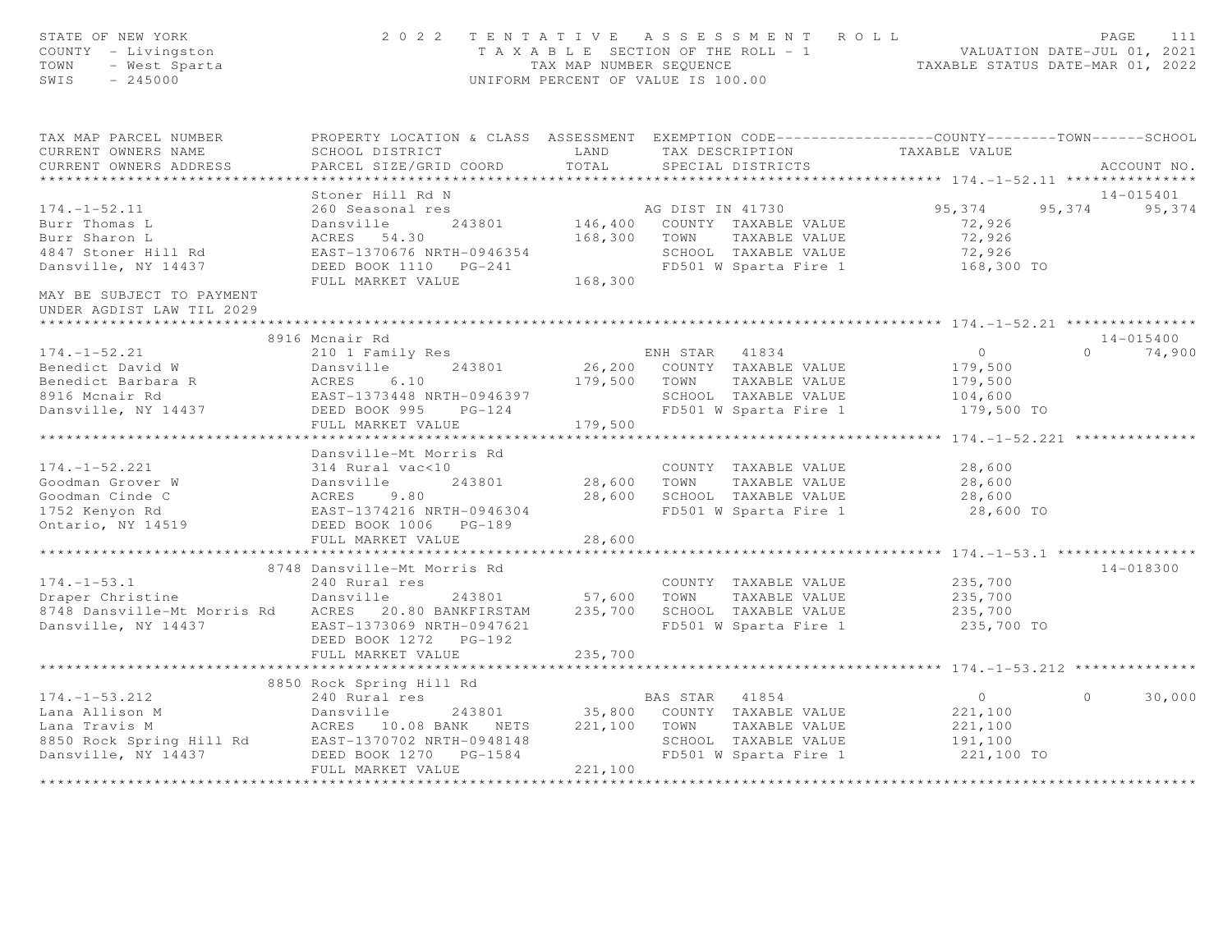| STATE OF NEW YORK<br>COUNTY - Livingston<br>TOWN<br>- West Sparta<br>$-245000$<br>SWIS                                                                                                                                   | 2022 TENTATIVE ASSESSMENT ROLL                                                                   | UNIFORM PERCENT OF VALUE IS 100.00 |                |                                    | T A X A B L E SECTION OF THE ROLL - 1<br>TAX MAP NUMBER SEQUENCE TAXABLE STATUS DATE-MAR 01, 2022 | PAGE<br>111        |
|--------------------------------------------------------------------------------------------------------------------------------------------------------------------------------------------------------------------------|--------------------------------------------------------------------------------------------------|------------------------------------|----------------|------------------------------------|---------------------------------------------------------------------------------------------------|--------------------|
| TAX MAP PARCEL NUMBER                                                                                                                                                                                                    | PROPERTY LOCATION & CLASS ASSESSMENT EXEMPTION CODE----------------COUNTY-------TOWN------SCHOOL |                                    |                |                                    |                                                                                                   |                    |
| CURRENT OWNERS NAME                                                                                                                                                                                                      | SCHOOL DISTRICT                                                                                  | LAND                               |                | TAX DESCRIPTION                    | TAXABLE VALUE                                                                                     |                    |
| CURRENT OWNERS ADDRESS                                                                                                                                                                                                   | PARCEL SIZE/GRID COORD                                                                           | TOTAL                              |                | SPECIAL DISTRICTS                  |                                                                                                   | ACCOUNT NO.        |
|                                                                                                                                                                                                                          |                                                                                                  |                                    |                |                                    |                                                                                                   |                    |
|                                                                                                                                                                                                                          | Stoner Hill Rd N                                                                                 |                                    |                | AG DIST IN 41730                   |                                                                                                   | 14-015401          |
| $174. - 1 - 52.11$                                                                                                                                                                                                       | 260 Seasonal res                                                                                 |                                    |                |                                    | 95,374                                                                                            | 95,374<br>95,374   |
| Burr Thomas L                                                                                                                                                                                                            | Dansville<br>243801                                                                              |                                    |                | 146,400 COUNTY TAXABLE VALUE       | 72,926                                                                                            |                    |
| Burr Sharon L                                                                                                                                                                                                            | ACRES 54.30                                                                                      | 168,300 TOWN                       |                | TAXABLE VALUE                      | 72,926                                                                                            |                    |
| 4847 Stoner Hill Rd                                                                                                                                                                                                      | EAST-1370676 NRTH-0946354                                                                        |                                    |                | SCHOOL TAXABLE VALUE               | 72,926                                                                                            |                    |
| Dansville, NY 14437                                                                                                                                                                                                      | FULL MARKET VALUE                                                                                |                                    |                | FD501 W Sparta Fire 1              | 168,300 TO                                                                                        |                    |
| MAY BE SUBJECT TO PAYMENT                                                                                                                                                                                                |                                                                                                  | 168,300                            |                |                                    |                                                                                                   |                    |
| UNDER AGDIST LAW TIL 2029                                                                                                                                                                                                |                                                                                                  |                                    |                |                                    |                                                                                                   |                    |
|                                                                                                                                                                                                                          |                                                                                                  |                                    |                |                                    |                                                                                                   |                    |
|                                                                                                                                                                                                                          | 8916 Mcnair Rd                                                                                   |                                    |                |                                    |                                                                                                   | $14 - 015400$      |
| $174. - 1 - 52.21$                                                                                                                                                                                                       | 210 1 Family Res                                                                                 |                                    |                | ENH STAR 41834                     | $\overline{0}$                                                                                    | $\Omega$<br>74,900 |
| Benedict David W                                                                                                                                                                                                         | Dansville<br>243801                                                                              |                                    |                | 26,200 COUNTY TAXABLE VALUE        | 179,500                                                                                           |                    |
|                                                                                                                                                                                                                          |                                                                                                  | 179,500 TOWN                       |                | TAXABLE VALUE                      | 179,500                                                                                           |                    |
|                                                                                                                                                                                                                          |                                                                                                  |                                    |                | SCHOOL TAXABLE VALUE               | 104,600                                                                                           |                    |
| Dansville, NY 14437                                                                                                                                                                                                      | DEED BOOK 995<br>$PG-124$                                                                        |                                    |                | FD501 W Sparta Fire 1              | 179,500 TO                                                                                        |                    |
|                                                                                                                                                                                                                          | FULL MARKET VALUE                                                                                | 179,500                            |                |                                    |                                                                                                   |                    |
|                                                                                                                                                                                                                          |                                                                                                  |                                    |                |                                    |                                                                                                   |                    |
|                                                                                                                                                                                                                          | Dansville-Mt Morris Rd                                                                           |                                    |                |                                    |                                                                                                   |                    |
| $174. - 1 - 52.221$                                                                                                                                                                                                      |                                                                                                  |                                    |                | COUNTY TAXABLE VALUE               | 28,600                                                                                            |                    |
| Goodman Grover W                                                                                                                                                                                                         |                                                                                                  | 28,600 TOWN                        |                | TAXABLE VALUE                      | 28,600                                                                                            |                    |
| Goodman Cinde C                                                                                                                                                                                                          |                                                                                                  | 28,600                             |                | SCHOOL TAXABLE VALUE               | 28,600                                                                                            |                    |
| 1752 Kenyon Rd<br>Ontario, NY 14519                                                                                                                                                                                      | 314 Kural vaces<br>Dansville 243801<br>ACRES 9.80<br>EAST-1374216 NRTH-0946304                   |                                    |                | FD501 W Sparta Fire 1              | 28,600 TO                                                                                         |                    |
|                                                                                                                                                                                                                          | DEED BOOK 1006 PG-189                                                                            |                                    |                |                                    |                                                                                                   |                    |
|                                                                                                                                                                                                                          | FULL MARKET VALUE                                                                                | 28,600                             |                |                                    |                                                                                                   |                    |
|                                                                                                                                                                                                                          |                                                                                                  |                                    |                |                                    |                                                                                                   |                    |
|                                                                                                                                                                                                                          | 8748 Dansville-Mt Morris Rd                                                                      |                                    |                |                                    |                                                                                                   | 14-018300          |
| $174. - 1 - 53.1$                                                                                                                                                                                                        | 240 Rural res                                                                                    |                                    |                | COUNTY TAXABLE VALUE               | 235,700                                                                                           |                    |
| Draper Christine                                                                                                                                                                                                         | Dansville                                                                                        | 243801 57,600                      | TOWN           | TAXABLE VALUE                      | 235,700                                                                                           |                    |
| 8748 Dansville-Mt Morris Rd ACRES 20.80 BANKFIRSTAM                                                                                                                                                                      |                                                                                                  | 235,700                            |                | SCHOOL TAXABLE VALUE               | 235,700                                                                                           |                    |
| Dansville, NY 14437                                                                                                                                                                                                      | EAST-1373069 NRTH-0947621                                                                        |                                    |                | FD501 W Sparta Fire 1              | 235,700 TO                                                                                        |                    |
|                                                                                                                                                                                                                          | DEED BOOK 1272 PG-192                                                                            |                                    |                |                                    |                                                                                                   |                    |
|                                                                                                                                                                                                                          | FULL MARKET VALUE                                                                                | 235,700                            |                |                                    | ********************* 174.-1-53.212 ***********                                                   |                    |
|                                                                                                                                                                                                                          | 8850 Rock Spring Hill Rd                                                                         |                                    |                |                                    |                                                                                                   |                    |
|                                                                                                                                                                                                                          |                                                                                                  |                                    | BAS STAR 41854 |                                    | $\overline{0}$                                                                                    | $\Omega$<br>30,000 |
| 174.-1-53.212 240 Rural res<br>Lana Allison M Dansville 243801 35,800<br>Lana Travis M ACRES 10.08 BANK NETS 221,100<br>8850 Rock Spring Hill Rd EAST-1370702 NRTH-0948148<br>Dansville, NY 14437 DEED BOOK 1270 PG-1584 |                                                                                                  |                                    |                | 243801 35,800 COUNTY TAXABLE VALUE | 221,100                                                                                           |                    |
|                                                                                                                                                                                                                          |                                                                                                  |                                    | TOWN           | TAXABLE VALUE                      | 221,100                                                                                           |                    |
|                                                                                                                                                                                                                          |                                                                                                  |                                    |                | SCHOOL TAXABLE VALUE               | 191,100                                                                                           |                    |
| Dansville, NY 14437                                                                                                                                                                                                      | DEED BOOK 1270 PG-1584                                                                           |                                    |                | FD501 W Sparta Fire 1              | 221,100 TO                                                                                        |                    |
|                                                                                                                                                                                                                          | FULL MARKET VALUE                                                                                | 221,100                            |                |                                    |                                                                                                   |                    |
|                                                                                                                                                                                                                          |                                                                                                  |                                    |                |                                    |                                                                                                   |                    |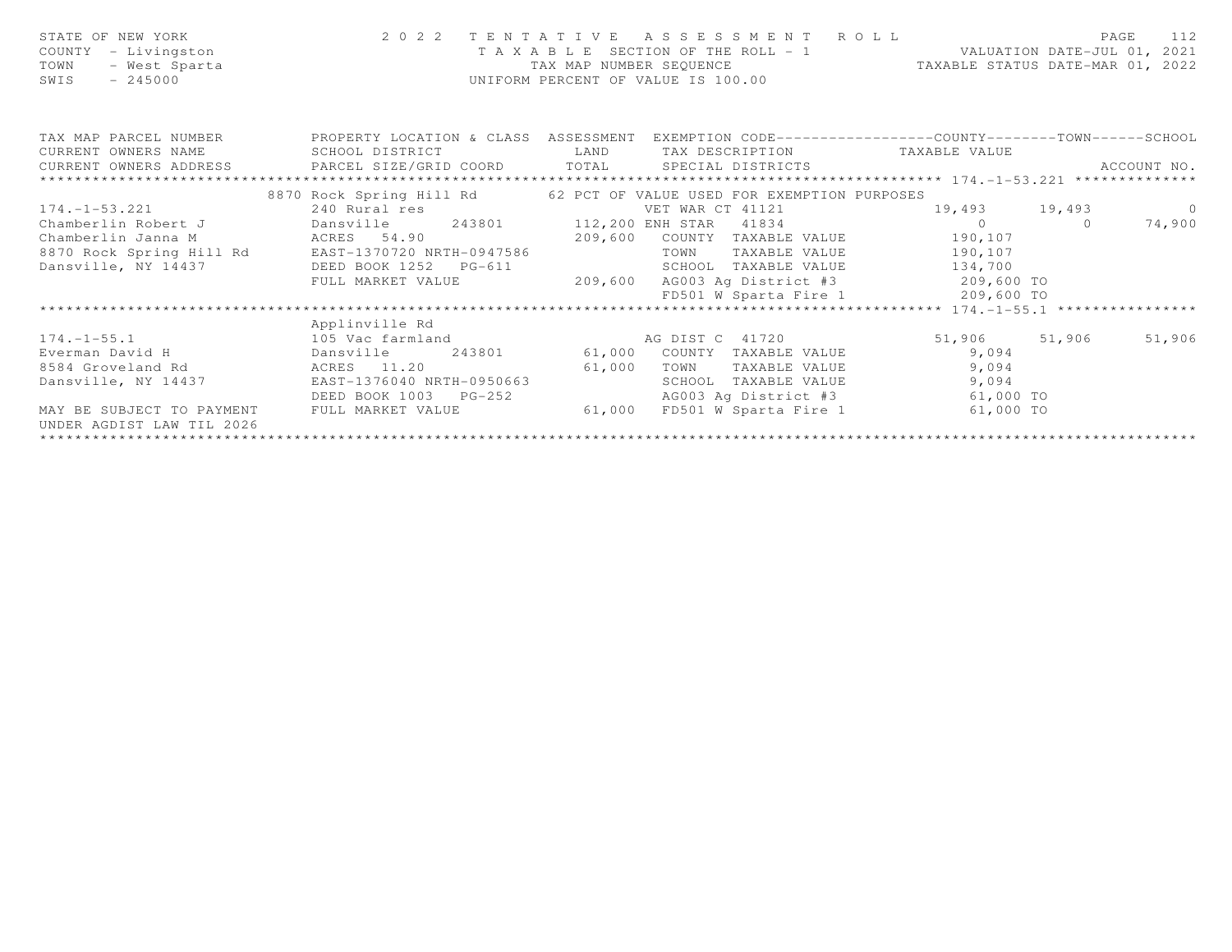| STATE OF NEW YORK<br>COUNTY - Livingston<br>- West Sparta<br>TOWN<br>$-245000$<br>SWIS |                                                                      | TAX MAP NUMBER SEQUENCE | UNIFORM PERCENT OF VALUE IS 100.00 | 2022 TENTATIVE ASSESSMENT ROLL<br>T A X A B L E SECTION OF THE ROLL - 1 VALUATION DATE-JUL 01, 2021<br>TAXABLE STATUS DATE-MAR 01, 2022 | PAGE<br>112     |
|----------------------------------------------------------------------------------------|----------------------------------------------------------------------|-------------------------|------------------------------------|-----------------------------------------------------------------------------------------------------------------------------------------|-----------------|
|                                                                                        | TAX MAP PARCEL NUMBER TROPERTY LOCATION & CLASS ASSESSMENT           |                         |                                    | EXEMPTION CODE-----------------COUNTY-------TOWN------SCHOOL                                                                            |                 |
| CURRENT OWNERS NAME                                                                    | SCHOOL DISTRICT                                                      | LAND                    |                                    | TAX DESCRIPTION TAXABLE VALUE                                                                                                           |                 |
| CURRENT OWNERS ADDRESS PARCEL SIZE/GRID COORD TOTAL SPECIAL DISTRICTS                  |                                                                      |                         |                                    |                                                                                                                                         | ACCOUNT NO.     |
|                                                                                        |                                                                      |                         |                                    |                                                                                                                                         |                 |
|                                                                                        | 8870 Rock Spring Hill Rd 62 PCT OF VALUE USED FOR EXEMPTION PURPOSES |                         |                                    |                                                                                                                                         |                 |
| $174. -1 - 53.221$                                                                     | 240 Rural res                                                        |                         | VET WAR CT 41121                   |                                                                                                                                         | 19,493 19,493 0 |
|                                                                                        | Chamberlin Robert J Dansville 243801 112,200 ENH STAR 41834          |                         |                                    | $\overline{0}$ 0                                                                                                                        | 74,900          |
| Chamberlin Janna M                                                                     | ACRES 54.90 209,600                                                  |                         | COUNTY TAXABLE VALUE               | 190,107                                                                                                                                 |                 |
|                                                                                        | 8870 Rock Spring Hill Rd EAST-1370720 NRTH-0947586                   |                         | TOWN                               | TAXABLE VALUE 190,107                                                                                                                   |                 |
| Dansville, NY 14437                                                                    | DEED BOOK 1252 PG-611                                                |                         |                                    | SCHOOL TAXABLE VALUE 134,700                                                                                                            |                 |
|                                                                                        | FULL MARKET VALUE                                                    | 209,600                 |                                    | AG003 Ag District #3 209,600 TO                                                                                                         |                 |
|                                                                                        |                                                                      |                         |                                    | FD501 W Sparta Fire $1$ 209,600 TO                                                                                                      |                 |
|                                                                                        |                                                                      |                         |                                    |                                                                                                                                         |                 |
|                                                                                        | Applinville Rd                                                       |                         |                                    |                                                                                                                                         |                 |
| $174. - 1 - 55.1$                                                                      | 105 Vac farmland                                                     |                         | AG DIST C 41720                    | 51,906 51,906                                                                                                                           | 51,906          |
| Everman David H                                                                        | Dansville 243801 61,000 COUNTY TAXABLE VALUE 9,094                   |                         |                                    |                                                                                                                                         |                 |
| 8584 Groveland Rd ACRES 11.20                                                          | 61,000                                                               |                         | TOWN                               | 9,094<br>TAXABLE VALUE                                                                                                                  |                 |
| Dansville, NY 14437                                                                    | EAST-1376040 NRTH-0950663                                            |                         | SCHOOL TAXABLE VALUE               | 9,094                                                                                                                                   |                 |
|                                                                                        | DEED BOOK 1003 PG-252                                                |                         | AG003 Ag District #3               | 61,000 TO                                                                                                                               |                 |
| MAY BE SUBJECT TO PAYMENT                                                              | FULL MARKET VALUE                                                    | 61,000                  | FD501 W Sparta Fire 1              | 61,000 TO                                                                                                                               |                 |
| UNDER AGDIST LAW TIL 2026                                                              |                                                                      |                         |                                    |                                                                                                                                         |                 |
|                                                                                        |                                                                      |                         |                                    |                                                                                                                                         |                 |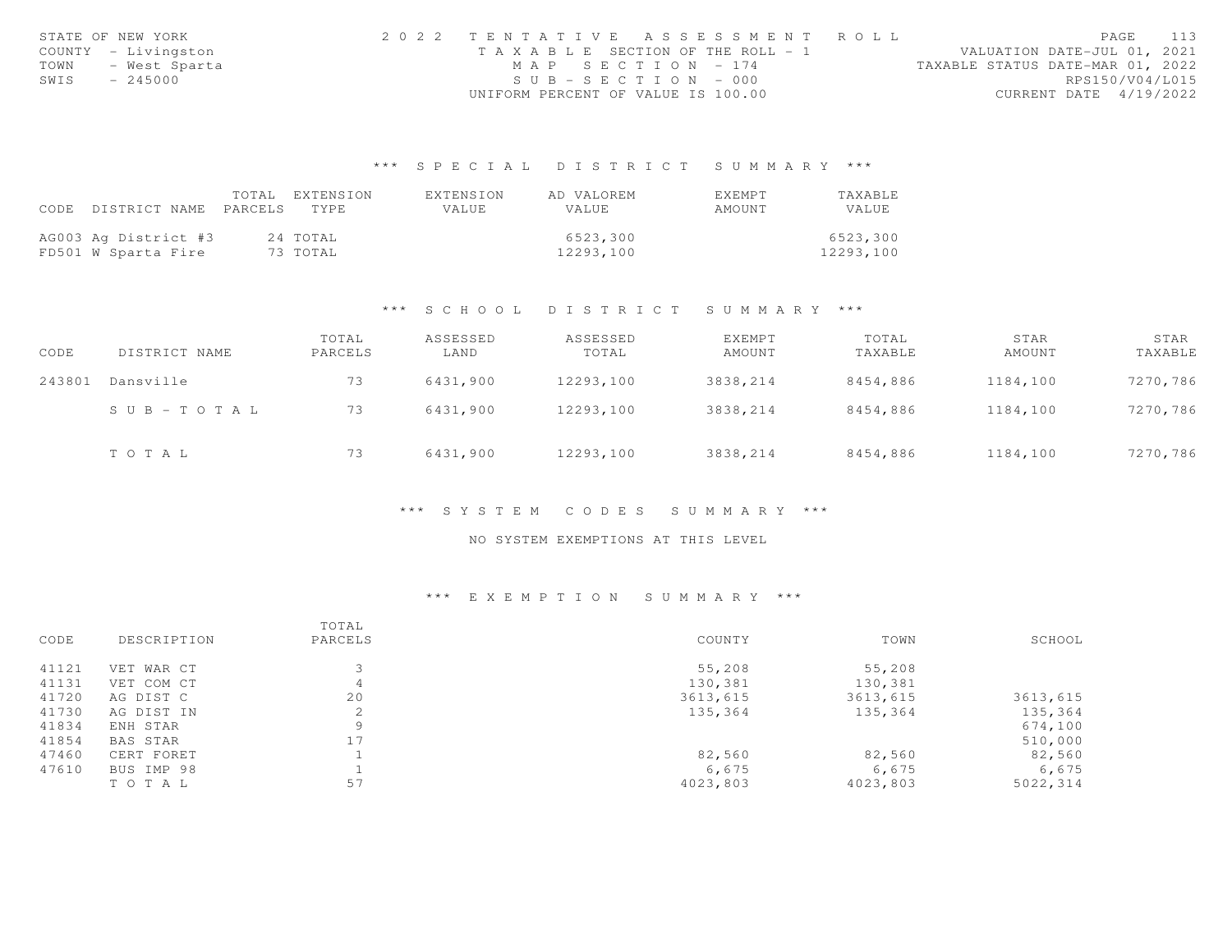|      | STATE OF NEW YORK   |                                       |                    | 2022 TENTATIVE ASSESSMENT ROLL |                                  |                        | PAGE 113 |  |
|------|---------------------|---------------------------------------|--------------------|--------------------------------|----------------------------------|------------------------|----------|--|
|      | COUNTY - Livingston | T A X A B L E SECTION OF THE ROLL - 1 |                    |                                | VALUATION DATE-JUL 01, 2021      |                        |          |  |
| TOWN | - West Sparta       |                                       | MAP SECTION $-174$ |                                | TAXABLE STATUS DATE-MAR 01, 2022 |                        |          |  |
| SWIS | $-245000$           | $SUB - SECTION - 000$                 |                    |                                |                                  | RPS150/V04/L015        |          |  |
|      |                     | UNIFORM PERCENT OF VALUE IS 100.00    |                    |                                |                                  | CURRENT DATE 4/19/2022 |          |  |

## \*\*\* S P E C I A L D I S T R I C T S U M M A R Y \*\*\*

|                                 | TOTAL | EXTENSION | EXTENSION | AD VALOREM   | EXEMPT | TAXABLE   |
|---------------------------------|-------|-----------|-----------|--------------|--------|-----------|
| CODE DISTRICT NAME PARCELS TYPE |       |           | VALUE     | <b>VALUE</b> | AMOUNT | VALUE     |
|                                 |       |           |           |              |        |           |
| AG003 Ag District #3            |       | 24 TOTAL  |           | 6523,300     |        | 6523,300  |
| FD501 W Sparta Fire             |       | 73 TOTAL  |           | 12293,100    |        | 12293,100 |

### \*\*\* S C H O O L D I S T R I C T S U M M A R Y \*\*\*

| CODE   | DISTRICT NAME         | TOTAL<br>PARCELS | ASSESSED<br>LAND | ASSESSED<br>TOTAL | EXEMPT<br>AMOUNT | TOTAL<br>TAXABLE | STAR<br>AMOUNT | STAR<br>TAXABLE |
|--------|-----------------------|------------------|------------------|-------------------|------------------|------------------|----------------|-----------------|
| 243801 | Dansville             | 73               | 6431,900         | 12293,100         | 3838,214         | 8454,886         | 1184,100       | 7270,786        |
|        | $S \cup B - TO T A L$ | 73               | 6431,900         | 12293,100         | 3838,214         | 8454,886         | 1184,100       | 7270,786        |
|        | TOTAL                 | 73               | 6431,900         | 12293,100         | 3838,214         | 8454,886         | 1184,100       | 7270,786        |

### \*\*\* S Y S T E M C O D E S S U M M A R Y \*\*\*

### NO SYSTEM EXEMPTIONS AT THIS LEVEL

## \*\*\* E X E M P T I O N S U M M A R Y \*\*\*

| CODE  | DESCRIPTION | TOTAL<br>PARCELS | COUNTY   | TOWN     | SCHOOL   |
|-------|-------------|------------------|----------|----------|----------|
| 41121 | VET WAR CT  |                  | 55,208   | 55,208   |          |
| 41131 | VET COM CT  |                  | 130,381  | 130,381  |          |
| 41720 | AG DIST C   | 20               | 3613,615 | 3613,615 | 3613,615 |
| 41730 | AG DIST IN  |                  | 135,364  | 135,364  | 135,364  |
| 41834 | ENH STAR    |                  |          |          | 674,100  |
| 41854 | BAS STAR    | 17               |          |          | 510,000  |
| 47460 | CERT FORET  |                  | 82,560   | 82,560   | 82,560   |
| 47610 | BUS IMP 98  |                  | 6,675    | 6,675    | 6,675    |
|       | TO TAL      | 57               | 4023,803 | 4023,803 | 5022,314 |
|       |             |                  |          |          |          |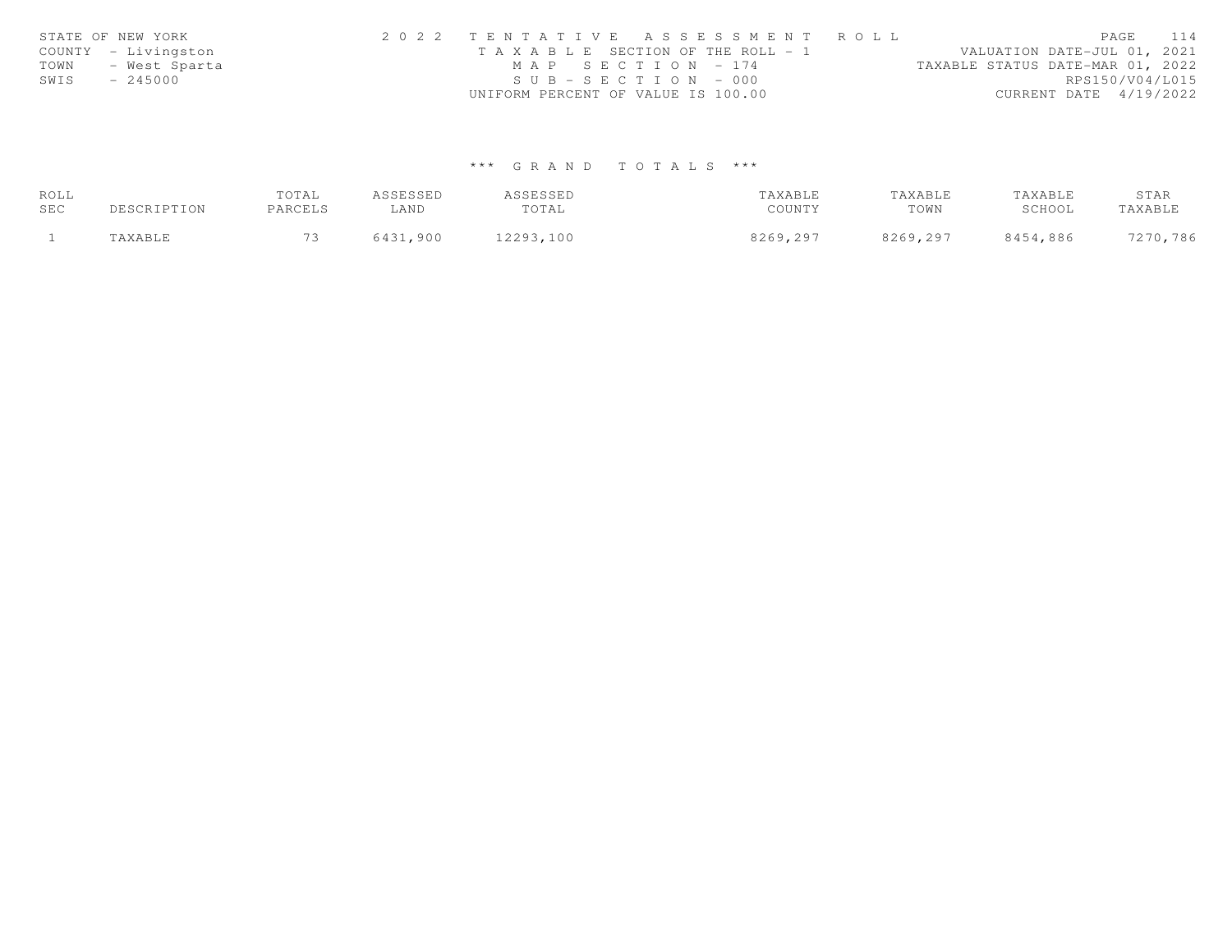| STATE OF NEW YORK     | 2022 TENTATIVE ASSESSMENT ROLL        | PAGE                             | 114             |
|-----------------------|---------------------------------------|----------------------------------|-----------------|
| COUNTY - Livingston   | T A X A B L E SECTION OF THE ROLL - 1 | VALUATION DATE-JUL 01, 2021      |                 |
| TOWN<br>- West Sparta | $MAP$ SECTION - 174                   | TAXABLE STATUS DATE-MAR 01, 2022 |                 |
| SWIS<br>$-245000$     | $SUB - SECTION - 000$                 |                                  | RPS150/V04/L015 |
|                       | UNIFORM PERCENT OF VALUE IS 100.00    | CURRENT DATE 4/19/2022           |                 |

# \*\*\* G R A N D T O T A L S \*\*\*

| ROLL |             | TOTAL   | ASSESSED | ASSESSED  | TAXABLE  | TAXABLE  | TAXABLE  | STAR     |
|------|-------------|---------|----------|-----------|----------|----------|----------|----------|
| SEC  | DESCRIPTION | PARCELS | ∟AND     | TOTAL     | COUNTY   | TOWN     | SCHOOL   | TAXABLE  |
|      | "AXABLE     | $\sim$  | 6431,900 | 12293,100 | 8269,297 | 8269,297 | 8454,886 | 7270,786 |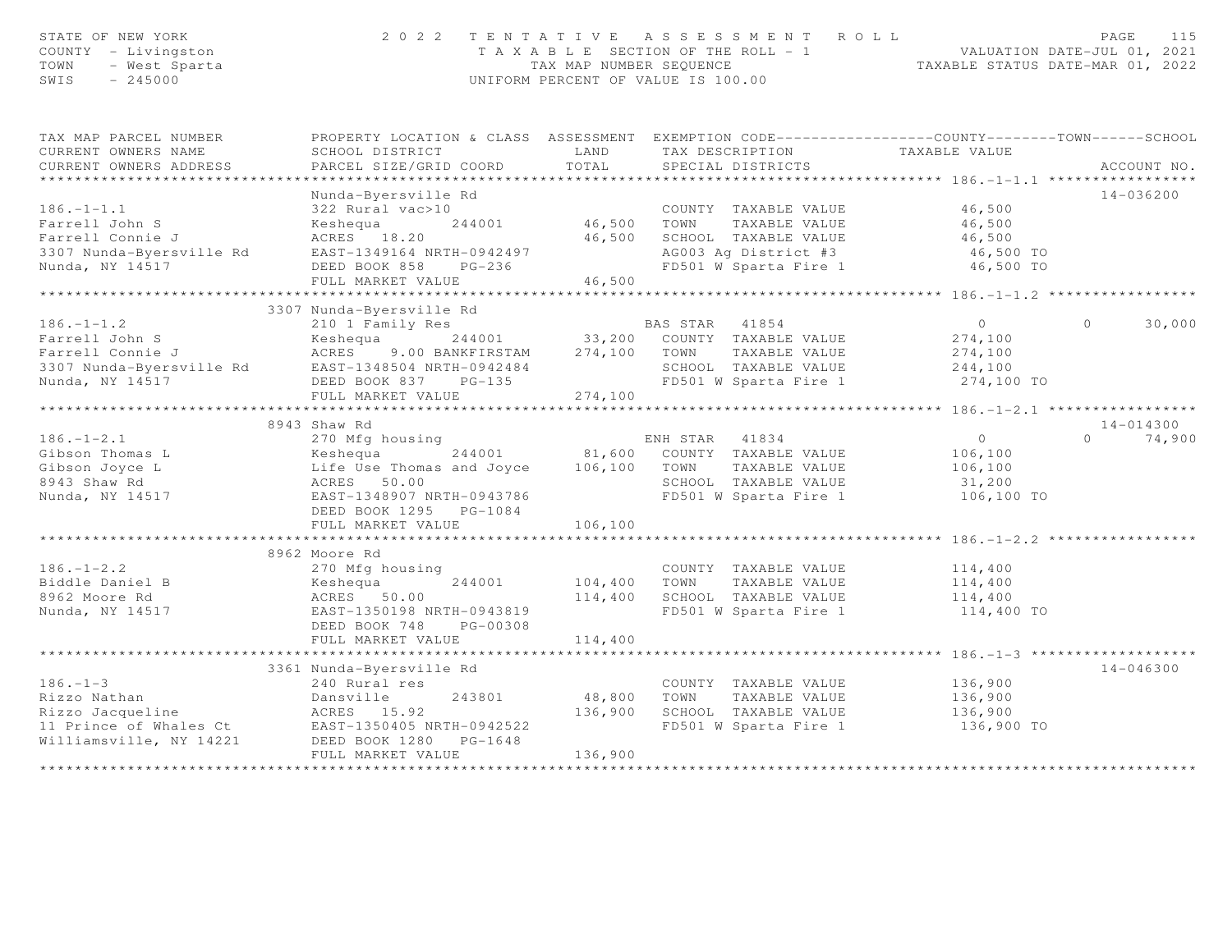| STATE OF NEW YORK<br>COUNTY - Livingston<br>TOWN<br>- West Sparta<br>SWIS<br>$-245000$ |                                                                                                                   | TAX MAP NUMBER SEQUENCE | 2022 TENTATIVE ASSESSMENT ROLL<br>T A X A B L E SECTION OF THE ROLL - 1<br>UNIFORM PERCENT OF VALUE IS 100.00 | VALUATION DATE-JUL 01, 2021                          | 115<br>PAGE<br>TAXABLE STATUS DATE-MAR 01, 2022 |
|----------------------------------------------------------------------------------------|-------------------------------------------------------------------------------------------------------------------|-------------------------|---------------------------------------------------------------------------------------------------------------|------------------------------------------------------|-------------------------------------------------|
| TAX MAP PARCEL NUMBER<br>CURRENT OWNERS NAME                                           | PROPERTY LOCATION & CLASS ASSESSMENT EXEMPTION CODE---------------COUNTY-------TOWN-----SCHOOL<br>SCHOOL DISTRICT | LAND                    | TAX DESCRIPTION                                                                                               | TAXABLE VALUE                                        |                                                 |
| CURRENT OWNERS ADDRESS<br>*************************                                    | PARCEL SIZE/GRID COORD                                                                                            | TOTAL                   | SPECIAL DISTRICTS                                                                                             |                                                      | ACCOUNT NO.                                     |
| $186. - 1 - 1.1$                                                                       | Nunda-Byersville Rd<br>322 Rural vac>10                                                                           |                         | COUNTY TAXABLE VALUE                                                                                          | 46,500                                               | $14 - 036200$                                   |
| Farrell John S                                                                         | Keshequa<br>244001                                                                                                | 46,500 TOWN             | TAXABLE VALUE                                                                                                 | 46,500                                               |                                                 |
| Farrell Connie J                                                                       | ACRES 18.20                                                                                                       |                         | 46,500 SCHOOL TAXABLE VALUE                                                                                   | 46,500                                               |                                                 |
| 3307 Nunda-Byersville Rd                                                               | EAST-1349164 NRTH-0942497                                                                                         |                         | AG003 Ag District #3                                                                                          | 46,500 TO                                            |                                                 |
| Nunda, NY 14517                                                                        | DEED BOOK 858<br>$PG-236$                                                                                         |                         | FD501 W Sparta Fire 1                                                                                         | 46,500 TO                                            |                                                 |
|                                                                                        | FULL MARKET VALUE                                                                                                 | 46,500                  |                                                                                                               |                                                      |                                                 |
|                                                                                        |                                                                                                                   |                         |                                                                                                               |                                                      |                                                 |
|                                                                                        | 3307 Nunda-Byersville Rd                                                                                          |                         |                                                                                                               |                                                      |                                                 |
| $186. - 1 - 1.2$                                                                       | 210 1 Family Res                                                                                                  |                         | BAS STAR 41854                                                                                                | $\circ$                                              | $\circ$<br>30,000                               |
| Farrell John S<br>Farrell Connie J                                                     | Keshequa<br>ACRES                                                                                                 |                         | 244001 33,200 COUNTY TAXABLE VALUE<br>9.00 BANKFIRSTAM 274,100 TOWN TAXABLE VALUE<br>TAXABLE VALUE            | 274,100                                              |                                                 |
| 3307 Nunda-Byersville Rd                                                               | EAST-1348504 NRTH-0942484                                                                                         |                         | SCHOOL TAXABLE VALUE                                                                                          | 274,100<br>244,100                                   |                                                 |
| Nunda, NY 14517                                                                        | DEED BOOK 837 PG-135                                                                                              |                         | FD501 W Sparta Fire 1                                                                                         | 274,100 TO                                           |                                                 |
|                                                                                        | FULL MARKET VALUE                                                                                                 | 274,100                 |                                                                                                               |                                                      |                                                 |
|                                                                                        |                                                                                                                   |                         |                                                                                                               |                                                      |                                                 |
|                                                                                        | 8943 Shaw Rd                                                                                                      |                         |                                                                                                               |                                                      | 14-014300                                       |
| $186. - 1 - 2.1$                                                                       | 270 Mfg housing                                                                                                   |                         | ENH STAR 41834                                                                                                | $\overline{0}$                                       | 74,900<br>$\Omega$                              |
| Gibson Thomas L                                                                        | Keshequa<br>244001                                                                                                |                         | 81,600 COUNTY TAXABLE VALUE                                                                                   | 106,100                                              |                                                 |
| Gibson Joyce L                                                                         | Life Use Thomas and Joyce 106,100 TOWN                                                                            |                         | TAXABLE VALUE                                                                                                 | 106,100                                              |                                                 |
| 8943 Shaw Rd                                                                           | ACRES 50.00                                                                                                       |                         | SCHOOL TAXABLE VALUE                                                                                          | 31,200                                               |                                                 |
| Nunda, NY 14517                                                                        | EAST-1348907 NRTH-0943786                                                                                         |                         | FD501 W Sparta Fire 1                                                                                         | 106,100 TO                                           |                                                 |
|                                                                                        | DEED BOOK 1295 PG-1084<br>FULL MARKET VALUE                                                                       | 106,100                 |                                                                                                               |                                                      |                                                 |
|                                                                                        | **********************************                                                                                | *************           |                                                                                                               | *********************************** 186.-1-2.2 ***** |                                                 |
|                                                                                        | 8962 Moore Rd                                                                                                     |                         |                                                                                                               |                                                      |                                                 |
| $186. - 1 - 2.2$                                                                       | 270 Mfg housing                                                                                                   |                         | COUNTY TAXABLE VALUE                                                                                          | 114,400                                              |                                                 |
| Biddle Daniel B                                                                        | 244001<br>Keshequa                                                                                                | 104,400 TOWN            | TAXABLE VALUE                                                                                                 | 114,400                                              |                                                 |
| 8962 Moore Rd                                                                          | ACRES 50.00                                                                                                       |                         | 114,400 SCHOOL TAXABLE VALUE                                                                                  | 114,400                                              |                                                 |
| Nunda, NY 14517                                                                        | EAST-1350198 NRTH-0943819                                                                                         |                         | FD501 W Sparta Fire 1                                                                                         | 114,400 TO                                           |                                                 |
|                                                                                        | DEED BOOK 748<br>PG-00308                                                                                         |                         |                                                                                                               |                                                      |                                                 |
|                                                                                        | FULL MARKET VALUE                                                                                                 | 114,400                 |                                                                                                               |                                                      |                                                 |
|                                                                                        |                                                                                                                   |                         |                                                                                                               |                                                      |                                                 |
|                                                                                        | 3361 Nunda-Byersville Rd                                                                                          |                         |                                                                                                               |                                                      | $14 - 046300$                                   |
| $186. - 1 - 3$<br>Rizzo Nathan                                                         | 240 Rural res                                                                                                     | 48,800                  | COUNTY TAXABLE VALUE<br>TOWN<br>TAXABLE VALUE                                                                 | 136,900<br>136,900                                   |                                                 |
| Rizzo Jacqueline                                                                       | Dansville<br>243801<br>ACRES 15.92                                                                                |                         | 136,900 SCHOOL TAXABLE VALUE                                                                                  | 136,900                                              |                                                 |
| 11 Prince of Whales Ct                                                                 | EAST-1350405 NRTH-0942522                                                                                         |                         | FD501 W Sparta Fire 1                                                                                         | 136,900 TO                                           |                                                 |
| Williamsville, NY 14221                                                                | DEED BOOK 1280 PG-1648                                                                                            |                         |                                                                                                               |                                                      |                                                 |
|                                                                                        | FULL MARKET VALUE                                                                                                 | 136,900                 |                                                                                                               |                                                      |                                                 |
|                                                                                        |                                                                                                                   |                         |                                                                                                               |                                                      |                                                 |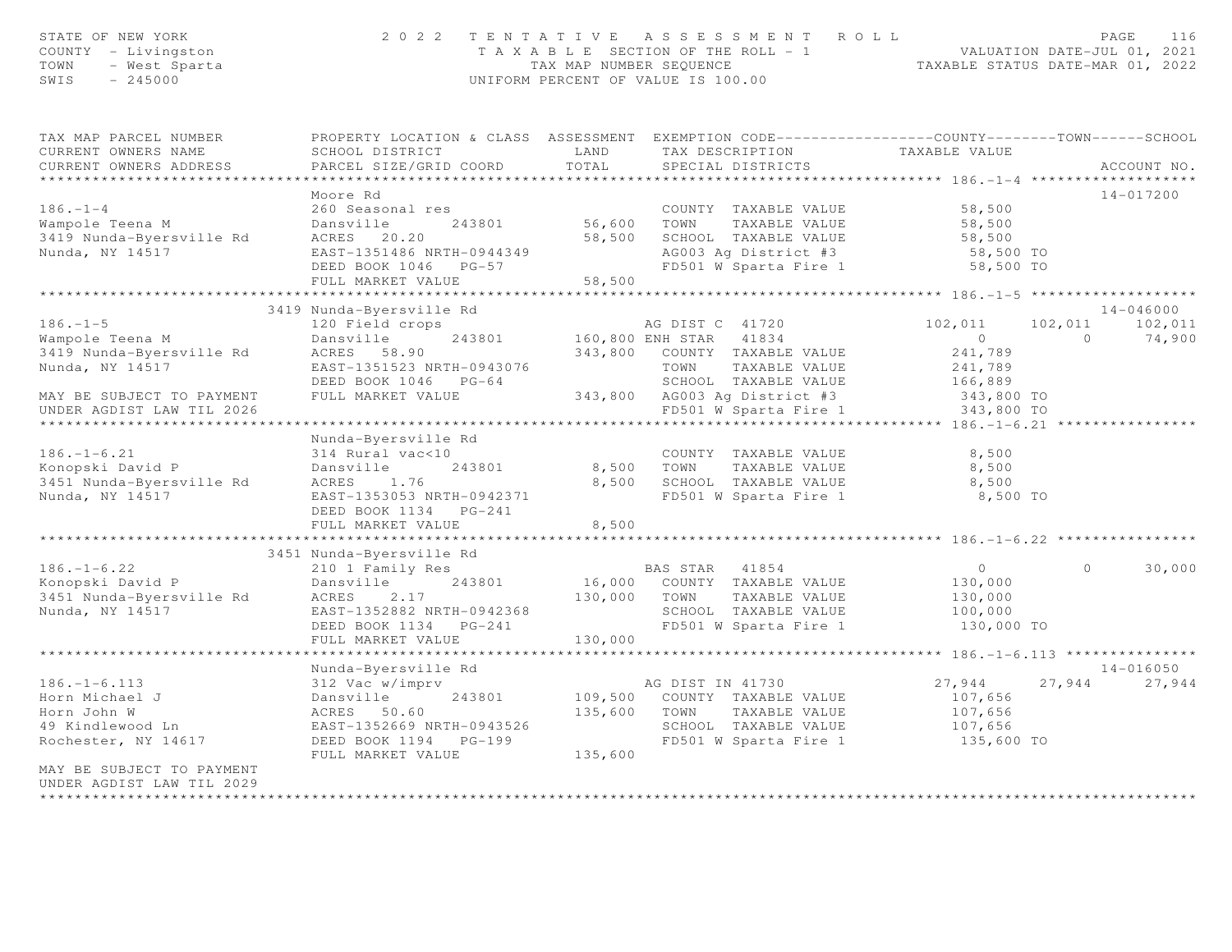| STATE OF NEW YORK<br>COUNTY - Livingston<br>- West Sparta<br>TOWN<br>$-245000$<br>SWIS |                                                                                                                                               | TAX MAP NUMBER SEQUENCE | 2022 TENTATIVE ASSESSMENT ROLL<br>$T A X A B L E$ SECTION OF THE ROLL - 1 VALUATION DATE-JUL 01, 2021<br>UNIFORM PERCENT OF VALUE IS 100.00 | TAXABLE STATUS DATE-MAR 01, 2022 |                | PAGE<br>116   |
|----------------------------------------------------------------------------------------|-----------------------------------------------------------------------------------------------------------------------------------------------|-------------------------|---------------------------------------------------------------------------------------------------------------------------------------------|----------------------------------|----------------|---------------|
| TAX MAP PARCEL NUMBER<br>CURRENT OWNERS NAME<br>CURRENT OWNERS ADDRESS                 | PROPERTY LOCATION & CLASS ASSESSMENT EXEMPTION CODE----------------COUNTY-------TOWN------SCHOOL<br>SCHOOL DISTRICT<br>PARCEL SIZE/GRID COORD | LAND<br>TOTAL           | TAX DESCRIPTION<br>SPECIAL DISTRICTS                                                                                                        | TAXABLE VALUE                    |                | ACCOUNT NO.   |
|                                                                                        |                                                                                                                                               |                         |                                                                                                                                             |                                  |                |               |
|                                                                                        | Moore Rd                                                                                                                                      |                         |                                                                                                                                             |                                  |                | 14-017200     |
| $186. - 1 - 4$                                                                         | 260 Seasonal res                                                                                                                              |                         | COUNTY TAXABLE VALUE                                                                                                                        | 58,500                           |                |               |
| Wampole Teena M                                                                        | Dansville<br>243801                                                                                                                           | 56,600 TOWN             | TAXABLE VALUE                                                                                                                               | 58,500                           |                |               |
| 3419 Nunda-Byersville Rd                                                               | ACRES 20.20                                                                                                                                   |                         | 58,500 SCHOOL TAXABLE VALUE                                                                                                                 | 58,500                           |                |               |
| Nunda, NY 14517                                                                        | EAST-1351486 NRTH-0944349                                                                                                                     |                         | AG003 Ag District #3                                                                                                                        | 58,500 TO                        |                |               |
|                                                                                        | DEED BOOK 1046 PG-57                                                                                                                          |                         | FD501 W Sparta Fire 1                                                                                                                       | 58,500 TO                        |                |               |
|                                                                                        | FULL MARKET VALUE                                                                                                                             | 58,500                  |                                                                                                                                             |                                  |                |               |
|                                                                                        | 3419 Nunda-Byersville Rd                                                                                                                      |                         |                                                                                                                                             |                                  |                | $14 - 046000$ |
| $186. - 1 - 5$                                                                         | 120 Field crops                                                                                                                               |                         | AG DIST C 41720                                                                                                                             | 102,011                          | 102,011        | 102,011       |
| Wampole Teena M                                                                        | 243801<br>Dansville                                                                                                                           |                         | 160,800 ENH STAR 41834                                                                                                                      | $\overline{0}$                   | $\overline{0}$ | 74,900        |
| 3419 Nunda-Byersville Rd                                                               | ACRES 58.90                                                                                                                                   |                         | 343,800 COUNTY TAXABLE VALUE                                                                                                                | 241,789                          |                |               |
| Nunda, NY 14517                                                                        | EAST-1351523 NRTH-0943076                                                                                                                     |                         | TOWN<br>TAXABLE VALUE                                                                                                                       | 241,789                          |                |               |
|                                                                                        | DEED BOOK 1046 PG-64                                                                                                                          |                         | SCHOOL TAXABLE VALUE                                                                                                                        | 166,889                          |                |               |
| MAY BE SUBJECT TO PAYMENT                                                              | FULL MARKET VALUE                                                                                                                             |                         | 343,800 AG003 Ag District #3                                                                                                                | 343,800 TO                       |                |               |
| UNDER AGDIST LAW TIL 2026                                                              |                                                                                                                                               |                         | FD501 W Sparta Fire 1                                                                                                                       | 343,800 TO                       |                |               |
|                                                                                        |                                                                                                                                               |                         |                                                                                                                                             |                                  |                |               |
|                                                                                        | Nunda-Byersville Rd                                                                                                                           |                         |                                                                                                                                             |                                  |                |               |
| $186. - 1 - 6.21$                                                                      | 314 Rural vac<10                                                                                                                              |                         | COUNTY TAXABLE VALUE                                                                                                                        | 8,500                            |                |               |
| Konopski David P<br>3451 Nunda-Byersville Rd                                           | Dansville<br>243801<br>1.76<br>ACRES                                                                                                          |                         | 8,500 TOWN<br>TAXABLE VALUE<br>8,500 SCHOOL TAXABLE VALUE                                                                                   | 8,500                            |                |               |
| Nunda, NY 14517                                                                        | EAST-1353053 NRTH-0942371                                                                                                                     |                         | FD501 W Sparta Fire 1                                                                                                                       | 8,500<br>8,500 TO                |                |               |
|                                                                                        | DEED BOOK 1134 PG-241                                                                                                                         |                         |                                                                                                                                             |                                  |                |               |
|                                                                                        | FULL MARKET VALUE                                                                                                                             | 8,500                   |                                                                                                                                             |                                  |                |               |
|                                                                                        |                                                                                                                                               |                         |                                                                                                                                             |                                  |                |               |
|                                                                                        | 3451 Nunda-Byersville Rd                                                                                                                      |                         |                                                                                                                                             |                                  |                |               |
| $186. - 1 - 6.22$                                                                      | 210 1 Family Res                                                                                                                              |                         | BAS STAR<br>41854                                                                                                                           | $\overline{0}$                   | $\circ$        | 30,000        |
| Konopski David P                                                                       | 243801<br>Dansville                                                                                                                           |                         | 16,000 COUNTY TAXABLE VALUE                                                                                                                 | 130,000                          |                |               |
| 3451 Nunda-Byersville Rd                                                               | ACRES<br>2.17                                                                                                                                 | 130,000 TOWN            | TAXABLE VALUE                                                                                                                               | 130,000                          |                |               |
| Nunda, NY 14517                                                                        | EAST-1352882 NRTH-0942368                                                                                                                     |                         | SCHOOL TAXABLE VALUE                                                                                                                        | 100,000                          |                |               |
|                                                                                        | DEED BOOK 1134 PG-241                                                                                                                         |                         | FD501 W Sparta Fire 1                                                                                                                       | 130,000 TO                       |                |               |
|                                                                                        | FULL MARKET VALUE                                                                                                                             | 130,000                 |                                                                                                                                             |                                  |                |               |
|                                                                                        | Nunda-Byersville Rd                                                                                                                           |                         |                                                                                                                                             |                                  |                | 14-016050     |
| $186. - 1 - 6.113$                                                                     | 312 Vac w/imprv                                                                                                                               |                         | AG DIST IN 41730                                                                                                                            | 27,944                           | 27,944         | 27,944        |
| Horn Michael J                                                                         | Dansville<br>243801                                                                                                                           |                         | 109,500 COUNTY TAXABLE VALUE                                                                                                                | 107,656                          |                |               |
| Horn John W                                                                            | ACRES 50.60                                                                                                                                   | 135,600 TOWN            | TAXABLE VALUE                                                                                                                               | 107,656                          |                |               |
| 49 Kindlewood Ln                                                                       | EAST-1352669 NRTH-0943526                                                                                                                     |                         | SCHOOL TAXABLE VALUE                                                                                                                        | 107,656                          |                |               |
| Rochester, NY 14617                                                                    | DEED BOOK 1194    PG-199                                                                                                                      |                         | FD501 W Sparta Fire 1                                                                                                                       | 135,600 TO                       |                |               |
|                                                                                        | FULL MARKET VALUE                                                                                                                             | 135,600                 |                                                                                                                                             |                                  |                |               |
| MAY BE SUBJECT TO PAYMENT                                                              |                                                                                                                                               |                         |                                                                                                                                             |                                  |                |               |
| UNDER AGDIST LAW TIL 2029                                                              |                                                                                                                                               |                         |                                                                                                                                             |                                  |                |               |
| *********************                                                                  |                                                                                                                                               |                         |                                                                                                                                             |                                  |                |               |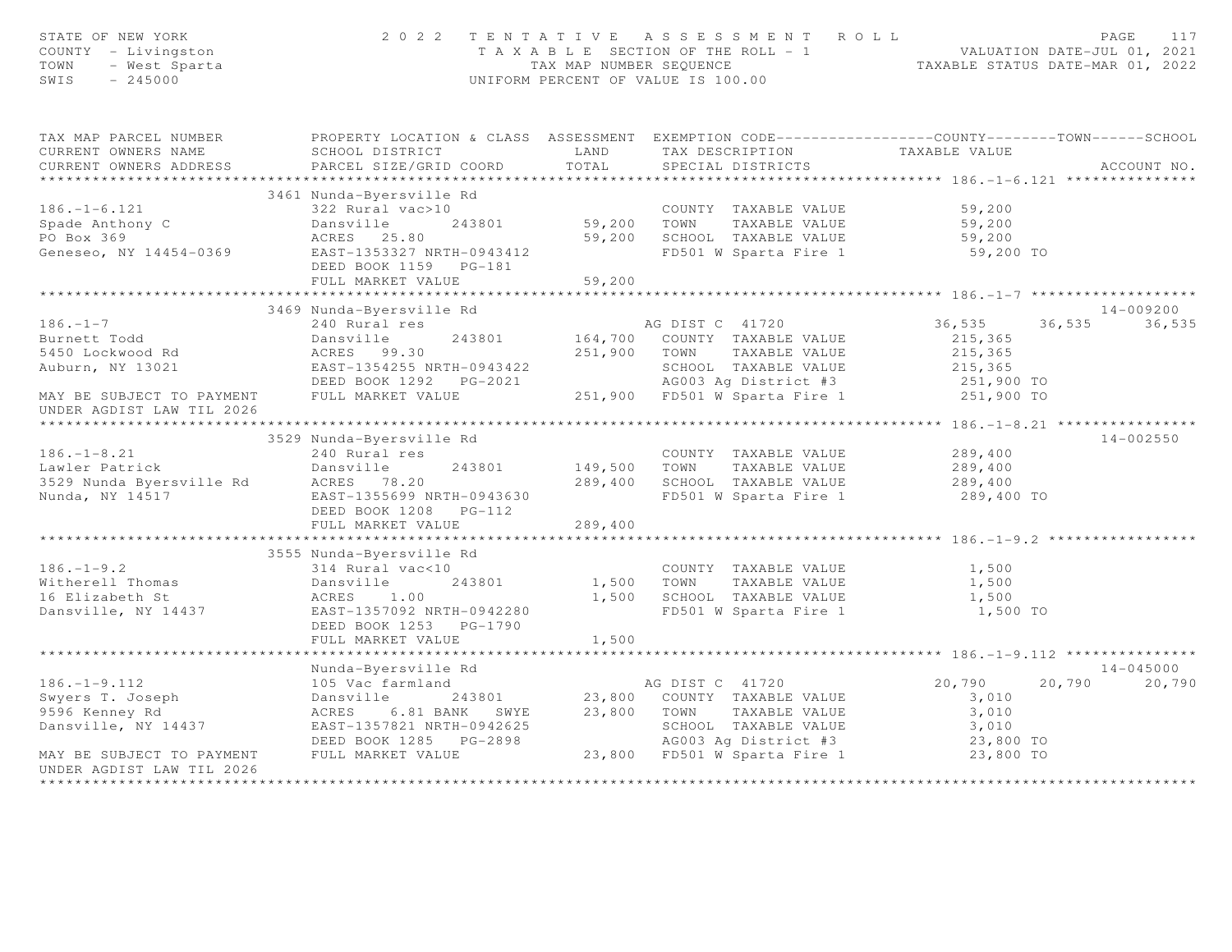| STATE OF NEW YORK<br>COUNTY - Livingston<br>JF NEW YORK<br>- Livingston<br>- West Sparta<br>245000<br>TOWN<br>SWIS                                                                                                                               |                                                                                                  |         | 2022 TENTATIVE ASSESSMENT ROLL<br>TAXABLE SECTION OF THE ROLL - 1<br>TAX MAP NUMBER SEQUENCE TAXABLE STATUS DATE-JUL 01, 2021<br>UNIFORM PERCENT OF VALUE IS 100.00 |                          | PAGE<br>117                       |
|--------------------------------------------------------------------------------------------------------------------------------------------------------------------------------------------------------------------------------------------------|--------------------------------------------------------------------------------------------------|---------|---------------------------------------------------------------------------------------------------------------------------------------------------------------------|--------------------------|-----------------------------------|
| TAX MAP PARCEL NUMBER                                                                                                                                                                                                                            | PROPERTY LOCATION & CLASS ASSESSMENT EXEMPTION CODE----------------COUNTY-------TOWN------SCHOOL |         |                                                                                                                                                                     |                          |                                   |
| CURRENT OWNERS NAME                                                                                                                                                                                                                              | SCHOOL DISTRICT LAND                                                                             |         | TAX DESCRIPTION TAXABLE VALUE<br>SPECIAL DISTRICTS                                                                                                                  |                          |                                   |
| CURRENT OWNERS ADDRESS                                                                                                                                                                                                                           | PARCEL SIZE/GRID COORD                                                                           | TOTAL   |                                                                                                                                                                     |                          | ACCOUNT NO.                       |
|                                                                                                                                                                                                                                                  |                                                                                                  |         |                                                                                                                                                                     |                          |                                   |
|                                                                                                                                                                                                                                                  | 3461 Nunda-Byersville Rd                                                                         |         |                                                                                                                                                                     |                          |                                   |
| $186. - 1 - 6.121$                                                                                                                                                                                                                               |                                                                                                  |         | COUNTY TAXABLE VALUE 59,200                                                                                                                                         |                          |                                   |
| Spade Anthony C                                                                                                                                                                                                                                  |                                                                                                  |         |                                                                                                                                                                     | 59,200                   |                                   |
| PO Box 369                                                                                                                                                                                                                                       | ACRES 25.80<br>ACRES 23.00<br>EAST-1353327 NRTH-0943412                                          |         | 59,200 SCHOOL TAXABLE VALUE                                                                                                                                         | 59,200<br>59,200 TO      |                                   |
| Geneseo, NY 14454-0369                                                                                                                                                                                                                           | DEED BOOK 1159    PG-181                                                                         |         | FD501 W Sparta Fire 1                                                                                                                                               |                          |                                   |
|                                                                                                                                                                                                                                                  | FULL MARKET VALUE                                                                                | 59,200  |                                                                                                                                                                     |                          |                                   |
|                                                                                                                                                                                                                                                  |                                                                                                  |         |                                                                                                                                                                     |                          |                                   |
|                                                                                                                                                                                                                                                  | 3469 Nunda-Byersville Rd                                                                         |         |                                                                                                                                                                     |                          | 14-009200                         |
| $186. - 1 - 7$                                                                                                                                                                                                                                   | 240 Rural res                                                                                    |         | AG DIST C 41720                                                                                                                                                     | 36,535                   | 36,535 36,535                     |
|                                                                                                                                                                                                                                                  |                                                                                                  |         | 243801 164,700 COUNTY TAXABLE VALUE<br>251,900 TOWN TAXABLE VALUE                                                                                                   | 215,365                  |                                   |
|                                                                                                                                                                                                                                                  |                                                                                                  |         |                                                                                                                                                                     | 215,365                  |                                   |
|                                                                                                                                                                                                                                                  |                                                                                                  |         |                                                                                                                                                                     | 215,365                  |                                   |
| Burnett Todd<br>5450 Lockwood Rd<br>5450 Lockwood Rd<br>251,900 TOWN TAXABLE VALUE<br>251,900 TOWN TAXABLE VALUE<br>251,900 TOWN TAXABLE VALUE<br>251,900 TOWN TAXABLE VALUE<br>251,900 TOWN TAXABLE VALUE<br>251,900 TOWN TAXABLE VALUE<br>251, |                                                                                                  |         |                                                                                                                                                                     | 251,900 TO<br>251,900 TO |                                   |
| UNDER AGDIST LAW TIL 2026                                                                                                                                                                                                                        |                                                                                                  |         |                                                                                                                                                                     |                          |                                   |
|                                                                                                                                                                                                                                                  |                                                                                                  |         |                                                                                                                                                                     |                          |                                   |
|                                                                                                                                                                                                                                                  | 3529 Nunda-Byersville Rd                                                                         |         |                                                                                                                                                                     |                          | $14 - 002550$                     |
| $186. - 1 - 8.21$                                                                                                                                                                                                                                | 240 Rural res                                                                                    |         | COUNTY TAXABLE VALUE                                                                                                                                                | 289,400                  |                                   |
|                                                                                                                                                                                                                                                  |                                                                                                  |         | 149,500 TOWN TAXABLE VALUE                                                                                                                                          | 289,400                  |                                   |
|                                                                                                                                                                                                                                                  |                                                                                                  |         | 289,400 SCHOOL TAXABLE VALUE<br>FD501 W Sparta Fire 1                                                                                                               | 289,400<br>289,400 TO    |                                   |
|                                                                                                                                                                                                                                                  |                                                                                                  |         |                                                                                                                                                                     |                          |                                   |
|                                                                                                                                                                                                                                                  | DEED BOOK 1208    PG-112                                                                         |         |                                                                                                                                                                     |                          |                                   |
|                                                                                                                                                                                                                                                  | FULL MARKET VALUE                                                                                | 289,400 |                                                                                                                                                                     |                          |                                   |
|                                                                                                                                                                                                                                                  |                                                                                                  |         |                                                                                                                                                                     |                          |                                   |
|                                                                                                                                                                                                                                                  | 3555 Nunda-Byersville Rd                                                                         |         |                                                                                                                                                                     |                          |                                   |
| $186. - 1 - 9.2$                                                                                                                                                                                                                                 | 314 Rural vac<10                                                                                 |         | COUNTY TAXABLE VALUE                                                                                                                                                | 1,500                    |                                   |
| 186.-1-9.2<br>Witherell Thomas<br>16 Elizabeth St<br>16 Elizabeth St<br>243801<br>243801<br>243801<br>243801<br>26 EAST-1357092 NRTH-0942280<br>25 EAST-1357092 NRTH-0942280                                                                     |                                                                                                  |         | 1,500 TOWN TAXABLE VALUE                                                                                                                                            | 1,500                    |                                   |
|                                                                                                                                                                                                                                                  |                                                                                                  |         | 1,500 SCHOOL TAXABLE VALUE                                                                                                                                          | 1,500                    |                                   |
|                                                                                                                                                                                                                                                  |                                                                                                  |         | FD501 W Sparta Fire 1                                                                                                                                               | 1,500 TO                 |                                   |
|                                                                                                                                                                                                                                                  | DEED BOOK 1253 PG-1790                                                                           |         |                                                                                                                                                                     |                          |                                   |
|                                                                                                                                                                                                                                                  | FULL MARKET VALUE                                                                                | 1,500   |                                                                                                                                                                     |                          |                                   |
|                                                                                                                                                                                                                                                  |                                                                                                  |         |                                                                                                                                                                     |                          |                                   |
|                                                                                                                                                                                                                                                  | Nunda-Byersville Rd                                                                              |         |                                                                                                                                                                     | 20,790                   | $14 - 045000$<br>20,790<br>20,790 |
|                                                                                                                                                                                                                                                  |                                                                                                  |         |                                                                                                                                                                     | 3,010                    |                                   |
| 186.-1-9.112<br>Swyers T. Joseph 1958 Vac farmland<br>243801 23,800 COUNTY TAXABLE VALUE<br>9596 Kenney Rd 26.81 BANK SWYE 23,800 TOWN TAXABLE VALUE<br>23,800 DANS Dansville, NY 14437 EAST-1357821 NRTH-0942625 SCHOOL TAXABLE VALUE           |                                                                                                  |         |                                                                                                                                                                     | 3,010                    |                                   |
|                                                                                                                                                                                                                                                  |                                                                                                  |         |                                                                                                                                                                     |                          |                                   |
|                                                                                                                                                                                                                                                  | DEED BOOK 1285 PG-2898                                                                           |         | SCHOOL TAXABLE VALUE 3,010<br>AG003 Ag District #3 23,800 TO<br>23,800 FD501 W Sparta Fire 1 23,800 TO                                                              |                          |                                   |
| MAY BE SUBJECT TO PAYMENT                                                                                                                                                                                                                        | FULL MARKET VALUE                                                                                |         |                                                                                                                                                                     |                          |                                   |
| UNDER AGDIST LAW TIL 2026                                                                                                                                                                                                                        |                                                                                                  |         |                                                                                                                                                                     |                          |                                   |
|                                                                                                                                                                                                                                                  |                                                                                                  |         |                                                                                                                                                                     |                          |                                   |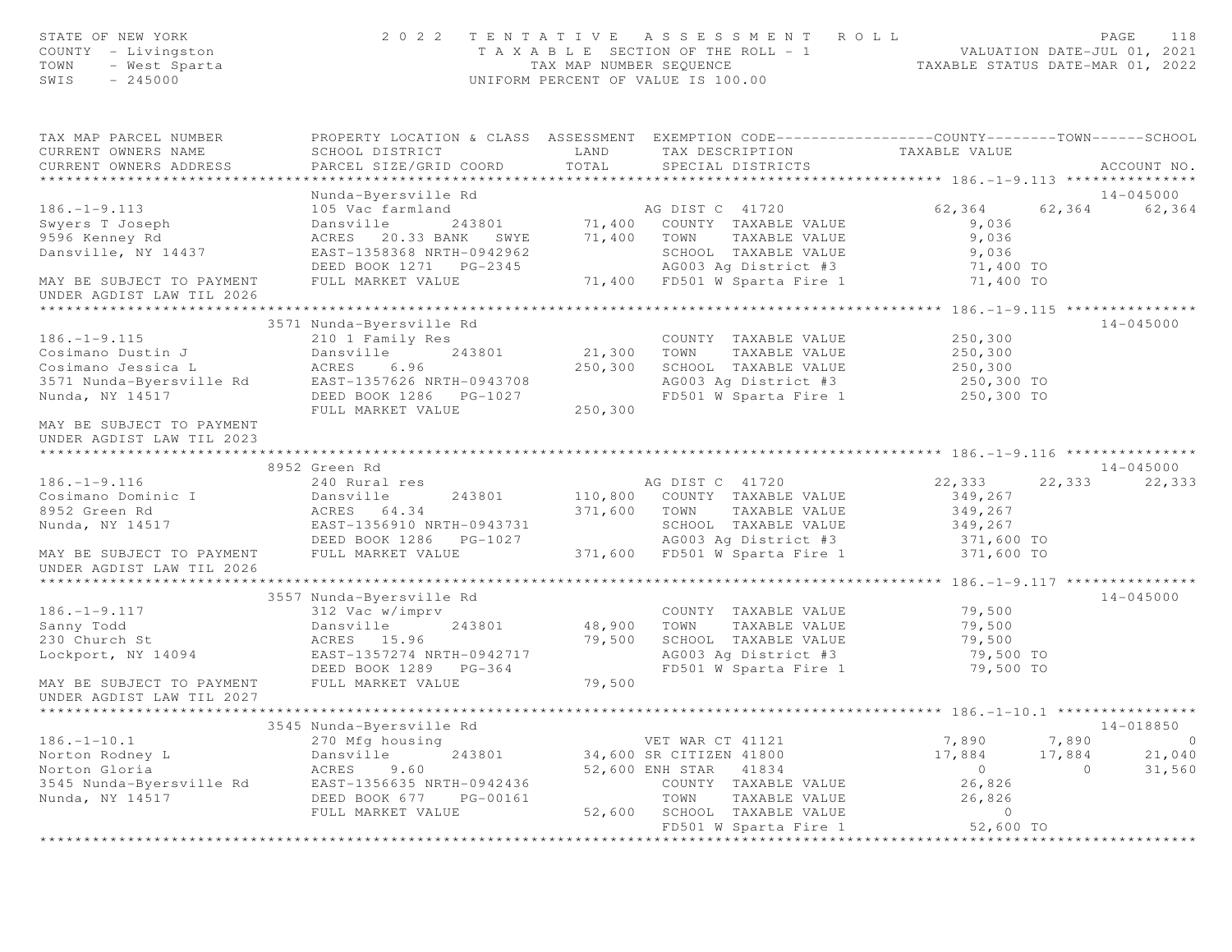| STATE OF NEW YORK<br>COUNTY - Livingston<br>- West Sparta<br>TOWN<br>SWIS<br>$-245000$ |                                                    |         | 2022 TENTATIVE ASSESSMENT ROLL<br>T A X A B L E SECTION OF THE ROLL - 1 VALUATION DATE-JUL 01, 2021<br>TAX MAP NUMBER SEQUENCE TAXABLE STATUS DATE-MAR 01, 2022<br>UNIFORM PERCENT OF VALUE IS 100.00 |                                |         | PAGE<br>118   |
|----------------------------------------------------------------------------------------|----------------------------------------------------|---------|-------------------------------------------------------------------------------------------------------------------------------------------------------------------------------------------------------|--------------------------------|---------|---------------|
| TAX MAP PARCEL NUMBER<br>CURRENT OWNERS NAME                                           | SCHOOL DISTRICT                                    | LAND    | PROPERTY LOCATION & CLASS ASSESSMENT EXEMPTION CODE----------------COUNTY-------TOWN------SCHOOL<br>TAX DESCRIPTION                                                                                   | TAXABLE VALUE                  |         |               |
| CURRENT OWNERS ADDRESS                                                                 | PARCEL SIZE/GRID COORD                             | TOTAL   | SPECIAL DISTRICTS                                                                                                                                                                                     |                                |         | ACCOUNT NO.   |
|                                                                                        |                                                    |         |                                                                                                                                                                                                       |                                |         |               |
|                                                                                        | Nunda-Byersville Rd                                |         |                                                                                                                                                                                                       |                                |         | $14 - 045000$ |
| $186. - 1 - 9.113$                                                                     | 105 Vac farmland                                   |         |                                                                                                                                                                                                       | $62,364$ $62,364$              |         | 62,364        |
| Swyers T Joseph                                                                        | Dansville                                          |         |                                                                                                                                                                                                       | 9,036                          |         |               |
| 9596 Kenney Rd                                                                         | ACRES 20.33 BANK SWYE 71,400 TOWN                  |         | TAXABLE VALUE                                                                                                                                                                                         | 9,036                          |         |               |
| Dansville, NY 14437                                                                    | EAST-1358368 NRTH-0942962                          |         | SCHOOL TAXABLE VALUE                                                                                                                                                                                  | 9,036                          |         |               |
|                                                                                        |                                                    |         | AG003 Ag District #3<br>71,400 FD501 W Sparta Fire 1<br>AG003 Ag District #3 71,400 TO                                                                                                                |                                |         |               |
| MAY BE SUBJECT TO PAYMENT<br>UNDER AGDIST LAW TIL 2026                                 | FULL MARKET VALUE                                  |         |                                                                                                                                                                                                       | 71,400 TO                      |         |               |
|                                                                                        |                                                    |         |                                                                                                                                                                                                       |                                |         |               |
|                                                                                        | 3571 Nunda-Byersville Rd                           |         |                                                                                                                                                                                                       |                                |         | $14 - 045000$ |
| $186. - 1 - 9.115$                                                                     | 210 1 Family Res                                   | 21,300  | COUNTY TAXABLE VALUE                                                                                                                                                                                  | 250,300<br>250,300             |         |               |
| Cosimano Dustin J                                                                      | Dansville<br>243801                                | 250,300 | TOWN<br>TAXABLE VALUE                                                                                                                                                                                 |                                |         |               |
| Cosimano Jessica Land Marks 6.96<br>3571 Nunda-Byersville Rd EAST-1357626 NRTH-0943708 |                                                    |         | SCHOOL TAXABLE VALUE 250,300<br>AG003 Ag District #3 250,300 TO                                                                                                                                       |                                |         |               |
| Nunda, NY 14517                                                                        | DEED BOOK 1286 PG-1027                             |         | FD501 W Sparta Fire 1 250,300 TO                                                                                                                                                                      |                                |         |               |
|                                                                                        | FULL MARKET VALUE                                  | 250,300 |                                                                                                                                                                                                       |                                |         |               |
| MAY BE SUBJECT TO PAYMENT<br>UNDER AGDIST LAW TIL 2023                                 |                                                    |         |                                                                                                                                                                                                       |                                |         |               |
|                                                                                        | 8952 Green Rd                                      |         |                                                                                                                                                                                                       |                                |         | 14-045000     |
| $186. - 1 - 9.116$                                                                     | 240 Rural res                                      |         | AG DIST C 41720                                                                                                                                                                                       | 22,333                         | 22,333  | 22,333        |
| Cosimano Dominic I                                                                     | Dansville                                          |         | 243801 110,800 COUNTY TAXABLE VALUE                                                                                                                                                                   | 349,267                        |         |               |
| 8952 Green Rd                                                                          | ACRES 64.34                                        |         | 371,600 TOWN<br>TAXABLE VALUE                                                                                                                                                                         | 349,267                        |         |               |
| Nunda, NY 14517                                                                        | EAST-1356910 NRTH-0943731                          |         |                                                                                                                                                                                                       |                                |         |               |
|                                                                                        | DEED BOOK 1286    PG-1027                          |         | SCHOOL TAXABLE VALUE<br>AG003 Ag District #3                                                                                                                                                          | 349,267<br>371,600 TO          |         |               |
| MAY BE SUBJECT TO PAYMENT<br>UNDER AGDIST LAW TIL 2026                                 | FULL MARKET VALUE                                  |         | 371,600 FD501 W Sparta Fire 1 371,600 TO                                                                                                                                                              |                                |         |               |
|                                                                                        |                                                    |         |                                                                                                                                                                                                       |                                |         |               |
|                                                                                        | 3557 Nunda-Byersville Rd                           |         |                                                                                                                                                                                                       |                                |         | 14-045000     |
| $186. - 1 - 9.117$                                                                     | 312 Vac w/imprv                                    |         | COUNTY TAXABLE VALUE                                                                                                                                                                                  | 79,500                         |         |               |
| Sanny Todd                                                                             | Dansville<br>243801                                | 48,900  | TAXABLE VALUE<br>TOWN                                                                                                                                                                                 | 79,500                         |         |               |
| 230 Church St                                                                          | ACRES 15.96                                        | 79,500  | SCHOOL TAXABLE VALUE                                                                                                                                                                                  | 79,500                         |         |               |
| Lockport, NY 14094                                                                     | EAST-1357274 NRTH-0942717<br>DEED BOOK 1289 PG-364 |         |                                                                                                                                                                                                       | 79,500 TO<br>79,500 TO         |         |               |
| MAY BE SUBJECT TO PAYMENT<br>UNDER AGDIST LAW TIL 2027                                 | FULL MARKET VALUE                                  | 79,500  |                                                                                                                                                                                                       |                                |         |               |
|                                                                                        |                                                    |         |                                                                                                                                                                                                       |                                |         |               |
|                                                                                        | 3545 Nunda-Byersville Rd                           |         |                                                                                                                                                                                                       |                                |         | 14-018850     |
| $186. - 1 - 10.1$                                                                      | 270 Mfg housing                                    |         | VET WAR CT 41121                                                                                                                                                                                      | 7,890                          | 7,890   | $\circ$       |
| Norton Rodney L                                                                        | Dansville<br>243801                                |         | 34,600 SR CITIZEN 41800                                                                                                                                                                               | 17,884                         | 17,884  | 21,040        |
| Norton Gloria                                                                          | 9.60<br>ACRES                                      |         | 52,600 ENH STAR<br>41834                                                                                                                                                                              | $\circ$                        | $\circ$ | 31,560        |
| 3545 Nunda-Byersville Rd                                                               | EAST-1356635 NRTH-0942436                          |         | COUNTY<br>TAXABLE VALUE                                                                                                                                                                               | 26,826                         |         |               |
| Nunda, NY 14517                                                                        | DEED BOOK 677<br>PG-00161                          |         | TOWN<br>TAXABLE VALUE                                                                                                                                                                                 | 26,826                         |         |               |
|                                                                                        | FULL MARKET VALUE                                  | 52,600  | SCHOOL TAXABLE VALUE                                                                                                                                                                                  | $\circ$                        |         |               |
|                                                                                        |                                                    |         | FD501 W Sparta Fire 1<br>* * * * * * * * * * * * * * * * * * *                                                                                                                                        | 52,600 TO<br>* * * * * * * * * |         |               |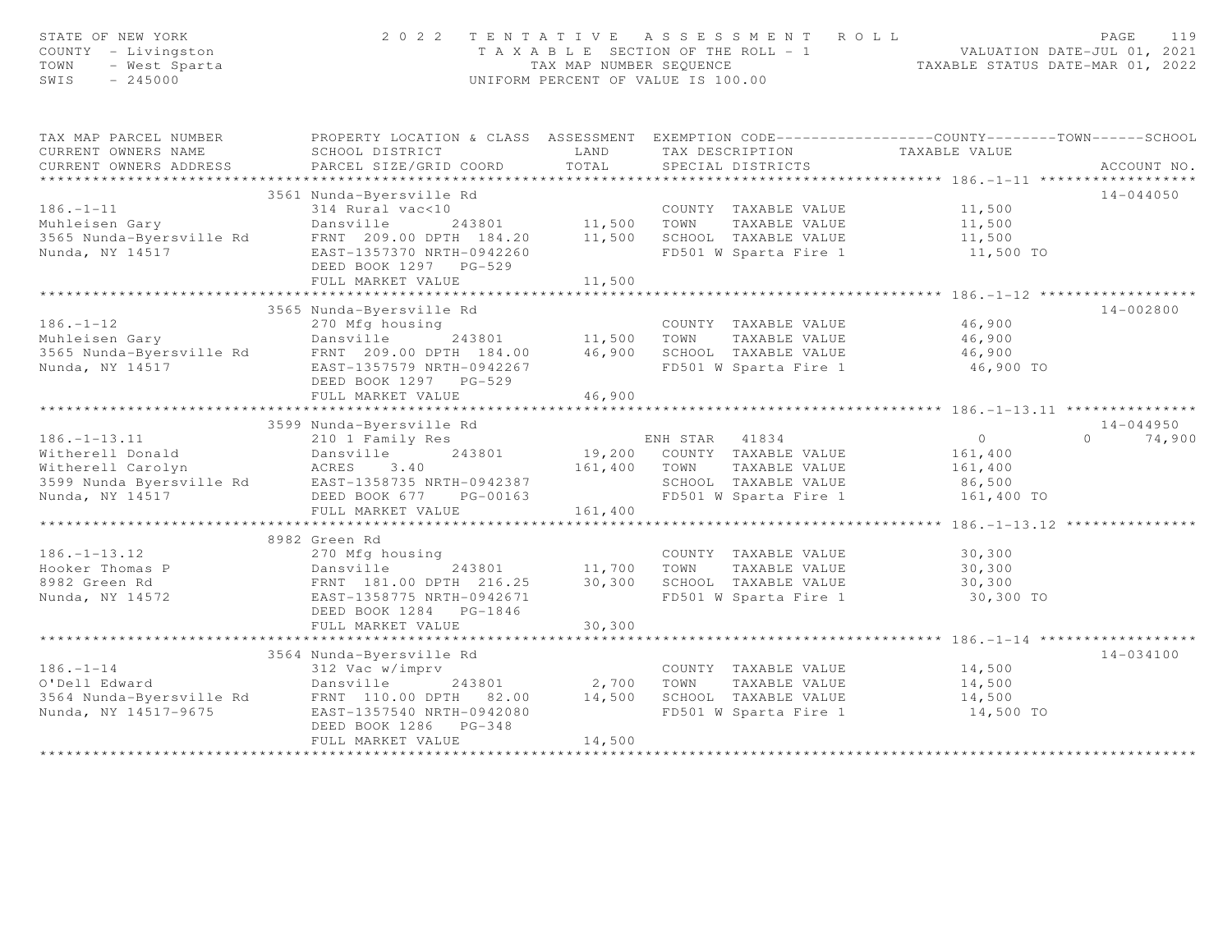| STATE OF NEW YORK<br>COUNTY - Livingston<br>TOWN<br>- West Sparta<br>SWIS<br>$-245000$ | 2 0 2 2                                                                                          | TAX MAP NUMBER SEQUENCE                      | TENTATIVE ASSESSMENT ROLL<br>T A X A B L E SECTION OF THE ROLL - 1<br>UNIFORM PERCENT OF VALUE IS 100.00 | - 1 VALUATION DATE-JUL 01, 2021<br>TAXABLE STATUS DATE-MAR 01, 2022 | PAGE<br>119        |
|----------------------------------------------------------------------------------------|--------------------------------------------------------------------------------------------------|----------------------------------------------|----------------------------------------------------------------------------------------------------------|---------------------------------------------------------------------|--------------------|
| TAX MAP PARCEL NUMBER                                                                  | PROPERTY LOCATION & CLASS ASSESSMENT EXEMPTION CODE----------------COUNTY-------TOWN------SCHOOL |                                              |                                                                                                          |                                                                     |                    |
| CURRENT OWNERS NAME<br>CURRENT OWNERS ADDRESS                                          | SCHOOL DISTRICT<br>PARCEL SIZE/GRID COORD                                                        | LAND<br>TOTAL                                | TAX DESCRIPTION TAXABLE VALUE<br>SPECIAL DISTRICTS                                                       |                                                                     | ACCOUNT NO.        |
|                                                                                        |                                                                                                  |                                              |                                                                                                          |                                                                     |                    |
| $186. - 1 - 11$                                                                        | 3561 Nunda-Byersville Rd<br>314 Rural vac<10                                                     |                                              |                                                                                                          |                                                                     | $14 - 044050$      |
| 186.-1-11<br>Muhleisen Gary<br>3565 Nunda-Byersville Rd                                | Dansville                                                                                        | 243801 11,500 TOWN                           | COUNTY TAXABLE VALUE<br>TAXABLE VALUE                                                                    | 11,500<br>11,500                                                    |                    |
|                                                                                        | FRNT 209.00 DPTH 184.20 11,500 SCHOOL TAXABLE VALUE                                              |                                              |                                                                                                          | 11,500                                                              |                    |
| Nunda, NY 14517                                                                        | EAST-1357370 NRTH-0942260                                                                        |                                              | FD501 W Sparta Fire 1                                                                                    | 11,500 TO                                                           |                    |
|                                                                                        | DEED BOOK 1297 PG-529                                                                            |                                              |                                                                                                          |                                                                     |                    |
|                                                                                        | FULL MARKET VALUE                                                                                | 11,500                                       |                                                                                                          |                                                                     |                    |
|                                                                                        |                                                                                                  |                                              |                                                                                                          |                                                                     |                    |
|                                                                                        | 3565 Nunda-Byersville Rd                                                                         |                                              |                                                                                                          |                                                                     | 14-002800          |
| $186. - 1 - 12$                                                                        | 270 Mfg housing                                                                                  |                                              | COUNTY TAXABLE VALUE                                                                                     | 46,900                                                              |                    |
|                                                                                        |                                                                                                  | 243801 11,500 TOWN<br>TH 184.00 46,900 SCHOO | TAXABLE VALUE                                                                                            | 46,900<br>46.900                                                    |                    |
|                                                                                        |                                                                                                  |                                              | 46,900 SCHOOL TAXABLE VALUE                                                                              | 46,900                                                              |                    |
|                                                                                        | DEED BOOK 1297 PG-529                                                                            |                                              | FD501 W Sparta Fire 1 46,900 TO                                                                          |                                                                     |                    |
|                                                                                        | FULL MARKET VALUE                                                                                | 46,900                                       |                                                                                                          |                                                                     |                    |
|                                                                                        | 3599 Nunda-Byersville Rd                                                                         |                                              |                                                                                                          |                                                                     | $14 - 044950$      |
|                                                                                        |                                                                                                  |                                              | ENH STAR<br>41834                                                                                        | $\overline{0}$                                                      | $\Omega$<br>74,900 |
|                                                                                        |                                                                                                  |                                              | 19,200 COUNTY TAXABLE VALUE                                                                              | 161,400                                                             |                    |
|                                                                                        |                                                                                                  | 161,400 TOWN                                 | TAXABLE VALUE                                                                                            | 161,400                                                             |                    |
|                                                                                        |                                                                                                  |                                              | SCHOOL TAXABLE VALUE                                                                                     | 86,500                                                              |                    |
|                                                                                        |                                                                                                  |                                              | FD501 W Sparta Fire 1                                                                                    | 161,400 TO                                                          |                    |
|                                                                                        | FULL MARKET VALUE                                                                                | 161,400                                      |                                                                                                          |                                                                     |                    |
|                                                                                        | ************************                                                                         |                                              |                                                                                                          | ************** 186.-1-13.12 **                                      |                    |
|                                                                                        | 8982 Green Rd                                                                                    |                                              |                                                                                                          |                                                                     |                    |
| $186. - 1 - 13.12$                                                                     | 270 Mfg housing                                                                                  |                                              | COUNTY TAXABLE VALUE                                                                                     | 30,300                                                              |                    |
| Hooker Thomas P                                                                        | 243801<br>Dansville                                                                              | 11,700                                       | TOWN<br>TAXABLE VALUE                                                                                    | 30,300                                                              |                    |
| 8982 Green Rd                                                                          | FRNT 181.00 DPTH 216.25                                                                          | 30,300                                       | SCHOOL TAXABLE VALUE                                                                                     | 30,300                                                              |                    |
| Nunda, NY 14572                                                                        | EAST-1358775 NRTH-0942671                                                                        |                                              | FD501 W Sparta Fire 1                                                                                    | 30,300 TO                                                           |                    |
|                                                                                        | DEED BOOK 1284 PG-1846                                                                           |                                              |                                                                                                          |                                                                     |                    |
|                                                                                        | FULL MARKET VALUE                                                                                | 30,300                                       |                                                                                                          |                                                                     |                    |
|                                                                                        | 3564 Nunda-Byersville Rd                                                                         |                                              |                                                                                                          |                                                                     | 14-034100          |
| $186. - 1 - 14$                                                                        | 312 Vac w/imprv                                                                                  |                                              | COUNTY TAXABLE VALUE                                                                                     | 14,500                                                              |                    |
| O'Dell Edward                                                                          | Dansville<br>243801                                                                              | 2,700                                        | TOWN<br>TAXABLE VALUE                                                                                    | 14,500                                                              |                    |
| 3564 Nunda-Byersville Rd                                                               | FRNT 110.00 DPTH 82.00                                                                           | 14,500                                       | SCHOOL TAXABLE VALUE                                                                                     | 14,500                                                              |                    |
| Nunda, NY 14517-9675                                                                   | EAST-1357540 NRTH-0942080                                                                        |                                              | FD501 W Sparta Fire 1                                                                                    | 14,500 TO                                                           |                    |
|                                                                                        | DEED BOOK 1286 PG-348                                                                            |                                              |                                                                                                          |                                                                     |                    |
|                                                                                        | FULL MARKET VALUE                                                                                | 14,500                                       |                                                                                                          |                                                                     |                    |
|                                                                                        |                                                                                                  |                                              |                                                                                                          |                                                                     |                    |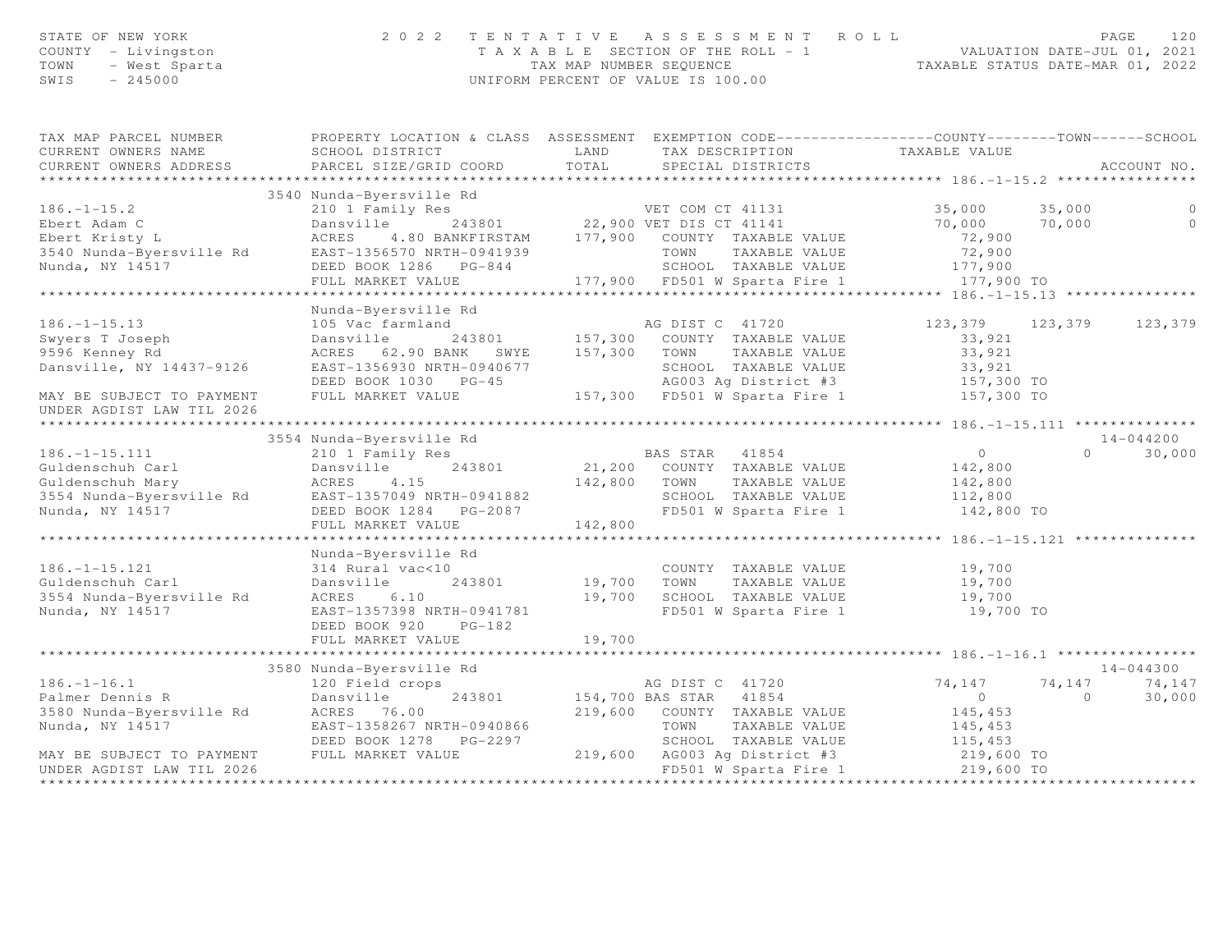| STATE OF NEW YORK   | 2022 TENTATIVE ASSESSMENT ROLL        |                                  | PAGE | 120 |
|---------------------|---------------------------------------|----------------------------------|------|-----|
| COUNTY - Livingston | T A X A B L E SECTION OF THE ROLL - 1 | VALUATION DATE-JUL 01, 2021      |      |     |
|                     | TAX MAP NUMBER SEQUENCE               | TAXABLE STATUS DATE-MAR 01, 2022 |      |     |
| SWIS - 245000       | UNIFORM PERCENT OF VALUE IS 100.00    |                                  |      |     |
|                     |                                       |                                  |      |     |

| TAX MAP PARCEL NUMBER                                                                                                                                                                                                          |                          | PROPERTY LOCATION & CLASS ASSESSMENT EXEMPTION CODE----------------COUNTY-------TOWN------SCHOOL                                                                                                                                               |                      |               |
|--------------------------------------------------------------------------------------------------------------------------------------------------------------------------------------------------------------------------------|--------------------------|------------------------------------------------------------------------------------------------------------------------------------------------------------------------------------------------------------------------------------------------|----------------------|---------------|
|                                                                                                                                                                                                                                |                          |                                                                                                                                                                                                                                                |                      |               |
|                                                                                                                                                                                                                                |                          |                                                                                                                                                                                                                                                |                      |               |
|                                                                                                                                                                                                                                |                          |                                                                                                                                                                                                                                                |                      |               |
|                                                                                                                                                                                                                                |                          |                                                                                                                                                                                                                                                |                      |               |
|                                                                                                                                                                                                                                |                          |                                                                                                                                                                                                                                                |                      |               |
|                                                                                                                                                                                                                                |                          |                                                                                                                                                                                                                                                |                      |               |
|                                                                                                                                                                                                                                |                          |                                                                                                                                                                                                                                                |                      |               |
|                                                                                                                                                                                                                                |                          |                                                                                                                                                                                                                                                |                      |               |
|                                                                                                                                                                                                                                |                          |                                                                                                                                                                                                                                                |                      |               |
|                                                                                                                                                                                                                                |                          |                                                                                                                                                                                                                                                |                      |               |
|                                                                                                                                                                                                                                |                          | 3540 Nunda-Byersville Rd<br>210 1 Family Res<br>Ebert Adam C Dansville Rd<br>Ebert Kristy L ACRES 4.80 BANKFIRSTAM 177,900 COUNTY TAXABLE VALUE<br>234301 22,900 VET DIS CT 41141 70,000 70,000 0<br>22,900 Nunda-Byersville Rd EAST-135       |                      |               |
|                                                                                                                                                                                                                                | Nunda-Byersville Rd      |                                                                                                                                                                                                                                                |                      |               |
|                                                                                                                                                                                                                                |                          |                                                                                                                                                                                                                                                | 123,379 123,379      | 123,379       |
|                                                                                                                                                                                                                                |                          |                                                                                                                                                                                                                                                |                      |               |
|                                                                                                                                                                                                                                |                          |                                                                                                                                                                                                                                                |                      |               |
|                                                                                                                                                                                                                                |                          |                                                                                                                                                                                                                                                |                      |               |
|                                                                                                                                                                                                                                |                          |                                                                                                                                                                                                                                                |                      |               |
|                                                                                                                                                                                                                                |                          | 186.-1-15.13<br>Swyers T Joseph 105 Vac Farnland<br>123,379 123<br>9596 Kenney Rd ACRES 62.90 BANK SWYE 157,300 COUNTY TAXABLE VALUE 33,921<br>9596 Kenney Rd ACRES 62.90 BANK SWYE 157,300 TOWN TAXABLE VALUE 33,921<br>9596 Kenney Rd        |                      |               |
| UNDER AGDIST LAW TIL 2026                                                                                                                                                                                                      |                          |                                                                                                                                                                                                                                                |                      |               |
|                                                                                                                                                                                                                                |                          |                                                                                                                                                                                                                                                |                      |               |
|                                                                                                                                                                                                                                | 3554 Nunda-Byersville Rd |                                                                                                                                                                                                                                                |                      | $14 - 044200$ |
| $186. - 1 - 15.111$                                                                                                                                                                                                            |                          |                                                                                                                                                                                                                                                | $\Omega$             | 30,000        |
|                                                                                                                                                                                                                                |                          |                                                                                                                                                                                                                                                |                      |               |
|                                                                                                                                                                                                                                |                          |                                                                                                                                                                                                                                                |                      |               |
|                                                                                                                                                                                                                                |                          |                                                                                                                                                                                                                                                |                      |               |
|                                                                                                                                                                                                                                |                          |                                                                                                                                                                                                                                                |                      |               |
|                                                                                                                                                                                                                                |                          |                                                                                                                                                                                                                                                |                      |               |
|                                                                                                                                                                                                                                |                          | 100.--1 15.121<br>Guldenschuh Carl – 243801 – 243801 – 21,200 COUNTY TAXABLE VALUE<br>Guldenschuh Mary – ACRES 4.15 – 243801 – 242,800 TOWN TAXABLE VALUE 142,800<br>3554 Nunda-Byersville Rd – EAST-1357049 NRTH-0941882 – SCHOOL T           |                      |               |
|                                                                                                                                                                                                                                | Nunda-Byersville Rd      |                                                                                                                                                                                                                                                |                      |               |
|                                                                                                                                                                                                                                |                          | vac<10 COUNI<br>243801 19,700 TOWN<br>COUNTY TAXABLE VALUE 19,700                                                                                                                                                                              |                      |               |
|                                                                                                                                                                                                                                |                          |                                                                                                                                                                                                                                                | TAXABLE VALUE 19,700 |               |
| 186.-1-15.121<br>Guldenschuh Carl<br>3554 Nunda-Byersville Rd<br>3554 Nunda-Byersville Rd<br>3554 Nunda-Byersville Rd<br>3554 Nunda-Byersville Rd<br>36.10<br>243801<br>243801<br>26.10<br>26.10<br>26.57-1357398 NRTH-0941781 |                          | 19,700 SCHOOL TAXABLE VALUE 19,700<br>FD501 W Sparta Fire 1 19,700 TO                                                                                                                                                                          |                      |               |
|                                                                                                                                                                                                                                |                          |                                                                                                                                                                                                                                                |                      |               |
|                                                                                                                                                                                                                                | DEED BOOK 920 PG-182     |                                                                                                                                                                                                                                                |                      |               |
|                                                                                                                                                                                                                                | FULL MARKET VALUE        | 19,700                                                                                                                                                                                                                                         |                      |               |
|                                                                                                                                                                                                                                |                          |                                                                                                                                                                                                                                                |                      |               |
|                                                                                                                                                                                                                                | 3580 Nunda-Byersville Rd | sville Rd<br>crops<br>243801 154,700 BAS STAR 41854 0 74,147 74,147<br>243801 154,700 BAS STAR 41854 0 0<br>245.453                                                                                                                            |                      | 14-044300     |
|                                                                                                                                                                                                                                |                          |                                                                                                                                                                                                                                                |                      | 74,147        |
|                                                                                                                                                                                                                                |                          |                                                                                                                                                                                                                                                |                      | 30,000        |
|                                                                                                                                                                                                                                |                          | 186.-1-16.1<br>Palmer Dennis R<br>243801 154,700 BAS STAR 41854<br>3580 Nunda-Byersville Rd<br>Nunda. NY 14517 145,453<br>Nunda. NY 14517 145,453<br>219,600 COUNTY TAXABLE VALUE<br>219,600 COUNTY TAXABLE VALUE<br>219,600 COUNTY TAXABLE VA |                      |               |
|                                                                                                                                                                                                                                |                          |                                                                                                                                                                                                                                                |                      |               |
|                                                                                                                                                                                                                                |                          |                                                                                                                                                                                                                                                |                      |               |
|                                                                                                                                                                                                                                |                          | FULL MARKET VALUE 219,600 AG003 Ag District #3 219,600 TO<br>FD501 W Sparta Fire 1 219,600 TO                                                                                                                                                  |                      |               |
| UNDER AGDIST LAW TIL 2026                                                                                                                                                                                                      |                          |                                                                                                                                                                                                                                                |                      |               |
|                                                                                                                                                                                                                                |                          |                                                                                                                                                                                                                                                |                      |               |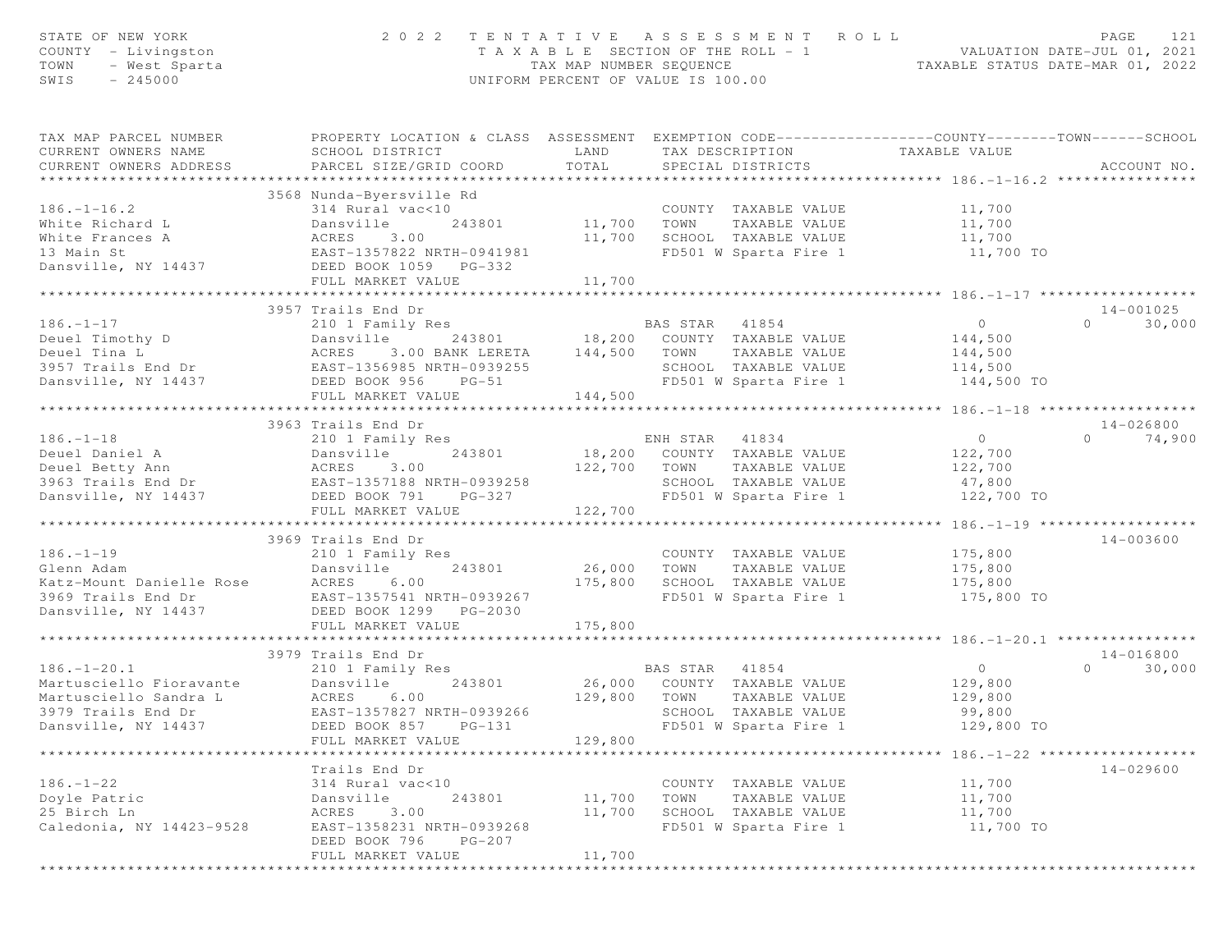| STATE OF NEW YORK<br>COUNTY - Livingston<br>TOWN<br>- West Sparta<br>$-245000$<br>SWIS | 2 0 2 2                                                                                                                                       | TAX MAP NUMBER SEQUENCE | TENTATIVE ASSESSMENT ROLL<br>T A X A B L E SECTION OF THE ROLL - 1<br>UNIFORM PERCENT OF VALUE IS 100.00 | VALUATION DATE-JUL 01, 2021<br>TAXABLE STATUS DATE-MAR 01, 2022 | PAGE<br>121        |
|----------------------------------------------------------------------------------------|-----------------------------------------------------------------------------------------------------------------------------------------------|-------------------------|----------------------------------------------------------------------------------------------------------|-----------------------------------------------------------------|--------------------|
| TAX MAP PARCEL NUMBER<br>CURRENT OWNERS NAME<br>CURRENT OWNERS ADDRESS                 | PROPERTY LOCATION & CLASS ASSESSMENT EXEMPTION CODE----------------COUNTY-------TOWN------SCHOOL<br>SCHOOL DISTRICT<br>PARCEL SIZE/GRID COORD | LAND<br>TOTAL           | TAX DESCRIPTION<br>SPECIAL DISTRICTS                                                                     | TAXABLE VALUE                                                   | ACCOUNT NO.        |
|                                                                                        | 3568 Nunda-Byersville Rd                                                                                                                      |                         |                                                                                                          |                                                                 |                    |
| $186. - 1 - 16.2$                                                                      | 314 Rural vac<10                                                                                                                              |                         | COUNTY TAXABLE VALUE                                                                                     | 11,700                                                          |                    |
| White Richard L                                                                        | 243801<br>Dansville                                                                                                                           | 11,700                  | TOWN<br>TAXABLE VALUE                                                                                    | 11,700                                                          |                    |
| White Frances A                                                                        | ACRES<br>3.00                                                                                                                                 | 11,700                  | SCHOOL TAXABLE VALUE                                                                                     | 11,700                                                          |                    |
| 13 Main St                                                                             | EAST-1357822 NRTH-0941981                                                                                                                     |                         | FD501 W Sparta Fire 1                                                                                    | 11,700 TO                                                       |                    |
| Dansville, NY 14437                                                                    | DEED BOOK 1059 PG-332                                                                                                                         |                         |                                                                                                          |                                                                 |                    |
|                                                                                        | FULL MARKET VALUE                                                                                                                             | 11,700                  |                                                                                                          |                                                                 |                    |
|                                                                                        |                                                                                                                                               |                         |                                                                                                          |                                                                 |                    |
|                                                                                        | 3957 Trails End Dr                                                                                                                            |                         |                                                                                                          |                                                                 | $14 - 001025$      |
| $186. - 1 - 17$                                                                        | 210 1 Family Res                                                                                                                              |                         | BAS STAR<br>41854                                                                                        | $\overline{0}$                                                  | $\Omega$<br>30,000 |
| Deuel Timothy D                                                                        | Dansville<br>243801                                                                                                                           |                         | 18,200 COUNTY TAXABLE VALUE                                                                              | 144,500                                                         |                    |
| Deuel Tina L                                                                           | ACRES<br>3.00 BANK LERETA                                                                                                                     | 144,500                 | TOWN<br>TAXABLE VALUE                                                                                    | 144,500                                                         |                    |
| 3957 Trails End Dr                                                                     | EAST-1356985 NRTH-0939255                                                                                                                     |                         | SCHOOL TAXABLE VALUE                                                                                     | 114,500                                                         |                    |
| Dansville, NY 14437                                                                    | DEED BOOK 956<br>$PG-51$                                                                                                                      |                         | FD501 W Sparta Fire 1                                                                                    | 144,500 TO                                                      |                    |
|                                                                                        | FULL MARKET VALUE                                                                                                                             | 144,500                 |                                                                                                          |                                                                 |                    |
|                                                                                        | ******************************                                                                                                                |                         |                                                                                                          |                                                                 |                    |
|                                                                                        | 3963 Trails End Dr                                                                                                                            |                         |                                                                                                          |                                                                 | 14-026800          |
| $186. - 1 - 18$                                                                        | 210 1 Family Res                                                                                                                              |                         | ENH STAR 41834                                                                                           | $\overline{0}$                                                  | 74,900<br>$\Omega$ |
| Deuel Daniel A                                                                         | 243801<br>Dansville                                                                                                                           |                         | 18,200 COUNTY TAXABLE VALUE                                                                              | 122,700                                                         |                    |
| Deuel Betty Ann<br>3963 Trails End Dr                                                  | ACRES<br>3.00<br>EAST-1357188 NRTH-0939258                                                                                                    | 122,700                 | TOWN<br>TAXABLE VALUE<br>SCHOOL TAXABLE VALUE                                                            | 122,700<br>47,800                                               |                    |
| Dansville, NY 14437                                                                    | DEED BOOK 791<br>PG-327                                                                                                                       |                         | FD501 W Sparta Fire 1                                                                                    | 122,700 TO                                                      |                    |
|                                                                                        | FULL MARKET VALUE                                                                                                                             | 122,700                 |                                                                                                          |                                                                 |                    |
|                                                                                        | ***************************                                                                                                                   |                         |                                                                                                          |                                                                 |                    |
|                                                                                        | 3969 Trails End Dr                                                                                                                            |                         |                                                                                                          |                                                                 | 14-003600          |
| $186. - 1 - 19$                                                                        | 210 1 Family Res                                                                                                                              |                         | COUNTY TAXABLE VALUE                                                                                     | 175,800                                                         |                    |
| Glenn Adam                                                                             | Dansville<br>243801                                                                                                                           | 26,000                  | TAXABLE VALUE<br>TOWN                                                                                    | 175,800                                                         |                    |
| Katz-Mount Danielle Rose                                                               | 6.00<br>ACRES                                                                                                                                 | 175,800                 | SCHOOL TAXABLE VALUE                                                                                     | 175,800                                                         |                    |
| 3969 Trails End Dr                                                                     | EAST-1357541 NRTH-0939267                                                                                                                     |                         | FD501 W Sparta Fire 1                                                                                    | 175,800 TO                                                      |                    |
| Dansville, NY 14437                                                                    | DEED BOOK 1299 PG-2030                                                                                                                        |                         |                                                                                                          |                                                                 |                    |
|                                                                                        | FULL MARKET VALUE                                                                                                                             | 175,800                 |                                                                                                          |                                                                 |                    |
|                                                                                        | ***********************                                                                                                                       |                         |                                                                                                          |                                                                 |                    |
|                                                                                        | 3979 Trails End Dr                                                                                                                            |                         |                                                                                                          |                                                                 | 14-016800          |
| $186. - 1 - 20.1$                                                                      | 210 1 Family Res                                                                                                                              |                         | BAS STAR<br>41854                                                                                        | $\circ$                                                         | $\Omega$<br>30,000 |
| Martusciello Fioravante                                                                | Dansville<br>243801                                                                                                                           |                         | 26,000 COUNTY TAXABLE VALUE                                                                              | 129,800                                                         |                    |
| Martusciello Sandra L                                                                  | ACRES<br>6.00                                                                                                                                 | 129,800                 | TOWN<br>TAXABLE VALUE                                                                                    | 129,800                                                         |                    |
| 3979 Trails End Dr                                                                     | EAST-1357827 NRTH-0939266                                                                                                                     |                         | SCHOOL TAXABLE VALUE                                                                                     | 99,800                                                          |                    |
| Dansville, NY 14437                                                                    | $PG-131$<br>DEED BOOK 857                                                                                                                     |                         | FD501 W Sparta Fire 1                                                                                    | 129,800 TO                                                      |                    |
| **********************                                                                 | FULL MARKET VALUE<br>*******************                                                                                                      | 129,800                 |                                                                                                          | **************************** 186.-1-22 *******************      |                    |
|                                                                                        |                                                                                                                                               |                         |                                                                                                          |                                                                 |                    |
| $186. - 1 - 22$                                                                        | Trails End Dr                                                                                                                                 |                         |                                                                                                          |                                                                 | $14 - 029600$      |
| Doyle Patric                                                                           | 314 Rural vac<10<br>243801<br>Dansville                                                                                                       | 11,700                  | COUNTY TAXABLE VALUE<br>TOWN<br>TAXABLE VALUE                                                            | 11,700<br>11,700                                                |                    |
| 25 Birch Ln                                                                            | ACRES<br>3.00                                                                                                                                 | 11,700                  | SCHOOL TAXABLE VALUE                                                                                     | 11,700                                                          |                    |
| Caledonia, NY 14423-9528                                                               | EAST-1358231 NRTH-0939268                                                                                                                     |                         | FD501 W Sparta Fire 1                                                                                    | 11,700 TO                                                       |                    |
|                                                                                        | DEED BOOK 796<br>$PG-207$                                                                                                                     |                         |                                                                                                          |                                                                 |                    |
|                                                                                        | FULL MARKET VALUE                                                                                                                             | 11,700                  |                                                                                                          |                                                                 |                    |
|                                                                                        |                                                                                                                                               |                         |                                                                                                          |                                                                 |                    |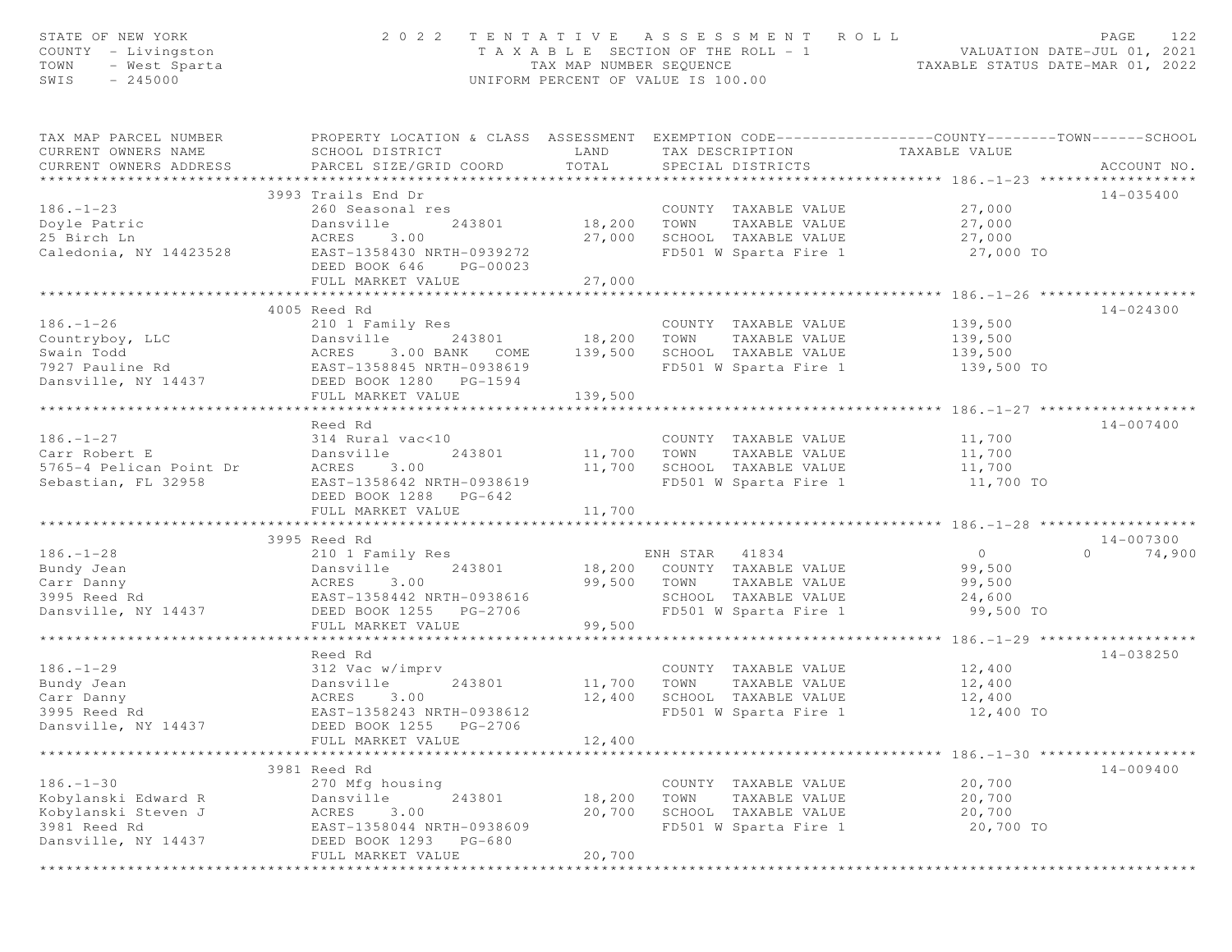| STATE OF NEW YORK<br>COUNTY - Livingston<br>TOWN<br>- West Sparta<br>SWIS<br>$-245000$ | 2 0 2 2                                                                                                                                       | TAX MAP NUMBER SEQUENCE | TENTATIVE ASSESSMENT ROLL<br>TAXABLE SECTION OF THE ROLL - 1<br>UNIFORM PERCENT OF VALUE IS 100.00 | ROLL - 1 VALUATION DATE-JUL 01, 2021<br>TAXABLE STATUS DATE-MAR 01, 2022 | PAGE<br>122        |
|----------------------------------------------------------------------------------------|-----------------------------------------------------------------------------------------------------------------------------------------------|-------------------------|----------------------------------------------------------------------------------------------------|--------------------------------------------------------------------------|--------------------|
| TAX MAP PARCEL NUMBER<br>CURRENT OWNERS NAME<br>CURRENT OWNERS ADDRESS                 | PROPERTY LOCATION & CLASS ASSESSMENT EXEMPTION CODE----------------COUNTY-------TOWN------SCHOOL<br>SCHOOL DISTRICT<br>PARCEL SIZE/GRID COORD | LAND<br>TOTAL           | TAX DESCRIPTION<br>SPECIAL DISTRICTS                                                               | TAXABLE VALUE                                                            | ACCOUNT NO.        |
|                                                                                        | 3993 Trails End Dr                                                                                                                            |                         |                                                                                                    |                                                                          | 14-035400          |
| $186. - 1 - 23$                                                                        | 260 Seasonal res                                                                                                                              |                         | COUNTY TAXABLE VALUE                                                                               | 27,000                                                                   |                    |
| Doyle Patric                                                                           | 243801<br>Dansville                                                                                                                           | 18,200                  | TAXABLE VALUE<br>TOWN                                                                              | 27,000                                                                   |                    |
| 25 Birch Ln                                                                            | 3.00<br>ACRES                                                                                                                                 | 27,000                  | SCHOOL TAXABLE VALUE                                                                               | 27,000                                                                   |                    |
| Caledonia, NY 14423528                                                                 | EAST-1358430 NRTH-0939272<br>DEED BOOK 646<br>PG-00023                                                                                        |                         | FD501 W Sparta Fire 1                                                                              | 27,000 TO                                                                |                    |
|                                                                                        | FULL MARKET VALUE                                                                                                                             | 27,000                  |                                                                                                    |                                                                          |                    |
|                                                                                        |                                                                                                                                               | * * * * * * * * * * *   |                                                                                                    | ************* 186. -1-26 ***************                                 |                    |
| $186. - 1 - 26$                                                                        | 4005 Reed Rd<br>210 1 Family Res                                                                                                              |                         | COUNTY TAXABLE VALUE                                                                               | 139,500                                                                  | 14-024300          |
| Countryboy, LLC                                                                        | Dansville<br>243801                                                                                                                           | 18,200                  | TOWN<br>TAXABLE VALUE                                                                              | 139,500                                                                  |                    |
| Swain Todd                                                                             | ACRES<br>3.00 BANK COME                                                                                                                       | 139,500                 | SCHOOL TAXABLE VALUE                                                                               | 139,500                                                                  |                    |
| 7927 Pauline Rd                                                                        | EAST-1358845 NRTH-0938619                                                                                                                     |                         | FD501 W Sparta Fire 1                                                                              | 139,500 TO                                                               |                    |
| Dansville, NY 14437                                                                    | DEED BOOK 1280 PG-1594                                                                                                                        |                         |                                                                                                    |                                                                          |                    |
|                                                                                        | FULL MARKET VALUE                                                                                                                             | 139,500                 |                                                                                                    |                                                                          |                    |
|                                                                                        |                                                                                                                                               |                         |                                                                                                    |                                                                          |                    |
|                                                                                        | Reed Rd                                                                                                                                       |                         |                                                                                                    |                                                                          | 14-007400          |
| $186. - 1 - 27$                                                                        | 314 Rural vac<10                                                                                                                              |                         | COUNTY TAXABLE VALUE                                                                               | 11,700                                                                   |                    |
| Carr Robert E<br>5765-4 Pelican Point Dr                                               | Dansville<br>243801<br>3.00<br>ACRES                                                                                                          | 11,700<br>11,700        | TOWN<br>TAXABLE VALUE<br>SCHOOL TAXABLE VALUE                                                      | 11,700<br>11,700                                                         |                    |
| Sebastian, FL 32958                                                                    | EAST-1358642 NRTH-0938619                                                                                                                     |                         | FD501 W Sparta Fire 1                                                                              | 11,700 TO                                                                |                    |
|                                                                                        | DEED BOOK 1288 PG-642                                                                                                                         |                         |                                                                                                    |                                                                          |                    |
|                                                                                        | FULL MARKET VALUE                                                                                                                             | 11,700                  |                                                                                                    |                                                                          |                    |
|                                                                                        | 3995 Reed Rd                                                                                                                                  |                         |                                                                                                    |                                                                          | 14-007300          |
| $186. - 1 - 28$                                                                        | 210 1 Family Res                                                                                                                              |                         | ENH STAR 41834                                                                                     | 0                                                                        | $\Omega$<br>74,900 |
| Bundy Jean                                                                             | Dansville<br>243801                                                                                                                           |                         | 18,200 COUNTY TAXABLE VALUE                                                                        | 99,500                                                                   |                    |
| Carr Danny                                                                             | 3.00<br>ACRES                                                                                                                                 | 99,500                  | TOWN<br>TAXABLE VALUE                                                                              | 99,500                                                                   |                    |
| 3995 Reed Rd                                                                           | EAST-1358442 NRTH-0938616                                                                                                                     |                         | SCHOOL TAXABLE VALUE                                                                               | 24,600                                                                   |                    |
| Dansville, NY 14437                                                                    | DEED BOOK 1255 PG-2706                                                                                                                        |                         | FD501 W Sparta Fire 1                                                                              | 99,500 TO                                                                |                    |
|                                                                                        | FULL MARKET VALUE                                                                                                                             | 99,500                  |                                                                                                    | ********* 186. -1-29 ***************                                     |                    |
|                                                                                        | Reed Rd                                                                                                                                       |                         |                                                                                                    |                                                                          | 14-038250          |
| $186. - 1 - 29$                                                                        | 312 Vac w/imprv                                                                                                                               |                         | COUNTY TAXABLE VALUE                                                                               | 12,400                                                                   |                    |
| Bundy Jean                                                                             | Dansville<br>243801                                                                                                                           | 11,700                  | TOWN<br>TAXABLE VALUE                                                                              | 12,400                                                                   |                    |
| Carr Danny                                                                             | 3.00<br>ACRES                                                                                                                                 | 12,400                  | SCHOOL TAXABLE VALUE                                                                               | 12,400                                                                   |                    |
| 3995 Reed Rd                                                                           | EAST-1358243 NRTH-0938612                                                                                                                     |                         | FD501 W Sparta Fire 1                                                                              | 12,400 TO                                                                |                    |
| Dansville, NY 14437                                                                    | DEED BOOK 1255<br>PG-2706                                                                                                                     |                         |                                                                                                    |                                                                          |                    |
|                                                                                        | FULL MARKET VALUE                                                                                                                             | 12,400                  |                                                                                                    |                                                                          |                    |
|                                                                                        | 3981 Reed Rd                                                                                                                                  |                         |                                                                                                    | ************************ 186. -1-30 *******************                  | $14 - 009400$      |
| $186. - 1 - 30$                                                                        | 270 Mfg housing                                                                                                                               |                         | COUNTY TAXABLE VALUE                                                                               | 20,700                                                                   |                    |
| Kobylanski Edward R                                                                    | 243801<br>Dansville                                                                                                                           | 18,200                  | TOWN<br>TAXABLE VALUE                                                                              | 20,700                                                                   |                    |
| Kobylanski Steven J                                                                    | ACRES<br>3.00                                                                                                                                 | 20,700                  | SCHOOL TAXABLE VALUE                                                                               | 20,700                                                                   |                    |
| 3981 Reed Rd                                                                           | EAST-1358044 NRTH-0938609                                                                                                                     |                         | FD501 W Sparta Fire 1                                                                              | 20,700 TO                                                                |                    |
| Dansville, NY 14437                                                                    | DEED BOOK 1293<br>PG-680                                                                                                                      |                         |                                                                                                    |                                                                          |                    |
|                                                                                        | FULL MARKET VALUE                                                                                                                             | 20,700                  |                                                                                                    |                                                                          |                    |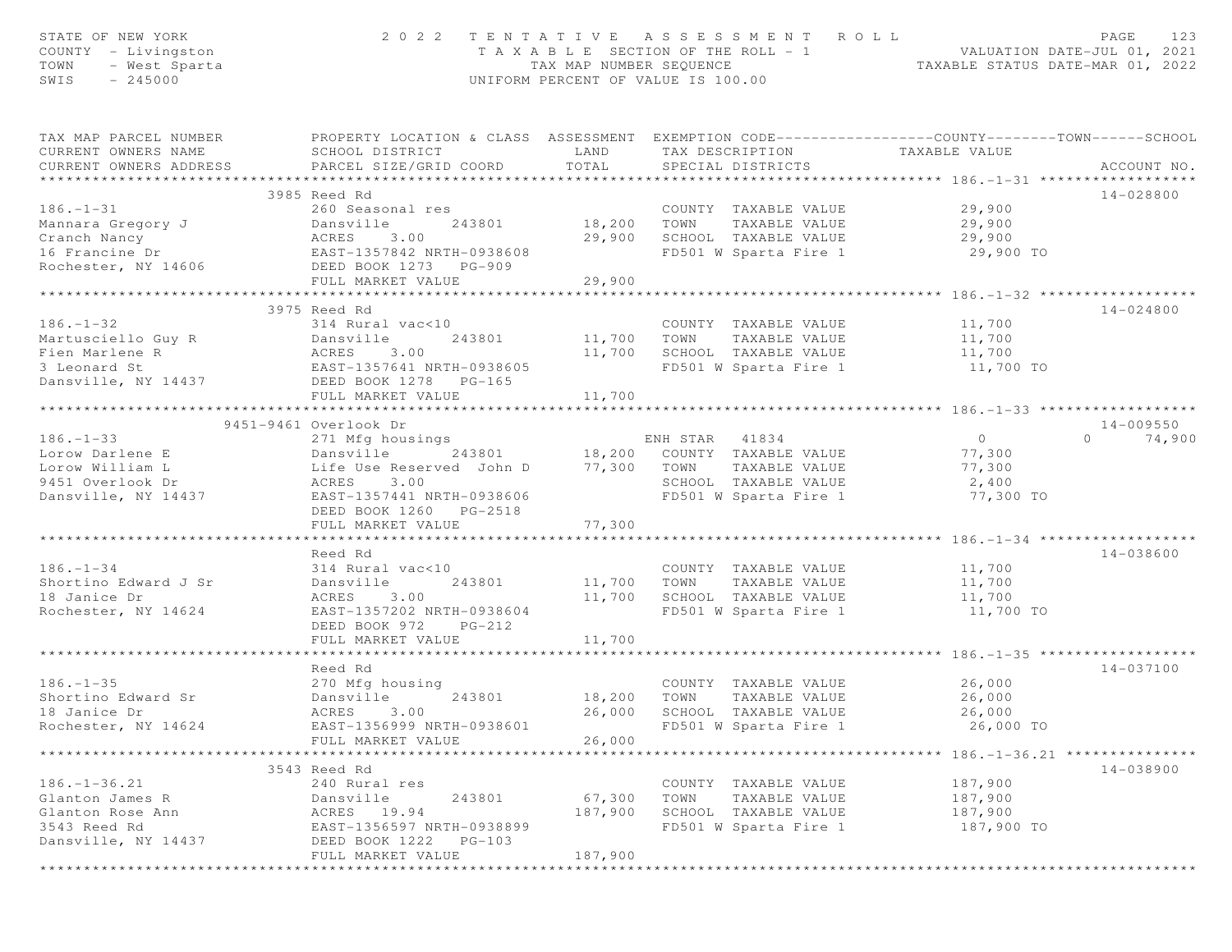| STATE OF NEW YORK<br>COUNTY - Livingston<br>TOWN<br>- West Sparta<br>SWIS<br>$-245000$ | 2022 TENTATIVE ASSESSMENT ROLL                                                                                                                | TAX MAP NUMBER SEQUENCE | T A X A B L E SECTION OF THE ROLL - 1<br>UNIFORM PERCENT OF VALUE IS 100.00 |               | ROLL - 1<br>TAXABLE STATUS DATE-MAR 01, 2022<br>TAXABLE STATUS DATE-MAR 01, 2022 | PAGE<br>123        |
|----------------------------------------------------------------------------------------|-----------------------------------------------------------------------------------------------------------------------------------------------|-------------------------|-----------------------------------------------------------------------------|---------------|----------------------------------------------------------------------------------|--------------------|
| TAX MAP PARCEL NUMBER<br>CURRENT OWNERS NAME<br>CURRENT OWNERS ADDRESS                 | PROPERTY LOCATION & CLASS ASSESSMENT EXEMPTION CODE----------------COUNTY-------TOWN------SCHOOL<br>SCHOOL DISTRICT<br>PARCEL SIZE/GRID COORD | LAND<br>TOTAL           | TAX DESCRIPTION<br>SPECIAL DISTRICTS                                        |               | TAXABLE VALUE                                                                    | ACCOUNT NO.        |
|                                                                                        | 3985 Reed Rd                                                                                                                                  |                         |                                                                             |               |                                                                                  | $14 - 028800$      |
| $186. - 1 - 31$                                                                        | 260 Seasonal res                                                                                                                              |                         | COUNTY TAXABLE VALUE                                                        |               | 29,900                                                                           |                    |
| Mannara Gregory J                                                                      | Dansville<br>243801                                                                                                                           | 18,200 TOWN             |                                                                             | TAXABLE VALUE | 29,900                                                                           |                    |
| Cranch Nancy                                                                           | ACRES<br>3.00                                                                                                                                 | 29,900                  | SCHOOL TAXABLE VALUE                                                        |               | 29,900                                                                           |                    |
| 16 Francine Dr                                                                         | ACRES 3.00<br>EAST-1357842 NRTH-0938608                                                                                                       |                         | FD501 W Sparta Fire 1                                                       |               | 29,900 TO                                                                        |                    |
| Rochester, NY 14606                                                                    | DEED BOOK 1273 PG-909                                                                                                                         |                         |                                                                             |               |                                                                                  |                    |
|                                                                                        | FULL MARKET VALUE                                                                                                                             | 29,900                  |                                                                             |               |                                                                                  |                    |
|                                                                                        | ************************                                                                                                                      | **********              |                                                                             |               | ************** 186.-1-32 *******                                                 |                    |
|                                                                                        | 3975 Reed Rd                                                                                                                                  |                         |                                                                             |               |                                                                                  | 14-024800          |
| $186. - 1 - 32$<br>Martusciello Guy R                                                  | 314 Rural vac<10<br>243801                                                                                                                    | 11,700 TOWN             | COUNTY TAXABLE VALUE                                                        | TAXABLE VALUE | 11,700                                                                           |                    |
| Fien Marlene R                                                                         | Dansville<br>ACRES<br>3.00                                                                                                                    | 11,700                  | SCHOOL TAXABLE VALUE                                                        |               | 11,700<br>11,700                                                                 |                    |
| 3 Leonard St                                                                           | EAST-1357641 NRTH-0938605                                                                                                                     |                         | FD501 W Sparta Fire 1                                                       |               | 11,700 TO                                                                        |                    |
| Dansville, NY 14437                                                                    | DEED BOOK 1278 PG-165                                                                                                                         |                         |                                                                             |               |                                                                                  |                    |
|                                                                                        | FULL MARKET VALUE                                                                                                                             | 11,700                  |                                                                             |               |                                                                                  |                    |
|                                                                                        |                                                                                                                                               |                         |                                                                             |               |                                                                                  |                    |
|                                                                                        | 9451-9461 Overlook Dr                                                                                                                         |                         |                                                                             |               |                                                                                  | $14 - 009550$      |
| $186. - 1 - 33$                                                                        | 271 Mfg housings                                                                                                                              |                         | ENH STAR 41834                                                              |               | $\overline{0}$                                                                   | 74,900<br>$\Omega$ |
| Lorow Darlene E                                                                        | 243801 18,200 COUNTY TAXABLE VALUE<br>eserved John D 77,300 TOWN TAXABLE VALUE<br>Dansville                                                   |                         |                                                                             |               | 77,300                                                                           |                    |
| Lorow William L                                                                        | Life Use Reserved John D<br>3.00                                                                                                              |                         |                                                                             |               | 77,300                                                                           |                    |
| 9451 Overlook Dr<br>Dansville, NY 14437                                                | ACRES<br>EAST-1357441 NRTH-0938606                                                                                                            |                         | SCHOOL TAXABLE VALUE<br>FD501 W Sparta Fire 1                               |               | 2,400<br>77,300 TO                                                               |                    |
|                                                                                        | DEED BOOK 1260 PG-2518                                                                                                                        |                         |                                                                             |               |                                                                                  |                    |
|                                                                                        | FULL MARKET VALUE                                                                                                                             | 77,300                  |                                                                             |               |                                                                                  |                    |
|                                                                                        |                                                                                                                                               | **************          |                                                                             |               |                                                                                  |                    |
|                                                                                        | Reed Rd                                                                                                                                       |                         |                                                                             |               |                                                                                  | $14 - 038600$      |
| $186. - 1 - 34$                                                                        | 314 Rural vac<10                                                                                                                              |                         | COUNTY TAXABLE VALUE                                                        |               | 11,700                                                                           |                    |
| Shortino Edward J Sr                                                                   | 243801<br>Dansville                                                                                                                           | 11,700 TOWN             |                                                                             | TAXABLE VALUE | 11,700                                                                           |                    |
| 18 Janice Dr                                                                           | 3.00<br>ACRES                                                                                                                                 | 11,700                  | SCHOOL TAXABLE VALUE                                                        |               | 11,700                                                                           |                    |
| Rochester, NY 14624                                                                    | EAST-1357202 NRTH-0938604                                                                                                                     |                         | FD501 W Sparta Fire 1                                                       |               | 11,700 TO                                                                        |                    |
|                                                                                        | DEED BOOK 972 PG-212<br>FULL MARKET VALUE                                                                                                     | 11,700                  |                                                                             |               |                                                                                  |                    |
|                                                                                        |                                                                                                                                               |                         |                                                                             |               | ********* 186.-1-35 *****                                                        |                    |
|                                                                                        | Reed Rd                                                                                                                                       |                         |                                                                             |               |                                                                                  | 14-037100          |
| $186. - 1 - 35$                                                                        | 270 Mfg housing                                                                                                                               |                         | COUNTY TAXABLE VALUE                                                        |               | 26,000                                                                           |                    |
| Shortino Edward Sr                                                                     | 243801<br>Dansville                                                                                                                           | 18,200                  | TOWN                                                                        | TAXABLE VALUE | 26,000                                                                           |                    |
| 18 Janice Dr                                                                           | ACRES<br>3.00                                                                                                                                 | 26,000                  | SCHOOL TAXABLE VALUE                                                        |               | 26,000                                                                           |                    |
| Rochester, NY 14624                                                                    | EAST-1356999 NRTH-0938601                                                                                                                     |                         | FD501 W Sparta Fire 1                                                       |               | 26,000 TO                                                                        |                    |
|                                                                                        | FULL MARKET VALUE                                                                                                                             | 26,000                  |                                                                             |               |                                                                                  |                    |
|                                                                                        | 3543 Reed Rd                                                                                                                                  |                         |                                                                             |               | ********************* 186.-1-36.21 ****************                              | 14-038900          |
| $186. - 1 - 36.21$                                                                     | 240 Rural res                                                                                                                                 |                         | COUNTY TAXABLE VALUE                                                        |               | 187,900                                                                          |                    |
| Glanton James R                                                                        | 243801<br>Dansville                                                                                                                           | 67,300                  | TOWN                                                                        | TAXABLE VALUE | 187,900                                                                          |                    |
| Glanton Rose Ann                                                                       | ACRES<br>19.94                                                                                                                                | 187,900                 | SCHOOL TAXABLE VALUE                                                        |               | 187,900                                                                          |                    |
| 3543 Reed Rd                                                                           | EAST-1356597 NRTH-0938899                                                                                                                     |                         | FD501 W Sparta Fire 1                                                       |               | 187,900 TO                                                                       |                    |
| Dansville, NY 14437                                                                    | DEED BOOK 1222<br>$PG-103$                                                                                                                    |                         |                                                                             |               |                                                                                  |                    |
|                                                                                        | FULL MARKET VALUE                                                                                                                             | 187,900                 |                                                                             |               |                                                                                  |                    |
|                                                                                        |                                                                                                                                               |                         |                                                                             |               |                                                                                  |                    |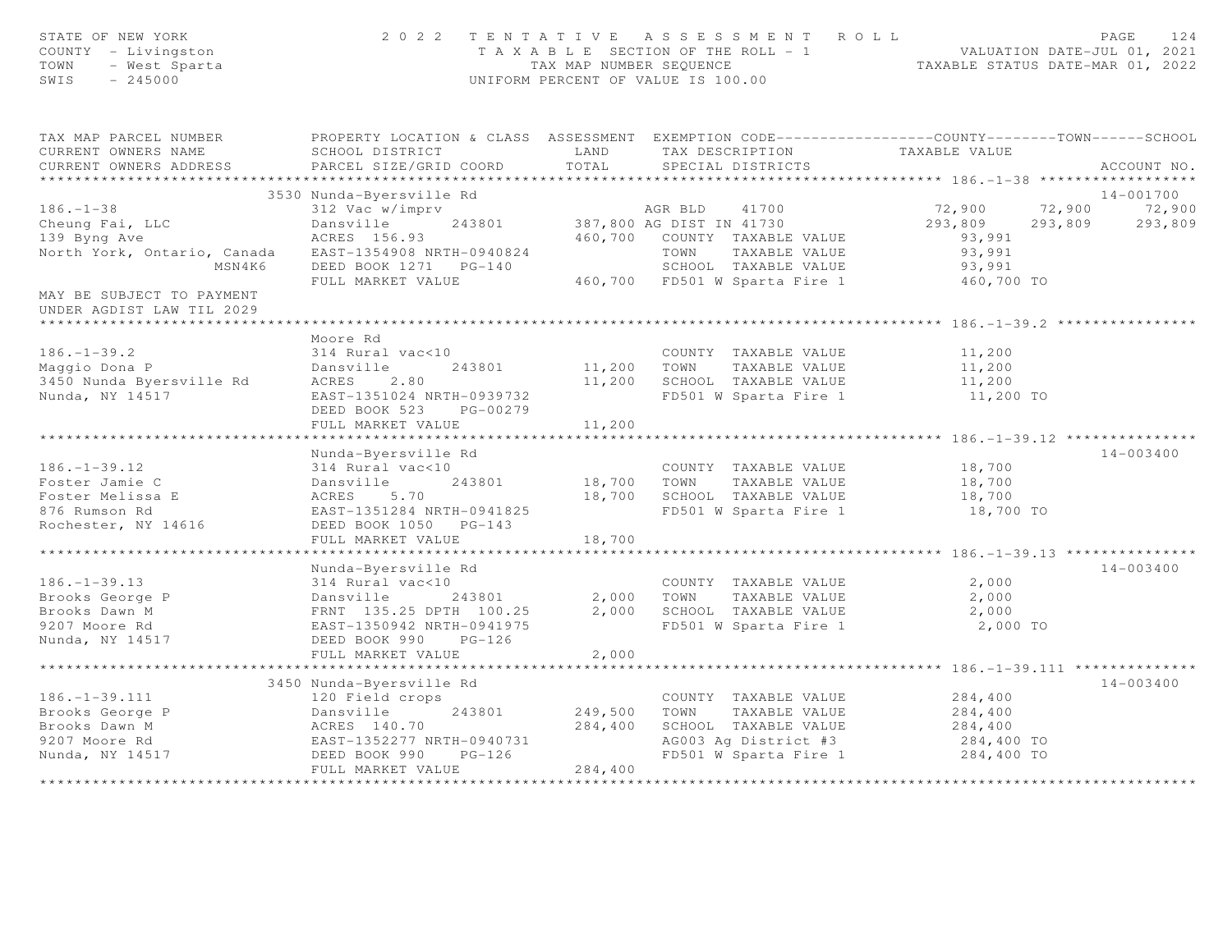| STATE OF NEW YORK<br>COUNTY - Livingston<br>TOWN<br>- West Sparta<br>$-245000$<br>SWIS |                                           | TAX MAP NUMBER SEOUENCE | 2022 TENTATIVE ASSESSMENT ROLL<br>T A X A B L E SECTION OF THE ROLL - 1 VALUATION DATE-JUL 01, 2021<br>UNIFORM PERCENT OF VALUE IS 100.00 |               | PAGE<br>124<br>TAXABLE STATUS DATE-MAR 01, 2022 |
|----------------------------------------------------------------------------------------|-------------------------------------------|-------------------------|-------------------------------------------------------------------------------------------------------------------------------------------|---------------|-------------------------------------------------|
| TAX MAP PARCEL NUMBER<br>CURRENT OWNERS NAME<br>CURRENT OWNERS ADDRESS                 | SCHOOL DISTRICT<br>PARCEL SIZE/GRID COORD | LAND<br>TOTAL           | PROPERTY LOCATION & CLASS ASSESSMENT EXEMPTION CODE-----------------COUNTY-------TOWN------SCHOOL<br>TAX DESCRIPTION<br>SPECIAL DISTRICTS | TAXABLE VALUE | ACCOUNT NO.                                     |
|                                                                                        | 3530 Nunda-Byersville Rd                  |                         |                                                                                                                                           |               | 14-001700                                       |
| $186. - 1 - 38$                                                                        |                                           |                         |                                                                                                                                           | 72,900        |                                                 |
|                                                                                        | 312 Vac w/imprv                           |                         | AGR BLD<br>41700                                                                                                                          |               | 72,900<br>72,900                                |
| Cheung Fai, LLC                                                                        | Dansville<br>243801<br>ACRES 156.93       | 460,700                 | 387,800 AG DIST IN 41730                                                                                                                  | 293,809       | 293,809<br>293,809                              |
| 139 Byng Ave                                                                           |                                           |                         | COUNTY TAXABLE VALUE                                                                                                                      | 93,991        |                                                 |
| North York, Ontario, Canada                                                            | EAST-1354908 NRTH-0940824                 |                         | TOWN<br>TAXABLE VALUE                                                                                                                     | 93,991        |                                                 |
| MSN4K6                                                                                 | DEED BOOK 1271 PG-140                     |                         | SCHOOL TAXABLE VALUE<br>460,700 FD501 W Sparta Fire 1                                                                                     | 93,991        |                                                 |
|                                                                                        | FULL MARKET VALUE                         |                         |                                                                                                                                           | 460,700 TO    |                                                 |
| MAY BE SUBJECT TO PAYMENT                                                              |                                           |                         |                                                                                                                                           |               |                                                 |
| UNDER AGDIST LAW TIL 2029                                                              |                                           |                         |                                                                                                                                           |               |                                                 |
|                                                                                        |                                           |                         |                                                                                                                                           |               |                                                 |
|                                                                                        | Moore Rd                                  |                         |                                                                                                                                           |               |                                                 |
| $186. - 1 - 39.2$                                                                      | 314 Rural vac<10                          |                         | COUNTY TAXABLE VALUE                                                                                                                      | 11,200        |                                                 |
| Maggio Dona P                                                                          | Dansville<br>243801                       |                         | 11,200 TOWN TAXABLE VALUE                                                                                                                 | 11,200        |                                                 |
| 3450 Nunda Byersville Rd                                                               | ACRES<br>2.80                             |                         | 11,200 SCHOOL TAXABLE VALUE                                                                                                               | 11,200        |                                                 |
| Nunda, NY 14517                                                                        | EAST-1351024 NRTH-0939732                 |                         | FD501 W Sparta Fire 1                                                                                                                     | 11,200 TO     |                                                 |
|                                                                                        | DEED BOOK 523 PG-00279                    |                         |                                                                                                                                           |               |                                                 |
|                                                                                        | FULL MARKET VALUE                         | 11,200                  |                                                                                                                                           |               |                                                 |
|                                                                                        |                                           |                         |                                                                                                                                           |               |                                                 |
|                                                                                        | Nunda-Byersville Rd                       |                         |                                                                                                                                           |               | $14 - 003400$                                   |
| $186. - 1 - 39.12$                                                                     | 314 Rural vac<10                          |                         | COUNTY TAXABLE VALUE                                                                                                                      | 18,700        |                                                 |
| Foster Jamie C                                                                         | 243801<br>Dansville                       | 18,700                  | TOWN<br>TAXABLE VALUE                                                                                                                     | 18,700        |                                                 |
| Foster Melissa E                                                                       | 5.70<br>ACRES                             | 18,700                  | SCHOOL TAXABLE VALUE                                                                                                                      | 18,700        |                                                 |
| 876 Rumson Rd                                                                          | EAST-1351284 NRTH-0941825                 |                         | FD501 W Sparta Fire 1                                                                                                                     | 18,700 TO     |                                                 |
| Rochester, NY 14616                                                                    | DEED BOOK 1050 PG-143                     |                         |                                                                                                                                           |               |                                                 |
|                                                                                        | FULL MARKET VALUE                         | 18,700                  |                                                                                                                                           |               |                                                 |
|                                                                                        |                                           |                         |                                                                                                                                           |               |                                                 |
|                                                                                        | Nunda-Byersville Rd                       |                         |                                                                                                                                           |               | $14 - 003400$                                   |
| $186. - 1 - 39.13$                                                                     | 314 Rural vac<10                          |                         | COUNTY TAXABLE VALUE                                                                                                                      | 2,000         |                                                 |
| Brooks George P                                                                        | Dansville<br>243801                       | 2,000                   | TOWN<br>TAXABLE VALUE                                                                                                                     | 2,000         |                                                 |
| Brooks Dawn M                                                                          | FRNT 135.25 DPTH 100.25                   | 2,000                   | SCHOOL TAXABLE VALUE                                                                                                                      | 2,000         |                                                 |
| 9207 Moore Rd                                                                          | EAST-1350942 NRTH-0941975                 |                         | FD501 W Sparta Fire 1                                                                                                                     | 2,000 TO      |                                                 |
| Nunda, NY 14517                                                                        | DEED BOOK 990 PG-126                      |                         |                                                                                                                                           |               |                                                 |
|                                                                                        | FULL MARKET VALUE                         | 2,000                   |                                                                                                                                           |               |                                                 |
|                                                                                        |                                           |                         |                                                                                                                                           |               |                                                 |
|                                                                                        | 3450 Nunda-Byersville Rd                  |                         |                                                                                                                                           |               | $14 - 003400$                                   |
| $186. - 1 - 39.111$                                                                    | 120 Field crops                           |                         | COUNTY TAXABLE VALUE                                                                                                                      | 284,400       |                                                 |
| Brooks George P                                                                        | Dansville<br>243801                       | 249,500                 | TOWN<br>TAXABLE VALUE                                                                                                                     | 284,400       |                                                 |
| Brooks Dawn M                                                                          | ACRES 140.70                              | 284,400                 | SCHOOL TAXABLE VALUE                                                                                                                      | 284,400       |                                                 |
| 9207 Moore Rd                                                                          | EAST-1352277 NRTH-0940731                 |                         | AG003 Ag District #3                                                                                                                      | 284,400 TO    |                                                 |
| Nunda, NY 14517                                                                        | DEED BOOK 990<br>$PG-126$                 |                         | FD501 W Sparta Fire 1                                                                                                                     | 284,400 TO    |                                                 |
|                                                                                        | FULL MARKET VALUE                         | 284,400                 |                                                                                                                                           |               |                                                 |
|                                                                                        |                                           |                         |                                                                                                                                           |               |                                                 |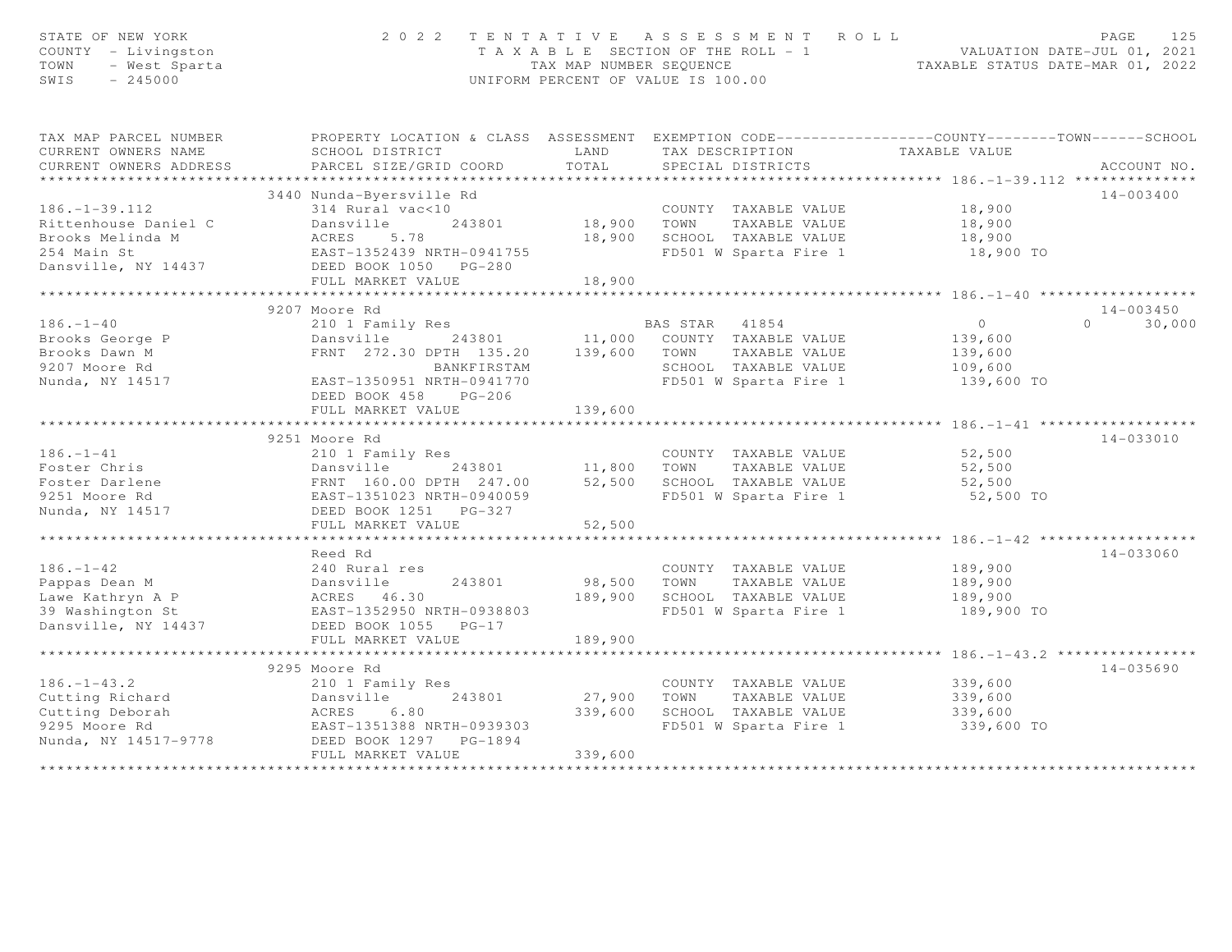| STATE OF NEW YORK<br>COUNTY - Livingston<br>TOWN<br>- West Sparta<br>SWIS<br>$-245000$ | 2 0 2 2                                                                                          | TAX MAP NUMBER SEQUENCE | TENTATIVE ASSESSMENT ROLL<br>T A X A B L E SECTION OF THE ROLL - 1<br>UNIFORM PERCENT OF VALUE IS 100.00 | TAXABLE STATUS DATE-MAR 01, 2022         | 125<br>PAGE<br>VALUATION DATE-JUL 01, 2021 |
|----------------------------------------------------------------------------------------|--------------------------------------------------------------------------------------------------|-------------------------|----------------------------------------------------------------------------------------------------------|------------------------------------------|--------------------------------------------|
| TAX MAP PARCEL NUMBER                                                                  | PROPERTY LOCATION & CLASS ASSESSMENT EXEMPTION CODE----------------COUNTY-------TOWN------SCHOOL |                         |                                                                                                          |                                          |                                            |
| CURRENT OWNERS NAME                                                                    | SCHOOL DISTRICT                                                                                  | LAND                    | TAX DESCRIPTION TAXABLE VALUE                                                                            |                                          |                                            |
| CURRENT OWNERS ADDRESS                                                                 | PARCEL SIZE/GRID COORD                                                                           | TOTAL                   | SPECIAL DISTRICTS                                                                                        |                                          | ACCOUNT NO.                                |
| **********************                                                                 |                                                                                                  |                         |                                                                                                          |                                          |                                            |
|                                                                                        | 3440 Nunda-Byersville Rd                                                                         |                         |                                                                                                          |                                          | $14 - 003400$                              |
| $186. - 1 - 39.112$                                                                    | 314 Rural vac<10                                                                                 |                         | COUNTY TAXABLE VALUE                                                                                     | 18,900                                   |                                            |
| Rittenhouse Daniel C                                                                   | 243801<br>Dansville                                                                              | 18,900                  | TOWN<br>TAXABLE VALUE                                                                                    | 18,900                                   |                                            |
| Brooks Melinda M                                                                       | ACRES<br>5.78                                                                                    | 18,900                  | SCHOOL TAXABLE VALUE                                                                                     | 18,900                                   |                                            |
| 254 Main St                                                                            | EAST-1352439 NRTH-0941755                                                                        |                         | FD501 W Sparta Fire 1                                                                                    | 18,900 TO                                |                                            |
| Dansville, NY 14437                                                                    | DEED BOOK 1050 PG-280                                                                            |                         |                                                                                                          |                                          |                                            |
|                                                                                        | FULL MARKET VALUE<br>******************************                                              | 18,900<br>**********    |                                                                                                          |                                          |                                            |
|                                                                                        |                                                                                                  |                         |                                                                                                          |                                          | $14 - 003450$                              |
| $186. - 1 - 40$                                                                        | 9207 Moore Rd<br>210 1 Family Res                                                                |                         | BAS STAR<br>41854                                                                                        | $\overline{0}$                           | $\cap$<br>30,000                           |
| Brooks George P                                                                        | 243801<br>Dansville                                                                              | 11,000                  | COUNTY TAXABLE VALUE                                                                                     | 139,600                                  |                                            |
| Brooks Dawn M                                                                          | FRNT 272.30 DPTH 135.20                                                                          | 139,600                 | TAXABLE VALUE<br>TOWN                                                                                    | 139,600                                  |                                            |
| 9207 Moore Rd                                                                          | BANKFIRSTAM                                                                                      |                         | SCHOOL TAXABLE VALUE                                                                                     | 109,600                                  |                                            |
| Nunda, NY 14517                                                                        | EAST-1350951 NRTH-0941770                                                                        |                         | FD501 W Sparta Fire 1                                                                                    | 139,600 TO                               |                                            |
|                                                                                        | DEED BOOK 458<br>$PG-206$                                                                        |                         |                                                                                                          |                                          |                                            |
|                                                                                        | FULL MARKET VALUE                                                                                | 139,600                 |                                                                                                          |                                          |                                            |
|                                                                                        | ***********************                                                                          |                         |                                                                                                          | ************* 186.-1-41 **********       |                                            |
|                                                                                        | 9251 Moore Rd                                                                                    |                         |                                                                                                          |                                          | 14-033010                                  |
| $186. - 1 - 41$                                                                        | 210 1 Family Res                                                                                 |                         | COUNTY TAXABLE VALUE                                                                                     | 52,500                                   |                                            |
| Foster Chris                                                                           | Dansville<br>243801                                                                              | 11,800                  | TOWN<br>TAXABLE VALUE                                                                                    | 52,500                                   |                                            |
| Foster Darlene                                                                         | FRNT 160.00 DPTH 247.00                                                                          | 52,500                  | SCHOOL TAXABLE VALUE                                                                                     | 52,500                                   |                                            |
| 9251 Moore Rd                                                                          | EAST-1351023 NRTH-0940059                                                                        |                         | FD501 W Sparta Fire 1                                                                                    | 52,500 TO                                |                                            |
| Nunda, NY 14517                                                                        | DEED BOOK 1251 PG-327                                                                            |                         |                                                                                                          |                                          |                                            |
|                                                                                        | FULL MARKET VALUE                                                                                | 52,500                  |                                                                                                          |                                          |                                            |
|                                                                                        |                                                                                                  |                         |                                                                                                          | ***** 186.-1-42 ****                     |                                            |
|                                                                                        | Reed Rd                                                                                          |                         |                                                                                                          |                                          | $14 - 033060$                              |
| $186. - 1 - 42$                                                                        | 240 Rural res                                                                                    |                         | COUNTY TAXABLE VALUE                                                                                     | 189,900                                  |                                            |
| Pappas Dean M                                                                          | 243801<br>Dansville                                                                              | 98,500                  | TOWN<br>TAXABLE VALUE                                                                                    | 189,900                                  |                                            |
| Lawe Kathryn A P                                                                       | ACRES 46.30                                                                                      | 189,900                 | SCHOOL TAXABLE VALUE                                                                                     | 189,900                                  |                                            |
| 39 Washington St                                                                       | EAST-1352950 NRTH-0938803                                                                        |                         | FD501 W Sparta Fire 1                                                                                    | 189,900 TO                               |                                            |
| Dansville, NY 14437                                                                    | DEED BOOK 1055 PG-17                                                                             |                         |                                                                                                          |                                          |                                            |
|                                                                                        | FULL MARKET VALUE                                                                                | 189,900                 |                                                                                                          | ********** 186.-1-43.2 ***************** |                                            |
|                                                                                        | 9295 Moore Rd                                                                                    |                         |                                                                                                          |                                          | $14 - 035690$                              |
| $186. - 1 - 43.2$                                                                      | 210 1 Family Res                                                                                 |                         | COUNTY TAXABLE VALUE                                                                                     | 339,600                                  |                                            |
| Cutting Richard                                                                        | Dansville<br>243801                                                                              | 27,900                  | TOWN<br>TAXABLE VALUE                                                                                    | 339,600                                  |                                            |
| Cutting Deborah                                                                        | ACRES<br>6.80                                                                                    | 339,600                 | SCHOOL TAXABLE VALUE                                                                                     | 339,600                                  |                                            |
| 9295 Moore Rd                                                                          | EAST-1351388 NRTH-0939303                                                                        |                         | FD501 W Sparta Fire 1                                                                                    | 339,600 TO                               |                                            |
| Nunda, NY 14517-9778                                                                   | DEED BOOK 1297 PG-1894                                                                           |                         |                                                                                                          |                                          |                                            |
|                                                                                        | FULL MARKET VALUE                                                                                | 339,600                 |                                                                                                          |                                          |                                            |
|                                                                                        |                                                                                                  | **************          |                                                                                                          |                                          |                                            |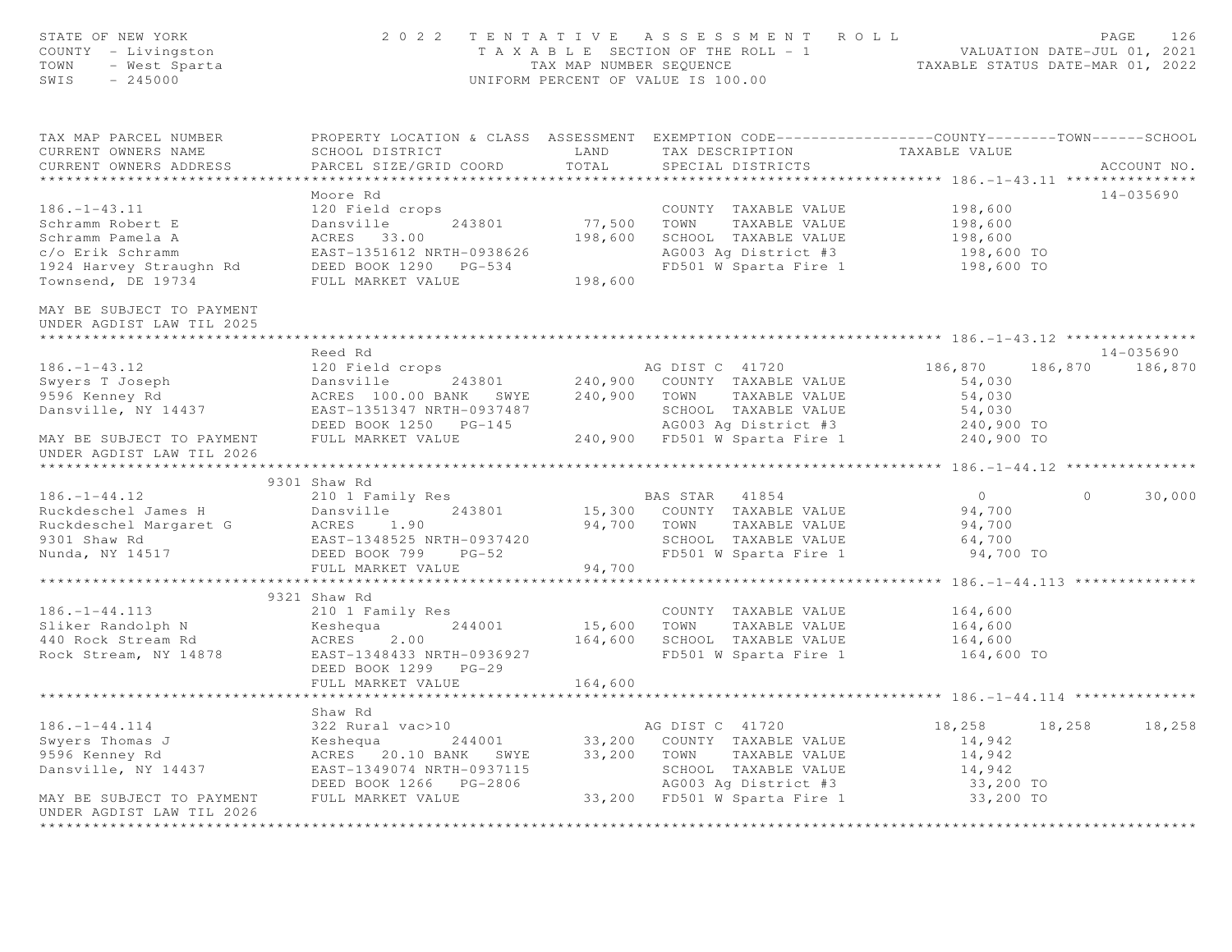| STATE OF NEW YORK<br>OF NEW YORK<br>Y - Livingston<br>- West Sparta<br>245000<br>COUNTY - Livingston<br>TOWN<br>SWIS                                                                                                                             |                                                                                                                                                                                                                                            |         | $\begin{array}{cccccccccccc} 2&0&2&2&2&\text{T} &\text{E} &\text{N} &\text{T} &\text{A} &\text{E} &\text{B} &\text{A} &\text{E} &\text{E} &\text{E} &\text{E} &\text{E} &\text{E} &\text{E} &\text{E} &\text{E} &\text{E} &\text{E} &\text{E} &\text{E} &\text{E} &\text{E} &\text{E} &\text{E} &\text{E} &\text{E} &\text{E} &\text{E} &\text{E} &\text{E} &\text{E} &\text{E} &\text{E$ |                          |         |                 |
|--------------------------------------------------------------------------------------------------------------------------------------------------------------------------------------------------------------------------------------------------|--------------------------------------------------------------------------------------------------------------------------------------------------------------------------------------------------------------------------------------------|---------|-------------------------------------------------------------------------------------------------------------------------------------------------------------------------------------------------------------------------------------------------------------------------------------------------------------------------------------------------------------------------------------------|--------------------------|---------|-----------------|
| TAX MAP PARCEL NUMBER THE PROPERTY LOCATION & CLASS ASSESSMENT EXEMPTION CODE---------------COUNTY-------TOWN------SCHOOL<br>CURRENT OWNERS NAME<br>CURRENT OWNERS ADDRESS                                                                       | SCHOOL DISTRICT LAND<br>PARCEL SIZE/GRID COORD                                                                                                                                                                                             | TOTAL   | TAX DESCRIPTION TAXABLE VALUE<br>SPECIAL DISTRICTS                                                                                                                                                                                                                                                                                                                                        |                          |         | ACCOUNT NO.     |
|                                                                                                                                                                                                                                                  |                                                                                                                                                                                                                                            |         |                                                                                                                                                                                                                                                                                                                                                                                           |                          |         |                 |
| $186. - 1 - 43.11$<br>Schramm Robert E<br>Schramm Pamela A<br>c/o Erik Schramm<br>1924 Harvey Straughn Rd<br>Townsend, DE 19734                                                                                                                  | Moore Rd<br>120 Field crops<br>Dansville 243801 77,500<br>ACRES 33.00 198,600<br>EAST-1351612 NRTH-0938626<br>DEED BOOK 1290 PG-534<br>FIIT MARKET VALUE 198,600                                                                           |         | COUNTY TAXABLE VALUE 198,600<br>TOWN TAXABLE VALUE 198,600<br>SCHOOL TAXABLE VALUE 198,600<br>77,500 TOWN TAXABLE VALUE<br>198,600 SCHOOL TAXABLE VALUE<br>AG003 Ag District #3<br>FD501 W Sparta Fire 1                                                                                                                                                                                  | 198,600 TO<br>198,600 TO |         | 14-035690       |
| MAY BE SUBJECT TO PAYMENT<br>UNDER AGDIST LAW TIL 2025<br>**************************                                                                                                                                                             |                                                                                                                                                                                                                                            |         |                                                                                                                                                                                                                                                                                                                                                                                           |                          |         |                 |
|                                                                                                                                                                                                                                                  | Reed Rd                                                                                                                                                                                                                                    |         |                                                                                                                                                                                                                                                                                                                                                                                           |                          |         | 14-035690       |
| $186. - 1 - 43.12$                                                                                                                                                                                                                               |                                                                                                                                                                                                                                            |         |                                                                                                                                                                                                                                                                                                                                                                                           |                          |         | 186,870 186,870 |
| Swyers T Joseph<br>9596 Kenney Rd                                                                                                                                                                                                                |                                                                                                                                                                                                                                            |         |                                                                                                                                                                                                                                                                                                                                                                                           |                          |         |                 |
|                                                                                                                                                                                                                                                  |                                                                                                                                                                                                                                            |         |                                                                                                                                                                                                                                                                                                                                                                                           |                          |         |                 |
| Dansville, NY 14437                                                                                                                                                                                                                              |                                                                                                                                                                                                                                            |         |                                                                                                                                                                                                                                                                                                                                                                                           |                          |         |                 |
| MAY BE SUBJECT TO PAYMENT<br>UNDER AGDIST LAW TIL 2026                                                                                                                                                                                           | 240,900 COUNTY TAXABLE VALUE 186,870 186<br>240,900 COUNTY TAXABLE VALUE 54,030<br>240,900 TOWN TAXABLE VALUE 54,030<br>240,900 TOWN TAXABLE VALUE 54,030<br>240,900 TOWN TAXABLE VALUE 54,030<br>240,900 TOWN TAXABLE VALUE 54,030<br>240 |         |                                                                                                                                                                                                                                                                                                                                                                                           |                          |         |                 |
|                                                                                                                                                                                                                                                  |                                                                                                                                                                                                                                            |         |                                                                                                                                                                                                                                                                                                                                                                                           |                          |         |                 |
|                                                                                                                                                                                                                                                  | 9301 Shaw Rd                                                                                                                                                                                                                               |         |                                                                                                                                                                                                                                                                                                                                                                                           |                          |         |                 |
| 186.-1-44.12<br>Ruckdeschel James H<br>Ruckdeschel Margaret G<br>9301 Shaw Rd<br>2010 I Family Res<br>243801 15,300 COUNTY TAXABLE VALUE<br>94,700 TOWN TAXABLE VALUE<br>94,700 TOWN TAXABLE VALUE<br>2010 SCHOOL TAXABLE VALUE<br>2010 SCHOOL T |                                                                                                                                                                                                                                            |         |                                                                                                                                                                                                                                                                                                                                                                                           | $\overline{0}$           | $\circ$ | 30,000          |
|                                                                                                                                                                                                                                                  |                                                                                                                                                                                                                                            |         |                                                                                                                                                                                                                                                                                                                                                                                           | 94,700<br>94,700         |         |                 |
|                                                                                                                                                                                                                                                  |                                                                                                                                                                                                                                            |         |                                                                                                                                                                                                                                                                                                                                                                                           | 64,700                   |         |                 |
|                                                                                                                                                                                                                                                  |                                                                                                                                                                                                                                            |         |                                                                                                                                                                                                                                                                                                                                                                                           | 94,700 TO                |         |                 |
|                                                                                                                                                                                                                                                  |                                                                                                                                                                                                                                            |         |                                                                                                                                                                                                                                                                                                                                                                                           |                          |         |                 |
|                                                                                                                                                                                                                                                  |                                                                                                                                                                                                                                            |         |                                                                                                                                                                                                                                                                                                                                                                                           |                          |         |                 |
|                                                                                                                                                                                                                                                  | 9321 Shaw Rd                                                                                                                                                                                                                               |         |                                                                                                                                                                                                                                                                                                                                                                                           |                          |         |                 |
|                                                                                                                                                                                                                                                  |                                                                                                                                                                                                                                            |         | COUNTY TAXABLE VALUE 164,600                                                                                                                                                                                                                                                                                                                                                              |                          |         |                 |
|                                                                                                                                                                                                                                                  |                                                                                                                                                                                                                                            |         |                                                                                                                                                                                                                                                                                                                                                                                           | 164,600                  |         |                 |
| 186.-1-44.113 210 1 Family Res<br>Sliker Randolph N Keshequa 244001 15,600 TOWN TAXABLE VALUE<br>40 Rock Stream Rd ACRES 2.00 164,600 SCHOOL TAXABLE VALUE<br>Rock Stream, NY 14878 EAST-1348433 NRTH-0936927 FD501 W Sparta Fire 1              |                                                                                                                                                                                                                                            |         | FD501 W Sparta Fire 1 164,600 TO                                                                                                                                                                                                                                                                                                                                                          | 164,600                  |         |                 |
|                                                                                                                                                                                                                                                  | DEED BOOK 1299 PG-29<br>FULL MARKET VALUE                                                                                                                                                                                                  | 164,600 |                                                                                                                                                                                                                                                                                                                                                                                           |                          |         |                 |
|                                                                                                                                                                                                                                                  |                                                                                                                                                                                                                                            |         |                                                                                                                                                                                                                                                                                                                                                                                           |                          |         |                 |
|                                                                                                                                                                                                                                                  | Shaw Rd                                                                                                                                                                                                                                    |         |                                                                                                                                                                                                                                                                                                                                                                                           |                          |         |                 |
| $186. - 1 - 44.114$                                                                                                                                                                                                                              |                                                                                                                                                                                                                                            |         |                                                                                                                                                                                                                                                                                                                                                                                           | 18,258 18,258            |         | 18,258          |
|                                                                                                                                                                                                                                                  |                                                                                                                                                                                                                                            |         |                                                                                                                                                                                                                                                                                                                                                                                           | 14,942                   |         |                 |
|                                                                                                                                                                                                                                                  |                                                                                                                                                                                                                                            |         |                                                                                                                                                                                                                                                                                                                                                                                           | 14,942                   |         |                 |
|                                                                                                                                                                                                                                                  |                                                                                                                                                                                                                                            |         |                                                                                                                                                                                                                                                                                                                                                                                           | 14,942                   |         |                 |
| MAY BE SUBJECT TO PAYMENT                                                                                                                                                                                                                        |                                                                                                                                                                                                                                            |         |                                                                                                                                                                                                                                                                                                                                                                                           | 33,200 TO<br>33,200 TO   |         |                 |
| UNDER AGDIST LAW TIL 2026                                                                                                                                                                                                                        |                                                                                                                                                                                                                                            |         |                                                                                                                                                                                                                                                                                                                                                                                           |                          |         |                 |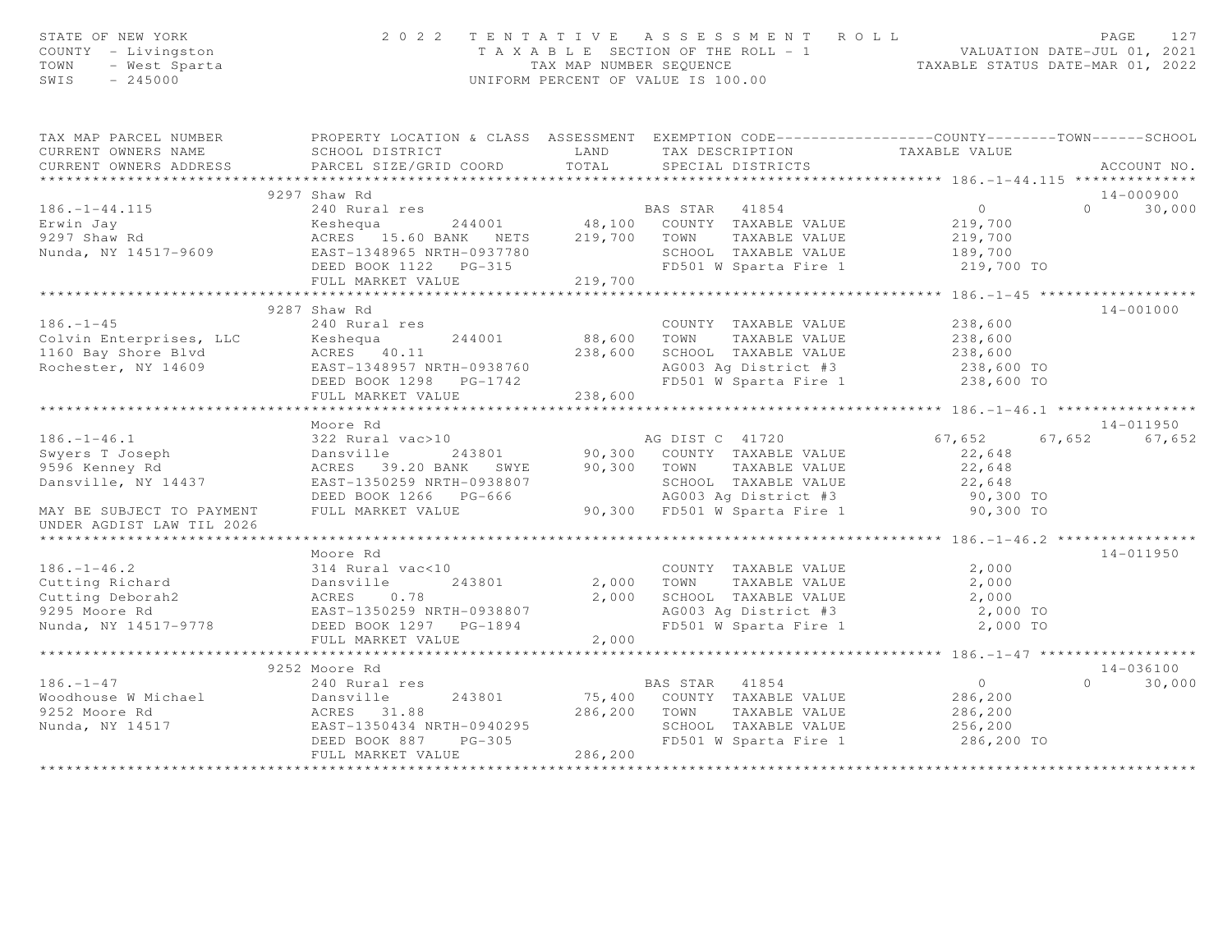| STATE OF NEW YORK<br>COUNTY - Livingston<br>TOWN - West Sparta                                                              | 2 0 2 2                                                                                          |         | TENTATIVE ASSESSMENT ROLL<br>T A X A B L E SECTION OF THE ROLL - 1<br>TAX MAP NUMBER SEQUENCE<br>TAXABLE STATUS DATE-MAR 01, 2022<br>UNIFORM PERCENT OF VALUE IS 100.00 |                                                     | PAGE<br>127                         |
|-----------------------------------------------------------------------------------------------------------------------------|--------------------------------------------------------------------------------------------------|---------|-------------------------------------------------------------------------------------------------------------------------------------------------------------------------|-----------------------------------------------------|-------------------------------------|
| TAX MAP PARCEL NUMBER                                                                                                       | PROPERTY LOCATION & CLASS ASSESSMENT EXEMPTION CODE----------------COUNTY-------TOWN------SCHOOL |         |                                                                                                                                                                         |                                                     |                                     |
| CURRENT OWNERS NAME                                                                                                         | SCHOOL DISTRICT                                                                                  | LAND    | TAX DESCRIPTION TAXABLE VALUE<br>SPECIAL DISTRICTS                                                                                                                      |                                                     |                                     |
| CURRENT OWNERS ADDRESS                                                                                                      | PARCEL SIZE/GRID COORD                                                                           | TOTAL   |                                                                                                                                                                         |                                                     | ACCOUNT NO.                         |
|                                                                                                                             |                                                                                                  |         |                                                                                                                                                                         |                                                     |                                     |
| $186. - 1 - 44.115$                                                                                                         | 9297 Shaw Rd<br>240 Rural res                                                                    |         | BAS STAR 41854                                                                                                                                                          | $\overline{0}$                                      | $14 - 000900$<br>$\Omega$<br>30,000 |
| Erwin Jay                                                                                                                   |                                                                                                  |         |                                                                                                                                                                         |                                                     |                                     |
| 9297 Shaw Rd                                                                                                                |                                                                                                  |         |                                                                                                                                                                         | 219,700<br>219,700                                  |                                     |
| Nunda, NY 14517-9609                                                                                                        | EAST-1348965 NRTH-0937780                                                                        |         |                                                                                                                                                                         |                                                     |                                     |
|                                                                                                                             |                                                                                                  |         |                                                                                                                                                                         |                                                     |                                     |
|                                                                                                                             | FULL MARKET VALUE                                                                                | 219,700 |                                                                                                                                                                         |                                                     |                                     |
|                                                                                                                             | ******************************                                                                   |         | ************************                                                                                                                                                | ********************* 186.-1-45 ******************* |                                     |
|                                                                                                                             | 9287 Shaw Rd                                                                                     |         |                                                                                                                                                                         |                                                     | 14-001000                           |
| $186. - 1 - 45$                                                                                                             | 240 Rural res                                                                                    |         | COUNTY TAXABLE VALUE                                                                                                                                                    | 238,600                                             |                                     |
|                                                                                                                             |                                                                                                  |         | 88,600 TOWN TAXABLE VALUE                                                                                                                                               | 238,600                                             |                                     |
|                                                                                                                             |                                                                                                  | 238,600 | SCHOOL TAXABLE VALUE 238,600<br>AG003 Ag District #3 238,600 TO                                                                                                         |                                                     |                                     |
| Colvin Enterprises, LLC Reshequa 244001<br>1160 Bay Shore Blvd ACRES 40.11<br>Rochester, NY 14609 EAST-1348957 NRTH-0938760 |                                                                                                  |         |                                                                                                                                                                         |                                                     |                                     |
|                                                                                                                             | DEED BOOK 1298 PG-1742                                                                           |         | FD501 W Sparta Fire 1                                                                                                                                                   | 238,600 TO                                          |                                     |
|                                                                                                                             | FULL MARKET VALUE                                                                                | 238,600 |                                                                                                                                                                         |                                                     |                                     |
|                                                                                                                             | Moore Rd                                                                                         |         |                                                                                                                                                                         |                                                     | 14-011950                           |
| $186. - 1 - 46.1$                                                                                                           | 322 Rural vac>10                                                                                 |         | AG DIST C 41720                                                                                                                                                         | 67,652                                              | 67,652 67,652                       |
|                                                                                                                             | 322 Rurai<br>Dansville<br>2022 - 20<br>243801                                                    |         |                                                                                                                                                                         | 22,648                                              |                                     |
| Swyers T Joseph<br>9596 Kenney Rd                                                                                           | ACRES 39.20 BANK SWYE                                                                            |         | 90,300    COUNTY   TAXABLE VALUE<br>90,300    TOWN      TAXABLE VALUE                                                                                                   | 22,648                                              |                                     |
| Dansville, NY 14437                                                                                                         | EAST-1350259 NRTH-0938807                                                                        |         |                                                                                                                                                                         | 22,648                                              |                                     |
|                                                                                                                             | DEED BOOK 1266 PG-666                                                                            |         | SCHOOL TAXABLE VALUE<br>AG003 Ag District #3                                                                                                                            | 90,300 TO                                           |                                     |
| MAY BE SUBJECT TO PAYMENT                                                                                                   | FULL MARKET VALUE                                                                                |         | 90,300 FD501 W Sparta Fire 1                                                                                                                                            | 90,300 TO                                           |                                     |
| UNDER AGDIST LAW TIL 2026                                                                                                   |                                                                                                  |         |                                                                                                                                                                         |                                                     |                                     |
|                                                                                                                             |                                                                                                  |         |                                                                                                                                                                         |                                                     |                                     |
|                                                                                                                             | Moore Rd                                                                                         |         |                                                                                                                                                                         |                                                     | 14-011950                           |
| $186. - 1 - 46.2$                                                                                                           | 314 Rural vac<10                                                                                 |         | COUNTY TAXABLE VALUE 2,000                                                                                                                                              |                                                     |                                     |
|                                                                                                                             | 243801<br>Dansville                                                                              | 2,000   | TOWN                                                                                                                                                                    |                                                     |                                     |
| Cutting Richard<br>Cutting Deborah<br>9295 Moore Rd<br>8295 Moore Rd<br>RAST-1                                              | 0.78                                                                                             | 2,000   |                                                                                                                                                                         |                                                     |                                     |
| 9295 Moore Rd                                                                                                               | EAST-1350259 NRTH-0938807                                                                        |         | AG003 Ag District #3<br>FD501 W Sparta Fire 1                                                                                                                           | 2,000 TO                                            |                                     |
| Nunda, NY 14517-9778 DEED BOOK 1297 PG-1894                                                                                 |                                                                                                  |         |                                                                                                                                                                         | 2,000 TO                                            |                                     |
|                                                                                                                             | FULL MARKET VALUE<br>***************************                                                 | 2,000   |                                                                                                                                                                         | ******************** 186. -1-47 ******************* |                                     |
|                                                                                                                             |                                                                                                  |         |                                                                                                                                                                         |                                                     | 14-036100                           |
| $186. - 1 - 47$                                                                                                             | 9252 Moore Rd<br>240 Rural res                                                                   |         | BAS STAR 41854                                                                                                                                                          | $\overline{0}$                                      | $0 \t 30,000$                       |
|                                                                                                                             | 243801                                                                                           |         | 75,400 COUNTY TAXABLE VALUE                                                                                                                                             | 286,200                                             |                                     |
|                                                                                                                             |                                                                                                  | 286,200 | TOWN<br>TAXABLE VALUE                                                                                                                                                   | 286,200                                             |                                     |
|                                                                                                                             | EAST-1350434 NRTH-0940295                                                                        |         | SCHOOL TAXABLE VALUE                                                                                                                                                    | 256,200                                             |                                     |
|                                                                                                                             | DEED BOOK 887 PG-305                                                                             |         | FD501 W Sparta Fire 1                                                                                                                                                   | 286,200 TO                                          |                                     |
|                                                                                                                             | FULL MARKET VALUE                                                                                | 286,200 |                                                                                                                                                                         |                                                     |                                     |
|                                                                                                                             |                                                                                                  |         |                                                                                                                                                                         |                                                     |                                     |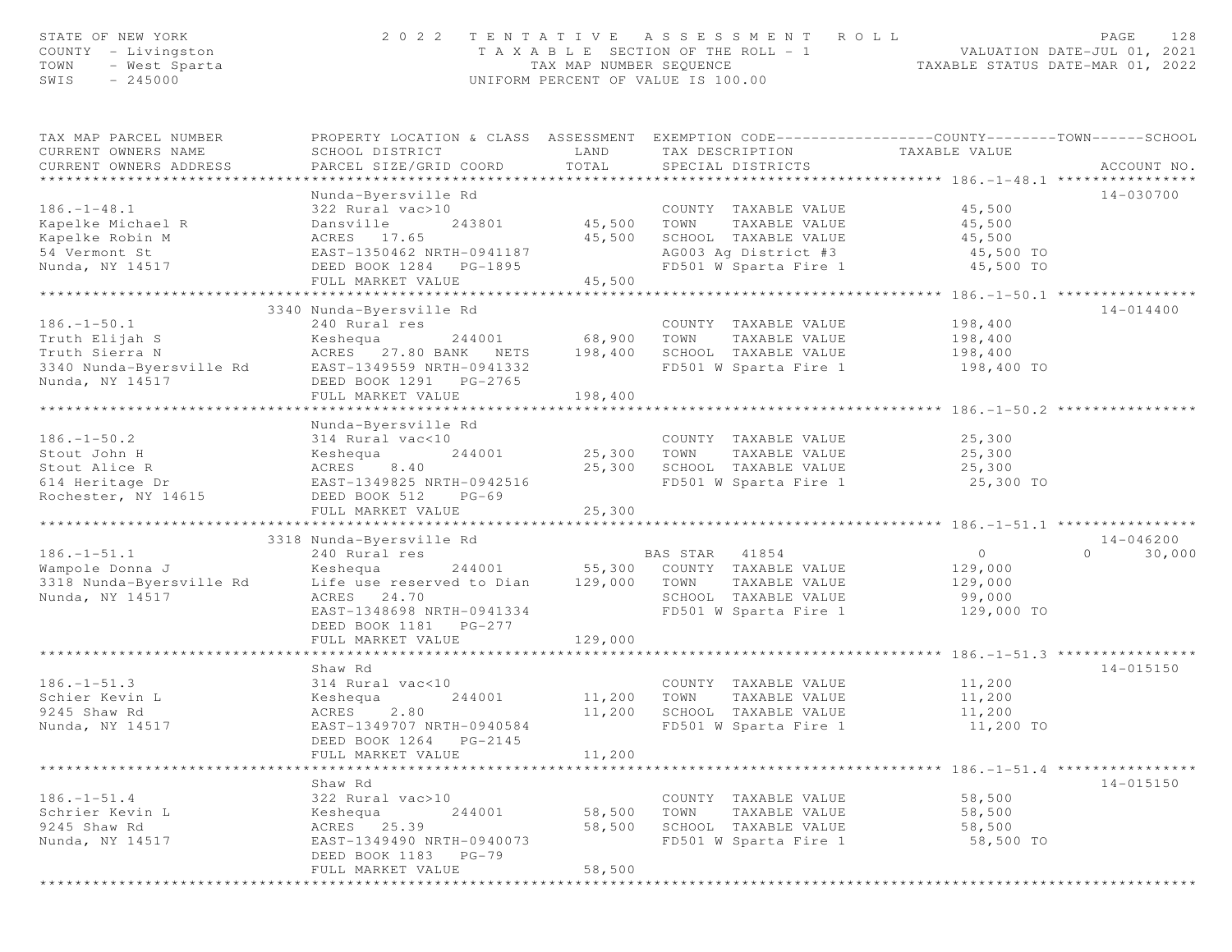| STATE OF NEW YORK<br>COUNTY - Livingston | 2 0 2 2                                                                                                                                                                                     |                                    | TENTATIVE ASSESSMENT ROLL                                                                                                     |                      | 128<br>PAGE        |
|------------------------------------------|---------------------------------------------------------------------------------------------------------------------------------------------------------------------------------------------|------------------------------------|-------------------------------------------------------------------------------------------------------------------------------|----------------------|--------------------|
| - West Sparta<br>TOWN                    |                                                                                                                                                                                             |                                    | T A X A B L E SECTION OF THE ROLL - 1 WALUATION DATE-JUL 01, 2021<br>TAX MAP NUMBER SEQUENCE TAXABLE STATUS DATE-MAR 01, 2022 |                      |                    |
| $-245000$<br>SWIS                        |                                                                                                                                                                                             | UNIFORM PERCENT OF VALUE IS 100.00 |                                                                                                                               |                      |                    |
|                                          |                                                                                                                                                                                             |                                    |                                                                                                                               |                      |                    |
| TAX MAP PARCEL NUMBER                    | PROPERTY LOCATION & CLASS ASSESSMENT EXEMPTION CODE-----------------COUNTY-------TOWN------SCHOOL                                                                                           |                                    |                                                                                                                               |                      |                    |
| CURRENT OWNERS NAME                      | SCHOOL DISTRICT                                                                                                                                                                             | LAND                               | TAX DESCRIPTION                                                                                                               | TAXABLE VALUE        |                    |
| CURRENT OWNERS ADDRESS                   | PARCEL SIZE/GRID COORD                                                                                                                                                                      | TOTAL                              | SPECIAL DISTRICTS                                                                                                             |                      | ACCOUNT NO.        |
|                                          |                                                                                                                                                                                             |                                    |                                                                                                                               |                      |                    |
|                                          | Nunda-Byersville Rd                                                                                                                                                                         |                                    |                                                                                                                               |                      | 14-030700          |
| $186. - 1 - 48.1$                        | 322 Rural vac>10                                                                                                                                                                            |                                    | COUNTY TAXABLE VALUE                                                                                                          | 45,500               |                    |
| Kapelke Michael R                        | Dansville                                                                                                                                                                                   | 243801 45,500 TOWN                 | TAXABLE VALUE                                                                                                                 | 45,500               |                    |
|                                          |                                                                                                                                                                                             |                                    |                                                                                                                               |                      |                    |
|                                          |                                                                                                                                                                                             |                                    | 45,500 SCHOOL TAXABLE VALUE 45,500<br>AG003 Ag District #3 45,500 TO<br>FD501 W Sparta Fire 1 45,500 TO                       | 45,500<br>45,500 TO  |                    |
| Nunda, NY 14517                          | DEED BOOK 1284 PG-1895                                                                                                                                                                      |                                    |                                                                                                                               |                      |                    |
|                                          | FULL MARKET VALUE                                                                                                                                                                           | 45,500                             |                                                                                                                               |                      |                    |
|                                          |                                                                                                                                                                                             |                                    |                                                                                                                               |                      |                    |
|                                          | 3340 Nunda-Byersville Rd                                                                                                                                                                    |                                    |                                                                                                                               |                      | 14-014400          |
| $186. - 1 - 50.1$                        | 240 Rural res                                                                                                                                                                               |                                    | COUNTY TAXABLE VALUE                                                                                                          | 198,400              |                    |
| Truth Elijah S                           | 244001 68,900 TOWN<br>Keshequa                                                                                                                                                              |                                    | TAXABLE VALUE                                                                                                                 | 198,400              |                    |
|                                          | Truth Sierra N<br>3340 Nunda-Byersville Rd<br>8340 Nunda-Byersville Rd<br>EAST-1349559 NRTH-0941332<br>DEED BOOK 1291 PG-2765<br>ACRES 27.80 BANK NETS 198,400 SCHOOL TAXABLE VALUE 198,400 |                                    |                                                                                                                               |                      |                    |
|                                          |                                                                                                                                                                                             |                                    | FD501 W Sparta Fire 1                                                                                                         | 198,400 TO           |                    |
|                                          |                                                                                                                                                                                             |                                    |                                                                                                                               |                      |                    |
|                                          | FULL MARKET VALUE                                                                                                                                                                           | 198,400                            |                                                                                                                               |                      |                    |
|                                          |                                                                                                                                                                                             |                                    |                                                                                                                               |                      |                    |
|                                          | Nunda-Byersville Rd                                                                                                                                                                         |                                    |                                                                                                                               |                      |                    |
| $186. - 1 - 50.2$                        | 314 Rural vac<10                                                                                                                                                                            |                                    | COUNTY TAXABLE VALUE                                                                                                          | 25,300               |                    |
| Stout John H                             | Keshequa<br>ACRES 8.40                                                                                                                                                                      | 244001 25,300 TOWN                 | TAXABLE VALUE                                                                                                                 | $25,300$<br>$25,300$ |                    |
| Stout Alice R                            |                                                                                                                                                                                             |                                    | 25,300 SCHOOL TAXABLE VALUE                                                                                                   |                      |                    |
|                                          | 614 Heritage Dr                         EAST-1349825 NRTH-0942516<br>Rochester, NY 14615                     DEED BOOK 512     PG-69                                                        |                                    | FD501 W Sparta Fire 1 25,300 TO                                                                                               |                      |                    |
|                                          |                                                                                                                                                                                             |                                    |                                                                                                                               |                      |                    |
|                                          | FULL MARKET VALUE                                                                                                                                                                           | 25,300                             |                                                                                                                               |                      |                    |
|                                          |                                                                                                                                                                                             |                                    |                                                                                                                               |                      |                    |
|                                          | 3318 Nunda-Byersville Rd                                                                                                                                                                    |                                    |                                                                                                                               |                      | $14 - 046200$      |
| $186. - 1 - 51.1$                        | 240 Rural res                                                                                                                                                                               |                                    | BAS STAR 41854                                                                                                                | $\overline{0}$       | $\Omega$<br>30,000 |
| Wampole Donna J                          | Keshequa 244001 55,300 COUNTY TAXABLE VALUE                                                                                                                                                 |                                    |                                                                                                                               | 129,000              |                    |
| 3318 Nunda-Byersville Rd                 | Life use reserved to Dian 129,000 TOWN                                                                                                                                                      |                                    | TAXABLE VALUE                                                                                                                 | 129,000              |                    |
| Nunda, NY 14517                          | ACRES 24.70                                                                                                                                                                                 |                                    | SCHOOL TAXABLE VALUE                                                                                                          | 99,000               |                    |
|                                          | EAST-1348698 NRTH-0941334                                                                                                                                                                   |                                    | FD501 W Sparta Fire 1                                                                                                         | 129,000 TO           |                    |
|                                          | DEED BOOK 1181 PG-277                                                                                                                                                                       |                                    |                                                                                                                               |                      |                    |
|                                          | FULL MARKET VALUE                                                                                                                                                                           | 129,000                            |                                                                                                                               |                      |                    |
|                                          |                                                                                                                                                                                             |                                    |                                                                                                                               |                      |                    |
|                                          | Shaw Rd                                                                                                                                                                                     |                                    |                                                                                                                               |                      | $14 - 015150$      |
| $186. - 1 - 51.3$                        | 314 Rural vac<10                                                                                                                                                                            |                                    | COUNTY TAXABLE VALUE                                                                                                          | 11,200               |                    |
| Schier Kevin L                           | Keshequa                                                                                                                                                                                    | 244001 11,200                      | TOWN<br>TAXABLE VALUE                                                                                                         | 11,200               |                    |
| 9245 Shaw Rd                             | ACRES<br>2.80                                                                                                                                                                               | 11,200                             | SCHOOL TAXABLE VALUE                                                                                                          | 11,200               |                    |
| Nunda, NY 14517                          | EAST-1349707 NRTH-0940584                                                                                                                                                                   |                                    | FD501 W Sparta Fire 1                                                                                                         | 11,200 TO            |                    |
|                                          | DEED BOOK 1264 PG-2145                                                                                                                                                                      |                                    |                                                                                                                               |                      |                    |
|                                          | FULL MARKET VALUE                                                                                                                                                                           | 11,200                             |                                                                                                                               |                      |                    |
|                                          |                                                                                                                                                                                             |                                    |                                                                                                                               |                      |                    |
|                                          | Shaw Rd                                                                                                                                                                                     |                                    |                                                                                                                               |                      | 14-015150          |
| $186. - 1 - 51.4$                        | 322 Rural vac>10                                                                                                                                                                            |                                    | COUNTY TAXABLE VALUE                                                                                                          | 58,500               |                    |
| Schrier Kevin L                          | 244001<br>Keshequa                                                                                                                                                                          | 58,500                             | TOWN<br>TAXABLE VALUE                                                                                                         | 58,500               |                    |
| 9245 Shaw Rd                             | ACRES 25.39                                                                                                                                                                                 | 58,500                             | SCHOOL TAXABLE VALUE                                                                                                          | 58,500               |                    |
| Nunda, NY 14517                          | EAST-1349490 NRTH-0940073                                                                                                                                                                   |                                    | FD501 W Sparta Fire 1                                                                                                         | 58,500 TO            |                    |
|                                          | DEED BOOK 1183 PG-79                                                                                                                                                                        |                                    |                                                                                                                               |                      |                    |
|                                          | FULL MARKET VALUE                                                                                                                                                                           | 58,500                             |                                                                                                                               |                      |                    |

\*\*\*\*\*\*\*\*\*\*\*\*\*\*\*\*\*\*\*\*\*\*\*\*\*\*\*\*\*\*\*\*\*\*\*\*\*\*\*\*\*\*\*\*\*\*\*\*\*\*\*\*\*\*\*\*\*\*\*\*\*\*\*\*\*\*\*\*\*\*\*\*\*\*\*\*\*\*\*\*\*\*\*\*\*\*\*\*\*\*\*\*\*\*\*\*\*\*\*\*\*\*\*\*\*\*\*\*\*\*\*\*\*\*\*\*\*\*\*\*\*\*\*\*\*\*\*\*\*\*\*\*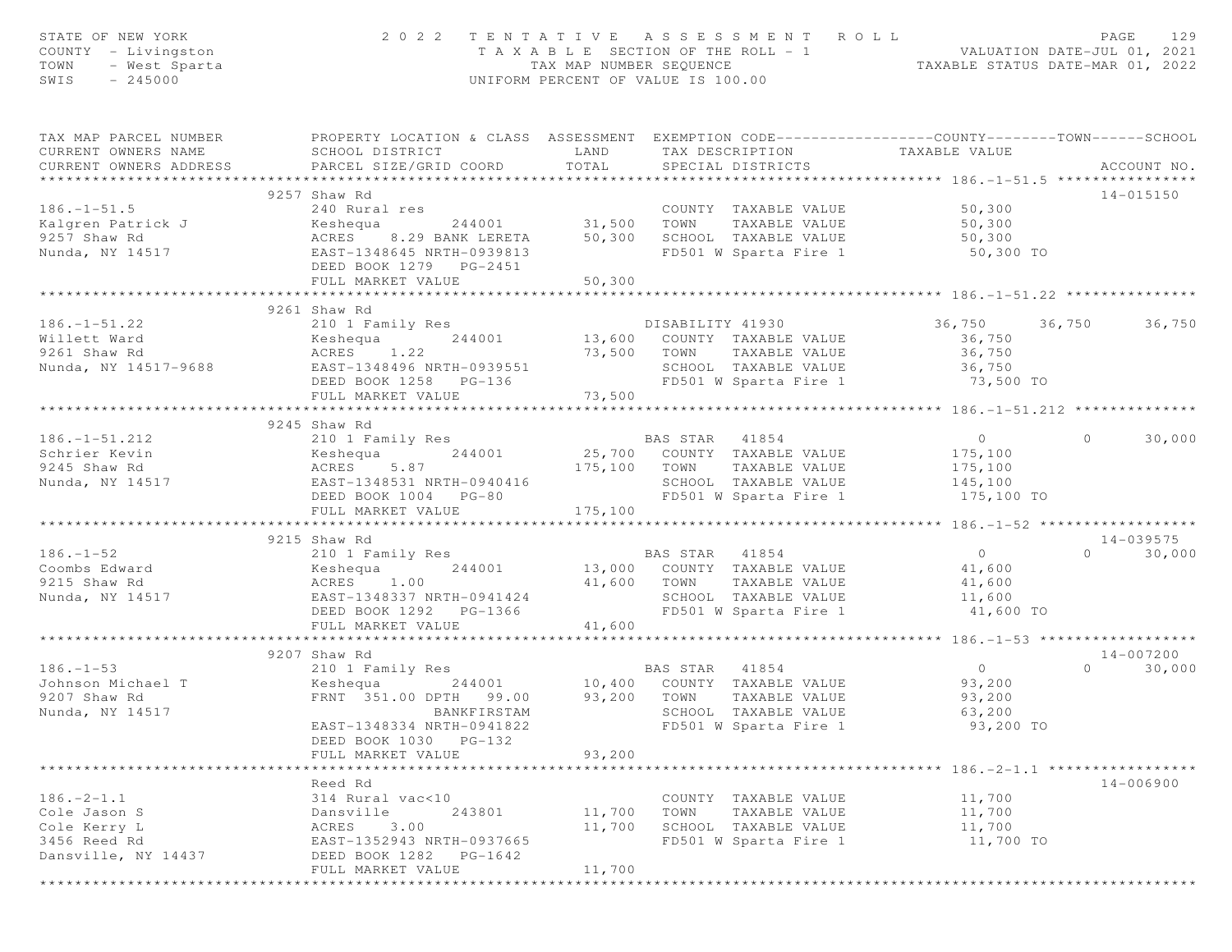| STATE OF NEW YORK<br>COUNTY - Livingston<br>TOWN<br>- West Sparta<br>$-245000$<br>SWIS | 2 0 2 2                                                                                                                                       | TENTATIVE ASSESSMENT<br>T A X A B L E SECTION OF THE ROLL - 1<br>TAX MAP NUMBER SEQUENCE<br>UNIFORM PERCENT OF VALUE IS 100.00 |                | R O L L                                       | - 1 VALUATION DATE-JUL 01, 2021<br>TAXABLE STATUS DATE-MAR 01, 2022 |          | PAGE<br>129   |
|----------------------------------------------------------------------------------------|-----------------------------------------------------------------------------------------------------------------------------------------------|--------------------------------------------------------------------------------------------------------------------------------|----------------|-----------------------------------------------|---------------------------------------------------------------------|----------|---------------|
| TAX MAP PARCEL NUMBER<br>CURRENT OWNERS NAME<br>CURRENT OWNERS ADDRESS                 | PROPERTY LOCATION & CLASS ASSESSMENT EXEMPTION CODE----------------COUNTY-------TOWN------SCHOOL<br>SCHOOL DISTRICT<br>PARCEL SIZE/GRID COORD | LAND<br>TOTAL                                                                                                                  |                | TAX DESCRIPTION<br>SPECIAL DISTRICTS          | TAXABLE VALUE                                                       |          | ACCOUNT NO.   |
|                                                                                        |                                                                                                                                               |                                                                                                                                |                |                                               |                                                                     |          |               |
|                                                                                        | 9257 Shaw Rd                                                                                                                                  |                                                                                                                                |                |                                               |                                                                     |          | $14 - 015150$ |
| $186. - 1 - 51.5$                                                                      | 240 Rural res                                                                                                                                 |                                                                                                                                |                | COUNTY TAXABLE VALUE                          | 50,300                                                              |          |               |
| Kalgren Patrick J                                                                      | Keshequa                                                                                                                                      | 244001 31,500                                                                                                                  | TOWN           | TAXABLE VALUE                                 | 50,300                                                              |          |               |
| 9257 Shaw Rd                                                                           | ACRES 8.29 BANK LERETA                                                                                                                        | 50,300                                                                                                                         |                | SCHOOL TAXABLE VALUE                          | 50,300                                                              |          |               |
| Nunda, NY 14517                                                                        | EAST-1348645 NRTH-0939813<br>DEED BOOK 1279 PG-2451                                                                                           |                                                                                                                                |                | FD501 W Sparta Fire 1                         | 50,300 TO                                                           |          |               |
|                                                                                        | FULL MARKET VALUE                                                                                                                             | 50,300<br>*************                                                                                                        |                |                                               |                                                                     |          |               |
|                                                                                        |                                                                                                                                               |                                                                                                                                |                |                                               |                                                                     |          |               |
|                                                                                        | 9261 Shaw Rd                                                                                                                                  |                                                                                                                                |                |                                               |                                                                     |          |               |
| $186. - 1 - 51.22$                                                                     | 210 1 Family Res                                                                                                                              |                                                                                                                                |                | DISABILITY 41930                              | 36,750 36,750                                                       |          | 36,750        |
| Willett Ward                                                                           | Keshequa<br>244001                                                                                                                            |                                                                                                                                |                | 13,600 COUNTY TAXABLE VALUE                   | 36,750                                                              |          |               |
| 9261 Shaw Rd                                                                           | ACRES 1.22                                                                                                                                    | 73,500                                                                                                                         | TOWN           | TAXABLE VALUE                                 | 36,750                                                              |          |               |
| Nunda, NY 14517-9688                                                                   | EAST-1348496 NRTH-0939551                                                                                                                     |                                                                                                                                |                | SCHOOL TAXABLE VALUE                          | 36,750                                                              |          |               |
|                                                                                        | DEED BOOK 1258 PG-136                                                                                                                         |                                                                                                                                |                | FD501 W Sparta Fire 1                         | 73,500 TO                                                           |          |               |
|                                                                                        | FULL MARKET VALUE<br>*******************************                                                                                          | 73,500<br>*************                                                                                                        |                |                                               |                                                                     |          |               |
|                                                                                        |                                                                                                                                               |                                                                                                                                |                |                                               | **************** 186.-1-51.212 ***************                      |          |               |
|                                                                                        | 9245 Shaw Rd                                                                                                                                  |                                                                                                                                |                |                                               |                                                                     |          |               |
| $186. - 1 - 51.212$                                                                    | 210 1 Family Res                                                                                                                              |                                                                                                                                | BAS STAR 41854 |                                               | $\overline{0}$                                                      | $\circ$  | 30,000        |
| Schrier Kevin                                                                          | 244001<br>Keshequa                                                                                                                            |                                                                                                                                |                | 25,700 COUNTY TAXABLE VALUE                   | 175,100                                                             |          |               |
| 9245 Shaw Rd                                                                           | ACRES<br>5.87                                                                                                                                 | 175,100                                                                                                                        | TOWN           | TAXABLE VALUE                                 | 175,100                                                             |          |               |
| Nunda, NY 14517                                                                        | EAST-1348531 NRTH-0940416                                                                                                                     |                                                                                                                                |                | SCHOOL TAXABLE VALUE                          | 145,100                                                             |          |               |
|                                                                                        | DEED BOOK 1004 PG-80                                                                                                                          |                                                                                                                                |                | FD501 W Sparta Fire 1                         | 175,100 TO                                                          |          |               |
|                                                                                        | FULL MARKET VALUE                                                                                                                             | 175,100<br>************************                                                                                            |                |                                               | ************* 186.-1-52 ********                                    |          |               |
|                                                                                        |                                                                                                                                               |                                                                                                                                |                |                                               |                                                                     |          |               |
|                                                                                        | 9215 Shaw Rd                                                                                                                                  |                                                                                                                                |                |                                               |                                                                     | $\Omega$ | $14 - 039575$ |
| $186. - 1 - 52$                                                                        | 210 1 Family Res                                                                                                                              |                                                                                                                                | BAS STAR 41854 |                                               | $\overline{0}$                                                      |          | 30,000        |
| Coombs Edward                                                                          | 244001<br>Keshequa                                                                                                                            |                                                                                                                                |                | 13,000 COUNTY TAXABLE VALUE                   | 41,600                                                              |          |               |
| 9215 Shaw Rd                                                                           | ACRES 1.00                                                                                                                                    | 41,600 TOWN                                                                                                                    |                | TAXABLE VALUE                                 | 41,600                                                              |          |               |
| Nunda, NY 14517                                                                        | EAST-1348337 NRTH-0941424                                                                                                                     |                                                                                                                                |                | SCHOOL TAXABLE VALUE                          | 11,600                                                              |          |               |
|                                                                                        | DEED BOOK 1292 PG-1366                                                                                                                        |                                                                                                                                |                | FD501 W Sparta Fire 1                         | 41,600 TO                                                           |          |               |
|                                                                                        | FULL MARKET VALUE<br>************************                                                                                                 | 41,600                                                                                                                         |                |                                               |                                                                     |          |               |
|                                                                                        | 9207 Shaw Rd                                                                                                                                  |                                                                                                                                |                |                                               |                                                                     |          | 14-007200     |
| $186. - 1 - 53$                                                                        | 210 1 Family Res                                                                                                                              |                                                                                                                                | BAS STAR 41854 |                                               | $\overline{0}$                                                      | $\Omega$ | 30,000        |
| Johnson Michael T                                                                      | Keshequa<br>244001                                                                                                                            |                                                                                                                                |                | BAS STAR 41854<br>10,400 COUNTY TAXABLE VALUE | 93,200                                                              |          |               |
| 9207 Shaw Rd                                                                           | FRNT 351.00 DPTH 99.00                                                                                                                        | 93,200 TOWN                                                                                                                    |                | TAXABLE VALUE                                 | 93,200                                                              |          |               |
| Nunda, NY 14517                                                                        | BANKFIRSTAM                                                                                                                                   |                                                                                                                                |                | SCHOOL TAXABLE VALUE                          | 63,200                                                              |          |               |
|                                                                                        | EAST-1348334 NRTH-0941822                                                                                                                     |                                                                                                                                |                | FD501 W Sparta Fire 1                         | 93,200 TO                                                           |          |               |
|                                                                                        | DEED BOOK 1030 PG-132                                                                                                                         |                                                                                                                                |                |                                               |                                                                     |          |               |
|                                                                                        | FULL MARKET VALUE                                                                                                                             | 93,200                                                                                                                         |                |                                               |                                                                     |          |               |
|                                                                                        |                                                                                                                                               | * * * * * * * * * *                                                                                                            |                |                                               | **************** 186. - 2 - 1.1 ******************                  |          |               |
|                                                                                        | Reed Rd                                                                                                                                       |                                                                                                                                |                |                                               |                                                                     |          | 14-006900     |
| $186. - 2 - 1.1$                                                                       | 314 Rural vac<10                                                                                                                              |                                                                                                                                |                | COUNTY TAXABLE VALUE                          | 11,700                                                              |          |               |
| Cole Jason S                                                                           | 243801<br>Dansville                                                                                                                           | 11,700                                                                                                                         | TOWN           | TAXABLE VALUE                                 | 11,700                                                              |          |               |
| Cole Kerry L                                                                           | 3.00                                                                                                                                          |                                                                                                                                |                | SCHOOL TAXABLE VALUE                          | 11,700                                                              |          |               |
| 3456 Reed Rd                                                                           | ACRES<br>EAST-1352943 NRTH-0937665                                                                                                            | 11,700                                                                                                                         |                | FD501 W Sparta Fire 1                         | 11,700 TO                                                           |          |               |
| Dansville, NY 14437                                                                    |                                                                                                                                               |                                                                                                                                |                |                                               |                                                                     |          |               |
|                                                                                        | DEED BOOK 1282<br>PG-1642                                                                                                                     | 11,700                                                                                                                         |                |                                               |                                                                     |          |               |
|                                                                                        | FULL MARKET VALUE                                                                                                                             | *******                                                                                                                        |                |                                               |                                                                     |          |               |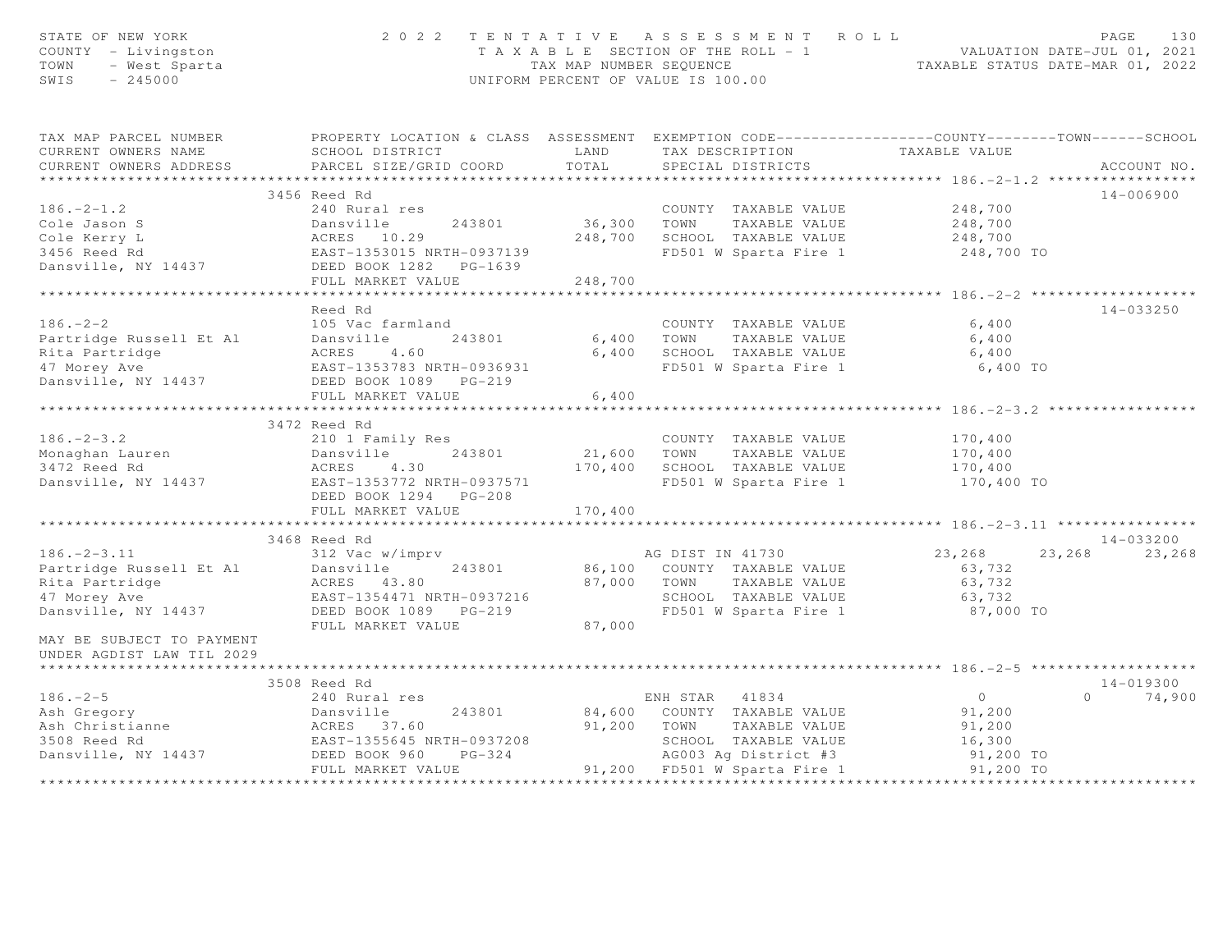| STATE OF NEW YORK<br>COUNTY - Livingston<br>TOWN - West Sparta<br>TITE - 245000                                                                                                                                        |                              |         | 2022 TENTATIVE ASSESSMENT ROLL<br>TAXABLE SECTION OF THE ROLL - 1<br>TAX MAP NUMBER SEQUENCE TAXABLE STATUS DATE-JUL 01, 2021<br>TAXABLE STATUS DATE-MAR 01, 2022<br>UNIFORM PERCENT OF VALUE IS 100.00 |                                                   | PAGE<br>130   |
|------------------------------------------------------------------------------------------------------------------------------------------------------------------------------------------------------------------------|------------------------------|---------|---------------------------------------------------------------------------------------------------------------------------------------------------------------------------------------------------------|---------------------------------------------------|---------------|
| TAX MAP PARCEL NUMBER <a> PROPERTY LOCATION &amp; CLASS ASSESSMENT EXEMPTION CODE---------------COUNTY-------TOWN-----SCHOOL</a>                                                                                       |                              |         |                                                                                                                                                                                                         |                                                   |               |
| CURRENT OWNERS NAME                                                                                                                                                                                                    | SCHOOL DISTRICT LAND         |         | TAX DESCRIPTION TAXABLE VALUE<br>SPECIAL DISTRICTS                                                                                                                                                      |                                                   |               |
| CURRENT OWNERS ADDRESS                                                                                                                                                                                                 | PARCEL SIZE/GRID COORD TOTAL |         |                                                                                                                                                                                                         |                                                   | ACCOUNT NO.   |
|                                                                                                                                                                                                                        | 3456 Reed Rd                 |         |                                                                                                                                                                                                         |                                                   | 14-006900     |
| $186. -2 - 1.2$                                                                                                                                                                                                        | 240 Rural res                |         | COUNTY TAXABLE VALUE 248,700                                                                                                                                                                            |                                                   |               |
|                                                                                                                                                                                                                        |                              |         | COUNTY TAXABLE VALUE<br>36,300 TOWN TAXABLE VALUE                                                                                                                                                       | 248,700                                           |               |
|                                                                                                                                                                                                                        |                              |         |                                                                                                                                                                                                         |                                                   |               |
|                                                                                                                                                                                                                        |                              |         | 248,700 SCHOOL TAXABLE VALUE 248,700<br>248,700 SCHOOL TAXABLE VALUE 248,700 TO<br>FD501 W Sparta Fire 1                                                                                                |                                                   |               |
|                                                                                                                                                                                                                        |                              |         |                                                                                                                                                                                                         |                                                   |               |
| Cole Jason S<br>Cole Jason S<br>Cole Kerry L<br>248,700<br>3456 Reed Rd<br>Dansville, NY 14437<br>DEED BOOK 1282 PG-1639<br>FIII.I. MARKET VALUE<br>248,700<br>248,700<br>248,700<br>PEED BOOK 1282 PG-1639<br>248,700 | FULL MARKET VALUE            | 248,700 |                                                                                                                                                                                                         |                                                   |               |
|                                                                                                                                                                                                                        |                              |         |                                                                                                                                                                                                         |                                                   |               |
|                                                                                                                                                                                                                        | Reed Rd                      |         |                                                                                                                                                                                                         |                                                   | 14-033250     |
| $186. - 2 - 2$                                                                                                                                                                                                         | 105 Vac farmland             |         | COUNTY TAXABLE VALUE                                                                                                                                                                                    | 6,400                                             |               |
|                                                                                                                                                                                                                        |                              |         | 6,400 TOWN TAXABLE VALUE                                                                                                                                                                                | 6,400                                             |               |
|                                                                                                                                                                                                                        |                              |         | 6,400 SCHOOL TAXABLE VALUE                                                                                                                                                                              | 6,400                                             |               |
|                                                                                                                                                                                                                        |                              |         | FD501 W Sparta Fire 1                                                                                                                                                                                   | 6,400 TO                                          |               |
| Partridge Russell Et Al<br>Partridge Russell Et Al<br>Rita Partridge (ACRES 4.60<br>47 Morey Ave (BAST-1353783 NRTH-0936931<br>Dansville, NY 14437 (DEED BOOK 1089 PG-219                                              |                              |         |                                                                                                                                                                                                         |                                                   |               |
|                                                                                                                                                                                                                        | FULL MARKET VALUE            | 6,400   |                                                                                                                                                                                                         |                                                   |               |
|                                                                                                                                                                                                                        |                              |         |                                                                                                                                                                                                         |                                                   |               |
|                                                                                                                                                                                                                        | 3472 Reed Rd                 |         |                                                                                                                                                                                                         |                                                   |               |
| $186. - 2 - 3.2$                                                                                                                                                                                                       | 210 1 Family Res             |         | COUNTY TAXABLE VALUE                                                                                                                                                                                    | TAXABLE VALUE<br>TAXABLE VALUE 170,400<br>170,400 |               |
|                                                                                                                                                                                                                        |                              |         |                                                                                                                                                                                                         |                                                   |               |
|                                                                                                                                                                                                                        |                              |         |                                                                                                                                                                                                         |                                                   |               |
|                                                                                                                                                                                                                        |                              |         | FD501 W Sparta Fire 1 $170,400$ TO                                                                                                                                                                      |                                                   |               |
|                                                                                                                                                                                                                        |                              |         |                                                                                                                                                                                                         |                                                   |               |
|                                                                                                                                                                                                                        | FULL MARKET VALUE            | 170,400 |                                                                                                                                                                                                         |                                                   |               |
|                                                                                                                                                                                                                        | 3468 Reed Rd                 |         |                                                                                                                                                                                                         |                                                   | $14 - 033200$ |
|                                                                                                                                                                                                                        |                              |         |                                                                                                                                                                                                         | 23, 268 23, 268                                   | 23,268        |
|                                                                                                                                                                                                                        |                              |         | AG DIST IN 41730<br>86,100 COUNTY TAXABLE VALUE                                                                                                                                                         | 63,732                                            |               |
|                                                                                                                                                                                                                        |                              |         |                                                                                                                                                                                                         |                                                   |               |
|                                                                                                                                                                                                                        |                              |         | 87,000 TOWN TAXABLE VALUE 63,732<br>SCHOOL TAXABLE VALUE 63,732                                                                                                                                         |                                                   |               |
| 186.-2-3.11<br>Partridge Russell Et Al<br>Rita Partridge<br>ACRES 43.80<br>47 Morey Ave EAST-1354471 NRTH-0937216<br>Dansville, NY 14437<br>DEED BOOK 1089 PG-219<br>THE MOREY MATH-0937216<br>DEED BOOK 1089 PG-219   |                              |         | FD501 W Sparta Fire 1                                                                                                                                                                                   |                                                   |               |
|                                                                                                                                                                                                                        |                              |         |                                                                                                                                                                                                         |                                                   |               |
| MAY BE SUBJECT TO PAYMENT                                                                                                                                                                                              |                              |         |                                                                                                                                                                                                         | 87,000 TO                                         |               |
| UNDER AGDIST LAW TIL 2029                                                                                                                                                                                              | FULL MARKET VALUE            | 87,000  |                                                                                                                                                                                                         |                                                   |               |
|                                                                                                                                                                                                                        |                              |         |                                                                                                                                                                                                         |                                                   |               |
|                                                                                                                                                                                                                        | 3508 Reed Rd                 |         |                                                                                                                                                                                                         |                                                   | 14-019300     |
| $186. - 2 - 5$                                                                                                                                                                                                         |                              |         |                                                                                                                                                                                                         | $\overline{0}$                                    | $0 \t 74,900$ |
|                                                                                                                                                                                                                        | 240 Rural res                |         | ENH STAR 41834                                                                                                                                                                                          |                                                   |               |
|                                                                                                                                                                                                                        |                              |         | ENH STAR 41834<br>84,600 COUNTY TAXABLE VALUE                                                                                                                                                           | 91,200                                            |               |
|                                                                                                                                                                                                                        |                              |         |                                                                                                                                                                                                         |                                                   |               |
| Ash Gregory<br>Ash Christianne<br>Ash Christianne<br>3508 Reed Rd<br>Dansville, NY 14437<br>DEED BOOK 960 PG-324<br>DEED BOOK 960 PG-324<br>EAST-1355645 NRTH-0937208<br>DEED BOOK 960 PG-324                          | FULL MARKET VALUE            |         | 91,200 TOWN TAXABLE VALUE 91,200<br>SCHOOL TAXABLE VALUE 91,200<br>AG003 Ag District #3<br>91,200 TD501 W Sparta Fire 1 91,200 TO<br>91,200 TD501 W Sparta Fire 1 91,200 TO                             |                                                   |               |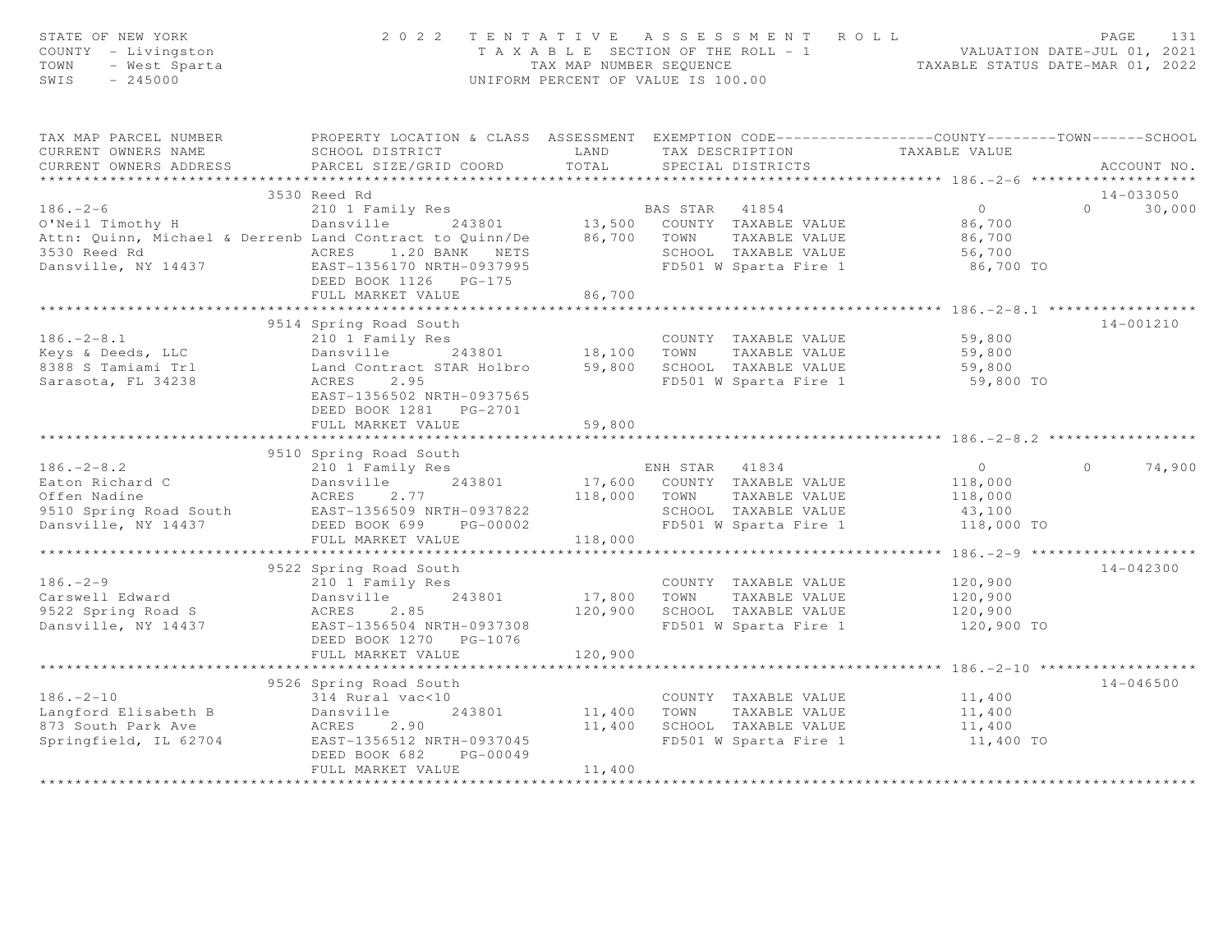| STATE OF NEW YORK<br>COUNTY - Livingston<br>TOWN<br>- West Sparta<br>$-245000$<br>SWIS | 2 0 2 2                                                                                                              | TAX MAP NUMBER SEQUENCE | TENTATIVE ASSESSMENT ROLL<br>T A X A B L E SECTION OF THE ROLL - 1<br>UNIFORM PERCENT OF VALUE IS 100.00 | VALUATION DATE-JUL 01, 2021<br>TAXABLE STATUS DATE-MAR 01, 2022 | PAGE<br>131        |
|----------------------------------------------------------------------------------------|----------------------------------------------------------------------------------------------------------------------|-------------------------|----------------------------------------------------------------------------------------------------------|-----------------------------------------------------------------|--------------------|
| TAX MAP PARCEL NUMBER<br>CURRENT OWNERS NAME                                           | PROPERTY LOCATION & CLASS ASSESSMENT EXEMPTION CODE-----------------COUNTY-------TOWN------SCHOOL<br>SCHOOL DISTRICT | LAND                    | TAX DESCRIPTION                                                                                          | TAXABLE VALUE                                                   |                    |
| CURRENT OWNERS ADDRESS                                                                 | PARCEL SIZE/GRID COORD                                                                                               | TOTAL                   | SPECIAL DISTRICTS                                                                                        |                                                                 | ACCOUNT NO.        |
|                                                                                        |                                                                                                                      |                         |                                                                                                          |                                                                 |                    |
|                                                                                        | 3530 Reed Rd                                                                                                         |                         |                                                                                                          |                                                                 | 14-033050          |
| $186. - 2 - 6$                                                                         | 210 1 Family Res                                                                                                     |                         | BAS STAR 41854<br>13,500 COUNTY TAXABLE VALUE                                                            | $\overline{0}$                                                  | $\Omega$<br>30,000 |
| O'Neil Timothy H                                                                       | Dansville 243801                                                                                                     |                         |                                                                                                          | 86,700                                                          |                    |
| Attn: Quinn, Michael & Derrenb Land Contract to Quinn/De                               |                                                                                                                      |                         | 86,700 TOWN<br>TAXABLE VALUE                                                                             | 86,700                                                          |                    |
|                                                                                        |                                                                                                                      |                         | SCHOOL TAXABLE VALUE                                                                                     | 56,700                                                          |                    |
|                                                                                        | DEED BOOK 1126 PG-175                                                                                                |                         | FD501 W Sparta Fire 1                                                                                    | 86,700 TO                                                       |                    |
|                                                                                        | FULL MARKET VALUE                                                                                                    | 86,700                  |                                                                                                          |                                                                 |                    |
|                                                                                        |                                                                                                                      |                         |                                                                                                          |                                                                 |                    |
|                                                                                        | 9514 Spring Road South                                                                                               |                         |                                                                                                          |                                                                 | $14 - 001210$      |
| $186. - 2 - 8.1$                                                                       | 210 1 Family Res                                                                                                     |                         | COUNTY TAXABLE VALUE                                                                                     | 59,800                                                          |                    |
| Keys & Deeds, LLC                                                                      | Dansville                                                                                                            | 243801 18,100           | TOWN<br>TAXABLE VALUE                                                                                    | 59,800                                                          |                    |
| 8388 S Tamiami Trl                                                                     | Land Contract STAR Holbro                                                                                            |                         | 59,800 SCHOOL TAXABLE VALUE                                                                              | 59,800                                                          |                    |
| Sarasota, FL 34238                                                                     | 2.95<br>ACRES<br>EAST-1356502 NRTH-0937565<br>DEED BOOK 1281    PG-2701                                              |                         | FD501 W Sparta Fire 1                                                                                    | 59,800 TO                                                       |                    |
|                                                                                        | FULL MARKET VALUE                                                                                                    | 59,800                  |                                                                                                          |                                                                 |                    |
|                                                                                        |                                                                                                                      |                         |                                                                                                          |                                                                 |                    |
|                                                                                        | 9510 Spring Road South                                                                                               |                         |                                                                                                          |                                                                 |                    |
| $186. - 2 - 8.2$                                                                       | 210 1 Family Res                                                                                                     |                         | ENH STAR 41834                                                                                           | $\overline{0}$                                                  | $\Omega$<br>74,900 |
| Eaton Richard C                                                                        | 243801<br>Dansville                                                                                                  |                         | 17,600 COUNTY TAXABLE VALUE                                                                              | 118,000                                                         |                    |
| Offen Nadine                                                                           | ACRES<br>2.77                                                                                                        |                         | 118,000 TOWN<br>TAXABLE VALUE                                                                            | 118,000                                                         |                    |
| 9510 Spring Road South                                                                 | EAST-1356509 NRTH-0937822                                                                                            |                         | SCHOOL TAXABLE VALUE                                                                                     | 43,100                                                          |                    |
| Dansville, NY 14437                                                                    | DEED BOOK 699<br>PG-00002                                                                                            |                         | FD501 W Sparta Fire 1                                                                                    | 118,000 TO                                                      |                    |
|                                                                                        | FULL MARKET VALUE                                                                                                    | 118,000                 |                                                                                                          |                                                                 |                    |
|                                                                                        | 9522 Spring Road South                                                                                               |                         |                                                                                                          |                                                                 | $14 - 042300$      |
| $186. - 2 - 9$                                                                         | 210 1 Family Res                                                                                                     |                         | COUNTY TAXABLE VALUE                                                                                     | 120,900                                                         |                    |
| Carswell Edward                                                                        | 243801<br>Dansville                                                                                                  | 17,800                  | TOWN<br>TAXABLE VALUE                                                                                    | 120,900                                                         |                    |
| 9522 Spring Road S                                                                     | ACRES<br>2.85                                                                                                        | 120,900                 | SCHOOL TAXABLE VALUE                                                                                     | 120,900                                                         |                    |
| Dansville, NY 14437                                                                    | EAST-1356504 NRTH-0937308                                                                                            |                         | FD501 W Sparta Fire 1                                                                                    | 120,900 TO                                                      |                    |
|                                                                                        | DEED BOOK 1270 PG-1076                                                                                               |                         |                                                                                                          |                                                                 |                    |
|                                                                                        | FULL MARKET VALUE                                                                                                    | 120,900                 |                                                                                                          |                                                                 |                    |
|                                                                                        |                                                                                                                      | *************           |                                                                                                          |                                                                 |                    |
|                                                                                        | 9526 Spring Road South                                                                                               |                         |                                                                                                          |                                                                 | $14 - 046500$      |
| $186. - 2 - 10$                                                                        | 314 Rural vac<10                                                                                                     |                         | COUNTY TAXABLE VALUE                                                                                     | 11,400                                                          |                    |
| Langford Elisabeth B                                                                   | 243801<br>Dansville                                                                                                  | 11,400                  | TOWN<br>TAXABLE VALUE                                                                                    | 11,400                                                          |                    |
| 873 South Park Ave                                                                     | ACRES<br>2.90                                                                                                        | 11,400                  | SCHOOL TAXABLE VALUE                                                                                     | 11,400                                                          |                    |
| Springfield, IL 62704                                                                  | EAST-1356512 NRTH-0937045<br>DEED BOOK 682<br>PG-00049                                                               |                         | FD501 W Sparta Fire 1                                                                                    | 11,400 TO                                                       |                    |
|                                                                                        | FULL MARKET VALUE                                                                                                    | 11,400                  |                                                                                                          |                                                                 |                    |
|                                                                                        |                                                                                                                      |                         |                                                                                                          |                                                                 |                    |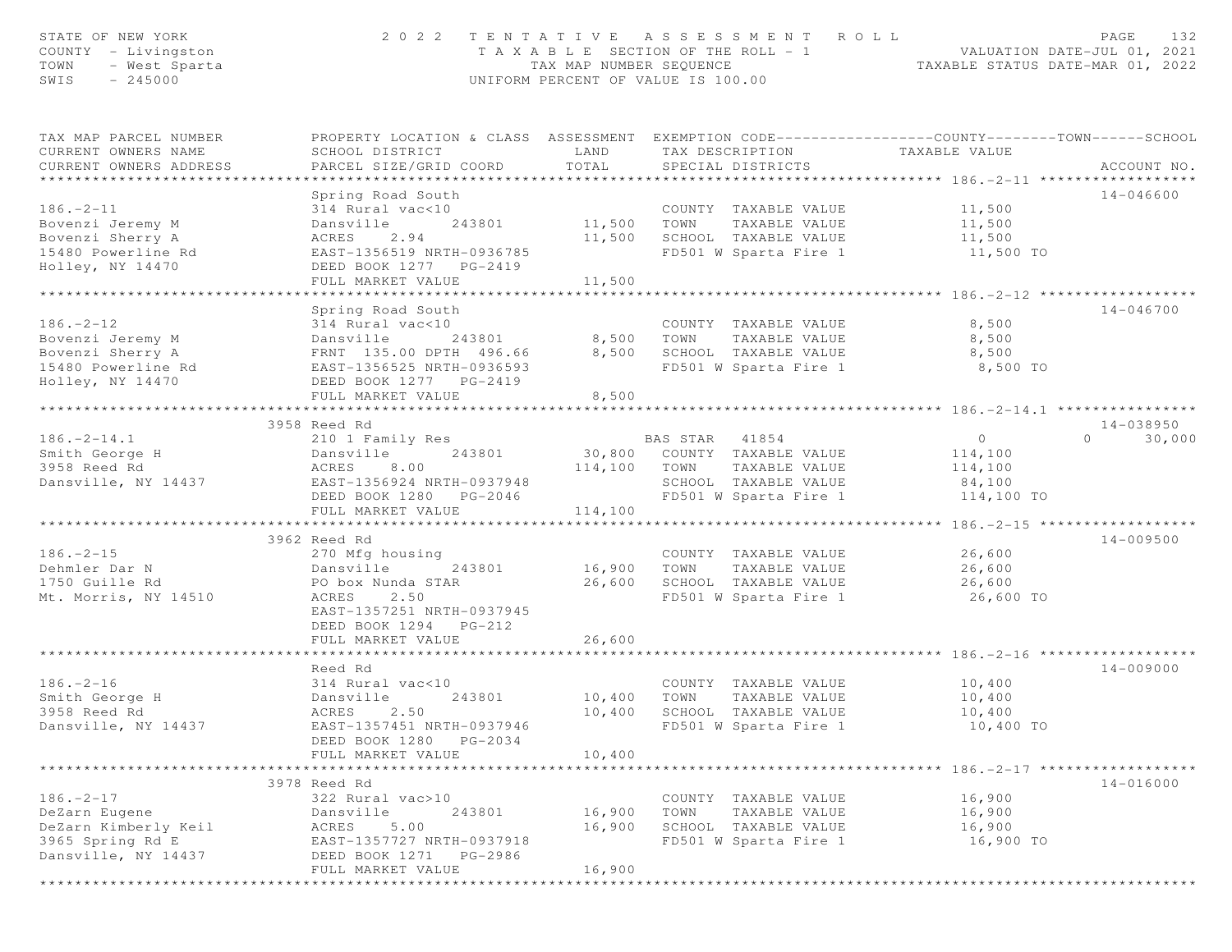| STATE OF NEW YORK<br>COUNTY - Livingston<br>TOWN<br>- West Sparta<br>SWIS<br>$-245000$              | 2022 TENTATIVE ASSESSMENT<br>T A X A B L E SECTION OF THE ROLL - 1<br>TAX MAP NUMBER SEOUENCE<br>UNIFORM PERCENT OF VALUE IS 100.00                                     | 132<br>ROLL<br>PAGE<br>VALUATION DATE-JUL 01, 2021<br>TAXABLE STATUS DATE-MAR 01, 2022 |                                                                                                                    |                                                              |                                   |
|-----------------------------------------------------------------------------------------------------|-------------------------------------------------------------------------------------------------------------------------------------------------------------------------|----------------------------------------------------------------------------------------|--------------------------------------------------------------------------------------------------------------------|--------------------------------------------------------------|-----------------------------------|
| TAX MAP PARCEL NUMBER<br>CURRENT OWNERS NAME<br>CURRENT OWNERS ADDRESS                              | PROPERTY LOCATION & CLASS ASSESSMENT EXEMPTION CODE----------------COUNTY-------TOWN------SCHOOL<br>SCHOOL DISTRICT<br>PARCEL SIZE/GRID COORD                           | LAND<br>TOTAL                                                                          | TAX DESCRIPTION<br>SPECIAL DISTRICTS                                                                               | TAXABLE VALUE                                                | ACCOUNT NO.                       |
| $186. - 2 - 11$<br>Bovenzi Jeremy M<br>Bovenzi Sherry A<br>15480 Powerline Rd<br>Holley, NY 14470   | Spring Road South<br>314 Rural vac<10<br>Dansville<br>243801<br>ACRES 2.94<br>EAST-1356519 NRTH-0936785<br>DEED BOOK 1277 PG-2419<br>FULL MARKET VALUE                  | 11,500<br>11,500<br>11,500                                                             | COUNTY TAXABLE VALUE<br>TOWN<br>TAXABLE VALUE<br>SCHOOL TAXABLE VALUE<br>FD501 W Sparta Fire 1                     | 11,500<br>11,500<br>11,500<br>11,500 TO                      | 14-046600                         |
| $186. - 2 - 12$<br>Bovenzi Jeremy M<br>Bovenzi Sherry A<br>15480 Powerline Rd<br>Holley, NY 14470   | Spring Road South<br>314 Rural vac<10<br>243801<br>Dansville<br>FRNT 135.00 DPTH 496.66<br>EAST-1356525 NRTH-0936593<br>DEED BOOK 1277 PG-2419<br>FULL MARKET VALUE     | 8,500<br>8,500                                                                         | COUNTY TAXABLE VALUE<br>8,500 TOWN<br>TAXABLE VALUE<br>SCHOOL TAXABLE VALUE<br>FD501 W Sparta Fire 1               | 8,500<br>8,500<br>8,500<br>8,500 TO                          | 14-046700                         |
|                                                                                                     |                                                                                                                                                                         | * * * * * * * * * * * * * *                                                            |                                                                                                                    |                                                              |                                   |
| $186. - 2 - 14.1$<br>Smith George H<br>3958 Reed Rd<br>Dansville, NY 14437                          | 3958 Reed Rd<br>210 1 Family Res<br>Dansville<br>243801<br>8.00<br>ACRES<br>EAST-1356924 NRTH-0937948<br>DEED BOOK 1280 PG-2046                                         | 114,100 TOWN<br>114,100                                                                | BAS STAR<br>41854<br>30,800 COUNTY TAXABLE VALUE<br>TAXABLE VALUE<br>SCHOOL TAXABLE VALUE<br>FD501 W Sparta Fire 1 | $\overline{0}$<br>114,100<br>114,100<br>84,100<br>114,100 TO | $14 - 038950$<br>$\cap$<br>30,000 |
|                                                                                                     | FULL MARKET VALUE<br>***************************                                                                                                                        |                                                                                        |                                                                                                                    | ******************* 186. -2-15 *******************           |                                   |
| $186. - 2 - 15$<br>Dehmler Dar N<br>1750 Guille Rd<br>Mt. Morris, NY 14510                          | 3962 Reed Rd<br>270 Mfg housing<br>Dansville<br>243801<br>PO box Nunda STAR<br>2.50<br>ACRES<br>EAST-1357251 NRTH-0937945<br>DEED BOOK 1294 PG-212<br>FULL MARKET VALUE | 16,900 TOWN<br>26,600                                                                  | COUNTY TAXABLE VALUE<br>TAXABLE VALUE<br>26,600 SCHOOL TAXABLE VALUE<br>FD501 W Sparta Fire 1                      | 26,600<br>26,600<br>26,600<br>26,600 TO                      | 14-009500                         |
|                                                                                                     |                                                                                                                                                                         |                                                                                        |                                                                                                                    |                                                              |                                   |
| $186. - 2 - 16$<br>Smith George H<br>3958 Reed Rd<br>Dansville, NY 14437                            | Reed Rd<br>314 Rural vac<10<br>243801<br>Dansville<br>ACRES<br>2.50<br>EAST-1357451 NRTH-0937946<br>DEED BOOK 1280 PG-2034<br>FULL MARKET VALUE                         | 10,400<br>10,400<br>10,400                                                             | COUNTY TAXABLE VALUE<br>TOWN<br>TAXABLE VALUE<br>SCHOOL TAXABLE VALUE<br>FD501 W Sparta Fire 1                     | 10,400<br>10,400<br>10,400<br>10,400 TO                      | 14-009000                         |
|                                                                                                     |                                                                                                                                                                         |                                                                                        |                                                                                                                    | *********************** 186. -2-17 *******************       |                                   |
| $186. - 2 - 17$<br>DeZarn Eugene<br>DeZarn Kimberly Keil<br>3965 Spring Rd E<br>Dansville, NY 14437 | 3978 Reed Rd<br>322 Rural vac>10<br>Dansville<br>243801<br>5.00<br>ACRES<br>EAST-1357727 NRTH-0937918<br>DEED BOOK 1271 PG-2986<br>FULL MARKET VALUE                    | 16,900<br>16,900<br>16,900                                                             | COUNTY TAXABLE VALUE<br>TOWN<br>TAXABLE VALUE<br>SCHOOL TAXABLE VALUE<br>FD501 W Sparta Fire 1                     | 16,900<br>16,900<br>16,900<br>16,900 TO                      | 14-016000                         |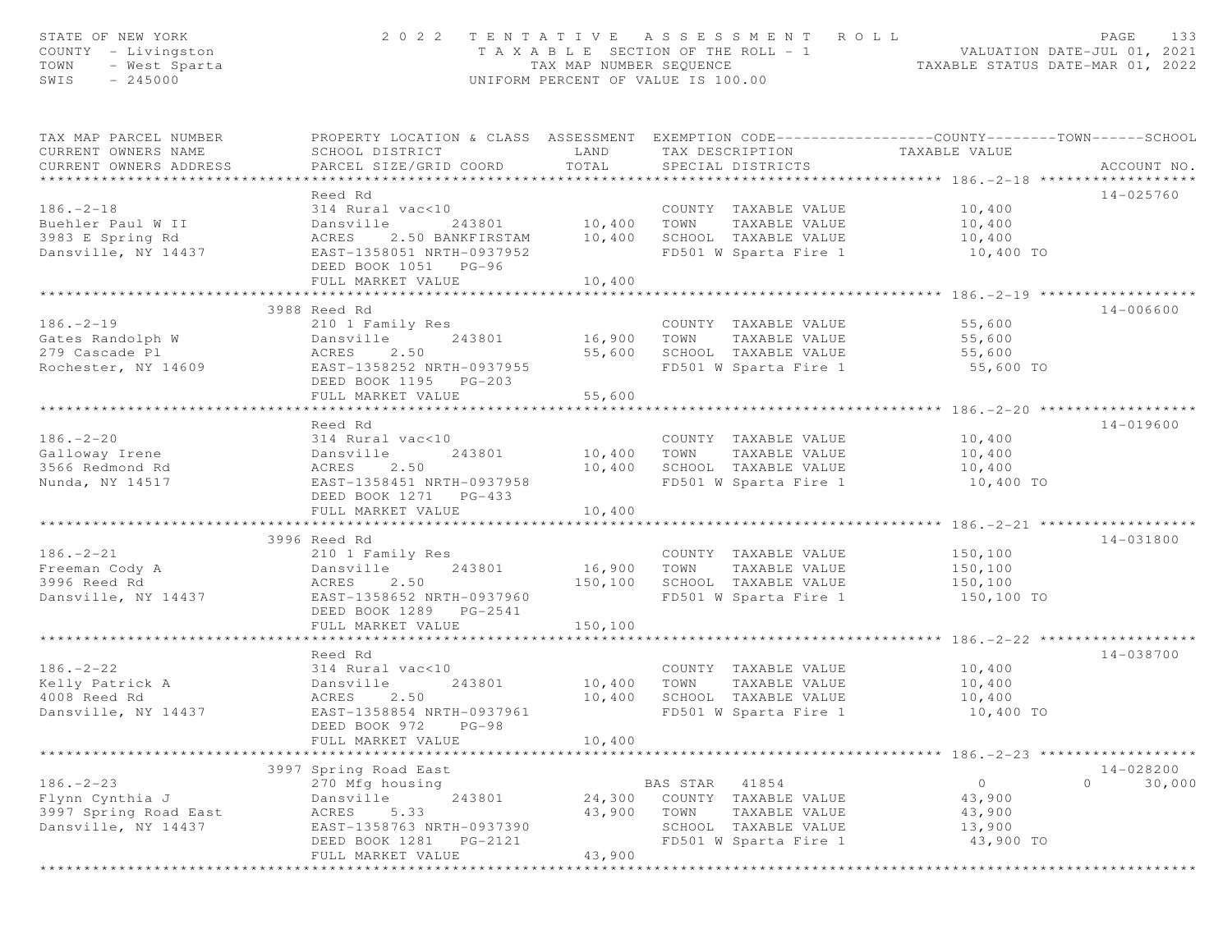| TAX MAP PARCEL NUMBER<br>PROPERTY LOCATION & CLASS ASSESSMENT EXEMPTION CODE---------------COUNTY-------TOWN-----SCHOOL<br>CURRENT OWNERS NAME<br>SCHOOL DISTRICT<br>LAND<br>TAX DESCRIPTION<br>TAXABLE VALUE<br>TOTAL<br>CURRENT OWNERS ADDRESS<br>PARCEL SIZE/GRID COORD<br>SPECIAL DISTRICTS<br>ACCOUNT NO.<br>Reed Rd<br>14-025760<br>$186. - 2 - 18$<br>10,400<br>314 Rural vac<10<br>COUNTY TAXABLE VALUE |        |
|-----------------------------------------------------------------------------------------------------------------------------------------------------------------------------------------------------------------------------------------------------------------------------------------------------------------------------------------------------------------------------------------------------------------|--------|
|                                                                                                                                                                                                                                                                                                                                                                                                                 |        |
|                                                                                                                                                                                                                                                                                                                                                                                                                 |        |
|                                                                                                                                                                                                                                                                                                                                                                                                                 |        |
| 10,400 TOWN<br>Buehler Paul W II<br>Dansville<br>243801<br>TAXABLE VALUE<br>10,400                                                                                                                                                                                                                                                                                                                              |        |
| 3983 E Spring Rd<br>ACRES<br>2.50 BANKFIRSTAM<br>10,400<br>SCHOOL TAXABLE VALUE<br>10,400                                                                                                                                                                                                                                                                                                                       |        |
| FD501 W Sparta Fire 1<br>Dansville, NY 14437<br>EAST-1358051 NRTH-0937952<br>10,400 TO<br>DEED BOOK 1051 PG-96                                                                                                                                                                                                                                                                                                  |        |
| FULL MARKET VALUE<br>10,400<br>**********************************                                                                                                                                                                                                                                                                                                                                               |        |
| 3988 Reed Rd<br>$14 - 006600$                                                                                                                                                                                                                                                                                                                                                                                   |        |
| $186. - 2 - 19$<br>210 1 Family Res<br>COUNTY TAXABLE VALUE<br>55,600                                                                                                                                                                                                                                                                                                                                           |        |
| Gates Randolph W<br>243801<br>16,900<br>TAXABLE VALUE<br>Dansville<br>TOWN<br>55,600                                                                                                                                                                                                                                                                                                                            |        |
| SCHOOL TAXABLE VALUE<br>279 Cascade Pl<br>ACRES<br>2.50<br>55,600<br>55,600                                                                                                                                                                                                                                                                                                                                     |        |
| EAST-1358252 NRTH-0937955<br>FD501 W Sparta Fire 1<br>Rochester, NY 14609<br>55,600 TO<br>DEED BOOK 1195 PG-203                                                                                                                                                                                                                                                                                                 |        |
| 55,600<br>FULL MARKET VALUE<br>***************** 186. -2-20 ******<br>***************************                                                                                                                                                                                                                                                                                                               |        |
| 14-019600<br>Reed Rd                                                                                                                                                                                                                                                                                                                                                                                            |        |
| $186. - 2 - 20$<br>314 Rural vac<10<br>COUNTY TAXABLE VALUE<br>10,400                                                                                                                                                                                                                                                                                                                                           |        |
| Galloway Irene<br>243801<br>10,400<br>TOWN<br>TAXABLE VALUE<br>Dansville<br>10,400                                                                                                                                                                                                                                                                                                                              |        |
| 3566 Redmond Rd<br>2.50<br>10,400<br>SCHOOL TAXABLE VALUE<br>ACRES<br>10,400                                                                                                                                                                                                                                                                                                                                    |        |
| FD501 W Sparta Fire 1<br>Nunda, NY 14517<br>EAST-1358451 NRTH-0937958<br>10,400 TO<br>DEED BOOK 1271 PG-433                                                                                                                                                                                                                                                                                                     |        |
| FULL MARKET VALUE<br>10,400                                                                                                                                                                                                                                                                                                                                                                                     |        |
| 14-031800<br>3996 Reed Rd                                                                                                                                                                                                                                                                                                                                                                                       |        |
| $186. - 2 - 21$<br>150,100<br>210 1 Family Res<br>COUNTY TAXABLE VALUE                                                                                                                                                                                                                                                                                                                                          |        |
| Freeman Cody A<br>16,900<br>Dansville<br>243801<br>TOWN<br>TAXABLE VALUE<br>150,100                                                                                                                                                                                                                                                                                                                             |        |
| 3996 Reed Rd<br>SCHOOL TAXABLE VALUE<br>ACRES<br>2.50<br>150,100<br>150,100                                                                                                                                                                                                                                                                                                                                     |        |
| FD501 W Sparta Fire 1<br>Dansville, NY 14437<br>EAST-1358652 NRTH-0937960<br>150,100 TO<br>DEED BOOK 1289 PG-2541<br>150,100<br>FULL MARKET VALUE                                                                                                                                                                                                                                                               |        |
|                                                                                                                                                                                                                                                                                                                                                                                                                 |        |
| Reed Rd<br>14-038700                                                                                                                                                                                                                                                                                                                                                                                            |        |
| $186. - 2 - 22$<br>314 Rural vac<10<br>COUNTY TAXABLE VALUE<br>10,400                                                                                                                                                                                                                                                                                                                                           |        |
| 10,400<br>Kelly Patrick A<br>Dansville<br>243801<br>TOWN<br>TAXABLE VALUE<br>10,400                                                                                                                                                                                                                                                                                                                             |        |
| <b>ACRES</b><br>2.50<br>10,400<br>4008 Reed Rd<br>SCHOOL TAXABLE VALUE<br>10,400                                                                                                                                                                                                                                                                                                                                |        |
| EAST-1358854 NRTH-0937961<br>Dansville, NY 14437<br>FD501 W Sparta Fire 1<br>10,400 TO<br>$PG-98$<br>DEED BOOK 972                                                                                                                                                                                                                                                                                              |        |
| FULL MARKET VALUE<br>10,400                                                                                                                                                                                                                                                                                                                                                                                     |        |
| ********************* 186. - 2 - 23 *******                                                                                                                                                                                                                                                                                                                                                                     |        |
| 14-028200<br>3997 Spring Road East                                                                                                                                                                                                                                                                                                                                                                              |        |
| $186. - 2 - 23$<br>BAS STAR<br>41854<br>$\circ$<br>$\Omega$<br>270 Mfg housing                                                                                                                                                                                                                                                                                                                                  | 30,000 |
| 243801<br>24,300<br>COUNTY<br>43,900<br>Flynn Cynthia J<br>Dansville<br>TAXABLE VALUE                                                                                                                                                                                                                                                                                                                           |        |
| 3997 Spring Road East<br>5.33<br>43,900<br>TAXABLE VALUE<br>ACRES<br>TOWN<br>43,900<br>Dansville, NY 14437<br>EAST-1358763 NRTH-0937390<br>SCHOOL TAXABLE VALUE<br>13,900                                                                                                                                                                                                                                       |        |
| FD501 W Sparta Fire 1<br>43,900 TO<br>DEED BOOK 1281<br>PG-2121                                                                                                                                                                                                                                                                                                                                                 |        |
| 43,900<br>FULL MARKET VALUE                                                                                                                                                                                                                                                                                                                                                                                     |        |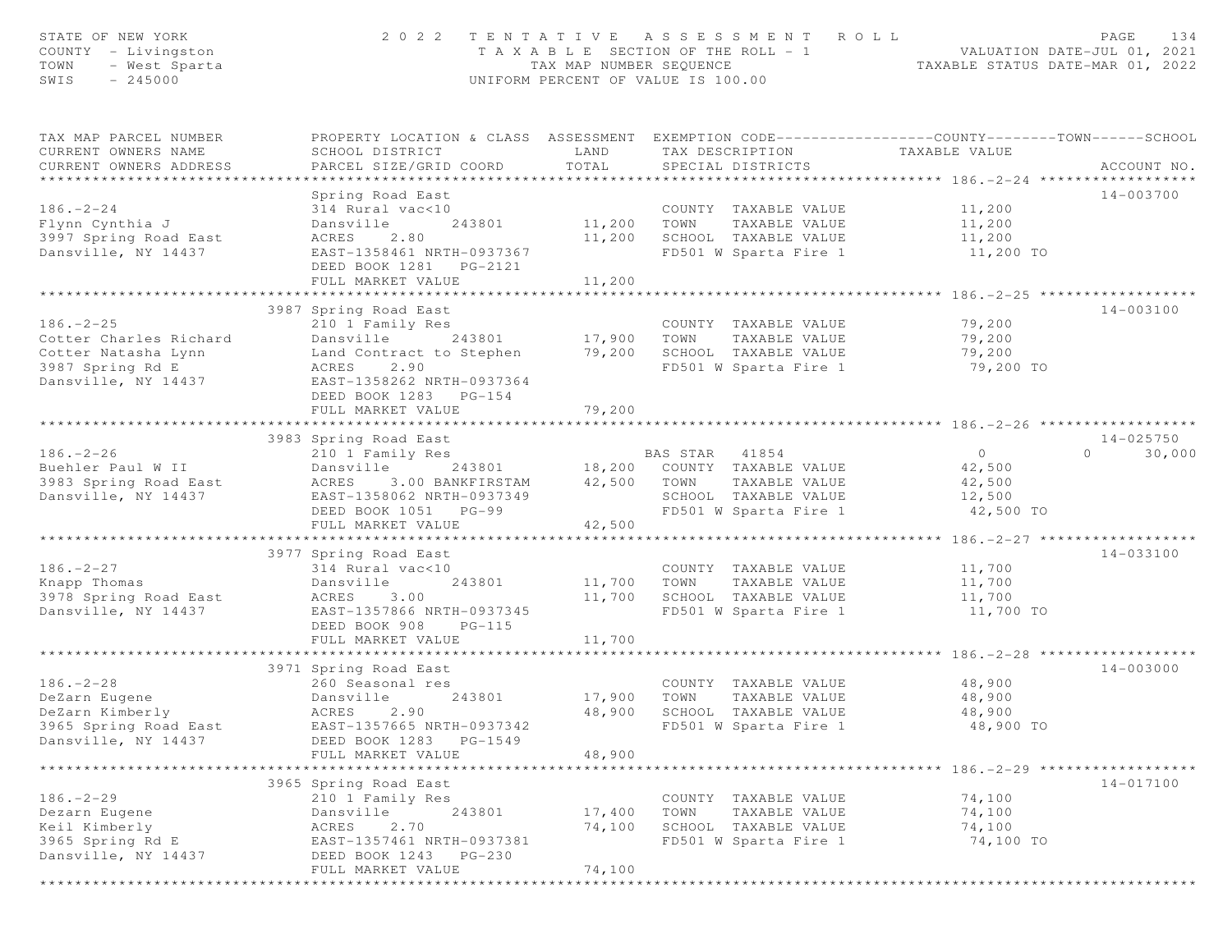| STATE OF NEW YORK<br>COUNTY - Livingston<br>TOWN<br>- West Sparta<br>$-245000$<br>SWIS |                                                                                                                                               | TAX MAP NUMBER SEQUENCE | 2022 TENTATIVE ASSESSMENT ROLL<br>TAXABLE SECTION OF THE ROLL - 1<br>UNIFORM PERCENT OF VALUE IS 100.00 |                                      | PAGE<br>134               |
|----------------------------------------------------------------------------------------|-----------------------------------------------------------------------------------------------------------------------------------------------|-------------------------|---------------------------------------------------------------------------------------------------------|--------------------------------------|---------------------------|
| TAX MAP PARCEL NUMBER<br>CURRENT OWNERS NAME<br>CURRENT OWNERS ADDRESS                 | PROPERTY LOCATION & CLASS ASSESSMENT EXEMPTION CODE----------------COUNTY-------TOWN------SCHOOL<br>SCHOOL DISTRICT<br>PARCEL SIZE/GRID COORD | LAND<br>TOTAL           | TAX DESCRIPTION<br>SPECIAL DISTRICTS                                                                    | TAXABLE VALUE                        | ACCOUNT NO.               |
|                                                                                        | Spring Road East                                                                                                                              |                         |                                                                                                         |                                      | 14-003700                 |
| $186. - 2 - 24$                                                                        | 314 Rural vac<10                                                                                                                              |                         | COUNTY TAXABLE VALUE                                                                                    | 11,200                               |                           |
| Flynn Cynthia J                                                                        | Dansville<br>243801                                                                                                                           | 11,200 TOWN             | TAXABLE VALUE                                                                                           | 11,200                               |                           |
| 3997 Spring Road East                                                                  | ACRES<br>2.80                                                                                                                                 | 11,200                  | SCHOOL TAXABLE VALUE                                                                                    | 11,200                               |                           |
| Dansville, NY 14437                                                                    | EAST-1358461 NRTH-0937367                                                                                                                     |                         | FD501 W Sparta Fire 1                                                                                   | 11,200 TO                            |                           |
|                                                                                        | DEED BOOK 1281 PG-2121<br>FULL MARKET VALUE                                                                                                   | 11,200                  |                                                                                                         |                                      |                           |
|                                                                                        | ************************                                                                                                                      | ***********             |                                                                                                         | ************* 186. - 2 - 25 ******** |                           |
|                                                                                        | 3987 Spring Road East                                                                                                                         |                         |                                                                                                         |                                      | 14-003100                 |
| $186. - 2 - 25$                                                                        | 210 1 Family Res                                                                                                                              |                         | COUNTY TAXABLE VALUE                                                                                    | 79,200                               |                           |
| Cotter Charles Richard                                                                 | Dansville 243801                                                                                                                              | 17,900 TOWN             | TAXABLE VALUE                                                                                           | 79,200                               |                           |
| Cotter Natasha Lynn                                                                    | Land Contract to Stephen                                                                                                                      |                         | 79,200 SCHOOL TAXABLE VALUE                                                                             | 79,200                               |                           |
| 3987 Spring Rd E<br>Dansville, NY 14437                                                | ACRES 2.90<br>EAST-1358262 NRTH-0937364                                                                                                       |                         | FD501 W Sparta Fire 1                                                                                   | 79,200 TO                            |                           |
|                                                                                        | DEED BOOK 1283 PG-154                                                                                                                         |                         |                                                                                                         |                                      |                           |
|                                                                                        | FULL MARKET VALUE                                                                                                                             | 79,200                  |                                                                                                         |                                      |                           |
|                                                                                        |                                                                                                                                               |                         |                                                                                                         |                                      |                           |
|                                                                                        | 3983 Spring Road East                                                                                                                         |                         |                                                                                                         |                                      | $14 - 025750$<br>$\Omega$ |
| $186. - 2 - 26$<br>Buehler Paul W II                                                   | 210 1 Family Res<br>Dansville<br>243801                                                                                                       |                         | BAS STAR 41854<br>18,200 COUNTY TAXABLE VALUE                                                           | $\overline{0}$<br>42,500             | 30,000                    |
| 3983 Spring Road East                                                                  | ACRES<br>3.00 BANKFIRSTAM                                                                                                                     | 42,500 TOWN             | TAXABLE VALUE                                                                                           | 42,500                               |                           |
| Dansville, NY 14437                                                                    | EAST-1358062 NRTH-0937349                                                                                                                     |                         | SCHOOL TAXABLE VALUE                                                                                    | 12,500                               |                           |
|                                                                                        | DEED BOOK 1051 PG-99                                                                                                                          |                         | FD501 W Sparta Fire 1                                                                                   | 42,500 TO                            |                           |
|                                                                                        | FULL MARKET VALUE                                                                                                                             | 42,500                  |                                                                                                         |                                      |                           |
|                                                                                        | 3977 Spring Road East                                                                                                                         |                         |                                                                                                         |                                      | 14-033100                 |
| $186. - 2 - 27$                                                                        | 314 Rural vac<10                                                                                                                              |                         | COUNTY TAXABLE VALUE                                                                                    | 11,700                               |                           |
| Knapp Thomas                                                                           | 243801<br>Dansville                                                                                                                           | 11,700 TOWN             | TAXABLE VALUE                                                                                           | 11,700                               |                           |
| 3978 Spring Road East                                                                  | ACRES<br>3.00                                                                                                                                 | 11,700                  | SCHOOL TAXABLE VALUE                                                                                    | 11,700                               |                           |
| Dansville, NY 14437                                                                    | EAST-1357866 NRTH-0937345                                                                                                                     |                         | FD501 W Sparta Fire 1                                                                                   | 11,700 TO                            |                           |
|                                                                                        | DEED BOOK 908<br>$PG-115$                                                                                                                     |                         |                                                                                                         |                                      |                           |
|                                                                                        | FULL MARKET VALUE                                                                                                                             | 11,700                  |                                                                                                         | ********* 186.-2-28 *****            |                           |
|                                                                                        | 3971 Spring Road East                                                                                                                         |                         |                                                                                                         |                                      | $14 - 003000$             |
| $186. - 2 - 28$                                                                        | 260 Seasonal res                                                                                                                              |                         | COUNTY TAXABLE VALUE                                                                                    | 48,900                               |                           |
| DeZarn Eugene                                                                          | 243801<br>Dansville                                                                                                                           | 17,900                  | TOWN<br>TAXABLE VALUE                                                                                   | 48,900                               |                           |
| DeZarn Kimberly                                                                        | ACRES<br>2.90                                                                                                                                 | 48,900                  | SCHOOL TAXABLE VALUE                                                                                    | 48,900                               |                           |
| 3965 Spring Road East                                                                  | EAST-1357665 NRTH-0937342                                                                                                                     |                         | FD501 W Sparta Fire 1                                                                                   | 48,900 TO                            |                           |
| Dansville, NY 14437                                                                    | DEED BOOK 1283 PG-1549<br>FULL MARKET VALUE                                                                                                   | 48,900                  |                                                                                                         |                                      |                           |
|                                                                                        |                                                                                                                                               |                         |                                                                                                         |                                      |                           |
|                                                                                        | 3965 Spring Road East                                                                                                                         |                         |                                                                                                         |                                      | 14-017100                 |
| $186. - 2 - 29$                                                                        | 210 1 Family Res                                                                                                                              |                         | COUNTY TAXABLE VALUE                                                                                    | 74,100                               |                           |
| Dezarn Eugene                                                                          | Dansville<br>243801                                                                                                                           | 17,400                  | TOWN<br>TAXABLE VALUE                                                                                   | 74,100                               |                           |
| Keil Kimberly<br>3965 Spring Rd E                                                      | ACRES<br>2.70                                                                                                                                 | 74,100                  | SCHOOL TAXABLE VALUE<br>FD501 W Sparta Fire 1                                                           | 74,100<br>74,100 TO                  |                           |
| Dansville, NY 14437                                                                    | EAST-1357461 NRTH-0937381<br>DEED BOOK 1243<br>PG-230                                                                                         |                         |                                                                                                         |                                      |                           |
|                                                                                        | FULL MARKET VALUE                                                                                                                             | 74,100                  |                                                                                                         |                                      |                           |
|                                                                                        |                                                                                                                                               |                         |                                                                                                         |                                      |                           |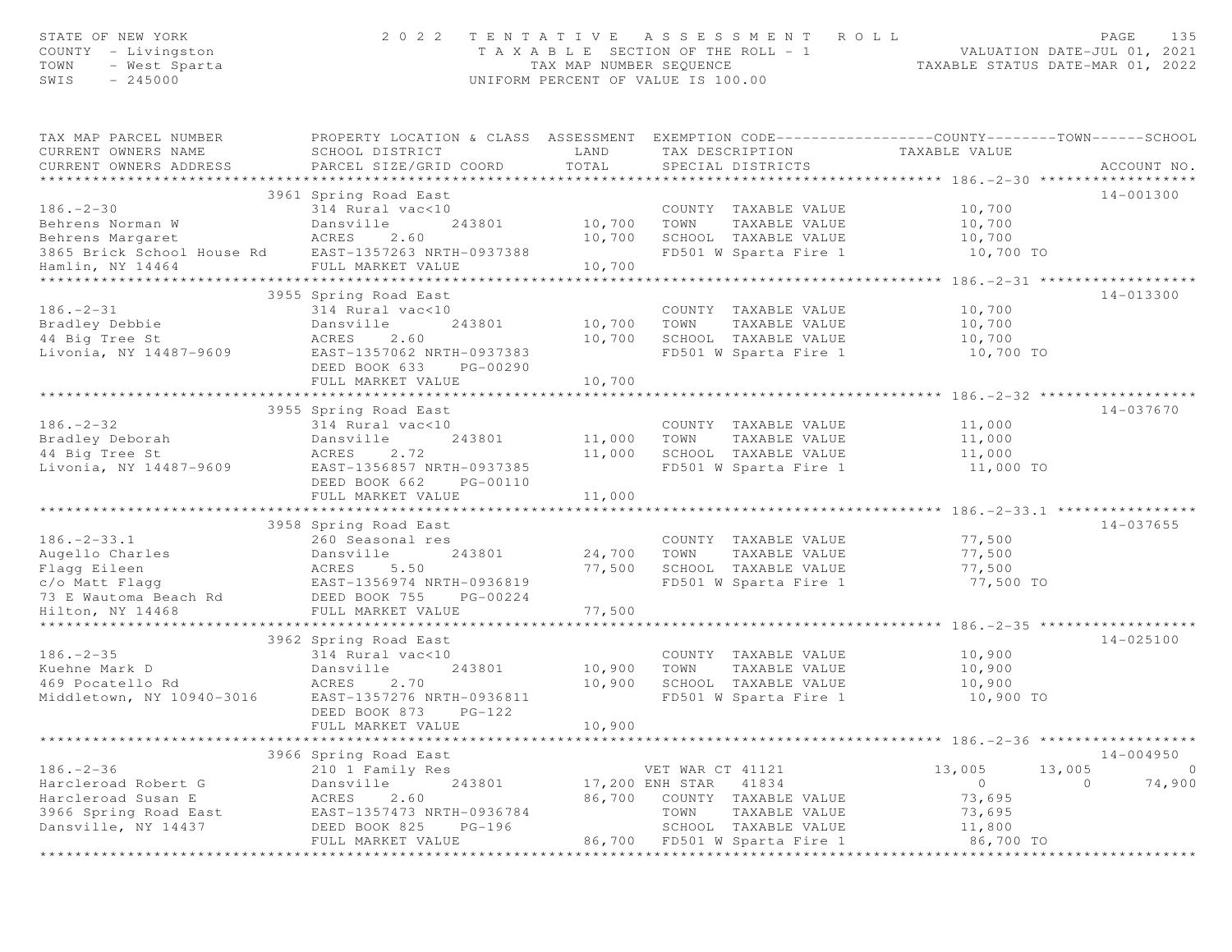| STATE OF NEW YORK<br>COUNTY - Livingston<br>- West Sparta<br>TOWN<br>SWIS<br>$-245000$                       | 2 0 2 2                                                                                                                                                          | TAX MAP NUMBER SEQUENCE<br>UNIFORM PERCENT OF VALUE IS 100.00 | TENTATIVE ASSESSMENT ROLL<br>T A X A B L E SECTION OF THE ROLL - 1                                                                             | VALUATION DATE-JUL 01, 2021                                  | PAGE<br>135<br>TAXABLE STATUS DATE-MAR 01, 2022 |
|--------------------------------------------------------------------------------------------------------------|------------------------------------------------------------------------------------------------------------------------------------------------------------------|---------------------------------------------------------------|------------------------------------------------------------------------------------------------------------------------------------------------|--------------------------------------------------------------|-------------------------------------------------|
| TAX MAP PARCEL NUMBER<br>CURRENT OWNERS NAME<br>CURRENT OWNERS ADDRESS                                       | SCHOOL DISTRICT<br>PARCEL SIZE/GRID COORD                                                                                                                        | LAND<br>TOTAL                                                 | PROPERTY LOCATION & CLASS ASSESSMENT EXEMPTION CODE----------------COUNTY-------TOWN------SCHOOL<br>TAX DESCRIPTION<br>SPECIAL DISTRICTS       | TAXABLE VALUE                                                | ACCOUNT NO.                                     |
|                                                                                                              |                                                                                                                                                                  |                                                               |                                                                                                                                                |                                                              |                                                 |
| $186. - 2 - 30$<br>Behrens Norman W<br>Behrens Margaret<br>3865 Brick School House Rd                        | 3961 Spring Road East<br>314 Rural vac<10<br>Dansville<br>243801<br>ACRES<br>2.60<br>EAST-1357263 NRTH-0937388                                                   | 10,700<br>10,700                                              | COUNTY TAXABLE VALUE<br>TOWN<br>TAXABLE VALUE<br>SCHOOL TAXABLE VALUE<br>FD501 W Sparta Fire 1                                                 | 10,700<br>10,700<br>10,700<br>10,700 TO                      | 14-001300                                       |
| Hamlin, NY 14464                                                                                             | FULL MARKET VALUE<br>****************************                                                                                                                | 10,700                                                        |                                                                                                                                                |                                                              |                                                 |
| $186. - 2 - 31$<br>Bradley Debbie<br>44 Big Tree St<br>Livonia, NY 14487-9609                                | 3955 Spring Road East<br>314 Rural vac<10<br>Dansville<br>243801<br>ACRES<br>2.60<br>EAST-1357062 NRTH-0937383<br>DEED BOOK 633<br>PG-00290                      | 10,700<br>10,700                                              | COUNTY TAXABLE VALUE<br>TOWN<br>TAXABLE VALUE<br>SCHOOL TAXABLE VALUE<br>FD501 W Sparta Fire 1                                                 | 10,700<br>10,700<br>10,700<br>10,700 TO                      | 14-013300                                       |
|                                                                                                              | FULL MARKET VALUE                                                                                                                                                | 10,700                                                        |                                                                                                                                                |                                                              |                                                 |
|                                                                                                              |                                                                                                                                                                  |                                                               |                                                                                                                                                |                                                              |                                                 |
| $186. - 2 - 32$<br>Bradley Deborah<br>44 Big Tree St<br>Livonia, NY 14487-9609                               | 3955 Spring Road East<br>314 Rural vac<10<br>243801<br>Dansville<br>ACRES<br>2.72<br>EAST-1356857 NRTH-0937385<br>DEED BOOK 662<br>PG-00110                      | 11,000<br>11,000                                              | COUNTY TAXABLE VALUE<br>TAXABLE VALUE<br>TOWN<br>SCHOOL TAXABLE VALUE<br>FD501 W Sparta Fire 1                                                 | 11,000<br>11,000<br>11,000<br>11,000 TO                      | $14 - 037670$                                   |
|                                                                                                              | FULL MARKET VALUE                                                                                                                                                | 11,000                                                        |                                                                                                                                                |                                                              |                                                 |
|                                                                                                              |                                                                                                                                                                  |                                                               |                                                                                                                                                |                                                              |                                                 |
| $186. - 2 - 33.1$<br>Augello Charles<br>Flagg Eileen<br>c/o Matt Flagg<br>73 E Wautoma Beach Rd              | 3958 Spring Road East<br>260 Seasonal res<br>243801<br>Dansville<br>ACRES<br>5.50<br>EAST-1356974 NRTH-0936819<br>DEED BOOK 755<br>PG-00224                      | 24,700<br>77,500                                              | COUNTY TAXABLE VALUE<br>TAXABLE VALUE<br>TOWN<br>SCHOOL TAXABLE VALUE<br>FD501 W Sparta Fire 1                                                 | 77,500<br>77,500<br>77,500<br>77,500 TO                      | 14-037655                                       |
| Hilton, NY 14468                                                                                             | FULL MARKET VALUE                                                                                                                                                | 77,500                                                        |                                                                                                                                                |                                                              |                                                 |
| $186. - 2 - 35$<br>Kuehne Mark D<br>469 Pocatello Rd<br>Middletown, NY 10940-3016                            | 3962 Spring Road East<br>314 Rural vac<10<br>243801<br>Dansville<br>ACRES<br>2.70<br>EAST-1357276 NRTH-0936811<br>DEED BOOK 873<br>$PG-122$<br>FULL MARKET VALUE | 10,900<br>10,900<br>10,900                                    | COUNTY TAXABLE VALUE<br>TOWN<br>TAXABLE VALUE<br>SCHOOL TAXABLE VALUE<br>FD501 W Sparta Fire 1                                                 | 10,900<br>10,900<br>10,900<br>10,900 TO                      | $14 - 025100$                                   |
|                                                                                                              | * * * * * * * * * * * * * * *                                                                                                                                    |                                                               | ******************                                                                                                                             | ****************** 186. - 2 - 36 ******************          |                                                 |
|                                                                                                              | 3966 Spring Road East                                                                                                                                            |                                                               |                                                                                                                                                |                                                              | 14-004950                                       |
| $186. - 2 - 36$<br>Harcleroad Robert G<br>Harcleroad Susan E<br>3966 Spring Road East<br>Dansville, NY 14437 | 210 1 Family Res<br>Dansville<br>243801<br>ACRES<br>2.60<br>EAST-1357473 NRTH-0936784<br>DEED BOOK 825<br>PG-196<br>FULL MARKET VALUE                            | 86,700<br>86,700                                              | VET WAR CT 41121<br>17,200 ENH STAR<br>41834<br>COUNTY TAXABLE VALUE<br>TOWN<br>TAXABLE VALUE<br>SCHOOL TAXABLE VALUE<br>FD501 W Sparta Fire 1 | 13,005<br>$\circ$<br>73,695<br>73,695<br>11,800<br>86,700 TO | $\circ$<br>13,005<br>74,900<br>$\circ$          |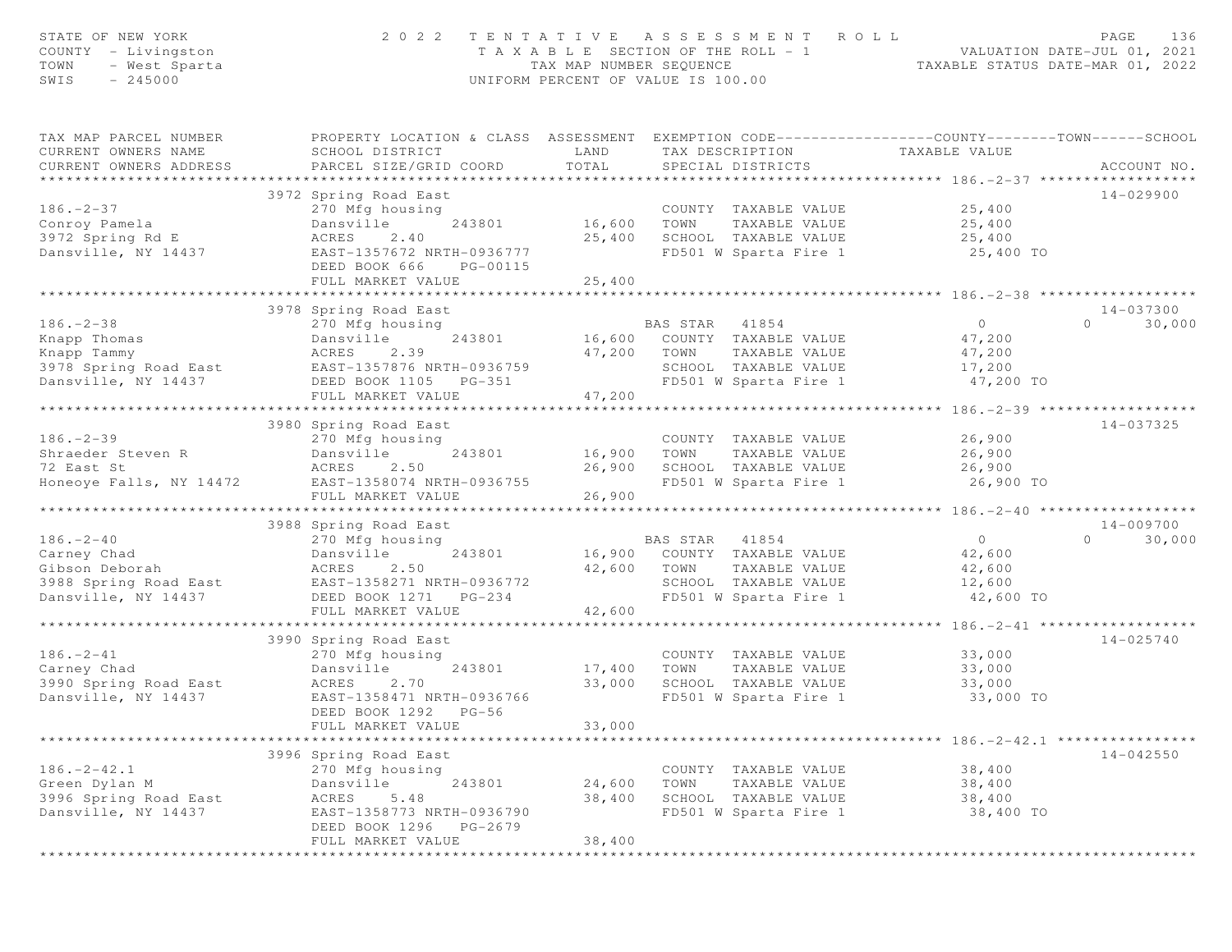| STATE OF NEW YORK<br>COUNTY - Livingston<br>TOWN<br>- West Sparta<br>SWIS<br>$-245000$           | 2 0 2 2                                                                                                                                                                   | TAX MAP NUMBER SEQUENCE                      | TENTATIVE ASSESSMENT ROLL<br>T A X A B L E SECTION OF THE ROLL - 1<br>UNIFORM PERCENT OF VALUE IS 100.00                   |               | 136<br>PAGE<br>VALUATION DATE-JUL 01, 2021<br>TAXABLE STATUS DATE-MAR 01, 2022               |
|--------------------------------------------------------------------------------------------------|---------------------------------------------------------------------------------------------------------------------------------------------------------------------------|----------------------------------------------|----------------------------------------------------------------------------------------------------------------------------|---------------|----------------------------------------------------------------------------------------------|
| TAX MAP PARCEL NUMBER<br>CURRENT OWNERS NAME<br>CURRENT OWNERS ADDRESS                           | PROPERTY LOCATION & CLASS ASSESSMENT EXEMPTION CODE----------------COUNTY-------TOWN------SCHOOL<br>SCHOOL DISTRICT<br>PARCEL SIZE/GRID COORD                             | LAND<br>TOTAL                                | TAX DESCRIPTION<br>SPECIAL DISTRICTS                                                                                       | TAXABLE VALUE | ACCOUNT NO.                                                                                  |
|                                                                                                  |                                                                                                                                                                           |                                              |                                                                                                                            |               |                                                                                              |
| $186. - 2 - 37$<br>Conroy Pamela<br>3972 Spring Rd E<br>Dansville, NY 14437                      | 3972 Spring Road East<br>270 Mfg housing<br>243801<br>Dansville<br>ACRES<br>2.40<br>EAST-1357672 NRTH-0936777<br>DEED BOOK 666<br>PG-00115<br>FULL MARKET VALUE           | 16,600<br>25,400<br>25,400                   | COUNTY TAXABLE VALUE<br>TOWN<br>TAXABLE VALUE<br>SCHOOL TAXABLE VALUE<br>FD501 W Sparta Fire 1                             |               | 14-029900<br>25,400<br>25,400<br>25,400<br>25,400 TO                                         |
|                                                                                                  |                                                                                                                                                                           |                                              |                                                                                                                            |               |                                                                                              |
| $186. - 2 - 38$<br>Knapp Thomas<br>Knapp Tammy<br>3978 Spring Road East<br>Dansville, NY 14437   | 3978 Spring Road East<br>270 Mfg housing<br>243801<br>Dansville<br>ACRES<br>2.39<br>EAST-1357876 NRTH-0936759<br>DEED BOOK 1105 PG-351                                    | 47,200                                       | BAS STAR<br>41854<br>16,600 COUNTY TAXABLE VALUE<br>TOWN<br>TAXABLE VALUE<br>SCHOOL TAXABLE VALUE<br>FD501 W Sparta Fire 1 |               | 14-037300<br>$\overline{0}$<br>$\Omega$<br>30,000<br>47,200<br>47,200<br>17,200<br>47,200 TO |
|                                                                                                  | FULL MARKET VALUE                                                                                                                                                         | 47,200                                       |                                                                                                                            |               |                                                                                              |
| $186. - 2 - 39$<br>Shraeder Steven R<br>72 East St<br>Honeoye Falls, NY 14472                    | ***********************************<br>3980 Spring Road East<br>270 Mfg housing<br>243801<br>Dansville<br>ACRES<br>2.50<br>EAST-1358074 NRTH-0936755<br>FULL MARKET VALUE | **************<br>16,900<br>26,900<br>26,900 | COUNTY TAXABLE VALUE<br>TOWN<br>TAXABLE VALUE<br>SCHOOL TAXABLE VALUE<br>FD501 W Sparta Fire 1                             |               | $14 - 037325$<br>26,900<br>26,900<br>26,900<br>26,900 TO                                     |
|                                                                                                  |                                                                                                                                                                           |                                              |                                                                                                                            |               |                                                                                              |
| $186. - 2 - 40$<br>Carney Chad<br>Gibson Deborah<br>3988 Spring Road East<br>Dansville, NY 14437 | 3988 Spring Road East<br>270 Mfg housing<br>243801<br>Dansville<br>ACRES<br>2.50<br>EAST-1358271 NRTH-0936772<br>DEED BOOK 1271 PG-234<br>FULL MARKET VALUE               | 16,900<br>42,600<br>42,600                   | BAS STAR 41854<br>COUNTY TAXABLE VALUE<br>TAXABLE VALUE<br>TOWN<br>SCHOOL TAXABLE VALUE<br>FD501 W Sparta Fire 1           |               | 14-009700<br>$\overline{0}$<br>30,000<br>$\Omega$<br>42,600<br>42,600<br>12,600<br>42,600 TO |
|                                                                                                  | 3990 Spring Road East                                                                                                                                                     |                                              |                                                                                                                            |               | *********** 186. - 2 - 41 ********************<br>$14 - 025740$                              |
| $186. - 2 - 41$<br>Carney Chad<br>3990 Spring Road East<br>Dansville, NY 14437                   | 270 Mfg housing<br>243801<br>Dansville<br>ACRES<br>2.70<br>EAST-1358471 NRTH-0936766<br>DEED BOOK 1292<br>$PG-56$<br>FULL MARKET VALUE                                    | 17,400<br>33,000<br>33,000                   | COUNTY TAXABLE VALUE<br>TOWN<br>TAXABLE VALUE<br>SCHOOL TAXABLE VALUE<br>FD501 W Sparta Fire 1                             |               | 33,000<br>33,000<br>33,000<br>33,000 TO                                                      |
|                                                                                                  |                                                                                                                                                                           |                                              |                                                                                                                            |               |                                                                                              |
| $186. - 2 - 42.1$<br>Green Dylan M<br>3996 Spring Road East<br>Dansville, NY 14437               | 3996 Spring Road East<br>270 Mfg housing<br>Dansville<br>243801<br>ACRES<br>5.48<br>EAST-1358773 NRTH-0936790<br>DEED BOOK 1296<br>PG-2679<br>FULL MARKET VALUE           | 24,600<br>38,400<br>38,400                   | COUNTY TAXABLE VALUE<br>TOWN<br>TAXABLE VALUE<br>SCHOOL TAXABLE VALUE<br>FD501 W Sparta Fire 1                             |               | $14 - 042550$<br>38,400<br>38,400<br>38,400<br>38,400 TO                                     |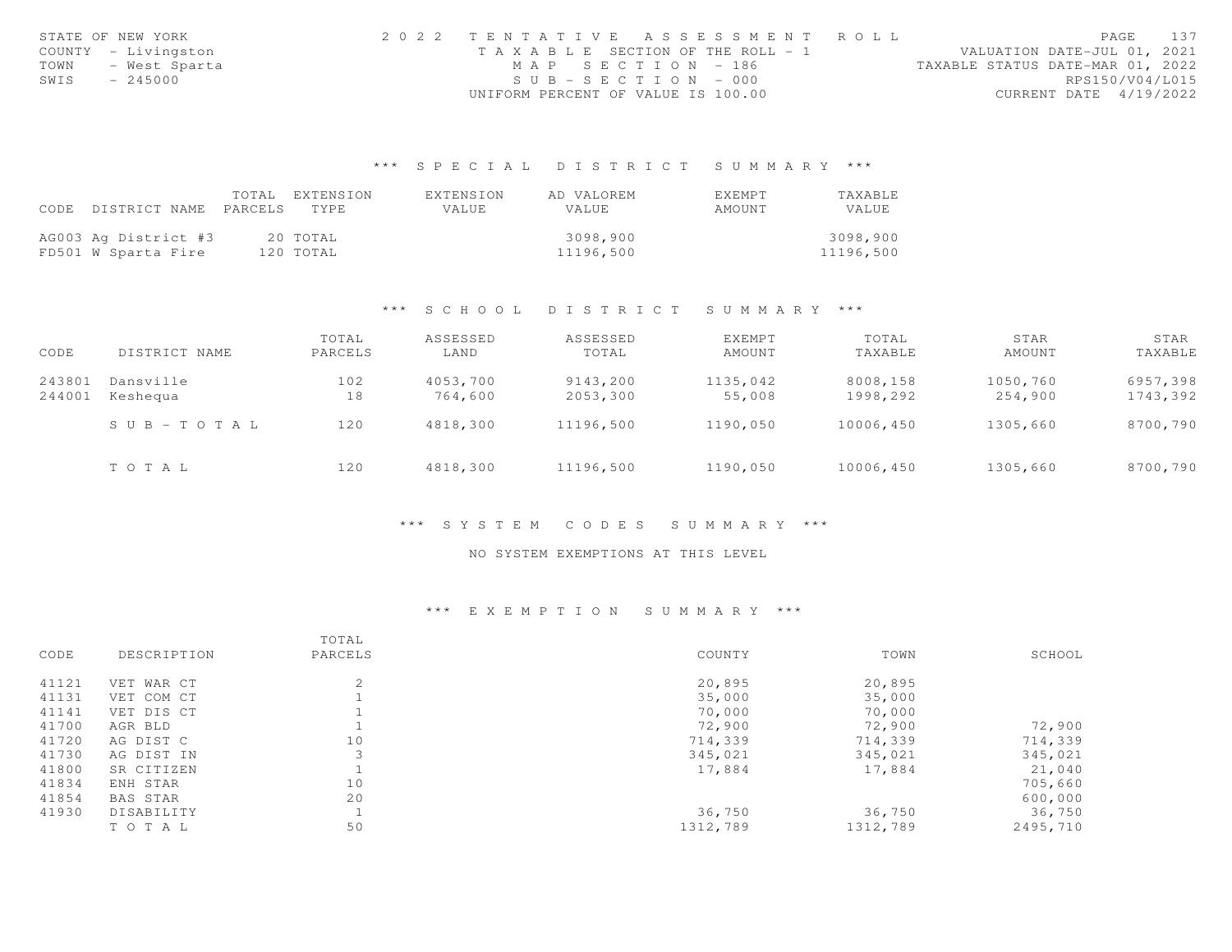|      | STATE OF NEW YORK   | 2022 TENTATIVE ASSESSMENT ROLL     |  |                                  | PAGE                        | 137 |
|------|---------------------|------------------------------------|--|----------------------------------|-----------------------------|-----|
|      | COUNTY - Livingston | TAXABLE SECTION OF THE ROLL - 1    |  |                                  | VALUATION DATE-JUL 01, 2021 |     |
| TOWN | – West Sparta       | MAP SECTION - 186                  |  | TAXABLE STATUS DATE-MAR 01, 2022 |                             |     |
| SWIS | $-245000$           | $SUB - SECTION - 000$              |  |                                  | RPS150/V04/L015             |     |
|      |                     | UNIFORM PERCENT OF VALUE IS 100.00 |  |                                  | CURRENT DATE 4/19/2022      |     |

## \*\*\* S P E C I A L D I S T R I C T S U M M A R Y \*\*\*

|                                 | TOTAL EXTENSION | EXTENSION | AD VALOREM | <b>FXFMPT</b> | <b>TAXABLE</b> |
|---------------------------------|-----------------|-----------|------------|---------------|----------------|
| CODE DISTRICT NAME PARCELS TYPE |                 | VALUE     | VALUE      | AMOUNT        | VALUE          |
|                                 |                 |           |            |               |                |
| AG003 Ag District #3            | 20 TOTAL        |           | 3098.900   |               | 3098,900       |
| FD501 W Sparta Fire             | 120 TOTAL       |           | 11196,500  |               | 11196,500      |

### \*\*\* S C H O O L D I S T R I C T S U M M A R Y \*\*\*

| CODE             | DISTRICT NAME             | TOTAL<br>PARCELS | ASSESSED<br>LAND    | ASSESSED<br>TOTAL    | <b>EXEMPT</b><br>AMOUNT | TOTAL<br>TAXABLE     | STAR<br>AMOUNT      | STAR<br>TAXABLE      |
|------------------|---------------------------|------------------|---------------------|----------------------|-------------------------|----------------------|---------------------|----------------------|
| 243801<br>244001 | Dansville<br>Keshequa     | 102<br>18        | 4053,700<br>764,600 | 9143,200<br>2053,300 | 1135,042<br>55,008      | 8008,158<br>1998,292 | 1050,760<br>254,900 | 6957,398<br>1743,392 |
|                  | $S \cup B = T \cup T A L$ | 120              | 4818,300            | 11196,500            | 1190,050                | 10006,450            | 1305,660            | 8700,790             |
|                  | TOTAL                     | 120              | 4818,300            | 11196,500            | 1190,050                | 10006,450            | 1305,660            | 8700,790             |

### \*\*\* S Y S T E M C O D E S S U M M A R Y \*\*\*

### NO SYSTEM EXEMPTIONS AT THIS LEVEL

### \*\*\* E X E M P T I O N S U M M A R Y \*\*\*

|       |             | TOTAL          |          |          |          |
|-------|-------------|----------------|----------|----------|----------|
| CODE  | DESCRIPTION | PARCELS        | COUNTY   | TOWN     | SCHOOL   |
| 41121 | VET WAR CT  | $\overline{2}$ | 20,895   | 20,895   |          |
| 41131 | VET COM CT  |                | 35,000   | 35,000   |          |
| 41141 | VET DIS CT  |                | 70,000   | 70,000   |          |
| 41700 | AGR BLD     |                | 72,900   | 72,900   | 72,900   |
| 41720 | AG DIST C   | 10             | 714,339  | 714,339  | 714,339  |
| 41730 | AG DIST IN  | 3              | 345,021  | 345,021  | 345,021  |
| 41800 | SR CITIZEN  |                | 17,884   | 17,884   | 21,040   |
| 41834 | ENH STAR    | 10             |          |          | 705,660  |
| 41854 | BAS STAR    | 20             |          |          | 600,000  |
| 41930 | DISABILITY  |                | 36,750   | 36,750   | 36,750   |
|       | TO TAL      | 50             | 1312,789 | 1312,789 | 2495,710 |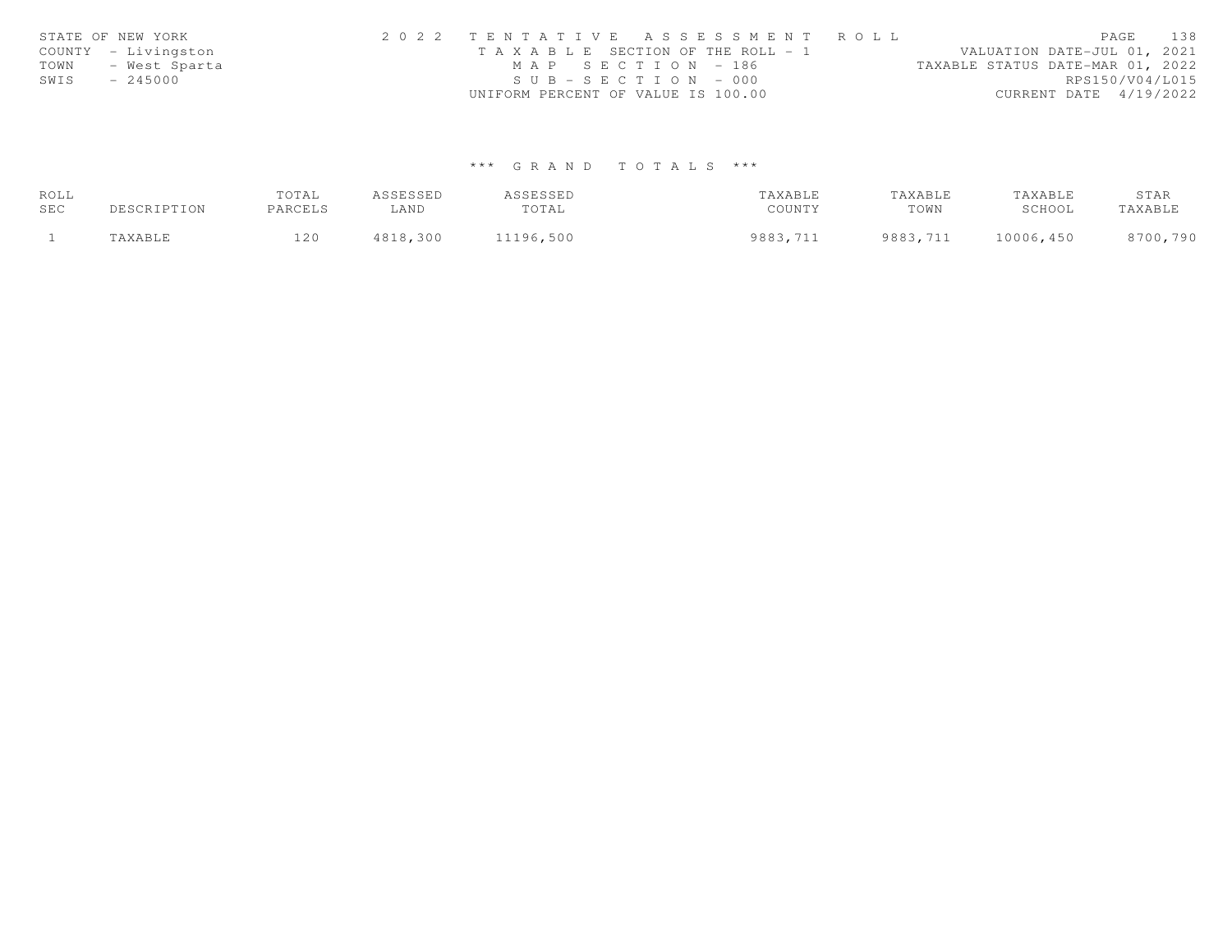| STATE OF NEW YORK     | 2022 TENTATIVE ASSESSMENT ROLL        | PAGE                             | 138 |
|-----------------------|---------------------------------------|----------------------------------|-----|
| COUNTY - Livingston   | T A X A B L E SECTION OF THE ROLL - 1 | VALUATION DATE-JUL 01, 2021      |     |
| TOWN<br>- West Sparta | MAP SECTION - 186                     | TAXABLE STATUS DATE-MAR 01, 2022 |     |
| SWIS<br>$-245000$     | $SUB - SECTION - 000$                 | RPS150/V04/L015                  |     |
|                       | UNIFORM PERCENT OF VALUE IS 100.00    | CURRENT DATE 4/19/2022           |     |

# \*\*\* G R A N D T O T A L S \*\*\*

| ROLL |                       | TOTAL   | ASSESSED | ASSESSED  | TAXABLE  | TAXABLE  | TAXABLE   | STAR     |
|------|-----------------------|---------|----------|-----------|----------|----------|-----------|----------|
| SEC  | DESCRIPTION           | PARCELS | LAND     | TOTAL     | COUNTY   | TOWN     | SCHOOL    | TAXABLE  |
|      | <b><i>TAXABLE</i></b> | 120     | 4818,300 | 11196,500 | 9883,711 | 9883,711 | 10006,450 | 8700,790 |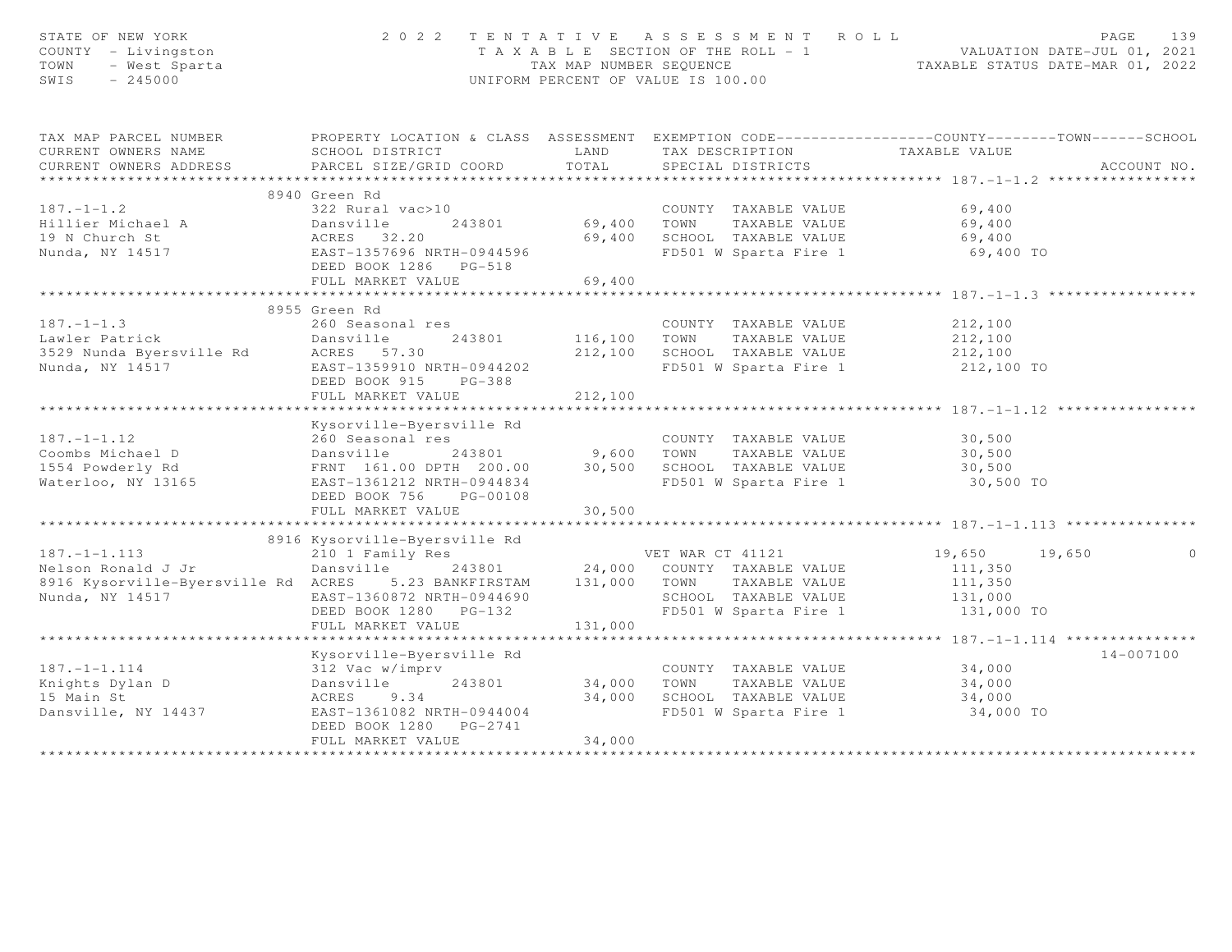| STATE OF NEW YORK<br>COUNTY - Livingston<br>TOWN<br>- West Sparta<br>$-245000$<br>SWIS        |                                                                                                                                                                                                                        |                           | 2022 TENTATIVE ASSESSMENT ROLL<br>T A X A B L E SECTION OF THE ROLL - 1 VALUATION DATE-JUL 01, 2021<br>TAX MAP NUMBER SEQUENCE TAXABLE STATUS DATE-MAR 01, 2022<br>UNIFORM PERCENT OF VALUE IS 100.00 |                                             | PAGE | 139         |
|-----------------------------------------------------------------------------------------------|------------------------------------------------------------------------------------------------------------------------------------------------------------------------------------------------------------------------|---------------------------|-------------------------------------------------------------------------------------------------------------------------------------------------------------------------------------------------------|---------------------------------------------|------|-------------|
| TAX MAP PARCEL NUMBER                                                                         | PROPERTY LOCATION & CLASS ASSESSMENT EXEMPTION CODE-----------------COUNTY-------TOWN------SCHOOL                                                                                                                      |                           |                                                                                                                                                                                                       |                                             |      |             |
| CURRENT OWNERS NAME<br>CURRENT OWNERS ADDRESS                                                 | SCHOOL DISTRICT<br>PARCEL SIZE/GRID COORD                                                                                                                                                                              |                           | LAND TAX DESCRIPTION TAXABLE VALUE COORD TOTAL SPECIAL DISTRICTS                                                                                                                                      |                                             |      | ACCOUNT NO. |
|                                                                                               |                                                                                                                                                                                                                        |                           |                                                                                                                                                                                                       |                                             |      |             |
|                                                                                               | 8940 Green Rd                                                                                                                                                                                                          |                           |                                                                                                                                                                                                       |                                             |      |             |
| $187. - 1 - 1.2$                                                                              | 322 Rural vac>10                                                                                                                                                                                                       |                           |                                                                                                                                                                                                       |                                             |      |             |
| Hillier Michael A                                                                             | Dansville                                                                                                                                                                                                              |                           | 0<br>243801 69,400 TOWN TAXABLE VALUE 69,400<br>69,400 TOWN TAXABLE VALUE 69,400                                                                                                                      |                                             |      |             |
| 19 N Church St                                                                                | ACRES 32.20                                                                                                                                                                                                            |                           |                                                                                                                                                                                                       |                                             |      |             |
| Nunda, NY 14517                                                                               | EAST-1357696 NRTH-0944596                                                                                                                                                                                              |                           | 69,400 SCHOOL TAXABLE VALUE 69,400<br>FD501 W Sparta Fire 1 69,400 TO                                                                                                                                 |                                             |      |             |
|                                                                                               | DEED BOOK 1286 PG-518                                                                                                                                                                                                  |                           |                                                                                                                                                                                                       |                                             |      |             |
|                                                                                               | FULL MARKET VALUE                                                                                                                                                                                                      | 69,400                    |                                                                                                                                                                                                       |                                             |      |             |
|                                                                                               |                                                                                                                                                                                                                        |                           |                                                                                                                                                                                                       | ****************** 187.-1-1.3               |      |             |
| $187. - 1 - 1.3$                                                                              | 8955 Green Rd                                                                                                                                                                                                          |                           |                                                                                                                                                                                                       |                                             |      |             |
|                                                                                               | 260 Seasonal res<br>243801                                                                                                                                                                                             |                           | COUNTY TAXABLE VALUE 212,100                                                                                                                                                                          |                                             |      |             |
|                                                                                               |                                                                                                                                                                                                                        |                           | 116,100 TOWN TAXABLE VALUE 212,100<br>212,100 SCHOOL TAXABLE VALUE 212,100                                                                                                                            |                                             |      |             |
|                                                                                               | EAST-1359910 NRTH-0944202                                                                                                                                                                                              |                           | FD501 W Sparta Fire 1 212,100 TO                                                                                                                                                                      |                                             |      |             |
|                                                                                               | DEED BOOK 915 PG-388                                                                                                                                                                                                   |                           |                                                                                                                                                                                                       |                                             |      |             |
|                                                                                               | FULL MARKET VALUE                                                                                                                                                                                                      | 212,100                   |                                                                                                                                                                                                       |                                             |      |             |
|                                                                                               | ********************************                                                                                                                                                                                       | * * * * * * * * * * * * * |                                                                                                                                                                                                       |                                             |      |             |
|                                                                                               | Kysorville-Byersville Rd                                                                                                                                                                                               |                           |                                                                                                                                                                                                       |                                             |      |             |
| $187. - 1 - 1.12$                                                                             |                                                                                                                                                                                                                        |                           |                                                                                                                                                                                                       |                                             |      |             |
| Coombs Michael D                                                                              |                                                                                                                                                                                                                        |                           |                                                                                                                                                                                                       |                                             |      |             |
| 1554 Powderly Rd                                                                              |                                                                                                                                                                                                                        |                           |                                                                                                                                                                                                       |                                             |      |             |
| Waterloo, NY 13165                                                                            | 260 Seasonal res<br>Dansville 243801 9,600 TOWN TAXABLE VALUE 30,500<br>FRNT 161.00 DPTH 200.00 30,500 SCHOOL TAXABLE VALUE 30,500<br>EAST-1361212 NRTH-0944834 FD501 W Sparta Fire 1 30,500<br>DEED BOOK 756 DC 00100 |                           |                                                                                                                                                                                                       | 30,500 TO                                   |      |             |
|                                                                                               | DEED BOOK 756 PG-00108                                                                                                                                                                                                 |                           |                                                                                                                                                                                                       |                                             |      |             |
|                                                                                               | FULL MARKET VALUE                                                                                                                                                                                                      | 30,500                    |                                                                                                                                                                                                       |                                             |      |             |
|                                                                                               | 8916 Kysorville-Byersville Rd                                                                                                                                                                                          |                           |                                                                                                                                                                                                       |                                             |      |             |
|                                                                                               | 210 1 Family Res                                                                                                                                                                                                       |                           | VET WAR CT 41121                                                                                                                                                                                      | 19,650 19,650                               |      | $\circ$     |
| 187.-1-1.113<br>Nelson Ronald J Jr                                                            | Dansville 243801 24,000 COUNTY TAXABLE VALUE                                                                                                                                                                           |                           |                                                                                                                                                                                                       | 111,350                                     |      |             |
| 8916 Kysorville-Byersville Rd ACRES 5.23 BANKFIRSTAM 131,000 TOWN TAXABLE VALUE               |                                                                                                                                                                                                                        |                           |                                                                                                                                                                                                       | 111,350                                     |      |             |
| Nunda, NY 14517                                                                               | EAST-1360872 NRTH-0944690                                                                                                                                                                                              |                           | SCHOOL TAXABLE VALUE                                                                                                                                                                                  | 131,000                                     |      |             |
|                                                                                               | DEED BOOK 1280 PG-132                                                                                                                                                                                                  |                           | FD501 W Sparta Fire 1                                                                                                                                                                                 | 131,000 TO                                  |      |             |
|                                                                                               | FULL MARKET VALUE                                                                                                                                                                                                      | 131,000                   |                                                                                                                                                                                                       |                                             |      |             |
|                                                                                               |                                                                                                                                                                                                                        |                           |                                                                                                                                                                                                       | ************* 187.-1-1.114 **************** |      |             |
|                                                                                               | Kysorville-Byersville Rd                                                                                                                                                                                               |                           |                                                                                                                                                                                                       |                                             |      | 14-007100   |
|                                                                                               |                                                                                                                                                                                                                        |                           | COUNTY TAXABLE VALUE                                                                                                                                                                                  | 34,000                                      |      |             |
| Example 1.1.14<br>Si2 Vac w/imprv<br>Si2 Vac w/imprv<br>Dansville 243801<br>Particular 243801 | 243801                                                                                                                                                                                                                 | 34,000                    | TOWN TAXABLE VALUE                                                                                                                                                                                    | 34,000<br>34,000                            |      |             |
|                                                                                               |                                                                                                                                                                                                                        | 34,000                    | SCHOOL TAXABLE VALUE                                                                                                                                                                                  |                                             |      |             |
| Dansville, NY 14437                                                                           | EAST-1361082 NRTH-0944004                                                                                                                                                                                              |                           | FD501 W Sparta Fire 1                                                                                                                                                                                 | 34,000 TO                                   |      |             |
|                                                                                               | DEED BOOK 1280 PG-2741<br>FULL MARKET VALUE                                                                                                                                                                            | 34,000                    |                                                                                                                                                                                                       |                                             |      |             |
|                                                                                               |                                                                                                                                                                                                                        |                           |                                                                                                                                                                                                       |                                             |      |             |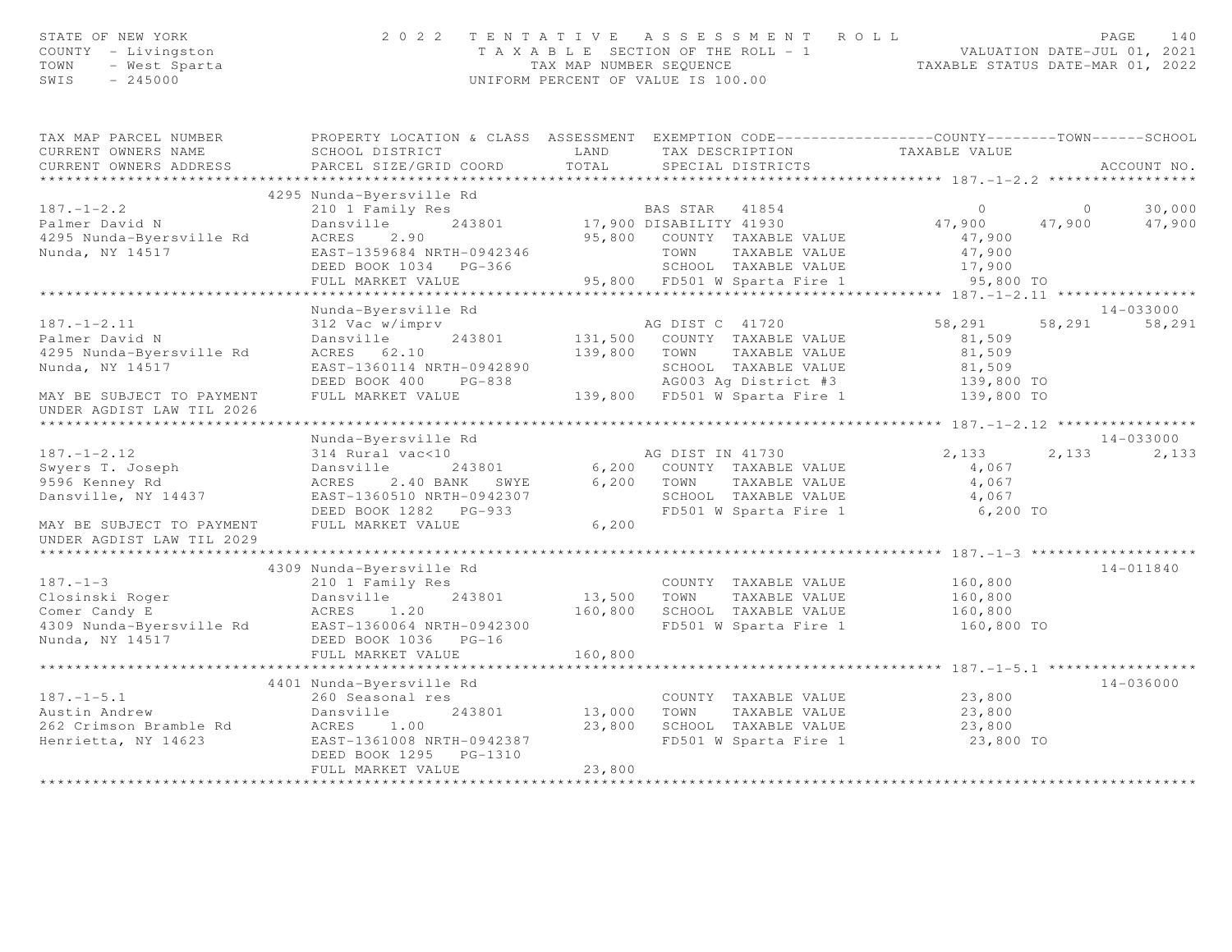| STATE OF NEW YORK                   | 2022 TENTATIVE ASSESSMENT ROLL                                |                                  | PAGE 140 |  |
|-------------------------------------|---------------------------------------------------------------|----------------------------------|----------|--|
| COUNTY - Livingston                 | T A X A B L E SECTION OF THE ROLL - 1                         | VALUATION DATE-JUL 01, 2021      |          |  |
| TOWN - West Sparta<br>SWIS - 245000 | TAX MAP NUMBER SEOUENCE<br>UNIFORM PERCENT OF VALUE IS 100.00 | TAXABLE STATUS DATE-MAR 01, 2022 |          |  |
|                                     |                                                               |                                  |          |  |
|                                     |                                                               |                                  |          |  |

| TAX MAP PARCEL NUMBER<br>CURRENT OWNERS NAME       | PROPERTY LOCATION & CLASS ASSESSMENT EXEMPTION CODE----------------COUNTY-------TOWN------SCHOOL<br>SCHOOL DISTRICT                          | LAND               |                                                                        |                  |                |               |
|----------------------------------------------------|----------------------------------------------------------------------------------------------------------------------------------------------|--------------------|------------------------------------------------------------------------|------------------|----------------|---------------|
|                                                    |                                                                                                                                              |                    |                                                                        |                  |                |               |
|                                                    | 4295 Nunda-Byersville Rd                                                                                                                     |                    |                                                                        |                  |                |               |
|                                                    |                                                                                                                                              |                    |                                                                        | $\overline{0}$   | $\overline{0}$ | 30,000        |
| 187.-1-2.2<br>Palmer David N                       |                                                                                                                                              |                    |                                                                        | 47,900           | 47,900         | 47,900        |
| 4295 Nunda-Byersville Rd                           | 2.90<br>ACRES                                                                                                                                |                    | 95,800 COUNTY TAXABLE VALUE                                            | 47,900           |                |               |
| Nunda, NY 14517                                    | EAST-1359684 NRTH-0942346 TOWN TAXABLE VALUE<br>DEED BOOK 1034 PG-366 SCHOOL TAXABLE VALUE<br>FULL MARKET VALUE 95,800 FD501 W Sparta Fire 1 |                    |                                                                        |                  |                |               |
|                                                    |                                                                                                                                              |                    |                                                                        | 47,900<br>17,900 |                |               |
|                                                    |                                                                                                                                              |                    |                                                                        | 95,800 TO        |                |               |
|                                                    |                                                                                                                                              |                    |                                                                        |                  |                |               |
|                                                    | Nunda-Byersville Rd                                                                                                                          |                    |                                                                        |                  |                | 14-033000     |
| $187. - 1 - 2.11$                                  | 312 Vac w/imprv                                                                                                                              |                    |                                                                        | 58,291 58,291    |                | 58,291        |
| Palmer David N                                     | Dansville                                                                                                                                    |                    | AG DIST C 41720<br>243801 131,500 COUNTY TAXABLE VALUE                 | 81,509           |                |               |
| 4295 Nunda-Byersville Rd                           | ACRES 62.10                                                                                                                                  | 139,800 TOWN       | TAXABLE VALUE                                                          | 81,509           |                |               |
| Nunda, NY 14517                                    | EAST-1360114 NRTH-0942890                                                                                                                    |                    | 9 1,509 SCHOOL TAXABLE VALUE 81,509<br>AGOO3 Ag District #3 139,800 TO |                  |                |               |
|                                                    | DEED BOOK 400 PG-838                                                                                                                         |                    |                                                                        |                  |                |               |
| MAY BE SUBJECT TO PAYMENT                          | FULL MARKET VALUE                                                                                                                            |                    | 139,800 FD501 W Sparta Fire 1 139,800 TO                               |                  |                |               |
| UNDER AGDIST LAW TIL 2026                          |                                                                                                                                              |                    |                                                                        |                  |                |               |
|                                                    |                                                                                                                                              |                    |                                                                        |                  |                |               |
|                                                    | Nunda-Byersville Rd                                                                                                                          |                    |                                                                        |                  |                | $14 - 033000$ |
| $187. - 1 - 2.12$                                  | 314 Rural vac<10                                                                                                                             |                    | AG DIST IN 41730                                                       | 2,133            | 2,133          | 2,133         |
| Swyers T. Joseph                                   | Dansville                                                                                                                                    |                    | 243801 6,200 COUNTY TAXABLE VALUE                                      | 4,067            |                |               |
| 9596 Kenney Rd                                     | ACRES 2.40 BANK SWYE 6,200 TOWN TAXABLE VALUE<br>EAST-1360510 NRTH-0942307 SCHOOL TAXABLE VALUE                                              |                    |                                                                        | 4,067            |                |               |
| Dansville, NY 14437                                |                                                                                                                                              |                    |                                                                        | 4,067            |                |               |
|                                                    | DEED BOOK 1282 PG-933                                                                                                                        |                    | FD501 W Sparta Fire 1 6,200 TO                                         |                  |                |               |
| MAY BE SUBJECT TO PAYMENT                          | FULL MARKET VALUE                                                                                                                            | 6,200              |                                                                        |                  |                |               |
| UNDER AGDIST LAW TIL 2029                          |                                                                                                                                              |                    |                                                                        |                  |                |               |
|                                                    |                                                                                                                                              |                    |                                                                        |                  |                |               |
|                                                    | 4309 Nunda-Byersville Rd                                                                                                                     |                    |                                                                        |                  |                | 14-011840     |
| $187. - 1 - 3$                                     | 210 1 Family Res                                                                                                                             |                    | COUNTY TAXABLE VALUE 160,800                                           |                  |                |               |
|                                                    | 243801 13,500 TOWN                                                                                                                           |                    | TAXABLE VALUE                                                          | 160,800          |                |               |
|                                                    |                                                                                                                                              |                    | 160,800 SCHOOL TAXABLE VALUE                                           | 160,800          |                |               |
| 4309 Nunda-Byersville Rd EAST-1360064 NRTH-0942300 |                                                                                                                                              |                    | FD501 W Sparta Fire 1 160,800 TO                                       |                  |                |               |
| Nunda, NY 14517                                    | DEED BOOK 1036 PG-16                                                                                                                         |                    |                                                                        |                  |                |               |
|                                                    | FULL MARKET VALUE                                                                                                                            | 160,800            |                                                                        |                  |                |               |
|                                                    |                                                                                                                                              |                    |                                                                        |                  |                |               |
|                                                    | 4401 Nunda-Byersville Rd<br>260 Seasonal res                                                                                                 |                    |                                                                        |                  |                | $14 - 036000$ |
| $187. - 1 - 5.1$                                   |                                                                                                                                              |                    | COUNTY TAXABLE VALUE 23,800                                            |                  |                |               |
| Austin Andrew<br>262 Crimson Bramble Rd            | Dansville<br>ACRES 1.00                                                                                                                      | 243801 13,000 TOWN | 13,000 TOWN TAXABLE VALUE 23,800<br>23,800 SCHOOL TAXABLE VALUE 23,800 |                  |                |               |
| Henrietta, NY 14623                                | EAST-1361008 NRTH-0942387                                                                                                                    |                    | $FD501$ W Sparta Fire 1 23,800 TO                                      |                  |                |               |
|                                                    | DEED BOOK 1295 PG-1310                                                                                                                       |                    |                                                                        |                  |                |               |
|                                                    | FULL MARKET VALUE                                                                                                                            | 23,800             |                                                                        |                  |                |               |
|                                                    |                                                                                                                                              |                    |                                                                        |                  |                |               |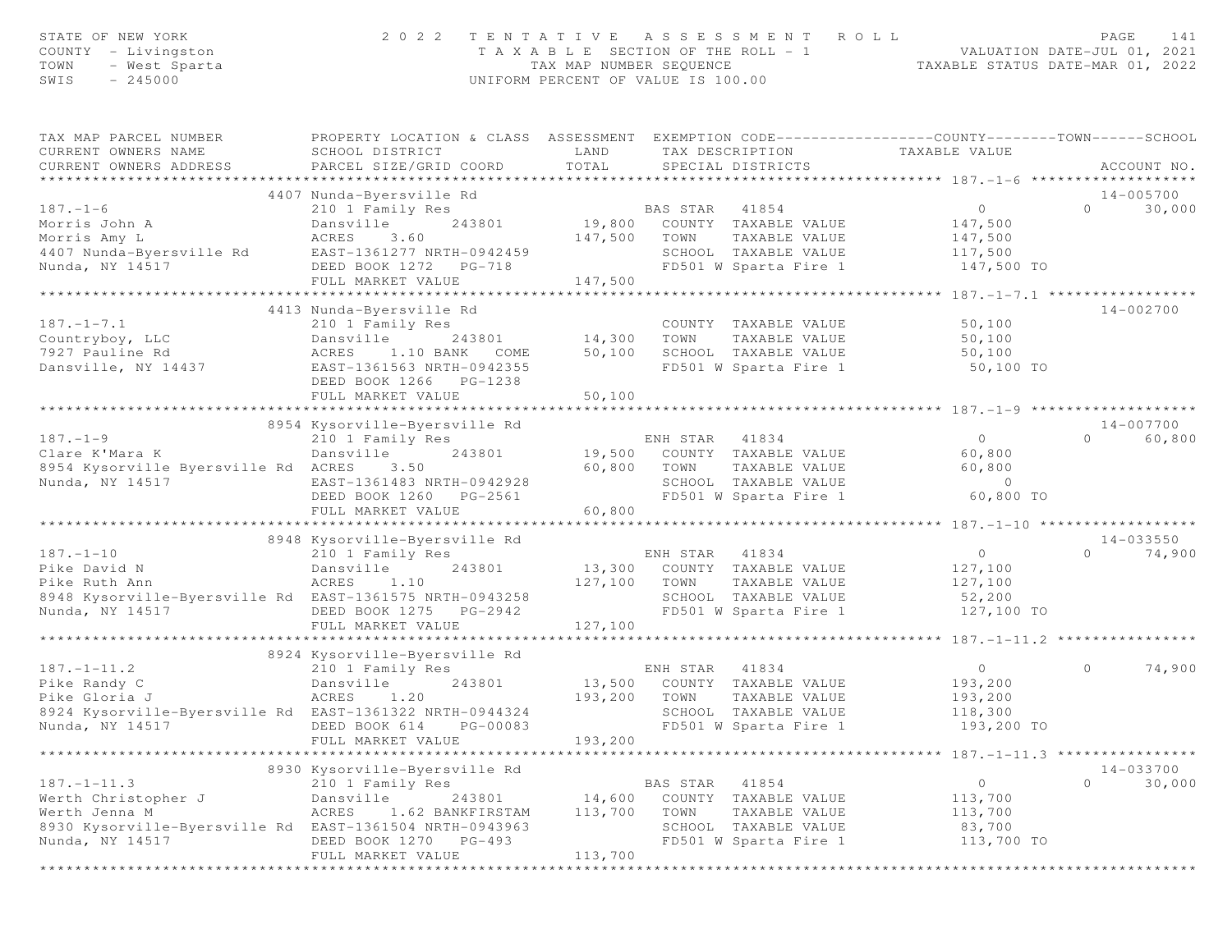| STATE OF NEW YORK<br>COUNTY - Livingston<br>TOWN<br>- West Sparta<br>SWIS<br>$-245000$      | 2 0 2 2<br>TENTATIVE<br>TAX MAP NUMBER SEQUENCE<br>UNIFORM PERCENT OF VALUE IS 100.00                                                         |                   |          | A S S E S S M E N T<br>ROLL<br>T A X A B L E SECTION OF THE ROLL - 1 | PAGE<br>141<br>141 - 1912 - VALUATION DATE-JUL 01, 2021<br>2021 - 1111 - 1111 - 1111 - 1111 - 1111 - 1111 - 1111 - 1111 - 1111 - 1111 - 1111 - 1111 - 1111 - 1111 - 1111<br>TAXABLE STATUS DATE-MAR 01, 2022 |          |               |
|---------------------------------------------------------------------------------------------|-----------------------------------------------------------------------------------------------------------------------------------------------|-------------------|----------|----------------------------------------------------------------------|--------------------------------------------------------------------------------------------------------------------------------------------------------------------------------------------------------------|----------|---------------|
| TAX MAP PARCEL NUMBER<br>CURRENT OWNERS NAME<br>CURRENT OWNERS ADDRESS                      | PROPERTY LOCATION & CLASS ASSESSMENT EXEMPTION CODE----------------COUNTY-------TOWN------SCHOOL<br>SCHOOL DISTRICT<br>PARCEL SIZE/GRID COORD | LAND<br>TOTAL     |          | TAX DESCRIPTION<br>SPECIAL DISTRICTS                                 | TAXABLE VALUE                                                                                                                                                                                                |          | ACCOUNT NO.   |
|                                                                                             | 4407 Nunda-Byersville Rd                                                                                                                      |                   |          |                                                                      |                                                                                                                                                                                                              |          | 14-005700     |
| $187. - 1 - 6$                                                                              | 210 1 Family Res                                                                                                                              |                   | BAS STAR | 41854                                                                | $\circ$                                                                                                                                                                                                      | $\Omega$ | 30,000        |
| Morris John A<br>Morris Amy L<br>Моrris Amy ь<br>4407 Nunda-Byersville Rd                   | Dansville<br>243801<br>ACRES<br>3.60<br>EAST-1361277 NRTH-0942459                                                                             | 147,500 TOWN      |          | 19,800 COUNTY TAXABLE VALUE<br>TAXABLE VALUE<br>SCHOOL TAXABLE VALUE | 147,500<br>147,500<br>117,500                                                                                                                                                                                |          |               |
| Nunda, NY 14517                                                                             | DEED BOOK 1272 PG-718<br>FULL MARKET VALUE                                                                                                    | 147,500           |          | FD501 W Sparta Fire 1                                                | 147,500 TO                                                                                                                                                                                                   |          |               |
|                                                                                             |                                                                                                                                               |                   |          |                                                                      |                                                                                                                                                                                                              |          |               |
| $187. - 1 - 7.1$<br>Countryboy, LLC                                                         | 4413 Nunda-Byersville Rd<br>210 1 Family Res<br>Dansville<br>243801                                                                           | 14,300            | TOWN     | COUNTY TAXABLE VALUE<br>TAXABLE VALUE                                | 50,100<br>50,100                                                                                                                                                                                             |          | 14-002700     |
| 7927 Pauline Rd<br>Dansville, NY 14437                                                      | 1.10 BANK<br>ACRES<br>COME<br>EAST-1361563 NRTH-0942355<br>DEED BOOK 1266 PG-1238<br>FULL MARKET VALUE                                        | 50,100<br>50,100  |          | SCHOOL TAXABLE VALUE<br>FD501 W Sparta Fire 1                        | 50,100<br>50,100 TO                                                                                                                                                                                          |          |               |
|                                                                                             |                                                                                                                                               |                   |          |                                                                      |                                                                                                                                                                                                              |          |               |
|                                                                                             | 8954 Kysorville-Byersville Rd                                                                                                                 |                   |          |                                                                      |                                                                                                                                                                                                              |          | 14-007700     |
| $187. - 1 - 9$                                                                              | 210 1 Family Res                                                                                                                              |                   | ENH STAR | 41834                                                                | $\overline{0}$                                                                                                                                                                                               | $\Omega$ | 60,800        |
| Clare K'Mara K                                                                              | Dansville<br>243801                                                                                                                           |                   |          | 19,500 COUNTY TAXABLE VALUE                                          | 60,800                                                                                                                                                                                                       |          |               |
| 8954 Kysorville Byersville Rd ACRES<br>Nunda, NY 14517                                      | 3.50<br>EAST-1361483 NRTH-0942928<br>DEED BOOK 1260 PG-2561                                                                                   | 60,800            | TOWN     | TAXABLE VALUE<br>SCHOOL TAXABLE VALUE<br>FD501 W Sparta Fire 1       | 60,800<br>$\sim$ 0<br>60,800 TO                                                                                                                                                                              |          |               |
|                                                                                             | FULL MARKET VALUE                                                                                                                             | 60,800            |          |                                                                      |                                                                                                                                                                                                              |          |               |
|                                                                                             | 8948 Kysorville-Byersville Rd                                                                                                                 |                   |          |                                                                      |                                                                                                                                                                                                              |          | $14 - 033550$ |
| $187. - 1 - 10$                                                                             | 210 1 Family Res                                                                                                                              |                   | ENH STAR | 41834                                                                | $\circ$                                                                                                                                                                                                      | $\Omega$ | 74,900        |
| Pike David N                                                                                | Dansville<br>243801                                                                                                                           |                   |          | 13,300 COUNTY TAXABLE VALUE                                          | 127,100                                                                                                                                                                                                      |          |               |
| Pike Ruth Ann<br>8948 Kysorville-Byersville Rd EAST-1361575 NRTH-0943258<br>Nunda, NY 14517 | ACRES<br>1,10<br>DEED BOOK 1275 PG-2942                                                                                                       | 127,100 TOWN      |          | TAXABLE VALUE<br>SCHOOL TAXABLE VALUE<br>FD501 W Sparta Fire 1       | 127,100<br>52,200<br>127,100 TO                                                                                                                                                                              |          |               |
|                                                                                             | FULL MARKET VALUE                                                                                                                             | 127,100           |          |                                                                      |                                                                                                                                                                                                              |          |               |
|                                                                                             |                                                                                                                                               |                   |          |                                                                      |                                                                                                                                                                                                              |          |               |
|                                                                                             | 8924 Kysorville-Byersville Rd                                                                                                                 |                   |          |                                                                      |                                                                                                                                                                                                              |          |               |
| $187. - 1 - 11.2$                                                                           | 210 1 Family Res                                                                                                                              |                   | ENH STAR | 41834                                                                | $\circ$                                                                                                                                                                                                      | $\circ$  | 74,900        |
| Pike Randy C                                                                                | 243801<br>Dansville<br>ACRES                                                                                                                  | 193,200 TOWN      |          | 13,500 COUNTY TAXABLE VALUE                                          | 193,200                                                                                                                                                                                                      |          |               |
| Pike Gloria J<br>8924 Kysorville-Byersville Rd EAST-1361322 NRTH-0944324                    | 1.20                                                                                                                                          |                   |          | TAXABLE VALUE<br>SCHOOL TAXABLE VALUE                                | 193,200<br>118,300                                                                                                                                                                                           |          |               |
|                                                                                             |                                                                                                                                               |                   |          | FD501 W Sparta Fire 1                                                | 193,200 TO                                                                                                                                                                                                   |          |               |
|                                                                                             | FULL MARKET VALUE                                                                                                                             | 193,200           |          |                                                                      |                                                                                                                                                                                                              |          |               |
|                                                                                             |                                                                                                                                               |                   |          |                                                                      |                                                                                                                                                                                                              |          |               |
|                                                                                             | 8930 Kysorville-Byersville Rd                                                                                                                 |                   |          |                                                                      |                                                                                                                                                                                                              |          | 14-033700     |
| $187. - 1 - 11.3$                                                                           | 210 1 Family Res                                                                                                                              |                   | BAS STAR | 41854                                                                | $\circ$                                                                                                                                                                                                      | $\Omega$ | 30,000        |
| Werth Christopher J<br>Werth Jenna M                                                        | Dansville<br>243801<br>ACRES<br>1.62 BANKFIRSTAM                                                                                              | 14,600<br>113,700 | TOWN     | COUNTY TAXABLE VALUE<br>TAXABLE VALUE                                | 113,700<br>113,700                                                                                                                                                                                           |          |               |
| 8930 Kysorville-Byersville Rd                                                               | EAST-1361504 NRTH-0943963                                                                                                                     |                   |          | SCHOOL TAXABLE VALUE                                                 | 83,700                                                                                                                                                                                                       |          |               |
| Nunda, NY 14517                                                                             | DEED BOOK 1270 PG-493<br>FULL MARKET VALUE                                                                                                    | 113,700           |          | FD501 W Sparta Fire 1                                                | 113,700 TO                                                                                                                                                                                                   |          |               |
|                                                                                             |                                                                                                                                               |                   |          |                                                                      |                                                                                                                                                                                                              |          |               |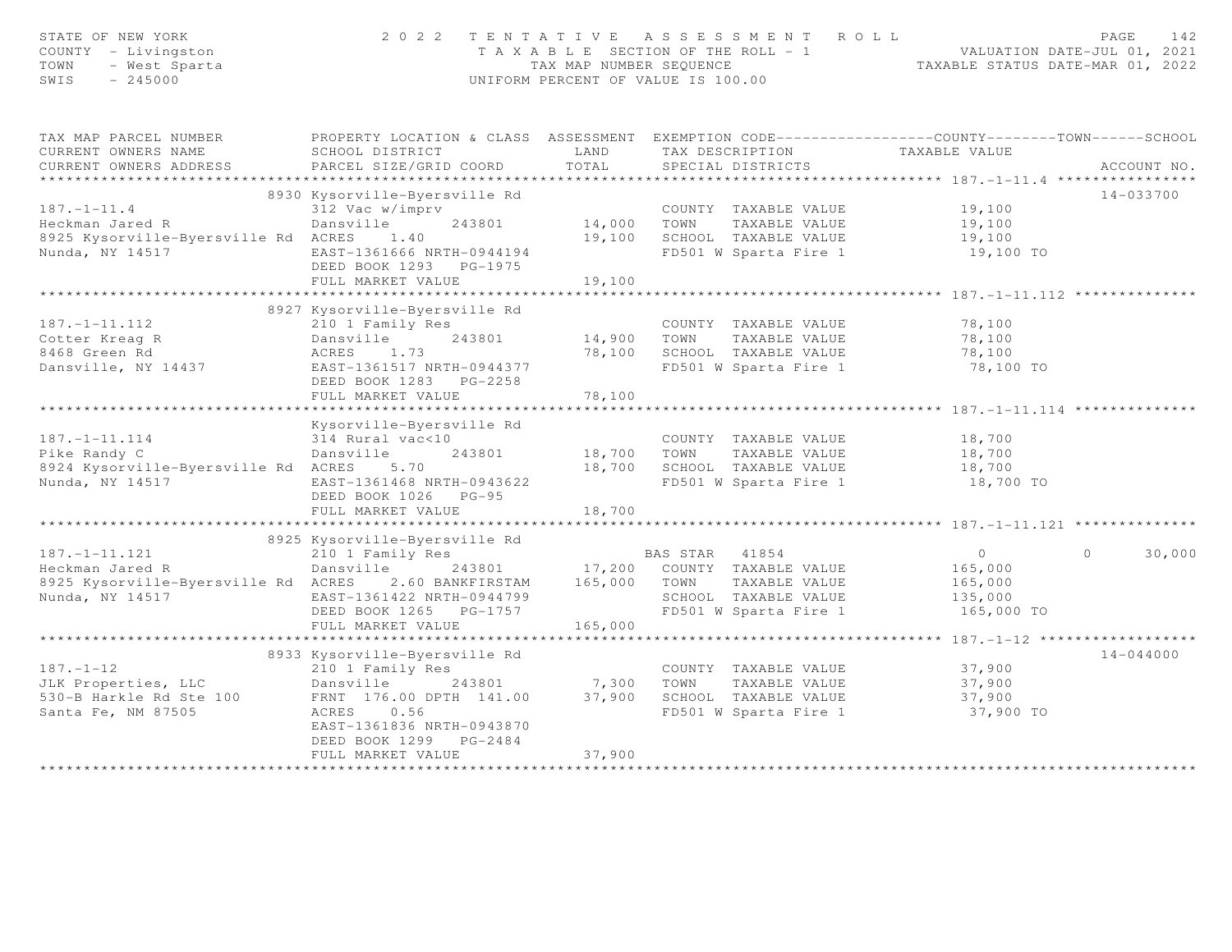| STATE OF NEW YORK<br>COUNTY - Livingston<br>TOWN<br>- West Sparta<br>SWIS<br>$-245000$ | 2 0 2 2                                                                                                             |                       | TENTATIVE ASSESSMENT ROLL<br>T A X A B L E SECTION OF THE ROLL - 1 WALUATION DATE-JUL 01, 2021<br>TAX MAP NUMBER SEQUENCE TAXABLE STATUS DATE-MAR 01, 2022<br>UNIFORM PERCENT OF VALUE IS 100.00 |                  | 142<br>PAGE        |
|----------------------------------------------------------------------------------------|---------------------------------------------------------------------------------------------------------------------|-----------------------|--------------------------------------------------------------------------------------------------------------------------------------------------------------------------------------------------|------------------|--------------------|
| TAX MAP PARCEL NUMBER<br>CURRENT OWNERS NAME                                           | PROPERTY LOCATION & CLASS ASSESSMENT EXEMPTION CODE----------------COUNTY-------TOWN------SCHOOL<br>SCHOOL DISTRICT | LAND                  | TAX DESCRIPTION                                                                                                                                                                                  |                  |                    |
| CURRENT OWNERS ADDRESS                                                                 | PARCEL SIZE/GRID COORD                                                                                              | TOTAL                 | SPECIAL DISTRICTS                                                                                                                                                                                | TAXABLE VALUE    | ACCOUNT NO.        |
|                                                                                        |                                                                                                                     |                       |                                                                                                                                                                                                  |                  |                    |
|                                                                                        | 8930 Kysorville-Byersville Rd                                                                                       |                       |                                                                                                                                                                                                  |                  | $14 - 033700$      |
| $187. - 1 - 11.4$                                                                      | 312 Vac w/imprv                                                                                                     |                       | COUNTY TAXABLE VALUE                                                                                                                                                                             | 19,100           |                    |
| Heckman Jared R                                                                        | Dansville<br>243801                                                                                                 | 14,000 TOWN           | TAXABLE VALUE                                                                                                                                                                                    | 19,100           |                    |
| 8925 Kysorville-Byersville Rd ACRES                                                    | 1.40                                                                                                                |                       | 19,100 SCHOOL TAXABLE VALUE                                                                                                                                                                      | 19,100           |                    |
| Nunda, NY 14517                                                                        | EAST-1361666 NRTH-0944194<br>DEED BOOK 1293 PG-1975                                                                 |                       | FD501 W Sparta Fire 1                                                                                                                                                                            | 19,100 TO        |                    |
|                                                                                        | FULL MARKET VALUE                                                                                                   | 19,100                |                                                                                                                                                                                                  |                  |                    |
|                                                                                        |                                                                                                                     |                       |                                                                                                                                                                                                  |                  |                    |
|                                                                                        | 8927 Kysorville-Byersville Rd                                                                                       |                       |                                                                                                                                                                                                  |                  |                    |
| $187. - 1 - 11.112$                                                                    | 210 1 Family Res                                                                                                    |                       | COUNTY TAXABLE VALUE                                                                                                                                                                             | 78,100           |                    |
| Cotter Kreag R<br>8468 Green Rd                                                        | Dansville 243801<br>ACRES 1.73                                                                                      | 14,900 TOWN<br>78,100 | TAXABLE VALUE<br>SCHOOL TAXABLE VALUE                                                                                                                                                            | 78,100<br>78,100 |                    |
| Dansville, NY 14437                                                                    | EAST-1361517 NRTH-0944377                                                                                           |                       | FD501 W Sparta Fire 1                                                                                                                                                                            | 78,100 TO        |                    |
|                                                                                        | DEED BOOK 1283 PG-2258                                                                                              |                       |                                                                                                                                                                                                  |                  |                    |
|                                                                                        | FULL MARKET VALUE                                                                                                   | 78,100                |                                                                                                                                                                                                  |                  |                    |
|                                                                                        |                                                                                                                     |                       |                                                                                                                                                                                                  |                  |                    |
|                                                                                        | Kysorville-Byersville Rd                                                                                            |                       |                                                                                                                                                                                                  |                  |                    |
| $187. - 1 - 11.114$                                                                    | 314 Rural vac<10                                                                                                    |                       | COUNTY TAXABLE VALUE                                                                                                                                                                             | 18,700           |                    |
| Pike Randy C                                                                           | Dansville<br>243801                                                                                                 |                       | TAXABLE VALUE<br>18,700 TOWN                                                                                                                                                                     | 18,700           |                    |
| 8924 Kysorville-Byersville Rd ACRES                                                    | 5.70                                                                                                                |                       | 18,700 SCHOOL TAXABLE VALUE                                                                                                                                                                      | 18,700           |                    |
| Nunda, NY 14517                                                                        | EAST-1361468 NRTH-0943622                                                                                           |                       | FD501 W Sparta Fire 1                                                                                                                                                                            | 18,700 TO        |                    |
|                                                                                        | DEED BOOK 1026 PG-95                                                                                                |                       |                                                                                                                                                                                                  |                  |                    |
|                                                                                        | FULL MARKET VALUE                                                                                                   | 18,700                |                                                                                                                                                                                                  |                  |                    |
|                                                                                        | 8925 Kysorville-Byersville Rd                                                                                       |                       |                                                                                                                                                                                                  |                  |                    |
| $187. - 1 - 11.121$                                                                    | 210 1 Family Res                                                                                                    |                       | BAS STAR 41854                                                                                                                                                                                   | $\overline{0}$   | $\Omega$<br>30,000 |
| Heckman Jared R                                                                        | Dansville                                                                                                           |                       | 243801 17,200 COUNTY TAXABLE VALUE                                                                                                                                                               | 165,000          |                    |
| 8925 Kysorville-Byersville Rd ACRES 2.60 BANKFIRSTAM                                   |                                                                                                                     | 165,000 TOWN          | TAXABLE VALUE                                                                                                                                                                                    | 165,000          |                    |
| Nunda, NY 14517                                                                        | EAST-1361422 NRTH-0944799                                                                                           |                       | SCHOOL TAXABLE VALUE                                                                                                                                                                             | 135,000          |                    |
|                                                                                        | DEED BOOK 1265 PG-1757                                                                                              |                       | FD501 W Sparta Fire 1                                                                                                                                                                            | 165,000 TO       |                    |
|                                                                                        | FULL MARKET VALUE                                                                                                   | 165,000               |                                                                                                                                                                                                  |                  |                    |
|                                                                                        |                                                                                                                     |                       |                                                                                                                                                                                                  |                  |                    |
|                                                                                        | 8933 Kysorville-Byersville Rd                                                                                       |                       |                                                                                                                                                                                                  |                  | $14 - 044000$      |
| $187. - 1 - 12$                                                                        | 210 1 Family Res                                                                                                    |                       | COUNTY TAXABLE VALUE                                                                                                                                                                             | 37,900           |                    |
| JLK Properties, LLC                                                                    | Dansville 243801                                                                                                    | 7,300 TOWN            | TAXABLE VALUE                                                                                                                                                                                    | 37,900           |                    |
| 530-B Harkle Rd Ste 100                                                                | FRNT 176.00 DPTH 141.00                                                                                             |                       | 37,900 SCHOOL TAXABLE VALUE                                                                                                                                                                      | 37,900           |                    |
| Santa Fe, NM 87505                                                                     | ACRES 0.56<br>EAST-1361836 NRTH-0943870                                                                             |                       | FD501 W Sparta Fire 1                                                                                                                                                                            | 37,900 TO        |                    |
|                                                                                        | DEED BOOK 1299 PG-2484                                                                                              |                       |                                                                                                                                                                                                  |                  |                    |
|                                                                                        | FULL MARKET VALUE                                                                                                   | 37,900                |                                                                                                                                                                                                  |                  |                    |
|                                                                                        |                                                                                                                     |                       |                                                                                                                                                                                                  |                  |                    |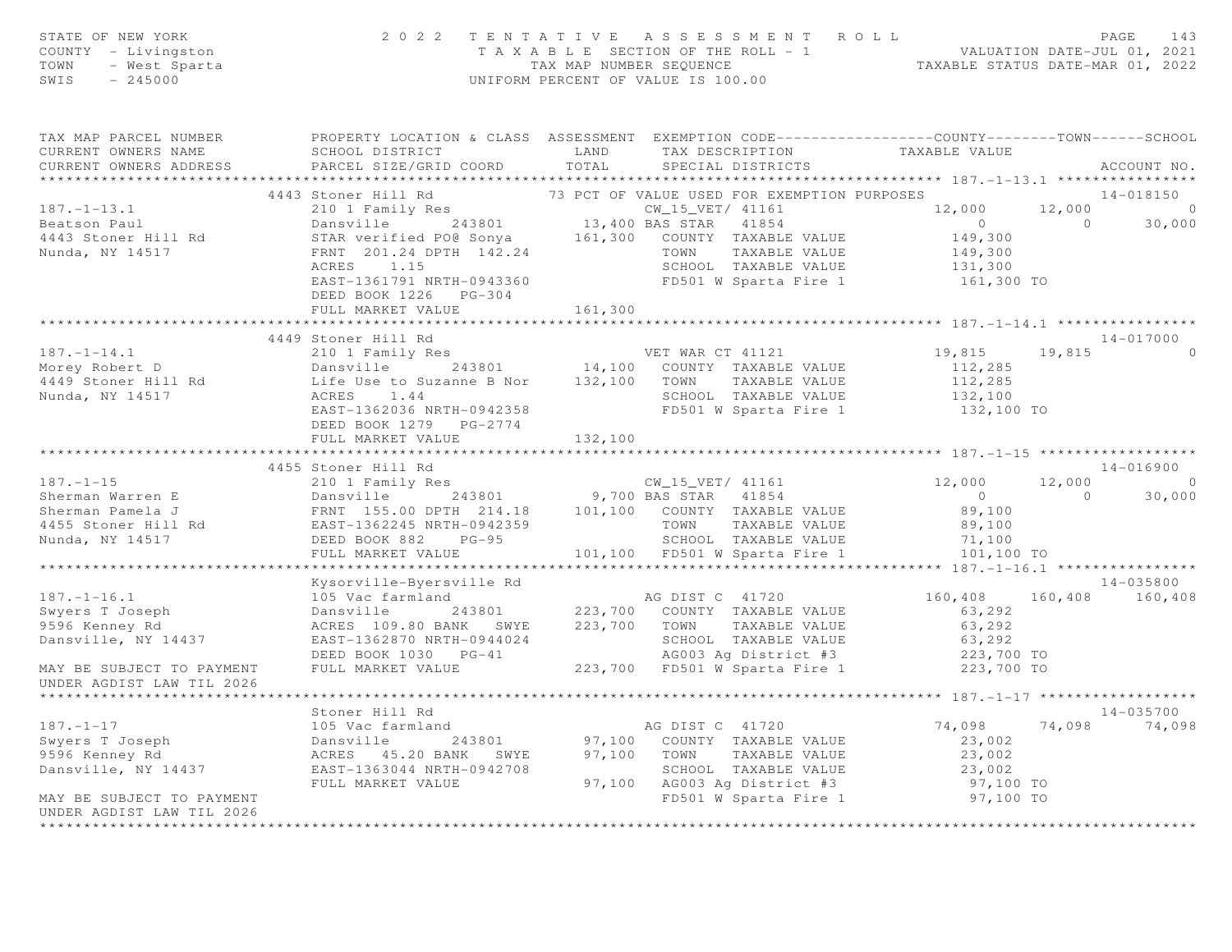| STATE OF NEW YORK<br>OF NEW YORK<br>$Y$ - Livingston<br>- West Sparta<br>245000<br>COUNTY - Livingston<br>TOWN<br>SWIS                                                                                                                               | 2 0 2 2                                                                                     |         | TENTATIVE ASSESSMENT ROLL<br>TAXABLE SECTION OF THE ROLL - 1<br>TAXABLE SECTION OF THE ROLL - 1<br>TAXABLE STATUS DATE-JUL 01, 2021<br>TAXABLE STATUS DATE-MAR 01, 2022<br>UNIFORM PERCENT OF VALUE IS 100.00 |                      | PAGE<br>143            |
|------------------------------------------------------------------------------------------------------------------------------------------------------------------------------------------------------------------------------------------------------|---------------------------------------------------------------------------------------------|---------|---------------------------------------------------------------------------------------------------------------------------------------------------------------------------------------------------------------|----------------------|------------------------|
| TAX MAP PARCEL NUMBER <b>The PROPERTY LOCATION &amp; CLASS</b> ASSESSMENT EXEMPTION CODE---------------COUNTY-------TOWN-----SCHOOL<br>CURRENT OWNERS NAME                                                                                           | SCHOOL DISTRICT                   LAND        TAX DESCRIPTION                 TAXABLE VALUE |         |                                                                                                                                                                                                               |                      |                        |
| CURRENT OWNERS ADDRESS                                                                                                                                                                                                                               | PARCEL SIZE/GRID COORD TOTAL                                                                |         | SPECIAL DISTRICTS                                                                                                                                                                                             |                      | ACCOUNT NO.            |
|                                                                                                                                                                                                                                                      |                                                                                             |         |                                                                                                                                                                                                               |                      |                        |
|                                                                                                                                                                                                                                                      | 4443 Stoner Hill Rd 73 PCT OF VALUE USED FOR EXEMPTION PURPOSES                             |         |                                                                                                                                                                                                               |                      | 14-018150              |
| 4443 Stoner Hill Ku (2013)<br>210 1 Family Res<br>243801 243801 13,400 BAS STAR 41854<br>26 Seatson Paul Dansville 243801 13,400 BAS STAR 41854<br>26 STAR verified PO@ Sonya 161,300 COUNTY TAXABLE VALUE<br>201.24 DPTH 142.24 TOWN TA             |                                                                                             |         |                                                                                                                                                                                                               | 12,000               | $12,000$ 0<br>0 30,000 |
|                                                                                                                                                                                                                                                      |                                                                                             |         |                                                                                                                                                                                                               | $0$<br>149,300       |                        |
|                                                                                                                                                                                                                                                      |                                                                                             |         |                                                                                                                                                                                                               |                      |                        |
|                                                                                                                                                                                                                                                      |                                                                                             |         | TOWN TAXABLE VALUE                                                                                                                                                                                            | 149,300<br>131,300   |                        |
|                                                                                                                                                                                                                                                      |                                                                                             |         |                                                                                                                                                                                                               |                      |                        |
|                                                                                                                                                                                                                                                      | EAST-1361791 NRTH-0943360                                                                   |         |                                                                                                                                                                                                               |                      |                        |
|                                                                                                                                                                                                                                                      | DEED BOOK 1226 PG-304<br>FULL MARKET VALUE                                                  | 161,300 |                                                                                                                                                                                                               |                      |                        |
|                                                                                                                                                                                                                                                      |                                                                                             |         |                                                                                                                                                                                                               |                      |                        |
|                                                                                                                                                                                                                                                      | 4449 Stoner Hill Rd                                                                         |         |                                                                                                                                                                                                               |                      | 14-017000              |
| $187. - 1 - 14.1$                                                                                                                                                                                                                                    |                                                                                             |         |                                                                                                                                                                                                               | 19,815               | 19,815 0               |
|                                                                                                                                                                                                                                                      |                                                                                             |         |                                                                                                                                                                                                               |                      |                        |
|                                                                                                                                                                                                                                                      |                                                                                             |         |                                                                                                                                                                                                               |                      |                        |
|                                                                                                                                                                                                                                                      |                                                                                             |         |                                                                                                                                                                                                               |                      |                        |
|                                                                                                                                                                                                                                                      | EAST-1362036 NRTH-0942358                                                                   |         |                                                                                                                                                                                                               |                      |                        |
|                                                                                                                                                                                                                                                      | DEED BOOK 1279 PG-2774                                                                      |         |                                                                                                                                                                                                               |                      |                        |
|                                                                                                                                                                                                                                                      | FULL MARKET VALUE 132,100                                                                   |         |                                                                                                                                                                                                               |                      |                        |
|                                                                                                                                                                                                                                                      |                                                                                             |         |                                                                                                                                                                                                               |                      |                        |
|                                                                                                                                                                                                                                                      | 4455 Stoner Hill Rd                                                                         |         |                                                                                                                                                                                                               |                      | $14 - 016900$          |
| 4455 Stoner Hill Rd<br>210 1 Family Res<br>Sherman Warren E Dansville 243801 9,700 BAS STAR 41854 0<br>Sherman Pamela J FRNT 155.00 DPTH 214.18 101,100 COUNTY TAXABLE VALUE 89,100<br>4455 Stoner Hill Rd EAST-1362245 NRTH-0942359 T               |                                                                                             |         |                                                                                                                                                                                                               |                      | $12,000$ 0<br>0 30,000 |
|                                                                                                                                                                                                                                                      |                                                                                             |         |                                                                                                                                                                                                               |                      |                        |
|                                                                                                                                                                                                                                                      |                                                                                             |         |                                                                                                                                                                                                               |                      |                        |
|                                                                                                                                                                                                                                                      |                                                                                             |         |                                                                                                                                                                                                               |                      |                        |
|                                                                                                                                                                                                                                                      | FULL MARKET VALUE                                                                           |         | $101,100$ FD501 W Sparta Fire 1 $101,100$ TO                                                                                                                                                                  |                      |                        |
|                                                                                                                                                                                                                                                      |                                                                                             |         |                                                                                                                                                                                                               |                      |                        |
|                                                                                                                                                                                                                                                      | Kysorville-Byersville Rd                                                                    |         |                                                                                                                                                                                                               |                      | $14 - 035800$          |
| $187. - 1 - 16.1$                                                                                                                                                                                                                                    | 105 Vac farmland                                                                            |         | AG DIST C 41720                                                                                                                                                                                               | 160,408              | 160,408 160,408        |
|                                                                                                                                                                                                                                                      | Dansville 243801                                                                            |         | 223,700 COUNTY TAXABLE VALUE                                                                                                                                                                                  | 63,292               |                        |
| swyers T Joseph<br>9596 Kenney Rd                                                                                                                                                                                                                    | ACRES 109.80 BANK SWYE 223,700 TOWN TAXABLE VALUE                                           |         |                                                                                                                                                                                                               | 63,292               |                        |
| Dansville, NY 14437                                                                                                                                                                                                                                  |                                                                                             |         |                                                                                                                                                                                                               |                      |                        |
|                                                                                                                                                                                                                                                      | EAST-1362870 NRTH-0944024<br>EAST-1362870 NRTH-0944024<br>DEED BOOK 1030 PG-41              |         |                                                                                                                                                                                                               |                      |                        |
| MAY BE SUBJECT TO PAYMENT                                                                                                                                                                                                                            | FULL MARKET VALUE 223,700 FD501 W Sparta Fire 1 223,700 TO                                  |         |                                                                                                                                                                                                               |                      |                        |
| UNDER AGDIST LAW TIL 2026                                                                                                                                                                                                                            |                                                                                             |         |                                                                                                                                                                                                               |                      |                        |
|                                                                                                                                                                                                                                                      |                                                                                             |         |                                                                                                                                                                                                               |                      |                        |
|                                                                                                                                                                                                                                                      | Stoner Hill Rd                                                                              |         |                                                                                                                                                                                                               |                      | 14-035700              |
|                                                                                                                                                                                                                                                      |                                                                                             |         |                                                                                                                                                                                                               | 74,098 74,098 74,098 |                        |
|                                                                                                                                                                                                                                                      |                                                                                             |         |                                                                                                                                                                                                               | 23,002               |                        |
|                                                                                                                                                                                                                                                      |                                                                                             |         |                                                                                                                                                                                                               | 23,002               |                        |
|                                                                                                                                                                                                                                                      |                                                                                             |         |                                                                                                                                                                                                               |                      |                        |
|                                                                                                                                                                                                                                                      |                                                                                             |         | TOWN TAXABLE VALUE<br>SCHOOL TAXABLE VALUE 23,002<br>10003 Ag District #3 97,100 TO                                                                                                                           |                      |                        |
| 317.-1-17<br>3187.-1-17<br>3105 Vac farmland<br>3105 Vac farmland<br>3105 Vac farmland<br>3105 Vac farmland<br>3105 Vac farmland<br>316 243801<br>37,100 COUNTY TAXABLE VALUE<br>37,100 TOWN TAXABLE VALUE<br>37,100 TOWN TAXABLE VALUE<br>320 SCHOO |                                                                                             |         |                                                                                                                                                                                                               | 97,100 TO            |                        |
| UNDER AGDIST LAW TIL 2026<br>*************************                                                                                                                                                                                               |                                                                                             |         |                                                                                                                                                                                                               |                      |                        |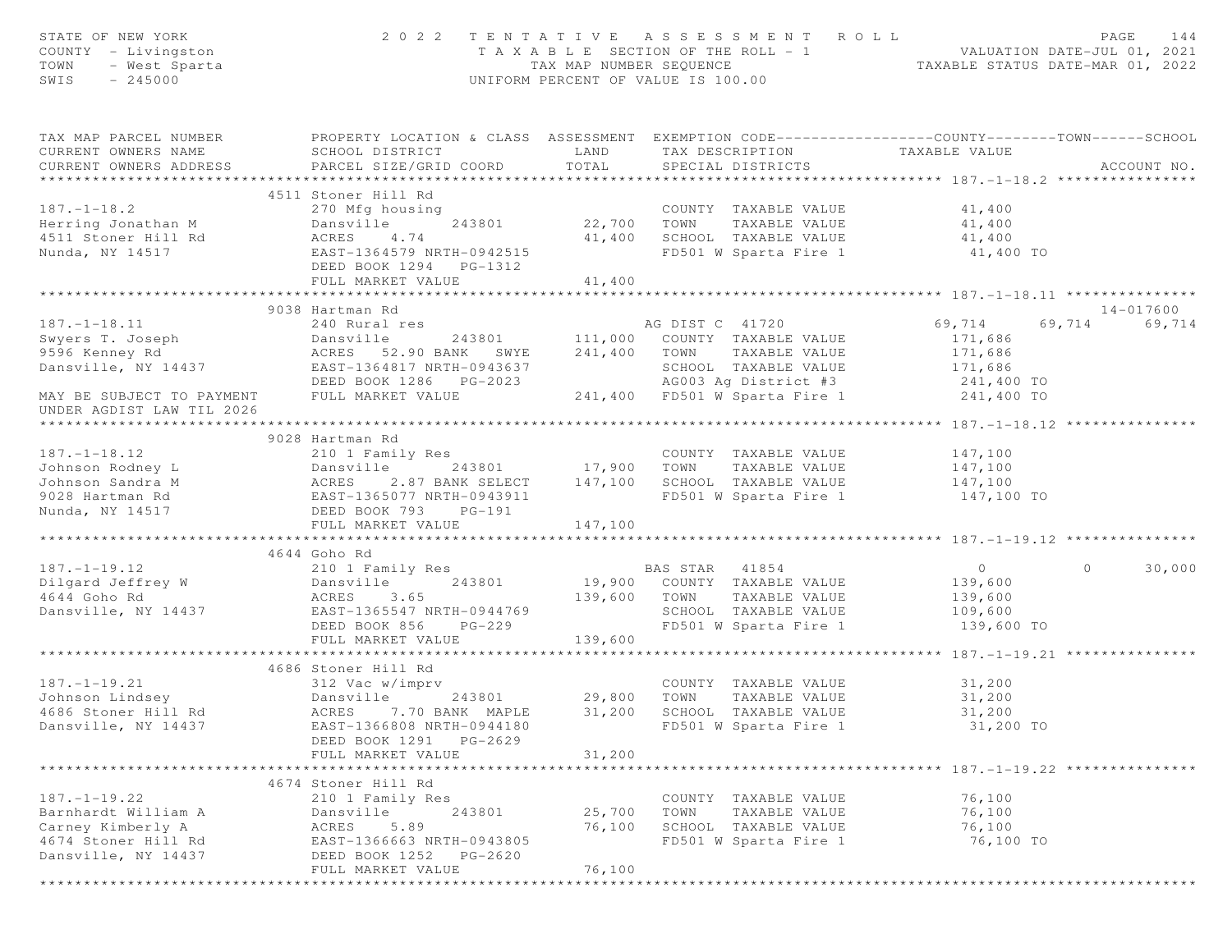| STATE OF NEW YORK<br>COUNTY - Livingston<br>TOWN<br>- West Sparta<br>$-245000$<br>SWIS | 2 0 2 2                                                                                                                                       | TAX MAP NUMBER SEOUENCE   | TENTATIVE ASSESSMENT ROLL<br>T A X A B L E SECTION OF THE ROLL - 1<br>UNIFORM PERCENT OF VALUE IS 100.00 | ROLL - 1 VALUATION DATE-JUL 01, 2021<br>TAXABLE STATUS DATE-MAR 01, 2022 | PAGE<br>144        |
|----------------------------------------------------------------------------------------|-----------------------------------------------------------------------------------------------------------------------------------------------|---------------------------|----------------------------------------------------------------------------------------------------------|--------------------------------------------------------------------------|--------------------|
| TAX MAP PARCEL NUMBER<br>CURRENT OWNERS NAME<br>CURRENT OWNERS ADDRESS                 | PROPERTY LOCATION & CLASS ASSESSMENT EXEMPTION CODE----------------COUNTY-------TOWN------SCHOOL<br>SCHOOL DISTRICT<br>PARCEL SIZE/GRID COORD | LAND<br>TOTAL             | TAX DESCRIPTION<br>SPECIAL DISTRICTS                                                                     | TAXABLE VALUE                                                            | ACCOUNT NO.        |
|                                                                                        |                                                                                                                                               |                           |                                                                                                          |                                                                          |                    |
|                                                                                        | 4511 Stoner Hill Rd                                                                                                                           |                           |                                                                                                          |                                                                          |                    |
| $187. - 1 - 18.2$                                                                      | 270 Mfg housing                                                                                                                               | 22,700                    | COUNTY TAXABLE VALUE                                                                                     | 41,400                                                                   |                    |
| Herring Jonathan M<br>4511 Stoner Hill Rd                                              | Dansville<br>243801<br>ACRES<br>4.74                                                                                                          | 41,400                    | TAXABLE VALUE<br>TOWN<br>SCHOOL TAXABLE VALUE                                                            | 41,400<br>41,400                                                         |                    |
| Nunda, NY 14517                                                                        | EAST-1364579 NRTH-0942515                                                                                                                     |                           | FD501 W Sparta Fire 1                                                                                    | 41,400 TO                                                                |                    |
|                                                                                        | DEED BOOK 1294 PG-1312<br>FULL MARKET VALUE                                                                                                   | 41,400                    |                                                                                                          |                                                                          |                    |
|                                                                                        |                                                                                                                                               |                           |                                                                                                          |                                                                          |                    |
|                                                                                        | 9038 Hartman Rd                                                                                                                               |                           |                                                                                                          |                                                                          | 14-017600          |
| $187. - 1 - 18.11$                                                                     | 240 Rural res                                                                                                                                 |                           | AG DIST C 41720                                                                                          | 69,714                                                                   | 69,714<br>69,714   |
| Swyers T. Joseph                                                                       | Dansville<br>243801                                                                                                                           |                           | 111,000 COUNTY TAXABLE VALUE                                                                             | 171,686                                                                  |                    |
| 9596 Kenney Rd                                                                         | ACRES<br>52.90 BANK SWYE                                                                                                                      | 241,400                   | TOWN<br>TAXABLE VALUE                                                                                    | 171,686                                                                  |                    |
| Dansville, NY 14437                                                                    | EAST-1364817 NRTH-0943637                                                                                                                     |                           | SCHOOL TAXABLE VALUE                                                                                     | 171,686                                                                  |                    |
|                                                                                        | DEED BOOK 1286 PG-2023                                                                                                                        |                           | AG003 Ag District #3                                                                                     | 241,400 TO                                                               |                    |
| MAY BE SUBJECT TO PAYMENT<br>UNDER AGDIST LAW TIL 2026                                 | FULL MARKET VALUE                                                                                                                             |                           | 241,400 FD501 W Sparta Fire 1                                                                            | 241,400 TO                                                               |                    |
|                                                                                        |                                                                                                                                               |                           |                                                                                                          |                                                                          |                    |
|                                                                                        | 9028 Hartman Rd                                                                                                                               |                           |                                                                                                          |                                                                          |                    |
| $187. - 1 - 18.12$                                                                     | 210 1 Family Res                                                                                                                              | 17,900                    | COUNTY TAXABLE VALUE                                                                                     | 147,100                                                                  |                    |
| Johnson Rodney L                                                                       | 243801<br>Dansville                                                                                                                           |                           | TOWN<br>TAXABLE VALUE                                                                                    | 147,100                                                                  |                    |
| Johnson Sandra M                                                                       |                                                                                                                                               | 147,100                   | SCHOOL TAXABLE VALUE                                                                                     | 147,100                                                                  |                    |
| 9028 Hartman Rd                                                                        |                                                                                                                                               |                           | FD501 W Sparta Fire 1                                                                                    | 147,100 TO                                                               |                    |
| Nunda, NY 14517                                                                        | ACRES 2.8/ DAMA -<br>EAST-1365077 NRTH-0943911<br>--- 2020 PG-191<br>FULL MARKET VALUE                                                        | 147,100                   |                                                                                                          |                                                                          |                    |
|                                                                                        |                                                                                                                                               |                           |                                                                                                          |                                                                          |                    |
|                                                                                        | 4644 Goho Rd                                                                                                                                  |                           |                                                                                                          |                                                                          |                    |
| $187. - 1 - 19.12$                                                                     | 210 1 Family Res                                                                                                                              |                           | BAS STAR<br>41854                                                                                        | $\overline{0}$                                                           | 30,000<br>$\Omega$ |
| Dilgard Jeffrey W                                                                      | Dansville<br>243801                                                                                                                           |                           | 19,900 COUNTY TAXABLE VALUE                                                                              | 139,600                                                                  |                    |
| 4644 Goho Rd                                                                           | ACRES<br>3.65                                                                                                                                 | 139,600                   | TOWN<br>TAXABLE VALUE                                                                                    | 139,600                                                                  |                    |
| Dansville, NY 14437                                                                    | EAST-1365547 NRTH-0944769                                                                                                                     |                           | SCHOOL TAXABLE VALUE                                                                                     | 109,600                                                                  |                    |
|                                                                                        | DEED BOOK 856<br>$PG-229$                                                                                                                     |                           | FD501 W Sparta Fire 1                                                                                    | 139,600 TO                                                               |                    |
|                                                                                        | FULL MARKET VALUE                                                                                                                             | 139,600                   |                                                                                                          |                                                                          |                    |
|                                                                                        |                                                                                                                                               |                           |                                                                                                          |                                                                          |                    |
|                                                                                        | 4686 Stoner Hill Rd                                                                                                                           |                           |                                                                                                          |                                                                          |                    |
| $187. - 1 - 19.21$                                                                     | 312 Vac w/imprv                                                                                                                               |                           | COUNTY TAXABLE VALUE                                                                                     | 31,200                                                                   |                    |
| Johnson Lindsey                                                                        | Dansville<br>243801                                                                                                                           | 29,800                    | TOWN<br>TAXABLE VALUE                                                                                    | 31,200                                                                   |                    |
| 4686 Stoner Hill Rd                                                                    | ACRES 7.70 BANK MAPLE                                                                                                                         | 31,200                    | SCHOOL TAXABLE VALUE                                                                                     | 31,200                                                                   |                    |
| Dansville, NY 14437                                                                    | EAST-1366808 NRTH-0944180<br>DEED BOOK 1291<br>PG-2629                                                                                        |                           | FD501 W Sparta Fire 1                                                                                    | 31,200 TO                                                                |                    |
|                                                                                        | FULL MARKET VALUE                                                                                                                             | 31,200<br>* * * * * * * * |                                                                                                          | *********************** 187. -1-19. 22 ***************                   |                    |
|                                                                                        | 4674 Stoner Hill Rd                                                                                                                           |                           |                                                                                                          |                                                                          |                    |
| $187. - 1 - 19.22$                                                                     | 210 1 Family Res                                                                                                                              |                           | COUNTY TAXABLE VALUE                                                                                     | 76,100                                                                   |                    |
| Barnhardt William A                                                                    | 243801<br>Dansville                                                                                                                           | 25,700                    | TOWN<br>TAXABLE VALUE                                                                                    | 76,100                                                                   |                    |
| Carney Kimberly A                                                                      | 5.89                                                                                                                                          | 76,100                    | SCHOOL TAXABLE VALUE                                                                                     | 76,100                                                                   |                    |
| 4674 Stoner Hill Rd                                                                    | ACRES                                                                                                                                         |                           |                                                                                                          | 76,100 TO                                                                |                    |
| Dansville, NY 14437                                                                    | EAST-1366663 NRTH-0943805<br>DEED BOOK 1252<br>PG-2620                                                                                        |                           | FD501 W Sparta Fire 1                                                                                    |                                                                          |                    |
|                                                                                        | FULL MARKET VALUE                                                                                                                             | 76,100                    |                                                                                                          |                                                                          |                    |
|                                                                                        | *****************************                                                                                                                 | ********************      |                                                                                                          |                                                                          |                    |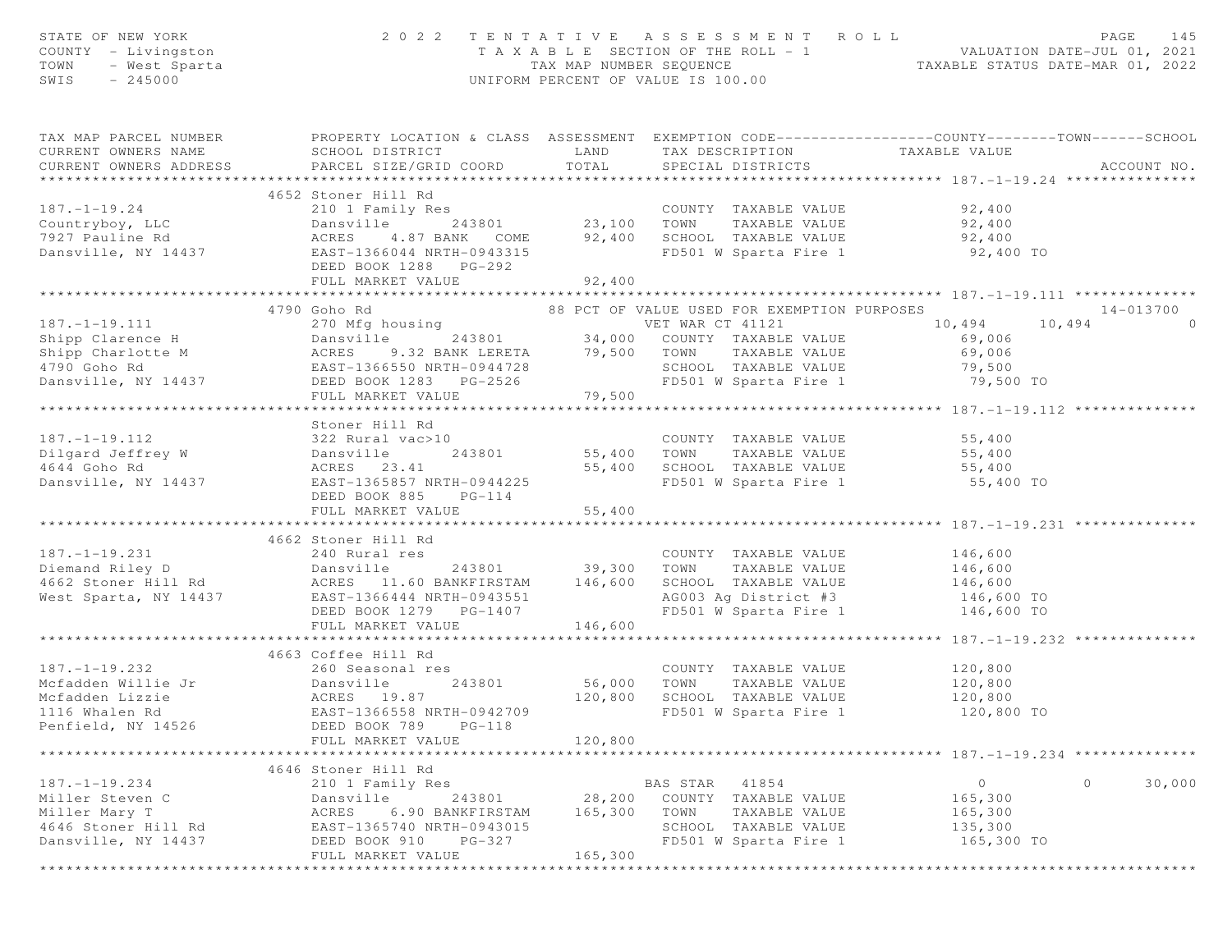| STATE OF NEW YORK<br>COUNTY - Livingston<br>- West Sparta<br>TOWN<br>$-245000$<br>SWIS                                                                                                                                               | 2022 TENTATIVE ASSESSMENT ROLL                                                                                                                      |                              |                                      |                                                                                        | T A X A B L E SECTION OF THE ROLL - 1 WALUATION DATE-JUL 01, 2021<br>TAX MAP NUMBER SEQUENCE TAXABLE STATUS DATE-MAR 01, 2022<br>UNIFORM PERCENT OF VALUE IS 100.00 | PAGE<br>145       |
|--------------------------------------------------------------------------------------------------------------------------------------------------------------------------------------------------------------------------------------|-----------------------------------------------------------------------------------------------------------------------------------------------------|------------------------------|--------------------------------------|----------------------------------------------------------------------------------------|---------------------------------------------------------------------------------------------------------------------------------------------------------------------|-------------------|
| TAX MAP PARCEL NUMBER PROPERTY LOCATION & CLASS ASSESSMENT EXEMPTION CODE----------------COUNTY--------TOWN------SCHOOL<br>CURRENT OWNERS NAME<br>CURRENT OWNERS ADDRESS PARCEL SIZE/GRID COORD                                      | SCHOOL DISTRICT                                                                                                                                     | TOTAL                        | SPECIAL DISTRICTS                    |                                                                                        | LAND TAX DESCRIPTION TAXABLE VALUE                                                                                                                                  | ACCOUNT NO.       |
|                                                                                                                                                                                                                                      | 4652 Stoner Hill Rd                                                                                                                                 |                              |                                      |                                                                                        |                                                                                                                                                                     |                   |
| $187. - 1 - 19.24$                                                                                                                                                                                                                   | DEED BOOK 1288 PG-292<br>FULL MARKET VALUE                                                                                                          | 92,400                       |                                      |                                                                                        | 92,400<br>92,400<br>4.87 BANK COME 92,400 SCHOOL TAXABLE VALUE 92,400 92,400<br>366044 NRTH-0943315 FD501 W Sparta Fire 1 92,400 TO                                 |                   |
|                                                                                                                                                                                                                                      |                                                                                                                                                     |                              |                                      |                                                                                        | ************************* 187.-1-19.111 **************                                                                                                              |                   |
|                                                                                                                                                                                                                                      | 4790 Goho Rd                                                                                                                                        |                              |                                      |                                                                                        | 88 PCT OF VALUE USED FOR EXEMPTION PURPOSES                                                                                                                         | 14-013700         |
| 187.-1-19.111 10.494 10<br>Shipp Clarence H Dansville 243801 34,000 COUNTY TAXABLE VALUE 69,006<br>Shipp Charlotte M ACRES 9.32 BANK LERETA 79,500 TOWN TAXABLE VALUE 69,006<br>4790 Goho Rd EAST-1366550 NRTH-0944728 SCHOOL TAXABL | FULL MARKET VALUE                                                                                                                                   | 79,500                       |                                      |                                                                                        | VET WAR CT 41121 10,494 10,494                                                                                                                                      | $\Omega$          |
|                                                                                                                                                                                                                                      | Stoner Hill Rd                                                                                                                                      |                              |                                      |                                                                                        |                                                                                                                                                                     |                   |
| $187. - 1 - 19.112$<br>Dilgard Jeffrey W Dansville 243801<br>1644 Goho Rd ACRES 23.41<br>Dansville, NY 14437 EAST-1365857 NRTH-0944225                                                                                               | 322 Rural vac>10<br>DEED BOOK 885 PG-114                                                                                                            |                              |                                      | 55,400 SCHOOL TAXABLE VALUE<br>FD501 W Sparta Fire 1                                   | COUNTY TAXABLE VALUE 55,400<br>243801 55,400 TOWN TAXABLE VALUE 55,400<br>55,400 SCHOOL TAXABLE VALUE 55,400<br>FD501 W Sparta Fire 1 55,400 TO                     |                   |
|                                                                                                                                                                                                                                      | FULL MARKET VALUE                                                                                                                                   | 55,400                       |                                      |                                                                                        |                                                                                                                                                                     |                   |
|                                                                                                                                                                                                                                      |                                                                                                                                                     |                              |                                      |                                                                                        |                                                                                                                                                                     |                   |
| $187. - 1 - 19.231$                                                                                                                                                                                                                  | 4662 Stoner Hill Rd<br>240 Rural res<br>DEED BOOK 1279 PG-1407<br>FULL MARKET VALUE                                                                 | 243801 39,300<br>146,600     | TOWN                                 | COUNTY TAXABLE VALUE<br>TAXABLE VALUE                                                  | 146,600<br>146,600<br>SCHOOL TAXABLE VALUE 146,600<br>AG003 Ag District #3 146,600 TO<br>FD501 W Sparta Fire 1 $146,600$ TO                                         |                   |
|                                                                                                                                                                                                                                      | 4663 Coffee Hill Rd                                                                                                                                 |                              |                                      |                                                                                        |                                                                                                                                                                     |                   |
| $187. - 1 - 19.232$<br>1116 Whalen Rd<br>Penfield, NY 14526                                                                                                                                                                          | 260 Seasonal res<br>243801<br>EAST-1366558 NRTH-0942709<br>$PG-118$<br>DEED BOOK 789<br>FULL MARKET VALUE                                           | 56,000<br>120,800<br>120,800 | TOWN                                 | COUNTY TAXABLE VALUE<br>TAXABLE VALUE<br>SCHOOL TAXABLE VALUE<br>FD501 W Sparta Fire 1 | 120,800<br>120,800<br>120,800<br>120,800 TO                                                                                                                         |                   |
| *********************                                                                                                                                                                                                                | *******************                                                                                                                                 |                              |                                      |                                                                                        | ************************************* 187. -1-19.234 **************                                                                                                 |                   |
| $187. - 1 - 19.234$<br>Miller Steven C<br>Miller Mary T<br>4646 Stoner Hill Rd<br>Dansville, NY 14437                                                                                                                                | 4646 Stoner Hill Rd<br>210 1 Family Res<br>Dansville<br>243801<br>ACRES<br>6.90 BANKFIRSTAM<br>EAST-1365740 NRTH-0943015<br>DEED BOOK 910<br>PG-327 | 28,200<br>165,300            | BAS STAR<br>COUNTY<br>TOWN<br>SCHOOL | 41854<br>TAXABLE VALUE<br>TAXABLE VALUE<br>TAXABLE VALUE<br>FD501 W Sparta Fire 1      | $\circ$<br>165,300<br>165,300<br>135,300<br>165,300 TO                                                                                                              | $\circ$<br>30,000 |
|                                                                                                                                                                                                                                      | FULL MARKET VALUE                                                                                                                                   | 165,300                      |                                      |                                                                                        |                                                                                                                                                                     |                   |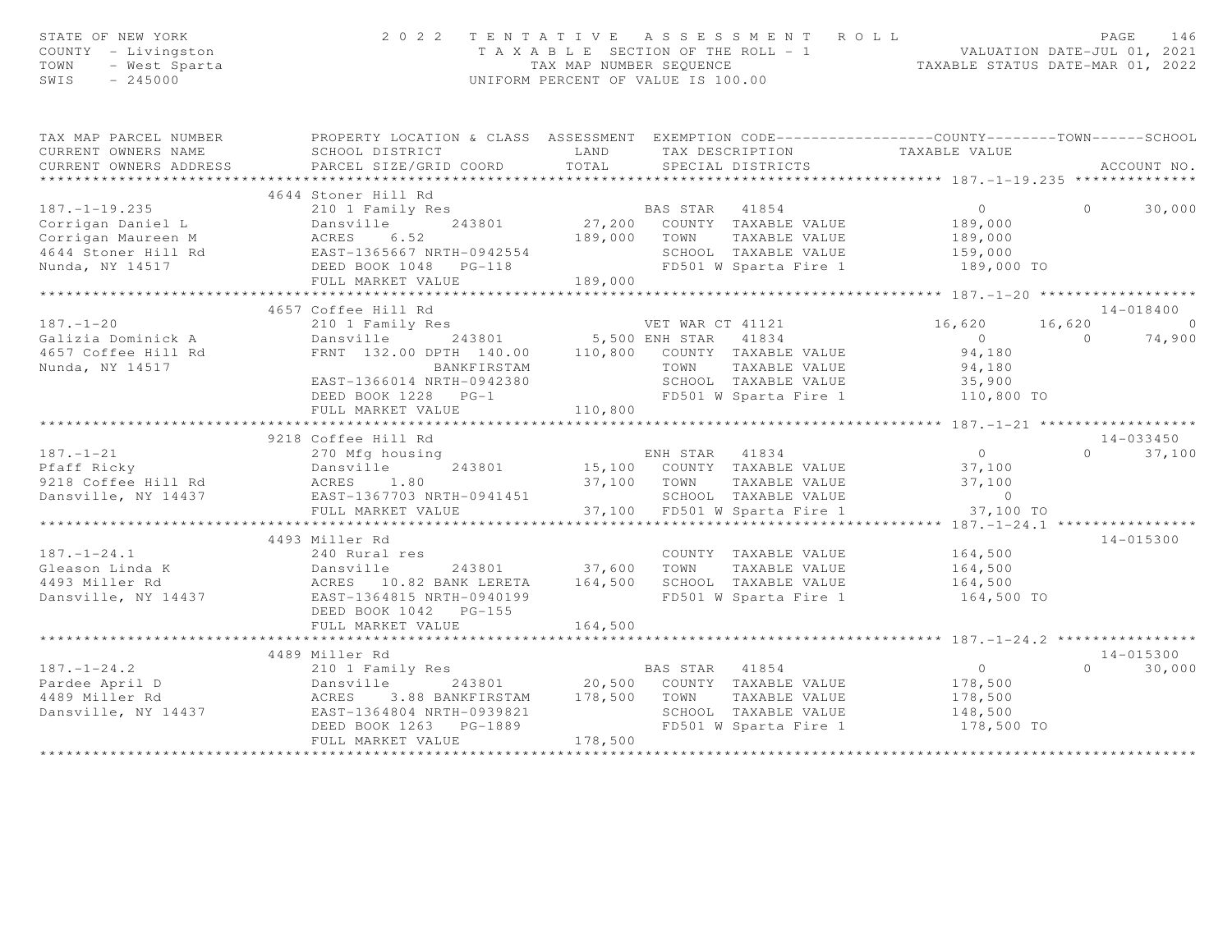| STATE OF NEW YORK<br>COUNTY - Livingston<br>F NEW YORK<br>- Livingston<br>- West Sparta<br>- 245000<br>TOWN<br>SWIS<br>$-245000$ | 2 0 2 2                                                                                                                                                                                                                                                                    | UNIFORM PERCENT OF VALUE IS 100.00 |             | TENTATIVE ASSESSMENT ROLL                             | T A X A B L E SECTION OF THE ROLL - 1<br>TAX MAP NUMBER SEQUENCE<br>TAXABLE STATUS DATE-MAR 01, 2022 |          | 146<br>PAGE   |
|----------------------------------------------------------------------------------------------------------------------------------|----------------------------------------------------------------------------------------------------------------------------------------------------------------------------------------------------------------------------------------------------------------------------|------------------------------------|-------------|-------------------------------------------------------|------------------------------------------------------------------------------------------------------|----------|---------------|
| TAX MAP PARCEL NUMBER                                                                                                            | PROPERTY LOCATION & CLASS ASSESSMENT EXEMPTION CODE----------------COUNTY-------TOWN------SCHOOL                                                                                                                                                                           |                                    |             |                                                       |                                                                                                      |          |               |
| CURRENT OWNERS NAME                                                                                                              | SCHOOL DISTRICT                                                                                                                                                                                                                                                            | LAND                               |             |                                                       | TAX DESCRIPTION TAXABLE VALUE<br>SPECIAL DISTRICTS                                                   |          |               |
| CURRENT OWNERS ADDRESS                                                                                                           | PARCEL SIZE/GRID COORD                                                                                                                                                                                                                                                     | TOTAL                              |             |                                                       |                                                                                                      |          | ACCOUNT NO.   |
|                                                                                                                                  | 4644 Stoner Hill Rd                                                                                                                                                                                                                                                        |                                    |             |                                                       |                                                                                                      |          |               |
|                                                                                                                                  |                                                                                                                                                                                                                                                                            |                                    |             |                                                       | $\overline{0}$                                                                                       | $\Omega$ | 30,000        |
|                                                                                                                                  |                                                                                                                                                                                                                                                                            |                                    |             |                                                       | 189,000                                                                                              |          |               |
|                                                                                                                                  |                                                                                                                                                                                                                                                                            |                                    |             | 189,000 TOWN TAXABLE VALUE                            | 189,000                                                                                              |          |               |
|                                                                                                                                  |                                                                                                                                                                                                                                                                            |                                    |             |                                                       |                                                                                                      |          |               |
|                                                                                                                                  |                                                                                                                                                                                                                                                                            |                                    |             |                                                       | 4 SCHOOL TAXABLE VALUE 159,000<br>FD501 W Sparta Fire 1 189,000<br>189,000 TO                        |          |               |
|                                                                                                                                  | 187.-1-19.235<br>Corrigan Daniel L<br>Corrigan Maureen M<br>4644 Stoner Hill Rd<br>Notes 6.52<br>4644 Stoner Hill Rd<br>Notes BOOK 1048 PG-118<br>Notes DEED BOOK 1048 PG-118<br>Notes Notes Notes PG-118<br>Notes Notes Notes Notes Notes Notes                           | 189,000                            |             |                                                       |                                                                                                      |          |               |
|                                                                                                                                  |                                                                                                                                                                                                                                                                            |                                    |             |                                                       |                                                                                                      |          |               |
|                                                                                                                                  | 4657 Coffee Hill Rd<br>210 1 Family Res New YET WAR CT 41121                                                                                                                                                                                                               |                                    |             |                                                       |                                                                                                      |          | 14-018400     |
| $187. - 1 - 20$                                                                                                                  |                                                                                                                                                                                                                                                                            |                                    |             |                                                       | 16,620                                                                                               |          | $16,620$ 0    |
| Galizia Dominick A                                                                                                               | Dansville 243801 5,500 ENH STAR 41834<br>FRNT 132.00 DPTH 140.00 110,800 COUNTY TAXABLE VALUE                                                                                                                                                                              |                                    |             |                                                       | $0$<br>94,180                                                                                        |          | $0 \t 74,900$ |
| 4657 Coffee Hill Rd<br>Nunda, NY 14517                                                                                           | BANKFIRSTAM                                                                                                                                                                                                                                                                |                                    |             |                                                       | 94,180                                                                                               |          |               |
|                                                                                                                                  | EAST-1366014 NRTH-0942380                                                                                                                                                                                                                                                  |                                    |             | COUNTY IAAADDD .<br>TOWN TAXABLE VALUE -- WADJE VALUE |                                                                                                      |          |               |
|                                                                                                                                  | DEED BOOK 1228 PG-1                                                                                                                                                                                                                                                        |                                    |             |                                                       | SCHOOL TAXABLE VALUE 194,180<br>SCHOOL TAXABLE VALUE 35,900<br>FD501 W Sparta Fire 1 110,800 TO      |          |               |
|                                                                                                                                  | FULL MARKET VALUE                                                                                                                                                                                                                                                          | 110,800                            |             |                                                       |                                                                                                      |          |               |
|                                                                                                                                  |                                                                                                                                                                                                                                                                            |                                    |             |                                                       |                                                                                                      |          |               |
|                                                                                                                                  | 9218 Coffee Hill Rd                                                                                                                                                                                                                                                        |                                    |             |                                                       |                                                                                                      |          | 14-033450     |
| $187. - 1 - 21$                                                                                                                  | 270 Mfg housing<br>187.-1-21 270 Mfg housing<br>Pfaff Ricky Dansville 243801<br>9218 Coffee Hill Rd ACRES 1.80<br>Dansville, NY 14437 EAST-1367703 NRTH-0941451                                                                                                            |                                    |             |                                                       | 15,100 ENH STAR 41834 0<br>243801 15,100 COUNTY TAXABLE VALUE 37,100                                 |          | $0 \t 37,100$ |
|                                                                                                                                  |                                                                                                                                                                                                                                                                            |                                    |             |                                                       |                                                                                                      |          |               |
|                                                                                                                                  |                                                                                                                                                                                                                                                                            |                                    | 37,100 TOWN | TAXABLE VALUE                                         | 37,100                                                                                               |          |               |
|                                                                                                                                  |                                                                                                                                                                                                                                                                            |                                    |             |                                                       | SCHOOL TAXABLE VALUE 60                                                                              |          |               |
|                                                                                                                                  | FULL MARKET VALUE                                                                                                                                                                                                                                                          |                                    |             | 37,100 FD501 W Sparta Fire 1                          | 37,100 TO                                                                                            |          |               |
|                                                                                                                                  | 4493 Miller Rd                                                                                                                                                                                                                                                             |                                    |             |                                                       |                                                                                                      |          | 14-015300     |
|                                                                                                                                  |                                                                                                                                                                                                                                                                            |                                    |             |                                                       | COUNTY TAXABLE VALUE 164,500                                                                         |          |               |
|                                                                                                                                  |                                                                                                                                                                                                                                                                            |                                    |             | COUNTY TAXABLE VALUE<br>37,600 TOWN TAXABLE VALUE     | 164,500                                                                                              |          |               |
|                                                                                                                                  |                                                                                                                                                                                                                                                                            |                                    |             |                                                       |                                                                                                      |          |               |
|                                                                                                                                  | 187.-1-24.1<br>Gleason Linda K<br>240 Rural res<br>243801<br>2493 Miller Rd<br>243801<br>2493 Miller Rd<br>243801<br>2493 Miller Rd<br>263801<br>263801<br>263801<br>263801<br>263801<br>263801<br>263801<br>263801<br>263801<br>263801<br>263801<br>263801<br>263801<br>2 |                                    |             |                                                       | 164,500 SCHOOL TAXABLE VALUE 164,500<br>FD501 W Sparta Fire 1 164,500 TO                             |          |               |
|                                                                                                                                  |                                                                                                                                                                                                                                                                            |                                    |             |                                                       |                                                                                                      |          |               |
|                                                                                                                                  | FULL MARKET VALUE                                                                                                                                                                                                                                                          | 164,500                            |             |                                                       |                                                                                                      |          |               |
|                                                                                                                                  |                                                                                                                                                                                                                                                                            |                                    |             |                                                       |                                                                                                      |          |               |
|                                                                                                                                  | 4489 Miller Rd                                                                                                                                                                                                                                                             |                                    |             |                                                       |                                                                                                      |          | 14-015300     |
| $187. - 1 - 24.2$                                                                                                                |                                                                                                                                                                                                                                                                            |                                    |             |                                                       | $\overline{0}$                                                                                       | $\Omega$ | 30,000        |
|                                                                                                                                  | 187.-1-24.2 210 1 Family Res BAS STAR 41854<br>Pardee April D Dansville 243801 20,500 COUNTY TAXABLE VALUE<br>4489 Miller Rd ACRES 3.88 BANKFIRSTAM 178,500 TOWN TAXABLE VALUE<br>Dansville, NY 14437 EAST-1364804 NRTH-0939821 SCHO                                       |                                    |             |                                                       | 178,500                                                                                              |          |               |
|                                                                                                                                  |                                                                                                                                                                                                                                                                            |                                    |             |                                                       | 178,500<br>SCHOOL TAXABLE VALUE 148,500                                                              |          |               |
|                                                                                                                                  | DEED BOOK 1263 PG-1889                                                                                                                                                                                                                                                     |                                    |             | FD501 W Sparta Fire 1                                 | 178,500 TO                                                                                           |          |               |
|                                                                                                                                  | FULL MARKET VALUE                                                                                                                                                                                                                                                          | 178,500                            |             |                                                       |                                                                                                      |          |               |
|                                                                                                                                  |                                                                                                                                                                                                                                                                            |                                    |             |                                                       |                                                                                                      |          |               |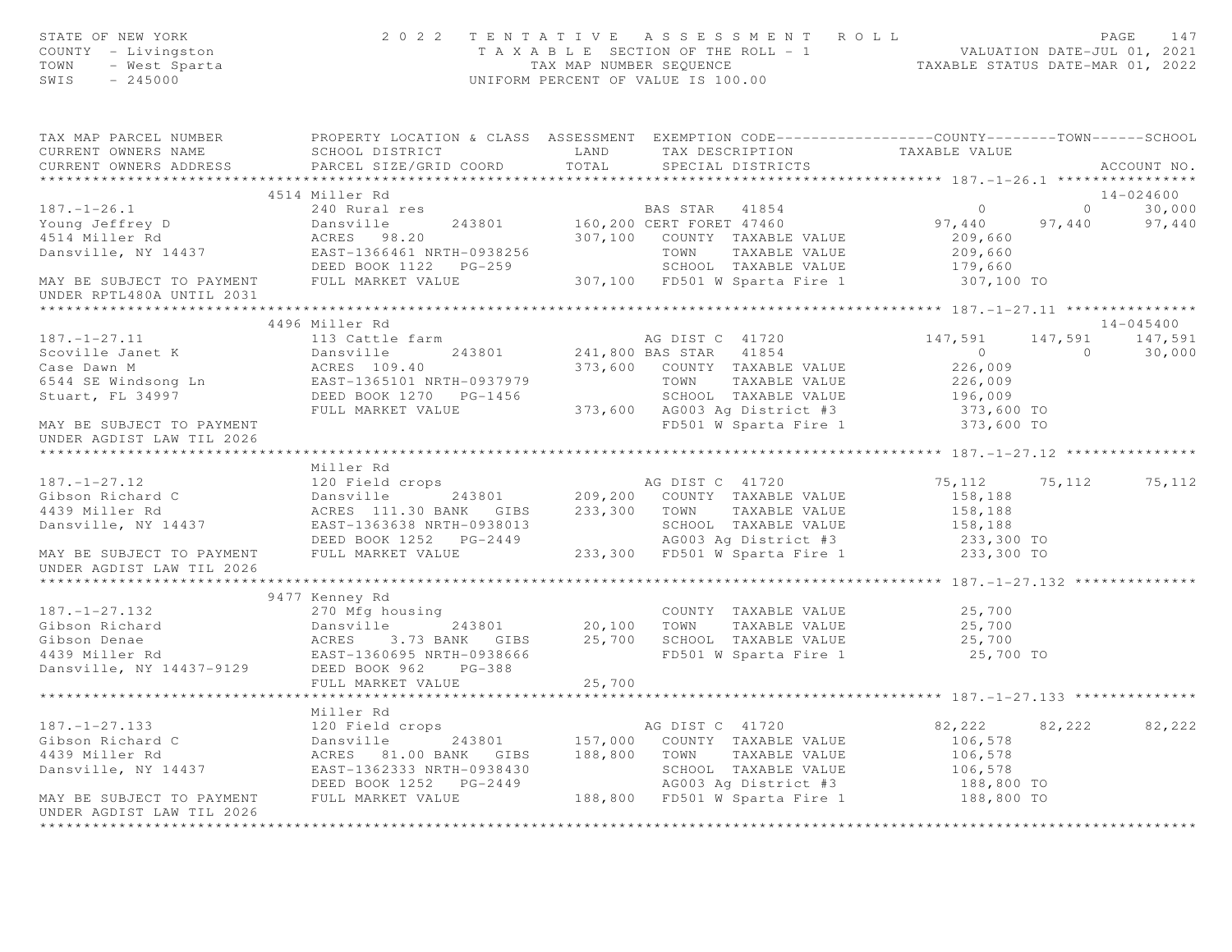| STATE OF NEW YORK<br>OF NEW YORK<br>The Livingston<br>- West Sparta<br>245000<br>COUNTY - Livingston<br>TOWN<br>SWIS                                                                                                                                                                                                                                                                         |                                                                                               |        | 2022 TENTATIVE ASSESSMENT ROLL<br>PAGE 147<br>TAXABLE SECTION OF THE ROLL - 1<br>TAXABLE SECTION OF THE ROLL - 1<br>TAXABLE STATUS DATE-MAR 01, 2022<br>UNIFORM PERCENT OF VALUE IS 100.00 |                         |                | PAGE<br>147                                                         |
|----------------------------------------------------------------------------------------------------------------------------------------------------------------------------------------------------------------------------------------------------------------------------------------------------------------------------------------------------------------------------------------------|-----------------------------------------------------------------------------------------------|--------|--------------------------------------------------------------------------------------------------------------------------------------------------------------------------------------------|-------------------------|----------------|---------------------------------------------------------------------|
| TAX MAP PARCEL NUMBER <b>The PROPERTY LOCATION &amp; CLASS</b> ASSESSMENT EXEMPTION CODE---------------COUNTY-------TOWN------SCHOOL<br>CURRENT OWNERS NAME                                                                                                                                                                                                                                  | SCHOOL DISTRICT                      LAND        TAX DESCRIPTION                TAXABLE VALUE |        |                                                                                                                                                                                            |                         |                |                                                                     |
| CURRENT OWNERS ADDRESS PARCEL SIZE/GRID COORD TOTAL                                                                                                                                                                                                                                                                                                                                          |                                                                                               |        | SPECIAL DISTRICTS                                                                                                                                                                          |                         |                | ACCOUNT NO.                                                         |
|                                                                                                                                                                                                                                                                                                                                                                                              | 4514 Miller Rd                                                                                |        |                                                                                                                                                                                            |                         |                | 14-024600                                                           |
|                                                                                                                                                                                                                                                                                                                                                                                              |                                                                                               |        |                                                                                                                                                                                            | $\overline{0}$          |                |                                                                     |
|                                                                                                                                                                                                                                                                                                                                                                                              |                                                                                               |        |                                                                                                                                                                                            |                         |                | $\begin{array}{ccc}\n & 0 & 30,000 \\ 97,440 & 97,440\n\end{array}$ |
|                                                                                                                                                                                                                                                                                                                                                                                              |                                                                                               |        |                                                                                                                                                                                            | 97,440<br>209,660       |                |                                                                     |
|                                                                                                                                                                                                                                                                                                                                                                                              |                                                                                               |        |                                                                                                                                                                                            | 209,660                 |                |                                                                     |
|                                                                                                                                                                                                                                                                                                                                                                                              |                                                                                               |        |                                                                                                                                                                                            | 179,660                 |                |                                                                     |
|                                                                                                                                                                                                                                                                                                                                                                                              |                                                                                               |        |                                                                                                                                                                                            | 307,100 TO              |                |                                                                     |
| 187.-1-26.1<br>Young Jeffrey D Dansville 243801 160,200 CERI LONET TAXABLE VALUE<br>4514 Miller Rd ACRES 98.20 307,100 COUNTY TAXABLE VALUE<br>Dansville, NY 14437 EAST-1366461 NRTH-0938256 TOWN TAXABLE VALUE<br>DEED BOOK 1122 PG                                                                                                                                                         |                                                                                               |        |                                                                                                                                                                                            |                         |                |                                                                     |
|                                                                                                                                                                                                                                                                                                                                                                                              |                                                                                               |        |                                                                                                                                                                                            |                         |                |                                                                     |
|                                                                                                                                                                                                                                                                                                                                                                                              | 4496 Miller Rd                                                                                |        |                                                                                                                                                                                            |                         |                | 14-045400                                                           |
|                                                                                                                                                                                                                                                                                                                                                                                              |                                                                                               |        |                                                                                                                                                                                            |                         |                | 147,591 147,591                                                     |
|                                                                                                                                                                                                                                                                                                                                                                                              |                                                                                               |        |                                                                                                                                                                                            |                         | $\overline{0}$ | 30,000                                                              |
|                                                                                                                                                                                                                                                                                                                                                                                              |                                                                                               |        |                                                                                                                                                                                            |                         |                |                                                                     |
|                                                                                                                                                                                                                                                                                                                                                                                              |                                                                                               |        |                                                                                                                                                                                            |                         |                |                                                                     |
|                                                                                                                                                                                                                                                                                                                                                                                              |                                                                                               |        |                                                                                                                                                                                            |                         |                |                                                                     |
|                                                                                                                                                                                                                                                                                                                                                                                              |                                                                                               |        |                                                                                                                                                                                            |                         |                |                                                                     |
| $\begin{array}{cccccc} 187.-1-27.11 & 496 \text{ Miller Rd} & \text{AG DIST C} & 41720 & 147,591 & 147 \\\text{Scoville Janet K} & \text{Dansville} & 243801 & 241,800 BAS STAR & 41854 & 0 \\\text{Case Dawn M} & \text{ACRES} & 109.40 & 373,600 & \text{COUNTY} & \text{TAXABLE VALUE} & 226,009 \\\text{Stuart, FL 34997} & \text{DEED BOOK 1270} & \text{PG-1456} & 373,600 & \text{AG$ |                                                                                               |        |                                                                                                                                                                                            |                         |                |                                                                     |
| UNDER AGDIST LAW TIL 2026                                                                                                                                                                                                                                                                                                                                                                    |                                                                                               |        |                                                                                                                                                                                            |                         |                |                                                                     |
|                                                                                                                                                                                                                                                                                                                                                                                              |                                                                                               |        |                                                                                                                                                                                            |                         |                |                                                                     |
|                                                                                                                                                                                                                                                                                                                                                                                              | Miller Rd                                                                                     |        |                                                                                                                                                                                            |                         |                |                                                                     |
|                                                                                                                                                                                                                                                                                                                                                                                              |                                                                                               |        |                                                                                                                                                                                            | 75, 112 75, 112 75, 112 |                |                                                                     |
|                                                                                                                                                                                                                                                                                                                                                                                              |                                                                                               |        |                                                                                                                                                                                            |                         |                |                                                                     |
|                                                                                                                                                                                                                                                                                                                                                                                              |                                                                                               |        |                                                                                                                                                                                            |                         |                |                                                                     |
|                                                                                                                                                                                                                                                                                                                                                                                              |                                                                                               |        |                                                                                                                                                                                            |                         |                |                                                                     |
| Miller Rd  Miller Rd  120 Fibson Richard C<br>618500 Richard C<br>2013801 209,200 COUNTY TAXABLE VALUE<br>439 Miller Rd  2029,200 COUNTY TAXABLE VALUE<br>2029,200 COUNTY TAXABLE VALUE<br>2029,200 COUNTY TAXABLE VALUE<br>2029,200 COUNT                                                                                                                                                   |                                                                                               |        |                                                                                                                                                                                            |                         |                |                                                                     |
| UNDER AGDIST LAW TIL 2026                                                                                                                                                                                                                                                                                                                                                                    |                                                                                               |        |                                                                                                                                                                                            |                         |                |                                                                     |
|                                                                                                                                                                                                                                                                                                                                                                                              |                                                                                               |        |                                                                                                                                                                                            |                         |                |                                                                     |
| 187.-1-27.132 270 Mfg housing<br>Gibson Richard Dansville 243801 20,100 TOWN TAXABLE VALUE 25,700<br>Gibson Denae ACRES 3.73 BANK GIBS 25,700 SCHOOL TAXABLE VALUE 25,700<br>4439 Miller Rd EAST-1360695 NRTH-0938666 FD501 W Sparta                                                                                                                                                         |                                                                                               |        |                                                                                                                                                                                            |                         |                |                                                                     |
|                                                                                                                                                                                                                                                                                                                                                                                              |                                                                                               |        |                                                                                                                                                                                            |                         |                |                                                                     |
|                                                                                                                                                                                                                                                                                                                                                                                              |                                                                                               |        |                                                                                                                                                                                            |                         |                |                                                                     |
|                                                                                                                                                                                                                                                                                                                                                                                              |                                                                                               |        |                                                                                                                                                                                            |                         |                |                                                                     |
|                                                                                                                                                                                                                                                                                                                                                                                              |                                                                                               |        |                                                                                                                                                                                            |                         |                |                                                                     |
|                                                                                                                                                                                                                                                                                                                                                                                              |                                                                                               |        |                                                                                                                                                                                            |                         |                |                                                                     |
|                                                                                                                                                                                                                                                                                                                                                                                              |                                                                                               | 25,700 |                                                                                                                                                                                            |                         |                |                                                                     |
|                                                                                                                                                                                                                                                                                                                                                                                              |                                                                                               |        |                                                                                                                                                                                            |                         |                |                                                                     |
|                                                                                                                                                                                                                                                                                                                                                                                              |                                                                                               |        |                                                                                                                                                                                            |                         |                |                                                                     |
|                                                                                                                                                                                                                                                                                                                                                                                              |                                                                                               |        |                                                                                                                                                                                            | 82,222                  | 82,222         | 82,222                                                              |
|                                                                                                                                                                                                                                                                                                                                                                                              |                                                                                               |        |                                                                                                                                                                                            | 106,578                 |                |                                                                     |
|                                                                                                                                                                                                                                                                                                                                                                                              |                                                                                               |        |                                                                                                                                                                                            | 106,578                 |                |                                                                     |
|                                                                                                                                                                                                                                                                                                                                                                                              |                                                                                               |        |                                                                                                                                                                                            | 106,578<br>188,800 TO   |                |                                                                     |
|                                                                                                                                                                                                                                                                                                                                                                                              |                                                                                               |        |                                                                                                                                                                                            |                         |                |                                                                     |
|                                                                                                                                                                                                                                                                                                                                                                                              |                                                                                               |        |                                                                                                                                                                                            | 188,800 TO              |                |                                                                     |
|                                                                                                                                                                                                                                                                                                                                                                                              |                                                                                               |        |                                                                                                                                                                                            |                         |                |                                                                     |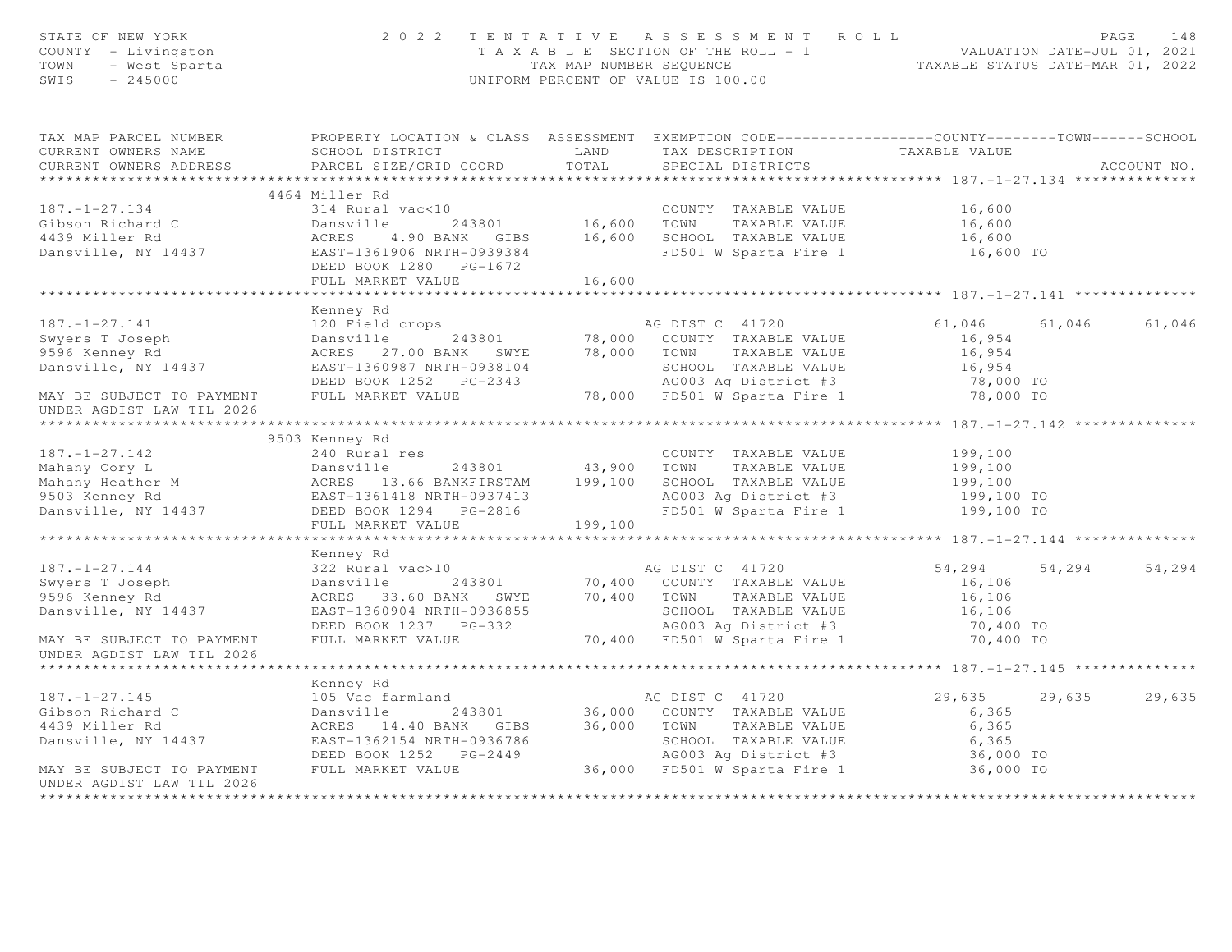| STATE OF NEW YORK<br>STATE OF NEW IURA<br>COUNTY - Livingston<br>TOWN - West Sparta<br>SWIS - 245000                                                                                                                                                            |                                                |        | 2022 TENTATIVE ASSESSMENT ROLL<br>T A X A B L E SECTION OF THE ROLL - 1 VALUATION DATE-JUL 01, 2021<br>TAX MAP NUMBER SEQUENCE TAXABLE STATUS DATE-MAR 01, 2022<br>UNIFORM PERCENT OF VALUE IS 100.00 |                      |        | 148<br>PAGE |
|-----------------------------------------------------------------------------------------------------------------------------------------------------------------------------------------------------------------------------------------------------------------|------------------------------------------------|--------|-------------------------------------------------------------------------------------------------------------------------------------------------------------------------------------------------------|----------------------|--------|-------------|
| TAX MAP PARCEL NUMBER PROPERTY LOCATION & CLASS ASSESSMENT EXEMPTION CODE---------------COUNTY-------TOWN------SCHOOL<br>CURRENT OWNERS NAME<br>CURRENT OWNERS ADDRESS                                                                                          | SCHOOL DISTRICT LAND<br>PARCEL SIZE/GRID COORD | TOTAL  | TAX DESCRIPTION TAXABLE VALUE<br>SPECIAL DISTRICTS                                                                                                                                                    |                      |        | ACCOUNT NO. |
|                                                                                                                                                                                                                                                                 | 4464 Miller Rd                                 |        |                                                                                                                                                                                                       |                      |        |             |
| 187.-1-27.134<br>Gibson Richard C 314 Rural vac<10<br>243801 16,600 TOWN TAXABLE VALUE 16,600<br>4439 Miller Rd ACRES 4.90 BANK GIBS 16,600 SCHOOL TAXABLE VALUE 16,600<br>Dansville, NY 14437 EAST-1361906 NRTH-0939384<br>DEED BOOK 12                        | FULL MARKET VALUE                              | 16,600 | FD501 W Sparta Fire 1 16,600 TO                                                                                                                                                                       |                      |        |             |
|                                                                                                                                                                                                                                                                 |                                                |        |                                                                                                                                                                                                       |                      |        |             |
| 187. -1-27.141 189. -1. 189. -1. 189. -1. 189. -1. 189. -1. 189. -1. 189. -1. 189. 120 120 120 120 120 120 120<br>Swyers T Joseph 120 Full MARKET VALUE 243801 18,000 COUNTY TAXABLE VALUE 16,954<br>9596 Kenney Rd ACRES 27.00 BA<br>UNDER AGDIST LAW TIL 2026 | Kenney Rd                                      |        |                                                                                                                                                                                                       |                      | 61,046 | 61,046      |
|                                                                                                                                                                                                                                                                 |                                                |        |                                                                                                                                                                                                       |                      |        |             |
| 187.-1-27.142 240 Rural res<br>Mahany Cory L Dansville 243801 43,900 TOWN TAXABLE VALUE 199,100<br>Mahany Heather M ACRES 13.66 BANKFIRSTAM 199,100 SCHOOL TAXABLE VALUE 199,100<br>9503 Kenney Rd EAST-1361418 NRTH-0937413 AG003 A                            | 9503 Kenney Rd                                 |        |                                                                                                                                                                                                       |                      |        |             |
|                                                                                                                                                                                                                                                                 | FULL MARKET VALUE 199,100                      |        |                                                                                                                                                                                                       |                      |        |             |
|                                                                                                                                                                                                                                                                 | Kenney Rd                                      |        |                                                                                                                                                                                                       |                      |        |             |
| 187.-1-27.144<br>Swyers T Joseph 322 Rural vac>10<br>9596 Kenney Rd BARK SWYE 70,400 COUNTY TAXABLE VALUE 16,106<br>9596 Kenney Rd ACRES 33.60 BANK SWYE 70,400 TOWN TAXABLE VALUE 16,106<br>9596 Kenney Rd ACRES 33.60 BANK SWYE 70,4                          |                                                |        |                                                                                                                                                                                                       | 54,294 54,294        |        | 54,294      |
| UNDER AGDIST LAW TIL 2026                                                                                                                                                                                                                                       |                                                |        |                                                                                                                                                                                                       |                      |        |             |
|                                                                                                                                                                                                                                                                 |                                                |        |                                                                                                                                                                                                       |                      |        |             |
| 187.-1-27.145<br>Gibson Richard C 105 Vac farmland<br>29,635 29<br>4439 Miller Rd ACRES 14.40 BANK GIBS 36,000 COUNTY TAXABLE VALUE<br>243801 36,000 COUNTY TAXABLE VALUE 6,365<br>29,635 29<br>29,635 29<br>29,635 29<br>29,635 29<br>29,635 29                | Kenney Rd                                      |        |                                                                                                                                                                                                       | 29,635 29,635 29,635 |        |             |
| UNDER AGDIST LAW TIL 2026                                                                                                                                                                                                                                       |                                                |        |                                                                                                                                                                                                       |                      |        |             |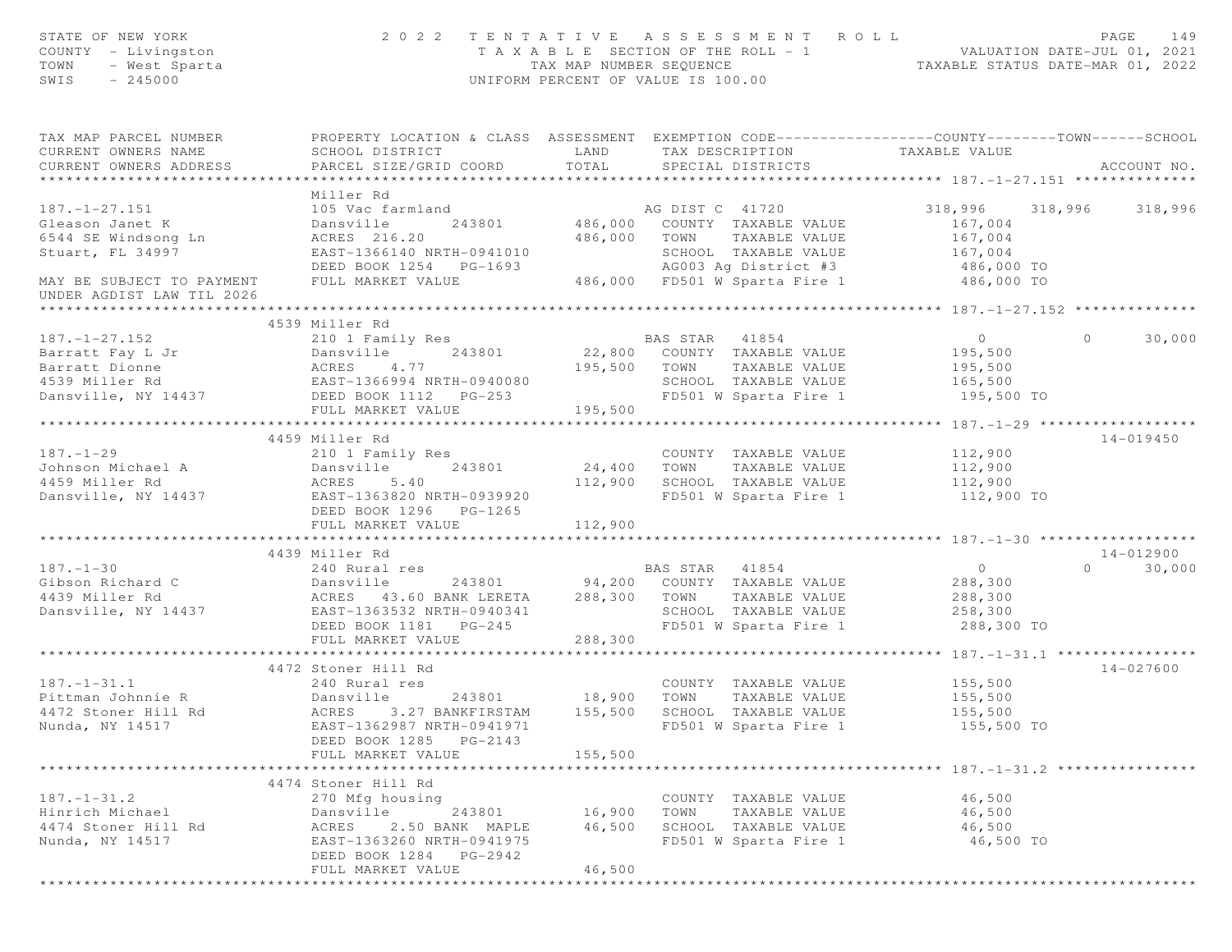| STATE OF NEW YORK<br>COUNTY - Livingston<br>TOWN<br>- West Sparta<br>$-245000$<br>SWIS                                                                                                                  |                                                                                                                                                                          |                                 | 2022 TENTATIVE ASSESSMENT ROLL<br>UNIFORM PERCENT OF VALUE IS 100.00                                                                                                                               | T A X A B L E SECTION OF THE ROLL - 1 VALUATION DATE-JUL 01, 2021<br>TAX MAP NUMBER SEQUENCE TAXABLE STATUS DATE-MAR 01, 2022 | PAGE<br>149        |
|---------------------------------------------------------------------------------------------------------------------------------------------------------------------------------------------------------|--------------------------------------------------------------------------------------------------------------------------------------------------------------------------|---------------------------------|----------------------------------------------------------------------------------------------------------------------------------------------------------------------------------------------------|-------------------------------------------------------------------------------------------------------------------------------|--------------------|
| TAX MAP PARCEL NUMBER<br>CURRENT OWNERS NAME<br>CURRENT OWNERS ADDRESS                                                                                                                                  | PROPERTY LOCATION & CLASS ASSESSMENT EXEMPTION CODE----------------COUNTY-------TOWN------SCHOOL<br>SCHOOL DISTRICT<br>PARCEL SIZE/GRID COORD                            | <b>LAND</b><br>TOTAL            | TAX DESCRIPTION<br>SPECIAL DISTRICTS                                                                                                                                                               | TAXABLE VALUE                                                                                                                 | ACCOUNT NO.        |
|                                                                                                                                                                                                         | Miller Rd                                                                                                                                                                |                                 |                                                                                                                                                                                                    |                                                                                                                               |                    |
| $187. - 1 - 27.151$<br>Gleason Janet K<br>6544 SE Windsong Ln<br>Stuart, FL 34997<br>MAY BE SUBJECT TO PAYMENT<br>UNDER AGDIST LAW TIL 2026                                                             | 105 Vac farmland<br>Dansville<br>243801<br>ACRES 216.20<br>EAST-1366140 NRTH-0941010<br>DEED BOOK 1254 PG-1693<br>FULL MARKET VALUE                                      | 486,000                         | AG DIST C 41720<br>486,000 COUNTY TAXABLE VALUE<br>TAXABLE VALUE<br>TOWN<br>SCHOOL TAXABLE VALUE<br>9941010 SCHOOL TAXABLE VALUE<br>3-1693 - AG003 Ag District #3<br>486,000 FD501 W Sparta Fire 1 | 318,996 318,996<br>167,004<br>167,004<br>167,004<br>AG003 Ag District #3 (486,000 TO<br>FD501 W Sparta Fire 1 (486,000 TO     | 318,996            |
|                                                                                                                                                                                                         |                                                                                                                                                                          |                                 |                                                                                                                                                                                                    |                                                                                                                               |                    |
| 187.-1-27.152<br>Barratt Fay L Jr Dansville<br>Barratt Dionne ACRES 4.77<br>The Miller Rd EAST-1366994 NRTH-0940080<br>TO Miller Rd EAST-1366994 NRTH-0940080<br>PULL MARKET VALUE<br>TULL MARKET VALUE |                                                                                                                                                                          | 195,500 TOWN                    | BAS STAR 41854<br>22,800 COUNTY TAXABLE VALUE<br>TAXABLE VALUE<br>SCHOOL TAXABLE VALUE<br>FD501 W Sparta Fire 1                                                                                    | $\overline{0}$<br>195,500<br>195,500<br>165,500<br>195,500 TO                                                                 | $\Omega$<br>30,000 |
|                                                                                                                                                                                                         |                                                                                                                                                                          | 195,500                         |                                                                                                                                                                                                    |                                                                                                                               |                    |
|                                                                                                                                                                                                         | 4459 Miller Rd                                                                                                                                                           |                                 |                                                                                                                                                                                                    |                                                                                                                               | $14 - 019450$      |
| $187. - 1 - 29$<br>187.-1-29 210 1 Family Res<br>Johnson Michael A Dansville 243801<br>4459 Miller Rd ACRES 5.40<br>Dansville, NY 14437 EAST-1363820 NRTH-0939920                                       | DEED BOOK 1296 PG-1265                                                                                                                                                   | COUNT<br>24,400 TOWN<br>112,900 | COUNTY TAXABLE VALUE<br>TAXABLE VALUE<br>SCHOOL TAXABLE VALUE<br>FD501 W Sparta Fire 1                                                                                                             | 112,900<br>112,900<br>112,900<br>112,900 TO                                                                                   |                    |
|                                                                                                                                                                                                         | FULL MARKET VALUE                                                                                                                                                        | 112,900                         |                                                                                                                                                                                                    |                                                                                                                               |                    |
|                                                                                                                                                                                                         | 4439 Miller Rd                                                                                                                                                           |                                 |                                                                                                                                                                                                    |                                                                                                                               | 14-012900          |
| $187. - 1 - 30$<br>Gibson Richard C<br>4439 Miller Rd<br>Dansville, NY 14437                                                                                                                            | 240 Rural res<br>Dansville<br>ACRES 43.60 BANK LERETA<br>EAST-1363532 NRTH-0940341<br>DEED BOOK 1181    PG-245<br>FULL MARKET VALUE                                      | 288,300 TOWN<br>288,300         | BAS STAR 41854<br>243801 94,200 COUNTY TAXABLE VALUE<br>TAXABLE VALUE<br>SCHOOL TAXABLE VALUE<br>FD501 W Sparta Fire 1                                                                             | $\overline{0}$<br>288,300<br>288,300<br>258,300<br>288,300 TO                                                                 | $\Omega$<br>30,000 |
|                                                                                                                                                                                                         | ****************************                                                                                                                                             |                                 |                                                                                                                                                                                                    | **************** 187.-1-31.1 *****************                                                                                |                    |
| $187. - 1 - 31.1$<br>Pittman Johnnie R<br>4472 Stoner Hill Rd<br>Nunda, NY 14517                                                                                                                        | 4472 Stoner Hill Rd<br>240 Rural res<br>Dansville<br>243801 18,900<br>ACRES 3.27 BANKFIRSTAM<br>EAST-1362987 NRTH-0941971<br>DEED BOOK 1285 PG-2143<br>FULL MARKET VALUE | 155,500<br>155,500              | COUNTY TAXABLE VALUE<br>TOWN<br>TAXABLE VALUE<br>SCHOOL TAXABLE VALUE<br>FD501 W Sparta Fire 1                                                                                                     | 155,500<br>155,500<br>155,500<br>155,500 TO                                                                                   | $14 - 027600$      |
|                                                                                                                                                                                                         |                                                                                                                                                                          |                                 |                                                                                                                                                                                                    |                                                                                                                               |                    |
| $187. - 1 - 31.2$<br>Hinrich Michael<br>4474 Stoner Hill Rd<br>Nunda, NY 14517                                                                                                                          | 4474 Stoner Hill Rd<br>270 Mfg housing<br>243801<br>Dansville<br>2.50 BANK MAPLE<br>ACRES<br>EAST-1363260 NRTH-0941975<br>DEED BOOK 1284 PG-2942<br>FULL MARKET VALUE    | 16,900<br>46,500<br>46,500      | COUNTY TAXABLE VALUE<br>TOWN<br>TAXABLE VALUE<br>SCHOOL TAXABLE VALUE<br>FD501 W Sparta Fire 1                                                                                                     | 46,500<br>46,500<br>46,500<br>46,500 TO                                                                                       |                    |
|                                                                                                                                                                                                         |                                                                                                                                                                          |                                 |                                                                                                                                                                                                    |                                                                                                                               |                    |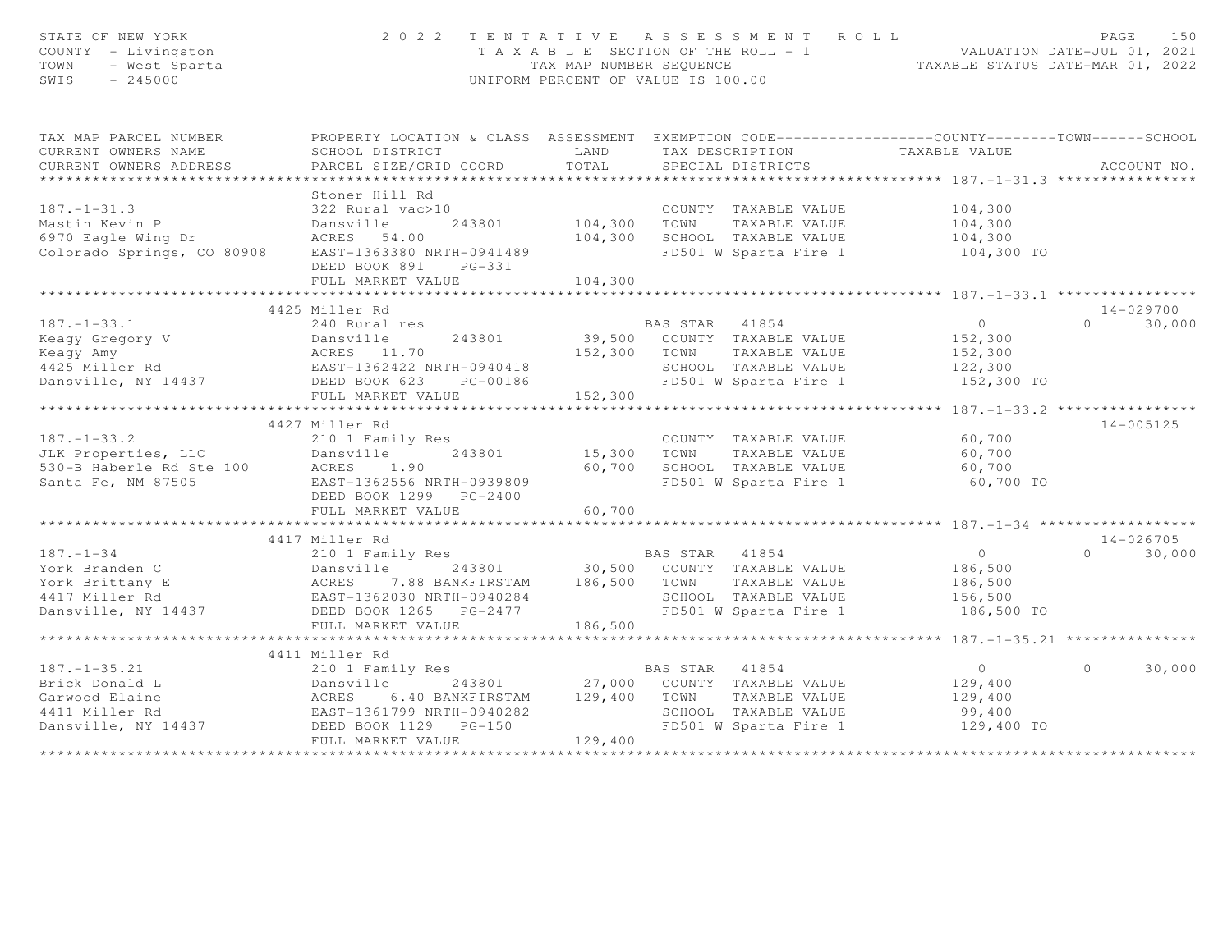| STATE OF NEW YORK<br>COUNTY - Livingston<br>TOWN<br>- West Sparta<br>SWIS<br>$-245000$ | 2 0 2 2                                                                                          | TAX MAP NUMBER SEQUENCE     | TENTATIVE ASSESSMENT ROLL<br>TAXABLE SECTION OF THE ROLL - 1<br>UNIFORM PERCENT OF VALUE IS 100.00 | VALUATION DATE-JUL 01, 2021<br>TAXABLE STATUS DATE-MAR 01, 2022 | PAGE<br>150        |
|----------------------------------------------------------------------------------------|--------------------------------------------------------------------------------------------------|-----------------------------|----------------------------------------------------------------------------------------------------|-----------------------------------------------------------------|--------------------|
| TAX MAP PARCEL NUMBER                                                                  | PROPERTY LOCATION & CLASS ASSESSMENT EXEMPTION CODE----------------COUNTY-------TOWN------SCHOOL |                             |                                                                                                    |                                                                 |                    |
| CURRENT OWNERS NAME                                                                    | SCHOOL DISTRICT                                                                                  | LAND                        | TAX DESCRIPTION                                                                                    | TAXABLE VALUE                                                   |                    |
| CURRENT OWNERS ADDRESS                                                                 | PARCEL SIZE/GRID COORD                                                                           | TOTAL                       | SPECIAL DISTRICTS                                                                                  |                                                                 | ACCOUNT NO.        |
| *********************                                                                  | ************************                                                                         | * * * * * * * * * * * * * * |                                                                                                    |                                                                 |                    |
|                                                                                        | Stoner Hill Rd                                                                                   |                             |                                                                                                    |                                                                 |                    |
| $187. - 1 - 31.3$                                                                      | 322 Rural vac>10                                                                                 |                             | COUNTY TAXABLE VALUE                                                                               | 104,300                                                         |                    |
| Mastin Kevin P<br>6970 Eagle Wing Dr                                                   | Dansville<br>243801<br>ACRES 54.00                                                               | 104,300<br>104,300          | TOWN<br>TAXABLE VALUE<br>SCHOOL TAXABLE VALUE                                                      | 104,300<br>104,300                                              |                    |
| Colorado Springs, CO 80908                                                             | EAST-1363380 NRTH-0941489                                                                        |                             | FD501 W Sparta Fire 1                                                                              | 104,300 TO                                                      |                    |
|                                                                                        | DEED BOOK 891<br>$PG-331$                                                                        |                             |                                                                                                    |                                                                 |                    |
|                                                                                        | FULL MARKET VALUE                                                                                | 104,300                     |                                                                                                    |                                                                 |                    |
|                                                                                        |                                                                                                  |                             |                                                                                                    |                                                                 |                    |
|                                                                                        | 4425 Miller Rd                                                                                   |                             |                                                                                                    |                                                                 | $14 - 029700$      |
| $187. - 1 - 33.1$                                                                      | 240 Rural res                                                                                    |                             | BAS STAR 41854                                                                                     | $\Omega$                                                        | $\Omega$<br>30,000 |
| Keagy Gregory V                                                                        | 243801<br>Dansville                                                                              | 39,500                      | COUNTY TAXABLE VALUE                                                                               | 152,300                                                         |                    |
| Keagy Amy                                                                              | ACRES 11.70                                                                                      | 152,300                     | TOWN<br>TAXABLE VALUE                                                                              | 152,300                                                         |                    |
| 4425 Miller Rd                                                                         | EAST-1362422 NRTH-0940418                                                                        |                             | SCHOOL TAXABLE VALUE                                                                               | 122,300                                                         |                    |
| Dansville, NY 14437                                                                    | DEED BOOK 623 PG-00186                                                                           |                             | FD501 W Sparta Fire 1                                                                              | 152,300 TO                                                      |                    |
|                                                                                        | FULL MARKET VALUE<br>***************************                                                 | 152,300                     |                                                                                                    |                                                                 |                    |
|                                                                                        |                                                                                                  |                             |                                                                                                    | **************** 187. -1-33.2 *****************                 | $14 - 005125$      |
| $187. - 1 - 33.2$                                                                      | 4427 Miller Rd<br>210 1 Family Res                                                               |                             | COUNTY TAXABLE VALUE                                                                               | 60,700                                                          |                    |
| JLK Properties, LLC                                                                    | 243801<br>Dansville                                                                              | 15,300                      | TOWN<br>TAXABLE VALUE                                                                              | 60,700                                                          |                    |
| 530-B Haberle Rd Ste 100                                                               | ACRES<br>1.90                                                                                    | 60,700                      | SCHOOL TAXABLE VALUE                                                                               | 60,700                                                          |                    |
| Santa Fe, NM 87505                                                                     | EAST-1362556 NRTH-0939809                                                                        |                             | FD501 W Sparta Fire 1                                                                              | 60,700 TO                                                       |                    |
|                                                                                        | DEED BOOK 1299 PG-2400                                                                           |                             |                                                                                                    |                                                                 |                    |
|                                                                                        | FULL MARKET VALUE                                                                                | 60,700                      |                                                                                                    |                                                                 |                    |
|                                                                                        | ***************************                                                                      |                             |                                                                                                    | ********************* 187. -1-34 *******************            |                    |
|                                                                                        | 4417 Miller Rd                                                                                   |                             |                                                                                                    |                                                                 | $14 - 026705$      |
| $187. - 1 - 34$                                                                        | 210 1 Family Res                                                                                 |                             | BAS STAR<br>41854                                                                                  | $\overline{0}$                                                  | 30,000<br>$\Omega$ |
| York Branden C                                                                         | Dansville<br>243801                                                                              | 30,500                      | COUNTY TAXABLE VALUE                                                                               | 186,500                                                         |                    |
| York Brittany E                                                                        | ACRES<br>7.88 BANKFIRSTAM                                                                        | 186,500                     | TOWN<br>TAXABLE VALUE                                                                              | 186,500                                                         |                    |
| 4417 Miller Rd                                                                         | EAST-1362030 NRTH-0940284                                                                        |                             | SCHOOL TAXABLE VALUE                                                                               | 156,500                                                         |                    |
| Dansville, NY 14437                                                                    | DEED BOOK 1265 PG-2477                                                                           |                             | FD501 W Sparta Fire 1                                                                              | 186,500 TO                                                      |                    |
|                                                                                        | FULL MARKET VALUE                                                                                | 186,500                     |                                                                                                    |                                                                 |                    |
|                                                                                        | 4411 Miller Rd                                                                                   |                             |                                                                                                    |                                                                 |                    |
| $187. - 1 - 35.21$                                                                     | 210 1 Family Res                                                                                 |                             | BAS STAR 41854                                                                                     | $\overline{0}$                                                  | $\circ$<br>30,000  |
| Brick Donald L                                                                         | Dansville<br>243801                                                                              | 27,000                      | COUNTY TAXABLE VALUE                                                                               | 129,400                                                         |                    |
| Garwood Elaine                                                                         | ACRES<br>6.40 BANKFIRSTAM                                                                        | 129,400                     | TAXABLE VALUE<br>TOWN                                                                              | 129,400                                                         |                    |
| 4411 Miller Rd                                                                         | EAST-1361799 NRTH-0940282                                                                        |                             | SCHOOL TAXABLE VALUE                                                                               | 99,400                                                          |                    |
| Dansville, NY 14437                                                                    | DEED BOOK 1129    PG-150                                                                         |                             | FD501 W Sparta Fire 1                                                                              | 129,400 TO                                                      |                    |
|                                                                                        | FULL MARKET VALUE                                                                                | 129,400                     |                                                                                                    |                                                                 |                    |
|                                                                                        |                                                                                                  |                             |                                                                                                    |                                                                 |                    |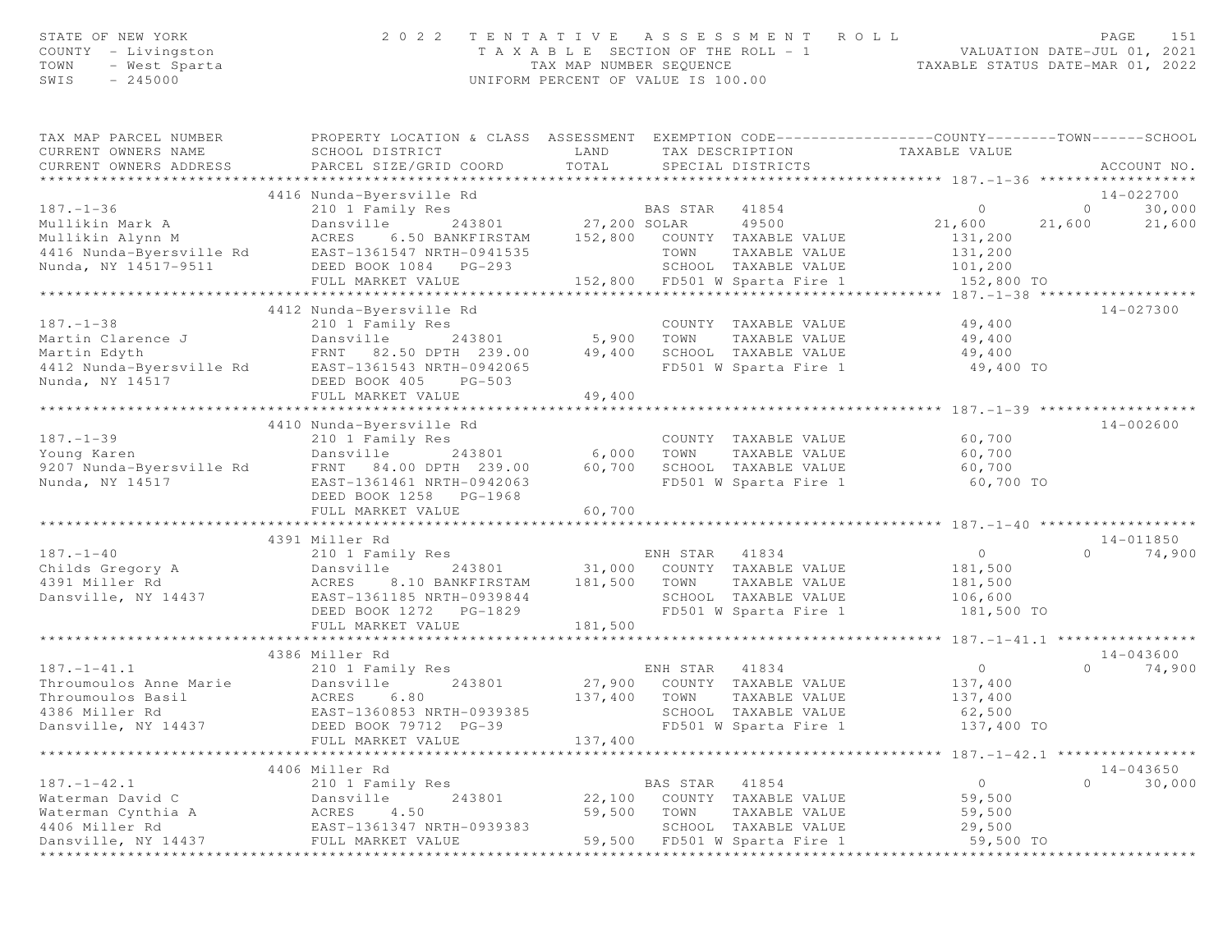| STATE OF NEW YORK<br>COUNTY - Livingston<br>- West Sparta<br>TOWN<br>$-245000$<br>SWIS |                                                         | 2022 TENTATIVE ASSESSMENT ROLL<br>T A X A B L E SECTION OF THE ROLL - 1<br>TAX MAP NUMBER SEOUENCE<br>UNIFORM PERCENT OF VALUE IS 100.00 |                                                                                | 151<br>PAGE<br>VALUATION DATE-JUL 01, 2021<br>TAXABLE STATUS DATE-MAR 01, 2022 |
|----------------------------------------------------------------------------------------|---------------------------------------------------------|------------------------------------------------------------------------------------------------------------------------------------------|--------------------------------------------------------------------------------|--------------------------------------------------------------------------------|
| TAX MAP PARCEL NUMBER<br>CURRENT OWNERS NAME                                           | PROPERTY LOCATION & CLASS ASSESSMENT<br>SCHOOL DISTRICT | TAX DESCRIPTION<br>LAND                                                                                                                  | EXEMPTION CODE------------------COUNTY-------TOWN------SCHOOL<br>TAXABLE VALUE |                                                                                |
| CURRENT OWNERS ADDRESS                                                                 | PARCEL SIZE/GRID COORD                                  | TOTAL.<br>SPECIAL DISTRICTS                                                                                                              |                                                                                | ACCOUNT NO                                                                     |

| URRENI UWNERS ADDRESS,      |                                   | TOIAT                            |                                            |
|-----------------------------|-----------------------------------|----------------------------------|--------------------------------------------|
|                             |                                   |                                  |                                            |
|                             | 4416 Nunda-Byersville Rd          |                                  | $14 - 022700$                              |
| $187. - 1 - 36$             | 210 1 Family Res                  | BAS STAR<br>41854                | 30,000<br>$\overline{0}$<br>$\circ$        |
| Mullikin Mark A             | Dansville                         | 243801 27,200 SOLAR<br>49500     | 21,600<br>21,600<br>21,600                 |
| Mullikin Alynn M            | ACRES<br>6.50 BANKFIRSTAM         | 152,800 COUNTY TAXABLE VALUE     | 131,200                                    |
| 4416 Nunda-Byersville Rd    | EAST-1361547 NRTH-0941535         | TAXABLE VALUE<br>TOWN            | 131,200                                    |
| Nunda, NY 14517-9511        | DEED BOOK 1084 PG-293             | SCHOOL TAXABLE VALUE             | 101,200                                    |
|                             | FULL MARKET VALUE                 | 152,800 FD501 W Sparta Fire 1    | 152,800 TO                                 |
|                             |                                   |                                  |                                            |
|                             |                                   |                                  |                                            |
|                             | 4412 Nunda-Byersville Rd          |                                  | $14 - 027300$                              |
| $187. - 1 - 38$             | 210 1 Family Res                  | COUNTY TAXABLE VALUE             | 49,400                                     |
| Martin Clarence J           | Dansville<br>243801               | 5,900<br>TOWN<br>TAXABLE VALUE   | 49,400                                     |
| Martin Edyth                | FRNT 82.50 DPTH 239.00            | 49,400<br>SCHOOL TAXABLE VALUE   | 49,400                                     |
| 4412 Nunda-Byersville Rd    | EAST-1361543 NRTH-0942065         | FD501 W Sparta Fire 1            | 49,400 TO                                  |
| Nunda, NY 14517             | DEED BOOK 405<br>$PG-503$         |                                  |                                            |
|                             | FULL MARKET VALUE                 | 49,400                           |                                            |
| **********************      |                                   |                                  |                                            |
|                             | 4410 Nunda-Byersville Rd          |                                  | $14 - 002600$                              |
| $187. - 1 - 39$             | 210 1 Family Res                  | COUNTY TAXABLE VALUE             | 60,700                                     |
|                             | Dansville<br>243801               | TOWN<br>TAXABLE VALUE            |                                            |
| Young Karen                 |                                   | 6,000                            | 60,700                                     |
| 9207 Nunda-Byersville Rd    | 84.00 DPTH 239.00<br>FRNT         | 60,700<br>SCHOOL TAXABLE VALUE   | 60,700                                     |
| Nunda, NY 14517             | EAST-1361461 NRTH-0942063         | FD501 W Sparta Fire 1            | 60,700 TO                                  |
|                             | DEED BOOK 1258 PG-1968            |                                  |                                            |
|                             | FULL MARKET VALUE                 | 60,700                           |                                            |
|                             |                                   | * * * * * * * * * * * * *        |                                            |
|                             | 4391 Miller Rd                    |                                  | $14 - 011850$                              |
| $187. - 1 - 40$             | 210 1 Family Res                  | ENH STAR 41834                   | $\circ$<br>$\Omega$<br>74,900              |
| Childs Gregory A            | Dansville<br>243801               | 31,000<br>COUNTY TAXABLE VALUE   | 181,500                                    |
| 4391 Miller Rd              | ACRES<br>8.10 BANKFIRSTAM         | 181,500<br>TOWN<br>TAXABLE VALUE | 181,500                                    |
| Dansville, NY 14437         | EAST-1361185 NRTH-0939844         | SCHOOL TAXABLE VALUE             | 106,600                                    |
|                             | DEED BOOK 1272 PG-1829            | FD501 W Sparta Fire 1            | 181,500 TO                                 |
|                             | FULL MARKET VALUE                 | 181,500                          |                                            |
|                             | ***********************           | ************                     | *********** 187. -1-41.1 ***************** |
|                             |                                   |                                  |                                            |
|                             | 4386 Miller Rd                    |                                  | $14 - 043600$                              |
| $187. - 1 - 41.1$           | 210 1 Family Res                  | ENH STAR<br>41834                | $\overline{0}$<br>$\Omega$<br>74,900       |
| Throumoulos Anne Marie      | Dansville<br>243801               | 27,900 COUNTY TAXABLE VALUE      | 137,400                                    |
| Throumoulos Basil           | ACRES<br>6.80                     | 137,400<br>TOWN<br>TAXABLE VALUE | 137,400                                    |
| 4386 Miller Rd              | EAST-1360853 NRTH-0939385         | SCHOOL TAXABLE VALUE             | 62,500                                     |
| Dansville, NY 14437         | DEED BOOK 79712 PG-39             | FD501 W Sparta Fire 1            | 137,400 TO                                 |
|                             | FULL MARKET VALUE                 | 137,400                          |                                            |
|                             | ****************************      |                                  |                                            |
|                             | 4406 Miller Rd                    |                                  | $14 - 043650$                              |
| $187. - 1 - 42.1$           | 210 1 Family Res                  | BAS STAR 41854                   | $\overline{0}$<br>$\Omega$<br>30,000       |
| Waterman David C            | 243801                            | 22,100                           | 59,500                                     |
|                             | Dansville                         | COUNTY TAXABLE VALUE             |                                            |
| Waterman Cynthia A          | ACRES<br>4.50                     | 59,500<br>TOWN<br>TAXABLE VALUE  | 59,500                                     |
| 4406 Miller Rd              | EAST-1361347 NRTH-0939383         | SCHOOL TAXABLE VALUE             | 29,500                                     |
| Dansville, NY 14437         | FULL MARKET VALUE                 | 59,500 FD501 W Sparta Fire 1     | 59,500 TO                                  |
| * * * * * * * * * * * * * * | ********************************* |                                  |                                            |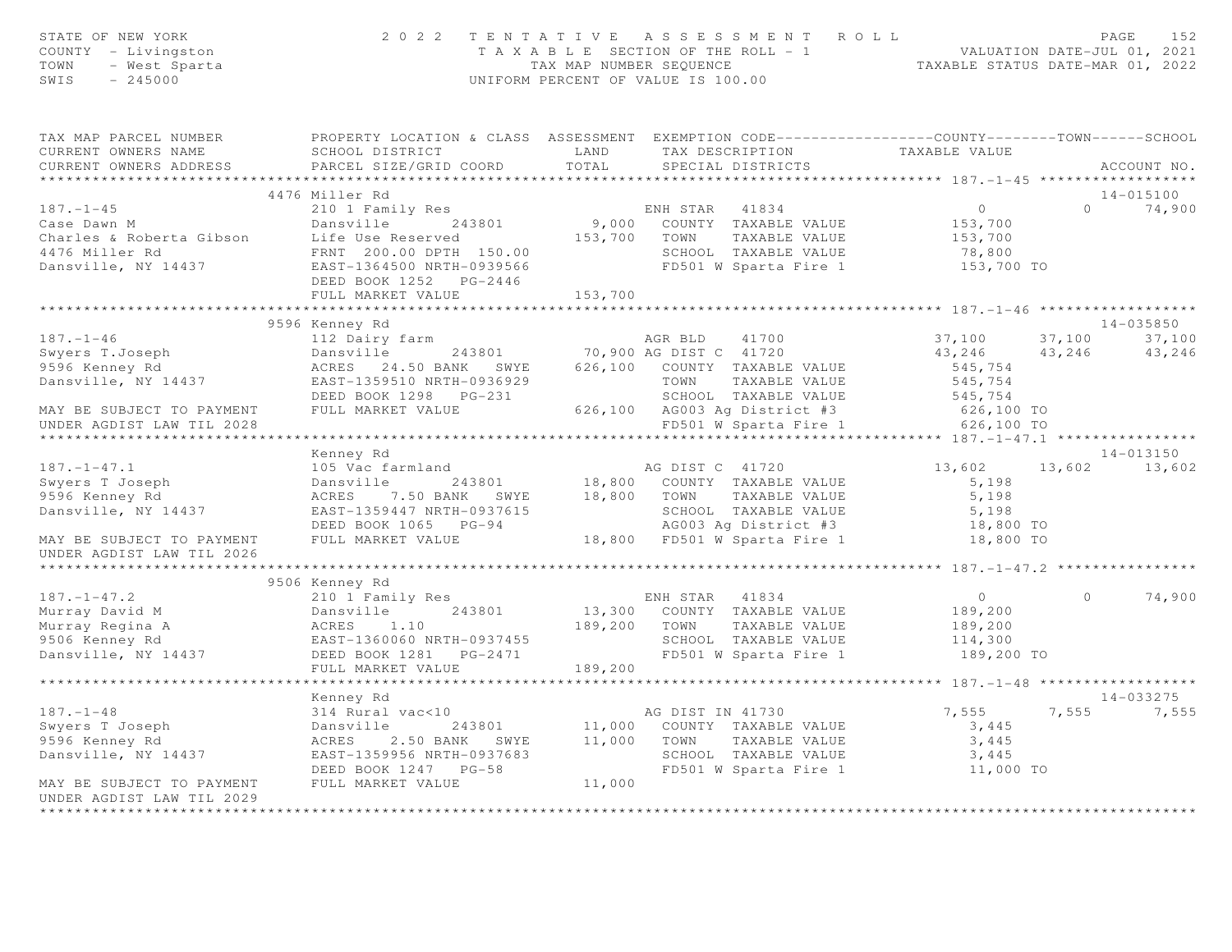| TAX MAP PARCEL NUMBER THE PROPERTY LOCATION & CLASS ASSESSMENT EXEMPTION CODE--------------COUNTY-------TOWN------SCHOOL<br>CURRENT OWNERS NAME SCHOOL DISTRICT<br>CURRENT OWNERS ADDRESS PARCEL SIZE/GRID COORD<br>ACCOUNT NO.<br>4476 Miller Rd<br>14-015100<br>ENH STAR 41834<br>$\overline{0}$<br>$187. - 1 - 45$<br>210 1 Family Res<br>$0 \t 74,900$<br>Case Dawn M<br>Charles & Roberta Gibson Life Use Reserved 153,700 COUNTY TAXABLE VALUE 153,700<br>4476 Miller Rd FRNT 200.00 DPTH 150.00 SCHOOL TAXABLE VALUE 153,700<br>Dansville, NY 14437 EAST-1364500 NRTH-0939566 FD501 W Spart<br>FD501 W Sparta Fire 1 153,700 TO<br>FULL MARKET VALUE<br>153,700<br>14-035850<br>37,100 37,100<br>9596 Kenney Rd 112 Dairy farm<br>112 Dairy farm<br>243801 70,900 AG DIST C 41720 43,246 43<br>9596 Kenney Rd 26 24.50 BANK SWYE 626,100 COUNTY TAXABLE VALUE<br>2457-1359510 NRTH-0936929 70WN TAXABLE VALUE<br>265,754 TOWN TAXABLE VAL<br>43, 246 43, 246 43, 246<br>14-013150<br>Kenney Rd<br>105 Vac farmland<br>Dansville 243801 18,800 COUNTY TAXABLE VALUE 5,198<br>ACRES 7.50 BANK SWYE 18,800 TOWN TAXABLE VALUE 5,198<br>EAST-1359447 NRTH-0937615 5CHOOL TAXABLE VALUE 5,198<br>DEED BOOK 1065 PG-94 AG003 Ag District #3 18<br>13,602 13,602 13,602<br>$187. - 1 - 47.1$<br>Swyers T Joseph<br>9596 Kenney Rd<br>Dansville, NY 14437<br>MAY BE SUBJECT TO PAYMENT<br>UNDER AGDIST LAW TIL 2026<br>9506 Kenney Rd<br>187.-1-47.2<br>Murray David M<br>Murray Regina A<br>Murray Regina A<br>2010 I Family Res<br>243801<br>243801<br>243801<br>243801<br>243801<br>243801<br>243801<br>243801<br>243801<br>243801<br>243801<br>243801<br>243801<br>243801<br>243801<br>243801<br>243801<br>2438<br>$\overline{0}$<br>$\circ$<br>189,200<br>189,200<br>TOWN TAXABLE VALUE<br>SCHOOL TAXABLE VALUE 114,300<br>TAXABLE VALUE 189,200 TO<br>189,200<br>FULL MARKET VALUE<br>Kenney Rd<br>14-033275<br>7,555<br>7,555 7,555<br>3,445<br>3,445<br>SCHOOL TAXABLE VALUE 3,445<br>FD501 W Sparta Fire 1 11,000 TO<br>DEED BOOK 1247 PG-58<br>MAY BE SUBJECT TO PAYMENT FULL MARKET VALUE | STATE OF NEW YORK<br>COUNTY - Livingston<br>$Y - Livingston$<br>- West Sparta<br>- 245000<br>TOWN<br>SWIS | 2022 TENTATIVE ASSESSMENT ROLL |        | UNIFORM PERCENT OF VALUE IS 100.00 |  |        |
|-----------------------------------------------------------------------------------------------------------------------------------------------------------------------------------------------------------------------------------------------------------------------------------------------------------------------------------------------------------------------------------------------------------------------------------------------------------------------------------------------------------------------------------------------------------------------------------------------------------------------------------------------------------------------------------------------------------------------------------------------------------------------------------------------------------------------------------------------------------------------------------------------------------------------------------------------------------------------------------------------------------------------------------------------------------------------------------------------------------------------------------------------------------------------------------------------------------------------------------------------------------------------------------------------------------------------------------------------------------------------------------------------------------------------------------------------------------------------------------------------------------------------------------------------------------------------------------------------------------------------------------------------------------------------------------------------------------------------------------------------------------------------------------------------------------------------------------------------------------------------------------------------------------------------------------------------------------------------------------------------------------------------------------------------------------------------------------------------------|-----------------------------------------------------------------------------------------------------------|--------------------------------|--------|------------------------------------|--|--------|
|                                                                                                                                                                                                                                                                                                                                                                                                                                                                                                                                                                                                                                                                                                                                                                                                                                                                                                                                                                                                                                                                                                                                                                                                                                                                                                                                                                                                                                                                                                                                                                                                                                                                                                                                                                                                                                                                                                                                                                                                                                                                                                     |                                                                                                           |                                |        |                                    |  |        |
|                                                                                                                                                                                                                                                                                                                                                                                                                                                                                                                                                                                                                                                                                                                                                                                                                                                                                                                                                                                                                                                                                                                                                                                                                                                                                                                                                                                                                                                                                                                                                                                                                                                                                                                                                                                                                                                                                                                                                                                                                                                                                                     |                                                                                                           |                                |        |                                    |  |        |
|                                                                                                                                                                                                                                                                                                                                                                                                                                                                                                                                                                                                                                                                                                                                                                                                                                                                                                                                                                                                                                                                                                                                                                                                                                                                                                                                                                                                                                                                                                                                                                                                                                                                                                                                                                                                                                                                                                                                                                                                                                                                                                     |                                                                                                           |                                |        |                                    |  |        |
|                                                                                                                                                                                                                                                                                                                                                                                                                                                                                                                                                                                                                                                                                                                                                                                                                                                                                                                                                                                                                                                                                                                                                                                                                                                                                                                                                                                                                                                                                                                                                                                                                                                                                                                                                                                                                                                                                                                                                                                                                                                                                                     |                                                                                                           |                                |        |                                    |  |        |
|                                                                                                                                                                                                                                                                                                                                                                                                                                                                                                                                                                                                                                                                                                                                                                                                                                                                                                                                                                                                                                                                                                                                                                                                                                                                                                                                                                                                                                                                                                                                                                                                                                                                                                                                                                                                                                                                                                                                                                                                                                                                                                     |                                                                                                           |                                |        |                                    |  |        |
|                                                                                                                                                                                                                                                                                                                                                                                                                                                                                                                                                                                                                                                                                                                                                                                                                                                                                                                                                                                                                                                                                                                                                                                                                                                                                                                                                                                                                                                                                                                                                                                                                                                                                                                                                                                                                                                                                                                                                                                                                                                                                                     |                                                                                                           |                                |        |                                    |  |        |
|                                                                                                                                                                                                                                                                                                                                                                                                                                                                                                                                                                                                                                                                                                                                                                                                                                                                                                                                                                                                                                                                                                                                                                                                                                                                                                                                                                                                                                                                                                                                                                                                                                                                                                                                                                                                                                                                                                                                                                                                                                                                                                     |                                                                                                           |                                |        |                                    |  |        |
|                                                                                                                                                                                                                                                                                                                                                                                                                                                                                                                                                                                                                                                                                                                                                                                                                                                                                                                                                                                                                                                                                                                                                                                                                                                                                                                                                                                                                                                                                                                                                                                                                                                                                                                                                                                                                                                                                                                                                                                                                                                                                                     |                                                                                                           |                                |        |                                    |  |        |
|                                                                                                                                                                                                                                                                                                                                                                                                                                                                                                                                                                                                                                                                                                                                                                                                                                                                                                                                                                                                                                                                                                                                                                                                                                                                                                                                                                                                                                                                                                                                                                                                                                                                                                                                                                                                                                                                                                                                                                                                                                                                                                     |                                                                                                           |                                |        |                                    |  |        |
|                                                                                                                                                                                                                                                                                                                                                                                                                                                                                                                                                                                                                                                                                                                                                                                                                                                                                                                                                                                                                                                                                                                                                                                                                                                                                                                                                                                                                                                                                                                                                                                                                                                                                                                                                                                                                                                                                                                                                                                                                                                                                                     |                                                                                                           |                                |        |                                    |  |        |
|                                                                                                                                                                                                                                                                                                                                                                                                                                                                                                                                                                                                                                                                                                                                                                                                                                                                                                                                                                                                                                                                                                                                                                                                                                                                                                                                                                                                                                                                                                                                                                                                                                                                                                                                                                                                                                                                                                                                                                                                                                                                                                     |                                                                                                           |                                |        |                                    |  |        |
|                                                                                                                                                                                                                                                                                                                                                                                                                                                                                                                                                                                                                                                                                                                                                                                                                                                                                                                                                                                                                                                                                                                                                                                                                                                                                                                                                                                                                                                                                                                                                                                                                                                                                                                                                                                                                                                                                                                                                                                                                                                                                                     |                                                                                                           |                                |        |                                    |  |        |
|                                                                                                                                                                                                                                                                                                                                                                                                                                                                                                                                                                                                                                                                                                                                                                                                                                                                                                                                                                                                                                                                                                                                                                                                                                                                                                                                                                                                                                                                                                                                                                                                                                                                                                                                                                                                                                                                                                                                                                                                                                                                                                     |                                                                                                           |                                |        |                                    |  |        |
|                                                                                                                                                                                                                                                                                                                                                                                                                                                                                                                                                                                                                                                                                                                                                                                                                                                                                                                                                                                                                                                                                                                                                                                                                                                                                                                                                                                                                                                                                                                                                                                                                                                                                                                                                                                                                                                                                                                                                                                                                                                                                                     |                                                                                                           |                                |        |                                    |  |        |
|                                                                                                                                                                                                                                                                                                                                                                                                                                                                                                                                                                                                                                                                                                                                                                                                                                                                                                                                                                                                                                                                                                                                                                                                                                                                                                                                                                                                                                                                                                                                                                                                                                                                                                                                                                                                                                                                                                                                                                                                                                                                                                     |                                                                                                           |                                |        |                                    |  |        |
|                                                                                                                                                                                                                                                                                                                                                                                                                                                                                                                                                                                                                                                                                                                                                                                                                                                                                                                                                                                                                                                                                                                                                                                                                                                                                                                                                                                                                                                                                                                                                                                                                                                                                                                                                                                                                                                                                                                                                                                                                                                                                                     |                                                                                                           |                                |        |                                    |  |        |
|                                                                                                                                                                                                                                                                                                                                                                                                                                                                                                                                                                                                                                                                                                                                                                                                                                                                                                                                                                                                                                                                                                                                                                                                                                                                                                                                                                                                                                                                                                                                                                                                                                                                                                                                                                                                                                                                                                                                                                                                                                                                                                     |                                                                                                           |                                |        |                                    |  |        |
|                                                                                                                                                                                                                                                                                                                                                                                                                                                                                                                                                                                                                                                                                                                                                                                                                                                                                                                                                                                                                                                                                                                                                                                                                                                                                                                                                                                                                                                                                                                                                                                                                                                                                                                                                                                                                                                                                                                                                                                                                                                                                                     |                                                                                                           |                                |        |                                    |  |        |
|                                                                                                                                                                                                                                                                                                                                                                                                                                                                                                                                                                                                                                                                                                                                                                                                                                                                                                                                                                                                                                                                                                                                                                                                                                                                                                                                                                                                                                                                                                                                                                                                                                                                                                                                                                                                                                                                                                                                                                                                                                                                                                     |                                                                                                           |                                |        |                                    |  |        |
|                                                                                                                                                                                                                                                                                                                                                                                                                                                                                                                                                                                                                                                                                                                                                                                                                                                                                                                                                                                                                                                                                                                                                                                                                                                                                                                                                                                                                                                                                                                                                                                                                                                                                                                                                                                                                                                                                                                                                                                                                                                                                                     |                                                                                                           |                                |        |                                    |  |        |
|                                                                                                                                                                                                                                                                                                                                                                                                                                                                                                                                                                                                                                                                                                                                                                                                                                                                                                                                                                                                                                                                                                                                                                                                                                                                                                                                                                                                                                                                                                                                                                                                                                                                                                                                                                                                                                                                                                                                                                                                                                                                                                     |                                                                                                           |                                |        |                                    |  |        |
|                                                                                                                                                                                                                                                                                                                                                                                                                                                                                                                                                                                                                                                                                                                                                                                                                                                                                                                                                                                                                                                                                                                                                                                                                                                                                                                                                                                                                                                                                                                                                                                                                                                                                                                                                                                                                                                                                                                                                                                                                                                                                                     |                                                                                                           |                                |        |                                    |  |        |
|                                                                                                                                                                                                                                                                                                                                                                                                                                                                                                                                                                                                                                                                                                                                                                                                                                                                                                                                                                                                                                                                                                                                                                                                                                                                                                                                                                                                                                                                                                                                                                                                                                                                                                                                                                                                                                                                                                                                                                                                                                                                                                     |                                                                                                           |                                |        |                                    |  |        |
|                                                                                                                                                                                                                                                                                                                                                                                                                                                                                                                                                                                                                                                                                                                                                                                                                                                                                                                                                                                                                                                                                                                                                                                                                                                                                                                                                                                                                                                                                                                                                                                                                                                                                                                                                                                                                                                                                                                                                                                                                                                                                                     |                                                                                                           |                                |        |                                    |  |        |
|                                                                                                                                                                                                                                                                                                                                                                                                                                                                                                                                                                                                                                                                                                                                                                                                                                                                                                                                                                                                                                                                                                                                                                                                                                                                                                                                                                                                                                                                                                                                                                                                                                                                                                                                                                                                                                                                                                                                                                                                                                                                                                     |                                                                                                           |                                |        |                                    |  |        |
|                                                                                                                                                                                                                                                                                                                                                                                                                                                                                                                                                                                                                                                                                                                                                                                                                                                                                                                                                                                                                                                                                                                                                                                                                                                                                                                                                                                                                                                                                                                                                                                                                                                                                                                                                                                                                                                                                                                                                                                                                                                                                                     |                                                                                                           |                                |        |                                    |  |        |
|                                                                                                                                                                                                                                                                                                                                                                                                                                                                                                                                                                                                                                                                                                                                                                                                                                                                                                                                                                                                                                                                                                                                                                                                                                                                                                                                                                                                                                                                                                                                                                                                                                                                                                                                                                                                                                                                                                                                                                                                                                                                                                     |                                                                                                           |                                |        |                                    |  |        |
|                                                                                                                                                                                                                                                                                                                                                                                                                                                                                                                                                                                                                                                                                                                                                                                                                                                                                                                                                                                                                                                                                                                                                                                                                                                                                                                                                                                                                                                                                                                                                                                                                                                                                                                                                                                                                                                                                                                                                                                                                                                                                                     |                                                                                                           |                                |        |                                    |  |        |
|                                                                                                                                                                                                                                                                                                                                                                                                                                                                                                                                                                                                                                                                                                                                                                                                                                                                                                                                                                                                                                                                                                                                                                                                                                                                                                                                                                                                                                                                                                                                                                                                                                                                                                                                                                                                                                                                                                                                                                                                                                                                                                     |                                                                                                           |                                |        |                                    |  | 74,900 |
|                                                                                                                                                                                                                                                                                                                                                                                                                                                                                                                                                                                                                                                                                                                                                                                                                                                                                                                                                                                                                                                                                                                                                                                                                                                                                                                                                                                                                                                                                                                                                                                                                                                                                                                                                                                                                                                                                                                                                                                                                                                                                                     |                                                                                                           |                                |        |                                    |  |        |
|                                                                                                                                                                                                                                                                                                                                                                                                                                                                                                                                                                                                                                                                                                                                                                                                                                                                                                                                                                                                                                                                                                                                                                                                                                                                                                                                                                                                                                                                                                                                                                                                                                                                                                                                                                                                                                                                                                                                                                                                                                                                                                     |                                                                                                           |                                |        |                                    |  |        |
|                                                                                                                                                                                                                                                                                                                                                                                                                                                                                                                                                                                                                                                                                                                                                                                                                                                                                                                                                                                                                                                                                                                                                                                                                                                                                                                                                                                                                                                                                                                                                                                                                                                                                                                                                                                                                                                                                                                                                                                                                                                                                                     |                                                                                                           |                                |        |                                    |  |        |
|                                                                                                                                                                                                                                                                                                                                                                                                                                                                                                                                                                                                                                                                                                                                                                                                                                                                                                                                                                                                                                                                                                                                                                                                                                                                                                                                                                                                                                                                                                                                                                                                                                                                                                                                                                                                                                                                                                                                                                                                                                                                                                     |                                                                                                           |                                |        |                                    |  |        |
|                                                                                                                                                                                                                                                                                                                                                                                                                                                                                                                                                                                                                                                                                                                                                                                                                                                                                                                                                                                                                                                                                                                                                                                                                                                                                                                                                                                                                                                                                                                                                                                                                                                                                                                                                                                                                                                                                                                                                                                                                                                                                                     |                                                                                                           |                                |        |                                    |  |        |
|                                                                                                                                                                                                                                                                                                                                                                                                                                                                                                                                                                                                                                                                                                                                                                                                                                                                                                                                                                                                                                                                                                                                                                                                                                                                                                                                                                                                                                                                                                                                                                                                                                                                                                                                                                                                                                                                                                                                                                                                                                                                                                     |                                                                                                           |                                |        |                                    |  |        |
|                                                                                                                                                                                                                                                                                                                                                                                                                                                                                                                                                                                                                                                                                                                                                                                                                                                                                                                                                                                                                                                                                                                                                                                                                                                                                                                                                                                                                                                                                                                                                                                                                                                                                                                                                                                                                                                                                                                                                                                                                                                                                                     |                                                                                                           |                                |        |                                    |  |        |
|                                                                                                                                                                                                                                                                                                                                                                                                                                                                                                                                                                                                                                                                                                                                                                                                                                                                                                                                                                                                                                                                                                                                                                                                                                                                                                                                                                                                                                                                                                                                                                                                                                                                                                                                                                                                                                                                                                                                                                                                                                                                                                     |                                                                                                           |                                |        |                                    |  |        |
|                                                                                                                                                                                                                                                                                                                                                                                                                                                                                                                                                                                                                                                                                                                                                                                                                                                                                                                                                                                                                                                                                                                                                                                                                                                                                                                                                                                                                                                                                                                                                                                                                                                                                                                                                                                                                                                                                                                                                                                                                                                                                                     |                                                                                                           |                                |        |                                    |  |        |
|                                                                                                                                                                                                                                                                                                                                                                                                                                                                                                                                                                                                                                                                                                                                                                                                                                                                                                                                                                                                                                                                                                                                                                                                                                                                                                                                                                                                                                                                                                                                                                                                                                                                                                                                                                                                                                                                                                                                                                                                                                                                                                     |                                                                                                           |                                |        |                                    |  |        |
|                                                                                                                                                                                                                                                                                                                                                                                                                                                                                                                                                                                                                                                                                                                                                                                                                                                                                                                                                                                                                                                                                                                                                                                                                                                                                                                                                                                                                                                                                                                                                                                                                                                                                                                                                                                                                                                                                                                                                                                                                                                                                                     |                                                                                                           |                                |        |                                    |  |        |
| UNDER AGDIST LAW TIL 2029<br>********************                                                                                                                                                                                                                                                                                                                                                                                                                                                                                                                                                                                                                                                                                                                                                                                                                                                                                                                                                                                                                                                                                                                                                                                                                                                                                                                                                                                                                                                                                                                                                                                                                                                                                                                                                                                                                                                                                                                                                                                                                                                   |                                                                                                           |                                | 11,000 |                                    |  |        |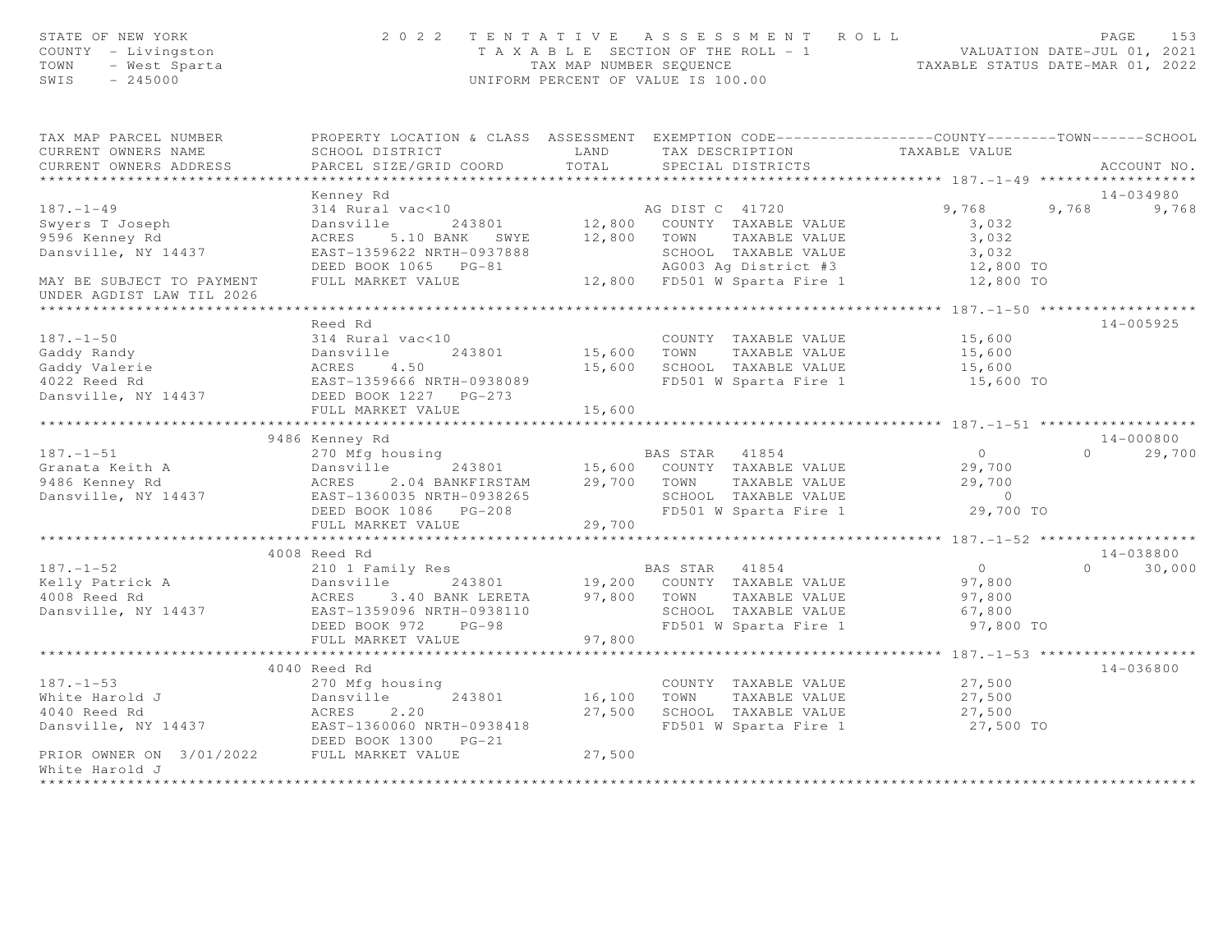| PROPERTY LOCATION & CLASS ASSESSMENT EXEMPTION CODE---------------COUNTY-------TOWN------SCHOOL<br>TAX MAP PARCEL NUMBER<br>LAND<br>TAXABLE VALUE<br>CURRENT OWNERS NAME<br>SCHOOL DISTRICT<br>TAX DESCRIPTION<br>TOTAL<br>CURRENT OWNERS ADDRESS<br>PARCEL SIZE/GRID COORD<br>SPECIAL DISTRICTS<br>ACCOUNT NO.<br>***********************<br>$14 - 034980$<br>Kenney Rd<br>$187. - 1 - 49$<br>AG DIST C 41720<br>12,800 COUNTY TAXABLE VALUE<br>9,768<br>314 Rural vac<10<br>9,768<br>9,768<br>Swyers T Joseph<br>Dansville<br>243801<br>3,032<br>12,800 TOWN TAXABLE VALUE<br>3,032<br>9596 Kenney Rd<br>ACRES 5.10 BANK SWYE<br>SCHOOL TAXABLE VALUE<br>Dansville, NY 14437<br>EAST-1359622 NRTH-0937888<br>3,032<br>DEED BOOK 1065 PG-81<br>AG003 Ag District #3<br>12,800 TO<br>FULL MARKET VALUE<br>12,800 TO<br>MAY BE SUBJECT TO PAYMENT<br>UNDER AGDIST LAW TIL 2026<br>14-005925<br>Reed Rd<br>$187. - 1 - 50$<br>314 Rural vac<10<br>COUNTY TAXABLE VALUE<br>15,600<br>Gaddy Randy<br>15,600 TOWN<br>TAXABLE VALUE<br>15,600<br>Dansville 243801<br>ACRES 4.50<br>EAST-1359666 NRTH-0938089<br>DEED BOOK 1227 PG-273<br>15,600 SCHOOL TAXABLE VALUE<br>Gaddy Valerie<br>15,600<br>FD501 W Sparta Fire 1<br>4022 Reed Rd<br>15,600 TO<br>Dansville, NY 14437<br>DEED BOOK 1227 PG-273<br>FULL MARKET VALUE<br>15,600<br>******************************<br>************<br>$14 - 000800$<br>9486 Kenney Rd<br>$187. - 1 - 51$<br>270 Mfg housing<br>$\overline{0}$<br>29,700<br>$\Omega$<br>243801<br>Granata Keith A<br>Dansville<br>29,700<br>9486 Kenney Rd<br>ACRES 2.04 BANKFIRSTAM<br>29,700 TOWN<br>TAXABLE VALUE<br>29,700<br>Dansville, NY 14437<br>SCHOOL TAXABLE VALUE<br>EAST-1360035 NRTH-0938265<br>$\overline{0}$<br>FD501 W Sparta Fire 1<br>29,700 TO<br>FULL MARKET VALUE<br>29,700<br>****************** 187.-1-52 *******************<br>4008 Reed Rd<br>14-038800<br>$187. - 1 - 52$<br>$\bigcirc$<br>30,000<br>210 1 Family Res<br>BAS STAR 41854<br>$\Omega$<br>Dansville 243801 19,200 COUNTY TAXABLE VALUE<br>Kelly Patrick A<br>97,800<br>3.40 BANK LERETA 97,800 TOWN<br>TAXABLE VALUE<br>4008 Reed Rd<br>ACRES<br>97,800<br>Dansville, NY 14437<br>SCHOOL TAXABLE VALUE<br>EAST-1359096 NRTH-0938110<br>67,800<br>FD501 W Sparta Fire 1<br>DEED BOOK 972 PG-98<br>97,800 TO<br>FULL MARKET VALUE<br>97,800<br>************************<br>4040 Reed Rd<br>14-036800<br>$187. - 1 - 53$<br>270 Mfg housing<br>COUNTY TAXABLE VALUE<br>27,500<br>White Harold J<br>243801<br>16,100<br>TOWN<br>TAXABLE VALUE<br>27,500<br>Dansville<br>27,500<br>4040 Reed Rd<br>ACRES<br>2.20<br>SCHOOL TAXABLE VALUE<br>27,500<br>Dansville, NY 14437 EAST-1360060 NRTH-0938418<br>FD501 W Sparta Fire 1<br>27,500 TO<br>DEED BOOK 1300 PG-21<br>PRIOR OWNER ON 3/01/2022 FULL MARKET VALUE<br>27,500<br>White Harold J<br>************** | STATE OF NEW YORK<br>COUNTY - Livingston<br>TOWN<br>- West Sparta<br>$-245000$<br>SWIS |  | 2022 TENTATIVE ASSESSMENT ROLL<br>T A X A B L E SECTION OF THE ROLL - 1 VALUATION DATE-JUL 01, 2021<br>TAX MAP NUMBER SEQUENCE TAXABLE STATUS DATE-MAR 01, 2022<br>UNIFORM PERCENT OF VALUE IS 100.00 | PAGE<br>153 |
|----------------------------------------------------------------------------------------------------------------------------------------------------------------------------------------------------------------------------------------------------------------------------------------------------------------------------------------------------------------------------------------------------------------------------------------------------------------------------------------------------------------------------------------------------------------------------------------------------------------------------------------------------------------------------------------------------------------------------------------------------------------------------------------------------------------------------------------------------------------------------------------------------------------------------------------------------------------------------------------------------------------------------------------------------------------------------------------------------------------------------------------------------------------------------------------------------------------------------------------------------------------------------------------------------------------------------------------------------------------------------------------------------------------------------------------------------------------------------------------------------------------------------------------------------------------------------------------------------------------------------------------------------------------------------------------------------------------------------------------------------------------------------------------------------------------------------------------------------------------------------------------------------------------------------------------------------------------------------------------------------------------------------------------------------------------------------------------------------------------------------------------------------------------------------------------------------------------------------------------------------------------------------------------------------------------------------------------------------------------------------------------------------------------------------------------------------------------------------------------------------------------------------------------------------------------------------------------------------------------------------------------------------------------------------------------------------------------------------------------------------------------------------------------------------------------------------------------------------------------|----------------------------------------------------------------------------------------|--|-------------------------------------------------------------------------------------------------------------------------------------------------------------------------------------------------------|-------------|
|                                                                                                                                                                                                                                                                                                                                                                                                                                                                                                                                                                                                                                                                                                                                                                                                                                                                                                                                                                                                                                                                                                                                                                                                                                                                                                                                                                                                                                                                                                                                                                                                                                                                                                                                                                                                                                                                                                                                                                                                                                                                                                                                                                                                                                                                                                                                                                                                                                                                                                                                                                                                                                                                                                                                                                                                                                                                |                                                                                        |  |                                                                                                                                                                                                       |             |
|                                                                                                                                                                                                                                                                                                                                                                                                                                                                                                                                                                                                                                                                                                                                                                                                                                                                                                                                                                                                                                                                                                                                                                                                                                                                                                                                                                                                                                                                                                                                                                                                                                                                                                                                                                                                                                                                                                                                                                                                                                                                                                                                                                                                                                                                                                                                                                                                                                                                                                                                                                                                                                                                                                                                                                                                                                                                |                                                                                        |  |                                                                                                                                                                                                       |             |
|                                                                                                                                                                                                                                                                                                                                                                                                                                                                                                                                                                                                                                                                                                                                                                                                                                                                                                                                                                                                                                                                                                                                                                                                                                                                                                                                                                                                                                                                                                                                                                                                                                                                                                                                                                                                                                                                                                                                                                                                                                                                                                                                                                                                                                                                                                                                                                                                                                                                                                                                                                                                                                                                                                                                                                                                                                                                |                                                                                        |  |                                                                                                                                                                                                       |             |
|                                                                                                                                                                                                                                                                                                                                                                                                                                                                                                                                                                                                                                                                                                                                                                                                                                                                                                                                                                                                                                                                                                                                                                                                                                                                                                                                                                                                                                                                                                                                                                                                                                                                                                                                                                                                                                                                                                                                                                                                                                                                                                                                                                                                                                                                                                                                                                                                                                                                                                                                                                                                                                                                                                                                                                                                                                                                |                                                                                        |  |                                                                                                                                                                                                       |             |
|                                                                                                                                                                                                                                                                                                                                                                                                                                                                                                                                                                                                                                                                                                                                                                                                                                                                                                                                                                                                                                                                                                                                                                                                                                                                                                                                                                                                                                                                                                                                                                                                                                                                                                                                                                                                                                                                                                                                                                                                                                                                                                                                                                                                                                                                                                                                                                                                                                                                                                                                                                                                                                                                                                                                                                                                                                                                |                                                                                        |  |                                                                                                                                                                                                       |             |
|                                                                                                                                                                                                                                                                                                                                                                                                                                                                                                                                                                                                                                                                                                                                                                                                                                                                                                                                                                                                                                                                                                                                                                                                                                                                                                                                                                                                                                                                                                                                                                                                                                                                                                                                                                                                                                                                                                                                                                                                                                                                                                                                                                                                                                                                                                                                                                                                                                                                                                                                                                                                                                                                                                                                                                                                                                                                |                                                                                        |  |                                                                                                                                                                                                       |             |
|                                                                                                                                                                                                                                                                                                                                                                                                                                                                                                                                                                                                                                                                                                                                                                                                                                                                                                                                                                                                                                                                                                                                                                                                                                                                                                                                                                                                                                                                                                                                                                                                                                                                                                                                                                                                                                                                                                                                                                                                                                                                                                                                                                                                                                                                                                                                                                                                                                                                                                                                                                                                                                                                                                                                                                                                                                                                |                                                                                        |  |                                                                                                                                                                                                       |             |
|                                                                                                                                                                                                                                                                                                                                                                                                                                                                                                                                                                                                                                                                                                                                                                                                                                                                                                                                                                                                                                                                                                                                                                                                                                                                                                                                                                                                                                                                                                                                                                                                                                                                                                                                                                                                                                                                                                                                                                                                                                                                                                                                                                                                                                                                                                                                                                                                                                                                                                                                                                                                                                                                                                                                                                                                                                                                |                                                                                        |  |                                                                                                                                                                                                       |             |
|                                                                                                                                                                                                                                                                                                                                                                                                                                                                                                                                                                                                                                                                                                                                                                                                                                                                                                                                                                                                                                                                                                                                                                                                                                                                                                                                                                                                                                                                                                                                                                                                                                                                                                                                                                                                                                                                                                                                                                                                                                                                                                                                                                                                                                                                                                                                                                                                                                                                                                                                                                                                                                                                                                                                                                                                                                                                |                                                                                        |  |                                                                                                                                                                                                       |             |
|                                                                                                                                                                                                                                                                                                                                                                                                                                                                                                                                                                                                                                                                                                                                                                                                                                                                                                                                                                                                                                                                                                                                                                                                                                                                                                                                                                                                                                                                                                                                                                                                                                                                                                                                                                                                                                                                                                                                                                                                                                                                                                                                                                                                                                                                                                                                                                                                                                                                                                                                                                                                                                                                                                                                                                                                                                                                |                                                                                        |  |                                                                                                                                                                                                       |             |
|                                                                                                                                                                                                                                                                                                                                                                                                                                                                                                                                                                                                                                                                                                                                                                                                                                                                                                                                                                                                                                                                                                                                                                                                                                                                                                                                                                                                                                                                                                                                                                                                                                                                                                                                                                                                                                                                                                                                                                                                                                                                                                                                                                                                                                                                                                                                                                                                                                                                                                                                                                                                                                                                                                                                                                                                                                                                |                                                                                        |  |                                                                                                                                                                                                       |             |
|                                                                                                                                                                                                                                                                                                                                                                                                                                                                                                                                                                                                                                                                                                                                                                                                                                                                                                                                                                                                                                                                                                                                                                                                                                                                                                                                                                                                                                                                                                                                                                                                                                                                                                                                                                                                                                                                                                                                                                                                                                                                                                                                                                                                                                                                                                                                                                                                                                                                                                                                                                                                                                                                                                                                                                                                                                                                |                                                                                        |  |                                                                                                                                                                                                       |             |
|                                                                                                                                                                                                                                                                                                                                                                                                                                                                                                                                                                                                                                                                                                                                                                                                                                                                                                                                                                                                                                                                                                                                                                                                                                                                                                                                                                                                                                                                                                                                                                                                                                                                                                                                                                                                                                                                                                                                                                                                                                                                                                                                                                                                                                                                                                                                                                                                                                                                                                                                                                                                                                                                                                                                                                                                                                                                |                                                                                        |  |                                                                                                                                                                                                       |             |
|                                                                                                                                                                                                                                                                                                                                                                                                                                                                                                                                                                                                                                                                                                                                                                                                                                                                                                                                                                                                                                                                                                                                                                                                                                                                                                                                                                                                                                                                                                                                                                                                                                                                                                                                                                                                                                                                                                                                                                                                                                                                                                                                                                                                                                                                                                                                                                                                                                                                                                                                                                                                                                                                                                                                                                                                                                                                |                                                                                        |  |                                                                                                                                                                                                       |             |
|                                                                                                                                                                                                                                                                                                                                                                                                                                                                                                                                                                                                                                                                                                                                                                                                                                                                                                                                                                                                                                                                                                                                                                                                                                                                                                                                                                                                                                                                                                                                                                                                                                                                                                                                                                                                                                                                                                                                                                                                                                                                                                                                                                                                                                                                                                                                                                                                                                                                                                                                                                                                                                                                                                                                                                                                                                                                |                                                                                        |  |                                                                                                                                                                                                       |             |
|                                                                                                                                                                                                                                                                                                                                                                                                                                                                                                                                                                                                                                                                                                                                                                                                                                                                                                                                                                                                                                                                                                                                                                                                                                                                                                                                                                                                                                                                                                                                                                                                                                                                                                                                                                                                                                                                                                                                                                                                                                                                                                                                                                                                                                                                                                                                                                                                                                                                                                                                                                                                                                                                                                                                                                                                                                                                |                                                                                        |  |                                                                                                                                                                                                       |             |
|                                                                                                                                                                                                                                                                                                                                                                                                                                                                                                                                                                                                                                                                                                                                                                                                                                                                                                                                                                                                                                                                                                                                                                                                                                                                                                                                                                                                                                                                                                                                                                                                                                                                                                                                                                                                                                                                                                                                                                                                                                                                                                                                                                                                                                                                                                                                                                                                                                                                                                                                                                                                                                                                                                                                                                                                                                                                |                                                                                        |  |                                                                                                                                                                                                       |             |
|                                                                                                                                                                                                                                                                                                                                                                                                                                                                                                                                                                                                                                                                                                                                                                                                                                                                                                                                                                                                                                                                                                                                                                                                                                                                                                                                                                                                                                                                                                                                                                                                                                                                                                                                                                                                                                                                                                                                                                                                                                                                                                                                                                                                                                                                                                                                                                                                                                                                                                                                                                                                                                                                                                                                                                                                                                                                |                                                                                        |  |                                                                                                                                                                                                       |             |
|                                                                                                                                                                                                                                                                                                                                                                                                                                                                                                                                                                                                                                                                                                                                                                                                                                                                                                                                                                                                                                                                                                                                                                                                                                                                                                                                                                                                                                                                                                                                                                                                                                                                                                                                                                                                                                                                                                                                                                                                                                                                                                                                                                                                                                                                                                                                                                                                                                                                                                                                                                                                                                                                                                                                                                                                                                                                |                                                                                        |  |                                                                                                                                                                                                       |             |
|                                                                                                                                                                                                                                                                                                                                                                                                                                                                                                                                                                                                                                                                                                                                                                                                                                                                                                                                                                                                                                                                                                                                                                                                                                                                                                                                                                                                                                                                                                                                                                                                                                                                                                                                                                                                                                                                                                                                                                                                                                                                                                                                                                                                                                                                                                                                                                                                                                                                                                                                                                                                                                                                                                                                                                                                                                                                |                                                                                        |  |                                                                                                                                                                                                       |             |
|                                                                                                                                                                                                                                                                                                                                                                                                                                                                                                                                                                                                                                                                                                                                                                                                                                                                                                                                                                                                                                                                                                                                                                                                                                                                                                                                                                                                                                                                                                                                                                                                                                                                                                                                                                                                                                                                                                                                                                                                                                                                                                                                                                                                                                                                                                                                                                                                                                                                                                                                                                                                                                                                                                                                                                                                                                                                |                                                                                        |  |                                                                                                                                                                                                       |             |
|                                                                                                                                                                                                                                                                                                                                                                                                                                                                                                                                                                                                                                                                                                                                                                                                                                                                                                                                                                                                                                                                                                                                                                                                                                                                                                                                                                                                                                                                                                                                                                                                                                                                                                                                                                                                                                                                                                                                                                                                                                                                                                                                                                                                                                                                                                                                                                                                                                                                                                                                                                                                                                                                                                                                                                                                                                                                |                                                                                        |  |                                                                                                                                                                                                       |             |
|                                                                                                                                                                                                                                                                                                                                                                                                                                                                                                                                                                                                                                                                                                                                                                                                                                                                                                                                                                                                                                                                                                                                                                                                                                                                                                                                                                                                                                                                                                                                                                                                                                                                                                                                                                                                                                                                                                                                                                                                                                                                                                                                                                                                                                                                                                                                                                                                                                                                                                                                                                                                                                                                                                                                                                                                                                                                |                                                                                        |  |                                                                                                                                                                                                       |             |
|                                                                                                                                                                                                                                                                                                                                                                                                                                                                                                                                                                                                                                                                                                                                                                                                                                                                                                                                                                                                                                                                                                                                                                                                                                                                                                                                                                                                                                                                                                                                                                                                                                                                                                                                                                                                                                                                                                                                                                                                                                                                                                                                                                                                                                                                                                                                                                                                                                                                                                                                                                                                                                                                                                                                                                                                                                                                |                                                                                        |  |                                                                                                                                                                                                       |             |
|                                                                                                                                                                                                                                                                                                                                                                                                                                                                                                                                                                                                                                                                                                                                                                                                                                                                                                                                                                                                                                                                                                                                                                                                                                                                                                                                                                                                                                                                                                                                                                                                                                                                                                                                                                                                                                                                                                                                                                                                                                                                                                                                                                                                                                                                                                                                                                                                                                                                                                                                                                                                                                                                                                                                                                                                                                                                |                                                                                        |  |                                                                                                                                                                                                       |             |
|                                                                                                                                                                                                                                                                                                                                                                                                                                                                                                                                                                                                                                                                                                                                                                                                                                                                                                                                                                                                                                                                                                                                                                                                                                                                                                                                                                                                                                                                                                                                                                                                                                                                                                                                                                                                                                                                                                                                                                                                                                                                                                                                                                                                                                                                                                                                                                                                                                                                                                                                                                                                                                                                                                                                                                                                                                                                |                                                                                        |  |                                                                                                                                                                                                       |             |
|                                                                                                                                                                                                                                                                                                                                                                                                                                                                                                                                                                                                                                                                                                                                                                                                                                                                                                                                                                                                                                                                                                                                                                                                                                                                                                                                                                                                                                                                                                                                                                                                                                                                                                                                                                                                                                                                                                                                                                                                                                                                                                                                                                                                                                                                                                                                                                                                                                                                                                                                                                                                                                                                                                                                                                                                                                                                |                                                                                        |  |                                                                                                                                                                                                       |             |
|                                                                                                                                                                                                                                                                                                                                                                                                                                                                                                                                                                                                                                                                                                                                                                                                                                                                                                                                                                                                                                                                                                                                                                                                                                                                                                                                                                                                                                                                                                                                                                                                                                                                                                                                                                                                                                                                                                                                                                                                                                                                                                                                                                                                                                                                                                                                                                                                                                                                                                                                                                                                                                                                                                                                                                                                                                                                |                                                                                        |  |                                                                                                                                                                                                       |             |
|                                                                                                                                                                                                                                                                                                                                                                                                                                                                                                                                                                                                                                                                                                                                                                                                                                                                                                                                                                                                                                                                                                                                                                                                                                                                                                                                                                                                                                                                                                                                                                                                                                                                                                                                                                                                                                                                                                                                                                                                                                                                                                                                                                                                                                                                                                                                                                                                                                                                                                                                                                                                                                                                                                                                                                                                                                                                |                                                                                        |  |                                                                                                                                                                                                       |             |
|                                                                                                                                                                                                                                                                                                                                                                                                                                                                                                                                                                                                                                                                                                                                                                                                                                                                                                                                                                                                                                                                                                                                                                                                                                                                                                                                                                                                                                                                                                                                                                                                                                                                                                                                                                                                                                                                                                                                                                                                                                                                                                                                                                                                                                                                                                                                                                                                                                                                                                                                                                                                                                                                                                                                                                                                                                                                |                                                                                        |  |                                                                                                                                                                                                       |             |
|                                                                                                                                                                                                                                                                                                                                                                                                                                                                                                                                                                                                                                                                                                                                                                                                                                                                                                                                                                                                                                                                                                                                                                                                                                                                                                                                                                                                                                                                                                                                                                                                                                                                                                                                                                                                                                                                                                                                                                                                                                                                                                                                                                                                                                                                                                                                                                                                                                                                                                                                                                                                                                                                                                                                                                                                                                                                |                                                                                        |  |                                                                                                                                                                                                       |             |
|                                                                                                                                                                                                                                                                                                                                                                                                                                                                                                                                                                                                                                                                                                                                                                                                                                                                                                                                                                                                                                                                                                                                                                                                                                                                                                                                                                                                                                                                                                                                                                                                                                                                                                                                                                                                                                                                                                                                                                                                                                                                                                                                                                                                                                                                                                                                                                                                                                                                                                                                                                                                                                                                                                                                                                                                                                                                |                                                                                        |  |                                                                                                                                                                                                       |             |
|                                                                                                                                                                                                                                                                                                                                                                                                                                                                                                                                                                                                                                                                                                                                                                                                                                                                                                                                                                                                                                                                                                                                                                                                                                                                                                                                                                                                                                                                                                                                                                                                                                                                                                                                                                                                                                                                                                                                                                                                                                                                                                                                                                                                                                                                                                                                                                                                                                                                                                                                                                                                                                                                                                                                                                                                                                                                |                                                                                        |  |                                                                                                                                                                                                       |             |
|                                                                                                                                                                                                                                                                                                                                                                                                                                                                                                                                                                                                                                                                                                                                                                                                                                                                                                                                                                                                                                                                                                                                                                                                                                                                                                                                                                                                                                                                                                                                                                                                                                                                                                                                                                                                                                                                                                                                                                                                                                                                                                                                                                                                                                                                                                                                                                                                                                                                                                                                                                                                                                                                                                                                                                                                                                                                |                                                                                        |  |                                                                                                                                                                                                       |             |
|                                                                                                                                                                                                                                                                                                                                                                                                                                                                                                                                                                                                                                                                                                                                                                                                                                                                                                                                                                                                                                                                                                                                                                                                                                                                                                                                                                                                                                                                                                                                                                                                                                                                                                                                                                                                                                                                                                                                                                                                                                                                                                                                                                                                                                                                                                                                                                                                                                                                                                                                                                                                                                                                                                                                                                                                                                                                |                                                                                        |  |                                                                                                                                                                                                       |             |
|                                                                                                                                                                                                                                                                                                                                                                                                                                                                                                                                                                                                                                                                                                                                                                                                                                                                                                                                                                                                                                                                                                                                                                                                                                                                                                                                                                                                                                                                                                                                                                                                                                                                                                                                                                                                                                                                                                                                                                                                                                                                                                                                                                                                                                                                                                                                                                                                                                                                                                                                                                                                                                                                                                                                                                                                                                                                |                                                                                        |  |                                                                                                                                                                                                       |             |
|                                                                                                                                                                                                                                                                                                                                                                                                                                                                                                                                                                                                                                                                                                                                                                                                                                                                                                                                                                                                                                                                                                                                                                                                                                                                                                                                                                                                                                                                                                                                                                                                                                                                                                                                                                                                                                                                                                                                                                                                                                                                                                                                                                                                                                                                                                                                                                                                                                                                                                                                                                                                                                                                                                                                                                                                                                                                |                                                                                        |  |                                                                                                                                                                                                       |             |
|                                                                                                                                                                                                                                                                                                                                                                                                                                                                                                                                                                                                                                                                                                                                                                                                                                                                                                                                                                                                                                                                                                                                                                                                                                                                                                                                                                                                                                                                                                                                                                                                                                                                                                                                                                                                                                                                                                                                                                                                                                                                                                                                                                                                                                                                                                                                                                                                                                                                                                                                                                                                                                                                                                                                                                                                                                                                |                                                                                        |  |                                                                                                                                                                                                       |             |
|                                                                                                                                                                                                                                                                                                                                                                                                                                                                                                                                                                                                                                                                                                                                                                                                                                                                                                                                                                                                                                                                                                                                                                                                                                                                                                                                                                                                                                                                                                                                                                                                                                                                                                                                                                                                                                                                                                                                                                                                                                                                                                                                                                                                                                                                                                                                                                                                                                                                                                                                                                                                                                                                                                                                                                                                                                                                |                                                                                        |  |                                                                                                                                                                                                       |             |
|                                                                                                                                                                                                                                                                                                                                                                                                                                                                                                                                                                                                                                                                                                                                                                                                                                                                                                                                                                                                                                                                                                                                                                                                                                                                                                                                                                                                                                                                                                                                                                                                                                                                                                                                                                                                                                                                                                                                                                                                                                                                                                                                                                                                                                                                                                                                                                                                                                                                                                                                                                                                                                                                                                                                                                                                                                                                |                                                                                        |  |                                                                                                                                                                                                       |             |
|                                                                                                                                                                                                                                                                                                                                                                                                                                                                                                                                                                                                                                                                                                                                                                                                                                                                                                                                                                                                                                                                                                                                                                                                                                                                                                                                                                                                                                                                                                                                                                                                                                                                                                                                                                                                                                                                                                                                                                                                                                                                                                                                                                                                                                                                                                                                                                                                                                                                                                                                                                                                                                                                                                                                                                                                                                                                |                                                                                        |  |                                                                                                                                                                                                       |             |
|                                                                                                                                                                                                                                                                                                                                                                                                                                                                                                                                                                                                                                                                                                                                                                                                                                                                                                                                                                                                                                                                                                                                                                                                                                                                                                                                                                                                                                                                                                                                                                                                                                                                                                                                                                                                                                                                                                                                                                                                                                                                                                                                                                                                                                                                                                                                                                                                                                                                                                                                                                                                                                                                                                                                                                                                                                                                |                                                                                        |  |                                                                                                                                                                                                       |             |
|                                                                                                                                                                                                                                                                                                                                                                                                                                                                                                                                                                                                                                                                                                                                                                                                                                                                                                                                                                                                                                                                                                                                                                                                                                                                                                                                                                                                                                                                                                                                                                                                                                                                                                                                                                                                                                                                                                                                                                                                                                                                                                                                                                                                                                                                                                                                                                                                                                                                                                                                                                                                                                                                                                                                                                                                                                                                |                                                                                        |  |                                                                                                                                                                                                       |             |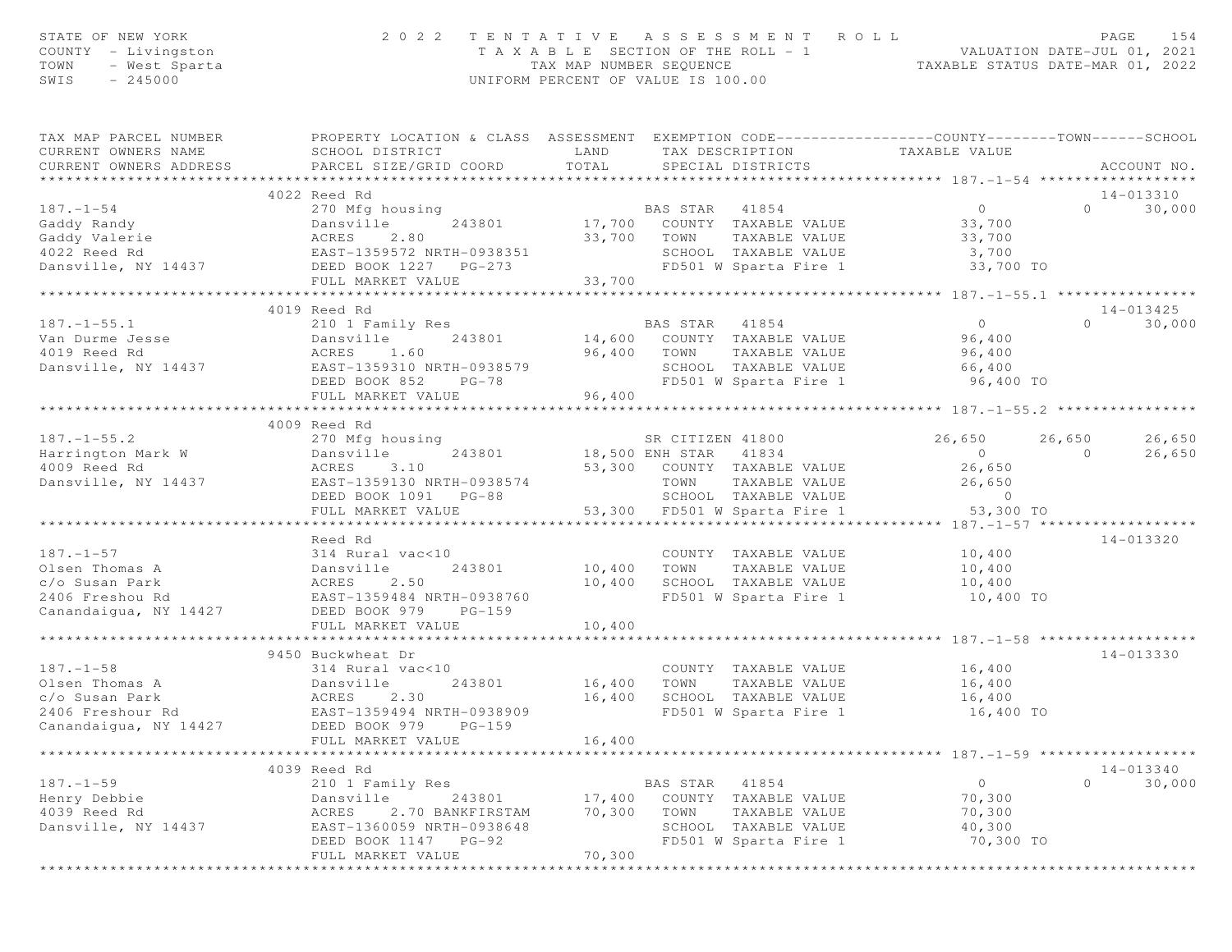| STATE OF NEW YORK<br>COUNTY - Livingston<br>TOWN<br>- West Sparta<br>SWIS<br>$-245000$ | 2 0 2 2                                                                                                                                       | TENTATIVE ASSESSMENT<br>T A X A B L E SECTION OF THE ROLL - 1<br>TAX MAP NUMBER SEQUENCE<br>UNIFORM PERCENT OF VALUE IS 100.00 |                  | ROLL                                                 | VALUATION DATE-JUL 01, 2021<br>TAXABLE STATUS DATE-MAR 01, 2022 |          | PAGE<br>154 |
|----------------------------------------------------------------------------------------|-----------------------------------------------------------------------------------------------------------------------------------------------|--------------------------------------------------------------------------------------------------------------------------------|------------------|------------------------------------------------------|-----------------------------------------------------------------|----------|-------------|
| TAX MAP PARCEL NUMBER<br>CURRENT OWNERS NAME<br>CURRENT OWNERS ADDRESS                 | PROPERTY LOCATION & CLASS ASSESSMENT EXEMPTION CODE----------------COUNTY-------TOWN------SCHOOL<br>SCHOOL DISTRICT<br>PARCEL SIZE/GRID COORD | LAND<br>TOTAL                                                                                                                  |                  | TAX DESCRIPTION TAXABLE VALUE<br>SPECIAL DISTRICTS   |                                                                 |          | ACCOUNT NO. |
|                                                                                        | ******************<br>4022 Reed Rd                                                                                                            |                                                                                                                                |                  |                                                      | ***************** 187.-1-54 *******************                 |          | 14-013310   |
| $187. - 1 - 54$                                                                        | 270 Mfg housing                                                                                                                               |                                                                                                                                | BAS STAR 41854   |                                                      | $\circ$                                                         | $\Omega$ | 30,000      |
|                                                                                        | 243801                                                                                                                                        |                                                                                                                                |                  | 17,700 COUNTY TAXABLE VALUE                          | 33,700                                                          |          |             |
|                                                                                        |                                                                                                                                               |                                                                                                                                | 33,700 TOWN      | TAXABLE VALUE                                        | 33,700                                                          |          |             |
|                                                                                        |                                                                                                                                               |                                                                                                                                |                  | SCHOOL TAXABLE VALUE                                 | 3,700                                                           |          |             |
| Dansville, NY 14437                                                                    | DEED BOOK 1227 PG-273                                                                                                                         |                                                                                                                                |                  | FD501 W Sparta Fire 1                                | 33,700 TO                                                       |          |             |
|                                                                                        | FULL MARKET VALUE                                                                                                                             | 33,700                                                                                                                         |                  |                                                      |                                                                 |          |             |
|                                                                                        | ***************************                                                                                                                   |                                                                                                                                |                  |                                                      |                                                                 |          |             |
|                                                                                        | 4019 Reed Rd                                                                                                                                  |                                                                                                                                |                  |                                                      |                                                                 |          | 14-013425   |
| $187. - 1 - 55.1$<br>Van Durme Jesse                                                   | 210 1 Family Res<br>243801<br>Dansville                                                                                                       |                                                                                                                                | BAS STAR 41854   | <br>14,600 COUNTY TAXABLE VALUE<br>הובע היסגעים היים | $\overline{0}$<br>96,400                                        | $\Omega$ | 30,000      |
| 4019 Reed Rd                                                                           | ACRES<br>1.60                                                                                                                                 | 96,400 TOWN                                                                                                                    |                  | TAXABLE VALUE                                        | 96,400                                                          |          |             |
| Dansville, NY 14437                                                                    | EAST-1359310 NRTH-0938579                                                                                                                     |                                                                                                                                |                  | SCHOOL TAXABLE VALUE                                 | 66,400                                                          |          |             |
|                                                                                        | DEED BOOK 852<br>PG-78                                                                                                                        |                                                                                                                                |                  | FD501 W Sparta Fire 1                                | 96,400 TO                                                       |          |             |
|                                                                                        | FULL MARKET VALUE                                                                                                                             | 96,400                                                                                                                         |                  |                                                      |                                                                 |          |             |
|                                                                                        | ****************************                                                                                                                  |                                                                                                                                |                  |                                                      |                                                                 |          |             |
|                                                                                        | 4009 Reed Rd                                                                                                                                  |                                                                                                                                |                  |                                                      |                                                                 |          |             |
| $187. - 1 - 55.2$                                                                      | 270 Mfg housing                                                                                                                               |                                                                                                                                | SR CITIZEN 41800 |                                                      | 26,650                                                          | 26,650   | 26,650      |
| Harrington Mark W                                                                      | 243801<br>Dansville                                                                                                                           | 18,500 ENH STAR                                                                                                                |                  | 41834                                                | $\overline{O}$                                                  | $\Omega$ | 26,650      |
| 4009 Reed Rd                                                                           | 3.10<br>ACRES                                                                                                                                 |                                                                                                                                |                  | 53,300 COUNTY TAXABLE VALUE                          | 26,650                                                          |          |             |
| Dansville, NY 14437                                                                    | EAST-1359130 NRTH-0938574                                                                                                                     |                                                                                                                                | TOWN             | TAXABLE VALUE                                        | 26,650                                                          |          |             |
|                                                                                        | DEED BOOK 1091 PG-88                                                                                                                          |                                                                                                                                |                  | SCHOOL TAXABLE VALUE                                 | $\sim$ 0                                                        |          |             |
|                                                                                        | FULL MARKET VALUE<br>********************                                                                                                     |                                                                                                                                |                  | 53,300 FD501 W Sparta Fire 1                         | 53,300 TO                                                       |          |             |
|                                                                                        | Reed Rd                                                                                                                                       |                                                                                                                                |                  |                                                      |                                                                 |          | 14-013320   |
| $187. - 1 - 57$                                                                        | 314 Rural vac<10                                                                                                                              |                                                                                                                                |                  | COUNTY TAXABLE VALUE                                 | 10,400                                                          |          |             |
| Olsen Thomas A                                                                         | 243801<br>Dansville                                                                                                                           | 10,400                                                                                                                         | TOWN             | TAXABLE VALUE                                        | 10,400                                                          |          |             |
| c/o Susan Park                                                                         | ACRES<br>2.50                                                                                                                                 | 10,400                                                                                                                         |                  | SCHOOL TAXABLE VALUE                                 | 10,400                                                          |          |             |
| 2406 Freshou Rd                                                                        | EAST-1359484 NRTH-0938760                                                                                                                     |                                                                                                                                |                  | FD501 W Sparta Fire 1                                | 10,400 TO                                                       |          |             |
| Canandaigua, NY 14427                                                                  | DEED BOOK 979<br>$PG-159$                                                                                                                     |                                                                                                                                |                  |                                                      |                                                                 |          |             |
|                                                                                        | FULL MARKET VALUE                                                                                                                             | 10,400                                                                                                                         |                  |                                                      |                                                                 |          |             |
|                                                                                        |                                                                                                                                               |                                                                                                                                |                  |                                                      |                                                                 |          |             |
|                                                                                        | 9450 Buckwheat Dr                                                                                                                             |                                                                                                                                |                  |                                                      |                                                                 |          | 14-013330   |
| $187. - 1 - 58$<br>Olsen Thomas A                                                      | 314 Rural vac<10                                                                                                                              |                                                                                                                                |                  | COUNTY TAXABLE VALUE                                 | 16,400                                                          |          |             |
| c/o Susan Park                                                                         | 243801<br>Dansville<br>ACRES<br>2.30                                                                                                          | 16,400<br>16,400                                                                                                               | TOWN             | TAXABLE VALUE<br>SCHOOL TAXABLE VALUE                | 16,400<br>16,400                                                |          |             |
| 2406 Freshour Rd                                                                       | EAST-1359494 NRTH-0938909                                                                                                                     |                                                                                                                                |                  | FD501 W Sparta Fire 1                                | 16,400 TO                                                       |          |             |
| Canandaigua, NY 14427                                                                  | DEED BOOK 979<br>$PG-159$                                                                                                                     |                                                                                                                                |                  |                                                      |                                                                 |          |             |
|                                                                                        | FULL MARKET VALUE                                                                                                                             | 16,400                                                                                                                         |                  |                                                      |                                                                 |          |             |
|                                                                                        |                                                                                                                                               |                                                                                                                                |                  |                                                      | *********** 187.-1-59 ******                                    |          |             |
|                                                                                        | 4039 Reed Rd                                                                                                                                  |                                                                                                                                |                  |                                                      |                                                                 |          | 14-013340   |
| $187. - 1 - 59$                                                                        | 210 1 Family Res                                                                                                                              |                                                                                                                                | BAS STAR         | 41854                                                | $\circ$                                                         | $\Omega$ | 30,000      |
| Henry Debbie                                                                           | Dansville<br>243801                                                                                                                           | 17,400                                                                                                                         |                  | COUNTY TAXABLE VALUE                                 | 70,300                                                          |          |             |
| 4039 Reed Rd                                                                           | 2.70 BANKFIRSTAM<br>ACRES                                                                                                                     | 70,300                                                                                                                         | TOWN             | TAXABLE VALUE                                        | 70,300                                                          |          |             |
| Dansville, NY 14437                                                                    | EAST-1360059 NRTH-0938648                                                                                                                     |                                                                                                                                |                  | SCHOOL TAXABLE VALUE                                 | 40,300                                                          |          |             |
|                                                                                        | DEED BOOK 1147 PG-92                                                                                                                          |                                                                                                                                |                  | FD501 W Sparta Fire 1                                | 70,300 TO                                                       |          |             |
|                                                                                        | FULL MARKET VALUE                                                                                                                             | 70,300                                                                                                                         |                  |                                                      |                                                                 |          |             |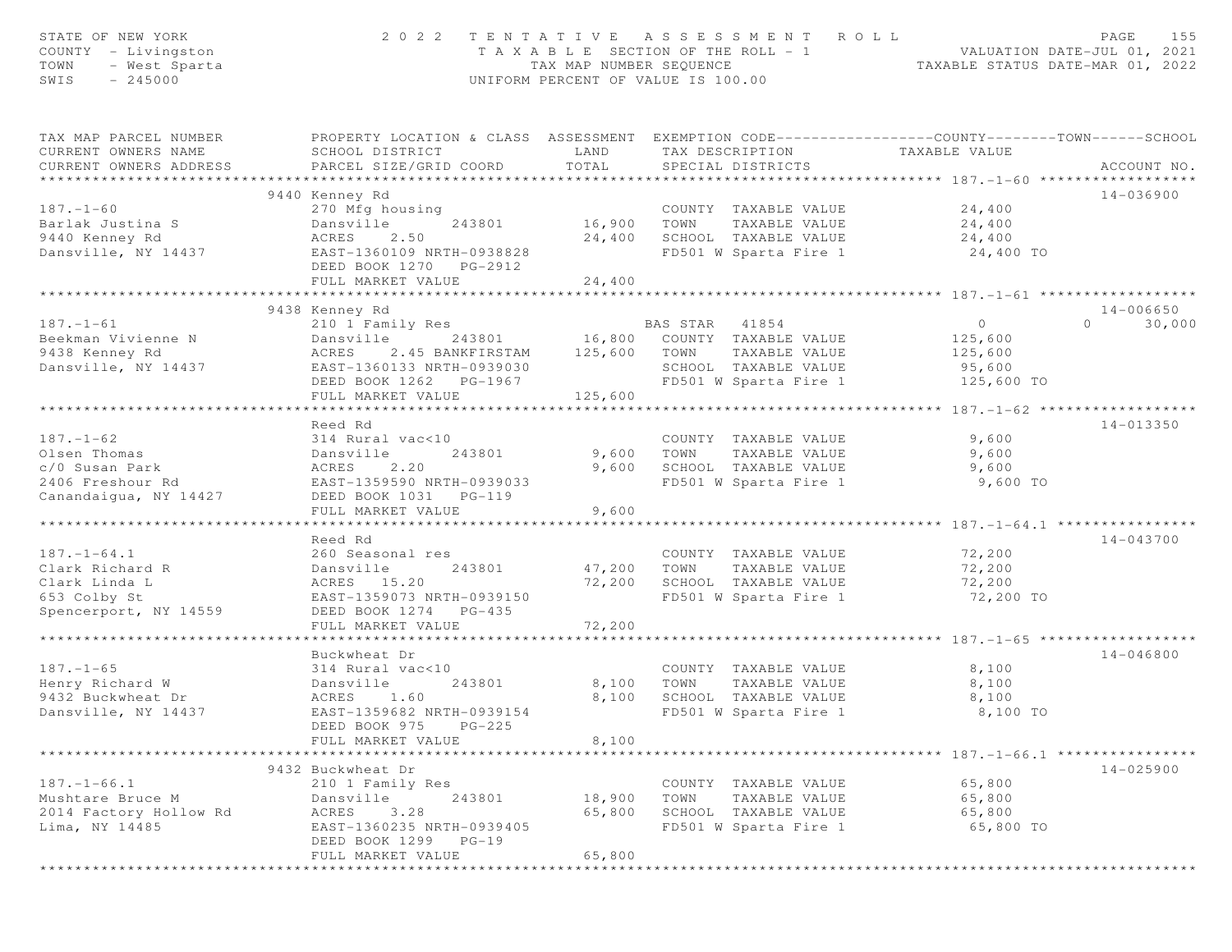| STATE OF NEW YORK<br>COUNTY - Livingston<br>TOWN<br>- West Sparta<br>SWIS<br>$-245000$ | 2022 TENTATIVE ASSESSMENT ROLL                                                                                                                | TAX MAP NUMBER SEQUENCE | T A X A B L E SECTION OF THE ROLL - 1<br>UNIFORM PERCENT OF VALUE IS 100.00 |                                       | ROLL - 1 VALUATION DATE-JUL 01, 2021<br>TAXABLE STATUS DATE-MAR 01, 2022 | PAGE<br>155        |
|----------------------------------------------------------------------------------------|-----------------------------------------------------------------------------------------------------------------------------------------------|-------------------------|-----------------------------------------------------------------------------|---------------------------------------|--------------------------------------------------------------------------|--------------------|
| TAX MAP PARCEL NUMBER<br>CURRENT OWNERS NAME<br>CURRENT OWNERS ADDRESS                 | PROPERTY LOCATION & CLASS ASSESSMENT EXEMPTION CODE----------------COUNTY-------TOWN------SCHOOL<br>SCHOOL DISTRICT<br>PARCEL SIZE/GRID COORD | LAND<br>TOTAL           | TAX DESCRIPTION<br>SPECIAL DISTRICTS                                        |                                       | TAXABLE VALUE                                                            | ACCOUNT NO.        |
|                                                                                        |                                                                                                                                               |                         |                                                                             |                                       |                                                                          |                    |
| $187. - 1 - 60$                                                                        | 9440 Kenney Rd<br>270 Mfg housing                                                                                                             |                         |                                                                             | COUNTY TAXABLE VALUE                  | 24,400                                                                   | 14-036900          |
| Barlak Justina S                                                                       | 243801<br>Dansville                                                                                                                           | 16,900                  | TOWN                                                                        | TAXABLE VALUE                         | 24,400                                                                   |                    |
| 9440 Kenney Rd                                                                         | ACRES<br>2.50                                                                                                                                 | 24,400                  |                                                                             | SCHOOL TAXABLE VALUE                  | 24,400                                                                   |                    |
| Dansville, NY 14437                                                                    | EAST-1360109 NRTH-0938828                                                                                                                     |                         |                                                                             | FD501 W Sparta Fire 1                 | 24,400 TO                                                                |                    |
|                                                                                        | DEED BOOK 1270 PG-2912                                                                                                                        |                         |                                                                             |                                       |                                                                          |                    |
|                                                                                        | FULL MARKET VALUE                                                                                                                             | 24,400                  |                                                                             |                                       |                                                                          |                    |
|                                                                                        | **************************                                                                                                                    | ***********             |                                                                             |                                       |                                                                          |                    |
|                                                                                        | 9438 Kenney Rd                                                                                                                                |                         |                                                                             |                                       |                                                                          | 14-006650          |
| $187. - 1 - 61$                                                                        | 210 1 Family Res                                                                                                                              |                         |                                                                             |                                       | $\overline{O}$                                                           | $\Omega$<br>30,000 |
| Beekman Vivienne N                                                                     | Dansville                                                                                                                                     |                         |                                                                             |                                       | 125,600                                                                  |                    |
| 9438 Kenney Rd                                                                         | ACRES<br>2.45 BANKFIRSTAM                                                                                                                     | 125,600 TOWN            |                                                                             | TAXABLE VALUE                         | 125,600                                                                  |                    |
| Dansville, NY 14437                                                                    | EAST-1360133 NRTH-0939030                                                                                                                     |                         |                                                                             | SCHOOL TAXABLE VALUE                  | 95,600                                                                   |                    |
|                                                                                        | DEED BOOK 1262    PG-1967                                                                                                                     |                         |                                                                             | FD501 W Sparta Fire 1                 | 125,600 TO                                                               |                    |
|                                                                                        | FULL MARKET VALUE                                                                                                                             | 125,600                 |                                                                             |                                       |                                                                          |                    |
|                                                                                        | Reed Rd                                                                                                                                       |                         |                                                                             |                                       |                                                                          | 14-013350          |
| $187. - 1 - 62$                                                                        | 314 Rural vac<10                                                                                                                              |                         |                                                                             | COUNTY TAXABLE VALUE                  | 9,600                                                                    |                    |
| Olsen Thomas                                                                           | 243801<br>Dansville                                                                                                                           | 9,600                   | TOWN                                                                        | TAXABLE VALUE                         | 9,600                                                                    |                    |
| c/0 Susan Park                                                                         | 2.20<br>ACRES                                                                                                                                 | 9,600                   |                                                                             | SCHOOL TAXABLE VALUE                  | 9,600                                                                    |                    |
| 2406 Freshour Rd                                                                       | EAST-1359590 NRTH-0939033                                                                                                                     |                         |                                                                             | FD501 W Sparta Fire 1                 | 9,600 TO                                                                 |                    |
| Canandaigua, NY 14427                                                                  | DEED BOOK 1031    PG-119                                                                                                                      |                         |                                                                             |                                       |                                                                          |                    |
|                                                                                        | FULL MARKET VALUE                                                                                                                             | 9,600                   |                                                                             |                                       |                                                                          |                    |
|                                                                                        |                                                                                                                                               |                         |                                                                             |                                       |                                                                          |                    |
|                                                                                        | Reed Rd                                                                                                                                       |                         |                                                                             |                                       |                                                                          | 14-043700          |
| $187. - 1 - 64.1$                                                                      | 260 Seasonal res                                                                                                                              |                         |                                                                             | COUNTY TAXABLE VALUE                  | 72,200                                                                   |                    |
| Clark Richard R                                                                        | 243801<br>Dansville                                                                                                                           | 47,200                  | TOWN                                                                        | TAXABLE VALUE                         | 72,200                                                                   |                    |
| Clark Linda L                                                                          | ACRES 15.20                                                                                                                                   | 72,200                  | SCHOOL TAXABLE VALUE                                                        |                                       | 72,200                                                                   |                    |
| 653 Colby St                                                                           | EAST-1359073 NRTH-0939150                                                                                                                     |                         |                                                                             | FD501 W Sparta Fire 1                 | 72,200 TO                                                                |                    |
| Spencerport, NY 14559                                                                  | DEED BOOK 1274 PG-435<br>FULL MARKET VALUE                                                                                                    | 72,200                  |                                                                             |                                       |                                                                          |                    |
|                                                                                        |                                                                                                                                               |                         |                                                                             |                                       |                                                                          |                    |
|                                                                                        | Buckwheat Dr                                                                                                                                  |                         |                                                                             |                                       |                                                                          | 14-046800          |
| $187. - 1 - 65$                                                                        | 314 Rural vac<10                                                                                                                              |                         |                                                                             | COUNTY TAXABLE VALUE                  | 8,100                                                                    |                    |
| Henry Richard W                                                                        | 243801<br>Dansville                                                                                                                           | 8,100                   | TOWN                                                                        | TAXABLE VALUE                         | 8,100                                                                    |                    |
| 9432 Buckwheat Dr                                                                      | ACRES<br>1.60                                                                                                                                 | 8,100                   |                                                                             | SCHOOL TAXABLE VALUE                  | 8,100                                                                    |                    |
| Dansville, NY 14437                                                                    | EAST-1359682 NRTH-0939154                                                                                                                     |                         |                                                                             | FD501 W Sparta Fire 1                 | 8,100 TO                                                                 |                    |
|                                                                                        | DEED BOOK 975<br>$PG-225$                                                                                                                     |                         |                                                                             |                                       |                                                                          |                    |
|                                                                                        | FULL MARKET VALUE                                                                                                                             | 8,100                   |                                                                             |                                       |                                                                          |                    |
|                                                                                        |                                                                                                                                               |                         |                                                                             |                                       | ********************** 187. -1-66.1 ****************                     |                    |
|                                                                                        | 9432 Buckwheat Dr                                                                                                                             |                         |                                                                             |                                       |                                                                          | $14 - 025900$      |
| $187. - 1 - 66.1$                                                                      | 210 1 Family Res                                                                                                                              |                         |                                                                             | COUNTY TAXABLE VALUE                  | 65,800                                                                   |                    |
| Mushtare Bruce M<br>2014 Factory Hollow Rd                                             | 243801<br>Dansville<br>3.28<br>ACRES                                                                                                          | 18,900<br>65,800        | TOWN                                                                        | TAXABLE VALUE<br>SCHOOL TAXABLE VALUE | 65,800<br>65,800                                                         |                    |
| Lima, NY 14485                                                                         | EAST-1360235 NRTH-0939405                                                                                                                     |                         |                                                                             | FD501 W Sparta Fire 1                 | 65,800 TO                                                                |                    |
|                                                                                        | DEED BOOK 1299 PG-19                                                                                                                          |                         |                                                                             |                                       |                                                                          |                    |
|                                                                                        | FULL MARKET VALUE                                                                                                                             | 65,800                  |                                                                             |                                       |                                                                          |                    |
|                                                                                        |                                                                                                                                               |                         |                                                                             |                                       |                                                                          |                    |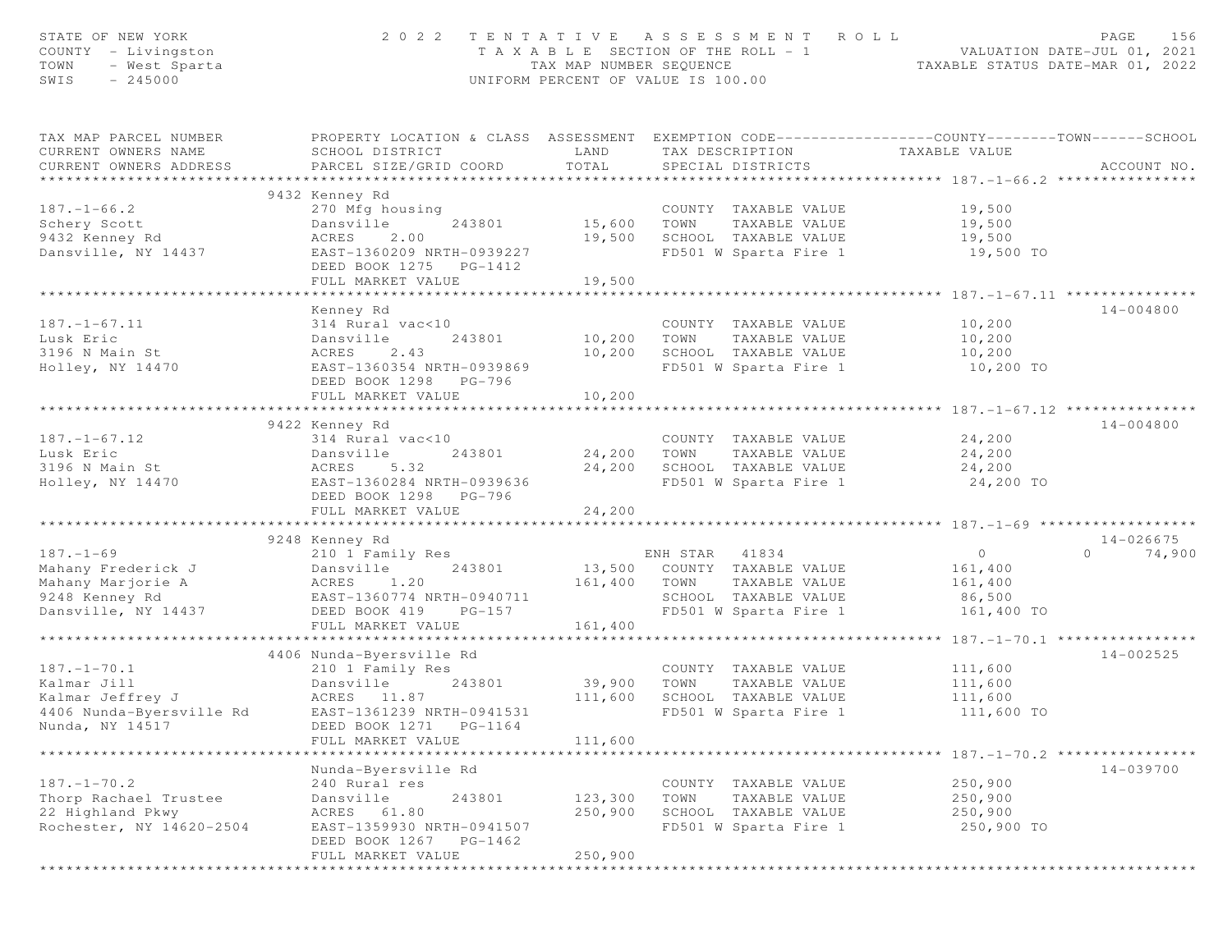| STATE OF NEW YORK<br>COUNTY - Livingston<br>TOWN<br>- West Sparta<br>$-245000$<br>SWIS | 2 0 2 2                                                                                                                                       | TENTATIVE ASSESSMENT<br>T A X A B L E SECTION OF THE ROLL - 1<br>TAX MAP NUMBER SEQUENCE<br>UNIFORM PERCENT OF VALUE IS 100.00 |                | ROLL                                  | VALUATION DATE-JUL 01, 2021<br>TAXABLE STATUS DATE-MAR 01, 2022 | 156<br>PAGE        |
|----------------------------------------------------------------------------------------|-----------------------------------------------------------------------------------------------------------------------------------------------|--------------------------------------------------------------------------------------------------------------------------------|----------------|---------------------------------------|-----------------------------------------------------------------|--------------------|
| TAX MAP PARCEL NUMBER<br>CURRENT OWNERS NAME<br>CURRENT OWNERS ADDRESS                 | PROPERTY LOCATION & CLASS ASSESSMENT EXEMPTION CODE----------------COUNTY-------TOWN------SCHOOL<br>SCHOOL DISTRICT<br>PARCEL SIZE/GRID COORD | LAND<br>TOTAL                                                                                                                  |                | TAX DESCRIPTION<br>SPECIAL DISTRICTS  | TAXABLE VALUE                                                   | ACCOUNT NO.        |
|                                                                                        |                                                                                                                                               |                                                                                                                                |                |                                       |                                                                 |                    |
|                                                                                        | 9432 Kenney Rd                                                                                                                                |                                                                                                                                |                |                                       |                                                                 |                    |
| $187. - 1 - 66.2$                                                                      | 270 Mfg housing                                                                                                                               |                                                                                                                                |                | COUNTY TAXABLE VALUE                  | 19,500                                                          |                    |
| Schery Scott<br>9432 Kenney Rd                                                         | 243801<br>Dansville<br>ACRES<br>2.00                                                                                                          | 15,600<br>19,500                                                                                                               | TOWN           | TAXABLE VALUE<br>SCHOOL TAXABLE VALUE | 19,500<br>19,500                                                |                    |
| Dansville, NY 14437                                                                    | EAST-1360209 NRTH-0939227                                                                                                                     |                                                                                                                                |                | FD501 W Sparta Fire 1                 | 19,500 TO                                                       |                    |
|                                                                                        | DEED BOOK 1275 PG-1412                                                                                                                        |                                                                                                                                |                |                                       |                                                                 |                    |
|                                                                                        | FULL MARKET VALUE                                                                                                                             | 19,500                                                                                                                         |                |                                       |                                                                 |                    |
|                                                                                        | ************************                                                                                                                      | *************                                                                                                                  |                |                                       |                                                                 |                    |
|                                                                                        | Kenney Rd                                                                                                                                     |                                                                                                                                |                |                                       |                                                                 | 14-004800          |
| $187. - 1 - 67.11$                                                                     | 314 Rural vac<10                                                                                                                              |                                                                                                                                |                | COUNTY TAXABLE VALUE                  | 10,200                                                          |                    |
| Lusk Eric                                                                              | Dansville<br>243801                                                                                                                           | 10,200                                                                                                                         | TOWN           | TAXABLE VALUE                         | 10,200                                                          |                    |
| 3196 N Main St                                                                         | ACRES<br>2.43                                                                                                                                 | 10,200                                                                                                                         |                | SCHOOL TAXABLE VALUE                  | 10,200                                                          |                    |
| Holley, NY 14470                                                                       | EAST-1360354 NRTH-0939869                                                                                                                     |                                                                                                                                |                | FD501 W Sparta Fire 1                 | 10,200 TO                                                       |                    |
|                                                                                        | DEED BOOK 1298 PG-796                                                                                                                         |                                                                                                                                |                |                                       |                                                                 |                    |
|                                                                                        | FULL MARKET VALUE                                                                                                                             | 10,200<br>*************                                                                                                        |                |                                       | ************************ 187. -1-67.12 ***************          |                    |
|                                                                                        | 9422 Kenney Rd                                                                                                                                |                                                                                                                                |                |                                       |                                                                 | 14-004800          |
| $187. - 1 - 67.12$                                                                     | 314 Rural vac<10                                                                                                                              |                                                                                                                                |                | COUNTY TAXABLE VALUE                  | 24,200                                                          |                    |
| Lusk Eric                                                                              | 243801<br>Dansville                                                                                                                           | 24,200                                                                                                                         | TOWN           | TAXABLE VALUE                         | 24,200                                                          |                    |
| 3196 N Main St                                                                         | 5.32<br>ACRES                                                                                                                                 | 24,200                                                                                                                         |                | SCHOOL TAXABLE VALUE                  | 24,200                                                          |                    |
| Holley, NY 14470                                                                       | EAST-1360284 NRTH-0939636                                                                                                                     |                                                                                                                                |                | FD501 W Sparta Fire 1                 | 24,200 TO                                                       |                    |
|                                                                                        | DEED BOOK 1298 PG-796                                                                                                                         |                                                                                                                                |                |                                       |                                                                 |                    |
|                                                                                        | FULL MARKET VALUE                                                                                                                             | 24,200                                                                                                                         |                |                                       |                                                                 |                    |
|                                                                                        |                                                                                                                                               |                                                                                                                                |                |                                       |                                                                 |                    |
|                                                                                        | 9248 Kenney Rd                                                                                                                                |                                                                                                                                |                |                                       |                                                                 | $14 - 026675$      |
| $187. - 1 - 69$                                                                        | 210 1 Family Res                                                                                                                              |                                                                                                                                | ENH STAR 41834 |                                       | $\overline{O}$                                                  | $\Omega$<br>74,900 |
| Mahany Frederick J                                                                     | 243801<br>Dansville                                                                                                                           |                                                                                                                                |                | 13,500 COUNTY TAXABLE VALUE           | 161,400                                                         |                    |
| Mahany Marjorie A                                                                      | ACRES<br>1.20                                                                                                                                 | 161,400                                                                                                                        | TOWN           | TAXABLE VALUE                         | 161,400                                                         |                    |
| 9248 Kenney Rd                                                                         | EAST-1360774 NRTH-0940711                                                                                                                     |                                                                                                                                |                | SCHOOL TAXABLE VALUE                  | 86,500                                                          |                    |
| Dansville, NY 14437                                                                    | DEED BOOK 419<br>$PG-157$<br>FULL MARKET VALUE                                                                                                | 161,400                                                                                                                        |                | FD501 W Sparta Fire 1                 | 161,400 TO                                                      |                    |
|                                                                                        |                                                                                                                                               |                                                                                                                                |                |                                       |                                                                 |                    |
|                                                                                        | 4406 Nunda-Byersville Rd                                                                                                                      |                                                                                                                                |                |                                       |                                                                 | 14-002525          |
| $187. - 1 - 70.1$                                                                      | 210 1 Family Res                                                                                                                              |                                                                                                                                |                | COUNTY TAXABLE VALUE                  | 111,600                                                         |                    |
| Kalmar Jill                                                                            | Dansville<br>243801                                                                                                                           | 39,900                                                                                                                         | TOWN           | TAXABLE VALUE                         | 111,600                                                         |                    |
| Kalmar Jeffrey J                                                                       | ACRES 11.87                                                                                                                                   | 111,600                                                                                                                        |                | SCHOOL TAXABLE VALUE                  | 111,600                                                         |                    |
| 4406 Nunda-Byersville Rd                                                               | EAST-1361239 NRTH-0941531                                                                                                                     |                                                                                                                                |                | FD501 W Sparta Fire 1                 | 111,600 TO                                                      |                    |
| Nunda, NY 14517                                                                        | DEED BOOK 1271<br>$PG-1164$                                                                                                                   |                                                                                                                                |                |                                       |                                                                 |                    |
|                                                                                        | FULL MARKET VALUE                                                                                                                             | 111,600                                                                                                                        |                |                                       |                                                                 |                    |
|                                                                                        |                                                                                                                                               |                                                                                                                                |                |                                       | ********************* 187. -1-70. 2 ****************            |                    |
|                                                                                        | Nunda-Byersville Rd                                                                                                                           |                                                                                                                                |                |                                       |                                                                 | 14-039700          |
| $187. - 1 - 70.2$                                                                      | 240 Rural res                                                                                                                                 |                                                                                                                                |                | COUNTY TAXABLE VALUE                  | 250,900                                                         |                    |
| Thorp Rachael Trustee                                                                  | 243801<br>Dansville                                                                                                                           | 123,300                                                                                                                        | TOWN           | TAXABLE VALUE                         | 250,900                                                         |                    |
| 22 Highland Pkwy                                                                       | ACRES<br>61.80                                                                                                                                | 250,900                                                                                                                        |                | SCHOOL TAXABLE VALUE                  | 250,900                                                         |                    |
| Rochester, NY 14620-2504                                                               | EAST-1359930 NRTH-0941507                                                                                                                     |                                                                                                                                |                | FD501 W Sparta Fire 1                 | 250,900 TO                                                      |                    |
|                                                                                        | DEED BOOK 1267 PG-1462<br>FULL MARKET VALUE                                                                                                   | 250,900                                                                                                                        |                |                                       |                                                                 |                    |
|                                                                                        |                                                                                                                                               |                                                                                                                                |                |                                       |                                                                 |                    |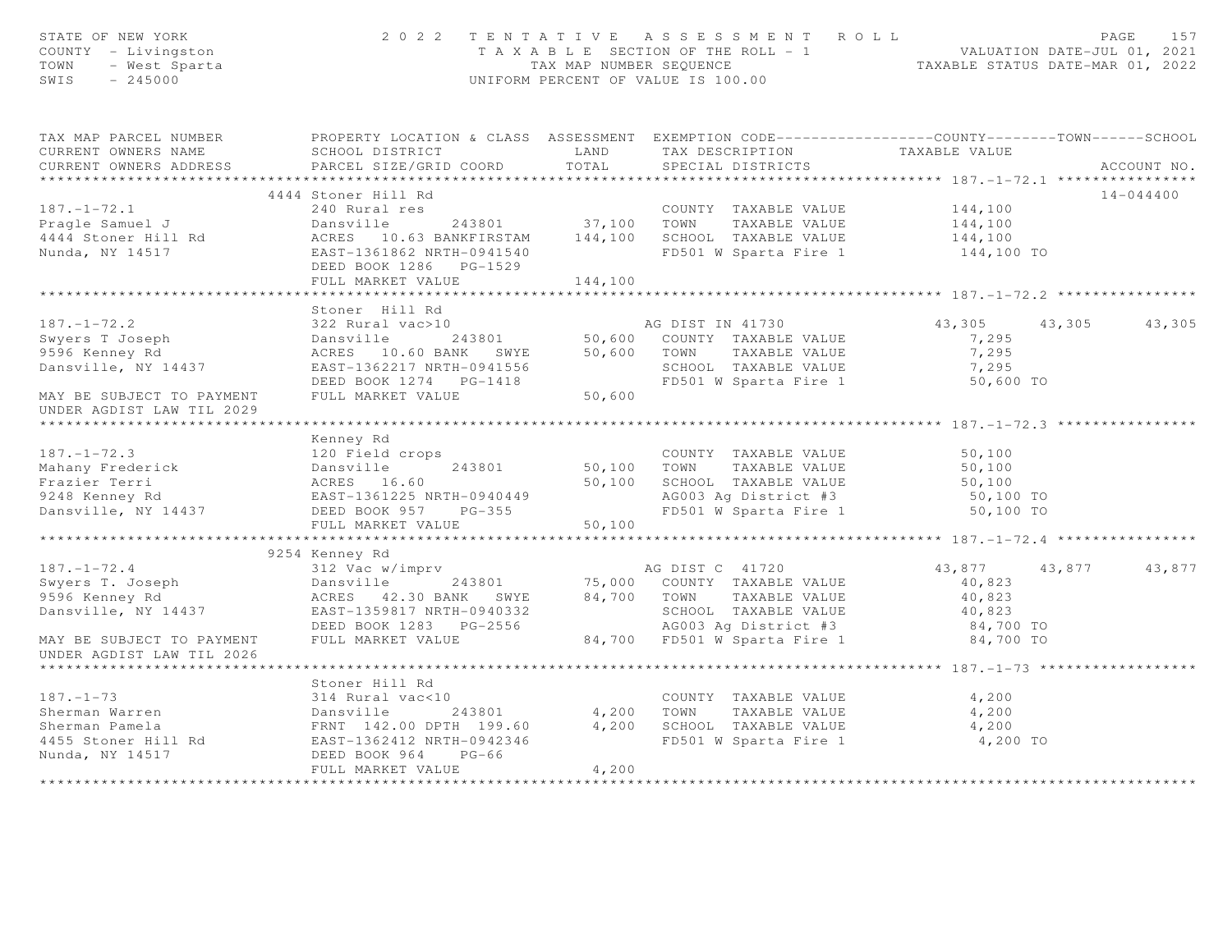| STATE OF NEW YORK<br>STATE OF NEW YORK<br>COUNTY - Livingston<br>TOWN - West Sparta<br>SWIS - 245000                                                                                                                                                                  |                          |       | 2022 TENTATIVE ASSESSMENT ROLL<br>TAXABLE SECTION OF THE ROLL - 1<br>TAXABLE SECTION OF THE ROLL - 1<br>TAX MAP NUMBER SEQUENCE<br>UNIFORM PERCENT OF VALUE IS 100.00<br>UNIFORM PERCENT OF VALUE IS 100.00 |                      |               |               |  |
|-----------------------------------------------------------------------------------------------------------------------------------------------------------------------------------------------------------------------------------------------------------------------|--------------------------|-------|-------------------------------------------------------------------------------------------------------------------------------------------------------------------------------------------------------------|----------------------|---------------|---------------|--|
| TAX MAP PARCEL NUMBER FROPERTY LOCATION & CLASS ASSESSMENT EXEMPTION CODE---------------COUNTY-------TOWN------SCHOOL                                                                                                                                                 |                          |       |                                                                                                                                                                                                             |                      |               |               |  |
| CURRENT OWNERS NAME                                                                                                                                                                                                                                                   |                          |       |                                                                                                                                                                                                             |                      |               |               |  |
| CURRENT OWNERS ADDRESS                                                                                                                                                                                                                                                |                          |       |                                                                                                                                                                                                             |                      |               | ACCOUNT NO.   |  |
|                                                                                                                                                                                                                                                                       |                          |       |                                                                                                                                                                                                             |                      |               |               |  |
| 187.-1-72.1<br>Pragle Samuel J<br>Pragle Samuel J<br>240 Rural res 243801<br>243801<br>243801<br>24444 Stoner Hill Rd ACRES 10.63 BANKFIRSTAM<br>243801<br>243801<br>243801<br>243801<br>37,100 TOWN TAXABLE VALUE DALUE<br>24444 Stoner Hill Rd ACRES                | 4444 Stoner Hill Rd      |       |                                                                                                                                                                                                             |                      |               | $14 - 044400$ |  |
|                                                                                                                                                                                                                                                                       |                          |       |                                                                                                                                                                                                             |                      |               |               |  |
|                                                                                                                                                                                                                                                                       |                          |       |                                                                                                                                                                                                             |                      |               |               |  |
|                                                                                                                                                                                                                                                                       |                          |       |                                                                                                                                                                                                             |                      |               |               |  |
|                                                                                                                                                                                                                                                                       |                          |       |                                                                                                                                                                                                             |                      |               |               |  |
|                                                                                                                                                                                                                                                                       |                          |       |                                                                                                                                                                                                             |                      |               |               |  |
|                                                                                                                                                                                                                                                                       |                          |       |                                                                                                                                                                                                             |                      |               |               |  |
|                                                                                                                                                                                                                                                                       | Stoner Hill Rd           |       |                                                                                                                                                                                                             |                      |               |               |  |
|                                                                                                                                                                                                                                                                       |                          |       |                                                                                                                                                                                                             |                      | 43,305 43,305 |               |  |
|                                                                                                                                                                                                                                                                       |                          |       |                                                                                                                                                                                                             |                      |               |               |  |
|                                                                                                                                                                                                                                                                       |                          |       |                                                                                                                                                                                                             |                      |               |               |  |
|                                                                                                                                                                                                                                                                       |                          |       |                                                                                                                                                                                                             |                      |               |               |  |
|                                                                                                                                                                                                                                                                       |                          |       |                                                                                                                                                                                                             |                      |               |               |  |
| 187.-1-72.2<br>Supers T Joseph 22 Rural vac>10<br>Dansville 243801<br>9596 Kenney Rd ACRES 10.60 BANK SWYE 50,600 COUNTY TAXABLE VALUE 7,295<br>Dansville, NY 14437 EAST-1362217 NRTH-0941556<br>MAY BE SUBJECT TO PAYMENT FULL MARKET V<br>UNDER AGDIST LAW TIL 2029 |                          |       |                                                                                                                                                                                                             |                      |               |               |  |
|                                                                                                                                                                                                                                                                       |                          |       |                                                                                                                                                                                                             |                      |               |               |  |
|                                                                                                                                                                                                                                                                       | Kenney Rd                |       |                                                                                                                                                                                                             |                      |               |               |  |
|                                                                                                                                                                                                                                                                       |                          |       |                                                                                                                                                                                                             |                      |               |               |  |
|                                                                                                                                                                                                                                                                       |                          |       |                                                                                                                                                                                                             |                      |               |               |  |
|                                                                                                                                                                                                                                                                       |                          |       |                                                                                                                                                                                                             |                      |               |               |  |
|                                                                                                                                                                                                                                                                       |                          |       |                                                                                                                                                                                                             |                      |               |               |  |
| 187.-1-72.3<br>Mahany Frederick 120 Field crops<br>Mahany Frederick Dansville 243801<br>Frazier Terri ACRES 16.60<br>9248 Kenney Rd EAST-1361225 NRTH-0940449<br>Dansville, NY 14437 DEED BOOK 95 76-355<br>Dansville, NY 14437 DEED BOOK                             |                          |       |                                                                                                                                                                                                             |                      |               |               |  |
|                                                                                                                                                                                                                                                                       | FULL MARKET VALUE 50,100 |       |                                                                                                                                                                                                             |                      |               |               |  |
|                                                                                                                                                                                                                                                                       |                          |       |                                                                                                                                                                                                             |                      |               |               |  |
|                                                                                                                                                                                                                                                                       | 9254 Kenney Rd           |       |                                                                                                                                                                                                             |                      |               |               |  |
|                                                                                                                                                                                                                                                                       |                          |       |                                                                                                                                                                                                             | 43,877 43,877 43,877 |               |               |  |
|                                                                                                                                                                                                                                                                       |                          |       |                                                                                                                                                                                                             |                      |               |               |  |
|                                                                                                                                                                                                                                                                       |                          |       |                                                                                                                                                                                                             |                      |               |               |  |
| 187. -1-72.4<br>Supers T. Joseph 2432 Vac W/imprv<br>243801 75,000 COUNTY TAXABLE VALUE 40,823<br>243801 75,000 COUNTY TAXABLE VALUE 40,823<br>243801 75,000 COUNTY TAXABLE VALUE 40,823<br>246 ACRES 42.30 BANK SWYE 84,700 TOWN TAXABL                              |                          |       |                                                                                                                                                                                                             |                      |               |               |  |
|                                                                                                                                                                                                                                                                       |                          |       |                                                                                                                                                                                                             |                      |               |               |  |
| UNDER AGDIST LAW TIL 2026                                                                                                                                                                                                                                             |                          |       |                                                                                                                                                                                                             |                      |               |               |  |
|                                                                                                                                                                                                                                                                       |                          |       |                                                                                                                                                                                                             |                      |               |               |  |
|                                                                                                                                                                                                                                                                       |                          |       |                                                                                                                                                                                                             |                      |               |               |  |
|                                                                                                                                                                                                                                                                       |                          |       |                                                                                                                                                                                                             |                      |               |               |  |
|                                                                                                                                                                                                                                                                       |                          |       |                                                                                                                                                                                                             |                      |               |               |  |
|                                                                                                                                                                                                                                                                       |                          |       |                                                                                                                                                                                                             |                      |               |               |  |
|                                                                                                                                                                                                                                                                       |                          |       |                                                                                                                                                                                                             |                      |               |               |  |
|                                                                                                                                                                                                                                                                       | FULL MARKET VALUE        | 4,200 |                                                                                                                                                                                                             |                      |               |               |  |
|                                                                                                                                                                                                                                                                       |                          |       |                                                                                                                                                                                                             |                      |               |               |  |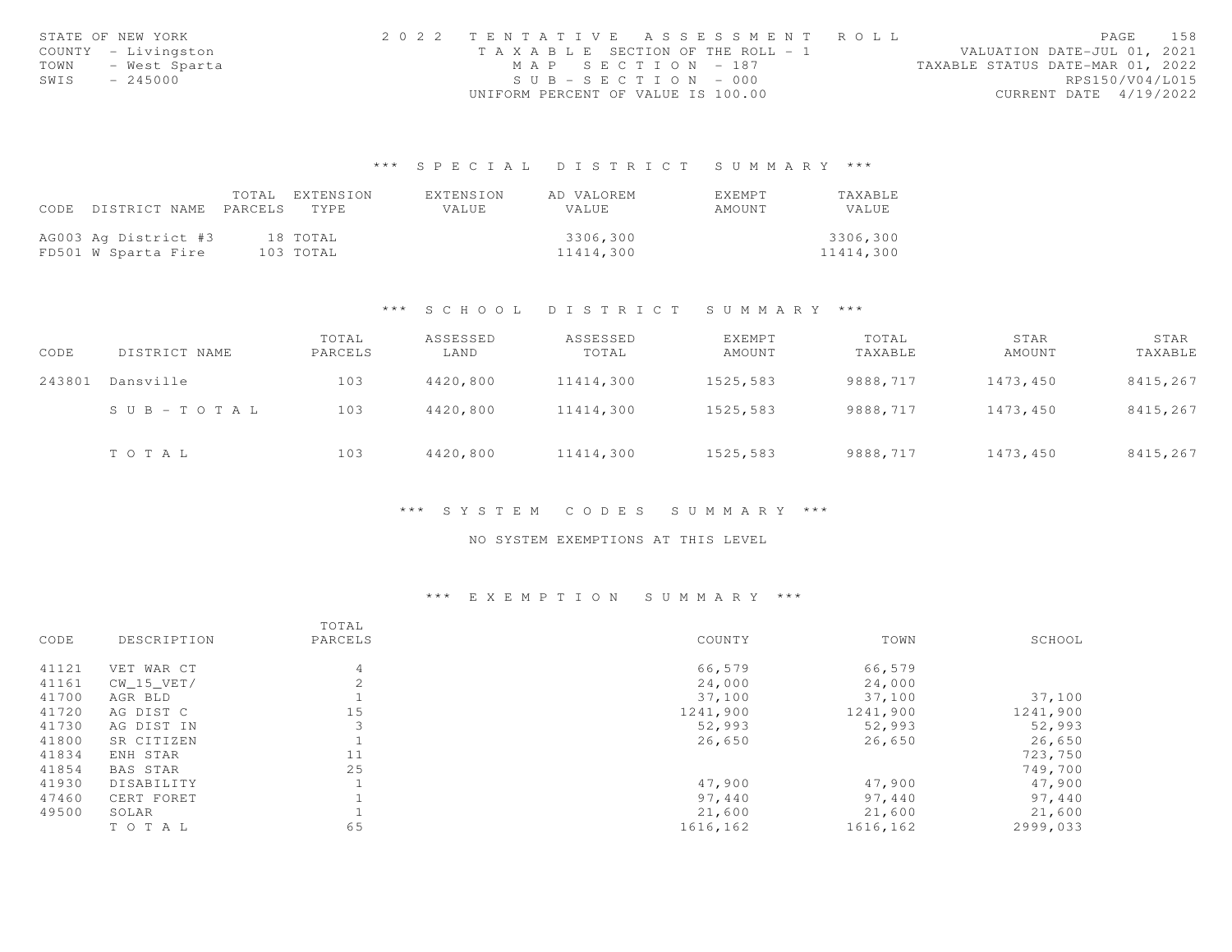|      | STATE OF NEW YORK   | 2022 TENTATIVE ASSESSMENT ROLL        |  |  |                                  |                        | PAGE | 158 |
|------|---------------------|---------------------------------------|--|--|----------------------------------|------------------------|------|-----|
|      | COUNTY - Livingston | T A X A B L E SECTION OF THE ROLL - 1 |  |  | VALUATION DATE-JUL 01, 2021      |                        |      |     |
| TOWN | - West Sparta       | MAP SECTION - 187                     |  |  | TAXABLE STATUS DATE-MAR 01, 2022 |                        |      |     |
| SWIS | $-245000$           | $SUB - SECTION - 000$                 |  |  |                                  | RPS150/V04/L015        |      |     |
|      |                     | UNIFORM PERCENT OF VALUE IS 100.00    |  |  |                                  | CURRENT DATE 4/19/2022 |      |     |

# \*\*\* S P E C I A L D I S T R I C T S U M M A R Y \*\*\*

|      |                      | TOTAL   | EXTENSION | EXTENSION | AD VALOREM | EXEMPT | TAXABLE   |
|------|----------------------|---------|-----------|-----------|------------|--------|-----------|
| CODE | DISTRICT NAME        | PARCELS | TYPE.     | VALUE     | VALUE      | AMOUNT | VALUE     |
|      |                      |         |           |           |            |        |           |
|      | AG003 Ag District #3 |         | 18 TOTAL  |           | 3306,300   |        | 3306,300  |
|      | FD501 W Sparta Fire  |         | 103 TOTAL |           | 11414,300  |        | 11414,300 |

### \*\*\* S C H O O L D I S T R I C T S U M M A R Y \*\*\*

| CODE   | DISTRICT NAME             | TOTAL<br>PARCELS | ASSESSED<br>LAND | ASSESSED<br>TOTAL | EXEMPT<br>AMOUNT | TOTAL<br>TAXABLE | STAR<br>AMOUNT | STAR<br>TAXABLE |
|--------|---------------------------|------------------|------------------|-------------------|------------------|------------------|----------------|-----------------|
| 243801 | Dansville                 | 103              | 4420,800         | 11414,300         | 1525,583         | 9888,717         | 1473,450       | 8415,267        |
|        | $S \cup B = T \cup T A L$ | 103              | 4420,800         | 11414,300         | 1525,583         | 9888,717         | 1473,450       | 8415,267        |
|        | TOTAL                     | 103              | 4420,800         | 11414,300         | 1525,583         | 9888,717         | 1473,450       | 8415,267        |

### \*\*\* S Y S T E M C O D E S S U M M A R Y \*\*\*

## NO SYSTEM EXEMPTIONS AT THIS LEVEL

# \*\*\* E X E M P T I O N S U M M A R Y \*\*\*

|       |                 | TOTAL   |          |          |          |
|-------|-----------------|---------|----------|----------|----------|
| CODE  | DESCRIPTION     | PARCELS | COUNTY   | TOWN     | SCHOOL   |
| 41121 | VET WAR CT      | 4       | 66,579   | 66,579   |          |
| 41161 | CW 15 VET/      |         | 24,000   | 24,000   |          |
| 41700 | AGR BLD         |         | 37,100   | 37,100   | 37,100   |
| 41720 | AG DIST C       | 15      | 1241,900 | 1241,900 | 1241,900 |
| 41730 | AG DIST IN      | 3       | 52,993   | 52,993   | 52,993   |
| 41800 | SR CITIZEN      |         | 26,650   | 26,650   | 26,650   |
| 41834 | ENH STAR        | 11      |          |          | 723,750  |
| 41854 | <b>BAS STAR</b> | 25      |          |          | 749,700  |
| 41930 | DISABILITY      |         | 47,900   | 47,900   | 47,900   |
| 47460 | CERT FORET      |         | 97,440   | 97,440   | 97,440   |
| 49500 | SOLAR           |         | 21,600   | 21,600   | 21,600   |
|       | TO TAL          | 65      | 1616,162 | 1616,162 | 2999,033 |
|       |                 |         |          |          |          |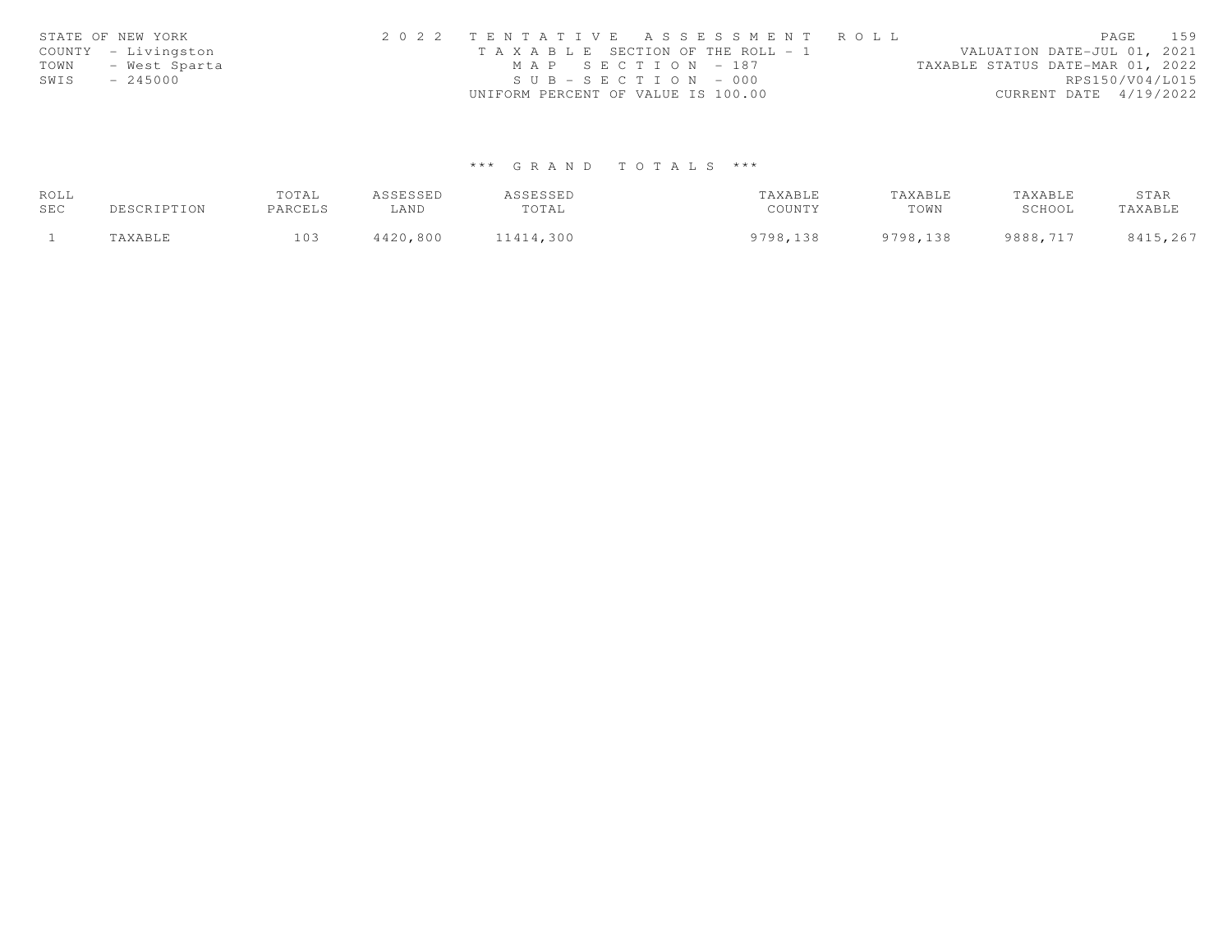|      | STATE OF NEW YORK   | 2022 TENTATIVE ASSESSMENT ROLL        | PAGE                             | 159             |
|------|---------------------|---------------------------------------|----------------------------------|-----------------|
|      | COUNTY - Livingston | T A X A B L E SECTION OF THE ROLL - 1 | VALUATION DATE-JUL 01, 2021      |                 |
| TOWN | - West Sparta       | MAP SECTION - 187                     | TAXABLE STATUS DATE-MAR 01, 2022 |                 |
| SWIS | $-245000$           | $SUB - SECTION - 000$                 |                                  | RPS150/V04/L015 |
|      |                     | UNIFORM PERCENT OF VALUE IS 100.00    | CURRENT DATE 4/19/2022           |                 |

# \*\*\* G R A N D T O T A L S \*\*\*

| ROLL |             | TOTAL   | ASSESSED | ASSESSED  | TAXABLE  | TAXABLE  | TAXABLE  | STAR     |
|------|-------------|---------|----------|-----------|----------|----------|----------|----------|
| SEC  | DESCRIPTION | PARCELS | ∟AND     | TOTAL     | COUNTY   | TOWN     | SCHOOL   | TAXABLE  |
|      | TAXABLE     | 103     | 4420,800 | 11414,300 | 9798,138 | 9798,138 | 9888,717 | 8415,267 |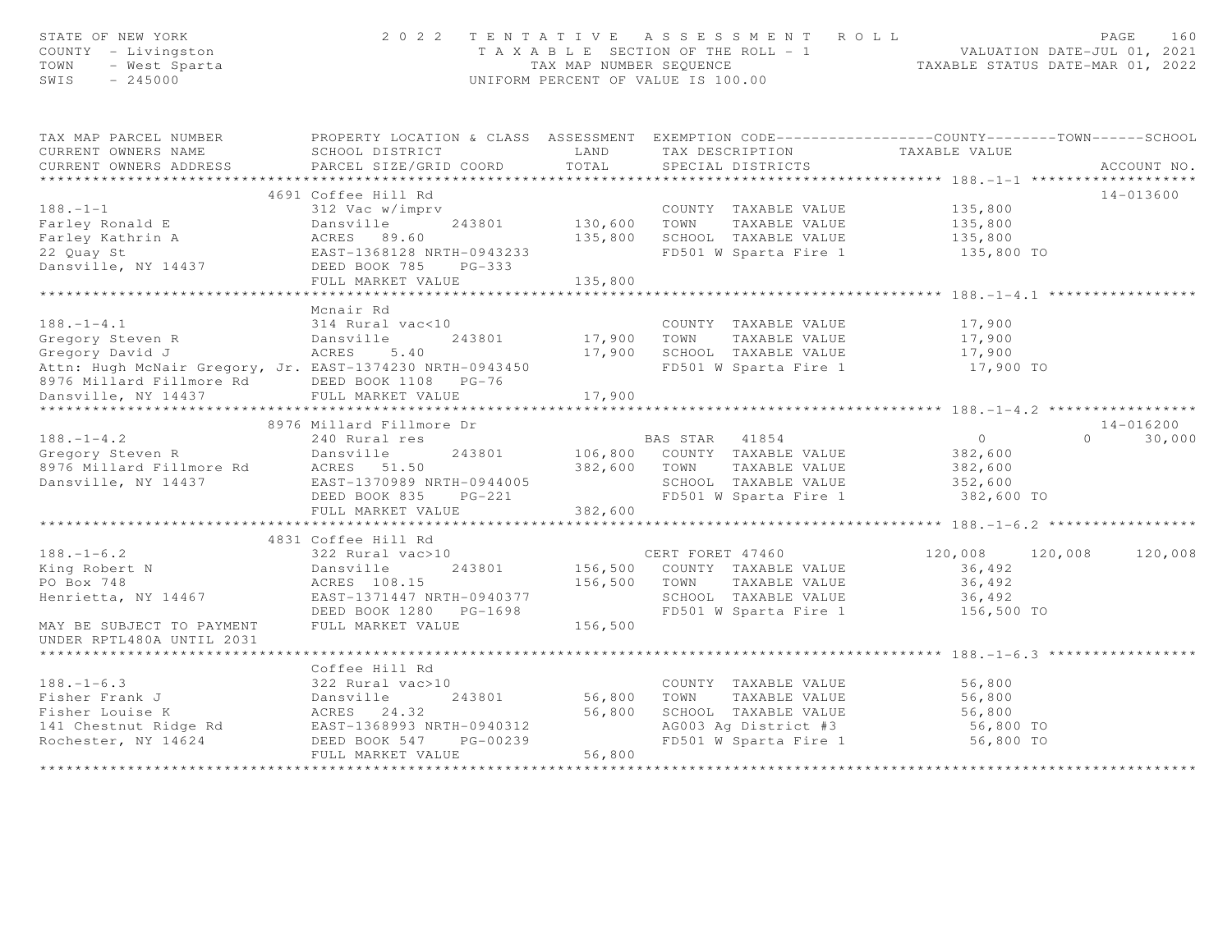| STATE OF NEW YORK<br>COUNTY - Livingston<br>TOWN<br>- West Sparta<br>$-245000$<br>SWIS                                  | 2 0 2 2                                           |                         | TENTATIVE ASSESSMENT ROLL<br>T A X A B L E SECTION OF THE ROLL - 1 VALUATION DATE-JUL 01, 2021<br>TAX MAP NUMBER SEQUENCE TAXABLE STATUS DATE-MAR 01, 2022<br>UNIFORM PERCENT OF VALUE IS 100.00 |                                    | PAGE<br>160        |
|-------------------------------------------------------------------------------------------------------------------------|---------------------------------------------------|-------------------------|--------------------------------------------------------------------------------------------------------------------------------------------------------------------------------------------------|------------------------------------|--------------------|
| TAX MAP PARCEL NUMBER THE PROPERTY LOCATION & CLASS ASSESSMENT EXEMPTION CODE--------------COUNTY-------TOWN-----SCHOOL |                                                   |                         |                                                                                                                                                                                                  |                                    |                    |
| CURRENT OWNERS NAME                                                                                                     | SCHOOL DISTRICT                                   | LAND                    | TAX DESCRIPTION TAXABLE VALUE                                                                                                                                                                    |                                    |                    |
| CURRENT OWNERS ADDRESS                                                                                                  | PARCEL SIZE/GRID COORD                            | TOTAL                   | SPECIAL DISTRICTS                                                                                                                                                                                |                                    | ACCOUNT NO.        |
|                                                                                                                         |                                                   |                         |                                                                                                                                                                                                  |                                    |                    |
|                                                                                                                         | 4691 Coffee Hill Rd                               |                         |                                                                                                                                                                                                  |                                    | $14 - 013600$      |
| $188. - 1 - 1$                                                                                                          | 312 Vac w/imprv                                   |                         | COUNTY TAXABLE VALUE 135,800                                                                                                                                                                     |                                    |                    |
|                                                                                                                         |                                                   | 130,600 TOWN<br>135,800 | TAXABLE VALUE                                                                                                                                                                                    | 135,800<br>135,800                 |                    |
|                                                                                                                         |                                                   |                         | SCHOOL TAXABLE VALUE                                                                                                                                                                             |                                    |                    |
|                                                                                                                         |                                                   |                         | FD501 W Sparta Fire 1 135,800 TO                                                                                                                                                                 |                                    |                    |
|                                                                                                                         | FULL MARKET VALUE                                 | 135,800                 |                                                                                                                                                                                                  |                                    |                    |
|                                                                                                                         |                                                   |                         |                                                                                                                                                                                                  |                                    |                    |
|                                                                                                                         | Mcnair Rd                                         |                         |                                                                                                                                                                                                  |                                    |                    |
|                                                                                                                         |                                                   |                         | COUNTY TAXABLE VALUE                                                                                                                                                                             | 17,900                             |                    |
|                                                                                                                         | 243801                                            | COUNT<br>17,900 TOWN    | TAXABLE VALUE                                                                                                                                                                                    | 17,900                             |                    |
| 188.-1-4.1 314 Rural vac<10<br>Gregory Steven R Dansville 2<br>Gregory David J ACRES 5.40                               |                                                   | 17,900                  | SCHOOL TAXABLE VALUE                                                                                                                                                                             | 17,900                             |                    |
| Attn: Hugh McNair Gregory, Jr. EAST-1374230 NRTH-0943450                                                                |                                                   |                         | FD501 W Sparta Fire 1                                                                                                                                                                            | 17,900 TO                          |                    |
| 8976 Millard Fillmore Rd BEED BOOK 1108 PG-76<br>Dansville, NY 14437 FULL MARKET VALUE                                  |                                                   |                         |                                                                                                                                                                                                  |                                    |                    |
|                                                                                                                         |                                                   | 17,900                  |                                                                                                                                                                                                  |                                    |                    |
|                                                                                                                         |                                                   |                         |                                                                                                                                                                                                  |                                    |                    |
|                                                                                                                         | 8976 Millard Fillmore Dr                          |                         |                                                                                                                                                                                                  |                                    | 14-016200          |
| $188. - 1 - 4.2$                                                                                                        | 240 Rural res                                     |                         | BAS STAR 41854                                                                                                                                                                                   | $\overline{0}$                     | $\Omega$<br>30,000 |
|                                                                                                                         | 243801<br>Dansville                               |                         | 106,800 COUNTY TAXABLE VALUE                                                                                                                                                                     | 382,600                            |                    |
| 188.-1-4.2<br>Gregory Steven R<br>8976 Millard Fillmore Rd<br>Dansville, NY 14437                                       | ACRES 51.50                                       | 382,600                 | TOWN<br>TAXABLE VALUE<br>SCHOOL TAXABLE VALUE                                                                                                                                                    | 382,600<br>352,600                 |                    |
|                                                                                                                         | EAST-1370989 NRTH-0944005<br>DEED BOOK 835 PG-221 |                         | FD501 W Sparta Fire 1 382,600 TO                                                                                                                                                                 |                                    |                    |
|                                                                                                                         | FULL MARKET VALUE                                 | 382,600                 |                                                                                                                                                                                                  |                                    |                    |
|                                                                                                                         |                                                   |                         |                                                                                                                                                                                                  |                                    |                    |
|                                                                                                                         | 4831 Coffee Hill Rd                               |                         |                                                                                                                                                                                                  |                                    |                    |
| $188. - 1 - 6.2$                                                                                                        | 322 Rural vac>10                                  |                         | CERT FORET 47460                                                                                                                                                                                 | 120,008                            | 120,008<br>120,008 |
| King Robert N                                                                                                           | 243801<br>Dansville                               |                         | 156,500 COUNTY TAXABLE VALUE                                                                                                                                                                     | 36,492                             |                    |
| PO Box 748                                                                                                              | ACRES 108.15                                      |                         | 156,500 TOWN TAXABLE VALUE                                                                                                                                                                       | 36,492                             |                    |
| Henrietta, NY 14467                                                                                                     | EAST-1371447 NRTH-0940377                         |                         | SCHOOL TAXABLE VALUE                                                                                                                                                                             | 36,492                             |                    |
|                                                                                                                         | DEED BOOK 1280 PG-1698                            |                         | FD501 W Sparta Fire 1                                                                                                                                                                            | 156,500 TO                         |                    |
| MAY BE SUBJECT TO PAYMENT                                                                                               | FULL MARKET VALUE                                 | 156,500                 |                                                                                                                                                                                                  |                                    |                    |
| UNDER RPTL480A UNTIL 2031                                                                                               |                                                   |                         |                                                                                                                                                                                                  |                                    |                    |
|                                                                                                                         |                                                   |                         |                                                                                                                                                                                                  | ******************** 188.-1-6.3 ** |                    |
|                                                                                                                         | Coffee Hill Rd                                    |                         |                                                                                                                                                                                                  |                                    |                    |
| $188. - 1 - 6.3$                                                                                                        | 322 Rural vac>10                                  | 56,800                  | COUNTY TAXABLE VALUE                                                                                                                                                                             | 56,800                             |                    |
|                                                                                                                         |                                                   |                         | TOWN<br>TAXABLE VALUE                                                                                                                                                                            | 56,800                             |                    |
| Fisher Frank J<br>Fisher Louise K<br>141 Chestnut Ridge Rd<br>141 Chestnut Ridge Rd<br>142 EAST-1368993 NRTH-0940312    |                                                   | 56,800                  | SCHOOL TAXABLE VALUE<br>AG003 Ag District #3                                                                                                                                                     | 56,800<br>56,800 TO                |                    |
| Rochester, NY 14624                                                                                                     | PG-00239<br>DEED BOOK 547                         |                         | FD501 W Sparta Fire 1                                                                                                                                                                            | 56,800 TO                          |                    |
|                                                                                                                         | FULL MARKET VALUE                                 | 56,800                  |                                                                                                                                                                                                  |                                    |                    |
|                                                                                                                         |                                                   |                         |                                                                                                                                                                                                  |                                    |                    |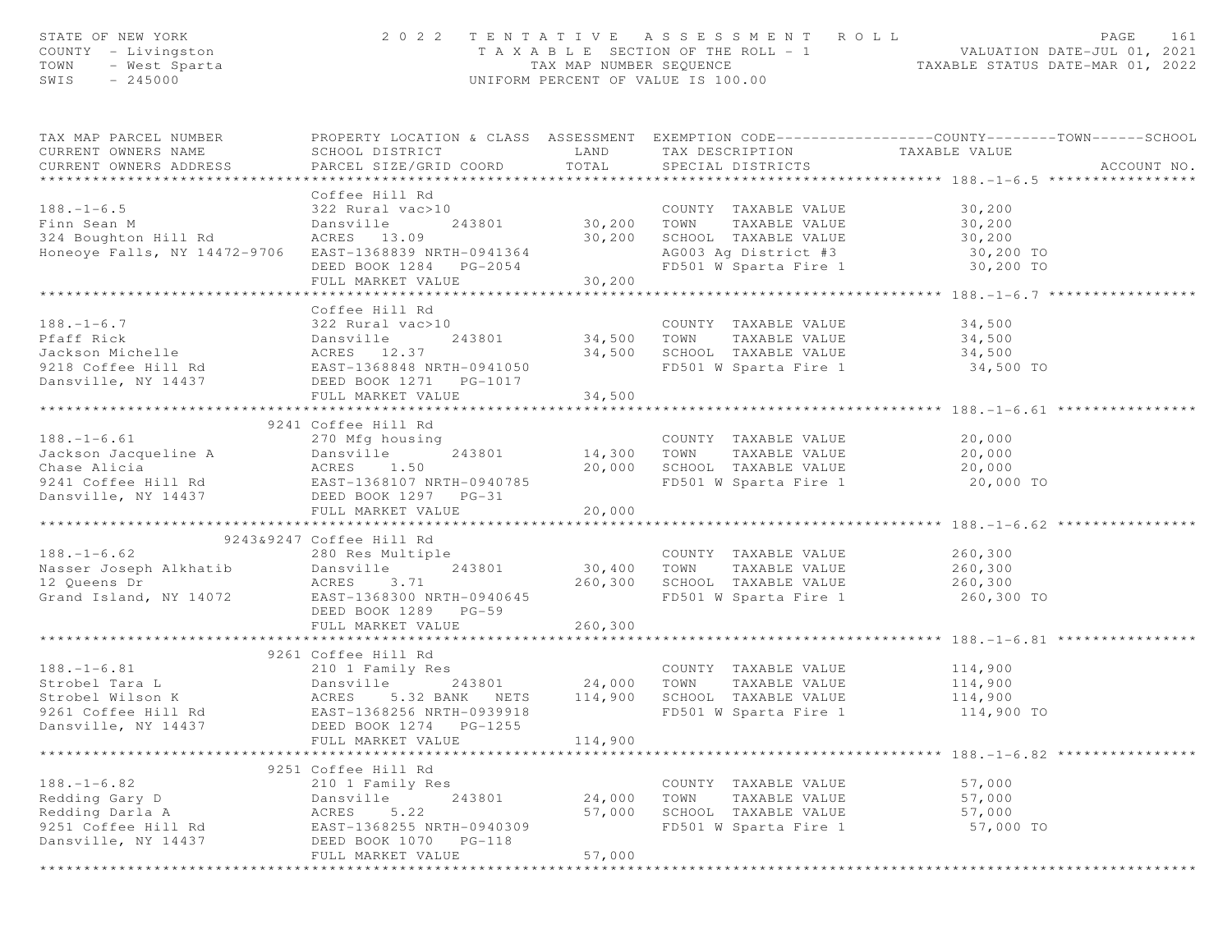| STATE OF NEW YORK<br>COUNTY - Livingston<br>TOWN<br>- West Sparta<br>SWIS<br>$-245000$                                                                                                                                                                                                                                                                                                                                                                                         |                                                     |                              | 2022 TENTATIVE ASSESSMENT ROLL<br>UNIFORM PERCENT OF VALUE IS 100.00  | PAGE<br>161<br>T A X A B L E SECTION OF THE ROLL - 1<br>TAX MAP NUMBER SEQUENCE TAXABLE STATUS DATE-JUL 01, 2021<br>INIEORM PERCENT OF VALUE IS 100 00 |
|--------------------------------------------------------------------------------------------------------------------------------------------------------------------------------------------------------------------------------------------------------------------------------------------------------------------------------------------------------------------------------------------------------------------------------------------------------------------------------|-----------------------------------------------------|------------------------------|-----------------------------------------------------------------------|--------------------------------------------------------------------------------------------------------------------------------------------------------|
| TAX MAP PARCEL NUMBER<br>CURRENT OWNERS NAME<br>CURRENT OWNERS ADDRESS                                                                                                                                                                                                                                                                                                                                                                                                         | SCHOOL DISTRICT<br>PARCEL SIZE/GRID COORD           | <b>LAND</b><br>TOTAL         | TAX DESCRIPTION TAXABLE VALUE<br>SPECIAL DISTRICTS                    | PROPERTY LOCATION & CLASS ASSESSMENT EXEMPTION CODE----------------COUNTY-------TOWN------SCHOOL<br>ACCOUNT NO.                                        |
|                                                                                                                                                                                                                                                                                                                                                                                                                                                                                | Coffee Hill Rd                                      |                              |                                                                       |                                                                                                                                                        |
| $188. - 1 - 6.5$                                                                                                                                                                                                                                                                                                                                                                                                                                                               | 322 Rural vac>10                                    |                              | COUNTY TAXABLE VALUE                                                  | 30,200                                                                                                                                                 |
| Finn Sean M                                                                                                                                                                                                                                                                                                                                                                                                                                                                    | Dansville                                           | 243801 30,200 TOWN           | TAXABLE VALUE                                                         | 30,200                                                                                                                                                 |
| 324 Boughton Hill Rd                                                                                                                                                                                                                                                                                                                                                                                                                                                           | ACRES 13.09                                         |                              | 30,200 SCHOOL TAXABLE VALUE                                           | 30,200                                                                                                                                                 |
| Honeoye Falls, NY 14472-9706 EAST-1368839 NRTH-0941364                                                                                                                                                                                                                                                                                                                                                                                                                         | EAST-1368839 NRTH-0941364<br>DEED BOOK 1284 PG-2054 |                              | AG003 Ag District #3 30,200 TO<br>FD501 W Sparta Fire 1 30,200 TO     |                                                                                                                                                        |
|                                                                                                                                                                                                                                                                                                                                                                                                                                                                                |                                                     |                              |                                                                       |                                                                                                                                                        |
|                                                                                                                                                                                                                                                                                                                                                                                                                                                                                | FULL MARKET VALUE                                   | 30, 200                      |                                                                       |                                                                                                                                                        |
|                                                                                                                                                                                                                                                                                                                                                                                                                                                                                |                                                     |                              |                                                                       | ***************** 188.-1-6.7 **                                                                                                                        |
| $188. - 1 - 6.7$                                                                                                                                                                                                                                                                                                                                                                                                                                                               | Coffee Hill Rd                                      |                              |                                                                       |                                                                                                                                                        |
|                                                                                                                                                                                                                                                                                                                                                                                                                                                                                | 322 Rural vac>10                                    | 243801 34,500 TOWN           | COUNTY TAXABLE VALUE                                                  | 34,500<br>TAXABLE VALUE 34,500                                                                                                                         |
|                                                                                                                                                                                                                                                                                                                                                                                                                                                                                |                                                     |                              | 34,500 SCHOOL TAXABLE VALUE                                           | 34,500                                                                                                                                                 |
| Particle 243801<br>Particle 243801<br>Jackson Michelle 22137<br>9218 Coffee Hill Rd<br>BAST-1368848 NRTH-0941050                                                                                                                                                                                                                                                                                                                                                               |                                                     |                              | FD501 W Sparta Fire 1 34,500 TO                                       |                                                                                                                                                        |
| Dansville, NY 14437                                                                                                                                                                                                                                                                                                                                                                                                                                                            |                                                     |                              |                                                                       |                                                                                                                                                        |
|                                                                                                                                                                                                                                                                                                                                                                                                                                                                                | FULL MARKET VALUE                                   | 34,500                       |                                                                       |                                                                                                                                                        |
|                                                                                                                                                                                                                                                                                                                                                                                                                                                                                |                                                     |                              |                                                                       |                                                                                                                                                        |
|                                                                                                                                                                                                                                                                                                                                                                                                                                                                                | 9241 Coffee Hill Rd                                 |                              |                                                                       |                                                                                                                                                        |
|                                                                                                                                                                                                                                                                                                                                                                                                                                                                                |                                                     | COUNTY<br>243801 14,300 TOWN | COUNTY TAXABLE VALUE                                                  | $20,000$<br>$20.000$                                                                                                                                   |
|                                                                                                                                                                                                                                                                                                                                                                                                                                                                                |                                                     |                              | TAXABLE VALUE                                                         | 20,000                                                                                                                                                 |
|                                                                                                                                                                                                                                                                                                                                                                                                                                                                                |                                                     |                              | 20,000 SCHOOL TAXABLE VALUE 20,000<br>FD501 W Sparta Fire 1 20,000 TO |                                                                                                                                                        |
|                                                                                                                                                                                                                                                                                                                                                                                                                                                                                |                                                     |                              | FD501 W Sparta Fire 1                                                 |                                                                                                                                                        |
| Dansville, NY 14437 DEED BOOK 1297 PG-31                                                                                                                                                                                                                                                                                                                                                                                                                                       | FULL MARKET VALUE                                   | 20,000                       |                                                                       |                                                                                                                                                        |
|                                                                                                                                                                                                                                                                                                                                                                                                                                                                                |                                                     |                              |                                                                       |                                                                                                                                                        |
|                                                                                                                                                                                                                                                                                                                                                                                                                                                                                | 9243&9247 Coffee Hill Rd                            |                              |                                                                       |                                                                                                                                                        |
| $188. - 1 - 6.62$                                                                                                                                                                                                                                                                                                                                                                                                                                                              | 280 Res Multiple                                    |                              | COUNTY TAXABLE VALUE 260,300                                          |                                                                                                                                                        |
|                                                                                                                                                                                                                                                                                                                                                                                                                                                                                | 243801                                              |                              | 30,400 TOWN TAXABLE VALUE                                             | 260,300                                                                                                                                                |
|                                                                                                                                                                                                                                                                                                                                                                                                                                                                                | ACRES 3.71                                          |                              | 260,300 SCHOOL TAXABLE VALUE 260,300                                  |                                                                                                                                                        |
| Grand Island, NY 14072 EAST-1368300 NRTH-0940645                                                                                                                                                                                                                                                                                                                                                                                                                               |                                                     |                              | FD501 W Sparta Fire 1 260,300 TO                                      |                                                                                                                                                        |
|                                                                                                                                                                                                                                                                                                                                                                                                                                                                                | DEED BOOK 1289 PG-59                                |                              |                                                                       |                                                                                                                                                        |
|                                                                                                                                                                                                                                                                                                                                                                                                                                                                                | FULL MARKET VALUE                                   | 260,300                      |                                                                       |                                                                                                                                                        |
|                                                                                                                                                                                                                                                                                                                                                                                                                                                                                | 9261 Coffee Hill Rd                                 |                              |                                                                       |                                                                                                                                                        |
| $188. - 1 - 6.81$                                                                                                                                                                                                                                                                                                                                                                                                                                                              | 210 1 Family Res                                    |                              | COUNTY TAXABLE VALUE                                                  | 114,900                                                                                                                                                |
| $\begin{matrix} \texttt{Dansv1111} \\ \texttt{ACRES} \\ \texttt{C} \\ \texttt{C} \\ \texttt{C} \\ \texttt{C} \\ \texttt{C} \\ \texttt{C} \\ \texttt{C} \\ \texttt{C} \\ \texttt{C} \\ \texttt{C} \\ \texttt{C} \\ \texttt{C} \\ \texttt{C} \\ \texttt{C} \\ \texttt{C} \\ \texttt{C} \\ \texttt{C} \\ \texttt{C} \\ \texttt{C} \\ \texttt{C} \\ \texttt{C} \\ \texttt{C} \\ \texttt{C} \\ \texttt{C} \\ \texttt{C} \\ \texttt{C} \\ \texttt{C} \\ \texttt{C$<br>Strobel Tara L | Dansville                                           |                              |                                                                       | TAXABLE VALUE 114,900                                                                                                                                  |
| Strobel Wilson K                                                                                                                                                                                                                                                                                                                                                                                                                                                               |                                                     |                              |                                                                       | 114,900                                                                                                                                                |
| 9261 Coffee Hill Rd                                                                                                                                                                                                                                                                                                                                                                                                                                                            | EAST-1368256 NRTH-0939918                           |                              | FD501 W Sparta Fire 1 114,900 TO                                      |                                                                                                                                                        |
| Dansville, NY 14437                                                                                                                                                                                                                                                                                                                                                                                                                                                            | DEED BOOK 1274    PG-1255                           |                              |                                                                       |                                                                                                                                                        |
|                                                                                                                                                                                                                                                                                                                                                                                                                                                                                | FULL MARKET VALUE                                   | 114,900                      |                                                                       |                                                                                                                                                        |
|                                                                                                                                                                                                                                                                                                                                                                                                                                                                                |                                                     |                              |                                                                       | ******************* 188. -1-6.82 *****************                                                                                                     |
|                                                                                                                                                                                                                                                                                                                                                                                                                                                                                | 9251 Coffee Hill Rd                                 |                              |                                                                       |                                                                                                                                                        |
| $188. - 1 - 6.82$                                                                                                                                                                                                                                                                                                                                                                                                                                                              | 210 1 Family Res                                    |                              | COUNTY TAXABLE VALUE                                                  | 57,000                                                                                                                                                 |
| Redding Gary D                                                                                                                                                                                                                                                                                                                                                                                                                                                                 | Dansville<br>243801                                 | 24,000                       | TAXABLE VALUE<br>TOWN                                                 | 57,000                                                                                                                                                 |
| Redding Darla A                                                                                                                                                                                                                                                                                                                                                                                                                                                                | 5.22<br>ACRES                                       | 57,000                       | SCHOOL TAXABLE VALUE                                                  | 57,000                                                                                                                                                 |
| 9251 Coffee Hill Rd                                                                                                                                                                                                                                                                                                                                                                                                                                                            | EAST-1368255 NRTH-0940309                           |                              | FD501 W Sparta Fire 1                                                 | 57,000 TO                                                                                                                                              |
| Dansville, NY 14437                                                                                                                                                                                                                                                                                                                                                                                                                                                            | DEED BOOK 1070<br>PG-118                            |                              |                                                                       |                                                                                                                                                        |
|                                                                                                                                                                                                                                                                                                                                                                                                                                                                                | FULL MARKET VALUE                                   | 57,000                       |                                                                       |                                                                                                                                                        |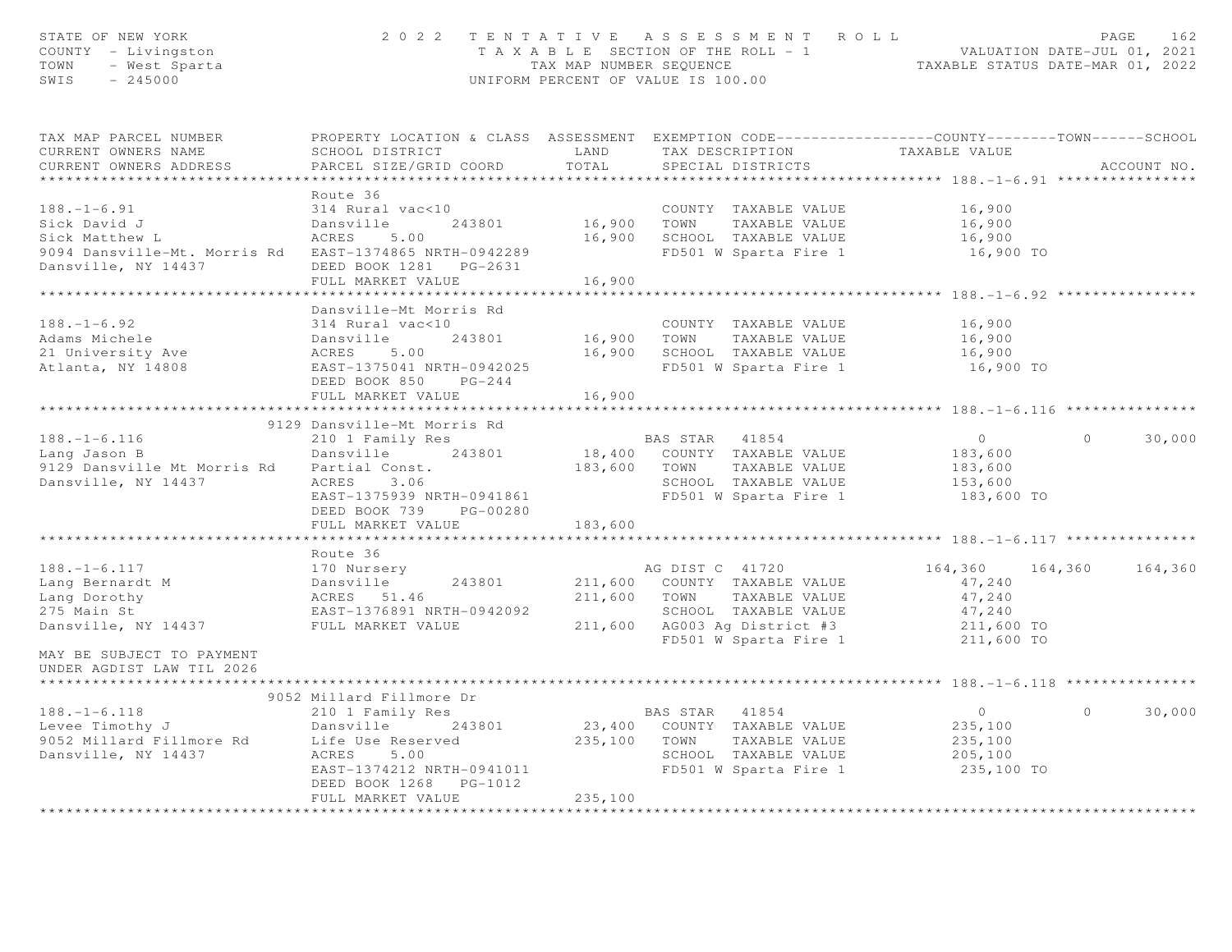| STATE OF NEW YORK<br>COUNTY - Livingston<br>TOWN - West Sparta<br>SWIS - 245000                                                                                                                                                       |                                                                                                                            |                | 2022 TENTATIVE ASSESSMENT ROLL<br>TAXABLE SECTION OF THE ROLL - 1<br>TAXABLE STATUS DATE-JUL 01, 2021<br>TAXABLE STATUS DATE-MAR 01, 2022<br>UNIFORM PERCENT OF VALUE IS 100.00 |                                                                                                                                                                                                                                                                                                                                    |          | PAGE<br>162 |
|---------------------------------------------------------------------------------------------------------------------------------------------------------------------------------------------------------------------------------------|----------------------------------------------------------------------------------------------------------------------------|----------------|---------------------------------------------------------------------------------------------------------------------------------------------------------------------------------|------------------------------------------------------------------------------------------------------------------------------------------------------------------------------------------------------------------------------------------------------------------------------------------------------------------------------------|----------|-------------|
| TAX MAP PARCEL NUMBER<br>CURRENT OWNERS NAME                                                                                                                                                                                          | PROPERTY LOCATION & CLASS ASSESSMENT EXEMPTION CODE------------------COUNTY-------TOWN------SCHOOL<br>SCHOOL DISTRICT LAND |                | TAX DESCRIPTION TAXABLE VALUE                                                                                                                                                   |                                                                                                                                                                                                                                                                                                                                    |          |             |
| CURRENT OWNERS ADDRESS                                                                                                                                                                                                                | PARCEL SIZE/GRID COORD                                                                                                     | TOTAL          | SPECIAL DISTRICTS                                                                                                                                                               |                                                                                                                                                                                                                                                                                                                                    |          | ACCOUNT NO. |
|                                                                                                                                                                                                                                       |                                                                                                                            |                |                                                                                                                                                                                 |                                                                                                                                                                                                                                                                                                                                    |          |             |
| $188. - 1 - 6.91$                                                                                                                                                                                                                     | Route 36<br>314 Rural vac<10                                                                                               |                | COUNTY TAXABLE VALUE                                                                                                                                                            | 16,900                                                                                                                                                                                                                                                                                                                             |          |             |
| Sick David J                                                                                                                                                                                                                          | Dansville 243801                                                                                                           |                | 16,900 TOWN TAXABLE VALUE                                                                                                                                                       | 16,900                                                                                                                                                                                                                                                                                                                             |          |             |
| Sick Matthew L                                                                                                                                                                                                                        | ACRES 5.00                                                                                                                 |                | 16,900 SCHOOL TAXABLE VALUE                                                                                                                                                     |                                                                                                                                                                                                                                                                                                                                    |          |             |
| 9094 Dansville-Mt. Morris Rd EAST-1374865 NRTH-0942289                                                                                                                                                                                |                                                                                                                            |                | FD501 W Sparta Fire 1                                                                                                                                                           | 16,900<br>16,900 TO                                                                                                                                                                                                                                                                                                                |          |             |
| Dansville, NY 14437                                                                                                                                                                                                                   | DEED BOOK 1281   PG-2631                                                                                                   |                |                                                                                                                                                                                 |                                                                                                                                                                                                                                                                                                                                    |          |             |
|                                                                                                                                                                                                                                       | FULL MARKET VALUE                                                                                                          | 16,900         |                                                                                                                                                                                 |                                                                                                                                                                                                                                                                                                                                    |          |             |
|                                                                                                                                                                                                                                       |                                                                                                                            | ************** | ************************************ 188.-1-6.92 ***                                                                                                                            |                                                                                                                                                                                                                                                                                                                                    |          |             |
|                                                                                                                                                                                                                                       | Dansville-Mt Morris Rd                                                                                                     |                |                                                                                                                                                                                 |                                                                                                                                                                                                                                                                                                                                    |          |             |
| $188. - 1 - 6.92$                                                                                                                                                                                                                     | 314 Rural vac<10                                                                                                           |                | COUNTY TAXABLE VALUE<br>COUNTY TAXABLE VALUE<br>16,900    TOWN      TAXABLE VALUE                                                                                               | 16,900                                                                                                                                                                                                                                                                                                                             |          |             |
|                                                                                                                                                                                                                                       |                                                                                                                            |                |                                                                                                                                                                                 | 16,900                                                                                                                                                                                                                                                                                                                             |          |             |
|                                                                                                                                                                                                                                       |                                                                                                                            |                | 16,900 SCHOOL TAXABLE VALUE<br>FD501 W Sparta Fire 1                                                                                                                            | 16,900                                                                                                                                                                                                                                                                                                                             |          |             |
|                                                                                                                                                                                                                                       |                                                                                                                            |                |                                                                                                                                                                                 | $16,900$ TO                                                                                                                                                                                                                                                                                                                        |          |             |
|                                                                                                                                                                                                                                       | DEED BOOK 850 PG-244                                                                                                       | 16,900         |                                                                                                                                                                                 |                                                                                                                                                                                                                                                                                                                                    |          |             |
|                                                                                                                                                                                                                                       | FULL MARKET VALUE                                                                                                          |                |                                                                                                                                                                                 |                                                                                                                                                                                                                                                                                                                                    |          |             |
|                                                                                                                                                                                                                                       | 9129 Dansville-Mt Morris Rd                                                                                                |                |                                                                                                                                                                                 |                                                                                                                                                                                                                                                                                                                                    |          |             |
|                                                                                                                                                                                                                                       | 210 1 Family Res                                                                                                           |                | BAS STAR 41854<br>18,400 COUNTY TAXABLE VALUE<br>183,600 TOWN TAXABLE VALUE                                                                                                     | $\overline{0}$                                                                                                                                                                                                                                                                                                                     | $\circ$  | 30,000      |
| 188.-1-6.116<br>Lang Jason B                                                                                                                                                                                                          | Dansville 243801                                                                                                           |                |                                                                                                                                                                                 | 183,600                                                                                                                                                                                                                                                                                                                            |          |             |
| 9129 Dansville Mt Morris Rd Partial Const.                                                                                                                                                                                            |                                                                                                                            |                |                                                                                                                                                                                 | 183,600                                                                                                                                                                                                                                                                                                                            |          |             |
| Dansville, NY 14437                                                                                                                                                                                                                   | ACRES 3.06                                                                                                                 |                |                                                                                                                                                                                 |                                                                                                                                                                                                                                                                                                                                    |          |             |
|                                                                                                                                                                                                                                       | EAST-1375939 NRTH-0941861                                                                                                  |                | SCHOOL TAXABLE VALUE 153,600<br>FD501 W Sparta Fire 1 183,600                                                                                                                   | 183,600 TO                                                                                                                                                                                                                                                                                                                         |          |             |
|                                                                                                                                                                                                                                       | DEED BOOK 739 PG-00280                                                                                                     |                |                                                                                                                                                                                 |                                                                                                                                                                                                                                                                                                                                    |          |             |
|                                                                                                                                                                                                                                       | FULL MARKET VALUE                                                                                                          | 183,600        |                                                                                                                                                                                 |                                                                                                                                                                                                                                                                                                                                    |          |             |
|                                                                                                                                                                                                                                       |                                                                                                                            |                |                                                                                                                                                                                 |                                                                                                                                                                                                                                                                                                                                    |          |             |
|                                                                                                                                                                                                                                       | Route 36                                                                                                                   |                |                                                                                                                                                                                 |                                                                                                                                                                                                                                                                                                                                    |          |             |
|                                                                                                                                                                                                                                       |                                                                                                                            |                |                                                                                                                                                                                 | 164,360 164,360 164,360                                                                                                                                                                                                                                                                                                            |          |             |
|                                                                                                                                                                                                                                       |                                                                                                                            |                |                                                                                                                                                                                 | 47,240                                                                                                                                                                                                                                                                                                                             |          |             |
|                                                                                                                                                                                                                                       |                                                                                                                            |                |                                                                                                                                                                                 | 47,240                                                                                                                                                                                                                                                                                                                             |          |             |
| 188.-1-6.117<br>Lang Bernardt M Dansville 243801 211,600 COUNTY TAXABLE VALUE<br>Lang Dorothy ACRES 51.46 211,600 TOWN TAXABLE VALUE<br>275 Main St EAST-1376891 NRTH-0942092 SCHOOL TAXABLE VALUE<br>Dansville, NY 14437 FULL MARKET |                                                                                                                            |                | SCHOOL TAXABLE VALUE 47,240<br>AG003 Ag District #3 211,600 TO<br>FD501 W Sparta Fire 1 211,600 TO                                                                              |                                                                                                                                                                                                                                                                                                                                    |          |             |
|                                                                                                                                                                                                                                       |                                                                                                                            |                |                                                                                                                                                                                 |                                                                                                                                                                                                                                                                                                                                    |          |             |
| MAY BE SUBJECT TO PAYMENT                                                                                                                                                                                                             |                                                                                                                            |                |                                                                                                                                                                                 |                                                                                                                                                                                                                                                                                                                                    |          |             |
| UNDER AGDIST LAW TIL 2026                                                                                                                                                                                                             |                                                                                                                            |                |                                                                                                                                                                                 |                                                                                                                                                                                                                                                                                                                                    |          |             |
| *********************                                                                                                                                                                                                                 |                                                                                                                            |                |                                                                                                                                                                                 |                                                                                                                                                                                                                                                                                                                                    |          |             |
|                                                                                                                                                                                                                                       | 9052 Millard Fillmore Dr                                                                                                   |                |                                                                                                                                                                                 |                                                                                                                                                                                                                                                                                                                                    |          |             |
|                                                                                                                                                                                                                                       |                                                                                                                            |                | <b>BAS STAR 41854</b>                                                                                                                                                           | $\overline{0}$ and $\overline{0}$ and $\overline{0}$ and $\overline{0}$ and $\overline{0}$ and $\overline{0}$ and $\overline{0}$ and $\overline{0}$ and $\overline{0}$ and $\overline{0}$ and $\overline{0}$ and $\overline{0}$ and $\overline{0}$ and $\overline{0}$ and $\overline{0}$ and $\overline{0}$ and $\overline{0}$ and | $\Omega$ | 30,000      |
|                                                                                                                                                                                                                                       |                                                                                                                            |                | 23,400 COUNTY TAXABLE VALUE                                                                                                                                                     | 235,100                                                                                                                                                                                                                                                                                                                            |          |             |
| 188.-1-6.118<br>Levee Timothy J<br>9052 Millard Fillmore Rd<br>Dansville, NY 14437<br>2005 Roman Roman Reserved<br>243801<br>243801<br>243801<br>2605 S.00<br>2605 S.00<br>2606 S.00                                                  |                                                                                                                            |                | 235,100 TOWN TAXABLE VALUE                                                                                                                                                      | 235,100                                                                                                                                                                                                                                                                                                                            |          |             |
|                                                                                                                                                                                                                                       |                                                                                                                            |                | SCHOOL TAXABLE VALUE                                                                                                                                                            | 205,100                                                                                                                                                                                                                                                                                                                            |          |             |
|                                                                                                                                                                                                                                       | EAST-1374212 NRTH-0941011                                                                                                  |                | PD501 W Sparta Fire 1                                                                                                                                                           | 235,100 TO                                                                                                                                                                                                                                                                                                                         |          |             |
|                                                                                                                                                                                                                                       | DEED BOOK 1268 PG-1012<br>FULL MARKET VALUE                                                                                | 235,100        |                                                                                                                                                                                 |                                                                                                                                                                                                                                                                                                                                    |          |             |
|                                                                                                                                                                                                                                       |                                                                                                                            |                |                                                                                                                                                                                 |                                                                                                                                                                                                                                                                                                                                    |          |             |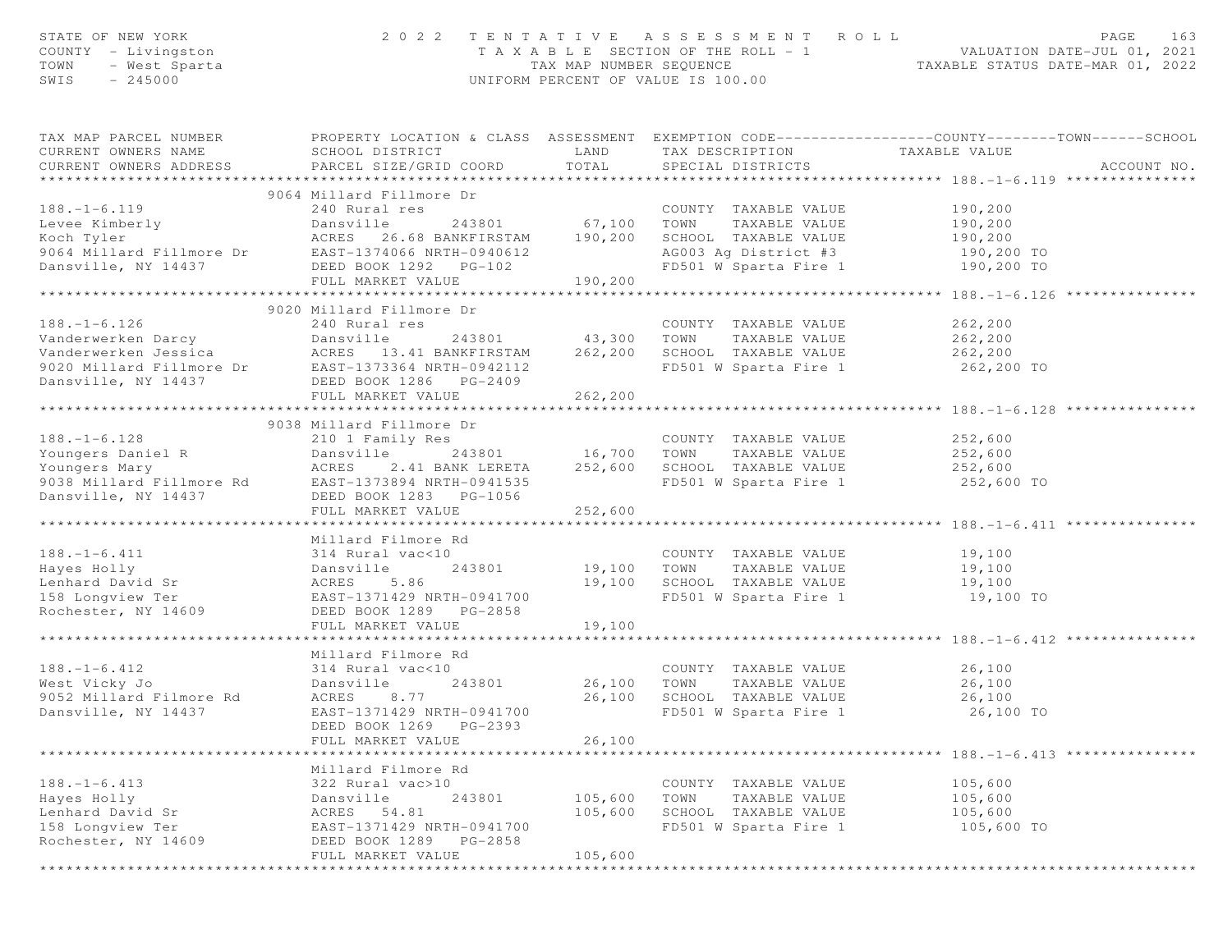| STATE OF NEW YORK<br>COUNTY - Livingston<br>TOWN<br>- West Sparta<br>SWIS<br>$-245000$                                                                                                                                               |                                           |                    | 2022 TENTATIVE ASSESSMENT ROLL<br>UNIFORM PERCENT OF VALUE IS 100.00 | PAGE<br>T A X A B L E SECTION OF THE ROLL - 1 VALUATION DATE-JUL 01, 2021<br>TAX MAP NUMBER SEQUENCE TAXABLE STATUS DATE-MAR 01, 2022 | 163 |
|--------------------------------------------------------------------------------------------------------------------------------------------------------------------------------------------------------------------------------------|-------------------------------------------|--------------------|----------------------------------------------------------------------|---------------------------------------------------------------------------------------------------------------------------------------|-----|
| TAX MAP PARCEL NUMBER<br>CURRENT OWNERS NAME<br>CURRENT OWNERS ADDRESS                                                                                                                                                               | SCHOOL DISTRICT<br>PARCEL SIZE/GRID COORD | LAND<br>TOTAL      | TAX DESCRIPTION TAXABLE VALUE<br>SPECIAL DISTRICTS                   | PROPERTY LOCATION & CLASS ASSESSMENT EXEMPTION CODE---------------COUNTY-------TOWN------SCHOOL<br>ACCOUNT NO.                        |     |
|                                                                                                                                                                                                                                      | 9064 Millard Fillmore Dr                  |                    |                                                                      |                                                                                                                                       |     |
| $188. - 1 - 6.119$                                                                                                                                                                                                                   | 240 Rural res                             |                    | COUNTY TAXABLE VALUE                                                 | 190,200                                                                                                                               |     |
| EN MARINE 243801 67,100<br>Leve Kimberly Dansville 243801 67,100<br>Soch Tyler ACRES 26.68 BANKFIRSTAM 190,200<br>9064 Millard Fillmore Dr EAST-1374066 NRTH-0940612                                                                 | 243801 67,100 TOWN                        |                    | TAXABLE VALUE                                                        | 190,200                                                                                                                               |     |
|                                                                                                                                                                                                                                      |                                           |                    | SCHOOL TAXABLE VALUE                                                 | 190,200                                                                                                                               |     |
|                                                                                                                                                                                                                                      |                                           |                    | AG003 Ag District #3 190,200 TO                                      |                                                                                                                                       |     |
| Dansville, NY 14437                                                                                                                                                                                                                  | DEED BOOK 1292 PG-102                     |                    | FD501 W Sparta Fire 1                                                | 190,200 TO                                                                                                                            |     |
|                                                                                                                                                                                                                                      | FULL MARKET VALUE                         | 190,200            |                                                                      |                                                                                                                                       |     |
| 188.-1-6.126<br>Vanderwerken Darcy Dansville 243801<br>Vanderwerken Jesica ACRES 133.41 BANKFIRSTAM 262,200 SCHOOL TAXABLE VALUE 262,200<br>9020 Millard Fillmore Dr EAST-1373364 NRTH-0942112 FD501 W Sparta Fire 1<br>Dansville, N |                                           |                    |                                                                      |                                                                                                                                       |     |
|                                                                                                                                                                                                                                      |                                           |                    |                                                                      |                                                                                                                                       |     |
|                                                                                                                                                                                                                                      |                                           |                    |                                                                      |                                                                                                                                       |     |
|                                                                                                                                                                                                                                      |                                           |                    |                                                                      |                                                                                                                                       |     |
|                                                                                                                                                                                                                                      |                                           |                    |                                                                      | 262,200 TO                                                                                                                            |     |
|                                                                                                                                                                                                                                      |                                           |                    |                                                                      |                                                                                                                                       |     |
|                                                                                                                                                                                                                                      | FULL MARKET VALUE                         | 262,200            |                                                                      |                                                                                                                                       |     |
|                                                                                                                                                                                                                                      |                                           |                    |                                                                      |                                                                                                                                       |     |
|                                                                                                                                                                                                                                      | 9038 Millard Fillmore Dr                  |                    |                                                                      |                                                                                                                                       |     |
| $188. - 1 - 6.128$                                                                                                                                                                                                                   |                                           |                    | COUNTY TAXABLE VALUE 252,600                                         |                                                                                                                                       |     |
|                                                                                                                                                                                                                                      |                                           |                    |                                                                      | 252,600                                                                                                                               |     |
|                                                                                                                                                                                                                                      | ACRES                                     |                    | 2.41 BANK LERETA 252,600 SCHOOL TAXABLE VALUE 252,600                |                                                                                                                                       |     |
|                                                                                                                                                                                                                                      | EAST-1373894 NRTH-0941535                 |                    | FD501 W Sparta Fire 1 252,600 TO                                     |                                                                                                                                       |     |
| Youngers Daniel R<br>Youngers Mary<br>9038 Millard Fillmore Rd<br>Dansville, NY 14437                                                                                                                                                | DEED BOOK 1283 PG-1056                    |                    |                                                                      |                                                                                                                                       |     |
|                                                                                                                                                                                                                                      | FULL MARKET VALUE                         | 252,600            |                                                                      |                                                                                                                                       |     |
|                                                                                                                                                                                                                                      | *******************************           |                    |                                                                      | ************************************ 188.-1-6.411                                                                                     |     |
|                                                                                                                                                                                                                                      | Millard Filmore Rd                        |                    |                                                                      |                                                                                                                                       |     |
| $188. - 1 - 6.411$                                                                                                                                                                                                                   | 314 Rural vac<10                          |                    | COUNTY TAXABLE VALUE                                                 | 19,100                                                                                                                                |     |
| Hayes Holly                                                                                                                                                                                                                          |                                           | 243801 19,100 TOWN | TAXABLE VALUE                                                        | 19,100                                                                                                                                |     |
| Lenhard David Sr<br>158 Longview Ter EAST-1371429 NRTH-0941700                                                                                                                                                                       |                                           |                    | 19,100 SCHOOL TAXABLE VALUE<br>FD501 W Sparta Fire 1 19,100 TO       | 19,100                                                                                                                                |     |
| Rochester, NY 14609                                                                                                                                                                                                                  | DEED BOOK 1289 PG-2858                    |                    |                                                                      |                                                                                                                                       |     |
|                                                                                                                                                                                                                                      | FULL MARKET VALUE                         | 19,100             |                                                                      |                                                                                                                                       |     |
|                                                                                                                                                                                                                                      |                                           |                    |                                                                      |                                                                                                                                       |     |
|                                                                                                                                                                                                                                      | Millard Filmore Rd                        |                    |                                                                      |                                                                                                                                       |     |
| $188. - 1 - 6.412$                                                                                                                                                                                                                   | 314 Rural vac<10                          |                    | COUNTY TAXABLE VALUE                                                 | $\frac{26,100}{26}$                                                                                                                   |     |
| West Vicky Jo                                                                                                                                                                                                                        | Dansville                                 | 243801 26,100 TOWN | TAXABLE VALUE                                                        |                                                                                                                                       |     |
| 9052 Millard Filmore Rd                                                                                                                                                                                                              | 8.77<br>ACRES                             | 26,100             | SCHOOL TAXABLE VALUE                                                 | 26,100                                                                                                                                |     |
| Dansville, NY 14437                                                                                                                                                                                                                  | EAST-1371429 NRTH-0941700                 |                    | FD501 W Sparta Fire 1                                                | 26,100 TO                                                                                                                             |     |
|                                                                                                                                                                                                                                      | DEED BOOK 1269<br>PG-2393                 |                    |                                                                      |                                                                                                                                       |     |
|                                                                                                                                                                                                                                      | FULL MARKET VALUE                         | 26,100             |                                                                      |                                                                                                                                       |     |
|                                                                                                                                                                                                                                      |                                           |                    |                                                                      | $188. - 1 - 6.413$ ******                                                                                                             |     |
| $188. - 1 - 6.413$                                                                                                                                                                                                                   | Millard Filmore Rd<br>322 Rural vac>10    |                    | COUNTY                                                               | 105,600                                                                                                                               |     |
| Hayes Holly                                                                                                                                                                                                                          | Dansville<br>243801                       | 105,600            | TAXABLE VALUE<br>TOWN<br>TAXABLE VALUE                               | 105,600                                                                                                                               |     |
| Lenhard David Sr                                                                                                                                                                                                                     | ACRES<br>54.81                            | 105,600            | SCHOOL TAXABLE VALUE                                                 | 105,600                                                                                                                               |     |
| 158 Longview Ter                                                                                                                                                                                                                     | EAST-1371429 NRTH-0941700                 |                    | FD501 W Sparta Fire 1                                                | 105,600 TO                                                                                                                            |     |
| Rochester, NY 14609                                                                                                                                                                                                                  | DEED BOOK 1289<br>PG-2858                 |                    |                                                                      |                                                                                                                                       |     |
|                                                                                                                                                                                                                                      | FULL MARKET VALUE                         | 105,600            |                                                                      |                                                                                                                                       |     |
|                                                                                                                                                                                                                                      |                                           |                    |                                                                      |                                                                                                                                       |     |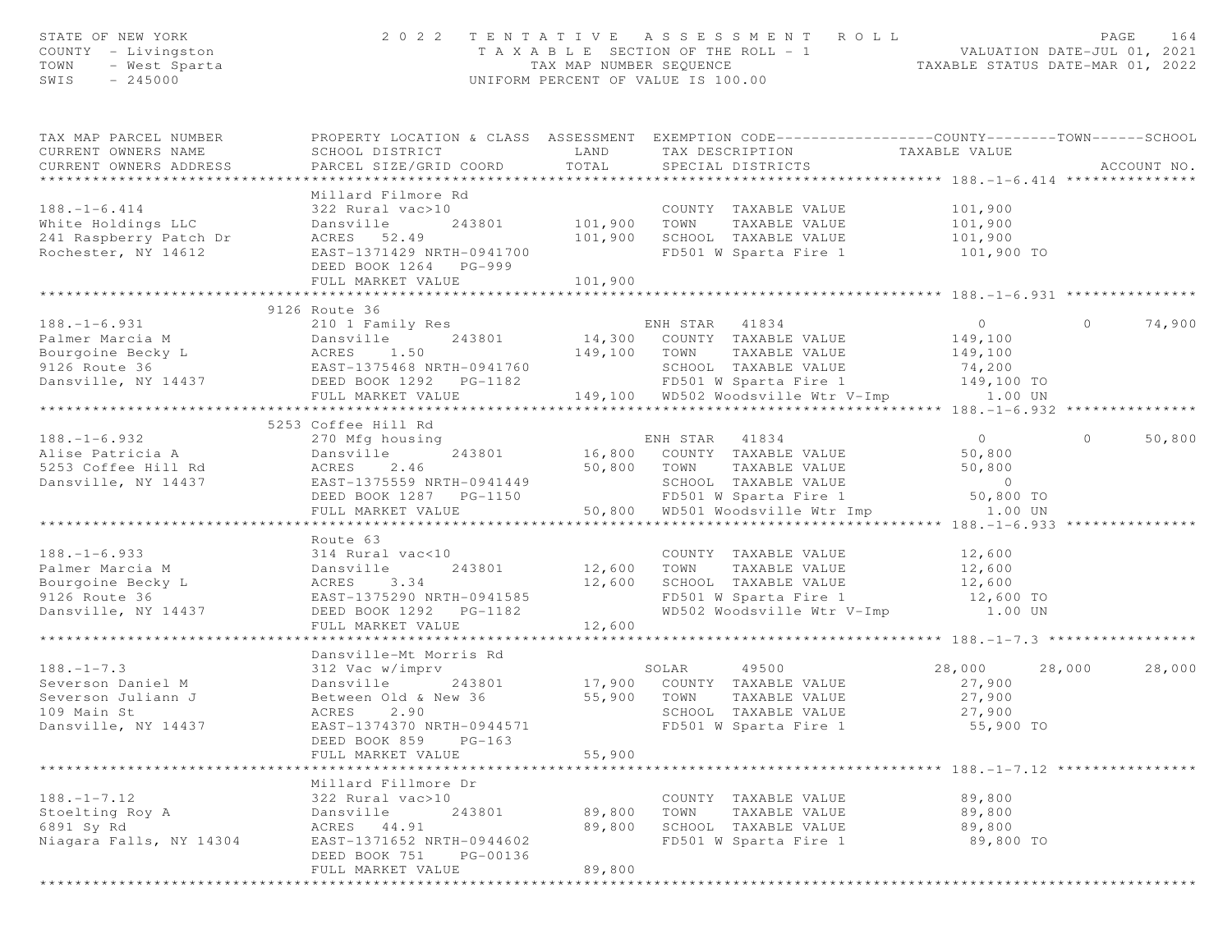| STATE OF NEW YORK<br>COUNTY - Livingston<br>TOWN<br>- West Sparta<br>$-245000$<br>SWIS |                                                                                                                                               |                         | 2022 TENTATIVE ASSESSMENT ROLL<br>T A X A B L E SECTION OF THE ROLL - 1 VALUATION DATE-JUL 01, 2021<br>TAX MAP NUMBER SEQUENCE TAXABLE STATUS DATE-MAR 01, 2022<br>UNIFORM PERCENT OF VALUE IS 100.00 |                                                | PAGE<br>164       |
|----------------------------------------------------------------------------------------|-----------------------------------------------------------------------------------------------------------------------------------------------|-------------------------|-------------------------------------------------------------------------------------------------------------------------------------------------------------------------------------------------------|------------------------------------------------|-------------------|
| TAX MAP PARCEL NUMBER<br>CURRENT OWNERS NAME<br>CURRENT OWNERS ADDRESS                 | PROPERTY LOCATION & CLASS ASSESSMENT EXEMPTION CODE----------------COUNTY-------TOWN------SCHOOL<br>SCHOOL DISTRICT<br>PARCEL SIZE/GRID COORD | LAND<br>TOTAL           | TAX DESCRIPTION<br>SPECIAL DISTRICTS                                                                                                                                                                  | TAXABLE VALUE                                  | ACCOUNT NO.       |
|                                                                                        | Millard Filmore Rd                                                                                                                            |                         |                                                                                                                                                                                                       |                                                |                   |
| $188. - 1 - 6.414$                                                                     | 322 Rural vac>10                                                                                                                              |                         | COUNTY TAXABLE VALUE                                                                                                                                                                                  | 101,900                                        |                   |
| White Holdings LLC                                                                     | Dansville<br>243801                                                                                                                           | 101,900                 | TOWN<br>TAXABLE VALUE                                                                                                                                                                                 | 101,900                                        |                   |
| 241 Raspberry Patch Dr                                                                 | ACRES 52.49                                                                                                                                   | 101,900                 | SCHOOL TAXABLE VALUE                                                                                                                                                                                  | 101,900                                        |                   |
| Rochester, NY 14612                                                                    | EAST-1371429 NRTH-0941700<br>DEED BOOK 1264 PG-999<br>FULL MARKET VALUE                                                                       |                         | FD501 W Sparta Fire 1                                                                                                                                                                                 | 101,900 TO                                     |                   |
|                                                                                        |                                                                                                                                               | 101,900<br>************ |                                                                                                                                                                                                       |                                                |                   |
|                                                                                        | 9126 Route 36                                                                                                                                 |                         |                                                                                                                                                                                                       |                                                |                   |
| $188. - 1 - 6.931$                                                                     | 210 1 Family Res                                                                                                                              |                         | ENH STAR<br>41834                                                                                                                                                                                     | $\overline{0}$                                 | 74,900<br>$\circ$ |
| Palmer Marcia M                                                                        | 243801<br>Dansville                                                                                                                           |                         | 14,300 COUNTY TAXABLE VALUE                                                                                                                                                                           | 149,100                                        |                   |
| Bourgoine Becky L                                                                      | ACRES<br>1.50                                                                                                                                 | 149,100 TOWN            | TAXABLE VALUE                                                                                                                                                                                         | 149,100                                        |                   |
| 9126 Route 36<br>Dansville, NY 14437                                                   | EAST-1375468 NRTH-0941760<br>DEED BOOK 1292    PG-1182                                                                                        |                         | SCHOOL TAXABLE VALUE<br>FD501 W Sparta Fire 1 149,100 TO                                                                                                                                              | 74,200                                         |                   |
|                                                                                        | FULL MARKET VALUE                                                                                                                             |                         | 149,100 WD502 Woodsville Wtr V-Imp 1.00 UN                                                                                                                                                            |                                                |                   |
|                                                                                        |                                                                                                                                               |                         |                                                                                                                                                                                                       |                                                |                   |
|                                                                                        | 5253 Coffee Hill Rd                                                                                                                           |                         |                                                                                                                                                                                                       |                                                |                   |
| $188. - 1 - 6.932$                                                                     | 270 Mfg housing                                                                                                                               |                         | ENH STAR 41834                                                                                                                                                                                        | $\overline{0}$                                 | $\circ$<br>50,800 |
| Alise Patricia A                                                                       | 243801<br>Dansville                                                                                                                           |                         | 16,800 COUNTY TAXABLE VALUE                                                                                                                                                                           | 50,800                                         |                   |
| 5253 Coffee Hill Rd                                                                    | 2.46<br>ACRES<br>EAST-1375559 NRTH-0941449                                                                                                    |                         | 50,800 TOWN<br>TAXABLE VALUE                                                                                                                                                                          | 50,800                                         |                   |
| Dansville, NY 14437                                                                    | DEED BOOK 1287 PG-1150                                                                                                                        |                         | SCHOOL TAXABLE VALUE<br>FD501 W Sparta Fire 1                                                                                                                                                         | $\sim$ 0<br>50,800 TO                          |                   |
|                                                                                        | FULL MARKET VALUE                                                                                                                             |                         | 50,800 WD501 Woodsville Wtr Imp                                                                                                                                                                       | 1.00 UN                                        |                   |
|                                                                                        |                                                                                                                                               |                         |                                                                                                                                                                                                       |                                                |                   |
|                                                                                        | Route 63                                                                                                                                      |                         |                                                                                                                                                                                                       |                                                |                   |
| $188. - 1 - 6.933$                                                                     | 314 Rural vac<10                                                                                                                              |                         | COUNTY TAXABLE VALUE                                                                                                                                                                                  | 12,600                                         |                   |
| Palmer Marcia M<br>Bourgoine Becky L                                                   | Dansville<br>243801<br>3.34<br>ACRES                                                                                                          | 12,600<br>12,600        | TAXABLE VALUE<br>TOWN<br>SCHOOL TAXABLE VALUE                                                                                                                                                         | 12,600                                         |                   |
| 9126 Route 36                                                                          | EAST-1375290 NRTH-0941585                                                                                                                     |                         | FD501 W Sparta Fire 1                                                                                                                                                                                 | 12,600<br>12,600 TO                            |                   |
| Dansville, NY 14437                                                                    | DEED BOOK 1292 PG-1182                                                                                                                        |                         |                                                                                                                                                                                                       | WD502 Woodsville Wtr V-Imp 1.00 UN             |                   |
|                                                                                        | FULL MARKET VALUE                                                                                                                             | 12,600                  |                                                                                                                                                                                                       |                                                |                   |
|                                                                                        | ********************                                                                                                                          |                         |                                                                                                                                                                                                       |                                                |                   |
|                                                                                        | Dansville-Mt Morris Rd                                                                                                                        |                         |                                                                                                                                                                                                       |                                                |                   |
| $188. - 1 - 7.3$<br>Severson Daniel M                                                  | 312 Vac w/imprv<br>Dansville<br>243801                                                                                                        | 17,900                  | 49500<br>SOLAR<br>COUNTY TAXABLE VALUE                                                                                                                                                                | 28,000<br>27,900                               | 28,000<br>28,000  |
| Severson Juliann J                                                                     | Between Old & New 36                                                                                                                          | 55,900                  | TOWN<br>TAXABLE VALUE                                                                                                                                                                                 | 27,900                                         |                   |
| 109 Main St                                                                            | 2.90<br>ACRES                                                                                                                                 |                         | SCHOOL TAXABLE VALUE                                                                                                                                                                                  | 27,900                                         |                   |
| Dansville, NY 14437                                                                    | EAST-1374370 NRTH-0944571                                                                                                                     |                         | FD501 W Sparta Fire 1                                                                                                                                                                                 | 55,900 TO                                      |                   |
|                                                                                        | DEED BOOK 859<br>$PG-163$                                                                                                                     |                         |                                                                                                                                                                                                       |                                                |                   |
|                                                                                        | FULL MARKET VALUE                                                                                                                             | 55,900                  |                                                                                                                                                                                                       |                                                |                   |
|                                                                                        | ***********************<br>Millard Fillmore Dr                                                                                                | *************           |                                                                                                                                                                                                       | ******************** 188. -1-7. 12 *********** |                   |
| $188. - 1 - 7.12$                                                                      | 322 Rural vac>10                                                                                                                              |                         | COUNTY TAXABLE VALUE                                                                                                                                                                                  | 89,800                                         |                   |
| Stoelting Roy A                                                                        | Dansville<br>243801                                                                                                                           | 89,800                  | TOWN<br>TAXABLE VALUE                                                                                                                                                                                 | 89,800                                         |                   |
| 6891 Sy Rd                                                                             | ACRES<br>44.91                                                                                                                                | 89,800                  | SCHOOL TAXABLE VALUE                                                                                                                                                                                  | 89,800                                         |                   |
| Niagara Falls, NY 14304                                                                | EAST-1371652 NRTH-0944602                                                                                                                     |                         | FD501 W Sparta Fire 1                                                                                                                                                                                 | 89,800 TO                                      |                   |
|                                                                                        | DEED BOOK 751<br>PG-00136                                                                                                                     |                         |                                                                                                                                                                                                       |                                                |                   |
|                                                                                        | FULL MARKET VALUE                                                                                                                             | 89,800                  |                                                                                                                                                                                                       |                                                |                   |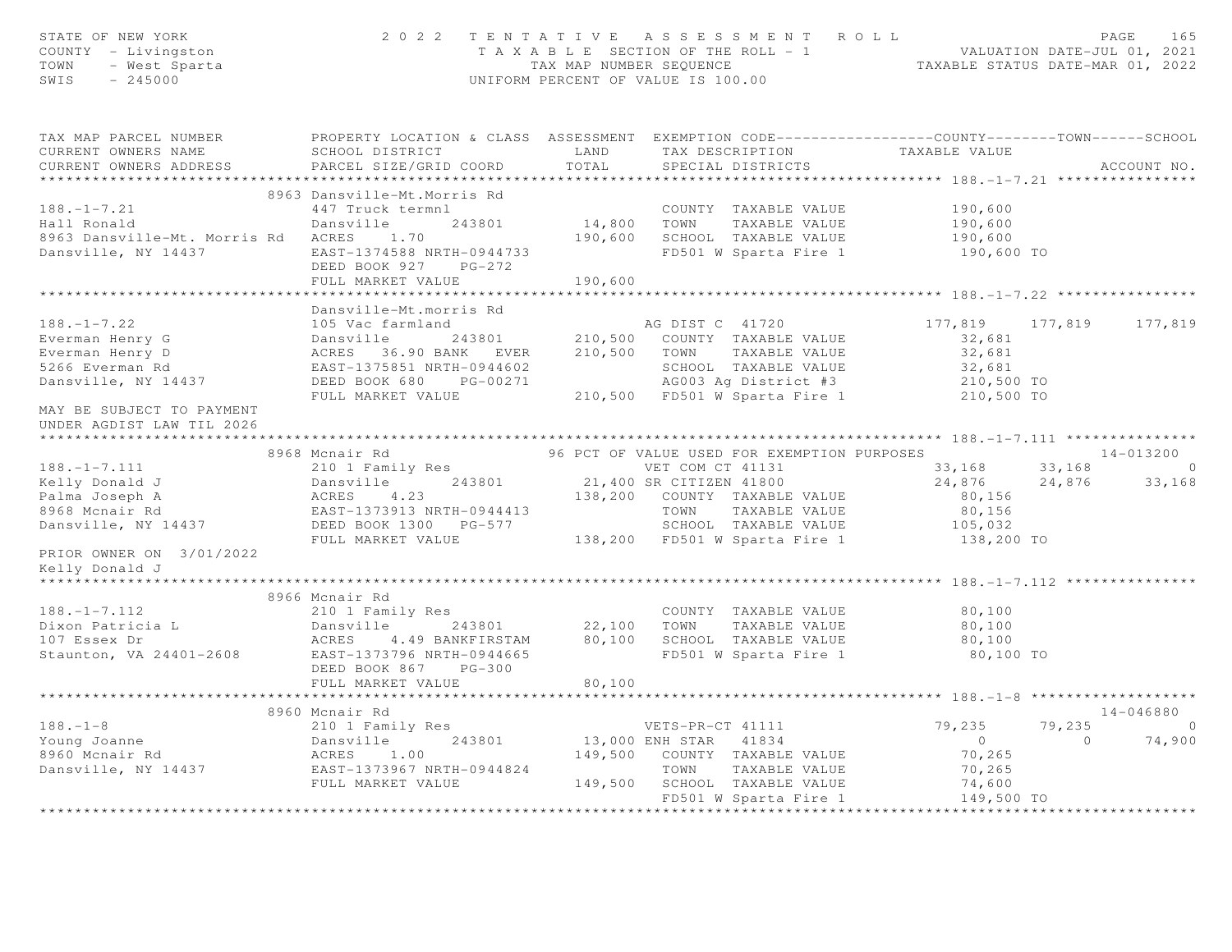| STATE OF NEW YORK<br>COUNTY - Livingston<br>TOWN - West Sparta<br>--- 245000                                                                                                                                                                        |                           |        | 2 0 2 2 TENTATIVE ASSESSMENT ROLL PALUATION DATE-JUL 01, 2021<br>TAXABLE SECTION OF THE ROLL - 1 VALUATION DATE-JUL 01, 2021<br>TAX MAP NUMBER SEQUENCE TAXABLE STATUS DATE-MAR 01, 2022<br>UNIFORM PERCENT OF VALUE IS 100.00 |           |             |  |
|-----------------------------------------------------------------------------------------------------------------------------------------------------------------------------------------------------------------------------------------------------|---------------------------|--------|--------------------------------------------------------------------------------------------------------------------------------------------------------------------------------------------------------------------------------|-----------|-------------|--|
| TAX MAP PARCEL NUMBER THE PROPERTY LOCATION & CLASS ASSESSMENT EXEMPTION CODE---------------COUNTY-------TOWN------SCHOOL                                                                                                                           |                           |        |                                                                                                                                                                                                                                |           |             |  |
| CURRENT OWNERS NAME<br>CURRENT OWNERS ADDRESS                                                                                                                                                                                                       |                           |        |                                                                                                                                                                                                                                |           | ACCOUNT NO. |  |
|                                                                                                                                                                                                                                                     |                           |        |                                                                                                                                                                                                                                |           |             |  |
|                                                                                                                                                                                                                                                     |                           |        |                                                                                                                                                                                                                                |           |             |  |
| 188.-1-7.21<br>Hall Ronald<br>Mansville-Mt. Morris Rd ACRES 1.70<br>Dansville, NY 14437<br>DEED BOOK 927 PG-272<br>PHIT MANSER 190,600<br>PG-272<br>PHIT MANSE TRIP 201800 PG-272<br>PG-272<br>PHIT MANSE TRIP 2018<br>PG-272<br>PHIT MANSER COUNTY |                           |        |                                                                                                                                                                                                                                |           |             |  |
|                                                                                                                                                                                                                                                     |                           |        |                                                                                                                                                                                                                                |           |             |  |
|                                                                                                                                                                                                                                                     |                           |        |                                                                                                                                                                                                                                |           |             |  |
|                                                                                                                                                                                                                                                     |                           |        |                                                                                                                                                                                                                                |           |             |  |
|                                                                                                                                                                                                                                                     | FULL MARKET VALUE 190,600 |        |                                                                                                                                                                                                                                |           |             |  |
|                                                                                                                                                                                                                                                     |                           |        |                                                                                                                                                                                                                                |           |             |  |
|                                                                                                                                                                                                                                                     | Dansville-Mt.morris Rd    |        |                                                                                                                                                                                                                                |           |             |  |
|                                                                                                                                                                                                                                                     |                           |        |                                                                                                                                                                                                                                |           |             |  |
|                                                                                                                                                                                                                                                     |                           |        |                                                                                                                                                                                                                                |           |             |  |
|                                                                                                                                                                                                                                                     |                           |        |                                                                                                                                                                                                                                |           |             |  |
|                                                                                                                                                                                                                                                     |                           |        |                                                                                                                                                                                                                                |           |             |  |
|                                                                                                                                                                                                                                                     |                           |        |                                                                                                                                                                                                                                |           |             |  |
|                                                                                                                                                                                                                                                     |                           |        |                                                                                                                                                                                                                                |           |             |  |
| MAY BE SUBJECT TO PAYMENT<br>UNDER AGDIST LAW TIL 2026                                                                                                                                                                                              |                           |        |                                                                                                                                                                                                                                |           |             |  |
| 188.-1-7.111 8968 Monair Rd (14437 PULL MARKET VALUE BED BOOK 1300 PG-577 PETOR OWNER ON 37.0127022 PULL MARKET VALUE PRIOR OWNER ON 37.0127022 PULL MARKET VALUE CHOOR CHOOL TAXABLE VALUE CHORE THE SUPER OWNER ON 301010 FO                      |                           |        |                                                                                                                                                                                                                                |           |             |  |
|                                                                                                                                                                                                                                                     |                           |        |                                                                                                                                                                                                                                |           |             |  |
|                                                                                                                                                                                                                                                     |                           |        |                                                                                                                                                                                                                                |           |             |  |
|                                                                                                                                                                                                                                                     |                           |        |                                                                                                                                                                                                                                |           |             |  |
|                                                                                                                                                                                                                                                     |                           |        |                                                                                                                                                                                                                                |           |             |  |
|                                                                                                                                                                                                                                                     |                           |        |                                                                                                                                                                                                                                |           |             |  |
|                                                                                                                                                                                                                                                     |                           |        |                                                                                                                                                                                                                                |           |             |  |
| PRIOR OWNER ON 3/01/2022                                                                                                                                                                                                                            |                           |        |                                                                                                                                                                                                                                |           |             |  |
| Kelly Donald J                                                                                                                                                                                                                                      |                           |        |                                                                                                                                                                                                                                |           |             |  |
| ********************                                                                                                                                                                                                                                |                           |        |                                                                                                                                                                                                                                |           |             |  |
|                                                                                                                                                                                                                                                     | 8966 Mcnair Rd            |        |                                                                                                                                                                                                                                |           |             |  |
|                                                                                                                                                                                                                                                     |                           |        |                                                                                                                                                                                                                                |           |             |  |
|                                                                                                                                                                                                                                                     |                           |        |                                                                                                                                                                                                                                |           |             |  |
|                                                                                                                                                                                                                                                     |                           |        |                                                                                                                                                                                                                                |           |             |  |
| 188.-1-7.112 2000 2000 2000 2000 2000 22,100<br>Dixon Patricia L Dansville 243801 22,100 TOWN TAXABLE VALUE 80,100<br>107 Essex Dr ACRES 4.49 BANKFIRSTAM 80,100 SCHOOL TAXABLE VALUE 80,100<br>Staunton, VA 24401-2608 EAST-1373796                |                           |        | FD501 W Sparta Fire 1                                                                                                                                                                                                          | 80,100 TO |             |  |
|                                                                                                                                                                                                                                                     | DEED BOOK 867 PG-300      |        |                                                                                                                                                                                                                                |           |             |  |
|                                                                                                                                                                                                                                                     | FULL MARKET VALUE         | 80,100 |                                                                                                                                                                                                                                |           |             |  |
|                                                                                                                                                                                                                                                     |                           |        |                                                                                                                                                                                                                                |           |             |  |
|                                                                                                                                                                                                                                                     |                           |        |                                                                                                                                                                                                                                |           |             |  |
|                                                                                                                                                                                                                                                     |                           |        |                                                                                                                                                                                                                                |           |             |  |
|                                                                                                                                                                                                                                                     |                           |        |                                                                                                                                                                                                                                |           |             |  |
|                                                                                                                                                                                                                                                     |                           |        |                                                                                                                                                                                                                                |           |             |  |
|                                                                                                                                                                                                                                                     |                           |        |                                                                                                                                                                                                                                |           |             |  |
|                                                                                                                                                                                                                                                     |                           |        |                                                                                                                                                                                                                                |           |             |  |
|                                                                                                                                                                                                                                                     |                           |        |                                                                                                                                                                                                                                |           |             |  |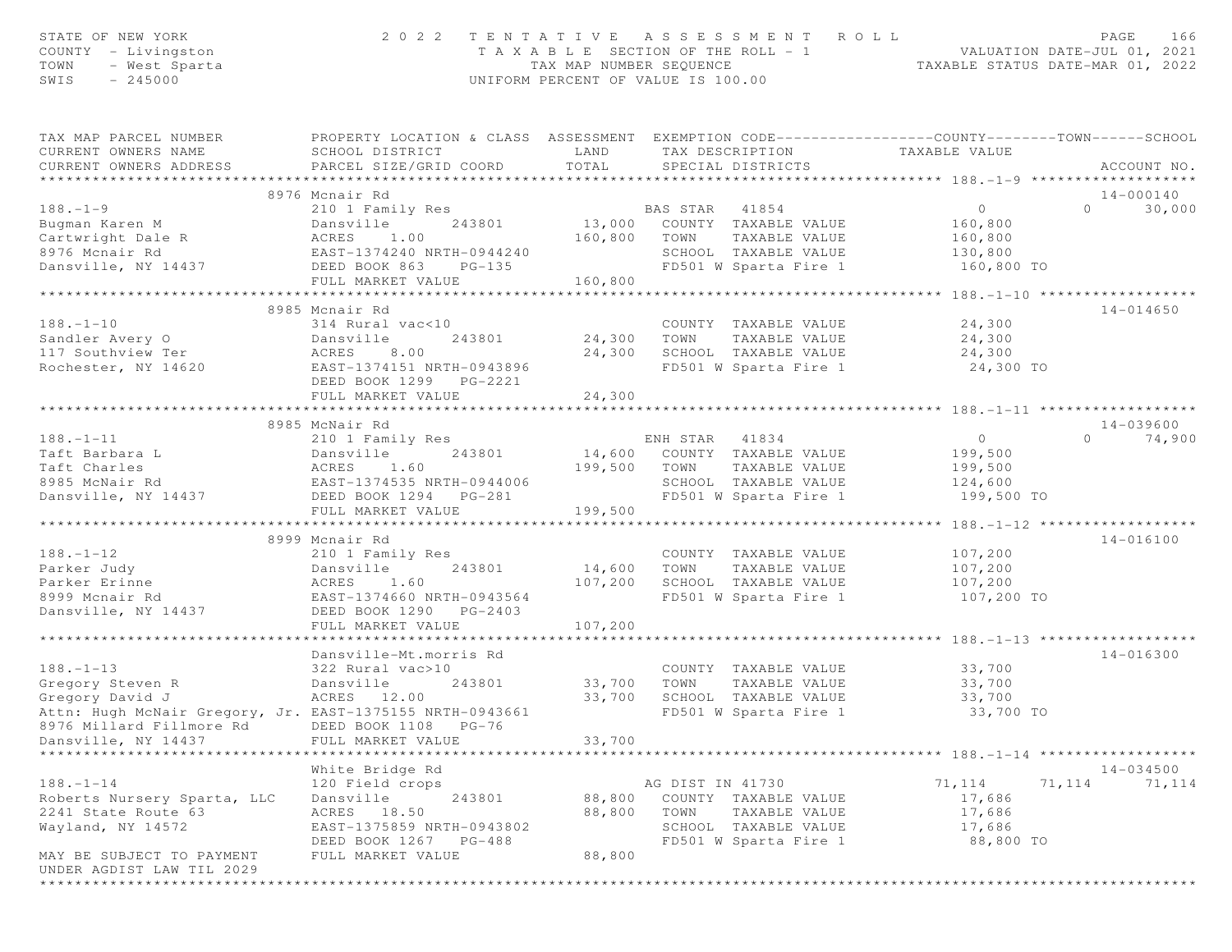| STATE OF NEW YORK<br>COUNTY - Livingston<br>TOWN<br>- West Sparta<br>$-245000$<br>SWIS   | 2 0 2 2                                                                                                                                       | TENTATIVE ASSESSMENT<br>T A X A B L E SECTION OF THE ROLL - 1<br>TAX MAP NUMBER SEQUENCE<br>UNIFORM PERCENT OF VALUE IS 100.00 |                  |                                      | ROLL<br>TAXABLE STATUS DATE-MAR 01, 2022                     |          | PAGE<br>166<br>VALUATION DATE-JUL 01, 2021 |
|------------------------------------------------------------------------------------------|-----------------------------------------------------------------------------------------------------------------------------------------------|--------------------------------------------------------------------------------------------------------------------------------|------------------|--------------------------------------|--------------------------------------------------------------|----------|--------------------------------------------|
| TAX MAP PARCEL NUMBER<br>CURRENT OWNERS NAME<br>CURRENT OWNERS ADDRESS<br>************** | PROPERTY LOCATION & CLASS ASSESSMENT EXEMPTION CODE----------------COUNTY-------TOWN------SCHOOL<br>SCHOOL DISTRICT<br>PARCEL SIZE/GRID COORD | LAND<br>TOTAL                                                                                                                  |                  | TAX DESCRIPTION<br>SPECIAL DISTRICTS | TAXABLE VALUE<br>******************** 188.-1-9 ************* |          | ACCOUNT NO.                                |
|                                                                                          | 8976 Mcnair Rd                                                                                                                                |                                                                                                                                |                  |                                      |                                                              |          | 14-000140                                  |
| $188. - 1 - 9$                                                                           | 210 1 Family Res                                                                                                                              |                                                                                                                                | BAS STAR 41854   |                                      | $\circ$                                                      | $\Omega$ | 30,000                                     |
| Bugman Karen M                                                                           | Dansville<br>243801                                                                                                                           | 13,000                                                                                                                         |                  | COUNTY TAXABLE VALUE                 | 160,800                                                      |          |                                            |
| Cartwright Dale R                                                                        | ACRES<br>1.00                                                                                                                                 | 160,800                                                                                                                        | TOWN             | TAXABLE VALUE                        | 160,800                                                      |          |                                            |
| 8976 Mcnair Rd                                                                           | EAST-1374240 NRTH-0944240                                                                                                                     |                                                                                                                                |                  | SCHOOL TAXABLE VALUE                 | 130,800                                                      |          |                                            |
| Dansville, NY 14437                                                                      | DEED BOOK 863<br>$PG-135$                                                                                                                     |                                                                                                                                |                  | FD501 W Sparta Fire 1                | 160,800 TO                                                   |          |                                            |
|                                                                                          | FULL MARKET VALUE                                                                                                                             | 160,800                                                                                                                        |                  |                                      |                                                              |          |                                            |
|                                                                                          |                                                                                                                                               |                                                                                                                                |                  |                                      | *********** 188. -1-10 *******************                   |          |                                            |
|                                                                                          | 8985 Mcnair Rd                                                                                                                                |                                                                                                                                |                  |                                      |                                                              |          | $14 - 014650$                              |
| $188. - 1 - 10$                                                                          | 314 Rural vac<10                                                                                                                              |                                                                                                                                |                  | COUNTY TAXABLE VALUE                 | 24,300                                                       |          |                                            |
| Sandler Avery O                                                                          | Dansville<br>243801                                                                                                                           | 24,300                                                                                                                         | TOWN             | TAXABLE VALUE                        | 24,300                                                       |          |                                            |
| 117 Southview Ter                                                                        | ACRES<br>8.00                                                                                                                                 | 24,300                                                                                                                         |                  | SCHOOL TAXABLE VALUE                 | 24,300                                                       |          |                                            |
| Rochester, NY 14620                                                                      | EAST-1374151 NRTH-0943896                                                                                                                     |                                                                                                                                |                  | FD501 W Sparta Fire 1                | 24,300 TO                                                    |          |                                            |
|                                                                                          | DEED BOOK 1299 PG-2221                                                                                                                        |                                                                                                                                |                  |                                      |                                                              |          |                                            |
|                                                                                          | FULL MARKET VALUE                                                                                                                             | 24,300                                                                                                                         |                  |                                      |                                                              |          |                                            |
|                                                                                          |                                                                                                                                               | *************                                                                                                                  |                  |                                      |                                                              |          |                                            |
|                                                                                          | 8985 McNair Rd                                                                                                                                |                                                                                                                                |                  |                                      |                                                              |          | $14 - 039600$                              |
| $188. - 1 - 11$                                                                          | 210 1 Family Res                                                                                                                              |                                                                                                                                | ENH STAR         | 41834                                | $\overline{0}$                                               | $\Omega$ | 74,900                                     |
| Taft Barbara L                                                                           | Dansville<br>243801                                                                                                                           |                                                                                                                                |                  | 14,600 COUNTY TAXABLE VALUE          | 199,500                                                      |          |                                            |
| Taft Charles                                                                             | 1.60<br>ACRES                                                                                                                                 | 199,500                                                                                                                        | TOWN             | TAXABLE VALUE                        | 199,500                                                      |          |                                            |
| 8985 McNair Rd                                                                           | EAST-1374535 NRTH-0944006                                                                                                                     |                                                                                                                                |                  | SCHOOL TAXABLE VALUE                 | 124,600                                                      |          |                                            |
| Dansville, NY 14437                                                                      | DEED BOOK 1294 PG-281                                                                                                                         |                                                                                                                                |                  | FD501 W Sparta Fire 1                | 199,500 TO                                                   |          |                                            |
|                                                                                          | FULL MARKET VALUE                                                                                                                             | 199,500                                                                                                                        |                  |                                      |                                                              |          |                                            |
|                                                                                          | ***************************                                                                                                                   |                                                                                                                                |                  |                                      | *************** 188.112 *******************                  |          |                                            |
|                                                                                          | 8999 Mcnair Rd                                                                                                                                |                                                                                                                                |                  |                                      |                                                              |          | 14-016100                                  |
| $188. - 1 - 12$                                                                          | 210 1 Family Res                                                                                                                              |                                                                                                                                |                  | COUNTY TAXABLE VALUE                 | 107,200                                                      |          |                                            |
| Parker Judy                                                                              | Dansville<br>243801                                                                                                                           | 14,600                                                                                                                         | TOWN             | TAXABLE VALUE                        | 107,200                                                      |          |                                            |
| Parker Erinne                                                                            | ACRES<br>1.60                                                                                                                                 | 107,200                                                                                                                        |                  | SCHOOL TAXABLE VALUE                 | 107,200                                                      |          |                                            |
| 8999 Mcnair Rd                                                                           | EAST-1374660 NRTH-0943564                                                                                                                     |                                                                                                                                |                  | FD501 W Sparta Fire 1                | 107,200 TO                                                   |          |                                            |
| Dansville, NY 14437                                                                      | DEED BOOK 1290 PG-2403                                                                                                                        |                                                                                                                                |                  |                                      |                                                              |          |                                            |
|                                                                                          | FULL MARKET VALUE                                                                                                                             | 107,200                                                                                                                        |                  |                                      |                                                              |          |                                            |
|                                                                                          | Dansville-Mt.morris Rd                                                                                                                        |                                                                                                                                |                  |                                      |                                                              |          | $14 - 016300$                              |
| $188. - 1 - 13$                                                                          | 322 Rural vac>10                                                                                                                              |                                                                                                                                |                  | COUNTY TAXABLE VALUE                 | 33,700                                                       |          |                                            |
| Gregory Steven R                                                                         | 243801<br>Dansville                                                                                                                           | 33,700                                                                                                                         | TOWN             | TAXABLE VALUE                        | 33,700                                                       |          |                                            |
| Gregory David J                                                                          | ACRES 12.00                                                                                                                                   | 33,700                                                                                                                         |                  | SCHOOL TAXABLE VALUE                 | 33,700                                                       |          |                                            |
| Attn: Hugh McNair Gregory, Jr. EAST-1375155 NRTH-0943661                                 |                                                                                                                                               |                                                                                                                                |                  | FD501 W Sparta Fire 1                | 33,700 TO                                                    |          |                                            |
| 8976 Millard Fillmore Rd                                                                 | DEED BOOK 1108 PG-76                                                                                                                          |                                                                                                                                |                  |                                      |                                                              |          |                                            |
| Dansville, NY 14437                                                                      | FULL MARKET VALUE                                                                                                                             | 33,700                                                                                                                         |                  |                                      |                                                              |          |                                            |
|                                                                                          |                                                                                                                                               |                                                                                                                                |                  |                                      |                                                              |          |                                            |
|                                                                                          | White Bridge Rd                                                                                                                               |                                                                                                                                |                  |                                      |                                                              |          | $14 - 034500$                              |
| $188. - 1 - 14$                                                                          | 120 Field crops                                                                                                                               |                                                                                                                                | AG DIST IN 41730 |                                      | 71,114                                                       | 71,114   | 71,114                                     |
| Roberts Nursery Sparta, LLC                                                              | 243801<br>Dansville                                                                                                                           | 88,800                                                                                                                         |                  | COUNTY TAXABLE VALUE                 | 17,686                                                       |          |                                            |
| 2241 State Route 63                                                                      | ACRES 18.50                                                                                                                                   | 88,800                                                                                                                         | TOWN             | TAXABLE VALUE                        | 17,686                                                       |          |                                            |
| Wayland, NY 14572                                                                        | EAST-1375859 NRTH-0943802                                                                                                                     |                                                                                                                                |                  | SCHOOL TAXABLE VALUE                 | 17,686                                                       |          |                                            |
|                                                                                          | DEED BOOK 1267 PG-488                                                                                                                         |                                                                                                                                |                  | FD501 W Sparta Fire 1                | 88,800 TO                                                    |          |                                            |
| MAY BE SUBJECT TO PAYMENT                                                                | FULL MARKET VALUE                                                                                                                             | 88,800                                                                                                                         |                  |                                      |                                                              |          |                                            |
| UNDER AGDIST LAW TIL 2029                                                                |                                                                                                                                               |                                                                                                                                |                  |                                      |                                                              |          |                                            |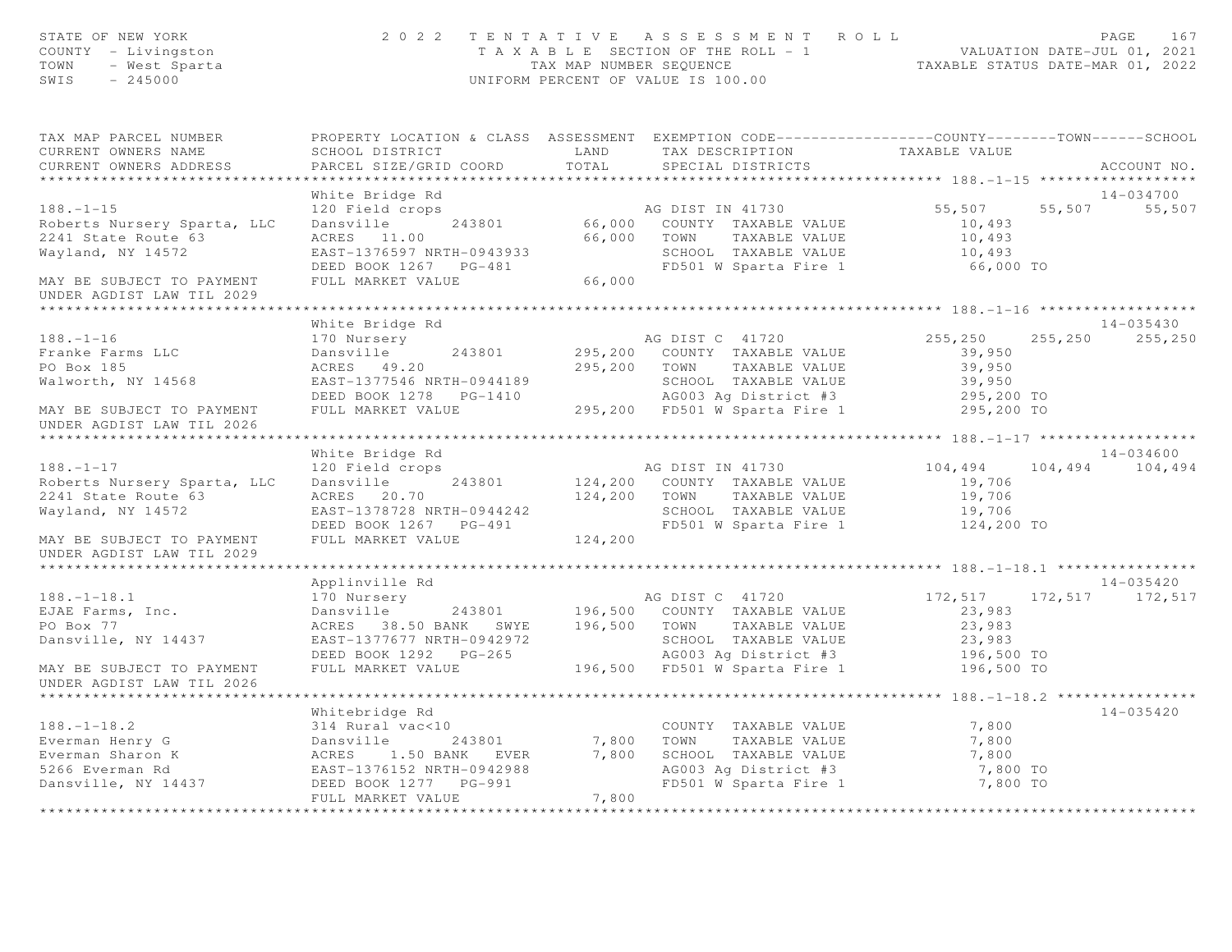| STATE OF NEW IONAL<br>COUNTY - Livingston<br>TOWN - West Sparta<br>245000                                                                                                                                                            |                                                      |       | 2022 TENTATIVE ASSESSMENT ROLL<br>FAGE 167<br>TAXABLE SECTION OF THE ROLL - 1<br>TAX MAP NUMBER SEQUENCE THE ROLL - 1<br>UNIFORM PERCENT OF VALUE IS 100.00                                                                              |                                  | 167<br>PAGE       |
|--------------------------------------------------------------------------------------------------------------------------------------------------------------------------------------------------------------------------------------|------------------------------------------------------|-------|------------------------------------------------------------------------------------------------------------------------------------------------------------------------------------------------------------------------------------------|----------------------------------|-------------------|
| TAX MAP PARCEL NUMBER THE PROPERTY LOCATION & CLASS ASSESSMENT EXEMPTION CODE--------------COUNTY-------TOWN------SCHOOL<br>CURRENT OWNERS NAME                                                                                      |                                                      |       |                                                                                                                                                                                                                                          |                                  |                   |
| CURRENT OWNERS ADDRESS                                                                                                                                                                                                               |                                                      |       | SCHOOL DISTRICT                          LAND         TAX DESCRIPTION                   TAXABLE VALUE PARCEL SIZE/GRID COORD          TOTAL        SPECIAL DISTRICTS                                                                     |                                  | ACCOUNT NO.       |
|                                                                                                                                                                                                                                      | White Bridge Rd                                      |       |                                                                                                                                                                                                                                          |                                  | 14-034700         |
| $188. - 1 - 15$                                                                                                                                                                                                                      |                                                      |       |                                                                                                                                                                                                                                          | 55,507 55,507 55,507             |                   |
| Roberts Nursery Sparta, LLC                                                                                                                                                                                                          |                                                      |       |                                                                                                                                                                                                                                          |                                  |                   |
| 2241 State Route 63                                                                                                                                                                                                                  |                                                      |       |                                                                                                                                                                                                                                          |                                  |                   |
| Wayland, NY 14572                                                                                                                                                                                                                    |                                                      |       |                                                                                                                                                                                                                                          |                                  |                   |
|                                                                                                                                                                                                                                      |                                                      |       |                                                                                                                                                                                                                                          |                                  |                   |
| MAY BE SUBJECT TO PAYMENT<br>UNDER AGDIST LAW TIL 2029                                                                                                                                                                               |                                                      |       | AG DIST IN 41730<br>120 Field crops<br>243801 66,000 COUNTY TAXABLE VALUE 10,493<br>ACRES 11.00 66,000 TOWN TAXABLE VALUE 10,493<br>EAST-1376597 NRTH-0943933 SCHOOL TAXABLE VALUE 10,493<br>DEED BOOK 1267 PG-481 FD501 W Sparta Fire 1 |                                  |                   |
| ******************************                                                                                                                                                                                                       |                                                      |       |                                                                                                                                                                                                                                          |                                  |                   |
|                                                                                                                                                                                                                                      | White Bridge Rd                                      |       |                                                                                                                                                                                                                                          |                                  | 14-035430         |
| $188. - 1 - 16$                                                                                                                                                                                                                      | 170 Nursery                                          |       | AG DIST C 41720                                                                                                                                                                                                                          | 255,250                          | 255, 250 255, 250 |
| Franke Farms LLC                                                                                                                                                                                                                     | Dansville 243801 295,200 COUNTY TAXABLE VALUE 39,950 |       |                                                                                                                                                                                                                                          |                                  |                   |
| PO Box 185                                                                                                                                                                                                                           | ACRES 49.20                                          |       | 295,200 TOWN TAXABLE VALUE                                                                                                                                                                                                               | 39,950                           |                   |
| Walworth, NY 14568                                                                                                                                                                                                                   |                                                      |       |                                                                                                                                                                                                                                          |                                  |                   |
|                                                                                                                                                                                                                                      |                                                      |       | EAST-1377546 NRTH-0944189<br>DEED BOOK 1278 PG-1410 AG003 Ag District #3<br>FULL MARKET VALUE 295,200 FD501 W Sparta Fire 1<br>SCHOOL TAXABLE VALUE<br>AG003 Ag District #3 295,200 TO<br>FD501 W Sparta Fire 1 295,200 TO               |                                  |                   |
| MAY BE SUBJECT TO PAYMENT<br>UNDER AGDIST LAW TIL 2026                                                                                                                                                                               |                                                      |       |                                                                                                                                                                                                                                          |                                  |                   |
|                                                                                                                                                                                                                                      |                                                      |       |                                                                                                                                                                                                                                          |                                  |                   |
|                                                                                                                                                                                                                                      | White Bridge Rd                                      |       |                                                                                                                                                                                                                                          |                                  | 14-034600         |
| $188. - 1 - 17$                                                                                                                                                                                                                      |                                                      |       | 120 Field crops<br>120 Field crops<br>243801 124,200 COUNTY TAXABLE VALUE                                                                                                                                                                | $104, 494$ $104, 494$ $104, 494$ |                   |
| Roberts Nursery Sparta, LLC<br>2241 State Route 63                                                                                                                                                                                   |                                                      |       | ACKES 20.70<br>EAST-1378728 NRTH-0944242<br>DEED BOOK 1267 PG-491<br>FULL MARKET VALUE<br>FULL MARKET VALUE                                                                                                                              | 19,706                           |                   |
| Wayland, NY 14572                                                                                                                                                                                                                    |                                                      |       |                                                                                                                                                                                                                                          |                                  |                   |
|                                                                                                                                                                                                                                      |                                                      |       |                                                                                                                                                                                                                                          | 19,706<br>124,200 TO             |                   |
|                                                                                                                                                                                                                                      | FULL MARKET VALUE 124,200                            |       |                                                                                                                                                                                                                                          |                                  |                   |
| MAY BE SUBJECT TO PAYMENT<br>UNDER AGDIST LAW TIL 2029                                                                                                                                                                               |                                                      |       |                                                                                                                                                                                                                                          |                                  |                   |
|                                                                                                                                                                                                                                      |                                                      |       |                                                                                                                                                                                                                                          |                                  |                   |
|                                                                                                                                                                                                                                      | Applinville Rd                                       |       |                                                                                                                                                                                                                                          |                                  | 14-035420         |
| $188. - 1 - 18.1$                                                                                                                                                                                                                    | 170 Nursery                                          |       | 170 Nursery<br>172,517 172,517 172,517 172,517<br>Dansville 243801 196,500 COUNTY TAXABLE VALUE 23,983                                                                                                                                   |                                  |                   |
| EJAE Farms, Inc.                                                                                                                                                                                                                     |                                                      |       |                                                                                                                                                                                                                                          |                                  |                   |
| PO Box 77                                                                                                                                                                                                                            |                                                      |       | ACRES 38.50 BANK SWYE 196,500 TOWN TAXABLE VALUE 23,983<br>EAST-1377677 NRTH-0942972 SCHOOL TAXABLE VALUE 23,983<br>DEED BOOK 1292 PG-265 AG003 Ag District #3 196,500 TO<br>FULL MARKET VALUE 196,500 FD501 W Sparta Fire 1 196,500     |                                  |                   |
| Dansville, NY 14437                                                                                                                                                                                                                  |                                                      |       |                                                                                                                                                                                                                                          |                                  |                   |
|                                                                                                                                                                                                                                      |                                                      |       |                                                                                                                                                                                                                                          |                                  |                   |
| MAY BE SUBJECT TO PAYMENT<br>UNDER AGDIST LAW TIL 2026                                                                                                                                                                               |                                                      |       |                                                                                                                                                                                                                                          |                                  |                   |
|                                                                                                                                                                                                                                      |                                                      |       |                                                                                                                                                                                                                                          |                                  |                   |
|                                                                                                                                                                                                                                      |                                                      |       |                                                                                                                                                                                                                                          |                                  | $14 - 035420$     |
|                                                                                                                                                                                                                                      |                                                      |       |                                                                                                                                                                                                                                          |                                  |                   |
|                                                                                                                                                                                                                                      |                                                      |       |                                                                                                                                                                                                                                          |                                  |                   |
|                                                                                                                                                                                                                                      |                                                      |       |                                                                                                                                                                                                                                          |                                  |                   |
|                                                                                                                                                                                                                                      |                                                      |       |                                                                                                                                                                                                                                          | 7,800 TO                         |                   |
| 1999–1993<br>Everman Henry G (1999–1994)<br>Everman Sharon K (1999–1994)<br>Everman Sharon K (1994–243801 (1994–243801 (1994–243801 (1994–243801 (1994–243801 (1994–2988 (1994–2988 (1994–2988 (1994–2988 (1994–2988 (1994–2988 (199 | FULL MARKET VALUE                                    | 7,800 |                                                                                                                                                                                                                                          | 7,800 TO                         |                   |
|                                                                                                                                                                                                                                      |                                                      |       |                                                                                                                                                                                                                                          |                                  |                   |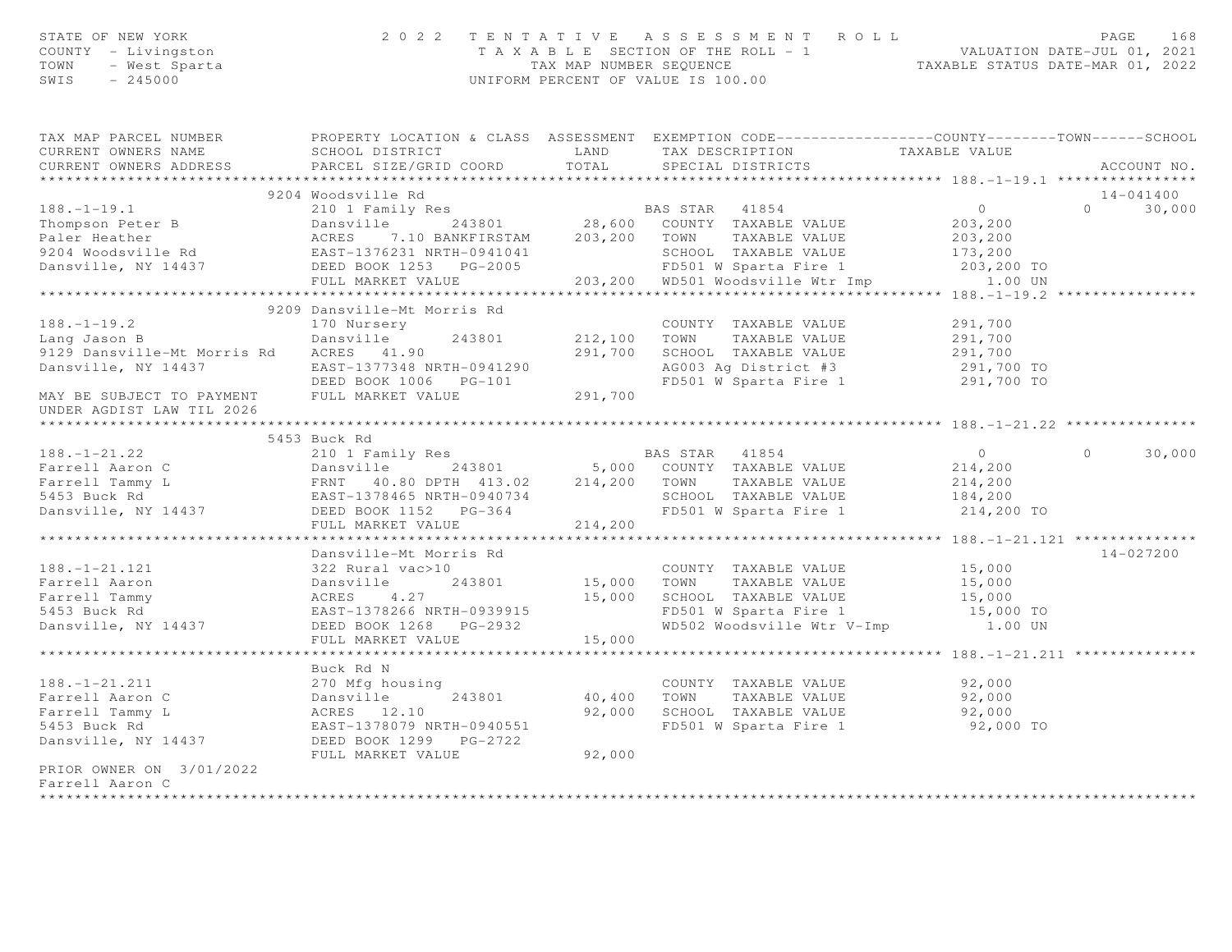| STATE OF NEW YORN<br>COUNTY - Livingston<br>TOWN - West Sparta                                                                                                                                                                             |                                                                                                                                |         | 2022 TENTATIVE ASSESSMENT ROLL PAGE 168<br>TAXABLE SECTION OF THE ROLL - 1 VALUATION DATE-JUL 01, 2021<br>TAX MAP NUMBER SEQUENCE TAXABLE STATUS DATE-MAR 01, 2022<br>UNIFORM PERCENT OF VALUE IS 100.00 |                |                          |
|--------------------------------------------------------------------------------------------------------------------------------------------------------------------------------------------------------------------------------------------|--------------------------------------------------------------------------------------------------------------------------------|---------|----------------------------------------------------------------------------------------------------------------------------------------------------------------------------------------------------------|----------------|--------------------------|
| TAX MAP PARCEL NUMBER THE PROPERTY LOCATION & CLASS ASSESSMENT EXEMPTION CODE--------------COUNTY-------TOWN------SCHOOL                                                                                                                   |                                                                                                                                |         |                                                                                                                                                                                                          |                |                          |
| CURRENT OWNERS NAME<br>CURRENT OWNERS ADDRESS                                                                                                                                                                                              | SCHOOL DISTRICT LAND<br>PARCEL SIZE/GRID COORD TOTAL                                                                           |         | TAX DESCRIPTION<br>SPECIAL DISTRICTS                                                                                                                                                                     | TAXABLE VALUE  | ACCOUNT NO.              |
|                                                                                                                                                                                                                                            |                                                                                                                                |         |                                                                                                                                                                                                          |                |                          |
|                                                                                                                                                                                                                                            | 9204 Woodsville Rd                                                                                                             |         |                                                                                                                                                                                                          |                | 14-041400                |
|                                                                                                                                                                                                                                            |                                                                                                                                |         |                                                                                                                                                                                                          |                | $\overline{0}$<br>30,000 |
|                                                                                                                                                                                                                                            |                                                                                                                                |         |                                                                                                                                                                                                          |                |                          |
|                                                                                                                                                                                                                                            |                                                                                                                                |         |                                                                                                                                                                                                          |                |                          |
|                                                                                                                                                                                                                                            |                                                                                                                                |         |                                                                                                                                                                                                          |                |                          |
| 9204 WOOdSVIIIe Rd<br>2018.-1-19.1 203,200<br>2018. Paler Heather 203101 203,200<br>20204 Woodsville Rd<br>2018. Paler Heather ACRES 7.10 BANKFIRSTAM 203,200 TOWN TAXABLE VALUE 203,200<br>20204 Woodsville Rd<br>203,200 EAST-1376231 NR |                                                                                                                                |         |                                                                                                                                                                                                          |                |                          |
|                                                                                                                                                                                                                                            |                                                                                                                                |         |                                                                                                                                                                                                          |                |                          |
|                                                                                                                                                                                                                                            | 9209 Dansville-Mt Morris Rd                                                                                                    |         |                                                                                                                                                                                                          |                |                          |
| $188. - 1 - 19.2$                                                                                                                                                                                                                          | 170 Nursery                                                                                                                    |         |                                                                                                                                                                                                          | 291,700        |                          |
| Lang Jason B                                                                                                                                                                                                                               | Dansville                                                                                                                      |         |                                                                                                                                                                                                          |                |                          |
| 9129 Dansville-Mt Morris Rd ACRES 41.90                                                                                                                                                                                                    |                                                                                                                                |         |                                                                                                                                                                                                          |                |                          |
|                                                                                                                                                                                                                                            |                                                                                                                                |         | 243801 212,100 TOWN TAXABLE VALUE 291,700<br>291,700 SCHOOL TAXABLE VALUE 291,700 291,700<br>291,700 291,700 PCOOL TAXABLE VALUE 291,700 TO                                                              |                |                          |
| 9129 Dansville-FIL FOILLS AU ACADEMY 11.1.2<br>Dansville, NY 14437 EAST-1377348 NRTH-0941290<br>DEED BOOK 1006 PG-101 291,700 PAYMENT FULL MARKET VALUE 291,700                                                                            |                                                                                                                                |         | FD501 W Sparta Fire 1 291,700 TO                                                                                                                                                                         |                |                          |
|                                                                                                                                                                                                                                            |                                                                                                                                |         |                                                                                                                                                                                                          |                |                          |
| UNDER AGDIST LAW TIL 2026                                                                                                                                                                                                                  |                                                                                                                                |         |                                                                                                                                                                                                          |                |                          |
|                                                                                                                                                                                                                                            | 5453 Buck Rd                                                                                                                   |         |                                                                                                                                                                                                          |                |                          |
|                                                                                                                                                                                                                                            |                                                                                                                                |         |                                                                                                                                                                                                          | $\overline{0}$ | 30,000<br>$\circ$        |
|                                                                                                                                                                                                                                            |                                                                                                                                |         |                                                                                                                                                                                                          | 214,200        |                          |
|                                                                                                                                                                                                                                            |                                                                                                                                |         |                                                                                                                                                                                                          | 214,200        |                          |
|                                                                                                                                                                                                                                            |                                                                                                                                |         |                                                                                                                                                                                                          |                |                          |
| 188.-1-21.22<br>Farrell Aaron C Dansville 243801 5,000 COUNTY TAXABLE VALUE<br>Farrell Tammy L FRNT 40.80 DPTH 413.02 214,200 TOWN TAXABLE VALUE<br>5453 Buck Rd EAST-1378465 NRTH-0940734 SCHOOL TAXABLE VALUE<br>Dansville, NY 14437     |                                                                                                                                |         | SCHOOL TAXABLE VALUE 184,200<br>FD501 W Sparta Fire 1 214,200                                                                                                                                            | 214,200 TO     |                          |
|                                                                                                                                                                                                                                            | FULL MARKET VALUE                                                                                                              | 214,200 |                                                                                                                                                                                                          |                |                          |
|                                                                                                                                                                                                                                            | ********************************                                                                                               |         |                                                                                                                                                                                                          |                |                          |
|                                                                                                                                                                                                                                            | Dansville-Mt Morris Rd                                                                                                         |         |                                                                                                                                                                                                          |                | 14-027200                |
| $188. - 1 - 21.121$                                                                                                                                                                                                                        |                                                                                                                                |         | COUNTY TAXABLE VALUE<br>15,000 TOWN TAXABLE VALUE<br>COUNTY TAXABLE VALUE 15,000<br>TOWN TAXABLE VALUE 15,000                                                                                            |                |                          |
| Farrell Aaron<br>Farrell Tammy                                                                                                                                                                                                             |                                                                                                                                |         |                                                                                                                                                                                                          |                |                          |
| 5453 Buck Rd                                                                                                                                                                                                                               |                                                                                                                                |         | 15,000 SCHOOL TAXABLE VALUE 15,000<br>TD501 W Sparta Fire 1 15,000 TO                                                                                                                                    |                |                          |
| Dansville, NY 14437                                                                                                                                                                                                                        | 322 Rural vac>10<br>Dansville 243801<br>ACRES 4.27<br>EAST-1378266 NRTH-0939915<br>14437 DEED BOOK 1268 PG-2932                |         | WD502 Woodsville Wtr V-Imp                                                                                                                                                                               | 1.00 UN        |                          |
|                                                                                                                                                                                                                                            | FULL MARKET VALUE                                                                                                              | 15,000  |                                                                                                                                                                                                          |                |                          |
|                                                                                                                                                                                                                                            |                                                                                                                                |         |                                                                                                                                                                                                          |                |                          |
|                                                                                                                                                                                                                                            | Buck Rd N                                                                                                                      |         |                                                                                                                                                                                                          |                |                          |
| $188. - 1 - 21.211$                                                                                                                                                                                                                        |                                                                                                                                |         | COUNTY TAXABLE VALUE 52,000<br>TOWN     TAXABLE VALUE 52,000                                                                                                                                             |                |                          |
| Farrell Aaron C                                                                                                                                                                                                                            |                                                                                                                                |         | 40,400 TOWN TAXABLE VALUE                                                                                                                                                                                |                |                          |
| Farrell Tammy L                                                                                                                                                                                                                            |                                                                                                                                |         | 92,000 SCHOOL TAXABLE VALUE<br>FD501 W Sparta Fire 1                                                                                                                                                     | 92,000         |                          |
| 5453 Buck Rd                                                                                                                                                                                                                               |                                                                                                                                |         |                                                                                                                                                                                                          | 92,000 TO      |                          |
| Dansville, NY 14437                                                                                                                                                                                                                        | 270 Mfg housing<br>Dansville 243801<br>ACRES 12.10<br>EAST-1378079 NRTH-0940551<br>DEED BOOK 1299 PG-2722<br>FULL MARKET VALUE | 92,000  |                                                                                                                                                                                                          |                |                          |
| PRIOR OWNER ON 3/01/2022                                                                                                                                                                                                                   |                                                                                                                                |         |                                                                                                                                                                                                          |                |                          |
| Farrell Aaron C                                                                                                                                                                                                                            |                                                                                                                                |         |                                                                                                                                                                                                          |                |                          |
| ************                                                                                                                                                                                                                               |                                                                                                                                |         |                                                                                                                                                                                                          |                |                          |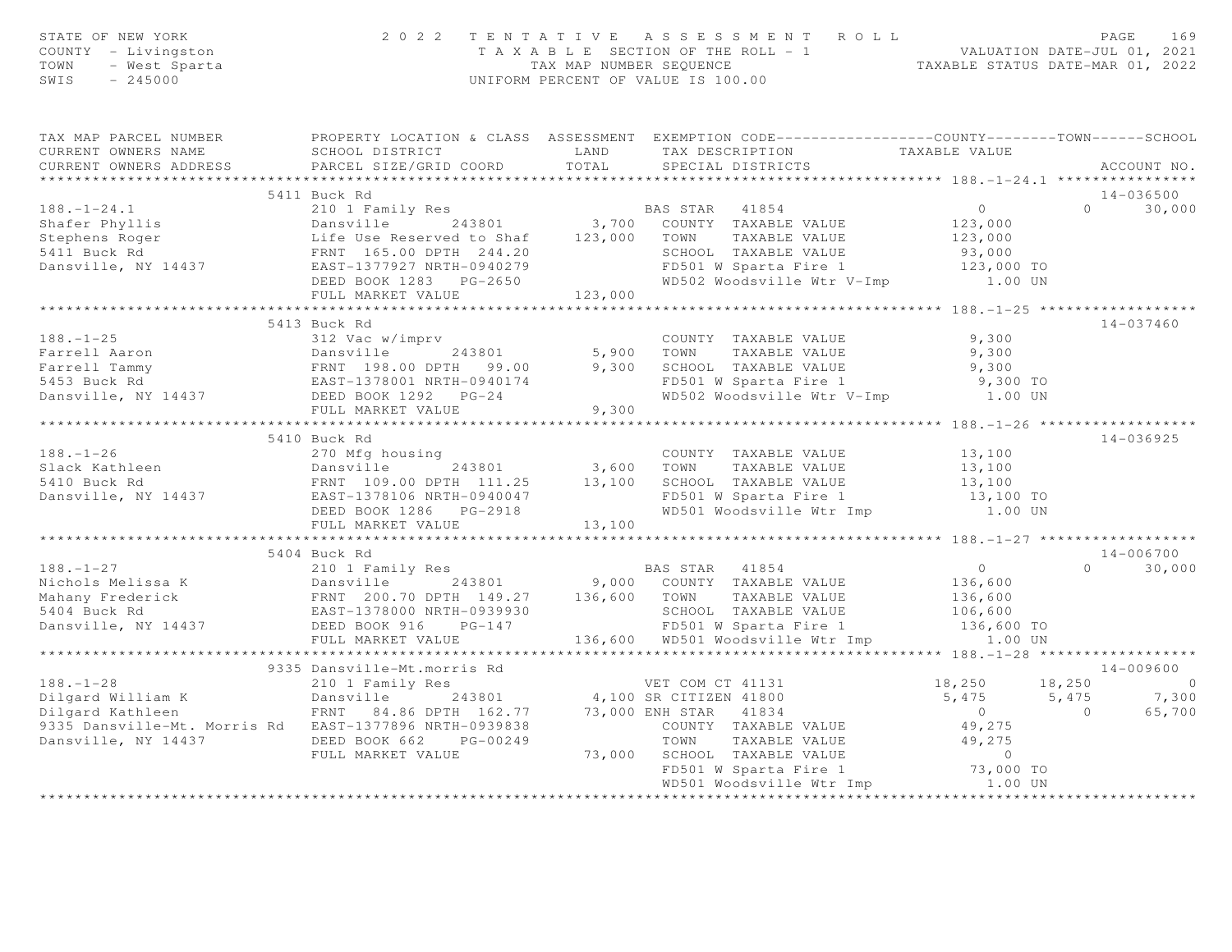| STATE OF NEW YORK<br>COUNTY - Livingston<br>TOWN - West Sparta<br>SWIS - 245000                                                                                                                                                                  |                                    |       | 2022 TENTATIVE ASSESSMENT ROLL PAGE 169<br>TAXABLE SECTION OF THE ROLL - 1 VALUATION DATE-JUL 01, 2021<br>TAX MAP NUMBER SEQUENCE TAXABLE STATUS DATE-MAR 01, 2022<br>UNIFORM PERCENT OF VALUE IS 100.00 |                     |                                                 |
|--------------------------------------------------------------------------------------------------------------------------------------------------------------------------------------------------------------------------------------------------|------------------------------------|-------|----------------------------------------------------------------------------------------------------------------------------------------------------------------------------------------------------------|---------------------|-------------------------------------------------|
| TAX MAP PARCEL NUMBER PROPERTY LOCATION & CLASS ASSESSMENT EXEMPTION CODE----------------COUNTY--------TOWN------SCHOOL<br>CURRENT OWNERS NAME<br>CURRENT OWNERS ADDRESS FARCEL SIZE/GRID COORD TOTAL SPECIAL DISTRICTS                          | SCHOOL DISTRICT                    |       | LAND TAX DESCRIPTION TAXABLE VALUE                                                                                                                                                                       |                     | ACCOUNT NO.                                     |
|                                                                                                                                                                                                                                                  | 5411 Buck Rd                       |       |                                                                                                                                                                                                          |                     | 14-036500                                       |
|                                                                                                                                                                                                                                                  |                                    |       |                                                                                                                                                                                                          |                     | $0 \t 30,000$                                   |
| 3411 Buck RAS STAR 41854<br>3.700 COUNTY TAXABLE VALUE<br>3.700 COUNTY TAXABLE VALUE<br>3.700 COUNTY TAXABLE VALUE<br>3.700 COUNTY TAXABLE VALUE<br>3.700 COUNTY TAXABLE VALUE<br>3.000 123,000<br>3.000 123,000<br>5411 Buck Rd<br>5411 Buck Rd |                                    |       |                                                                                                                                                                                                          |                     |                                                 |
|                                                                                                                                                                                                                                                  |                                    |       |                                                                                                                                                                                                          |                     |                                                 |
|                                                                                                                                                                                                                                                  | FULL MARKET VALUE 123,000          |       |                                                                                                                                                                                                          |                     |                                                 |
|                                                                                                                                                                                                                                                  |                                    |       |                                                                                                                                                                                                          |                     |                                                 |
|                                                                                                                                                                                                                                                  | 5413 Buck Rd                       |       |                                                                                                                                                                                                          |                     | 14-037460                                       |
|                                                                                                                                                                                                                                                  |                                    |       |                                                                                                                                                                                                          |                     |                                                 |
|                                                                                                                                                                                                                                                  |                                    |       |                                                                                                                                                                                                          |                     |                                                 |
|                                                                                                                                                                                                                                                  |                                    |       |                                                                                                                                                                                                          |                     |                                                 |
|                                                                                                                                                                                                                                                  |                                    |       |                                                                                                                                                                                                          |                     |                                                 |
|                                                                                                                                                                                                                                                  | FULL MARKET VALUE                  | 9,300 |                                                                                                                                                                                                          |                     |                                                 |
|                                                                                                                                                                                                                                                  |                                    |       |                                                                                                                                                                                                          |                     |                                                 |
|                                                                                                                                                                                                                                                  | 5410 Buck Rd                       |       |                                                                                                                                                                                                          |                     | 14-036925                                       |
|                                                                                                                                                                                                                                                  |                                    |       |                                                                                                                                                                                                          |                     |                                                 |
|                                                                                                                                                                                                                                                  |                                    |       |                                                                                                                                                                                                          |                     |                                                 |
|                                                                                                                                                                                                                                                  |                                    |       |                                                                                                                                                                                                          |                     |                                                 |
|                                                                                                                                                                                                                                                  |                                    |       |                                                                                                                                                                                                          |                     |                                                 |
|                                                                                                                                                                                                                                                  |                                    |       |                                                                                                                                                                                                          |                     |                                                 |
|                                                                                                                                                                                                                                                  |                                    |       |                                                                                                                                                                                                          |                     |                                                 |
|                                                                                                                                                                                                                                                  |                                    |       |                                                                                                                                                                                                          |                     |                                                 |
|                                                                                                                                                                                                                                                  | 5404 Buck Rd                       |       |                                                                                                                                                                                                          |                     | 14-006700<br>$\Omega$<br>30,000                 |
|                                                                                                                                                                                                                                                  |                                    |       |                                                                                                                                                                                                          |                     |                                                 |
|                                                                                                                                                                                                                                                  |                                    |       |                                                                                                                                                                                                          |                     |                                                 |
|                                                                                                                                                                                                                                                  |                                    |       |                                                                                                                                                                                                          |                     |                                                 |
|                                                                                                                                                                                                                                                  |                                    |       |                                                                                                                                                                                                          |                     |                                                 |
|                                                                                                                                                                                                                                                  |                                    |       |                                                                                                                                                                                                          |                     |                                                 |
|                                                                                                                                                                                                                                                  |                                    |       |                                                                                                                                                                                                          |                     |                                                 |
|                                                                                                                                                                                                                                                  | 9335 Dansville-Mt.morris Rd        |       |                                                                                                                                                                                                          |                     | 14-009600                                       |
|                                                                                                                                                                                                                                                  |                                    |       |                                                                                                                                                                                                          | $18,250$ $18,250$ 0 |                                                 |
|                                                                                                                                                                                                                                                  |                                    |       |                                                                                                                                                                                                          |                     | $5,475$ $5,475$ $7,300$<br>0<br>49,275 0 65,700 |
|                                                                                                                                                                                                                                                  |                                    |       |                                                                                                                                                                                                          |                     |                                                 |
|                                                                                                                                                                                                                                                  |                                    |       |                                                                                                                                                                                                          |                     |                                                 |
|                                                                                                                                                                                                                                                  |                                    |       |                                                                                                                                                                                                          |                     |                                                 |
|                                                                                                                                                                                                                                                  |                                    |       |                                                                                                                                                                                                          |                     |                                                 |
|                                                                                                                                                                                                                                                  | ********************************** |       |                                                                                                                                                                                                          |                     |                                                 |
|                                                                                                                                                                                                                                                  |                                    |       |                                                                                                                                                                                                          |                     |                                                 |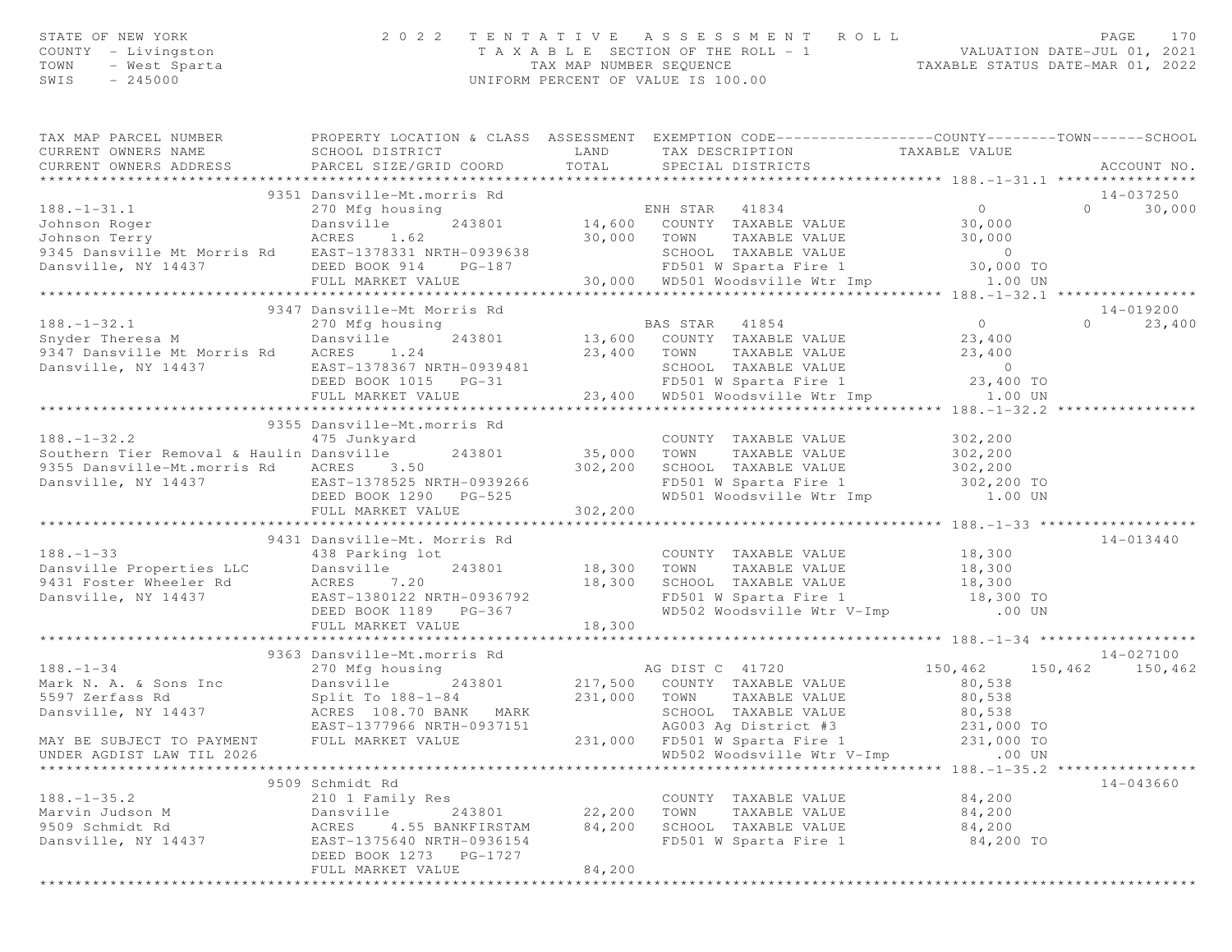|      | STATE OF NEW YORK   | 2022 TENTATIVE ASSESSMENT ROLL     | PAGE                             |  |
|------|---------------------|------------------------------------|----------------------------------|--|
|      | COUNTY - Livingston | TAXABLE SECTION OF THE ROLL - 1    | VALUATION DATE-JUL 01, 2021      |  |
| TOWN | – West Sparta       | TAX MAP NUMBER SEOUENCE            | TAXABLE STATUS DATE-MAR 01, 2022 |  |
| SWIS | - 245000            | UNIFORM PERCENT OF VALUE IS 100.00 |                                  |  |

| TAX MAP PARCEL NUMBER                                                                                                                                                                                                                                  | PROPERTY LOCATION & CLASS ASSESSMENT EXEMPTION CODE----------------COUNTY-------TOWN------SCHOOL                              |                          |                                                                          |                            |                    |
|--------------------------------------------------------------------------------------------------------------------------------------------------------------------------------------------------------------------------------------------------------|-------------------------------------------------------------------------------------------------------------------------------|--------------------------|--------------------------------------------------------------------------|----------------------------|--------------------|
| CURRENT OWNERS NAME                                                                                                                                                                                                                                    | SCHOOL DISTRICT                                                                                                               | LAND                     | TAX DESCRIPTION                     TAXABLE VALUE<br>SPECIAL DISTRICTS   |                            |                    |
| CURRENT OWNERS ADDRESS                                                                                                                                                                                                                                 | PARCEL SIZE/GRID COORD                                                                                                        | TOTAL                    | SPECIAL DISTRICTS                                                        |                            | ACCOUNT NO.        |
|                                                                                                                                                                                                                                                        |                                                                                                                               |                          |                                                                          |                            |                    |
|                                                                                                                                                                                                                                                        | 9351 Dansville-Mt.morris Rd                                                                                                   |                          |                                                                          |                            | 14-037250          |
| $188. - 1 - 31.1$                                                                                                                                                                                                                                      | 270 Mfg housing                                                                                                               |                          | ENH STAR 41834                                                           | $\overline{0}$             | $\Omega$<br>30,000 |
|                                                                                                                                                                                                                                                        |                                                                                                                               |                          |                                                                          | 30,000<br>30,000           |                    |
|                                                                                                                                                                                                                                                        |                                                                                                                               |                          |                                                                          |                            |                    |
|                                                                                                                                                                                                                                                        |                                                                                                                               |                          |                                                                          | $\overline{0}$             |                    |
|                                                                                                                                                                                                                                                        |                                                                                                                               |                          | SCHOOL TAXABLE VALUE<br>FD501 W Sparta Fire 1                            | 30,000 TO                  |                    |
| Union Roger<br>Union Roger<br>Union Terry<br>270 Mig Housing<br>243801<br>243801<br>244500 COUNTY TAXABLE VALUE<br>30,000 TOWN TAXABLE VALUE<br>243801<br>244,600 COUNTY TAXABLE VALUE<br>30,000 TOWN TAXABLE VALUE<br>2450 SCHOOL TAXABLE VALUE<br>26 |                                                                                                                               |                          |                                                                          | 1.00 UN                    |                    |
| *********************                                                                                                                                                                                                                                  |                                                                                                                               |                          |                                                                          |                            |                    |
|                                                                                                                                                                                                                                                        | 9347 Dansville-Mt Morris Rd                                                                                                   |                          |                                                                          |                            | 14-019200          |
| $188. - 1 - 32.1$                                                                                                                                                                                                                                      | 270 Mfg housing                                                                                                               |                          | BAS STAR 41854                                                           | $0$<br>23,400              | $0 \t 23,400$      |
| Snyder Theresa M Dansville                                                                                                                                                                                                                             |                                                                                                                               |                          | 243801 13,600 COUNTY TAXABLE VALUE                                       |                            |                    |
| 9347 Dansville Mt Morris Rd ACRES 1.24                                                                                                                                                                                                                 |                                                                                                                               |                          | 23,400 TOWN TAXABLE VALUE                                                | $23,400$<br>0<br>23,400 TO |                    |
| Dansville, NY 14437                                                                                                                                                                                                                                    | EAST-1378367 NRTH-0939481                                                                                                     |                          |                                                                          |                            |                    |
|                                                                                                                                                                                                                                                        | DEED BOOK 1015 PG-31                                                                                                          |                          | SCHOOL TAXABLE VALUE<br>FD501 W Sparta Fire 1                            |                            |                    |
|                                                                                                                                                                                                                                                        | FULL MARKET VALUE                                                                                                             |                          | $23,400$ WD501 Woodsville Wtr Imp $23,400$ TO UN $1.00$ UN               |                            |                    |
|                                                                                                                                                                                                                                                        |                                                                                                                               |                          |                                                                          |                            |                    |
|                                                                                                                                                                                                                                                        | 9355 Dansville-Mt.morris Rd                                                                                                   |                          |                                                                          |                            |                    |
| $188. - 1 - 32.2$                                                                                                                                                                                                                                      | 475 Junkyard                                                                                                                  |                          | COUNTY TAXABLE VALUE 302,200                                             |                            |                    |
| Southern Tier Removal & Haulin Dansville                                                                                                                                                                                                               | 243801                                                                                                                        |                          | 35,000 TOWN TAXABLE VALUE                                                | 302,200                    |                    |
| 9355 Dansville-Mt.morris Rd ACRES 3.50                                                                                                                                                                                                                 |                                                                                                                               |                          | 302,200 SCHOOL TAXABLE VALUE 302,200<br>FD501 W Sparta Fire 1 302,200 TO |                            |                    |
| Dansville, NY 14437 EAST-1378525 NRTH-0939266<br>DEED BOOK 1290 PG-525                                                                                                                                                                                 |                                                                                                                               |                          |                                                                          |                            |                    |
|                                                                                                                                                                                                                                                        |                                                                                                                               |                          | FD501 W Sparta Fire 1 302,200 TO<br>WD501 Woodsville Wtr Imp 1.00 UN     |                            |                    |
|                                                                                                                                                                                                                                                        | FULL MARKET VALUE                                                                                                             | 302,200                  |                                                                          |                            |                    |
|                                                                                                                                                                                                                                                        |                                                                                                                               |                          |                                                                          |                            |                    |
|                                                                                                                                                                                                                                                        | 9431 Dansville-Mt. Morris Rd                                                                                                  |                          |                                                                          |                            | 14-013440          |
| $188. - 1 - 33$                                                                                                                                                                                                                                        | 438 Parking lot                                                                                                               |                          | COUNTY TAXABLE VALUE                                                     | 18,300                     |                    |
| Dansville Properties LLC Dansville 243801 18,300 TOWN TAXABLE VALUE 18,300 ISONIC 18,300 TOWN TAXABLE VALUE 18,300 ISONIC 2013801 18,300 SCHOOL TAXABLE VALUE 18,300 ISONIC 18,300 CHOOL TAXABLE VALUE 18,300 ISONIC 201380122                         |                                                                                                                               |                          |                                                                          |                            |                    |
|                                                                                                                                                                                                                                                        |                                                                                                                               |                          |                                                                          |                            |                    |
|                                                                                                                                                                                                                                                        |                                                                                                                               |                          |                                                                          |                            |                    |
|                                                                                                                                                                                                                                                        |                                                                                                                               |                          |                                                                          |                            |                    |
|                                                                                                                                                                                                                                                        | FULL MARKET VALUE                                                                                                             | 18,300                   |                                                                          |                            |                    |
|                                                                                                                                                                                                                                                        |                                                                                                                               |                          |                                                                          |                            |                    |
|                                                                                                                                                                                                                                                        | 9363 Dansville-Mt.morris Rd                                                                                                   |                          |                                                                          |                            | 14-027100          |
| $188. - 1 - 34$                                                                                                                                                                                                                                        | 270 Mfg housing                                                                                                               |                          | AG DIST C 41720                                                          | 150,462                    | 150,462 150,462    |
| Mark N. A. & Sons Inc                                                                                                                                                                                                                                  | 270 Mrg housing<br>Dansville 243801 217,500 COUNTY TAXABLE VALUE<br>Split To 188-1-84 231,000 TOWN TAXABLE VALUE<br>Dansville |                          |                                                                          | 80,538                     |                    |
|                                                                                                                                                                                                                                                        |                                                                                                                               |                          |                                                                          |                            |                    |
|                                                                                                                                                                                                                                                        |                                                                                                                               |                          |                                                                          |                            |                    |
|                                                                                                                                                                                                                                                        |                                                                                                                               |                          |                                                                          |                            |                    |
|                                                                                                                                                                                                                                                        |                                                                                                                               |                          |                                                                          |                            |                    |
| 91. Acts N. A. W Solid Inc. Mark School (188-1-84 231,000 TOWN TAXABLE VALUE 80,538 80<br>Dansville, NY 14437 ACRES 108.70 BANK MARK SCHOOL TAXABLE VALUE 80,538<br>EAST-1377966 NRTH-0937151 AG003 Ag District #3 231,000 TO<br>MAY                   |                                                                                                                               |                          |                                                                          |                            |                    |
|                                                                                                                                                                                                                                                        |                                                                                                                               |                          |                                                                          |                            |                    |
|                                                                                                                                                                                                                                                        | 9509 Schmidt Rd                                                                                                               |                          |                                                                          |                            | 14-043660          |
| 188.-1-35.2 210 1 Family Res<br>Marvin Judson M Dansville 243801<br>9509 Schmidt Rd ACRES 4.55 BANKFIRSTAM<br>Dansville, NY 14437 EAST-1375640 NRTH-0936154<br>EAST-1375640 NRTH-0936154                                                               |                                                                                                                               |                          | COUNTY TAXABLE VALUE                                                     | 84,200                     |                    |
|                                                                                                                                                                                                                                                        |                                                                                                                               |                          | TAXABLE VALUE 84,200                                                     |                            |                    |
|                                                                                                                                                                                                                                                        |                                                                                                                               | 84,200                   | SCHOOL TAXABLE VALUE<br>FD501 W Sparta Fire 1 84,200 TO                  | 84,200                     |                    |
|                                                                                                                                                                                                                                                        |                                                                                                                               |                          |                                                                          |                            |                    |
|                                                                                                                                                                                                                                                        | DEED BOOK 1273 PG-1727                                                                                                        |                          |                                                                          |                            |                    |
|                                                                                                                                                                                                                                                        | FULL MARKET VALUE                                                                                                             | 84,200<br>************** |                                                                          |                            |                    |
|                                                                                                                                                                                                                                                        |                                                                                                                               |                          |                                                                          |                            |                    |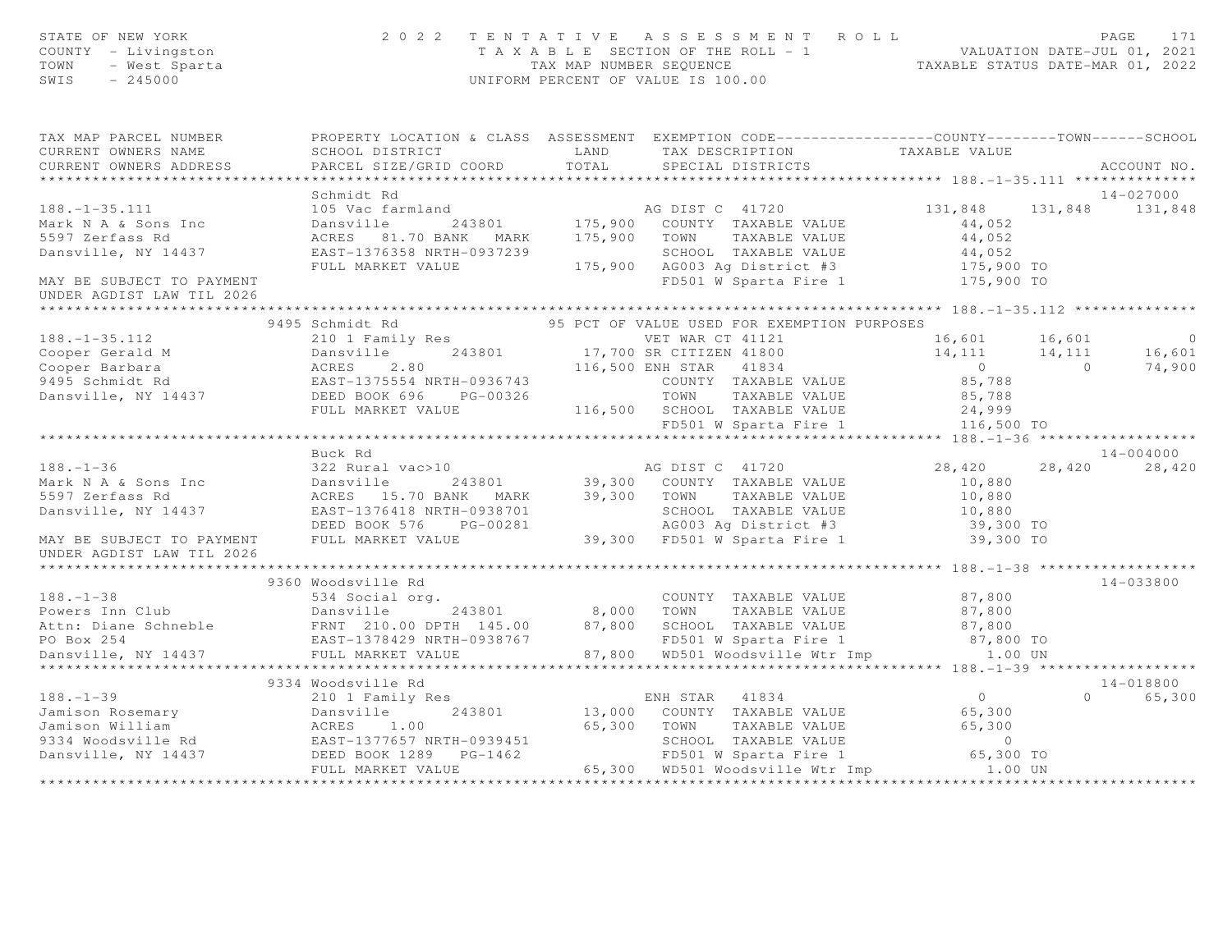| STATE OF NEW YORK<br>COUNTY - Livingston<br>TOWN - West Sparta<br>SWIS - 245000                                                                                                                                                                                                                                                                                                     |                    | $\begin{array}{cccccccccccc} 2&0&2&2&2&\text{T} &\text{E} &\text{N} &\text{T} &\text{A} &\text{E} &\text{B} &\text{E} &\text{E} &\text{E} &\text{T} &\text{A} &\text{E} &\text{A} &\text{E} &\text{B} &\text{E} &\text{E} &\text{E} &\text{E} &\text{E} &\text{E} &\text{E} &\text{E} &\text{E} &\text{E} &\text{E} &\text{E} &\text{E} &\text{E} &\text{E} &\text{E} &\text{E} &\text{E}$ |                      |               |
|-------------------------------------------------------------------------------------------------------------------------------------------------------------------------------------------------------------------------------------------------------------------------------------------------------------------------------------------------------------------------------------|--------------------|--------------------------------------------------------------------------------------------------------------------------------------------------------------------------------------------------------------------------------------------------------------------------------------------------------------------------------------------------------------------------------------------|----------------------|---------------|
| TAX MAP PARCEL NUMBER <a> PROPERTY LOCATION &amp; CLASS ASSESSMENT EXEMPTION CODE---------------COUNTY-------TOWN------SCHOOL</a>                                                                                                                                                                                                                                                   |                    |                                                                                                                                                                                                                                                                                                                                                                                            |                      |               |
| CURRENT OWNERS NAME                                                                                                                                                                                                                                                                                                                                                                 |                    |                                                                                                                                                                                                                                                                                                                                                                                            |                      |               |
| CURRENT OWNERS ADDRESS                                                                                                                                                                                                                                                                                                                                                              |                    |                                                                                                                                                                                                                                                                                                                                                                                            |                      | ACCOUNT NO.   |
|                                                                                                                                                                                                                                                                                                                                                                                     |                    |                                                                                                                                                                                                                                                                                                                                                                                            |                      |               |
|                                                                                                                                                                                                                                                                                                                                                                                     | Schmidt Rd         |                                                                                                                                                                                                                                                                                                                                                                                            |                      | 14-027000     |
|                                                                                                                                                                                                                                                                                                                                                                                     |                    |                                                                                                                                                                                                                                                                                                                                                                                            |                      |               |
|                                                                                                                                                                                                                                                                                                                                                                                     |                    |                                                                                                                                                                                                                                                                                                                                                                                            |                      |               |
|                                                                                                                                                                                                                                                                                                                                                                                     |                    |                                                                                                                                                                                                                                                                                                                                                                                            |                      |               |
|                                                                                                                                                                                                                                                                                                                                                                                     |                    |                                                                                                                                                                                                                                                                                                                                                                                            |                      |               |
|                                                                                                                                                                                                                                                                                                                                                                                     |                    |                                                                                                                                                                                                                                                                                                                                                                                            |                      |               |
| UNDER AGDIST LAW TIL 2026                                                                                                                                                                                                                                                                                                                                                           |                    |                                                                                                                                                                                                                                                                                                                                                                                            |                      |               |
|                                                                                                                                                                                                                                                                                                                                                                                     |                    |                                                                                                                                                                                                                                                                                                                                                                                            |                      |               |
|                                                                                                                                                                                                                                                                                                                                                                                     | 9495 Schmidt Rd    | 95 PCT OF VALUE USED FOR EXEMPTION PURPOSES                                                                                                                                                                                                                                                                                                                                                |                      |               |
|                                                                                                                                                                                                                                                                                                                                                                                     |                    |                                                                                                                                                                                                                                                                                                                                                                                            |                      |               |
|                                                                                                                                                                                                                                                                                                                                                                                     |                    |                                                                                                                                                                                                                                                                                                                                                                                            |                      |               |
|                                                                                                                                                                                                                                                                                                                                                                                     |                    |                                                                                                                                                                                                                                                                                                                                                                                            |                      |               |
|                                                                                                                                                                                                                                                                                                                                                                                     |                    |                                                                                                                                                                                                                                                                                                                                                                                            |                      |               |
|                                                                                                                                                                                                                                                                                                                                                                                     |                    |                                                                                                                                                                                                                                                                                                                                                                                            |                      |               |
|                                                                                                                                                                                                                                                                                                                                                                                     |                    |                                                                                                                                                                                                                                                                                                                                                                                            |                      |               |
|                                                                                                                                                                                                                                                                                                                                                                                     |                    |                                                                                                                                                                                                                                                                                                                                                                                            |                      |               |
|                                                                                                                                                                                                                                                                                                                                                                                     |                    |                                                                                                                                                                                                                                                                                                                                                                                            |                      |               |
|                                                                                                                                                                                                                                                                                                                                                                                     | Buck Rd            |                                                                                                                                                                                                                                                                                                                                                                                            |                      | $14 - 004000$ |
| $188. - 1 - 36$                                                                                                                                                                                                                                                                                                                                                                     |                    |                                                                                                                                                                                                                                                                                                                                                                                            | 28,420 28,420 28,420 |               |
|                                                                                                                                                                                                                                                                                                                                                                                     |                    |                                                                                                                                                                                                                                                                                                                                                                                            |                      |               |
|                                                                                                                                                                                                                                                                                                                                                                                     |                    |                                                                                                                                                                                                                                                                                                                                                                                            |                      |               |
|                                                                                                                                                                                                                                                                                                                                                                                     |                    |                                                                                                                                                                                                                                                                                                                                                                                            |                      |               |
|                                                                                                                                                                                                                                                                                                                                                                                     |                    |                                                                                                                                                                                                                                                                                                                                                                                            |                      |               |
| UNDER AGDIST LAW TIL 2026                                                                                                                                                                                                                                                                                                                                                           |                    |                                                                                                                                                                                                                                                                                                                                                                                            |                      |               |
|                                                                                                                                                                                                                                                                                                                                                                                     |                    |                                                                                                                                                                                                                                                                                                                                                                                            |                      |               |
| $\begin{array}{lllllllllll} 188.-1-38 & 9360\text{ Woodsville Rd} & 14-033800\\ \text{Powers Inn Club} & 534\text{ Social org.} & 243801 & 8,000\text{ TOWN} & TAXABLE VALUE & 87,800\\ \text{Attn: Diane Schneble} & \text{Ensville, NY 14437} & \text{ENNT 210.00 DFH 145.00} & 87,800 & 87,800\\ \text{POD Box 254} & \text{EAST}-1378429\text{ NRH}-0938767 & \text{FDS01 W Sp$ | 9360 Woodsville Rd |                                                                                                                                                                                                                                                                                                                                                                                            |                      | 14-033800     |
|                                                                                                                                                                                                                                                                                                                                                                                     |                    |                                                                                                                                                                                                                                                                                                                                                                                            |                      |               |
|                                                                                                                                                                                                                                                                                                                                                                                     |                    |                                                                                                                                                                                                                                                                                                                                                                                            |                      |               |
|                                                                                                                                                                                                                                                                                                                                                                                     |                    |                                                                                                                                                                                                                                                                                                                                                                                            |                      |               |
|                                                                                                                                                                                                                                                                                                                                                                                     |                    |                                                                                                                                                                                                                                                                                                                                                                                            |                      |               |
|                                                                                                                                                                                                                                                                                                                                                                                     |                    |                                                                                                                                                                                                                                                                                                                                                                                            |                      |               |
|                                                                                                                                                                                                                                                                                                                                                                                     |                    |                                                                                                                                                                                                                                                                                                                                                                                            |                      |               |
|                                                                                                                                                                                                                                                                                                                                                                                     |                    |                                                                                                                                                                                                                                                                                                                                                                                            |                      | 14-018800     |
|                                                                                                                                                                                                                                                                                                                                                                                     |                    |                                                                                                                                                                                                                                                                                                                                                                                            |                      | 0 65,300      |
|                                                                                                                                                                                                                                                                                                                                                                                     |                    |                                                                                                                                                                                                                                                                                                                                                                                            |                      |               |
|                                                                                                                                                                                                                                                                                                                                                                                     |                    |                                                                                                                                                                                                                                                                                                                                                                                            |                      |               |
|                                                                                                                                                                                                                                                                                                                                                                                     |                    |                                                                                                                                                                                                                                                                                                                                                                                            |                      |               |
|                                                                                                                                                                                                                                                                                                                                                                                     |                    |                                                                                                                                                                                                                                                                                                                                                                                            |                      |               |
|                                                                                                                                                                                                                                                                                                                                                                                     |                    |                                                                                                                                                                                                                                                                                                                                                                                            |                      |               |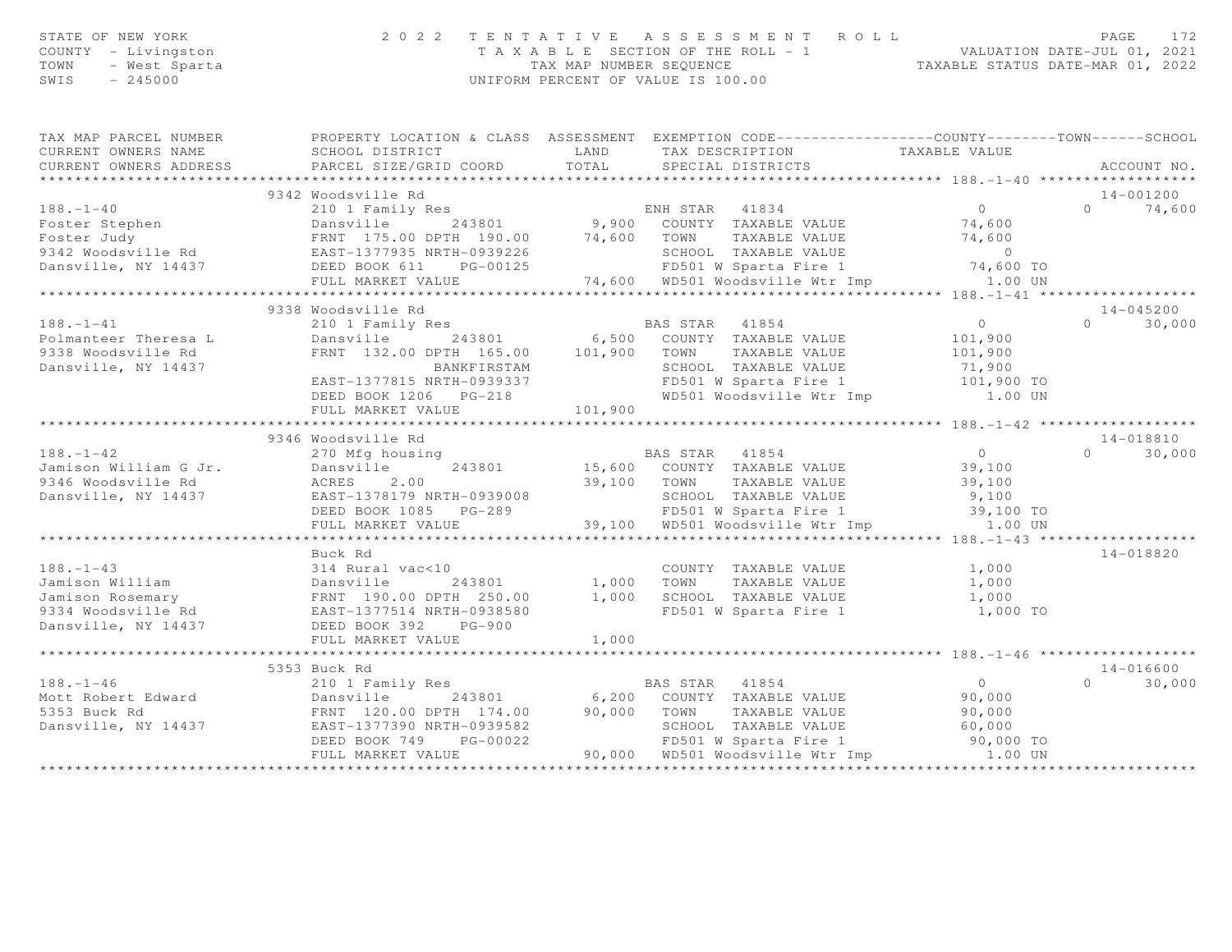| STATE OF NEW YORK<br>COUNTY - Livingston<br>- West Sparta<br>TOWN<br>SWIS<br>$-245000$ |                                                                                                                                                                                                                                                                                                                                                                                                      | TAX MAP NUMBER SEQUENCE | 2022 TENTATIVE ASSESSMENT ROLL<br>T A X A B L E SECTION OF THE ROLL - 1<br>UNIFORM PERCENT OF VALUE IS 100.00 | 1 VALUATION DATE-JUL 01, 2021<br>TAXABLE STATUS DATE-MAR 01, 2022 | PAGE<br>172              |
|----------------------------------------------------------------------------------------|------------------------------------------------------------------------------------------------------------------------------------------------------------------------------------------------------------------------------------------------------------------------------------------------------------------------------------------------------------------------------------------------------|-------------------------|---------------------------------------------------------------------------------------------------------------|-------------------------------------------------------------------|--------------------------|
| CURRENT OWNERS NAME                                                                    | TAX MAP PARCEL NUMBER THE PROPERTY LOCATION & CLASS ASSESSMENT EXEMPTION CODE--------------COUNTY-------TOWN------SCHOOL<br>SCHOOL DISTRICT                                                                                                                                                                                                                                                          |                         |                                                                                                               |                                                                   |                          |
| CURRENT OWNERS ADDRESS                                                                 | PARCEL SIZE/GRID COORD                                                                                                                                                                                                                                                                                                                                                                               |                         | LAND TAX DESCRIPTION TAXABLE VALUE COORD TOTAL SPECIAL DISTRICTS                                              |                                                                   | ACCOUNT NO.              |
|                                                                                        |                                                                                                                                                                                                                                                                                                                                                                                                      |                         |                                                                                                               |                                                                   |                          |
|                                                                                        | 9342 Woodsville Rd                                                                                                                                                                                                                                                                                                                                                                                   |                         |                                                                                                               |                                                                   | 14-001200                |
| $188. - 1 - 40$                                                                        | 210 1 Family Res                                                                                                                                                                                                                                                                                                                                                                                     |                         | ENH STAR 41834                                                                                                | $\overline{0}$                                                    | 74,600<br>$\Omega$       |
|                                                                                        |                                                                                                                                                                                                                                                                                                                                                                                                      |                         |                                                                                                               |                                                                   |                          |
|                                                                                        |                                                                                                                                                                                                                                                                                                                                                                                                      |                         |                                                                                                               |                                                                   |                          |
|                                                                                        |                                                                                                                                                                                                                                                                                                                                                                                                      |                         |                                                                                                               |                                                                   |                          |
|                                                                                        |                                                                                                                                                                                                                                                                                                                                                                                                      |                         |                                                                                                               |                                                                   |                          |
|                                                                                        |                                                                                                                                                                                                                                                                                                                                                                                                      |                         |                                                                                                               |                                                                   |                          |
|                                                                                        | $\begin{array}{lllllllllllllllllll} 188.-1-40 & \text{210 L1 mm} & \text{243801} & 9,900 & \text{COUNTY} & \text{IAAADLE VALUE} & \text{243600} \\ \text{Foster Stephen} & \text{FERNT} & 175.00 DPTH & 190.00 & 74,600 & \text{TOWN} & \text{TAXABLE VALUE} & 74,600 \\ \text{9342 Woodsville Rd} & \text{EART} & 175.00 DPTH & 190.00 & 74,600 & \text{TOWN} & \text{TAXABLE VALUE} & 0 \\ \text{$ |                         |                                                                                                               |                                                                   |                          |
|                                                                                        | 9338 Woodsville Rd                                                                                                                                                                                                                                                                                                                                                                                   |                         |                                                                                                               |                                                                   | 14-045200                |
| $188. - 1 - 41$                                                                        |                                                                                                                                                                                                                                                                                                                                                                                                      |                         |                                                                                                               | $\overline{0}$                                                    | 30,000<br>$\overline{0}$ |
| Polmanteer Theresa L<br>9338 Woodsville Rd                                             |                                                                                                                                                                                                                                                                                                                                                                                                      |                         |                                                                                                               | 101,900<br>101,900                                                |                          |
| Dansville, NY 14437                                                                    |                                                                                                                                                                                                                                                                                                                                                                                                      |                         |                                                                                                               | 71,900                                                            |                          |
|                                                                                        |                                                                                                                                                                                                                                                                                                                                                                                                      |                         | FD501 W Sparta Fire 1 101,900 TO                                                                              |                                                                   |                          |
|                                                                                        | EAST-1377815 NRTH-0939337<br>EAST-1377815 NRTH-0939337<br>PERST-1377815 NRTH-0939337<br>PERSON WORDS NO WORDS WORDS WORDS WORDS WORDS NATURE TO MEET THE TREE OF THE RESONANCE OF THE RESONANCE OF THE RESONANCE OF THE RESONANCE OF                                                                                                                                                                 |                         |                                                                                                               | 1.00 UN                                                           |                          |
|                                                                                        | FULL MARKET VALUE                                                                                                                                                                                                                                                                                                                                                                                    | 101,900                 |                                                                                                               |                                                                   |                          |
|                                                                                        |                                                                                                                                                                                                                                                                                                                                                                                                      |                         |                                                                                                               |                                                                   |                          |
|                                                                                        | 9346 Woodsville Rd                                                                                                                                                                                                                                                                                                                                                                                   |                         |                                                                                                               |                                                                   | 14-018810                |
| $188. - 1 - 42$                                                                        | 270 Mfg housing                                                                                                                                                                                                                                                                                                                                                                                      |                         | BAS STAR 41854                                                                                                | $\overline{0}$                                                    | 30,000<br>$\Omega$       |
| Jamison William G Jr.                                                                  | 243801<br>Dansville                                                                                                                                                                                                                                                                                                                                                                                  |                         | 15,600 COUNTY TAXABLE VALUE<br>39,100 TOWN TAXABLE VALUE                                                      | 39,100<br>39,100                                                  |                          |
| 9346 Woodsville Rd                                                                     | ACRES 2.00                                                                                                                                                                                                                                                                                                                                                                                           |                         |                                                                                                               |                                                                   |                          |
|                                                                                        | Dansville, NY 14437 EAST-1378179 NRTH-0939008                                                                                                                                                                                                                                                                                                                                                        |                         |                                                                                                               |                                                                   |                          |
|                                                                                        | DEED BOOK 1085 PG-289                                                                                                                                                                                                                                                                                                                                                                                |                         |                                                                                                               |                                                                   |                          |
|                                                                                        | FULL MARKET VALUE                                                                                                                                                                                                                                                                                                                                                                                    |                         |                                                                                                               |                                                                   |                          |
|                                                                                        |                                                                                                                                                                                                                                                                                                                                                                                                      |                         |                                                                                                               |                                                                   |                          |
|                                                                                        | Buck Rd                                                                                                                                                                                                                                                                                                                                                                                              |                         |                                                                                                               |                                                                   | 14-018820                |
|                                                                                        |                                                                                                                                                                                                                                                                                                                                                                                                      |                         | COUNTY TAXABLE VALUE<br>1,000 TOWN TAXABLE VALUE<br>COUNTY TAXABLE VALUE                                      | 1,000                                                             |                          |
|                                                                                        |                                                                                                                                                                                                                                                                                                                                                                                                      |                         |                                                                                                               | 1,000<br>1,000                                                    |                          |
|                                                                                        |                                                                                                                                                                                                                                                                                                                                                                                                      |                         | 1,000 SCHOOL TAXABLE VALUE<br>FD501 W Sparta Fire 1                                                           | 1,000 TO                                                          |                          |
|                                                                                        |                                                                                                                                                                                                                                                                                                                                                                                                      |                         |                                                                                                               |                                                                   |                          |
|                                                                                        | FULL MARKET VALUE                                                                                                                                                                                                                                                                                                                                                                                    | 1,000                   |                                                                                                               |                                                                   |                          |
|                                                                                        |                                                                                                                                                                                                                                                                                                                                                                                                      |                         |                                                                                                               |                                                                   |                          |
|                                                                                        | 5353 Buck Rd                                                                                                                                                                                                                                                                                                                                                                                         |                         |                                                                                                               |                                                                   | 14-016600                |
| $188. - 1 - 46$                                                                        | 210 1 Family Res                                                                                                                                                                                                                                                                                                                                                                                     |                         | BAS STAR 41854                                                                                                | $\overline{0}$                                                    | $\Omega$<br>30,000       |
| Mott Robert Edward                                                                     |                                                                                                                                                                                                                                                                                                                                                                                                      |                         |                                                                                                               |                                                                   |                          |
| 5353 Buck Rd                                                                           |                                                                                                                                                                                                                                                                                                                                                                                                      |                         |                                                                                                               |                                                                   |                          |
|                                                                                        | Dansville, NY 14437 EAST-1377390 NRTH-0939582                                                                                                                                                                                                                                                                                                                                                        |                         |                                                                                                               |                                                                   |                          |
|                                                                                        | DEED BOOK 749 PG-00022                                                                                                                                                                                                                                                                                                                                                                               |                         |                                                                                                               |                                                                   |                          |
|                                                                                        | FULL MARKET VALUE                                                                                                                                                                                                                                                                                                                                                                                    |                         |                                                                                                               |                                                                   |                          |
|                                                                                        |                                                                                                                                                                                                                                                                                                                                                                                                      |                         |                                                                                                               |                                                                   |                          |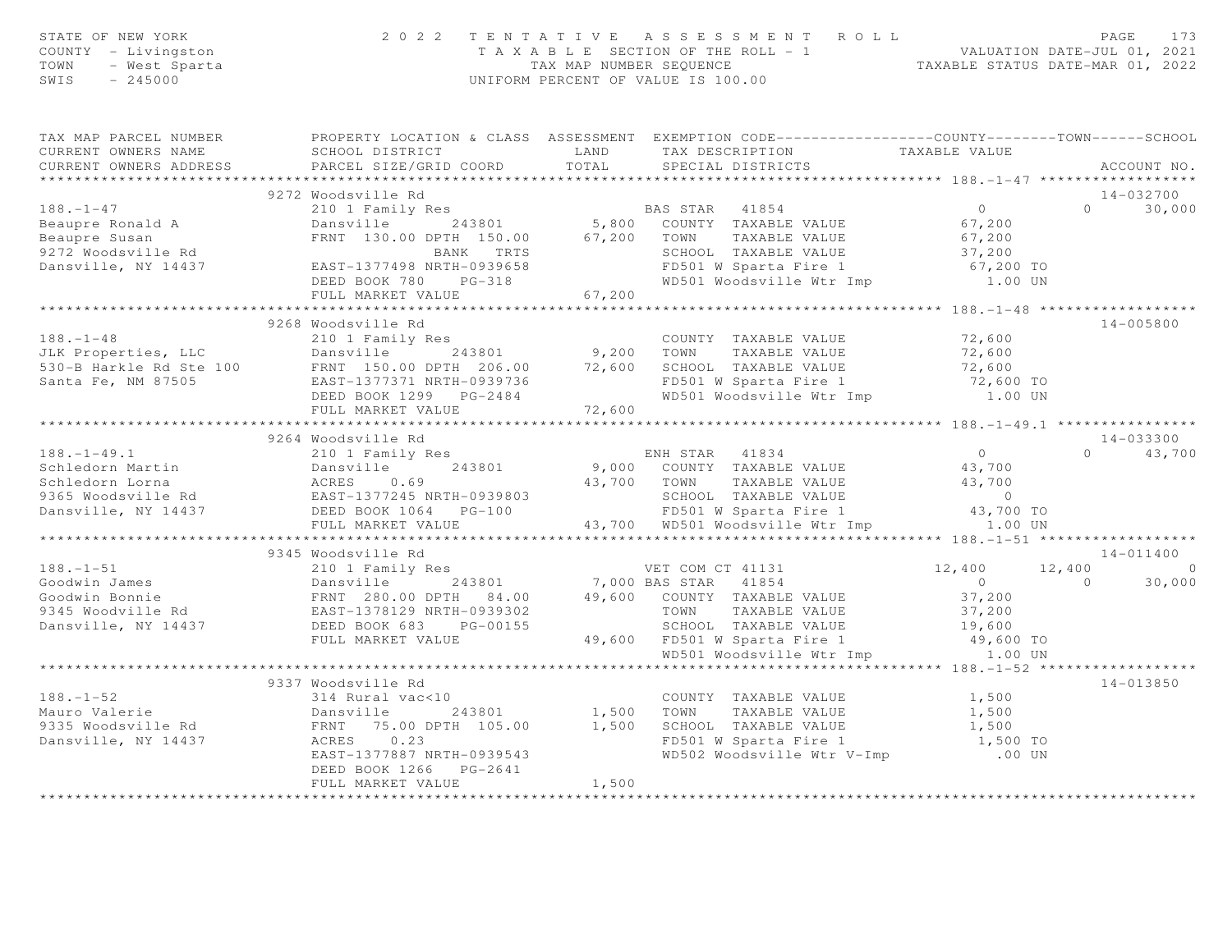| TAXABLE VALUE<br>CURRENT OWNERS ADDRESS PARCEL SIZE/GRID COORD TOTAL<br>SPECIAL DISTRICTS<br>ACCOUNT NO.<br>14-032700<br>9272 Woodsville Rd                                                                                    |  |
|--------------------------------------------------------------------------------------------------------------------------------------------------------------------------------------------------------------------------------|--|
|                                                                                                                                                                                                                                |  |
|                                                                                                                                                                                                                                |  |
|                                                                                                                                                                                                                                |  |
|                                                                                                                                                                                                                                |  |
| $0 \t 30,000$                                                                                                                                                                                                                  |  |
|                                                                                                                                                                                                                                |  |
|                                                                                                                                                                                                                                |  |
|                                                                                                                                                                                                                                |  |
|                                                                                                                                                                                                                                |  |
|                                                                                                                                                                                                                                |  |
|                                                                                                                                                                                                                                |  |
|                                                                                                                                                                                                                                |  |
| 9268 Woodsville Rd<br>$14 - 005800$                                                                                                                                                                                            |  |
|                                                                                                                                                                                                                                |  |
|                                                                                                                                                                                                                                |  |
|                                                                                                                                                                                                                                |  |
|                                                                                                                                                                                                                                |  |
|                                                                                                                                                                                                                                |  |
|                                                                                                                                                                                                                                |  |
| 14-033300<br>9264 Woodsville Rd                                                                                                                                                                                                |  |
| $0 \t 43,700$                                                                                                                                                                                                                  |  |
|                                                                                                                                                                                                                                |  |
|                                                                                                                                                                                                                                |  |
|                                                                                                                                                                                                                                |  |
|                                                                                                                                                                                                                                |  |
| 9264 WOOdSVIIIE Rd 210 I Family Res 210 I Family Res 210 I Family Res 210 I Family Res 210 I Family Res 210 243801 9,000 COUNTY TAXABLE VALUE 243700 TOWN TAXABLE VALUE 26 13,700 TOWN TAXABLE VALUE 26 13,700 TOWN TAXABLE VA |  |
|                                                                                                                                                                                                                                |  |
| 9345 Woodsville Rd<br>14-011400                                                                                                                                                                                                |  |
|                                                                                                                                                                                                                                |  |
|                                                                                                                                                                                                                                |  |
|                                                                                                                                                                                                                                |  |
|                                                                                                                                                                                                                                |  |
|                                                                                                                                                                                                                                |  |
|                                                                                                                                                                                                                                |  |
|                                                                                                                                                                                                                                |  |
| 9337 Woodsville Rd<br>14-013850                                                                                                                                                                                                |  |
|                                                                                                                                                                                                                                |  |
|                                                                                                                                                                                                                                |  |
|                                                                                                                                                                                                                                |  |
|                                                                                                                                                                                                                                |  |
|                                                                                                                                                                                                                                |  |
| DEED BOOK 1266    PG-2641                                                                                                                                                                                                      |  |
| FULL MARKET VALUE<br>1,500                                                                                                                                                                                                     |  |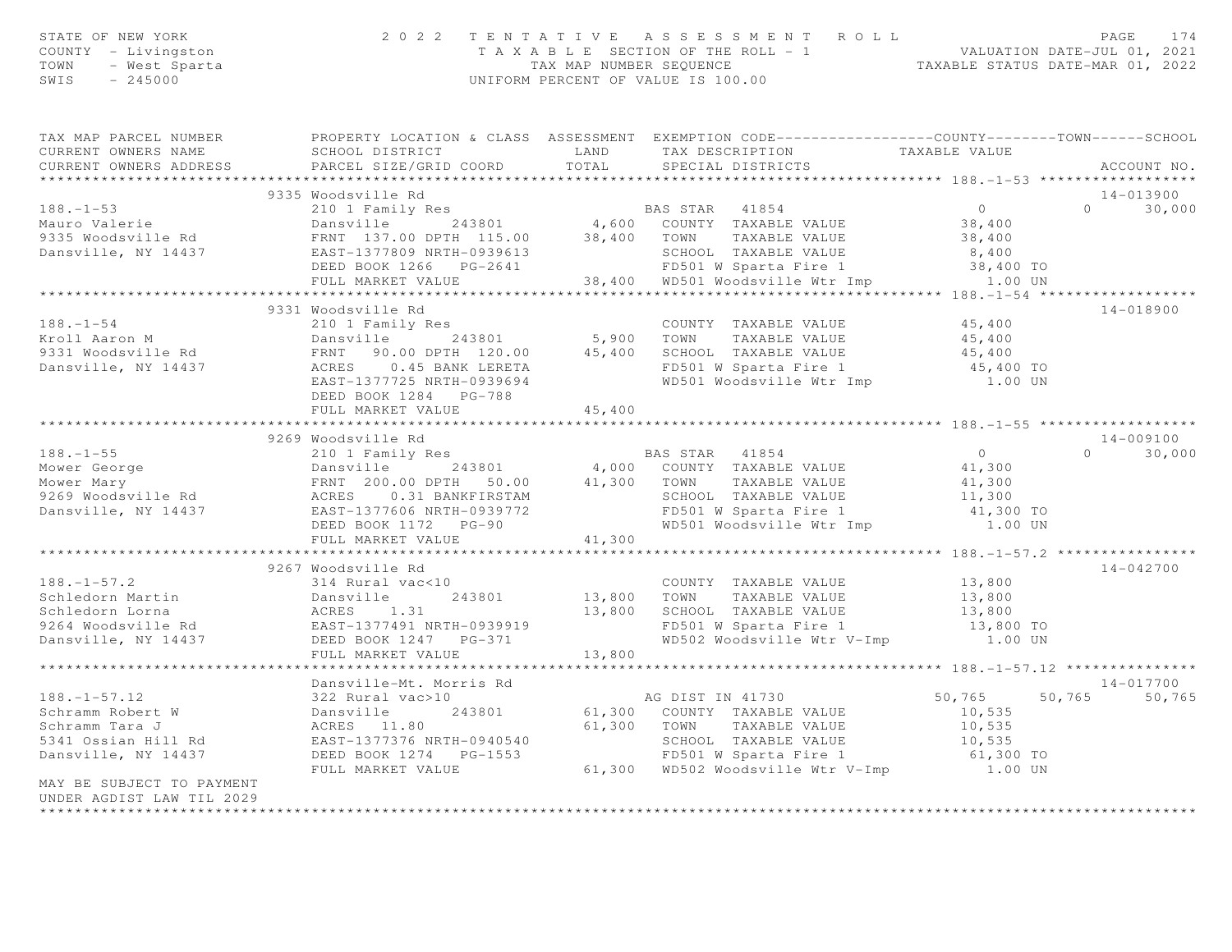| TAX MAP PARCEL NUMBER FROPERTY LOCATION & CLASS ASSESSMENT EXEMPTION CODE---------------COUNTY-------TOWN-----SCHOOL<br>SCHOOL DISTRICT                    LAND       TAX DESCRIPTION                 TAXABLE VALUE<br>CURRENT OWNERS NAME<br>CURRENT OWNERS ADDRESS FARCEL SIZE/GRID COORD TOTAL SPECIAL DISTRICTS<br>ACCOUNT NO.<br>9335 Woodsville Rd<br>14-013900<br>335 Moodsville Rd 2010 Family Res 2010 Family Res 2010 Family Res 2010 Family Res 2010 Family Res 2010 Family Res 2010 Family Res 2010 Family Res 2010 Family Res 2010 Family Res 2010 Family Res 2010 Family Res 2010 Family<br>$0 \t 30,000$<br>9331 Woodsville Rd<br>14-018900<br>188.-1-54<br>EXABLE VALUE<br>FROIL Aaron M Dansville Rd FRNT 90.00 DPTH 120.00<br>Dansville, NY 14437 ACRES 0.45 BANK LERETA<br>EAST-1377725 NRTH-0939694 WD501 Woodsville Wir Imp 1.00 UN<br>EAST-1377725 NRTH-0939694 WD501 Woodsville<br>DEED BOOK 1284 PG-788<br>45,400<br>FULL MARKET VALUE<br>14-009100<br>9269 Woodsville Rd<br>$\begin{array}{cccccccc} & & & & & 9269\text{ Woodsville Rd} & & & & & \text{BAS STAR} & 41854 & & & 0\\ \text{Mower George} & & & & & & & & & & & \text{Dansville Rd} & & & & & & \text{BMS STAR} & 41854 & & & 0\\ \text{Mower Mary} & & & & & & & & & & & \text{FNNT 200.00 DPTH 50.00} & & & & & 41,300 & & & \text{TOWN} & \text{TAXABLE VALUE} & & & 41,300\\ \text{Mower Mary} & & & & & & & & & & \text{ERS} & 0.31\text{$<br>$0$<br>41,300<br>$0 \t 30,000$<br>9267 Woodsville Rd<br>$14 - 042700$<br>$188. - 1 - 57.2$<br>13,800<br>COUNTY TAXABLE VALUE<br>243801 13,800 TOWN TAXABLE VALUE 13,800<br>13,800 SCHOOL TAXABLE VALUE 13,800<br>TH-0939919 FD501 W Sparta Fire 1 13,800 TO<br>PG-371 WD502 Woodsville Wtr V-Imp 1.00 UN<br>UE 13,800 13,800 TO<br>FULL MARKET VALUE<br>Dansville-Mt. Morris Rd<br>14-017700<br>50,765 50,765 50,765<br>322 Rural vac>10<br>Schramm Robert W 322 Rural vac>10<br>Schramm Tara J ACRES 11.80<br>5341 Ossian Hill Rd EAST-1377376 NRTH-0940540<br>Danswille, NY 14437 DEED BOOK 1274 PG-1553<br>FULL MARKET VALUE 61,300 WD502 Woodsville Wtr V-Im<br>MAY BE SUBJECT TO PAYMENT<br>UNDER AGDIST LAW TIL 2029 | STATE OF NEW YORK<br>COUNTY - Livingston<br>TOWN - West Sparta<br>- 245000 |  | 2022 TENTATIVE ASSESSMENT ROLL<br>TAXABLE SECTION OF THE ROLL - 1<br>TAXABLE SECUENCE PRESSURE OF THE ROLL - 1<br>TAXABLE STATUS DATE-JUL 01, 2021<br>TAXABLE STATUS DATE-MAR 01, 2022<br>UNIFORM PERCENT OF VALUE IS 100.00 | PAGE<br>174 |
|-----------------------------------------------------------------------------------------------------------------------------------------------------------------------------------------------------------------------------------------------------------------------------------------------------------------------------------------------------------------------------------------------------------------------------------------------------------------------------------------------------------------------------------------------------------------------------------------------------------------------------------------------------------------------------------------------------------------------------------------------------------------------------------------------------------------------------------------------------------------------------------------------------------------------------------------------------------------------------------------------------------------------------------------------------------------------------------------------------------------------------------------------------------------------------------------------------------------------------------------------------------------------------------------------------------------------------------------------------------------------------------------------------------------------------------------------------------------------------------------------------------------------------------------------------------------------------------------------------------------------------------------------------------------------------------------------------------------------------------------------------------------------------------------------------------------------------------------------------------------------------------------------------------------------------------------------------------------------------------------------------------------------------------------------------------------------------------------------------------------------------------------------------------------------|----------------------------------------------------------------------------|--|------------------------------------------------------------------------------------------------------------------------------------------------------------------------------------------------------------------------------|-------------|
|                                                                                                                                                                                                                                                                                                                                                                                                                                                                                                                                                                                                                                                                                                                                                                                                                                                                                                                                                                                                                                                                                                                                                                                                                                                                                                                                                                                                                                                                                                                                                                                                                                                                                                                                                                                                                                                                                                                                                                                                                                                                                                                                                                       |                                                                            |  |                                                                                                                                                                                                                              |             |
|                                                                                                                                                                                                                                                                                                                                                                                                                                                                                                                                                                                                                                                                                                                                                                                                                                                                                                                                                                                                                                                                                                                                                                                                                                                                                                                                                                                                                                                                                                                                                                                                                                                                                                                                                                                                                                                                                                                                                                                                                                                                                                                                                                       |                                                                            |  |                                                                                                                                                                                                                              |             |
|                                                                                                                                                                                                                                                                                                                                                                                                                                                                                                                                                                                                                                                                                                                                                                                                                                                                                                                                                                                                                                                                                                                                                                                                                                                                                                                                                                                                                                                                                                                                                                                                                                                                                                                                                                                                                                                                                                                                                                                                                                                                                                                                                                       |                                                                            |  |                                                                                                                                                                                                                              |             |
|                                                                                                                                                                                                                                                                                                                                                                                                                                                                                                                                                                                                                                                                                                                                                                                                                                                                                                                                                                                                                                                                                                                                                                                                                                                                                                                                                                                                                                                                                                                                                                                                                                                                                                                                                                                                                                                                                                                                                                                                                                                                                                                                                                       |                                                                            |  |                                                                                                                                                                                                                              |             |
|                                                                                                                                                                                                                                                                                                                                                                                                                                                                                                                                                                                                                                                                                                                                                                                                                                                                                                                                                                                                                                                                                                                                                                                                                                                                                                                                                                                                                                                                                                                                                                                                                                                                                                                                                                                                                                                                                                                                                                                                                                                                                                                                                                       |                                                                            |  |                                                                                                                                                                                                                              |             |
|                                                                                                                                                                                                                                                                                                                                                                                                                                                                                                                                                                                                                                                                                                                                                                                                                                                                                                                                                                                                                                                                                                                                                                                                                                                                                                                                                                                                                                                                                                                                                                                                                                                                                                                                                                                                                                                                                                                                                                                                                                                                                                                                                                       |                                                                            |  |                                                                                                                                                                                                                              |             |
|                                                                                                                                                                                                                                                                                                                                                                                                                                                                                                                                                                                                                                                                                                                                                                                                                                                                                                                                                                                                                                                                                                                                                                                                                                                                                                                                                                                                                                                                                                                                                                                                                                                                                                                                                                                                                                                                                                                                                                                                                                                                                                                                                                       |                                                                            |  |                                                                                                                                                                                                                              |             |
|                                                                                                                                                                                                                                                                                                                                                                                                                                                                                                                                                                                                                                                                                                                                                                                                                                                                                                                                                                                                                                                                                                                                                                                                                                                                                                                                                                                                                                                                                                                                                                                                                                                                                                                                                                                                                                                                                                                                                                                                                                                                                                                                                                       |                                                                            |  |                                                                                                                                                                                                                              |             |
|                                                                                                                                                                                                                                                                                                                                                                                                                                                                                                                                                                                                                                                                                                                                                                                                                                                                                                                                                                                                                                                                                                                                                                                                                                                                                                                                                                                                                                                                                                                                                                                                                                                                                                                                                                                                                                                                                                                                                                                                                                                                                                                                                                       |                                                                            |  |                                                                                                                                                                                                                              |             |
|                                                                                                                                                                                                                                                                                                                                                                                                                                                                                                                                                                                                                                                                                                                                                                                                                                                                                                                                                                                                                                                                                                                                                                                                                                                                                                                                                                                                                                                                                                                                                                                                                                                                                                                                                                                                                                                                                                                                                                                                                                                                                                                                                                       |                                                                            |  |                                                                                                                                                                                                                              |             |
|                                                                                                                                                                                                                                                                                                                                                                                                                                                                                                                                                                                                                                                                                                                                                                                                                                                                                                                                                                                                                                                                                                                                                                                                                                                                                                                                                                                                                                                                                                                                                                                                                                                                                                                                                                                                                                                                                                                                                                                                                                                                                                                                                                       |                                                                            |  |                                                                                                                                                                                                                              |             |
|                                                                                                                                                                                                                                                                                                                                                                                                                                                                                                                                                                                                                                                                                                                                                                                                                                                                                                                                                                                                                                                                                                                                                                                                                                                                                                                                                                                                                                                                                                                                                                                                                                                                                                                                                                                                                                                                                                                                                                                                                                                                                                                                                                       |                                                                            |  |                                                                                                                                                                                                                              |             |
|                                                                                                                                                                                                                                                                                                                                                                                                                                                                                                                                                                                                                                                                                                                                                                                                                                                                                                                                                                                                                                                                                                                                                                                                                                                                                                                                                                                                                                                                                                                                                                                                                                                                                                                                                                                                                                                                                                                                                                                                                                                                                                                                                                       |                                                                            |  |                                                                                                                                                                                                                              |             |
|                                                                                                                                                                                                                                                                                                                                                                                                                                                                                                                                                                                                                                                                                                                                                                                                                                                                                                                                                                                                                                                                                                                                                                                                                                                                                                                                                                                                                                                                                                                                                                                                                                                                                                                                                                                                                                                                                                                                                                                                                                                                                                                                                                       |                                                                            |  |                                                                                                                                                                                                                              |             |
|                                                                                                                                                                                                                                                                                                                                                                                                                                                                                                                                                                                                                                                                                                                                                                                                                                                                                                                                                                                                                                                                                                                                                                                                                                                                                                                                                                                                                                                                                                                                                                                                                                                                                                                                                                                                                                                                                                                                                                                                                                                                                                                                                                       |                                                                            |  |                                                                                                                                                                                                                              |             |
|                                                                                                                                                                                                                                                                                                                                                                                                                                                                                                                                                                                                                                                                                                                                                                                                                                                                                                                                                                                                                                                                                                                                                                                                                                                                                                                                                                                                                                                                                                                                                                                                                                                                                                                                                                                                                                                                                                                                                                                                                                                                                                                                                                       |                                                                            |  |                                                                                                                                                                                                                              |             |
|                                                                                                                                                                                                                                                                                                                                                                                                                                                                                                                                                                                                                                                                                                                                                                                                                                                                                                                                                                                                                                                                                                                                                                                                                                                                                                                                                                                                                                                                                                                                                                                                                                                                                                                                                                                                                                                                                                                                                                                                                                                                                                                                                                       |                                                                            |  |                                                                                                                                                                                                                              |             |
|                                                                                                                                                                                                                                                                                                                                                                                                                                                                                                                                                                                                                                                                                                                                                                                                                                                                                                                                                                                                                                                                                                                                                                                                                                                                                                                                                                                                                                                                                                                                                                                                                                                                                                                                                                                                                                                                                                                                                                                                                                                                                                                                                                       |                                                                            |  |                                                                                                                                                                                                                              |             |
|                                                                                                                                                                                                                                                                                                                                                                                                                                                                                                                                                                                                                                                                                                                                                                                                                                                                                                                                                                                                                                                                                                                                                                                                                                                                                                                                                                                                                                                                                                                                                                                                                                                                                                                                                                                                                                                                                                                                                                                                                                                                                                                                                                       |                                                                            |  |                                                                                                                                                                                                                              |             |
|                                                                                                                                                                                                                                                                                                                                                                                                                                                                                                                                                                                                                                                                                                                                                                                                                                                                                                                                                                                                                                                                                                                                                                                                                                                                                                                                                                                                                                                                                                                                                                                                                                                                                                                                                                                                                                                                                                                                                                                                                                                                                                                                                                       |                                                                            |  |                                                                                                                                                                                                                              |             |
|                                                                                                                                                                                                                                                                                                                                                                                                                                                                                                                                                                                                                                                                                                                                                                                                                                                                                                                                                                                                                                                                                                                                                                                                                                                                                                                                                                                                                                                                                                                                                                                                                                                                                                                                                                                                                                                                                                                                                                                                                                                                                                                                                                       |                                                                            |  |                                                                                                                                                                                                                              |             |
|                                                                                                                                                                                                                                                                                                                                                                                                                                                                                                                                                                                                                                                                                                                                                                                                                                                                                                                                                                                                                                                                                                                                                                                                                                                                                                                                                                                                                                                                                                                                                                                                                                                                                                                                                                                                                                                                                                                                                                                                                                                                                                                                                                       |                                                                            |  |                                                                                                                                                                                                                              |             |
|                                                                                                                                                                                                                                                                                                                                                                                                                                                                                                                                                                                                                                                                                                                                                                                                                                                                                                                                                                                                                                                                                                                                                                                                                                                                                                                                                                                                                                                                                                                                                                                                                                                                                                                                                                                                                                                                                                                                                                                                                                                                                                                                                                       |                                                                            |  |                                                                                                                                                                                                                              |             |
|                                                                                                                                                                                                                                                                                                                                                                                                                                                                                                                                                                                                                                                                                                                                                                                                                                                                                                                                                                                                                                                                                                                                                                                                                                                                                                                                                                                                                                                                                                                                                                                                                                                                                                                                                                                                                                                                                                                                                                                                                                                                                                                                                                       |                                                                            |  |                                                                                                                                                                                                                              |             |
|                                                                                                                                                                                                                                                                                                                                                                                                                                                                                                                                                                                                                                                                                                                                                                                                                                                                                                                                                                                                                                                                                                                                                                                                                                                                                                                                                                                                                                                                                                                                                                                                                                                                                                                                                                                                                                                                                                                                                                                                                                                                                                                                                                       |                                                                            |  |                                                                                                                                                                                                                              |             |
|                                                                                                                                                                                                                                                                                                                                                                                                                                                                                                                                                                                                                                                                                                                                                                                                                                                                                                                                                                                                                                                                                                                                                                                                                                                                                                                                                                                                                                                                                                                                                                                                                                                                                                                                                                                                                                                                                                                                                                                                                                                                                                                                                                       |                                                                            |  |                                                                                                                                                                                                                              |             |
|                                                                                                                                                                                                                                                                                                                                                                                                                                                                                                                                                                                                                                                                                                                                                                                                                                                                                                                                                                                                                                                                                                                                                                                                                                                                                                                                                                                                                                                                                                                                                                                                                                                                                                                                                                                                                                                                                                                                                                                                                                                                                                                                                                       |                                                                            |  |                                                                                                                                                                                                                              |             |
|                                                                                                                                                                                                                                                                                                                                                                                                                                                                                                                                                                                                                                                                                                                                                                                                                                                                                                                                                                                                                                                                                                                                                                                                                                                                                                                                                                                                                                                                                                                                                                                                                                                                                                                                                                                                                                                                                                                                                                                                                                                                                                                                                                       |                                                                            |  |                                                                                                                                                                                                                              |             |
|                                                                                                                                                                                                                                                                                                                                                                                                                                                                                                                                                                                                                                                                                                                                                                                                                                                                                                                                                                                                                                                                                                                                                                                                                                                                                                                                                                                                                                                                                                                                                                                                                                                                                                                                                                                                                                                                                                                                                                                                                                                                                                                                                                       |                                                                            |  |                                                                                                                                                                                                                              |             |
|                                                                                                                                                                                                                                                                                                                                                                                                                                                                                                                                                                                                                                                                                                                                                                                                                                                                                                                                                                                                                                                                                                                                                                                                                                                                                                                                                                                                                                                                                                                                                                                                                                                                                                                                                                                                                                                                                                                                                                                                                                                                                                                                                                       |                                                                            |  |                                                                                                                                                                                                                              |             |
|                                                                                                                                                                                                                                                                                                                                                                                                                                                                                                                                                                                                                                                                                                                                                                                                                                                                                                                                                                                                                                                                                                                                                                                                                                                                                                                                                                                                                                                                                                                                                                                                                                                                                                                                                                                                                                                                                                                                                                                                                                                                                                                                                                       |                                                                            |  |                                                                                                                                                                                                                              |             |
|                                                                                                                                                                                                                                                                                                                                                                                                                                                                                                                                                                                                                                                                                                                                                                                                                                                                                                                                                                                                                                                                                                                                                                                                                                                                                                                                                                                                                                                                                                                                                                                                                                                                                                                                                                                                                                                                                                                                                                                                                                                                                                                                                                       |                                                                            |  |                                                                                                                                                                                                                              |             |
|                                                                                                                                                                                                                                                                                                                                                                                                                                                                                                                                                                                                                                                                                                                                                                                                                                                                                                                                                                                                                                                                                                                                                                                                                                                                                                                                                                                                                                                                                                                                                                                                                                                                                                                                                                                                                                                                                                                                                                                                                                                                                                                                                                       |                                                                            |  |                                                                                                                                                                                                                              |             |
|                                                                                                                                                                                                                                                                                                                                                                                                                                                                                                                                                                                                                                                                                                                                                                                                                                                                                                                                                                                                                                                                                                                                                                                                                                                                                                                                                                                                                                                                                                                                                                                                                                                                                                                                                                                                                                                                                                                                                                                                                                                                                                                                                                       |                                                                            |  |                                                                                                                                                                                                                              |             |
|                                                                                                                                                                                                                                                                                                                                                                                                                                                                                                                                                                                                                                                                                                                                                                                                                                                                                                                                                                                                                                                                                                                                                                                                                                                                                                                                                                                                                                                                                                                                                                                                                                                                                                                                                                                                                                                                                                                                                                                                                                                                                                                                                                       |                                                                            |  |                                                                                                                                                                                                                              |             |
|                                                                                                                                                                                                                                                                                                                                                                                                                                                                                                                                                                                                                                                                                                                                                                                                                                                                                                                                                                                                                                                                                                                                                                                                                                                                                                                                                                                                                                                                                                                                                                                                                                                                                                                                                                                                                                                                                                                                                                                                                                                                                                                                                                       |                                                                            |  |                                                                                                                                                                                                                              |             |
|                                                                                                                                                                                                                                                                                                                                                                                                                                                                                                                                                                                                                                                                                                                                                                                                                                                                                                                                                                                                                                                                                                                                                                                                                                                                                                                                                                                                                                                                                                                                                                                                                                                                                                                                                                                                                                                                                                                                                                                                                                                                                                                                                                       |                                                                            |  |                                                                                                                                                                                                                              |             |
|                                                                                                                                                                                                                                                                                                                                                                                                                                                                                                                                                                                                                                                                                                                                                                                                                                                                                                                                                                                                                                                                                                                                                                                                                                                                                                                                                                                                                                                                                                                                                                                                                                                                                                                                                                                                                                                                                                                                                                                                                                                                                                                                                                       |                                                                            |  |                                                                                                                                                                                                                              |             |
|                                                                                                                                                                                                                                                                                                                                                                                                                                                                                                                                                                                                                                                                                                                                                                                                                                                                                                                                                                                                                                                                                                                                                                                                                                                                                                                                                                                                                                                                                                                                                                                                                                                                                                                                                                                                                                                                                                                                                                                                                                                                                                                                                                       |                                                                            |  |                                                                                                                                                                                                                              |             |
|                                                                                                                                                                                                                                                                                                                                                                                                                                                                                                                                                                                                                                                                                                                                                                                                                                                                                                                                                                                                                                                                                                                                                                                                                                                                                                                                                                                                                                                                                                                                                                                                                                                                                                                                                                                                                                                                                                                                                                                                                                                                                                                                                                       |                                                                            |  |                                                                                                                                                                                                                              |             |
|                                                                                                                                                                                                                                                                                                                                                                                                                                                                                                                                                                                                                                                                                                                                                                                                                                                                                                                                                                                                                                                                                                                                                                                                                                                                                                                                                                                                                                                                                                                                                                                                                                                                                                                                                                                                                                                                                                                                                                                                                                                                                                                                                                       |                                                                            |  |                                                                                                                                                                                                                              |             |
|                                                                                                                                                                                                                                                                                                                                                                                                                                                                                                                                                                                                                                                                                                                                                                                                                                                                                                                                                                                                                                                                                                                                                                                                                                                                                                                                                                                                                                                                                                                                                                                                                                                                                                                                                                                                                                                                                                                                                                                                                                                                                                                                                                       |                                                                            |  |                                                                                                                                                                                                                              |             |
|                                                                                                                                                                                                                                                                                                                                                                                                                                                                                                                                                                                                                                                                                                                                                                                                                                                                                                                                                                                                                                                                                                                                                                                                                                                                                                                                                                                                                                                                                                                                                                                                                                                                                                                                                                                                                                                                                                                                                                                                                                                                                                                                                                       |                                                                            |  |                                                                                                                                                                                                                              |             |
|                                                                                                                                                                                                                                                                                                                                                                                                                                                                                                                                                                                                                                                                                                                                                                                                                                                                                                                                                                                                                                                                                                                                                                                                                                                                                                                                                                                                                                                                                                                                                                                                                                                                                                                                                                                                                                                                                                                                                                                                                                                                                                                                                                       |                                                                            |  |                                                                                                                                                                                                                              |             |
|                                                                                                                                                                                                                                                                                                                                                                                                                                                                                                                                                                                                                                                                                                                                                                                                                                                                                                                                                                                                                                                                                                                                                                                                                                                                                                                                                                                                                                                                                                                                                                                                                                                                                                                                                                                                                                                                                                                                                                                                                                                                                                                                                                       |                                                                            |  |                                                                                                                                                                                                                              |             |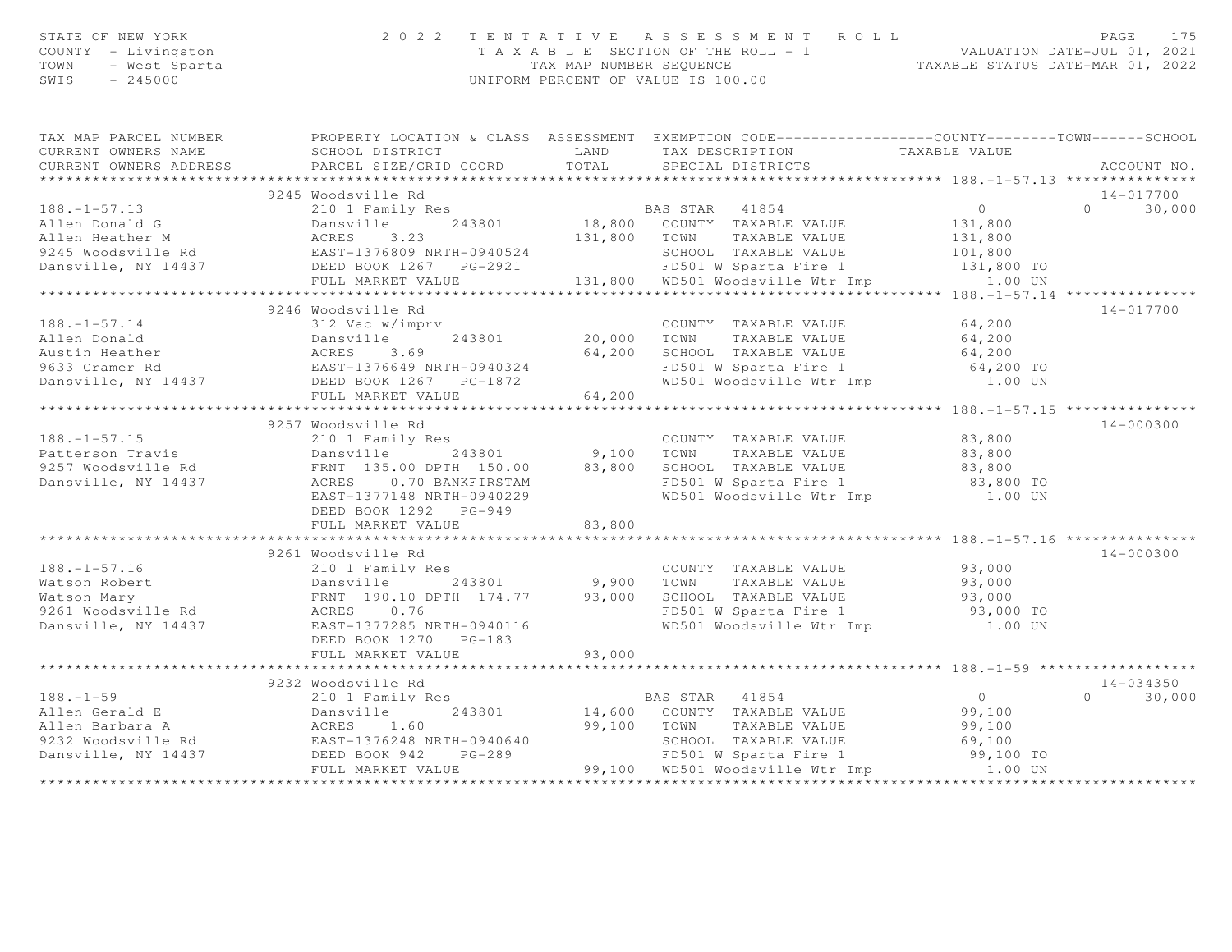| STATE OF NEW YORK 202<br>COUNTY - Livingston<br>TOWN - West Sparta<br>SWIS - 245000 |                                                                                                                                                                                                                                                                       |        | 2 0 2 2 TENTATIVE ASSESSMENT ROLL PAGE 175<br>TAXABLE SECTION OF THE ROLL - 1 VALUATION DATE-JUL 01, 2021<br>TAX MAP NUMBER SEQUENCE TAXABLE STATUS DATE-MAR 01, 2022<br>UNIFORM PERCENT OF VALUE IS 100.00 |                            |
|-------------------------------------------------------------------------------------|-----------------------------------------------------------------------------------------------------------------------------------------------------------------------------------------------------------------------------------------------------------------------|--------|-------------------------------------------------------------------------------------------------------------------------------------------------------------------------------------------------------------|----------------------------|
|                                                                                     | TAX MAP PARCEL NUMBER PROPERTY LOCATION & CLASS ASSESSMENT EXEMPTION CODE---------------COUNTY--------TOWN------SCHOOL                                                                                                                                                |        |                                                                                                                                                                                                             |                            |
|                                                                                     |                                                                                                                                                                                                                                                                       |        |                                                                                                                                                                                                             | ACCOUNT NO.                |
|                                                                                     |                                                                                                                                                                                                                                                                       |        |                                                                                                                                                                                                             |                            |
|                                                                                     | 9245 Woodsville Rd                                                                                                                                                                                                                                                    |        |                                                                                                                                                                                                             | 14-017700                  |
|                                                                                     |                                                                                                                                                                                                                                                                       |        |                                                                                                                                                                                                             | $0 \t 30,000$              |
|                                                                                     |                                                                                                                                                                                                                                                                       |        |                                                                                                                                                                                                             |                            |
|                                                                                     |                                                                                                                                                                                                                                                                       |        |                                                                                                                                                                                                             |                            |
|                                                                                     |                                                                                                                                                                                                                                                                       |        |                                                                                                                                                                                                             |                            |
|                                                                                     |                                                                                                                                                                                                                                                                       |        |                                                                                                                                                                                                             |                            |
|                                                                                     |                                                                                                                                                                                                                                                                       |        |                                                                                                                                                                                                             |                            |
|                                                                                     |                                                                                                                                                                                                                                                                       |        |                                                                                                                                                                                                             |                            |
|                                                                                     | 9246 Woodsville Rd                                                                                                                                                                                                                                                    |        |                                                                                                                                                                                                             | 14-017700                  |
|                                                                                     |                                                                                                                                                                                                                                                                       |        |                                                                                                                                                                                                             |                            |
|                                                                                     |                                                                                                                                                                                                                                                                       |        |                                                                                                                                                                                                             |                            |
|                                                                                     |                                                                                                                                                                                                                                                                       |        |                                                                                                                                                                                                             |                            |
|                                                                                     |                                                                                                                                                                                                                                                                       |        |                                                                                                                                                                                                             |                            |
|                                                                                     | 188.-1-57.14<br>188.-1-57.14<br>20,000 TOWN TAXABLE VALUE<br>20,000 TOWN TAXABLE VALUE<br>20,000 TOWN TAXABLE VALUE<br>20,000 TOWN TAXABLE VALUE<br>20,000 TOWN TAXABLE VALUE<br>20,000 TOWN TAXABLE VALUE<br>20,000 TOWN TAXABLE VALUE<br>20,00<br>FULL MARKET VALUE | 64,200 |                                                                                                                                                                                                             |                            |
|                                                                                     |                                                                                                                                                                                                                                                                       |        |                                                                                                                                                                                                             |                            |
|                                                                                     | 9257 Woodsville Rd                                                                                                                                                                                                                                                    |        |                                                                                                                                                                                                             | $14 - 000300$              |
|                                                                                     |                                                                                                                                                                                                                                                                       |        |                                                                                                                                                                                                             |                            |
|                                                                                     |                                                                                                                                                                                                                                                                       |        |                                                                                                                                                                                                             |                            |
|                                                                                     |                                                                                                                                                                                                                                                                       |        |                                                                                                                                                                                                             |                            |
|                                                                                     |                                                                                                                                                                                                                                                                       |        |                                                                                                                                                                                                             |                            |
|                                                                                     | 9257 Woodsville Rd 210 1 Family Res 210 1 Family Res 210 1 Family Res 210 1 Family Res 210 1 Family Res 210 1 Family Res 210 1 Family Res 210 1 Family Res 210 1 Family Res 210 1 Family Res 210 1 Family Res 210 1 Family Res                                        |        |                                                                                                                                                                                                             |                            |
|                                                                                     |                                                                                                                                                                                                                                                                       |        |                                                                                                                                                                                                             |                            |
|                                                                                     | FULL MARKET VALUE                                                                                                                                                                                                                                                     | 83,800 |                                                                                                                                                                                                             |                            |
|                                                                                     |                                                                                                                                                                                                                                                                       |        |                                                                                                                                                                                                             |                            |
|                                                                                     |                                                                                                                                                                                                                                                                       |        |                                                                                                                                                                                                             | 14-000300                  |
|                                                                                     |                                                                                                                                                                                                                                                                       |        |                                                                                                                                                                                                             |                            |
|                                                                                     |                                                                                                                                                                                                                                                                       |        |                                                                                                                                                                                                             |                            |
|                                                                                     |                                                                                                                                                                                                                                                                       |        |                                                                                                                                                                                                             |                            |
|                                                                                     | 9261 Woodsville Rd 210 1 Family Res 210 1 Family Res 210 1 Family Res 210 1 Family Res 213801<br>210 1 Family Res 213801<br>210 1 Family Res 243801<br>23,000 TOWN TAXABLE VALUE<br>23,000 TOWN TAXABLE VALUE<br>23,000 TOWN TAXABLE VAL                              |        |                                                                                                                                                                                                             |                            |
|                                                                                     |                                                                                                                                                                                                                                                                       |        |                                                                                                                                                                                                             |                            |
|                                                                                     |                                                                                                                                                                                                                                                                       |        |                                                                                                                                                                                                             |                            |
|                                                                                     | FULL MARKET VALUE                                                                                                                                                                                                                                                     | 93,000 |                                                                                                                                                                                                             |                            |
|                                                                                     |                                                                                                                                                                                                                                                                       |        |                                                                                                                                                                                                             |                            |
|                                                                                     | 9232 Woodsville Rd                                                                                                                                                                                                                                                    |        |                                                                                                                                                                                                             | 14-034350<br>$0 \t 30,000$ |
|                                                                                     |                                                                                                                                                                                                                                                                       |        |                                                                                                                                                                                                             |                            |
|                                                                                     |                                                                                                                                                                                                                                                                       |        |                                                                                                                                                                                                             |                            |
|                                                                                     |                                                                                                                                                                                                                                                                       |        |                                                                                                                                                                                                             |                            |
|                                                                                     |                                                                                                                                                                                                                                                                       |        |                                                                                                                                                                                                             |                            |
|                                                                                     |                                                                                                                                                                                                                                                                       |        |                                                                                                                                                                                                             |                            |
|                                                                                     |                                                                                                                                                                                                                                                                       |        |                                                                                                                                                                                                             |                            |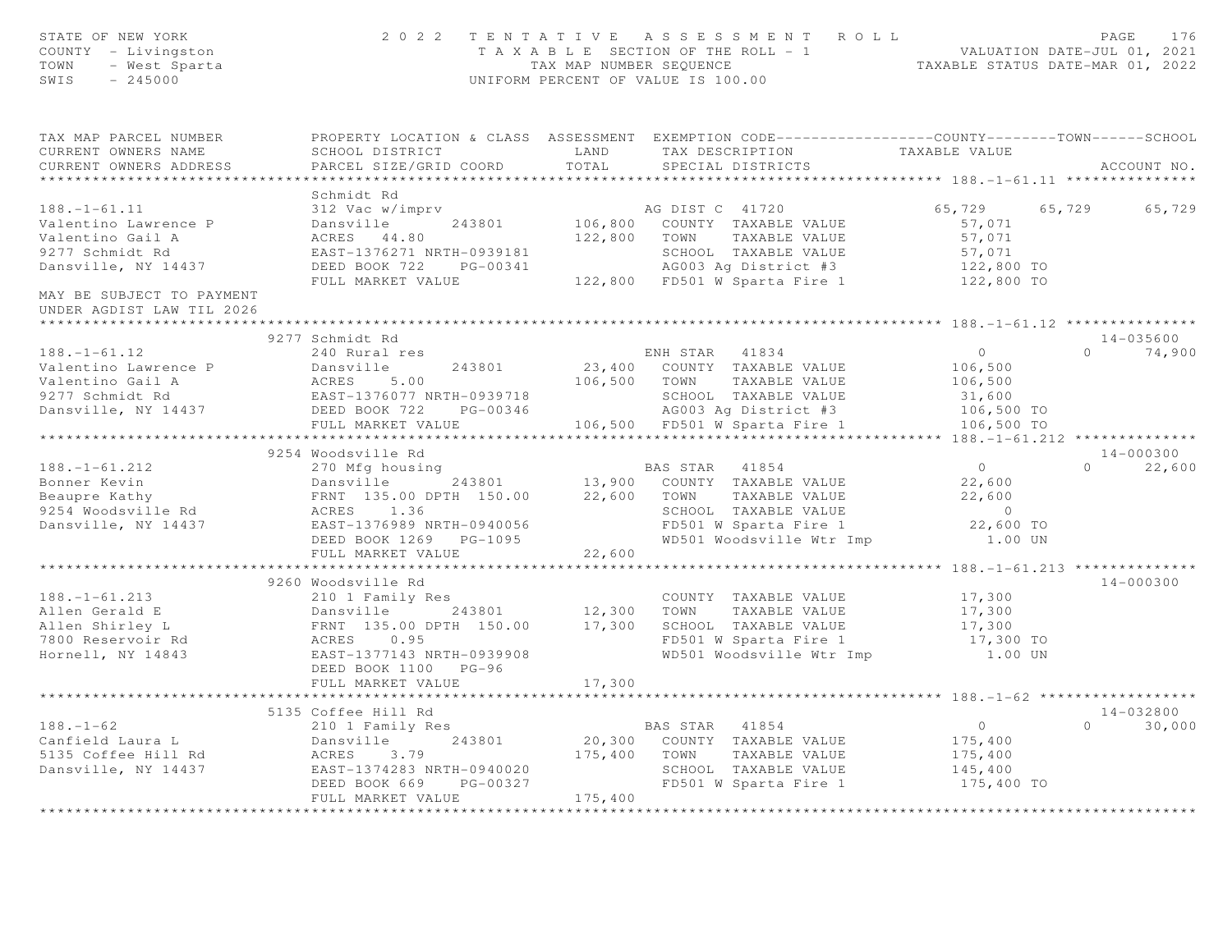| STATE OF NEW YORK<br>COUNTY - Livingston<br>TOWN<br>- West Sparta<br>$-245000$<br>SWIS                   | 2 0 2 2                                                                                                                                                     | TAX MAP NUMBER SEQUENCE<br>UNIFORM PERCENT OF VALUE IS 100.00 |                                 | TENTATIVE ASSESSMENT ROLL                                                                                                 | T A X A B L E SECTION OF THE ROLL - 1 VALUATION DATE-JUL 01, 2021<br>TAXABLE STATUS DATE-MAR 01, 2022 | PAGE     | 176                        |
|----------------------------------------------------------------------------------------------------------|-------------------------------------------------------------------------------------------------------------------------------------------------------------|---------------------------------------------------------------|---------------------------------|---------------------------------------------------------------------------------------------------------------------------|-------------------------------------------------------------------------------------------------------|----------|----------------------------|
| TAX MAP PARCEL NUMBER<br>CURRENT OWNERS NAME<br>CURRENT OWNERS ADDRESS                                   | PROPERTY LOCATION & CLASS ASSESSMENT EXEMPTION CODE----------------COUNTY-------TOWN------SCHOOL<br>SCHOOL DISTRICT<br>PARCEL SIZE/GRID COORD               | LAND<br>TOTAL                                                 | TAX DESCRIPTION                 | SPECIAL DISTRICTS                                                                                                         | TAXABLE VALUE                                                                                         |          | ACCOUNT NO.                |
| ******************************                                                                           |                                                                                                                                                             |                                                               |                                 |                                                                                                                           |                                                                                                       |          |                            |
|                                                                                                          | Schmidt Rd                                                                                                                                                  |                                                               |                                 |                                                                                                                           |                                                                                                       |          |                            |
| $188. - 1 - 61.11$<br>Valentino Lawrence P<br>Valentino Gail A<br>9277 Schmidt Rd<br>Dansville, NY 14437 | 312 Vac w/imprv<br>Dansville<br>243801<br>ACRES 44.80<br>EAST-1376271 NRTH-0939181<br>DEED BOOK 722<br>PG-00341<br>FULL MARKET VALUE                        |                                                               | AG DIST C 41720<br>122,800 TOWN | 106,800 COUNTY TAXABLE VALUE<br>TAXABLE VALUE<br>SCHOOL TAXABLE VALUE<br>AG003 Ag District #3                             | 65,729<br>57,071<br>57,071<br>57,071<br>122,800 TO<br>122,800 TO                                      | 65,729   | 65,729                     |
| MAY BE SUBJECT TO PAYMENT<br>UNDER AGDIST LAW TIL 2026                                                   |                                                                                                                                                             |                                                               |                                 | 122,800 FD501 W Sparta Fire 1                                                                                             |                                                                                                       |          |                            |
| **********************                                                                                   |                                                                                                                                                             |                                                               |                                 |                                                                                                                           |                                                                                                       |          |                            |
| $188. - 1 - 61.12$                                                                                       | 9277 Schmidt Rd<br>240 Rural res                                                                                                                            |                                                               | ENH STAR 41834                  |                                                                                                                           | $0 \qquad \qquad$                                                                                     |          | 14-035600<br>$0 \t 74,900$ |
| Valentino Lawrence P<br>Valentino Gail A<br>9277 Schmidt Rd<br>Dansville, NY 14437                       | Dansville<br>243801<br>ACRES<br>5.00<br>EAST-1376077 NRTH-0939718<br>DEED BOOK 722 PG-00346                                                                 |                                                               | 106,500 TOWN                    | 23,400 COUNTY TAXABLE VALUE<br>TAXABLE VALUE<br>SCHOOL TAXABLE VALUE<br>AG003 Ag District #3                              | 106,500<br>106,500<br>31,600<br>106,500 TO                                                            |          |                            |
|                                                                                                          | FULL MARKET VALUE                                                                                                                                           |                                                               |                                 | 106,500 FD501 W Sparta Fire 1                                                                                             | 106,500 TO                                                                                            |          |                            |
|                                                                                                          | ***********************                                                                                                                                     |                                                               |                                 |                                                                                                                           | * $188. - 1 - 61.212$ **************                                                                  |          |                            |
|                                                                                                          | 9254 Woodsville Rd                                                                                                                                          |                                                               |                                 |                                                                                                                           |                                                                                                       |          | $14 - 000300$              |
| $188. - 1 - 61.212$<br>Bonner Kevin<br>Beaupre Kathy<br>9254 Woodsville Rd<br>Dansville, NY 14437        | 270 Mfg housing<br>243801<br>Dansville<br>FRNT 135.00 DPTH 150.00<br>ACRES 1.36<br>EAST-1376989 NRTH-0940056<br>DEED BOOK 1269 PG-1095<br>FULL MARKET VALUE | 22,600<br>22,600                                              | BAS STAR 41854<br>TOWN          | 13,900 COUNTY TAXABLE VALUE<br>TAXABLE VALUE<br>SCHOOL TAXABLE VALUE<br>FD501 W Sparta Fire 1<br>WD501 Woodsville Wtr Imp | $\overline{0}$<br>22,600<br>22,600<br>$\overline{0}$<br>22,600 TO<br>1.00 UN                          | $\cap$   | 22,600                     |
|                                                                                                          | *******************                                                                                                                                         |                                                               |                                 |                                                                                                                           | ***** $188, -1 - 61, 213$ ************                                                                |          |                            |
| $188. - 1 - 61.213$<br>Allen Gerald E<br>Allen Shirley L<br>7800 Reservoir Rd<br>Hornell, NY 14843       | 9260 Woodsville Rd<br>210 1 Family Res<br>Dansville 243801<br>FRNT 135.00 DPTH 150.00<br>0.95<br>ACRES<br>EAST-1377143 NRTH-0939908<br>DEED BOOK 1100 PG-96 | 12,300<br>17,300                                              |                                 | COUNTY TAXABLE VALUE<br>TOWN TAXABLE VALUE<br>SCHOOL TAXABLE VALUE<br>FD501 W Sparta Fire 1<br>WD501 Woodsville Wtr Imp   | 17,300<br>17,300<br>17,300<br>17,300 TO<br>1.00 UN                                                    |          | 14-000300                  |
|                                                                                                          | FULL MARKET VALUE                                                                                                                                           | 17,300                                                        |                                 |                                                                                                                           |                                                                                                       |          |                            |
|                                                                                                          | 5135 Coffee Hill Rd                                                                                                                                         |                                                               |                                 |                                                                                                                           |                                                                                                       |          | $14 - 032800$              |
| $188. - 1 - 62$<br>Canfield Laura L<br>5135 Coffee Hill Rd<br>Dansville, NY 14437                        | 210 1 Family Res<br>243801<br>Dansville<br>ACRES<br>3.79<br>EAST-1374283 NRTH-0940020<br>PG-00327<br>DEED BOOK 669<br>FULL MARKET VALUE                     | 175,400<br>175,400                                            | BAS STAR 41854<br>TOWN          | 20,300 COUNTY TAXABLE VALUE<br>TAXABLE VALUE<br>SCHOOL TAXABLE VALUE<br>FD501 W Sparta Fire 1                             | $\circ$<br>175,400<br>175,400<br>145,400<br>175,400 TO                                                | $\Omega$ | 30,000                     |
| ******************                                                                                       | *********************                                                                                                                                       | * * * * * * * * * * * *                                       |                                 |                                                                                                                           |                                                                                                       |          |                            |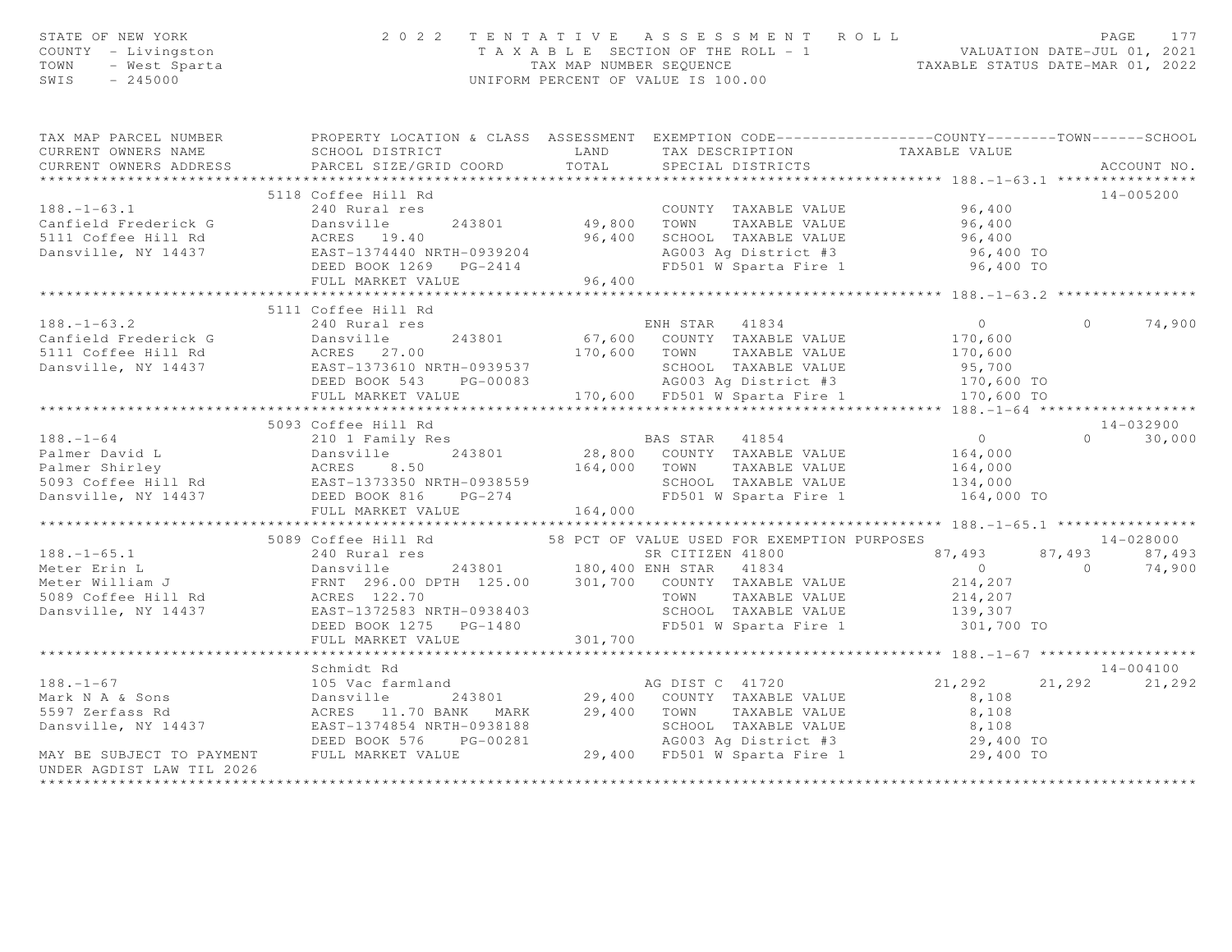| STATE OF NEW YORK<br>STATE OF NEW YORK<br>COUNTY - Livingston<br>TOWN - West Sparta<br>SWIS - 245000                                                                                                                                             |                        |                                   | 2022 TENTATIVE ASSESSMENT ROLL<br>TAXABLE SECTION OF THE ROLL - 1<br>TAXABLE SECTION OF THE ROLL - 1<br>TAX MAP NUMBER SEQUENCE<br>UNIFORM PERCENT OF VALUE IS 100.00<br>UNIFORM PERCENT OF VALUE IS 100.00 |                         |          |             |               |
|--------------------------------------------------------------------------------------------------------------------------------------------------------------------------------------------------------------------------------------------------|------------------------|-----------------------------------|-------------------------------------------------------------------------------------------------------------------------------------------------------------------------------------------------------------|-------------------------|----------|-------------|---------------|
| TAX MAP PARCEL NUMBER THE PROPERTY LOCATION & CLASS ASSESSMENT EXEMPTION CODE--------------COUNTY--------TOWN------SCHOOL                                                                                                                        |                        |                                   |                                                                                                                                                                                                             |                         |          |             |               |
| CURRENT OWNERS NAME                                                                                                                                                                                                                              | SCHOOL DISTRICT        |                                   | LAND TAX DESCRIPTION TAXABLE VALUE<br>D COORD TOTAL SPECIAL DISTRICTS                                                                                                                                       |                         |          |             |               |
| CURRENT OWNERS ADDRESS                                                                                                                                                                                                                           | PARCEL SIZE/GRID COORD | TOTAL                             |                                                                                                                                                                                                             |                         |          | ACCOUNT NO. |               |
|                                                                                                                                                                                                                                                  |                        |                                   |                                                                                                                                                                                                             |                         |          |             |               |
| 5118 Coffee Hill Rd<br>240 Rural res<br>Canfield Frederick G Dansville 243801 49,800 TOWN TAXABLE VALUE 96,400<br>5111 Coffee Hill Rd ACRES 19.40 96,400 5CHOOL TAXABLE VALUE 96,400<br>243801 49,800 TOWN TAXABLE VALUE 96,400<br>5111          |                        |                                   |                                                                                                                                                                                                             |                         |          | 14-005200   |               |
|                                                                                                                                                                                                                                                  |                        |                                   |                                                                                                                                                                                                             |                         |          |             |               |
|                                                                                                                                                                                                                                                  |                        |                                   |                                                                                                                                                                                                             |                         |          |             |               |
|                                                                                                                                                                                                                                                  |                        |                                   |                                                                                                                                                                                                             |                         |          |             |               |
|                                                                                                                                                                                                                                                  |                        |                                   |                                                                                                                                                                                                             |                         |          |             |               |
|                                                                                                                                                                                                                                                  |                        | $3939204$<br>$3-2414$<br>$96,400$ |                                                                                                                                                                                                             |                         |          |             |               |
|                                                                                                                                                                                                                                                  | FULL MARKET VALUE      |                                   |                                                                                                                                                                                                             |                         |          |             |               |
|                                                                                                                                                                                                                                                  |                        |                                   |                                                                                                                                                                                                             |                         |          |             |               |
| $188. - 1 - 63.2$                                                                                                                                                                                                                                | 5111 Coffee Hill Rd    |                                   |                                                                                                                                                                                                             |                         |          |             |               |
|                                                                                                                                                                                                                                                  |                        |                                   |                                                                                                                                                                                                             |                         | $\Omega$ |             | 74,900        |
|                                                                                                                                                                                                                                                  |                        |                                   |                                                                                                                                                                                                             |                         |          |             |               |
| 188.-1-63.2<br>Canfield Frederick G<br>5111 Coffee Hill Rd<br>240 Rural res<br>240 Rural res<br>243801 67,600 COUNTY TAXABLE VALUE 170,600<br>243801 67,600 COUNTY TAXABLE VALUE 170,600<br>243801 70,600 TOWN TAXABLE VALUE 170,600<br>240 RC   |                        |                                   |                                                                                                                                                                                                             |                         |          |             |               |
|                                                                                                                                                                                                                                                  |                        |                                   |                                                                                                                                                                                                             |                         |          |             |               |
|                                                                                                                                                                                                                                                  |                        |                                   |                                                                                                                                                                                                             |                         |          |             |               |
|                                                                                                                                                                                                                                                  |                        |                                   |                                                                                                                                                                                                             |                         |          |             |               |
|                                                                                                                                                                                                                                                  | 5093 Coffee Hill Rd    |                                   |                                                                                                                                                                                                             |                         |          | 14-032900   |               |
| 5093 Coffee Hill Rd<br>210 1 Family Res<br>23,800 COUNTY TAXABLE VALUE<br>243801 28,800 COUNTY TAXABLE VALUE<br>243801 28,800 COUNTY TAXABLE VALUE<br>244,000 TOWN TAXABLE VALUE<br>264,000 164,000<br>28,800 COUNTY TAXABLE VALUE<br>28,800 C   |                        |                                   |                                                                                                                                                                                                             |                         |          |             | $0 \t 30,000$ |
|                                                                                                                                                                                                                                                  |                        |                                   |                                                                                                                                                                                                             |                         |          |             |               |
|                                                                                                                                                                                                                                                  |                        |                                   |                                                                                                                                                                                                             |                         |          |             |               |
|                                                                                                                                                                                                                                                  |                        |                                   |                                                                                                                                                                                                             |                         |          |             |               |
|                                                                                                                                                                                                                                                  |                        |                                   |                                                                                                                                                                                                             |                         |          |             |               |
|                                                                                                                                                                                                                                                  | FULL MARKET VALUE      | 164,000                           |                                                                                                                                                                                                             |                         |          |             |               |
|                                                                                                                                                                                                                                                  |                        |                                   |                                                                                                                                                                                                             |                         |          |             |               |
|                                                                                                                                                                                                                                                  |                        |                                   |                                                                                                                                                                                                             |                         |          |             |               |
|                                                                                                                                                                                                                                                  |                        |                                   |                                                                                                                                                                                                             |                         |          |             |               |
|                                                                                                                                                                                                                                                  |                        |                                   |                                                                                                                                                                                                             |                         |          |             |               |
|                                                                                                                                                                                                                                                  |                        |                                   |                                                                                                                                                                                                             |                         |          |             |               |
|                                                                                                                                                                                                                                                  |                        |                                   |                                                                                                                                                                                                             |                         |          |             |               |
|                                                                                                                                                                                                                                                  |                        |                                   |                                                                                                                                                                                                             |                         |          |             |               |
|                                                                                                                                                                                                                                                  |                        |                                   |                                                                                                                                                                                                             |                         |          |             |               |
|                                                                                                                                                                                                                                                  |                        |                                   |                                                                                                                                                                                                             |                         |          |             |               |
|                                                                                                                                                                                                                                                  |                        |                                   |                                                                                                                                                                                                             |                         |          |             |               |
|                                                                                                                                                                                                                                                  |                        |                                   |                                                                                                                                                                                                             |                         |          | 14-004100   |               |
|                                                                                                                                                                                                                                                  |                        |                                   |                                                                                                                                                                                                             | 21, 292 21, 292 21, 292 |          |             |               |
|                                                                                                                                                                                                                                                  |                        |                                   |                                                                                                                                                                                                             |                         |          |             |               |
|                                                                                                                                                                                                                                                  |                        |                                   |                                                                                                                                                                                                             |                         |          |             |               |
|                                                                                                                                                                                                                                                  |                        |                                   |                                                                                                                                                                                                             |                         |          |             |               |
|                                                                                                                                                                                                                                                  |                        |                                   |                                                                                                                                                                                                             |                         |          |             |               |
| Schmidt Rd<br>Mark N A & Sons<br>Mark N A & Sons<br>Dansville 243801<br>29,400 COUNTY TAXABLE VALUE<br>29,400 TOWN TAXABLE VALUE<br>29,400 TOWN TAXABLE VALUE<br>29,400 TOWN TAXABLE VALUE<br>29,400 TOWN TAXABLE VALUE<br>29,400 TOWN TAXABLE V |                        |                                   |                                                                                                                                                                                                             |                         |          |             |               |
| UNDER AGDIST LAW TIL 2026                                                                                                                                                                                                                        |                        |                                   |                                                                                                                                                                                                             |                         |          |             |               |
|                                                                                                                                                                                                                                                  |                        |                                   |                                                                                                                                                                                                             |                         |          |             |               |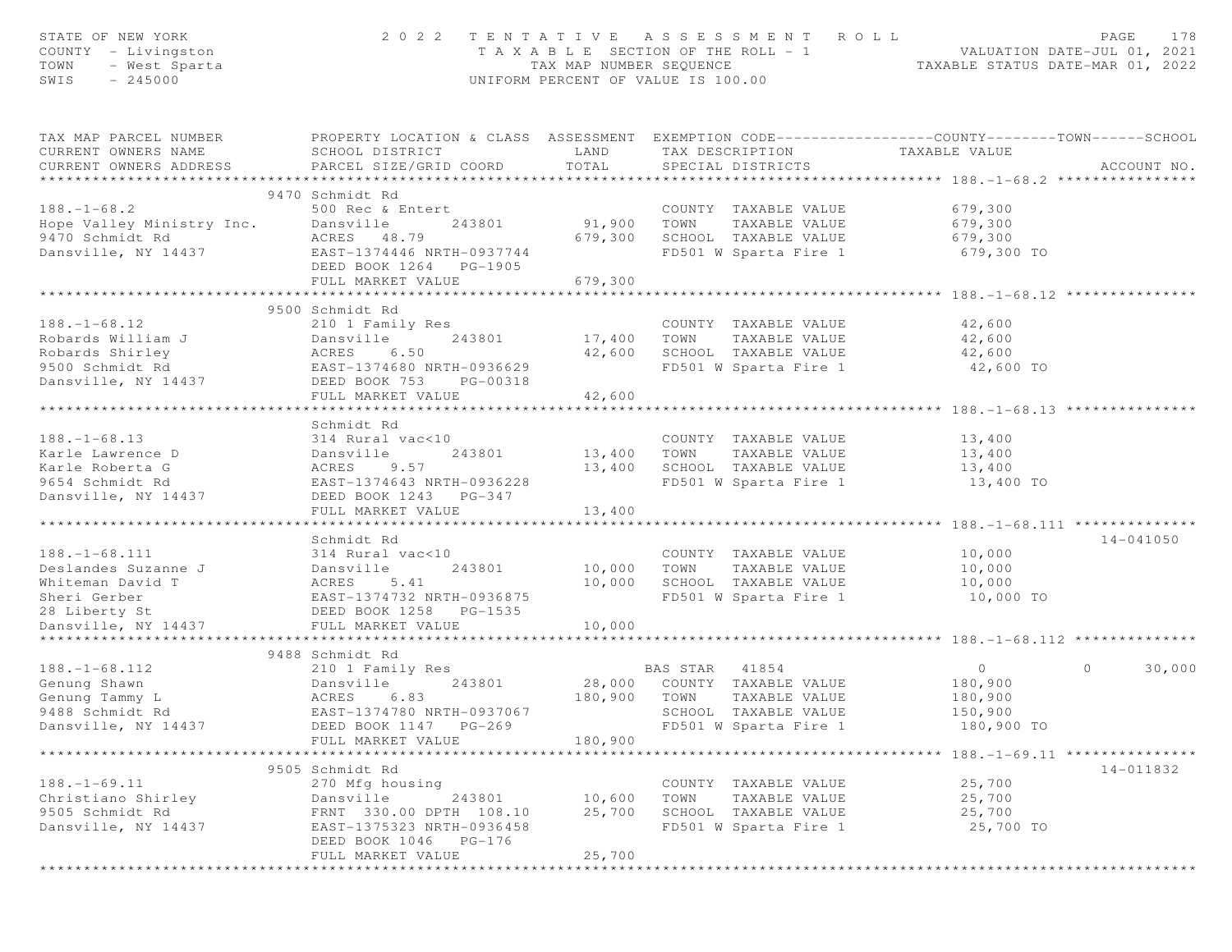| STATE OF NEW YORK<br>COUNTY - Livingston<br>TOWN<br>- West Sparta<br>SWIS<br>$-245000$ | 2 0 2 2                                                                                                                                      | T A X A B L E SECTION OF THE ROLL - 1<br>TAX MAP NUMBER SEOUENCE<br>UNIFORM PERCENT OF VALUE IS 100.00 |                | TENTATIVE ASSESSMENT ROLL             | VALUATION DAIR USE<br>TAXABLE STATUS DATE-MAR 01, 2022        | PAGE    | 178           |
|----------------------------------------------------------------------------------------|----------------------------------------------------------------------------------------------------------------------------------------------|--------------------------------------------------------------------------------------------------------|----------------|---------------------------------------|---------------------------------------------------------------|---------|---------------|
| TAX MAP PARCEL NUMBER<br>CURRENT OWNERS NAME<br>CURRENT OWNERS ADDRESS                 | PROPERTY LOCATION & CLASS ASSESSMENT EXEMPTION CODE---------------COUNTY-------TOWN------SCHOOL<br>SCHOOL DISTRICT<br>PARCEL SIZE/GRID COORD | LAND<br>TOTAL                                                                                          |                | TAX DESCRIPTION<br>SPECIAL DISTRICTS  | TAXABLE VALUE                                                 |         | ACCOUNT NO.   |
|                                                                                        | 9470 Schmidt Rd                                                                                                                              |                                                                                                        |                |                                       |                                                               |         |               |
| $188. - 1 - 68.2$                                                                      | 500 Rec & Entert                                                                                                                             |                                                                                                        |                | COUNTY TAXABLE VALUE                  | 679,300                                                       |         |               |
| Hope Valley Ministry Inc.                                                              | Dansville<br>243801                                                                                                                          | 91,900                                                                                                 | TOWN           | TAXABLE VALUE                         | 679,300                                                       |         |               |
| 9470 Schmidt Rd                                                                        | ACRES 48.79                                                                                                                                  | 679,300                                                                                                |                | SCHOOL TAXABLE VALUE                  | 679,300                                                       |         |               |
| Dansville, NY 14437                                                                    | EAST-1374446 NRTH-0937744                                                                                                                    |                                                                                                        |                | FD501 W Sparta Fire 1                 | 679,300 TO                                                    |         |               |
|                                                                                        | DEED BOOK 1264 PG-1905                                                                                                                       |                                                                                                        |                |                                       |                                                               |         |               |
|                                                                                        | FULL MARKET VALUE                                                                                                                            | 679,300                                                                                                |                |                                       |                                                               |         |               |
|                                                                                        |                                                                                                                                              | **********                                                                                             |                |                                       | **************************** 188. -1-68. 12 **********        |         |               |
|                                                                                        | 9500 Schmidt Rd                                                                                                                              |                                                                                                        |                |                                       |                                                               |         |               |
| $188. - 1 - 68.12$                                                                     | 210 1 Family Res                                                                                                                             |                                                                                                        |                | COUNTY TAXABLE VALUE                  | 42,600                                                        |         |               |
| Robards William J                                                                      | Dansville<br>243801                                                                                                                          | 17,400                                                                                                 | TOWN           | TAXABLE VALUE                         | 42,600                                                        |         |               |
| Robards Shirley<br>9500 Schmidt Rd                                                     | ACRES<br>6.50                                                                                                                                | 42,600                                                                                                 |                | SCHOOL TAXABLE VALUE                  | 42,600                                                        |         |               |
| Dansville, NY 14437                                                                    | EAST-1374680 NRTH-0936629<br>DEED BOOK 753<br>PG-00318                                                                                       |                                                                                                        |                | FD501 W Sparta Fire 1                 | 42,600 TO                                                     |         |               |
|                                                                                        | FULL MARKET VALUE                                                                                                                            | 42,600                                                                                                 |                |                                       |                                                               |         |               |
|                                                                                        | *********************                                                                                                                        |                                                                                                        |                |                                       | ******************************* 188. -1-68.13 *************** |         |               |
|                                                                                        | Schmidt Rd                                                                                                                                   |                                                                                                        |                |                                       |                                                               |         |               |
| $188. - 1 - 68.13$                                                                     | 314 Rural vac<10                                                                                                                             |                                                                                                        |                | COUNTY TAXABLE VALUE                  | 13,400                                                        |         |               |
| Karle Lawrence D                                                                       | 243801<br>Dansville                                                                                                                          | 13,400                                                                                                 | TOWN           | TAXABLE VALUE                         | 13,400                                                        |         |               |
| Karle Roberta G                                                                        | ACRES<br>9.57                                                                                                                                | 13,400                                                                                                 |                | SCHOOL TAXABLE VALUE                  | 13,400                                                        |         |               |
| 9654 Schmidt Rd                                                                        | EAST-1374643 NRTH-0936228                                                                                                                    |                                                                                                        |                | FD501 W Sparta Fire 1                 | 13,400 TO                                                     |         |               |
| Dansville, NY 14437                                                                    | DEED BOOK 1243 PG-347                                                                                                                        |                                                                                                        |                |                                       |                                                               |         |               |
|                                                                                        | FULL MARKET VALUE                                                                                                                            | 13,400                                                                                                 |                |                                       |                                                               |         |               |
|                                                                                        | *******************                                                                                                                          |                                                                                                        |                |                                       |                                                               |         |               |
|                                                                                        | Schmidt Rd                                                                                                                                   |                                                                                                        |                |                                       |                                                               |         | $14 - 041050$ |
| $188. - 1 - 68.111$<br>Deslandes Suzanne J                                             | 314 Rural vac<10<br>243801<br>Dansville                                                                                                      |                                                                                                        | TOWN           | COUNTY TAXABLE VALUE<br>TAXABLE VALUE | 10,000                                                        |         |               |
| Whiteman David T                                                                       | ACRES<br>5.41                                                                                                                                | 10,000<br>10,000                                                                                       |                | SCHOOL TAXABLE VALUE                  | 10,000<br>10,000                                              |         |               |
| Sheri Gerber                                                                           | EAST-1374732 NRTH-0936875                                                                                                                    |                                                                                                        |                | FD501 W Sparta Fire 1                 | 10,000 TO                                                     |         |               |
| 28 Liberty St                                                                          | DEED BOOK 1258 PG-1535                                                                                                                       |                                                                                                        |                |                                       |                                                               |         |               |
| Dansville, NY 14437                                                                    | FULL MARKET VALUE                                                                                                                            | 10,000                                                                                                 |                |                                       |                                                               |         |               |
| ********************                                                                   | ************************                                                                                                                     |                                                                                                        |                |                                       |                                                               |         |               |
|                                                                                        | 9488 Schmidt Rd                                                                                                                              |                                                                                                        |                |                                       |                                                               |         |               |
| $188. - 1 - 68.112$                                                                    | 210 1 Family Res                                                                                                                             |                                                                                                        | BAS STAR 41854 |                                       | $\overline{0}$                                                | $\circ$ | 30,000        |
| Genung Shawn                                                                           | Dansville<br>243801                                                                                                                          |                                                                                                        |                | 28,000 COUNTY TAXABLE VALUE           | 180,900                                                       |         |               |
| Genung Tammy L                                                                         | 6.83<br>ACRES                                                                                                                                | 180,900                                                                                                | TOWN           | TAXABLE VALUE                         | 180,900                                                       |         |               |
| 9488 Schmidt Rd                                                                        | EAST-1374780 NRTH-0937067                                                                                                                    |                                                                                                        |                | SCHOOL TAXABLE VALUE                  | 150,900                                                       |         |               |
| Dansville, NY 14437                                                                    | DEED BOOK 1147 PG-269                                                                                                                        |                                                                                                        |                | FD501 W Sparta Fire 1                 | 180,900 TO                                                    |         |               |
|                                                                                        | FULL MARKET VALUE                                                                                                                            | 180,900                                                                                                |                |                                       |                                                               |         |               |
|                                                                                        | 9505 Schmidt Rd                                                                                                                              |                                                                                                        |                |                                       |                                                               |         | 14-011832     |
| $188. - 1 - 69.11$                                                                     | 270 Mfg housing                                                                                                                              |                                                                                                        |                | COUNTY TAXABLE VALUE                  | 25,700                                                        |         |               |
| Christiano Shirley                                                                     | 243801<br>Dansville                                                                                                                          | 10,600                                                                                                 | TOWN           | TAXABLE VALUE                         | 25,700                                                        |         |               |
| 9505 Schmidt Rd                                                                        | FRNT 330.00 DPTH 108.10                                                                                                                      | 25,700                                                                                                 |                | SCHOOL TAXABLE VALUE                  | 25,700                                                        |         |               |
| Dansville, NY 14437                                                                    | EAST-1375323 NRTH-0936458                                                                                                                    |                                                                                                        |                | FD501 W Sparta Fire 1                 | 25,700 TO                                                     |         |               |
|                                                                                        | DEED BOOK 1046 PG-176                                                                                                                        |                                                                                                        |                |                                       |                                                               |         |               |
|                                                                                        | FULL MARKET VALUE                                                                                                                            | 25,700                                                                                                 |                |                                       |                                                               |         |               |
|                                                                                        |                                                                                                                                              |                                                                                                        |                |                                       |                                                               |         |               |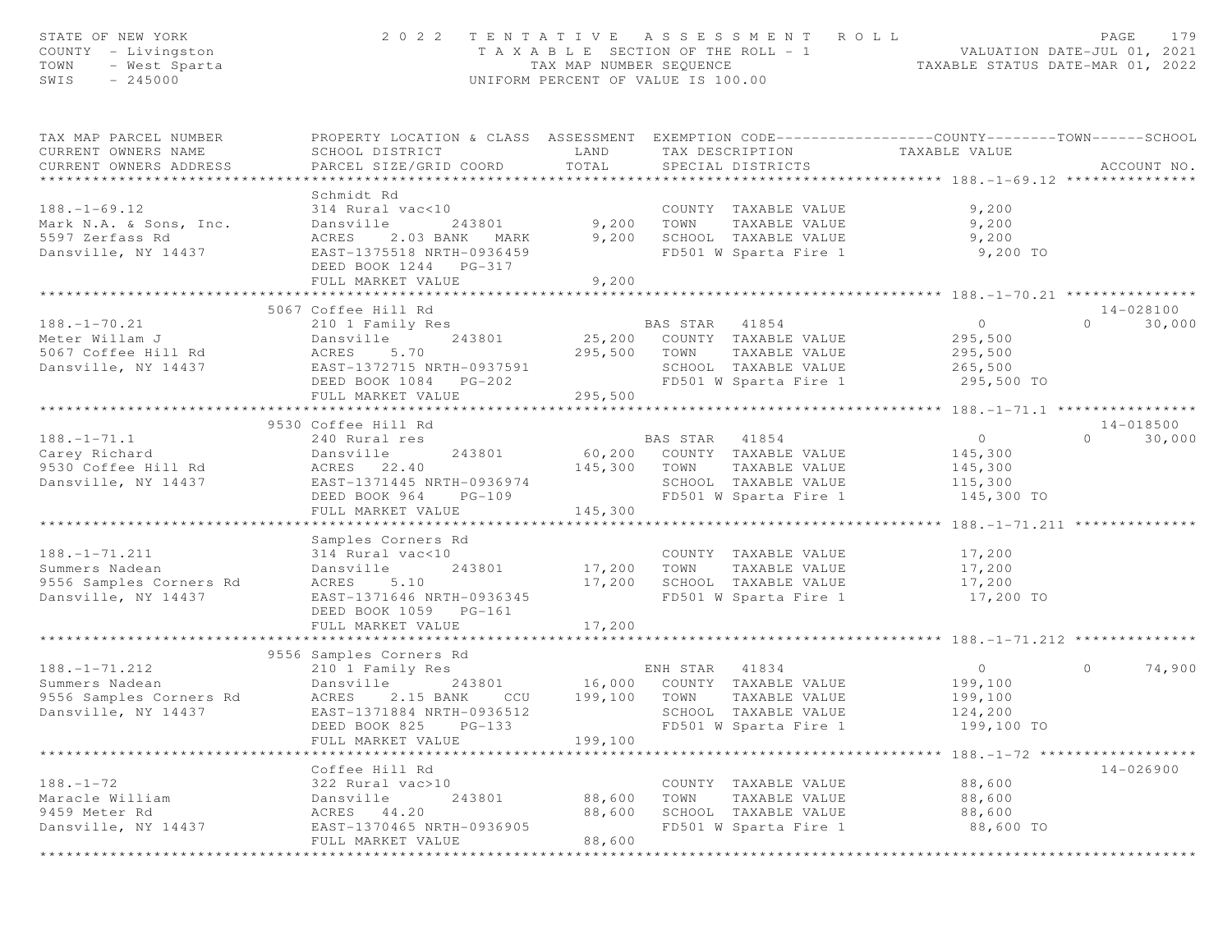| STATE OF NEW YORK<br>COUNTY - Livingston<br>TOWN<br>- West Sparta<br>SWIS<br>$-245000$                   | 2 0 2 2                                                                                                                                                     | T A X A B L E SECTION OF THE ROLL - 1<br>TAX MAP NUMBER SEQUENCE<br>UNIFORM PERCENT OF VALUE IS 100.00 |                        | TENTATIVE ASSESSMENT ROLL                                                                       | TAXABLE STATUS DATE-MAR 01, 2022                              | PAGE<br>VALUATION DATE-JUL 01, 2021 | 179    |
|----------------------------------------------------------------------------------------------------------|-------------------------------------------------------------------------------------------------------------------------------------------------------------|--------------------------------------------------------------------------------------------------------|------------------------|-------------------------------------------------------------------------------------------------|---------------------------------------------------------------|-------------------------------------|--------|
| TAX MAP PARCEL NUMBER<br>CURRENT OWNERS NAME<br>CURRENT OWNERS ADDRESS<br>****************************** | PROPERTY LOCATION & CLASS ASSESSMENT EXEMPTION CODE----------------COUNTY-------TOWN------SCHOOL<br>SCHOOL DISTRICT<br>PARCEL SIZE/GRID COORD               | LAND<br>TOTAL                                                                                          | TAX DESCRIPTION        | SPECIAL DISTRICTS                                                                               | TAXABLE VALUE                                                 | ACCOUNT NO.                         |        |
| $188. - 1 - 69.12$<br>Mark N.A. & Sons, Inc.<br>5597 Zerfass Rd<br>Dansville, NY 14437                   | Schmidt Rd<br>314 Rural vac<10<br>Dansville<br>243801<br>ACRES<br>2.03 BANK MARK<br>EAST-1375518 NRTH-0936459<br>DEED BOOK 1244 PG-317<br>FULL MARKET VALUE | 9,200<br>9,200<br>9,200                                                                                | TOWN                   | COUNTY TAXABLE VALUE<br>TAXABLE VALUE<br>SCHOOL TAXABLE VALUE<br>FD501 W Sparta Fire 1          | 9,200<br>9,200<br>9,200<br>9,200 TO                           |                                     |        |
|                                                                                                          | *********************************                                                                                                                           |                                                                                                        |                        |                                                                                                 |                                                               |                                     |        |
| $188. - 1 - 70.21$<br>Meter Willam J<br>5067 Coffee Hill Rd<br>Dansville, NY 14437                       | 5067 Coffee Hill Rd<br>210 1 Family Res<br>Dansville<br>243801<br>5.70<br>ACRES<br>EAST-1372715 NRTH-0937591<br>DEED BOOK 1084 PG-202<br>FULL MARKET VALUE  | 25,200<br>295,500<br>295,500                                                                           | BAS STAR<br>TOWN       | 41854<br>COUNTY TAXABLE VALUE<br>TAXABLE VALUE<br>SCHOOL TAXABLE VALUE<br>FD501 W Sparta Fire 1 | $\overline{0}$<br>295,500<br>295,500<br>265,500<br>295,500 TO | 14-028100<br>$\Omega$               | 30,000 |
|                                                                                                          |                                                                                                                                                             |                                                                                                        |                        |                                                                                                 | ************** 188.-1-71.1 ***                                |                                     |        |
| $188. - 1 - 71.1$<br>Carey Richard<br>9530 Coffee Hill Rd<br>Dansville, NY 14437                         | 9530 Coffee Hill Rd<br>240 Rural res<br>243801<br>Dansville<br>ACRES 22.40<br>EAST-1371445 NRTH-0936974<br>DEED BOOK 964<br>$PG-109$<br>FULL MARKET VALUE   | 60,200<br>145,300<br>145,300                                                                           | BAS STAR 41854<br>TOWN | COUNTY TAXABLE VALUE<br>TAXABLE VALUE<br>SCHOOL TAXABLE VALUE<br>FD501 W Sparta Fire 1          | $\overline{0}$<br>145,300<br>145,300<br>115,300<br>145,300 TO | 14-018500<br>$\Omega$               | 30,000 |
|                                                                                                          | * * * * * * * * * * * * * * * * * * *                                                                                                                       |                                                                                                        |                        |                                                                                                 |                                                               |                                     |        |
| $188. - 1 - 71.211$<br>Summers Nadean<br>9556 Samples Corners Rd<br>Dansville, NY 14437                  | Samples Corners Rd<br>314 Rural vac<10<br>243801<br>Dansville<br>ACRES<br>5.10<br>EAST-1371646 NRTH-0936345<br>DEED BOOK 1059 PG-161                        | 17,200<br>17,200                                                                                       | TOWN                   | COUNTY TAXABLE VALUE<br>TAXABLE VALUE<br>SCHOOL TAXABLE VALUE<br>FD501 W Sparta Fire 1          | 17,200<br>17,200<br>17,200<br>17,200 TO                       |                                     |        |
|                                                                                                          | FULL MARKET VALUE                                                                                                                                           | 17,200                                                                                                 |                        |                                                                                                 |                                                               |                                     |        |
|                                                                                                          | 9556 Samples Corners Rd                                                                                                                                     |                                                                                                        |                        |                                                                                                 |                                                               |                                     |        |
| $188. - 1 - 71.212$<br>Summers Nadean<br>9556 Samples Corners Rd<br>Dansville, NY 14437                  | 210 1 Family Res<br>Dansville<br>243801<br><b>ACRES</b><br>2.15 BANK<br>CCU<br>EAST-1371884 NRTH-0936512<br>DEED BOOK 825<br>$PG-133$<br>FULL MARKET VALUE  | 16,000<br>199,100<br>199,100                                                                           | ENH STAR<br>TOWN       | 41834<br>COUNTY TAXABLE VALUE<br>TAXABLE VALUE<br>SCHOOL TAXABLE VALUE<br>FD501 W Sparta Fire 1 | $\circ$<br>199,100<br>199,100<br>124,200<br>199,100 TO        | $\circ$                             | 74,900 |
|                                                                                                          |                                                                                                                                                             |                                                                                                        |                        |                                                                                                 | **************************** 188.472 *******************      |                                     |        |
| $188. - 1 - 72$<br>Maracle William<br>9459 Meter Rd<br>Dansville, NY 14437                               | Coffee Hill Rd<br>322 Rural vac>10<br>243801<br>Dansville<br>ACRES<br>44.20<br>EAST-1370465 NRTH-0936905                                                    | 88,600<br>88,600                                                                                       | TOWN                   | COUNTY TAXABLE VALUE<br>TAXABLE VALUE<br>SCHOOL TAXABLE VALUE<br>FD501 W Sparta Fire 1          | 88,600<br>88,600<br>88,600<br>88,600 TO                       | 14-026900                           |        |
|                                                                                                          | FULL MARKET VALUE                                                                                                                                           | 88,600                                                                                                 |                        |                                                                                                 |                                                               |                                     |        |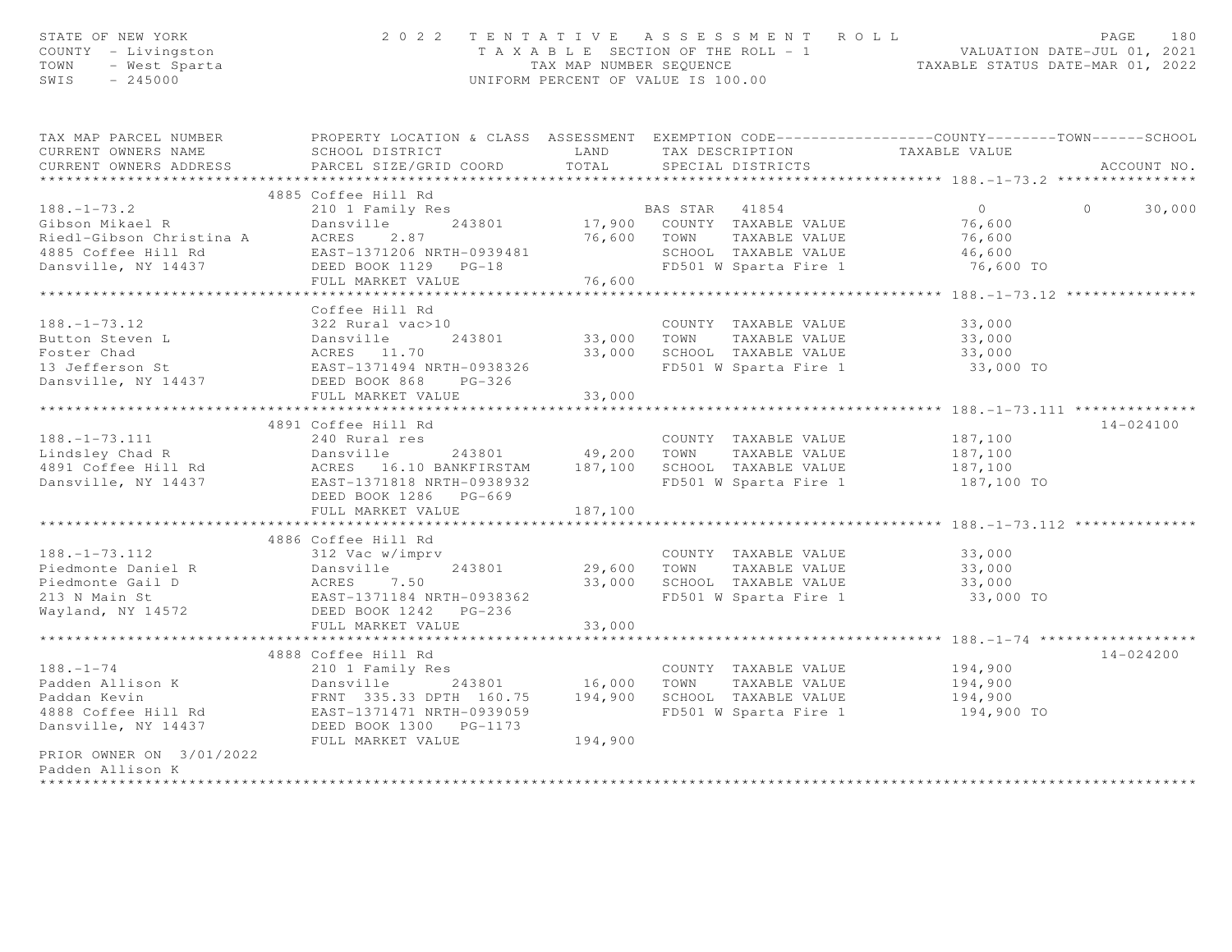| TAX MAP PARCEL NUMBER THE PROPERTY LOCATION & CLASS ASSESSMENT EXEMPTION CODE---------------COUNTY-------TOWN------SCHOOL<br>CURRENT OWNERS NAME<br>SCHOOL DISTRICT<br>LAND<br>TAX DESCRIPTION<br>TAXABLE VALUE<br>TOTAL<br>CURRENT OWNERS ADDRESS<br>PARCEL SIZE/GRID COORD<br>SPECIAL DISTRICTS<br>ACCOUNT NO.<br>***********************<br>4885 Coffee Hill Rd<br>$188. - 1 - 73.2$<br>210 1 Family Res<br>$\overline{0}$<br>BAS STAR 41854<br>$\Omega$<br>30,000<br>17,900 COUNTY TAXABLE VALUE<br>243801<br>76,600<br>188.-1-73.2<br>Gibson Mikael R<br>Riedl-Gibson Christina A<br>4885 Coffee Hill Rd<br>Number 1885 Corporation Number 2.87<br>Number 2.87<br>1885 Coffee Hill Rd<br>Number 2.87<br>DEED BOOK 1129 PG-18<br>Number VALUE<br>76,600 TOWN TAXABLE VALUE<br>76,600<br>SCHOOL TAXABLE VALUE<br>46,600<br>FD501 W Sparta Fire 1<br>76,600 TO<br>FULL MARKET VALUE<br>76,600<br>Coffee Hill Rd<br>$188. - 1 - 73.12$<br>322 Rural vac>10<br>COUNTY TAXABLE VALUE<br>33,000<br>188.-1-73.12<br>Button Steven L<br>Foster Chad<br>13 Jefferson St<br>13 Jefferson St<br>243801<br>EAST-1371494 NRTH-0938326<br>33,000 TOWN<br>TAXABLE VALUE<br>33,000<br>33,000 SCHOOL TAXABLE VALUE<br>33,000<br>FD501 W Sparta Fire 1<br>33,000 TO<br>Dansville, NY 14437<br>DEED BOOK 868 PG-326<br>33,000<br>FULL MARKET VALUE<br>*******************************<br>************************************** 188. -1-73. 111 ***************<br>* * * * * * * * * * * * *<br>$14 - 024100$<br>4891 Coffee Hill Rd<br>$188. - 1 - 73.111$<br>240 Rural res<br>COUNTY TAXABLE VALUE 187,100<br>187,100 TO<br>DEED BOOK 1286 PG-669<br>FULL MARKET VALUE<br>187,100<br>***************************<br>4886 Coffee Hill Rd<br>$188. - 1 - 73.112$<br>312 Vac w/imprv<br>COUNTY TAXABLE VALUE<br>33,000<br>Dansville<br>ACRES 7.50<br>EAST-1371184 NRTH-0938362<br>DEED BOOK 1242 PG-236<br>29,600 TOWN TAXABLE VALUE<br>33,000 SCHOOL TAXABLE VALUE<br>FD501 W Sparta Fire 1<br>Piedmonte Daniel R<br>33,000<br>Piedmonte Gail D<br>213 M Mais 21<br>33,000 SCHOOL TAXABLE VALUE<br>33,000<br>213 N Main St<br>Wayland, NY 14572<br>33,000 TO<br>Wayland, NY 14572<br>FULL MARKET VALUE<br>33,000<br>**********************<br>14-024200<br>4888 Coffee Hill Rd<br>$188. - 1 - 74$<br>194,900<br>210 1 Family Res<br>COUNTY TAXABLE VALUE<br>Dansville<br>Dansville 243801 16,000 TOWN TAXABLE_VALUE<br>FRNT 335.33 DPTH 160.75 194,900 SCHOOL TAXABLE_VALUE<br>Padden Allison K<br>194,900<br>Paddan Kevin<br>194,900<br>1<br>1888 Coffee Hill Rd<br>DEED BOOK 1300 PG-1173<br>DEED BOOK 1300 PG-1173<br>FD501 W Sparta Fire 1 194,900 TO<br>194,900<br>FULL MARKET VALUE<br>PRIOR OWNER ON 3/01/2022<br>Padden Allison K | STATE OF NEW YORK<br>COUNTY - Livingston<br>TOWN - West Sparta |  | 2022 TENTATIVE ASSESSMENT ROLL<br>TAXABLE SECTION OF THE ROLL - 1<br>TAXABLE STATUS DATE-JUL 01, 2021<br>TAXABLE STATUS DATE-MAR 01, 2022<br>UNIFORM PERCENT OF VALUE IS 100.00 | PAGE<br>180 |
|----------------------------------------------------------------------------------------------------------------------------------------------------------------------------------------------------------------------------------------------------------------------------------------------------------------------------------------------------------------------------------------------------------------------------------------------------------------------------------------------------------------------------------------------------------------------------------------------------------------------------------------------------------------------------------------------------------------------------------------------------------------------------------------------------------------------------------------------------------------------------------------------------------------------------------------------------------------------------------------------------------------------------------------------------------------------------------------------------------------------------------------------------------------------------------------------------------------------------------------------------------------------------------------------------------------------------------------------------------------------------------------------------------------------------------------------------------------------------------------------------------------------------------------------------------------------------------------------------------------------------------------------------------------------------------------------------------------------------------------------------------------------------------------------------------------------------------------------------------------------------------------------------------------------------------------------------------------------------------------------------------------------------------------------------------------------------------------------------------------------------------------------------------------------------------------------------------------------------------------------------------------------------------------------------------------------------------------------------------------------------------------------------------------------------------------------------------------------------------------------------------------------------------------------------------------------------------------------------------------------------------------------------------------------------------------------------------------------------|----------------------------------------------------------------|--|---------------------------------------------------------------------------------------------------------------------------------------------------------------------------------|-------------|
|                                                                                                                                                                                                                                                                                                                                                                                                                                                                                                                                                                                                                                                                                                                                                                                                                                                                                                                                                                                                                                                                                                                                                                                                                                                                                                                                                                                                                                                                                                                                                                                                                                                                                                                                                                                                                                                                                                                                                                                                                                                                                                                                                                                                                                                                                                                                                                                                                                                                                                                                                                                                                                                                                                                            |                                                                |  |                                                                                                                                                                                 |             |
|                                                                                                                                                                                                                                                                                                                                                                                                                                                                                                                                                                                                                                                                                                                                                                                                                                                                                                                                                                                                                                                                                                                                                                                                                                                                                                                                                                                                                                                                                                                                                                                                                                                                                                                                                                                                                                                                                                                                                                                                                                                                                                                                                                                                                                                                                                                                                                                                                                                                                                                                                                                                                                                                                                                            |                                                                |  |                                                                                                                                                                                 |             |
|                                                                                                                                                                                                                                                                                                                                                                                                                                                                                                                                                                                                                                                                                                                                                                                                                                                                                                                                                                                                                                                                                                                                                                                                                                                                                                                                                                                                                                                                                                                                                                                                                                                                                                                                                                                                                                                                                                                                                                                                                                                                                                                                                                                                                                                                                                                                                                                                                                                                                                                                                                                                                                                                                                                            |                                                                |  |                                                                                                                                                                                 |             |
|                                                                                                                                                                                                                                                                                                                                                                                                                                                                                                                                                                                                                                                                                                                                                                                                                                                                                                                                                                                                                                                                                                                                                                                                                                                                                                                                                                                                                                                                                                                                                                                                                                                                                                                                                                                                                                                                                                                                                                                                                                                                                                                                                                                                                                                                                                                                                                                                                                                                                                                                                                                                                                                                                                                            |                                                                |  |                                                                                                                                                                                 |             |
|                                                                                                                                                                                                                                                                                                                                                                                                                                                                                                                                                                                                                                                                                                                                                                                                                                                                                                                                                                                                                                                                                                                                                                                                                                                                                                                                                                                                                                                                                                                                                                                                                                                                                                                                                                                                                                                                                                                                                                                                                                                                                                                                                                                                                                                                                                                                                                                                                                                                                                                                                                                                                                                                                                                            |                                                                |  |                                                                                                                                                                                 |             |
|                                                                                                                                                                                                                                                                                                                                                                                                                                                                                                                                                                                                                                                                                                                                                                                                                                                                                                                                                                                                                                                                                                                                                                                                                                                                                                                                                                                                                                                                                                                                                                                                                                                                                                                                                                                                                                                                                                                                                                                                                                                                                                                                                                                                                                                                                                                                                                                                                                                                                                                                                                                                                                                                                                                            |                                                                |  |                                                                                                                                                                                 |             |
|                                                                                                                                                                                                                                                                                                                                                                                                                                                                                                                                                                                                                                                                                                                                                                                                                                                                                                                                                                                                                                                                                                                                                                                                                                                                                                                                                                                                                                                                                                                                                                                                                                                                                                                                                                                                                                                                                                                                                                                                                                                                                                                                                                                                                                                                                                                                                                                                                                                                                                                                                                                                                                                                                                                            |                                                                |  |                                                                                                                                                                                 |             |
|                                                                                                                                                                                                                                                                                                                                                                                                                                                                                                                                                                                                                                                                                                                                                                                                                                                                                                                                                                                                                                                                                                                                                                                                                                                                                                                                                                                                                                                                                                                                                                                                                                                                                                                                                                                                                                                                                                                                                                                                                                                                                                                                                                                                                                                                                                                                                                                                                                                                                                                                                                                                                                                                                                                            |                                                                |  |                                                                                                                                                                                 |             |
|                                                                                                                                                                                                                                                                                                                                                                                                                                                                                                                                                                                                                                                                                                                                                                                                                                                                                                                                                                                                                                                                                                                                                                                                                                                                                                                                                                                                                                                                                                                                                                                                                                                                                                                                                                                                                                                                                                                                                                                                                                                                                                                                                                                                                                                                                                                                                                                                                                                                                                                                                                                                                                                                                                                            |                                                                |  |                                                                                                                                                                                 |             |
|                                                                                                                                                                                                                                                                                                                                                                                                                                                                                                                                                                                                                                                                                                                                                                                                                                                                                                                                                                                                                                                                                                                                                                                                                                                                                                                                                                                                                                                                                                                                                                                                                                                                                                                                                                                                                                                                                                                                                                                                                                                                                                                                                                                                                                                                                                                                                                                                                                                                                                                                                                                                                                                                                                                            |                                                                |  |                                                                                                                                                                                 |             |
|                                                                                                                                                                                                                                                                                                                                                                                                                                                                                                                                                                                                                                                                                                                                                                                                                                                                                                                                                                                                                                                                                                                                                                                                                                                                                                                                                                                                                                                                                                                                                                                                                                                                                                                                                                                                                                                                                                                                                                                                                                                                                                                                                                                                                                                                                                                                                                                                                                                                                                                                                                                                                                                                                                                            |                                                                |  |                                                                                                                                                                                 |             |
|                                                                                                                                                                                                                                                                                                                                                                                                                                                                                                                                                                                                                                                                                                                                                                                                                                                                                                                                                                                                                                                                                                                                                                                                                                                                                                                                                                                                                                                                                                                                                                                                                                                                                                                                                                                                                                                                                                                                                                                                                                                                                                                                                                                                                                                                                                                                                                                                                                                                                                                                                                                                                                                                                                                            |                                                                |  |                                                                                                                                                                                 |             |
|                                                                                                                                                                                                                                                                                                                                                                                                                                                                                                                                                                                                                                                                                                                                                                                                                                                                                                                                                                                                                                                                                                                                                                                                                                                                                                                                                                                                                                                                                                                                                                                                                                                                                                                                                                                                                                                                                                                                                                                                                                                                                                                                                                                                                                                                                                                                                                                                                                                                                                                                                                                                                                                                                                                            |                                                                |  |                                                                                                                                                                                 |             |
|                                                                                                                                                                                                                                                                                                                                                                                                                                                                                                                                                                                                                                                                                                                                                                                                                                                                                                                                                                                                                                                                                                                                                                                                                                                                                                                                                                                                                                                                                                                                                                                                                                                                                                                                                                                                                                                                                                                                                                                                                                                                                                                                                                                                                                                                                                                                                                                                                                                                                                                                                                                                                                                                                                                            |                                                                |  |                                                                                                                                                                                 |             |
|                                                                                                                                                                                                                                                                                                                                                                                                                                                                                                                                                                                                                                                                                                                                                                                                                                                                                                                                                                                                                                                                                                                                                                                                                                                                                                                                                                                                                                                                                                                                                                                                                                                                                                                                                                                                                                                                                                                                                                                                                                                                                                                                                                                                                                                                                                                                                                                                                                                                                                                                                                                                                                                                                                                            |                                                                |  |                                                                                                                                                                                 |             |
|                                                                                                                                                                                                                                                                                                                                                                                                                                                                                                                                                                                                                                                                                                                                                                                                                                                                                                                                                                                                                                                                                                                                                                                                                                                                                                                                                                                                                                                                                                                                                                                                                                                                                                                                                                                                                                                                                                                                                                                                                                                                                                                                                                                                                                                                                                                                                                                                                                                                                                                                                                                                                                                                                                                            |                                                                |  |                                                                                                                                                                                 |             |
|                                                                                                                                                                                                                                                                                                                                                                                                                                                                                                                                                                                                                                                                                                                                                                                                                                                                                                                                                                                                                                                                                                                                                                                                                                                                                                                                                                                                                                                                                                                                                                                                                                                                                                                                                                                                                                                                                                                                                                                                                                                                                                                                                                                                                                                                                                                                                                                                                                                                                                                                                                                                                                                                                                                            |                                                                |  |                                                                                                                                                                                 |             |
|                                                                                                                                                                                                                                                                                                                                                                                                                                                                                                                                                                                                                                                                                                                                                                                                                                                                                                                                                                                                                                                                                                                                                                                                                                                                                                                                                                                                                                                                                                                                                                                                                                                                                                                                                                                                                                                                                                                                                                                                                                                                                                                                                                                                                                                                                                                                                                                                                                                                                                                                                                                                                                                                                                                            |                                                                |  |                                                                                                                                                                                 |             |
|                                                                                                                                                                                                                                                                                                                                                                                                                                                                                                                                                                                                                                                                                                                                                                                                                                                                                                                                                                                                                                                                                                                                                                                                                                                                                                                                                                                                                                                                                                                                                                                                                                                                                                                                                                                                                                                                                                                                                                                                                                                                                                                                                                                                                                                                                                                                                                                                                                                                                                                                                                                                                                                                                                                            |                                                                |  |                                                                                                                                                                                 |             |
|                                                                                                                                                                                                                                                                                                                                                                                                                                                                                                                                                                                                                                                                                                                                                                                                                                                                                                                                                                                                                                                                                                                                                                                                                                                                                                                                                                                                                                                                                                                                                                                                                                                                                                                                                                                                                                                                                                                                                                                                                                                                                                                                                                                                                                                                                                                                                                                                                                                                                                                                                                                                                                                                                                                            |                                                                |  |                                                                                                                                                                                 |             |
|                                                                                                                                                                                                                                                                                                                                                                                                                                                                                                                                                                                                                                                                                                                                                                                                                                                                                                                                                                                                                                                                                                                                                                                                                                                                                                                                                                                                                                                                                                                                                                                                                                                                                                                                                                                                                                                                                                                                                                                                                                                                                                                                                                                                                                                                                                                                                                                                                                                                                                                                                                                                                                                                                                                            |                                                                |  |                                                                                                                                                                                 |             |
|                                                                                                                                                                                                                                                                                                                                                                                                                                                                                                                                                                                                                                                                                                                                                                                                                                                                                                                                                                                                                                                                                                                                                                                                                                                                                                                                                                                                                                                                                                                                                                                                                                                                                                                                                                                                                                                                                                                                                                                                                                                                                                                                                                                                                                                                                                                                                                                                                                                                                                                                                                                                                                                                                                                            |                                                                |  |                                                                                                                                                                                 |             |
|                                                                                                                                                                                                                                                                                                                                                                                                                                                                                                                                                                                                                                                                                                                                                                                                                                                                                                                                                                                                                                                                                                                                                                                                                                                                                                                                                                                                                                                                                                                                                                                                                                                                                                                                                                                                                                                                                                                                                                                                                                                                                                                                                                                                                                                                                                                                                                                                                                                                                                                                                                                                                                                                                                                            |                                                                |  |                                                                                                                                                                                 |             |
|                                                                                                                                                                                                                                                                                                                                                                                                                                                                                                                                                                                                                                                                                                                                                                                                                                                                                                                                                                                                                                                                                                                                                                                                                                                                                                                                                                                                                                                                                                                                                                                                                                                                                                                                                                                                                                                                                                                                                                                                                                                                                                                                                                                                                                                                                                                                                                                                                                                                                                                                                                                                                                                                                                                            |                                                                |  |                                                                                                                                                                                 |             |
|                                                                                                                                                                                                                                                                                                                                                                                                                                                                                                                                                                                                                                                                                                                                                                                                                                                                                                                                                                                                                                                                                                                                                                                                                                                                                                                                                                                                                                                                                                                                                                                                                                                                                                                                                                                                                                                                                                                                                                                                                                                                                                                                                                                                                                                                                                                                                                                                                                                                                                                                                                                                                                                                                                                            |                                                                |  |                                                                                                                                                                                 |             |
|                                                                                                                                                                                                                                                                                                                                                                                                                                                                                                                                                                                                                                                                                                                                                                                                                                                                                                                                                                                                                                                                                                                                                                                                                                                                                                                                                                                                                                                                                                                                                                                                                                                                                                                                                                                                                                                                                                                                                                                                                                                                                                                                                                                                                                                                                                                                                                                                                                                                                                                                                                                                                                                                                                                            |                                                                |  |                                                                                                                                                                                 |             |
|                                                                                                                                                                                                                                                                                                                                                                                                                                                                                                                                                                                                                                                                                                                                                                                                                                                                                                                                                                                                                                                                                                                                                                                                                                                                                                                                                                                                                                                                                                                                                                                                                                                                                                                                                                                                                                                                                                                                                                                                                                                                                                                                                                                                                                                                                                                                                                                                                                                                                                                                                                                                                                                                                                                            |                                                                |  |                                                                                                                                                                                 |             |
|                                                                                                                                                                                                                                                                                                                                                                                                                                                                                                                                                                                                                                                                                                                                                                                                                                                                                                                                                                                                                                                                                                                                                                                                                                                                                                                                                                                                                                                                                                                                                                                                                                                                                                                                                                                                                                                                                                                                                                                                                                                                                                                                                                                                                                                                                                                                                                                                                                                                                                                                                                                                                                                                                                                            |                                                                |  |                                                                                                                                                                                 |             |
|                                                                                                                                                                                                                                                                                                                                                                                                                                                                                                                                                                                                                                                                                                                                                                                                                                                                                                                                                                                                                                                                                                                                                                                                                                                                                                                                                                                                                                                                                                                                                                                                                                                                                                                                                                                                                                                                                                                                                                                                                                                                                                                                                                                                                                                                                                                                                                                                                                                                                                                                                                                                                                                                                                                            |                                                                |  |                                                                                                                                                                                 |             |
|                                                                                                                                                                                                                                                                                                                                                                                                                                                                                                                                                                                                                                                                                                                                                                                                                                                                                                                                                                                                                                                                                                                                                                                                                                                                                                                                                                                                                                                                                                                                                                                                                                                                                                                                                                                                                                                                                                                                                                                                                                                                                                                                                                                                                                                                                                                                                                                                                                                                                                                                                                                                                                                                                                                            |                                                                |  |                                                                                                                                                                                 |             |
|                                                                                                                                                                                                                                                                                                                                                                                                                                                                                                                                                                                                                                                                                                                                                                                                                                                                                                                                                                                                                                                                                                                                                                                                                                                                                                                                                                                                                                                                                                                                                                                                                                                                                                                                                                                                                                                                                                                                                                                                                                                                                                                                                                                                                                                                                                                                                                                                                                                                                                                                                                                                                                                                                                                            |                                                                |  |                                                                                                                                                                                 |             |
|                                                                                                                                                                                                                                                                                                                                                                                                                                                                                                                                                                                                                                                                                                                                                                                                                                                                                                                                                                                                                                                                                                                                                                                                                                                                                                                                                                                                                                                                                                                                                                                                                                                                                                                                                                                                                                                                                                                                                                                                                                                                                                                                                                                                                                                                                                                                                                                                                                                                                                                                                                                                                                                                                                                            |                                                                |  |                                                                                                                                                                                 |             |
|                                                                                                                                                                                                                                                                                                                                                                                                                                                                                                                                                                                                                                                                                                                                                                                                                                                                                                                                                                                                                                                                                                                                                                                                                                                                                                                                                                                                                                                                                                                                                                                                                                                                                                                                                                                                                                                                                                                                                                                                                                                                                                                                                                                                                                                                                                                                                                                                                                                                                                                                                                                                                                                                                                                            |                                                                |  |                                                                                                                                                                                 |             |
|                                                                                                                                                                                                                                                                                                                                                                                                                                                                                                                                                                                                                                                                                                                                                                                                                                                                                                                                                                                                                                                                                                                                                                                                                                                                                                                                                                                                                                                                                                                                                                                                                                                                                                                                                                                                                                                                                                                                                                                                                                                                                                                                                                                                                                                                                                                                                                                                                                                                                                                                                                                                                                                                                                                            |                                                                |  |                                                                                                                                                                                 |             |
|                                                                                                                                                                                                                                                                                                                                                                                                                                                                                                                                                                                                                                                                                                                                                                                                                                                                                                                                                                                                                                                                                                                                                                                                                                                                                                                                                                                                                                                                                                                                                                                                                                                                                                                                                                                                                                                                                                                                                                                                                                                                                                                                                                                                                                                                                                                                                                                                                                                                                                                                                                                                                                                                                                                            |                                                                |  |                                                                                                                                                                                 |             |
|                                                                                                                                                                                                                                                                                                                                                                                                                                                                                                                                                                                                                                                                                                                                                                                                                                                                                                                                                                                                                                                                                                                                                                                                                                                                                                                                                                                                                                                                                                                                                                                                                                                                                                                                                                                                                                                                                                                                                                                                                                                                                                                                                                                                                                                                                                                                                                                                                                                                                                                                                                                                                                                                                                                            |                                                                |  |                                                                                                                                                                                 |             |
|                                                                                                                                                                                                                                                                                                                                                                                                                                                                                                                                                                                                                                                                                                                                                                                                                                                                                                                                                                                                                                                                                                                                                                                                                                                                                                                                                                                                                                                                                                                                                                                                                                                                                                                                                                                                                                                                                                                                                                                                                                                                                                                                                                                                                                                                                                                                                                                                                                                                                                                                                                                                                                                                                                                            |                                                                |  |                                                                                                                                                                                 |             |
|                                                                                                                                                                                                                                                                                                                                                                                                                                                                                                                                                                                                                                                                                                                                                                                                                                                                                                                                                                                                                                                                                                                                                                                                                                                                                                                                                                                                                                                                                                                                                                                                                                                                                                                                                                                                                                                                                                                                                                                                                                                                                                                                                                                                                                                                                                                                                                                                                                                                                                                                                                                                                                                                                                                            |                                                                |  |                                                                                                                                                                                 |             |
|                                                                                                                                                                                                                                                                                                                                                                                                                                                                                                                                                                                                                                                                                                                                                                                                                                                                                                                                                                                                                                                                                                                                                                                                                                                                                                                                                                                                                                                                                                                                                                                                                                                                                                                                                                                                                                                                                                                                                                                                                                                                                                                                                                                                                                                                                                                                                                                                                                                                                                                                                                                                                                                                                                                            |                                                                |  |                                                                                                                                                                                 |             |
|                                                                                                                                                                                                                                                                                                                                                                                                                                                                                                                                                                                                                                                                                                                                                                                                                                                                                                                                                                                                                                                                                                                                                                                                                                                                                                                                                                                                                                                                                                                                                                                                                                                                                                                                                                                                                                                                                                                                                                                                                                                                                                                                                                                                                                                                                                                                                                                                                                                                                                                                                                                                                                                                                                                            |                                                                |  |                                                                                                                                                                                 |             |
|                                                                                                                                                                                                                                                                                                                                                                                                                                                                                                                                                                                                                                                                                                                                                                                                                                                                                                                                                                                                                                                                                                                                                                                                                                                                                                                                                                                                                                                                                                                                                                                                                                                                                                                                                                                                                                                                                                                                                                                                                                                                                                                                                                                                                                                                                                                                                                                                                                                                                                                                                                                                                                                                                                                            |                                                                |  |                                                                                                                                                                                 |             |
|                                                                                                                                                                                                                                                                                                                                                                                                                                                                                                                                                                                                                                                                                                                                                                                                                                                                                                                                                                                                                                                                                                                                                                                                                                                                                                                                                                                                                                                                                                                                                                                                                                                                                                                                                                                                                                                                                                                                                                                                                                                                                                                                                                                                                                                                                                                                                                                                                                                                                                                                                                                                                                                                                                                            |                                                                |  |                                                                                                                                                                                 |             |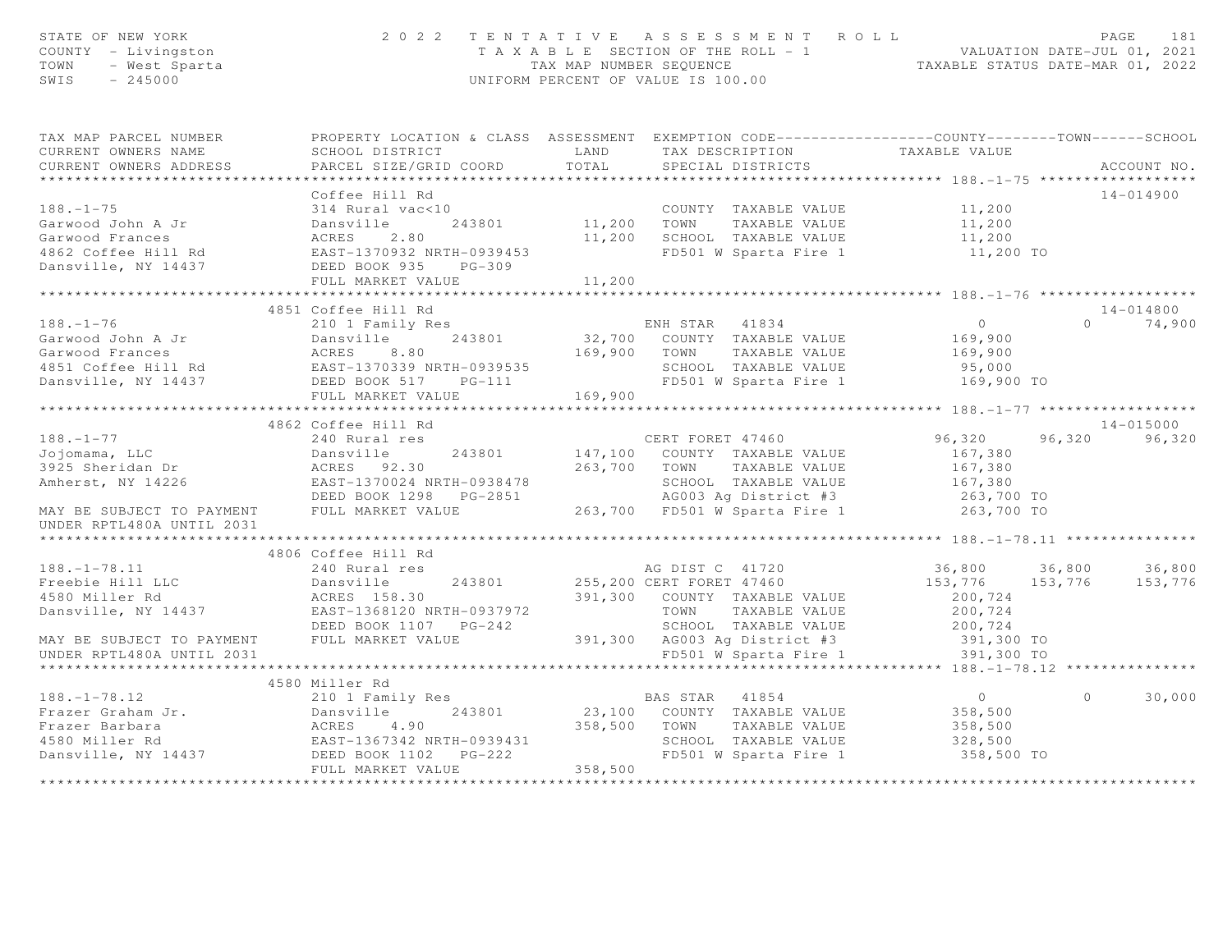| STATE OF NEW YORK<br>STATE OF NEW YORK<br>COUNTY - Livingston<br>TOWN - West Sparta<br>SWIS - 245000                                                                                                                                                                                                                                                                                                                                          | 2022 TENTATIVE ASSESSMENT ROLL                                                                                                                                                       |                  |                             | T A X A B L E SECTION OF THE ROLL - 1<br>TAX MAP NUMBER SEQUENCE<br>UNIFORM PERCENT OF VALUE IS 100.00 |         | PAGE<br>181   |
|-----------------------------------------------------------------------------------------------------------------------------------------------------------------------------------------------------------------------------------------------------------------------------------------------------------------------------------------------------------------------------------------------------------------------------------------------|--------------------------------------------------------------------------------------------------------------------------------------------------------------------------------------|------------------|-----------------------------|--------------------------------------------------------------------------------------------------------|---------|---------------|
| TAX MAP PARCEL NUMBER FROPERTY LOCATION & CLASS ASSESSMENT EXEMPTION CODE---------------COUNTY-------TOWN------SCHOOL                                                                                                                                                                                                                                                                                                                         |                                                                                                                                                                                      |                  |                             |                                                                                                        |         |               |
| CURRENT OWNERS NAME                                                                                                                                                                                                                                                                                                                                                                                                                           | SCHOOL DISTRICT LAND                                                                                                                                                                 |                  |                             | TAX DESCRIPTION TAXABLE VALUE<br>SPECIAL DISTRICTS                                                     |         |               |
| CURRENT OWNERS ADDRESS                                                                                                                                                                                                                                                                                                                                                                                                                        | PARCEL SIZE/GRID COORD TOTAL                                                                                                                                                         |                  |                             |                                                                                                        |         | ACCOUNT NO.   |
|                                                                                                                                                                                                                                                                                                                                                                                                                                               |                                                                                                                                                                                      |                  |                             |                                                                                                        |         |               |
|                                                                                                                                                                                                                                                                                                                                                                                                                                               | Coffee Hill Rd                                                                                                                                                                       |                  |                             |                                                                                                        |         | 14-014900     |
| $188. - 1 - 75$                                                                                                                                                                                                                                                                                                                                                                                                                               | 314 Rural vac<10<br>243801 11,200 COUNTY TAXABLE VALUE 11,200<br>Dansville 243801 11,200 TOWN TAXABLE VALUE 11,200                                                                   |                  |                             |                                                                                                        |         |               |
|                                                                                                                                                                                                                                                                                                                                                                                                                                               |                                                                                                                                                                                      |                  |                             |                                                                                                        |         |               |
|                                                                                                                                                                                                                                                                                                                                                                                                                                               |                                                                                                                                                                                      |                  | 11,200 SCHOOL TAXABLE VALUE | 11,200<br>11,200 TO                                                                                    |         |               |
|                                                                                                                                                                                                                                                                                                                                                                                                                                               |                                                                                                                                                                                      |                  | FD501 W Sparta Fire 1       |                                                                                                        |         |               |
|                                                                                                                                                                                                                                                                                                                                                                                                                                               | FULL MARKET VALUE                                                                                                                                                                    | 11,200           |                             |                                                                                                        |         |               |
|                                                                                                                                                                                                                                                                                                                                                                                                                                               |                                                                                                                                                                                      |                  |                             |                                                                                                        |         |               |
|                                                                                                                                                                                                                                                                                                                                                                                                                                               | 4851 Coffee Hill Rd                                                                                                                                                                  |                  |                             |                                                                                                        |         | 14-014800     |
|                                                                                                                                                                                                                                                                                                                                                                                                                                               |                                                                                                                                                                                      |                  |                             |                                                                                                        |         | $0 \t 74,900$ |
|                                                                                                                                                                                                                                                                                                                                                                                                                                               |                                                                                                                                                                                      |                  |                             |                                                                                                        |         |               |
|                                                                                                                                                                                                                                                                                                                                                                                                                                               |                                                                                                                                                                                      |                  |                             |                                                                                                        |         |               |
|                                                                                                                                                                                                                                                                                                                                                                                                                                               |                                                                                                                                                                                      |                  |                             |                                                                                                        |         |               |
|                                                                                                                                                                                                                                                                                                                                                                                                                                               |                                                                                                                                                                                      |                  |                             |                                                                                                        |         |               |
|                                                                                                                                                                                                                                                                                                                                                                                                                                               |                                                                                                                                                                                      |                  |                             |                                                                                                        |         |               |
| $\begin{array}{lllllllllllllllllllll} \hline & & & & & & & 4851 \text{ Cortree min1 mu & & & & & & \text{ENH STAR} & 41834 \\\text{Garwood John A Jr} & & & & & & & & & \text{Dansville} & 243801 & 32,700 & \text{COUNTY} & \text{TAXABLE VALUE} & 169,900 \\\text{Garwood Francis} & & & & & & & & \text{ACRES} & 8.80 & 169,900 & \text{TONNT} & \text{TAXABLE VALUE} & 169,900 \\\text{4851 Coffee Hill Rd} & & & & & & & & \text{SRAFIS$ |                                                                                                                                                                                      |                  |                             |                                                                                                        |         |               |
|                                                                                                                                                                                                                                                                                                                                                                                                                                               | 4862 Coffee Hill Rd                                                                                                                                                                  |                  |                             |                                                                                                        |         | $14 - 015000$ |
| $188. - 1 - 77$                                                                                                                                                                                                                                                                                                                                                                                                                               | 240 Rural res                                                                                                                                                                        | CERT FORET 47460 |                             | 96,320 96,320 96,320                                                                                   |         |               |
|                                                                                                                                                                                                                                                                                                                                                                                                                                               |                                                                                                                                                                                      |                  |                             |                                                                                                        |         |               |
|                                                                                                                                                                                                                                                                                                                                                                                                                                               |                                                                                                                                                                                      |                  |                             |                                                                                                        |         |               |
|                                                                                                                                                                                                                                                                                                                                                                                                                                               |                                                                                                                                                                                      |                  |                             |                                                                                                        |         |               |
|                                                                                                                                                                                                                                                                                                                                                                                                                                               |                                                                                                                                                                                      |                  |                             |                                                                                                        |         |               |
| 3925 Sheridan Dr. 243801 263,700 TOWN TAXABLE VALUE<br>3925 Sheridan Dr. 2001 2003 263,700 TOWN TAXABLE VALUE<br>263,700 TOWN TAXABLE VALUE 167,380<br>263,700 TOWN TAXABLE VALUE 167,380<br>263,700 TOWN TAXABLE VALUE 167,380<br>263,7                                                                                                                                                                                                      |                                                                                                                                                                                      |                  |                             |                                                                                                        |         |               |
| **********************                                                                                                                                                                                                                                                                                                                                                                                                                        |                                                                                                                                                                                      |                  |                             |                                                                                                        |         |               |
|                                                                                                                                                                                                                                                                                                                                                                                                                                               | 4806 Coffee Hill Rd                                                                                                                                                                  |                  |                             |                                                                                                        |         |               |
| $188. - 1 - 78.11$                                                                                                                                                                                                                                                                                                                                                                                                                            | 240 Rural res                                                                                                                                                                        |                  | AG DIST C 41720             | 36,800 36,800 36,800                                                                                   |         |               |
| Freebie Hill LLC                                                                                                                                                                                                                                                                                                                                                                                                                              | Dansville 243801 255,200 CERT FORET 47460<br>ACRES 158.30 391,300 COUNTY TAXABLE VALUE<br>EAST-1368120 NRTH-0937972 TOWN TAXABLE VALUE<br>DEED BOOK 1107 PG-242 SCHOOL TAXABLE VALUE |                  |                             | 153,776 153,776 153,776                                                                                |         |               |
| 1188218 Aller Rd                                                                                                                                                                                                                                                                                                                                                                                                                              |                                                                                                                                                                                      |                  |                             | 200,724                                                                                                |         |               |
| Dansville, NY 14437                                                                                                                                                                                                                                                                                                                                                                                                                           |                                                                                                                                                                                      |                  |                             | 200,724                                                                                                |         |               |
|                                                                                                                                                                                                                                                                                                                                                                                                                                               |                                                                                                                                                                                      |                  |                             | SCHOOL TAXABLE VALUE 200,724<br>391,300 AG003 Ag District #3 391,300 TO                                |         |               |
| MAY BE SUBJECT TO PAYMENT FULL MARKET VALUE                                                                                                                                                                                                                                                                                                                                                                                                   |                                                                                                                                                                                      |                  |                             |                                                                                                        |         |               |
| UNDER RPTL480A UNTIL 2031                                                                                                                                                                                                                                                                                                                                                                                                                     |                                                                                                                                                                                      |                  | FD501 W Sparta Fire 1       | 391,300 TO                                                                                             |         |               |
|                                                                                                                                                                                                                                                                                                                                                                                                                                               |                                                                                                                                                                                      |                  |                             |                                                                                                        |         |               |
|                                                                                                                                                                                                                                                                                                                                                                                                                                               | 4580 Miller Rd                                                                                                                                                                       |                  |                             |                                                                                                        |         |               |
|                                                                                                                                                                                                                                                                                                                                                                                                                                               |                                                                                                                                                                                      |                  |                             |                                                                                                        | $\circ$ | 30,000        |
|                                                                                                                                                                                                                                                                                                                                                                                                                                               |                                                                                                                                                                                      |                  |                             | $\frac{1}{2}$<br>$\frac{358,500}{258,500}$                                                             |         |               |
|                                                                                                                                                                                                                                                                                                                                                                                                                                               |                                                                                                                                                                                      |                  |                             |                                                                                                        |         |               |
|                                                                                                                                                                                                                                                                                                                                                                                                                                               |                                                                                                                                                                                      |                  |                             |                                                                                                        |         |               |
|                                                                                                                                                                                                                                                                                                                                                                                                                                               |                                                                                                                                                                                      | 358,500          |                             | 358,500 TO                                                                                             |         |               |
|                                                                                                                                                                                                                                                                                                                                                                                                                                               | FULL MARKET VALUE                                                                                                                                                                    |                  |                             |                                                                                                        |         |               |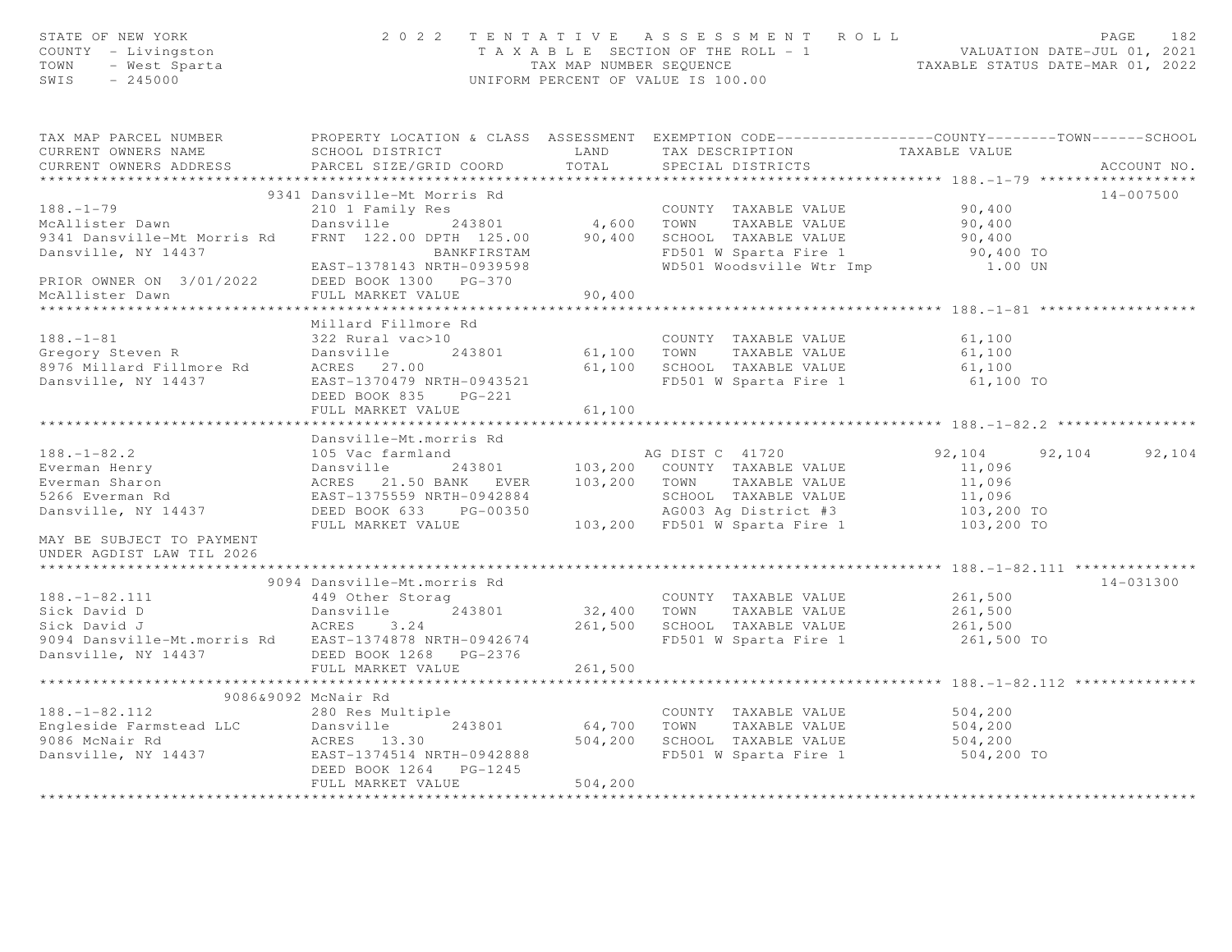| STATE OF NEW YORK<br>COUNTY - Livingston<br>TOWN - West Sparta<br>SWIS - 245000                                                                                                                                                                                                      |                                                                                                                                                                                                                                                                       |          | UNIFORM PERCENT OF VALUE IS 100.00                                 |                                  |                      |
|--------------------------------------------------------------------------------------------------------------------------------------------------------------------------------------------------------------------------------------------------------------------------------------|-----------------------------------------------------------------------------------------------------------------------------------------------------------------------------------------------------------------------------------------------------------------------|----------|--------------------------------------------------------------------|----------------------------------|----------------------|
| TAX MAP PARCEL NUMBER<br>CURRENT OWNERS NAME<br>CURRENT OWNERS ADDRESS                                                                                                                                                                                                               | PROPERTY LOCATION & CLASS ASSESSMENT EXEMPTION CODE----------------COUNTY-------TOWN------SCHOOL<br>PARCEL SIZE/GRID COORD                                                                                                                                            | TOTAL    | SPECIAL DISTRICTS                                                  |                                  | ACCOUNT NO.          |
| $188. - 1 - 79$<br>McAllister Dawn<br>9341 Dansville-Mt Morris Rd<br>Dansville, NY 14437                                                                                                                                                                                             | 9341 Dansville-Mt Morris Rd<br>210 1 Family Res<br>Dansville 243801 4,600 TOWN TAXABLE VALUE 90,400<br>FRNT 122.00 DPTH 125.00 90,400 SCHOOL TAXABLE VALUE 90,400<br>BANKFIRSTAM FD501 W Sparta Fire 1 90,400<br>EAST-1378143 NRTH-0939598 WD501 Woodsville Wtr Imp 1 |          |                                                                    | 90,400 TO                        | 14-007500            |
| PRIOR OWNER ON 3/01/2022<br>McAllister Dawn                                                                                                                                                                                                                                          | DEED BOOK 1300 PG-370<br>FULL MARKET VALUE                                                                                                                                                                                                                            | 90,400   |                                                                    | 1.00 UN                          |                      |
| $188. - 1 - 81$<br>Contract of the Contract Cregory Steven R<br>1976 Millard Fillmore Rd 1980 ACRES 27.00<br>Dansville, NY 14437                                                                                                                                                     | Millard Fillmore Rd<br>322 Rural vac>10<br>Dansville<br>EAST-1370479 NRTH-0943521<br>DEED BOOK 835 PG-221<br>FULL MARKET VALUE                                                                                                                                        | 61,100   | 61,100 SCHOOL TAXABLE VALUE 61,100<br>FD501 W Sparta Fire 1 61,100 | 61,100<br>61,100<br>61,100 TO    |                      |
|                                                                                                                                                                                                                                                                                      |                                                                                                                                                                                                                                                                       |          |                                                                    |                                  |                      |
| 188.-1-82.2<br>Everman Henry Dansville 243801<br>Everman Sharon ACRES 21.50 BANK EVER 103,200 COUNTY TAXABLE VALUE 11,096<br>5266 Everman Rd EAST-1375559 NRTH-0942884<br>Dansville, NY 14437 DEED BOOK 633 PG-00350<br>FULL MARKET VALU                                             | Dansville-Mt.morris Rd                                                                                                                                                                                                                                                |          |                                                                    |                                  | 92,104 92,104 92,104 |
| MAY BE SUBJECT TO PAYMENT<br>UNDER AGDIST LAW TIL 2026                                                                                                                                                                                                                               |                                                                                                                                                                                                                                                                       |          |                                                                    |                                  |                      |
| $188. - 1 - 82.111$<br>188.-1-82.111<br>Sick David D Dansville 243801 32,400 TOWN TAXABLE VALUE<br>Sick David J ACRES 3.24 261,500 SCHOOL TAXABLE VALUE<br>9094 Dansville-Mt.morris Rd EAST-1374878 NRTH-0942674 FD501 W Sparta Fire 1<br>Dansville, NY 14437 DEED BOOK 1268 PG-2376 | 9094 Dansville-Mt.morris Rd<br>449 Other Storag                                                                                                                                                                                                                       |          | COUNTY TAXABLE VALUE 261,500                                       | 261,500<br>261,500<br>261,500 TO | 14-031300            |
|                                                                                                                                                                                                                                                                                      | FULL MARKET VALUE 261,500                                                                                                                                                                                                                                             |          | *********************************** 188.-1-82.112 *                |                                  |                      |
| 188.-1-82.112<br>Engleside Farmstead LLC<br>9086 McNair Rd<br>Dansville, NY 14437<br>243801<br>243801<br>243801<br>243801<br>243801<br>243801<br>243801<br>243801<br>243801<br>243801<br>243801<br>243801<br>243802                                                                  | 9086&9092 McNair Rd<br>ACRES 13.30 504,200 SCHOOL TAXABLE VALUE 504,200<br>EAST-1374514 NRTH-0942888 FD501 W Sparta Fire 1 504,200<br>DEED BOOK 1264 PG-1245<br>FULL MARKET VALUE                                                                                     | 504, 200 | COUNTY TAXABLE VALUE 504,200<br>243801 64,700 TOWN TAXABLE VALUE   | 504,200<br>504,200 TO            |                      |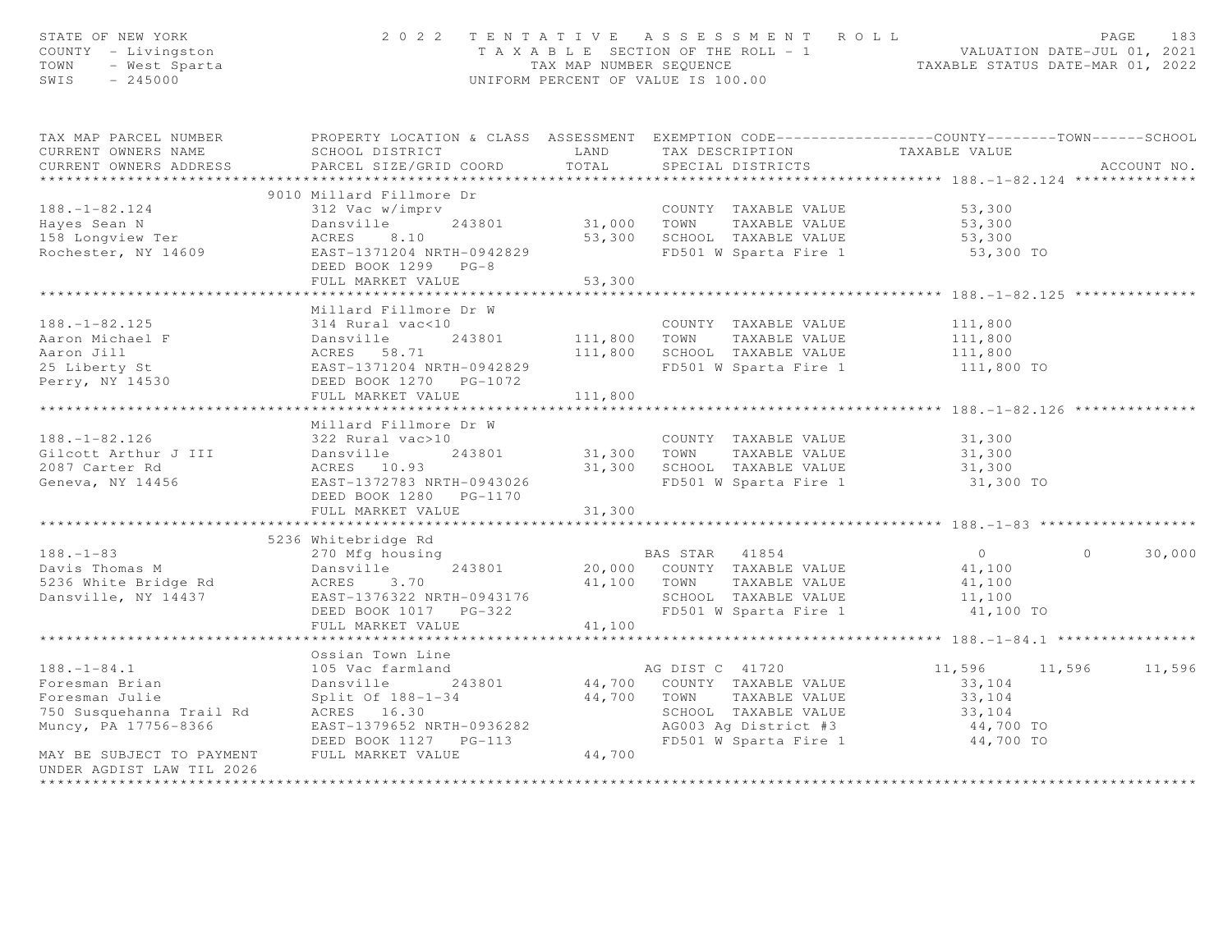| STATE OF NEW YORK<br>COUNTY - Livingston<br>- West Sparta<br>- 245000<br>TOWN<br>SWIS<br>$-245000$         |                                                                                                                                                                      |              | 2022 TENTATIVE ASSESSMENT ROLL<br>UNIFORM PERCENT OF VALUE IS 100.00             |                                                    | PAGE<br>T A X A B L E SECTION OF THE ROLL - 1<br>TA X A B L E SECTION OF THE ROLL - 1<br>TAX MAP NUMBER SEQUENCE TAXABLE STATUS DATE-MAR 01, 2022 |             |  |
|------------------------------------------------------------------------------------------------------------|----------------------------------------------------------------------------------------------------------------------------------------------------------------------|--------------|----------------------------------------------------------------------------------|----------------------------------------------------|---------------------------------------------------------------------------------------------------------------------------------------------------|-------------|--|
| TAX MAP PARCEL NUMBER<br>CURRENT OWNERS NAME<br>CURRENT OWNERS ADDRESS<br>***********************          | PROPERTY LOCATION & CLASS ASSESSMENT EXEMPTION CODE-----------------COUNTY-------TOWN------SCHOOL<br><b>EXAMPLE AND</b><br>SCHOOL DISTRICT<br>PARCEL SIZE/GRID COORD | TOTAL        | TAX DESCRIPTION<br>SPECIAL DISTRICTS                                             | TAXABLE VALUE                                      |                                                                                                                                                   | ACCOUNT NO. |  |
|                                                                                                            |                                                                                                                                                                      |              |                                                                                  |                                                    |                                                                                                                                                   |             |  |
|                                                                                                            | 9010 Millard Fillmore Dr                                                                                                                                             |              |                                                                                  |                                                    |                                                                                                                                                   |             |  |
| $188. - 1 - 82.124$                                                                                        | 312 Vac w/imprv<br>Dansville 243801                                                                                                                                  |              | COUNTY TAXABLE VALUE<br>31,000 TOWN TAXABLE VALUE<br>COUNTY TAXABLE VALUE 53,300 |                                                    |                                                                                                                                                   |             |  |
| Hayes Sean N<br>158 Longview Ter                                                                           | ACRES<br>8.10                                                                                                                                                        |              |                                                                                  | 53,300<br>53,300                                   |                                                                                                                                                   |             |  |
| Rochester, NY 14609                                                                                        | EAST-1371204 NRTH-0942829                                                                                                                                            |              | 53,300 SCHOOL TAXABLE VALUE<br>FD501 W Sparta Fire 1                             | $53,300$ TO                                        |                                                                                                                                                   |             |  |
|                                                                                                            | DEED BOOK 1299 PG-8                                                                                                                                                  |              |                                                                                  |                                                    |                                                                                                                                                   |             |  |
|                                                                                                            | FULL MARKET VALUE                                                                                                                                                    | 53,300       |                                                                                  |                                                    |                                                                                                                                                   |             |  |
|                                                                                                            | ************************                                                                                                                                             | ************ |                                                                                  | ********************************* 188.-1-82.125 ** |                                                                                                                                                   |             |  |
|                                                                                                            | Millard Fillmore Dr W                                                                                                                                                |              |                                                                                  |                                                    |                                                                                                                                                   |             |  |
| $188. - 1 - 82.125$                                                                                        | 314 Rural vac<10                                                                                                                                                     |              | COUNTY TAXABLE VALUE                                                             | 111,800                                            |                                                                                                                                                   |             |  |
|                                                                                                            |                                                                                                                                                                      |              | 111,800 TOWN TAXABLE VALUE                                                       | 111,800                                            |                                                                                                                                                   |             |  |
| 188.-1 JL.<br>Aaron Michael F<br>Aaron Jill                                                                |                                                                                                                                                                      |              | 111,800 SCHOOL TAXABLE VALUE                                                     | 111,800                                            |                                                                                                                                                   |             |  |
| 25 Liberty St                                                                                              | 314 Rufal Vac<10<br>Dansville 243801<br>ACRES 58.71<br>EAST-1371204 NRTH-0942829<br>DEED BOOK 1270 PG-1072                                                           |              | FD501 W Sparta Fire 1                                                            | 111,800 TO                                         |                                                                                                                                                   |             |  |
| Perry, NY 14530                                                                                            |                                                                                                                                                                      |              |                                                                                  |                                                    |                                                                                                                                                   |             |  |
|                                                                                                            | FULL MARKET VALUE                                                                                                                                                    | 111,800      |                                                                                  |                                                    |                                                                                                                                                   |             |  |
|                                                                                                            |                                                                                                                                                                      |              |                                                                                  |                                                    |                                                                                                                                                   |             |  |
|                                                                                                            | Millard Fillmore Dr W                                                                                                                                                |              |                                                                                  |                                                    |                                                                                                                                                   |             |  |
| $188. - 1 - 82.126$                                                                                        | 322 Rural vac>10                                                                                                                                                     |              | COUNTY TAXABLE VALUE                                                             | 31,300                                             |                                                                                                                                                   |             |  |
| Gilcott Arthur J III Dansville                                                                             |                                                                                                                                                                      |              | 243801 31,300 TOWN TAXABLE VALUE                                                 |                                                    |                                                                                                                                                   |             |  |
| 2087 Carter Rd                                                                                             |                                                                                                                                                                      |              | 31,300 SCHOOL TAXABLE VALUE                                                      | 31,300<br>31,300                                   |                                                                                                                                                   |             |  |
| Geneva, NY 14456                                                                                           | 243801<br>ACRES 10.93<br>EAST-1372399<br>EAST-1372783 NRTH-0943026                                                                                                   |              | FD501 W Sparta Fire 1                                                            | 31,300 TO                                          |                                                                                                                                                   |             |  |
|                                                                                                            | DEED BOOK 1280 PG-1170                                                                                                                                               |              |                                                                                  |                                                    |                                                                                                                                                   |             |  |
|                                                                                                            | FULL MARKET VALUE                                                                                                                                                    | 31,300       |                                                                                  |                                                    |                                                                                                                                                   |             |  |
|                                                                                                            |                                                                                                                                                                      |              |                                                                                  | ************* 188.-1-83 *******                    |                                                                                                                                                   |             |  |
|                                                                                                            | 5236 Whitebridge Rd                                                                                                                                                  |              |                                                                                  |                                                    |                                                                                                                                                   |             |  |
| $188. - 1 - 83$                                                                                            | 270 Mfg housing                                                                                                                                                      |              |                                                                                  | $\overline{0}$                                     | $\Omega$                                                                                                                                          | 30,000      |  |
|                                                                                                            | 243801<br>Dansville                                                                                                                                                  |              | BAS STAR 41854<br>20,000 COUNTY TAXABLE VALUE                                    | 41,100                                             |                                                                                                                                                   |             |  |
|                                                                                                            | ACRES 3.70                                                                                                                                                           |              | 41,100 TOWN<br>TAXABLE VALUE                                                     | 41,100                                             |                                                                                                                                                   |             |  |
| Davis Thomas M<br>5236 White Bridge Rd<br>Dansville, NY 14437                                              | EAST-1376322 NRTH-0943176                                                                                                                                            |              | SCHOOL TAXABLE VALUE                                                             | 11,100                                             |                                                                                                                                                   |             |  |
|                                                                                                            | DEED BOOK 1017 PG-322                                                                                                                                                |              | FD501 W Sparta Fire 1                                                            | 41,100 TO                                          |                                                                                                                                                   |             |  |
|                                                                                                            | FULL MARKET VALUE                                                                                                                                                    | 41,100       |                                                                                  |                                                    |                                                                                                                                                   |             |  |
|                                                                                                            |                                                                                                                                                                      |              |                                                                                  |                                                    |                                                                                                                                                   |             |  |
|                                                                                                            | Ossian Town Line                                                                                                                                                     |              |                                                                                  |                                                    |                                                                                                                                                   |             |  |
| $188. - 1 - 84.1$                                                                                          | 105 Vac farmland                                                                                                                                                     |              | AG DIST C 41720                                                                  | 11,596 11,596 11,596                               |                                                                                                                                                   |             |  |
| 188. $-1-\delta$ 4.1<br>Foresman Brian<br>$\begin{array}{c} 1 \\ \text{Total} \\ \text{Total} \end{array}$ | Dansville<br>243801                                                                                                                                                  |              | AG DISI C 41720<br>44,700 COUNTY TAXABLE VALUE                                   | 33,104                                             |                                                                                                                                                   |             |  |
|                                                                                                            |                                                                                                                                                                      |              |                                                                                  | 33,104                                             |                                                                                                                                                   |             |  |
| roresman Julle<br>750 Susquehanna Trail Rd                                                                 | Split Of 188-1-34<br>ACRES 16.30 44,700 TOWN TAXABLE VALUE                                                                                                           |              | SCHOOL TAXABLE VALUE                                                             | $33,104$<br>$33,104$                               |                                                                                                                                                   |             |  |
| Muncy, PA 17756-8366                                                                                       | EAST-1379652 NRTH-0936282                                                                                                                                            |              |                                                                                  |                                                    |                                                                                                                                                   |             |  |
|                                                                                                            | DEED BOOK 1127    PG-113                                                                                                                                             |              | AG003 Ag District #3 44,700 TO<br>FD501 W Sparta Fire 1 44,700 TO                |                                                    |                                                                                                                                                   |             |  |
| MAY BE SUBJECT TO PAYMENT                                                                                  | FULL MARKET VALUE                                                                                                                                                    | 44,700       |                                                                                  |                                                    |                                                                                                                                                   |             |  |
| UNDER AGDIST LAW TIL 2026                                                                                  |                                                                                                                                                                      |              |                                                                                  |                                                    |                                                                                                                                                   |             |  |
| **********************                                                                                     |                                                                                                                                                                      |              |                                                                                  |                                                    |                                                                                                                                                   |             |  |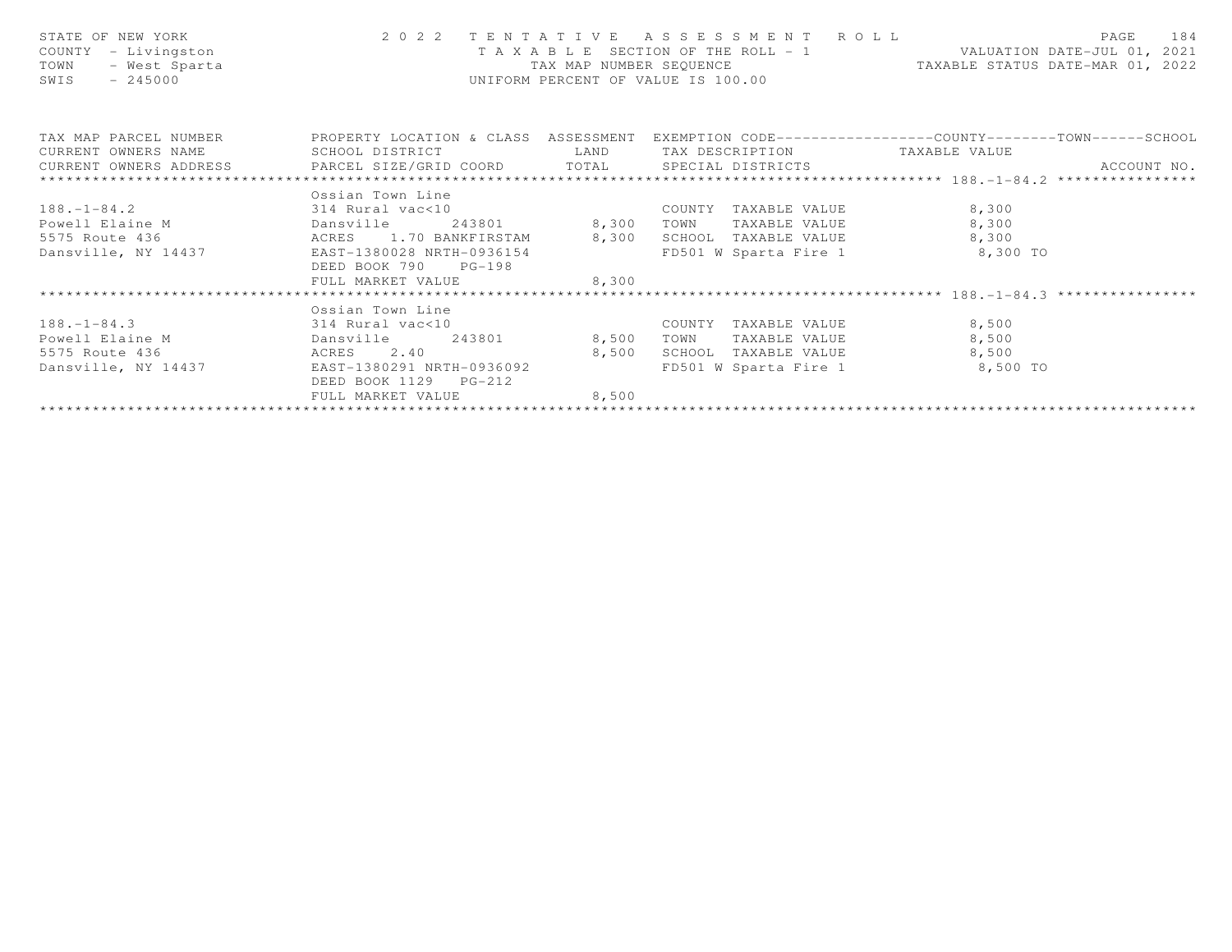| STATE OF NEW YORK<br>COUNTY - Livingston<br>- West Sparta<br>TOWN<br>$-245000$<br>SWIS | 2022 TENTATIVE ASSESSMENT ROLL<br>I A X A B L E SECTION OF THE WARD NOT TAX MAP NUMBER SEQUENCE UNIFORM PERCENT OF VALUE IS 100.00 |       |                                | PAGE<br>184<br>T A X A B L E SECTION OF THE ROLL - 1 VALUATION DATE-JUL 01, 2021<br>TAX MAP NUMBER SEQUENCE TAXABLE STATUS DATE-MAR 01, 2022 |
|----------------------------------------------------------------------------------------|------------------------------------------------------------------------------------------------------------------------------------|-------|--------------------------------|----------------------------------------------------------------------------------------------------------------------------------------------|
|                                                                                        |                                                                                                                                    |       |                                | TAX MAP PARCEL NUMBER THE PROPERTY LOCATION & CLASS ASSESSMENT EXEMPTION CODE---------------COUNTY-------TOWN------SCHOOL                    |
|                                                                                        |                                                                                                                                    |       |                                |                                                                                                                                              |
|                                                                                        |                                                                                                                                    |       |                                |                                                                                                                                              |
|                                                                                        | Ossian Town Line                                                                                                                   |       |                                |                                                                                                                                              |
| $188.-1-84.2$ 314 Rural vac<10                                                         |                                                                                                                                    |       | COUNTY TAXABLE VALUE           | 8,300                                                                                                                                        |
|                                                                                        |                                                                                                                                    |       | TOWN TAXABLE VALUE             | 8,300                                                                                                                                        |
|                                                                                        |                                                                                                                                    |       | SCHOOL TAXABLE VALUE           | 8,300                                                                                                                                        |
|                                                                                        |                                                                                                                                    |       | FD501 W Sparta Fire 1 8,300 TO |                                                                                                                                              |
|                                                                                        | DEED BOOK 790 PG-198                                                                                                               |       |                                |                                                                                                                                              |
|                                                                                        |                                                                                                                                    |       |                                |                                                                                                                                              |
|                                                                                        |                                                                                                                                    |       |                                |                                                                                                                                              |
|                                                                                        | Ossian Town Line                                                                                                                   |       |                                |                                                                                                                                              |
| $188.-1-84.3$ 314 Rural vac<10                                                         |                                                                                                                                    |       | COUNTY TAXABLE VALUE           | 8,500                                                                                                                                        |
| Powell Elaine M                                                                        | Dansville 243801 8,500                                                                                                             |       | TOWN TAXABLE VALUE             | 8,500                                                                                                                                        |
|                                                                                        |                                                                                                                                    |       | SCHOOL TAXABLE VALUE           | 8,500                                                                                                                                        |
|                                                                                        |                                                                                                                                    |       | FD501 W Sparta Fire 1 8,500 TO |                                                                                                                                              |
|                                                                                        | DEED BOOK 1129 PG-212                                                                                                              |       |                                |                                                                                                                                              |
|                                                                                        | FULL MARKET VALUE                                                                                                                  | 8,500 |                                |                                                                                                                                              |
|                                                                                        |                                                                                                                                    |       |                                |                                                                                                                                              |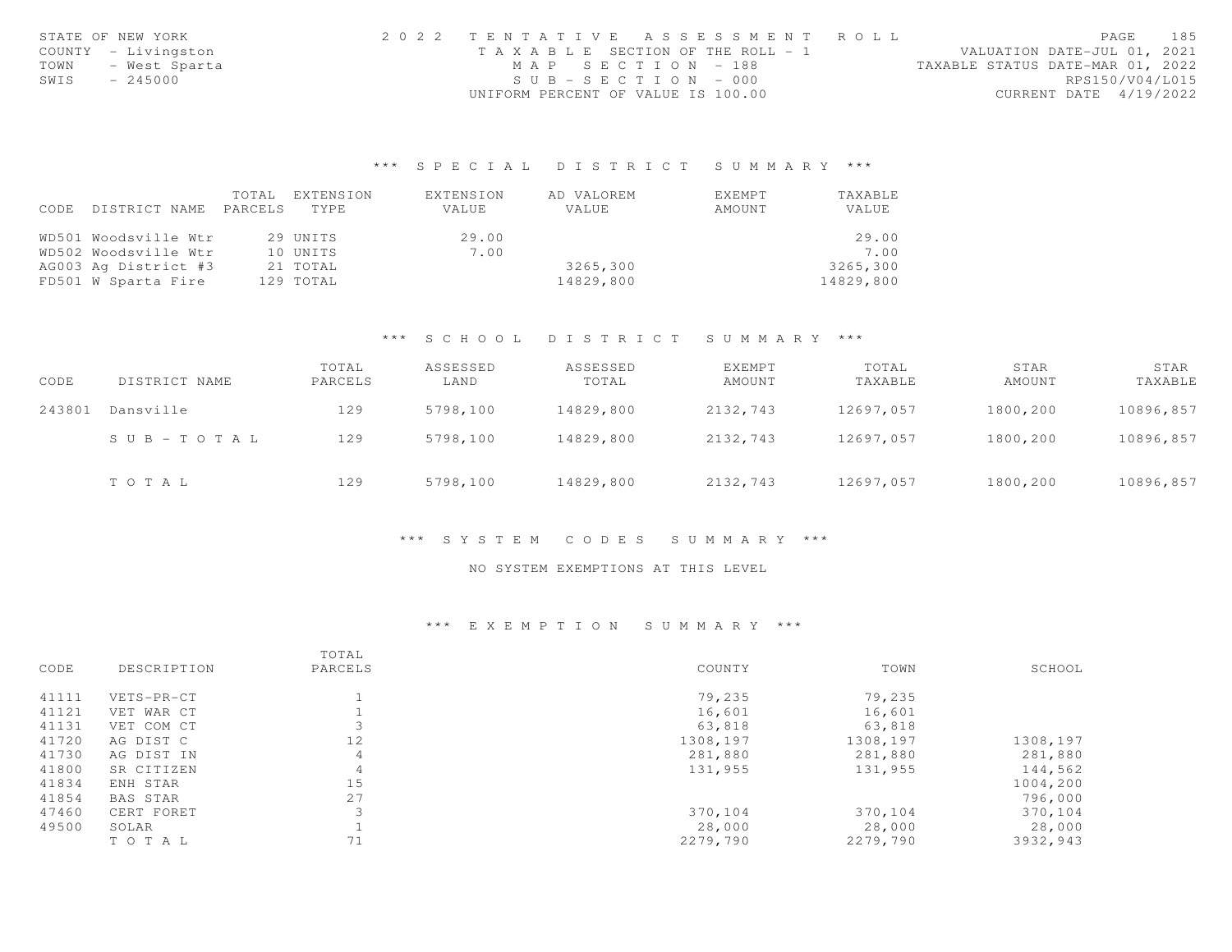|      | STATE OF NEW YORK   | 2022 TENTATIVE ASSESSMENT ROLL        |  |  |                                  | PAGE                   | 185 |
|------|---------------------|---------------------------------------|--|--|----------------------------------|------------------------|-----|
|      | COUNTY - Livingston | T A X A B L E SECTION OF THE ROLL - 1 |  |  | VALUATION DATE-JUL 01, 2021      |                        |     |
| TOWN | - West Sparta       | MAP SECTION - 188                     |  |  | TAXABLE STATUS DATE-MAR 01, 2022 |                        |     |
| SWIS | $-245000$           | $SUB - SECTION - 000$                 |  |  |                                  | RPS150/V04/L015        |     |
|      |                     | UNIFORM PERCENT OF VALUE IS 100.00    |  |  |                                  | CURRENT DATE 4/19/2022 |     |

|      |                      | TOTAL   | EXTENSION | EXTENSION | AD VALOREM | EXEMPT | TAXABLE   |
|------|----------------------|---------|-----------|-----------|------------|--------|-----------|
| CODE | DISTRICT NAME        | PARCELS | TYPE      | VALUE     | VALUE      | AMOUNT | VALUE     |
|      |                      |         |           |           |            |        |           |
|      | WD501 Woodsville Wtr |         | 29 UNITS  | 29.00     |            |        | 29.00     |
|      | WD502 Woodsville Wtr |         | 10 UNITS  | 7.00      |            |        | 7.00      |
|      | AG003 Ag District #3 |         | 21 TOTAL  |           | 3265,300   |        | 3265,300  |
|      | FD501 W Sparta Fire  |         | 129 TOTAL |           | 14829,800  |        | 14829,800 |

# \*\*\* S C H O O L D I S T R I C T S U M M A R Y \*\*\*

| CODE   | DISTRICT NAME         | TOTAL<br>PARCELS | ASSESSED<br>LAND | ASSESSED<br>TOTAL | <b>EXEMPT</b><br>AMOUNT | TOTAL<br>TAXABLE | STAR<br>AMOUNT | STAR<br>TAXABLE |
|--------|-----------------------|------------------|------------------|-------------------|-------------------------|------------------|----------------|-----------------|
| 243801 | Dansville             | 129              | 5798,100         | 14829,800         | 2132,743                | 12697,057        | 1800,200       | 10896,857       |
|        | $S \cup B - TO T A L$ | 129              | 5798,100         | 14829,800         | 2132,743                | 12697.057        | 1800,200       | 10896,857       |
|        | TOTAL                 | 129              | 5798,100         | 14829,800         | 2132,743                | 12697,057        | 1800,200       | 10896,857       |

# \*\*\* S Y S T E M C O D E S S U M M A R Y \*\*\*

#### NO SYSTEM EXEMPTIONS AT THIS LEVEL

#### \*\*\* E X E M P T I O N S U M M A R Y \*\*\*

|       |                 | TOTAL   |          |          |          |
|-------|-----------------|---------|----------|----------|----------|
| CODE  | DESCRIPTION     | PARCELS | COUNTY   | TOWN     | SCHOOL   |
| 41111 | VETS-PR-CT      |         | 79,235   | 79,235   |          |
| 41121 | VET WAR CT      |         | 16,601   | 16,601   |          |
| 41131 | VET COM CT      |         | 63,818   | 63,818   |          |
| 41720 | AG DIST C       | 12      | 1308,197 | 1308,197 | 1308,197 |
| 41730 | AG DIST IN      | 4       | 281,880  | 281,880  | 281,880  |
| 41800 | SR CITIZEN      | 4       | 131,955  | 131,955  | 144,562  |
| 41834 | ENH STAR        | 15      |          |          | 1004,200 |
| 41854 | <b>BAS STAR</b> | 27      |          |          | 796,000  |
| 47460 | CERT FORET      | 3       | 370,104  | 370,104  | 370,104  |
| 49500 | SOLAR           |         | 28,000   | 28,000   | 28,000   |
|       | TO TAL          | 71      | 2279,790 | 2279,790 | 3932,943 |
|       |                 |         |          |          |          |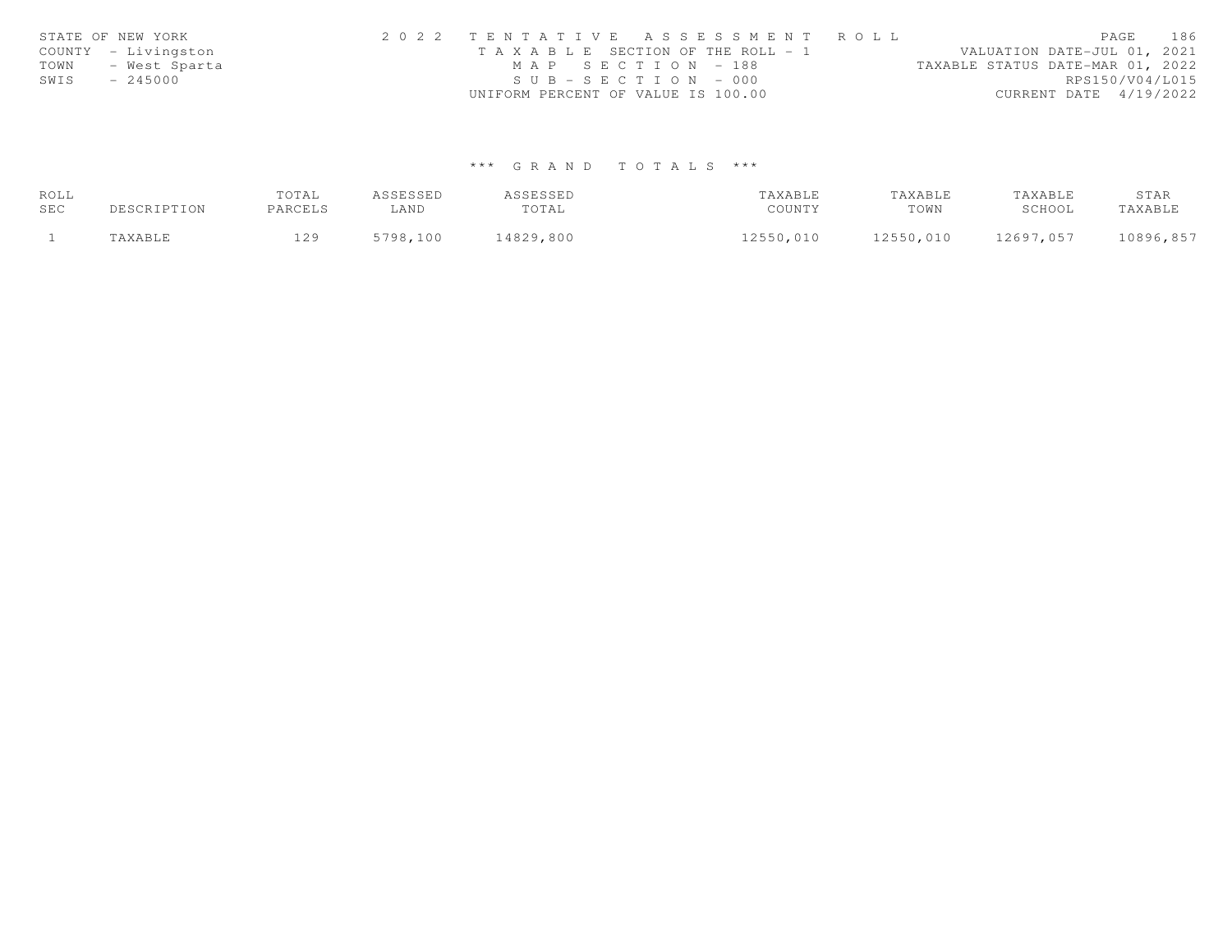|      | STATE OF NEW YORK   | 2022 TENTATIVE ASSESSMENT ROLL        |  |                                  | PAGE                   | 186 |
|------|---------------------|---------------------------------------|--|----------------------------------|------------------------|-----|
|      | COUNTY - Livingston | T A X A B L E SECTION OF THE ROLL - 1 |  | VALUATION DATE-JUL 01, 2021      |                        |     |
| TOWN | - West Sparta       | MAP SECTION = 188                     |  | TAXABLE STATUS DATE-MAR 01, 2022 |                        |     |
| SWIS | - 245000            | $SUB - SECTION - 000$                 |  |                                  | RPS150/V04/L015        |     |
|      |                     | UNIFORM PERCENT OF VALUE IS 100.00    |  |                                  | CURRENT DATE 4/19/2022 |     |

| ROLL |             | TOTAL   | ASSESSED | ASSESSED  | TAXABLE   | TAXABLE   | TAXABLE   | STAR      |
|------|-------------|---------|----------|-----------|-----------|-----------|-----------|-----------|
| SEC  | DESCRIPTION | PARCELS | LAND     | TOTAL     | COUNTY    | TOWN      | SCHOOL    | TAXABLE   |
|      | TAXABLE     | 129     | 5798,100 | 14829,800 | 12550,010 | 12550,010 | 12697,057 | 10896,857 |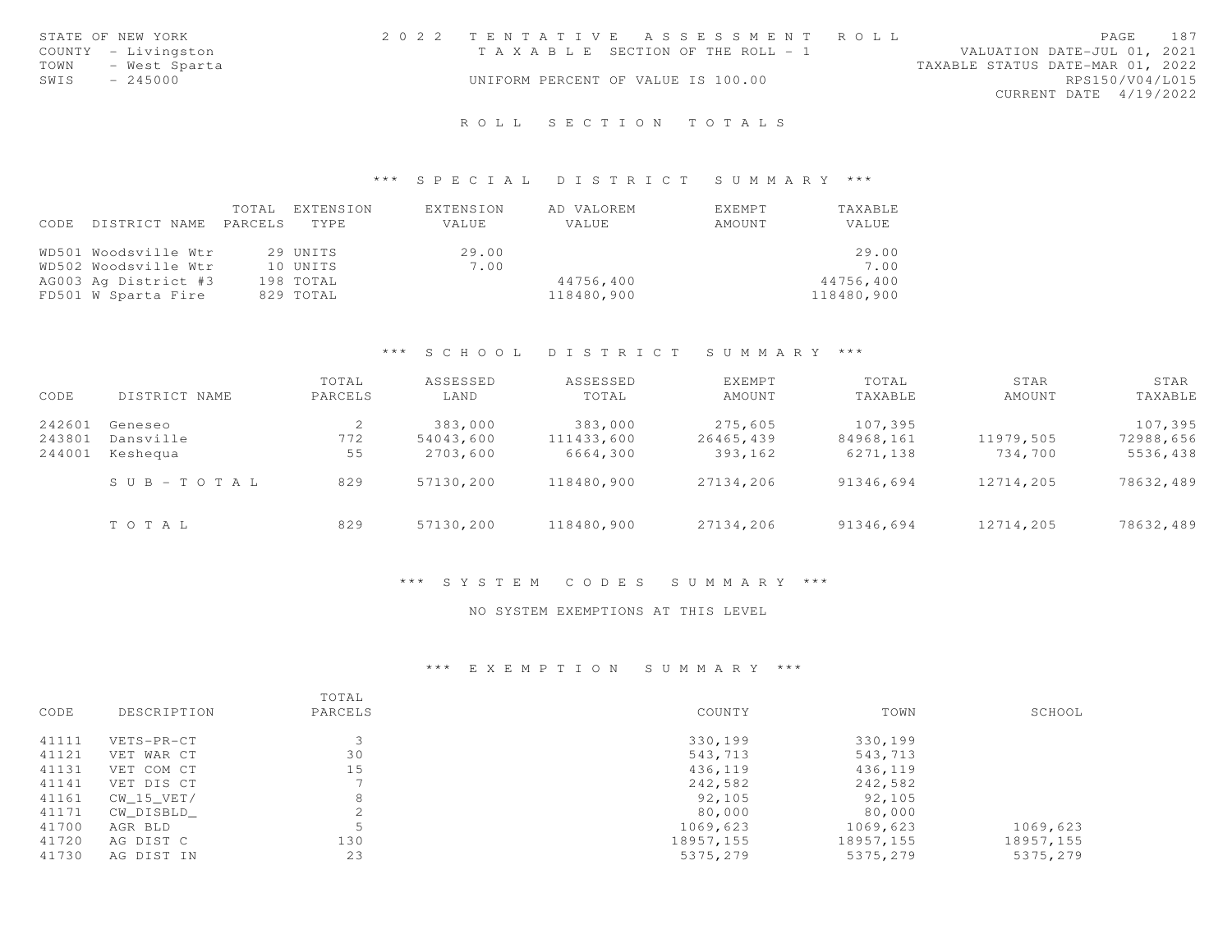|      | STATE OF NEW YORK   | 2022 TENTATIVE ASSESSMENT ROLL        |  |                                  |                        | PAGE | 187 |
|------|---------------------|---------------------------------------|--|----------------------------------|------------------------|------|-----|
|      | COUNTY - Livingston | T A X A B L E SECTION OF THE ROLL - 1 |  | VALUATION DATE-JUL 01, 2021      |                        |      |     |
| TOWN | - West Sparta       |                                       |  | TAXABLE STATUS DATE-MAR 01, 2022 |                        |      |     |
| SWIS | $-245000$           | UNIFORM PERCENT OF VALUE IS 100.00    |  |                                  | RPS150/V04/L015        |      |     |
|      |                     |                                       |  |                                  | CURRENT DATE 4/19/2022 |      |     |
|      |                     |                                       |  |                                  |                        |      |     |

# \*\*\* S P E C I A L D I S T R I C T S U M M A R Y \*\*\*

|      |                       | TOTAL | EXTENSION | EXTENSION | AD VALOREM | EXEMPT | TAXABLE    |
|------|-----------------------|-------|-----------|-----------|------------|--------|------------|
| CODE | DISTRICT NAME PARCELS |       | TYPE      | VALUE     | VALUE      | AMOUNT | VALUE      |
|      |                       |       |           |           |            |        |            |
|      | WD501 Woodsville Wtr  |       | 29 UNITS  | 29.00     |            |        | 29.00      |
|      | WD502 Woodsville Wtr  |       | 10 UNITS  | 7.00      |            |        | 7.00       |
|      | AG003 Ag District #3  |       | 198 TOTAL |           | 44756,400  |        | 44756,400  |
|      | FD501 W Sparta Fire   |       | 829 TOTAL |           | 118480,900 |        | 118480,900 |

#### \*\*\* S C H O O L D I S T R I C T S U M M A R Y \*\*\*

| CODE   | DISTRICT NAME             | TOTAL<br>PARCELS | ASSESSED<br>LAND | ASSESSED<br>TOTAL | <b>EXEMPT</b><br>AMOUNT | TOTAL<br>TAXABLE | STAR<br>AMOUNT | STAR<br>TAXABLE |
|--------|---------------------------|------------------|------------------|-------------------|-------------------------|------------------|----------------|-----------------|
| 242601 | Geneseo                   |                  | 383,000          | 383,000           | 275,605                 | 107,395          |                | 107,395         |
| 243801 | Dansville                 | 772              | 54043,600        | 111433,600        | 26465,439               | 84968,161        | 11979,505      | 72988,656       |
| 244001 | Keshequa                  | 55               | 2703,600         | 6664,300          | 393,162                 | 6271,138         | 734,700        | 5536,438        |
|        | $S \cup B = T \cup T A L$ | 829              | 57130,200        | 118480,900        | 27134,206               | 91346,694        | 12714,205      | 78632,489       |
|        | TOTAL                     | 829              | 57130,200        | 118480,900        | 27134,206               | 91346,694        | 12714,205      | 78632,489       |

# \*\*\* S Y S T E M C O D E S S U M M A R Y \*\*\*

# NO SYSTEM EXEMPTIONS AT THIS LEVEL

# \*\*\* E X E M P T I O N S U M M A R Y \*\*\*

| CODE  | DESCRIPTION | TOTAL<br>PARCELS | COUNTY     | TOWN       | SCHOOL     |
|-------|-------------|------------------|------------|------------|------------|
| 41111 | VETS-PR-CT  |                  | 330,199    | 330,199    |            |
| 41121 | VET WAR CT  | 30               | 543,713    | 543,713    |            |
| 41131 | VET COM CT  | 15               | 436,119    | 436,119    |            |
| 41141 | VET DIS CT  |                  | 242,582    | 242,582    |            |
| 41161 | CW 15 VET/  | 8                | 92,105     | 92,105     |            |
| 41171 | CW DISBLD   | 2                | 80,000     | 80,000     |            |
| 41700 | AGR BLD     | Б                | 1069,623   | 1069,623   | 1069,623   |
| 41720 | AG DIST C   | 130              | 18957, 155 | 18957, 155 | 18957, 155 |
| 41730 | AG DIST IN  | 23               | 5375,279   | 5375,279   | 5375,279   |
|       |             |                  |            |            |            |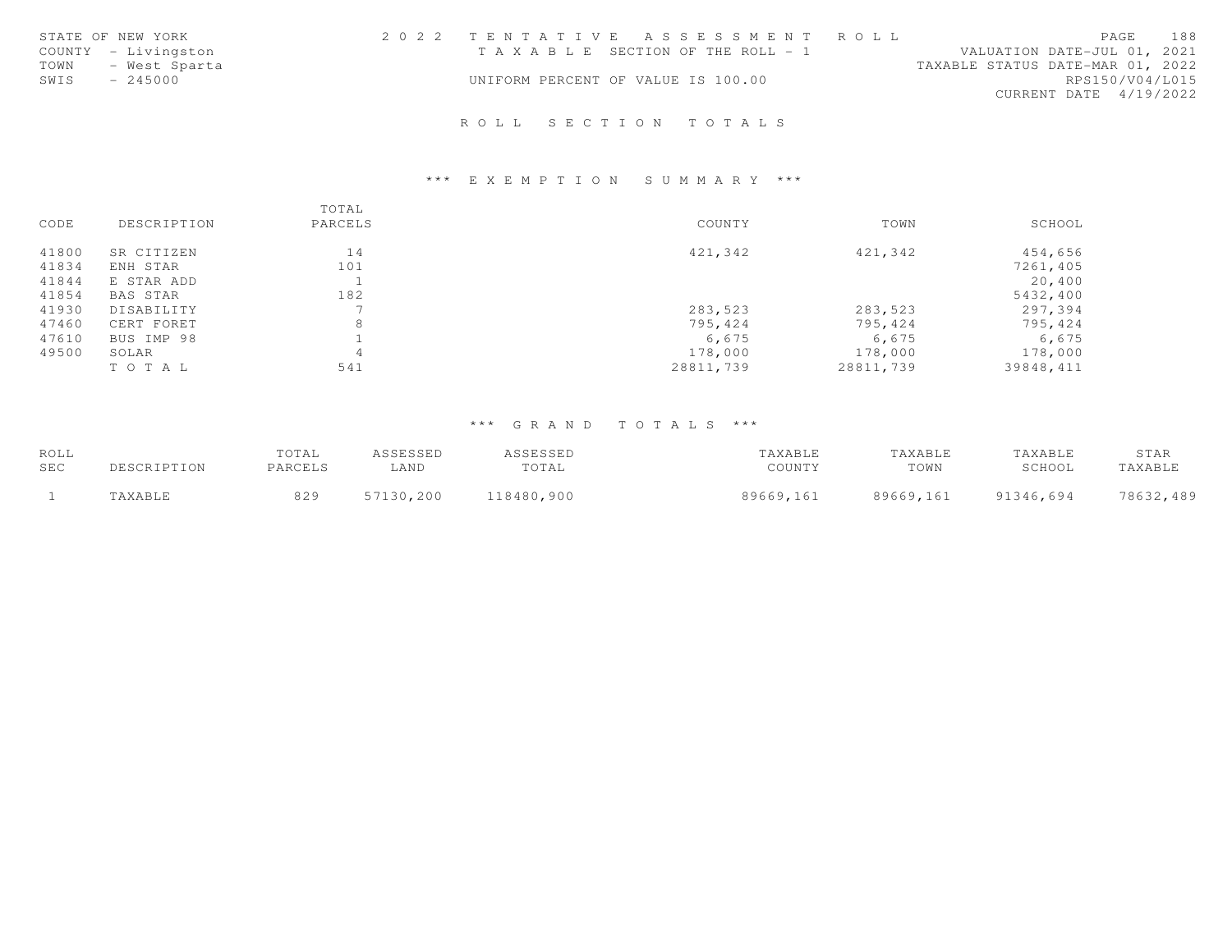| STATE OF NEW YORK     | 2022 TENTATIVE ASSESSMENT ROLL        | <b>PAGE</b>                 | 188             |
|-----------------------|---------------------------------------|-----------------------------|-----------------|
| COUNTY - Livingston   | T A X A B L E SECTION OF THE ROLL - 1 | VALUATION DATE-JUL 01, 2021 |                 |
| TOWN<br>- West Sparta | TAXABLE STATUS DATE-MAR 01, 2022      |                             |                 |
| SWIS<br>$-245000$     | UNIFORM PERCENT OF VALUE IS 100.00    |                             | RPS150/V04/L015 |
|                       |                                       | CURRENT DATE 4/19/2022      |                 |
|                       |                                       |                             |                 |

# \*\*\* E X E M P T I O N S U M M A R Y \*\*\*

|       |             | TOTAL   |           |           |           |
|-------|-------------|---------|-----------|-----------|-----------|
| CODE  | DESCRIPTION | PARCELS | COUNTY    | TOWN      | SCHOOL    |
| 41800 | SR CITIZEN  | 14      | 421,342   | 421,342   | 454,656   |
| 41834 | ENH STAR    | 101     |           |           | 7261,405  |
| 41844 | E STAR ADD  |         |           |           | 20,400    |
| 41854 | BAS STAR    | 182     |           |           | 5432,400  |
| 41930 | DISABILITY  |         | 283,523   | 283,523   | 297,394   |
| 47460 | CERT FORET  | 8       | 795,424   | 795,424   | 795,424   |
| 47610 | BUS IMP 98  |         | 6,675     | 6,675     | 6,675     |
| 49500 | SOLAR       | 4       | 178,000   | 178,000   | 178,000   |
|       | TO TAL      | 541     | 28811,739 | 28811,739 | 39848,411 |

| ROLL |             | TOTAL   | ASSESSED  | ASSESSED   | TAXABLE   | TAXABLE   | TAXABLE   | STAR      |
|------|-------------|---------|-----------|------------|-----------|-----------|-----------|-----------|
| SEC  | DESCRIPTION | PARCELS | ∟AND      | TOTAL      | COUNTY    | TOWN      | SCHOOL    | TAXABLE   |
|      | TAXABLE     | 829     | 57130,200 | 118480,900 | 89669,161 | 89669,161 | 91346,694 | 78632,489 |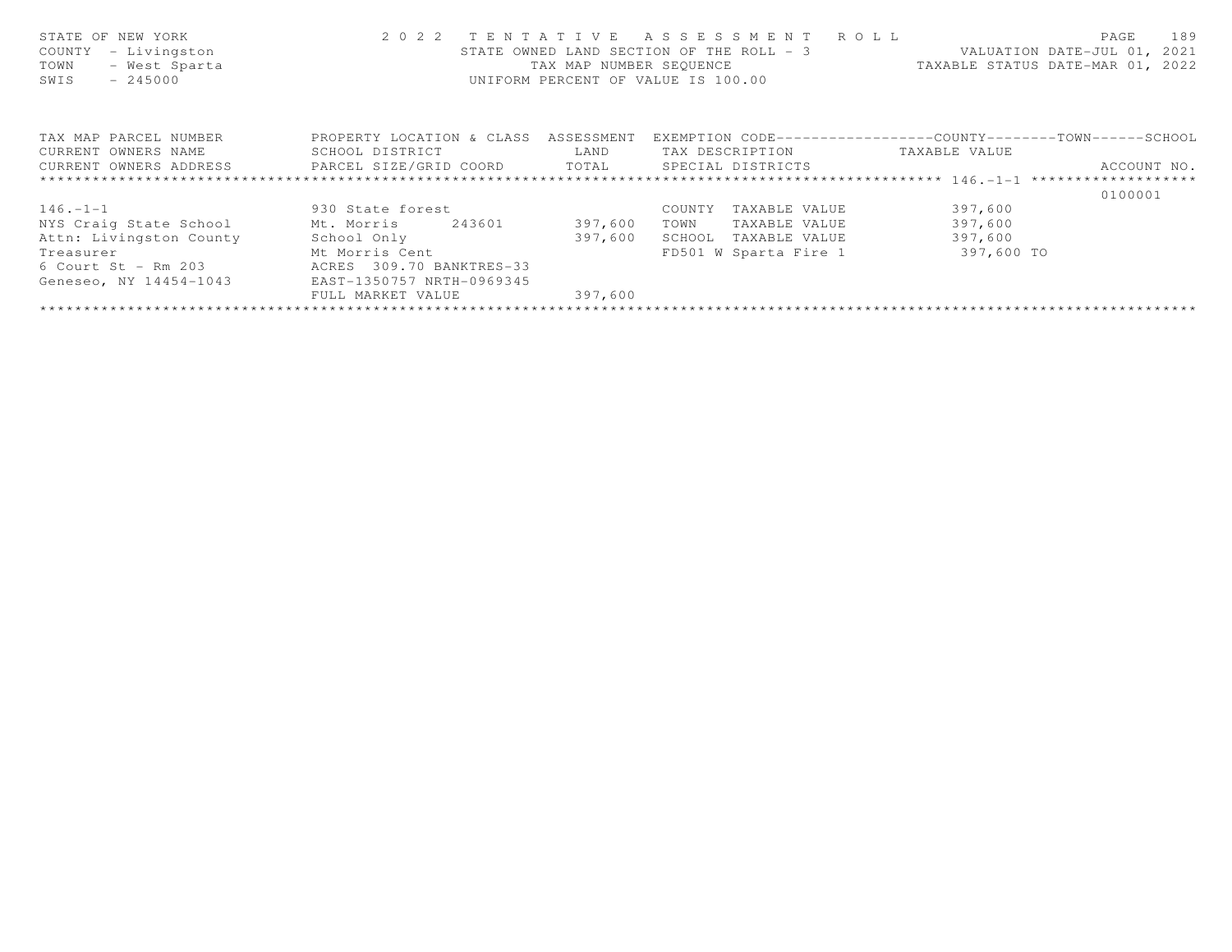| STATE OF NEW YORK<br>- Livingston<br>COUNTY<br>- West Sparta<br>TOWN<br>SWIS<br>$-245000$ | 2 0 2 2                              | TENTATIVE<br>TAX MAP NUMBER SEOUENCE | R O L L<br>A S S E S S M E N T<br>STATE OWNED LAND SECTION OF THE ROLL - 3<br>UNIFORM PERCENT OF VALUE IS 100.00 | VALUATION DATE-JUL 01, 2021<br>TAXABLE STATUS DATE-MAR 01, 2022 | 189<br>PAGE |
|-------------------------------------------------------------------------------------------|--------------------------------------|--------------------------------------|------------------------------------------------------------------------------------------------------------------|-----------------------------------------------------------------|-------------|
| TAX MAP PARCEL NUMBER                                                                     | PROPERTY LOCATION & CLASS ASSESSMENT |                                      | EXEMPTION CODE-----------------COUNTY-------TOWN-----SCHOOL                                                      |                                                                 |             |
| CURRENT OWNERS NAME                                                                       | SCHOOL DISTRICT                      | LAND                                 | TAX DESCRIPTION                                                                                                  | TAXABLE VALUE                                                   |             |
| CURRENT OWNERS ADDRESS                                                                    | PARCEL SIZE/GRID COORD               |                                      | TOTAL SPECIAL DISTRICTS                                                                                          |                                                                 | ACCOUNT NO. |
|                                                                                           |                                      |                                      |                                                                                                                  |                                                                 |             |
|                                                                                           |                                      |                                      |                                                                                                                  |                                                                 | 0100001     |
| $146. - 1 - 1$                                                                            | 930 State forest                     |                                      | COUNTY<br>TAXABLE VALUE                                                                                          | 397,600                                                         |             |
| NYS Craig State School Mt. Morris 243601                                                  |                                      | 397,600                              | TOWN<br>TAXABLE VALUE                                                                                            | 397,600                                                         |             |
| Attn: Livingston County                                                                   | School Only                          | 397,600                              | SCHOOL<br>TAXABLE VALUE                                                                                          | 397,600                                                         |             |
| Treasurer                                                                                 | Mt Morris Cent                       |                                      | FD501 W Sparta Fire 1                                                                                            | 397,600 TO                                                      |             |
| $6$ Court St - Rm 203                                                                     | ACRES 309.70 BANKTRES-33             |                                      |                                                                                                                  |                                                                 |             |
| Geneseo, NY 14454-1043                                                                    | EAST-1350757 NRTH-0969345            |                                      |                                                                                                                  |                                                                 |             |
|                                                                                           | FULL MARKET VALUE                    | 397,600                              |                                                                                                                  |                                                                 |             |
|                                                                                           |                                      |                                      |                                                                                                                  |                                                                 |             |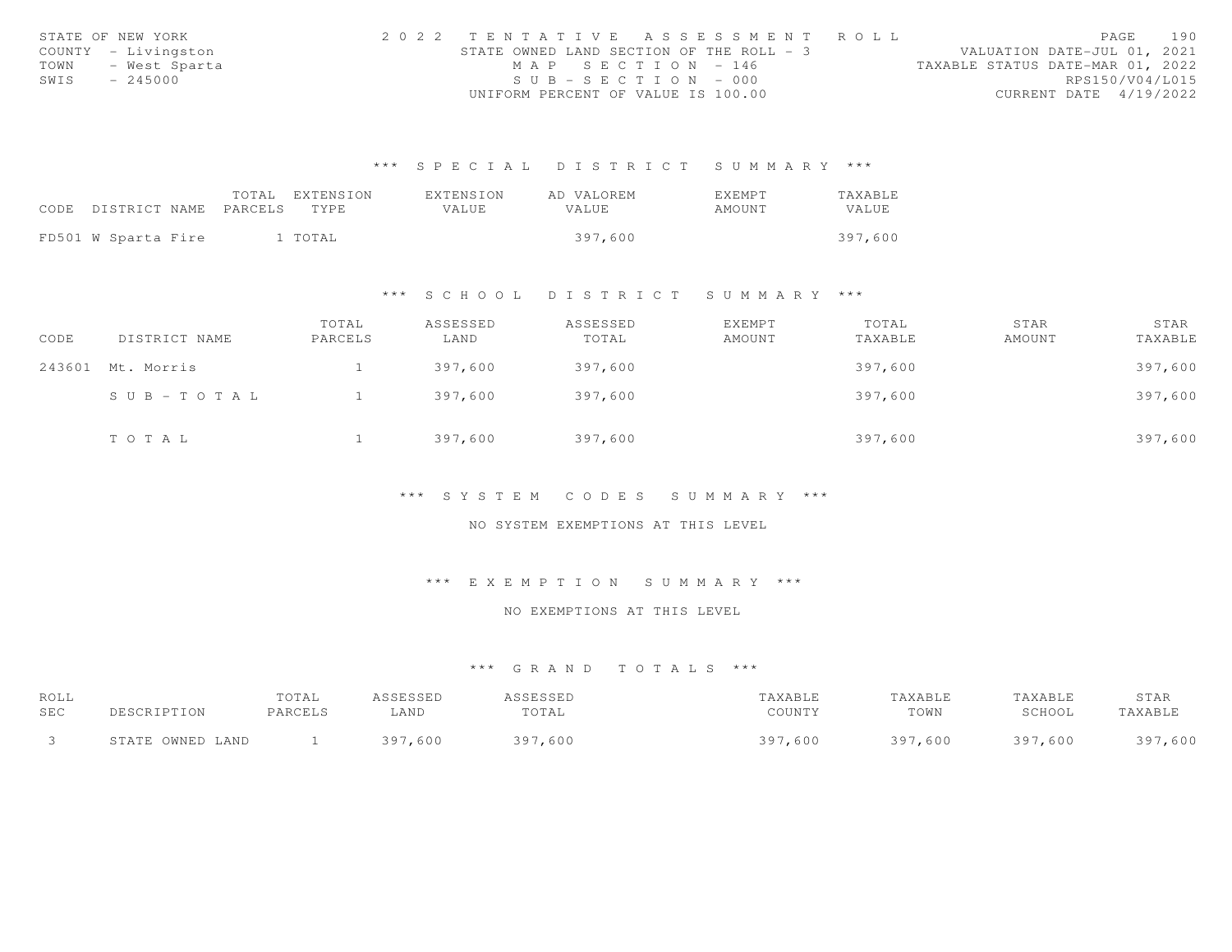|      | STATE OF NEW YORK   |                                          |                       | 2022 TENTATIVE ASSESSMENT ROLL |                                  | PAGE                   | 190 |
|------|---------------------|------------------------------------------|-----------------------|--------------------------------|----------------------------------|------------------------|-----|
|      | COUNTY - Livingston | STATE OWNED LAND SECTION OF THE ROLL - 3 |                       |                                | VALUATION DATE-JUL 01, 2021      |                        |     |
| TOWN | - West Sparta       |                                          | MAP SECTION - 146     |                                | TAXABLE STATUS DATE-MAR 01, 2022 |                        |     |
| SWIS | $-245000$           |                                          | $SUB - SECTION - 000$ |                                |                                  | RPS150/V04/L015        |     |
|      |                     | UNIFORM PERCENT OF VALUE IS 100.00       |                       |                                |                                  | CURRENT DATE 4/19/2022 |     |

|                            | TOTAL | EXTENSION | EXTENSION    | AD VALOREM   | EXEMPT | <b>TAXABLE</b> |
|----------------------------|-------|-----------|--------------|--------------|--------|----------------|
| CODE DISTRICT NAME PARCELS |       | TYPE.     | <b>VALUE</b> | <b>VALUE</b> | AMOUNT | VALUE          |
|                            |       |           |              |              |        |                |
| FD501 W Sparta Fire        |       | 1 TOTAL   |              | 397,600      |        | 397,600        |

#### \*\*\* S C H O O L D I S T R I C T S U M M A R Y \*\*\*

| CODE | DISTRICT NAME     | TOTAL<br>PARCELS | ASSESSED<br>LAND | ASSESSED<br>TOTAL | <b>EXEMPT</b><br>AMOUNT | TOTAL<br>TAXABLE | STAR<br>AMOUNT | STAR<br>TAXABLE |
|------|-------------------|------------------|------------------|-------------------|-------------------------|------------------|----------------|-----------------|
|      | 243601 Mt. Morris |                  | 397,600          | 397,600           |                         | 397,600          |                | 397,600         |
|      | SUB-TOTAL         |                  | 397,600          | 397,600           |                         | 397,600          |                | 397,600         |
|      | TOTAL             |                  | 397,600          | 397,600           |                         | 397,600          |                | 397,600         |

#### \*\*\* S Y S T E M C O D E S S U M M A R Y \*\*\*

#### NO SYSTEM EXEMPTIONS AT THIS LEVEL

# \*\*\* E X E M P T I O N S U M M A R Y \*\*\*

# NO EXEMPTIONS AT THIS LEVEL

| ROLL<br>SEC | DESCRIPTION      | TOTAL<br>PARCELS | ASSESSED<br>LAND | ASSESSED<br>TOTAL | TAXABLE<br>COUNTY | TAXABLE<br>TOWN | TAXABLE<br>SCHOOL | STAR<br>TAXABLE |
|-------------|------------------|------------------|------------------|-------------------|-------------------|-----------------|-------------------|-----------------|
|             | STATE OWNED LAND |                  | 397,600          | 397,600           | 397,600           | 397<br>7,600    | 397,600           | 397,600         |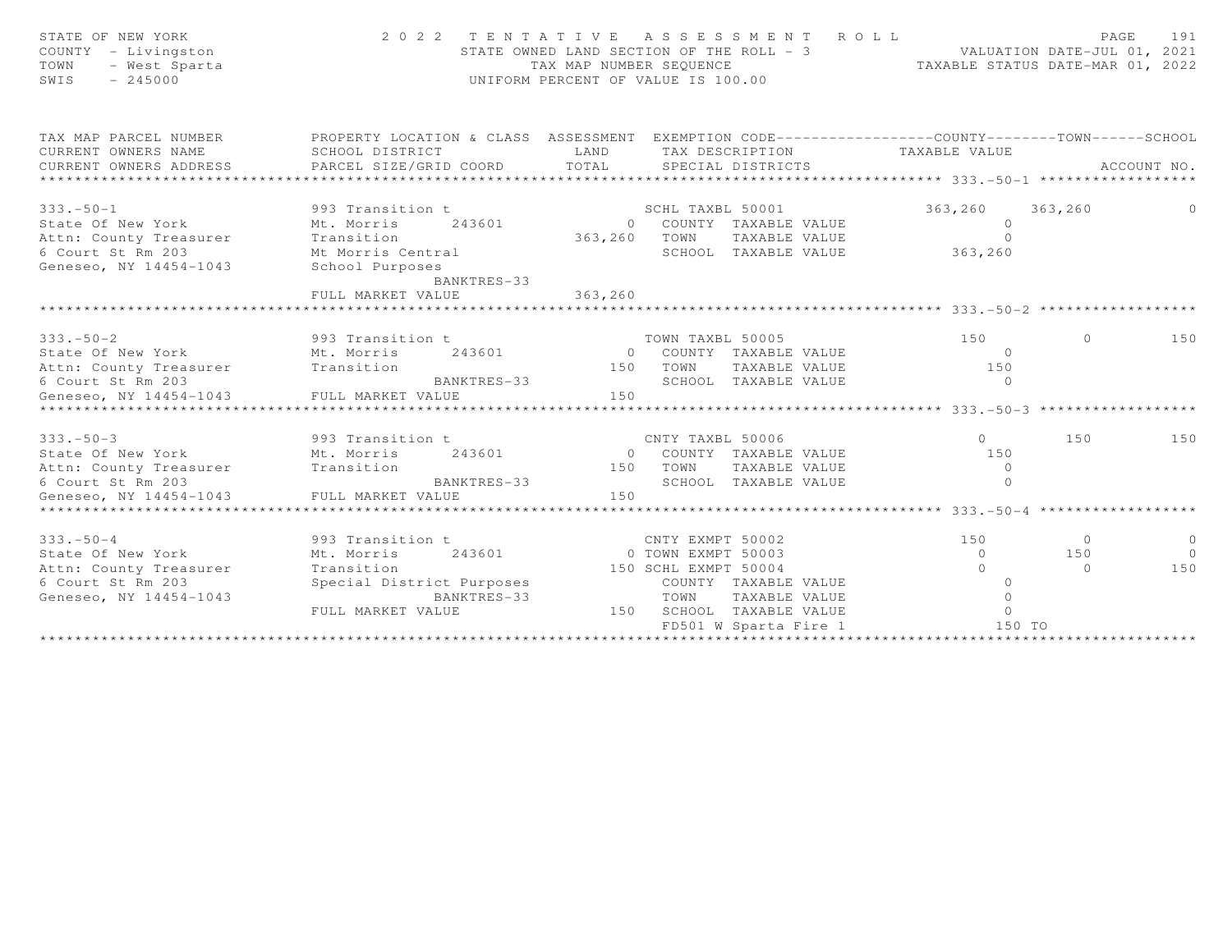| STATE OF NEW YORK<br>COUNTY - Livingston<br>- West Sparta<br>TOWN<br>$-245000$<br>SWIS | 2022 TENTATIVE ASSESSMENT ROLL                                                                                                                       | TAX MAP NUMBER SEQUENCE | STATE OWNED LAND SECTION OF THE ROLL - 3<br>UNIFORM PERCENT OF VALUE IS 100.00 |                      | VALUATION DATE-JUL 01, 2021<br>TAXABLE STATUS DATE-MAR 01, 2022 | PAGE     | 191         |
|----------------------------------------------------------------------------------------|------------------------------------------------------------------------------------------------------------------------------------------------------|-------------------------|--------------------------------------------------------------------------------|----------------------|-----------------------------------------------------------------|----------|-------------|
| TAX MAP PARCEL NUMBER<br>CURRENT OWNERS NAME<br>CURRENT OWNERS ADDRESS                 | PROPERTY LOCATION & CLASS ASSESSMENT EXEMPTION CODE-----------------COUNTY-------TOWN------SCHOOL<br>SCHOOL DISTRICT<br>PARCEL SIZE/GRID COORD TOTAL | LAND                    | SPECIAL DISTRICTS                                                              |                      | TAX DESCRIPTION TAXABLE VALUE                                   |          | ACCOUNT NO. |
| $333. - 50 - 1$                                                                        | 993 Transition t                                                                                                                                     |                         | SCHL TAXBL 50001                                                               |                      | 363,260                                                         | 363,260  |             |
|                                                                                        | State Of New York Mt. Morris 243601                                                                                                                  |                         | 0 COUNTY TAXABLE VALUE                                                         |                      | $\overline{0}$                                                  |          |             |
| Attn: County Treasurer                                                                 |                                                                                                                                                      |                         | 363,260 TOWN TAXABLE VALUE                                                     |                      | $\Omega$                                                        |          |             |
| 6 Court St Rm 203                                                                      | Transition<br>Mt Morris Central                                                                                                                      |                         |                                                                                | SCHOOL TAXABLE VALUE | 363,260                                                         |          |             |
| Geneseo, NY 14454-1043                                                                 | School Purposes<br>BANKTRES-33                                                                                                                       |                         |                                                                                |                      |                                                                 |          |             |
|                                                                                        | FULL MARKET VALUE                                                                                                                                    | 363, 260                |                                                                                |                      |                                                                 |          |             |
|                                                                                        |                                                                                                                                                      |                         |                                                                                |                      |                                                                 |          |             |
|                                                                                        |                                                                                                                                                      |                         |                                                                                |                      |                                                                 |          |             |
| $333 - 50 - 2$                                                                         | 993 Transition t<br>243601                                                                                                                           |                         | TOWN TAXBL 50005<br>0 COUNTY TAXABLE VALUE                                     |                      | 150<br>$\Omega$                                                 | $\circ$  | 150         |
| Attn: County Treasurer Transition                                                      |                                                                                                                                                      | 150                     |                                                                                | TOWN TAXABLE VALUE   | 150                                                             |          |             |
| 6 Court St Rm 203                                                                      | BANKTRES-33                                                                                                                                          |                         | SCHOOL TAXABLE VALUE                                                           |                      | $\Omega$                                                        |          |             |
| Geneseo, NY 14454-1043                                                                 | FULL MARKET VALUE                                                                                                                                    | 150                     |                                                                                |                      |                                                                 |          |             |
|                                                                                        |                                                                                                                                                      |                         |                                                                                |                      |                                                                 |          |             |
|                                                                                        |                                                                                                                                                      |                         |                                                                                |                      |                                                                 |          |             |
| $333. - 50 - 3$                                                                        | 993 Transition t                                                                                                                                     |                         | CNTY TAXBL 50006                                                               |                      | $\Omega$                                                        | 150      | 150         |
| State Of New York                                                                      | Mt. Morris<br>243601                                                                                                                                 |                         | 0 COUNTY TAXABLE VALUE                                                         |                      | 150                                                             |          |             |
| Attn: County Treasurer Transition                                                      |                                                                                                                                                      |                         | 150 TOWN TAXABLE VALUE                                                         |                      | $\overline{0}$                                                  |          |             |
| 6 Court St Rm 203                                                                      | BANKTRES-33                                                                                                                                          |                         | SCHOOL TAXABLE VALUE                                                           |                      | $\Omega$                                                        |          |             |
| Geneseo, NY 14454-1043                                                                 | FULL MARKET VALUE                                                                                                                                    | 150                     |                                                                                |                      |                                                                 |          |             |
|                                                                                        |                                                                                                                                                      |                         |                                                                                |                      |                                                                 |          |             |
| $333. - 50 - 4$                                                                        | 993 Transition t                                                                                                                                     |                         | CNTY EXMPT 50002                                                               |                      | 150                                                             | $\circ$  | $\circ$     |
| State Of New York                                                                      | Mt. Morris 243601                                                                                                                                    |                         | 0 TOWN EXMPT 50003                                                             |                      | $\Omega$                                                        | 150      | $\bigcirc$  |
| Attn: County Treasurer                                                                 | Transition                                                                                                                                           |                         | 150 SCHL EXMPT 50004                                                           |                      | $\cap$                                                          | $\Omega$ | 150         |
| 6 Court St Rm 203                                                                      | Special District Purposes                                                                                                                            |                         | COUNTY TAXABLE VALUE                                                           |                      | $\Omega$                                                        |          |             |
| Geneseo, NY 14454-1043                                                                 | BANKTRES-33                                                                                                                                          |                         | TOWN                                                                           | TAXABLE VALUE        | $\Omega$                                                        |          |             |
|                                                                                        | FULL MARKET VALUE                                                                                                                                    |                         | 150 SCHOOL TAXABLE VALUE                                                       |                      | $\Omega$                                                        |          |             |
|                                                                                        |                                                                                                                                                      |                         | FD501 W Sparta Fire 1                                                          |                      | 150 TO                                                          |          |             |
|                                                                                        |                                                                                                                                                      |                         |                                                                                |                      |                                                                 |          |             |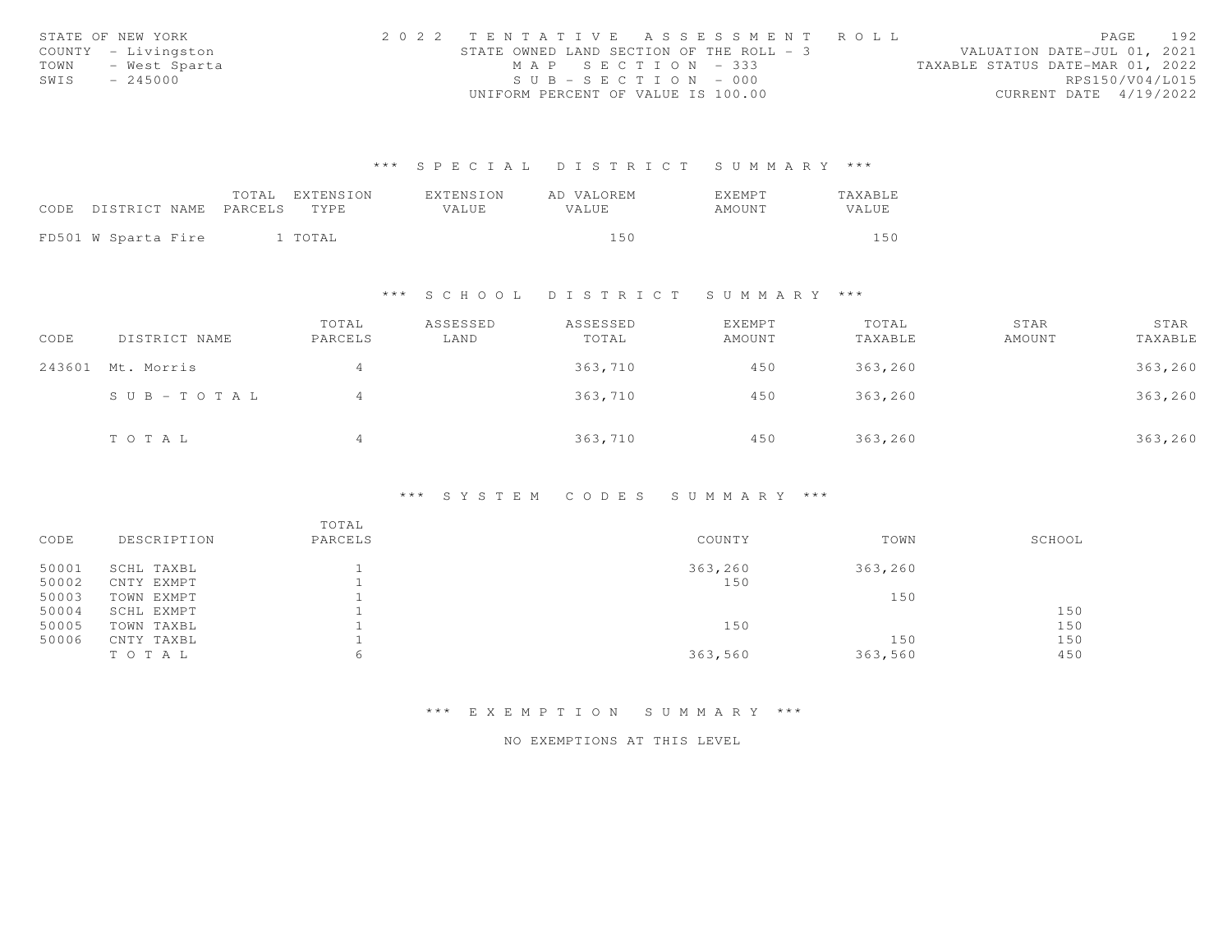|      | STATE OF NEW YORK   | 2022 TENTATIVE ASSESSMENT ROLL           |                       |  |  |                                  |                        | PAGE | 192 |
|------|---------------------|------------------------------------------|-----------------------|--|--|----------------------------------|------------------------|------|-----|
|      | COUNTY - Livingston | STATE OWNED LAND SECTION OF THE ROLL - 3 |                       |  |  | VALUATION DATE-JUL 01, 2021      |                        |      |     |
|      | TOWN - West Sparta  |                                          | MAP SECTION - 333     |  |  | TAXABLE STATUS DATE-MAR 01, 2022 |                        |      |     |
| SWIS | $-245000$           |                                          | $SUB - SECTION - 000$ |  |  |                                  | RPS150/V04/L015        |      |     |
|      |                     | UNIFORM PERCENT OF VALUE IS 100.00       |                       |  |  |                                  | CURRENT DATE 4/19/2022 |      |     |

|                                 | TOTAL EXTENSION | EXTENSION | AD VALOREM | EXEMPT | <b>TAXABLE</b> |
|---------------------------------|-----------------|-----------|------------|--------|----------------|
| CODE DISTRICT NAME PARCELS TYPE |                 | VALUE     | VALUE.     | AMOUNT | VALUE          |
|                                 |                 |           |            |        |                |
| FD501 W Sparta Fire             | 1 TOTAL         |           | l 5 0      |        | 150            |

\*\*\* S C H O O L D I S T R I C T S U M M A R Y \*\*\*

| CODE | DISTRICT NAME         | TOTAL<br>PARCELS | ASSESSED<br>LAND | ASSESSED<br>TOTAL | EXEMPT<br>AMOUNT | TOTAL<br>TAXABLE | STAR<br>AMOUNT | STAR<br>TAXABLE |
|------|-----------------------|------------------|------------------|-------------------|------------------|------------------|----------------|-----------------|
|      | 243601 Mt. Morris     | 4                |                  | 363,710           | 450              | 363,260          |                | 363,260         |
|      | $S \cup B - TO T A L$ | 4                |                  | 363,710           | 450              | 363,260          |                | 363,260         |
|      | TOTAL                 | $\overline{4}$   |                  | 363,710           | 450              | 363,260          |                | 363,260         |

# \*\*\* S Y S T E M C O D E S S U M M A R Y \*\*\*

| CODE  | DESCRIPTION | TOTAL<br>PARCELS | COUNTY  | TOWN    | SCHOOL |
|-------|-------------|------------------|---------|---------|--------|
| 50001 | SCHL TAXBL  |                  | 363,260 | 363,260 |        |
| 50002 | CNTY EXMPT  |                  | 150     |         |        |
| 50003 | TOWN EXMPT  |                  |         | 150     |        |
| 50004 | SCHL EXMPT  |                  |         |         | 150    |
| 50005 | TOWN TAXBL  |                  | 150     |         | 150    |
| 50006 | CNTY TAXBL  |                  |         | 150     | 150    |
|       | TO TAL      | 6                | 363,560 | 363,560 | 450    |

\*\*\* E X E M P T I O N S U M M A R Y \*\*\*

NO EXEMPTIONS AT THIS LEVEL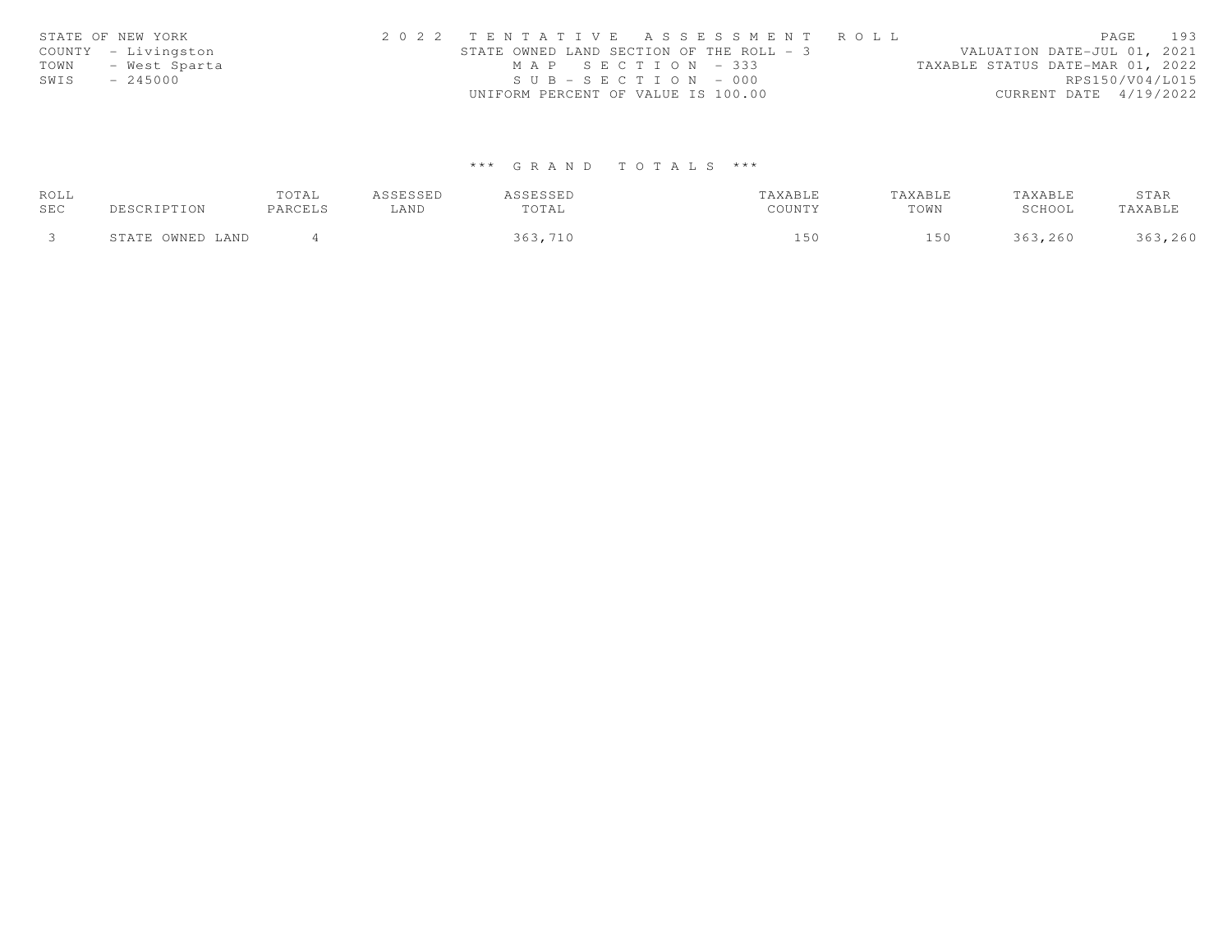| STATE OF NEW YORK   | 2022 TENTATIVE ASSESSMENT ROLL           | 193<br>PAGE                      |
|---------------------|------------------------------------------|----------------------------------|
| COUNTY - Livingston | STATE OWNED LAND SECTION OF THE ROLL - 3 | VALUATION DATE-JUL 01, 2021      |
| TOWN - West Sparta  | MAP SECTION - 333                        | TAXABLE STATUS DATE-MAR 01, 2022 |
| SWIS<br>$-245000$   | $SUB - SECTION - 000$                    | RPS150/V04/L015                  |
|                     | UNIFORM PERCENT OF VALUE IS 100.00       | CURRENT DATE 4/19/2022           |

| ROLL |                  | TOTAL   | ASSESSED | ASSESSED | TAXABLE | TAXABLE | TAXABLE | STAR    |
|------|------------------|---------|----------|----------|---------|---------|---------|---------|
| SEC  | DESCRIPTION      | PARCELS | ∟AND     | TOTAL    | COUNTY  | TOWN    | SCHOOL  | TAXABLE |
|      | STATE OWNED LAND |         |          | 363,710  | 15 C    | 150     | 363,260 | 363,260 |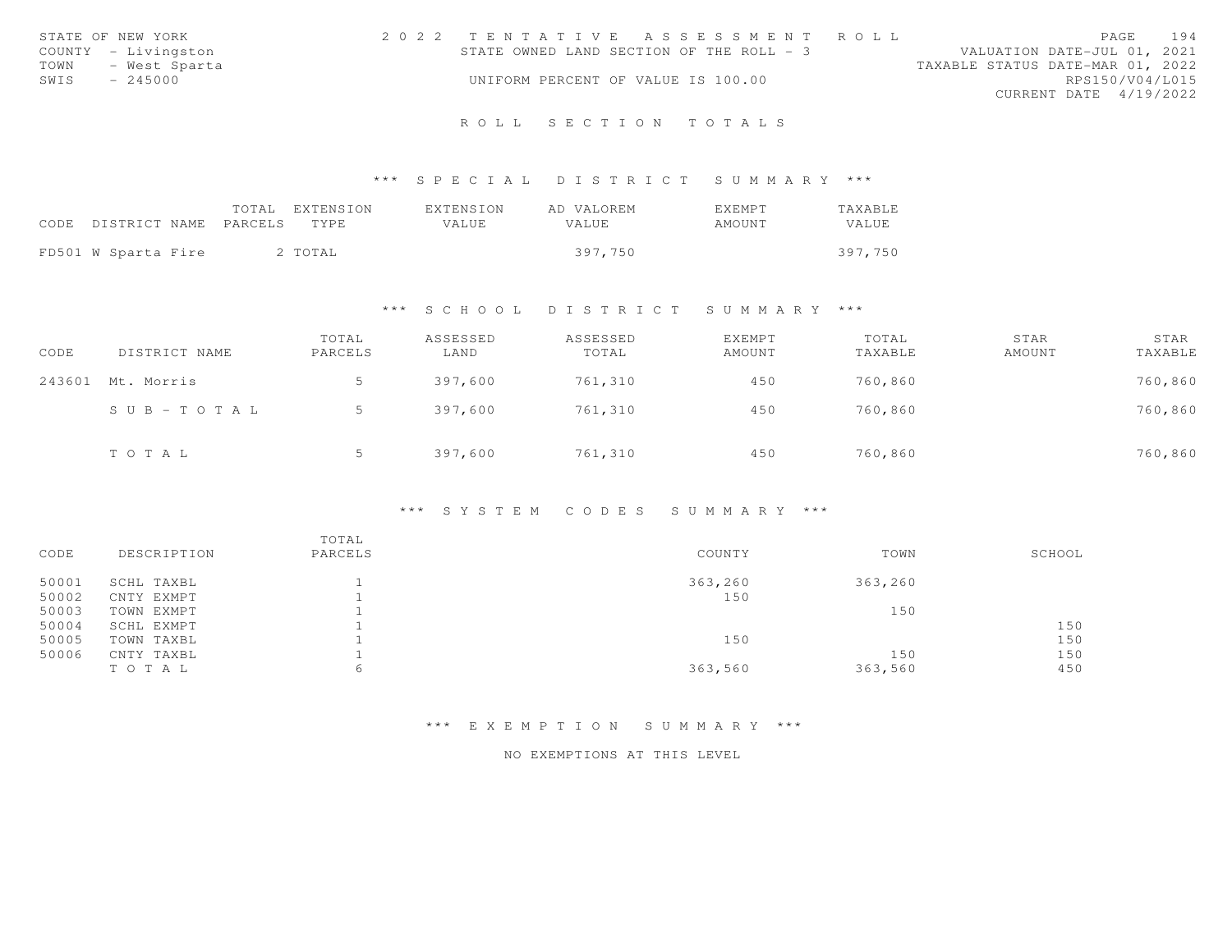|      | STATE OF NEW YORK   | 2022 TENTATIVE ASSESSMENT ROLL           |  |  |                                  |                        | PAGE | 194 |
|------|---------------------|------------------------------------------|--|--|----------------------------------|------------------------|------|-----|
|      | COUNTY - Livingston | STATE OWNED LAND SECTION OF THE ROLL - 3 |  |  | VALUATION DATE-JUL 01, 2021      |                        |      |     |
| TOWN | - West Sparta       |                                          |  |  | TAXABLE STATUS DATE-MAR 01, 2022 |                        |      |     |
| SWIS | $-245000$           | UNIFORM PERCENT OF VALUE IS 100.00       |  |  |                                  | RPS150/V04/L015        |      |     |
|      |                     |                                          |  |  |                                  | CURRENT DATE 4/19/2022 |      |     |
|      |                     |                                          |  |  |                                  |                        |      |     |

# \*\*\* S P E C I A L D I S T R I C T S U M M A R Y \*\*\*

|                               | EXTENSION<br>TOTAL | EXTENSION | AD VALOREM | EXEMPT | TAXABLE |
|-------------------------------|--------------------|-----------|------------|--------|---------|
| CODE<br>DISTRICT NAME PARCELS | TYPE.              | VALUE.    | VALUE.     | AMOUNT | VALUE   |
|                               |                    |           |            |        |         |
| FD501 W Sparta Fire           | 2 TOTAL            |           | 397,750    |        | 397,750 |

# \*\*\* S C H O O L D I S T R I C T S U M M A R Y \*\*\*

| CODE   | DISTRICT NAME | TOTAL<br>PARCELS | ASSESSED<br>LAND | ASSESSED<br>TOTAL | EXEMPT<br>AMOUNT | TOTAL<br>TAXABLE | STAR<br>AMOUNT | STAR<br>TAXABLE |
|--------|---------------|------------------|------------------|-------------------|------------------|------------------|----------------|-----------------|
| 243601 | Mt. Morris    |                  | 397,600          | 761,310           | 450              | 760,860          |                | 760,860         |
|        | SUB-TOTAL     |                  | 397,600          | 761,310           | 450              | 760,860          |                | 760,860         |
|        | TOTAL         |                  | 397,600          | 761,310           | 450              | 760,860          |                | 760,860         |

# \*\*\* S Y S T E M C O D E S S U M M A R Y \*\*\*

| CODE  | DESCRIPTION | TOTAL<br>PARCELS | COUNTY  | TOWN    | SCHOOL |
|-------|-------------|------------------|---------|---------|--------|
| 50001 | SCHL TAXBL  |                  | 363,260 | 363,260 |        |
| 50002 | CNTY EXMPT  |                  | 150     |         |        |
| 50003 | TOWN EXMPT  |                  |         | 150     |        |
| 50004 | SCHL EXMPT  |                  |         |         | 150    |
| 50005 | TOWN TAXBL  |                  | 150     |         | 150    |
| 50006 | CNTY TAXBL  |                  |         | 150     | 150    |
|       | TO TAL      | h                | 363,560 | 363,560 | 450    |
|       |             |                  |         |         |        |

# \*\*\* E X E M P T I O N S U M M A R Y \*\*\*

#### NO EXEMPTIONS AT THIS LEVEL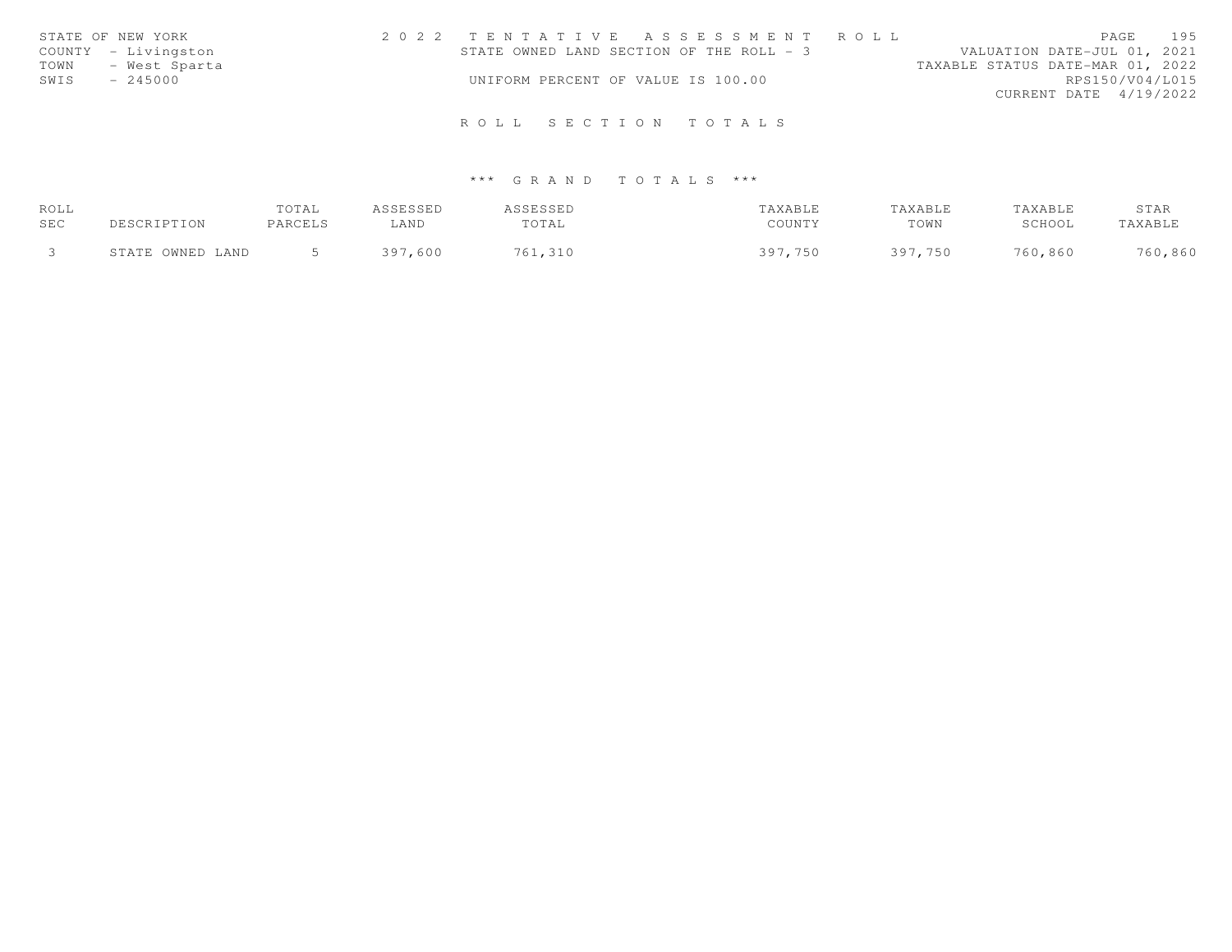| STATE OF NEW YORK   | 2022 TENTATIVE ASSESSMENT ROLL           | 195<br>PAGE                      |
|---------------------|------------------------------------------|----------------------------------|
| COUNTY - Livingston | STATE OWNED LAND SECTION OF THE ROLL - 3 | VALUATION DATE-JUL 01, 2021      |
| TOWN - West Sparta  |                                          | TAXABLE STATUS DATE-MAR 01, 2022 |
| SWIS<br>$-245000$   | UNIFORM PERCENT OF VALUE IS 100.00       | RPS150/V04/L015                  |
|                     |                                          | CURRENT DATE 4/19/2022           |
|                     |                                          |                                  |
|                     | ROLL SECTION TOTALS                      |                                  |

| ROLL |                  | TOTAL   | CCFCCFD     | SSESSED |            | TAXABLE    | TAXABLE | STAR    |
|------|------------------|---------|-------------|---------|------------|------------|---------|---------|
| SEC  | DESCRIPTION      | PARCELS | LAND        | TOTAL   | COUNTY     | TOWN       | SCHOOL  | TAXABLE |
|      |                  |         |             |         |            |            |         |         |
|      | STATE OWNED LAND |         | 397<br>,600 | ,310    | 750<br>30. | つのつ<br>750 | 760,860 | 760,860 |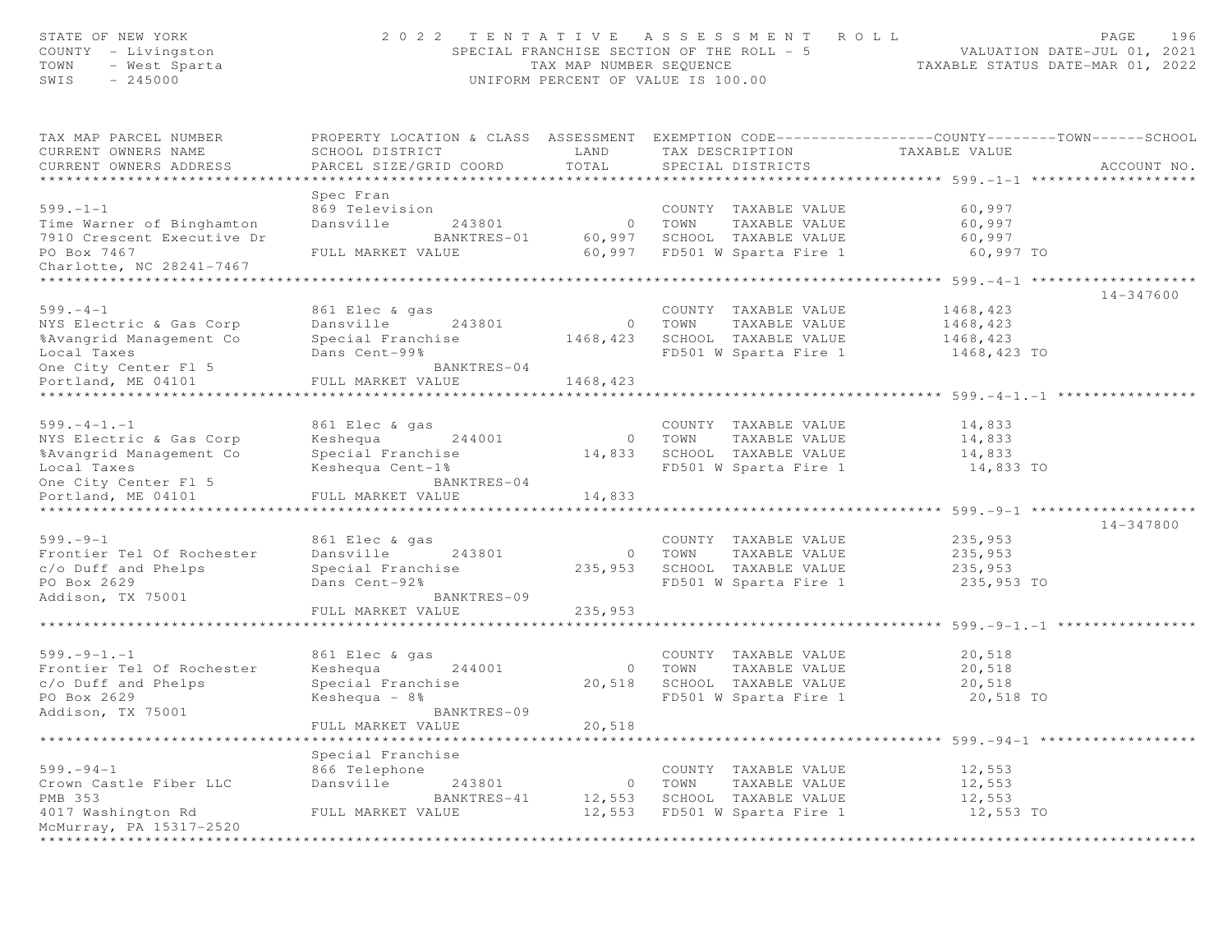| STATE OF NEW YORK<br>COUNTY - Livingston<br>TOWN<br>- West Sparta<br>SWIS<br>$-245000$ |                                  | TAX MAP NUMBER SEQUENCE | 2022 TENTATIVE ASSESSMENT ROLL<br>SPECIAL FRANCHISE SECTION OF THE ROLL - 5<br>UNIFORM PERCENT OF VALUE IS 100.00 | PAGE<br>VALUATION DATE-JUL 01, 2021<br>TAXABLE STATUS DATE-MAR 01, 2022                                           | 196 |
|----------------------------------------------------------------------------------------|----------------------------------|-------------------------|-------------------------------------------------------------------------------------------------------------------|-------------------------------------------------------------------------------------------------------------------|-----|
| TAX MAP PARCEL NUMBER<br>CURRENT OWNERS NAME                                           | SCHOOL DISTRICT                  | LAND                    | TAX DESCRIPTION                                                                                                   | PROPERTY LOCATION & CLASS ASSESSMENT EXEMPTION CODE----------------COUNTY-------TOWN------SCHOOL<br>TAXABLE VALUE |     |
| CURRENT OWNERS ADDRESS                                                                 | PARCEL SIZE/GRID COORD           | TOTAL                   | SPECIAL DISTRICTS                                                                                                 | ACCOUNT NO.                                                                                                       |     |
|                                                                                        |                                  |                         |                                                                                                                   |                                                                                                                   |     |
|                                                                                        | Spec Fran                        |                         |                                                                                                                   |                                                                                                                   |     |
| $599. - 1 - 1$                                                                         | 869 Television                   |                         | COUNTY TAXABLE VALUE                                                                                              | 60,997                                                                                                            |     |
| Time Warner of Binghamton                                                              | Dansville<br>243801              | $\circ$                 | TOWN<br>TAXABLE VALUE                                                                                             | 60,997                                                                                                            |     |
| 7910 Crescent Executive Dr                                                             | BANKTRES-01                      | 60,997                  | SCHOOL TAXABLE VALUE                                                                                              | 60,997                                                                                                            |     |
| PO Box 7467                                                                            | FULL MARKET VALUE                |                         | 60,997 FD501 W Sparta Fire 1                                                                                      | 60,997 TO                                                                                                         |     |
| Charlotte, NC 28241-7467                                                               |                                  |                         |                                                                                                                   |                                                                                                                   |     |
|                                                                                        |                                  |                         |                                                                                                                   |                                                                                                                   |     |
| $599. - 4 - 1$                                                                         | 861 Elec & gas                   |                         | COUNTY TAXABLE VALUE                                                                                              | 14-347600<br>1468,423                                                                                             |     |
| NYS Electric & Gas Corp                                                                | Dansville<br>243801              |                         | 0 TOWN<br>TAXABLE VALUE                                                                                           | 1468,423                                                                                                          |     |
| %Avangrid Management Co                                                                | Special Franchise                |                         | 1468,423 SCHOOL TAXABLE VALUE                                                                                     | 1468,423                                                                                                          |     |
| Local Taxes                                                                            | Dans Cent-99%                    |                         | FD501 W Sparta Fire 1                                                                                             | 1468,423 TO                                                                                                       |     |
| One City Center Fl 5                                                                   | BANKTRES-04                      |                         |                                                                                                                   |                                                                                                                   |     |
| Portland, ME 04101                                                                     | FULL MARKET VALUE                | 1468,423                |                                                                                                                   |                                                                                                                   |     |
|                                                                                        |                                  |                         |                                                                                                                   |                                                                                                                   |     |
|                                                                                        |                                  |                         |                                                                                                                   |                                                                                                                   |     |
| $599. -4 -1. -1$                                                                       | 861 Elec & gas                   |                         | COUNTY TAXABLE VALUE                                                                                              | 14,833                                                                                                            |     |
| NYS Electric & Gas Corp                                                                | Keshequa 244001                  |                         | 0 TOWN<br>TAXABLE VALUE                                                                                           | 14,833                                                                                                            |     |
| %Avangrid Management Co                                                                | Special Franchise                | 14,833                  | SCHOOL TAXABLE VALUE                                                                                              | 14,833                                                                                                            |     |
| Local Taxes                                                                            | Keshequa Cent-1%                 |                         | FD501 W Sparta Fire 1                                                                                             | 14,833 TO                                                                                                         |     |
| One City Center Fl 5<br>Portland, ME 04101                                             | BANKTRES-04<br>FULL MARKET VALUE | 14,833                  |                                                                                                                   |                                                                                                                   |     |
| ****************************                                                           |                                  |                         |                                                                                                                   |                                                                                                                   |     |
|                                                                                        |                                  |                         |                                                                                                                   | 14-347800                                                                                                         |     |
| $599. - 9 - 1$                                                                         | 861 Elec & gas                   |                         | COUNTY TAXABLE VALUE                                                                                              | 235,953                                                                                                           |     |
| Frontier Tel Of Rochester                                                              | Dansville<br>243801              | $\circ$                 | TAXABLE VALUE<br>TOWN                                                                                             | 235,953                                                                                                           |     |
| c/o Duff and Phelps                                                                    | Special Franchise                | 235,953                 | SCHOOL TAXABLE VALUE                                                                                              | 235,953                                                                                                           |     |
| PO Box 2629                                                                            | Dans Cent-92%                    |                         | FD501 W Sparta Fire 1                                                                                             | 235,953 TO                                                                                                        |     |
| Addison, TX 75001                                                                      | BANKTRES-09                      |                         |                                                                                                                   |                                                                                                                   |     |
|                                                                                        | FULL MARKET VALUE                | 235,953                 |                                                                                                                   |                                                                                                                   |     |
|                                                                                        |                                  |                         |                                                                                                                   |                                                                                                                   |     |
| $599. - 9 - 1. - 1$                                                                    | 861 Elec & gas                   |                         | COUNTY TAXABLE VALUE                                                                                              | 20,518                                                                                                            |     |
| Frontier Tel Of Rochester                                                              | Keshequa<br>244001               | $\circ$                 | TOWN<br>TAXABLE VALUE                                                                                             | 20,518                                                                                                            |     |
| c/o Duff and Phelps                                                                    | Special Franchise                | 20,518                  | SCHOOL TAXABLE VALUE                                                                                              | 20,518                                                                                                            |     |
| PO Box 2629                                                                            | Keshequa $-8$ %                  |                         | FD501 W Sparta Fire 1                                                                                             | 20,518 TO                                                                                                         |     |
| Addison, TX 75001                                                                      | BANKTRES-09                      |                         |                                                                                                                   |                                                                                                                   |     |
|                                                                                        | FULL MARKET VALUE                | 20,518                  |                                                                                                                   |                                                                                                                   |     |
|                                                                                        | ******************               |                         |                                                                                                                   |                                                                                                                   |     |
|                                                                                        | Special Franchise                |                         |                                                                                                                   |                                                                                                                   |     |
| $599. - 94 - 1$                                                                        | 866 Telephone                    |                         | COUNTY TAXABLE VALUE                                                                                              | 12,553                                                                                                            |     |
| Crown Castle Fiber LLC                                                                 | 243801<br>Dansville              | $\circ$                 | TOWN<br>TAXABLE VALUE                                                                                             | 12,553                                                                                                            |     |
| PMB 353                                                                                | BANKTRES-41                      | 12,553                  | SCHOOL TAXABLE VALUE                                                                                              | 12,553                                                                                                            |     |
| 4017 Washington Rd                                                                     | FULL MARKET VALUE                | 12,553                  | FD501 W Sparta Fire 1                                                                                             | 12,553 TO                                                                                                         |     |
| McMurray, PA 15317-2520                                                                |                                  |                         |                                                                                                                   |                                                                                                                   |     |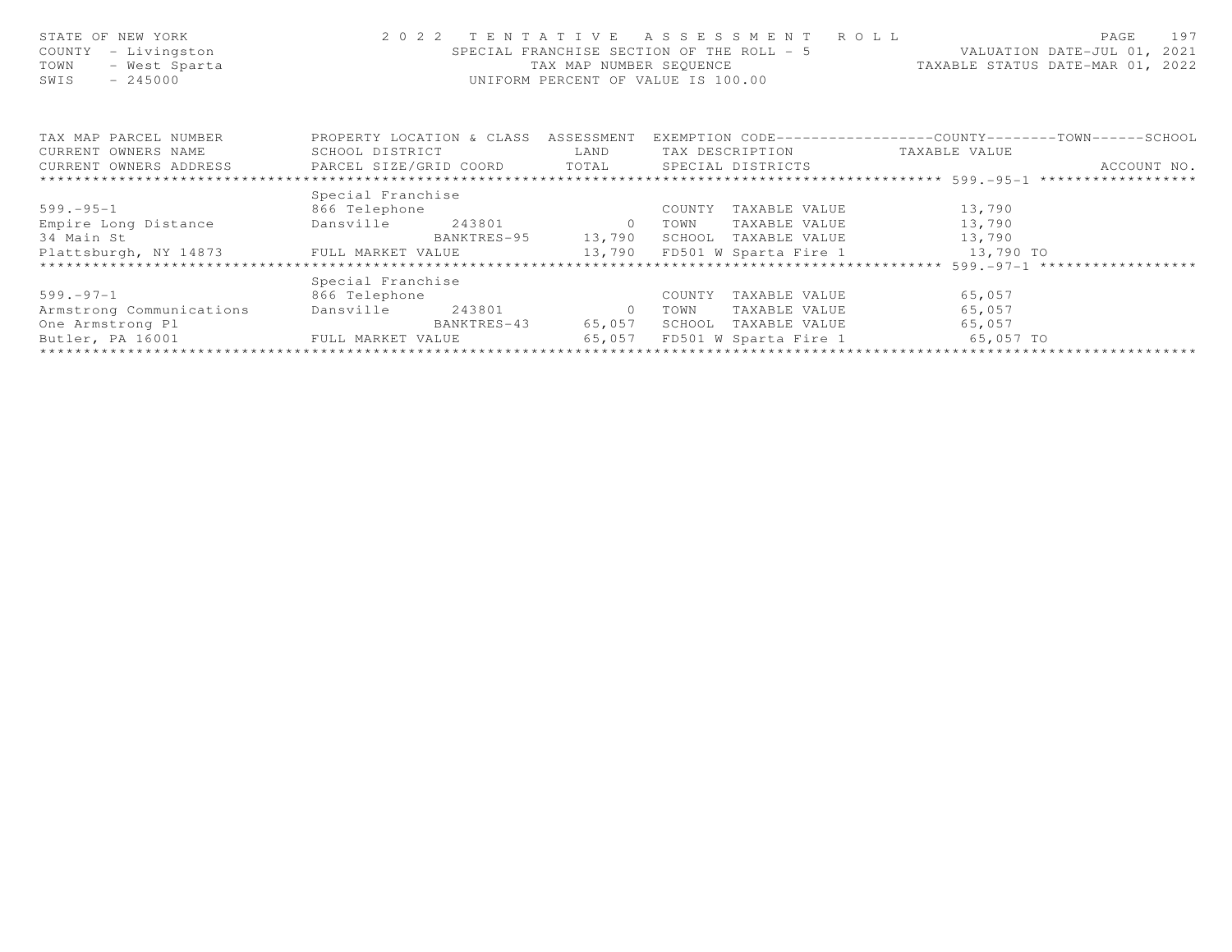| STATE OF NEW YORK<br>- Livingston<br>COUNTY<br>- West Sparta<br>TOWN<br>$-245000$<br>SWIS | 2022 TENTATIVE<br>SPECIAL FRANCHISE SECTION OF THE ROLL - 5<br>TAX MAP NUMBER SEOUENCE<br>UNIFORM PERCENT OF VALUE IS 100.00 | ASSESSMENT ROLL<br>197<br>PAGE<br>VALUATION DATE-JUL 01, 2021<br>TAXABLE STATUS DATE-MAR 01, 2022                                                                                                |                                 |                                                              |
|-------------------------------------------------------------------------------------------|------------------------------------------------------------------------------------------------------------------------------|--------------------------------------------------------------------------------------------------------------------------------------------------------------------------------------------------|---------------------------------|--------------------------------------------------------------|
| TAX MAP PARCEL NUMBER                                                                     | PROPERTY LOCATION & CLASS ASSESSMENT                                                                                         |                                                                                                                                                                                                  |                                 | EXEMPTION CODE-----------------COUNTY-------TOWN------SCHOOL |
| CURRENT OWNERS NAME                                                                       | SCHOOL DISTRICT                                                                                                              | <b>EXAMPLE EXAMPLE EXAMPLE EXAMPLE EXAMPLE EXAMPLE EXAMPLE EXAMPLE EXAMPLE EXAMPLE EXAMPLE EXAMPLE EXAMPLE EXAMPLE EXAMPLE EXAMPLE EXAMPLE EXAMPLE EXAMPLE EXAMPLE EXAMPLE EXAMPLE EXAMPLE E</b> | TAX DESCRIPTION TAXABLE VALUE   |                                                              |
| CURRENT OWNERS ADDRESS     PARCEL SIZE/GRID COORD     TOTAL   SPECIAL DISTRICTS           |                                                                                                                              |                                                                                                                                                                                                  |                                 | ACCOUNT NO.                                                  |
| ******************************                                                            |                                                                                                                              |                                                                                                                                                                                                  |                                 |                                                              |
|                                                                                           | Special Franchise                                                                                                            |                                                                                                                                                                                                  |                                 |                                                              |
| $599. - 95 - 1$                                                                           | 866 Telephone                                                                                                                |                                                                                                                                                                                                  | COUNTY<br>TAXABLE VALUE         | 13,790                                                       |
| Empire Long Distance                                                                      | Dansville<br>243801 0                                                                                                        |                                                                                                                                                                                                  | TOWN<br>TAXABLE VALUE           | 13,790                                                       |
| 34 Main St                                                                                |                                                                                                                              | BANKTRES-95 13,790                                                                                                                                                                               | SCHOOL<br>TAXABLE VALUE         | 13,790                                                       |
| Plattsburgh, NY 14873 FULL MARKET VALUE 13,790                                            |                                                                                                                              |                                                                                                                                                                                                  | FD501 W Sparta Fire 1           | 13,790 TO                                                    |
|                                                                                           |                                                                                                                              |                                                                                                                                                                                                  |                                 | *********** 599.-97-1 ******************                     |
|                                                                                           | Special Franchise                                                                                                            |                                                                                                                                                                                                  |                                 |                                                              |
| $599. - 97 - 1$                                                                           | 866 Telephone                                                                                                                |                                                                                                                                                                                                  | TAXABLE VALUE<br>COUNTY         | 65,057                                                       |
| Armstrong Communications                                                                  | 243801<br>Dansville                                                                                                          | $\overline{0}$                                                                                                                                                                                   | TOWN<br>TAXABLE VALUE           | 65,057                                                       |
| One Armstrong Pl                                                                          | BANKTRES-43                                                                                                                  | 65,057                                                                                                                                                                                           | SCHOOL<br>TAXABLE VALUE         | 65,057                                                       |
| Butler, PA 16001                                                                          | FULL MARKET VALUE                                                                                                            | 65,057                                                                                                                                                                                           | FD501 W Sparta Fire 1 65,057 TO |                                                              |
|                                                                                           |                                                                                                                              |                                                                                                                                                                                                  |                                 |                                                              |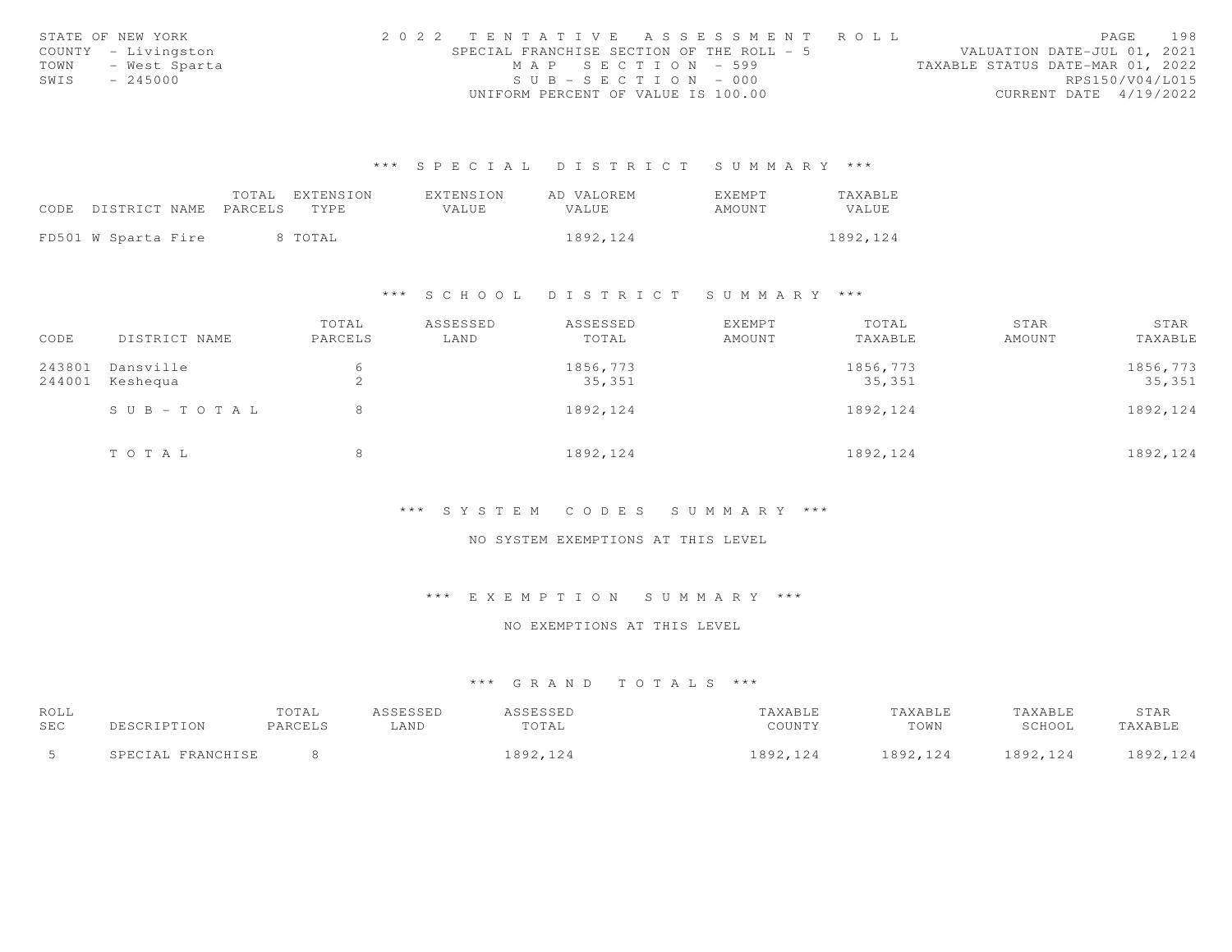|      | STATE OF NEW YORK   |  |                                           |                                    |  |  |  |  |  | 2022 TENTATIVE ASSESSMENT ROLL |                                  |                 | PAGE | 198 |
|------|---------------------|--|-------------------------------------------|------------------------------------|--|--|--|--|--|--------------------------------|----------------------------------|-----------------|------|-----|
|      | COUNTY - Livingston |  | SPECIAL FRANCHISE SECTION OF THE ROLL - 5 |                                    |  |  |  |  |  |                                | VALUATION DATE-JUL 01, 2021      |                 |      |     |
| TOWN | – West Sparta       |  |                                           | MAP SECTION - 599                  |  |  |  |  |  |                                | TAXABLE STATUS DATE-MAR 01, 2022 |                 |      |     |
| SWIS | $-245000$           |  |                                           | $SUB - SECTION - 000$              |  |  |  |  |  |                                |                                  | RPS150/V04/L015 |      |     |
|      |                     |  |                                           | UNIFORM PERCENT OF VALUE IS 100.00 |  |  |  |  |  |                                | CURRENT DATE 4/19/2022           |                 |      |     |

|                            | TOTAL | EXTENSION | EXTENSION | AD VALOREM   | EXEMPT | TAXABLE  |
|----------------------------|-------|-----------|-----------|--------------|--------|----------|
| CODE DISTRICT NAME PARCELS |       | TYPE.     | VALUE.    | <b>VALUE</b> | AMOUNT | VALUE    |
|                            |       |           |           |              |        |          |
| FD501 W Sparta Fire        |       | 8 TOTAL   |           | 1892,124     |        | 1892.124 |

#### \*\*\* S C H O O L D I S T R I C T S U M M A R Y \*\*\*

| CODE   | DISTRICT NAME         | TOTAL<br>PARCELS | ASSESSED<br>LAND | ASSESSED<br>TOTAL | EXEMPT<br>AMOUNT | TOTAL<br>TAXABLE | STAR<br>AMOUNT | STAR<br>TAXABLE |
|--------|-----------------------|------------------|------------------|-------------------|------------------|------------------|----------------|-----------------|
|        |                       |                  |                  |                   |                  |                  |                |                 |
| 243801 | Dansville             | 6                |                  | 1856,773          |                  | 1856,773         |                | 1856,773        |
| 244001 | Keshequa              | $\hat{ }$<br>∠   |                  | 35,351            |                  | 35,351           |                | 35,351          |
|        | $S \cup B - TO T A L$ | 8                |                  | 1892, 124         |                  | 1892,124         |                | 1892, 124       |
|        | TO TAL                | 8                |                  | 1892, 124         |                  | 1892, 124        |                | 1892, 124       |

#### \*\*\* S Y S T E M C O D E S S U M M A R Y \*\*\*

#### NO SYSTEM EXEMPTIONS AT THIS LEVEL

# \*\*\* E X E M P T I O N S U M M A R Y \*\*\*

#### NO EXEMPTIONS AT THIS LEVEL

| ROLL |                   | TOTAL   | ASSESSED | ASSESSED  | TAXABLE  | TAXABLE   | TAXABLE  | STAR     |
|------|-------------------|---------|----------|-----------|----------|-----------|----------|----------|
| SEC  | DESCRIPTION       | PARCELS | LAND     | TOTAL     | COUNTY   | TOWN      | SCHOOL   | TAXABLE  |
|      | SPECIAL FRANCHISE |         |          | 1892, 124 | 1892,124 | 1892, 124 | 1892.124 | 1892,124 |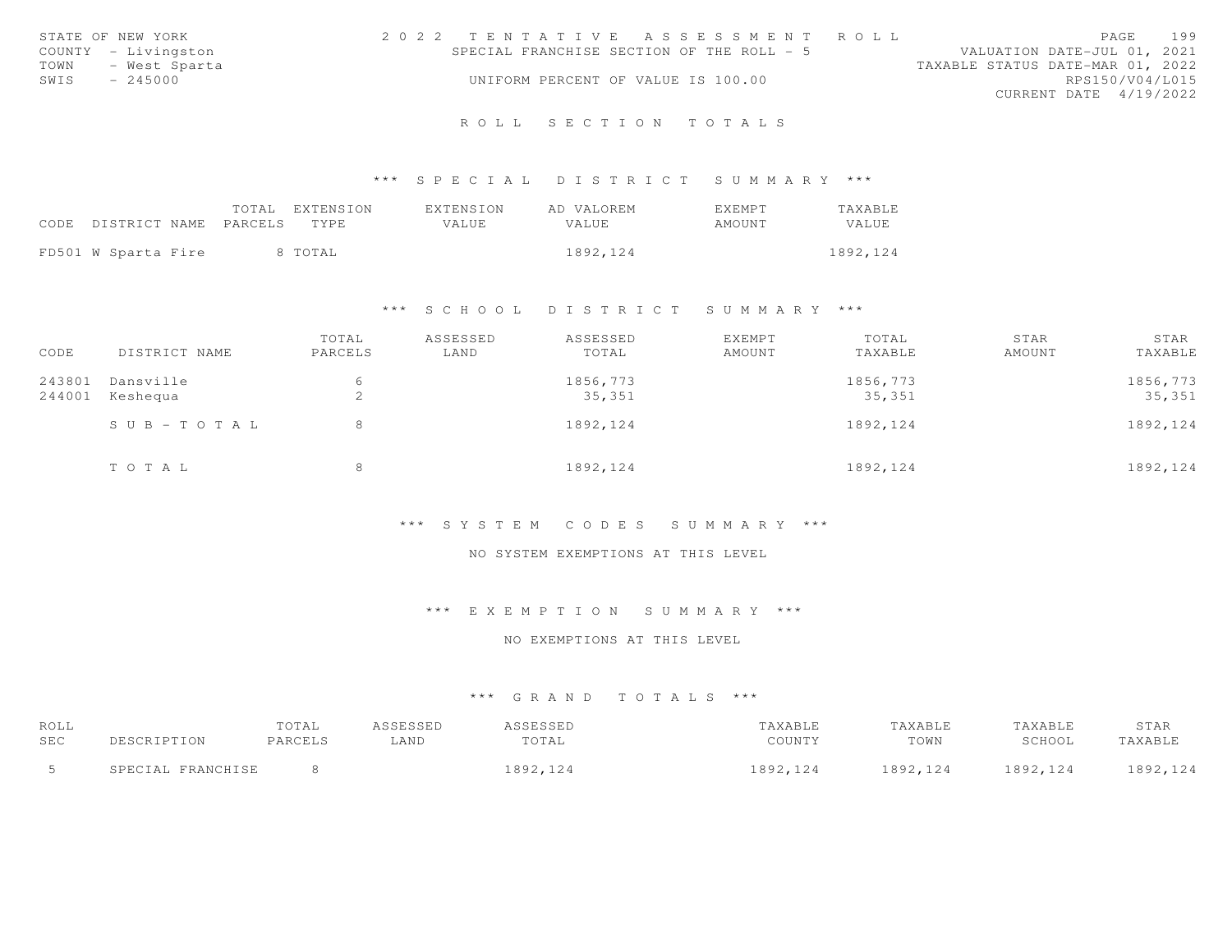| STATE OF NEW YORK |                     |  |                                    |  | 2022 TENTATIVE ASSESSMENT ROLL            |  |                                  |  | PAGE 199        |
|-------------------|---------------------|--|------------------------------------|--|-------------------------------------------|--|----------------------------------|--|-----------------|
|                   | COUNTY - Livingston |  |                                    |  | SPECIAL FRANCHISE SECTION OF THE ROLL - 5 |  | VALUATION DATE-JUL 01, 2021      |  |                 |
|                   | TOWN - West Sparta  |  |                                    |  |                                           |  | TAXABLE STATUS DATE-MAR 01, 2022 |  |                 |
| SWIS              | $-245000$           |  | UNIFORM PERCENT OF VALUE IS 100.00 |  |                                           |  |                                  |  | RPS150/V04/L015 |
|                   |                     |  |                                    |  |                                           |  | CURRENT DATE 4/19/2022           |  |                 |
|                   |                     |  |                                    |  | ROLL SECTION TOTALS                       |  |                                  |  |                 |

|                                 |  | TOTAL EXTENSION | <b>EXTENSION</b> | AD VALOREM | <b>FXFMPT</b> | <b>TAXABLE</b> |
|---------------------------------|--|-----------------|------------------|------------|---------------|----------------|
| CODE DISTRICT NAME PARCELS TYPE |  |                 | VALUE            | VALUE.     | AMOUNT        | <b>VALUE</b>   |
| FD501 W Sparta Fire             |  | 8 TOTAL         |                  | 1892, 124  |               | 1892, 124      |

# \*\*\* S C H O O L D I S T R I C T S U M M A R Y \*\*\*

| CODE             | DISTRICT NAME         | TOTAL<br>PARCELS | ASSESSED<br>LAND | ASSESSED<br>TOTAL  | EXEMPT<br>AMOUNT | TOTAL<br>TAXABLE   | STAR<br>AMOUNT | STAR<br>TAXABLE    |
|------------------|-----------------------|------------------|------------------|--------------------|------------------|--------------------|----------------|--------------------|
| 243801<br>244001 | Dansville<br>Keshequa | ∠                |                  | 1856,773<br>35,351 |                  | 1856,773<br>35,351 |                | 1856,773<br>35,351 |
|                  | $S \cup B - TO T A L$ | 8                |                  | 1892, 124          |                  | 1892, 124          |                | 1892, 124          |
|                  | TOTAL                 | 8                |                  | 1892, 124          |                  | 1892, 124          |                | 1892, 124          |

# \*\*\* S Y S T E M C O D E S S U M M A R Y \*\*\*

#### NO SYSTEM EXEMPTIONS AT THIS LEVEL

# \*\*\* E X E M P T I O N S U M M A R Y \*\*\*

#### NO EXEMPTIONS AT THIS LEVEL

| ROLL     |                              | TOTAL   | <b>ASSESSED</b> | ASSESSED  | TAXABLE     | TAXABLE   | TAXABLE  | STAR         |
|----------|------------------------------|---------|-----------------|-----------|-------------|-----------|----------|--------------|
| SEC      |                              | PARCELS | LAND            | TOTAL     | COUNTY      | TOWN      | SCHOOL   | TAXABLL      |
| <u>.</u> | <b>FRANCHISF</b><br>SPECTAL. |         |                 | 1892, 124 | 1892<br>124 | 1892, 124 | 1892,124 | 892.124<br>. |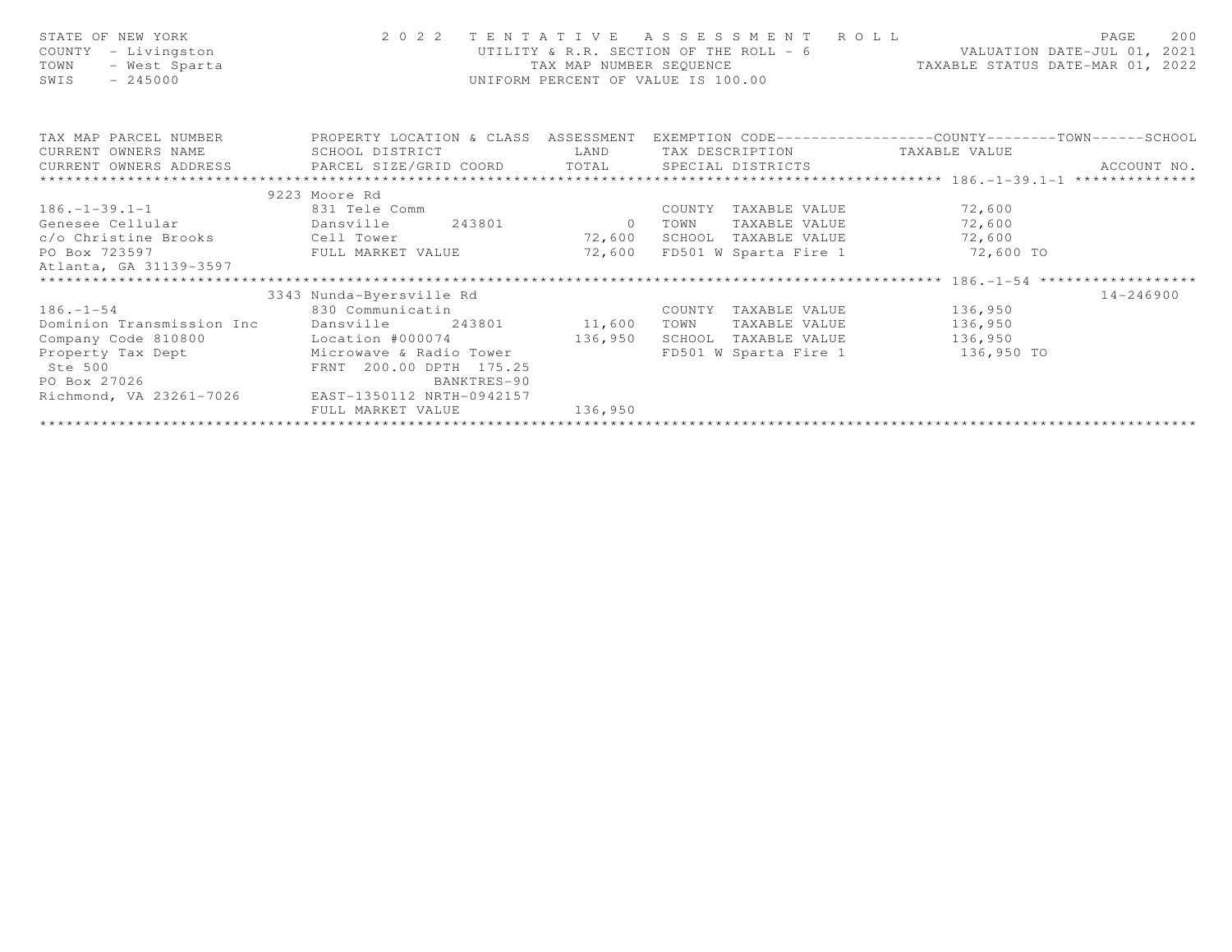| STATE OF NEW YORK<br>COUNTY - Livingston<br>- West Sparta<br>TOWN<br>$-245000$<br>SWIS                                                                                 |                          | TAX MAP NUMBER SEOUENCE | 2022 TENTATIVE ASSESSMENT ROLL<br>UNIFORM PERCENT OF VALUE IS 100.00 | UTILITY & R.R. SECTION OF THE ROLL - 6 VALUATION DATE-JUL 01, 2021<br>TAXABLE STATUS DATE-MAR 01, 2022 | 200<br>PAGE   |
|------------------------------------------------------------------------------------------------------------------------------------------------------------------------|--------------------------|-------------------------|----------------------------------------------------------------------|--------------------------------------------------------------------------------------------------------|---------------|
| TAX MAP PARCEL NUMBER THE PROPERTY LOCATION & CLASS ASSESSMENT EXEMPTION CODE---------------COUNTY-------TOWN------SCHOOL                                              |                          |                         |                                                                      |                                                                                                        |               |
| CURRENT OWNERS NAME                                                                                                                                                    | SCHOOL DISTRICT          | <b>LAND</b>             | TAX DESCRIPTION TAXABLE VALUE                                        |                                                                                                        |               |
|                                                                                                                                                                        |                          |                         |                                                                      |                                                                                                        |               |
|                                                                                                                                                                        |                          |                         |                                                                      |                                                                                                        |               |
|                                                                                                                                                                        | 9223 Moore Rd            |                         |                                                                      |                                                                                                        |               |
| $186. - 1 - 39.1 - 1$                                                                                                                                                  | 831 Tele Comm            |                         | COUNTY TAXABLE VALUE 72,600                                          |                                                                                                        |               |
|                                                                                                                                                                        |                          |                         | TOWN                                                                 | TAXABLE VALUE 72,600                                                                                   |               |
| c/o Christine Brooks    Cell Tower                                                                                                                                     |                          | 72,600                  | SCHOOL TAXABLE VALUE 72,600                                          |                                                                                                        |               |
| PO Box 723597                                                                                                                                                          | FULL MARKET VALUE 72,600 |                         |                                                                      | FD501 W Sparta Fire 1 72,600 TO                                                                        |               |
| Atlanta, GA 31139-3597                                                                                                                                                 |                          |                         |                                                                      |                                                                                                        |               |
| *************************                                                                                                                                              |                          |                         |                                                                      |                                                                                                        |               |
|                                                                                                                                                                        | 3343 Nunda-Byersville Rd |                         |                                                                      |                                                                                                        | $14 - 246900$ |
| $186. - 1 - 54$                                                                                                                                                        | 830 Communicatin         |                         | COUNTY TAXABLE VALUE 136,950                                         |                                                                                                        |               |
| Dominion Transmission Inc Dansville 243801 11,600                                                                                                                      |                          |                         | TOWN                                                                 | TAXABLE VALUE 136,950                                                                                  |               |
| Company Code 810800                                                                                                                                                    | Location #000074         | 136,950                 | SCHOOL TAXABLE VALUE 136,950                                         |                                                                                                        |               |
| Property Tax Dept<br>Ste 500<br>Ste 500<br>PO Box 27026<br>PO Box 27026<br>PO Box 27026<br>PO Box 27026<br>PO Box 27026<br>PO Box 27026<br>PO BOX 27026<br>BANKTRES-90 |                          |                         |                                                                      | FD501 W Sparta Fire 1 136,950 TO                                                                       |               |
|                                                                                                                                                                        |                          |                         |                                                                      |                                                                                                        |               |
| Richmond, VA 23261-7026 EAST-1350112 NRTH-0942157                                                                                                                      |                          |                         |                                                                      |                                                                                                        |               |
|                                                                                                                                                                        | FULL MARKET VALUE        | 136,950                 |                                                                      |                                                                                                        |               |
|                                                                                                                                                                        |                          |                         |                                                                      |                                                                                                        |               |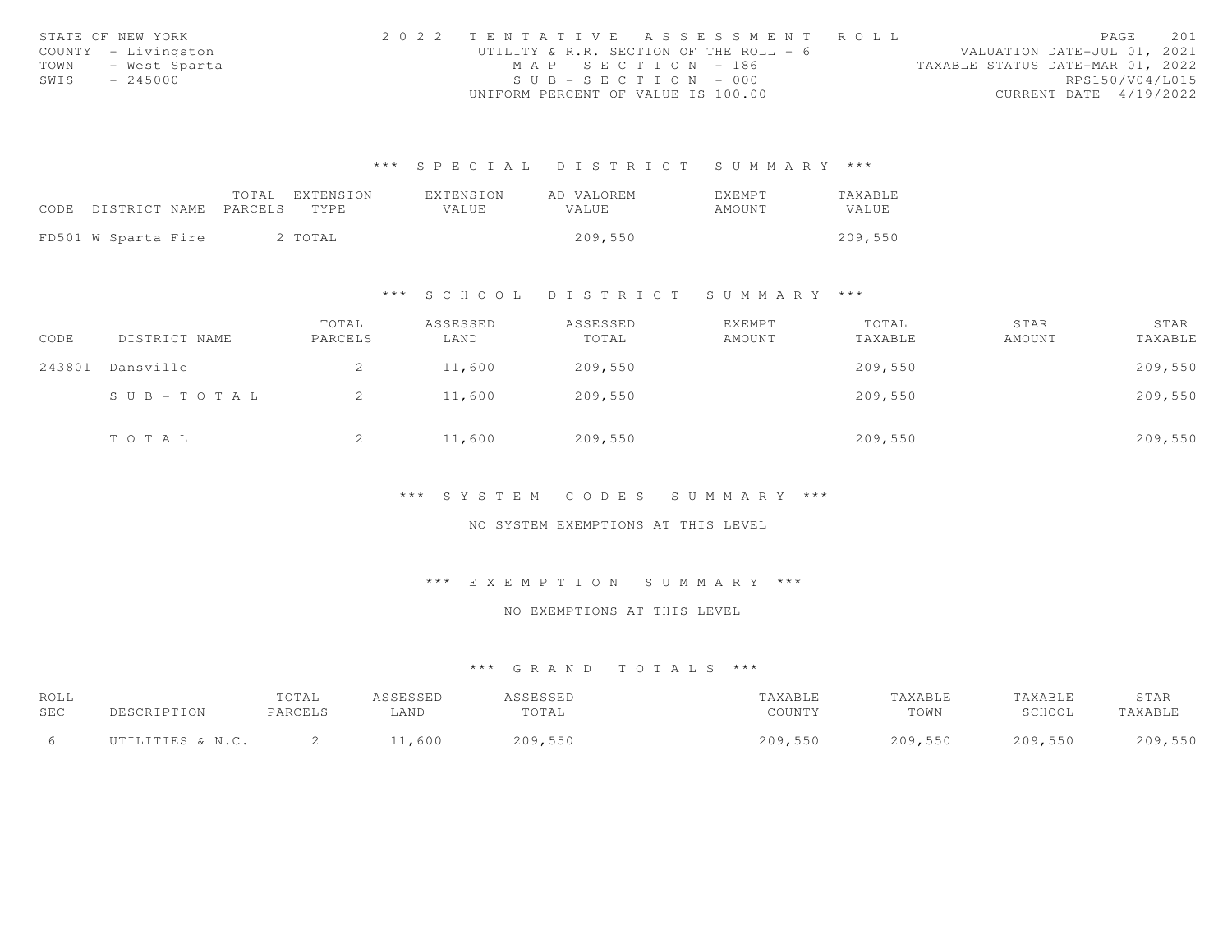|      | STATE OF NEW YORK   | 2022 TENTATIVE ASSESSMENT ROLL         |                                  | PAGE                   | 201 |
|------|---------------------|----------------------------------------|----------------------------------|------------------------|-----|
|      | COUNTY - Livingston | UTILITY & R.R. SECTION OF THE ROLL - 6 | VALUATION DATE-JUL 01, 2021      |                        |     |
|      | TOWN - West Sparta  | MAP SECTION - 186                      | TAXABLE STATUS DATE-MAR 01, 2022 |                        |     |
| SWIS | $-245000$           | $SUB - SECTION - 000$                  |                                  | RPS150/V04/L015        |     |
|      |                     | UNIFORM PERCENT OF VALUE IS 100.00     |                                  | CURRENT DATE 4/19/2022 |     |

|                            | TOTAL | EXTENSION | EXTENSION | AD VALOREM   | EXEMPT | <b>TAXABLE</b> |
|----------------------------|-------|-----------|-----------|--------------|--------|----------------|
| CODE DISTRICT NAME PARCELS |       | TYPE.     | VALUE.    | <b>VALUE</b> | AMOUNT | VALUE          |
|                            |       |           |           |              |        |                |
| FD501 W Sparta Fire        |       | 2 TOTAL   |           | 209,550      |        | 209,550        |

#### \*\*\* S C H O O L D I S T R I C T S U M M A R Y \*\*\*

| CODE   | DISTRICT NAME | TOTAL<br>PARCELS | ASSESSED<br>LAND | ASSESSED<br>TOTAL | <b>EXEMPT</b><br>AMOUNT | TOTAL<br>TAXABLE | STAR<br>AMOUNT | STAR<br>TAXABLE |
|--------|---------------|------------------|------------------|-------------------|-------------------------|------------------|----------------|-----------------|
| 243801 | Dansville     | 2                | 11,600           | 209,550           |                         | 209,550          |                | 209,550         |
|        | SUB-TOTAL     |                  | 11,600           | 209,550           |                         | 209,550          |                | 209,550         |
|        | TOTAL         | ∼                | 11,600           | 209,550           |                         | 209,550          |                | 209,550         |

#### \*\*\* S Y S T E M C O D E S S U M M A R Y \*\*\*

#### NO SYSTEM EXEMPTIONS AT THIS LEVEL

# \*\*\* E X E M P T I O N S U M M A R Y \*\*\*

# NO EXEMPTIONS AT THIS LEVEL

| ROLL<br>SEC | DESCRIPTION      | TOTAL<br>PARCELS | ASSESSED<br>LAND | <i><b>SSESSED</b></i><br>TOTAL | TAXABLE<br>COUNTY | TAXABLE<br>TOWN | TAXABLE<br>SCHOOL | STAR<br>TAXABLE |
|-------------|------------------|------------------|------------------|--------------------------------|-------------------|-----------------|-------------------|-----------------|
|             | UTILITIES & N.C. |                  | 1,600            | 209,550                        | 209,550           | 209,550         | 209,550           | 209,550         |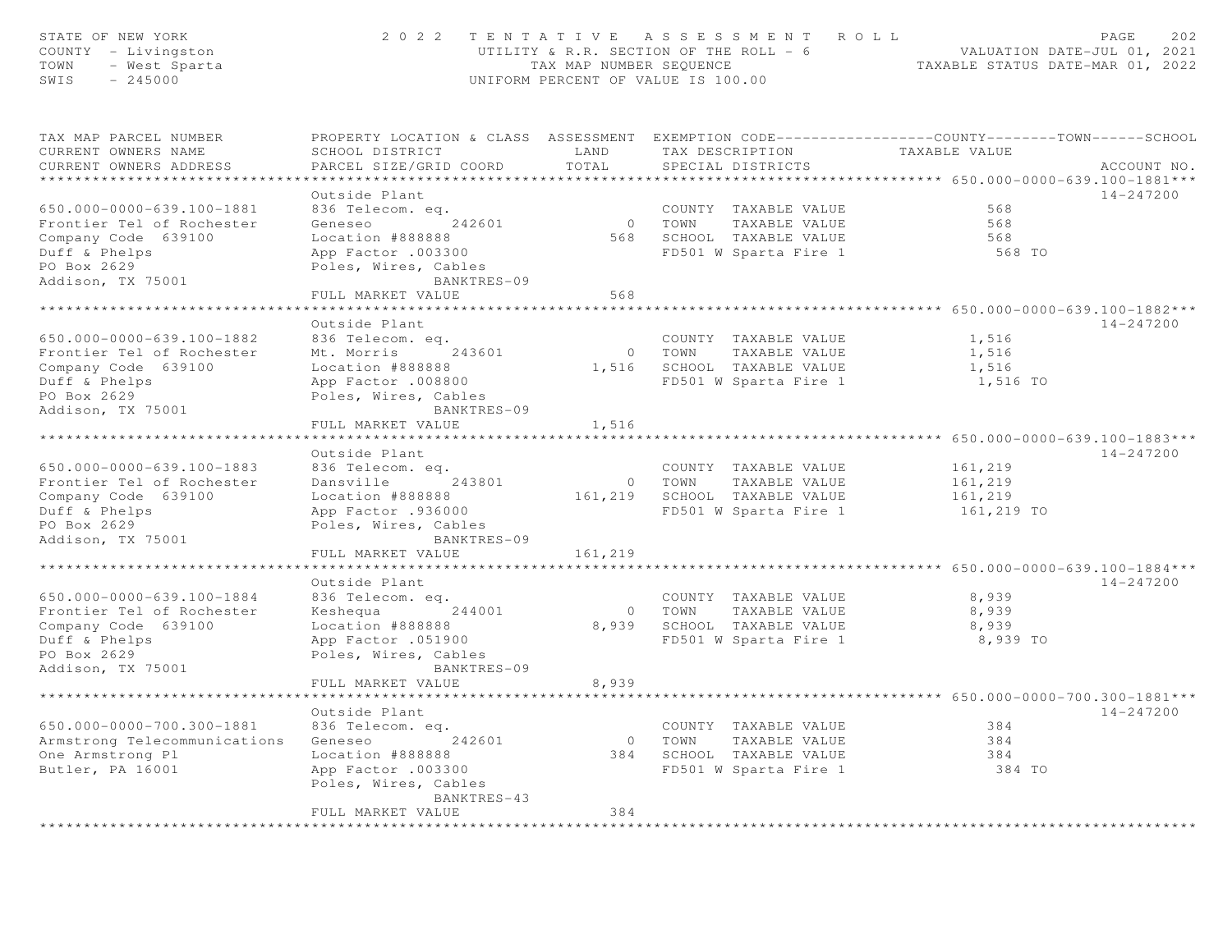| STATE OF NEW YORK<br>COUNTY - Livingston<br>TOWN<br>$Y = \mu_1 \nu_1 \nu_2$ .<br>- West Sparta<br>SWIS<br>$-245000$ |                                                                                                                                                                     |                         | 2022 TENTATIVE ASSESSMENT ROLL<br>UTILITY & R.R. SECTION OF THE ROLL - 6 $\,$ VALUATION DATE-JUL 01, 2021 TAX MAP NUMBER SEQUENCE $\,$ TAXABLE STATUS DATE-MAR 01, 2022<br>UNIFORM PERCENT OF VALUE IS 100.00 |                   | PAGE<br>2.02 |
|---------------------------------------------------------------------------------------------------------------------|---------------------------------------------------------------------------------------------------------------------------------------------------------------------|-------------------------|---------------------------------------------------------------------------------------------------------------------------------------------------------------------------------------------------------------|-------------------|--------------|
| TAX MAP PARCEL NUMBER<br>CURRENT OWNERS NAME<br>CURRENT OWNERS ADDRESS                                              | PROPERTY LOCATION & CLASS ASSESSMENT EXEMPTION CODE----------------COUNTY-------TOWN------SCHOOL<br><b>EXAMPLE AND</b><br>SCHOOL DISTRICT<br>PARCEL SIZE/GRID COORD | TOTAL                   | TAX DESCRIPTION TAXABLE VALUE<br>SPECIAL DISTRICTS                                                                                                                                                            |                   | ACCOUNT NO.  |
|                                                                                                                     |                                                                                                                                                                     |                         |                                                                                                                                                                                                               |                   |              |
|                                                                                                                     | Outside Plant                                                                                                                                                       |                         |                                                                                                                                                                                                               | 568               | 14-247200    |
| 650.000-0000-639.100-1881<br>Frontier Tel of Rochester                                                              | 836 Telecom. eq.                                                                                                                                                    |                         | COUNTY TAXABLE VALUE<br>0 TOWN TAXABLE VALUE                                                                                                                                                                  | 568               |              |
| Company Code 639100                                                                                                 | Geneseo 242601<br>Location #888888                                                                                                                                  |                         |                                                                                                                                                                                                               | 568               |              |
| Duff & Phelps                                                                                                       |                                                                                                                                                                     |                         | 568 SCHOOL TAXABLE VALUE<br>FD501 W Sparta Fire 1                                                                                                                                                             | 568 TO            |              |
| PO Box 2629                                                                                                         | App Factor .003300<br>Poles, Wires, Cables                                                                                                                          |                         |                                                                                                                                                                                                               |                   |              |
| Addison, TX 75001                                                                                                   | BANKTRES-09                                                                                                                                                         |                         |                                                                                                                                                                                                               |                   |              |
|                                                                                                                     | FULL MARKET VALUE                                                                                                                                                   | 568                     |                                                                                                                                                                                                               |                   |              |
|                                                                                                                     |                                                                                                                                                                     |                         |                                                                                                                                                                                                               |                   |              |
|                                                                                                                     | Outside Plant                                                                                                                                                       |                         |                                                                                                                                                                                                               |                   | 14-247200    |
| 650.000-0000-639.100-1882                                                                                           | 836 Telecom. eq.                                                                                                                                                    |                         | COUNTY TAXABLE VALUE                                                                                                                                                                                          | 1,516             |              |
| Frontier Tel of Rochester                                                                                           | Mt. Morris 243601                                                                                                                                                   |                         | 0 TOWN TAXABLE VALUE                                                                                                                                                                                          | 1,516             |              |
| Company Code 639100                                                                                                 | Location #888888                                                                                                                                                    |                         | 1,516 SCHOOL TAXABLE VALUE                                                                                                                                                                                    | 1,516             |              |
| Duff & Phelps                                                                                                       | App Factor .008800                                                                                                                                                  |                         | FD501 W Sparta Fire 1                                                                                                                                                                                         | 1,516 TO          |              |
| PO Box 2629                                                                                                         | Poles, Wires, Cables                                                                                                                                                |                         |                                                                                                                                                                                                               |                   |              |
| Addison, TX 75001                                                                                                   | BANKTRES-09                                                                                                                                                         |                         |                                                                                                                                                                                                               |                   |              |
|                                                                                                                     | FULL MARKET VALUE<br>*********************                                                                                                                          | 1,516                   |                                                                                                                                                                                                               |                   |              |
|                                                                                                                     | Outside Plant                                                                                                                                                       |                         |                                                                                                                                                                                                               |                   | 14-247200    |
| 650.000-0000-639.100-1883                                                                                           | 836 Telecom. eq.                                                                                                                                                    |                         | COUNTY TAXABLE VALUE                                                                                                                                                                                          | 161,219           |              |
| Frontier Tel of Rochester                                                                                           | Dansville 243801                                                                                                                                                    |                         | 0 TOWN TAXABLE VALUE                                                                                                                                                                                          | 161,219           |              |
| Company Code 639100                                                                                                 | Location #888888                                                                                                                                                    |                         | 161,219 SCHOOL TAXABLE VALUE                                                                                                                                                                                  | 161,219           |              |
| Duff & Phelps                                                                                                       | App Factor .936000                                                                                                                                                  |                         | FD501 W Sparta Fire 1                                                                                                                                                                                         | $161, 219$ TO     |              |
| PO Box 2629                                                                                                         | Poles, Wires, Cables                                                                                                                                                |                         |                                                                                                                                                                                                               |                   |              |
| Addison, TX 75001                                                                                                   | BANKTRES-09                                                                                                                                                         |                         |                                                                                                                                                                                                               |                   |              |
|                                                                                                                     | FULL MARKET VALUE                                                                                                                                                   | 161,219                 |                                                                                                                                                                                                               |                   |              |
|                                                                                                                     | ***********************                                                                                                                                             | *****************       |                                                                                                                                                                                                               |                   |              |
|                                                                                                                     | Outside Plant                                                                                                                                                       |                         |                                                                                                                                                                                                               |                   | 14-247200    |
| 650.000-0000-639.100-1884                                                                                           | 836 Telecom. eq.                                                                                                                                                    |                         | COUNTY TAXABLE VALUE                                                                                                                                                                                          | 8,939             |              |
| Frontier Tel of Rochester                                                                                           | Keshequa 244001                                                                                                                                                     |                         | 0 TOWN TAXABLE VALUE                                                                                                                                                                                          | 8,939             |              |
| Company Code 639100<br>Duff & Phelps                                                                                | Location #888888<br>App Factor .051900                                                                                                                              |                         | 8,939 SCHOOL TAXABLE VALUE<br>FD501 W Sparta Fire 1                                                                                                                                                           | 8,939<br>8,939 TO |              |
| PO Box 2629                                                                                                         | Poles, Wires, Cables                                                                                                                                                |                         |                                                                                                                                                                                                               |                   |              |
| Addison, TX 75001                                                                                                   | BANKTRES-09                                                                                                                                                         |                         |                                                                                                                                                                                                               |                   |              |
|                                                                                                                     | FULL MARKET VALUE                                                                                                                                                   | 8,939                   |                                                                                                                                                                                                               |                   |              |
|                                                                                                                     | **********************                                                                                                                                              |                         |                                                                                                                                                                                                               |                   |              |
|                                                                                                                     | Outside Plant                                                                                                                                                       |                         |                                                                                                                                                                                                               |                   | 14-247200    |
| 650.000-0000-700.300-1881                                                                                           | 836 Telecom. eq.                                                                                                                                                    |                         | COUNTY TAXABLE VALUE                                                                                                                                                                                          | 384               |              |
| Armstrong Telecommunications                                                                                        | Geneseo 242601                                                                                                                                                      |                         | 0 TOWN TAXABLE VALUE                                                                                                                                                                                          | 384               |              |
| One Armstrong Pl                                                                                                    | Location #888888                                                                                                                                                    |                         | 384 SCHOOL TAXABLE VALUE                                                                                                                                                                                      | 384               |              |
| Butler, PA 16001                                                                                                    | App Factor .003300<br>Poles, Wires, Cables                                                                                                                          |                         | FD501 W Sparta Fire 1 384 TO                                                                                                                                                                                  |                   |              |
|                                                                                                                     | BANKTRES-43                                                                                                                                                         |                         |                                                                                                                                                                                                               |                   |              |
|                                                                                                                     | FULL MARKET VALUE                                                                                                                                                   | 384<br>**************** |                                                                                                                                                                                                               |                   |              |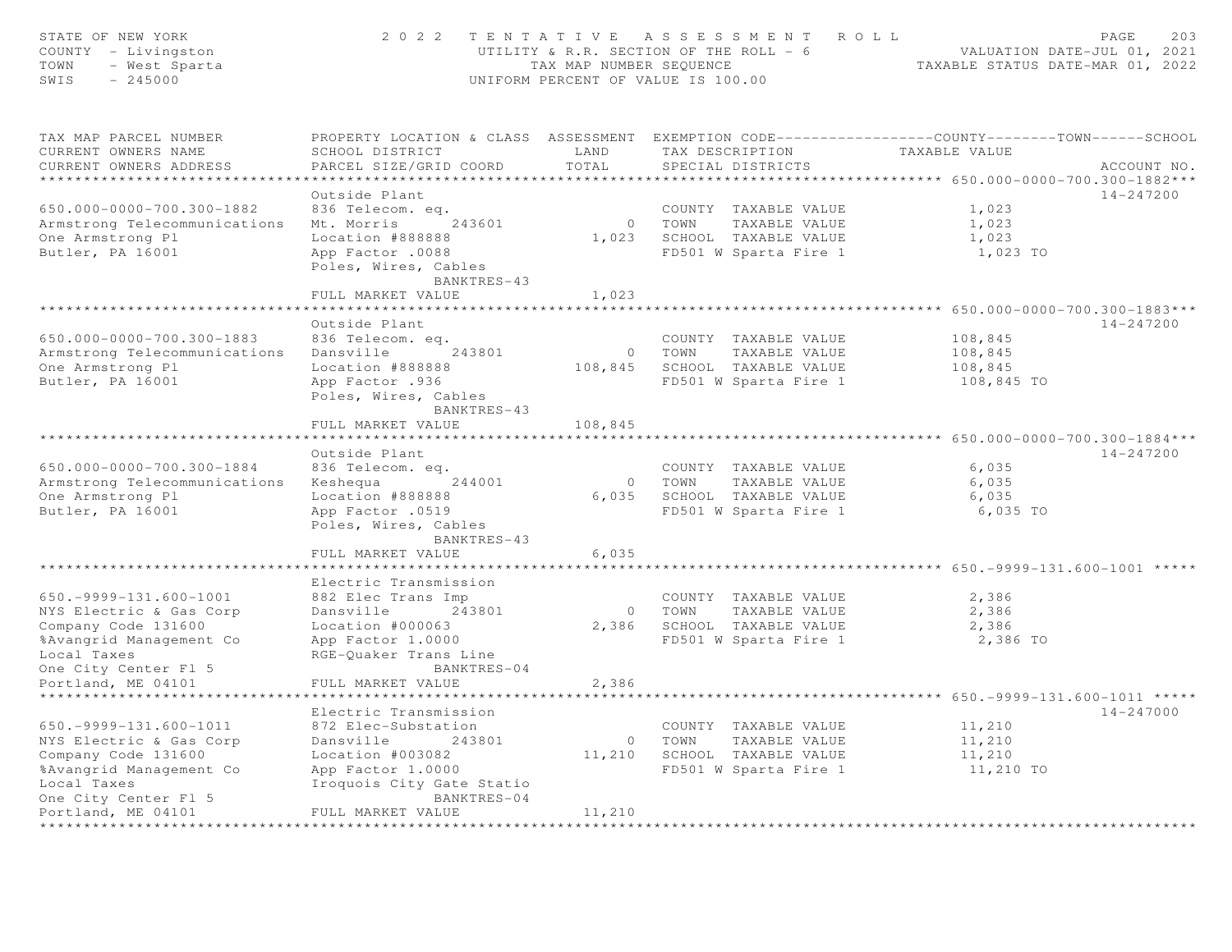| STATE OF NEW YORK<br>COUNTY - Livingston<br>TOWN<br>- West Sparta<br>SWIS<br>$-245000$                                                                                  | 2 0 2 2                                                                                                                                                                           | TAX MAP NUMBER SEQUENCE       | TENTATIVE ASSESSMENT ROLL<br>UTILITY & R.R. SECTION OF THE ROLL - 6<br>UNIFORM PERCENT OF VALUE IS 100.00 | TAXABLE STATUS DATE-MAR 01, 2022                                                           | PAGE<br>203<br>VALUATION DATE-JUL 01, 2021 |
|-------------------------------------------------------------------------------------------------------------------------------------------------------------------------|-----------------------------------------------------------------------------------------------------------------------------------------------------------------------------------|-------------------------------|-----------------------------------------------------------------------------------------------------------|--------------------------------------------------------------------------------------------|--------------------------------------------|
| TAX MAP PARCEL NUMBER<br>CURRENT OWNERS NAME<br>CURRENT OWNERS ADDRESS                                                                                                  | PROPERTY LOCATION & CLASS ASSESSMENT EXEMPTION CODE----------------COUNTY-------TOWN------SCHOOL<br>SCHOOL DISTRICT<br>PARCEL SIZE/GRID COORD                                     | LAND<br>TOTAL                 | TAX DESCRIPTION<br>SPECIAL DISTRICTS                                                                      | TAXABLE VALUE<br>********************* 650.000-0000-700.300-1882***                        | ACCOUNT NO.                                |
| 650.000-0000-700.300-1882<br>Armstrong Telecommunications<br>One Armstrong Pl<br>Butler, PA 16001                                                                       | Outside Plant<br>836 Telecom. eq.<br>Mt. Morris<br>243601<br>Location #888888<br>App Factor .0088<br>Poles, Wires, Cables<br>BANKTRES-43<br>FULL MARKET VALUE                     | 1,023                         | COUNTY TAXABLE VALUE<br>0 TOWN<br>TAXABLE VALUE<br>1,023 SCHOOL TAXABLE VALUE<br>FD501 W Sparta Fire 1    | 1,023<br>1,023<br>1,023<br>1,023 TO                                                        | 14-247200                                  |
|                                                                                                                                                                         | *******************                                                                                                                                                               |                               |                                                                                                           | *********** 650.000-0000-700.300-1883***                                                   |                                            |
| 650.000-0000-700.300-1883<br>Armstrong Telecommunications<br>One Armstrong Pl<br>Butler, PA 16001                                                                       | Outside Plant<br>836 Telecom. eq.<br>Dansville<br>243801<br>Location #888888<br>App Factor .936<br>Poles, Wires, Cables<br>BANKTRES-43                                            |                               | COUNTY TAXABLE VALUE<br>0 TOWN<br>TAXABLE VALUE<br>108,845 SCHOOL TAXABLE VALUE<br>FD501 W Sparta Fire 1  | 108,845<br>108,845<br>108,845<br>108,845 TO                                                | 14-247200                                  |
|                                                                                                                                                                         | FULL MARKET VALUE                                                                                                                                                                 | 108,845                       |                                                                                                           |                                                                                            |                                            |
| 650.000-0000-700.300-1884<br>Armstrong Telecommunications<br>One Armstrong Pl<br>Butler, PA 16001                                                                       | * * * * * * * * * * * * * * * * * * * *<br>Outside Plant<br>836 Telecom. eq.<br>Keshequa<br>244001<br>Location #888888<br>App Factor .0519<br>Poles, Wires, Cables<br>BANKTRES-43 | * * * * * * * * * * * * * * * | COUNTY TAXABLE VALUE<br>0 TOWN<br>TAXABLE VALUE<br>6,035 SCHOOL TAXABLE VALUE<br>FD501 W Sparta Fire 1    | 6,035<br>6,035<br>6,035<br>6,035 TO                                                        | 14-247200                                  |
|                                                                                                                                                                         | FULL MARKET VALUE                                                                                                                                                                 | 6,035                         |                                                                                                           |                                                                                            |                                            |
| $650. -9999 - 131.600 - 1001$<br>NYS Electric & Gas Corp<br>Company Code 131600<br>%Avangrid Management Co<br>Local Taxes<br>One City Center Fl 5                       | *******************<br>Electric Transmission<br>882 Elec Trans Imp<br>Dansville<br>243801<br>Location #000063<br>App Factor 1.0000<br>RGE-Quaker Trans Line<br>BANKTRES-04        |                               | COUNTY TAXABLE VALUE<br>0 TOWN<br>TAXABLE VALUE<br>2,386 SCHOOL TAXABLE VALUE<br>FD501 W Sparta Fire 1    | *************** 650. - 9999 - 131. 600 - 1001 *****<br>2,386<br>2,386<br>2,386<br>2,386 TO |                                            |
| Portland, ME 04101                                                                                                                                                      | FULL MARKET VALUE                                                                                                                                                                 | 2,386                         |                                                                                                           |                                                                                            |                                            |
| ***************                                                                                                                                                         | Electric Transmission                                                                                                                                                             |                               |                                                                                                           | ************* 650. - 9999 - 131. 600 - 1011 *****                                          | 14-247000                                  |
| $650. -9999 - 131.600 - 1011$<br>NYS Electric & Gas Corp<br>Company Code 131600<br>%Avangrid Management Co<br>Local Taxes<br>One City Center Fl 5<br>Portland, ME 04101 | 872 Elec-Substation<br>Dansville<br>243801<br>Location #003082<br>App Factor 1.0000<br>Iroquois City Gate Statio<br>BANKTRES-04<br>FULL MARKET VALUE                              | 11,210                        | COUNTY TAXABLE VALUE<br>0 TOWN<br>TAXABLE VALUE<br>11,210 SCHOOL TAXABLE VALUE<br>FD501 W Sparta Fire 1   | 11,210<br>11,210<br>11,210<br>11,210 TO                                                    |                                            |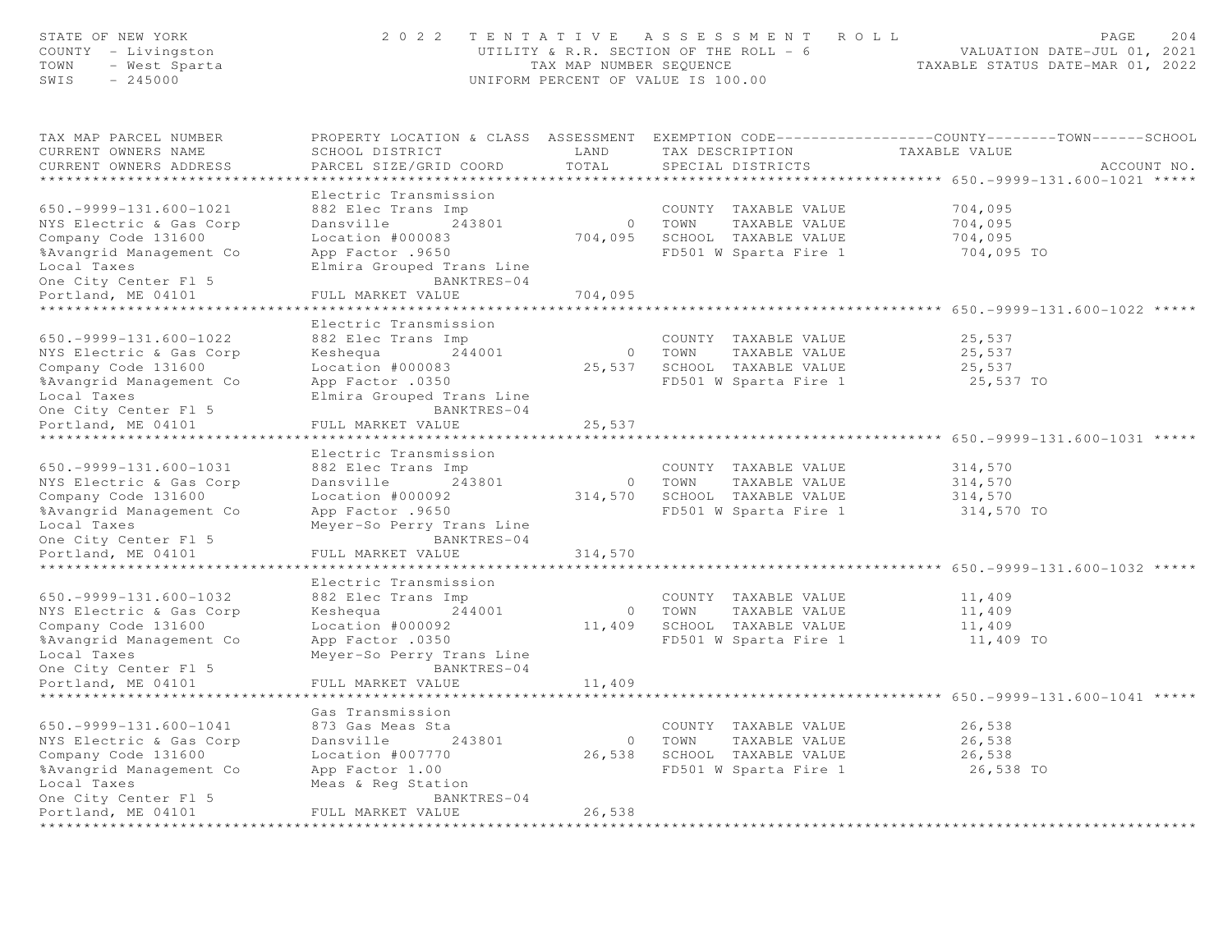| STATE OF NEW YORK<br>COUNTY - Livingston<br>TOWN<br>- West Sparta<br>SWIS<br>$-245000$                                                                                                                                      | 2 0 2 2                                                                                                                                                                                               | TAX MAP NUMBER SEQUENCE       | TENTATIVE ASSESSMENT ROLL<br>UTILITY & R.R. SECTION OF THE ROLL - 6<br>UNIFORM PERCENT OF VALUE IS 100.00 | PAGE<br>VALUATION DATE-JUL 01, 2021<br>TAXABLE STATUS DATE-MAR 01, 2022                                         | 204         |
|-----------------------------------------------------------------------------------------------------------------------------------------------------------------------------------------------------------------------------|-------------------------------------------------------------------------------------------------------------------------------------------------------------------------------------------------------|-------------------------------|-----------------------------------------------------------------------------------------------------------|-----------------------------------------------------------------------------------------------------------------|-------------|
| TAX MAP PARCEL NUMBER<br>CURRENT OWNERS NAME<br>CURRENT OWNERS ADDRESS                                                                                                                                                      | SCHOOL DISTRICT<br>PARCEL SIZE/GRID COORD                                                                                                                                                             | LAND<br>TOTAL                 | TAX DESCRIPTION<br>SPECIAL DISTRICTS                                                                      | PROPERTY LOCATION & CLASS ASSESSMENT EXEMPTION CODE---------------COUNTY-------TOWN-----SCHOOL<br>TAXABLE VALUE | ACCOUNT NO. |
| ************************                                                                                                                                                                                                    |                                                                                                                                                                                                       |                               |                                                                                                           |                                                                                                                 |             |
| $650. -9999 - 131.600 - 1021$<br>NYS Electric & Gas Corp<br>Company Code 131600<br>%Avangrid Management Co<br>Local Taxes<br>One City Center Fl 5                                                                           | Electric Transmission<br>882 Elec Trans Imp<br>Dansville 243801<br>Location #000083<br>App Factor .9650<br>Elmira Grouped Trans Line<br>BANKTRES-04                                                   |                               | COUNTY TAXABLE VALUE<br>0 TOWN<br>TAXABLE VALUE<br>704,095 SCHOOL TAXABLE VALUE<br>FD501 W Sparta Fire 1  | 704,095<br>704,095<br>704,095<br>704,095 TO                                                                     |             |
| Portland, ME 04101                                                                                                                                                                                                          | FULL MARKET VALUE                                                                                                                                                                                     | 704,095                       |                                                                                                           |                                                                                                                 |             |
| **********************<br>$650. -9999 - 131.600 - 1022$<br>NYS Electric & Gas Corp<br>Company Code 131600<br>%Avangrid Management Co<br>Local Taxes<br>One City Center Fl 5<br>Portland, ME 04101<br>********************** | Electric Transmission<br>882 Elec Trans Imp<br>Keshequa 244001<br>Location #000083<br>App Factor .0350<br>Elmira Grouped Trans Line<br>BANKTRES-04<br>FULL MARKET VALUE<br>************************** | 25,537                        | COUNTY TAXABLE VALUE<br>0 TOWN<br>TAXABLE VALUE<br>25,537 SCHOOL TAXABLE VALUE<br>FD501 W Sparta Fire 1   | ******************************** 650.-9999-131.600-1022 *****<br>25,537<br>25,537<br>25,537<br>25,537 TO        |             |
| $650.-9999-131.600-1031$<br>NYS Electric & Gas Corp<br>Company Code 131600<br>%Avangrid Management Co<br>Local Taxes<br>One City Center Fl 5                                                                                | Electric Transmission<br>882 Elec Trans Imp<br>Dansville 243801<br>Location #000092<br>App Factor .9650<br>Meyer-So Perry Trans Line<br>BANKTRES-04                                                   |                               | COUNTY TAXABLE VALUE<br>0 TOWN<br>TAXABLE VALUE<br>314,570 SCHOOL TAXABLE VALUE<br>FD501 W Sparta Fire 1  | 314,570<br>314,570<br>314,570<br>314,570 TO                                                                     |             |
| Portland, ME 04101                                                                                                                                                                                                          | FULL MARKET VALUE                                                                                                                                                                                     | 314,570                       |                                                                                                           |                                                                                                                 |             |
| $650.-9999-131.600-1032$<br>NYS Electric & Gas Corp<br>Company Code 131600<br>%Avangrid Management Co<br>Local Taxes<br>One City Center Fl 5                                                                                | Electric Transmission<br>882 Elec Trans Imp<br>Keshequa 244001<br>Location #000092<br>App Factor .0350<br>Meyer-So Perry Trans Line<br>BANKTRES-04                                                    |                               | COUNTY TAXABLE VALUE<br>0 TOWN<br>TAXABLE VALUE<br>11,409 SCHOOL TAXABLE VALUE<br>FD501 W Sparta Fire 1   | 11,409<br>11,409<br>11,409<br>11,409 TO                                                                         |             |
| Portland, ME 04101                                                                                                                                                                                                          | FULL MARKET VALUE                                                                                                                                                                                     | 11,409                        |                                                                                                           |                                                                                                                 |             |
| $650. -9999 - 131.600 - 1041$<br>NYS Electric & Gas Corp<br>Company Code 131600<br>%Avangrid Management Co<br>Local Taxes<br>One City Center Fl 5                                                                           | Gas Transmission<br>873 Gas Meas Sta<br>Dansville 243801<br>Location #007770<br>App Factor 1.00<br>Meas & Req Station<br>BANKTRES-04                                                                  | $\overline{0}$                | COUNTY TAXABLE VALUE<br>TOWN<br>TAXABLE VALUE<br>26,538 SCHOOL TAXABLE VALUE<br>FD501 W Sparta Fire 1     | 26,538<br>26,538<br>26,538<br>26,538 TO                                                                         |             |
| Portland, ME 04101<br><b>+++++++++++++++++++++</b>                                                                                                                                                                          | FULL MARKET VALUE                                                                                                                                                                                     | 26,538<br><b>++++++++++++</b> |                                                                                                           |                                                                                                                 |             |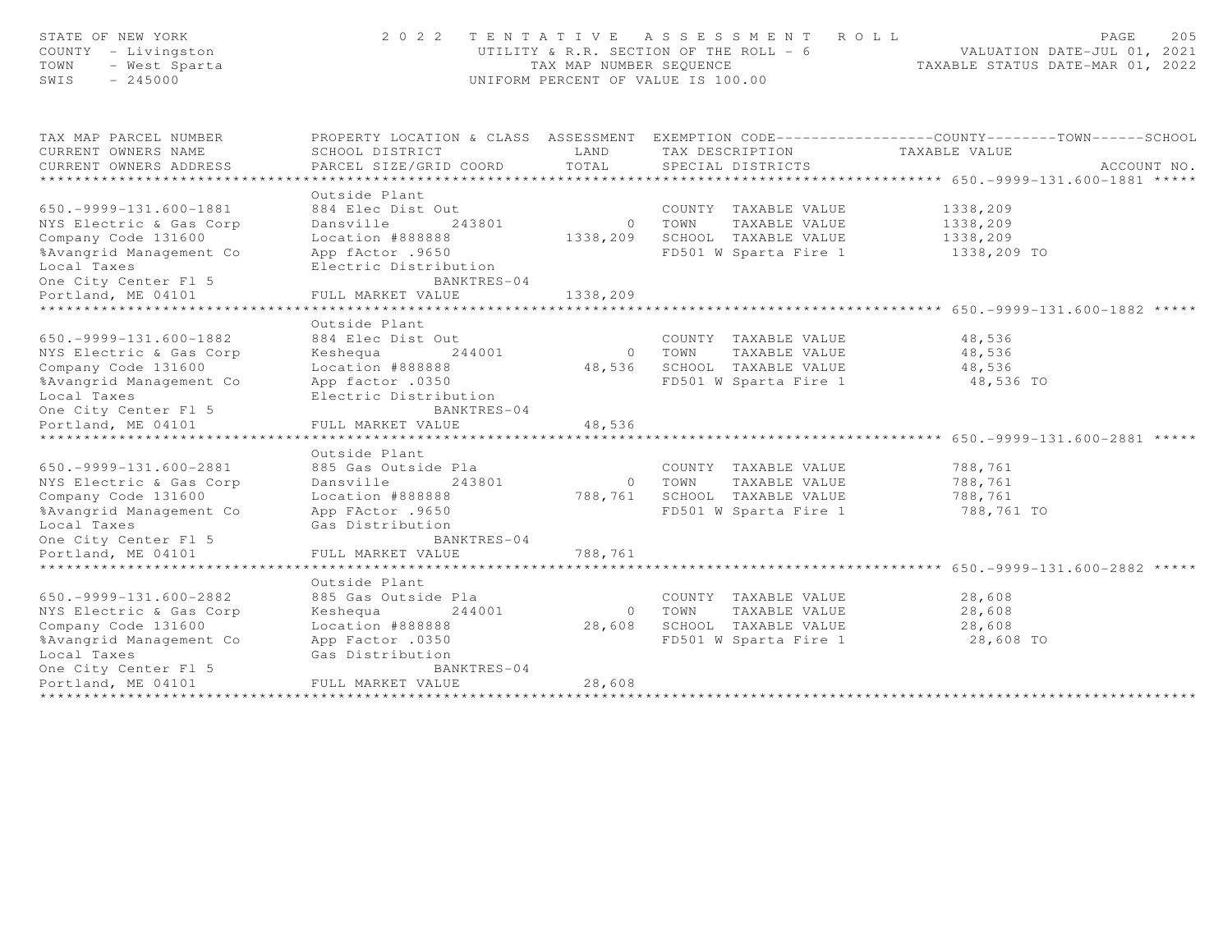| STATE OF NEW YORK<br>COUNTY - Livingston<br>- West Sparta<br>TOWN<br>$-245000$<br>SWIS                                                                                                                | 2 0 2 2                                                                                                                                                       | TAX MAP NUMBER SEQUENCE     | TENTATIVE ASSESSMENT<br>ROLL<br>UTILITY & R.R. SECTION OF THE ROLL - 6<br>UNIFORM PERCENT OF VALUE IS 100.00 | 205<br>PAGE<br>VALUATION DATE-JUL 01, 2021<br>TAXABLE STATUS DATE-MAR 01, 2022               |
|-------------------------------------------------------------------------------------------------------------------------------------------------------------------------------------------------------|---------------------------------------------------------------------------------------------------------------------------------------------------------------|-----------------------------|--------------------------------------------------------------------------------------------------------------|----------------------------------------------------------------------------------------------|
| TAX MAP PARCEL NUMBER<br>CURRENT OWNERS NAME<br>CURRENT OWNERS ADDRESS                                                                                                                                | PROPERTY LOCATION & CLASS ASSESSMENT<br>SCHOOL DISTRICT<br>PARCEL SIZE/GRID COORD                                                                             | LAND<br>TOTAL               | TAX DESCRIPTION<br>SPECIAL DISTRICTS                                                                         | EXEMPTION CODE-----------------COUNTY-------TOWN------SCHOOL<br>TAXABLE VALUE<br>ACCOUNT NO. |
| ***********************                                                                                                                                                                               |                                                                                                                                                               |                             |                                                                                                              | ***********************************    650.-9999-131.600-1881    *****                       |
| 650. - 9999 - 131. 600 - 1881<br>NYS Electric & Gas Corp<br>Company Code 131600<br>%Avangrid Management Co<br>Local Taxes<br>One City Center Fl 5                                                     | Outside Plant<br>884 Elec Dist Out<br>243801<br>Dansville<br>Location #888888<br>App fActor .9650<br>Electric Distribution<br>BANKTRES-04                     | $\circ$<br>1338,209         | COUNTY TAXABLE VALUE<br>TOWN<br>TAXABLE VALUE<br>SCHOOL TAXABLE VALUE<br>FD501 W Sparta Fire 1               | 1338,209<br>1338,209<br>1338,209<br>1338,209 TO                                              |
| Portland, ME 04101                                                                                                                                                                                    | FULL MARKET VALUE                                                                                                                                             | 1338,209                    |                                                                                                              |                                                                                              |
| **************************<br>$650. -9999 - 131.600 - 1882$<br>NYS Electric & Gas Corp<br>Company Code 131600<br>%Avangrid Management Co<br>Local Taxes<br>One City Center Fl 5<br>Portland, ME 04101 | Outside Plant<br>884 Elec Dist Out<br>Keshequa<br>244001<br>Location #888888<br>App factor .0350<br>Electric Distribution<br>BANKTRES-04<br>FULL MARKET VALUE | $\circ$<br>48,536<br>48,536 | COUNTY TAXABLE VALUE<br>TOWN<br>TAXABLE VALUE<br>SCHOOL TAXABLE VALUE<br>FD501 W Sparta Fire 1               | 48,536<br>48,536<br>48,536<br>48,536 TO                                                      |
| 650. - 9999 - 131. 600 - 2881<br>NYS Electric & Gas Corp<br>Company Code 131600<br>%Avangrid Management Co<br>Local Taxes                                                                             | Outside Plant<br>885 Gas Outside Pla<br>Dansville<br>243801<br>Location #888888<br>App FActor .9650<br>Gas Distribution                                       | $\circ$<br>788,761          | COUNTY TAXABLE VALUE<br>TAXABLE VALUE<br>TOWN<br>SCHOOL TAXABLE VALUE<br>FD501 W Sparta Fire 1               | **** 650. - 9999 - 131. 600 - 2881 *****<br>788,761<br>788,761<br>788,761<br>788,761 TO      |
| One City Center Fl 5<br>Portland, ME 04101                                                                                                                                                            | BANKTRES-04<br>FULL MARKET VALUE                                                                                                                              | 788,761                     |                                                                                                              |                                                                                              |
|                                                                                                                                                                                                       |                                                                                                                                                               |                             |                                                                                                              |                                                                                              |
| $650. -9999 - 131.600 - 2882$<br>NYS Electric & Gas Corp<br>Company Code 131600<br>%Avangrid Management Co<br>Local Taxes<br>One City Center Fl 5<br>Portland, ME 04101<br>*******************        | Outside Plant<br>885 Gas Outside Pla<br>244001<br>Keshequa<br>Location #888888<br>App Factor .0350<br>Gas Distribution<br>BANKTRES-04<br>FULL MARKET VALUE    | $\circ$<br>28,608<br>28,608 | COUNTY TAXABLE VALUE<br>TAXABLE VALUE<br>TOWN<br>SCHOOL TAXABLE VALUE<br>FD501 W Sparta Fire 1               | 28,608<br>28,608<br>28,608<br>28,608 TO                                                      |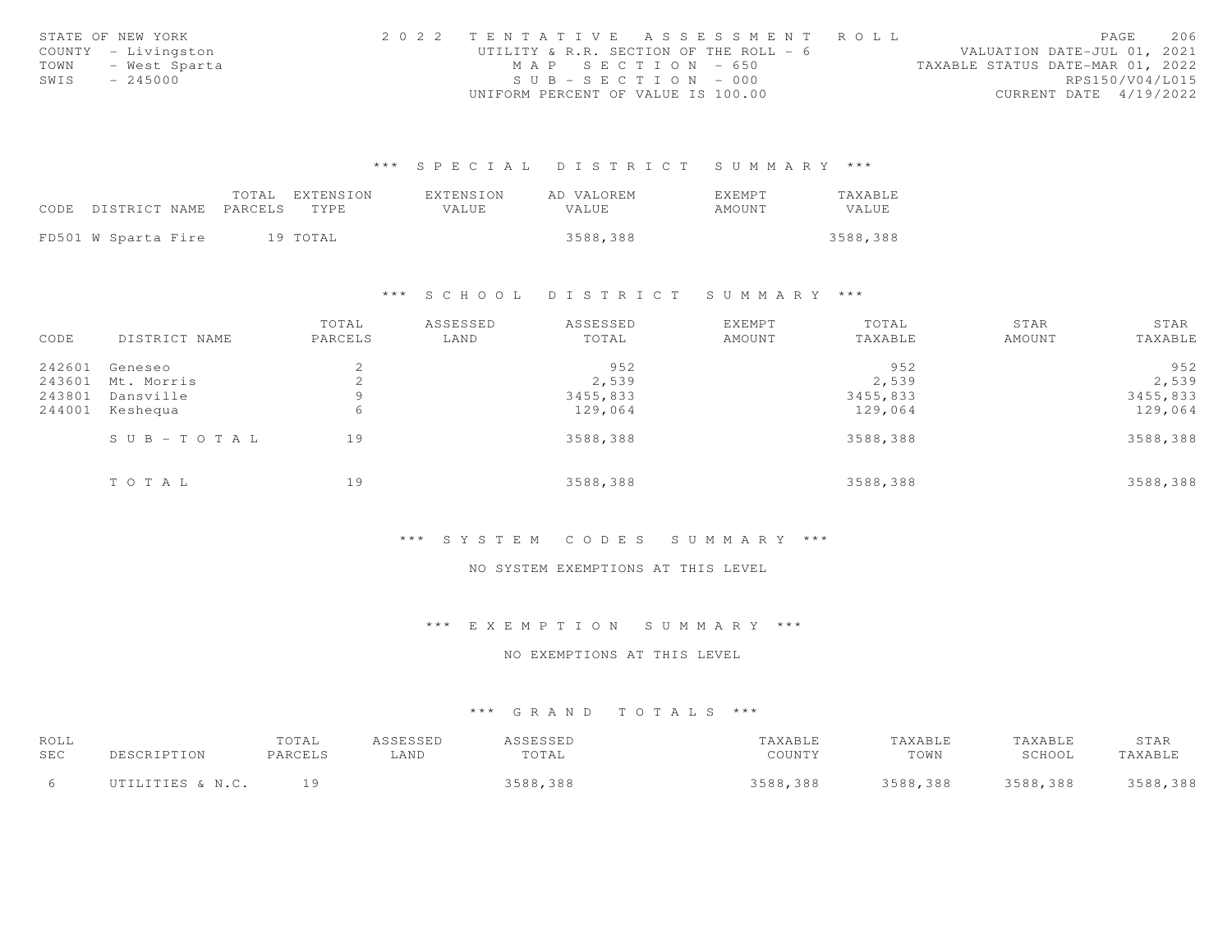|      | STATE OF NEW YORK   | 2022 TENTATIVE ASSESSMENT ROLL         |                                  | PAGE            | 206 |
|------|---------------------|----------------------------------------|----------------------------------|-----------------|-----|
|      | COUNTY - Livingston | UTILITY & R.R. SECTION OF THE ROLL - 6 | VALUATION DATE-JUL 01, 2021      |                 |     |
|      | TOWN - West Sparta  | MAP SECTION - 650                      | TAXABLE STATUS DATE-MAR 01, 2022 |                 |     |
| SWIS | $-245000$           | $SUB - SECTION - 000$                  |                                  | RPS150/V04/L015 |     |
|      |                     | UNIFORM PERCENT OF VALUE IS 100.00     | CURRENT DATE 4/19/2022           |                 |     |

|                     | TOTAL   | EXTENSION | EXTENSION    | AD VALOREM   | <b>EXEMPT</b> | TAXABLE  |
|---------------------|---------|-----------|--------------|--------------|---------------|----------|
| CODE DISTRICT NAME  | PARCELS | TYPE.     | <b>VALUE</b> | <b>VALUE</b> | AMOUNT        | VALUE    |
|                     |         |           |              |              |               |          |
| FD501 W Sparta Fire |         | 19 TOTAL  |              | 3588,388     |               | 3588,388 |

#### \*\*\* S C H O O L D I S T R I C T S U M M A R Y \*\*\*

|        |               | TOTAL   | ASSESSED | ASSESSED | <b>EXEMPT</b> | TOTAL    | STAR   | STAR     |
|--------|---------------|---------|----------|----------|---------------|----------|--------|----------|
| CODE   | DISTRICT NAME | PARCELS | LAND     | TOTAL    | AMOUNT        | TAXABLE  | AMOUNT | TAXABLE  |
| 242601 | Geneseo       | 2       |          | 952      |               | 952      |        | 952      |
| 243601 | Mt. Morris    | 2       |          | 2,539    |               | 2,539    |        | 2,539    |
| 243801 | Dansville     | 9       |          | 3455,833 |               | 3455,833 |        | 3455,833 |
| 244001 | Keshequa      | 6       |          | 129,064  |               | 129,064  |        | 129,064  |
|        | SUB-TOTAL     | 19      |          | 3588,388 |               | 3588,388 |        | 3588,388 |
|        | TOTAL         | 19      |          | 3588,388 |               | 3588,388 |        | 3588,388 |

# \*\*\* S Y S T E M C O D E S S U M M A R Y \*\*\*

# NO SYSTEM EXEMPTIONS AT THIS LEVEL

#### \*\*\* E X E M P T I O N S U M M A R Y \*\*\*

# NO EXEMPTIONS AT THIS LEVEL

| ROLL       |                  | TOTAL   | ASSESSED | ASSESSED | TAXABLE  | TAXABLE  | TAXABLE  | STAR     |
|------------|------------------|---------|----------|----------|----------|----------|----------|----------|
| <b>SEC</b> |                  | PARCELS | ∟AND     | TOTAL    | COUNTY   | TOWN     | SCHOOL   | TAXABLE  |
|            | UTILITIES & N.C. |         |          | 3588,388 | 3588,388 | 3588,388 | 3588,388 | 3588,388 |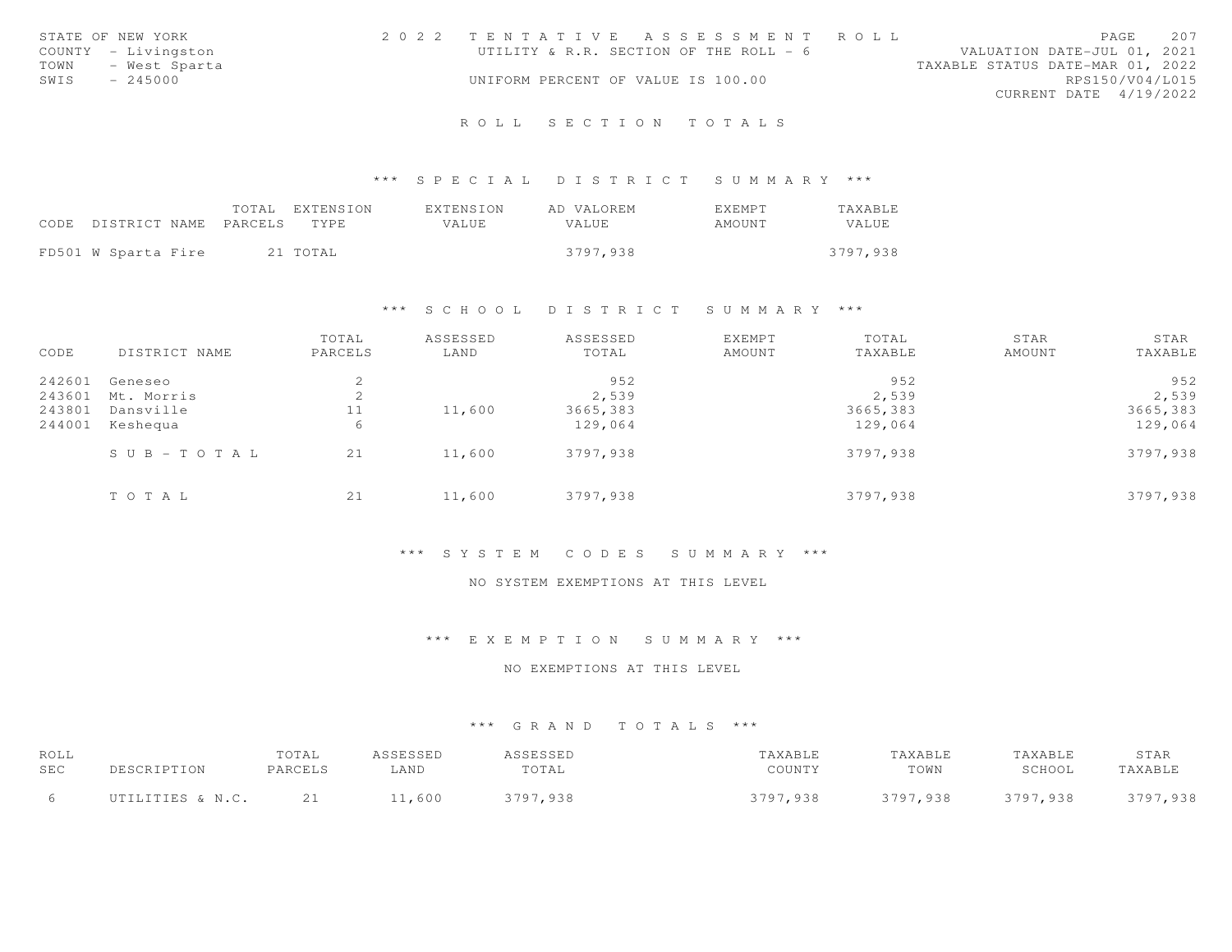|      | STATE OF NEW YORK   | 2022 TENTATIVE ASSESSMENT ROLL         |  |                                  |                        | PAGE | 207             |
|------|---------------------|----------------------------------------|--|----------------------------------|------------------------|------|-----------------|
|      | COUNTY - Livingston | UTILITY & R.R. SECTION OF THE ROLL - 6 |  | VALUATION DATE-JUL 01, 2021      |                        |      |                 |
|      | TOWN - West Sparta  |                                        |  | TAXABLE STATUS DATE-MAR 01, 2022 |                        |      |                 |
| SWIS | $-245000$           | UNIFORM PERCENT OF VALUE IS 100.00     |  |                                  |                        |      | RPS150/V04/L015 |
|      |                     |                                        |  |                                  | CURRENT DATE 4/19/2022 |      |                 |
|      |                     |                                        |  |                                  |                        |      |                 |

# \*\*\* S P E C I A L D I S T R I C T S U M M A R Y \*\*\*

|                            | TOTAL EXTENSION | EXTENSION | AD VALOREM | <b>EXEMPT</b> | TAXABLE  |
|----------------------------|-----------------|-----------|------------|---------------|----------|
| CODE DISTRICT NAME PARCELS | TYPE.           | VALUE     | VALUE      | AMOUNT        | VALUE    |
|                            |                 |           |            |               |          |
| FD501 W Sparta Fire        | 21 TOTAL        |           | 3797.938   |               | 3797.938 |

# \*\*\* S C H O O L D I S T R I C T S U M M A R Y \*\*\*

| CODE   | DISTRICT NAME         | TOTAL<br>PARCELS | ASSESSED<br>LAND | ASSESSED<br>TOTAL | EXEMPT<br>AMOUNT | TOTAL<br>TAXABLE | STAR<br>AMOUNT | STAR<br>TAXABLE |
|--------|-----------------------|------------------|------------------|-------------------|------------------|------------------|----------------|-----------------|
| 242601 | Geneseo               | $\sim$<br>╱.     |                  | 952               |                  | 952              |                | 952             |
|        | 243601 Mt. Morris     | ∠                |                  | 2,539             |                  | 2,539            |                | 2,539           |
| 243801 | Dansville             | 11               | 11,600           | 3665,383          |                  | 3665,383         |                | 3665,383        |
| 244001 | Keshequa              | 6                |                  | 129,064           |                  | 129,064          |                | 129,064         |
|        | $S \cup B - TO T A L$ | 21               | 11,600           | 3797,938          |                  | 3797,938         |                | 3797,938        |
|        | TOTAL                 | 21               | 11,600           | 3797,938          |                  | 3797,938         |                | 3797,938        |

# \*\*\* S Y S T E M C O D E S S U M M A R Y \*\*\*

# NO SYSTEM EXEMPTIONS AT THIS LEVEL

# \*\*\* E X E M P T I O N S U M M A R Y \*\*\*

# NO EXEMPTIONS AT THIS LEVEL

| ROLL |                  | TOTAL              | ASSESSED | <b>ACCECCED</b> | TAXABLE  | TAXABLE  | TAXABLE  | STAR     |
|------|------------------|--------------------|----------|-----------------|----------|----------|----------|----------|
| SEC  | <b>DECCDI</b>    | PARCELS            | ∟AND     | TOTAL           | COUNTY   | TOWN     | SCHOOL   | TAXABLE  |
|      | UTILITIES & N.C. | - 21<br><u>_ _</u> | 11,600   | ,938<br>3797    | 3797,938 | 3797,938 | 3797,938 | 3797,938 |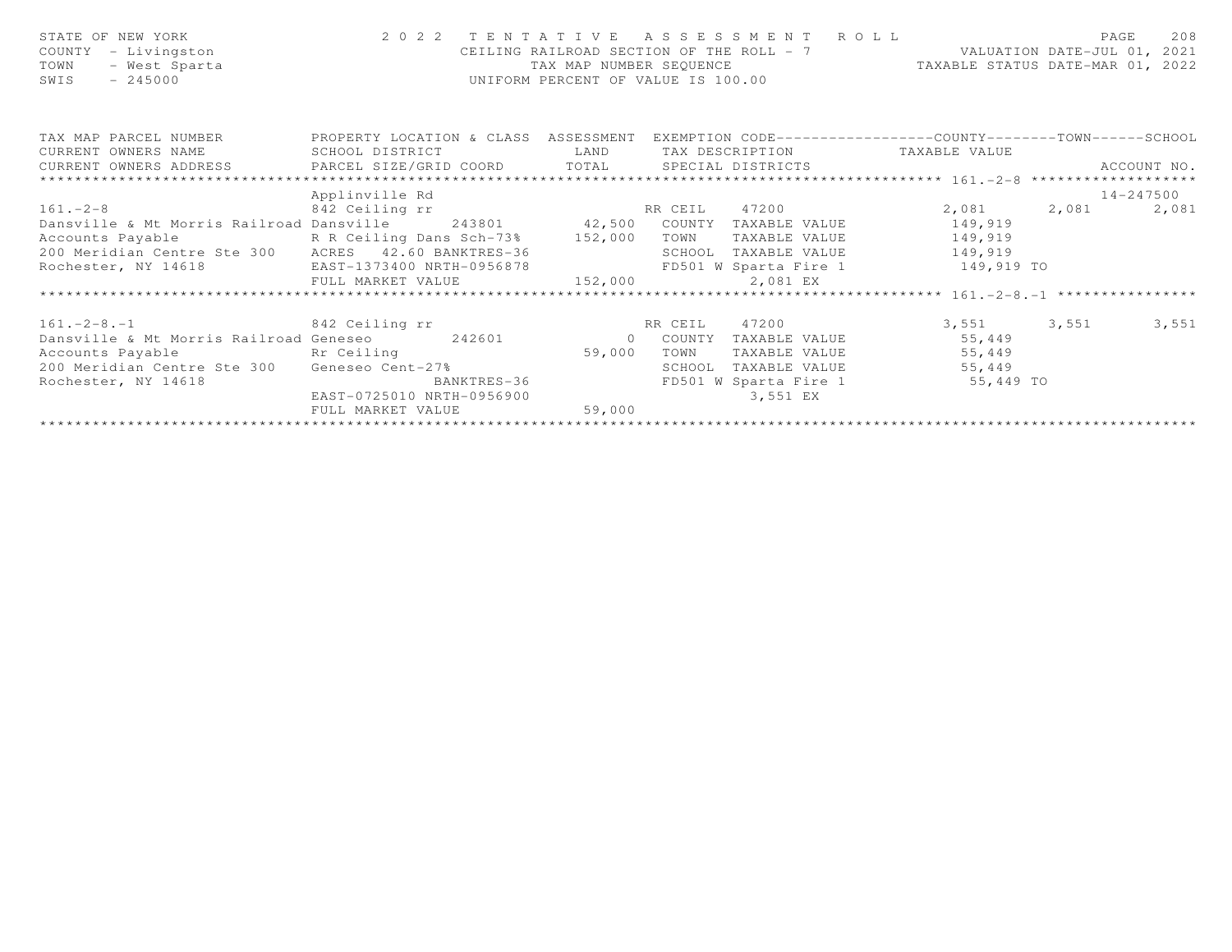| 2022 TENTATIVE<br>R O L L<br>A S S E S S M E N T<br>STATE OF NEW YORK<br>CEILING RAILROAD SECTION OF THE ROLL - 7 VALUATION DATE-JUL 01, 2021<br>COUNTY<br>- Livingston<br>TAXABLE STATUS DATE-MAR 01, 2022<br>- West Sparta<br>TAX MAP NUMBER SEQUENCE<br>TOWN<br>SWIS<br>$-245000$<br>UNIFORM PERCENT OF VALUE IS 100.00 | 208<br>PAGE          |
|----------------------------------------------------------------------------------------------------------------------------------------------------------------------------------------------------------------------------------------------------------------------------------------------------------------------------|----------------------|
| PROPERTY LOCATION & CLASS ASSESSMENT EXEMPTION CODE---------------COUNTY-------TOWN------SCHOOL<br>TAX MAP PARCEL NUMBER                                                                                                                                                                                                   |                      |
| LAND LAND<br>TAX DESCRIPTION TAXABLE VALUE<br>CURRENT OWNERS NAME<br>SCHOOL DISTRICT                                                                                                                                                                                                                                       |                      |
| CURRENT OWNERS ADDRESS <b>EXELL SIZE/GRID COORD</b> TOTAL SPECIAL DISTRICTS                                                                                                                                                                                                                                                | ACCOUNT NO.          |
| Applinville Rd                                                                                                                                                                                                                                                                                                             | 14-247500            |
| $161. - 2 - 8$<br>842 Ceiling rr<br>RR CEIL 47200                                                                                                                                                                                                                                                                          | 2,081 2,081<br>2,081 |
| Dansville & Mt Morris Railroad Dansville 243801 42,500<br>COUNTY<br>149,919<br>TAXABLE VALUE                                                                                                                                                                                                                               |                      |
| Accounts Payable R R Ceiling Dans Sch-73% 152,000<br>TAXABLE VALUE<br>149,919<br>TOWN                                                                                                                                                                                                                                      |                      |
| 200 Meridian Centre Ste 300 ACRES 42.60 BANKTRES-36<br>SCHOOL TAXABLE VALUE<br>149,919                                                                                                                                                                                                                                     |                      |
| FD501 W Sparta Fire 1 149,919 TO<br>Rochester, NY 14618<br>EAST-1373400 NRTH-0956878                                                                                                                                                                                                                                       |                      |
| 152,000<br>2,081 EX<br>FULL MARKET VALUE                                                                                                                                                                                                                                                                                   |                      |
|                                                                                                                                                                                                                                                                                                                            |                      |
| $161. -2 - 8. -1$ 842 Ceiling rr<br>RR CEIL<br>47200                                                                                                                                                                                                                                                                       | 3,551 3,551<br>3,551 |
| Dansville & Mt Morris Railroad Geneseo 242601<br>TAXABLE VALUE<br>0 COUNTY                                                                                                                                                                                                                                                 | 55,449               |
| Accounts Payable<br>59,000<br>Rr Ceiling<br>TOWN<br>TAXABLE VALUE                                                                                                                                                                                                                                                          | 55,449               |
| 200 Meridian Centre Ste 300<br>TAXABLE VALUE<br>Geneseo Cent-27%<br>SCHOOL<br>55,449                                                                                                                                                                                                                                       |                      |
| FD501 W Sparta Fire 1 55,449 TO<br>Rochester, NY 14618<br>BANKTRES-36                                                                                                                                                                                                                                                      |                      |
| EAST-0725010 NRTH-0956900<br>3,551 EX                                                                                                                                                                                                                                                                                      |                      |
| 59,000<br>FULL MARKET VALUE                                                                                                                                                                                                                                                                                                |                      |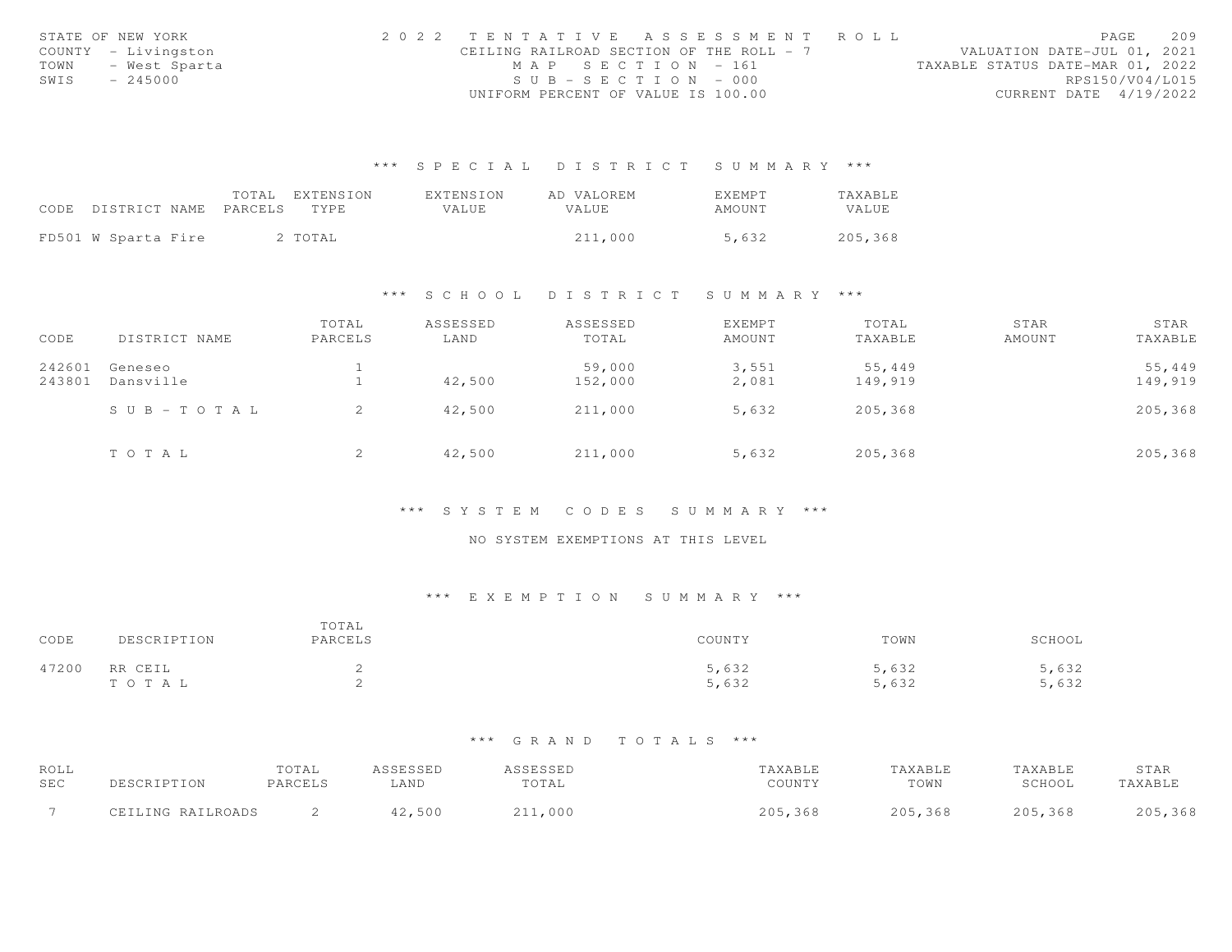|      | STATE OF NEW YORK   | 2022 TENTATIVE ASSESSMENT ROLL           |                       |  |                                  |                        | PAGE | 209 |
|------|---------------------|------------------------------------------|-----------------------|--|----------------------------------|------------------------|------|-----|
|      | COUNTY - Livingston | CEILING RAILROAD SECTION OF THE ROLL - 7 |                       |  | VALUATION DATE-JUL 01, 2021      |                        |      |     |
| TOWN | - West Sparta       |                                          | MAP SECTION - 161     |  | TAXABLE STATUS DATE-MAR 01, 2022 |                        |      |     |
| SWIS | $-245000$           |                                          | $SUB - SECTION - 000$ |  |                                  | RPS150/V04/L015        |      |     |
|      |                     | UNIFORM PERCENT OF VALUE IS 100.00       |                       |  |                                  | CURRENT DATE 4/19/2022 |      |     |

|                            |  | TOTAL EXTENSION | EXTENSION    | AD VALOREM | <b>FXFMPT</b> | TAXABLE |
|----------------------------|--|-----------------|--------------|------------|---------------|---------|
| CODE DISTRICT NAME PARCELS |  | TYPE.           | <b>VALUE</b> | VALUE      | AMOUNT        | VALUE   |
|                            |  |                 |              |            |               |         |
| FD501 W Sparta Fire        |  | 2 TOTAL         |              | 211,000    | 5,632         | 205,368 |

# \*\*\* S C H O O L D I S T R I C T S U M M A R Y \*\*\*

| CODE             | DISTRICT NAME          | TOTAL<br>PARCELS | ASSESSED<br>LAND | ASSESSED<br>TOTAL | EXEMPT<br>AMOUNT | TOTAL<br>TAXABLE | STAR<br>AMOUNT | STAR<br>TAXABLE |
|------------------|------------------------|------------------|------------------|-------------------|------------------|------------------|----------------|-----------------|
| 242601<br>243801 | Geneseo<br>Dansville   |                  | 42,500           | 59,000            | 3,551<br>2,081   | 55,449           |                | 55,449          |
|                  |                        |                  |                  | 152,000           |                  | 149,919          |                | 149,919         |
|                  | $S \cup B - T O T A L$ |                  | 42,500           | 211,000           | 5,632            | 205,368          |                | 205,368         |
|                  | TOTAL                  |                  | 42,500           | 211,000           | 5,632            | 205,368          |                | 205,368         |

# \*\*\* S Y S T E M C O D E S S U M M A R Y \*\*\*

#### NO SYSTEM EXEMPTIONS AT THIS LEVEL

# \*\*\* E X E M P T I O N S U M M A R Y \*\*\*

| CODE  | DESCRIPTION      | TOTAL<br>PARCELS | COUNTY         | TOWN           | SCHOOL         |
|-------|------------------|------------------|----------------|----------------|----------------|
| 47200 | RR CEIL<br>TOTAL | ∼                | 5,632<br>5,632 | 5,632<br>5,632 | 5,632<br>5,632 |

| ROLL |                   | TOTAL   |      |       | 'AXABLE |             | "AXABLE | STAR   |
|------|-------------------|---------|------|-------|---------|-------------|---------|--------|
| SEC  |                   | PARCELS | ∟AND | TOTAL | COUNTY  | TOWN        | SCHOOL  | AXABLE |
|      | CEILING RAILROADS |         | 500  | 000   |         | つのら<br>.368 | .368    | ,368   |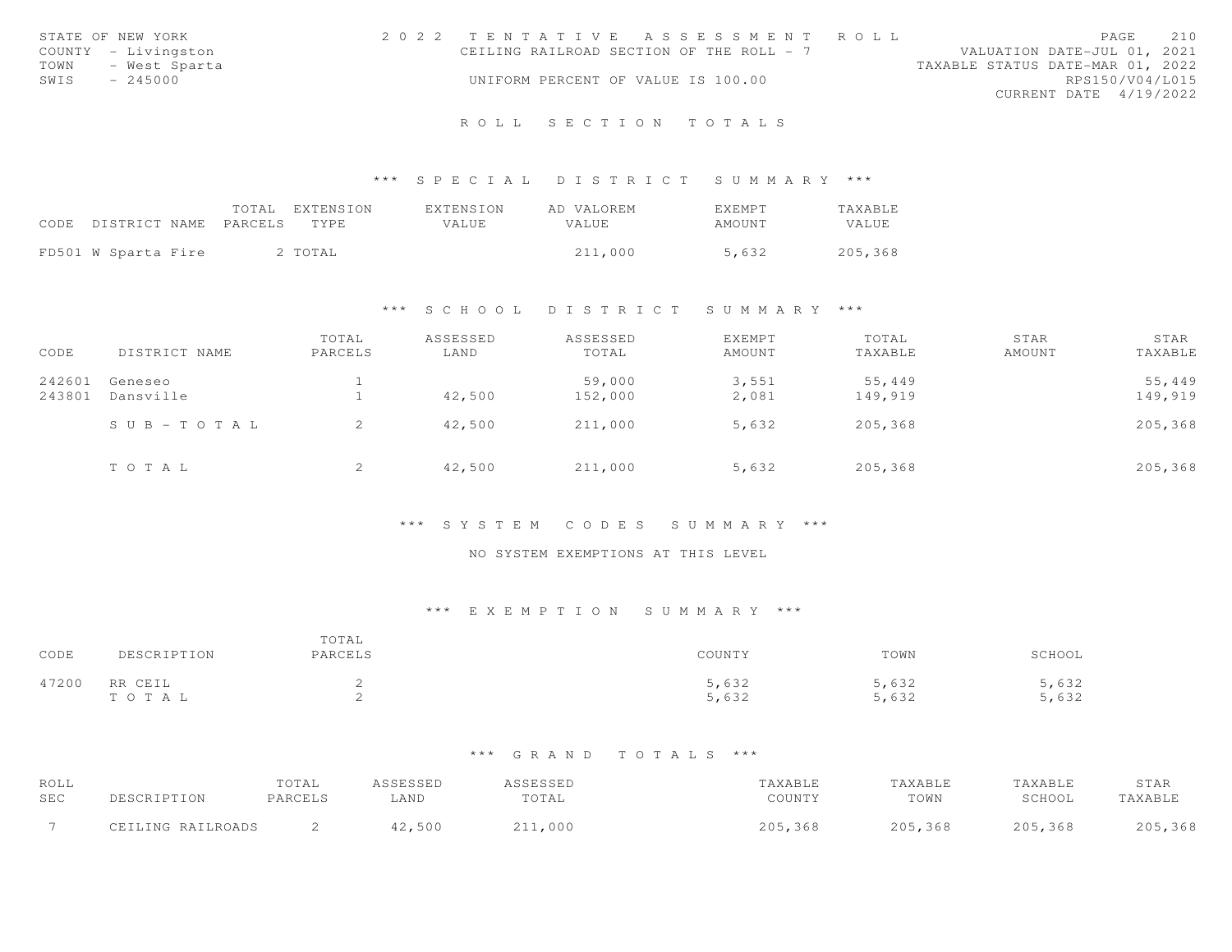|      | STATE OF NEW YORK   | 2022 TENTATIVE ASSESSMENT ROLL           |  |  |                                  |                        | PAGE | 210 |
|------|---------------------|------------------------------------------|--|--|----------------------------------|------------------------|------|-----|
|      | COUNTY - Livingston | CEILING RAILROAD SECTION OF THE ROLL - 7 |  |  | VALUATION DATE-JUL 01, 2021      |                        |      |     |
| TOWN | - West Sparta       |                                          |  |  | TAXABLE STATUS DATE-MAR 01, 2022 |                        |      |     |
| SWIS | $-245000$           | UNIFORM PERCENT OF VALUE IS 100.00       |  |  |                                  | RPS150/V04/L015        |      |     |
|      |                     |                                          |  |  |                                  | CURRENT DATE 4/19/2022 |      |     |
|      |                     |                                          |  |  |                                  |                        |      |     |

# \*\*\* S P E C I A L D I S T R I C T S U M M A R Y \*\*\*

|                                 |  | TOTAL EXTENSION | <b>EXTENSION</b> | AD VALOREM | <b>FXFMPT</b> | <b>TAXABLE</b> |
|---------------------------------|--|-----------------|------------------|------------|---------------|----------------|
| CODE DISTRICT NAME PARCELS TYPE |  |                 | VALUE            | VALUE.     | AMOUNT        | VALUE          |
| FD501 W Sparta Fire             |  | 2 TOTAL         |                  | 211,000    | 5,632         | 205,368        |

# \*\*\* S C H O O L D I S T R I C T S U M M A R Y \*\*\*

| CODE             | DISTRICT NAME         | TOTAL<br>PARCELS | ASSESSED<br>LAND | ASSESSED<br>TOTAL | EXEMPT<br>AMOUNT | TOTAL<br>TAXABLE  | STAR<br>AMOUNT | STAR<br>TAXABLE   |
|------------------|-----------------------|------------------|------------------|-------------------|------------------|-------------------|----------------|-------------------|
| 242601<br>243801 | Geneseo<br>Dansville  |                  | 42,500           | 59,000<br>152,000 | 3,551<br>2,081   | 55,449<br>149,919 |                | 55,449<br>149,919 |
|                  | $S \cup B - TO T A L$ | 2                | 42,500           | 211,000           | 5,632            | 205,368           |                | 205,368           |
|                  | TOTAL                 | ∠                | 42,500           | 211,000           | 5,632            | 205,368           |                | 205,368           |

# \*\*\* S Y S T E M C O D E S S U M M A R Y \*\*\*

# NO SYSTEM EXEMPTIONS AT THIS LEVEL

# \*\*\* E X E M P T I O N S U M M A R Y \*\*\*

| CODE  | DESCRIPTION      | TOTAL<br>PARCELS | COUNTY         | TOWN           | SCHOOL        |
|-------|------------------|------------------|----------------|----------------|---------------|
| 47200 | RR CEIL<br>TOTAL |                  | 5,632<br>5,632 | 5,632<br>5,632 | ,632<br>5,632 |

| ROLL       |                   | TOTAL   | ASSESSED | ASSESSED | TAXABLE | TAXABLE | TAXABLE | STAR    |
|------------|-------------------|---------|----------|----------|---------|---------|---------|---------|
| <b>SEC</b> | PESCRIPTION       | PARCELS | LAND     | TOTAL    | COUNTY  | TOWN    | SCHOOL  | TAXABLE |
|            | CEILING RAILROADS |         | 42,500   | 211,000  | 205,368 | 205,368 | 205,368 | 205,368 |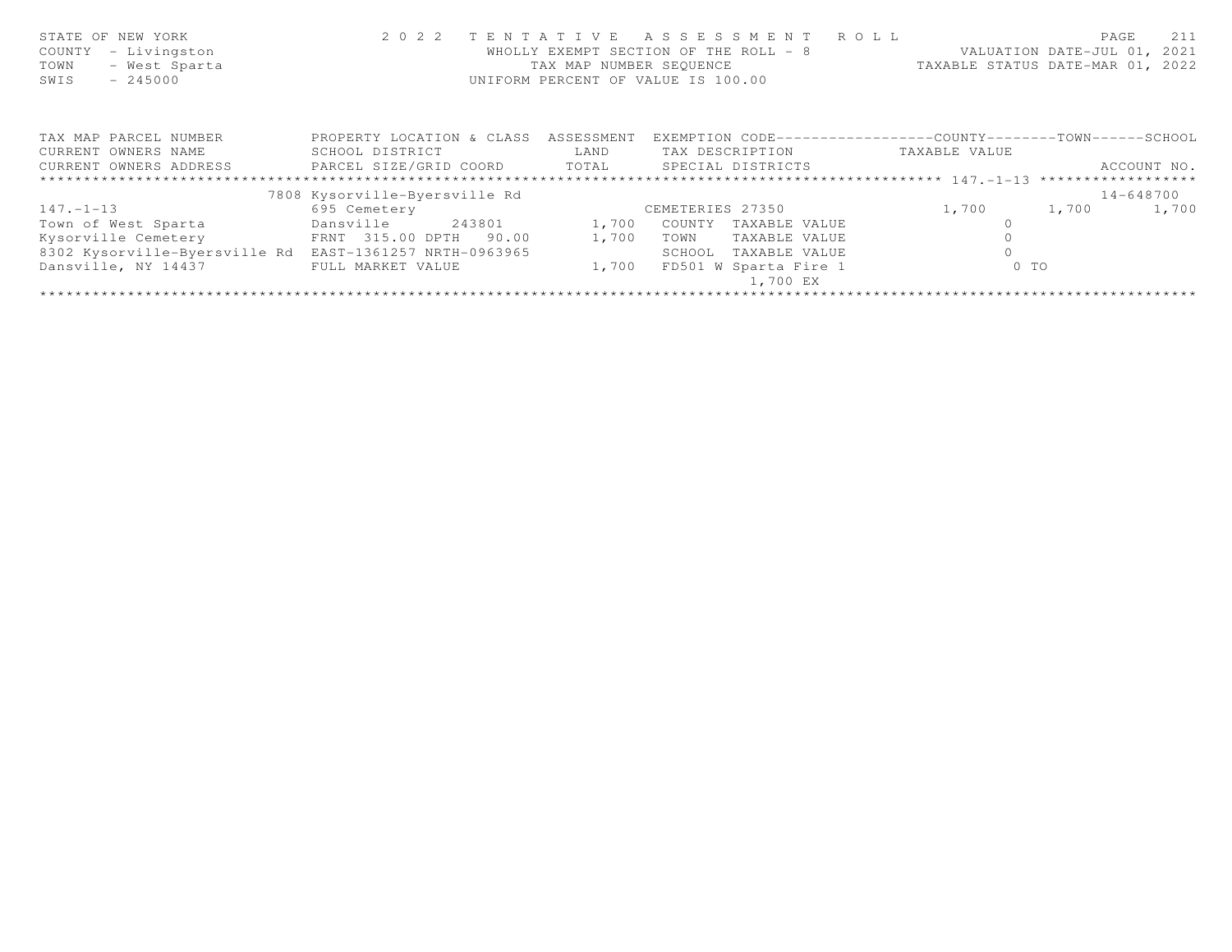| STATE OF NEW YORK<br>- Livingston<br>COUNTY<br>- West Sparta<br>TOWN<br>$-245000$<br>SWIS | 2 0 2 2                                        | TENTATIVE<br>TAX MAP NUMBER SEOUENCE | R O L L<br>A S S E S S M E N T<br>WHOLLY EXEMPT SECTION OF THE ROLL - 8<br>UNIFORM PERCENT OF VALUE IS 100.00 | VALUATION DATE-JUL 01, 2021<br>TAXABLE STATUS DATE-MAR 01, 2022 | 211<br>PAGE   |
|-------------------------------------------------------------------------------------------|------------------------------------------------|--------------------------------------|---------------------------------------------------------------------------------------------------------------|-----------------------------------------------------------------|---------------|
| TAX MAP PARCEL NUMBER                                                                     | PROPERTY LOCATION & CLASS                      | ASSESSMENT                           | EXEMPTION CODE-----------------COUNTY-------TOWN------SCHOOL                                                  |                                                                 |               |
| CURRENT OWNERS NAME                                                                       | SCHOOL DISTRICT                                | LAND                                 | TAX DESCRIPTION                                                                                               | TAXABLE VALUE                                                   |               |
| CURRENT OWNERS ADDRESS                                                                    | PARCEL SIZE/GRID COORD TOTAL SPECIAL DISTRICTS |                                      |                                                                                                               |                                                                 | ACCOUNT NO.   |
|                                                                                           |                                                |                                      |                                                                                                               |                                                                 |               |
|                                                                                           | 7808 Kysorville-Byersville Rd                  |                                      |                                                                                                               |                                                                 | $14 - 648700$ |
| $147. - 1 - 13$                                                                           | 695 Cemetery                                   |                                      | CEMETERIES 27350                                                                                              | 1,700<br>1,700                                                  | 1,700         |
| Town of West Sparta                                                                       | Dansville<br>243801                            | 1,700                                | COUNTY<br>TAXABLE VALUE                                                                                       |                                                                 |               |
| Kysorville Cemetery                                                                       | FRNT 315.00 DPTH 90.00                         | 1,700                                | TAXABLE VALUE<br>TOWN                                                                                         |                                                                 |               |
| 8302 Kysorville-Byersville Rd                                                             | EAST-1361257 NRTH-0963965                      |                                      | TAXABLE VALUE<br>SCHOOL                                                                                       |                                                                 |               |
| Dansville, NY 14437                                                                       | FULL MARKET VALUE                              | 1,700                                | FD501 W Sparta Fire 1<br>1,700 EX                                                                             | $0$ TO                                                          |               |
|                                                                                           |                                                |                                      |                                                                                                               |                                                                 |               |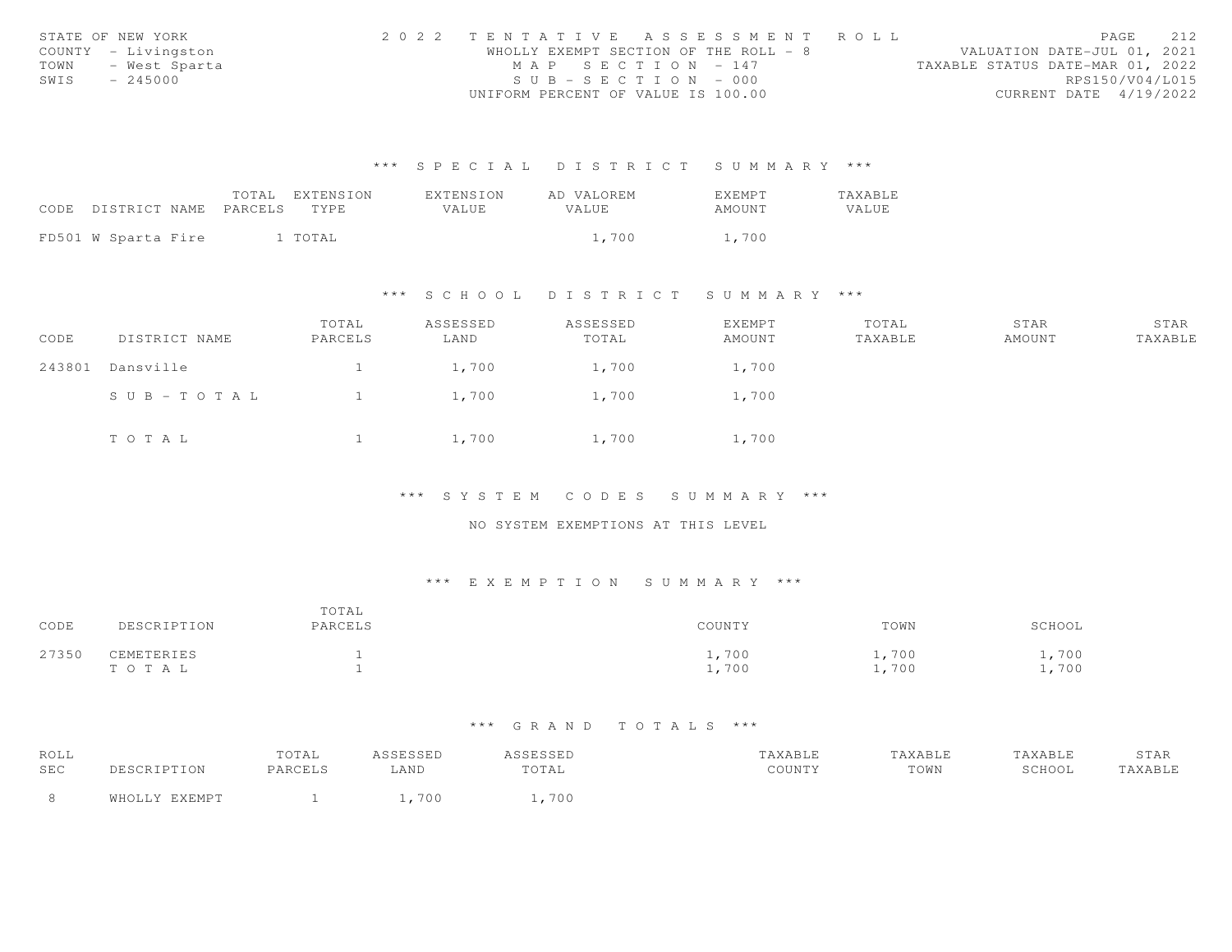|      | STATE OF NEW YORK   | 2022 TENTATIVE ASSESSMENT ROLL        |  |  |                                  |                        | PAGE | 212 |
|------|---------------------|---------------------------------------|--|--|----------------------------------|------------------------|------|-----|
|      | COUNTY - Livingston | WHOLLY EXEMPT SECTION OF THE ROLL - 8 |  |  | VALUATION DATE-JUL 01, 2021      |                        |      |     |
| TOWN | - West Sparta       | MAP SECTION - 147                     |  |  | TAXABLE STATUS DATE-MAR 01, 2022 |                        |      |     |
| SWIS | $-245000$           | $SUB - SECTION - 000$                 |  |  |                                  | RPS150/V04/L015        |      |     |
|      |                     | UNIFORM PERCENT OF VALUE IS 100.00    |  |  |                                  | CURRENT DATE 4/19/2022 |      |     |

|                            | TOTAL EXTENSION | <b>FXTENSION</b> | AD VALOREM   | <b>EXEMPT</b> | TAXABLE |
|----------------------------|-----------------|------------------|--------------|---------------|---------|
| CODE DISTRICT NAME PARCELS | TYPE.           | VALUE            | <b>VALUE</b> | AMOUNT        | VALUE   |
|                            |                 |                  |              |               |         |
| FD501 W Sparta Fire        | 1 TOTAL         |                  | 1,700        | 1,700         |         |

# \*\*\* S C H O O L D I S T R I C T S U M M A R Y \*\*\*

| CODE   | DISTRICT NAME | TOTAL<br>PARCELS | ASSESSED<br>LAND | ASSESSED<br>TOTAL | EXEMPT<br>AMOUNT | TOTAL<br>TAXABLE | STAR<br>AMOUNT | STAR<br>TAXABLE |
|--------|---------------|------------------|------------------|-------------------|------------------|------------------|----------------|-----------------|
| 243801 | Dansville     |                  | 1,700            | 1,700             | 1,700            |                  |                |                 |
|        | SUB-TOTAL     |                  | 1,700            | 1,700             | 1,700            |                  |                |                 |
|        | TOTAL         |                  | 1,700            | 1,700             | 1,700            |                  |                |                 |

\*\*\* S Y S T E M C O D E S S U M M A R Y \*\*\*

NO SYSTEM EXEMPTIONS AT THIS LEVEL

# \*\*\* E X E M P T I O N S U M M A R Y \*\*\*

| CODE  | DESCRIPTION         | TOTAL<br>PARCELS | COUNTY         | TOWN          | SCHOOL       |
|-------|---------------------|------------------|----------------|---------------|--------------|
| 27350 | CEMETERIES<br>TOTAL |                  | 1,700<br>1,700 | ,700<br>1,700 | ,700<br>,700 |

| ROLL |               | TOTAL   | ASSESSED | <i><b>SSESSED</b></i> | TAXABLE | TAXABLE | TAXABLE | STAR    |
|------|---------------|---------|----------|-----------------------|---------|---------|---------|---------|
| SEC  | DESCRIPTION   | PARCELS | LAND     | TOTAL                 | COUNTY  | TOWN    | SCHOOL  | TAXABLE |
|      | WHOLLY EXEMPT |         | 700      | 700                   |         |         |         |         |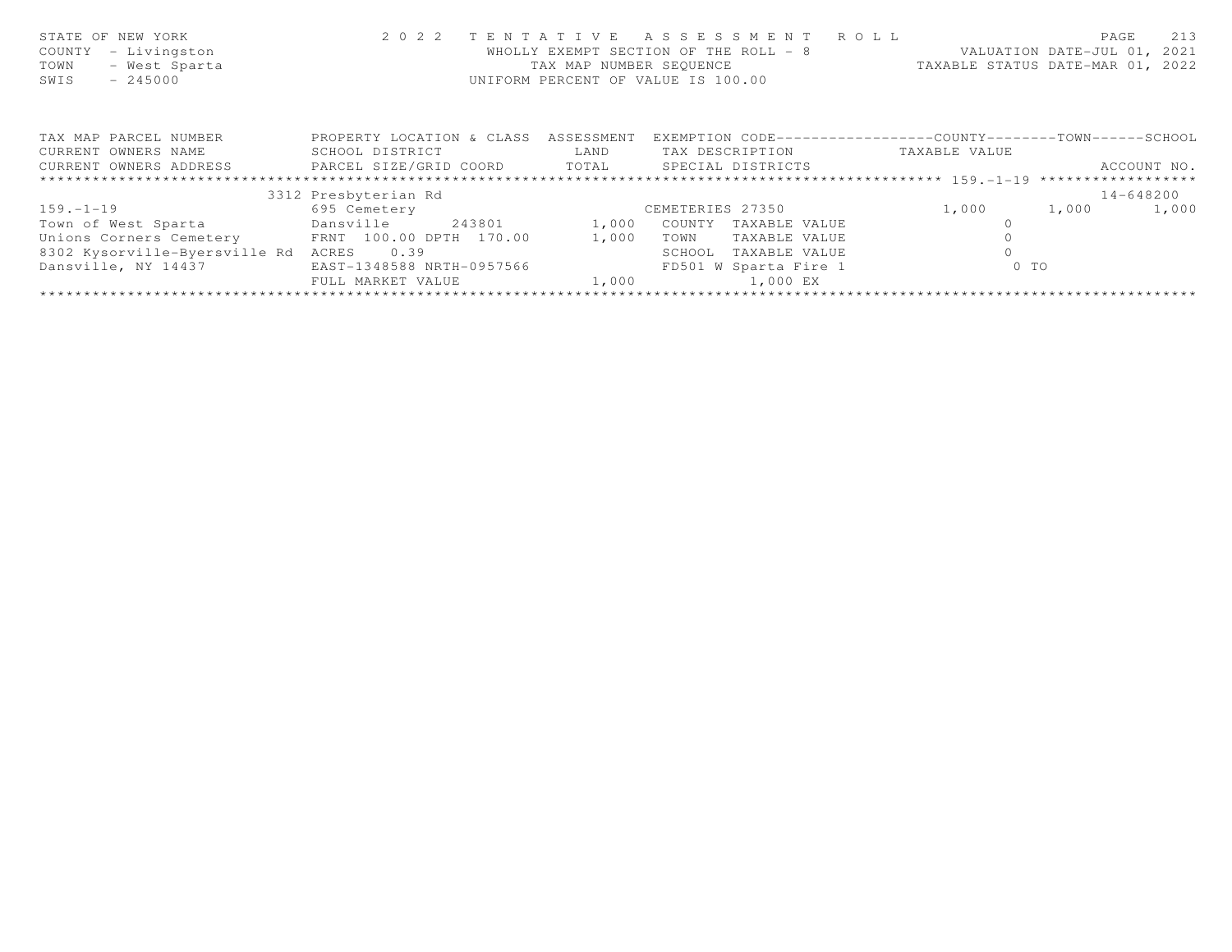| STATE OF NEW YORK<br>COUNTY<br>- Livingston<br>- West Sparta<br>TOWN<br>SWIS<br>$-245000$ | 2 0 2 2                      | TENTATIVE<br>TAX MAP NUMBER SEOUENCE | A S S E S S M E N T A O L L<br>WHOLLY EXEMPT SECTION OF THE ROLL - 8<br>UNIFORM PERCENT OF VALUE IS 100.00 |               | 213<br>PAGE<br>VALUATION DATE-JUL 01, 2021<br>TAXABLE STATUS DATE-MAR 01, 2022 |
|-------------------------------------------------------------------------------------------|------------------------------|--------------------------------------|------------------------------------------------------------------------------------------------------------|---------------|--------------------------------------------------------------------------------|
| TAX MAP PARCEL NUMBER                                                                     | PROPERTY LOCATION & CLASS    | ASSESSMENT                           | EXEMPTION CODE-----------------COUNTY-------TOWN------SCHOOL                                               |               |                                                                                |
| CURRENT OWNERS NAME                                                                       | SCHOOL DISTRICT              | LAND                                 | TAX DESCRIPTION                                                                                            | TAXABLE VALUE |                                                                                |
| CURRENT OWNERS ADDRESS                                                                    | PARCEL SIZE/GRID COORD TOTAL |                                      | SPECIAL DISTRICTS                                                                                          |               | ACCOUNT NO.                                                                    |
|                                                                                           |                              |                                      |                                                                                                            |               |                                                                                |
|                                                                                           | 3312 Presbyterian Rd         |                                      |                                                                                                            |               | $14 - 648200$                                                                  |
| $159. - 1 - 19$                                                                           | 695 Cemetery                 |                                      | CEMETERIES 27350                                                                                           | 1,000         | 1,000<br>1,000                                                                 |
| Town of West Sparta                                                                       | 243801<br>Dansville          | 1,000                                | COUNTY<br>TAXABLE VALUE                                                                                    |               |                                                                                |
| Unions Corners Cemetery FRNT 100.00 DPTH 170.00                                           |                              | 1,000                                | TOWN<br>TAXABLE VALUE                                                                                      |               |                                                                                |
| 8302 Kysorville-Byersville Rd                                                             | 0.39<br>ACRES                |                                      | SCHOOL<br>TAXABLE VALUE                                                                                    |               |                                                                                |
| Dansville, NY 14437                                                                       | EAST-1348588 NRTH-0957566    |                                      | FD501 W Sparta Fire 1                                                                                      | $0$ TO        |                                                                                |
|                                                                                           | FULL MARKET VALUE            | 1,000                                | 1,000 EX                                                                                                   |               |                                                                                |
|                                                                                           |                              |                                      |                                                                                                            |               |                                                                                |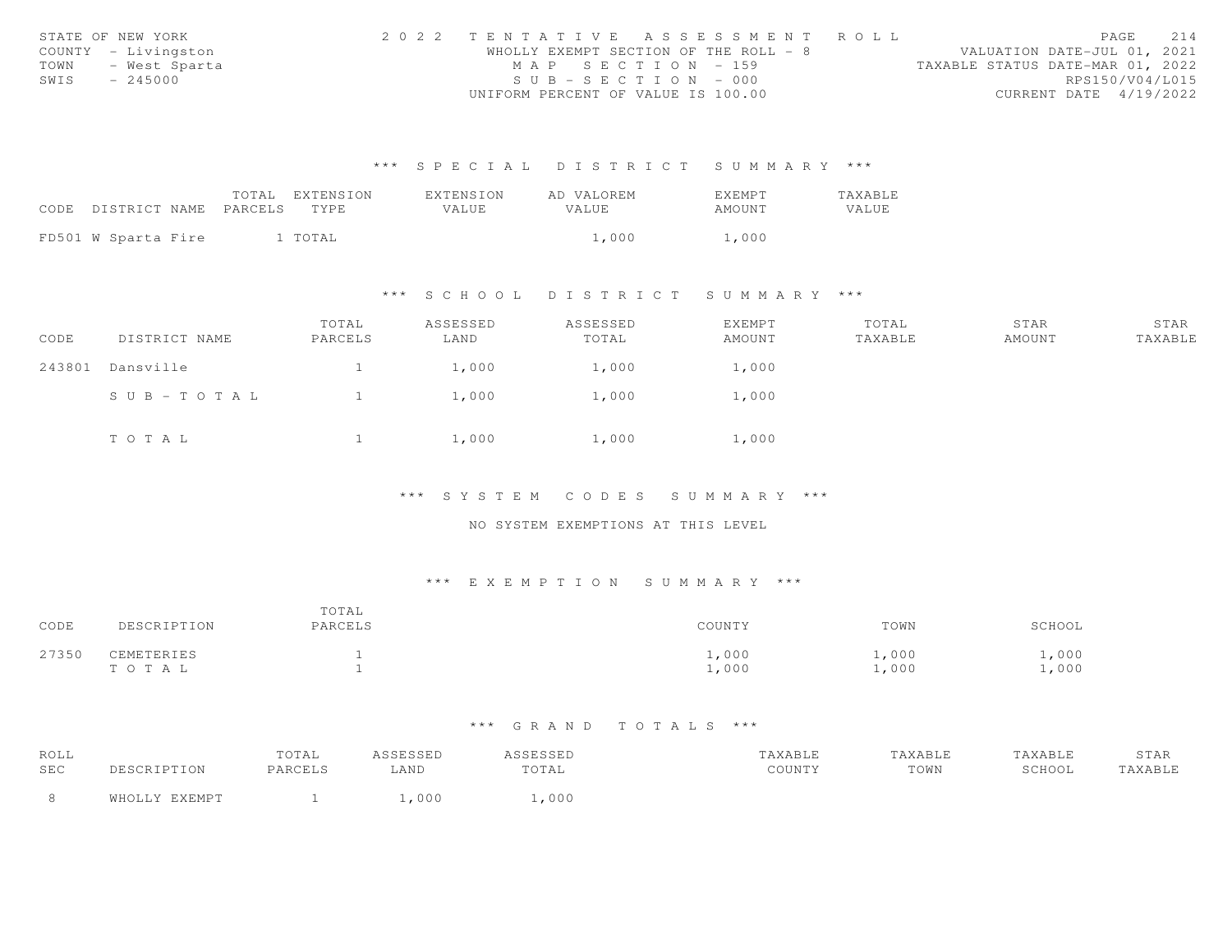|      | STATE OF NEW YORK   | 2022 TENTATIVE ASSESSMENT ROLL        |  |                                  | PAGE                   | 214 |
|------|---------------------|---------------------------------------|--|----------------------------------|------------------------|-----|
|      | COUNTY - Livingston | WHOLLY EXEMPT SECTION OF THE ROLL - 8 |  | VALUATION DATE-JUL 01, 2021      |                        |     |
| TOWN | - West Sparta       | MAP SECTION - 159                     |  | TAXABLE STATUS DATE-MAR 01, 2022 |                        |     |
| SWIS | $-245000$           | $SUB - SECTION - 000$                 |  |                                  | RPS150/V04/L015        |     |
|      |                     | UNIFORM PERCENT OF VALUE IS 100.00    |  |                                  | CURRENT DATE 4/19/2022 |     |

|      |                     |         | TOTAL EXTENSION | <b>FXTENSION</b> | AD VALOREM   | EXEMPT | TAXABLE |
|------|---------------------|---------|-----------------|------------------|--------------|--------|---------|
| CODE | DISTRICT NAME       | PARCELS | TYPE.           | <b>VALUE</b>     | <b>VALUE</b> | AMOUNT | VALUE   |
|      |                     |         |                 |                  |              |        |         |
|      | FD501 W Sparta Fire |         | l TOTAL         |                  | 1,000        | 1,000  |         |

# \*\*\* S C H O O L D I S T R I C T S U M M A R Y \*\*\*

| CODE   | DISTRICT NAME | TOTAL<br>PARCELS | ASSESSED<br>LAND | ASSESSED<br>TOTAL | EXEMPT<br>AMOUNT | TOTAL<br>TAXABLE | STAR<br>AMOUNT | STAR<br>TAXABLE |
|--------|---------------|------------------|------------------|-------------------|------------------|------------------|----------------|-----------------|
| 243801 | Dansville     |                  | 1,000            | 1,000             | 1,000            |                  |                |                 |
|        | SUB-TOTAL     |                  | 1,000            | 1,000             | 1,000            |                  |                |                 |
|        | TOTAL         |                  | 1,000            | 1,000             | 1,000            |                  |                |                 |

\*\*\* S Y S T E M C O D E S S U M M A R Y \*\*\*

NO SYSTEM EXEMPTIONS AT THIS LEVEL

# \*\*\* E X E M P T I O N S U M M A R Y \*\*\*

| CODE  | DESCRIPTION         | TOTAL<br>PARCELS | COUNTY         | TOWN         | SCHOOL       |
|-------|---------------------|------------------|----------------|--------------|--------------|
| 27350 | CEMETERIES<br>TOTAL |                  | 1,000<br>1,000 | ,000<br>,000 | .000<br>.000 |

| ROLL       |             | TOTAL   | A C C F C C F P | . سان با سال |        | TAXABLE | TAXABLE | STAR    |
|------------|-------------|---------|-----------------|--------------|--------|---------|---------|---------|
| <b>SEC</b> | DESCRIPTION | PARCELS | ⊥AND            | TOTAL        | COUNTY | TOWN    | SCHOOL  | TAXABLE |
|            | FYFMPT<br>൜ |         | 000             | ,000         |        |         |         |         |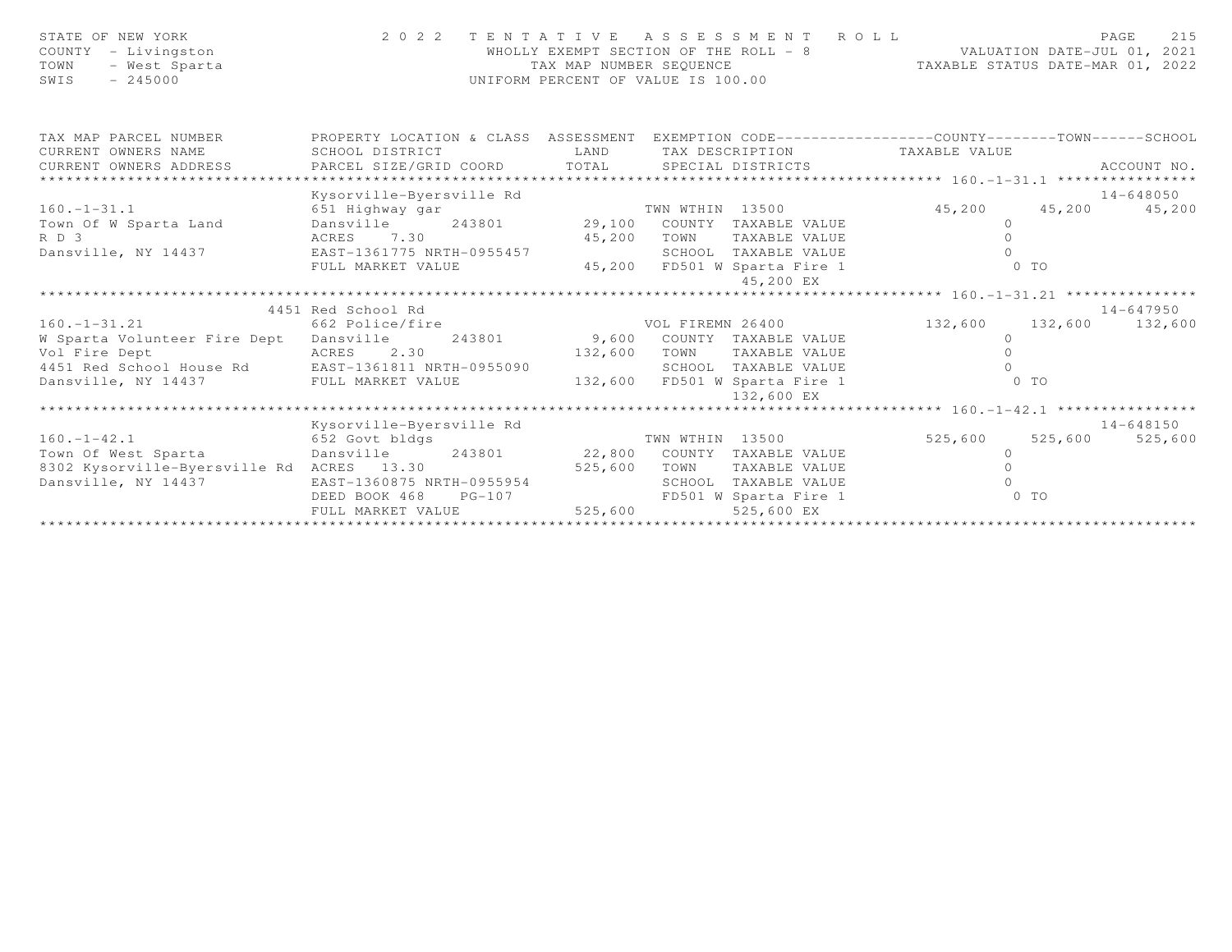| STATE OF NEW YORK<br>- Livingston<br>COUNTY<br>TOWN<br>- West Sparta<br>SWIS<br>$-245000$ |                                | TAX MAP NUMBER SEOUENCE | 2022 TENTATIVE ASSESSMENT ROLL<br>WHOLLY EXEMPT SECTION OF THE ROLL - 8<br>UNIFORM PERCENT OF VALUE IS 100.00 | VALUATION DATE-JUL 01, 2021<br>TAXABLE STATUS DATE-MAR 01, 2022                                  | 215<br>PAGE     |
|-------------------------------------------------------------------------------------------|--------------------------------|-------------------------|---------------------------------------------------------------------------------------------------------------|--------------------------------------------------------------------------------------------------|-----------------|
| TAX MAP PARCEL NUMBER                                                                     |                                |                         |                                                                                                               | PROPERTY LOCATION & CLASS ASSESSMENT EXEMPTION CODE----------------COUNTY-------TOWN------SCHOOL |                 |
| CURRENT OWNERS NAME                                                                       | SCHOOL DISTRICT                | LAND                    | TAX DESCRIPTION                                                                                               | TAXABLE VALUE                                                                                    |                 |
| CURRENT OWNERS ADDRESS                                                                    | PARCEL SIZE/GRID COORD TOTAL   |                         | SPECIAL DISTRICTS                                                                                             |                                                                                                  | ACCOUNT NO.     |
| ******************************                                                            |                                |                         |                                                                                                               |                                                                                                  |                 |
|                                                                                           | Kysorville-Byersville Rd       |                         |                                                                                                               |                                                                                                  | 14-648050       |
| $160. - 1 - 31.1$                                                                         | 651 Highway gar                |                         | TWN WTHIN 13500<br>29,100 COUNTY TAXABLE VALUE                                                                | 45,200                                                                                           | 45,200 45,200   |
| Town Of W Sparta Land<br>RD 3                                                             | Dansville 243801<br>ACRES 7.30 | 45,200                  | TOWN<br>TAXABLE VALUE                                                                                         | $\circ$<br>$\Omega$                                                                              |                 |
| Dansville, NY 14437                                                                       | EAST-1361775 NRTH-0955457      |                         | SCHOOL TAXABLE VALUE                                                                                          | $\Omega$                                                                                         |                 |
|                                                                                           | FULL MARKET VALUE              |                         | 45,200 FD501 W Sparta Fire 1                                                                                  | 0 <sub>T</sub>                                                                                   |                 |
|                                                                                           |                                |                         | 45,200 EX                                                                                                     |                                                                                                  |                 |
|                                                                                           |                                |                         |                                                                                                               |                                                                                                  |                 |
|                                                                                           | 4451 Red School Rd             |                         |                                                                                                               |                                                                                                  | 14-647950       |
| $160. - 1 - 31.21$                                                                        | 662 Police/fire                |                         | VOL FIREMN 26400                                                                                              | 132,600 132,600 132,600                                                                          |                 |
| W Sparta Volunteer Fire Dept Dansville                                                    | 243801                         |                         | 9,600 COUNTY TAXABLE VALUE                                                                                    | $\circ$                                                                                          |                 |
| Vol Fire Dept                                                                             | 2.30<br>ACRES                  | 132,600                 | TAXABLE VALUE<br>TOWN                                                                                         | $\Omega$                                                                                         |                 |
| 4451 Red School House Rd EAST-1361811 NRTH-0955090                                        |                                |                         | SCHOOL TAXABLE VALUE                                                                                          | $\bigcap$                                                                                        |                 |
| Dansville, NY 14437                                                                       | FULL MARKET VALUE              |                         | 132,600 FD501 W Sparta Fire 1<br>132,600 EX                                                                   | $0$ TO                                                                                           |                 |
|                                                                                           |                                |                         |                                                                                                               |                                                                                                  |                 |
|                                                                                           | Kysorville-Byersville Rd       |                         |                                                                                                               |                                                                                                  | 14-648150       |
| $160. - 1 - 42.1$                                                                         | 652 Govt bldgs                 |                         | TWN WTHIN 13500                                                                                               | 525,600                                                                                          | 525,600 525,600 |
| Town Of West Sparta Consville 243801                                                      |                                | 22,800                  | COUNTY TAXABLE VALUE                                                                                          | $\circ$                                                                                          |                 |
| 8302 Kysorville-Byersville Rd ACRES 13.30                                                 |                                | 525,600                 | TOWN<br>TAXABLE VALUE                                                                                         | $\Omega$                                                                                         |                 |
| Dansville, NY 14437                                                                       | EAST-1360875 NRTH-0955954      |                         | SCHOOL TAXABLE VALUE                                                                                          | $\cap$                                                                                           |                 |
|                                                                                           | DEED BOOK 468<br>$PG-107$      |                         | FD501 W Sparta Fire 1                                                                                         | $0$ TO                                                                                           |                 |
|                                                                                           | FULL MARKET VALUE              | 525,600                 | 525,600 EX                                                                                                    |                                                                                                  |                 |
|                                                                                           |                                |                         |                                                                                                               |                                                                                                  |                 |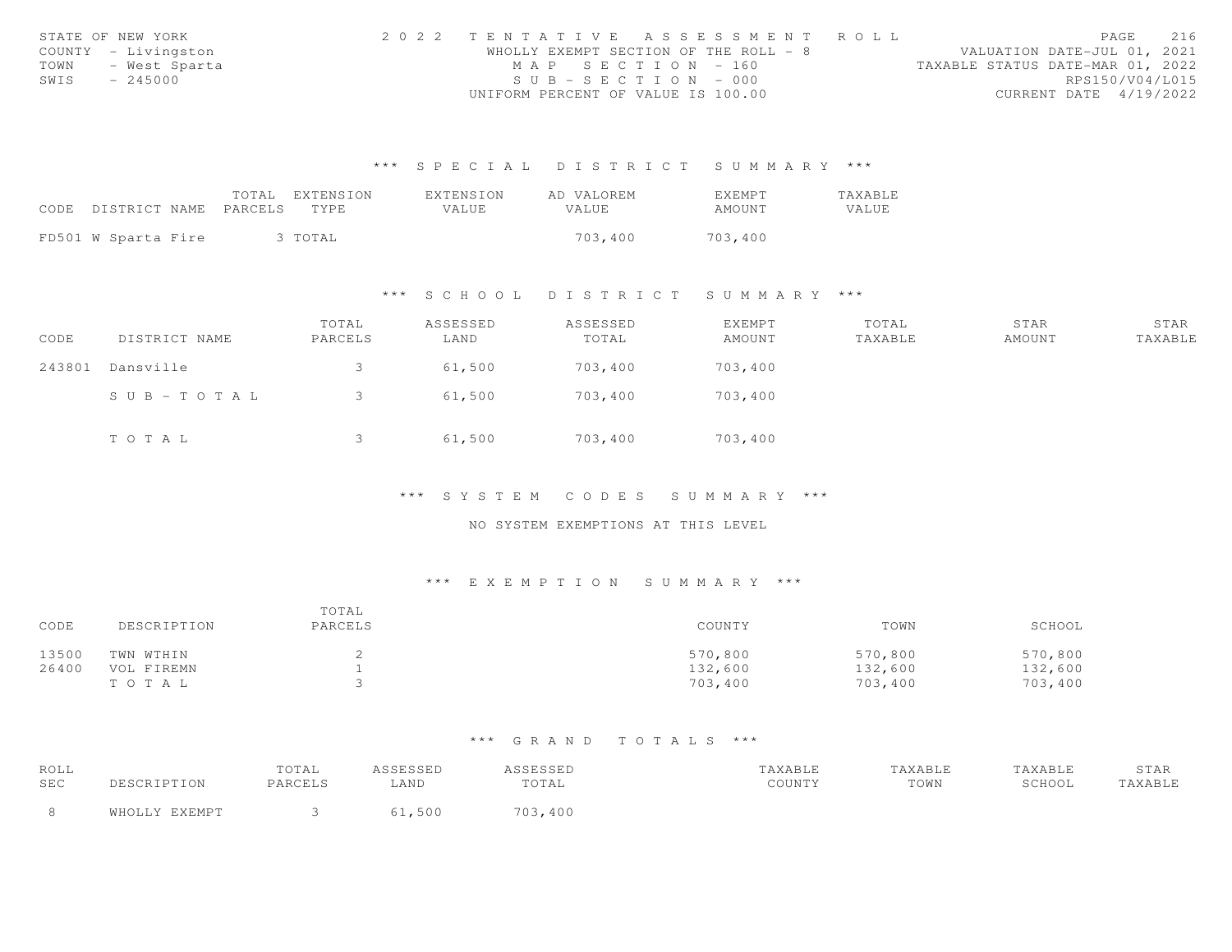|      | STATE OF NEW YORK   | 2022 TENTATIVE ASSESSMENT ROLL        |  |                                  | PAGE                   | 216 |
|------|---------------------|---------------------------------------|--|----------------------------------|------------------------|-----|
|      | COUNTY - Livingston | WHOLLY EXEMPT SECTION OF THE ROLL - 8 |  | VALUATION DATE-JUL 01, 2021      |                        |     |
| TOWN | - West Sparta       | MAP SECTION - 160                     |  | TAXABLE STATUS DATE-MAR 01, 2022 |                        |     |
| SWIS | $-245000$           | $SUB - SECTION - 000$                 |  |                                  | RPS150/V04/L015        |     |
|      |                     | UNIFORM PERCENT OF VALUE IS 100.00    |  |                                  | CURRENT DATE 4/19/2022 |     |

|                            | TOTAL | EXTENSION | EXTENSION | AD VALOREM   | <b>EXEMPT</b> | <b>TAXABLE</b> |
|----------------------------|-------|-----------|-----------|--------------|---------------|----------------|
| CODE DISTRICT NAME PARCELS |       | TYPE.     | VALUE.    | <b>VALUE</b> | AMOUNT        | VALUE          |
|                            |       |           |           |              |               |                |
| FD501 W Sparta Fire        |       | 3 TOTAL   |           | 703,400      | 703,400       |                |

#### \*\*\* S C H O O L D I S T R I C T S U M M A R Y \*\*\*

| CODE   | DISTRICT NAME         | TOTAL<br>PARCELS | ASSESSED<br>LAND | ASSESSED<br>TOTAL | EXEMPT<br>AMOUNT | TOTAL<br>TAXABLE | STAR<br>AMOUNT | STAR<br>TAXABLE |
|--------|-----------------------|------------------|------------------|-------------------|------------------|------------------|----------------|-----------------|
| 243801 | Dansville             |                  | 61,500           | 703,400           | 703,400          |                  |                |                 |
|        | $S \cup B - TO T A L$ |                  | 61,500           | 703,400           | 703,400          |                  |                |                 |
|        | TOTAL                 |                  | 61,500           | 703,400           | 703,400          |                  |                |                 |

# \*\*\* S Y S T E M C O D E S S U M M A R Y \*\*\*

# NO SYSTEM EXEMPTIONS AT THIS LEVEL

# \*\*\* E X E M P T I O N S U M M A R Y \*\*\*

| CODE  | DESCRIPTION | TOTAL<br>PARCELS | COUNTY  | TOWN    | SCHOOL  |
|-------|-------------|------------------|---------|---------|---------|
| 13500 | TWN WTHIN   |                  | 570,800 | 570,800 | 570,800 |
| 26400 | VOL FIREMN  |                  | 132,600 | 132,600 | 132,600 |
|       | TOTAL       |                  | 703,400 | 703,400 | 703,400 |

| ROLL |                | TOTAL   | A C C F C C F F<br>ستددت | ASSESSED      | TAXABLE | "AXABLE | TAXABLE | STAR    |
|------|----------------|---------|--------------------------|---------------|---------|---------|---------|---------|
| SEC  | DESCRIPTION    | PARCELS | <b>AND</b>               | TOTAL         | COUNTY  | TOWN    | SCHOOL  | TAXABLE |
|      | FVFMDT<br>ធាម∩ |         | 50 <sub>c</sub>          | フハミ<br>,3,400 |         |         |         |         |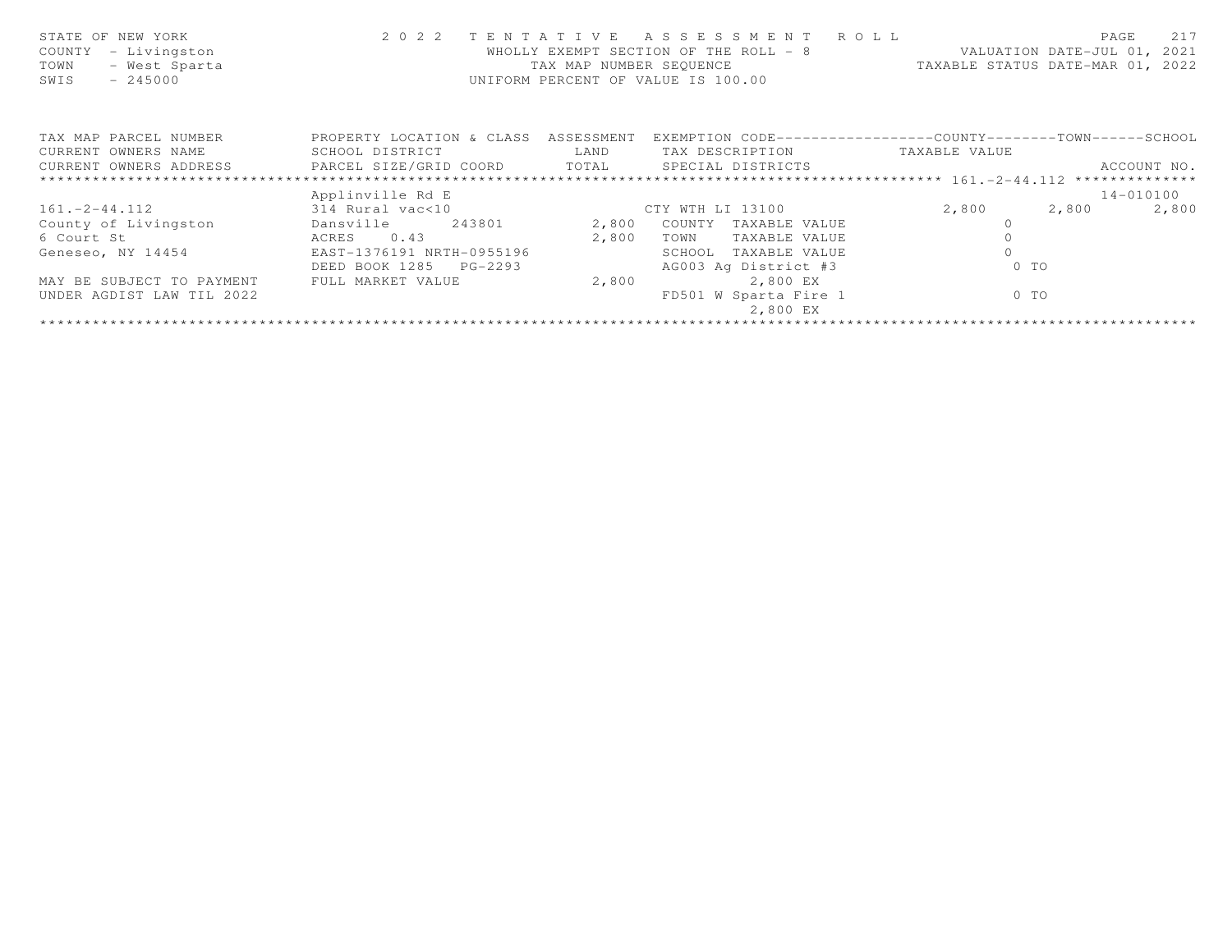| STATE OF NEW YORK<br>- Livingston<br>COUNTY<br>- West Sparta<br>TOWN<br>$-245000$<br>SWIS | 2 0 2 2                              | TENTATIVE<br>TAX MAP NUMBER SEQUENCE | ASSESSMENT ROLL<br>WHOLLY EXEMPT SECTION OF THE ROLL - 8<br>UNIFORM PERCENT OF VALUE IS 100.00 | VALUATION DATE-JUL 01, 2021<br>TAXABLE STATUS DATE-MAR 01, 2022 | 217<br>PAGE    |
|-------------------------------------------------------------------------------------------|--------------------------------------|--------------------------------------|------------------------------------------------------------------------------------------------|-----------------------------------------------------------------|----------------|
| TAX MAP PARCEL NUMBER                                                                     | PROPERTY LOCATION & CLASS ASSESSMENT |                                      | EXEMPTION CODE-----------------COUNTY-------TOWN------SCHOOL                                   |                                                                 |                |
| CURRENT OWNERS NAME                                                                       | SCHOOL DISTRICT                      | LAND                                 | TAX DESCRIPTION                                                                                | TAXABLE VALUE                                                   |                |
| CURRENT OWNERS ADDRESS     PARCEL SIZE/GRID COORD     TOTAL     SPECIAL DISTRICTS         |                                      |                                      |                                                                                                |                                                                 | ACCOUNT NO.    |
|                                                                                           |                                      |                                      |                                                                                                |                                                                 |                |
|                                                                                           | Applinville Rd E                     |                                      |                                                                                                |                                                                 | 14-010100      |
| $161 - 2 - 44.112$                                                                        | 314 Rural vac<10                     |                                      | CTY WTH LI 13100                                                                               | 2,800                                                           | 2,800<br>2,800 |
| County of Livingston                                                                      | Dansville 243801                     | 2,800                                | COUNTY TAXABLE VALUE                                                                           |                                                                 |                |
| ACRES 0.43<br>6 Court St                                                                  |                                      | 2,800                                | TOWN<br>TAXABLE VALUE                                                                          |                                                                 |                |
| Geneseo, NY 14454 EAST-1376191 NRTH-0955196                                               |                                      |                                      | SCHOOL<br>TAXABLE VALUE                                                                        |                                                                 |                |
|                                                                                           | DEED BOOK 1285 PG-2293               |                                      | AG003 Ag District #3                                                                           | $0$ TO                                                          |                |
| MAY BE SUBJECT TO PAYMENT                                                                 | FULL MARKET VALUE                    | 2,800                                | 2,800 EX                                                                                       |                                                                 |                |
| UNDER AGDIST LAW TIL 2022                                                                 |                                      |                                      | FD501 W Sparta Fire 1<br>2,800 EX                                                              | $0$ TO                                                          |                |
|                                                                                           |                                      |                                      |                                                                                                |                                                                 |                |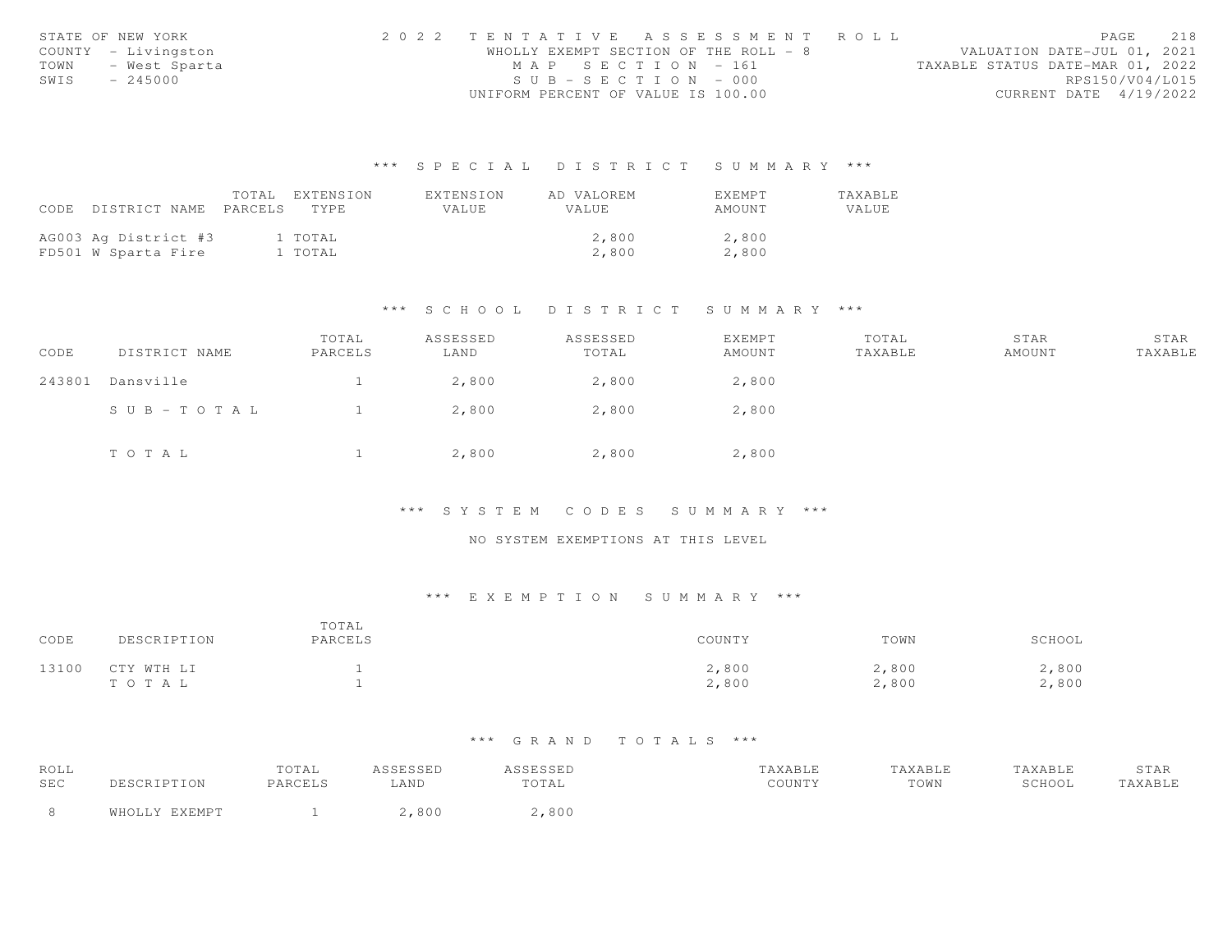|      | STATE OF NEW YORK   | 2022 TENTATIVE ASSESSMENT ROLL |                                       |                                  | PAGE                   | 218 |
|------|---------------------|--------------------------------|---------------------------------------|----------------------------------|------------------------|-----|
|      | COUNTY - Livingston |                                | WHOLLY EXEMPT SECTION OF THE ROLL - 8 | VALUATION DATE-JUL 01, 2021      |                        |     |
| TOWN | - West Sparta       |                                | MAP SECTION - 161                     | TAXABLE STATUS DATE-MAR 01, 2022 |                        |     |
| SWIS | - 245000            |                                | $SUB - SECTION - 000$                 |                                  | RPS150/V04/L015        |     |
|      |                     |                                | UNIFORM PERCENT OF VALUE IS 100.00    |                                  | CURRENT DATE 4/19/2022 |     |

|      |                       | TOTAL EXTENSION | EXTENSION | AD VALOREM   | EXEMPT | TAXABLE |
|------|-----------------------|-----------------|-----------|--------------|--------|---------|
| CODE | DISTRICT NAME PARCELS | TYPE.           | VALUE     | <b>VALUE</b> | AMOUNT | VALUE   |
|      |                       |                 |           |              |        |         |
|      | AG003 Ag District #3  | 1 TOTAL         |           | 2,800        | 2,800  |         |
|      | FD501 W Sparta Fire   | 1 TOTAL         |           | 2,800        | 2,800  |         |

### \*\*\* S C H O O L D I S T R I C T S U M M A R Y \*\*\*

| CODE   | DISTRICT NAME | TOTAL<br>PARCELS | ASSESSED<br>LAND | ASSESSED<br>TOTAL | EXEMPT<br>AMOUNT | TOTAL<br>TAXABLE | STAR<br>AMOUNT | STAR<br>TAXABLE |
|--------|---------------|------------------|------------------|-------------------|------------------|------------------|----------------|-----------------|
| 243801 | Dansville     |                  | 2,800            | 2,800             | 2,800            |                  |                |                 |
|        | SUB-TOTAL     |                  | 2,800            | 2,800             | 2,800            |                  |                |                 |
|        | TOTAL         |                  | 2,800            | 2,800             | 2,800            |                  |                |                 |

#### \*\*\* S Y S T E M C O D E S S U M M A R Y \*\*\*

#### NO SYSTEM EXEMPTIONS AT THIS LEVEL

# \*\*\* E X E M P T I O N S U M M A R Y \*\*\*

| CODE  | DESCRIPTION         | TOTAL<br>PARCELS | COUNTY         | TOWN           | SCHOOL         |
|-------|---------------------|------------------|----------------|----------------|----------------|
| 13100 | CTY WTH LI<br>TOTAL |                  | 2,800<br>2,800 | 2,800<br>2,800 | 2,800<br>2,800 |

| ROLL |               | TOTAL   | ASSESSED | ASSESSED | TAXABLE | TAXABLE | TAXABLE | STAR    |
|------|---------------|---------|----------|----------|---------|---------|---------|---------|
| SEC  | DESCRIPTION   | PARCELS | LAND     | TOTAL    | COUNTY  | TOWN    | SCHOOL  | TAXABLE |
|      | WHOLLY EXEMPT |         | 800      | 2,800    |         |         |         |         |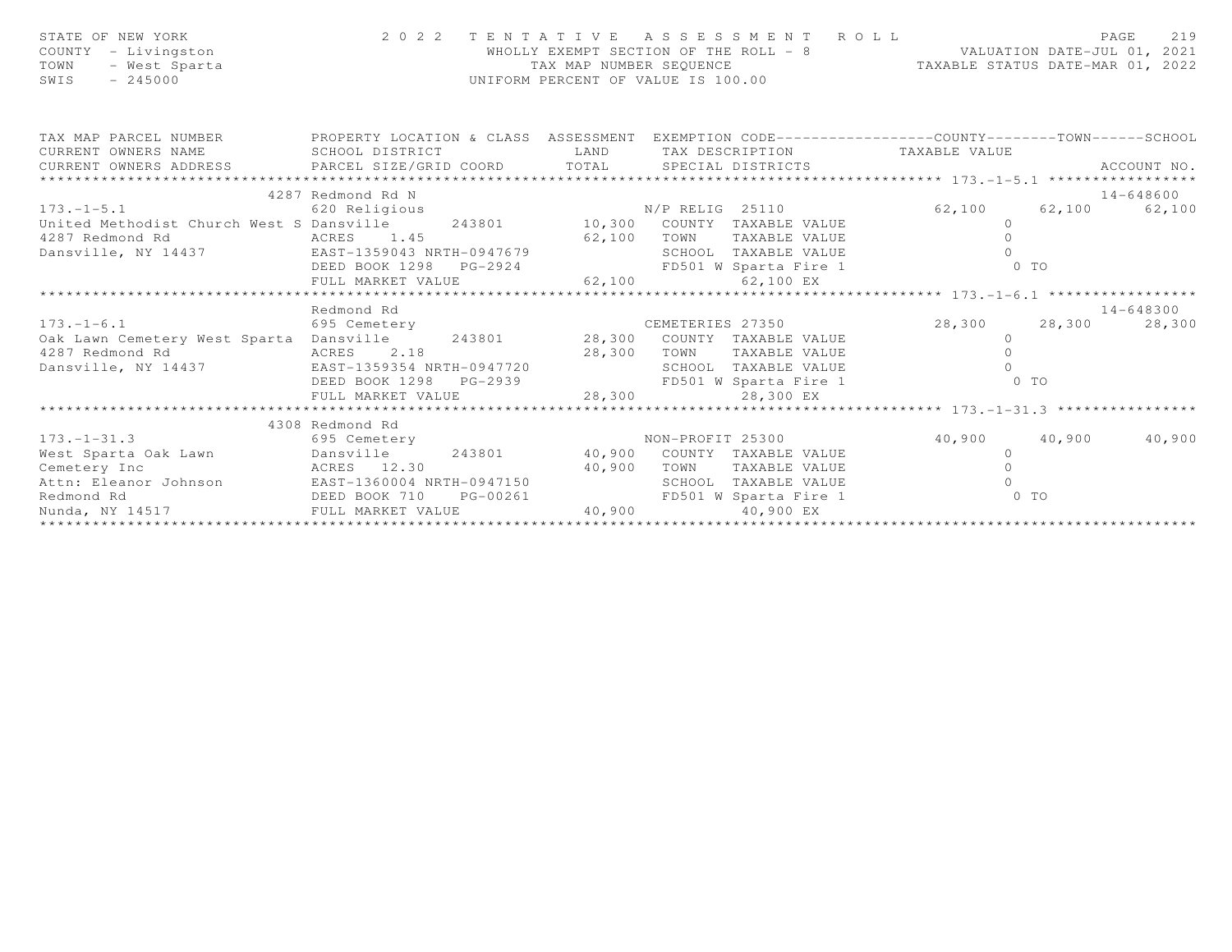| STATE OF NEW YORK<br>COUNTY - Livingston<br>- West Sparta<br>TOWN<br>$-245000$<br>SWIS                                                             |                           | TAX MAP NUMBER SEOUENCE | 2022 TENTATIVE ASSESSMENT ROLL<br>WHOLLY EXEMPT SECTION OF THE ROLL - 8<br>WALUATION DATE-JUL 01, 2021<br>UNIFORM PERCENT OF VALUE IS 100.00 | TAXABLE STATUS DATE-MAR 01, 2022 | 219<br>PAGE         |
|----------------------------------------------------------------------------------------------------------------------------------------------------|---------------------------|-------------------------|----------------------------------------------------------------------------------------------------------------------------------------------|----------------------------------|---------------------|
| TAX MAP PARCEL NUMBER THE PROPERTY LOCATION & CLASS ASSESSMENT EXEMPTION CODE----------------COUNTY--------TOWN------SCHOOL<br>CURRENT OWNERS NAME | SCHOOL DISTRICT           | LAND                    | TAX DESCRIPTION TAXABLE VALUE                                                                                                                |                                  |                     |
|                                                                                                                                                    |                           |                         |                                                                                                                                              |                                  | ACCOUNT NO.         |
| ************************                                                                                                                           |                           |                         |                                                                                                                                              |                                  |                     |
|                                                                                                                                                    | 4287 Redmond Rd N         |                         |                                                                                                                                              |                                  | 14-648600           |
| 173.-1-5.1<br>620 Religious<br>United Methodist Church West S Dansville 243801 10,300 COUNTY TAXABLE VALUE                                         |                           |                         |                                                                                                                                              | 62,100 62,100 62,100             |                     |
|                                                                                                                                                    |                           |                         |                                                                                                                                              | $\circ$                          |                     |
| 4287 Redmond Rd                                                                                                                                    | ACRES 1.45                |                         |                                                                                                                                              | $\circ$                          |                     |
| Dansville, NY 14437 EAST-1359043 NRTH-0947679                                                                                                      |                           |                         | 62,100 TOWN TAXABLE VALUE<br>SCHOOL TAXABLE VALUE                                                                                            |                                  |                     |
|                                                                                                                                                    |                           |                         |                                                                                                                                              |                                  |                     |
|                                                                                                                                                    |                           |                         |                                                                                                                                              |                                  |                     |
|                                                                                                                                                    |                           |                         |                                                                                                                                              |                                  |                     |
| $173. - 1 - 6.1$                                                                                                                                   | Redmond Rd                |                         | CEMETERIES 27350                                                                                                                             | 28,300 28,300                    | 14-648300<br>28,300 |
| Oak Lawn Cemetery West Sparta Dansville 243801 28,300 COUNTY TAXABLE VALUE                                                                         | 695 Cemetery              |                         |                                                                                                                                              | $\circ$                          |                     |
| 4287 Redmond Rd                                                                                                                                    | ACRES 2.18                | 28,300 TOWN             | TAXABLE VALUE                                                                                                                                | $\circ$                          |                     |
| Dansville, NY 14437                                                                                                                                | EAST-1359354 NRTH-0947720 |                         | SCHOOL TAXABLE VALUE                                                                                                                         | $\Omega$                         |                     |
|                                                                                                                                                    | DEED BOOK 1298            |                         | PG-2939 FD501 W Sparta Fire 1                                                                                                                | $0$ TO                           |                     |
|                                                                                                                                                    | FULL MARKET VALUE         | 28,300                  | 28,300 EX                                                                                                                                    |                                  |                     |
|                                                                                                                                                    |                           |                         |                                                                                                                                              |                                  |                     |
|                                                                                                                                                    | 4308 Redmond Rd           |                         |                                                                                                                                              |                                  |                     |
| 173. –1–31.3<br>695 Cemetery                                                                                                                       |                           |                         | NON-PROFIT 25300                                                                                                                             | 40,900 40,900                    | 40,900              |
| 173.-1-31.3 695 Cemetery MON-PROFIT 25300<br>West Sparta Oak Lawn Dansville 243801 40,900 COUNTY TAXABLE VALUE                                     |                           |                         |                                                                                                                                              | $\overline{0}$                   |                     |
| Cemetery Inc<br>ACRES 12.30                                                                                                                        |                           |                         | 40,900 TOWN TAXABLE VALUE                                                                                                                    | $\Omega$                         |                     |
| Attn: Eleanor Johnson EAST-1360004 NRTH-0947150                                                                                                    |                           |                         | SCHOOL TAXABLE VALUE                                                                                                                         | $\cap$                           |                     |
| DEED BOOK 710<br>Redmond Rd                                                                                                                        |                           | $PG-00261$              | FD501 W Sparta Fire 1                                                                                                                        | $0$ TO                           |                     |
| Nunda, NY 14517 FULL MARKET VALUE                                                                                                                  |                           | 40,900                  | 40,900 EX                                                                                                                                    |                                  |                     |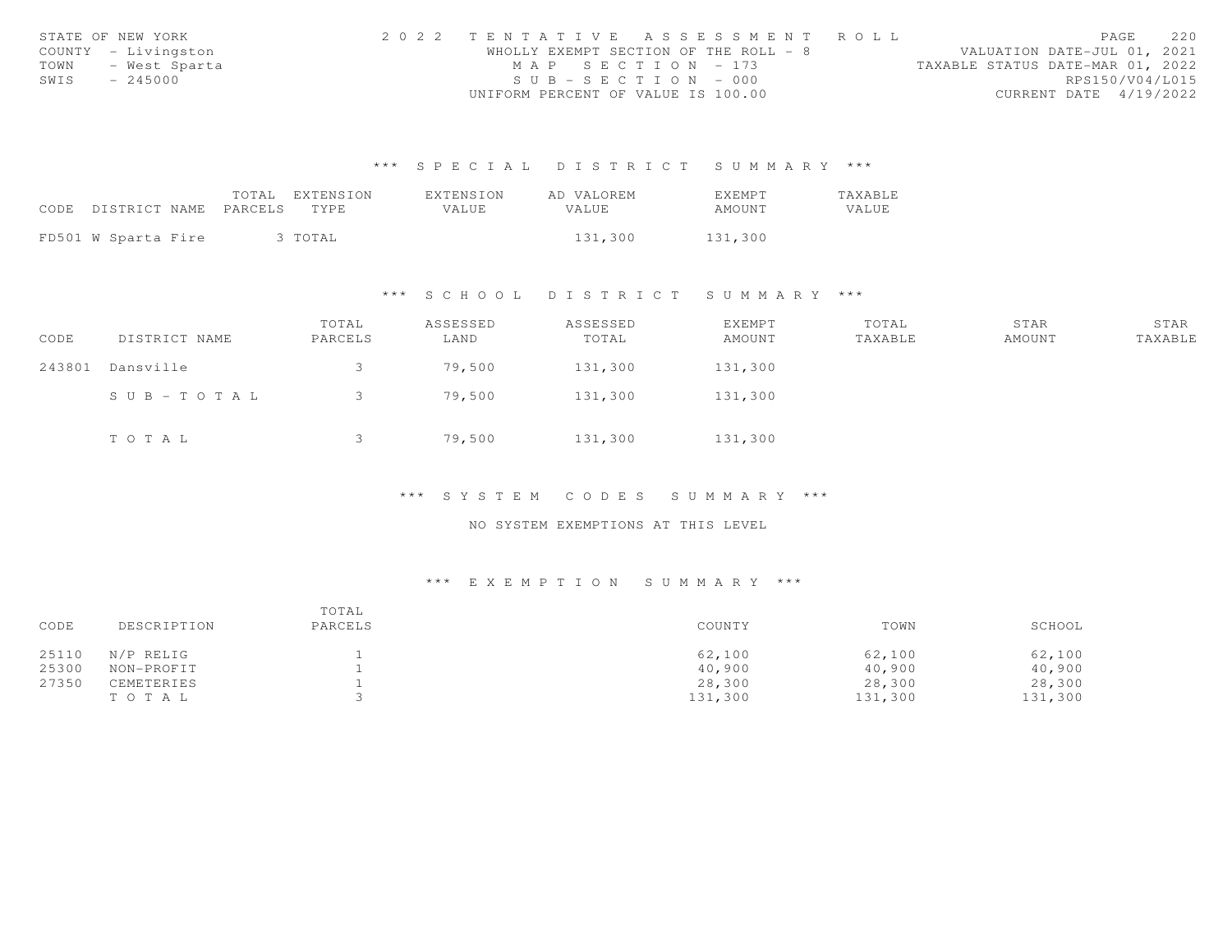|      | STATE OF NEW YORK   | 2022 TENTATIVE ASSESSMENT ROLL        | 220<br>PAGE                      |
|------|---------------------|---------------------------------------|----------------------------------|
|      | COUNTY - Livingston | WHOLLY EXEMPT SECTION OF THE ROLL - 8 | VALUATION DATE-JUL 01, 2021      |
|      | TOWN - West Sparta  | MAP SECTION - 173                     | TAXABLE STATUS DATE-MAR 01, 2022 |
| SWIS | $-245000$           | $SUB - SECTION - 000$                 | RPS150/V04/L015                  |
|      |                     | UNIFORM PERCENT OF VALUE IS 100.00    | CURRENT DATE 4/19/2022           |

|                            |  | TOTAL | EXTENSION | EXTENSION | AD VALOREM   | <b>EXEMPT</b> | <b>TAXABLE</b> |
|----------------------------|--|-------|-----------|-----------|--------------|---------------|----------------|
| CODE DISTRICT NAME PARCELS |  |       | TYPE.     | VALUE     | <b>VALUE</b> | AMOUNT        | VALUE          |
|                            |  |       |           |           |              |               |                |
| FD501 W Sparta Fire        |  |       | 3 TOTAL   |           | 131,300      | 131,300       |                |

# \*\*\* S C H O O L D I S T R I C T S U M M A R Y \*\*\*

| CODE   | DISTRICT NAME         | TOTAL<br>PARCELS | ASSESSED<br>LAND | ASSESSED<br>TOTAL | EXEMPT<br>AMOUNT | TOTAL<br>TAXABLE | STAR<br>AMOUNT | STAR<br>TAXABLE |
|--------|-----------------------|------------------|------------------|-------------------|------------------|------------------|----------------|-----------------|
| 243801 | Dansville             |                  | 79,500           | 131,300           | 131,300          |                  |                |                 |
|        | $S \cup B - TO T A L$ |                  | 79,500           | 131,300           | 131,300          |                  |                |                 |
|        | TOTAL                 |                  | 79,500           | 131,300           | 131,300          |                  |                |                 |

# \*\*\* S Y S T E M C O D E S S U M M A R Y \*\*\*

### NO SYSTEM EXEMPTIONS AT THIS LEVEL

| SCHOOL  |
|---------|
| 62,100  |
| 40,900  |
| 28,300  |
| 131,300 |
|         |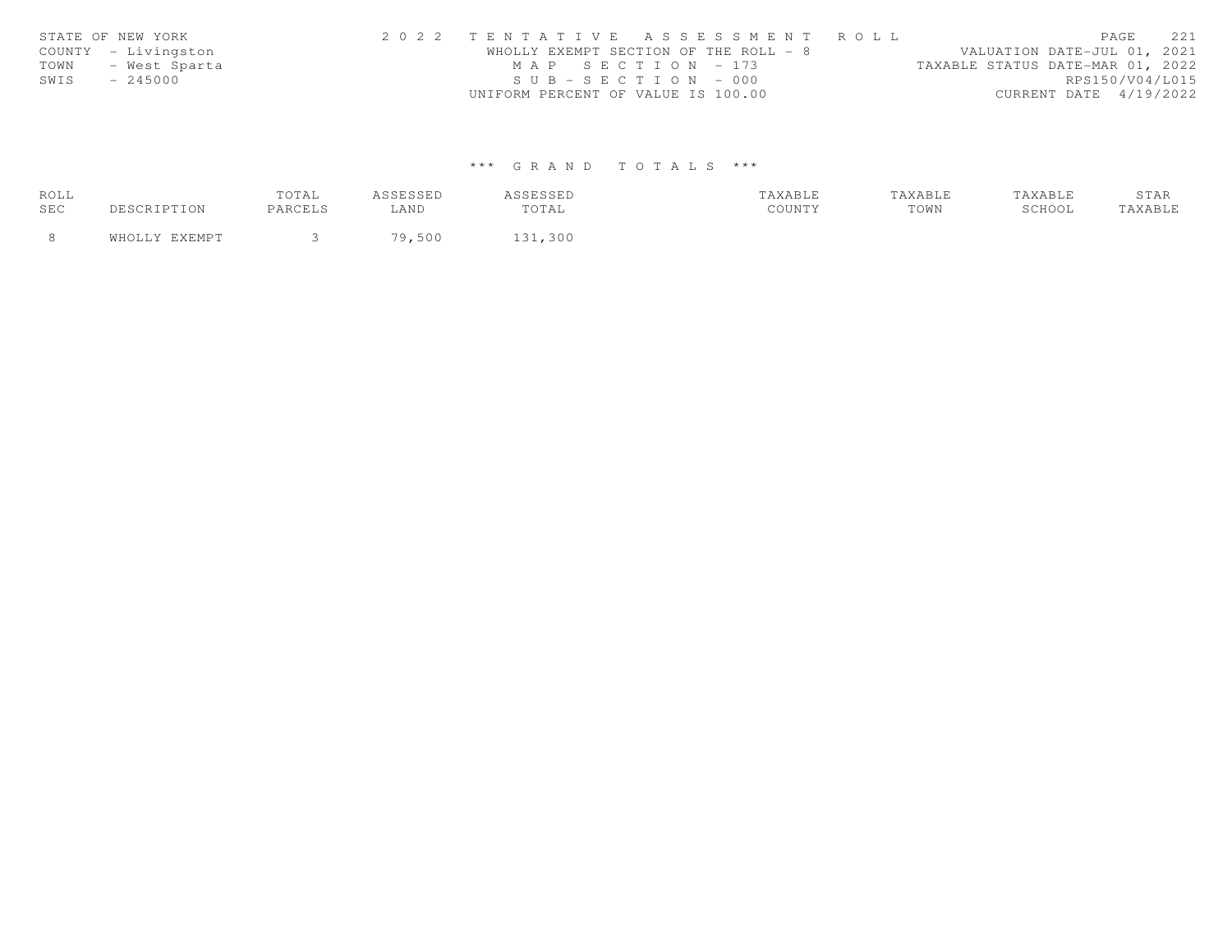| STATE OF NEW YORK     | 2022 TENTATIVE ASSESSMENT ROLL        | PAGE                             | 2.2.1           |
|-----------------------|---------------------------------------|----------------------------------|-----------------|
| COUNTY - Livingston   | WHOLLY EXEMPT SECTION OF THE ROLL - 8 | VALUATION DATE-JUL 01, 2021      |                 |
| TOWN<br>– West Sparta | MAP SECTION - 173                     | TAXABLE STATUS DATE-MAR 01, 2022 |                 |
| SWIS<br>$-245000$     | $SUB - SECTION - 000$                 |                                  | RPS150/V04/L015 |
|                       | UNIFORM PERCENT OF VALUE IS 100.00    | CURRENT DATE 4/19/2022           |                 |

| ROLL       |     | TOTAL   | <i>I</i> CCFCCFD<br>ு பலவம | CCFCCFD<br>1 | TAXABLE | TAXABLE |        | STAR    |
|------------|-----|---------|----------------------------|--------------|---------|---------|--------|---------|
| <b>SEC</b> | TON | PARCELS | LAND                       | TOTAL        | COUNTY  | TOWN    | SCHOOL | 'AXABLE |
|            |     |         | 79,500                     | 131,300      |         |         |        |         |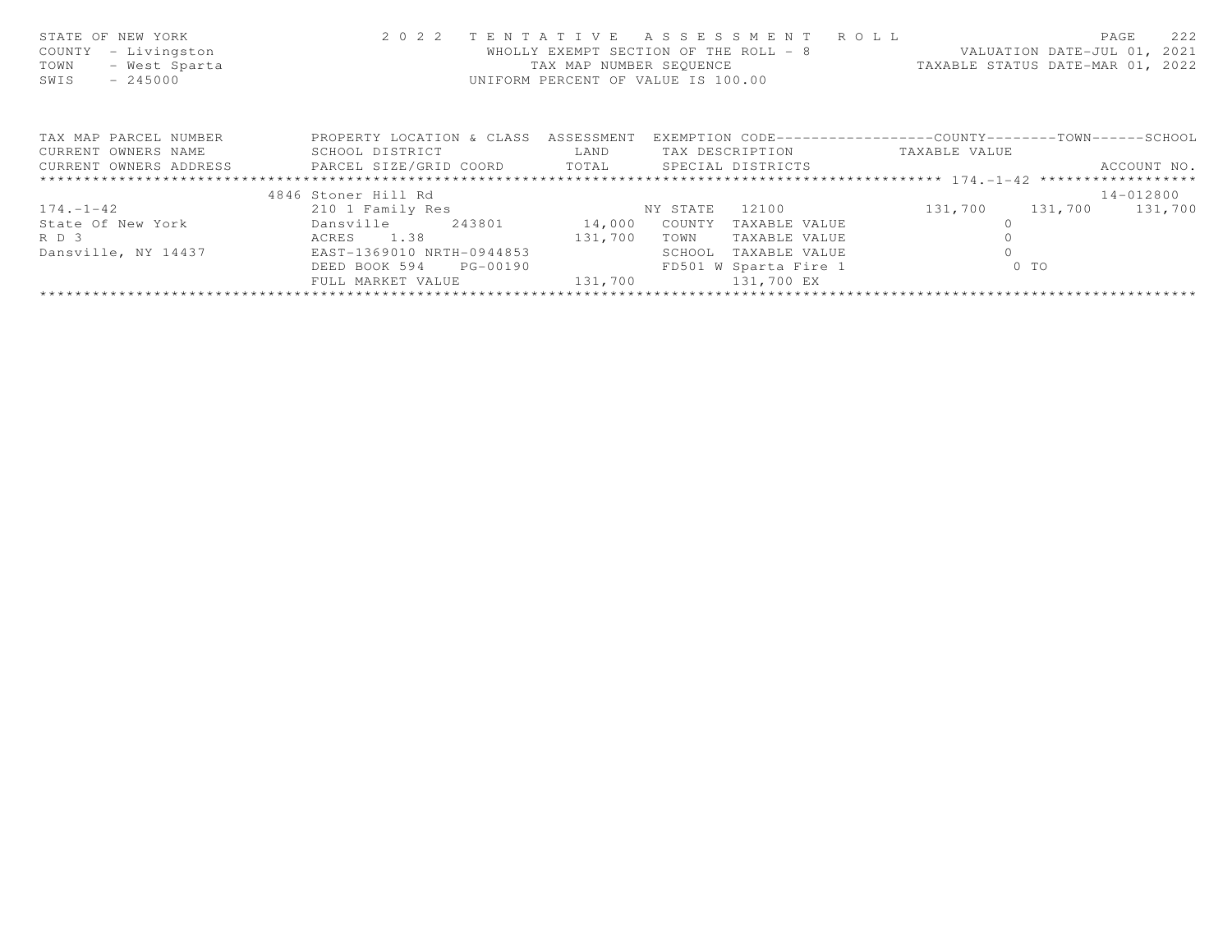| STATE OF NEW YORK<br>COUNTY<br>- Livingston<br>- West Sparta<br>TOWN<br>SWIS<br>$-245000$ | 2 0 2 2                                                                     | TENTATIVE  | ASSESSMENT ROLL<br>WHOLLY EXEMPT SECTION OF THE ROLL - 8<br>TAX MAP NUMBER SEQUENCE<br>UNIFORM PERCENT OF VALUE IS 100.00 | VALUATION DATE-JUL 01, 2021<br>TAXABLE STATUS DATE-MAR 01, 2022 | 222<br>PAGE     |
|-------------------------------------------------------------------------------------------|-----------------------------------------------------------------------------|------------|---------------------------------------------------------------------------------------------------------------------------|-----------------------------------------------------------------|-----------------|
| TAX MAP PARCEL NUMBER                                                                     | PROPERTY LOCATION & CLASS                                                   | ASSESSMENT |                                                                                                                           | EXEMPTION CODE-----------------COUNTY-------TOWN------SCHOOL    |                 |
| CURRENT OWNERS NAME                                                                       | SCHOOL DISTRICT                                                             | LAND       | TAX DESCRIPTION                                                                                                           | TAXABLE VALUE                                                   |                 |
|                                                                                           | CURRENT OWNERS ADDRESS <b>EXELL SIZE/GRID COORD</b> TOTAL SPECIAL DISTRICTS |            |                                                                                                                           |                                                                 | ACCOUNT NO.     |
|                                                                                           |                                                                             |            |                                                                                                                           |                                                                 |                 |
|                                                                                           | 4846 Stoner Hill Rd                                                         |            |                                                                                                                           |                                                                 | 14-012800       |
| $174. - 1 - 42$                                                                           | 210 1 Family Res                                                            |            | 12100<br>NY STATE                                                                                                         | 131,700                                                         | 131,700 131,700 |
| State Of New York                                                                         | 243801<br>Dansville                                                         | 14,000     | COUNTY<br>TAXABLE VALUE                                                                                                   |                                                                 |                 |
| RD 3                                                                                      | ACRES 1.38                                                                  | 131,700    | TOWN<br>TAXABLE VALUE                                                                                                     |                                                                 |                 |
| Dansville, NY 14437                                                                       | EAST-1369010 NRTH-0944853                                                   |            | SCHOOL<br>TAXABLE VALUE                                                                                                   |                                                                 |                 |
|                                                                                           | PG-00190<br>DEED BOOK 594                                                   |            | FD501 W Sparta Fire 1                                                                                                     | $0$ TO                                                          |                 |
|                                                                                           | FULL MARKET VALUE                                                           | 131,700    | 131,700 EX                                                                                                                |                                                                 |                 |
|                                                                                           |                                                                             |            |                                                                                                                           |                                                                 |                 |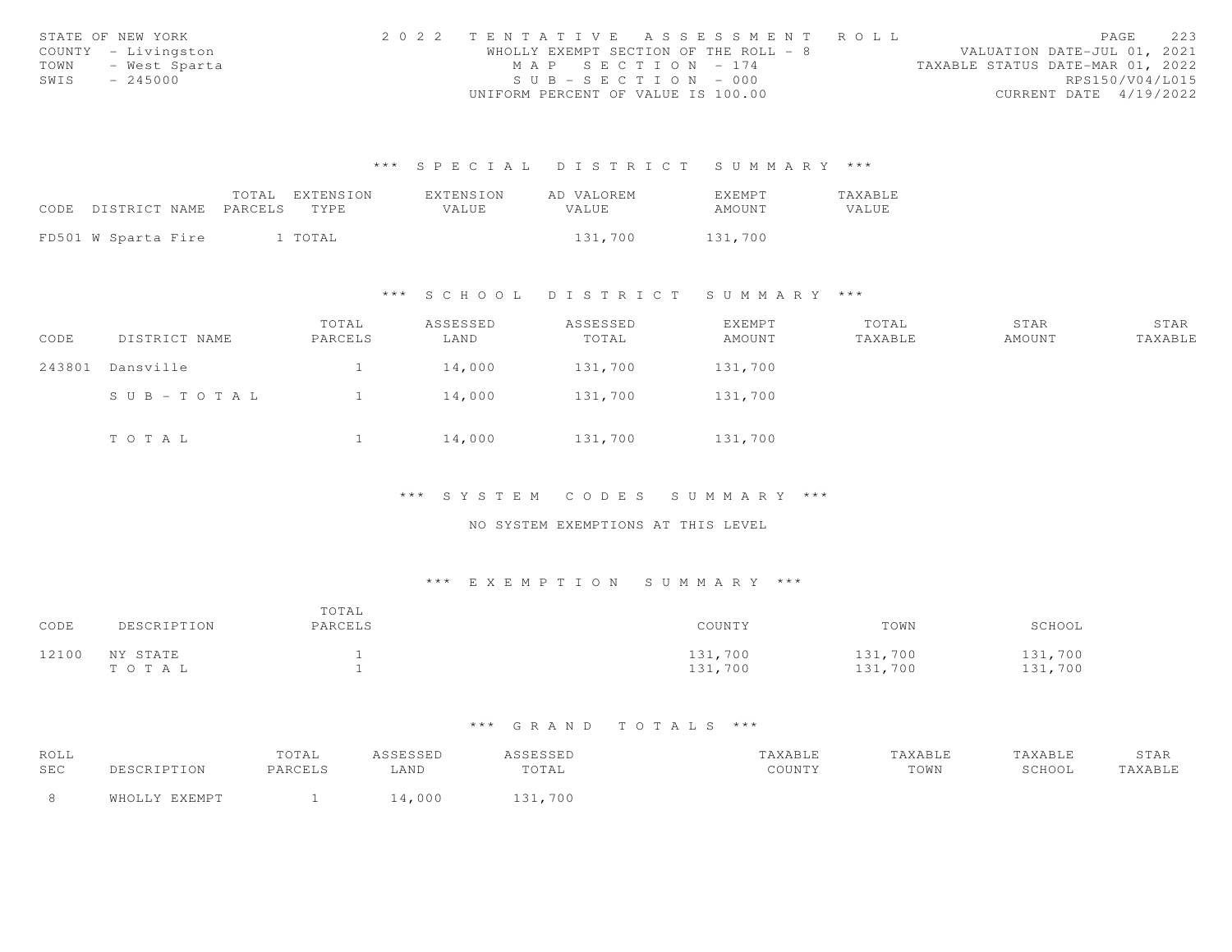|      | STATE OF NEW YORK   | 2022 TENTATIVE ASSESSMENT ROLL        | 223<br>PAGE                      |
|------|---------------------|---------------------------------------|----------------------------------|
|      | COUNTY - Livingston | WHOLLY EXEMPT SECTION OF THE ROLL - 8 | VALUATION DATE-JUL 01, 2021      |
|      | TOWN - West Sparta  | MAP SECTION - 174                     | TAXABLE STATUS DATE-MAR 01, 2022 |
| SWIS | $-245000$           | $SUB - SECTION - 000$                 | RPS150/V04/L015                  |
|      |                     | UNIFORM PERCENT OF VALUE IS 100.00    | CURRENT DATE 4/19/2022           |

|                            | TOTAL | EXTENSION | EXTENSION    | AD VALOREM | <b>EXEMPT</b> | TAXABLE |
|----------------------------|-------|-----------|--------------|------------|---------------|---------|
| CODE DISTRICT NAME PARCELS |       | TYPE.     | <b>VALUE</b> | VALUE      | AMOUNT        | VALUE   |
|                            |       |           |              |            |               |         |
| FD501 W Sparta Fire        |       | l TOTAL   |              | 131,700    | 131,700       |         |

### \*\*\* S C H O O L D I S T R I C T S U M M A R Y \*\*\*

| CODE   | DISTRICT NAME | TOTAL<br>PARCELS | ASSESSED<br>LAND | ASSESSED<br>TOTAL | <b>EXEMPT</b><br>AMOUNT | TOTAL<br>TAXABLE | STAR<br>AMOUNT | STAR<br>TAXABLE |
|--------|---------------|------------------|------------------|-------------------|-------------------------|------------------|----------------|-----------------|
| 243801 | Dansville     |                  | 14,000           | 131,700           | 131,700                 |                  |                |                 |
|        | SUB-TOTAL     |                  | 14,000           | 131,700           | 131,700                 |                  |                |                 |
|        | TOTAL         |                  | 14,000           | 131,700           | 131,700                 |                  |                |                 |

#### \*\*\* S Y S T E M C O D E S S U M M A R Y \*\*\*

## NO SYSTEM EXEMPTIONS AT THIS LEVEL

#### \*\*\* E X E M P T I O N S U M M A R Y \*\*\*

| CODE  | DESCRIPTION       | TOTAL<br>PARCELS | COUNTY             | TOWN               | SCHOOL             |
|-------|-------------------|------------------|--------------------|--------------------|--------------------|
| 12100 | NY STATE<br>TOTAL |                  | 131,700<br>131,700 | 131,700<br>131,700 | 131,700<br>131,700 |

| ROLL |               | TOTAL   | ASSESSED | ASSESSED | TAXABLE | TAXABLE | TAXABLE | STAR    |
|------|---------------|---------|----------|----------|---------|---------|---------|---------|
| SEC  | DESCRIPTION   | PARCELS | AND      | TOTAL    | COUNTY  | TOWN    | SCHOOL  | TAXABLE |
|      | WHOLLY EXEMPT |         | .4,000   | 131,700  |         |         |         |         |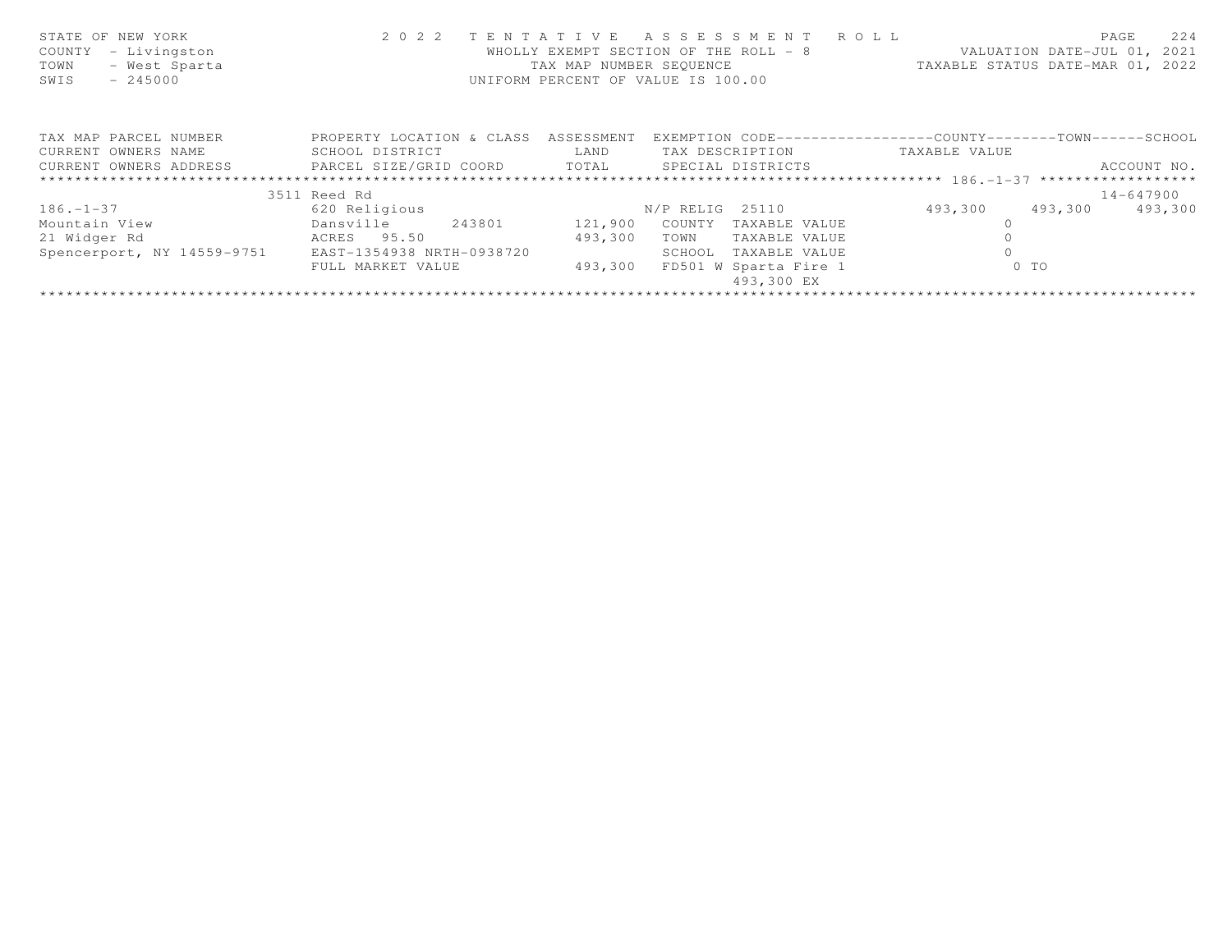| STATE OF NEW YORK<br>- Livingston<br>COUNTY<br>- West Sparta<br>TOWN<br>SWIS<br>$-245000$ | 2 0 2 2                   | TAX MAP NUMBER SEQUENCE | TENTATIVE ASSESSMENT ROLL<br>WHOLLY EXEMPT SECTION OF THE ROLL - 8<br>UNIFORM PERCENT OF VALUE IS 100.00 | VALUATION DATE-JUL 01, 2021<br>TAXABLE STATUS DATE-MAR 01, 2022 | 224<br>PAGE |
|-------------------------------------------------------------------------------------------|---------------------------|-------------------------|----------------------------------------------------------------------------------------------------------|-----------------------------------------------------------------|-------------|
| TAX MAP PARCEL NUMBER                                                                     | PROPERTY LOCATION & CLASS | ASSESSMENT              | EXEMPTION CODE-----------------COUNTY-------TOWN------SCHOOL                                             |                                                                 |             |
| CURRENT OWNERS NAME                                                                       | SCHOOL DISTRICT           | LAND                    | TAX DESCRIPTION                                                                                          | TAXABLE VALUE                                                   |             |
| CURRENT OWNERS ADDRESS FARCEL SIZE/GRID COORD TOTAL SPECIAL DISTRICTS                     |                           |                         |                                                                                                          |                                                                 | ACCOUNT NO. |
|                                                                                           |                           |                         |                                                                                                          |                                                                 |             |
|                                                                                           | 3511 Reed Rd              |                         |                                                                                                          |                                                                 | 14-647900   |
| $186. - 1 - 37$                                                                           | 620 Religious             |                         | N/P RELIG 25110                                                                                          | 493,300<br>493,300                                              | 493,300     |
| Mountain View                                                                             | Dansville<br>243801       | 121,900                 | COUNTY<br>TAXABLE VALUE                                                                                  |                                                                 |             |
| 21 Widger Rd                                                                              | ACRES 95.50               | 493,300                 | TAXABLE VALUE<br>TOWN                                                                                    |                                                                 |             |
| Spencerport, NY 14559-9751                                                                | EAST-1354938 NRTH-0938720 |                         | TAXABLE VALUE<br>SCHOOL                                                                                  |                                                                 |             |
|                                                                                           | FULL MARKET VALUE         | 493,300                 | FD501 W Sparta Fire 1                                                                                    | $0$ TO                                                          |             |
|                                                                                           |                           |                         | 493,300 EX                                                                                               |                                                                 |             |
|                                                                                           |                           |                         |                                                                                                          |                                                                 |             |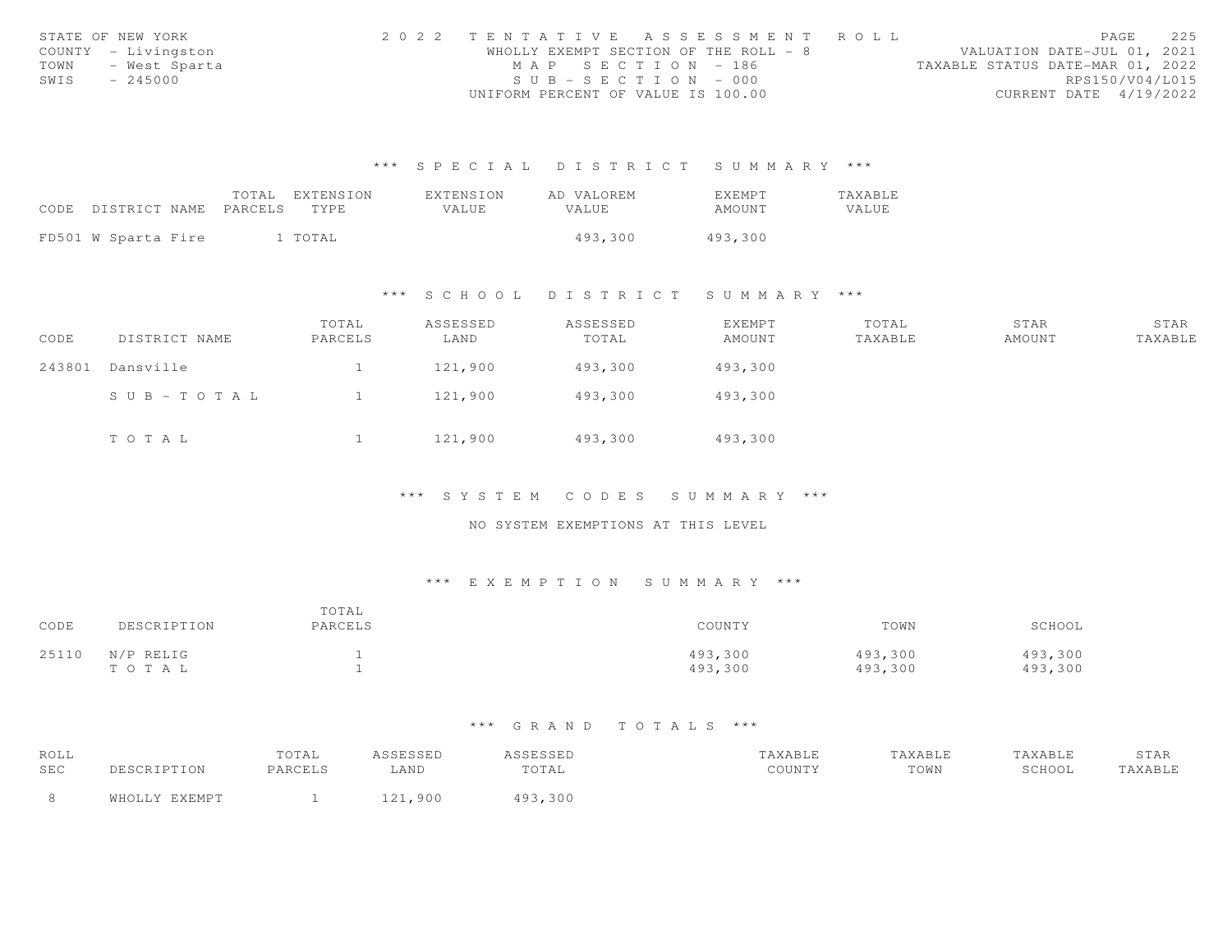|      | STATE OF NEW YORK   | 2022 TENTATIVE ASSESSMENT ROLL        |  | PAGE                             | 225             |
|------|---------------------|---------------------------------------|--|----------------------------------|-----------------|
|      | COUNTY - Livingston | WHOLLY EXEMPT SECTION OF THE ROLL - 8 |  | VALUATION DATE-JUL 01, 2021      |                 |
| TOWN | - West Sparta       | MAP SECTION - 186                     |  | TAXABLE STATUS DATE-MAR 01, 2022 |                 |
| SWIS | $-245000$           | $SUB - SECTION - 000$                 |  |                                  | RPS150/V04/L015 |
|      |                     | UNIFORM PERCENT OF VALUE IS 100.00    |  | CURRENT DATE 4/19/2022           |                 |

|                               | TOTAL EXTENSION | <b>EXTENSION</b> | AD VALOREM | <b>FXFMPT</b> | <b>TAXABLE</b> |
|-------------------------------|-----------------|------------------|------------|---------------|----------------|
| CODE<br>DISTRICT NAME PARCELS | TYPE            | <b>VALUE</b>     | VALUE.     | AMOUNT        | VALUE          |
|                               |                 |                  |            |               |                |
| FD501 W Sparta Fire           | 1 TOTAL         |                  | 493,300    | 493,300       |                |

### \*\*\* S C H O O L D I S T R I C T S U M M A R Y \*\*\*

| CODE   | DISTRICT NAME | TOTAL<br>PARCELS | ASSESSED<br>LAND | ASSESSED<br>TOTAL | EXEMPT<br>AMOUNT | TOTAL<br>TAXABLE | STAR<br>AMOUNT | STAR<br>TAXABLE |
|--------|---------------|------------------|------------------|-------------------|------------------|------------------|----------------|-----------------|
| 243801 | Dansville     |                  | 121,900          | 493,300           | 493,300          |                  |                |                 |
|        | SUB-TOTAL     |                  | 121,900          | 493,300           | 493,300          |                  |                |                 |
|        | TOTAL         |                  | 121,900          | 493,300           | 493,300          |                  |                |                 |

\*\*\* S Y S T E M C O D E S S U M M A R Y \*\*\*

NO SYSTEM EXEMPTIONS AT THIS LEVEL

### \*\*\* E X E M P T I O N S U M M A R Y \*\*\*

| CODE  | DESCRIPTION        | TOTAL<br>PARCELS | COUNTY             | TOWN               | SCHOOL             |
|-------|--------------------|------------------|--------------------|--------------------|--------------------|
| 25110 | N/P RELIG<br>TOTAL |                  | 493,300<br>493,300 | 493,300<br>493,300 | 493,300<br>493,300 |

| ROLL |               | TOTAL   | ASSESSED | ASSESSED | TAXABLE | TAXABLE | TAXABLE | STAR    |
|------|---------------|---------|----------|----------|---------|---------|---------|---------|
| SEC  | DESCRIPTION   | PARCELS | LAND     | TOTAL    | COUNTY  | TOWN    | SCHOOL  | TAXABLE |
| - 8  | WHOLLY EXEMPT |         | 121,900  | 493,300  |         |         |         |         |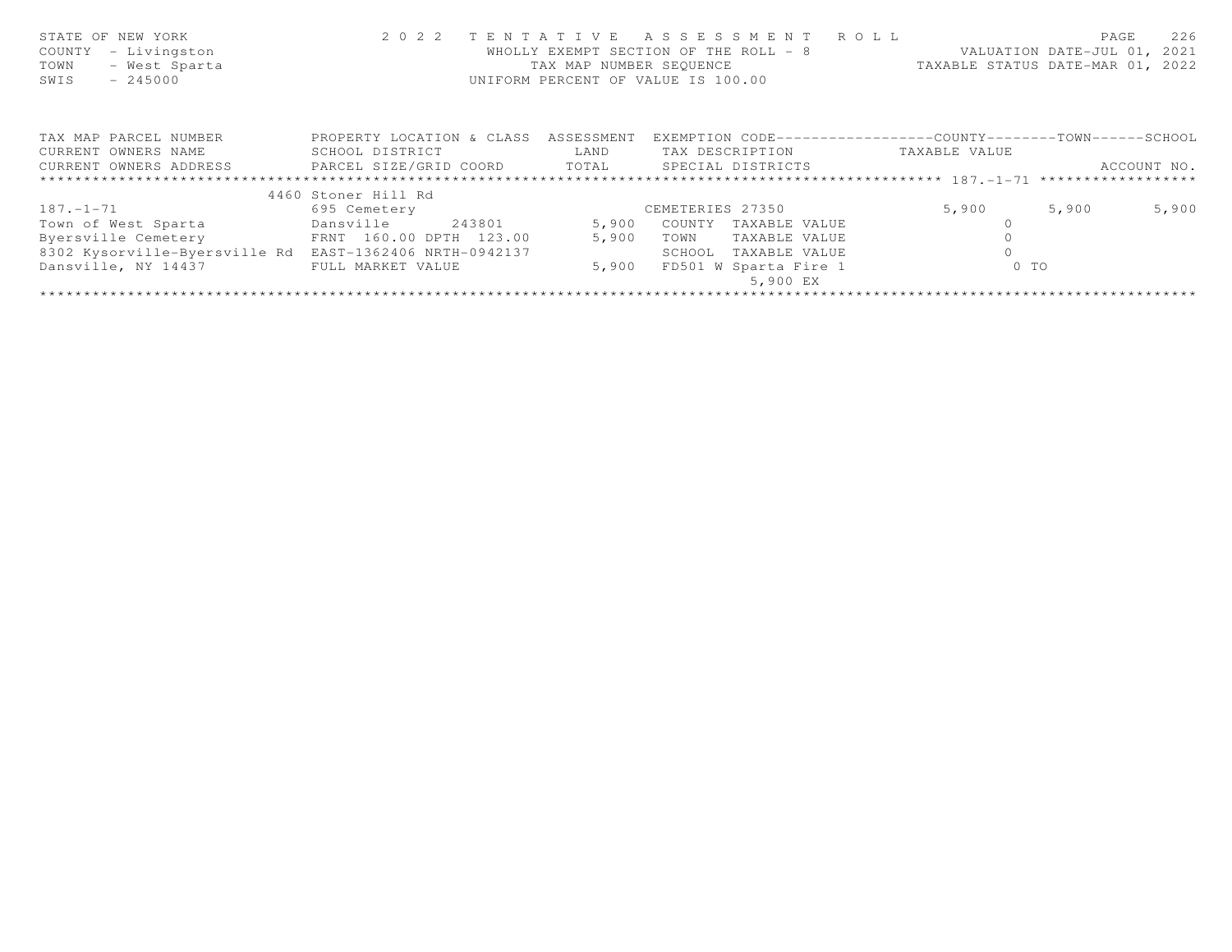| STATE OF NEW YORK<br>COUNTY<br>- Livingston<br>- West Sparta<br>TOWN<br>$-245000$<br>SWIS |                           | TAX MAP NUMBER SEOUENCE | 2022 TENTATIVE ASSESSMENT ROLL<br>WHOLLY EXEMPT SECTION OF THE ROLL - 8<br>UNIFORM PERCENT OF VALUE IS 100.00 |               | 226<br>PAGE<br>VALUATION DATE-JUL 01, 2021<br>TAXABLE STATUS DATE-MAR 01, 2022 |
|-------------------------------------------------------------------------------------------|---------------------------|-------------------------|---------------------------------------------------------------------------------------------------------------|---------------|--------------------------------------------------------------------------------|
| TAX MAP PARCEL NUMBER                                                                     | PROPERTY LOCATION & CLASS | ASSESSMENT              | EXEMPTION CODE-----------------COUNTY--------TOWN------SCHOOL                                                 |               |                                                                                |
| CURRENT OWNERS NAME                                                                       | SCHOOL DISTRICT           | LAND                    | TAX DESCRIPTION                                                                                               | TAXABLE VALUE |                                                                                |
| CURRENT OWNERS ADDRESS 6 PARCEL SIZE/GRID COORD 6 TOTAL 6 SPECIAL DISTRICTS               |                           |                         |                                                                                                               |               | ACCOUNT NO.                                                                    |
|                                                                                           |                           |                         |                                                                                                               |               |                                                                                |
|                                                                                           | 4460 Stoner Hill Rd       |                         |                                                                                                               |               |                                                                                |
| $187. - 1 - 71$                                                                           | 695 Cemetery              |                         | CEMETERIES 27350                                                                                              | 5,900         | 5,900<br>5,900                                                                 |
| Town of West Sparta                                                                       | Dansville<br>243801       | 5,900                   | COUNTY<br>TAXABLE VALUE                                                                                       |               |                                                                                |
| Byersville Cemetery                                                                       | FRNT 160.00 DPTH 123.00   | 5,900                   | TOWN<br>TAXABLE VALUE                                                                                         |               |                                                                                |
| 8302 Kysorville-Byersville Rd                                                             | EAST-1362406 NRTH-0942137 |                         | SCHOOL<br>TAXABLE VALUE                                                                                       |               |                                                                                |
| Dansville, NY 14437                                                                       | FULL MARKET VALUE         | 5,900                   | FD501 W Sparta Fire 1<br>5,900 EX                                                                             | $0$ TO        |                                                                                |
|                                                                                           |                           |                         |                                                                                                               |               |                                                                                |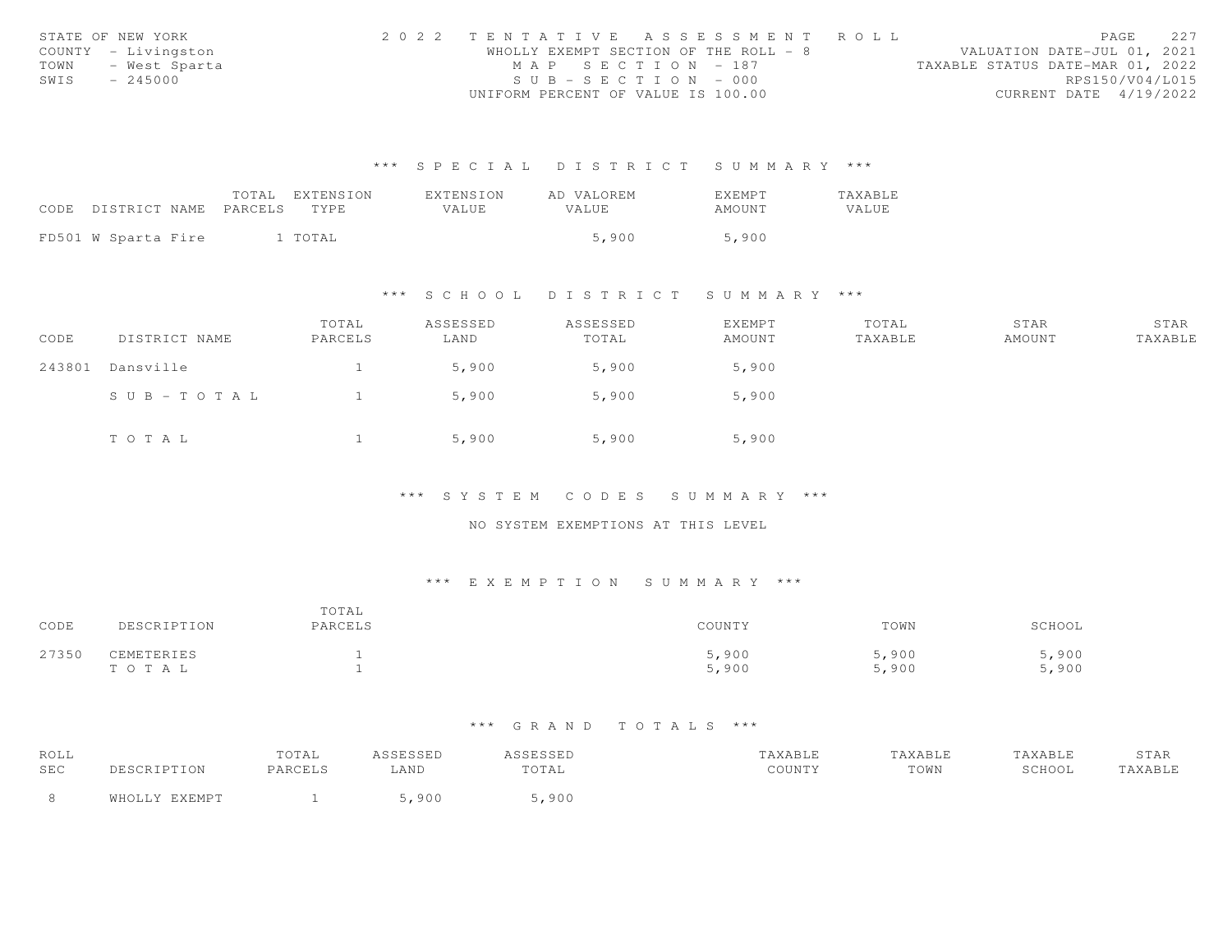|      | STATE OF NEW YORK   | 2022 TENTATIVE ASSESSMENT ROLL        |  |  |                                  |                        | PAGE | 227 |
|------|---------------------|---------------------------------------|--|--|----------------------------------|------------------------|------|-----|
|      | COUNTY - Livingston | WHOLLY EXEMPT SECTION OF THE ROLL - 8 |  |  | VALUATION DATE-JUL 01, 2021      |                        |      |     |
| TOWN | - West Sparta       | MAP SECTION - 187                     |  |  | TAXABLE STATUS DATE-MAR 01, 2022 |                        |      |     |
| SWIS | $-245000$           | $SUB - SECTION - 000$                 |  |  |                                  | RPS150/V04/L015        |      |     |
|      |                     | UNIFORM PERCENT OF VALUE IS 100.00    |  |  |                                  | CURRENT DATE 4/19/2022 |      |     |

|                            | TOTAL EXTENSION | <b>FXTENSION</b> | AD VALOREM | <b>EXEMPT</b> | TAXABLE |
|----------------------------|-----------------|------------------|------------|---------------|---------|
| CODE DISTRICT NAME PARCELS | TYPE.           | VALUE            | VALUE.     | AMOUNT        | VALUE   |
|                            |                 |                  |            |               |         |
| FD501 W Sparta Fire        | l TOTAL         |                  | 5,900      | 5,900         |         |

### \*\*\* S C H O O L D I S T R I C T S U M M A R Y \*\*\*

| CODE   | DISTRICT NAME | TOTAL<br>PARCELS | ASSESSED<br>LAND | ASSESSED<br>TOTAL | EXEMPT<br>AMOUNT | TOTAL<br>TAXABLE | STAR<br>AMOUNT | STAR<br>TAXABLE |
|--------|---------------|------------------|------------------|-------------------|------------------|------------------|----------------|-----------------|
| 243801 | Dansville     |                  | 5,900            | 5,900             | 5,900            |                  |                |                 |
|        | SUB-TOTAL     |                  | 5,900            | 5,900             | 5,900            |                  |                |                 |
|        | TOTAL         |                  | 5,900            | 5,900             | 5,900            |                  |                |                 |

\*\*\* S Y S T E M C O D E S S U M M A R Y \*\*\*

NO SYSTEM EXEMPTIONS AT THIS LEVEL

## \*\*\* E X E M P T I O N S U M M A R Y \*\*\*

| CODE  | DESCRIPTION         | TOTAL<br>PARCELS | COUNTY         | TOWN           | SCHOOL         |
|-------|---------------------|------------------|----------------|----------------|----------------|
| 27350 | CEMETERIES<br>TOTAL |                  | 5,900<br>5,900 | 5,900<br>5,900 | 5,900<br>5,900 |

| ROLL |               | TOTAL   | ASSESSED | <i><b>SSESSED</b></i> | TAXABLE | TAXABLE | TAXABLE | STAR    |
|------|---------------|---------|----------|-----------------------|---------|---------|---------|---------|
| SEC  | DESCRIPTION   | PARCELS | LAND     | TOTAL                 | COUNTY  | TOWN    | SCHOOL  | TAXABLE |
|      | WHOLLY EXEMPT |         | 900      | 5,900                 |         |         |         |         |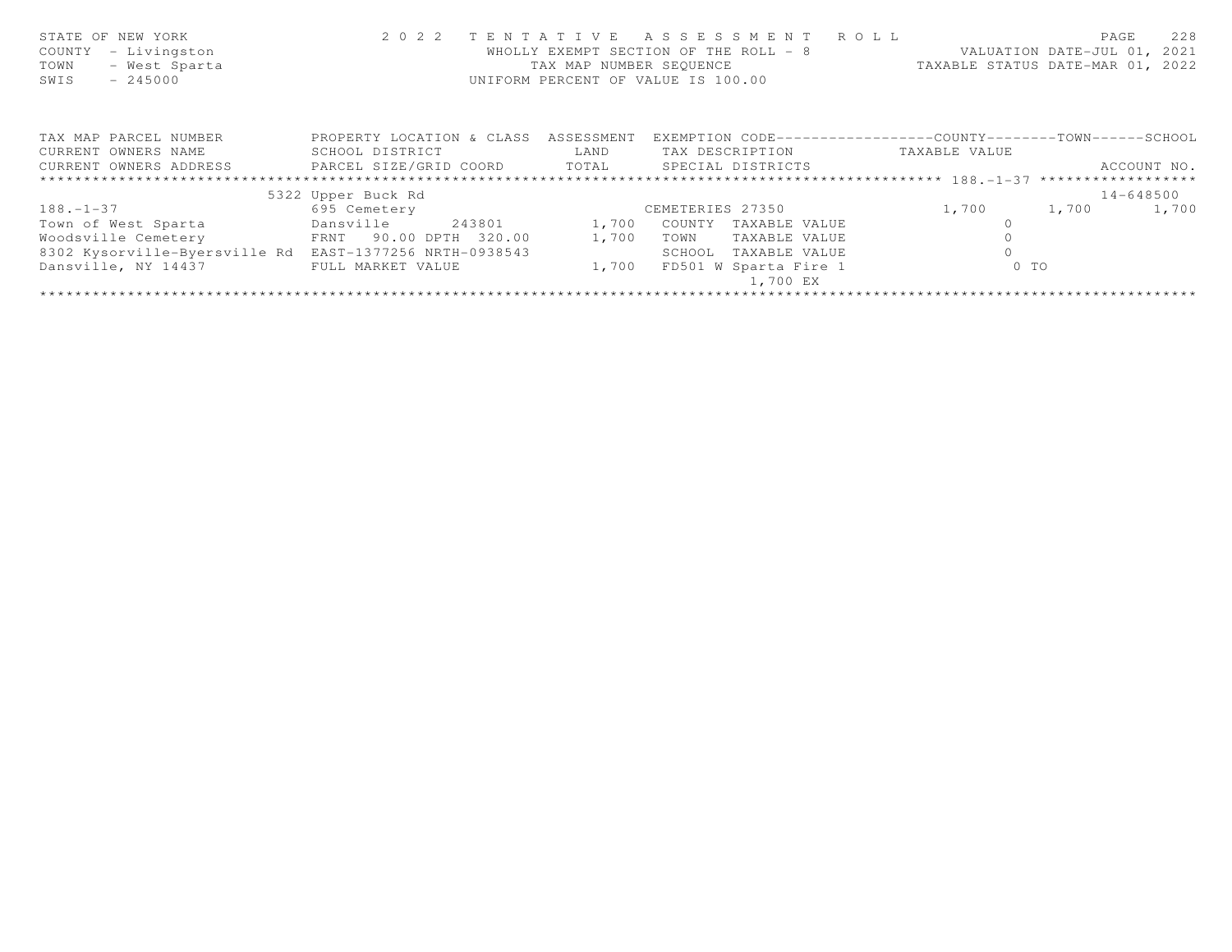| STATE OF NEW YORK<br>- Livingston<br>COUNTY<br>- West Sparta<br>TOWN<br>$-245000$<br>SWIS | 2 0 2 2                   | TAX MAP NUMBER SEQUENCE | TENTATIVE ASSESSMENT ROLL<br>WHOLLY EXEMPT SECTION OF THE ROLL - 8<br>UNIFORM PERCENT OF VALUE IS 100.00 |               | 228<br>PAGE<br>VALUATION DATE-JUL 01, 2021<br>TAXABLE STATUS DATE-MAR 01, 2022 |
|-------------------------------------------------------------------------------------------|---------------------------|-------------------------|----------------------------------------------------------------------------------------------------------|---------------|--------------------------------------------------------------------------------|
| TAX MAP PARCEL NUMBER                                                                     | PROPERTY LOCATION & CLASS | ASSESSMENT              | EXEMPTION CODE-----------------COUNTY-------TOWN------SCHOOL                                             |               |                                                                                |
| CURRENT OWNERS NAME                                                                       | SCHOOL DISTRICT           | LAND                    | TAX DESCRIPTION                                                                                          | TAXABLE VALUE |                                                                                |
| CURRENT OWNERS ADDRESS <b>FARCEL SIZE/GRID COORD</b> TOTAL SPECIAL DISTRICTS              |                           |                         |                                                                                                          |               | ACCOUNT NO.                                                                    |
|                                                                                           |                           |                         |                                                                                                          |               |                                                                                |
|                                                                                           | 5322 Upper Buck Rd        |                         |                                                                                                          |               | 14-648500                                                                      |
| $188. - 1 - 37$                                                                           | 695 Cemetery              |                         | CEMETERIES 27350                                                                                         | 1,700         | 1,700<br>1,700                                                                 |
| Town of West Sparta                                                                       | Dansville<br>243801       | 1,700                   | COUNTY TAXABLE VALUE                                                                                     |               |                                                                                |
| Woodsville Cemetery                                                                       | FRNT 90.00 DPTH 320.00    | 1,700                   | TOWN<br>TAXABLE VALUE                                                                                    |               |                                                                                |
| 8302 Kysorville-Byersville Rd                                                             | EAST-1377256 NRTH-0938543 |                         | SCHOOL<br>TAXABLE VALUE                                                                                  |               |                                                                                |
| Dansville, NY 14437                                                                       | FULL MARKET VALUE         | 1,700                   | FD501 W Sparta Fire 1<br>1,700 EX                                                                        | $0$ TO        |                                                                                |
|                                                                                           |                           |                         |                                                                                                          |               |                                                                                |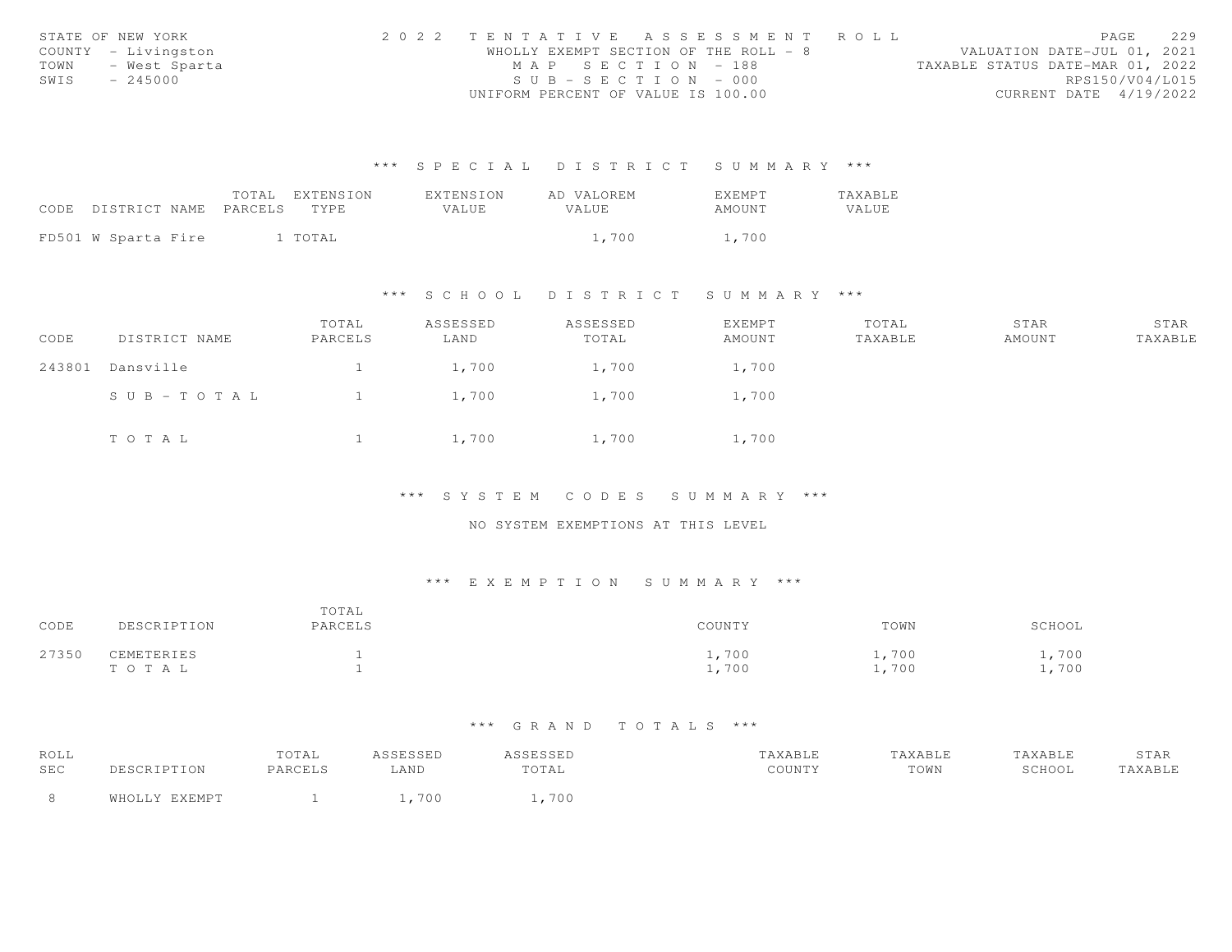|      | STATE OF NEW YORK   | 2022 TENTATIVE ASSESSMENT ROLL        |  |                                  | PAGE                   | 229 |
|------|---------------------|---------------------------------------|--|----------------------------------|------------------------|-----|
|      | COUNTY - Livingston | WHOLLY EXEMPT SECTION OF THE ROLL - 8 |  | VALUATION DATE-JUL 01, 2021      |                        |     |
| TOWN | - West Sparta       | MAP SECTION - 188                     |  | TAXABLE STATUS DATE-MAR 01, 2022 |                        |     |
| SWIS | $-245000$           | $SUB - SECTION - 000$                 |  |                                  | RPS150/V04/L015        |     |
|      |                     | UNIFORM PERCENT OF VALUE IS 100.00    |  |                                  | CURRENT DATE 4/19/2022 |     |

|                            | TOTAL EXTENSION | <b>FXTENSION</b> | AD VALOREM   | <b>EXEMPT</b> | TAXABLE |
|----------------------------|-----------------|------------------|--------------|---------------|---------|
| CODE DISTRICT NAME PARCELS | TYPE.           | VALUE            | <b>VALUE</b> | AMOUNT        | VALUE   |
|                            |                 |                  |              |               |         |
| FD501 W Sparta Fire        | 1 TOTAL         |                  | 1,700        | 1,700         |         |

### \*\*\* S C H O O L D I S T R I C T S U M M A R Y \*\*\*

| CODE   | DISTRICT NAME | TOTAL<br>PARCELS | ASSESSED<br>LAND | ASSESSED<br>TOTAL | EXEMPT<br>AMOUNT | TOTAL<br>TAXABLE | STAR<br>AMOUNT | STAR<br>TAXABLE |
|--------|---------------|------------------|------------------|-------------------|------------------|------------------|----------------|-----------------|
| 243801 | Dansville     |                  | 1,700            | 1,700             | 1,700            |                  |                |                 |
|        | SUB-TOTAL     |                  | 1,700            | 1,700             | 1,700            |                  |                |                 |
|        | TOTAL         |                  | 1,700            | 1,700             | 1,700            |                  |                |                 |

\*\*\* S Y S T E M C O D E S S U M M A R Y \*\*\*

NO SYSTEM EXEMPTIONS AT THIS LEVEL

## \*\*\* E X E M P T I O N S U M M A R Y \*\*\*

| CODE  | DESCRIPTION         | TOTAL<br>PARCELS | COUNTY         | TOWN           | SCHOOL       |
|-------|---------------------|------------------|----------------|----------------|--------------|
| 27350 | CEMETERIES<br>TOTAL |                  | 1,700<br>1,700 | .,700<br>1,700 | ,700<br>,700 |

| ROLL |               | TOTAL   | ASSESSED | <i><b>SSESSED</b></i> | TAXABLE | TAXABLE | TAXABLE | STAR    |
|------|---------------|---------|----------|-----------------------|---------|---------|---------|---------|
| SEC  | DESCRIPTION   | PARCELS | LAND     | TOTAL                 | COUNTY  | TOWN    | SCHOOL  | TAXABLE |
|      | WHOLLY EXEMPT |         | 700      | 700                   |         |         |         |         |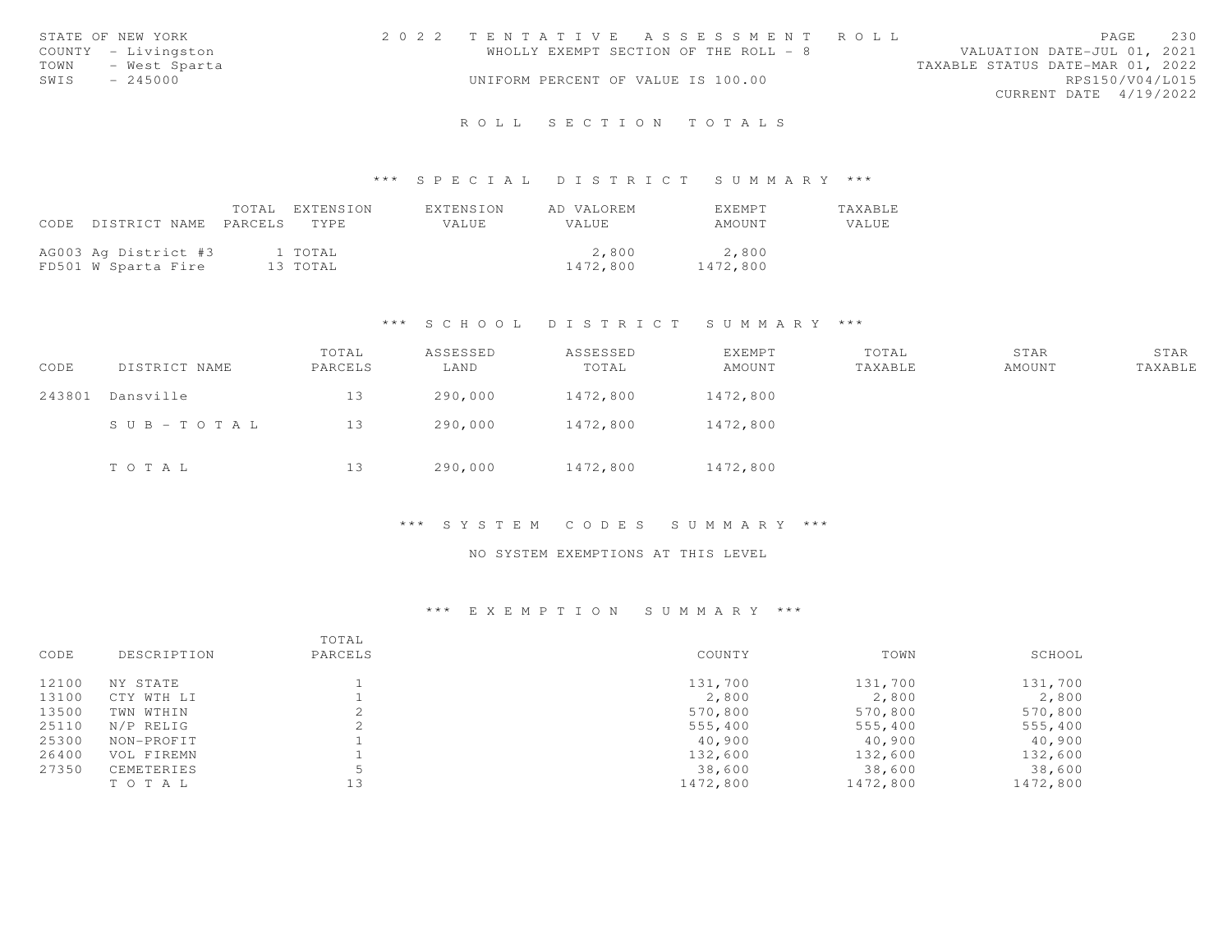|      | STATE OF NEW YORK   | 2022 TENTATIVE ASSESSMENT ROLL        |  |                                  |                        | PAGE | 230 |
|------|---------------------|---------------------------------------|--|----------------------------------|------------------------|------|-----|
|      | COUNTY - Livingston | WHOLLY EXEMPT SECTION OF THE ROLL - 8 |  | VALUATION DATE-JUL 01, 2021      |                        |      |     |
| TOWN | - West Sparta       |                                       |  | TAXABLE STATUS DATE-MAR 01, 2022 |                        |      |     |
| SWIS | $-245000$           | UNIFORM PERCENT OF VALUE IS 100.00    |  |                                  | RPS150/V04/L015        |      |     |
|      |                     |                                       |  |                                  | CURRENT DATE 4/19/2022 |      |     |
|      |                     |                                       |  |                                  |                        |      |     |

# R O L L S E C T I O N T O T A L S

### \*\*\* S P E C I A L D I S T R I C T S U M M A R Y \*\*\*

|                                 | TOTAL EXTENSION | EXTENSION | AD VALOREM   | <b>FXFMPT</b> | TAXABLE |
|---------------------------------|-----------------|-----------|--------------|---------------|---------|
| CODE DISTRICT NAME PARCELS TYPE |                 | VALUE     | <b>VALUE</b> | AMOUNT        | VALUE   |
| AG003 Ag District #3            | 1 TOTAL         |           | 2,800        | 2,800         |         |
| FD501 W Sparta Fire             | 13 TOTAL        |           | 1472,800     | 1472,800      |         |

# \*\*\* S C H O O L D I S T R I C T S U M M A R Y \*\*\*

| CODE   | DISTRICT NAME | TOTAL<br>PARCELS | ASSESSED<br>LAND | ASSESSED<br>TOTAL | EXEMPT<br>AMOUNT | TOTAL<br>TAXABLE | STAR<br>AMOUNT | STAR<br>TAXABLE |
|--------|---------------|------------------|------------------|-------------------|------------------|------------------|----------------|-----------------|
| 243801 | Dansville     | 13               | 290,000          | 1472,800          | 1472,800         |                  |                |                 |
|        | SUB-TOTAL     | 13               | 290,000          | 1472,800          | 1472,800         |                  |                |                 |
|        | TOTAL         | 13               | 290,000          | 1472,800          | 1472,800         |                  |                |                 |

#### \*\*\* S Y S T E M C O D E S S U M M A R Y \*\*\*

# NO SYSTEM EXEMPTIONS AT THIS LEVEL

|       |             | TOTAL   |          |          |          |
|-------|-------------|---------|----------|----------|----------|
| CODE  | DESCRIPTION | PARCELS | COUNTY   | TOWN     | SCHOOL   |
| 12100 | NY STATE    |         | 131,700  | 131,700  | 131,700  |
| 13100 | CTY WTH LI  |         | 2,800    | 2,800    | 2,800    |
| 13500 | TWN WTHIN   |         | 570,800  | 570,800  | 570,800  |
| 25110 | N/P RELIG   |         | 555,400  | 555,400  | 555,400  |
| 25300 | NON-PROFIT  |         | 40,900   | 40,900   | 40,900   |
| 26400 | VOL FIREMN  |         | 132,600  | 132,600  | 132,600  |
| 27350 | CEMETERIES  |         | 38,600   | 38,600   | 38,600   |
|       | TO TAL      | 13      | 1472,800 | 1472,800 | 1472,800 |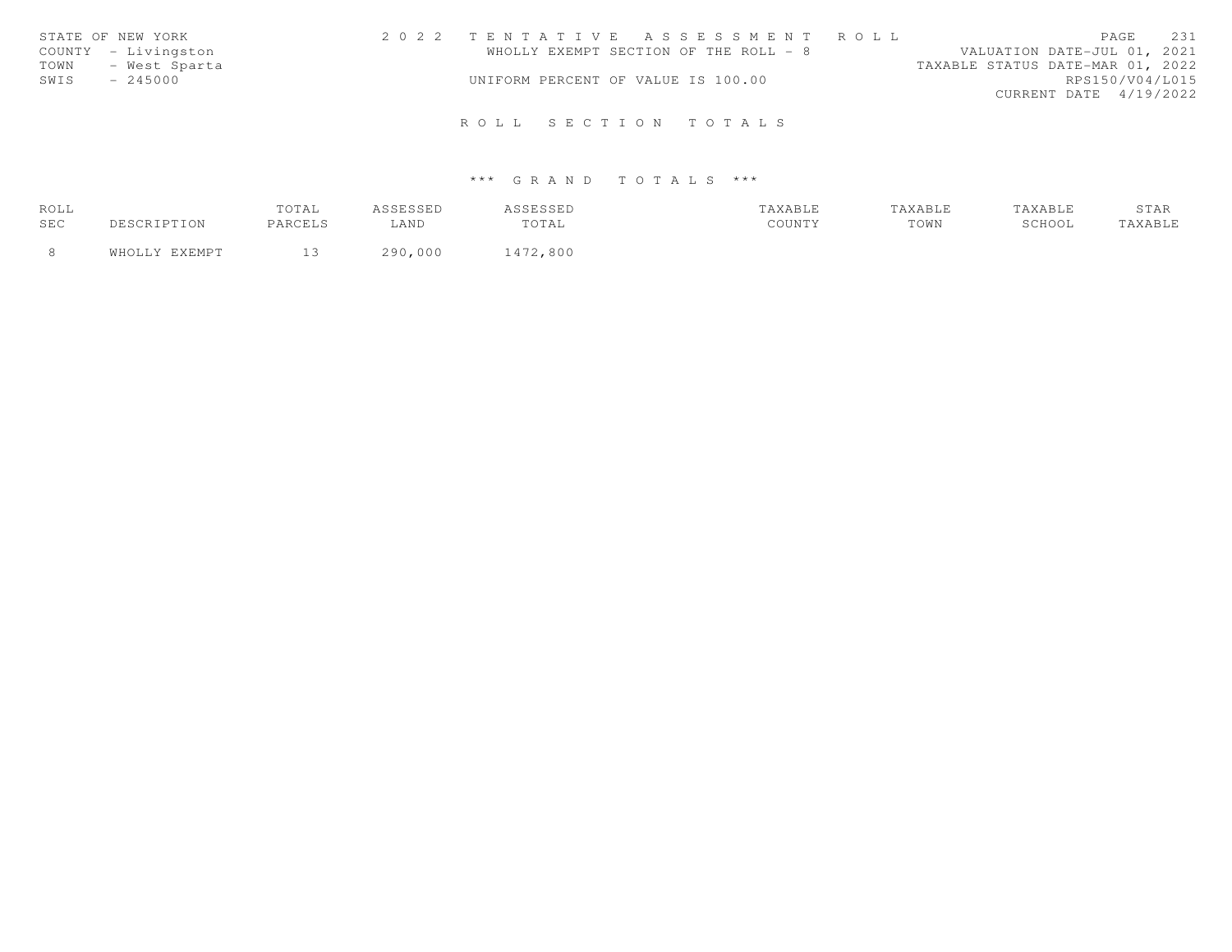|      | STATE OF NEW YORK   | 2022 TENTATIVE ASSESSMENT ROLL     |  |                                       |                                  |                        | PAGE | 231 |
|------|---------------------|------------------------------------|--|---------------------------------------|----------------------------------|------------------------|------|-----|
|      | COUNTY - Livingston |                                    |  | WHOLLY EXEMPT SECTION OF THE ROLL - 8 | VALUATION DATE-JUL 01, 2021      |                        |      |     |
| TOWN | - West Sparta       |                                    |  |                                       | TAXABLE STATUS DATE-MAR 01, 2022 |                        |      |     |
| SWIS | $-245000$           | UNIFORM PERCENT OF VALUE IS 100.00 |  |                                       |                                  | RPS150/V04/L015        |      |     |
|      |                     |                                    |  |                                       |                                  | CURRENT DATE 4/19/2022 |      |     |
|      |                     | ROLL SECTION TOTALS                |  |                                       |                                  |                        |      |     |

| ROLL |                      | TOTAL   | <b>ACCECCED</b> | SSESSED | TAXABLE | TAXABLE | TAXABLE | STAR    |
|------|----------------------|---------|-----------------|---------|---------|---------|---------|---------|
| SEC  | DESCRIPTION          | PARCELS | LAND            | TOTAL   | COUNTY  | TOWN    | SCHOOL  | TAXABLE |
|      | LY EXEMPT<br>MHMO1.7 |         | ,000<br>290.    | 472,800 |         |         |         |         |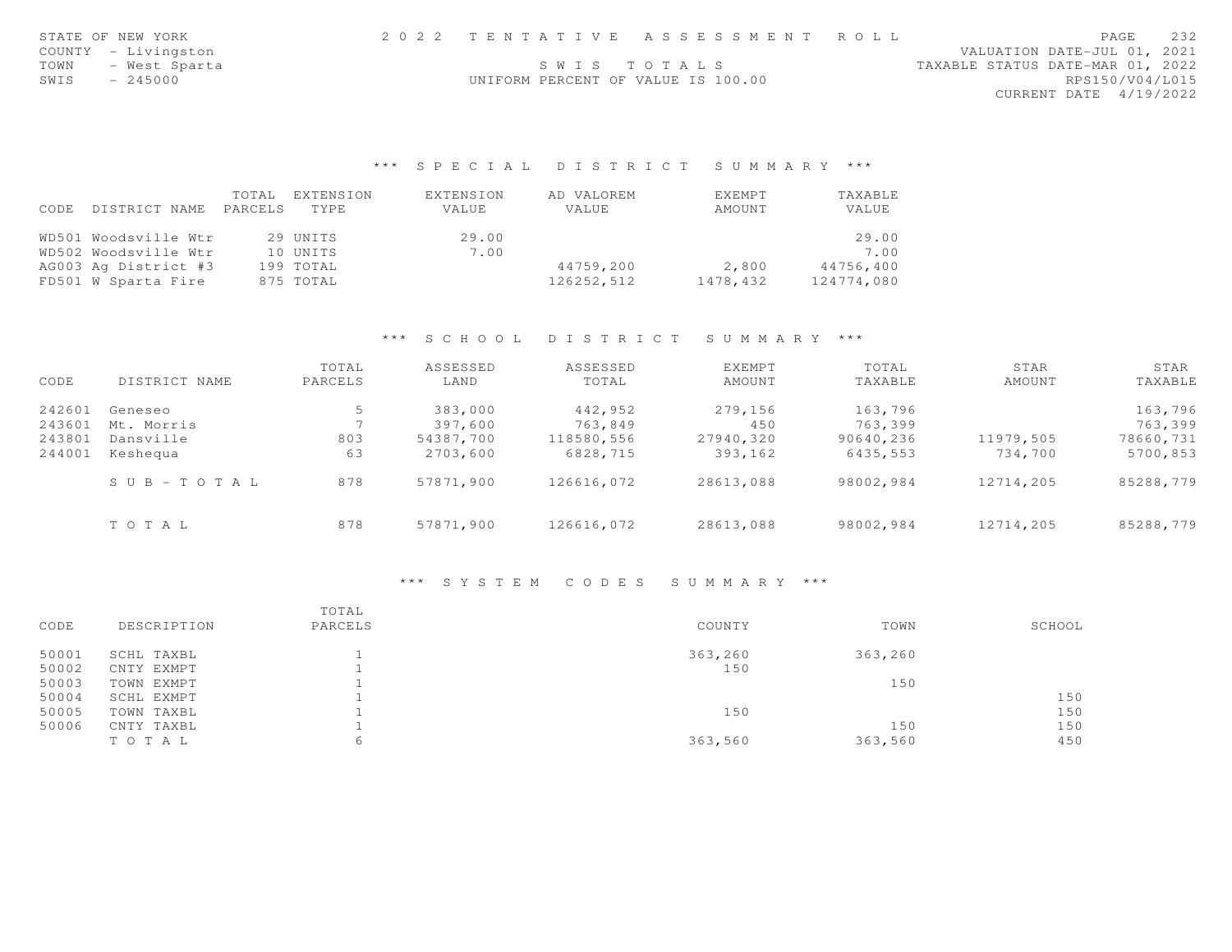| STATE OF NEW YORK   |                                    | 2022 TENTATIVE ASSESSMENT ROLL |                                  | PAGE            | 232 |
|---------------------|------------------------------------|--------------------------------|----------------------------------|-----------------|-----|
| COUNTY - Livingston |                                    |                                | VALUATION DATE-JUL 01, 2021      |                 |     |
|                     | SWIS TOTALS                        |                                | TAXABLE STATUS DATE-MAR 01, 2022 |                 |     |
| SWIS - 245000       | UNIFORM PERCENT OF VALUE IS 100.00 |                                |                                  | RPS150/V04/L015 |     |
|                     |                                    |                                | CURRENT DATE 4/19/2022           |                 |     |
|                     |                                    |                                |                                  |                 |     |

|      |                       | TOTAL. | EXTENSION | EXTENSION | AD VALOREM | EXEMPT   | TAXABLE    |
|------|-----------------------|--------|-----------|-----------|------------|----------|------------|
| CODE | DISTRICT NAME PARCELS |        | TYPE      | VALUE     | VALUE      | AMOUNT   | VALUE      |
|      | WD501 Woodsville Wtr  |        | 29 UNITS  | 29.00     |            |          | 29.00      |
|      | WD502 Woodsville Wtr  |        | 10 UNITS  | 7.00      |            |          | 7.00       |
|      | AG003 Ag District #3  |        | 199 TOTAL |           | 44759,200  | 2,800    | 44756,400  |
|      | FD501 W Sparta Fire   |        | 875 TOTAL |           | 126252,512 | 1478,432 | 124774,080 |

#### \*\*\* S C H O O L D I S T R I C T S U M M A R Y \*\*\*

| CODE   | DISTRICT NAME          | TOTAL<br>PARCELS | ASSESSED<br>LAND | ASSESSED<br>TOTAL | EXEMPT<br>AMOUNT | TOTAL<br>TAXABLE | STAR<br>AMOUNT | STAR<br>TAXABLE |
|--------|------------------------|------------------|------------------|-------------------|------------------|------------------|----------------|-----------------|
| 242601 | Geneseo                | 5                | 383,000          | 442,952           | 279,156          | 163,796          |                | 163,796         |
| 243601 | Mt. Morris             |                  | 397,600          | 763,849           | 450              | 763,399          |                | 763,399         |
| 243801 | Dansville              | 803              | 54387,700        | 118580,556        | 27940,320        | 90640,236        | 11979,505      | 78660,731       |
| 244001 | Keshequa               | 63               | 2703,600         | 6828,715          | 393,162          | 6435,553         | 734,700        | 5700,853        |
|        | $S \cup B - T O T A L$ | 878              | 57871,900        | 126616,072        | 28613,088        | 98002,984        | 12714,205      | 85288,779       |
|        | TOTAL                  | 878              | 57871,900        | 126616,072        | 28613,088        | 98002,984        | 12714,205      | 85288,779       |

# \*\*\* S Y S T E M C O D E S S U M M A R Y \*\*\*

| CODE  | DESCRIPTION | TOTAL<br>PARCELS | COUNTY  | TOWN    | SCHOOL |
|-------|-------------|------------------|---------|---------|--------|
| 50001 | SCHL TAXBL  |                  | 363,260 | 363,260 |        |
| 50002 | CNTY EXMPT  |                  | 150     |         |        |
| 50003 | TOWN EXMPT  |                  |         | 150     |        |
| 50004 | SCHL EXMPT  |                  |         |         | 150    |
| 50005 | TOWN TAXBL  |                  | 150     |         | 150    |
| 50006 | CNTY TAXBL  |                  |         | 150     | 150    |
|       | TOTAL       | 6                | 363,560 | 363,560 | 450    |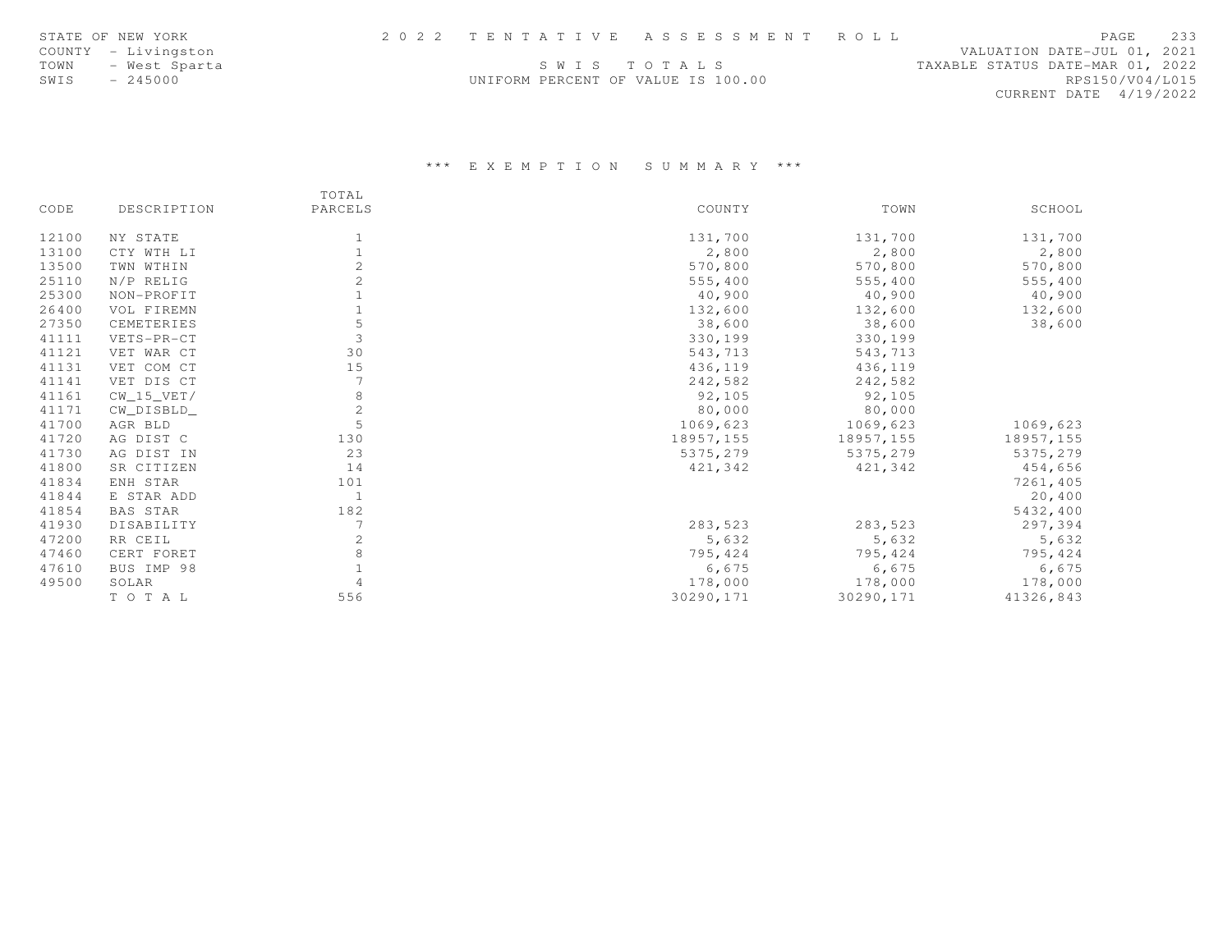|      | STATE OF NEW YORK   |                                    | 2022 TENTATIVE ASSESSMENT ROLL |                                  |                        | <b>PAGE</b> | 233 |
|------|---------------------|------------------------------------|--------------------------------|----------------------------------|------------------------|-------------|-----|
|      | COUNTY - Livingston |                                    |                                | VALUATION DATE-JUL 01, 2021      |                        |             |     |
| TOWN | - West Sparta       |                                    | SWIS TOTALS                    | TAXABLE STATUS DATE-MAR 01, 2022 |                        |             |     |
| SWIS | $-245000$           | UNIFORM PERCENT OF VALUE IS 100.00 |                                |                                  | RPS150/V04/L015        |             |     |
|      |                     |                                    |                                |                                  | CURRENT DATE 4/19/2022 |             |     |

|       |                 | TOTAL        |            |           |           |
|-------|-----------------|--------------|------------|-----------|-----------|
| CODE  | DESCRIPTION     | PARCELS      | COUNTY     | TOWN      | SCHOOL    |
| 12100 | NY STATE        |              | 131,700    | 131,700   | 131,700   |
| 13100 | CTY WTH LI      |              | 2,800      | 2,800     | 2,800     |
| 13500 | TWN WTHIN       |              | 570,800    | 570,800   | 570,800   |
| 25110 | N/P RELIG       |              | 555,400    | 555,400   | 555,400   |
| 25300 | NON-PROFIT      |              | 40,900     | 40,900    | 40,900    |
| 26400 | VOL FIREMN      |              | 132,600    | 132,600   | 132,600   |
| 27350 | CEMETERIES      |              | 38,600     | 38,600    | 38,600    |
| 41111 | VETS-PR-CT      | 3            | 330,199    | 330,199   |           |
| 41121 | VET WAR CT      | 30           | 543,713    | 543,713   |           |
| 41131 | VET COM CT      | 15           | 436,119    | 436,119   |           |
| 41141 | VET DIS CT      |              | 242,582    | 242,582   |           |
| 41161 | $CW_15_VET/$    |              | 92,105     | 92,105    |           |
| 41171 | CW_DISBLD_      | $\mathbf{2}$ | 80,000     | 80,000    |           |
| 41700 | AGR BLD         | 5            | 1069,623   | 1069,623  | 1069,623  |
| 41720 | AG DIST C       | 130          | 18957, 155 | 18957,155 | 18957,155 |
| 41730 | AG DIST IN      | 23           | 5375,279   | 5375,279  | 5375,279  |
| 41800 | SR CITIZEN      | 14           | 421,342    | 421,342   | 454,656   |
| 41834 | ENH STAR        | 101          |            |           | 7261,405  |
| 41844 | E STAR ADD      | -1           |            |           | 20,400    |
| 41854 | <b>BAS STAR</b> | 182          |            |           | 5432,400  |
| 41930 | DISABILITY      |              | 283,523    | 283,523   | 297,394   |
| 47200 | RR CEIL         |              | 5,632      | 5,632     | 5,632     |
| 47460 | CERT FORET      |              | 795,424    | 795,424   | 795,424   |
| 47610 | BUS IMP 98      |              | 6,675      | 6,675     | 6,675     |
| 49500 | SOLAR           |              | 178,000    | 178,000   | 178,000   |
|       | TO TAL          | 556          | 30290,171  | 30290,171 | 41326,843 |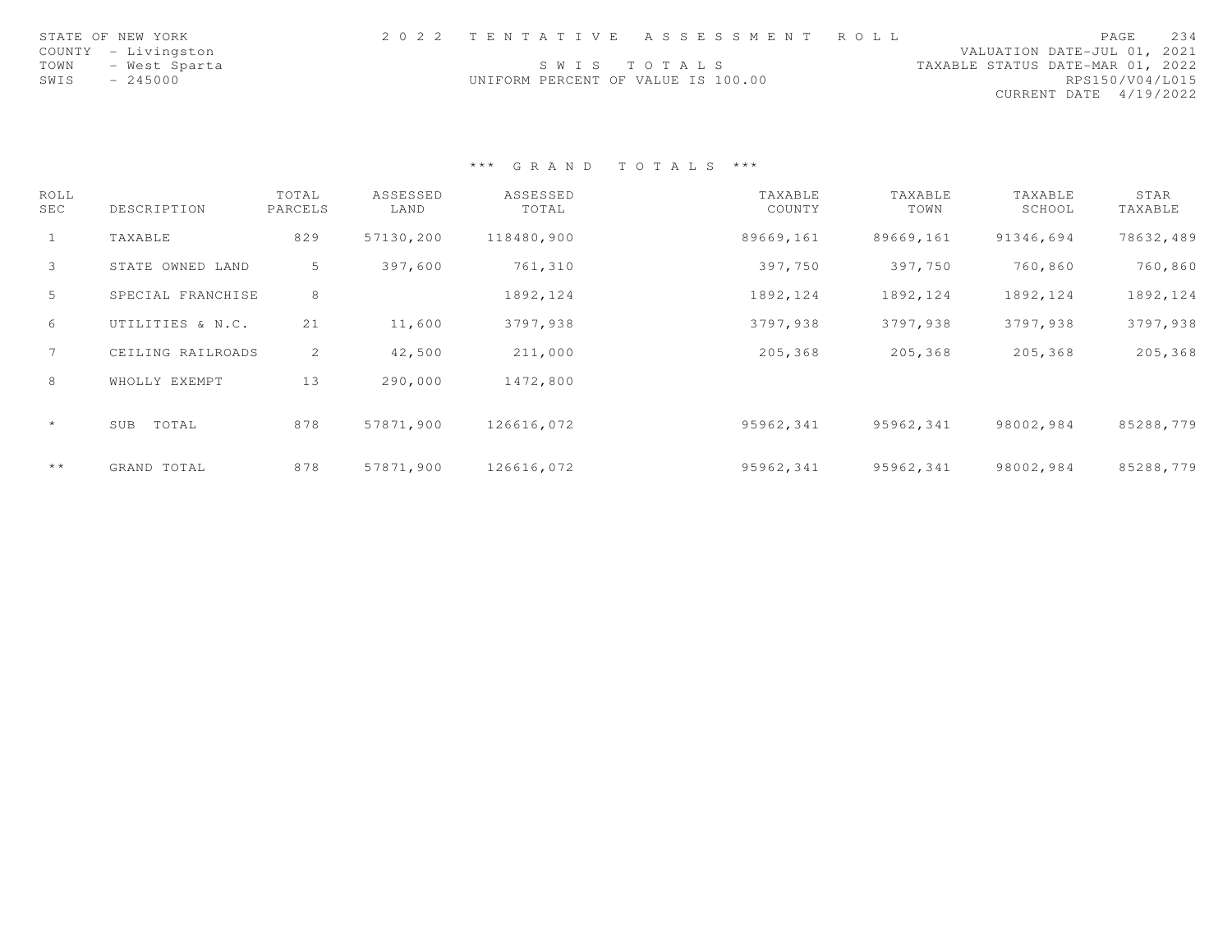|      | STATE OF NEW YORK   |                                    | 2022 TENTATIVE ASSESSMENT ROLL |                                  |                        | PAGE | 234 |
|------|---------------------|------------------------------------|--------------------------------|----------------------------------|------------------------|------|-----|
|      | COUNTY - Livingston |                                    |                                | VALUATION DATE-JUL 01, 2021      |                        |      |     |
| TOWN | – West Sparta       |                                    | SWIS TOTALS                    | TAXABLE STATUS DATE-MAR 01, 2022 |                        |      |     |
| SWIS | $-245000$           | UNIFORM PERCENT OF VALUE IS 100.00 |                                |                                  | RPS150/V04/L015        |      |     |
|      |                     |                                    |                                |                                  | CURRENT DATE 4/19/2022 |      |     |

| ROLL<br>SEC     | DESCRIPTION       | TOTAL<br>PARCELS | ASSESSED<br>LAND | ASSESSED<br>TOTAL | TAXABLE<br>COUNTY | TAXABLE<br>TOWN | TAXABLE<br>SCHOOL | STAR<br>TAXABLE |
|-----------------|-------------------|------------------|------------------|-------------------|-------------------|-----------------|-------------------|-----------------|
| $\mathbf{1}$    | TAXABLE           | 829              | 57130,200        | 118480,900        | 89669,161         | 89669,161       | 91346,694         | 78632,489       |
| $\mathbf{3}$    | STATE OWNED LAND  | 5                | 397,600          | 761,310           | 397,750           | 397,750         | 760,860           | 760,860         |
| 5               | SPECIAL FRANCHISE | 8                |                  | 1892, 124         | 1892, 124         | 1892, 124       | 1892, 124         | 1892, 124       |
| 6               | UTILITIES & N.C.  | 21               | 11,600           | 3797,938          | 3797,938          | 3797,938        | 3797,938          | 3797,938        |
| $7\overline{ }$ | CEILING RAILROADS | 2                | 42,500           | 211,000           | 205,368           | 205,368         | 205,368           | 205,368         |
| 8               | WHOLLY EXEMPT     | 13               | 290,000          | 1472,800          |                   |                 |                   |                 |
| $\star$         | TOTAL<br>SUB      | 878              | 57871,900        | 126616,072        | 95962,341         | 95962,341       | 98002,984         | 85288,779       |
| $+ +$           | GRAND TOTAL       | 878              | 57871,900        | 126616,072        | 95962,341         | 95962,341       | 98002,984         | 85288,779       |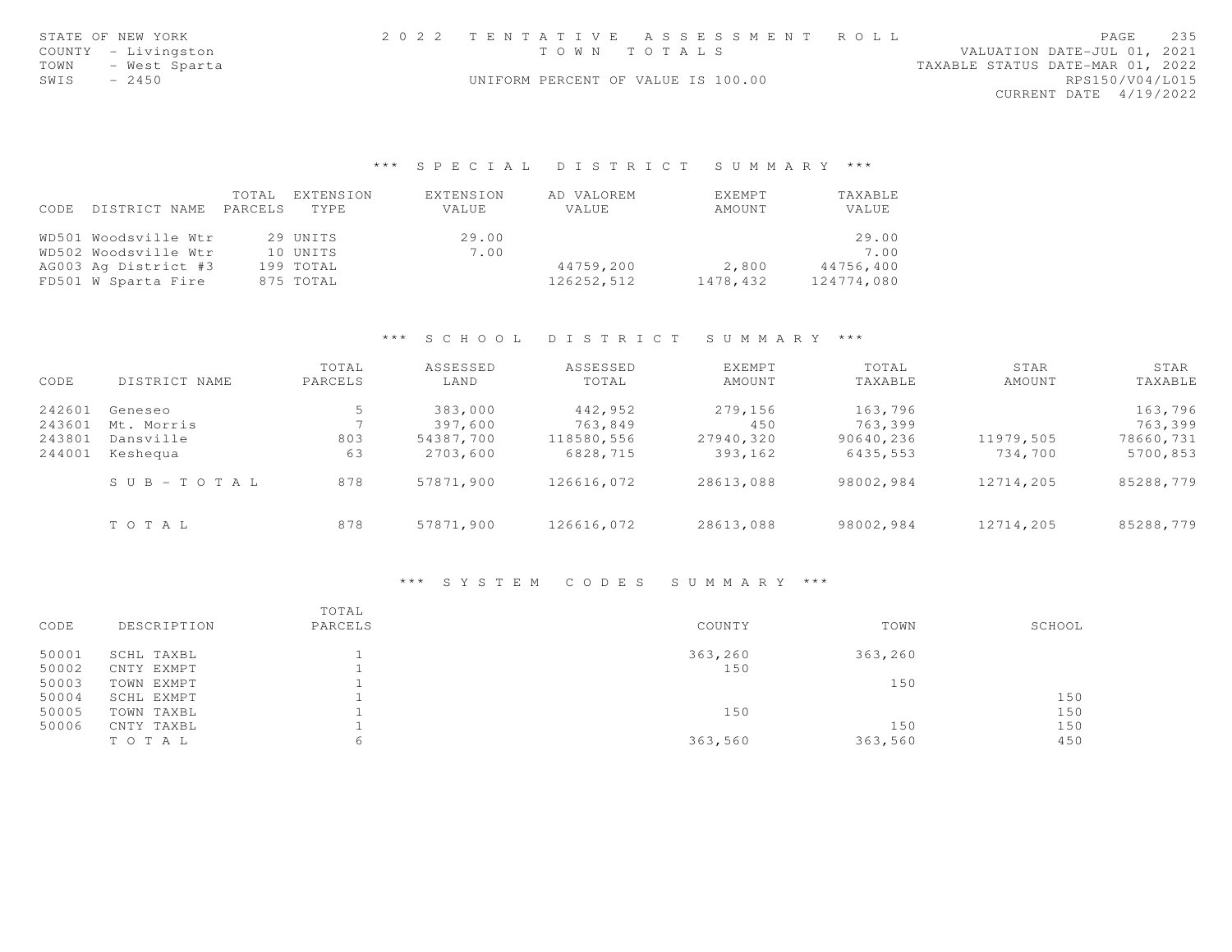| STATE OF NEW YORK                         | 2022 TENTATIVE ASSESSMENT ROLL     |  | VALUATION DATE-JUL 01, 2021      | PAGE            | 235 |
|-------------------------------------------|------------------------------------|--|----------------------------------|-----------------|-----|
| COUNTY - Livingston<br>TOWN - West Sparta | TOWN TOTALS                        |  | TAXABLE STATUS DATE-MAR 01, 2022 |                 |     |
| $-2450$<br>SWIS                           | UNIFORM PERCENT OF VALUE IS 100.00 |  |                                  | RPS150/V04/L015 |     |
|                                           |                                    |  | CURRENT DATE 4/19/2022           |                 |     |
|                                           |                                    |  |                                  |                 |     |
|                                           |                                    |  |                                  |                 |     |

|      |                      | TOTAL   | EXTENSION | EXTENSION | AD VALOREM | EXEMPT   | TAXABLE    |
|------|----------------------|---------|-----------|-----------|------------|----------|------------|
| CODE | DISTRICT NAME        | PARCELS | TYPE      | VALUE     | VALUE      | AMOUNT   | VALUE      |
|      | WD501 Woodsville Wtr |         | 29 UNITS  | 29.00     |            |          | 29.00      |
|      | WD502 Woodsville Wtr |         | 10 UNITS  | 7.00      |            |          | 7.00       |
|      | AG003 Ag District #3 |         | 199 TOTAL |           | 44759,200  | 2,800    | 44756,400  |
|      | FD501 W Sparta Fire  |         | 875 TOTAL |           | 126252,512 | 1478,432 | 124774,080 |

#### \*\*\* S C H O O L D I S T R I C T S U M M A R Y \*\*\*

| CODE   | DISTRICT NAME         | TOTAL<br>PARCELS | ASSESSED<br>LAND | ASSESSED<br>TOTAL | <b>EXEMPT</b><br>AMOUNT | TOTAL<br>TAXABLE | STAR<br>AMOUNT | STAR<br>TAXABLE |
|--------|-----------------------|------------------|------------------|-------------------|-------------------------|------------------|----------------|-----------------|
| 242601 | Geneseo               | 5                | 383,000          | 442,952           | 279,156                 | 163,796          |                | 163,796         |
| 243601 | Mt. Morris            |                  | 397,600          | 763,849           | 450                     | 763,399          |                | 763,399         |
| 243801 | Dansville             | 803              | 54387,700        | 118580,556        | 27940,320               | 90640,236        | 11979,505      | 78660,731       |
| 244001 | Keshequa              | 63               | 2703,600         | 6828,715          | 393,162                 | 6435,553         | 734,700        | 5700,853        |
|        | $S \cup B - TO T A L$ | 878              | 57871,900        | 126616,072        | 28613,088               | 98002,984        | 12714,205      | 85288,779       |
|        | TOTAL                 | 878              | 57871,900        | 126616,072        | 28613,088               | 98002,984        | 12714,205      | 85288,779       |

#### \*\*\* S Y S T E M C O D E S S U M M A R Y \*\*\*

| CODE  | DESCRIPTION | TOTAL<br>PARCELS | COUNTY  | TOWN    | SCHOOL |
|-------|-------------|------------------|---------|---------|--------|
| 50001 | SCHL TAXBL  |                  | 363,260 | 363,260 |        |
| 50002 | CNTY EXMPT  |                  | 150     |         |        |
| 50003 | TOWN EXMPT  |                  |         | 150     |        |
| 50004 | SCHL EXMPT  |                  |         |         | 150    |
| 50005 | TOWN TAXBL  |                  | 150     |         | 150    |
| 50006 | CNTY TAXBL  |                  |         | 150     | 150    |
|       | TO TAL      | 6                | 363,560 | 363,560 | 450    |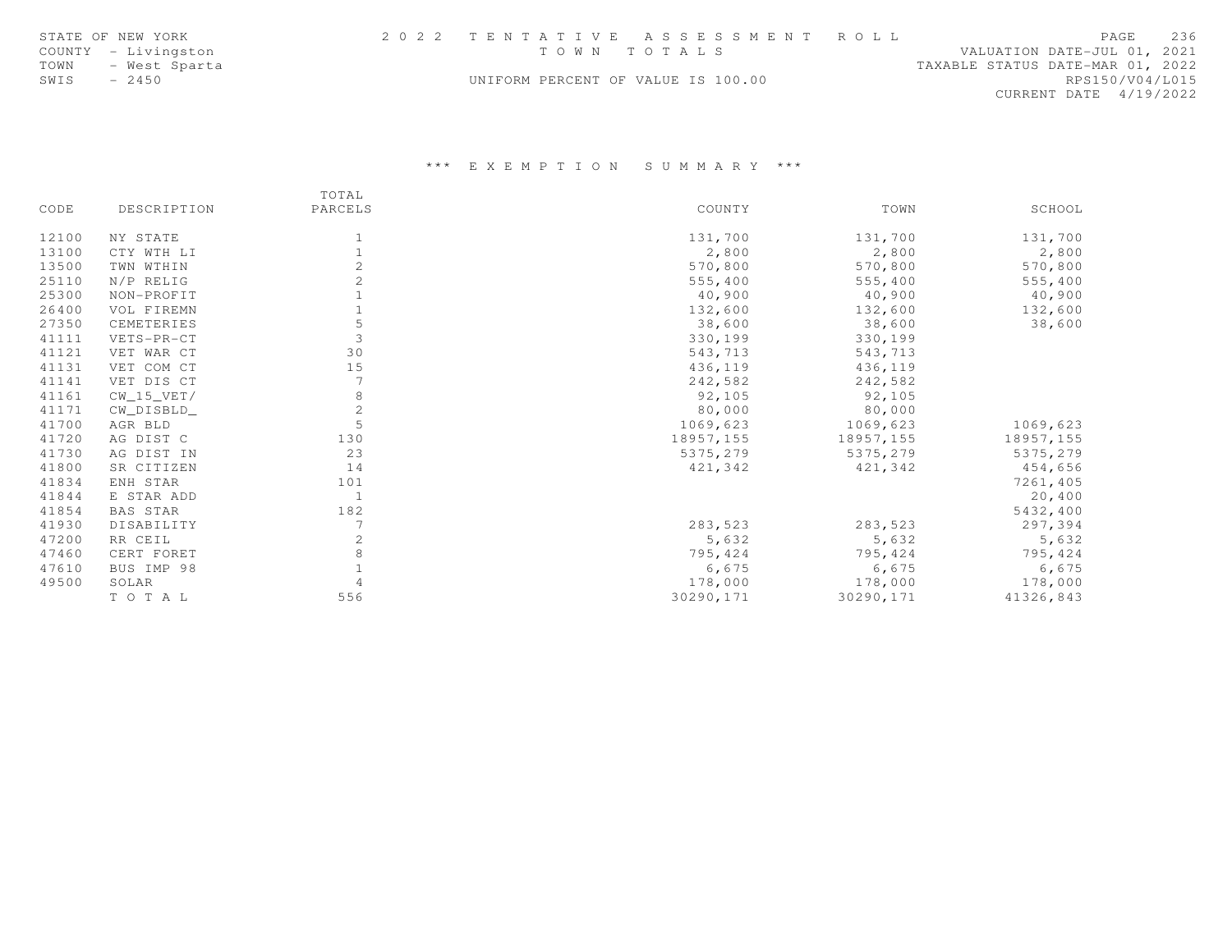| STATE OF NEW YORK     |                                    | 2022 TENTATIVE ASSESSMENT ROLL |                                  |                        | PAGE | 236 |
|-----------------------|------------------------------------|--------------------------------|----------------------------------|------------------------|------|-----|
| COUNTY - Livingston   | TOWN TOTALS                        |                                | VALUATION DATE-JUL 01, 2021      |                        |      |     |
| TOWN<br>– West Sparta |                                    |                                | TAXABLE STATUS DATE-MAR 01, 2022 |                        |      |     |
| SWIS<br>$-2450$       | UNIFORM PERCENT OF VALUE IS 100.00 |                                |                                  | RPS150/V04/L015        |      |     |
|                       |                                    |                                |                                  | CURRENT DATE 4/19/2022 |      |     |

|       |                 | TOTAL          |           |            |           |
|-------|-----------------|----------------|-----------|------------|-----------|
| CODE  | DESCRIPTION     | PARCELS        | COUNTY    | TOWN       | SCHOOL    |
| 12100 | NY STATE        |                | 131,700   | 131,700    | 131,700   |
| 13100 | CTY WTH LI      |                | 2,800     | 2,800      | 2,800     |
| 13500 | TWN WTHIN       |                | 570,800   | 570,800    | 570,800   |
| 25110 | N/P RELIG       |                | 555,400   | 555,400    | 555,400   |
| 25300 | NON-PROFIT      |                | 40,900    | 40,900     | 40,900    |
| 26400 | VOL FIREMN      |                | 132,600   | 132,600    | 132,600   |
| 27350 | CEMETERIES      |                | 38,600    | 38,600     | 38,600    |
| 41111 | VETS-PR-CT      |                | 330,199   | 330,199    |           |
| 41121 | VET WAR CT      | 30             | 543,713   | 543,713    |           |
| 41131 | VET COM CT      | 15             | 436,119   | 436,119    |           |
| 41141 | VET DIS CT      |                | 242,582   | 242,582    |           |
| 41161 | $CW_15_VET/$    | 8              | 92,105    | 92,105     |           |
| 41171 | CW_DISBLD_      | $\mathbf{2}$   | 80,000    | 80,000     |           |
| 41700 | AGR BLD         |                | 1069,623  | 1069,623   | 1069,623  |
| 41720 | AG DIST C       | 130            | 18957,155 | 18957, 155 | 18957,155 |
| 41730 | AG DIST IN      | 23             | 5375,279  | 5375,279   | 5375,279  |
| 41800 | SR CITIZEN      | 14             | 421,342   | 421,342    | 454,656   |
| 41834 | ENH STAR        | 101            |           |            | 7261,405  |
| 41844 | E STAR ADD      | 1              |           |            | 20,400    |
| 41854 | <b>BAS STAR</b> | 182            |           |            | 5432,400  |
| 41930 | DISABILITY      | $\overline{7}$ | 283,523   | 283,523    | 297,394   |
| 47200 | RR CEIL         |                | 5,632     | 5,632      | 5,632     |
| 47460 | CERT FORET      |                | 795,424   | 795,424    | 795,424   |
| 47610 | BUS IMP 98      |                | 6,675     | 6,675      | 6,675     |
| 49500 | SOLAR           |                | 178,000   | 178,000    | 178,000   |
|       | TO TAL          | 556            | 30290,171 | 30290,171  | 41326,843 |